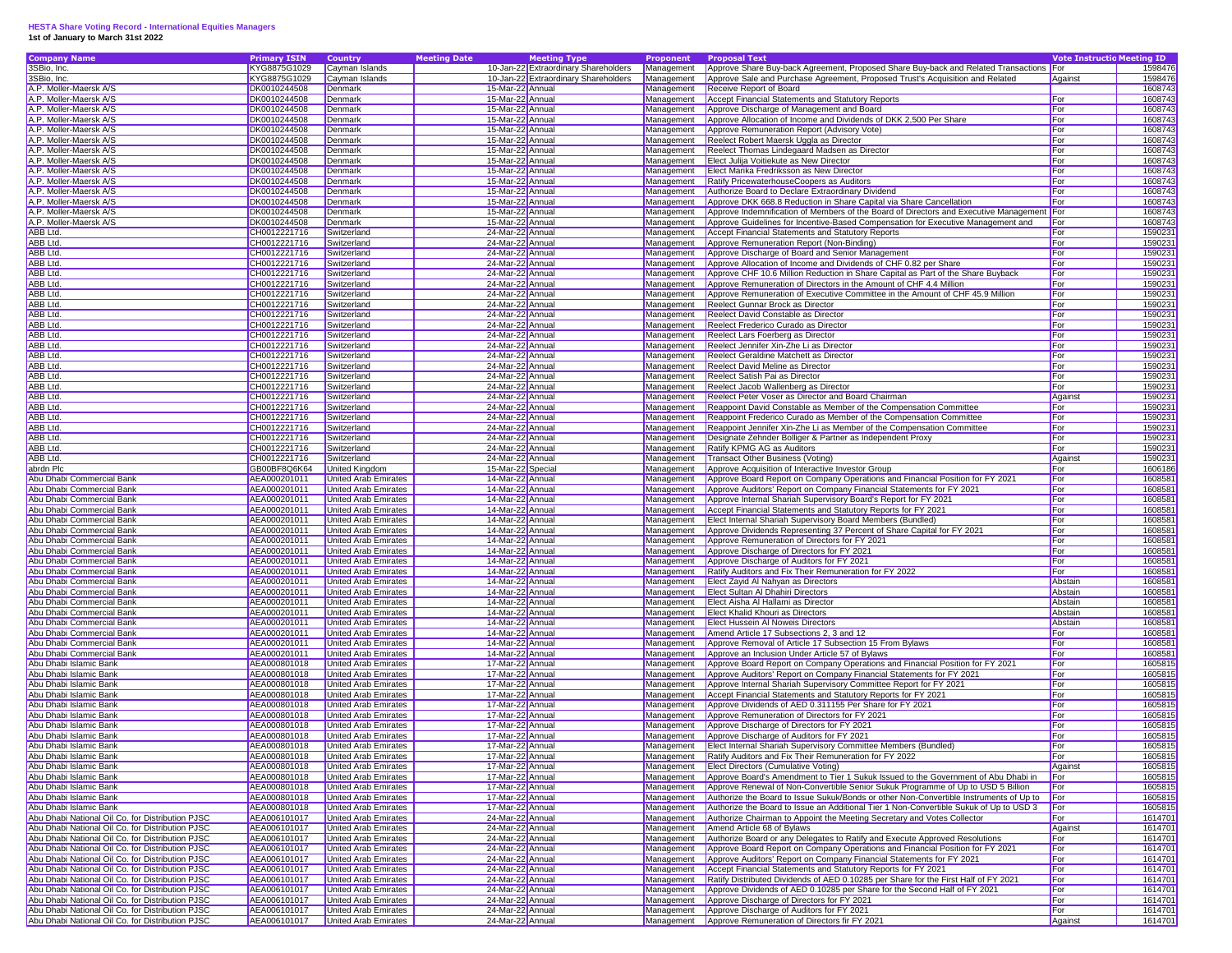## **HESTA Share Voting Record - International Equities Managers 1st of January to March 31st 2022**

| <b>Company Name</b>                              | <b>Primary ISIN</b> | <b>Country</b>              | <b>Meeting Date</b> | <b>Meeting Type</b>                  | Proponent  | <b>Proposal Text</b>                                                                              | <b>Vote Instructio Meeting ID</b> |         |
|--------------------------------------------------|---------------------|-----------------------------|---------------------|--------------------------------------|------------|---------------------------------------------------------------------------------------------------|-----------------------------------|---------|
| 3SBio, Inc.                                      | KYG8875G1029        | Cayman Islands              |                     | 10-Jan-22 Extraordinary Shareholders | Management | Approve Share Buy-back Agreement, Proposed Share Buy-back and Related Transactions For            |                                   | 1598476 |
| 3SBio, Inc.                                      | KYG8875G1029        | Cayman Islands              |                     | 10-Jan-22 Extraordinary Shareholders | Management | Approve Sale and Purchase Agreement, Proposed Trust's Acquisition and Related                     | Against                           | 1598476 |
| A.P. Moller-Maersk A/S                           | DK0010244508        | Denmark                     | 15-Mar-22 Annual    |                                      | Management | Receive Report of Board                                                                           |                                   | 1608743 |
| A.P. Moller-Maersk A/S                           | DK0010244508        | Denmark                     | 15-Mar-22 Annual    |                                      | Management | <b>Accept Financial Statements and Statutory Reports</b>                                          | For                               | 1608743 |
| A.P. Moller-Maersk A/S                           | DK0010244508        | Denmark                     | 15-Mar-22 Annual    |                                      | Management | Approve Discharge of Management and Board                                                         | For                               | 1608743 |
| A.P. Moller-Maersk A/S                           | DK0010244508        | Denmark                     | 15-Mar-22 Annual    |                                      | Management | Approve Allocation of Income and Dividends of DKK 2,500 Per Share                                 | For                               | 1608743 |
| A.P. Moller-Maersk A/S                           | DK0010244508        | Denmark                     | 15-Mar-22 Annual    |                                      | Management | Approve Remuneration Report (Advisory Vote)                                                       | For                               | 1608743 |
| A.P. Moller-Maersk A/S                           | DK0010244508        | Denmark                     | 15-Mar-22 Annual    |                                      | Management | Reelect Robert Maersk Uggla as Director                                                           | For                               | 1608743 |
| A.P. Moller-Maersk A/S                           | DK0010244508        | Denmark                     | 15-Mar-22 Annual    |                                      | Management | Reelect Thomas Lindegaard Madsen as Director                                                      | For                               | 1608743 |
| A.P. Moller-Maersk A/S                           | DK0010244508        | Denmark                     | 15-Mar-22 Annual    |                                      | Management | Elect Julija Voitiekute as New Director                                                           | For                               | 1608743 |
| A.P. Moller-Maersk A/S                           | DK0010244508        | Denmark                     | 15-Mar-22 Annual    |                                      | Management | Elect Marika Fredriksson as New Director                                                          | For                               | 1608743 |
| A.P. Moller-Maersk A/S                           | DK0010244508        | Denmark                     | 15-Mar-22 Annual    |                                      | Management | Ratify PricewaterhouseCoopers as Auditors                                                         | For                               | 1608743 |
| A.P. Moller-Maersk A/S                           | DK0010244508        | Denmark                     | 15-Mar-22 Annual    |                                      | Management | Authorize Board to Declare Extraordinary Dividend                                                 | For                               | 1608743 |
| A.P. Moller-Maersk A/S                           | DK0010244508        | Denmark                     | 15-Mar-22 Annual    |                                      | Management | Approve DKK 668.8 Reduction in Share Capital via Share Cancellation                               | For                               | 1608743 |
| A.P. Moller-Maersk A/S                           | DK0010244508        | Denmark                     | 15-Mar-22 Annual    |                                      | Management | Approve Indemnification of Members of the Board of Directors and Executive Management For         |                                   | 1608743 |
| A.P. Moller-Maersk A/S                           | DK0010244508        | Denmark                     | 15-Mar-22 Annual    |                                      | Management | Approve Guidelines for Incentive-Based Compensation for Executive Management and                  | For                               | 1608743 |
| ABB Ltd.                                         | CH0012221716        | Switzerland                 | 24-Mar-22 Annual    |                                      | Management | <b>Accept Financial Statements and Statutory Reports</b>                                          | For                               | 159023  |
| ABB Ltd.                                         | CH0012221716        | Switzerland                 | 24-Mar-22 Annual    |                                      | Management | Approve Remuneration Report (Non-Binding)                                                         | For                               | 159023  |
| ABB Ltd.                                         | CH0012221716        | Switzerland                 | 24-Mar-22 Annual    |                                      | Management | Approve Discharge of Board and Senior Management                                                  | For                               | 159023  |
| ABB Ltd.                                         | CH0012221716        | Switzerland                 | 24-Mar-22 Annual    |                                      | Management | Approve Allocation of Income and Dividends of CHF 0.82 per Share                                  | For                               | 159023  |
| ABB Ltd.                                         | CH0012221716        | Switzerland                 | 24-Mar-22 Annual    |                                      | Management | Approve CHF 10.6 Million Reduction in Share Capital as Part of the Share Buyback                  | For                               | 1590231 |
| ABB Ltd.                                         | CH0012221716        | Switzerland                 | 24-Mar-22 Annual    |                                      | Management | Approve Remuneration of Directors in the Amount of CHF 4.4 Million                                | For                               | 159023  |
| ABB Ltd.                                         | CH0012221716        | Switzerland                 | 24-Mar-22 Annual    |                                      | Management | Approve Remuneration of Executive Committee in the Amount of CHF 45.9 Million                     | For                               | 159023  |
| ABB Ltd.                                         | CH0012221716        | Switzerland                 | 24-Mar-22 Annual    |                                      | Management | Reelect Gunnar Brock as Director                                                                  | For                               | 1590231 |
| ABB Ltd.                                         | CH0012221716        | Switzerland                 | 24-Mar-22 Annual    |                                      | Management | Reelect David Constable as Director                                                               | For                               | 1590231 |
| ABB Ltd.                                         | CH0012221716        | Switzerland                 | 24-Mar-22 Annual    |                                      | Management | Reelect Frederico Curado as Director                                                              | For                               | 1590231 |
| ABB Ltd.                                         | CH0012221716        | Switzerland                 | 24-Mar-22 Annual    |                                      | Management | Reelect Lars Foerberg as Director                                                                 | For                               | 159023  |
| ABB Ltd.                                         | CH0012221716        | Switzerland                 | 24-Mar-22 Annual    |                                      | Management | Reelect Jennifer Xin-Zhe Li as Director                                                           | For                               | 159023  |
| ABB Ltd.                                         | CH0012221716        | Switzerland                 | 24-Mar-22 Annual    |                                      | Management | Reelect Geraldine Matchett as Director                                                            | For                               | 159023  |
| ABB Ltd.                                         | CH0012221716        | Switzerland                 | 24-Mar-22 Annual    |                                      | Management | Reelect David Meline as Director                                                                  | For                               | 159023  |
| ABB Ltd.                                         | CH0012221716        | Switzerland                 | 24-Mar-22 Annual    |                                      | Management | Reelect Satish Pai as Director                                                                    | For                               | 1590231 |
| ABB Ltd.                                         | CH0012221716        | Switzerland                 | 24-Mar-22 Annual    |                                      | Management | Reelect Jacob Wallenberg as Director                                                              | For                               | 159023  |
| ABB Ltd.                                         | CH0012221716        | Switzerland                 | 24-Mar-22 Annual    |                                      | Management | Reelect Peter Voser as Director and Board Chairman                                                | Against                           | 159023  |
| ABB Ltd.                                         | CH0012221716        | Switzerland                 | 24-Mar-22 Annual    |                                      | Management | Reappoint David Constable as Member of the Compensation Committee                                 | For                               | 1590231 |
| ABB Ltd.                                         | CH0012221716        | Switzerland                 | 24-Mar-22 Annual    |                                      | Management | Reappoint Frederico Curado as Member of the Compensation Committee                                | For                               | 1590231 |
| ABB Ltd.                                         | CH0012221716        | Switzerland                 | 24-Mar-22 Annual    |                                      | Management | Reappoint Jennifer Xin-Zhe Li as Member of the Compensation Committee                             | For                               | 1590231 |
| ABB Ltd.                                         | CH0012221716        | Switzerland                 | 24-Mar-22 Annual    |                                      | Management | Designate Zehnder Bolliger & Partner as Independent Proxy                                         | For                               | 159023  |
| ABB Ltd.                                         | CH0012221716        | Switzerland                 | 24-Mar-22 Annual    |                                      | Management | Ratify KPMG AG as Auditors                                                                        | For                               | 159023  |
| ABB Ltd.                                         | CH0012221716        | Switzerland                 | 24-Mar-22 Annual    |                                      | Management | <b>Transact Other Business (Voting)</b>                                                           | Against                           | 1590231 |
| abrdn Plc                                        | GB00BF8Q6K64        | <b>United Kingdom</b>       | 15-Mar-22 Special   |                                      | Management | Approve Acquisition of Interactive Investor Group                                                 | For                               | 1606186 |
| Abu Dhabi Commercial Bank                        | AEA000201011        | United Arab Emirates        | 14-Mar-22 Annual    |                                      | Management | Approve Board Report on Company Operations and Financial Position for FY 2021                     | For                               | 1608581 |
| Abu Dhabi Commercial Bank                        | AEA000201011        | <b>United Arab Emirates</b> | 14-Mar-22 Annual    |                                      | Management | Approve Auditors' Report on Company Financial Statements for FY 2021                              | For                               | 160858  |
| Abu Dhabi Commercial Bank                        | AEA000201011        | <b>United Arab Emirates</b> | 14-Mar-22 Annual    |                                      | Management | Approve Internal Shariah Supervisory Board's Report for FY 2021                                   | For                               | 160858  |
| Abu Dhabi Commercial Bank                        | AEA000201011        | United Arab Emirates        | 14-Mar-22 Annual    |                                      | Management | Accept Financial Statements and Statutory Reports for FY 2021                                     | For                               | 1608581 |
| Abu Dhabi Commercial Bank                        | AEA000201011        | United Arab Emirates        | 14-Mar-22 Annual    |                                      | Management | Elect Internal Shariah Supervisory Board Members (Bundled)                                        | For                               | 1608581 |
| Abu Dhabi Commercial Bank                        | AEA000201011        | <b>United Arab Emirates</b> | 14-Mar-22 Annual    |                                      | Management | Approve Dividends Representing 37 Percent of Share Capital for FY 2021                            | For                               | 1608581 |
| Abu Dhabi Commercial Bank                        | AEA000201011        | United Arab Emirates        | 14-Mar-22 Annual    |                                      | Management | Approve Remuneration of Directors for FY 2021                                                     | For                               | 160858  |
| Abu Dhabi Commercial Bank                        | AEA000201011        | United Arab Emirates        | 14-Mar-22 Annual    |                                      | Management | Approve Discharge of Directors for FY 2021                                                        | For                               | 160858  |
| Abu Dhabi Commercial Bank                        | AEA000201011        | United Arab Emirates        | 14-Mar-22 Annual    |                                      | Management | Approve Discharge of Auditors for FY 2021                                                         | For                               | 160858  |
| Abu Dhabi Commercial Bank                        | AEA000201011        | United Arab Emirates        | 14-Mar-22 Annual    |                                      | Management | Ratify Auditors and Fix Their Remuneration for FY 2022                                            | For                               | 160858  |
| Abu Dhabi Commercial Bank                        | AEA000201011        | United Arab Emirates        | 14-Mar-22 Annual    |                                      | Management | Elect Zayid Al Nahyan as Directors                                                                | Abstain                           | 160858  |
| Abu Dhabi Commercial Bank                        | AEA000201011        | United Arab Emirates        | 14-Mar-22 Annual    |                                      | Management | Elect Sultan Al Dhahiri Directors                                                                 | Abstain                           | 160858  |
| Abu Dhabi Commercial Bank                        | AEA000201011        | United Arab Emirates        | 14-Mar-22 Annual    |                                      | Management | Elect Aisha Al Hallami as Director                                                                | Abstain                           | 160858  |
| Abu Dhabi Commercial Bank                        | AEA000201011        | United Arab Emirates        | 14-Mar-22 Annual    |                                      | Management | <b>Elect Khalid Khouri as Directors</b>                                                           | Abstain                           | 1608581 |
| Abu Dhabi Commercial Bank                        | AEA000201011        | United Arab Emirates        | 14-Mar-22 Annual    |                                      | Management | Elect Hussein Al Noweis Directors                                                                 | Abstain                           | 1608581 |
| Abu Dhabi Commercial Bank                        | AEA000201011        | United Arab Emirates        | 14-Mar-22 Annual    |                                      | Management | Amend Article 17 Subsections 2, 3 and 12                                                          | For                               | 1608581 |
| Abu Dhabi Commercial Bank                        | AEA000201011        | United Arab Emirates        | 14-Mar-22 Annual    |                                      | Management | Approve Removal of Article 17 Subsection 15 From Bylaws                                           | For                               | 160858  |
| Abu Dhabi Commercial Bank                        | AEA000201011        | United Arab Emirates        | 14-Mar-22 Annual    |                                      | Management | Approve an Inclusion Under Article 57 of Bylaws                                                   | For                               | 160858  |
| Abu Dhabi Islamic Bank                           | AEA000801018        | United Arab Emirates        | 17-Mar-22 Annual    |                                      | Management | Approve Board Report on Company Operations and Financial Position for FY 2021                     | For                               | 160581  |
| Abu Dhabi Islamic Bank                           | AEA000801018        | United Arab Emirates        | 17-Mar-22 Annual    |                                      | Management | Approve Auditors' Report on Company Financial Statements for FY 2021                              | For                               | 160581  |
| Abu Dhabi Islamic Bank                           | AEA000801018        | United Arab Emirates        | 17-Mar-22 Annual    |                                      | Management | Approve Internal Shariah Supervisory Committee Report for FY 2021                                 | For                               | 160581  |
| Abu Dhabi Islamic Bank                           | AEA000801018        | United Arab Emirates        | 17-Mar-22 Annual    |                                      | Management | Accept Financial Statements and Statutory Reports for FY 2021                                     | For                               | 160581  |
| Abu Dhabi Islamic Bank                           | AEA000801018        | United Arab Emirates        | 17-Mar-22 Annual    |                                      | Management | Approve Dividends of AED 0.311155 Per Share for FY 2021                                           | For                               | 160581  |
| Abu Dhabi Islamic Bank                           | AEA000801018        | United Arab Emirates        | 17-Mar-22 Annual    |                                      | Management | Approve Remuneration of Directors for FY 2021                                                     | For                               | 160581  |
| Abu Dhabi Islamic Bank                           | AEA000801018        | <b>United Arab Emirates</b> | 17-Mar-22 Annual    |                                      | Management | Approve Discharge of Directors for FY 2021                                                        | For                               | 1605815 |
| Abu Dhabi Islamic Bank                           | AEA000801018        | United Arab Emirates        | 17-Mar-22 Annual    |                                      |            | Management Approve Discharge of Auditors for FY 2021                                              | For                               | 160581  |
| Abu Dhabi Islamic Bank                           | AEA000801018        | <b>United Arab Emirates</b> | 17-Mar-22 Annual    |                                      |            | Management Elect Internal Shariah Supervisory Committee Members (Bundled)                         | <b>For</b>                        | 1605815 |
| Abu Dhabi Islamic Bank                           | AEA000801018        | United Arab Emirates        | 17-Mar-22 Annual    |                                      |            | Management Ratify Auditors and Fix Their Remuneration for FY 2022                                 | For                               | 1605815 |
| Abu Dhabi Islamic Bank                           | AEA000801018        | <b>United Arab Emirates</b> | 17-Mar-22 Annual    |                                      |            | Management Elect Directors (Cumulative Voting)                                                    | Against                           | 1605815 |
| Abu Dhabi Islamic Bank                           | AEA000801018        | United Arab Emirates        | 17-Mar-22 Annual    |                                      | Management | Approve Board's Amendment to Tier 1 Sukuk Issued to the Government of Abu Dhabi in                | For                               | 1605815 |
| Abu Dhabi Islamic Bank                           | AEA000801018        | <b>United Arab Emirates</b> | 17-Mar-22 Annual    |                                      | Management | Approve Renewal of Non-Convertible Senior Sukuk Programme of Up to USD 5 Billion                  | For                               | 1605815 |
| Abu Dhabi Islamic Bank                           | AEA000801018        | <b>United Arab Emirates</b> | 17-Mar-22 Annual    |                                      |            | Management Authorize the Board to Issue Sukuk/Bonds or other Non-Convertible Instruments of Up to | For                               | 1605815 |
| Abu Dhabi Islamic Bank                           | AEA000801018        | <b>United Arab Emirates</b> | 17-Mar-22 Annual    |                                      |            | Management Authorize the Board to Issue an Additional Tier 1 Non-Convertible Sukuk of Up to USD 3 | For                               | 1605815 |
| Abu Dhabi National Oil Co. for Distribution PJSC | AEA006101017        | <b>United Arab Emirates</b> | 24-Mar-22 Annual    |                                      |            | Management Authorize Chairman to Appoint the Meeting Secretary and Votes Collector                | For                               | 1614701 |
| Abu Dhabi National Oil Co. for Distribution PJSC | AEA006101017        | United Arab Emirates        | 24-Mar-22 Annual    |                                      | Management | Amend Article 68 of Bylaws                                                                        | Against                           | 1614701 |
| Abu Dhabi National Oil Co. for Distribution PJSC | AEA006101017        | United Arab Emirates        | 24-Mar-22 Annual    |                                      | Management | Authorize Board or any Delegates to Ratify and Execute Approved Resolutions                       | For                               | 1614701 |
| Abu Dhabi National Oil Co. for Distribution PJSC | AEA006101017        | <b>United Arab Emirates</b> | 24-Mar-22 Annual    |                                      | Management | Approve Board Report on Company Operations and Financial Position for FY 2021                     | For                               | 1614701 |
| Abu Dhabi National Oil Co. for Distribution PJSC | AEA006101017        | United Arab Emirates        | 24-Mar-22 Annual    |                                      | Management | Approve Auditors' Report on Company Financial Statements for FY 2021                              | For                               | 1614701 |
| Abu Dhabi National Oil Co. for Distribution PJSC | AEA006101017        | <b>United Arab Emirates</b> | 24-Mar-22 Annual    |                                      | Management | Accept Financial Statements and Statutory Reports for FY 2021                                     | For                               | 1614701 |
| Abu Dhabi National Oil Co. for Distribution PJSC | AEA006101017        | <b>United Arab Emirates</b> | 24-Mar-22 Annual    |                                      | Management | Ratify Distributed Dividends of AED 0.10285 per Share for the First Half of FY 2021               | For                               | 1614701 |
| Abu Dhabi National Oil Co. for Distribution PJSC | AEA006101017        | <b>United Arab Emirates</b> | 24-Mar-22 Annual    |                                      | Management | Approve Dividends of AED 0.10285 per Share for the Second Half of FY 2021                         | For                               | 1614701 |
| Abu Dhabi National Oil Co. for Distribution PJSC | AEA006101017        | <b>United Arab Emirates</b> | 24-Mar-22 Annual    |                                      | Management | Approve Discharge of Directors for FY 2021                                                        | For                               | 1614701 |
| Abu Dhabi National Oil Co. for Distribution PJSC | AEA006101017        | <b>United Arab Emirates</b> | 24-Mar-22 Annual    |                                      |            | Management Approve Discharge of Auditors for FY 2021                                              | For                               | 1614701 |
| Abu Dhabi National Oil Co. for Distribution PJSC | AEA006101017        | United Arab Emirates        | 24-Mar-22 Annual    |                                      |            | Management Approve Remuneration of Directors fir FY 2021                                          | Against                           | 1614701 |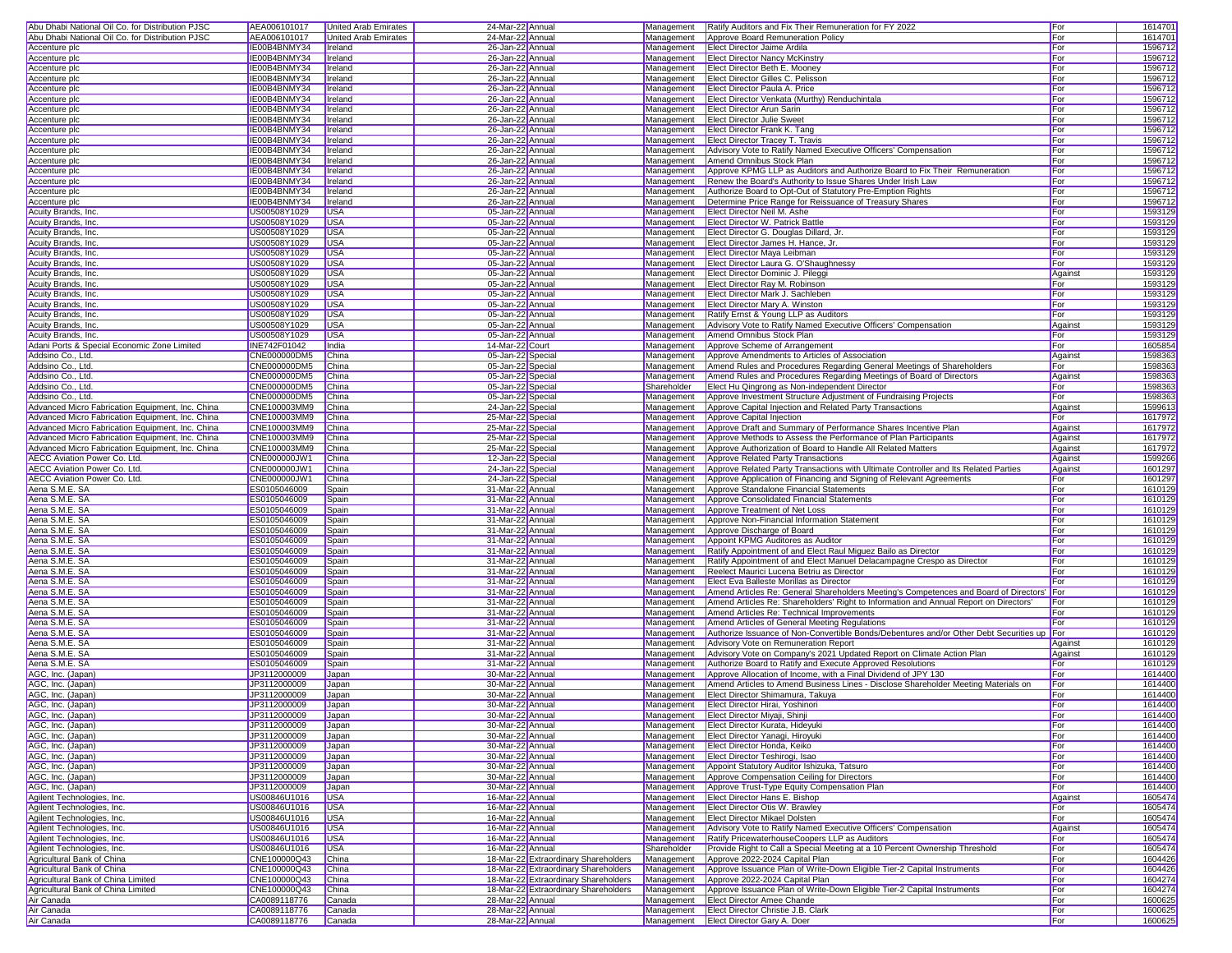| Abu Dhabi National Oil Co. for Distribution PJSC  | AEA006101017                 | <b>United Arab Emirates</b> | 24-Mar-22 Annual                     |                                      | Management               | <b>Ratify Auditors and Fix Their Remuneration for FY 2022</b>                                      | For            | 1614701            |
|---------------------------------------------------|------------------------------|-----------------------------|--------------------------------------|--------------------------------------|--------------------------|----------------------------------------------------------------------------------------------------|----------------|--------------------|
| Abu Dhabi National Oil Co. for Distribution PJSC  | AEA006101017                 | United Arab Emirates        | 24-Mar-22 Annual                     |                                      | Management               | Approve Board Remuneration Policy                                                                  | For            | 1614701            |
| Accenture plc                                     | IE00B4BNMY34                 | Ireland                     | 26-Jan-22 Annual                     |                                      | Management               | Elect Director Jaime Ardila                                                                        | For            | 1596712            |
| Accenture plc                                     | IE00B4BNMY34                 | Ireland                     | 26-Jan-22 Annual                     |                                      | Management               | <b>Elect Director Nancy McKinstry</b>                                                              | For            | 1596712            |
| Accenture plc                                     | IE00B4BNMY34                 | Ireland                     | 26-Jan-22 Annual                     |                                      |                          | Management <b>Elect Director Beth E. Mooney</b>                                                    | For            | 1596712            |
| Accenture plc                                     | IE00B4BNMY34                 | Ireland                     | 26-Jan-22 Annual                     |                                      |                          | Management Elect Director Gilles C. Pelisson                                                       | For            | 1596712            |
| Accenture plc                                     | IE00B4BNMY34                 | Ireland                     | 26-Jan-22 Annual                     |                                      | Management               | Elect Director Paula A. Price                                                                      | For            | 1596712            |
| Accenture plc                                     | IE00B4BNMY34                 | Ireland                     | 26-Jan-22 Annual                     |                                      | Management               | Elect Director Venkata (Murthy) Renduchintala                                                      | For            | 1596712            |
| Accenture plc                                     | IE00B4BNMY34                 | Ireland                     | 26-Jan-22 Annual                     |                                      | Management               | <b>Elect Director Arun Sarin</b>                                                                   | For            | 1596712            |
| Accenture plc                                     | IE00B4BNMY34                 | Ireland                     | 26-Jan-22 Annual                     |                                      | Management               | <b>Elect Director Julie Sweet</b>                                                                  | For            | 1596712            |
| Accenture plc                                     | IE00B4BNMY34                 | Ireland                     | 26-Jan-22 Annual                     |                                      | Management               | Elect Director Frank K. Tang                                                                       | For            | 1596712            |
| Accenture plc                                     | IE00B4BNMY34                 | Ireland                     | 26-Jan-22 Annual                     |                                      | Management               | <b>Elect Director Tracey T. Travis</b>                                                             | For            | 1596712            |
| Accenture plc                                     | IE00B4BNMY34                 | Ireland                     | 26-Jan-22 Annual                     |                                      | Management               | Advisory Vote to Ratify Named Executive Officers' Compensation                                     | For            | 1596712            |
| Accenture plc                                     | IE00B4BNMY34                 | Ireland                     | 26-Jan-22 Annual                     |                                      | Management               | Amend Omnibus Stock Plan                                                                           | For            | 1596712            |
| Accenture plc                                     | IE00B4BNMY34                 | Ireland                     | 26-Jan-22 Annual                     |                                      | Management               | Approve KPMG LLP as Auditors and Authorize Board to Fix Their Remuneration                         | For            | 1596712            |
| Accenture plc                                     | IE00B4BNMY34                 | Ireland                     | 26-Jan-22 Annual                     |                                      | Management               | Renew the Board's Authority to Issue Shares Under Irish Law                                        | For            | 1596712            |
| Accenture plc                                     | IE00B4BNMY34                 | Ireland                     | 26-Jan-22 Annual                     |                                      | Management               | Authorize Board to Opt-Out of Statutory Pre-Emption Rights                                         | For            | 1596712            |
| Accenture plc                                     | IE00B4BNMY34                 | Ireland                     | 26-Jan-22 Annual                     |                                      | Management               | Determine Price Range for Reissuance of Treasury Shares                                            | For            | 1596712            |
| Acuity Brands, Inc.                               | US00508Y1029                 | USA                         | 05-Jan-22 Annual                     |                                      | Management               | Elect Director Neil M. Ashe                                                                        | For            | 1593129            |
| Acuity Brands, Inc.<br><b>Acuity Brands, Inc.</b> | US00508Y1029                 | <b>USA</b>                  | 05-Jan-22 Annual<br>05-Jan-22 Annual |                                      | Management               | Elect Director W. Patrick Battle<br>Elect Director G. Douglas Dillard, Jr.                         | For            | 1593129            |
|                                                   | US00508Y1029                 | <b>USA</b>                  |                                      |                                      | Management               |                                                                                                    | For            | 1593129            |
| Acuity Brands, Inc.                               | US00508Y1029<br>US00508Y1029 | <b>USA</b><br><b>USA</b>    | 05-Jan-22 Annual                     |                                      | Management               | Elect Director James H. Hance, Jr.<br>Elect Director Maya Leibman                                  | For<br>For     | 1593129<br>1593129 |
| Acuity Brands, Inc.<br>Acuity Brands, Inc.        | US00508Y1029                 | USA                         | 05-Jan-22 Annual                     |                                      | Management<br>Management |                                                                                                    | For            | 1593129            |
| Acuity Brands, Inc.                               | US00508Y1029                 | <b>USA</b>                  | 05-Jan-22 Annual<br>05-Jan-22 Annual |                                      |                          | Elect Director Laura G. O'Shaughnessy<br>Management Elect Director Dominic J. Pileggi              |                | 1593129            |
| Acuity Brands, Inc.                               | US00508Y1029                 | <b>USA</b>                  | 05-Jan-22 Annual                     |                                      |                          | Management Elect Director Ray M. Robinson                                                          | Against<br>For | 1593129            |
| Acuity Brands, Inc.                               | US00508Y1029                 | <b>USA</b>                  | 05-Jan-22 Annual                     |                                      | Management               | Elect Director Mark J. Sachleben                                                                   | For            | 1593129            |
| Acuity Brands, Inc.                               | US00508Y1029                 | <b>USA</b>                  | 05-Jan-22 Annual                     |                                      | Management               | Elect Director Mary A. Winston                                                                     | For            | 1593129            |
| Acuity Brands, Inc.                               | US00508Y1029                 | USA                         | 05-Jan-22 Annual                     |                                      | Management               | Ratify Ernst & Young LLP as Auditors                                                               | For            | 1593129            |
| Acuity Brands, Inc.                               | US00508Y1029                 | <b>USA</b>                  | 05-Jan-22 Annual                     |                                      | Management               | Advisory Vote to Ratify Named Executive Officers' Compensation                                     | Against        | 1593129            |
| Acuity Brands, Inc.                               | US00508Y1029                 | <b>USA</b>                  | 05-Jan-22 Annual                     |                                      | Management               | Amend Omnibus Stock Plan                                                                           | For            | 1593129            |
| Adani Ports & Special Economic Zone Limited       | INE742F01042                 | India                       | 14-Mar-22 Court                      |                                      | Management               | Approve Scheme of Arrangement                                                                      | For            | 1605854            |
| Addsino Co., Ltd                                  | CNE000000DM5                 | China                       | 05-Jan-22 Special                    |                                      | Management               | Approve Amendments to Articles of Association                                                      | Against        | 1598363            |
| Addsino Co., Ltd.                                 | CNE000000DM5                 | China                       | 05-Jan-22 Special                    |                                      | Management               | Amend Rules and Procedures Regarding General Meetings of Shareholders                              | For            | 159836             |
| Addsino Co., Ltd.                                 | CNE000000DM5                 | China                       | 05-Jan-22 Special                    |                                      | Management               | Amend Rules and Procedures Regarding Meetings of Board of Directors                                | Against        | 1598363            |
| Addsino Co., Ltd.                                 | CNE000000DM5                 | China                       | 05-Jan-22 Special                    |                                      | Shareholder              | Elect Hu Qingrong as Non-independent Director                                                      | For            | 1598363            |
| Addsino Co., Ltd.                                 | <b>CNE000000DM5</b>          | China                       | 05-Jan-22 Special                    |                                      | Management               | Approve Investment Structure Adjustment of Fundraising Projects                                    | For            | 1598363            |
| Advanced Micro Fabrication Equipment, Inc. China  | CNE100003MM9                 | China                       | 24-Jan-22 Special                    |                                      | Management               | Approve Capital Injection and Related Party Transactions                                           | Against        | 1599613            |
| Advanced Micro Fabrication Equipment, Inc. China  | CNE100003MM9                 | China                       | 25-Mar-22 Special                    |                                      | Management               | Approve Capital Injection                                                                          | For            | 1617972            |
| Advanced Micro Fabrication Equipment, Inc. China  | CNE100003MM9                 | China                       | 25-Mar-22 Special                    |                                      | Management               | Approve Draft and Summary of Performance Shares Incentive Plan                                     | Against        | 1617972            |
| Advanced Micro Fabrication Equipment, Inc. China  | CNE100003MM9                 | China                       | 25-Mar-22 Special                    |                                      | Management               | Approve Methods to Assess the Performance of Plan Participants                                     | Against        | 1617972            |
| Advanced Micro Fabrication Equipment, Inc. China  | CNE100003MM9                 | China                       | 25-Mar-22 Special                    |                                      | Management               | Approve Authorization of Board to Handle All Related Matters                                       | Against        | 1617972            |
| <b>AECC Aviation Power Co. Ltd.</b>               | CNE000000JW1                 | China                       | 12-Jan-22 Special                    |                                      | Management               | Approve Related Party Transactions                                                                 | Against        | 1599266            |
| <b>AECC Aviation Power Co. Ltd.</b>               | CNE000000JW1                 | China                       | 24-Jan-22 Special                    |                                      | Management               | Approve Related Party Transactions with Ultimate Controller and Its Related Parties                | Against        | 1601297            |
| AECC Aviation Power Co. Ltd.                      | CNE000000JW1                 | China                       | 24-Jan-22 Special                    |                                      | Management               | Approve Application of Financing and Signing of Relevant Agreements                                | For            | 1601297            |
| Aena S.M.E. SA                                    | ES0105046009                 | Spain                       | 31-Mar-22 Annual                     |                                      | Management               | Approve Standalone Financial Statements                                                            | For            | 1610129            |
| Aena S.M.E. SA                                    | ES0105046009                 | Spain                       | 31-Mar-22 Annual                     |                                      | Management               | Approve Consolidated Financial Statements                                                          | For            | 1610129            |
| Aena S.M.E. SA                                    | ES0105046009                 | Spain                       | 31-Mar-22 Annual                     |                                      | Management               | Approve Treatment of Net Loss                                                                      | For            | 1610129            |
| Aena S.M.E. SA                                    | ES0105046009                 | Spain                       | 31-Mar-22 Annual                     |                                      | Management               | Approve Non-Financial Information Statement                                                        | For            | 1610129            |
| Aena S.M.E. SA                                    | ES0105046009                 | Spain                       | 31-Mar-22 Annual                     |                                      | Management               | Approve Discharge of Board                                                                         | For            | 1610129            |
| Aena S.M.E. SA<br>Aena S.M.E. SA                  | ES0105046009<br>ES0105046009 | Spain<br>Spain              | 31-Mar-22 Annual<br>31-Mar-22 Annual |                                      | Management<br>Management | Appoint KPMG Auditores as Auditor<br>Ratify Appointment of and Elect Raul Miguez Bailo as Director | For<br>For     | 1610129<br>1610129 |
| Aena S.M.E. SA                                    | ES0105046009                 | Spain                       | 31-Mar-22 Annual                     |                                      | Management               | Ratify Appointment of and Elect Manuel Delacampagne Crespo as Director                             | For            | 1610129            |
| Aena S.M.E. SA                                    | ES0105046009                 | Spain                       | 31-Mar-22 Annual                     |                                      | Management               | Reelect Maurici Lucena Betriu as Director                                                          | For            | 1610129            |
| Aena S.M.E. SA                                    | ES0105046009                 | Spain                       | 31-Mar-22 Annual                     |                                      | Management               | Elect Eva Balleste Morillas as Director                                                            | For            | 1610129            |
| Aena S.M.E. SA                                    | ES0105046009                 | Spain                       | 31-Mar-22 Annual                     |                                      | Management               | Amend Articles Re: General Shareholders Meeting's Competences and Board of Directors' For          |                | 1610129            |
| Aena S.M.E. SA                                    | ES0105046009                 | Spain                       | 31-Mar-22 Annual                     |                                      | Management               | Amend Articles Re: Shareholders' Right to Information and Annual Report on Directors'              | For            | 1610129            |
| Aena S.M.E. SA                                    | ES0105046009                 | Spain                       | 31-Mar-22 Annual                     |                                      | Management               | Amend Articles Re: Technical Improvements                                                          | For            | 1610129            |
| Aena S.M.E. SA                                    | ES0105046009                 | Spain                       | 31-Mar-22 Annual                     |                                      | Management               | Amend Articles of General Meeting Regulations                                                      | For            | 1610129            |
| Aena S.M.E. SA                                    | ES0105046009                 | Spain                       | 31-Mar-22 Annual                     |                                      | Management               | Authorize Issuance of Non-Convertible Bonds/Debentures and/or Other Debt Securities up For         |                | 1610129            |
| Aena S.M.E. SA                                    | ES0105046009                 | Spain                       | 31-Mar-22 Annual                     |                                      | Management               | Advisory Vote on Remuneration Report                                                               | Agains         | 1610129            |
| Aena S.M.E. SA                                    | ES0105046009                 | Spain                       | 31-Mar-22 Annual                     |                                      | Management               | Advisory Vote on Company's 2021 Updated Report on Climate Action Plan                              | Against        | 1610129            |
| Aena S.M.E. SA                                    | ES0105046009                 | Spain                       | 31-Mar-22 Annual                     |                                      | Management               | Authorize Board to Ratify and Execute Approved Resolutions                                         | For            | 1610129            |
| AGC, Inc. (Japan)                                 | JP3112000009                 | Japan                       | 30-Mar-22 Annual                     |                                      | Management               | Approve Allocation of Income, with a Final Dividend of JPY 130                                     | For            | 1614400            |
| AGC, Inc. (Japan)                                 | JP3112000009                 | Japan                       | 30-Mar-22 Annual                     |                                      | Management               | Amend Articles to Amend Business Lines - Disclose Shareholder Meeting Materials on                 | For            | 1614400            |
| AGC, Inc. (Japan)                                 | JP3112000009                 | Japan                       | 30-Mar-22 Annual                     |                                      |                          | Management Elect Director Shimamura, Takuya                                                        | For            | 1614400            |
| AGC, Inc. (Japan)                                 | JP3112000009                 | Japan                       | 30-Mar-22 Annual                     |                                      |                          | Management Elect Director Hirai, Yoshinori                                                         | For            | 1614400            |
| AGC, Inc. (Japan)                                 | JP3112000009                 | Japan                       | 30-Mar-22 Annual                     |                                      |                          | Management   Elect Director Miyaji, Shinji                                                         | For            | 1614400            |
| AGC, Inc. (Japan)                                 | JP3112000009                 | Japan                       | 30-Mar-22 Annual                     |                                      | Management               | Elect Director Kurata, Hideyuki                                                                    | For            | 1614400            |
| AGC, Inc. (Japan)                                 | JP3112000009                 | Japan                       | 30-Mar-22 Annual                     |                                      |                          | Management Elect Director Yanagi, Hiroyuki                                                         | For            | 1614400            |
| AGC, Inc. (Japan)<br>AGC, Inc. (Japan)            | JP3112000009<br>JP3112000009 | Japan<br>Japan              | 30-Mar-22 Annual<br>30-Mar-22 Annual |                                      | Management               | Management Elect Director Honda, Keiko<br>Elect Director Teshirogi, Isao                           | For<br>For     | 1614400<br>1614400 |
| AGC, Inc. (Japan)                                 | JP3112000009                 | Japan                       | 30-Mar-22 Annual                     |                                      |                          | Management Appoint Statutory Auditor Ishizuka, Tatsuro                                             | For            | 1614400            |
| AGC, Inc. (Japan)                                 | JP3112000009                 | Japan                       | 30-Mar-22 Annual                     |                                      | Management               | Approve Compensation Ceiling for Directors                                                         | For            | 1614400            |
| AGC, Inc. (Japan)                                 | JP3112000009                 | Japan                       | 30-Mar-22 Annual                     |                                      | Management               | Approve Trust-Type Equity Compensation Plan                                                        | For            | 1614400            |
| Agilent Technologies, Inc.                        | US00846U1016                 | <b>USA</b>                  | 16-Mar-22 Annual                     |                                      |                          | Management Elect Director Hans E. Bishop                                                           | Against        | 1605474            |
| Agilent Technologies, Inc.                        | US00846U1016                 | <b>USA</b>                  | 16-Mar-22 Annual                     |                                      | Management               | <b>Elect Director Otis W. Brawley</b>                                                              | For            | 1605474            |
| Agilent Technologies, Inc.                        | US00846U1016                 | <b>USA</b>                  | 16-Mar-22 Annual                     |                                      | Management               | <b>Elect Director Mikael Dolsten</b>                                                               | For            | 1605474            |
| Agilent Technologies, Inc.                        | US00846U1016                 | <b>USA</b>                  | 16-Mar-22 Annual                     |                                      | Management               | Advisory Vote to Ratify Named Executive Officers' Compensation                                     | Against        | 1605474            |
| Agilent Technologies, Inc.                        | US00846U1016                 | <b>USA</b>                  | 16-Mar-22 Annual                     |                                      | Management               | Ratify PricewaterhouseCoopers LLP as Auditors                                                      | For            | 1605474            |
| Agilent Technologies, Inc.                        | US00846U1016                 | <b>USA</b>                  | 16-Mar-22 Annual                     |                                      | Shareholder              | Provide Right to Call a Special Meeting at a 10 Percent Ownership Threshold                        | For            | 1605474            |
| Agricultural Bank of China                        | CNE100000Q43                 | China                       |                                      | 18-Mar-22 Extraordinary Shareholders | Management               | Approve 2022-2024 Capital Plan                                                                     | For            | 1604426            |
| Agricultural Bank of China                        | CNE100000Q43                 | China                       |                                      | 18-Mar-22 Extraordinary Shareholders | Management               | Approve Issuance Plan of Write-Down Eligible Tier-2 Capital Instruments                            | For            | 1604426            |
| Agricultural Bank of China Limited                | CNE100000Q43                 | China                       |                                      | 18-Mar-22 Extraordinary Shareholders | Management               | Approve 2022-2024 Capital Plan                                                                     | For            | 1604274            |
| Agricultural Bank of China Limited                | CNE100000Q43                 | China                       |                                      | 18-Mar-22 Extraordinary Shareholders | Management               | Approve Issuance Plan of Write-Down Eligible Tier-2 Capital Instruments                            | For            | 1604274            |
| Air Canada                                        | CA0089118776                 | Canada                      | 28-Mar-22 Annual                     |                                      |                          | Management Elect Director Amee Chande                                                              | For            | 1600625            |
| Air Canada                                        | CA0089118776                 | Canada                      | 28-Mar-22 Annual                     |                                      |                          | Management Elect Director Christie J.B. Clark                                                      | For            | 1600625            |
| Air Canada                                        | CA0089118776                 | Canada                      | 28-Mar-22 Annual                     |                                      |                          | Management Elect Director Gary A. Doer                                                             | For            | 1600625            |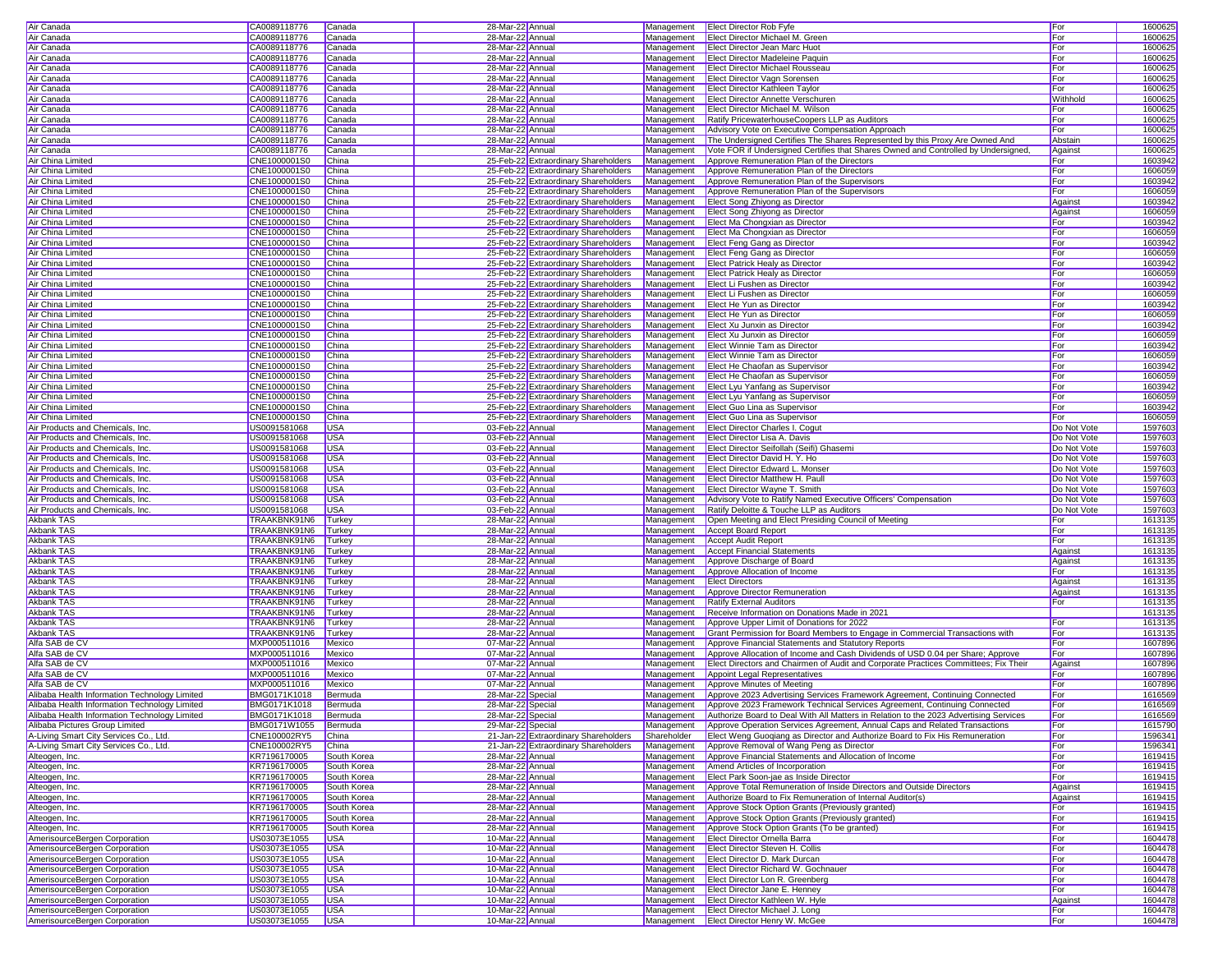| Air Canada                                                                                                                          | CA0089118776                 | Canada                   | 28-Mar-22 Annual                     |                                      |             | Management Elect Director Rob Fyfe                                                               | For         | 1600625            |
|-------------------------------------------------------------------------------------------------------------------------------------|------------------------------|--------------------------|--------------------------------------|--------------------------------------|-------------|--------------------------------------------------------------------------------------------------|-------------|--------------------|
| Air Canada                                                                                                                          | CA0089118776                 | Canada                   | 28-Mar-22 Annual                     |                                      |             | Management   Elect Director Michael M. Green                                                     | For         | 1600625            |
|                                                                                                                                     |                              |                          |                                      |                                      |             |                                                                                                  |             |                    |
| Air Canada                                                                                                                          | CA0089118776                 | Canada                   | 28-Mar-22 Annual                     |                                      | Management  | <b>Elect Director Jean Marc Huot</b>                                                             | For         | 1600625            |
| Air Canada                                                                                                                          | CA0089118776                 | Canada                   | 28-Mar-22 Annual                     |                                      | Management  | <b>Elect Director Madeleine Paquin</b>                                                           | For         | 1600625            |
| Air Canada                                                                                                                          | CA0089118776                 | Canada                   | 28-Mar-22 Annual                     |                                      |             | Management   Elect Director Michael Rousseau                                                     | For         | 1600625            |
| Air Canada                                                                                                                          | CA0089118776                 | Canada                   | 28-Mar-22 Annual                     |                                      |             | Management Elect Director Vagn Sorensen                                                          | For         | 1600625            |
| Air Canada                                                                                                                          | CA0089118776                 | Canada                   | 28-Mar-22 Annual                     |                                      | Management  | <b>Elect Director Kathleen Taylor</b>                                                            | For         | 1600625            |
| Air Canada                                                                                                                          | CA0089118776                 | Canada                   | 28-Mar-22 Annual                     |                                      | Management  | <b>Elect Director Annette Verschuren</b>                                                         | Withhold    | 1600625            |
| Air Canada                                                                                                                          | CA0089118776                 | Canada                   | 28-Mar-22 Annual                     |                                      | Management  | Elect Director Michael M. Wilson                                                                 | For         | 1600625            |
|                                                                                                                                     |                              |                          |                                      |                                      |             |                                                                                                  |             |                    |
| Air Canada                                                                                                                          | CA0089118776                 | Canada                   | 28-Mar-22 Annual                     |                                      | Management  | Ratify PricewaterhouseCoopers LLP as Auditors                                                    | For         | 1600625            |
| Air Canada                                                                                                                          | CA0089118776                 | Canada                   | 28-Mar-22 Annual                     |                                      | Management  | Advisory Vote on Executive Compensation Approach                                                 | For         | 1600625            |
| Air Canada                                                                                                                          | CA0089118776                 | Canada                   | 28-Mar-22 Annual                     |                                      | Management  | The Undersigned Certifies The Shares Represented by this Proxy Are Owned And                     | Abstain     | 1600625            |
| Air Canada                                                                                                                          | CA0089118776                 | Canada                   | 28-Mar-22 Annual                     |                                      | Management  | Vote FOR if Undersigned Certifies that Shares Owned and Controlled by Undersigned                | Against     | 1600625            |
| Air China Limited                                                                                                                   | CNE1000001S0                 | China                    |                                      | 25-Feb-22 Extraordinary Shareholders | Management  | Approve Remuneration Plan of the Directors                                                       | For         | 1603942            |
| Air China Limited                                                                                                                   | CNE1000001S0                 | China                    |                                      | 25-Feb-22 Extraordinary Shareholders |             | Management Approve Remuneration Plan of the Directors                                            | For         | 1606059            |
| Air China Limited                                                                                                                   | CNE1000001S0                 | China                    |                                      | 25-Feb-22 Extraordinary Shareholders | Management  |                                                                                                  | For         | 1603942            |
|                                                                                                                                     |                              |                          |                                      |                                      |             | Approve Remuneration Plan of the Supervisors                                                     |             |                    |
| Air China Limited                                                                                                                   | CNE1000001S0                 | China                    |                                      | 25-Feb-22 Extraordinary Shareholders | Management  | Approve Remuneration Plan of the Supervisors                                                     | For         | 1606059            |
| Air China Limited                                                                                                                   | CNE1000001S0                 | China                    |                                      | 25-Feb-22 Extraordinary Shareholders | Management  | Elect Song Zhiyong as Director                                                                   | Against     | 1603942            |
| Air China Limited                                                                                                                   | CNE1000001S0                 | China                    |                                      | 25-Feb-22 Extraordinary Shareholders | Management  | Elect Song Zhiyong as Director                                                                   | Against     | 1606059            |
| Air China Limited                                                                                                                   | CNE1000001S0                 | China                    |                                      | 25-Feb-22 Extraordinary Shareholders | Management  | Elect Ma Chongxian as Director                                                                   | For         | 1603942            |
| <b>Air China Limited</b>                                                                                                            | CNE1000001S0                 | China                    |                                      | 25-Feb-22 Extraordinary Shareholders | Management  | Elect Ma Chongxian as Director                                                                   | For         | 1606059            |
| Air China Limited                                                                                                                   | CNE1000001S0                 | China                    |                                      |                                      | Management  | <b>Elect Feng Gang as Director</b>                                                               | For         | 1603942            |
|                                                                                                                                     |                              |                          |                                      | 25-Feb-22 Extraordinary Shareholders |             |                                                                                                  |             |                    |
| Air China Limited                                                                                                                   | CNE1000001S0                 | China                    |                                      | 25-Feb-22 Extraordinary Shareholders |             | Management Elect Feng Gang as Director                                                           | For         | 1606059            |
| Air China Limited                                                                                                                   | CNE1000001S0                 | China                    |                                      | 25-Feb-22 Extraordinary Shareholders | Management  | <b>Elect Patrick Healy as Director</b>                                                           | For         | 1603942            |
| Air China Limited                                                                                                                   | CNE1000001S0                 | China                    |                                      | 25-Feb-22 Extraordinary Shareholders |             | Management Elect Patrick Healy as Director                                                       | For         | 1606059            |
| Air China Limited                                                                                                                   | CNE1000001S0                 | China                    |                                      | 25-Feb-22 Extraordinary Shareholders |             | Management Elect Li Fushen as Director                                                           | For         | 1603942            |
| Air China Limited                                                                                                                   | CNE1000001S0                 | China                    |                                      | 25-Feb-22 Extraordinary Shareholders | Management  | Elect Li Fushen as Director                                                                      | For         | 1606059            |
| Air China Limited                                                                                                                   | CNE1000001S0                 | China                    |                                      | 25-Feb-22 Extraordinary Shareholders | Management  | Elect He Yun as Director                                                                         | For         | 1603942            |
|                                                                                                                                     |                              |                          |                                      |                                      |             |                                                                                                  |             |                    |
| Air China Limited                                                                                                                   | CNE1000001S0                 | China                    |                                      | 25-Feb-22 Extraordinary Shareholders | Management  | Elect He Yun as Director                                                                         | For         | 1606059            |
| Air China Limited                                                                                                                   | CNE1000001S0                 | China                    |                                      | 25-Feb-22 Extraordinary Shareholders | Management  | <b>Elect Xu Junxin as Director</b>                                                               | For         | 1603942            |
| Air China Limited                                                                                                                   | CNE1000001S0                 | China                    |                                      | 25-Feb-22 Extraordinary Shareholders | Management  | Elect Xu Junxin as Director                                                                      | For         | 1606059            |
| Air China Limited                                                                                                                   | CNE1000001S0                 | China                    |                                      | 25-Feb-22 Extraordinary Shareholders | Management  | <b>Elect Winnie Tam as Director</b>                                                              | For         | 1603942            |
| Air China Limited                                                                                                                   | CNE1000001S0                 | China                    |                                      | 25-Feb-22 Extraordinary Shareholders | Management  | <b>Elect Winnie Tam as Director</b>                                                              | For         | 1606059            |
| Air China Limited                                                                                                                   | CNE1000001S0                 | China                    |                                      | 25-Feb-22 Extraordinary Shareholders | Management  | Elect He Chaofan as Supervisor                                                                   | For         | 1603942            |
|                                                                                                                                     |                              |                          |                                      | 25-Feb-22 Extraordinary Shareholders |             |                                                                                                  |             |                    |
| Air China Limited                                                                                                                   | CNE1000001S0                 | China                    |                                      |                                      |             | Management Elect He Chaofan as Supervisor                                                        | For         | 1606059            |
| Air China Limited                                                                                                                   | CNE1000001S0                 | China                    |                                      | 25-Feb-22 Extraordinary Shareholders |             | Management <b>Elect Lyu Yanfang as Supervisor</b>                                                | For         | 1603942            |
| Air China Limited                                                                                                                   | CNE1000001S0                 | China                    |                                      | 25-Feb-22 Extraordinary Shareholders |             | Management   Elect Lyu Yanfang as Supervisor                                                     | For         | 1606059            |
| Air China Limited                                                                                                                   | CNE1000001S0                 | China                    |                                      | 25-Feb-22 Extraordinary Shareholders | Management  | Elect Guo Lina as Supervisor                                                                     | For         | 1603942            |
| Air China Limited                                                                                                                   | CNE1000001S0                 | China                    |                                      | 25-Feb-22 Extraordinary Shareholders | Management  | Elect Guo Lina as Supervisor                                                                     | For         | 1606059            |
| Air Products and Chemicals, Inc.                                                                                                    | US0091581068                 | <b>USA</b>               | 03-Feb-22 Annual                     |                                      | Management  | <b>Elect Director Charles I. Cogut</b>                                                           | Do Not Vote | 1597603            |
| Air Products and Chemicals, Inc.                                                                                                    | US0091581068                 | <b>USA</b>               | 03-Feb-22 Annual                     |                                      | Management  | Elect Director Lisa A. Davis                                                                     | Do Not Vote | 1597603            |
|                                                                                                                                     |                              |                          |                                      |                                      |             |                                                                                                  |             |                    |
| Air Products and Chemicals, Inc.                                                                                                    | US0091581068                 | <b>USA</b>               | 03-Feb-22 Annual                     |                                      | Management  | Elect Director Seifollah (Seifi) Ghasemi                                                         | Do Not Vote | 1597603            |
| Air Products and Chemicals, Inc.                                                                                                    | US0091581068                 | <b>USA</b>               | 03-Feb-22 Annual                     |                                      | Management  | Elect Director David H. Y. Ho                                                                    | Do Not Vote | 1597603            |
| Air Products and Chemicals, Inc.                                                                                                    | US0091581068                 | <b>USA</b>               | 03-Feb-22 Annual                     |                                      | Management  | Elect Director Edward L. Monser                                                                  | Do Not Vote | 159760             |
| Air Products and Chemicals, Inc.                                                                                                    | US0091581068                 | <b>USA</b>               | 03-Feb-22 Annual                     |                                      |             | Management   Elect Director Matthew H. Paull                                                     | Do Not Vote | 1597603            |
| Air Products and Chemicals, Inc.                                                                                                    | US0091581068                 | <b>IUSA</b>              | 03-Feb-22 Annual                     |                                      |             | Management Elect Director Wayne T. Smith                                                         | Do Not Vote | 1597603            |
| Air Products and Chemicals, Inc.                                                                                                    | US0091581068                 | <b>USA</b>               | 03-Feb-22 Annual                     |                                      |             | Management Advisory Vote to Ratify Named Executive Officers' Compensation                        | Do Not Vote | 1597603            |
|                                                                                                                                     |                              |                          |                                      |                                      |             |                                                                                                  |             |                    |
| Air Products and Chemicals, Inc.                                                                                                    | US0091581068                 | <b>USA</b>               | 03-Feb-22 Annual                     |                                      | Management  | Ratify Deloitte & Touche LLP as Auditors                                                         | Do Not Vote | 1597603            |
| Akbank TAS                                                                                                                          | TRAAKBNK91N6                 | Turkey                   | 28-Mar-22 Annual                     |                                      | Management  | Open Meeting and Elect Presiding Council of Meeting                                              | For         | 1613135            |
| Akbank TAS                                                                                                                          | TRAAKBNK91N6                 | Turkey                   | 28-Mar-22 Annual                     |                                      | Management  | <b>Accept Board Report</b>                                                                       | For         | 1613135            |
| Akbank TAS                                                                                                                          | TRAAKBNK91N6 Turkey          |                          | 28-Mar-22 Annual                     |                                      | Management  | <b>Accept Audit Report</b>                                                                       | For         | 1613135            |
| Akbank TAS                                                                                                                          | TRAAKBNK91N6                 | Turkey                   | 28-Mar-22 Annual                     |                                      | Management  | <b>Accept Financial Statements</b>                                                               | Against     | 1613135            |
| Akbank TAS                                                                                                                          | TRAAKBNK91N6                 | Turkey                   | 28-Mar-22 Annual                     |                                      | Management  | Approve Discharge of Board                                                                       | Against     | 1613135            |
| Akbank TAS                                                                                                                          | TRAAKBNK91N6                 | Turkey                   |                                      |                                      | Management  |                                                                                                  | For         |                    |
|                                                                                                                                     |                              |                          | 28-Mar-22 Annual                     |                                      |             | Approve Allocation of Income                                                                     |             | 1613135            |
| Akbank TAS                                                                                                                          | TRAAKBNK91N6                 | Turkey                   | 28-Mar-22 Annual                     |                                      |             | Management Elect Directors                                                                       | Against     | 1613135            |
| Akbank TAS                                                                                                                          | TRAAKBNK91N6 Turkey          |                          | 28-Mar-22 Annual                     |                                      | Management  |                                                                                                  |             |                    |
| Akbank TAS                                                                                                                          | TRAAKBNK91N6 Turkey          |                          | 28-Mar-22 Annual                     |                                      |             | Approve Director Remuneration                                                                    | Against     | 1613135            |
| Akbank TAS                                                                                                                          | TRAAKBNK91N6                 |                          |                                      |                                      | Management  | <b>Ratify External Auditors</b>                                                                  | For         | 1613135            |
| Akbank TAS                                                                                                                          |                              | Turkey                   | 28-Mar-22 Annual                     |                                      | Management  | Receive Information on Donations Made in 2021                                                    |             |                    |
|                                                                                                                                     |                              |                          |                                      |                                      |             |                                                                                                  |             | 1613135            |
|                                                                                                                                     | TRAAKBNK91N6                 | Turkey                   | 28-Mar-22 Annual                     |                                      | Management  | Approve Upper Limit of Donations for 2022                                                        | For         | 1613135            |
| Akbank TAS                                                                                                                          | TRAAKBNK91N6                 | Turkey                   | 28-Mar-22 Annual                     |                                      | Management  | Grant Permission for Board Members to Engage in Commercial Transactions with                     | For         | 1613135            |
| Alfa SAB de C\                                                                                                                      | MXP000511016                 | Mexico                   | 07-Mar-22 Annual                     |                                      | Management  | Approve Financial Statements and Statutory Reports                                               | For         | 1607896            |
| Alfa SAB de CV                                                                                                                      | MXP000511016                 | Mexico                   | 07-Mar-22 Annual                     |                                      | Management  | Approve Allocation of Income and Cash Dividends of USD 0.04 per Share; Approve                   | For         | 1607896            |
| Alfa SAB de CV                                                                                                                      | MXP000511016                 | Mexico                   | 07-Mar-22 Annual                     |                                      |             | Management Elect Directors and Chairmen of Audit and Corporate Practices Committees; Fix Their   | Against     | 1607896            |
| Alfa SAB de CV                                                                                                                      | MXP000511016                 | Mexico                   | 07-Mar-22 Annual                     |                                      |             | Management   Appoint Legal Representatives                                                       | For         | 1607896            |
| Alfa SAB de CV                                                                                                                      | MXP000511016                 | Mexico                   | 07-Mar-22 Annual                     |                                      |             | Management <b>Approve Minutes of Meeting</b>                                                     | For         | 1607896            |
|                                                                                                                                     |                              |                          | 28-Mar-22 Special                    |                                      |             |                                                                                                  |             |                    |
| Alibaba Health Information Technology Limited                                                                                       | BMG0171K1018                 | Bermuda                  |                                      |                                      |             | Management Approve 2023 Advertising Services Framework Agreement, Continuing Connected           | For         | 1616569            |
| Alibaba Health Information Technology Limited                                                                                       | BMG0171K1018                 | Bermuda                  | 28-Mar-22 Special                    |                                      |             | Management Approve 2023 Framework Technical Services Agreement, Continuing Connected             | For         | 1616569            |
| Alibaba Health Information Technology Limited                                                                                       | <b>BMG0171K1018</b>          | Bermuda                  | 28-Mar-22 Special                    |                                      |             | Management Authorize Board to Deal With All Matters in Relation to the 2023 Advertising Services | For         | 1616569            |
| Alibaba Pictures Group Limited                                                                                                      | BMG0171W1055 Bermuda         |                          | 29-Mar-22 Special                    |                                      | Management  | Approve Operation Services Agreement, Annual Caps and Related Transactions                       | For         | 1615790            |
| A-Living Smart City Services Co., Ltd.                                                                                              | CNE100002RY5 China           |                          |                                      | 21-Jan-22 Extraordinary Shareholders | Shareholder | Elect Weng Guoqiang as Director and Authorize Board to Fix His Remuneration                      | For         | 1596341            |
| A-Living Smart City Services Co., Ltd.                                                                                              | CNE100002RY5                 | China                    |                                      | 21-Jan-22 Extraordinary Shareholders | Management  | Approve Removal of Wang Peng as Director                                                         | For         | 1596341            |
|                                                                                                                                     |                              |                          | 28-Mar-22 Annual                     |                                      | Management  |                                                                                                  |             |                    |
| Alteogen, Inc.                                                                                                                      | KR7196170005                 | South Korea              |                                      |                                      |             | Approve Financial Statements and Allocation of Income                                            | For         | 1619415            |
| Alteogen, Inc.                                                                                                                      | KR7196170005                 | South Korea              | 28-Mar-22 Annual                     |                                      | Management  | Amend Articles of Incorporation                                                                  | For         | 1619415            |
| Alteogen, Inc.                                                                                                                      | KR7196170005                 | South Korea              | 28-Mar-22 Annual                     |                                      | Management  | Elect Park Soon-jae as Inside Director                                                           | For         | 1619415            |
| Alteogen, Inc.                                                                                                                      | KR7196170005                 | South Korea              | 28-Mar-22 Annual                     |                                      | Management  | Approve Total Remuneration of Inside Directors and Outside Directors                             | Against     | 1619415            |
| Alteogen, Inc.                                                                                                                      | KR7196170005                 | South Korea              | 28-Mar-22 Annual                     |                                      | Management  | Authorize Board to Fix Remuneration of Internal Auditor(s)                                       | Against     | 1619415            |
| Alteogen, Inc.                                                                                                                      | KR7196170005                 | South Korea              | 28-Mar-22 Annual                     |                                      | Management  | Approve Stock Option Grants (Previously granted)                                                 | For         | 1619415            |
|                                                                                                                                     |                              |                          |                                      |                                      | Management  | Approve Stock Option Grants (Previously granted)                                                 | For         |                    |
|                                                                                                                                     | KR7196170005                 | South Korea              | 28-Mar-22 Annual                     |                                      |             |                                                                                                  |             | 1619415            |
|                                                                                                                                     | KR7196170005                 | South Korea              | 28-Mar-22 Annual                     |                                      | Management  | Approve Stock Option Grants (To be granted)                                                      | For         | 1619415            |
|                                                                                                                                     | US03073E1055                 | <b>USA</b>               | 10-Mar-22 Annual                     |                                      | Management  | <b>Elect Director Ornella Barra</b>                                                              | For         | 1604478            |
|                                                                                                                                     | US03073E1055                 | <b>USA</b>               | 10-Mar-22 Annual                     |                                      |             | Management   Elect Director Steven H. Collis                                                     | For         | 1604478            |
| Alteogen, Inc.<br>Alteogen, Inc.<br>AmerisourceBergen Corporation<br>AmerisourceBergen Corporation<br>AmerisourceBergen Corporation | US03073E1055                 | <b>USA</b>               | 10-Mar-22 Annual                     |                                      | Management  | <b>Elect Director D. Mark Durcan</b>                                                             | For         | 1604478            |
| AmerisourceBergen Corporation                                                                                                       | US03073E1055                 | <b>USA</b>               | 10-Mar-22 Annual                     |                                      | Management  | Elect Director Richard W. Gochnauer                                                              | For         | 1604478            |
| AmerisourceBergen Corporation                                                                                                       | US03073E1055                 |                          |                                      |                                      | Management  | Elect Director Lon R. Greenberg                                                                  |             | 1604478            |
|                                                                                                                                     |                              | <b>USA</b>               | 10-Mar-22 Annual                     |                                      |             |                                                                                                  | For         |                    |
| AmerisourceBergen Corporation                                                                                                       | US03073E1055                 | <b>USA</b>               | 10-Mar-22 Annual                     |                                      |             | Management Elect Director Jane E. Henney                                                         | For         | 1604478            |
| AmerisourceBergen Corporation                                                                                                       | US03073E1055                 | <b>USA</b>               | 10-Mar-22 Annual                     |                                      |             | Management Elect Director Kathleen W. Hyle                                                       | Against     | 1604478            |
| AmerisourceBergen Corporation<br>AmerisourceBergen Corporation                                                                      | US03073E1055<br>US03073E1055 | <b>USA</b><br><b>USA</b> | 10-Mar-22 Annual<br>10-Mar-22 Annual |                                      |             | Management Elect Director Michael J. Long<br>Management Elect Director Henry W. McGee            | For<br>For  | 1604478<br>1604478 |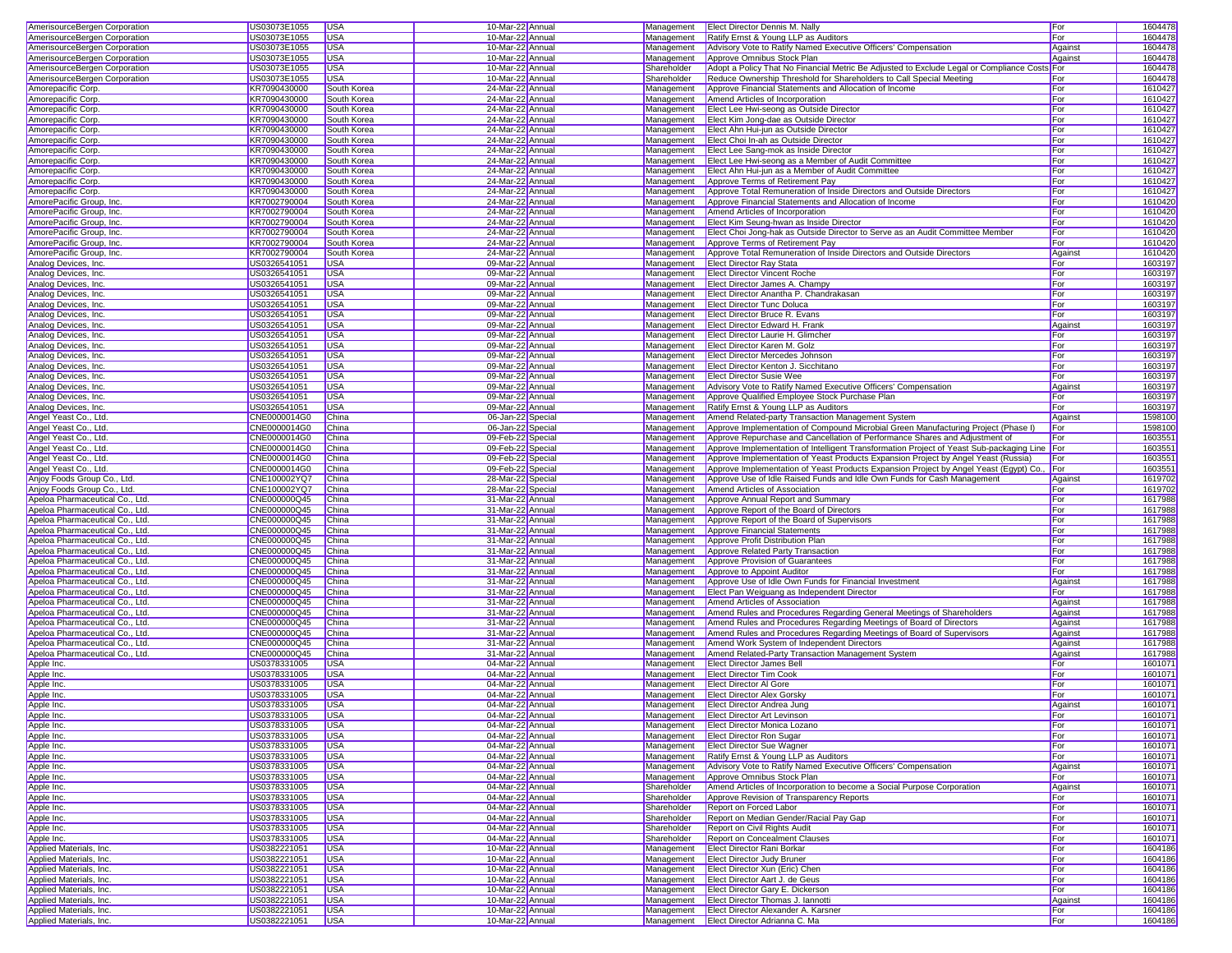| AmerisourceBergen Corporation                                                                                                                                                                                                                                                                                                                                                                                                    | US03073E1055                 | USA                      | 10-Mar-22 Annual                     |             | Management Elect Director Dennis M. Nally                                                      | For        | 1604478            |
|----------------------------------------------------------------------------------------------------------------------------------------------------------------------------------------------------------------------------------------------------------------------------------------------------------------------------------------------------------------------------------------------------------------------------------|------------------------------|--------------------------|--------------------------------------|-------------|------------------------------------------------------------------------------------------------|------------|--------------------|
| AmerisourceBergen Corporation                                                                                                                                                                                                                                                                                                                                                                                                    | US03073E1055                 | USA                      | 10-Mar-22 Annual                     | Management  | Ratify Ernst & Young LLP as Auditors                                                           | For        | 1604478            |
| AmerisourceBergen Corporation                                                                                                                                                                                                                                                                                                                                                                                                    | US03073E1055                 | <b>USA</b>               | 10-Mar-22 Annual                     | Management  | Advisory Vote to Ratify Named Executive Officers' Compensation                                 | Against    | 1604478            |
| AmerisourceBergen Corporation                                                                                                                                                                                                                                                                                                                                                                                                    | US03073E1055                 | <b>USA</b>               | 10-Mar-22 Annual                     | Management  | Approve Omnibus Stock Plan                                                                     | Against    | 1604478            |
| AmerisourceBergen Corporation                                                                                                                                                                                                                                                                                                                                                                                                    | US03073E1055                 | <b>USA</b>               | 10-Mar-22 Annual                     | Shareholder | Adopt a Policy That No Financial Metric Be Adjusted to Exclude Legal or Compliance Costs For   |            | 1604478            |
|                                                                                                                                                                                                                                                                                                                                                                                                                                  |                              |                          |                                      |             |                                                                                                |            |                    |
| AmerisourceBergen Corporation                                                                                                                                                                                                                                                                                                                                                                                                    | US03073E1055                 | <b>USA</b>               | 10-Mar-22 Annual                     | Shareholder | Reduce Ownership Threshold for Shareholders to Call Special Meeting                            | For        | 1604478            |
| Amorepacific Corp.                                                                                                                                                                                                                                                                                                                                                                                                               | KR7090430000                 | South Korea              | 24-Mar-22 Annual                     | Management  | Approve Financial Statements and Allocation of Income                                          | For        | 1610427            |
| Amorepacific Corp.                                                                                                                                                                                                                                                                                                                                                                                                               | KR7090430000                 | South Korea              | 24-Mar-22 Annual                     | Management  | Amend Articles of Incorporation                                                                | For        | 1610427            |
| Amorepacific Corp.                                                                                                                                                                                                                                                                                                                                                                                                               | KR7090430000                 | South Korea              | 24-Mar-22 Annual                     | Management  | Elect Lee Hwi-seong as Outside Director                                                        | For        | 1610427            |
| Amorepacific Corp.                                                                                                                                                                                                                                                                                                                                                                                                               | KR7090430000                 | South Korea              | 24-Mar-22 Annual                     | Management  | Elect Kim Jong-dae as Outside Director                                                         | For        | 1610427            |
|                                                                                                                                                                                                                                                                                                                                                                                                                                  |                              |                          |                                      |             |                                                                                                |            |                    |
| Amorepacific Corp.                                                                                                                                                                                                                                                                                                                                                                                                               | KR7090430000                 | South Korea              | 24-Mar-22 Annual                     | Management  | Elect Ahn Hui-jun as Outside Director                                                          | For        | 1610427            |
| Amorepacific Corp.                                                                                                                                                                                                                                                                                                                                                                                                               | KR7090430000                 | South Korea              | 24-Mar-22 Annual                     | Management  | Elect Choi In-ah as Outside Director                                                           | For        | 1610427            |
| Amorepacific Corp.                                                                                                                                                                                                                                                                                                                                                                                                               | KR7090430000                 | South Korea              | 24-Mar-22 Annual                     | Management  | Elect Lee Sang-mok as Inside Director                                                          | For        | 1610427            |
| Amorepacific Corp.                                                                                                                                                                                                                                                                                                                                                                                                               | KR7090430000                 | South Korea              | 24-Mar-22 Annual                     | Management  | Elect Lee Hwi-seong as a Member of Audit Committee                                             | For        | 1610427            |
|                                                                                                                                                                                                                                                                                                                                                                                                                                  | KR7090430000                 |                          |                                      |             |                                                                                                |            | 1610427            |
| Amorepacific Corp.                                                                                                                                                                                                                                                                                                                                                                                                               |                              | South Korea              | 24-Mar-22 Annual                     | Management  | Elect Ahn Hui-jun as a Member of Audit Committee                                               | For        |                    |
| Amorepacific Corp.                                                                                                                                                                                                                                                                                                                                                                                                               | KR7090430000                 | South Korea              | 24-Mar-22 Annual                     | Management  | Approve Terms of Retirement Pay                                                                | For        | 1610427            |
| Amorepacific Corp.                                                                                                                                                                                                                                                                                                                                                                                                               | KR7090430000                 | South Korea              | 24-Mar-22 Annual                     | Management  | Approve Total Remuneration of Inside Directors and Outside Directors                           | For        | 1610427            |
| AmorePacific Group, Inc.                                                                                                                                                                                                                                                                                                                                                                                                         | KR7002790004                 | South Korea              | 24-Mar-22 Annual                     | Management  | Approve Financial Statements and Allocation of Income                                          | For        | 1610420            |
| AmorePacific Group, Inc.                                                                                                                                                                                                                                                                                                                                                                                                         | KR7002790004                 | South Korea              | 24-Mar-22 Annual                     | Management  | Amend Articles of Incorporation                                                                | For        | 1610420            |
|                                                                                                                                                                                                                                                                                                                                                                                                                                  | KR7002790004                 |                          |                                      |             |                                                                                                |            | 1610420            |
| AmorePacific Group, Inc.                                                                                                                                                                                                                                                                                                                                                                                                         |                              | South Korea              | 24-Mar-22 Annual                     | Management  | Elect Kim Seung-hwan as Inside Director                                                        | For        |                    |
| AmorePacific Group, Inc.                                                                                                                                                                                                                                                                                                                                                                                                         | KR7002790004                 | South Korea              | 24-Mar-22 Annual                     | Management  | Elect Choi Jong-hak as Outside Director to Serve as an Audit Committee Member                  | For        | 1610420            |
| AmorePacific Group, Inc.                                                                                                                                                                                                                                                                                                                                                                                                         | KR7002790004                 | South Korea              | 24-Mar-22 Annual                     | Management  | Approve Terms of Retirement Pay                                                                | For        | 1610420            |
| AmorePacific Group, Inc.                                                                                                                                                                                                                                                                                                                                                                                                         | KR7002790004                 | South Korea              | 24-Mar-22 Annual                     | Management  | Approve Total Remuneration of Inside Directors and Outside Directors                           | Against    | 1610420            |
| Analog Devices, Inc.                                                                                                                                                                                                                                                                                                                                                                                                             | US0326541051                 | <b>USA</b>               | 09-Mar-22 Annual                     | Management  | <b>Elect Director Ray Stata</b>                                                                | For        | 1603197            |
| Analog Devices, Inc.                                                                                                                                                                                                                                                                                                                                                                                                             | US0326541051                 | <b>USA</b>               | 09-Mar-22 Annual                     | Management  | <b>Elect Director Vincent Roche</b>                                                            | For        | 1603197            |
|                                                                                                                                                                                                                                                                                                                                                                                                                                  |                              |                          |                                      |             |                                                                                                |            |                    |
| Analog Devices, Inc.                                                                                                                                                                                                                                                                                                                                                                                                             | US0326541051                 | <b>USA</b>               | 09-Mar-22 Annual                     | Management  | Elect Director James A. Champy                                                                 | For        | 1603197            |
| Analog Devices, Inc.                                                                                                                                                                                                                                                                                                                                                                                                             | US0326541051                 | <b>USA</b>               | 09-Mar-22 Annual                     | Management  | Elect Director Anantha P. Chandrakasan                                                         | For        | 1603197            |
| Analog Devices, Inc.                                                                                                                                                                                                                                                                                                                                                                                                             | US0326541051                 | <b>USA</b>               | 09-Mar-22 Annual                     | Management  | Elect Director Tunc Doluca                                                                     | For        | 1603197            |
| Analog Devices, Inc.                                                                                                                                                                                                                                                                                                                                                                                                             | US0326541051                 | <b>USA</b>               | 09-Mar-22 Annual                     | Management  | Elect Director Bruce R. Evans                                                                  | For        | 1603197            |
| Analog Devices, Inc.                                                                                                                                                                                                                                                                                                                                                                                                             | US0326541051                 | <b>USA</b>               | 09-Mar-22 Annual                     | Management  | Elect Director Edward H. Frank                                                                 | Against    | 1603197            |
|                                                                                                                                                                                                                                                                                                                                                                                                                                  |                              |                          |                                      |             |                                                                                                |            |                    |
| Analog Devices, Inc.                                                                                                                                                                                                                                                                                                                                                                                                             | US0326541051                 | USA                      | 09-Mar-22 Annual                     | Management  | Elect Director Laurie H. Glimcher                                                              | For        | 1603197            |
| Analog Devices, Inc.                                                                                                                                                                                                                                                                                                                                                                                                             | US0326541051                 | USA                      | 09-Mar-22 Annual                     | Management  | Elect Director Karen M. Golz                                                                   | For        | 1603197            |
| Analog Devices, Inc.                                                                                                                                                                                                                                                                                                                                                                                                             | US0326541051                 | <b>USA</b>               | 09-Mar-22 Annual                     | Management  | Elect Director Mercedes Johnson                                                                | For        | 1603197            |
| Analog Devices, Inc.                                                                                                                                                                                                                                                                                                                                                                                                             | US0326541051                 | USA                      | 09-Mar-22 Annual                     | Management  | Elect Director Kenton J. Sicchitano                                                            | For        | 1603197            |
| Analog Devices, Inc.                                                                                                                                                                                                                                                                                                                                                                                                             | US0326541051                 | <b>USA</b>               | 09-Mar-22 Annual                     | Management  | <b>Elect Director Susie Wee</b>                                                                | For        | 1603197            |
|                                                                                                                                                                                                                                                                                                                                                                                                                                  |                              |                          |                                      |             |                                                                                                |            |                    |
| Analog Devices, Inc.                                                                                                                                                                                                                                                                                                                                                                                                             | US0326541051                 | <b>USA</b>               | 09-Mar-22 Annual                     | Management  | Advisory Vote to Ratify Named Executive Officers' Compensation                                 | Against    | 1603197            |
| Analog Devices, Inc.                                                                                                                                                                                                                                                                                                                                                                                                             | US0326541051                 | <b>USA</b>               | 09-Mar-22 Annual                     | Management  | Approve Qualified Employee Stock Purchase Plan                                                 | For        | 1603197            |
| Analog Devices, Inc.                                                                                                                                                                                                                                                                                                                                                                                                             | US0326541051                 | <b>USA</b>               | 09-Mar-22 Annual                     | Management  | Ratify Ernst & Young LLP as Auditors                                                           | For        | 1603197            |
| Angel Yeast Co., Ltd.                                                                                                                                                                                                                                                                                                                                                                                                            | CNE0000014G0                 | China                    | 06-Jan-22 Special                    | Management  | Amend Related-party Transaction Management System                                              | Against    | 1598100            |
| Angel Yeast Co., Ltd                                                                                                                                                                                                                                                                                                                                                                                                             | CNE0000014G0                 | China                    | 06-Jan-22 Special                    | Management  | Approve Implementation of Compound Microbial Green Manufacturing Project (Phase I)             | For        | 1598100            |
|                                                                                                                                                                                                                                                                                                                                                                                                                                  |                              |                          |                                      |             |                                                                                                |            |                    |
| Angel Yeast Co., Ltd                                                                                                                                                                                                                                                                                                                                                                                                             | CNE0000014G0                 | China                    | 09-Feb-22 Special                    | Management  | Approve Repurchase and Cancellation of Performance Shares and Adjustment of                    | For        | 1603551            |
| Angel Yeast Co., Ltd                                                                                                                                                                                                                                                                                                                                                                                                             | CNE0000014G0                 | China                    | 09-Feb-22 Special                    | Management  | Approve Implementation of Intelligent Transformation Project of Yeast Sub-packaging Line   For |            | 160355             |
| Angel Yeast Co., Ltd                                                                                                                                                                                                                                                                                                                                                                                                             | CNE0000014G0                 | China                    | 09-Feb-22 Special                    | Management  | Approve Implementation of Yeast Products Expansion Project by Angel Yeast (Russia)             | For        | 160355             |
| Angel Yeast Co., Ltd.                                                                                                                                                                                                                                                                                                                                                                                                            | CNE0000014G0                 | China                    | 09-Feb-22 Special                    | Management  | Approve Implementation of Yeast Products Expansion Project by Angel Yeast (Egypt) Co., For     |            | 160355             |
|                                                                                                                                                                                                                                                                                                                                                                                                                                  |                              |                          |                                      |             |                                                                                                |            |                    |
|                                                                                                                                                                                                                                                                                                                                                                                                                                  |                              |                          |                                      |             |                                                                                                |            |                    |
| Anjoy Foods Group Co., Ltd.                                                                                                                                                                                                                                                                                                                                                                                                      | CNE100002YQ7                 | China                    | 28-Mar-22 Special                    | Management  | Approve Use of Idle Raised Funds and Idle Own Funds for Cash Management                        | Against    | 1619702            |
| Anjoy Foods Group Co., Ltd.                                                                                                                                                                                                                                                                                                                                                                                                      | CNE100002YQ7                 | China                    | 28-Mar-22 Special                    | Management  | Amend Articles of Association                                                                  | For        | 1619702            |
| Apeloa Pharmaceutical Co., Ltd.                                                                                                                                                                                                                                                                                                                                                                                                  | CNE000000Q45                 | China                    | 31-Mar-22 Annual                     | Management  | Approve Annual Report and Summary                                                              | For        | 1617988            |
|                                                                                                                                                                                                                                                                                                                                                                                                                                  |                              | China                    | 31-Mar-22 Annual                     |             |                                                                                                | For        |                    |
|                                                                                                                                                                                                                                                                                                                                                                                                                                  | CNE000000Q45                 |                          |                                      | Management  | Approve Report of the Board of Directors                                                       |            | 1617988            |
|                                                                                                                                                                                                                                                                                                                                                                                                                                  | CNE000000Q45                 | China                    | 31-Mar-22 Annual                     | Management  | Approve Report of the Board of Supervisors                                                     | For        | 1617988            |
|                                                                                                                                                                                                                                                                                                                                                                                                                                  | CNE000000Q45                 | China                    | 31-Mar-22 Annual                     | Management  | Approve Financial Statements                                                                   | For        | 1617988            |
|                                                                                                                                                                                                                                                                                                                                                                                                                                  | CNE000000Q45                 | China                    | 31-Mar-22 Annual                     | Management  | Approve Profit Distribution Plan                                                               | For        | 1617988            |
|                                                                                                                                                                                                                                                                                                                                                                                                                                  | CNE000000Q45                 | China                    | 31-Mar-22 Annual                     | Management  | Approve Related Party Transaction                                                              | For        | 1617988            |
|                                                                                                                                                                                                                                                                                                                                                                                                                                  | CNE000000Q45                 | China                    | 31-Mar-22 Annual                     | Management  | Approve Provision of Guarantees                                                                | For        | 1617988            |
|                                                                                                                                                                                                                                                                                                                                                                                                                                  |                              |                          |                                      |             |                                                                                                |            |                    |
|                                                                                                                                                                                                                                                                                                                                                                                                                                  | CNE000000Q45                 | China                    | 31-Mar-22 Annual                     | Management  | Approve to Appoint Auditor                                                                     | For        | 1617988            |
|                                                                                                                                                                                                                                                                                                                                                                                                                                  | CNE000000Q45                 | China                    | 31-Mar-22 Annual                     | Management  | Approve Use of Idle Own Funds for Financial Investment                                         | Against    | 1617988            |
|                                                                                                                                                                                                                                                                                                                                                                                                                                  | CNE000000Q45                 | China                    | 31-Mar-22 Annual                     | Management  | Elect Pan Weiguang as Independent Director                                                     | For        | 1617988            |
|                                                                                                                                                                                                                                                                                                                                                                                                                                  | CNE000000Q45                 | China                    | 31-Mar-22 Annual                     | Management  | Amend Articles of Association                                                                  | Against    | 1617988            |
|                                                                                                                                                                                                                                                                                                                                                                                                                                  | CNE000000Q45                 | China                    | 31-Mar-22 Annual                     | Management  | Amend Rules and Procedures Regarding General Meetings of Shareholders                          | Against    | 1617988            |
| Apeloa Pharmaceutical Co., Ltd.<br>Apeloa Pharmaceutical Co., Ltd.<br>Apeloa Pharmaceutical Co., Ltd.<br>Apeloa Pharmaceutical Co., Ltd.<br>Apeloa Pharmaceutical Co., Ltd.<br>Apeloa Pharmaceutical Co., Ltd.<br>Apeloa Pharmaceutical Co., Ltd.<br>Apeloa Pharmaceutical Co., Ltd.<br>Apeloa Pharmaceutical Co., Ltd.<br>Apeloa Pharmaceutical Co., Ltd.<br>Apeloa Pharmaceutical Co., Ltd.<br>Apeloa Pharmaceutical Co., Ltd. | CNE000000Q45                 | China                    | 31-Mar-22 Annual                     | Management  | Amend Rules and Procedures Regarding Meetings of Board of Directors                            | Against    | 1617988            |
|                                                                                                                                                                                                                                                                                                                                                                                                                                  |                              |                          |                                      |             |                                                                                                |            |                    |
|                                                                                                                                                                                                                                                                                                                                                                                                                                  | CNE000000Q45                 | China                    | 31-Mar-22 Annual                     | Management  | Amend Rules and Procedures Regarding Meetings of Board of Supervisors                          | Against    | 1617988            |
|                                                                                                                                                                                                                                                                                                                                                                                                                                  | CNE000000Q45                 | China                    | 31-Mar-22 Annual                     | Management  | Amend Work System of Independent Directors                                                     | Against    | 1617988            |
|                                                                                                                                                                                                                                                                                                                                                                                                                                  | CNE000000Q45                 | China                    | 31-Mar-22 Annual                     | Management  | Amend Related-Party Transaction Management System                                              | Against    | 1617988            |
| Apeloa Pharmaceutical Co., Ltd.<br>Apeloa Pharmaceutical Co., Ltd.<br>Apeloa Pharmaceutical Co., Ltd.<br>Apple Inc.                                                                                                                                                                                                                                                                                                              | US0378331005                 | USA                      | 04-Mar-22 Annual                     | Management  | <b>Elect Director James Bell</b>                                                               | For        | 1601071            |
|                                                                                                                                                                                                                                                                                                                                                                                                                                  | US0378331005                 | USA                      | 04-Mar-22 Annual                     | Management  | <b>Elect Director Tim Cook</b>                                                                 | For        | 1601071            |
|                                                                                                                                                                                                                                                                                                                                                                                                                                  | US0378331005                 | USA                      | 04-Mar-22 Annual                     | Management  | <b>Elect Director Al Gore</b>                                                                  | For        | 1601071            |
| Apple Inc.<br>Apple Inc.                                                                                                                                                                                                                                                                                                                                                                                                         |                              |                          |                                      |             |                                                                                                |            |                    |
| Apple Inc.                                                                                                                                                                                                                                                                                                                                                                                                                       | US0378331005                 | USA                      | 04-Mar-22 Annual                     | Management  | <b>Elect Director Alex Gorsky</b>                                                              | For        | 1601071            |
|                                                                                                                                                                                                                                                                                                                                                                                                                                  | US0378331005                 | USA                      | 04-Mar-22 Annual                     |             | Management   Elect Director Andrea Jung                                                        | Against    | 1601071            |
| Apple Inc.<br><u>Apple Inc.</u>                                                                                                                                                                                                                                                                                                                                                                                                  | US0378331005                 | <b>USA</b>               | 04-Mar-22 Annual                     |             | Management <b>Elect Director Art Levinson</b>                                                  | For        | 1601071            |
|                                                                                                                                                                                                                                                                                                                                                                                                                                  | US0378331005                 | USA                      | 04-Mar-22 Annual                     | Management  | <b>Elect Director Monica Lozano</b>                                                            | For        | 1601071            |
|                                                                                                                                                                                                                                                                                                                                                                                                                                  | US0378331005                 | <b>USA</b>               | 04-Mar-22 Annual                     | Management  | <b>Elect Director Ron Sugar</b>                                                                | For        | 1601071            |
|                                                                                                                                                                                                                                                                                                                                                                                                                                  | US0378331005                 |                          |                                      |             |                                                                                                |            |                    |
|                                                                                                                                                                                                                                                                                                                                                                                                                                  |                              | <b>USA</b>               | 04-Mar-22 Annual                     | Management  | <b>Elect Director Sue Wagner</b>                                                               | For        | 1601071            |
|                                                                                                                                                                                                                                                                                                                                                                                                                                  | US0378331005                 | <b>USA</b>               | 04-Mar-22 Annual                     | Management  | Ratify Ernst & Young LLP as Auditors                                                           | For        | 1601071            |
|                                                                                                                                                                                                                                                                                                                                                                                                                                  | US0378331005                 | <b>USA</b>               | 04-Mar-22 Annual                     | Management  | Advisory Vote to Ratify Named Executive Officers' Compensation                                 | Against    | 1601071            |
|                                                                                                                                                                                                                                                                                                                                                                                                                                  | US0378331005                 | <b>USA</b>               | 04-Mar-22 Annual                     | Management  | Approve Omnibus Stock Plan                                                                     | For        | 1601071            |
|                                                                                                                                                                                                                                                                                                                                                                                                                                  | US0378331005                 | <b>USA</b>               | 04-Mar-22 Annual                     | Shareholder | Amend Articles of Incorporation to become a Social Purpose Corporation                         | Against    | 1601071            |
|                                                                                                                                                                                                                                                                                                                                                                                                                                  | US0378331005                 | <b>USA</b>               | 04-Mar-22 Annual                     | Shareholder | Approve Revision of Transparency Reports                                                       | For        | 1601071            |
|                                                                                                                                                                                                                                                                                                                                                                                                                                  |                              |                          |                                      |             |                                                                                                |            |                    |
|                                                                                                                                                                                                                                                                                                                                                                                                                                  | US0378331005                 | <b>USA</b>               | 04-Mar-22 Annual                     | Shareholder | Report on Forced Labor                                                                         | For        | 1601071            |
|                                                                                                                                                                                                                                                                                                                                                                                                                                  | US0378331005                 | <b>USA</b>               | 04-Mar-22 Annual                     | Shareholder | Report on Median Gender/Racial Pay Gap                                                         | For        | 1601071            |
|                                                                                                                                                                                                                                                                                                                                                                                                                                  | US0378331005                 | USA                      | 04-Mar-22 Annual                     | Shareholder | Report on Civil Rights Audit                                                                   | For        | 1601071            |
|                                                                                                                                                                                                                                                                                                                                                                                                                                  | US0378331005                 | <b>USA</b>               | 04-Mar-22 Annual                     | Shareholder | Report on Concealment Clauses                                                                  | For        | 1601071            |
|                                                                                                                                                                                                                                                                                                                                                                                                                                  | US0382221051                 | <b>USA</b>               | 10-Mar-22 Annual                     | Management  | <b>Elect Director Rani Borkar</b>                                                              | For        | 1604186            |
|                                                                                                                                                                                                                                                                                                                                                                                                                                  |                              |                          |                                      |             |                                                                                                |            |                    |
|                                                                                                                                                                                                                                                                                                                                                                                                                                  | US0382221051                 | <b>USA</b>               | 10-Mar-22 Annual                     | Management  | <b>Elect Director Judy Bruner</b>                                                              | For        | 1604186            |
|                                                                                                                                                                                                                                                                                                                                                                                                                                  | US0382221051                 | <b>USA</b>               | 10-Mar-22 Annual                     | Management  | Elect Director Xun (Eric) Chen                                                                 | For        | 1604186            |
| <u>Apple Inc.</u><br>Apple Inc.<br>Apple Inc.<br>Apple Inc.<br>Apple Inc.<br>Apple Inc.<br>Apple Inc.<br>Apple Inc.<br>Apple Inc.<br>Apple Inc.<br>Apple Inc.<br>Apple Inc.<br>Applied Materials, Inc.<br>Applied Materials, Inc.<br>Applied Materials, Inc.<br>Applied Materials, Inc.                                                                                                                                          | US0382221051                 | <b>USA</b>               | 10-Mar-22 Annual                     | Management  | Elect Director Aart J. de Geus                                                                 | For        | 1604186            |
| Applied Materials, Inc.                                                                                                                                                                                                                                                                                                                                                                                                          | US0382221051                 | <b>USA</b>               | 10-Mar-22 Annual                     | Management  | <b>Elect Director Gary E. Dickerson</b>                                                        | For        | 1604186            |
| Applied Materials, Inc.                                                                                                                                                                                                                                                                                                                                                                                                          | US0382221051                 | <b>USA</b>               | 10-Mar-22 Annual                     | Management  | <b>Elect Director Thomas J. lannotti</b>                                                       | Against    | 1604186            |
|                                                                                                                                                                                                                                                                                                                                                                                                                                  |                              |                          |                                      | Management  |                                                                                                |            |                    |
| Applied Materials, Inc.<br>Applied Materials, Inc.                                                                                                                                                                                                                                                                                                                                                                               | US0382221051<br>US0382221051 | <b>USA</b><br><b>USA</b> | 10-Mar-22 Annual<br>10-Mar-22 Annual |             | Elect Director Alexander A. Karsner<br>Management Elect Director Adrianna C. Ma                | For<br>For | 1604186<br>1604186 |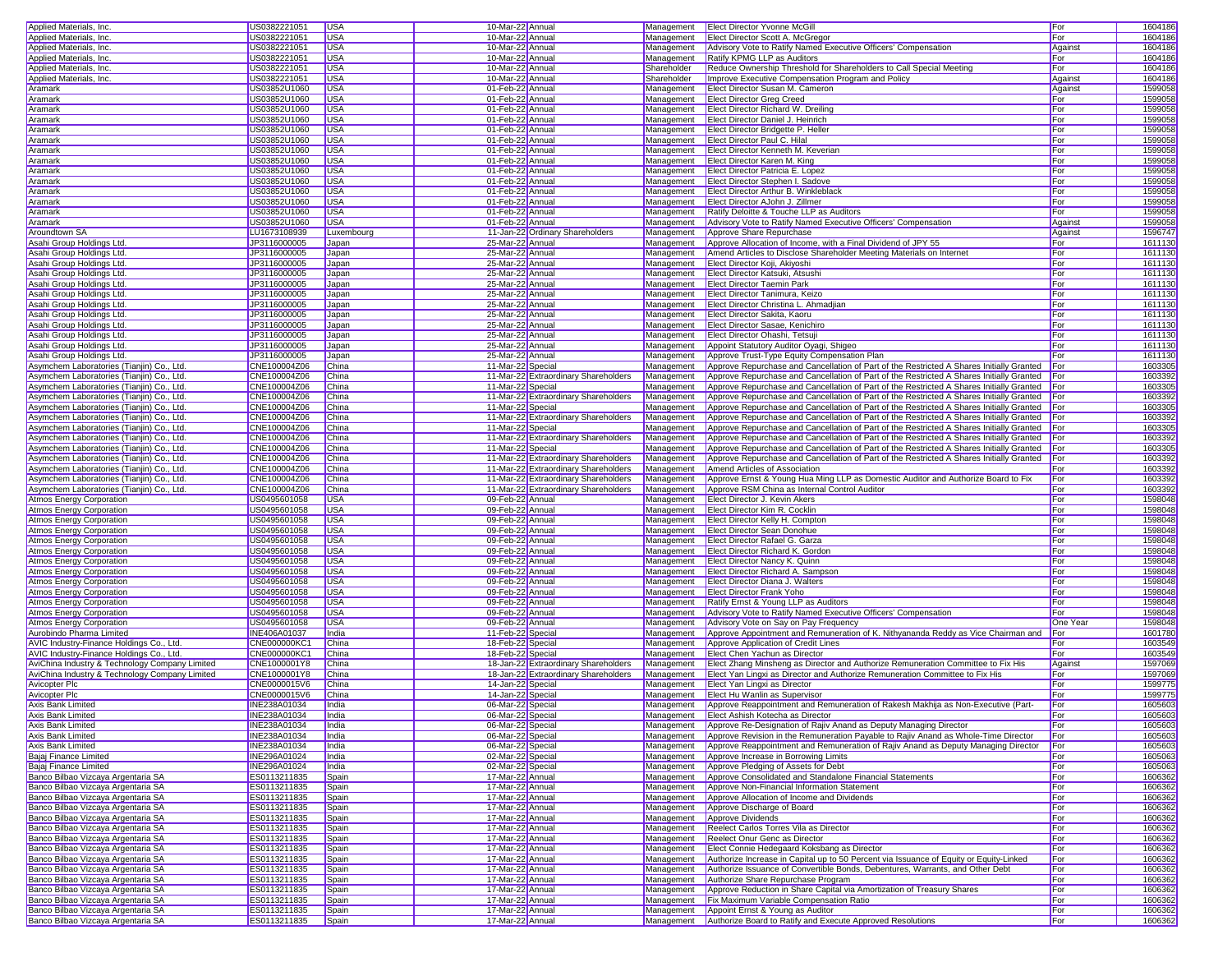| Applied Materials, Inc.                        | US0382221051        | <b>USA</b>   | 10-Mar-22 Annual  |                                      |             | Management   Elect Director Yvonne McGill                                                    | For        | 1604186 |
|------------------------------------------------|---------------------|--------------|-------------------|--------------------------------------|-------------|----------------------------------------------------------------------------------------------|------------|---------|
| Applied Materials, Inc.                        | US0382221051        | <b>USA</b>   | 10-Mar-22 Annual  |                                      | Management  | Elect Director Scott A. McGregor                                                             | For        | 1604186 |
| Applied Materials, Inc.                        | US0382221051        | <b>USA</b>   | 10-Mar-22 Annual  |                                      | Management  | Advisory Vote to Ratify Named Executive Officers' Compensation                               | Against    | 1604186 |
|                                                |                     |              |                   |                                      |             |                                                                                              |            |         |
| Applied Materials, Inc.                        | US0382221051        | <b>USA</b>   | 10-Mar-22 Annual  |                                      | Management  | Ratify KPMG LLP as Auditors                                                                  | For        | 1604186 |
| Applied Materials, Inc.                        | US0382221051        | <b>USA</b>   | 10-Mar-22 Annual  |                                      | Shareholder | Reduce Ownership Threshold for Shareholders to Call Special Meeting                          | For        | 1604186 |
| Applied Materials, Inc.                        | US0382221051        | <b>USA</b>   | 10-Mar-22 Annual  |                                      | Shareholder | Improve Executive Compensation Program and Policy                                            | Against    | 1604186 |
| Aramark                                        | US03852U1060        | <b>USA</b>   | 01-Feb-22 Annual  |                                      | Management  | Elect Director Susan M. Cameron                                                              | Against    | 1599058 |
| Aramark                                        | US03852U1060        | <b>USA</b>   | 01-Feb-22 Annual  |                                      | Management  | <b>Elect Director Greg Creed</b>                                                             | For        | 1599058 |
| Aramark                                        | US03852U1060        | <b>USA</b>   | 01-Feb-22 Annual  |                                      | Management  | Elect Director Richard W. Dreiling                                                           | For        | 1599058 |
| Aramark                                        | US03852U1060        | <b>USA</b>   | 01-Feb-22 Annual  |                                      | Management  | Elect Director Daniel J. Heinrich                                                            | For        | 1599058 |
| Aramark                                        | US03852U1060        | <b>USA</b>   | 01-Feb-22 Annual  |                                      | Management  | Elect Director Bridgette P. Heller                                                           | For        | 1599058 |
| Aramark                                        | US03852U1060        | <b>USA</b>   | 01-Feb-22 Annual  |                                      | Management  | Elect Director Paul C. Hilal                                                                 | For        | 1599058 |
|                                                |                     |              |                   |                                      |             |                                                                                              |            |         |
| Aramark                                        | US03852U1060        | <b>USA</b>   | 01-Feb-22 Annual  |                                      | Management  | Elect Director Kenneth M. Keverian                                                           | For        | 1599058 |
| Aramark                                        | US03852U1060        | <b>USA</b>   | 01-Feb-22 Annual  |                                      | Management  | <b>Elect Director Karen M. King</b>                                                          | For        | 1599058 |
| Aramark                                        | US03852U1060        | <b>USA</b>   | 01-Feb-22 Annual  |                                      | Management  | Elect Director Patricia E. Lopez                                                             | For        | 1599058 |
| Aramark                                        | US03852U1060        | <b>USA</b>   | 01-Feb-22 Annual  |                                      | Management  | Elect Director Stephen I. Sadove                                                             | For        | 1599058 |
| Aramark                                        | US03852U1060        | <b>USA</b>   | 01-Feb-22 Annual  |                                      | Management  | Elect Director Arthur B. Winkleblack                                                         | For        | 1599058 |
| Aramark                                        | US03852U1060        | <b>USA</b>   | 01-Feb-22 Annual  |                                      | Management  | Elect Director AJohn J. Zillmer                                                              | For        | 1599058 |
| Aramark                                        | US03852U1060        | <b>USA</b>   | 01-Feb-22 Annual  |                                      | Management  | Ratify Deloitte & Touche LLP as Auditors                                                     | For        | 1599058 |
| Aramark                                        | US03852U1060        | <b>USA</b>   | 01-Feb-22 Annual  |                                      | Management  | Advisory Vote to Ratify Named Executive Officers' Compensation                               | Against    | 1599058 |
| Aroundtown SA                                  | LU1673108939        | Luxembourg   |                   | 11-Jan-22 Ordinary Shareholders      | Management  | Approve Share Repurchase                                                                     | Against    | 1596747 |
| Asahi Group Holdings Ltd.                      | JP3116000005        | Japan        | 25-Mar-22 Annual  |                                      | Management  | Approve Allocation of Income, with a Final Dividend of JPY 55                                | For        | 1611130 |
|                                                |                     |              |                   |                                      |             |                                                                                              |            | 1611130 |
| Asahi Group Holdings Ltd.                      | JP3116000005        | Japan        | 25-Mar-22 Annual  |                                      | Management  | Amend Articles to Disclose Shareholder Meeting Materials on Internet                         | For        |         |
| Asahi Group Holdings Ltd                       | JP3116000005        | Japan        | 25-Mar-22 Annual  |                                      | Management  | Elect Director Koji, Akiyoshi                                                                | For        | 1611130 |
| Asahi Group Holdings Ltd.                      | JP3116000005        | Japan        | 25-Mar-22 Annual  |                                      | Management  | Elect Director Katsuki, Atsushi                                                              | For        | 1611130 |
| Asahi Group Holdings Ltd                       | JP3116000005        | Japan        | 25-Mar-22 Annual  |                                      | Management  | <b>Elect Director Taemin Park</b>                                                            | For        | 1611130 |
| Asahi Group Holdings Ltd.                      | JP3116000005        | Japan        | 25-Mar-22 Annual  |                                      | Management  | Elect Director Tanimura, Keizo                                                               | For        | 1611130 |
| Asahi Group Holdings Ltd.                      | JP3116000005        | Japan        | 25-Mar-22 Annual  |                                      | Management  | Elect Director Christina L. Ahmadjian                                                        | For        | 1611130 |
| Asahi Group Holdings Ltd                       | JP3116000005        | Japan        | 25-Mar-22 Annual  |                                      | Management  | <b>Elect Director Sakita, Kaoru</b>                                                          | For        | 1611130 |
| Asahi Group Holdings Ltd                       | JP3116000005        | Japan        | 25-Mar-22 Annual  |                                      | Management  | Elect Director Sasae, Kenichiro                                                              | For        | 1611130 |
| Asahi Group Holdings Ltd                       | JP3116000005        | Japan        | 25-Mar-22 Annual  |                                      | Management  | Elect Director Ohashi, Tetsuji                                                               | For        | 1611130 |
|                                                | JP3116000005        |              |                   |                                      |             |                                                                                              | For        | 1611130 |
| Asahi Group Holdings Ltd.                      |                     | Japan        | 25-Mar-22 Annual  |                                      | Management  | Appoint Statutory Auditor Oyagi, Shigeo<br>Approve Trust-Type Equity Compensation Plan       |            | 1611130 |
| Asahi Group Holdings Ltd                       | JP3116000005        | Japan        | 25-Mar-22 Annual  |                                      | Management  |                                                                                              | For        |         |
| Asymchem Laboratories (Tianjin) Co., Ltd.      | CNE100004Z06        | China        | 11-Mar-22 Special |                                      | Management  | Approve Repurchase and Cancellation of Part of the Restricted A Shares Initially Granted     | For        | 1603305 |
| Asymchem Laboratories (Tianjin) Co., Ltd.      | CNE100004Z06        | China        |                   | 11-Mar-22 Extraordinary Shareholders | Management  | Approve Repurchase and Cancellation of Part of the Restricted A Shares Initially Granted For |            | 1603392 |
| Asymchem Laboratories (Tianjin) Co., Ltd.      | CNE100004Z06        | China        | 11-Mar-22 Special |                                      | Management  | Approve Repurchase and Cancellation of Part of the Restricted A Shares Initially Granted For |            | 1603305 |
| Asymchem Laboratories (Tianjin) Co., Ltd.      | CNE100004Z06        | China        |                   | 11-Mar-22 Extraordinary Shareholders | Management  | Approve Repurchase and Cancellation of Part of the Restricted A Shares Initially Granted For |            | 1603392 |
| Asymchem Laboratories (Tianjin) Co., Ltd.      | CNE100004Z06        | China        | 11-Mar-22 Special |                                      | Management  | Approve Repurchase and Cancellation of Part of the Restricted A Shares Initially Granted For |            | 1603305 |
| Asymchem Laboratories (Tianjin) Co., Ltd.      | CNE100004Z06        | China        |                   | 11-Mar-22 Extraordinary Shareholders | Management  | Approve Repurchase and Cancellation of Part of the Restricted A Shares Initially Granted For |            | 1603392 |
| Asymchem Laboratories (Tianjin) Co., Ltd.      | CNE100004Z06        | China        | 11-Mar-22 Special |                                      | Management  | Approve Repurchase and Cancellation of Part of the Restricted A Shares Initially Granted For |            | 160330  |
| Asymchem Laboratories (Tianjin) Co., Ltd.      | CNE100004Z06        | <b>China</b> |                   | 11-Mar-22 Extraordinary Shareholders | Management  | Approve Repurchase and Cancellation of Part of the Restricted A Shares Initially Granted For |            | 1603392 |
|                                                |                     |              |                   |                                      |             |                                                                                              |            |         |
| Asymchem Laboratories (Tianjin) Co., Ltd.      | CNE100004Z06        | China        | 11-Mar-22 Special |                                      | Management  | Approve Repurchase and Cancellation of Part of the Restricted A Shares Initially Granted     | For        | 1603305 |
| Asymchem Laboratories (Tianjin) Co., Ltd.      | CNE100004Z06        | China        |                   | 11-Mar-22 Extraordinary Shareholders | Management  | Approve Repurchase and Cancellation of Part of the Restricted A Shares Initially Granted For |            | 160339  |
| Asymchem Laboratories (Tianjin) Co., Ltd.      | CNE100004Z06        | China        |                   | 11-Mar-22 Extraordinary Shareholders | Management  | Amend Articles of Association                                                                | For        | 1603392 |
| Asymchem Laboratories (Tianjin) Co., Ltd.      | CNE100004Z06        | China        |                   | 11-Mar-22 Extraordinary Shareholders | Management  | Approve Ernst & Young Hua Ming LLP as Domestic Auditor and Authorize Board to Fix            | For        | 1603392 |
| Asymchem Laboratories (Tianjin) Co., Ltd.      | CNE100004Z06        | <b>China</b> |                   | 11-Mar-22 Extraordinary Shareholders | Management  | Approve RSM China as Internal Control Auditor                                                | For        | 1603392 |
| <b>Atmos Energy Corporation</b>                | US0495601058        | <b>USA</b>   | 09-Feb-22 Annual  |                                      | Management  | Elect Director J. Kevin Akers                                                                | For        | 1598048 |
| <b>Atmos Energy Corporation</b>                | US0495601058        | <b>USA</b>   | 09-Feb-22 Annual  |                                      | Management  | <b>Elect Director Kim R. Cocklin</b>                                                         | For        | 1598048 |
| <b>Atmos Energy Corporation</b>                | US0495601058        | <b>USA</b>   | 09-Feb-22 Annual  |                                      | Management  | Elect Director Kelly H. Compton                                                              | For        | 1598048 |
| <b>Atmos Energy Corporation</b>                | US0495601058        | <b>USA</b>   | 09-Feb-22 Annual  |                                      | Management  | <b>Elect Director Sean Donohue</b>                                                           | For        | 1598048 |
|                                                | US0495601058        | <b>USA</b>   | 09-Feb-22 Annual  |                                      |             | Elect Director Rafael G. Garza                                                               | For        | 1598048 |
| <b>Atmos Energy Corporation</b>                |                     |              |                   |                                      | Management  |                                                                                              |            |         |
| <b>Atmos Energy Corporation</b>                | US0495601058        | <b>USA</b>   | 09-Feb-22 Annual  |                                      | Management  | Elect Director Richard K. Gordon                                                             | For        | 1598048 |
| <b>Atmos Energy Corporation</b>                | US0495601058        | <b>USA</b>   | 09-Feb-22 Annual  |                                      | Management  | Elect Director Nancy K. Quinn                                                                | For        | 1598048 |
| <b>Atmos Energy Corporation</b>                | US0495601058        | <b>USA</b>   | 09-Feb-22 Annual  |                                      | Management  | Elect Director Richard A. Sampson                                                            | For        | 1598048 |
| <b>Atmos Energy Corporation</b>                | US0495601058        | <b>USA</b>   | 09-Feb-22 Annual  |                                      | Management  | Elect Director Diana J. Walters                                                              | For        | 1598048 |
| <b>Atmos Energy Corporation</b>                | US0495601058        | <b>USA</b>   | 09-Feb-22 Annual  |                                      | Management  | <b>Elect Director Frank Yoho</b>                                                             | For        | 1598048 |
| <b>Atmos Energy Corporation</b>                | US0495601058        | <b>USA</b>   | 09-Feb-22 Annual  |                                      | Management  | Ratify Ernst & Young LLP as Auditors                                                         | For        | 1598048 |
| <b>Atmos Energy Corporation</b>                | US0495601058        | <b>USA</b>   | 09-Feb-22 Annual  |                                      | Management  | Advisory Vote to Ratify Named Executive Officers' Compensation                               | For        | 1598048 |
| <b>Atmos Energy Corporation</b>                | US0495601058        | <b>USA</b>   | 09-Feb-22 Annual  |                                      | Management  | Advisory Vote on Say on Pay Frequency                                                        | One Year   | 1598048 |
| Aurobindo Pharma Limited                       | <b>INE406A01037</b> | India        | 11-Feb-22 Special |                                      | Management  | Approve Appointment and Remuneration of K. Nithyananda Reddy as Vice Chairman and            | For        | 1601780 |
|                                                |                     |              |                   |                                      |             |                                                                                              |            |         |
| AVIC Industry-Finance Holdings Co., Ltd.       | CNE000000KC1        | China        | 18-Feb-22 Special |                                      | Management  | Approve Application of Credit Lines                                                          | For        | 1603549 |
| AVIC Industry-Finance Holdings Co., Ltd.       | CNE000000KC1        | China        | 18-Feb-22 Special |                                      | Management  | Elect Chen Yachun as Director                                                                | For        | 1603549 |
| AviChina Industry & Technology Company Limited | CNE1000001Y8        | China        |                   | 18-Jan-22 Extraordinary Shareholders | Management  | Elect Zhang Minsheng as Director and Authorize Remuneration Committee to Fix His             | Against    | 1597069 |
| AviChina Industry & Technology Company Limited | CNE1000001Y8        | China        |                   | 18-Jan-22 Extraordinary Shareholders | Management  | Elect Yan Lingxi as Director and Authorize Remuneration Committee to Fix His                 | For        | 1597069 |
| <b>Avicopter Plc</b>                           | CNE0000015V6        | China        | 14-Jan-22 Special |                                      | Management  | Elect Yan Lingxi as Director                                                                 | For        | 1599775 |
| <b>Avicopter Plc</b>                           | CNE0000015V6        | China        | 14-Jan-22 Special |                                      | Management  | <b>Elect Hu Wanlin as Supervisor</b>                                                         | For        | 1599775 |
| Axis Bank Limited                              | INE238A01034        | India        | 06-Mar-22 Special |                                      |             | Management Approve Reappointment and Remuneration of Rakesh Makhija as Non-Executive (Part-  | For        | 1605603 |
| <b>Axis Bank Limited</b>                       | INE238A01034        | India        | 06-Mar-22 Special |                                      |             | Management Elect Ashish Kotecha as Director                                                  | <u>For</u> | 1605603 |
| Axis Bank Limited                              | INE238A01034        | India        | 06-Mar-22 Special |                                      |             | Management   Approve Re-Designation of Rajiv Anand as Deputy Managing Director               | For        | 1605603 |
| Axis Bank Limited                              | <b>INE238A01034</b> | India        | 06-Mar-22 Special |                                      | Management  | Approve Revision in the Remuneration Payable to Rajiv Anand as Whole-Time Director           | For        | 1605603 |
| Axis Bank Limited                              | INE238A01034        | India        | 06-Mar-22 Special |                                      | Management  | Approve Reappointment and Remuneration of Rajiv Anand as Deputy Managing Director            | For        | 1605603 |
|                                                |                     |              |                   |                                      | Management  |                                                                                              |            |         |
| Bajaj Finance Limited                          | INE296A01024        | India        | 02-Mar-22 Special |                                      |             | Approve Increase in Borrowing Limits                                                         | For        | 1605063 |
| Bajaj Finance Limited                          | <b>INE296A01024</b> | India        | 02-Mar-22 Special |                                      | Management  | Approve Pledging of Assets for Debt                                                          | For        | 1605063 |
| Banco Bilbao Vizcaya Argentaria SA             | ES0113211835        | Spain        | 17-Mar-22 Annual  |                                      | Management  | Approve Consolidated and Standalone Financial Statements                                     | For        | 1606362 |
| Banco Bilbao Vizcaya Argentaria SA             | ES0113211835        | Spain        | 17-Mar-22 Annual  |                                      | Management  | Approve Non-Financial Information Statement                                                  | For        | 1606362 |
| Banco Bilbao Vizcaya Argentaria SA             | ES0113211835        | Spain        | 17-Mar-22 Annual  |                                      | Management  | Approve Allocation of Income and Dividends                                                   | For        | 1606362 |
| Banco Bilbao Vizcaya Argentaria SA             | ES0113211835        | Spain        | 17-Mar-22 Annual  |                                      | Management  | Approve Discharge of Board                                                                   | For        | 1606362 |
| Banco Bilbao Vizcaya Argentaria SA             | ES0113211835        | Spain        | 17-Mar-22 Annual  |                                      | Management  | Approve Dividends                                                                            | For        | 1606362 |
| Banco Bilbao Vizcaya Argentaria SA             | ES0113211835        | Spain        | 17-Mar-22 Annual  |                                      | Management  | Reelect Carlos Torres Vila as Director                                                       | For        | 1606362 |
| Banco Bilbao Vizcaya Argentaria SA             | ES0113211835        | Spain        | 17-Mar-22 Annual  |                                      | Management  | Reelect Onur Genc as Director                                                                | For        | 1606362 |
|                                                |                     |              |                   |                                      | Management  |                                                                                              |            |         |
| Banco Bilbao Vizcaya Argentaria SA             | ES0113211835        | Spain        | 17-Mar-22 Annual  |                                      |             | Elect Connie Hedegaard Koksbang as Director                                                  | For        | 1606362 |
| Banco Bilbao Vizcaya Argentaria SA             | ES0113211835        | Spain        | 17-Mar-22 Annual  |                                      | Management  | Authorize Increase in Capital up to 50 Percent via Issuance of Equity or Equity-Linked       | For        | 1606362 |
| Banco Bilbao Vizcaya Argentaria SA             | ES0113211835        | Spain        | 17-Mar-22 Annual  |                                      | Management  | Authorize Issuance of Convertible Bonds, Debentures, Warrants, and Other Debt                | For        | 1606362 |
| Banco Bilbao Vizcaya Argentaria SA             | ES0113211835        | Spain        | 17-Mar-22 Annual  |                                      | Management  | Authorize Share Repurchase Program                                                           | For        | 1606362 |
| Banco Bilbao Vizcaya Argentaria SA             | ES0113211835        | Spain        | 17-Mar-22 Annual  |                                      | Management  | Approve Reduction in Share Capital via Amortization of Treasury Shares                       | For        | 1606362 |
| Banco Bilbao Vizcaya Argentaria SA             | ES0113211835        | Spain        | 17-Mar-22 Annual  |                                      | Management  | <b>Fix Maximum Variable Compensation Ratio</b>                                               | For        | 1606362 |
| Banco Bilbao Vizcaya Argentaria SA             | ES0113211835        | Spain        | 17-Mar-22 Annual  |                                      | Management  | Appoint Ernst & Young as Auditor                                                             | For        | 1606362 |
| Banco Bilbao Vizcaya Argentaria SA             | ES0113211835        | Spain        | 17-Mar-22 Annual  |                                      |             | Management   Authorize Board to Ratify and Execute Approved Resolutions                      | For        | 1606362 |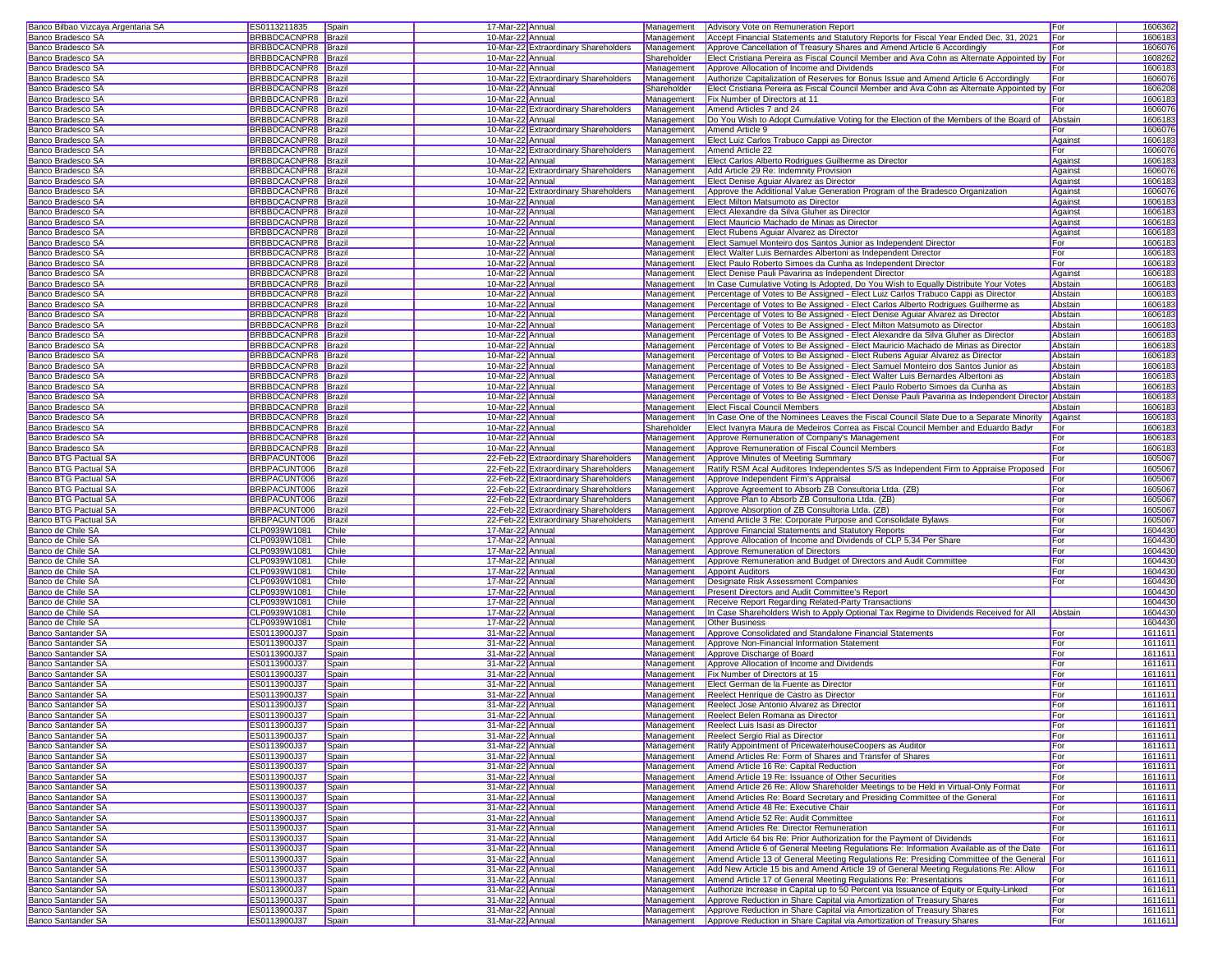| Banco Bilbao Vizcaya Argentaria SA              | ES0113211835                 | Spain          | 17-Mar-22 Annual                     |                                      |             | Management   Advisory Vote on Remuneration Report                                                                                                           | For        | 1606362                       |
|-------------------------------------------------|------------------------------|----------------|--------------------------------------|--------------------------------------|-------------|-------------------------------------------------------------------------------------------------------------------------------------------------------------|------------|-------------------------------|
| Banco Bradesco SA                               | BRBBDCACNPR8 Brazil          |                | 10-Mar-22 Annual                     |                                      | Management  | Accept Financial Statements and Statutory Reports for Fiscal Year Ended Dec. 31, 2021                                                                       | For        | 1606183                       |
|                                                 | BRBBDCACNPR8 Brazil          |                |                                      | 10-Mar-22 Extraordinary Shareholders |             | Approve Cancellation of Treasury Shares and Amend Article 6 Accordingly                                                                                     |            |                               |
| Banco Bradesco SA                               |                              |                |                                      |                                      | Management  |                                                                                                                                                             | For        | 1606076                       |
| Banco Bradesco SA                               | BRBBDCACNPR8 Brazil          |                | 10-Mar-22 Annual                     |                                      | Shareholder | Elect Cristiana Pereira as Fiscal Council Member and Ava Cohn as Alternate Appointed by For                                                                 |            | 1608262                       |
| Banco Bradesco SA                               | BRBBDCACNPR8 Brazil          |                | 10-Mar-22 Annual                     |                                      | Management  | Approve Allocation of Income and Dividends                                                                                                                  | For        | 1606183                       |
| Banco Bradesco SA                               | BRBBDCACNPR8 Brazil          |                |                                      | 10-Mar-22 Extraordinary Shareholders | Management  | Authorize Capitalization of Reserves for Bonus Issue and Amend Article 6 Accordingly                                                                        | For        | 1606076                       |
| Banco Bradesco SA                               | BRBBDCACNPR8 Brazil          |                | 10-Mar-22 Annual                     |                                      | Shareholder | Elect Cristiana Pereira as Fiscal Council Member and Ava Cohn as Alternate Appointed by For                                                                 |            | 1606208                       |
| Banco Bradesco SA                               | BRBBDCACNPR8 Brazil          |                | 10-Mar-22 Annual                     |                                      | Management  | Fix Number of Directors at 11                                                                                                                               | For        | 1606183                       |
| Banco Bradesco SA                               | BRBBDCACNPR8   Brazil        |                |                                      | 10-Mar-22 Extraordinary Shareholders | Management  | Amend Articles 7 and 24                                                                                                                                     | For        | 1606076                       |
|                                                 |                              |                | 10-Mar-22 Annual                     |                                      |             |                                                                                                                                                             |            |                               |
| Banco Bradesco SA                               | BRBBDCACNPR8 Brazil          |                |                                      |                                      | Management  | Do You Wish to Adopt Cumulative Voting for the Election of the Members of the Board of Abstair                                                              |            | 1606183                       |
| Banco Bradesco SA                               | BRBBDCACNPR8 Brazil          |                |                                      | 10-Mar-22 Extraordinary Shareholders | Management  | Amend Article 9                                                                                                                                             | For        | 1606076                       |
| Banco Bradesco SA                               | BRBBDCACNPR8 Brazil          |                | 10-Mar-22 Annual                     |                                      | Management  | Elect Luiz Carlos Trabuco Cappi as Director                                                                                                                 | Against    | 1606183                       |
| Banco Bradesco SA                               | BRBBDCACNPR8 Brazil          |                |                                      | 10-Mar-22 Extraordinary Shareholders | Management  | Amend Article 22                                                                                                                                            | For        | 1606076                       |
| Banco Bradesco SA                               | BRBBDCACNPR8 Brazil          |                | 10-Mar-22 Annual                     |                                      | Management  | Elect Carlos Alberto Rodrigues Guilherme as Director                                                                                                        | Against    | 1606183                       |
| Banco Bradesco SA                               | BRBBDCACNPR8 Brazil          |                |                                      | 10-Mar-22 Extraordinary Shareholders | Management  | Add Article 29 Re: Indemnity Provision                                                                                                                      | Against    | 1606076                       |
|                                                 |                              |                |                                      |                                      | Management  | Elect Denise Aquiar Alvarez as Director                                                                                                                     |            |                               |
| Banco Bradesco SA                               | BRBBDCACNPR8 Brazil          |                | 10-Mar-22 Annual                     |                                      |             |                                                                                                                                                             | Against    | 1606183                       |
| Banco Bradesco SA                               | BRBBDCACNPR8 Brazil          |                |                                      | 10-Mar-22 Extraordinary Shareholders | Management  | Approve the Additional Value Generation Program of the Bradesco Organization                                                                                | Against    | 1606076                       |
| Banco Bradesco SA                               | BRBBDCACNPR8  Brazil         |                | 10-Mar-22 Annual                     |                                      | Management  | Elect Milton Matsumoto as Director                                                                                                                          | Against    | 1606183                       |
| Banco Bradesco SA                               | BRBBDCACNPR8   Brazil        |                | 10-Mar-22 Annual                     |                                      | Management  | Elect Alexandre da Silva Gluher as Director                                                                                                                 | Against    | 1606183                       |
| Banco Bradesco SA                               | BRBBDCACNPR8 Brazil          |                | 10-Mar-22 Annual                     |                                      | Management  | Elect Mauricio Machado de Minas as Director                                                                                                                 | Against    | 1606183                       |
| Banco Bradesco SA                               | BRBBDCACNPR8 Brazil          |                | 10-Mar-22 Annual                     |                                      | Management  | Elect Rubens Aquiar Alvarez as Director                                                                                                                     | Against    | 1606183                       |
|                                                 |                              |                |                                      |                                      | Management  |                                                                                                                                                             |            |                               |
| Banco Bradesco SA                               | BRBBDCACNPR8 Brazil          |                | 10-Mar-22 Annual                     |                                      |             | Elect Samuel Monteiro dos Santos Junior as Independent Director                                                                                             | For        | 1606183                       |
| Banco Bradesco SA                               | BRBBDCACNPR8 Brazil          |                | 10-Mar-22 Annual                     |                                      | Management  | Elect Walter Luis Bernardes Albertoni as Independent Director                                                                                               | For        | 1606183                       |
| Banco Bradesco SA                               | BRBBDCACNPR8 Brazil          |                | 10-Mar-22 Annual                     |                                      | Management  | Elect Paulo Roberto Simoes da Cunha as Independent Director                                                                                                 | For        | 1606183                       |
| Banco Bradesco SA                               | BRBBDCACNPR8 Brazil          |                | 10-Mar-22 Annual                     |                                      | Management  | Elect Denise Pauli Pavarina as Independent Director                                                                                                         | Against    | 1606183                       |
| Banco Bradesco SA                               | BRBBDCACNPR8 Brazil          |                | 10-Mar-22 Annual                     |                                      | Management  | In Case Cumulative Voting Is Adopted, Do You Wish to Equally Distribute Your Votes                                                                          | Abstain    | 1606183                       |
| Banco Bradesco SA                               | BRBBDCACNPR8 Brazil          |                | 10-Mar-22 Annual                     |                                      | Management  | Percentage of Votes to Be Assigned - Elect Luiz Carlos Trabuco Cappi as Director                                                                            | Abstain    | 1606183                       |
|                                                 | BRBBDCACNPR8  Brazil         |                |                                      |                                      |             |                                                                                                                                                             |            | 1606183                       |
| Banco Bradesco SA                               |                              |                | 10-Mar-22 Annual                     |                                      | Management  | Percentage of Votes to Be Assigned - Elect Carlos Alberto Rodrigues Guilherme as                                                                            | Abstain    |                               |
| Banco Bradesco SA                               | BRBBDCACNPR8   Brazil        |                | 10-Mar-22 Annual                     |                                      | Management  | Percentage of Votes to Be Assigned - Elect Denise Aguiar Alvarez as Director                                                                                | Abstain    | 1606183                       |
| Banco Bradesco SA                               | BRBBDCACNPR8 Brazil          |                | 10-Mar-22 Annual                     |                                      | Management  | Percentage of Votes to Be Assigned - Elect Milton Matsumoto as Director                                                                                     | Abstain    | 1606183                       |
| Banco Bradesco SA                               | BRBBDCACNPR8 Brazil          |                | 10-Mar-22 Annual                     |                                      | Management  | Percentage of Votes to Be Assigned - Elect Alexandre da Silva Gluher as Director                                                                            | Abstain    | 1606183                       |
| Banco Bradesco SA                               | BRBBDCACNPR8 Brazil          |                | 10-Mar-22 Annual                     |                                      | Management  | Percentage of Votes to Be Assigned - Elect Mauricio Machado de Minas as Director                                                                            | Abstain    | 1606183                       |
| Banco Bradesco SA                               | BRBBDCACNPR8 Brazil          |                | 10-Mar-22 Annual                     |                                      | Management  | Percentage of Votes to Be Assigned - Elect Rubens Aguiar Alvarez as Director                                                                                | Abstain    | 1606183                       |
| Banco Bradesco SA                               | BRBBDCACNPR8 Brazil          |                |                                      |                                      | Management  | Percentage of Votes to Be Assigned - Elect Samuel Monteiro dos Santos Junior as                                                                             | Abstain    |                               |
|                                                 |                              |                | 10-Mar-22 Annual                     |                                      |             |                                                                                                                                                             |            | 1606183                       |
| Banco Bradesco SA                               | BRBBDCACNPR8 Brazil          |                | 10-Mar-22 Annual                     |                                      | Management  | Percentage of Votes to Be Assigned - Elect Walter Luis Bernardes Albertoni as                                                                               | Abstain    | 1606183                       |
| Banco Bradesco SA                               | BRBBDCACNPR8 Brazil          |                | 10-Mar-22 Annual                     |                                      | Management  | Percentage of Votes to Be Assigned - Elect Paulo Roberto Simoes da Cunha as                                                                                 | Abstain    | 1606183                       |
| Banco Bradesco SA                               | BRBBDCACNPR8 Brazil          |                | 10-Mar-22 Annual                     |                                      | Management  | Percentage of Votes to Be Assigned - Elect Denise Pauli Pavarina as Independent Director Abstain                                                            |            | 1606183                       |
| Banco Bradesco SA                               | BRBBDCACNPR8  Brazil         |                | 10-Mar-22 Annual                     |                                      | Management  | <b>Elect Fiscal Council Members</b>                                                                                                                         | Abstain    | 1606183                       |
| Banco Bradesco SA                               | BRBBDCACNPR8   Brazil        |                | 10-Mar-22 Annual                     |                                      | Management  | In Case One of the Nominees Leaves the Fiscal Council Slate Due to a Separate Minority                                                                      | Against    | 1606183                       |
| Banco Bradesco SA                               | BRBBDCACNPR8 Brazil          |                | 10-Mar-22 Annual                     |                                      | Shareholder | Elect Ivanyra Maura de Medeiros Correa as Fiscal Council Member and Eduardo Badyr                                                                           | For        | 1606183                       |
|                                                 |                              |                |                                      |                                      |             |                                                                                                                                                             |            |                               |
| Banco Bradesco SA                               | BRBBDCACNPR8 Brazil          |                | 10-Mar-22 Annual                     |                                      | Management  | Approve Remuneration of Company's Management                                                                                                                | For        | 1606183                       |
| Banco Bradesco SA                               | BRBBDCACNPR8 Brazil          |                | 10-Mar-22 Annual                     |                                      | Management  | Approve Remuneration of Fiscal Council Members                                                                                                              | For        | 1606183                       |
| Banco BTG Pactual SA                            | BRBPACUNT006                 | Brazil         |                                      | 22-Feb-22 Extraordinary Shareholders | Management  | Approve Minutes of Meeting Summary                                                                                                                          | For        | 1605067                       |
| Banco BTG Pactual SA                            | BRBPACUNT006                 | Brazil         |                                      | 22-Feb-22 Extraordinary Shareholders | Management  | Ratify RSM Acal Auditores Independentes S/S as Independent Firm to Appraise Proposed For                                                                    |            | 1605067                       |
| Banco BTG Pactual SA                            | BRBPACUNT006 Brazil          |                |                                      | 22-Feb-22 Extraordinary Shareholders | Management  | Approve Independent Firm's Appraisal                                                                                                                        | For        | 1605067                       |
| Banco BTG Pactual SA                            | BRBPACUNT006 Brazil          |                |                                      | 22-Feb-22 Extraordinary Shareholders | Management  | Approve Agreement to Absorb ZB Consultoria Ltda. (ZB)                                                                                                       | For        | 1605067                       |
| Banco BTG Pactual SA                            | BRBPACUNT006 Brazil          |                |                                      | 22-Feb-22 Extraordinary Shareholders | Management  | Approve Plan to Absorb ZB Consultoria Ltda. (ZB)                                                                                                            | For        | 1605067                       |
|                                                 |                              |                |                                      |                                      |             |                                                                                                                                                             |            |                               |
| Banco BTG Pactual SA                            | BRBPACUNT006                 | Brazil         |                                      | 22-Feb-22 Extraordinary Shareholders | Management  | Approve Absorption of ZB Consultoria Ltda. (ZB)                                                                                                             | For        | 1605067                       |
| Banco BTG Pactual SA                            | <b>BRBPACUNT006</b>          | Brazil         |                                      | 22-Feb-22 Extraordinary Shareholders | Management  | Amend Article 3 Re: Corporate Purpose and Consolidate Bylaws                                                                                                | For        | 1605067                       |
| Banco de Chile SA                               | CLP0939W1081                 | Chile          | 17-Mar-22 Annual                     |                                      | Management  | Approve Financial Statements and Statutory Reports                                                                                                          | For        | 1604430                       |
| Banco de Chile SA                               | CLP0939W1081                 | Chile          | 17-Mar-22 Annual                     |                                      | Management  | Approve Allocation of Income and Dividends of CLP 5.34 Per Share                                                                                            | For        | 1604430                       |
| Banco de Chile SA                               | CLP0939W1081                 | Chile          | 17-Mar-22 Annual                     |                                      | Management  | Approve Remuneration of Directors                                                                                                                           | For        | 1604430                       |
|                                                 |                              | Chile          |                                      |                                      | Management  | Approve Remuneration and Budget of Directors and Audit Committee                                                                                            | For        |                               |
|                                                 |                              |                |                                      |                                      |             |                                                                                                                                                             |            |                               |
| Banco de Chile SA                               | CLP0939W1081                 |                | 17-Mar-22 Annual                     |                                      |             |                                                                                                                                                             |            | 1604430                       |
| Banco de Chile SA                               | CLP0939W1081                 | Chile          | 17-Mar-22 Annual                     |                                      | Management  | <b>Appoint Auditors</b>                                                                                                                                     | For        | 1604430                       |
| Banco de Chile SA                               | CLP0939W1081                 | Chile          | 17-Mar-22 Annual                     |                                      | Management  | Designate Risk Assessment Companies                                                                                                                         | For        | 1604430                       |
| Banco de Chile SA                               | CLP0939W1081                 | <b>Chile</b>   | 17-Mar-22 Annual                     |                                      | Management  | Present Directors and Audit Committee's Report                                                                                                              |            | 1604430                       |
| Banco de Chile SA                               | CLP0939W1081                 | Chile          | 17-Mar-22 Annual                     |                                      | Management  |                                                                                                                                                             |            | 1604430                       |
|                                                 |                              |                |                                      |                                      |             | Receive Report Regarding Related-Party Transactions                                                                                                         |            |                               |
| Banco de Chile SA                               | CLP0939W1081                 | Chile          | 17-Mar-22 Annual                     |                                      | Management  | In Case Shareholders Wish to Apply Optional Tax Regime to Dividends Received for All                                                                        | Abstain    | 1604430                       |
| Banco de Chile SA                               | CLP0939W1081                 | Chile          | 17-Mar-22 Annual                     |                                      | Management  | <b>Other Business</b>                                                                                                                                       |            | 1604430                       |
| Banco Santander SA                              | ES0113900J37                 | Spain          | 31-Mar-22 Annual                     |                                      | Management  | Approve Consolidated and Standalone Financial Statements                                                                                                    | For        | 1611611                       |
| Banco Santander SA                              | ES0113900J37                 | Spain          | 31-Mar-22 Annual                     |                                      | Management  | Approve Non-Financial Information Statement                                                                                                                 | For        | 1611611                       |
| Banco Santander SA                              | ES0113900J37                 | Spain          | 31-Mar-22 Annual                     |                                      | Management  | Approve Discharge of Board                                                                                                                                  | For        | 1611611                       |
| Banco Santander SA                              | ES0113900J37                 | Spain          | 31-Mar-22 Annual                     |                                      | Management  | Approve Allocation of Income and Dividends                                                                                                                  | For        | 1611611                       |
| Banco Santander SA                              | ES0113900J37                 |                |                                      |                                      | Management  | <b>Fix Number of Directors at 15</b>                                                                                                                        | For        | 1611611                       |
|                                                 |                              | Spain          | 31-Mar-22 Annual                     |                                      |             |                                                                                                                                                             |            |                               |
| Banco Santander SA                              | ES0113900J37                 | Spain          | 31-Mar-22 Annual                     |                                      | Management  | Elect German de la Fuente as Director                                                                                                                       | For        | 1611611                       |
| <b>Banco Santander SA</b>                       | ES0113900J37                 | Spain          | 31-Mar-22 Annual                     |                                      |             | Management Reelect Henrique de Castro as Director                                                                                                           | For        | 1611611                       |
| Banco Santander SA                              | ES0113900J37                 | Spain          | 31-Mar-22 Annual                     |                                      |             | Management Reelect Jose Antonio Alvarez as Director                                                                                                         | For        | 1611611                       |
| Banco Santander SA                              | ES0113900J37                 | Spain          | 31-Mar-22 Annual                     |                                      |             | Management Reelect Belen Romana as Director                                                                                                                 | For        | 1611611                       |
| Banco Santander SA                              | ES0113900J37                 | Spain          | 31-Mar-22 Annual                     |                                      | Management  | Reelect Luis Isasi as Director                                                                                                                              | For        | 1611611                       |
| <b>Banco Santander SA</b>                       | ES0113900J37                 | Spain          | 31-Mar-22 Annual                     |                                      | Management  | <b>Reelect Sergio Rial as Director</b>                                                                                                                      | For        | 1611611                       |
|                                                 |                              |                |                                      |                                      |             |                                                                                                                                                             |            |                               |
| <b>Banco Santander SA</b>                       | ES0113900J37                 | Spain          | 31-Mar-22 Annual                     |                                      | Management  | Ratify Appointment of PricewaterhouseCoopers as Auditor                                                                                                     | For        | 1611611                       |
| Banco Santander SA                              | ES0113900J37                 | Spain          | 31-Mar-22 Annual                     |                                      | Management  | Amend Articles Re: Form of Shares and Transfer of Shares                                                                                                    | For        | 1611611                       |
| <b>Banco Santander SA</b>                       | ES0113900J37                 | Spain          | 31-Mar-22 Annual                     |                                      |             | Management   Amend Article 16 Re: Capital Reduction                                                                                                         | For        | 1611611                       |
| Banco Santander SA                              | ES0113900J37                 | Spain          | 31-Mar-22 Annual                     |                                      | Management  | Amend Article 19 Re: Issuance of Other Securities                                                                                                           | For        | 1611611                       |
| <b>Banco Santander SA</b>                       | ES0113900J37                 | Spain          | 31-Mar-22 Annual                     |                                      | Management  | Amend Article 26 Re: Allow Shareholder Meetings to be Held in Virtual-Only Format                                                                           | For        | 1611611                       |
| <b>Banco Santander SA</b>                       | ES0113900J37                 | Spain          | 31-Mar-22 Annual                     |                                      | Management  | Amend Articles Re: Board Secretary and Presiding Committee of the General                                                                                   | For        | 1611611                       |
|                                                 |                              |                |                                      |                                      |             |                                                                                                                                                             |            |                               |
| Banco Santander SA                              | ES0113900J37                 | Spain          | 31-Mar-22 Annual                     |                                      | Management  | Amend Article 48 Re: Executive Chair                                                                                                                        | For        | 1611611                       |
| Banco Santander SA                              | ES0113900J37                 | Spain          | 31-Mar-22 Annual                     |                                      | Management  | Amend Article 52 Re: Audit Committee                                                                                                                        | For        | 1611611                       |
| Banco Santander SA                              | ES0113900J37                 | Spain          | 31-Mar-22 Annual                     |                                      | Management  | Amend Articles Re: Director Remuneration                                                                                                                    | For        | 1611611                       |
| <b>Banco Santander SA</b>                       | ES0113900J37                 | Spain          | 31-Mar-22 Annual                     |                                      | Management  | Add Article 64 bis Re: Prior Authorization for the Payment of Dividends                                                                                     | For        | 1611611                       |
| Banco Santander SA                              | ES0113900J37                 | Spain          | 31-Mar-22 Annual                     |                                      | Management  | Amend Article 6 of General Meeting Regulations Re: Information Available as of the Date                                                                     |            | 1611611                       |
| Banco Santander SA                              | ES0113900J37                 | Spain          | 31-Mar-22 Annual                     |                                      | Management  | Amend Article 13 of General Meeting Regulations Re: Presiding Committee of the General For                                                                  |            | 1611611                       |
| Banco Santander SA                              | ES0113900J37                 | Spain          | 31-Mar-22 Annual                     |                                      | Management  | Add New Article 15 bis and Amend Article 19 of General Meeting Regulations Re: Allow                                                                        | For        | 1611611                       |
|                                                 |                              |                |                                      |                                      |             |                                                                                                                                                             |            |                               |
| <b>Banco Santander SA</b>                       | ES0113900J37                 | Spain          | 31-Mar-22 Annual                     |                                      | Management  | Amend Article 17 of General Meeting Regulations Re: Presentations                                                                                           | For        | 1611611                       |
| <b>Banco Santander SA</b>                       | ES0113900J37                 | Spain          | 31-Mar-22 Annual                     |                                      | Management  | Authorize Increase in Capital up to 50 Percent via Issuance of Equity or Equity-Linked                                                                      | For        | 1611611                       |
| <b>Banco Santander SA</b>                       | ES0113900J37                 | Spain          | 31-Mar-22 Annual                     |                                      | Management  | Approve Reduction in Share Capital via Amortization of Treasury Shares                                                                                      | For        |                               |
| Banco Santander SA<br><b>Banco Santander SA</b> | ES0113900J37<br>ES0113900J37 | Spain<br>Spain | 31-Mar-22 Annual<br>31-Mar-22 Annual |                                      | Management  | Approve Reduction in Share Capital via Amortization of Treasury Shares<br>Management Approve Reduction in Share Capital via Amortization of Treasury Shares | For<br>For | 1611611<br>1611611<br>1611611 |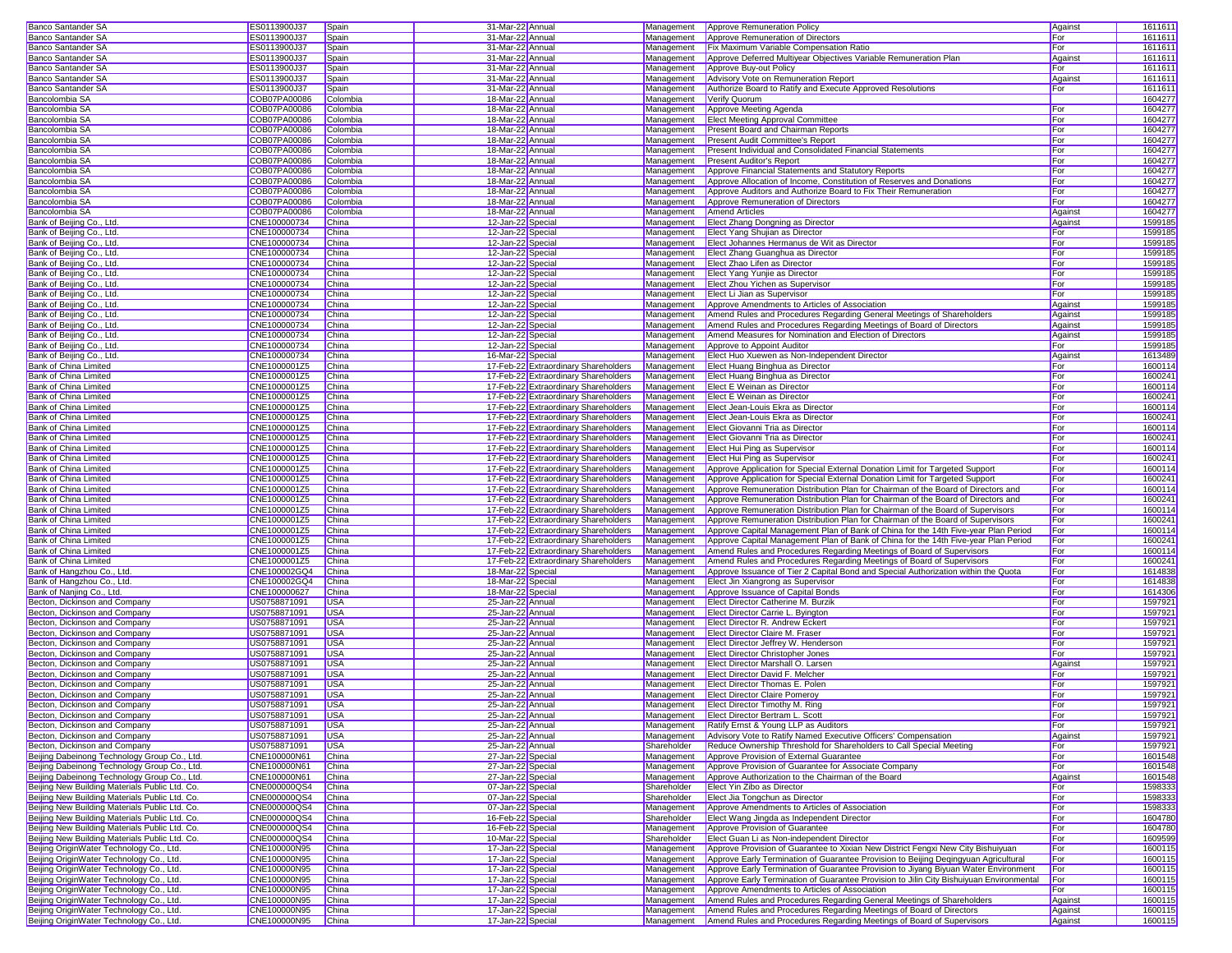| Banco Santander SA                                                                                                                                                                                                                                                                                                                                                                                                                                                                                                                                                                                                                                                                                                   | ES0113900J37 | Spain      | 31-Mar-22 Annual                     |                                      |             | Management <b>Approve Remuneration Policy</b>                                           | Against | 1611611 |
|----------------------------------------------------------------------------------------------------------------------------------------------------------------------------------------------------------------------------------------------------------------------------------------------------------------------------------------------------------------------------------------------------------------------------------------------------------------------------------------------------------------------------------------------------------------------------------------------------------------------------------------------------------------------------------------------------------------------|--------------|------------|--------------------------------------|--------------------------------------|-------------|-----------------------------------------------------------------------------------------|---------|---------|
| Banco Santander SA                                                                                                                                                                                                                                                                                                                                                                                                                                                                                                                                                                                                                                                                                                   | ES0113900J37 | Spain      | 31-Mar-22 Annual                     |                                      | Management  | Approve Remuneration of Directors                                                       | For     | 1611611 |
|                                                                                                                                                                                                                                                                                                                                                                                                                                                                                                                                                                                                                                                                                                                      |              |            |                                      |                                      |             |                                                                                         |         |         |
| <b>Banco Santander SA</b>                                                                                                                                                                                                                                                                                                                                                                                                                                                                                                                                                                                                                                                                                            | ES0113900J37 | Spain      | 31-Mar-22 Annual                     |                                      | Management  | Fix Maximum Variable Compensation Ratio                                                 | For     | 1611611 |
| Banco Santander SA                                                                                                                                                                                                                                                                                                                                                                                                                                                                                                                                                                                                                                                                                                   | ES0113900J37 | Spain      | 31-Mar-22 Annual                     |                                      | Management  | Approve Deferred Multiyear Objectives Variable Remuneration Plan                        | Against | 1611611 |
| Banco Santander SA                                                                                                                                                                                                                                                                                                                                                                                                                                                                                                                                                                                                                                                                                                   | ES0113900J37 | Spain      | 31-Mar-22 Annual                     |                                      | Management  | Approve Buy-out Policy                                                                  | For     | 1611611 |
| <b>Banco Santander SA</b>                                                                                                                                                                                                                                                                                                                                                                                                                                                                                                                                                                                                                                                                                            | ES0113900J37 | Spain      | 31-Mar-22 Annual                     |                                      | Management  | <b>Advisory Vote on Remuneration Report</b>                                             | Against | 1611611 |
|                                                                                                                                                                                                                                                                                                                                                                                                                                                                                                                                                                                                                                                                                                                      |              |            |                                      |                                      |             |                                                                                         |         |         |
| Banco Santander SA                                                                                                                                                                                                                                                                                                                                                                                                                                                                                                                                                                                                                                                                                                   | ES0113900J37 | Spain      | 31-Mar-22 Annual                     |                                      | Management  | Authorize Board to Ratify and Execute Approved Resolutions                              | For     | 1611611 |
| Bancolombia SA                                                                                                                                                                                                                                                                                                                                                                                                                                                                                                                                                                                                                                                                                                       | COB07PA00086 | Colombia   | 18-Mar-22 Annual                     |                                      | Management  | Verify Quorum                                                                           |         | 1604277 |
| Bancolombia SA                                                                                                                                                                                                                                                                                                                                                                                                                                                                                                                                                                                                                                                                                                       | COB07PA00086 | Colombia   | 18-Mar-22 Annual                     |                                      | Management  | Approve Meeting Agenda                                                                  | For     | 1604277 |
| Bancolombia SA                                                                                                                                                                                                                                                                                                                                                                                                                                                                                                                                                                                                                                                                                                       | COB07PA00086 | Colombia   | 18-Mar-22 Annual                     |                                      | Management  | <b>Elect Meeting Approval Committee</b>                                                 | For     | 1604277 |
|                                                                                                                                                                                                                                                                                                                                                                                                                                                                                                                                                                                                                                                                                                                      |              |            |                                      |                                      |             |                                                                                         |         |         |
| Bancolombia SA                                                                                                                                                                                                                                                                                                                                                                                                                                                                                                                                                                                                                                                                                                       | COB07PA00086 | Colombia   | 18-Mar-22 Annual                     |                                      | Management  | <b>Present Board and Chairman Reports</b>                                               | For     | 1604277 |
| Bancolombia SA                                                                                                                                                                                                                                                                                                                                                                                                                                                                                                                                                                                                                                                                                                       | COB07PA00086 | Colombia   | 18-Mar-22 Annual                     |                                      | Management  | Present Audit Committee's Report                                                        | For     | 1604277 |
| Bancolombia SA                                                                                                                                                                                                                                                                                                                                                                                                                                                                                                                                                                                                                                                                                                       | COB07PA00086 | Colombia   | 18-Mar-22 Annual                     |                                      | Management  | Present Individual and Consolidated Financial Statements                                | For     | 1604277 |
| Bancolombia SA                                                                                                                                                                                                                                                                                                                                                                                                                                                                                                                                                                                                                                                                                                       | COB07PA00086 | Colombia   | 18-Mar-22 Annual                     |                                      | Management  | <b>Present Auditor's Report</b>                                                         | For     | 1604277 |
|                                                                                                                                                                                                                                                                                                                                                                                                                                                                                                                                                                                                                                                                                                                      |              |            |                                      |                                      |             |                                                                                         |         |         |
| Bancolombia SA                                                                                                                                                                                                                                                                                                                                                                                                                                                                                                                                                                                                                                                                                                       | COB07PA00086 | Colombia   | 18-Mar-22 Annual                     |                                      | Management  | Approve Financial Statements and Statutory Reports                                      | For     | 1604277 |
| Bancolombia SA                                                                                                                                                                                                                                                                                                                                                                                                                                                                                                                                                                                                                                                                                                       | COB07PA00086 | Colombia   | 18-Mar-22 Annual                     |                                      | Management  | Approve Allocation of Income, Constitution of Reserves and Donations                    | For     | 1604277 |
| Bancolombia SA                                                                                                                                                                                                                                                                                                                                                                                                                                                                                                                                                                                                                                                                                                       | COB07PA00086 | Colombia   | 18-Mar-22 Annual                     |                                      | Management  | Approve Auditors and Authorize Board to Fix Their Remuneration                          | For     | 1604277 |
| Bancolombia SA                                                                                                                                                                                                                                                                                                                                                                                                                                                                                                                                                                                                                                                                                                       | COB07PA00086 | Colombia   | 18-Mar-22 Annual                     |                                      | Management  | Approve Remuneration of Directors                                                       | For     | 1604277 |
|                                                                                                                                                                                                                                                                                                                                                                                                                                                                                                                                                                                                                                                                                                                      |              |            |                                      |                                      |             |                                                                                         |         |         |
| Bancolombia SA                                                                                                                                                                                                                                                                                                                                                                                                                                                                                                                                                                                                                                                                                                       | COB07PA00086 | Colombia   | 18-Mar-22 Annual                     |                                      | Management  | <b>Amend Articles</b>                                                                   | Against | 1604277 |
| Bank of Beijing Co., Ltd.                                                                                                                                                                                                                                                                                                                                                                                                                                                                                                                                                                                                                                                                                            | CNE100000734 | China      | 12-Jan-22 Special                    |                                      | Management  | <b>Elect Zhang Dongning as Director</b>                                                 | Against | 1599185 |
| Bank of Beijing Co., Ltd.                                                                                                                                                                                                                                                                                                                                                                                                                                                                                                                                                                                                                                                                                            | CNE100000734 | China      | 12-Jan-22 Special                    |                                      | Management  | Elect Yang Shujian as Director                                                          | For     | 159918  |
| Bank of Beijing Co., Ltd.                                                                                                                                                                                                                                                                                                                                                                                                                                                                                                                                                                                                                                                                                            | CNE100000734 | China      | 12-Jan-22 Special                    |                                      | Management  | Elect Johannes Hermanus de Wit as Director                                              | For     | 159918  |
|                                                                                                                                                                                                                                                                                                                                                                                                                                                                                                                                                                                                                                                                                                                      |              |            |                                      |                                      |             |                                                                                         |         |         |
| Bank of Beijing Co., Ltd.                                                                                                                                                                                                                                                                                                                                                                                                                                                                                                                                                                                                                                                                                            | CNE100000734 | China      | 12-Jan-22 Special                    |                                      | Management  | Elect Zhang Guanghua as Director                                                        | For     | 1599185 |
| Bank of Beijing Co., Ltd.                                                                                                                                                                                                                                                                                                                                                                                                                                                                                                                                                                                                                                                                                            | CNE100000734 | China      | 12-Jan-22 Special                    |                                      | Management  | Elect Zhao Lifen as Director                                                            | For     | 159918  |
| Bank of Beijing Co., Ltd.                                                                                                                                                                                                                                                                                                                                                                                                                                                                                                                                                                                                                                                                                            | CNE100000734 | China      | 12-Jan-22 Special                    |                                      |             | Management <b>Elect Yang Yunjie as Director</b>                                         | For     | 1599185 |
| Bank of Beijing Co., Ltd.                                                                                                                                                                                                                                                                                                                                                                                                                                                                                                                                                                                                                                                                                            | CNE100000734 | China      | 12-Jan-22 Special                    |                                      | Management  | Elect Zhou Yichen as Supervisor                                                         | For     | 1599185 |
|                                                                                                                                                                                                                                                                                                                                                                                                                                                                                                                                                                                                                                                                                                                      |              |            |                                      |                                      |             |                                                                                         |         |         |
| Bank of Beijing Co., Ltd.                                                                                                                                                                                                                                                                                                                                                                                                                                                                                                                                                                                                                                                                                            | CNE100000734 | China      | 12-Jan-22 Special                    |                                      | Management  | Elect Li Jian as Supervisor                                                             | For     | 1599185 |
| Bank of Beijing Co., Ltd.                                                                                                                                                                                                                                                                                                                                                                                                                                                                                                                                                                                                                                                                                            | CNE100000734 | China      | 12-Jan-22 Special                    |                                      | Management  | Approve Amendments to Articles of Association                                           | Against | 1599185 |
| Bank of Beijing Co., Ltd.                                                                                                                                                                                                                                                                                                                                                                                                                                                                                                                                                                                                                                                                                            | CNE100000734 | China      | 12-Jan-22 Special                    |                                      | Management  | Amend Rules and Procedures Regarding General Meetings of Shareholders                   | Against | 159918  |
|                                                                                                                                                                                                                                                                                                                                                                                                                                                                                                                                                                                                                                                                                                                      | CNE100000734 | China      |                                      |                                      | Management  | Amend Rules and Procedures Regarding Meetings of Board of Directors                     |         | 1599185 |
| Bank of Beijing Co., Ltd.                                                                                                                                                                                                                                                                                                                                                                                                                                                                                                                                                                                                                                                                                            |              |            | 12-Jan-22 Special                    |                                      |             |                                                                                         | Against |         |
| Bank of Beijing Co., Ltd.                                                                                                                                                                                                                                                                                                                                                                                                                                                                                                                                                                                                                                                                                            | CNE100000734 | China      | 12-Jan-22 Special                    |                                      | Management  | Amend Measures for Nomination and Election of Directors                                 | Against | 159918  |
| Bank of Beijing Co., Ltd.                                                                                                                                                                                                                                                                                                                                                                                                                                                                                                                                                                                                                                                                                            | CNE100000734 | China      | 12-Jan-22 Special                    |                                      | Management  | Approve to Appoint Auditor                                                              | For     | 1599185 |
| Bank of Beijing Co., Ltd.                                                                                                                                                                                                                                                                                                                                                                                                                                                                                                                                                                                                                                                                                            | CNE100000734 | China      | 16-Mar-22 Special                    |                                      | Management  | Elect Huo Xuewen as Non-Independent Director                                            | Against | 1613489 |
|                                                                                                                                                                                                                                                                                                                                                                                                                                                                                                                                                                                                                                                                                                                      | CNE1000001Z5 |            |                                      |                                      |             | Elect Huang Binghua as Director                                                         |         | 1600114 |
| Bank of China Limited                                                                                                                                                                                                                                                                                                                                                                                                                                                                                                                                                                                                                                                                                                |              | China      |                                      | 17-Feb-22 Extraordinary Shareholders | Management  |                                                                                         | For     |         |
| Bank of China Limited                                                                                                                                                                                                                                                                                                                                                                                                                                                                                                                                                                                                                                                                                                | CNE1000001Z5 | China      |                                      | 17-Feb-22 Extraordinary Shareholders | Management  | Elect Huang Binghua as Director                                                         | For     | 160024  |
| Bank of China Limited                                                                                                                                                                                                                                                                                                                                                                                                                                                                                                                                                                                                                                                                                                | CNE1000001Z5 | China      |                                      | 17-Feb-22 Extraordinary Shareholders | Management  | <b>Elect E Weinan as Director</b>                                                       | For     | 1600114 |
| Bank of China Limited                                                                                                                                                                                                                                                                                                                                                                                                                                                                                                                                                                                                                                                                                                | CNE1000001Z5 | China      |                                      | 17-Feb-22 Extraordinary Shareholders | Management  | Elect E Weinan as Director                                                              | For     | 160024  |
|                                                                                                                                                                                                                                                                                                                                                                                                                                                                                                                                                                                                                                                                                                                      |              |            |                                      |                                      |             |                                                                                         |         |         |
| Bank of China Limited                                                                                                                                                                                                                                                                                                                                                                                                                                                                                                                                                                                                                                                                                                | CNE1000001Z5 | China      |                                      | 17-Feb-22 Extraordinary Shareholders | Management  | Elect Jean-Louis Ekra as Director                                                       | For     | 1600114 |
| Bank of China Limited                                                                                                                                                                                                                                                                                                                                                                                                                                                                                                                                                                                                                                                                                                | CNE1000001Z5 | China      |                                      | 17-Feb-22 Extraordinary Shareholders | Management  | Elect Jean-Louis Ekra as Director                                                       | For     | 160024  |
| Bank of China Limited                                                                                                                                                                                                                                                                                                                                                                                                                                                                                                                                                                                                                                                                                                | CNE1000001Z5 | China      |                                      | 17-Feb-22 Extraordinary Shareholders | Management  | Elect Giovanni Tria as Director                                                         | For     | 1600114 |
| Bank of China Limited                                                                                                                                                                                                                                                                                                                                                                                                                                                                                                                                                                                                                                                                                                | CNE1000001Z5 | China      |                                      | 17-Feb-22 Extraordinary Shareholders | Management  | Elect Giovanni Tria as Director                                                         | For     | 160024  |
|                                                                                                                                                                                                                                                                                                                                                                                                                                                                                                                                                                                                                                                                                                                      |              |            |                                      |                                      |             |                                                                                         |         |         |
| Bank of China Limited                                                                                                                                                                                                                                                                                                                                                                                                                                                                                                                                                                                                                                                                                                | CNE1000001Z5 | China      |                                      | 17-Feb-22 Extraordinary Shareholders | Management  | Elect Hui Ping as Supervisor                                                            | For     | 1600114 |
| Bank of China Limited                                                                                                                                                                                                                                                                                                                                                                                                                                                                                                                                                                                                                                                                                                | CNE1000001Z5 | China      |                                      | 17-Feb-22 Extraordinary Shareholders | Management  | Elect Hui Ping as Supervisor                                                            | For     | 160024  |
| Bank of China Limited                                                                                                                                                                                                                                                                                                                                                                                                                                                                                                                                                                                                                                                                                                | CNE1000001Z5 | China      |                                      | 17-Feb-22 Extraordinary Shareholders | Management  | Approve Application for Special External Donation Limit for Targeted Support            | For     | 1600114 |
| Bank of China Limited                                                                                                                                                                                                                                                                                                                                                                                                                                                                                                                                                                                                                                                                                                | CNE1000001Z5 | China      |                                      | 17-Feb-22 Extraordinary Shareholders | Management  | Approve Application for Special External Donation Limit for Targeted Support            | For     | 160024  |
|                                                                                                                                                                                                                                                                                                                                                                                                                                                                                                                                                                                                                                                                                                                      |              |            |                                      |                                      |             |                                                                                         |         |         |
| Bank of China Limited                                                                                                                                                                                                                                                                                                                                                                                                                                                                                                                                                                                                                                                                                                | CNE1000001Z5 | China      |                                      | 17-Feb-22 Extraordinary Shareholders | Management  | Approve Remuneration Distribution Plan for Chairman of the Board of Directors and       | For     | 1600114 |
| Bank of China Limited                                                                                                                                                                                                                                                                                                                                                                                                                                                                                                                                                                                                                                                                                                | CNE1000001Z5 | China      |                                      | 17-Feb-22 Extraordinary Shareholders | Management  | Approve Remuneration Distribution Plan for Chairman of the Board of Directors and       | For     | 160024  |
| Bank of China Limited                                                                                                                                                                                                                                                                                                                                                                                                                                                                                                                                                                                                                                                                                                | CNE1000001Z5 | China      |                                      | 17-Feb-22 Extraordinary Shareholders | Management  | Approve Remuneration Distribution Plan for Chairman of the Board of Supervisors         | For     | 1600114 |
|                                                                                                                                                                                                                                                                                                                                                                                                                                                                                                                                                                                                                                                                                                                      | CNE1000001Z5 |            |                                      |                                      |             | Approve Remuneration Distribution Plan for Chairman of the Board of Supervisors         |         |         |
| Bank of China Limited                                                                                                                                                                                                                                                                                                                                                                                                                                                                                                                                                                                                                                                                                                |              | China      |                                      | 17-Feb-22 Extraordinary Shareholders | Management  |                                                                                         | For     | 160024  |
| <b>Bank of China Limited</b>                                                                                                                                                                                                                                                                                                                                                                                                                                                                                                                                                                                                                                                                                         | CNE1000001Z5 | China      |                                      | 17-Feb-22 Extraordinary Shareholders | Management  | Approve Capital Management Plan of Bank of China for the 14th Five-year Plan Period     | For     | 1600114 |
| Bank of China Limited                                                                                                                                                                                                                                                                                                                                                                                                                                                                                                                                                                                                                                                                                                | CNE1000001Z5 | China      |                                      | 17-Feb-22 Extraordinary Shareholders | Management  | Approve Capital Management Plan of Bank of China for the 14th Five-year Plan Period     | For     | 160024  |
| Bank of China Limited                                                                                                                                                                                                                                                                                                                                                                                                                                                                                                                                                                                                                                                                                                | CNE1000001Z5 | China      |                                      | 17-Feb-22 Extraordinary Shareholders | Management  | Amend Rules and Procedures Regarding Meetings of Board of Supervisors                   | For     | 1600114 |
|                                                                                                                                                                                                                                                                                                                                                                                                                                                                                                                                                                                                                                                                                                                      |              |            |                                      |                                      |             |                                                                                         |         |         |
| Bank of China Limited                                                                                                                                                                                                                                                                                                                                                                                                                                                                                                                                                                                                                                                                                                | CNE1000001Z5 | China      |                                      | 17-Feb-22 Extraordinary Shareholders | Management  | Amend Rules and Procedures Regarding Meetings of Board of Supervisors                   | For     | 160024  |
| Bank of Hangzhou Co., Ltd.                                                                                                                                                                                                                                                                                                                                                                                                                                                                                                                                                                                                                                                                                           | CNE100002GQ4 | China      | 18-Mar-22 Special                    |                                      | Management  | Approve Issuance of Tier 2 Capital Bond and Special Authorization within the Quota      | For     | 161483  |
| Bank of Hangzhou Co., Ltd.                                                                                                                                                                                                                                                                                                                                                                                                                                                                                                                                                                                                                                                                                           | CNE100002GQ4 | China      | 18-Mar-22 Special                    |                                      | Management  | Elect Jin Xiangrong as Supervisor                                                       | For     | 1614838 |
| Bank of Nanjing Co., Ltd.                                                                                                                                                                                                                                                                                                                                                                                                                                                                                                                                                                                                                                                                                            | CNE100000627 | China      | 18-Mar-22 Special                    |                                      | Management  | Approve Issuance of Capital Bonds                                                       | For     | 1614306 |
|                                                                                                                                                                                                                                                                                                                                                                                                                                                                                                                                                                                                                                                                                                                      |              |            |                                      |                                      |             |                                                                                         |         |         |
| Becton, Dickinson and Company                                                                                                                                                                                                                                                                                                                                                                                                                                                                                                                                                                                                                                                                                        | US0758871091 | <b>USA</b> | 25-Jan-22 Annual                     |                                      | Management  | Elect Director Catherine M. Burzik                                                      | For     | 1597921 |
| Becton, Dickinson and Company                                                                                                                                                                                                                                                                                                                                                                                                                                                                                                                                                                                                                                                                                        | US0758871091 | <b>USA</b> | 25-Jan-22 Annual                     |                                      | Management  | Elect Director Carrie L. Byington                                                       | For     | 1597921 |
| Becton, Dickinson and Company                                                                                                                                                                                                                                                                                                                                                                                                                                                                                                                                                                                                                                                                                        | US0758871091 | <b>USA</b> | 25-Jan-22 Annual                     |                                      | Management  | Elect Director R. Andrew Eckert                                                         | For     | 1597921 |
| Becton, Dickinson and Company                                                                                                                                                                                                                                                                                                                                                                                                                                                                                                                                                                                                                                                                                        | US0758871091 | <b>USA</b> | 25-Jan-22 Annual                     |                                      | Management  | Elect Director Claire M. Fraser                                                         | For     | 1597921 |
|                                                                                                                                                                                                                                                                                                                                                                                                                                                                                                                                                                                                                                                                                                                      |              |            |                                      |                                      |             |                                                                                         |         |         |
| Becton, Dickinson and Company                                                                                                                                                                                                                                                                                                                                                                                                                                                                                                                                                                                                                                                                                        | US0758871091 | <b>USA</b> | 25-Jan-22 Annual                     |                                      | Management  | Elect Director Jeffrey W. Henderson                                                     | For     | 159792  |
| Becton, Dickinson and Company                                                                                                                                                                                                                                                                                                                                                                                                                                                                                                                                                                                                                                                                                        | US0758871091 | <b>USA</b> | 25-Jan-22 Annual                     |                                      | Management  | <b>Elect Director Christopher Jones</b>                                                 | For     | 1597921 |
| Becton, Dickinson and Company                                                                                                                                                                                                                                                                                                                                                                                                                                                                                                                                                                                                                                                                                        | US0758871091 | <b>USA</b> | 25-Jan-22 Annual                     |                                      | Management  | <b>Elect Director Marshall O. Larsen</b>                                                | Against | 1597921 |
| Becton, Dickinson and Company                                                                                                                                                                                                                                                                                                                                                                                                                                                                                                                                                                                                                                                                                        | US0758871091 | <b>USA</b> | 25-Jan-22 Annual                     |                                      | Management  | Elect Director David F. Melcher                                                         | For     | 1597921 |
| Becton, Dickinson and Company                                                                                                                                                                                                                                                                                                                                                                                                                                                                                                                                                                                                                                                                                        | US0758871091 | <b>USA</b> |                                      |                                      |             |                                                                                         |         | 1597921 |
|                                                                                                                                                                                                                                                                                                                                                                                                                                                                                                                                                                                                                                                                                                                      |              |            | 25-Jan-22 Annual                     |                                      |             | Management Elect Director Thomas E. Polen                                               | For     |         |
| Becton, Dickinson and Company                                                                                                                                                                                                                                                                                                                                                                                                                                                                                                                                                                                                                                                                                        | US0758871091 | <b>USA</b> | 25-Jan-22 Annual                     |                                      |             | Management Elect Director Claire Pomeroy                                                | For     | 1597921 |
| Becton, Dickinson and Company                                                                                                                                                                                                                                                                                                                                                                                                                                                                                                                                                                                                                                                                                        | US0758871091 | <b>USA</b> | 25-Jan-22 Annual                     |                                      |             | Management Elect Director Timothy M. Ring                                               | For     | 1597921 |
| Becton, Dickinson and Company                                                                                                                                                                                                                                                                                                                                                                                                                                                                                                                                                                                                                                                                                        | US0758871091 | <b>USA</b> | 25-Jan-22 Annual                     |                                      |             | Management Elect Director Bertram L. Scott                                              | For     | 1597921 |
|                                                                                                                                                                                                                                                                                                                                                                                                                                                                                                                                                                                                                                                                                                                      |              |            |                                      |                                      |             |                                                                                         |         |         |
| Becton, Dickinson and Company                                                                                                                                                                                                                                                                                                                                                                                                                                                                                                                                                                                                                                                                                        | US0758871091 | <b>USA</b> | 25-Jan-22 Annual<br>25-Jan-22 Annual |                                      | Management  | Ratify Ernst & Young LLP as Auditors                                                    | For     | 1597921 |
| Becton, Dickinson and Company                                                                                                                                                                                                                                                                                                                                                                                                                                                                                                                                                                                                                                                                                        | US0758871091 |            |                                      |                                      |             | Advisory Vote to Ratify Named Executive Officers' Compensation                          | Against | 1597921 |
|                                                                                                                                                                                                                                                                                                                                                                                                                                                                                                                                                                                                                                                                                                                      |              | <b>USA</b> |                                      |                                      | Management  |                                                                                         |         |         |
|                                                                                                                                                                                                                                                                                                                                                                                                                                                                                                                                                                                                                                                                                                                      | US0758871091 | <b>USA</b> | 25-Jan-22 Annual                     |                                      | Shareholder | Reduce Ownership Threshold for Shareholders to Call Special Meeting                     | For     | 1597921 |
|                                                                                                                                                                                                                                                                                                                                                                                                                                                                                                                                                                                                                                                                                                                      |              |            |                                      |                                      |             |                                                                                         |         |         |
|                                                                                                                                                                                                                                                                                                                                                                                                                                                                                                                                                                                                                                                                                                                      | CNE100000N61 | China      | 27-Jan-22 Special                    |                                      | Management  | Approve Provision of External Guarantee                                                 | For     | 1601548 |
|                                                                                                                                                                                                                                                                                                                                                                                                                                                                                                                                                                                                                                                                                                                      | CNE100000N61 | China      | 27-Jan-22 Special                    |                                      | Management  | Approve Provision of Guarantee for Associate Company                                    | For     | 1601548 |
|                                                                                                                                                                                                                                                                                                                                                                                                                                                                                                                                                                                                                                                                                                                      | CNE100000N61 | China      | 27-Jan-22 Special                    |                                      | Management  | Approve Authorization to the Chairman of the Board                                      | Against | 1601548 |
|                                                                                                                                                                                                                                                                                                                                                                                                                                                                                                                                                                                                                                                                                                                      | CNE000000QS4 | China      | 07-Jan-22 Special                    |                                      | Shareholder | Elect Yin Zibo as Director                                                              | For     | 1598333 |
|                                                                                                                                                                                                                                                                                                                                                                                                                                                                                                                                                                                                                                                                                                                      |              |            |                                      |                                      |             |                                                                                         |         |         |
|                                                                                                                                                                                                                                                                                                                                                                                                                                                                                                                                                                                                                                                                                                                      | CNE000000QS4 | China      | 07-Jan-22 Special                    |                                      | Shareholder | Elect Jia Tongchun as Director                                                          | For     | 1598333 |
|                                                                                                                                                                                                                                                                                                                                                                                                                                                                                                                                                                                                                                                                                                                      | CNE000000QS4 | China      | 07-Jan-22 Special                    |                                      | Management  | Approve Amendments to Articles of Association                                           | For     | 1598333 |
|                                                                                                                                                                                                                                                                                                                                                                                                                                                                                                                                                                                                                                                                                                                      | CNE000000QS4 | China      | 16-Feb-22 Special                    |                                      | Shareholder | Elect Wang Jingda as Independent Director                                               | For     | 1604780 |
|                                                                                                                                                                                                                                                                                                                                                                                                                                                                                                                                                                                                                                                                                                                      |              |            |                                      |                                      | Management  | Approve Provision of Guarantee                                                          | For     |         |
|                                                                                                                                                                                                                                                                                                                                                                                                                                                                                                                                                                                                                                                                                                                      | CNE000000QS4 | China      | 16-Feb-22 Special                    |                                      |             |                                                                                         |         | 1604780 |
|                                                                                                                                                                                                                                                                                                                                                                                                                                                                                                                                                                                                                                                                                                                      | CNE000000QS4 | China      | 10-Mar-22 Special                    |                                      | Shareholder | Elect Guan Li as Non-independent Director                                               | For     | 1609599 |
|                                                                                                                                                                                                                                                                                                                                                                                                                                                                                                                                                                                                                                                                                                                      | CNE100000N95 | China      | 17-Jan-22 Special                    |                                      | Management  | Approve Provision of Guarantee to Xixian New District Fengxi New City Bishuiyuan        | For     | 160011  |
|                                                                                                                                                                                                                                                                                                                                                                                                                                                                                                                                                                                                                                                                                                                      | CNE100000N95 | China      | 17-Jan-22 Special                    |                                      | Management  | Approve Early Termination of Guarantee Provision to Beijing Deqingyuan Agricultural     | For     | 160011  |
|                                                                                                                                                                                                                                                                                                                                                                                                                                                                                                                                                                                                                                                                                                                      | CNE100000N95 | China      | 17-Jan-22 Special                    |                                      | Management  | Approve Early Termination of Guarantee Provision to Jiyang Biyuan Water Environment     | For     | 160011  |
|                                                                                                                                                                                                                                                                                                                                                                                                                                                                                                                                                                                                                                                                                                                      |              |            |                                      |                                      |             |                                                                                         |         |         |
|                                                                                                                                                                                                                                                                                                                                                                                                                                                                                                                                                                                                                                                                                                                      | CNE100000N95 | China      | 17-Jan-22 Special                    |                                      | Management  | Approve Early Termination of Guarantee Provision to Jilin City Bishuiyuan Environmental | For     | 160011  |
| Becton, Dickinson and Company<br>Beijing Dabeinong Technology Group Co., Ltd<br>Beijing Dabeinong Technology Group Co., Ltd.<br>Beijing Dabeinong Technology Group Co., Ltd.<br>Beijing New Building Materials Public Ltd. Co.<br>Beijing New Building Materials Public Ltd. Co.<br>Beijing New Building Materials Public Ltd. Co.<br>Beijing New Building Materials Public Ltd. Co.<br>Beijing New Building Materials Public Ltd. Co.<br>Beijing New Building Materials Public Ltd. Co.<br>Beijing OriginWater Technology Co., Ltd.<br>Beijing OriginWater Technology Co., Ltd.<br>Beijing OriginWater Technology Co., Ltd.<br>Beijing OriginWater Technology Co., Ltd.<br>Beijing OriginWater Technology Co., Ltd. | CNE100000N95 | China      | 17-Jan-22 Special                    |                                      | Management  | Approve Amendments to Articles of Association                                           | For     | 1600115 |
| Beijing OriginWater Technology Co., Ltd.                                                                                                                                                                                                                                                                                                                                                                                                                                                                                                                                                                                                                                                                             | CNE100000N95 | China      | 17-Jan-22 Special                    |                                      | Management  | Amend Rules and Procedures Regarding General Meetings of Shareholders                   | Against | 1600115 |
| Beijing OriginWater Technology Co., Ltd.                                                                                                                                                                                                                                                                                                                                                                                                                                                                                                                                                                                                                                                                             | CNE100000N95 | China      | 17-Jan-22 Special                    |                                      | Management  | Amend Rules and Procedures Regarding Meetings of Board of Directors                     | Against | 1600115 |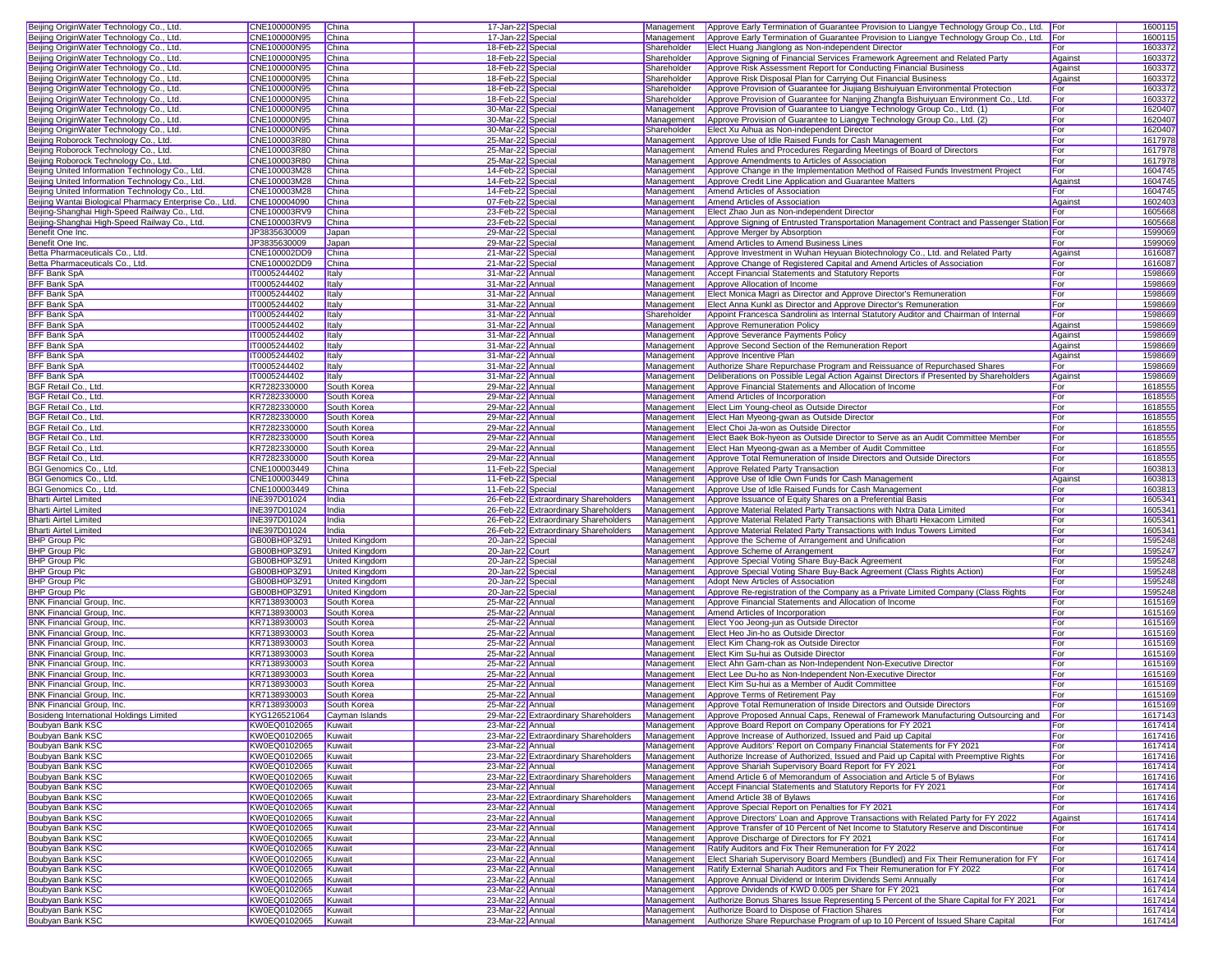| Beijing OriginWater Technology Co., Ltd.                                                                                                                                                                                                                                                                                                                                                                                                                                                                                                                                                                                                                                                                                                                                                        | CNE100000N95                        | China                 | 17-Jan-22 Special                    | Management  | Approve Early Termination of Guarantee Provision to Liangye Technology Group Co., Ltd. For                                                 |            | 1600115            |
|-------------------------------------------------------------------------------------------------------------------------------------------------------------------------------------------------------------------------------------------------------------------------------------------------------------------------------------------------------------------------------------------------------------------------------------------------------------------------------------------------------------------------------------------------------------------------------------------------------------------------------------------------------------------------------------------------------------------------------------------------------------------------------------------------|-------------------------------------|-----------------------|--------------------------------------|-------------|--------------------------------------------------------------------------------------------------------------------------------------------|------------|--------------------|
| Beijing OriginWater Technology Co., Ltd.                                                                                                                                                                                                                                                                                                                                                                                                                                                                                                                                                                                                                                                                                                                                                        | CNE100000N95                        | China                 | 17-Jan-22 Special                    | Management  | Approve Early Termination of Guarantee Provision to Liangye Technology Group Co., Ltd. For                                                 |            | 1600115            |
| Beijing OriginWater Technology Co., Ltd.                                                                                                                                                                                                                                                                                                                                                                                                                                                                                                                                                                                                                                                                                                                                                        | CNE100000N95                        | China                 | 18-Feb-22 Special                    | Shareholder | Elect Huang Jianglong as Non-independent Director                                                                                          | For        | 1603372            |
| Beijing OriginWater Technology Co., Ltd.                                                                                                                                                                                                                                                                                                                                                                                                                                                                                                                                                                                                                                                                                                                                                        | CNE100000N95                        | China                 | 18-Feb-22 Special                    | Shareholder | Approve Signing of Financial Services Framework Agreement and Related Party                                                                | Against    | 1603372            |
| Beijing OriginWater Technology Co., Ltd.                                                                                                                                                                                                                                                                                                                                                                                                                                                                                                                                                                                                                                                                                                                                                        | CNE100000N95                        |                       |                                      | Shareholder | Approve Risk Assessment Report for Conducting Financial Business                                                                           |            | 1603372            |
|                                                                                                                                                                                                                                                                                                                                                                                                                                                                                                                                                                                                                                                                                                                                                                                                 |                                     | China                 | 18-Feb-22 Special                    |             |                                                                                                                                            | Against    |                    |
| Beijing OriginWater Technology Co., Ltd.                                                                                                                                                                                                                                                                                                                                                                                                                                                                                                                                                                                                                                                                                                                                                        | CNE100000N95                        | China                 | 18-Feb-22 Special                    | Shareholder | Approve Risk Disposal Plan for Carrying Out Financial Business                                                                             | Against    | 1603372            |
| Beijing OriginWater Technology Co., Ltd.                                                                                                                                                                                                                                                                                                                                                                                                                                                                                                                                                                                                                                                                                                                                                        | CNE100000N95                        | China                 | 18-Feb-22 Special                    | Shareholder | Approve Provision of Guarantee for Jiujiang Bishuiyuan Environmental Protection                                                            | For        | 1603372            |
| Beijing OriginWater Technology Co., Ltd.                                                                                                                                                                                                                                                                                                                                                                                                                                                                                                                                                                                                                                                                                                                                                        | CNE100000N95                        | China                 | 18-Feb-22 Special                    | Shareholder | Approve Provision of Guarantee for Nanjing Zhangfa Bishuiyuan Environment Co., Ltd.                                                        | For        | 1603372            |
| Beijing OriginWater Technology Co., Ltd.                                                                                                                                                                                                                                                                                                                                                                                                                                                                                                                                                                                                                                                                                                                                                        | CNE100000N95                        | China                 | 30-Mar-22 Special                    | Management  | Approve Provision of Guarantee to Liangye Technology Group Co., Ltd. (1)                                                                   | For        | 1620407            |
| Beijing OriginWater Technology Co., Ltd.                                                                                                                                                                                                                                                                                                                                                                                                                                                                                                                                                                                                                                                                                                                                                        | CNE100000N95                        | China                 | 30-Mar-22 Special                    | Management  | Approve Provision of Guarantee to Liangye Technology Group Co., Ltd. (2)                                                                   | For        | 1620407            |
| Beijing OriginWater Technology Co., Ltd.                                                                                                                                                                                                                                                                                                                                                                                                                                                                                                                                                                                                                                                                                                                                                        | CNE100000N95                        | China                 | 30-Mar-22 Special                    | Shareholder | Elect Xu Aihua as Non-independent Director                                                                                                 | For        | 1620407            |
| Beijing Roborock Technology Co., Ltd.                                                                                                                                                                                                                                                                                                                                                                                                                                                                                                                                                                                                                                                                                                                                                           | CNE100003R80                        | China                 | 25-Mar-22 Specia                     | Management  | Approve Use of Idle Raised Funds for Cash Management                                                                                       | For        | 1617978            |
| Beijing Roborock Technology Co., Ltd.                                                                                                                                                                                                                                                                                                                                                                                                                                                                                                                                                                                                                                                                                                                                                           | CNE100003R80                        | China                 | 25-Mar-22 Special                    | Management  | Amend Rules and Procedures Regarding Meetings of Board of Directors                                                                        | For        | 1617978            |
| Beijing Roborock Technology Co., Ltd.                                                                                                                                                                                                                                                                                                                                                                                                                                                                                                                                                                                                                                                                                                                                                           | CNE100003R80                        | China                 | 25-Mar-22 Special                    | Management  | Approve Amendments to Articles of Association                                                                                              | For        | 1617978            |
| Beijing United Information Technology Co., Ltd.                                                                                                                                                                                                                                                                                                                                                                                                                                                                                                                                                                                                                                                                                                                                                 | CNE100003M28                        | China                 | 14-Feb-22 Special                    | Management  | Approve Change in the Implementation Method of Raised Funds Investment Project                                                             | For        | 1604745            |
| Beijing United Information Technology Co., Ltd.                                                                                                                                                                                                                                                                                                                                                                                                                                                                                                                                                                                                                                                                                                                                                 | CNE100003M28                        | China                 | 14-Feb-22 Specia                     | Management  | Approve Credit Line Application and Guarantee Matters                                                                                      | Against    | 1604745            |
| Beijing United Information Technology Co., Ltd.                                                                                                                                                                                                                                                                                                                                                                                                                                                                                                                                                                                                                                                                                                                                                 | CNE100003M28                        | China                 | 14-Feb-22 Special                    | Management  | Amend Articles of Association                                                                                                              | For        | 1604745            |
| Beijing Wantai Biological Pharmacy Enterprise Co., Ltd.                                                                                                                                                                                                                                                                                                                                                                                                                                                                                                                                                                                                                                                                                                                                         | CNE100004090                        | China                 | 07-Feb-22 Special                    | Management  | Amend Articles of Association                                                                                                              | Against    | 1602403            |
| Beijing-Shanghai High-Speed Railway Co., Ltd.                                                                                                                                                                                                                                                                                                                                                                                                                                                                                                                                                                                                                                                                                                                                                   | CNE100003RV9                        | China                 | 23-Feb-22 Special                    | Management  | Elect Zhao Jun as Non-independent Director                                                                                                 | For        | 1605668            |
| Beijing-Shanghai High-Speed Railway Co., Ltd.                                                                                                                                                                                                                                                                                                                                                                                                                                                                                                                                                                                                                                                                                                                                                   | CNE100003RV9                        | China                 |                                      | Management  | Approve Signing of Entrusted Transportation Management Contract and Passenger Station For                                                  |            | 1605668            |
|                                                                                                                                                                                                                                                                                                                                                                                                                                                                                                                                                                                                                                                                                                                                                                                                 |                                     |                       | 23-Feb-22 Special                    |             |                                                                                                                                            |            |                    |
| Benefit One Inc.                                                                                                                                                                                                                                                                                                                                                                                                                                                                                                                                                                                                                                                                                                                                                                                | JP3835630009                        | Japan                 | 29-Mar-22 Specia                     | Management  | Approve Merger by Absorption                                                                                                               | For        | 1599069            |
| Benefit One Inc.                                                                                                                                                                                                                                                                                                                                                                                                                                                                                                                                                                                                                                                                                                                                                                                | JP3835630009                        | Japan                 | 29-Mar-22 Specia                     | Management  | Amend Articles to Amend Business Lines                                                                                                     | For        | 1599069            |
| Betta Pharmaceuticals Co., Ltd.                                                                                                                                                                                                                                                                                                                                                                                                                                                                                                                                                                                                                                                                                                                                                                 | CNE100002DD9                        | China                 | 21-Mar-22 Specia                     | Management  | Approve Investment in Wuhan Heyuan Biotechnology Co., Ltd. and Related Party                                                               | Against    | 1616087            |
| Betta Pharmaceuticals Co., Ltd.                                                                                                                                                                                                                                                                                                                                                                                                                                                                                                                                                                                                                                                                                                                                                                 | CNE100002DD9                        | China                 | 21-Mar-22 Special                    | Management  | Approve Change of Registered Capital and Amend Articles of Association                                                                     | For        | 1616087            |
| BFF Bank SpA                                                                                                                                                                                                                                                                                                                                                                                                                                                                                                                                                                                                                                                                                                                                                                                    | IT0005244402                        | Italy                 | 31-Mar-22 Annual                     | Management  | Accept Financial Statements and Statutory Reports                                                                                          | For        | 1598669            |
| <b>BFF Bank SpA</b>                                                                                                                                                                                                                                                                                                                                                                                                                                                                                                                                                                                                                                                                                                                                                                             | IT0005244402                        | Italy                 | 31-Mar-22 Annual                     | Management  | Approve Allocation of Income                                                                                                               | For        | 1598669            |
| <b>BFF Bank SpA</b>                                                                                                                                                                                                                                                                                                                                                                                                                                                                                                                                                                                                                                                                                                                                                                             | IT0005244402                        | <b>Italy</b>          | 31-Mar-22 Annual                     | Management  | Elect Monica Magri as Director and Approve Director's Remuneration                                                                         | For        | 1598669            |
| <b>BFF Bank SpA</b>                                                                                                                                                                                                                                                                                                                                                                                                                                                                                                                                                                                                                                                                                                                                                                             | IT0005244402                        | <b>Italy</b>          | 31-Mar-22 Annual                     | Management  | Elect Anna Kunkl as Director and Approve Director's Remuneration                                                                           | For        | 1598669            |
| <b>BFF Bank SpA</b>                                                                                                                                                                                                                                                                                                                                                                                                                                                                                                                                                                                                                                                                                                                                                                             | IT0005244402                        | <b>Italy</b>          | 31-Mar-22 Annual                     | Shareholder | Appoint Francesca Sandrolini as Internal Statutory Auditor and Chairman of Internal                                                        | For        | 1598669            |
| <b>BFF Bank SpA</b>                                                                                                                                                                                                                                                                                                                                                                                                                                                                                                                                                                                                                                                                                                                                                                             | IT0005244402                        | <b>Italy</b>          | 31-Mar-22 Annual                     | Management  | Approve Remuneration Policy                                                                                                                | Against    | 1598669            |
| <b>BFF Bank SpA</b>                                                                                                                                                                                                                                                                                                                                                                                                                                                                                                                                                                                                                                                                                                                                                                             | IT0005244402                        | <b>Italy</b>          | 31-Mar-22 Annual                     | Management  | Approve Severance Payments Policy                                                                                                          | Against    | 1598669            |
| <b>BFF Bank SpA</b>                                                                                                                                                                                                                                                                                                                                                                                                                                                                                                                                                                                                                                                                                                                                                                             | IT0005244402                        | <b>Italy</b>          | 31-Mar-22 Annual                     | Management  | Approve Second Section of the Remuneration Report                                                                                          | Against    | 1598669            |
| <b>BFF Bank SpA</b>                                                                                                                                                                                                                                                                                                                                                                                                                                                                                                                                                                                                                                                                                                                                                                             | IT0005244402                        | <b>Italy</b>          | 31-Mar-22 Annual                     | Management  | Approve Incentive Plan                                                                                                                     | Against    | 1598669            |
| <b>BFF Bank SpA</b>                                                                                                                                                                                                                                                                                                                                                                                                                                                                                                                                                                                                                                                                                                                                                                             | IT0005244402                        | <b>Italy</b>          | 31-Mar-22 Annual                     | Management  | Authorize Share Repurchase Program and Reissuance of Repurchased Shares                                                                    | For        | 1598669            |
| <b>BFF Bank SpA</b>                                                                                                                                                                                                                                                                                                                                                                                                                                                                                                                                                                                                                                                                                                                                                                             | IT0005244402                        | <b>Italy</b>          | 31-Mar-22 Annual                     | Management  | Deliberations on Possible Legal Action Against Directors if Presented by Shareholders                                                      | Against    | 1598669            |
| BGF Retail Co., Ltd.                                                                                                                                                                                                                                                                                                                                                                                                                                                                                                                                                                                                                                                                                                                                                                            | KR7282330000                        | South Korea           | 29-Mar-22 Annual                     | Management  | Approve Financial Statements and Allocation of Income                                                                                      | For        | 1618555            |
| BGF Retail Co., Ltd.                                                                                                                                                                                                                                                                                                                                                                                                                                                                                                                                                                                                                                                                                                                                                                            | KR7282330000                        | South Korea           | 29-Mar-22 Annual                     | Management  | Amend Articles of Incorporation                                                                                                            | For        | 1618555            |
| BGF Retail Co., Ltd.                                                                                                                                                                                                                                                                                                                                                                                                                                                                                                                                                                                                                                                                                                                                                                            | KR7282330000                        | South Korea           | 29-Mar-22 Annual                     | Management  | Elect Lim Young-cheol as Outside Director                                                                                                  | For        | 1618555            |
| BGF Retail Co., Ltd.                                                                                                                                                                                                                                                                                                                                                                                                                                                                                                                                                                                                                                                                                                                                                                            | KR7282330000                        | South Korea           | 29-Mar-22 Annual                     | Management  | Elect Han Myeong-gwan as Outside Director                                                                                                  | For        | 1618555            |
| BGF Retail Co., Ltd.                                                                                                                                                                                                                                                                                                                                                                                                                                                                                                                                                                                                                                                                                                                                                                            | KR7282330000                        | South Korea           | 29-Mar-22 Annual                     | Management  | Elect Choi Ja-won as Outside Director                                                                                                      | For        | 1618555            |
| BGF Retail Co., Ltd.                                                                                                                                                                                                                                                                                                                                                                                                                                                                                                                                                                                                                                                                                                                                                                            | KR7282330000                        | South Korea           | 29-Mar-22 Annual                     | Management  | Elect Baek Bok-hyeon as Outside Director to Serve as an Audit Committee Member                                                             | For        | 1618555            |
| BGF Retail Co., Ltd.                                                                                                                                                                                                                                                                                                                                                                                                                                                                                                                                                                                                                                                                                                                                                                            | KR7282330000                        | South Korea           | 29-Mar-22 Annual                     | Management  | Elect Han Myeong-gwan as a Member of Audit Committee                                                                                       | For        | 1618555            |
| BGF Retail Co., Ltd.                                                                                                                                                                                                                                                                                                                                                                                                                                                                                                                                                                                                                                                                                                                                                                            | KR7282330000                        | South Korea           | 29-Mar-22 Annual                     | Management  | Approve Total Remuneration of Inside Directors and Outside Directors                                                                       | For        | 1618555            |
| BGI Genomics Co., Ltd.                                                                                                                                                                                                                                                                                                                                                                                                                                                                                                                                                                                                                                                                                                                                                                          | CNE100003449                        | China                 | 11-Feb-22 Special                    | Management  | Approve Related Party Transaction                                                                                                          | For        | 1603813            |
| BGI Genomics Co., Ltd.                                                                                                                                                                                                                                                                                                                                                                                                                                                                                                                                                                                                                                                                                                                                                                          | CNE100003449                        | China                 | 11-Feb-22 Special                    | Management  | Approve Use of Idle Own Funds for Cash Management                                                                                          | Against    | 1603813            |
| BGI Genomics Co., Ltd.                                                                                                                                                                                                                                                                                                                                                                                                                                                                                                                                                                                                                                                                                                                                                                          | CNE100003449                        | China                 | 11-Feb-22 Special                    | Management  | Approve Use of Idle Raised Funds for Cash Management                                                                                       | For        | 1603813            |
| <b>Bharti Airtel Limited</b>                                                                                                                                                                                                                                                                                                                                                                                                                                                                                                                                                                                                                                                                                                                                                                    | INE397D01024                        | India                 | 26-Feb-22 Extraordinary Shareholders | Management  | Approve Issuance of Equity Shares on a Preferential Basis                                                                                  | For        | 1605341            |
| <b>Bharti Airtel Limited</b>                                                                                                                                                                                                                                                                                                                                                                                                                                                                                                                                                                                                                                                                                                                                                                    | INE397D01024                        | India                 | 26-Feb-22 Extraordinary Shareholders | Management  | Approve Material Related Party Transactions with Nxtra Data Limited                                                                        | For        | 1605341            |
| <b>Bharti Airtel Limited</b>                                                                                                                                                                                                                                                                                                                                                                                                                                                                                                                                                                                                                                                                                                                                                                    | INE397D01024                        | India                 | 26-Feb-22 Extraordinary Shareholders | Management  | Approve Material Related Party Transactions with Bharti Hexacom Limited                                                                    | For        | 1605341            |
|                                                                                                                                                                                                                                                                                                                                                                                                                                                                                                                                                                                                                                                                                                                                                                                                 |                                     |                       |                                      |             | Approve Material Related Party Transactions with Indus Towers Limited                                                                      |            |                    |
|                                                                                                                                                                                                                                                                                                                                                                                                                                                                                                                                                                                                                                                                                                                                                                                                 |                                     |                       |                                      |             |                                                                                                                                            |            |                    |
| <b>Bharti Airtel Limited</b>                                                                                                                                                                                                                                                                                                                                                                                                                                                                                                                                                                                                                                                                                                                                                                    | INE397D01024                        | India                 | 26-Feb-22 Extraordinary Shareholders | Management  |                                                                                                                                            | For        | 1605341            |
| <b>BHP Group Plc</b>                                                                                                                                                                                                                                                                                                                                                                                                                                                                                                                                                                                                                                                                                                                                                                            | GB00BH0P3Z91                        | <b>United Kingdom</b> | 20-Jan-22 Special                    | Management  | Approve the Scheme of Arrangement and Unification                                                                                          | For        | 1595248            |
| <b>BHP Group Plc</b>                                                                                                                                                                                                                                                                                                                                                                                                                                                                                                                                                                                                                                                                                                                                                                            | GB00BH0P3Z91                        | United Kingdom        | 20-Jan-22 Court                      | Management  | Approve Scheme of Arrangement                                                                                                              | For        | 1595247            |
| <b>BHP Group Plc</b>                                                                                                                                                                                                                                                                                                                                                                                                                                                                                                                                                                                                                                                                                                                                                                            | GB00BH0P3Z91                        | United Kingdom        | 20-Jan-22 Specia                     | Management  | Approve Special Voting Share Buy-Back Agreement                                                                                            | For        | 1595248            |
| <b>BHP Group Plc</b>                                                                                                                                                                                                                                                                                                                                                                                                                                                                                                                                                                                                                                                                                                                                                                            | GB00BH0P3Z91                        | United Kingdom        | 20-Jan-22 Special                    | Management  | Approve Special Voting Share Buy-Back Agreement (Class Rights Action)                                                                      | For        | 1595248            |
| <b>BHP Group Plc</b>                                                                                                                                                                                                                                                                                                                                                                                                                                                                                                                                                                                                                                                                                                                                                                            | GB00BH0P3Z91                        | United Kingdom        | 20-Jan-22 Special                    | Management  | Adopt New Articles of Association                                                                                                          | For        | 1595248            |
| <b>BHP Group Plc</b>                                                                                                                                                                                                                                                                                                                                                                                                                                                                                                                                                                                                                                                                                                                                                                            | GB00BH0P3Z91                        | <b>United Kingdom</b> | 20-Jan-22 Special                    | Management  | Approve Re-registration of the Company as a Private Limited Company (Class Rights                                                          | For        | 1595248            |
|                                                                                                                                                                                                                                                                                                                                                                                                                                                                                                                                                                                                                                                                                                                                                                                                 | KR7138930003                        | South Korea           | 25-Mar-22 Annual                     | Management  | Approve Financial Statements and Allocation of Income                                                                                      | For        | 1615169            |
|                                                                                                                                                                                                                                                                                                                                                                                                                                                                                                                                                                                                                                                                                                                                                                                                 | KR7138930003                        | South Korea           | 25-Mar-22 Annual                     | Management  | Amend Articles of Incorporation                                                                                                            | For        | 1615169            |
|                                                                                                                                                                                                                                                                                                                                                                                                                                                                                                                                                                                                                                                                                                                                                                                                 | KR7138930003                        | South Korea           | 25-Mar-22 Annual                     | Management  | Elect Yoo Jeong-jun as Outside Director                                                                                                    | For        | 1615169            |
|                                                                                                                                                                                                                                                                                                                                                                                                                                                                                                                                                                                                                                                                                                                                                                                                 | KR7138930003                        | South Korea           | 25-Mar-22 Annual                     | Management  | Elect Heo Jin-ho as Outside Director                                                                                                       | For        | 1615169            |
|                                                                                                                                                                                                                                                                                                                                                                                                                                                                                                                                                                                                                                                                                                                                                                                                 | KR7138930003                        | South Korea           | 25-Mar-22 Annual                     | Management  | Elect Kim Chang-rok as Outside Director                                                                                                    | For        | 1615169            |
|                                                                                                                                                                                                                                                                                                                                                                                                                                                                                                                                                                                                                                                                                                                                                                                                 | KR7138930003                        | South Korea           | 25-Mar-22 Annual                     | Management  | Elect Kim Su-hui as Outside Director                                                                                                       | For        | 1615169            |
|                                                                                                                                                                                                                                                                                                                                                                                                                                                                                                                                                                                                                                                                                                                                                                                                 | KR7138930003                        | South Korea           | 25-Mar-22 Annual                     | Management  | Elect Ahn Gam-chan as Non-Independent Non-Executive Director                                                                               | For        | 1615169            |
|                                                                                                                                                                                                                                                                                                                                                                                                                                                                                                                                                                                                                                                                                                                                                                                                 | KR7138930003                        | South Korea           | 25-Mar-22 Annual                     | Management  | Elect Lee Du-ho as Non-Independent Non-Executive Director                                                                                  | For        | 1615169            |
|                                                                                                                                                                                                                                                                                                                                                                                                                                                                                                                                                                                                                                                                                                                                                                                                 | KR7138930003                        | South Korea           | 25-Mar-22 Annual                     | Management  | Elect Kim Su-hui as a Member of Audit Committee                                                                                            | For        | 1615169            |
|                                                                                                                                                                                                                                                                                                                                                                                                                                                                                                                                                                                                                                                                                                                                                                                                 | KR7138930003                        | South Korea           | 25-Mar-22 Annual                     | Management  | Approve Terms of Retirement Pay                                                                                                            | For        | 1615169            |
|                                                                                                                                                                                                                                                                                                                                                                                                                                                                                                                                                                                                                                                                                                                                                                                                 | KR7138930003                        | South Korea           | 25-Mar-22 Annual                     | Management  | Approve Total Remuneration of Inside Directors and Outside Directors                                                                       | For        | 1615169            |
|                                                                                                                                                                                                                                                                                                                                                                                                                                                                                                                                                                                                                                                                                                                                                                                                 | KYG126521064                        | Cayman Islands        | 29-Mar-22 Extraordinary Shareholders |             | Management Approve Proposed Annual Caps, Renewal of Framework Manufacturing Outsourcing and                                                | For        | 1617143            |
|                                                                                                                                                                                                                                                                                                                                                                                                                                                                                                                                                                                                                                                                                                                                                                                                 | KW0EQ0102065                        | Kuwait                | 23-Mar-22 Annual                     | Management  | Approve Board Report on Company Operations for FY 2021                                                                                     | For        | 1617414            |
|                                                                                                                                                                                                                                                                                                                                                                                                                                                                                                                                                                                                                                                                                                                                                                                                 | KW0EQ0102065                        | Kuwait                | 23-Mar-22 Extraordinary Shareholders | Management  | Approve Increase of Authorized, Issued and Paid up Capital                                                                                 | For        | 1617416            |
|                                                                                                                                                                                                                                                                                                                                                                                                                                                                                                                                                                                                                                                                                                                                                                                                 | KW0EQ0102065                        | Kuwait                | 23-Mar-22 Annual                     | Management  | Approve Auditors' Report on Company Financial Statements for FY 2021                                                                       | For        | 1617414            |
|                                                                                                                                                                                                                                                                                                                                                                                                                                                                                                                                                                                                                                                                                                                                                                                                 | KW0EQ0102065                        | Kuwait                | 23-Mar-22 Extraordinary Shareholders | Management  | Authorize Increase of Authorized, Issued and Paid up Capital with Preemptive Rights                                                        | For        | 1617416            |
|                                                                                                                                                                                                                                                                                                                                                                                                                                                                                                                                                                                                                                                                                                                                                                                                 | KW0EQ0102065                        | Kuwait                | 23-Mar-22 Annual                     | Management  | Approve Shariah Supervisory Board Report for FY 2021                                                                                       | For        | 1617414            |
|                                                                                                                                                                                                                                                                                                                                                                                                                                                                                                                                                                                                                                                                                                                                                                                                 | KW0EQ0102065                        | Kuwait                | 23-Mar-22 Extraordinary Shareholders | Management  | Amend Article 6 of Memorandum of Association and Article 5 of Bylaws                                                                       | For        | 1617416            |
|                                                                                                                                                                                                                                                                                                                                                                                                                                                                                                                                                                                                                                                                                                                                                                                                 | KW0EQ0102065                        | Kuwait                | 23-Mar-22 Annual                     | Management  | Accept Financial Statements and Statutory Reports for FY 2021                                                                              | For        | 1617414            |
|                                                                                                                                                                                                                                                                                                                                                                                                                                                                                                                                                                                                                                                                                                                                                                                                 | KW0EQ0102065                        | Kuwait                | 23-Mar-22 Extraordinary Shareholders | Management  | Amend Article 38 of Bylaws                                                                                                                 | For        | 1617416            |
|                                                                                                                                                                                                                                                                                                                                                                                                                                                                                                                                                                                                                                                                                                                                                                                                 | KW0EQ0102065                        | Kuwait                | 23-Mar-22 Annual                     | Management  | Approve Special Report on Penalties for FY 2021                                                                                            | For        | 1617414            |
|                                                                                                                                                                                                                                                                                                                                                                                                                                                                                                                                                                                                                                                                                                                                                                                                 | KW0EQ0102065                        | Kuwait                | 23-Mar-22 Annual                     | Management  | Approve Directors' Loan and Approve Transactions with Related Party for FY 2022                                                            | Against    | 1617414            |
|                                                                                                                                                                                                                                                                                                                                                                                                                                                                                                                                                                                                                                                                                                                                                                                                 | KW0EQ0102065                        | Kuwait                | 23-Mar-22 Annual                     | Management  | Approve Transfer of 10 Percent of Net Income to Statutory Reserve and Discontinue                                                          | For        | 1617414            |
|                                                                                                                                                                                                                                                                                                                                                                                                                                                                                                                                                                                                                                                                                                                                                                                                 | KW0EQ0102065                        | Kuwait                | 23-Mar-22 Annual                     | Management  | Approve Discharge of Directors for FY 2021                                                                                                 | For        | 1617414            |
|                                                                                                                                                                                                                                                                                                                                                                                                                                                                                                                                                                                                                                                                                                                                                                                                 | KW0EQ0102065                        | Kuwait                | 23-Mar-22 Annual                     | Management  | Ratify Auditors and Fix Their Remuneration for FY 2022                                                                                     | For        | 1617414            |
|                                                                                                                                                                                                                                                                                                                                                                                                                                                                                                                                                                                                                                                                                                                                                                                                 | KW0EQ0102065                        | Kuwait                | 23-Mar-22 Annual                     | Management  | Elect Shariah Supervisory Board Members (Bundled) and Fix Their Remuneration for FY                                                        | For        | 1617414            |
|                                                                                                                                                                                                                                                                                                                                                                                                                                                                                                                                                                                                                                                                                                                                                                                                 | KW0EQ0102065                        | Kuwait                | 23-Mar-22 Annual                     | Management  | Ratify External Shariah Auditors and Fix Their Remuneration for FY 2022                                                                    | For        | 1617414            |
|                                                                                                                                                                                                                                                                                                                                                                                                                                                                                                                                                                                                                                                                                                                                                                                                 | KW0EQ0102065                        | Kuwait                | 23-Mar-22 Annual                     | Management  | Approve Annual Dividend or Interim Dividends Semi Annually                                                                                 | For        | 1617414            |
|                                                                                                                                                                                                                                                                                                                                                                                                                                                                                                                                                                                                                                                                                                                                                                                                 | KW0EQ0102065                        | Kuwait                | 23-Mar-22 Annual                     | Management  | Approve Dividends of KWD 0.005 per Share for FY 2021                                                                                       | For        | 1617414            |
| BNK Financial Group, Inc.<br><b>BNK Financial Group, Inc.</b><br><b>BNK Financial Group, Inc.</b><br>BNK Financial Group, Inc.<br>BNK Financial Group, Inc.<br>BNK Financial Group, Inc.<br><b>BNK Financial Group, Inc.</b><br>BNK Financial Group, Inc.<br>BNK Financial Group, Inc.<br>BNK Financial Group, Inc.<br>BNK Financial Group, Inc.<br>Bosideng International Holdings Limited<br>Boubyan Bank KSC<br>Boubyan Bank KSC<br><b>Boubyan Bank KSC</b><br>Boubyan Bank KSC<br><b>Boubyan Bank KSC</b><br>Boubyan Bank KSC<br>Boubyan Bank KSC<br>Boubyan Bank KSC<br>Boubyan Bank KSC<br>Boubyan Bank KSC<br>Boubyan Bank KSC<br>Boubyan Bank KSC<br><b>Boubyan Bank KSC</b><br>Boubyan Bank KSC<br><b>Boubyan Bank KSC</b><br>Boubyan Bank KSC<br>Boubyan Bank KSC<br>Boubyan Bank KSC | KW0EQ0102065                        | Kuwait                | 23-Mar-22 Annual                     | Management  | Authorize Bonus Shares Issue Representing 5 Percent of the Share Capital for FY 2021                                                       | For        | 1617414            |
| Boubyan Bank KSC<br><b>Boubyan Bank KSC</b>                                                                                                                                                                                                                                                                                                                                                                                                                                                                                                                                                                                                                                                                                                                                                     | KW0EQ0102065<br>KW0EQ0102065 Kuwait | Kuwait                | 23-Mar-22 Annual<br>23-Mar-22 Annual | Management  | Authorize Board to Dispose of Fraction Shares<br>Management Authorize Share Repurchase Program of up to 10 Percent of Issued Share Capital | For<br>For | 1617414<br>1617414 |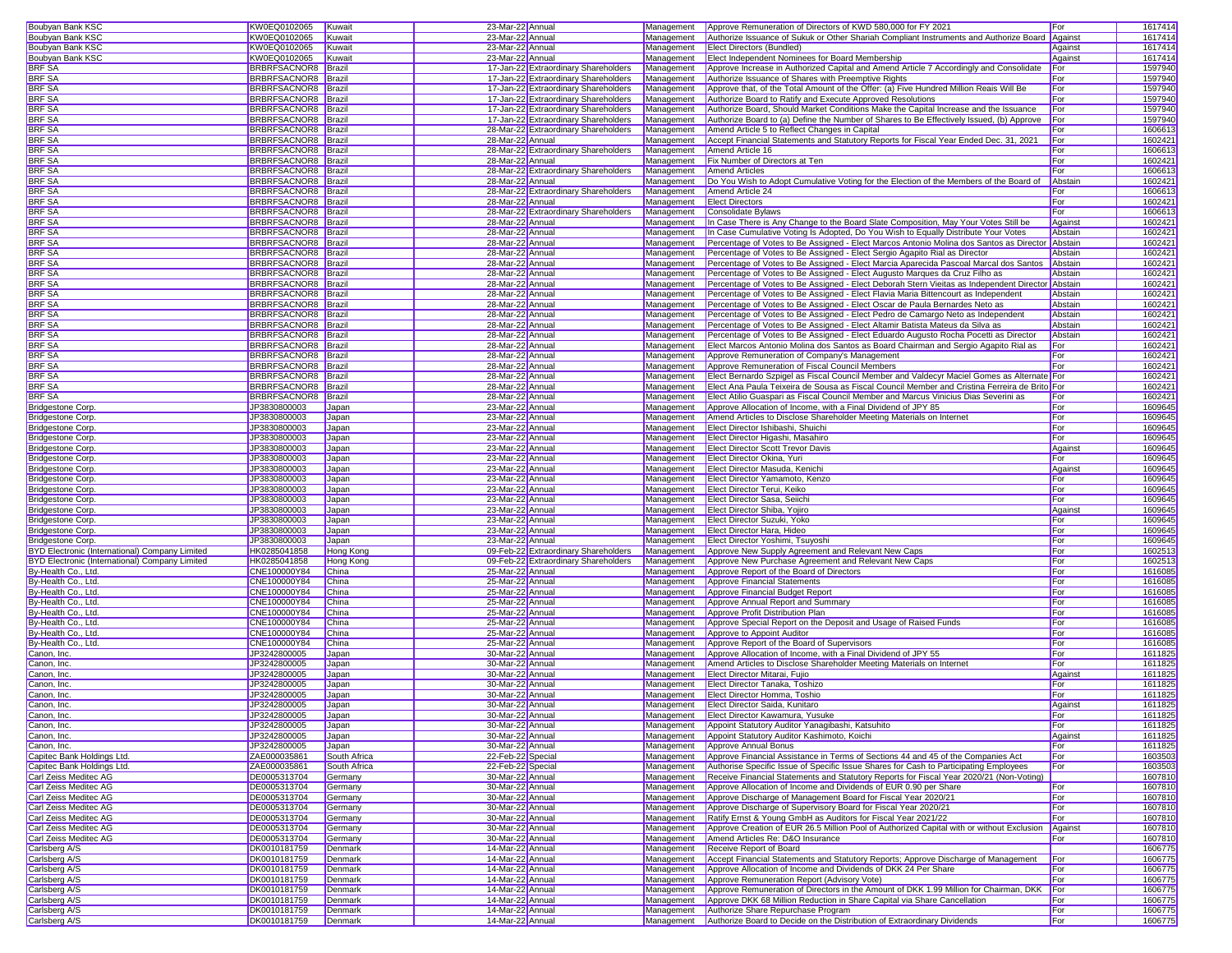| <b>Boubyan Bank KSC</b>                                                                                                                                                                                                                                                                                                                 | KW0EQ0102065 Kuwait          |                    |                                      |            |                                                                                                                           |            |                    |
|-----------------------------------------------------------------------------------------------------------------------------------------------------------------------------------------------------------------------------------------------------------------------------------------------------------------------------------------|------------------------------|--------------------|--------------------------------------|------------|---------------------------------------------------------------------------------------------------------------------------|------------|--------------------|
|                                                                                                                                                                                                                                                                                                                                         |                              |                    | 23-Mar-22 Annual                     |            | Management Approve Remuneration of Directors of KWD 580,000 for FY 2021                                                   | For        | 1617414            |
| Boubyan Bank KSC                                                                                                                                                                                                                                                                                                                        | KW0EQ0102065                 | Kuwait             | 23-Mar-22 Annual                     | Management | Authorize Issuance of Sukuk or Other Shariah Compliant Instruments and Authorize Board Against                            |            | 1617414            |
| <b>Boubyan Bank KSC</b>                                                                                                                                                                                                                                                                                                                 | KW0EQ0102065                 |                    | 23-Mar-22 Annual                     |            |                                                                                                                           |            |                    |
|                                                                                                                                                                                                                                                                                                                                         |                              | Kuwait             |                                      |            | Management Elect Directors (Bundled)                                                                                      | Against    | 1617414            |
| Boubyan Bank KSC                                                                                                                                                                                                                                                                                                                        | KW0EQ0102065                 | Kuwait             | 23-Mar-22 Annual                     | Management | <b>Elect Independent Nominees for Board Membership</b>                                                                    | Against    | 1617414            |
| BRF SA                                                                                                                                                                                                                                                                                                                                  | BRBRFSACNOR8 Brazil          |                    | 17-Jan-22 Extraordinary Shareholders | Management | Approve Increase in Authorized Capital and Amend Article 7 Accordingly and Consolidate                                    | For        | 1597940            |
|                                                                                                                                                                                                                                                                                                                                         |                              |                    |                                      |            |                                                                                                                           |            |                    |
| <b>BRF SA</b>                                                                                                                                                                                                                                                                                                                           | <b>BRBRFSACNOR8</b> Brazil   |                    | 17-Jan-22 Extraordinary Shareholders | Management | Authorize Issuance of Shares with Preemptive Rights                                                                       | For        | 1597940            |
| <b>BRF SA</b>                                                                                                                                                                                                                                                                                                                           | BRBRFSACNOR8 Brazil          |                    | 17-Jan-22 Extraordinary Shareholders | Management | Approve that, of the Total Amount of the Offer: (a) Five Hundred Million Reais Will Be                                    | For        | 1597940            |
|                                                                                                                                                                                                                                                                                                                                         |                              |                    |                                      |            |                                                                                                                           |            |                    |
| <b>BRF SA</b>                                                                                                                                                                                                                                                                                                                           | <b>BRBRFSACNOR8</b> Brazil   |                    | 17-Jan-22 Extraordinary Shareholders | Management | Authorize Board to Ratify and Execute Approved Resolutions                                                                | For        | 1597940            |
| <b>BRF SA</b>                                                                                                                                                                                                                                                                                                                           | BRBRFSACNOR8 Brazil          |                    | 17-Jan-22 Extraordinary Shareholders | Management | Authorize Board, Should Market Conditions Make the Capital Increase and the Issuance                                      | For        | 1597940            |
|                                                                                                                                                                                                                                                                                                                                         |                              |                    |                                      |            |                                                                                                                           |            |                    |
| BRF SA                                                                                                                                                                                                                                                                                                                                  | <b>BRBRFSACNOR8</b> Brazil   |                    | 17-Jan-22 Extraordinary Shareholders | Management | Authorize Board to (a) Define the Number of Shares to Be Effectively Issued, (b) Approve                                  | For        | 1597940            |
| <b>BRF SA</b>                                                                                                                                                                                                                                                                                                                           | <b>BRBRFSACNOR8 Brazil</b>   |                    | 28-Mar-22 Extraordinary Shareholders | Management | Amend Article 5 to Reflect Changes in Capital                                                                             | For        | 160661             |
| <b>BRF SA</b>                                                                                                                                                                                                                                                                                                                           | BRBRFSACNOR8 Brazil          |                    | 28-Mar-22 Annual                     | Management | Accept Financial Statements and Statutory Reports for Fiscal Year Ended Dec. 31, 2021                                     | For        | 160242             |
|                                                                                                                                                                                                                                                                                                                                         |                              |                    |                                      |            |                                                                                                                           |            |                    |
| <b>BRF SA</b>                                                                                                                                                                                                                                                                                                                           | BRBRFSACNOR8 Brazil          |                    | 28-Mar-22 Extraordinary Shareholders |            | Management Amend Article 16                                                                                               | For        | 1606613            |
| <b>BRF SA</b>                                                                                                                                                                                                                                                                                                                           | BRBRFSACNOR8 Brazil          |                    | 28-Mar-22 Annual                     | Management | <b>Fix Number of Directors at Ten</b>                                                                                     | For        | 1602421            |
|                                                                                                                                                                                                                                                                                                                                         |                              |                    |                                      |            |                                                                                                                           |            |                    |
| BRF SA                                                                                                                                                                                                                                                                                                                                  | BRBRFSACNOR8 Brazil          |                    | 28-Mar-22 Extraordinary Shareholders | Management | <b>Amend Articles</b>                                                                                                     | For        | 1606613            |
| <b>BRF SA</b>                                                                                                                                                                                                                                                                                                                           | <b>BRBRFSACNOR8</b> Brazil   |                    | 28-Mar-22 Annual                     | Management | Do You Wish to Adopt Cumulative Voting for the Election of the Members of the Board of                                    | Abstain    | 1602421            |
| <b>BRF SA</b>                                                                                                                                                                                                                                                                                                                           |                              |                    |                                      | Management | Amend Article 24                                                                                                          | For        | 160661             |
|                                                                                                                                                                                                                                                                                                                                         | BRBRFSACNOR8 Brazil          |                    | 28-Mar-22 Extraordinary Shareholders |            |                                                                                                                           |            |                    |
| <b>BRF SA</b>                                                                                                                                                                                                                                                                                                                           | <b>BRBRFSACNOR8</b> Brazil   |                    | 28-Mar-22 Annual                     | Management | <b>Elect Directors</b>                                                                                                    | For        | 1602421            |
| <b>BRF SA</b>                                                                                                                                                                                                                                                                                                                           | BRBRFSACNOR8 Brazil          |                    | 28-Mar-22 Extraordinary Shareholders | Management | Consolidate Bylaws                                                                                                        | For        |                    |
|                                                                                                                                                                                                                                                                                                                                         |                              |                    |                                      |            |                                                                                                                           |            | 160661             |
| BRF SA                                                                                                                                                                                                                                                                                                                                  | BRBRFSACNOR8 Brazil          |                    | 28-Mar-22 Annual                     | Management | In Case There is Any Change to the Board Slate Composition, May Your Votes Still be                                       | Against    | 160242             |
| <b>BRF SA</b>                                                                                                                                                                                                                                                                                                                           | <b>BRBRFSACNOR8</b> Brazil   |                    | 28-Mar-22 Annual                     | Management | In Case Cumulative Voting Is Adopted, Do You Wish to Equally Distribute Your Votes                                        | Abstain    | 1602421            |
|                                                                                                                                                                                                                                                                                                                                         |                              |                    |                                      |            |                                                                                                                           |            |                    |
| <b>BRF SA</b>                                                                                                                                                                                                                                                                                                                           | BRBRFSACNOR8 Brazil          |                    | 28-Mar-22 Annual                     | Management | Percentage of Votes to Be Assigned - Elect Marcos Antonio Molina dos Santos as Director Abstain                           |            | 1602421            |
| <b>BRF SA</b>                                                                                                                                                                                                                                                                                                                           | BRBRFSACNOR8 Brazil          |                    | 28-Mar-22 Annual                     |            | Management Percentage of Votes to Be Assigned - Elect Sergio Agapito Rial as Director                                     | Abstain    | 1602421            |
| <b>BRF SA</b>                                                                                                                                                                                                                                                                                                                           | BRBRFSACNOR8 Brazil          |                    | 28-Mar-22 Annual                     | Management | Percentage of Votes to Be Assigned - Elect Marcia Aparecida Pascoal Marcal dos Santos                                     | Abstain    | 1602421            |
|                                                                                                                                                                                                                                                                                                                                         |                              |                    |                                      |            |                                                                                                                           |            |                    |
| BRF SA                                                                                                                                                                                                                                                                                                                                  | BRBRFSACNOR8 Brazil          |                    | 28-Mar-22 Annual                     | Management | Percentage of Votes to Be Assigned - Elect Augusto Marques da Cruz Filho as                                               | Abstain    | 1602421            |
| <b>BRF SA</b>                                                                                                                                                                                                                                                                                                                           | <b>BRBRFSACNOR8</b> Brazil   |                    | 28-Mar-22 Annual                     | Management | Percentage of Votes to Be Assigned - Elect Deborah Stern Vieitas as Independent Director Abstain                          |            | 1602421            |
|                                                                                                                                                                                                                                                                                                                                         |                              |                    |                                      |            |                                                                                                                           |            |                    |
| <b>BRF SA</b>                                                                                                                                                                                                                                                                                                                           | BRBRFSACNOR8 Brazil          |                    | 28-Mar-22 Annual                     | Management | Percentage of Votes to Be Assigned - Elect Flavia Maria Bittencourt as Independent                                        | Abstain    | 1602421            |
| <b>BRF SA</b>                                                                                                                                                                                                                                                                                                                           | BRBRFSACNOR8 Brazil          |                    | 28-Mar-22 Annual                     | Management | Percentage of Votes to Be Assigned - Elect Oscar de Paula Bernardes Neto as                                               | Abstain    | 1602421            |
|                                                                                                                                                                                                                                                                                                                                         |                              |                    |                                      |            |                                                                                                                           |            |                    |
| <b>BRF SA</b>                                                                                                                                                                                                                                                                                                                           | BRBRFSACNOR8 Brazil          |                    | 28-Mar-22 Annual                     | Management | Percentage of Votes to Be Assigned - Elect Pedro de Camargo Neto as Independent                                           | Abstain    | 1602421            |
| BRF SA                                                                                                                                                                                                                                                                                                                                  | BRBRFSACNOR8 Brazil          |                    | 28-Mar-22 Annual                     | Management | Percentage of Votes to Be Assigned - Elect Altamir Batista Mateus da Silva as                                             | Abstain    | 160242             |
| <b>BRF SA</b>                                                                                                                                                                                                                                                                                                                           | <b>BRBRFSACNOR8 Brazil</b>   |                    |                                      |            |                                                                                                                           | Abstain    | 160242             |
|                                                                                                                                                                                                                                                                                                                                         |                              |                    | 28-Mar-22 Annual                     | Management | Percentage of Votes to Be Assigned - Elect Eduardo Augusto Rocha Pocetti as Director                                      |            |                    |
| <b>BRF SA</b>                                                                                                                                                                                                                                                                                                                           | BRBRFSACNOR8 Brazil          |                    | 28-Mar-22 Annual                     | Management | Elect Marcos Antonio Molina dos Santos as Board Chairman and Sergio Agapito Rial as                                       | For        | 160242             |
| <b>BRF SA</b>                                                                                                                                                                                                                                                                                                                           | BRBRFSACNOR8 Brazil          |                    | 28-Mar-22 Annual                     |            | Management Approve Remuneration of Company's Management                                                                   | For        | 1602421            |
|                                                                                                                                                                                                                                                                                                                                         |                              |                    |                                      |            |                                                                                                                           |            |                    |
| <b>BRF SA</b>                                                                                                                                                                                                                                                                                                                           | BRBRFSACNOR8 Brazil          |                    | 28-Mar-22 Annual                     | Management | Approve Remuneration of Fiscal Council Members                                                                            | For        | 1602421            |
| BRF SA                                                                                                                                                                                                                                                                                                                                  | BRBRFSACNOR8 Brazil          |                    | 28-Mar-22 Annual                     | Management | Elect Bernardo Szpigel as Fiscal Council Member and Valdecyr Maciel Gomes as Alternate For                                |            | 1602421            |
|                                                                                                                                                                                                                                                                                                                                         |                              |                    |                                      |            |                                                                                                                           |            |                    |
| <b>BRF SA</b>                                                                                                                                                                                                                                                                                                                           | BRBRFSACNOR8 Brazil          |                    | 28-Mar-22 Annual                     | Management | Elect Ana Paula Teixeira de Sousa as Fiscal Council Member and Cristina Ferreira de Brito For                             |            | 1602421            |
| <b>BRF SA</b>                                                                                                                                                                                                                                                                                                                           | <b>BRBRFSACNOR8 Brazil</b>   |                    | 28-Mar-22 Annual                     | Management | Elect Atilio Guaspari as Fiscal Council Member and Marcus Vinicius Dias Severini as                                       | For        | 1602421            |
|                                                                                                                                                                                                                                                                                                                                         |                              |                    |                                      |            |                                                                                                                           |            |                    |
| <b>Bridgestone Corp.</b>                                                                                                                                                                                                                                                                                                                | JP3830800003                 | Japan              | 23-Mar-22 Annual                     | Management | Approve Allocation of Income, with a Final Dividend of JPY 85                                                             | For        | 1609645            |
| <b>Bridgestone Corp</b>                                                                                                                                                                                                                                                                                                                 | JP3830800003                 | Japan              | 23-Mar-22 Annual                     | Management | Amend Articles to Disclose Shareholder Meeting Materials on Internet                                                      | For        | 1609645            |
|                                                                                                                                                                                                                                                                                                                                         |                              |                    |                                      | Management | Elect Director Ishibashi, Shuichi                                                                                         | For        |                    |
| Bridgestone Corp.                                                                                                                                                                                                                                                                                                                       | JP3830800003                 | Japan              | 23-Mar-22 Annual                     |            |                                                                                                                           |            | 1609645            |
| Bridgestone Corp.                                                                                                                                                                                                                                                                                                                       | JP3830800003                 | Japan              | 23-Mar-22 Annual                     | Management | Elect Director Higashi, Masahiro                                                                                          | For        | 1609645            |
| Bridgestone Corp.                                                                                                                                                                                                                                                                                                                       | JP3830800003                 | Japan              | 23-Mar-22 Annual                     | Management | <b>Elect Director Scott Trevor Davis</b>                                                                                  | Against    | 1609645            |
|                                                                                                                                                                                                                                                                                                                                         |                              |                    |                                      |            |                                                                                                                           |            |                    |
| <b>Bridgestone Corp</b>                                                                                                                                                                                                                                                                                                                 | JP3830800003                 | Japan              | 23-Mar-22 Annual                     |            | Management Elect Director Okina, Yuri                                                                                     | For        | 1609645            |
| <b>Bridgestone Corp</b>                                                                                                                                                                                                                                                                                                                 | JP3830800003                 | Japan              | 23-Mar-22 Annual                     |            | Management Elect Director Masuda, Kenichi                                                                                 | Against    | 1609645            |
|                                                                                                                                                                                                                                                                                                                                         |                              |                    |                                      |            |                                                                                                                           |            |                    |
| Bridgestone Corp.                                                                                                                                                                                                                                                                                                                       | JP3830800003                 | Japan              | 23-Mar-22 Annual                     | Management | Elect Director Yamamoto, Kenzo                                                                                            | For        | 1609645            |
| <b>Bridgestone Corp</b>                                                                                                                                                                                                                                                                                                                 | JP3830800003                 | Japan              | 23-Mar-22 Annual                     | Management | Elect Director Terui, Keiko                                                                                               | For        | 1609645            |
|                                                                                                                                                                                                                                                                                                                                         |                              |                    |                                      |            |                                                                                                                           |            |                    |
| Bridgestone Corp.                                                                                                                                                                                                                                                                                                                       | JP3830800003                 | Japan              | 23-Mar-22 Annual                     | Management | Elect Director Sasa, Seiichi                                                                                              | For        | 1609645            |
|                                                                                                                                                                                                                                                                                                                                         |                              |                    |                                      |            |                                                                                                                           |            |                    |
|                                                                                                                                                                                                                                                                                                                                         |                              |                    |                                      |            |                                                                                                                           |            |                    |
|                                                                                                                                                                                                                                                                                                                                         | JP3830800003                 | Japan              | 23-Mar-22 Annual                     |            | Management Elect Director Shiba, Yojiro                                                                                   | Against    | 1609645            |
|                                                                                                                                                                                                                                                                                                                                         | JP3830800003                 | Japan              | 23-Mar-22 Annual                     | Management | Elect Director Suzuki, Yoko                                                                                               | For        | 1609645            |
|                                                                                                                                                                                                                                                                                                                                         |                              |                    |                                      |            |                                                                                                                           |            |                    |
|                                                                                                                                                                                                                                                                                                                                         | JP3830800003                 | Japan              | 23-Mar-22 Annual                     | Management | Elect Director Hara, Hideo                                                                                                | For        | 1609645            |
|                                                                                                                                                                                                                                                                                                                                         | JP3830800003                 | Japan              | 23-Mar-22 Annual                     | Management | Elect Director Yoshimi, Tsuyoshi                                                                                          | For        | 1609645            |
|                                                                                                                                                                                                                                                                                                                                         | HK0285041858                 | Hong Kong          | 09-Feb-22 Extraordinary Shareholders | Management | Approve New Supply Agreement and Relevant New Caps                                                                        | For        | 1602513            |
|                                                                                                                                                                                                                                                                                                                                         |                              |                    |                                      |            |                                                                                                                           |            |                    |
|                                                                                                                                                                                                                                                                                                                                         | HK0285041858                 | Hong Kong          | 09-Feb-22 Extraordinary Shareholders |            | Management Approve New Purchase Agreement and Relevant New Caps                                                           | For        | 1602513            |
| <b>Bridgestone Corp</b><br><b>Bridgestone Corp</b><br>Bridgestone Corp.<br>Bridgestone Corp.<br>BYD Electronic (International) Company Limited<br>BYD Electronic (International) Company Limited<br>By-Health Co., Ltd.                                                                                                                 | CNE100000Y84                 | China              | 25-Mar-22 Annual                     | Management | Approve Report of the Board of Directors                                                                                  | For        | 1616085            |
|                                                                                                                                                                                                                                                                                                                                         |                              |                    |                                      |            |                                                                                                                           |            |                    |
| By-Health Co., Ltd.                                                                                                                                                                                                                                                                                                                     | CNE100000Y84                 | China              | 25-Mar-22 Annual                     | Management | Approve Financial Statements                                                                                              | For        | 1616085            |
| By-Health Co., Ltd.                                                                                                                                                                                                                                                                                                                     | CNE100000Y84                 | China              | 25-Mar-22 Annual                     | Management | Approve Financial Budget Report                                                                                           | For        | 1616085            |
| By-Health Co., Ltd.                                                                                                                                                                                                                                                                                                                     | CNE100000Y84                 | China              | 25-Mar-22 Annual                     | Management | Approve Annual Report and Summary                                                                                         | For        | 1616085            |
|                                                                                                                                                                                                                                                                                                                                         |                              |                    |                                      |            |                                                                                                                           |            |                    |
|                                                                                                                                                                                                                                                                                                                                         | CNE100000Y84                 | China              | 25-Mar-22 Annual                     | Management | Approve Profit Distribution Plan                                                                                          | For        | 1616085            |
|                                                                                                                                                                                                                                                                                                                                         | CNE100000Y84                 | China              | 25-Mar-22 Annual                     | Management | Approve Special Report on the Deposit and Usage of Raised Funds                                                           | For        | 1616085            |
|                                                                                                                                                                                                                                                                                                                                         |                              |                    |                                      |            |                                                                                                                           |            |                    |
|                                                                                                                                                                                                                                                                                                                                         | CNE100000Y84                 | China              | 25-Mar-22 Annual                     | Management | Approve to Appoint Auditor                                                                                                | For        | 1616085            |
| By-Health Co., Ltd.                                                                                                                                                                                                                                                                                                                     | CNE100000Y84                 | China              | 25-Mar-22 Annual                     | Management | Approve Report of the Board of Supervisors                                                                                | For        | 1616085            |
|                                                                                                                                                                                                                                                                                                                                         | JP3242800005                 | Japan              | 30-Mar-22 Annual                     | Management | Approve Allocation of Income, with a Final Dividend of JPY 55                                                             | For        | 1611825            |
|                                                                                                                                                                                                                                                                                                                                         |                              |                    |                                      |            |                                                                                                                           |            |                    |
|                                                                                                                                                                                                                                                                                                                                         | JP3242800005                 | Japan              | 30-Mar-22 Annual                     |            | Management   Amend Articles to Disclose Shareholder Meeting Materials on Internet                                         | For        | 1611825            |
|                                                                                                                                                                                                                                                                                                                                         | JP3242800005                 | Japan              | 30-Mar-22 Annual                     | Management | Elect Director Mitarai, Fujio                                                                                             | Against    | 1611825            |
| By-Health Co., Ltd.<br>By-Health Co., Ltd.<br>By-Health Co., Ltd.<br>Canon, Inc.<br>Canon, Inc.<br>Canon, Inc.                                                                                                                                                                                                                          |                              |                    |                                      |            |                                                                                                                           |            |                    |
|                                                                                                                                                                                                                                                                                                                                         | JP3242800005                 | Japan              | 30-Mar-22 Annual                     |            | Management Elect Director Tanaka, Toshizo                                                                                 | For        | 1611825            |
| Canon, Inc.<br>Canon, Inc.                                                                                                                                                                                                                                                                                                              | JP3242800005                 | Japan              | 30-Mar-22 Annual                     |            | Management Elect Director Homma, Toshio                                                                                   | For        | 1611825            |
| Canon, Inc.                                                                                                                                                                                                                                                                                                                             | JP3242800005                 |                    |                                      |            |                                                                                                                           |            |                    |
|                                                                                                                                                                                                                                                                                                                                         |                              | Japan              | 30-Mar-22 Annual                     |            | Management Elect Director Saida, Kunitaro                                                                                 | Against    | 1611825            |
| Canon, Inc.                                                                                                                                                                                                                                                                                                                             | JP3242800005                 | Japan              | 30-Mar-22 Annual                     |            | Management Elect Director Kawamura, Yusuke                                                                                | For        | 1611825            |
|                                                                                                                                                                                                                                                                                                                                         | JP3242800005                 | Japan              | 30-Mar-22 Annual                     |            | Management Appoint Statutory Auditor Yanagibashi, Katsuhito                                                               | For        | 1611825            |
|                                                                                                                                                                                                                                                                                                                                         |                              |                    |                                      |            |                                                                                                                           |            |                    |
|                                                                                                                                                                                                                                                                                                                                         | JP3242800005                 | Japan              | 30-Mar-22 Annual                     |            | Management Appoint Statutory Auditor Kashimoto, Koichi                                                                    | Against    | 1611825            |
|                                                                                                                                                                                                                                                                                                                                         | JP3242800005                 | Japan              | 30-Mar-22 Annual                     | Management | Approve Annual Bonus                                                                                                      | For        | 1611825            |
|                                                                                                                                                                                                                                                                                                                                         | ZAE000035861                 |                    |                                      |            | Approve Financial Assistance in Terms of Sections 44 and 45 of the Companies Act                                          |            |                    |
|                                                                                                                                                                                                                                                                                                                                         |                              | South Africa       | 22-Feb-22 Special                    | Management |                                                                                                                           | For        | 1603503            |
|                                                                                                                                                                                                                                                                                                                                         | ZAE000035861                 | South Africa       | 22-Feb-22 Special                    | Management | Authorise Specific Issue of Specific Issue Shares for Cash to Participating Employees                                     | For        | 1603503            |
|                                                                                                                                                                                                                                                                                                                                         | DE0005313704                 |                    |                                      | Management |                                                                                                                           |            |                    |
|                                                                                                                                                                                                                                                                                                                                         |                              | Germany            | 30-Mar-22 Annual                     |            | Receive Financial Statements and Statutory Reports for Fiscal Year 2020/21 (Non-Voting)                                   |            | 1607810            |
|                                                                                                                                                                                                                                                                                                                                         | DE0005313704                 | Germany            | 30-Mar-22 Annual                     | Management | Approve Allocation of Income and Dividends of EUR 0.90 per Share                                                          | For        | 1607810            |
|                                                                                                                                                                                                                                                                                                                                         | DE0005313704                 | Germany            | 30-Mar-22 Annual                     | Management | Approve Discharge of Management Board for Fiscal Year 2020/21                                                             | For        | 1607810            |
|                                                                                                                                                                                                                                                                                                                                         |                              |                    |                                      |            |                                                                                                                           |            |                    |
|                                                                                                                                                                                                                                                                                                                                         | DE0005313704                 | Germany            | 30-Mar-22 Annual                     | Management | Approve Discharge of Supervisory Board for Fiscal Year 2020/21                                                            | For        | 160781             |
|                                                                                                                                                                                                                                                                                                                                         | DE0005313704                 | Germany            | 30-Mar-22 Annual                     | Management | Ratify Ernst & Young GmbH as Auditors for Fiscal Year 2021/22                                                             | For        | 1607810            |
|                                                                                                                                                                                                                                                                                                                                         |                              |                    |                                      |            |                                                                                                                           |            |                    |
|                                                                                                                                                                                                                                                                                                                                         | DE0005313704                 | Germany            | 30-Mar-22 Annual                     | Management | Approve Creation of EUR 26.5 Million Pool of Authorized Capital with or without Exclusion                                 | Against    | 1607810            |
|                                                                                                                                                                                                                                                                                                                                         | DE0005313704                 | Germany            | 30-Mar-22 Annual                     | Management | Amend Articles Re: D&O Insurance                                                                                          | For        | 1607810            |
|                                                                                                                                                                                                                                                                                                                                         |                              |                    |                                      |            |                                                                                                                           |            |                    |
|                                                                                                                                                                                                                                                                                                                                         | DK0010181759                 | Denmark            | 14-Mar-22 Annual                     | Management | Receive Report of Board                                                                                                   |            | 1606775            |
|                                                                                                                                                                                                                                                                                                                                         | DK0010181759                 | Denmark            | 14-Mar-22 Annual                     | Management | Accept Financial Statements and Statutory Reports; Approve Discharge of Management                                        | For        | 1606775            |
| Canon, Inc.<br>Canon, Inc.<br>Canon, Inc.<br>Capitec Bank Holdings Ltd.<br>Capitec Bank Holdings Ltd.<br>Carl Zeiss Meditec AG<br>Carl Zeiss Meditec AG<br>Carl Zeiss Meditec AG<br>Carl Zeiss Meditec AG<br>Carl Zeiss Meditec AG<br>Carl Zeiss Meditec AG<br>Carl Zeiss Meditec AG<br>Carlsberg A/S<br>Carlsberg A/S<br>Carlsberg A/S | DK0010181759                 | Denmark            | 14-Mar-22 Annual                     | Management | Approve Allocation of Income and Dividends of DKK 24 Per Share                                                            | For        | 1606775            |
|                                                                                                                                                                                                                                                                                                                                         |                              |                    |                                      |            |                                                                                                                           |            |                    |
|                                                                                                                                                                                                                                                                                                                                         | DK0010181759                 | Denmark            | 14-Mar-22 Annual                     | Management | Approve Remuneration Report (Advisory Vote)                                                                               | For        | 1606775            |
| Carlsberg A/S<br>Carlsberg A/S                                                                                                                                                                                                                                                                                                          | DK0010181759                 | Denmark            | 14-Mar-22 Annual                     | Management | Approve Remuneration of Directors in the Amount of DKK 1.99 Million for Chairman, DKK                                     | For        | 1606775            |
|                                                                                                                                                                                                                                                                                                                                         |                              |                    |                                      |            |                                                                                                                           |            |                    |
| Carlsberg A/S                                                                                                                                                                                                                                                                                                                           | DK0010181759                 | Denmark            | 14-Mar-22 Annual                     | Management | Approve DKK 68 Million Reduction in Share Capital via Share Cancellation                                                  | For        | 1606775            |
| Carlsberg A/S<br>Carlsberg A/S                                                                                                                                                                                                                                                                                                          | DK0010181759<br>DK0010181759 | Denmark<br>Denmark | 14-Mar-22 Annual<br>14-Mar-22 Annual | Management | Authorize Share Repurchase Program<br>Management Authorize Board to Decide on the Distribution of Extraordinary Dividends | For<br>For | 1606775<br>1606775 |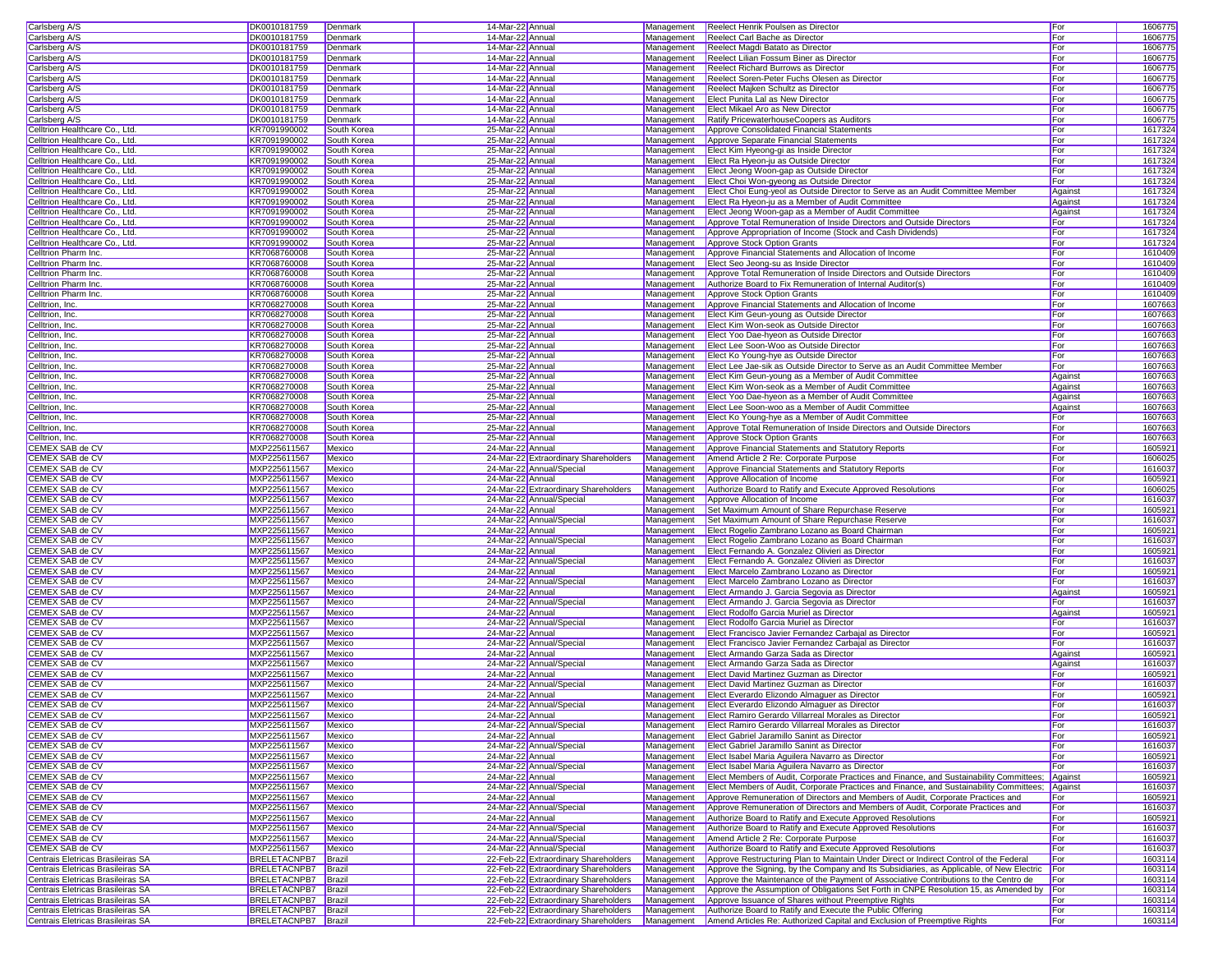| Carlsberg A/S                                                          | DK0010181759                               | Denmark     | 14-Mar-22 Annual |                                                                              | Management | Reelect Henrik Poulsen as Director                                                                                                                            | For        | 1606775            |  |
|------------------------------------------------------------------------|--------------------------------------------|-------------|------------------|------------------------------------------------------------------------------|------------|---------------------------------------------------------------------------------------------------------------------------------------------------------------|------------|--------------------|--|
| Carlsberg A/S                                                          | DK0010181759                               | Denmark     | 14-Mar-22 Annua  |                                                                              | Management | Reelect Carl Bache as Director                                                                                                                                | For        | 1606775            |  |
|                                                                        |                                            |             |                  |                                                                              |            |                                                                                                                                                               |            |                    |  |
| Carlsberg A/S                                                          | DK0010181759                               | Denmark     | 14-Mar-22 Annual |                                                                              | Management | Reelect Magdi Batato as Director                                                                                                                              | For        | 1606775            |  |
| Carlsberg A/S                                                          | DK0010181759                               | Denmark     | 14-Mar-22 Annual |                                                                              | Management | Reelect Lilian Fossum Biner as Director                                                                                                                       | For        | 1606775            |  |
| Carlsberg A/S                                                          | DK0010181759                               | Denmark     | 14-Mar-22 Annual |                                                                              | Management | <b>Reelect Richard Burrows as Director</b>                                                                                                                    | For        | 1606775            |  |
| Carlsberg A/S                                                          | DK0010181759                               | Denmark     | 14-Mar-22 Annual |                                                                              | Management | Reelect Soren-Peter Fuchs Olesen as Director                                                                                                                  | For        | 1606775            |  |
| Carlsberg A/S                                                          | DK0010181759                               | Denmark     | 14-Mar-22 Annual |                                                                              | Management | Reelect Majken Schultz as Director                                                                                                                            | For        | 1606775            |  |
| Carlsberg A/S                                                          | DK0010181759                               | Denmark     | 14-Mar-22 Annual |                                                                              | Management | Elect Punita Lal as New Director                                                                                                                              | For        | 1606775            |  |
|                                                                        |                                            |             |                  |                                                                              |            |                                                                                                                                                               |            |                    |  |
| Carlsberg A/S                                                          | DK0010181759                               | Denmark     | 14-Mar-22 Annual |                                                                              | Management | Elect Mikael Aro as New Director                                                                                                                              | For        | 1606775            |  |
| Carlsberg A/S                                                          | DK0010181759                               | Denmark     | 14-Mar-22 Annual |                                                                              | Management | Ratify PricewaterhouseCoopers as Auditors                                                                                                                     | For        | 1606775            |  |
| Celltrion Healthcare Co., Ltd.                                         | KR7091990002                               | South Korea | 25-Mar-22 Annual |                                                                              | Management | Approve Consolidated Financial Statements                                                                                                                     | For        | 1617324            |  |
| Celltrion Healthcare Co., Ltd.                                         | KR7091990002                               | South Korea | 25-Mar-22 Annua  |                                                                              | Management | Approve Separate Financial Statements                                                                                                                         | For        | 1617324            |  |
| Celltrion Healthcare Co., Ltd.                                         | KR7091990002                               | South Korea | 25-Mar-22 Annual |                                                                              | Management | Elect Kim Hyeong-gi as Inside Director                                                                                                                        | For        | 1617324            |  |
|                                                                        |                                            |             |                  |                                                                              |            |                                                                                                                                                               |            |                    |  |
| Celltrion Healthcare Co., Ltd.                                         | KR7091990002                               | South Korea | 25-Mar-22 Annual |                                                                              | Management | Elect Ra Hyeon-ju as Outside Director                                                                                                                         | For        | 1617324            |  |
| Celltrion Healthcare Co., Ltd.                                         | KR7091990002                               | South Korea | 25-Mar-22 Annual |                                                                              | Management | Elect Jeong Woon-gap as Outside Director                                                                                                                      | For        | 1617324            |  |
| Celltrion Healthcare Co., Ltd.                                         | KR7091990002                               | South Korea | 25-Mar-22 Annual |                                                                              | Management | Elect Choi Won-gyeong as Outside Director                                                                                                                     | For        | 1617324            |  |
| Celltrion Healthcare Co., Ltd.                                         | KR7091990002                               | South Korea | 25-Mar-22 Annual |                                                                              | Management | Elect Choi Eung-yeol as Outside Director to Serve as an Audit Committee Member                                                                                | Against    | 1617324            |  |
| Celltrion Healthcare Co., Ltd.                                         | KR7091990002                               | South Korea | 25-Mar-22 Annual |                                                                              | Management | Elect Ra Hyeon-ju as a Member of Audit Committee                                                                                                              | Against    | 1617324            |  |
|                                                                        |                                            |             |                  |                                                                              |            |                                                                                                                                                               |            |                    |  |
| Celltrion Healthcare Co., Ltd.                                         | KR7091990002                               | South Korea | 25-Mar-22 Annual |                                                                              | Management | Elect Jeong Woon-gap as a Member of Audit Committee                                                                                                           | Against    | 1617324            |  |
| Celltrion Healthcare Co., Ltd.                                         | KR7091990002                               | South Korea | 25-Mar-22 Annual |                                                                              | Management | Approve Total Remuneration of Inside Directors and Outside Directors                                                                                          | For        | 1617324            |  |
| Celltrion Healthcare Co., Ltd.                                         | KR7091990002                               | South Korea | 25-Mar-22 Annua  |                                                                              | Management | Approve Appropriation of Income (Stock and Cash Dividends)                                                                                                    | For        | 1617324            |  |
| Celltrion Healthcare Co., Ltd.                                         | KR7091990002                               | South Korea | 25-Mar-22 Annua  |                                                                              | Management | Approve Stock Option Grants                                                                                                                                   | For        | 1617324            |  |
| Celltrion Pharm Inc.                                                   | KR7068760008                               | South Korea | 25-Mar-22 Annual |                                                                              | Management | Approve Financial Statements and Allocation of Income                                                                                                         | For        | 1610409            |  |
|                                                                        |                                            |             |                  |                                                                              |            |                                                                                                                                                               |            |                    |  |
| Celltrion Pharm Inc.                                                   | KR7068760008                               | South Korea | 25-Mar-22 Annual |                                                                              | Management | Elect Seo Jeong-su as Inside Director                                                                                                                         | For        | 1610409            |  |
| Celltrion Pharm Inc.                                                   | KR7068760008                               | South Korea | 25-Mar-22 Annual |                                                                              | Management | Approve Total Remuneration of Inside Directors and Outside Directors                                                                                          | For        | 1610409            |  |
| Celltrion Pharm Inc.                                                   | KR7068760008                               | South Korea | 25-Mar-22 Annual |                                                                              | Management | Authorize Board to Fix Remuneration of Internal Auditor(s)                                                                                                    | For        | 1610409            |  |
| Celltrion Pharm Inc.                                                   | KR7068760008                               | South Korea | 25-Mar-22 Annual |                                                                              | Management | Approve Stock Option Grants                                                                                                                                   | For        | 1610409            |  |
| Celltrion, Inc.                                                        | KR7068270008                               | South Korea | 25-Mar-22 Annual |                                                                              | Management | Approve Financial Statements and Allocation of Income                                                                                                         | For        | 1607663            |  |
|                                                                        |                                            |             |                  |                                                                              |            |                                                                                                                                                               |            |                    |  |
| Celltrion, Inc.                                                        | KR7068270008                               | South Korea | 25-Mar-22 Annual |                                                                              | Management | Elect Kim Geun-young as Outside Director                                                                                                                      | For        | 160766             |  |
| Celltrion, Inc.                                                        | KR7068270008                               | South Korea | 25-Mar-22 Annual |                                                                              | Management | Elect Kim Won-seok as Outside Director                                                                                                                        | For        | 1607663            |  |
| Celltrion, Inc.                                                        | KR7068270008                               | South Korea | 25-Mar-22 Annual |                                                                              | Management | Elect Yoo Dae-hyeon as Outside Director                                                                                                                       | For        | 1607663            |  |
| Celltrion, Inc.                                                        | KR7068270008                               | South Korea | 25-Mar-22 Annua  |                                                                              | Management | Elect Lee Soon-Woo as Outside Director                                                                                                                        | For        | 160766             |  |
| Celltrion, Inc.                                                        | KR7068270008                               | South Korea | 25-Mar-22 Annual |                                                                              | Management | Elect Ko Young-hye as Outside Director                                                                                                                        | For        | 1607663            |  |
|                                                                        |                                            | South Korea | 25-Mar-22 Annual |                                                                              |            | Elect Lee Jae-sik as Outside Director to Serve as an Audit Committee Member                                                                                   |            |                    |  |
| Celltrion, Inc.                                                        | KR7068270008                               |             |                  |                                                                              | Management |                                                                                                                                                               | For        | 1607663            |  |
| Celltrion, Inc.                                                        | KR7068270008                               | South Korea | 25-Mar-22 Annual |                                                                              | Management | Elect Kim Geun-young as a Member of Audit Committee                                                                                                           | Against    | 1607663            |  |
| Celltrion, Inc.                                                        | KR7068270008                               | South Korea | 25-Mar-22 Annual |                                                                              | Management | Elect Kim Won-seok as a Member of Audit Committee                                                                                                             | Against    | 1607663            |  |
| Celltrion, Inc.                                                        | KR7068270008                               | South Korea | 25-Mar-22 Annual |                                                                              | Management | Elect Yoo Dae-hyeon as a Member of Audit Committee                                                                                                            | Against    | 1607663            |  |
| Celltrion, Inc.                                                        | KR7068270008                               | South Korea | 25-Mar-22 Annual |                                                                              | Management | Elect Lee Soon-woo as a Member of Audit Committee                                                                                                             | Against    | 1607663            |  |
|                                                                        | KR7068270008                               |             | 25-Mar-22 Annual |                                                                              | Management |                                                                                                                                                               |            |                    |  |
| Celltrion, Inc.                                                        |                                            | South Korea |                  |                                                                              |            | Elect Ko Young-hye as a Member of Audit Committee                                                                                                             | For        | 160766             |  |
| Celltrion, Inc.                                                        | KR7068270008                               | South Korea | 25-Mar-22 Annual |                                                                              | Management | Approve Total Remuneration of Inside Directors and Outside Directors                                                                                          | For        | 1607663            |  |
| Celltrion, Inc.                                                        | KR7068270008                               | South Korea | 25-Mar-22 Annual |                                                                              | Management | Approve Stock Option Grants                                                                                                                                   | For        | 1607663            |  |
| CEMEX SAB de CV                                                        | MXP225611567                               | Mexico      | 24-Mar-22 Annual |                                                                              | Management | Approve Financial Statements and Statutory Reports                                                                                                            | For        | 160592             |  |
| CEMEX SAB de CV                                                        | MXP225611567                               | Mexico      |                  | 24-Mar-22 Extraordinary Shareholders                                         | Management | Amend Article 2 Re: Corporate Purpose                                                                                                                         | For        | 1606025            |  |
|                                                                        |                                            |             |                  |                                                                              |            |                                                                                                                                                               |            |                    |  |
| CEMEX SAB de CV                                                        | MXP225611567                               | Mexico      |                  | 24-Mar-22 Annual/Special                                                     | Management | Approve Financial Statements and Statutory Reports                                                                                                            | For        | 1616037            |  |
| CEMEX SAB de CV                                                        | MXP225611567                               | Mexico      | 24-Mar-22 Annual |                                                                              | Management | Approve Allocation of Income                                                                                                                                  | For        | 1605921            |  |
| CEMEX SAB de CV                                                        | MXP225611567                               | Mexico      |                  | 24-Mar-22 Extraordinary Shareholders                                         | Management | Authorize Board to Ratify and Execute Approved Resolutions                                                                                                    | For        | 1606025            |  |
| CEMEX SAB de CV                                                        | MXP225611567                               | Mexico      |                  | 24-Mar-22 Annual/Special                                                     | Management | Approve Allocation of Income                                                                                                                                  | For        | 1616037            |  |
| CEMEX SAB de CV                                                        | MXP225611567                               | Mexico      | 24-Mar-22 Annual |                                                                              | Management | Set Maximum Amount of Share Repurchase Reserve                                                                                                                | For        | 160592             |  |
|                                                                        |                                            |             |                  |                                                                              |            |                                                                                                                                                               |            |                    |  |
| CEMEX SAB de CV                                                        | MXP225611567                               | Mexico      |                  | 24-Mar-22 Annual/Special                                                     | Management | Set Maximum Amount of Share Repurchase Reserve                                                                                                                | For        | 1616037            |  |
| CEMEX SAB de CV                                                        | MXP225611567                               | Mexico      | 24-Mar-22 Annual |                                                                              | Management | Elect Rogelio Zambrano Lozano as Board Chairman                                                                                                               | For        | 1605921            |  |
| CEMEX SAB de CV                                                        | MXP225611567                               | Mexico      |                  | 24-Mar-22 Annual/Special                                                     | Management | Elect Rogelio Zambrano Lozano as Board Chairman                                                                                                               | For        | 1616037            |  |
| CEMEX SAB de CV                                                        | MXP225611567                               | Mexico      | 24-Mar-22 Annual |                                                                              | Management | Elect Fernando A. Gonzalez Olivieri as Director                                                                                                               | For        | 160592             |  |
| CEMEX SAB de CV                                                        | MXP225611567                               | Mexico      |                  | 24-Mar-22 Annual/Special                                                     | Management | Elect Fernando A. Gonzalez Olivieri as Director                                                                                                               | For        | 1616037            |  |
|                                                                        |                                            |             |                  |                                                                              |            |                                                                                                                                                               |            |                    |  |
| CEMEX SAB de CV                                                        | MXP225611567                               | Mexico      | 24-Mar-22 Annual |                                                                              | Management | Elect Marcelo Zambrano Lozano as Director                                                                                                                     | For        | 160592             |  |
| CEMEX SAB de CV                                                        | MXP225611567                               | Mexico      |                  | 24-Mar-22 Annual/Special                                                     | Management | Elect Marcelo Zambrano Lozano as Director                                                                                                                     | For        | 1616037            |  |
| CEMEX SAB de CV                                                        | MXP225611567                               | Mexico      | 24-Mar-22 Annual |                                                                              | Management | Elect Armando J. Garcia Segovia as Director                                                                                                                   | Against    | 1605921            |  |
| CEMEX SAB de CV                                                        | MXP225611567                               | Mexico      |                  | 24-Mar-22 Annual/Special                                                     | Management | Elect Armando J. Garcia Segovia as Director                                                                                                                   | For        | 1616037            |  |
| CEMEX SAB de CV                                                        | MXP225611567                               | Mexico      | 24-Mar-22 Annual |                                                                              | Management | Elect Rodolfo Garcia Muriel as Director                                                                                                                       | Against    | 160592             |  |
| CEMEX SAB de CV                                                        | MXP225611567                               | Mexico      |                  |                                                                              |            |                                                                                                                                                               |            |                    |  |
|                                                                        |                                            |             |                  | 24-Mar-22 Annual/Special                                                     | Management | Elect Rodolfo Garcia Muriel as Director                                                                                                                       | For        | 1616037            |  |
| CEMEX SAB de CV                                                        | MXP225611567                               | Mexico      | 24-Mar-22 Annual |                                                                              | Management | Elect Francisco Javier Fernandez Carbajal as Director                                                                                                         | For        | 1605921            |  |
| CEMEX SAB de CV                                                        | MXP225611567                               | Mexico      |                  | 24-Mar-22 Annual/Special                                                     | Management | Elect Francisco Javier Fernandez Carbajal as Director                                                                                                         | For        | 161603             |  |
| CEMEX SAB de CV                                                        | MXP225611567                               | Mexico      | 24-Mar-22 Annual |                                                                              | Management | Elect Armando Garza Sada as Director                                                                                                                          | Against    | 160592             |  |
| CEMEX SAB de CV                                                        | MXP225611567                               | Mexico      |                  | 24-Mar-22 Annual/Special                                                     | Management | Elect Armando Garza Sada as Director                                                                                                                          | Against    | 1616037            |  |
| CEMEX SAB de CV                                                        | MXP225611567                               | Mexico      | 24-Mar-22 Annual |                                                                              | Management | Elect David Martinez Guzman as Director                                                                                                                       | For        | 160592             |  |
|                                                                        |                                            |             |                  |                                                                              |            |                                                                                                                                                               |            |                    |  |
| CEMEX SAB de CV                                                        | MXP225611567                               | Mexico      |                  | 24-Mar-22 Annual/Special                                                     | Management | Elect David Martinez Guzman as Director                                                                                                                       | For        | 1616037            |  |
| CEMEX SAB de CV                                                        | MXP225611567                               | Mexico      | 24-Mar-22 Annual |                                                                              |            | Management Elect Everardo Elizondo Almaguer as Director                                                                                                       | For        | 1605921            |  |
| CEMEX SAB de CV                                                        | MXP225611567                               | Mexico      |                  | 24-Mar-22 Annual/Special                                                     |            | Management   Elect Everardo Elizondo Almaguer as Director                                                                                                     | For        | 1616037            |  |
| CEMEX SAB de CV                                                        | MXP225611567                               | Mexico      | 24-Mar-22 Annual |                                                                              |            | Management Elect Ramiro Gerardo Villarreal Morales as Director                                                                                                | For        | 1605921            |  |
| CEMEX SAB de CV                                                        | MXP225611567                               | Mexico      |                  | 24-Mar-22 Annual/Special                                                     | Management | Elect Ramiro Gerardo Villarreal Morales as Director                                                                                                           | For        | 1616037            |  |
| CEMEX SAB de CV                                                        | MXP225611567                               | Mexico      | 24-Mar-22 Annual |                                                                              | Management | Elect Gabriel Jaramillo Sanint as Director                                                                                                                    | For        | 1605921            |  |
| CEMEX SAB de CV                                                        | MXP225611567                               |             |                  | 24-Mar-22 Annual/Special                                                     |            |                                                                                                                                                               |            |                    |  |
|                                                                        |                                            | Mexico      |                  |                                                                              |            | Management Elect Gabriel Jaramillo Sanint as Director                                                                                                         | For        | 1616037            |  |
| CEMEX SAB de CV                                                        | MXP225611567                               | Mexico      | 24-Mar-22 Annual |                                                                              | Management | Elect Isabel Maria Aguilera Navarro as Director                                                                                                               | For        | 1605921            |  |
| CEMEX SAB de CV                                                        | MXP225611567                               | Mexico      |                  | 24-Mar-22 Annual/Special                                                     | Management | Elect Isabel Maria Aguilera Navarro as Director                                                                                                               | For        | 1616037            |  |
| CEMEX SAB de CV                                                        | MXP225611567                               | Mexico      | 24-Mar-22 Annual |                                                                              | Management | Elect Members of Audit. Corporate Practices and Finance, and Sustainability Committees:                                                                       | Against    | 1605921            |  |
| CEMEX SAB de CV                                                        | MXP225611567                               | Mexico      |                  | 24-Mar-22 Annual/Special                                                     | Management | Elect Members of Audit, Corporate Practices and Finance, and Sustainability Committees;                                                                       | Against    | 1616037            |  |
| <b>CEMEX SAB de CV</b>                                                 | MXP225611567                               | Mexico      | 24-Mar-22 Annual |                                                                              | Management | Approve Remuneration of Directors and Members of Audit, Corporate Practices and                                                                               | For        | 1605921            |  |
|                                                                        |                                            |             |                  |                                                                              |            |                                                                                                                                                               |            |                    |  |
| CEMEX SAB de CV                                                        | MXP225611567                               | Mexico      |                  | 24-Mar-22 Annual/Special                                                     | Management | Approve Remuneration of Directors and Members of Audit, Corporate Practices and                                                                               | For        | 1616037            |  |
| CEMEX SAB de CV                                                        | MXP225611567                               | Mexico      | 24-Mar-22 Annual |                                                                              | Management | Authorize Board to Ratify and Execute Approved Resolutions                                                                                                    | For        | 1605921            |  |
| CEMEX SAB de CV                                                        | MXP225611567                               | Mexico      |                  | 24-Mar-22 Annual/Special                                                     | Management | Authorize Board to Ratify and Execute Approved Resolutions                                                                                                    | For        | 1616037            |  |
| CEMEX SAB de CV                                                        | MXP225611567                               | Mexico      |                  | 24-Mar-22 Annual/Special                                                     | Management | Amend Article 2 Re: Corporate Purpose                                                                                                                         | For        | 1616037            |  |
| CEMEX SAB de CV                                                        | MXP225611567                               | Mexico      |                  | 24-Mar-22 Annual/Special                                                     | Management | Authorize Board to Ratify and Execute Approved Resolutions                                                                                                    | For        | 1616037            |  |
|                                                                        |                                            |             |                  | 22-Feb-22 Extraordinary Shareholders                                         | Management | Approve Restructuring Plan to Maintain Under Direct or Indirect Control of the Federal                                                                        |            |                    |  |
| Centrais Eletricas Brasileiras SA                                      | <b>BRELETACNPB7</b>                        | Brazil      |                  |                                                                              |            |                                                                                                                                                               | For        | 1603114            |  |
| Centrais Eletricas Brasileiras SA                                      | BRELETACNPB7                               | Brazil      |                  | 22-Feb-22 Extraordinary Shareholders                                         | Management | Approve the Signing, by the Company and Its Subsidiaries, as Applicable, of New Electric                                                                      | For        | 1603114            |  |
| Centrais Eletricas Brasileiras SA                                      | BRELETACNPB7                               | Brazil      |                  | 22-Feb-22 Extraordinary Shareholders                                         | Management | Approve the Maintenance of the Payment of Associative Contributions to the Centro de                                                                          | For        | 1603114            |  |
| Centrais Eletricas Brasileiras SA                                      |                                            |             |                  |                                                                              | Management | Approve the Assumption of Obligations Set Forth in CNPE Resolution 15, as Amended by For                                                                      |            | 1603114            |  |
|                                                                        | <b>BRELETACNPB7</b>                        | Brazil      |                  | 22-Feb-22 Extraordinary Shareholders                                         |            |                                                                                                                                                               |            |                    |  |
|                                                                        |                                            |             |                  |                                                                              |            |                                                                                                                                                               |            |                    |  |
| Centrais Eletricas Brasileiras SA                                      | BRELETACNPB7 Brazil                        |             |                  | 22-Feb-22 Extraordinary Shareholders                                         | Management | Approve Issuance of Shares without Preemptive Rights                                                                                                          | For        | 1603114            |  |
| Centrais Eletricas Brasileiras SA<br>Centrais Eletricas Brasileiras SA | BRELETACNPB7 Brazil<br>BRELETACNPB7 Brazil |             |                  | 22-Feb-22 Extraordinary Shareholders<br>22-Feb-22 Extraordinary Shareholders |            | Management   Authorize Board to Ratify and Execute the Public Offering<br>Management Amend Articles Re: Authorized Capital and Exclusion of Preemptive Rights | For<br>For | 1603114<br>1603114 |  |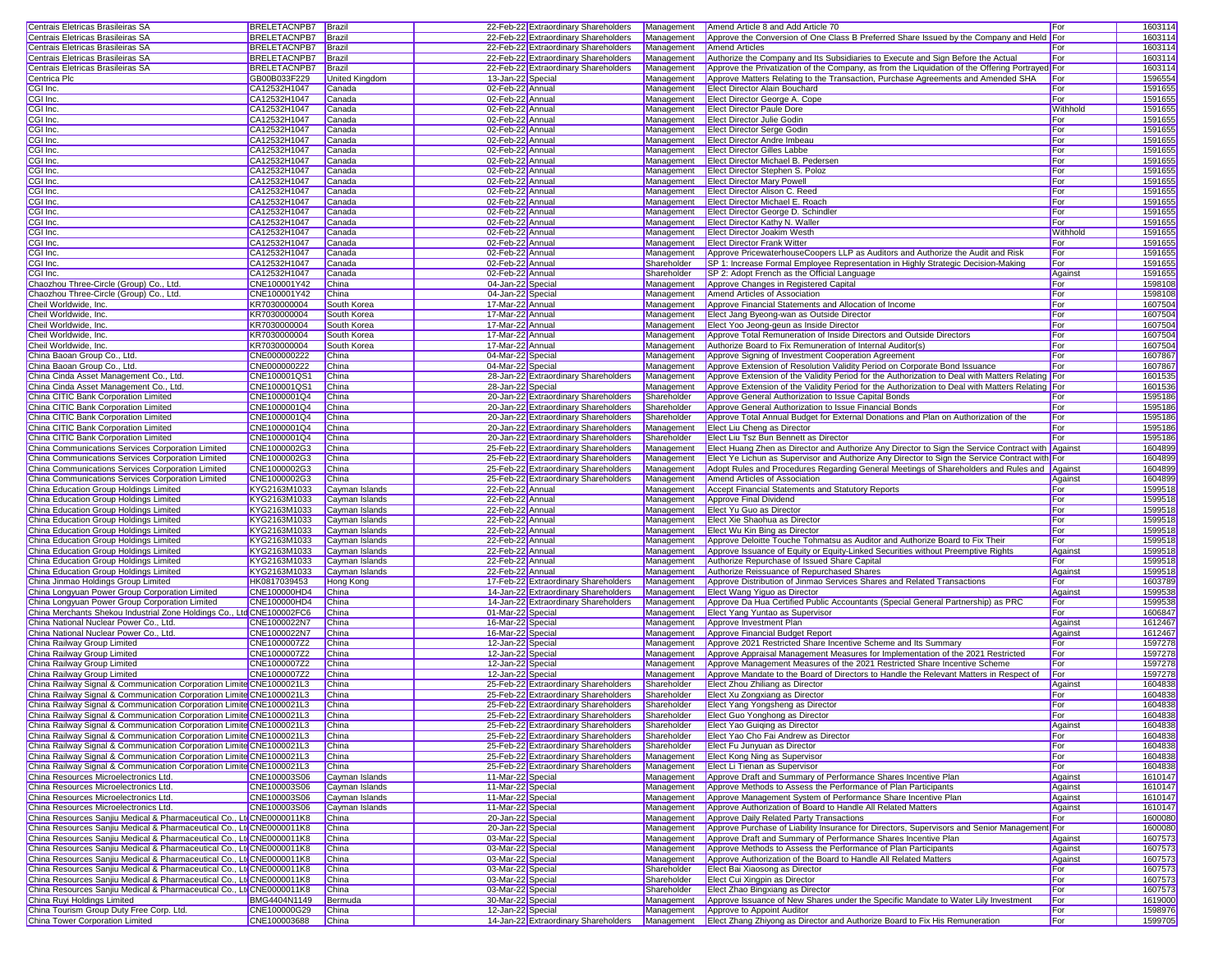| Centrais Eletricas Brasileiras SA                                                                                                            | <b>BRELETACNPB7</b> Brazil   |                       |                   | 22-Feb-22 Extraordinary Shareholders |             | Management Amend Article 8 and Add Article 70                                                                                                             | For        | 1603114            |
|----------------------------------------------------------------------------------------------------------------------------------------------|------------------------------|-----------------------|-------------------|--------------------------------------|-------------|-----------------------------------------------------------------------------------------------------------------------------------------------------------|------------|--------------------|
| Centrais Eletricas Brasileiras SA                                                                                                            | <b>BRELETACNPB7</b>          | Brazil                |                   | 22-Feb-22 Extraordinary Shareholders | Management  | Approve the Conversion of One Class B Preferred Share Issued by the Company and Held For                                                                  |            | 160311             |
| Centrais Eletricas Brasileiras SA                                                                                                            | <b>BRELETACNPB7</b>          | Brazil                |                   | 22-Feb-22 Extraordinary Shareholders | Management  | <b>Amend Articles</b>                                                                                                                                     | For        | 1603114            |
|                                                                                                                                              |                              |                       |                   |                                      |             |                                                                                                                                                           |            |                    |
| Centrais Eletricas Brasileiras SA                                                                                                            | <b>BRELETACNPB7</b>          | Brazil                |                   | 22-Feb-22 Extraordinary Shareholders | Management  | Authorize the Company and Its Subsidiaries to Execute and Sign Before the Actual                                                                          | For        | 1603114            |
| Centrais Eletricas Brasileiras SA                                                                                                            | <b>BRELETACNPB7</b>          | Brazil                |                   | 22-Feb-22 Extraordinary Shareholders | Management  | Approve the Privatization of the Company, as from the Liquidation of the Offering Portrayed For                                                           |            | 1603114            |
| Centrica Plc                                                                                                                                 | GB00B033F229                 | <b>United Kingdom</b> | 13-Jan-22 Special |                                      | Management  | Approve Matters Relating to the Transaction, Purchase Agreements and Amended SHA                                                                          | For        | 1596554            |
| CGI Inc.                                                                                                                                     | CA12532H1047                 | Canada                | 02-Feb-22 Annual  |                                      | Management  | Elect Director Alain Bouchard                                                                                                                             | For        | 1591655            |
| CGI Inc.                                                                                                                                     | CA12532H1047                 | Canada                | 02-Feb-22 Annual  |                                      | Management  | Elect Director George A. Cope                                                                                                                             | For        | 1591655            |
| CGI Inc.                                                                                                                                     | CA12532H1047                 | Canada                | 02-Feb-22 Annual  |                                      | Management  | <b>Elect Director Paule Dore</b>                                                                                                                          | Withhold   | 1591655            |
| CGI Inc.                                                                                                                                     | CA12532H1047                 | Canada                | 02-Feb-22 Annual  |                                      | Management  | <b>Elect Director Julie Godin</b>                                                                                                                         | For        | 1591655            |
| CGI Inc.                                                                                                                                     | CA12532H1047                 | Canada                | 02-Feb-22 Annual  |                                      | Management  | <b>Elect Director Serge Godin</b>                                                                                                                         | For        | 1591655            |
| CGI Inc.                                                                                                                                     | CA12532H1047                 | Canada                | 02-Feb-22 Annual  |                                      | Management  | Elect Director Andre Imbeau                                                                                                                               | For        | 1591655            |
| CGI Inc.                                                                                                                                     |                              |                       |                   |                                      | Management  | <b>Elect Director Gilles Labbe</b>                                                                                                                        | For        | 1591655            |
|                                                                                                                                              | CA12532H1047                 | Canada                | 02-Feb-22 Annual  |                                      |             |                                                                                                                                                           |            |                    |
| CGI Inc.                                                                                                                                     | CA12532H1047                 | Canada                | 02-Feb-22 Annual  |                                      | Management  | Elect Director Michael B. Pedersen                                                                                                                        | For        | 1591655            |
| CGI Inc.                                                                                                                                     | CA12532H1047                 | Canada                | 02-Feb-22 Annual  |                                      | Management  | Elect Director Stephen S. Poloz                                                                                                                           | For        | 1591655            |
| CGI Inc.                                                                                                                                     | CA12532H1047                 | Canada                | 02-Feb-22 Annual  |                                      | Management  | <b>Elect Director Mary Powell</b>                                                                                                                         | For        | 1591655            |
| CGI Inc.                                                                                                                                     | CA12532H1047                 | Canada                | 02-Feb-22 Annual  |                                      | Management  | Elect Director Alison C. Reed                                                                                                                             | For        | 1591655            |
| CGI Inc.                                                                                                                                     | CA12532H1047                 | Canada                | 02-Feb-22 Annual  |                                      | Management  | Elect Director Michael E. Roach                                                                                                                           | For        | 159165             |
| CGI Inc.                                                                                                                                     | CA12532H1047                 | Canada                | 02-Feb-22 Annual  |                                      | Management  | Elect Director George D. Schindler                                                                                                                        | For        | 1591655            |
| CGI Inc.                                                                                                                                     | CA12532H1047                 | Canada                | 02-Feb-22 Annual  |                                      | Management  | Elect Director Kathy N. Waller                                                                                                                            | For        | 1591655            |
| CGI Inc.                                                                                                                                     | CA12532H1047                 | Canada                | 02-Feb-22 Annual  |                                      | Management  | <b>Elect Director Joakim Westh</b>                                                                                                                        | Withhold   | 1591655            |
| CGI Inc.                                                                                                                                     | CA12532H1047                 | Canada                | 02-Feb-22 Annual  |                                      | Management  | <b>Elect Director Frank Witter</b>                                                                                                                        | For        | 1591655            |
| CGI Inc.                                                                                                                                     | CA12532H1047                 | Canada                | 02-Feb-22 Annual  |                                      | Management  | Approve PricewaterhouseCoopers LLP as Auditors and Authorize the Audit and Risk                                                                           | For        | 1591655            |
|                                                                                                                                              |                              |                       |                   |                                      |             |                                                                                                                                                           |            |                    |
| CGI Inc.                                                                                                                                     | CA12532H1047                 | Canada                | 02-Feb-22 Annual  |                                      | Shareholder | SP 1: Increase Formal Employee Representation in Highly Strategic Decision-Making                                                                         | For        | 1591655            |
| CGI Inc.                                                                                                                                     | CA12532H1047                 | Canada                | 02-Feb-22 Annual  |                                      | Shareholder | SP 2: Adopt French as the Official Language                                                                                                               | Against    | 1591655            |
| Chaozhou Three-Circle (Group) Co., Ltd.                                                                                                      | CNE100001Y42                 | China                 | 04-Jan-22 Special |                                      | Management  | Approve Changes in Registered Capital                                                                                                                     | For        | 1598108            |
| Chaozhou Three-Circle (Group) Co., Ltd.                                                                                                      | CNE100001Y42                 | China                 | 04-Jan-22 Special |                                      | Management  | Amend Articles of Association                                                                                                                             | For        | 1598108            |
| Cheil Worldwide, Inc.                                                                                                                        | KR7030000004                 | South Korea           | 17-Mar-22 Annual  |                                      | Management  | Approve Financial Statements and Allocation of Income                                                                                                     | For        | 1607504            |
| Cheil Worldwide, Inc.                                                                                                                        | KR7030000004                 | South Korea           | 17-Mar-22 Annual  |                                      | Management  | Elect Jang Byeong-wan as Outside Director                                                                                                                 | For        | 1607504            |
| Cheil Worldwide, Inc.                                                                                                                        | KR7030000004                 | South Korea           | 17-Mar-22 Annual  |                                      | Management  | Elect Yoo Jeong-geun as Inside Director                                                                                                                   | For        | 1607504            |
| Cheil Worldwide, Inc.                                                                                                                        | KR7030000004                 | South Korea           | 17-Mar-22 Annual  |                                      | Management  | Approve Total Remuneration of Inside Directors and Outside Directors                                                                                      | For        | 1607504            |
| Cheil Worldwide, Inc.                                                                                                                        | KR7030000004                 | South Korea           | 17-Mar-22 Annual  |                                      | Management  | Authorize Board to Fix Remuneration of Internal Auditor(s)                                                                                                | For        | 1607504            |
| China Baoan Group Co., Ltd.                                                                                                                  | CNE000000222                 | China                 | 04-Mar-22 Special |                                      | Management  | Approve Signing of Investment Cooperation Agreement                                                                                                       | For        | 1607867            |
|                                                                                                                                              |                              |                       |                   |                                      |             |                                                                                                                                                           |            |                    |
| China Baoan Group Co., Ltd.                                                                                                                  | CNE000000222                 | China                 | 04-Mar-22 Special |                                      | Management  | Approve Extension of Resolution Validity Period on Corporate Bond Issuance                                                                                | For        | 1607867            |
| China Cinda Asset Management Co., Ltd.                                                                                                       | CNE100001QS1                 | China                 |                   | 28-Jan-22 Extraordinary Shareholders | Management  | Approve Extension of the Validity Period for the Authorization to Deal with Matters Relating For                                                          |            | 1601535            |
| China Cinda Asset Management Co., Ltd.                                                                                                       | CNE100001QS1                 | China                 | 28-Jan-22 Special |                                      | Management  | Approve Extension of the Validity Period for the Authorization to Deal with Matters Relating For                                                          |            | 1601536            |
| China CITIC Bank Corporation Limited                                                                                                         | CNE1000001Q4                 | China                 |                   | 20-Jan-22 Extraordinary Shareholders | Shareholder | Approve General Authorization to Issue Capital Bonds                                                                                                      | For        | 1595186            |
| China CITIC Bank Corporation Limited                                                                                                         | CNE1000001Q4                 | China                 |                   | 20-Jan-22 Extraordinary Shareholders | Shareholder | Approve General Authorization to Issue Financial Bonds                                                                                                    | For        | 1595186            |
| China CITIC Bank Corporation Limited                                                                                                         | CNE1000001Q4                 | China                 |                   | 20-Jan-22 Extraordinary Shareholders | Shareholder | Approve Total Annual Budget for External Donations and Plan on Authorization of the                                                                       | For        | 1595186            |
| China CITIC Bank Corporation Limited                                                                                                         | CNE1000001Q4                 | China                 |                   | 20-Jan-22 Extraordinary Shareholders | Management  | Elect Liu Cheng as Director                                                                                                                               | For        | 1595186            |
| China CITIC Bank Corporation Limited                                                                                                         | CNE1000001Q4                 | China                 |                   | 20-Jan-22 Extraordinary Shareholders | Shareholder | Elect Liu Tsz Bun Bennett as Director                                                                                                                     | For        | 1595186            |
| China Communications Services Corporation Limited                                                                                            | CNE1000002G3                 | China                 |                   | 25-Feb-22 Extraordinary Shareholders | Management  | Elect Huang Zhen as Director and Authorize Any Director to Sign the Service Contract with Against                                                         |            | 1604899            |
|                                                                                                                                              | CNE1000002G3                 | China                 |                   |                                      |             |                                                                                                                                                           |            | 1604899            |
| China Communications Services Corporation Limited                                                                                            |                              |                       |                   | 25-Feb-22 Extraordinary Shareholders | Management  | Elect Ye Lichun as Supervisor and Authorize Any Director to Sign the Service Contract with For                                                            |            |                    |
| China Communications Services Corporation Limited                                                                                            | CNE1000002G3                 | China                 |                   | 25-Feb-22 Extraordinary Shareholders | Management  | Adopt Rules and Procedures Regarding General Meetings of Shareholders and Rules and Against                                                               |            | 1604899            |
| China Communications Services Corporation Limited                                                                                            | CNE1000002G3                 | China                 |                   | 25-Feb-22 Extraordinary Shareholders | Management  | Amend Articles of Association                                                                                                                             | Against    | 1604899            |
|                                                                                                                                              |                              |                       |                   |                                      |             |                                                                                                                                                           |            |                    |
| China Education Group Holdings Limited                                                                                                       | KYG2163M1033                 | Cayman Islands        | 22-Feb-22 Annual  |                                      | Management  | Accept Financial Statements and Statutory Reports                                                                                                         | For        | 159951             |
| China Education Group Holdings Limited                                                                                                       | KYG2163M1033                 | Cayman Islands        | 22-Feb-22 Annual  |                                      | Management  | Approve Final Dividend                                                                                                                                    | For        | 159951             |
| China Education Group Holdings Limited                                                                                                       | KYG2163M1033                 | Cayman Islands        | 22-Feb-22 Annual  |                                      | Management  | Elect Yu Guo as Director                                                                                                                                  | For        | 159951             |
|                                                                                                                                              |                              |                       |                   |                                      |             |                                                                                                                                                           |            |                    |
| China Education Group Holdings Limited                                                                                                       | KYG2163M1033                 | Cayman Islands        | 22-Feb-22 Annual  |                                      | Management  | Elect Xie Shaohua as Director                                                                                                                             | For        | 159951             |
| China Education Group Holdings Limited                                                                                                       | KYG2163M1033                 | Cayman Islands        | 22-Feb-22 Annual  |                                      | Management  | Elect Wu Kin Bing as Director                                                                                                                             | For        | 159951             |
| China Education Group Holdings Limited                                                                                                       | KYG2163M1033                 | Cayman Islands        | 22-Feb-22 Annual  |                                      | Management  | Approve Deloitte Touche Tohmatsu as Auditor and Authorize Board to Fix Their                                                                              | For        | 159951             |
| China Education Group Holdings Limited                                                                                                       | KYG2163M1033                 | Cayman Islands        | 22-Feb-22 Annual  |                                      | Management  | Approve Issuance of Equity or Equity-Linked Securities without Preemptive Rights                                                                          | Against    | 159951             |
| China Education Group Holdings Limited                                                                                                       | KYG2163M1033                 | Cayman Islands        | 22-Feb-22 Annual  |                                      | Management  | Authorize Repurchase of Issued Share Capital                                                                                                              | For        | 159951             |
| China Education Group Holdings Limited                                                                                                       | KYG2163M1033                 | Cayman Islands        | 22-Feb-22 Annual  |                                      | Management  | Authorize Reissuance of Repurchased Shares                                                                                                                | Against    | 159951             |
| China Jinmao Holdings Group Limited                                                                                                          | HK0817039453                 | Hong Kong             |                   | 17-Feb-22 Extraordinary Shareholders | Management  | Approve Distribution of Jinmao Services Shares and Related Transactions                                                                                   | For        | 1603789            |
| China Longyuan Power Group Corporation Limited                                                                                               | CNE100000HD4                 | China                 |                   | 14-Jan-22 Extraordinary Shareholders | Management  | Elect Wang Yiguo as Director                                                                                                                              | Against    | 1599538            |
| China Longyuan Power Group Corporation Limited                                                                                               | CNE100000HD4                 | China                 |                   | 14-Jan-22 Extraordinary Shareholders | Management  | Approve Da Hua Certified Public Accountants (Special General Partnership) as PRC                                                                          | For        | 1599538            |
| China Merchants Shekou Industrial Zone Holdings Co., Ltd CNE100002FC6                                                                        |                              | China                 | 01-Mar-22 Special |                                      | Management  | Elect Yang Yuntao as Supervisor                                                                                                                           | For        | 1606847            |
| China National Nuclear Power Co., Ltd.                                                                                                       | CNE1000022N7                 | China                 | 16-Mar-22 Special |                                      | Management  | Approve Investment Plan                                                                                                                                   | Against    | 1612467            |
| China National Nuclear Power Co., Ltd.                                                                                                       | CNE1000022N7                 | China                 |                   |                                      | Management  | Approve Financial Budget Report                                                                                                                           | Against    |                    |
|                                                                                                                                              |                              |                       | 16-Mar-22 Special |                                      |             |                                                                                                                                                           |            | 1612467            |
| China Railway Group Limited                                                                                                                  | CNE1000007Z2                 | China                 | 12-Jan-22 Special |                                      | Management  | Approve 2021 Restricted Share Incentive Scheme and Its Summary                                                                                            | For        | 1597278            |
| China Railway Group Limited                                                                                                                  | CNE1000007Z2                 | China                 | 12-Jan-22 Special |                                      | Management  | Approve Appraisal Management Measures for Implementation of the 2021 Restricted                                                                           | For        | 1597278            |
| China Railway Group Limited                                                                                                                  | CNE1000007Z2                 | China                 | 12-Jan-22 Special |                                      | Management  | Approve Management Measures of the 2021 Restricted Share Incentive Scheme                                                                                 | For        | 159727             |
| China Railway Group Limited                                                                                                                  | CNE1000007Z2                 | China                 | 12-Jan-22 Special |                                      | Management  | Approve Mandate to the Board of Directors to Handle the Relevant Matters in Respect of                                                                    | For        | 1597278            |
| China Railway Signal & Communication Corporation Limite CNE1000021L3                                                                         |                              | China                 |                   | 25-Feb-22 Extraordinary Shareholders | Shareholder | Elect Zhou Zhiliang as Director                                                                                                                           | Against    | 1604838            |
| China Railway Signal & Communication Corporation Limite CNE1000021L3                                                                         |                              | China                 |                   | 25-Feb-22 Extraordinary Shareholders | Shareholder | Elect Xu Zongxiang as Director                                                                                                                            | For        | 1604838            |
| China Railway Signal & Communication Corporation Limite CNE1000021L3                                                                         |                              | China                 |                   | 25-Feb-22 Extraordinary Shareholders | Shareholder | Elect Yang Yongsheng as Director                                                                                                                          | For        | 1604838            |
| China Railway Signal & Communication Corporation Limite CNE1000021L3                                                                         |                              | China                 |                   | 25-Feb-22 Extraordinary Shareholders | Shareholder | Elect Guo Yonghong as Director                                                                                                                            | For        | 1604838            |
| China Railway Signal & Communication Corporation Limite CNE1000021L3                                                                         |                              | China                 |                   | 25-Feb-22 Extraordinary Shareholders | Shareholder | Elect Yao Guiging as Director                                                                                                                             | Against    | 1604838            |
| China Railway Signal & Communication Corporation Limite CNE1000021L3                                                                         |                              | China                 |                   | 25-Feb-22 Extraordinary Shareholders | Shareholder | Elect Yao Cho Fai Andrew as Director                                                                                                                      | For        | 1604838            |
| China Railway Signal & Communication Corporation Limite CNE1000021L3                                                                         |                              | China                 |                   | 25-Feb-22 Extraordinary Shareholders | Shareholder | Elect Fu Junyuan as Director                                                                                                                              | For        | 1604838            |
|                                                                                                                                              |                              | China                 |                   | 25-Feb-22 Extraordinary Shareholders | Management  |                                                                                                                                                           | For        |                    |
| China Railway Signal & Communication Corporation Limite CNE1000021L3<br>China Railway Signal & Communication Corporation Limite CNE1000021L3 |                              |                       |                   |                                      |             | Elect Kong Ning as Supervisor                                                                                                                             |            | 1604838            |
|                                                                                                                                              |                              | China                 |                   | 25-Feb-22 Extraordinary Shareholders | Management  | Elect Li Tienan as Supervisor                                                                                                                             | For        | 1604838            |
| China Resources Microelectronics Ltd.                                                                                                        | CNE100003S06                 | Cayman Islands        | 11-Mar-22 Special |                                      | Management  | Approve Draft and Summary of Performance Shares Incentive Plan                                                                                            | Against    | 1610147            |
| China Resources Microelectronics Ltd.                                                                                                        | CNE100003S06                 | Cayman Islands        | 11-Mar-22 Special |                                      | Management  | Approve Methods to Assess the Performance of Plan Participants                                                                                            | Against    | 1610147            |
| China Resources Microelectronics Ltd.                                                                                                        | CNE100003S06                 | Cayman Islands        | 11-Mar-22 Special |                                      | Management  | Approve Management System of Performance Share Incentive Plan                                                                                             | Against    | 1610147            |
| China Resources Microelectronics Ltd.                                                                                                        | CNE100003S06                 | Cayman Islands        | 11-Mar-22 Special |                                      | Management  | Approve Authorization of Board to Handle All Related Matters                                                                                              | Against    | 1610147            |
| China Resources Sanjiu Medical & Pharmaceutical Co., LtdCNE0000011K8                                                                         |                              | China                 | 20-Jan-22 Special |                                      | Management  | Approve Daily Related Party Transactions                                                                                                                  | For        | 1600080            |
| China Resources Sanjiu Medical & Pharmaceutical Co., LtdCNE0000011K8                                                                         |                              | China                 | 20-Jan-22 Special |                                      | Management  | Approve Purchase of Liability Insurance for Directors, Supervisors and Senior Management For                                                              |            | 1600080            |
| China Resources Sanjiu Medical & Pharmaceutical Co., LtdCNE0000011K8                                                                         |                              | China                 | 03-Mar-22 Special |                                      | Management  | Approve Draft and Summary of Performance Shares Incentive Plan                                                                                            | Against    | 1607573            |
| China Resources Sanjiu Medical & Pharmaceutical Co., Ltd CNE0000011K8                                                                        |                              | <b>China</b>          | 03-Mar-22 Special |                                      | Management  | Approve Methods to Assess the Performance of Plan Participants                                                                                            | Against    | 1607573            |
| China Resources Sanjiu Medical & Pharmaceutical Co., Ltd CNE0000011K8                                                                        |                              | China                 | 03-Mar-22 Special |                                      | Management  | Approve Authorization of the Board to Handle All Related Matters                                                                                          | Against    | 1607573            |
|                                                                                                                                              |                              |                       |                   |                                      |             |                                                                                                                                                           |            |                    |
| China Resources Sanjiu Medical & Pharmaceutical Co., Lto CNE0000011K8                                                                        |                              | China                 | 03-Mar-22 Special |                                      | Shareholder | Elect Bai Xiaosong as Director                                                                                                                            | For        | 1607573            |
| China Resources Sanjiu Medical & Pharmaceutical Co., Ltd CNE0000011K8                                                                        |                              | China                 | 03-Mar-22 Special |                                      | Shareholder | Elect Cui Xingpin as Director                                                                                                                             | For        | 1607573            |
| China Resources Sanjiu Medical & Pharmaceutical Co., LtdCNE0000011K8                                                                         |                              | China                 | 03-Mar-22 Special |                                      | Shareholder | Elect Zhao Bingxiang as Director                                                                                                                          | For        | 1607573            |
| China Ruyi Holdings Limited                                                                                                                  | BMG4404N1149                 | Bermuda               | 30-Mar-22 Special |                                      | Management  | Approve Issuance of New Shares under the Specific Mandate to Water Lily Investment                                                                        | For        | 1619000            |
| China Tourism Group Duty Free Corp. Ltd.<br>China Tower Corporation Limited                                                                  | CNE100000G29<br>CNE100003688 | China<br>China        | 12-Jan-22 Special |                                      | Management  | Approve to Appoint Auditor<br>14-Jan-22 Extraordinary Shareholders Management Elect Zhang Zhiyong as Director and Authorize Board to Fix His Remuneration | For<br>For | 1598976<br>1599705 |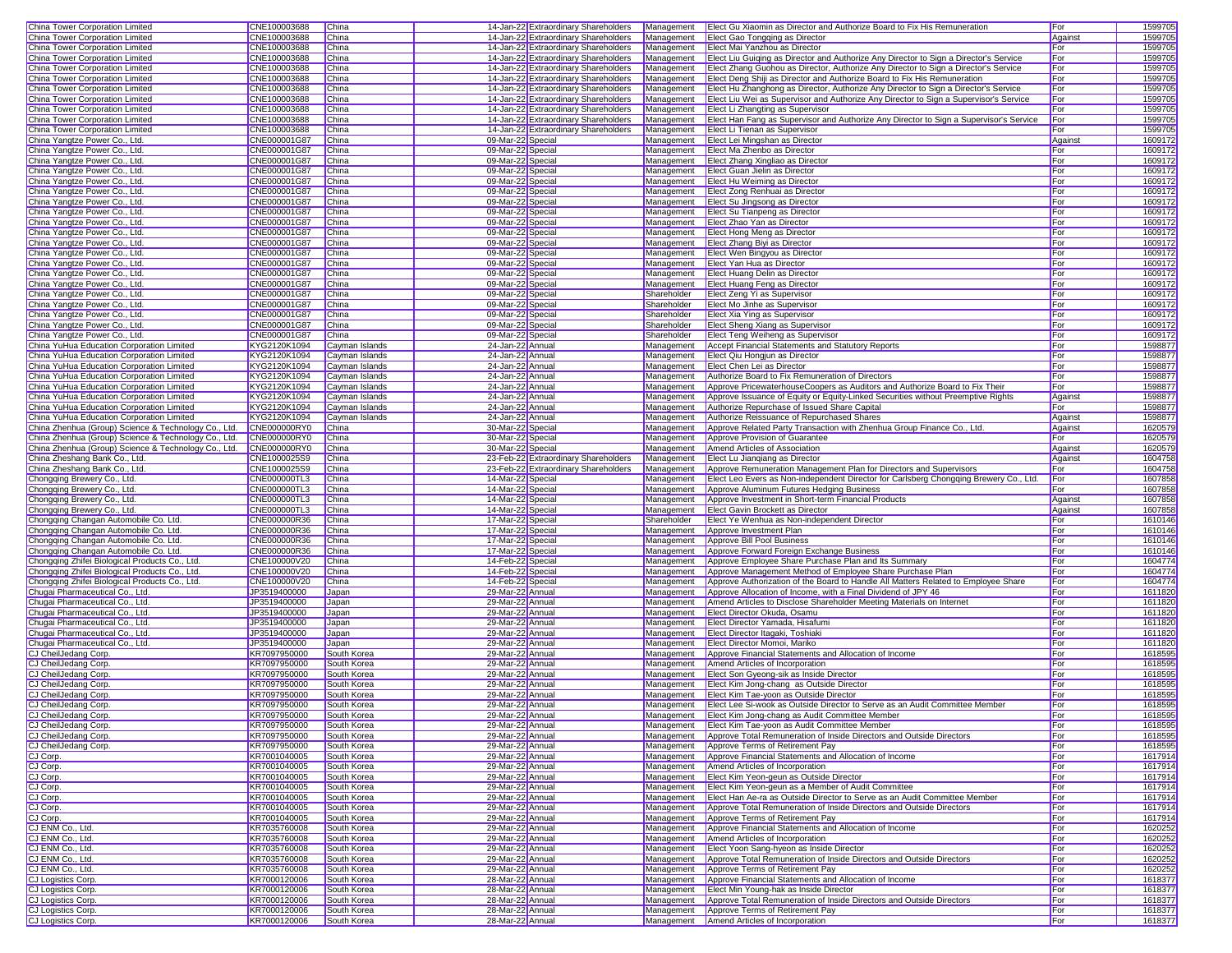|                                                                    |                              | China                      |                                      | 14-Jan-22 Extraordinary Shareholders | Management  | Elect Gu Xiaomin as Director and Authorize Board to Fix His Remuneration                 | For        | 1599705            |
|--------------------------------------------------------------------|------------------------------|----------------------------|--------------------------------------|--------------------------------------|-------------|------------------------------------------------------------------------------------------|------------|--------------------|
| China Tower Corporation Limited<br>China Tower Corporation Limited | CNE100003688<br>CNE100003688 | China                      |                                      | 14-Jan-22 Extraordinary Shareholders | Management  | Elect Gao Tongqing as Director                                                           | Against    | 1599705            |
| China Tower Corporation Limited                                    | CNE100003688                 | China                      |                                      |                                      |             |                                                                                          |            |                    |
|                                                                    |                              |                            |                                      | 14-Jan-22 Extraordinary Shareholders |             | Management Elect Mai Yanzhou as Director                                                 | For        | 1599705            |
| China Tower Corporation Limited                                    | CNE100003688                 | China                      |                                      | 14-Jan-22 Extraordinary Shareholders | Management  | Elect Liu Guiging as Director and Authorize Any Director to Sign a Director's Service    | For        | 1599705            |
| China Tower Corporation Limited                                    | CNE100003688                 | China                      |                                      | 14-Jan-22 Extraordinary Shareholders | Management  | Elect Zhang Guohou as Director, Authorize Any Director to Sign a Director's Service      | For        | 1599705            |
| China Tower Corporation Limited                                    | CNE100003688                 | China                      |                                      | 14-Jan-22 Extraordinary Shareholders | Management  | Elect Deng Shiji as Director and Authorize Board to Fix His Remuneration                 | For        | 1599705            |
| China Tower Corporation Limited                                    | CNE100003688                 | China                      |                                      | 14-Jan-22 Extraordinary Shareholders | Management  | Elect Hu Zhanghong as Director, Authorize Any Director to Sign a Director's Service      | For        | 1599705            |
| China Tower Corporation Limited                                    | CNE100003688                 | China                      |                                      | 14-Jan-22 Extraordinary Shareholders | Management  | Elect Liu Wei as Supervisor and Authorize Any Director to Sign a Supervisor's Service    | For        | 1599705            |
| China Tower Corporation Limited                                    | CNE100003688                 | China                      |                                      | 14-Jan-22 Extraordinary Shareholders | Management  | Elect Li Zhangting as Supervisor                                                         | For        | 1599705            |
| China Tower Corporation Limited                                    | CNE100003688                 | China                      |                                      | 14-Jan-22 Extraordinary Shareholders | Management  | Elect Han Fang as Supervisor and Authorize Any Director to Sign a Supervisor's Service   | For        | 1599705            |
| China Tower Corporation Limited                                    | CNE100003688                 | China                      |                                      | 14-Jan-22 Extraordinary Shareholders | Management  | Elect Li Tienan as Supervisor                                                            | For        | 1599705            |
| China Yangtze Power Co., Ltd.                                      | CNE000001G87                 | China                      | 09-Mar-22 Special                    |                                      | Management  | Elect Lei Mingshan as Director                                                           | Against    | 1609172            |
|                                                                    |                              | China                      | 09-Mar-22 Special                    |                                      | Management  |                                                                                          | For        | 1609172            |
| China Yangtze Power Co., Ltd.                                      | CNE000001G87                 |                            |                                      |                                      |             | Elect Ma Zhenbo as Director                                                              |            |                    |
| China Yangtze Power Co., Ltd.                                      | CNE000001G87                 | China                      | 09-Mar-22 Special                    |                                      | Management  | Elect Zhang Xingliao as Director                                                         | For        | 1609172            |
| China Yangtze Power Co., Ltd.                                      | CNE000001G87                 | China                      | 09-Mar-22 Special                    |                                      | Management  | Elect Guan Jielin as Director                                                            | For        | 1609172            |
| China Yangtze Power Co., Ltd.                                      | CNE000001G87                 | China                      | 09-Mar-22 Special                    |                                      | Management  | Elect Hu Weiming as Director                                                             | For        | 1609172            |
| China Yangtze Power Co., Ltd.                                      | CNE000001G87                 | China                      | 09-Mar-22 Special                    |                                      | Management  | Elect Zong Renhuai as Director                                                           | For        | 1609172            |
| China Yangtze Power Co., Ltd.                                      | CNE000001G87                 | China                      | 09-Mar-22 Special                    |                                      | Management  | Elect Su Jingsong as Director                                                            | For        | 1609172            |
| China Yangtze Power Co., Ltd.                                      | CNE000001G87                 | China                      | 09-Mar-22 Special                    |                                      | Management  | Elect Su Tianpeng as Director                                                            | For        | 1609172            |
| China Yangtze Power Co., Ltd.                                      | CNE000001G87                 | China                      | 09-Mar-22 Special                    |                                      | Management  | Elect Zhao Yan as Director                                                               | For        | 160917             |
| China Yangtze Power Co., Ltd.                                      | CNE000001G87                 | China                      | 09-Mar-22 Special                    |                                      | Management  | Elect Hong Meng as Director                                                              | For        | 1609172            |
| China Yangtze Power Co., Ltd.                                      | CNE000001G87                 | China                      | 09-Mar-22 Special                    |                                      | Management  | Elect Zhang Biyi as Director                                                             | For        | 1609172            |
| China Yangtze Power Co., Ltd.                                      | CNE000001G87                 | China                      | 09-Mar-22 Special                    |                                      | Management  | Elect Wen Bingyou as Director                                                            | For        | 1609172            |
| China Yangtze Power Co., Ltd.                                      | CNE000001G87                 | China                      | 09-Mar-22 Special                    |                                      | Management  | Elect Yan Hua as Director                                                                | For        | 1609172            |
|                                                                    | CNE000001G87                 | China                      | 09-Mar-22 Special                    |                                      | Management  | Elect Huang Delin as Director                                                            | For        | 1609172            |
| China Yangtze Power Co., Ltd.                                      |                              |                            |                                      |                                      |             |                                                                                          |            |                    |
| China Yangtze Power Co., Ltd.                                      | CNE000001G87                 | China                      | 09-Mar-22 Special                    |                                      | Management  | Elect Huang Feng as Director                                                             | For        | 1609172            |
| China Yangtze Power Co., Ltd.                                      | CNE000001G87                 | China                      | 09-Mar-22 Special                    |                                      | Shareholder | Elect Zeng Yi as Supervisor                                                              | For        | 1609172            |
| China Yangtze Power Co., Ltd.                                      | CNE000001G87                 | China                      | 09-Mar-22 Special                    |                                      | Shareholder | Elect Mo Jinhe as Supervisor                                                             | For        | 1609172            |
| China Yangtze Power Co., Ltd.                                      | CNE000001G87                 | China                      | 09-Mar-22 Special                    |                                      | Shareholder | Elect Xia Ying as Supervisor                                                             | For        | 1609172            |
| China Yangtze Power Co., Ltd.                                      | CNE000001G87                 | China                      | 09-Mar-22 Special                    |                                      | Shareholder | Elect Sheng Xiang as Supervisor                                                          | For        | 1609172            |
| China Yangtze Power Co., Ltd.                                      | CNE000001G87                 | China                      | 09-Mar-22 Special                    |                                      | Shareholder | Elect Teng Weiheng as Supervisor                                                         | For        | 1609172            |
| China YuHua Education Corporation Limited                          | KYG2120K1094                 | Cavman Islands             | 24-Jan-22 Annual                     |                                      | Management  | Accept Financial Statements and Statutory Reports                                        | For        | 159887             |
| China YuHua Education Corporation Limited                          | KYG2120K1094                 | Cayman Islands             | 24-Jan-22 Annual                     |                                      |             | Management   Elect Qiu Hongjun as Director                                               | For        | 1598877            |
| China YuHua Education Corporation Limited                          | KYG2120K1094                 | Cayman Islands             | 24-Jan-22 Annual                     |                                      | Management  | Elect Chen Lei as Director                                                               | For        | 1598877            |
| China YuHua Education Corporation Limited                          | KYG2120K1094                 | Cayman Islands             | 24-Jan-22 Annual                     |                                      | Management  | Authorize Board to Fix Remuneration of Directors                                         | For        | 1598877            |
|                                                                    |                              |                            |                                      |                                      |             |                                                                                          |            |                    |
| China YuHua Education Corporation Limited                          | KYG2120K1094                 | Cayman Islands             | 24-Jan-22 Annual                     |                                      | Management  | Approve PricewaterhouseCoopers as Auditors and Authorize Board to Fix Their              | For        | 1598877            |
| China YuHua Education Corporation Limited                          | KYG2120K1094                 | Cayman Islands             | 24-Jan-22 Annual                     |                                      | Management  | Approve Issuance of Equity or Equity-Linked Securities without Preemptive Rights         | Against    | 159887             |
| China YuHua Education Corporation Limited                          | KYG2120K1094                 | Cayman Islands             | 24-Jan-22 Annual                     |                                      | Management  | Authorize Repurchase of Issued Share Capital                                             | For        | 1598877            |
| China YuHua Education Corporation Limited                          | KYG2120K1094                 | Cayman Islands             | 24-Jan-22 Annual                     |                                      | Management  | Authorize Reissuance of Repurchased Shares                                               | Against    | 1598877            |
| China Zhenhua (Group) Science & Technology Co., Ltd.               | <b>CNE000000RY0</b>          | China                      | 30-Mar-22 Special                    |                                      | Management  | Approve Related Party Transaction with Zhenhua Group Finance Co., Ltd.                   | Against    | 1620579            |
| China Zhenhua (Group) Science & Technology Co., Ltd.               | CNE000000RY0                 | China                      | 30-Mar-22 Special                    |                                      | Management  | Approve Provision of Guarantee                                                           | For        | 1620579            |
| China Zhenhua (Group) Science & Technology Co., Ltd.               | CNE000000RY0                 | China                      | 30-Mar-22 Special                    |                                      | Management  | Amend Articles of Association                                                            | Against    | 1620579            |
| China Zheshang Bank Co., Ltd.                                      | CNE1000025S9                 | China                      |                                      | 23-Feb-22 Extraordinary Shareholders | Management  | Elect Lu Jiangiang as Director                                                           | Against    | 1604758            |
| China Zheshang Bank Co., Ltd.                                      | CNE1000025S9                 | China                      |                                      | 23-Feb-22 Extraordinary Shareholders | Management  | Approve Remuneration Management Plan for Directors and Supervisors                       | For        | 1604758            |
| Chongqing Brewery Co., Ltd.                                        | CNE000000TL3                 | China                      | 14-Mar-22 Special                    |                                      | Management  | Elect Leo Evers as Non-independent Director for Carlsberg Chongqing Brewery Co., Ltd.    | For        | 1607858            |
| Chongqing Brewery Co., Ltd.                                        | <b>CNE000000TL3</b>          | China                      | 14-Mar-22 Special                    |                                      | Management  |                                                                                          | For        | 1607858            |
|                                                                    |                              |                            |                                      |                                      |             |                                                                                          |            |                    |
|                                                                    |                              |                            |                                      |                                      |             | Approve Aluminum Futures Hedging Business                                                |            |                    |
| Chongqing Brewery Co., Ltd.                                        | <b>CNE000000TL3</b>          | China                      | 14-Mar-22 Special                    |                                      | Management  | Approve Investment in Short-term Financial Products                                      | Against    | 1607858            |
| Chongqing Brewery Co., Ltd.                                        | <b>CNE000000TL3</b>          | China                      | 14-Mar-22 Special                    |                                      | Management  | Elect Gavin Brockett as Director                                                         | Against    | 1607858            |
| Chongging Changan Automobile Co. Ltd.                              | CNE000000R36                 | China                      | 17-Mar-22 Special                    |                                      | Shareholder | Elect Ye Wenhua as Non-independent Director                                              | For        | 1610146            |
| Chongqing Changan Automobile Co. Ltd.                              | CNE000000R36                 | China                      | 17-Mar-22 Special                    |                                      | Management  | Approve Investment Plan                                                                  | For        | 1610146            |
| Chongqing Changan Automobile Co. Ltd.                              | CNE000000R36                 | China                      | 17-Mar-22 Special                    |                                      | Management  | Approve Bill Pool Business                                                               | For        | 1610146            |
| Chongqing Changan Automobile Co. Ltd.                              | CNE000000R36                 | China                      | 17-Mar-22 Special                    |                                      | Management  | Approve Forward Foreign Exchange Business                                                | For        | 1610146            |
| Chongqing Zhifei Biological Products Co., Ltd.                     | CNE100000V20                 | China                      | 14-Feb-22 Special                    |                                      | Management  | Approve Employee Share Purchase Plan and Its Summary                                     | For        | 1604774            |
| Chongging Zhifei Biological Products Co., Ltd.                     | CNE100000V20                 | China                      | 14-Feb-22 Special                    |                                      | Management  |                                                                                          | For        | 1604774            |
|                                                                    |                              |                            |                                      |                                      |             | Approve Management Method of Employee Share Purchase Plan                                |            |                    |
| Chongqing Zhifei Biological Products Co., Ltd.                     | CNE100000V20                 | China                      | 14-Feb-22 Special                    |                                      | Management  | Approve Authorization of the Board to Handle All Matters Related to Employee Share       | For        | 1604774            |
| Chugai Pharmaceutical Co., Ltd.                                    | JP3519400000                 | Japan                      | 29-Mar-22 Annual                     |                                      | Management  | Approve Allocation of Income, with a Final Dividend of JPY 46                            | For        | 1611820            |
| Chugai Pharmaceutical Co., Ltd.                                    | JP3519400000                 | Japan                      | 29-Mar-22 Annual                     |                                      | Management  | Amend Articles to Disclose Shareholder Meeting Materials on Internet                     | For        | 1611820            |
| Chugai Pharmaceutical Co., Ltd.                                    | JP3519400000                 | Japan                      | 29-Mar-22 Annual                     |                                      | Management  | Elect Director Okuda, Osamu                                                              | For        | 1611820            |
| Chugai Pharmaceutical Co., Ltd                                     | JP3519400000                 | Japan                      | 29-Mar-22 Annual                     |                                      | Management  | Elect Director Yamada, Hisafumi                                                          | For        | 1611820            |
| Chugai Pharmaceutical Co., Ltd                                     | JP3519400000                 | Japan                      | 29-Mar-22 Annual                     |                                      | Management  | Elect Director Itagaki, Toshiaki                                                         | For        | 1611820            |
| Chugai Pharmaceutical Co., Ltd.                                    | JP3519400000                 | Japan                      | 29-Mar-22 Annual                     |                                      | Management  | Elect Director Momoi, Mariko                                                             | For        | 1611820            |
| CJ CheilJedang Corp.                                               | KR7097950000                 | South Korea                | 29-Mar-22 Annual                     |                                      | Management  | Approve Financial Statements and Allocation of Income                                    | For        | 1618595            |
| CJ CheilJedang Corp.                                               | KR7097950000                 | South Korea                | 29-Mar-22 Annual                     |                                      |             | Management   Amend Articles of Incorporation                                             | For        | 1618595            |
| CJ CheilJedang Corp.                                               | KR7097950000                 | South Korea                | 29-Mar-22 Annual                     |                                      | Management  | Elect Son Gyeong-sik as Inside Director                                                  | For        | 1618595            |
| CJ CheilJedang Corp.                                               | KR7097950000                 | South Korea                | 29-Mar-22 Annual                     |                                      | Management  | Elect Kim Jong-chang as Outside Director                                                 | For        | 1618595            |
| CJ CheilJedang Corp.                                               | KR7097950000                 | South Korea                | 29-Mar-22 Annual                     |                                      | Management  | Elect Kim Tae-yoon as Outside Director                                                   | For        | 1618595            |
| CJ CheilJedang Corp.                                               | KR7097950000                 | South Korea                | 29-Mar-22 Annual                     |                                      |             | Management   Elect Lee Si-wook as Outside Director to Serve as an Audit Committee Member | For        | 1618595            |
| CJ CheilJedang Corp.                                               | KR7097950000                 | South Korea                | 29-Mar-22 Annual                     |                                      |             | Management Elect Kim Jong-chang as Audit Committee Member                                | For        | 1618595            |
|                                                                    | KR7097950000                 | South Korea                | 29-Mar-22 Annual                     |                                      |             |                                                                                          | For        |                    |
| CJ CheilJedang Corp.                                               |                              |                            |                                      |                                      |             | Management Elect Kim Tae-yoon as Audit Committee Member                                  |            | 1618595            |
| CJ CheilJedang Corp.                                               | KR7097950000                 | South Korea                | 29-Mar-22 Annual                     |                                      | Management  | Approve Total Remuneration of Inside Directors and Outside Directors                     | For        | 1618595            |
| CJ CheilJedang Corp.                                               | KR7097950000                 | South Korea                | 29-Mar-22 Annual                     |                                      | Management  | Approve Terms of Retirement Pay                                                          | For        | 1618595            |
| CJ Corp.                                                           | KR7001040005                 | South Korea                | 29-Mar-22 Annual                     |                                      | Management  | Approve Financial Statements and Allocation of Income                                    | For        | 1617914            |
| CJ Corp.                                                           | KR7001040005                 | South Korea                | 29-Mar-22 Annual                     |                                      |             | Management   Amend Articles of Incorporation                                             | For        | 1617914            |
| CJ Corp.                                                           | KR7001040005                 | South Korea                | 29-Mar-22 Annual                     |                                      | Management  | Elect Kim Yeon-geun as Outside Director                                                  | For        | 1617914            |
| CJ Corp.                                                           | KR7001040005                 | South Korea                | 29-Mar-22 Annual                     |                                      | Management  | Elect Kim Yeon-geun as a Member of Audit Committee                                       | For        | 1617914            |
| CJ Corp.                                                           | KR7001040005                 | South Korea                | 29-Mar-22 Annual                     |                                      | Management  | Elect Han Ae-ra as Outside Director to Serve as an Audit Committee Member                | For        | 1617914            |
| CJ Corp.                                                           | KR7001040005                 | South Korea                | 29-Mar-22 Annual                     |                                      | Management  | Approve Total Remuneration of Inside Directors and Outside Directors                     | For        | 1617914            |
| CJ Corp.                                                           | KR7001040005                 | South Korea                | 29-Mar-22 Annual                     |                                      |             | Management Approve Terms of Retirement Pay                                               | For        | 1617914            |
| CJ ENM Co., Ltd.                                                   | KR7035760008                 | South Korea                | 29-Mar-22 Annual                     |                                      | Management  | Approve Financial Statements and Allocation of Income                                    | For        | 1620252            |
| CJ ENM Co., Ltd.                                                   | KR7035760008                 | South Korea                | 29-Mar-22 Annual                     |                                      | Management  | Amend Articles of Incorporation                                                          | For        | 1620252            |
| CJ ENM Co., Ltd.                                                   | KR7035760008                 | South Korea                | 29-Mar-22 Annual                     |                                      | Management  | Elect Yoon Sang-hyeon as Inside Director                                                 | For        | 1620252            |
|                                                                    | KR7035760008                 |                            |                                      |                                      | Management  | Approve Total Remuneration of Inside Directors and Outside Directors                     |            |                    |
| CJ ENM Co., Ltd.                                                   |                              | South Korea                | 29-Mar-22 Annual                     |                                      |             |                                                                                          | For        | 1620252            |
| CJ ENM Co., Ltd.                                                   | KR7035760008                 | South Korea                | 29-Mar-22 Annual                     |                                      |             | Management Approve Terms of Retirement Pay                                               | For        | 1620252            |
| CJ Logistics Corp.                                                 | KR7000120006                 | South Korea                | 28-Mar-22 Annual                     |                                      | Management  | Approve Financial Statements and Allocation of Income                                    | For        | 1618377            |
| CJ Logistics Corp.                                                 | KR7000120006                 | South Korea                | 28-Mar-22 Annual                     |                                      | Management  | Elect Min Young-hak as Inside Director                                                   | For        | 1618377            |
| CJ Logistics Corp.                                                 | KR7000120006                 | South Korea                | 28-Mar-22 Annual                     |                                      | Management  | Approve Total Remuneration of Inside Directors and Outside Directors                     | For        | 1618377            |
| CJ Logistics Corp.<br>CJ Logistics Corp.                           | KR7000120006<br>KR7000120006 | South Korea<br>South Korea | 28-Mar-22 Annual<br>28-Mar-22 Annual |                                      | Management  | Approve Terms of Retirement Pay<br>Management   Amend Articles of Incorporation          | For<br>For | 1618377<br>1618377 |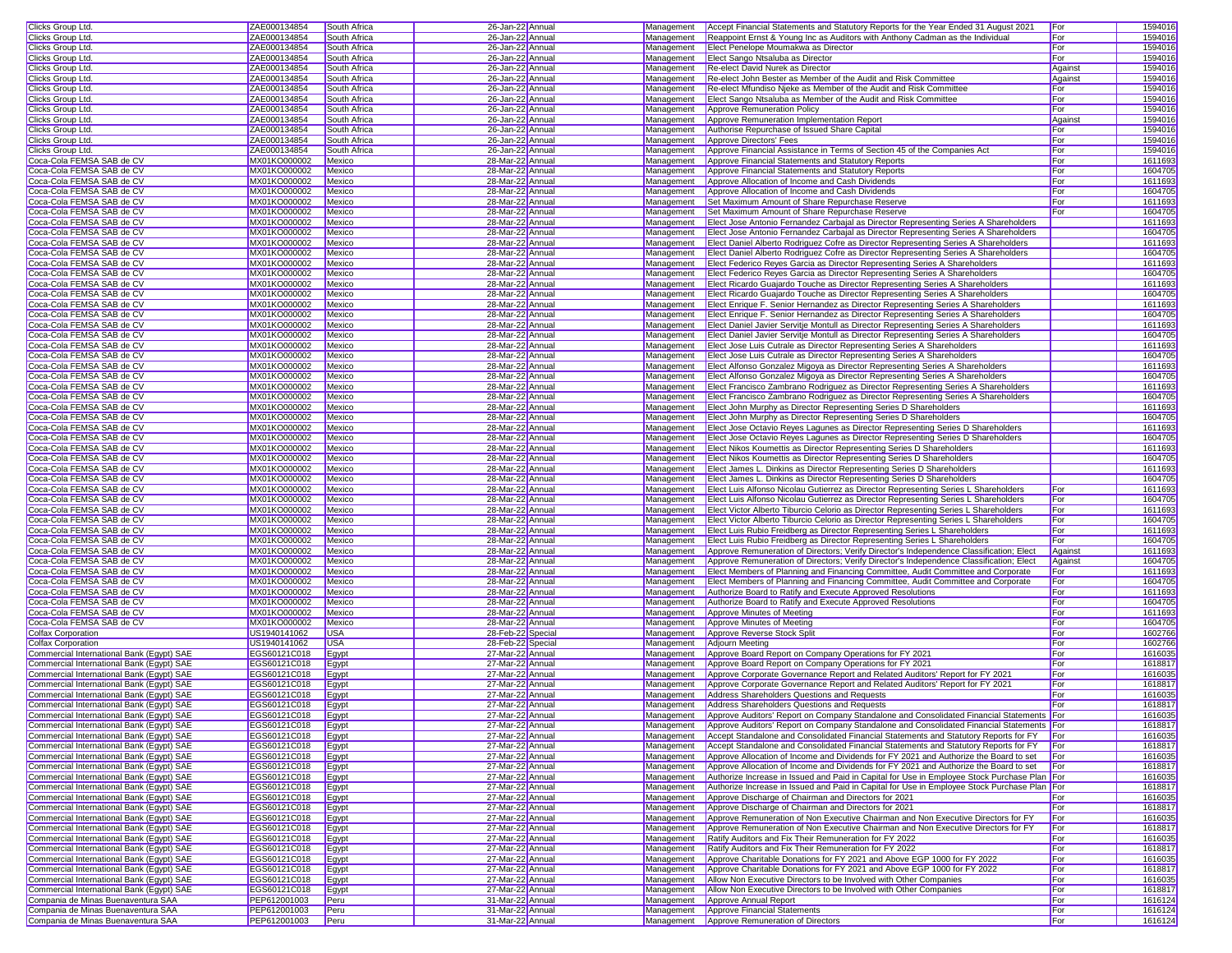| Clicks Group Ltd.                         | ZAE000134854       | South Africa | 26-Jan-22 Annual                     |            | Management Accept Financial Statements and Statutory Reports for the Year Ended 31 August 2021                                      | For     | 1594016 |
|-------------------------------------------|--------------------|--------------|--------------------------------------|------------|-------------------------------------------------------------------------------------------------------------------------------------|---------|---------|
| Clicks Group Ltd.                         | ZAE000134854       | South Africa | 26-Jan-22 Annual                     | Management | Reappoint Ernst & Young Inc as Auditors with Anthony Cadman as the Individual                                                       | For     | 1594016 |
| Clicks Group Ltd.                         | ZAE000134854       | South Africa | 26-Jan-22 Annual                     | Management | Elect Penelope Moumakwa as Director                                                                                                 | For     | 1594016 |
| Clicks Group Ltd.                         | ZAE000134854       | South Africa | 26-Jan-22 Annual                     | Management | Elect Sango Ntsaluba as Director                                                                                                    | For     | 1594016 |
| Clicks Group Ltd.                         | ZAE000134854       | South Africa | 26-Jan-22 Annual                     | Management | Re-elect David Nurek as Director                                                                                                    | Against | 1594016 |
| Clicks Group Ltd.                         | ZAE000134854       | South Africa | 26-Jan-22 Annual                     | Management | Re-elect John Bester as Member of the Audit and Risk Committee                                                                      | Against | 1594016 |
|                                           | ZAE000134854       | South Africa |                                      | Management |                                                                                                                                     | For     | 1594016 |
| Clicks Group Ltd.<br>Clicks Group Ltd.    | ZAE000134854       | South Africa | 26-Jan-22 Annual<br>26-Jan-22 Annual | Management | Re-elect Mfundiso Njeke as Member of the Audit and Risk Committee<br>Elect Sango Ntsaluba as Member of the Audit and Risk Committee | For     | 1594016 |
|                                           |                    | South Africa |                                      |            | Approve Remuneration Policy                                                                                                         |         |         |
| Clicks Group Ltd.                         | ZAE000134854       |              | 26-Jan-22 Annual                     | Management |                                                                                                                                     | For     | 1594016 |
| Clicks Group Ltd.                         | ZAE000134854       | South Africa | 26-Jan-22 Annua                      | Management | Approve Remuneration Implementation Report                                                                                          | Against | 1594016 |
| Clicks Group Ltd.                         | ZAE000134854       | South Africa | 26-Jan-22 Annua                      | Management | Authorise Repurchase of Issued Share Capital                                                                                        | For     | 1594016 |
| Clicks Group Ltd.                         | ZAE000134854       | South Africa | 26-Jan-22 Annual                     | Management | Approve Directors' Fees                                                                                                             | For     | 1594016 |
| Clicks Group Ltd.                         | ZAE000134854       | South Africa | 26-Jan-22 Annual                     | Management | Approve Financial Assistance in Terms of Section 45 of the Companies Act                                                            | For     | 1594016 |
| Coca-Cola FEMSA SAB de CV                 | MX01KO000002       | Mexico       | 28-Mar-22 Annual                     | Management | Approve Financial Statements and Statutory Reports                                                                                  | For     | 1611693 |
| Coca-Cola FEMSA SAB de CV                 | MX01KO000002       | Mexico       | 28-Mar-22 Annual                     | Management | Approve Financial Statements and Statutory Reports                                                                                  | For     | 1604705 |
| Coca-Cola FEMSA SAB de CV                 | MX01KO000002       | Mexico       | 28-Mar-22 Annual                     | Management | Approve Allocation of Income and Cash Dividends                                                                                     | For     | 1611693 |
| Coca-Cola FEMSA SAB de CV                 | MX01KO000002       | Mexico       | 28-Mar-22 Annual                     | Management | Approve Allocation of Income and Cash Dividends                                                                                     | For     | 1604705 |
| Coca-Cola FEMSA SAB de CV                 | MX01KO000002       | Mexico       | 28-Mar-22 Annual                     | Management | <b>Set Maximum Amount of Share Repurchase Reserve</b>                                                                               | For     | 1611693 |
| Coca-Cola FEMSA SAB de CV                 | MX01KO000002       | Mexico       | 28-Mar-22 Annual                     | Management | Set Maximum Amount of Share Repurchase Reserve                                                                                      | For     | 1604705 |
| Coca-Cola FEMSA SAB de CV                 | MX01KO000002       | Mexico       | 28-Mar-22 Annual                     | Management | Elect Jose Antonio Fernandez Carbajal as Director Representing Series A Shareholders                                                |         | 1611693 |
| Coca-Cola FEMSA SAB de CV                 | MX01KO000002       | Mexico       | 28-Mar-22 Annua                      | Management | Elect Jose Antonio Fernandez Carbajal as Director Representing Series A Shareholders                                                |         | 1604705 |
| Coca-Cola FEMSA SAB de CV                 | MX01KO000002       | Mexico       | 28-Mar-22 Annual                     | Management | Elect Daniel Alberto Rodriguez Cofre as Director Representing Series A Shareholders                                                 |         | 1611693 |
| Coca-Cola FEMSA SAB de CV                 | MX01KO000002       | Mexico       | 28-Mar-22 Annual                     | Management | Elect Daniel Alberto Rodriguez Cofre as Director Representing Series A Shareholders                                                 |         | 1604705 |
|                                           |                    |              |                                      |            |                                                                                                                                     |         |         |
| Coca-Cola FEMSA SAB de CV                 | MX01KO000002       | Mexico       | 28-Mar-22 Annual                     | Management | Elect Federico Reyes Garcia as Director Representing Series A Shareholders                                                          |         | 1611693 |
| Coca-Cola FEMSA SAB de CV                 | MX01KO000002       | Mexico       | 28-Mar-22 Annual                     | Management | Elect Federico Reyes Garcia as Director Representing Series A Shareholders                                                          |         | 1604705 |
| Coca-Cola FEMSA SAB de CV                 | MX01KO000002       | Mexico       | 28-Mar-22 Annual                     | Management | Elect Ricardo Guajardo Touche as Director Representing Series A Shareholders                                                        |         | 1611693 |
| Coca-Cola FEMSA SAB de CV                 | MX01KO000002       | Mexico       | 28-Mar-22 Annual                     | Management | Elect Ricardo Guajardo Touche as Director Representing Series A Shareholders                                                        |         | 1604705 |
| Coca-Cola FEMSA SAB de CV                 | MX01KO000002       | Mexico       | 28-Mar-22 Annual                     | Management | Elect Enrique F. Senior Hernandez as Director Representing Series A Shareholders                                                    |         | 1611693 |
| Coca-Cola FEMSA SAB de CV                 | MX01KO000002       | Mexico       | 28-Mar-22 Annual                     | Management | Elect Enrique F. Senior Hernandez as Director Representing Series A Shareholders                                                    |         | 1604705 |
| Coca-Cola FEMSA SAB de CV                 | MX01KO000002       | Mexico       | 28-Mar-22 Annual                     | Management | Elect Daniel Javier Servitje Montull as Director Representing Series A Shareholders                                                 |         | 1611693 |
| Coca-Cola FEMSA SAB de CV                 | MX01KO000002       | Mexico       | 28-Mar-22 Annual                     | Management | Elect Daniel Javier Servitje Montull as Director Representing Series A Shareholders                                                 |         | 1604705 |
| Coca-Cola FEMSA SAB de CV                 | MX01KO000002       | Mexico       | 28-Mar-22 Annual                     | Management | Elect Jose Luis Cutrale as Director Representing Series A Shareholders                                                              |         | 1611693 |
| Coca-Cola FEMSA SAB de CV                 | MX01KO000002       | Mexico       | 28-Mar-22 Annual                     | Management | Elect Jose Luis Cutrale as Director Representing Series A Shareholders                                                              |         | 1604705 |
| Coca-Cola FEMSA SAB de CV                 | MX01KO000002       | Mexico       | 28-Mar-22 Annual                     | Management | Elect Alfonso Gonzalez Migoya as Director Representing Series A Shareholders                                                        |         | 1611693 |
| Coca-Cola FEMSA SAB de CV                 | MX01KO000002       | Mexico       | 28-Mar-22 Annual                     |            |                                                                                                                                     |         |         |
|                                           |                    |              |                                      | Management | Elect Alfonso Gonzalez Migoya as Director Representing Series A Shareholders                                                        |         | 1604705 |
| Coca-Cola FEMSA SAB de CV                 | MX01KO000002       | Mexico       | 28-Mar-22 Annual                     | Management | Elect Francisco Zambrano Rodriguez as Director Representing Series A Shareholders                                                   |         | 1611693 |
| Coca-Cola FEMSA SAB de CV                 | MX01KO000002       | Mexico       | 28-Mar-22 Annual                     | Management | Elect Francisco Zambrano Rodriguez as Director Representing Series A Shareholders                                                   |         | 1604705 |
| Coca-Cola FEMSA SAB de CV                 | MX01KO000002       | Mexico       | 28-Mar-22 Annual                     | Management | Elect John Murphy as Director Representing Series D Shareholders                                                                    |         | 1611693 |
| Coca-Cola FEMSA SAB de CV                 | MX01KO000002       | Mexico       | 28-Mar-22 Annual                     | Management | Elect John Murphy as Director Representing Series D Shareholders                                                                    |         | 1604705 |
| Coca-Cola FEMSA SAB de CV                 | MX01KO000002       | Mexico       | 28-Mar-22 Annual                     | Management | Elect Jose Octavio Reyes Lagunes as Director Representing Series D Shareholders                                                     |         | 1611693 |
| Coca-Cola FEMSA SAB de CV                 | MX01KO000002       | Mexico       | 28-Mar-22 Annual                     | Management | Elect Jose Octavio Reyes Lagunes as Director Representing Series D Shareholders                                                     |         | 1604705 |
| Coca-Cola FEMSA SAB de CV                 | MX01KO000002       | Mexico       | 28-Mar-22 Annual                     | Management | <b>Elect Nikos Koumettis as Director Representing Series D Shareholders</b>                                                         |         | 1611693 |
| Coca-Cola FEMSA SAB de CV                 | MX01KO000002       | Mexico       | 28-Mar-22 Annual                     | Management | Elect Nikos Koumettis as Director Representing Series D Shareholders                                                                |         | 1604705 |
| Coca-Cola FEMSA SAB de CV                 | MX01KO000002       | Mexico       | 28-Mar-22 Annual                     | Management | Elect James L. Dinkins as Director Representing Series D Shareholders                                                               |         | 1611693 |
| Coca-Cola FEMSA SAB de CV                 | MX01KO000002       | Mexico       | 28-Mar-22 Annual                     | Management | Elect James L. Dinkins as Director Representing Series D Shareholders                                                               |         | 1604705 |
|                                           |                    |              |                                      |            |                                                                                                                                     |         |         |
| Coca-Cola FEMSA SAB de CV                 | MX01KO000002       | Mexico       | 28-Mar-22 Annual                     | Management | Elect Luis Alfonso Nicolau Gutierrez as Director Representing Series L Shareholders                                                 | For     | 1611693 |
| Coca-Cola FEMSA SAB de CV                 | MX01KO000002       | Mexico       | 28-Mar-22 Annual                     | Management | Elect Luis Alfonso Nicolau Gutierrez as Director Representing Series L Shareholders                                                 | For     | 1604705 |
| Coca-Cola FEMSA SAB de CV                 | MX01KO000002       | Mexico       | 28-Mar-22 Annual                     | Management | Elect Victor Alberto Tiburcio Celorio as Director Representing Series L Shareholders                                                | For     | 1611693 |
| Coca-Cola FEMSA SAB de CV                 | MX01KO000002       | Mexico       | 28-Mar-22 Annual                     | Management | Elect Victor Alberto Tiburcio Celorio as Director Representing Series L Shareholders                                                | For     | 1604705 |
| Coca-Cola FEMSA SAB de CV                 | MX01KO000002       | Mexico       | 28-Mar-22 Annual                     | Management | Elect Luis Rubio Freidberg as Director Representing Series L Shareholders                                                           | For     | 1611693 |
| Coca-Cola FEMSA SAB de CV                 | MX01KO000002       | Mexico       | 28-Mar-22 Annual                     | Management | Elect Luis Rubio Freidberg as Director Representing Series L Shareholders                                                           | For     | 1604705 |
| Coca-Cola FEMSA SAB de CV                 | MX01KO000002       | Mexico       | 28-Mar-22 Annual                     | Management | Approve Remuneration of Directors; Verify Director's Independence Classification; Elect                                             | Against | 1611693 |
| Coca-Cola FEMSA SAB de CV                 | MX01KO000002       | Mexico       | 28-Mar-22 Annual                     | Management | Approve Remuneration of Directors; Verify Director's Independence Classification; Elect                                             | Against | 1604705 |
| Coca-Cola FEMSA SAB de CV                 | MX01KO000002       | Mexico       | 28-Mar-22 Annual                     | Management | Elect Members of Planning and Financing Committee, Audit Committee and Corporate                                                    | For     | 1611693 |
| Coca-Cola FEMSA SAB de CV                 | MX01KO000002       | Mexico       | 28-Mar-22 Annual                     | Management | Elect Members of Planning and Financing Committee, Audit Committee and Corporate                                                    | For     | 1604705 |
| Coca-Cola FEMSA SAB de CV                 | MX01KO000002       | Mexico       | 28-Mar-22 Annual                     | Management | Authorize Board to Ratify and Execute Approved Resolutions                                                                          | For     | 1611693 |
| Coca-Cola FEMSA SAB de CV                 | MX01KO000002       | Mexico       | 28-Mar-22 Annual                     | Management | Authorize Board to Ratify and Execute Approved Resolutions                                                                          | For     | 1604705 |
|                                           | MX01KO000002       | Mexico       |                                      | Management |                                                                                                                                     | For     | 1611693 |
| Coca-Cola FEMSA SAB de CV                 |                    |              | 28-Mar-22 Annual                     |            | Approve Minutes of Meeting                                                                                                          |         |         |
| Coca-Cola FEMSA SAB de CV                 | MX01KO000002       | Mexico       | 28-Mar-22 Annual                     | Management | Approve Minutes of Meeting                                                                                                          | For     | 1604705 |
| <b>Colfax Corporation</b>                 | US1940141062       | <b>USA</b>   | 28-Feb-22 Special                    | Management | Approve Reverse Stock Split                                                                                                         | For     | 1602766 |
| <b>Colfax Corporation</b>                 | US1940141062       | <b>USA</b>   | 28-Feb-22 Special                    | Management | <b>Adjourn Meeting</b>                                                                                                              | For     | 1602766 |
| Commercial International Bank (Egypt) SAE | EGS60121C018       | Egypt        | 27-Mar-22 Annual                     | Management | Approve Board Report on Company Operations for FY 2021                                                                              | For     | 1616035 |
| Commercial International Bank (Eqypt) SAE | EGS60121C018       | Egypt        | 27-Mar-22 Annual                     | Management | Approve Board Report on Company Operations for FY 2021                                                                              | For     | 1618817 |
| Commercial International Bank (Egypt) SAE | EGS60121C018       | Egypt        | 27-Mar-22 Annual                     | Management | Approve Corporate Governance Report and Related Auditors' Report for FY 2021                                                        | For     | 1616035 |
| Commercial International Bank (Egypt) SAE | EGS60121C018       | Egypt        | 27-Mar-22 Annual                     | Management | Approve Corporate Governance Report and Related Auditors' Report for FY 2021                                                        | For     | 1618817 |
| Commercial International Bank (Egypt) SAE | EGS60121C018       | Egypt        | 27-Mar-22 Annual                     | Management | Address Shareholders Questions and Requests                                                                                         | For     | 1616035 |
| Commercial International Bank (Egypt) SAE | EGS60121C018       | Egypt        | 27-Mar-22 Annual                     | Management | <b>Address Shareholders Questions and Requests</b>                                                                                  | For     | 1618817 |
| Commercial International Bank (Egypt) SAE | EGS60121C018       | Egypt        | 27-Mar-22 Annual                     |            | Management Approve Auditors' Report on Company Standalone and Consolidated Financial Statements For                                 |         | 1616035 |
| Commercial International Bank (Eqypt) SAE | EGS60121C018 Eqypt |              | 27-Mar-22 Annual                     |            | Management Approve Auditors' Report on Company Standalone and Consolidated Financial Statements For                                 |         | 1618817 |
| Commercial International Bank (Eqypt) SAE | EGS60121C018       | Egypt        | 27-Mar-22 Annual                     | Management | Accept Standalone and Consolidated Financial Statements and Statutory Reports for FY For                                            |         | 1616035 |
| Commercial International Bank (Egypt) SAE | EGS60121C018       | Egypt        | 27-Mar-22 Annual                     |            | Management Accept Standalone and Consolidated Financial Statements and Statutory Reports for FY For                                 |         | 1618817 |
|                                           | EGS60121C018       |              | 27-Mar-22 Annual                     |            |                                                                                                                                     | For     | 1616035 |
| Commercial International Bank (Egypt) SAE |                    | Egypt        |                                      | Management | Approve Allocation of Income and Dividends for FY 2021 and Authorize the Board to set                                               |         |         |
| Commercial International Bank (Egypt) SAE | EGS60121C018       | Egypt        | 27-Mar-22 Annual                     | Management | Approve Allocation of Income and Dividends for FY 2021 and Authorize the Board to set                                               | For     | 1618817 |
| Commercial International Bank (Egypt) SAE | EGS60121C018       | Egypt        | 27-Mar-22 Annual                     | Management | Authorize Increase in Issued and Paid in Capital for Use in Employee Stock Purchase Plan For                                        |         | 1616035 |
| Commercial International Bank (Egypt) SAE | EGS60121C018       | Egypt        | 27-Mar-22 Annual                     | Management | Authorize Increase in Issued and Paid in Capital for Use in Employee Stock Purchase Plan For                                        |         | 1618817 |
| Commercial International Bank (Egypt) SAE | EGS60121C018       | Egypt        | 27-Mar-22 Annual                     | Management | Approve Discharge of Chairman and Directors for 2021                                                                                | For     | 1616035 |
| Commercial International Bank (Egypt) SAE | EGS60121C018       | Egypt        | 27-Mar-22 Annual                     | Management | Approve Discharge of Chairman and Directors for 2021                                                                                | For     | 1618817 |
| Commercial International Bank (Egypt) SAE | EGS60121C018       | Egypt        | 27-Mar-22 Annual                     | Management | Approve Remuneration of Non Executive Chairman and Non Executive Directors for FY                                                   | For     | 1616035 |
| Commercial International Bank (Egypt) SAE | EGS60121C018       | Egypt        | 27-Mar-22 Annual                     | Management | Approve Remuneration of Non Executive Chairman and Non Executive Directors for FY                                                   | For     | 1618817 |
| Commercial International Bank (Egypt) SAE | EGS60121C018       | Egypt        | 27-Mar-22 Annual                     | Management | Ratify Auditors and Fix Their Remuneration for FY 2022                                                                              | For     | 1616035 |
| Commercial International Bank (Egypt) SAE | EGS60121C018       | Egypt        | 27-Mar-22 Annual                     | Management | Ratify Auditors and Fix Their Remuneration for FY 2022                                                                              | For     | 1618817 |
| Commercial International Bank (Egypt) SAE | EGS60121C018       | Egypt        | 27-Mar-22 Annual                     | Management | Approve Charitable Donations for FY 2021 and Above EGP 1000 for FY 2022                                                             | For     | 1616035 |
| Commercial International Bank (Egypt) SAE | EGS60121C018       |              | 27-Mar-22 Annual                     | Management | Approve Charitable Donations for FY 2021 and Above EGP 1000 for FY 2022                                                             | For     | 1618817 |
|                                           |                    | Egypt        |                                      |            |                                                                                                                                     |         |         |
| Commercial International Bank (Egypt) SAE | EGS60121C018       | Egypt        | 27-Mar-22 Annual                     | Management | Allow Non Executive Directors to be Involved with Other Companies                                                                   | For     | 1616035 |
| Commercial International Bank (Egypt) SAE | EGS60121C018       | Egypt        | 27-Mar-22 Annual                     | Management | Allow Non Executive Directors to be Involved with Other Companies                                                                   | For     | 1618817 |
| Compania de Minas Buenaventura SAA        | PEP612001003       | Peru         | 31-Mar-22 Annual                     |            | Management Approve Annual Report                                                                                                    | For     | 1616124 |
| Compania de Minas Buenaventura SAA        | PEP612001003       | Peru         | 31-Mar-22 Annual                     |            | Management Approve Financial Statements                                                                                             | For     | 1616124 |
| Compania de Minas Buenaventura SAA        | PEP612001003       | Peru         | 31-Mar-22 Annual                     |            | Management Approve Remuneration of Directors                                                                                        | For     | 1616124 |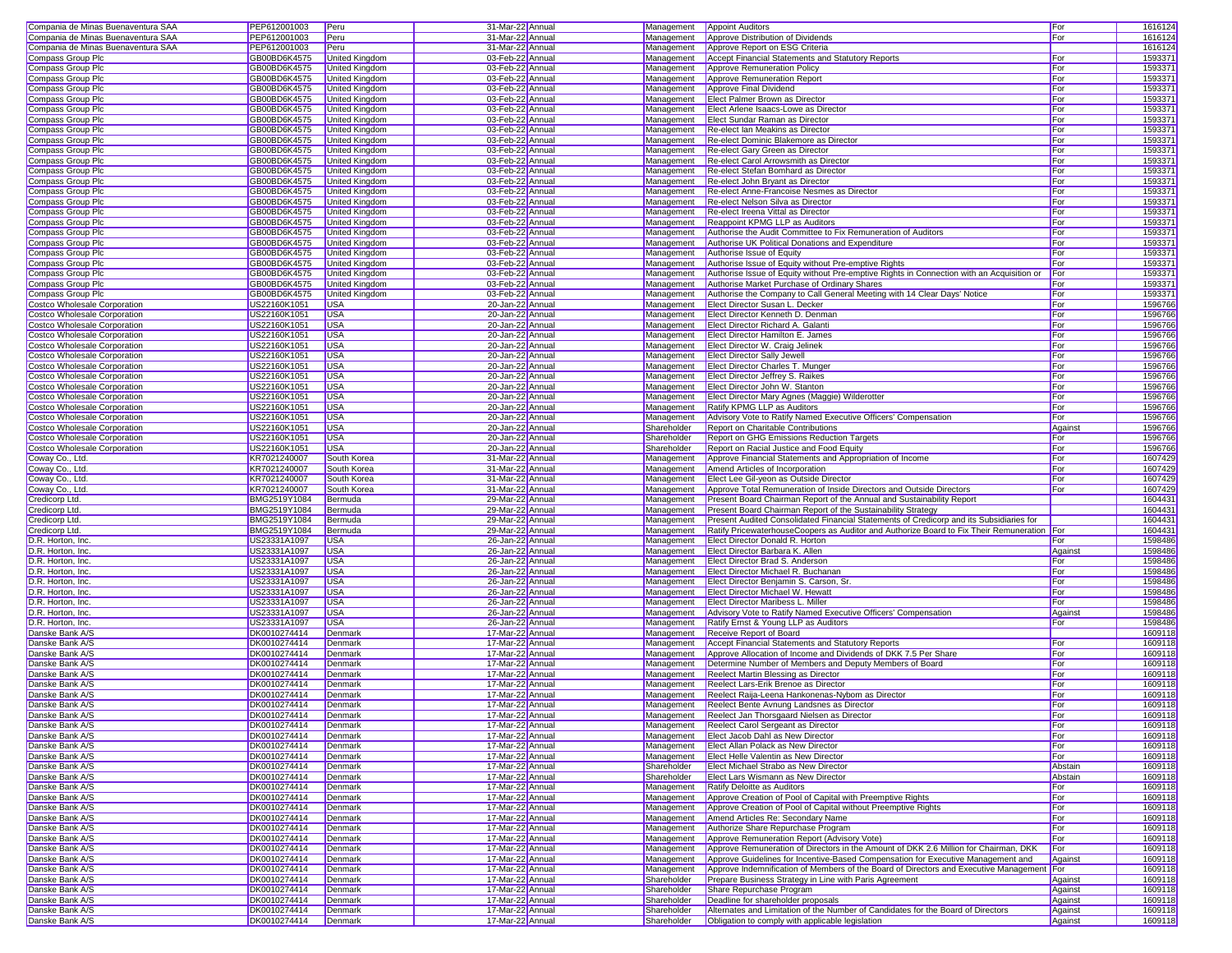| Compania de Minas Buenaventura SAA                                                                                                                                                                                                                                                                                                                                                                                                                                                                                                                                                                                                                                                                                                                                                                                                      | PEP612001003                 | Peru                  | 31-Mar-22 Annual                     |                            | Management Appoint Auditors                                                                                                          | For                | 1616124            |
|-----------------------------------------------------------------------------------------------------------------------------------------------------------------------------------------------------------------------------------------------------------------------------------------------------------------------------------------------------------------------------------------------------------------------------------------------------------------------------------------------------------------------------------------------------------------------------------------------------------------------------------------------------------------------------------------------------------------------------------------------------------------------------------------------------------------------------------------|------------------------------|-----------------------|--------------------------------------|----------------------------|--------------------------------------------------------------------------------------------------------------------------------------|--------------------|--------------------|
| Compania de Minas Buenaventura SAA                                                                                                                                                                                                                                                                                                                                                                                                                                                                                                                                                                                                                                                                                                                                                                                                      | PEP612001003                 | Peru                  | 31-Mar-22 Annual                     | Management                 | Approve Distribution of Dividends                                                                                                    | For                | 1616124            |
| Compania de Minas Buenaventura SAA                                                                                                                                                                                                                                                                                                                                                                                                                                                                                                                                                                                                                                                                                                                                                                                                      |                              |                       |                                      |                            |                                                                                                                                      |                    |                    |
|                                                                                                                                                                                                                                                                                                                                                                                                                                                                                                                                                                                                                                                                                                                                                                                                                                         | PEP612001003                 | Peru                  | 31-Mar-22 Annual                     | Management                 | Approve Report on ESG Criteria                                                                                                       |                    | 1616124            |
| Compass Group Plc                                                                                                                                                                                                                                                                                                                                                                                                                                                                                                                                                                                                                                                                                                                                                                                                                       | GB00BD6K4575                 | United Kingdom        | 03-Feb-22 Annual                     | Management                 | Accept Financial Statements and Statutory Reports                                                                                    | For                | 159337             |
| Compass Group Plc                                                                                                                                                                                                                                                                                                                                                                                                                                                                                                                                                                                                                                                                                                                                                                                                                       | GB00BD6K4575                 | United Kingdom        | 03-Feb-22 Annual                     | Management                 | Approve Remuneration Policy                                                                                                          | For                | 159337             |
| Compass Group Plc                                                                                                                                                                                                                                                                                                                                                                                                                                                                                                                                                                                                                                                                                                                                                                                                                       | GB00BD6K4575                 | United Kingdom        | 03-Feb-22 Annual                     | Management                 | Approve Remuneration Report                                                                                                          | For                | 1593371            |
| Compass Group Plc                                                                                                                                                                                                                                                                                                                                                                                                                                                                                                                                                                                                                                                                                                                                                                                                                       | GB00BD6K4575                 | United Kingdom        | 03-Feb-22 Annual                     | Management                 | Approve Final Dividend                                                                                                               | For                | 1593371            |
| Compass Group Plc                                                                                                                                                                                                                                                                                                                                                                                                                                                                                                                                                                                                                                                                                                                                                                                                                       | GB00BD6K4575                 | United Kingdom        | 03-Feb-22 Annual                     | Management                 | Elect Palmer Brown as Director                                                                                                       | For                | 159337             |
|                                                                                                                                                                                                                                                                                                                                                                                                                                                                                                                                                                                                                                                                                                                                                                                                                                         |                              |                       |                                      |                            |                                                                                                                                      |                    |                    |
| Compass Group Plc                                                                                                                                                                                                                                                                                                                                                                                                                                                                                                                                                                                                                                                                                                                                                                                                                       | GB00BD6K4575                 | <b>United Kingdom</b> | 03-Feb-22 Annual                     | Management                 | Elect Arlene Isaacs-Lowe as Director                                                                                                 | For                | 159337             |
| Compass Group Plc                                                                                                                                                                                                                                                                                                                                                                                                                                                                                                                                                                                                                                                                                                                                                                                                                       | GB00BD6K4575                 | United Kingdom        | 03-Feb-22 Annual                     | Management                 | Elect Sundar Raman as Director                                                                                                       | For                | 159337             |
| Compass Group Plc                                                                                                                                                                                                                                                                                                                                                                                                                                                                                                                                                                                                                                                                                                                                                                                                                       | GB00BD6K4575                 | United Kingdom        | 03-Feb-22 Annual                     | Management                 | Re-elect Ian Meakins as Director                                                                                                     | For                | 159337             |
| Compass Group Plc                                                                                                                                                                                                                                                                                                                                                                                                                                                                                                                                                                                                                                                                                                                                                                                                                       | GB00BD6K4575                 | United Kingdom        | 03-Feb-22 Annual                     | Management                 | Re-elect Dominic Blakemore as Director                                                                                               | For                | 159337             |
| Compass Group Plc                                                                                                                                                                                                                                                                                                                                                                                                                                                                                                                                                                                                                                                                                                                                                                                                                       | GB00BD6K4575                 | United Kingdom        | 03-Feb-22 Annual                     | Management                 | Re-elect Gary Green as Director                                                                                                      | For                | 159337             |
| Compass Group Plc                                                                                                                                                                                                                                                                                                                                                                                                                                                                                                                                                                                                                                                                                                                                                                                                                       | GB00BD6K4575                 | United Kingdom        | 03-Feb-22 Annual                     | Management                 | Re-elect Carol Arrowsmith as Director                                                                                                | For                | 159337             |
|                                                                                                                                                                                                                                                                                                                                                                                                                                                                                                                                                                                                                                                                                                                                                                                                                                         |                              |                       |                                      |                            |                                                                                                                                      |                    |                    |
| Compass Group Plc                                                                                                                                                                                                                                                                                                                                                                                                                                                                                                                                                                                                                                                                                                                                                                                                                       | GB00BD6K4575                 | United Kingdom        | 03-Feb-22 Annual                     | Management                 | Re-elect Stefan Bomhard as Director                                                                                                  | For                | 159337             |
| Compass Group Plc                                                                                                                                                                                                                                                                                                                                                                                                                                                                                                                                                                                                                                                                                                                                                                                                                       | GB00BD6K4575                 | United Kingdom        | 03-Feb-22 Annual                     | Management                 | Re-elect John Brvant as Director                                                                                                     | For                | 1593371            |
| Compass Group Plc                                                                                                                                                                                                                                                                                                                                                                                                                                                                                                                                                                                                                                                                                                                                                                                                                       | GB00BD6K4575                 | United Kingdom        | 03-Feb-22 Annual                     | Management                 | Re-elect Anne-Francoise Nesmes as Director                                                                                           | For                | 1593371            |
| <b>Compass Group Plc</b>                                                                                                                                                                                                                                                                                                                                                                                                                                                                                                                                                                                                                                                                                                                                                                                                                | GB00BD6K4575                 | United Kingdom        | 03-Feb-22 Annual                     | Management                 | Re-elect Nelson Silva as Director                                                                                                    | For                | 159337             |
| Compass Group Plc                                                                                                                                                                                                                                                                                                                                                                                                                                                                                                                                                                                                                                                                                                                                                                                                                       | GB00BD6K4575                 | <b>United Kingdom</b> | 03-Feb-22 Annual                     | Management                 | Re-elect Ireena Vittal as Director                                                                                                   | For                | 159337             |
| Compass Group Plc                                                                                                                                                                                                                                                                                                                                                                                                                                                                                                                                                                                                                                                                                                                                                                                                                       | GB00BD6K4575                 | United Kingdom        | 03-Feb-22 Annual                     | Management                 | Reappoint KPMG LLP as Auditors                                                                                                       | For                | 159337             |
|                                                                                                                                                                                                                                                                                                                                                                                                                                                                                                                                                                                                                                                                                                                                                                                                                                         |                              |                       |                                      |                            |                                                                                                                                      |                    |                    |
| Compass Group Plc                                                                                                                                                                                                                                                                                                                                                                                                                                                                                                                                                                                                                                                                                                                                                                                                                       | GB00BD6K4575                 | United Kingdom        | 03-Feb-22 Annual                     | Management                 | Authorise the Audit Committee to Fix Remuneration of Auditors                                                                        | For                | 159337             |
| Compass Group Plc                                                                                                                                                                                                                                                                                                                                                                                                                                                                                                                                                                                                                                                                                                                                                                                                                       | GB00BD6K4575                 | United Kingdom        | 03-Feb-22 Annual                     | Management                 | Authorise UK Political Donations and Expenditure                                                                                     | For                | 159337             |
| Compass Group Plc                                                                                                                                                                                                                                                                                                                                                                                                                                                                                                                                                                                                                                                                                                                                                                                                                       | GB00BD6K4575                 | United Kingdom        | 03-Feb-22 Annual                     | Management                 | Authorise Issue of Equity                                                                                                            | For                | 159337             |
| Compass Group Plc                                                                                                                                                                                                                                                                                                                                                                                                                                                                                                                                                                                                                                                                                                                                                                                                                       | GB00BD6K4575                 | United Kingdom        | 03-Feb-22 Annual                     | Management                 | Authorise Issue of Equity without Pre-emptive Rights                                                                                 | For                | 159337             |
| Compass Group Plc                                                                                                                                                                                                                                                                                                                                                                                                                                                                                                                                                                                                                                                                                                                                                                                                                       | GB00BD6K4575                 | United Kingdom        | 03-Feb-22 Annual                     | Management                 | Authorise Issue of Equity without Pre-emptive Rights in Connection with an Acquisition or                                            | For                | 159337             |
| Compass Group Plc                                                                                                                                                                                                                                                                                                                                                                                                                                                                                                                                                                                                                                                                                                                                                                                                                       | GB00BD6K4575                 | United Kingdom        | 03-Feb-22 Annual                     | Management                 | Authorise Market Purchase of Ordinary Shares                                                                                         | For                | 1593371            |
| Compass Group Plc                                                                                                                                                                                                                                                                                                                                                                                                                                                                                                                                                                                                                                                                                                                                                                                                                       | GB00BD6K4575                 | <b>United Kingdom</b> | 03-Feb-22 Annual                     | Management                 | Authorise the Company to Call General Meeting with 14 Clear Days' Notice                                                             | For                | 1593371            |
|                                                                                                                                                                                                                                                                                                                                                                                                                                                                                                                                                                                                                                                                                                                                                                                                                                         | US22160K1051                 |                       | 20-Jan-22 Annual                     | Management                 | Elect Director Susan L. Decker                                                                                                       | For                | 1596766            |
| Costco Wholesale Corporation                                                                                                                                                                                                                                                                                                                                                                                                                                                                                                                                                                                                                                                                                                                                                                                                            |                              | <b>IUSA</b>           |                                      |                            |                                                                                                                                      |                    |                    |
| Costco Wholesale Corporation                                                                                                                                                                                                                                                                                                                                                                                                                                                                                                                                                                                                                                                                                                                                                                                                            | US22160K1051                 | <b>USA</b>            | 20-Jan-22 Annual                     | Management                 | Elect Director Kenneth D. Denman                                                                                                     | For                | 1596766            |
| Costco Wholesale Corporation                                                                                                                                                                                                                                                                                                                                                                                                                                                                                                                                                                                                                                                                                                                                                                                                            | US22160K1051                 | <b>USA</b>            | 20-Jan-22 Annual                     | Management                 | Elect Director Richard A. Galanti                                                                                                    | For                | 1596766            |
| Costco Wholesale Corporation                                                                                                                                                                                                                                                                                                                                                                                                                                                                                                                                                                                                                                                                                                                                                                                                            | US22160K1051                 | <b>USA</b>            | 20-Jan-22 Annual                     | Management                 | <b>Elect Director Hamilton E. James</b>                                                                                              | For                | 1596766            |
| Costco Wholesale Corporation                                                                                                                                                                                                                                                                                                                                                                                                                                                                                                                                                                                                                                                                                                                                                                                                            | US22160K1051                 | <b>USA</b>            | 20-Jan-22 Annual                     | Management                 | <b>Elect Director W. Craig Jelinek</b>                                                                                               | For                | 1596766            |
| Costco Wholesale Corporation                                                                                                                                                                                                                                                                                                                                                                                                                                                                                                                                                                                                                                                                                                                                                                                                            | US22160K1051                 | <b>USA</b>            | 20-Jan-22 Annual                     | Management                 | <b>Elect Director Sally Jewell</b>                                                                                                   | For                | 1596766            |
| Costco Wholesale Corporation                                                                                                                                                                                                                                                                                                                                                                                                                                                                                                                                                                                                                                                                                                                                                                                                            | US22160K1051                 | <b>USA</b>            | 20-Jan-22 Annual                     | Management                 | Elect Director Charles T. Munger                                                                                                     | For                | 1596766            |
| <b>Costco Wholesale Corporation</b>                                                                                                                                                                                                                                                                                                                                                                                                                                                                                                                                                                                                                                                                                                                                                                                                     | US22160K1051                 | <b>USA</b>            | 20-Jan-22 Annual                     |                            | Management Elect Director Jeffrey S. Raikes                                                                                          | For                | 1596766            |
|                                                                                                                                                                                                                                                                                                                                                                                                                                                                                                                                                                                                                                                                                                                                                                                                                                         | US22160K1051                 | <b>IUSA</b>           | 20-Jan-22 Annual                     |                            | Management Elect Director John W. Stanton                                                                                            |                    |                    |
| Costco Wholesale Corporation                                                                                                                                                                                                                                                                                                                                                                                                                                                                                                                                                                                                                                                                                                                                                                                                            |                              |                       |                                      |                            |                                                                                                                                      | For                | 1596766            |
| Costco Wholesale Corporation                                                                                                                                                                                                                                                                                                                                                                                                                                                                                                                                                                                                                                                                                                                                                                                                            | US22160K1051                 | <b>USA</b>            | 20-Jan-22 Annual                     | Management                 | Elect Director Mary Agnes (Maggie) Wilderotter                                                                                       | For                | 1596766            |
| Costco Wholesale Corporation                                                                                                                                                                                                                                                                                                                                                                                                                                                                                                                                                                                                                                                                                                                                                                                                            | US22160K1051                 | <b>USA</b>            | 20-Jan-22 Annual                     | Management                 | <b>Ratify KPMG LLP as Auditors</b>                                                                                                   | For                | 1596766            |
| Costco Wholesale Corporation                                                                                                                                                                                                                                                                                                                                                                                                                                                                                                                                                                                                                                                                                                                                                                                                            | US22160K1051                 | <b>USA</b>            | 20-Jan-22 Annual                     | Management                 | Advisory Vote to Ratify Named Executive Officers' Compensation                                                                       | For                | 1596766            |
| Costco Wholesale Corporation                                                                                                                                                                                                                                                                                                                                                                                                                                                                                                                                                                                                                                                                                                                                                                                                            | US22160K1051                 | <b>USA</b>            | 20-Jan-22 Annual                     | Shareholder                | Report on Charitable Contributions                                                                                                   | Against            | 1596766            |
| Costco Wholesale Corporation                                                                                                                                                                                                                                                                                                                                                                                                                                                                                                                                                                                                                                                                                                                                                                                                            | US22160K1051                 | <b>USA</b>            | 20-Jan-22 Annual                     | Shareholder                | Report on GHG Emissions Reduction Targets                                                                                            | For                | 1596766            |
| Costco Wholesale Corporation                                                                                                                                                                                                                                                                                                                                                                                                                                                                                                                                                                                                                                                                                                                                                                                                            | US22160K1051                 | <b>USA</b>            | 20-Jan-22 Annual                     | Shareholder                | Report on Racial Justice and Food Equity                                                                                             | For                | 1596766            |
| Coway Co., Ltd.                                                                                                                                                                                                                                                                                                                                                                                                                                                                                                                                                                                                                                                                                                                                                                                                                         | KR7021240007                 | South Korea           | 31-Mar-22 Annual                     | Management                 | Approve Financial Statements and Appropriation of Income                                                                             | For                | 1607429            |
|                                                                                                                                                                                                                                                                                                                                                                                                                                                                                                                                                                                                                                                                                                                                                                                                                                         |                              |                       |                                      |                            |                                                                                                                                      |                    |                    |
|                                                                                                                                                                                                                                                                                                                                                                                                                                                                                                                                                                                                                                                                                                                                                                                                                                         |                              |                       |                                      |                            |                                                                                                                                      |                    |                    |
|                                                                                                                                                                                                                                                                                                                                                                                                                                                                                                                                                                                                                                                                                                                                                                                                                                         | KR7021240007                 | South Korea           | 31-Mar-22 Annual                     | Management                 | Amend Articles of Incorporation                                                                                                      | For                | 1607429            |
|                                                                                                                                                                                                                                                                                                                                                                                                                                                                                                                                                                                                                                                                                                                                                                                                                                         | KR7021240007                 | South Korea           | 31-Mar-22 Annual                     | Management                 | Elect Lee Gil-yeon as Outside Director                                                                                               | For                | 1607429            |
|                                                                                                                                                                                                                                                                                                                                                                                                                                                                                                                                                                                                                                                                                                                                                                                                                                         | KR7021240007                 | South Korea           | 31-Mar-22 Annual                     | Management                 | Approve Total Remuneration of Inside Directors and Outside Directors                                                                 | For                | 1607429            |
|                                                                                                                                                                                                                                                                                                                                                                                                                                                                                                                                                                                                                                                                                                                                                                                                                                         | BMG2519Y1084                 | Bermuda               | 29-Mar-22 Annual                     | Management                 | Present Board Chairman Report of the Annual and Sustainability Report                                                                |                    | 1604431            |
|                                                                                                                                                                                                                                                                                                                                                                                                                                                                                                                                                                                                                                                                                                                                                                                                                                         | BMG2519Y1084                 | Bermuda               |                                      | Management                 |                                                                                                                                      |                    |                    |
|                                                                                                                                                                                                                                                                                                                                                                                                                                                                                                                                                                                                                                                                                                                                                                                                                                         |                              |                       | 29-Mar-22 Annual                     |                            | Present Board Chairman Report of the Sustainability Strategy                                                                         |                    | 1604431            |
|                                                                                                                                                                                                                                                                                                                                                                                                                                                                                                                                                                                                                                                                                                                                                                                                                                         | BMG2519Y1084                 | Bermuda               | 29-Mar-22 Annual                     | Management                 | Present Audited Consolidated Financial Statements of Credicorp and its Subsidiaries for                                              |                    | 160443             |
|                                                                                                                                                                                                                                                                                                                                                                                                                                                                                                                                                                                                                                                                                                                                                                                                                                         | BMG2519Y1084                 | Bermuda               | 29-Mar-22 Annual                     | Management                 | Ratify PricewaterhouseCoopers as Auditor and Authorize Board to Fix Their Remuneration For                                           |                    | 1604431            |
|                                                                                                                                                                                                                                                                                                                                                                                                                                                                                                                                                                                                                                                                                                                                                                                                                                         | US23331A1097                 | <b>USA</b>            | 26-Jan-22 Annual                     | Management                 | Elect Director Donald R. Horton                                                                                                      | For                | 1598486            |
|                                                                                                                                                                                                                                                                                                                                                                                                                                                                                                                                                                                                                                                                                                                                                                                                                                         | US23331A1097                 | <b>USA</b>            | 26-Jan-22 Annual                     | Management                 | Elect Director Barbara K. Allen                                                                                                      | Against            | 1598486            |
|                                                                                                                                                                                                                                                                                                                                                                                                                                                                                                                                                                                                                                                                                                                                                                                                                                         | US23331A1097                 | <b>USA</b>            | 26-Jan-22 Annual                     | Management                 | Elect Director Brad S. Anderson                                                                                                      | For                | 1598486            |
|                                                                                                                                                                                                                                                                                                                                                                                                                                                                                                                                                                                                                                                                                                                                                                                                                                         | US23331A1097                 | <b>USA</b>            | 26-Jan-22 Annual                     | Management                 | Elect Director Michael R. Buchanan                                                                                                   | For                | 1598486            |
|                                                                                                                                                                                                                                                                                                                                                                                                                                                                                                                                                                                                                                                                                                                                                                                                                                         | US23331A1097                 | <b>USA</b>            | 26-Jan-22 Annual                     | Management                 | Elect Director Benjamin S. Carson, Sr.                                                                                               | For                | 1598486            |
|                                                                                                                                                                                                                                                                                                                                                                                                                                                                                                                                                                                                                                                                                                                                                                                                                                         | US23331A1097                 | <b>USA</b>            | 26-Jan-22 Annual                     | Management                 | <b>Elect Director Michael W. Hewatt</b>                                                                                              | For                | 1598486            |
|                                                                                                                                                                                                                                                                                                                                                                                                                                                                                                                                                                                                                                                                                                                                                                                                                                         | US23331A1097                 | <b>USA</b>            | 26-Jan-22 Annual                     | Management                 | Elect Director Maribess L. Miller                                                                                                    | For                |                    |
|                                                                                                                                                                                                                                                                                                                                                                                                                                                                                                                                                                                                                                                                                                                                                                                                                                         |                              |                       |                                      |                            |                                                                                                                                      |                    | 1598486            |
|                                                                                                                                                                                                                                                                                                                                                                                                                                                                                                                                                                                                                                                                                                                                                                                                                                         | US23331A1097                 | <b>USA</b>            | 26-Jan-22 Annual                     | Management                 | Advisory Vote to Ratify Named Executive Officers' Compensation                                                                       | Against            | 1598486            |
|                                                                                                                                                                                                                                                                                                                                                                                                                                                                                                                                                                                                                                                                                                                                                                                                                                         | US23331A1097                 | USA                   | 26-Jan-22 Annual                     | Management                 | Ratify Ernst & Young LLP as Auditors                                                                                                 | For                | 1598486            |
|                                                                                                                                                                                                                                                                                                                                                                                                                                                                                                                                                                                                                                                                                                                                                                                                                                         | DK0010274414                 | Denmark               | 17-Mar-22 Annual                     | Management                 | Receive Report of Board                                                                                                              |                    | 1609118            |
|                                                                                                                                                                                                                                                                                                                                                                                                                                                                                                                                                                                                                                                                                                                                                                                                                                         | DK0010274414                 | Denmark               | 17-Mar-22 Annual                     | Management                 | Accept Financial Statements and Statutory Reports                                                                                    | For                | 1609118            |
|                                                                                                                                                                                                                                                                                                                                                                                                                                                                                                                                                                                                                                                                                                                                                                                                                                         | DK0010274414                 | Denmark               | 17-Mar-22 Annual                     | Management                 | Approve Allocation of Income and Dividends of DKK 7.5 Per Share                                                                      | For                | 1609118            |
|                                                                                                                                                                                                                                                                                                                                                                                                                                                                                                                                                                                                                                                                                                                                                                                                                                         | DK0010274414                 | Denmark               | 17-Mar-22 Annual                     | Management                 | Determine Number of Members and Deputy Members of Board                                                                              | For                | 1609118            |
|                                                                                                                                                                                                                                                                                                                                                                                                                                                                                                                                                                                                                                                                                                                                                                                                                                         | DK0010274414                 | Denmark               | 17-Mar-22 Annual                     | Management                 | <b>Reelect Martin Blessing as Director</b>                                                                                           | For                | 1609118            |
|                                                                                                                                                                                                                                                                                                                                                                                                                                                                                                                                                                                                                                                                                                                                                                                                                                         | DK0010274414                 | Denmark               | 17-Mar-22 Annual                     | Management                 | Reelect Lars-Erik Brenoe as Director                                                                                                 | For                | 1609118            |
|                                                                                                                                                                                                                                                                                                                                                                                                                                                                                                                                                                                                                                                                                                                                                                                                                                         | DK0010274414                 | Denmark               | 17-Mar-22 Annual                     | Management                 | Reelect Raija-Leena Hankonenas-Nybom as Director                                                                                     | For                |                    |
|                                                                                                                                                                                                                                                                                                                                                                                                                                                                                                                                                                                                                                                                                                                                                                                                                                         |                              |                       |                                      |                            |                                                                                                                                      |                    | 1609118            |
|                                                                                                                                                                                                                                                                                                                                                                                                                                                                                                                                                                                                                                                                                                                                                                                                                                         | DK0010274414                 | Denmark               | 17-Mar-22 Annual                     |                            | Management Reelect Bente Avnung Landsnes as Director                                                                                 | For                | 1609118            |
|                                                                                                                                                                                                                                                                                                                                                                                                                                                                                                                                                                                                                                                                                                                                                                                                                                         | DK0010274414                 | Denmark               | 17-Mar-22 Annual                     |                            | Management Reelect Jan Thorsgaard Nielsen as Director                                                                                | For                | 1609118            |
|                                                                                                                                                                                                                                                                                                                                                                                                                                                                                                                                                                                                                                                                                                                                                                                                                                         | DK0010274414                 | Denmark               | 17-Mar-22 Annual                     |                            | Management Reelect Carol Sergeant as Director                                                                                        | For                | 1609118            |
|                                                                                                                                                                                                                                                                                                                                                                                                                                                                                                                                                                                                                                                                                                                                                                                                                                         | DK0010274414                 | Denmark               | 17-Mar-22 Annual                     | Management                 | Elect Jacob Dahl as New Director                                                                                                     | For                | 1609118            |
|                                                                                                                                                                                                                                                                                                                                                                                                                                                                                                                                                                                                                                                                                                                                                                                                                                         | DK0010274414                 | Denmark               | 17-Mar-22 Annual                     | Management                 | Elect Allan Polack as New Director                                                                                                   | For                | 1609118            |
|                                                                                                                                                                                                                                                                                                                                                                                                                                                                                                                                                                                                                                                                                                                                                                                                                                         | DK0010274414                 | Denmark               | 17-Mar-22 Annual                     | Management                 | Elect Helle Valentin as New Director                                                                                                 | For                | 1609118            |
|                                                                                                                                                                                                                                                                                                                                                                                                                                                                                                                                                                                                                                                                                                                                                                                                                                         | DK0010274414                 | Denmark               | 17-Mar-22 Annual                     | Shareholder                | Elect Michael Strabo as New Director                                                                                                 | Abstain            | 1609118            |
|                                                                                                                                                                                                                                                                                                                                                                                                                                                                                                                                                                                                                                                                                                                                                                                                                                         | DK0010274414                 | Denmark               | 17-Mar-22 Annual                     | Shareholder                | Elect Lars Wismann as New Director                                                                                                   | Abstain            | 1609118            |
|                                                                                                                                                                                                                                                                                                                                                                                                                                                                                                                                                                                                                                                                                                                                                                                                                                         | DK0010274414                 | Denmark               | 17-Mar-22 Annual                     | Management                 | <b>Ratify Deloitte as Auditors</b>                                                                                                   | For                | 1609118            |
|                                                                                                                                                                                                                                                                                                                                                                                                                                                                                                                                                                                                                                                                                                                                                                                                                                         |                              |                       |                                      |                            | Approve Creation of Pool of Capital with Preemptive Rights                                                                           |                    |                    |
|                                                                                                                                                                                                                                                                                                                                                                                                                                                                                                                                                                                                                                                                                                                                                                                                                                         | DK0010274414                 | Denmark               | 17-Mar-22 Annual                     | Management                 |                                                                                                                                      | For                | 1609118            |
|                                                                                                                                                                                                                                                                                                                                                                                                                                                                                                                                                                                                                                                                                                                                                                                                                                         | DK0010274414                 | Denmark               | 17-Mar-22 Annual                     | Management                 | Approve Creation of Pool of Capital without Preemptive Rights                                                                        | For                | 1609118            |
|                                                                                                                                                                                                                                                                                                                                                                                                                                                                                                                                                                                                                                                                                                                                                                                                                                         | DK0010274414                 | Denmark               | 17-Mar-22 Annual                     | Management                 | Amend Articles Re: Secondary Name                                                                                                    | For                | 1609118            |
|                                                                                                                                                                                                                                                                                                                                                                                                                                                                                                                                                                                                                                                                                                                                                                                                                                         | DK0010274414                 | Denmark               | 17-Mar-22 Annual                     | Management                 | Authorize Share Repurchase Program                                                                                                   | For                | 1609118            |
|                                                                                                                                                                                                                                                                                                                                                                                                                                                                                                                                                                                                                                                                                                                                                                                                                                         | DK0010274414                 | Denmark               | 17-Mar-22 Annual                     | Management                 | Approve Remuneration Report (Advisory Vote)                                                                                          | For                | 1609118            |
|                                                                                                                                                                                                                                                                                                                                                                                                                                                                                                                                                                                                                                                                                                                                                                                                                                         | DK0010274414                 | Denmark               | 17-Mar-22 Annual                     | Management                 | Approve Remuneration of Directors in the Amount of DKK 2.6 Million for Chairman, DKK                                                 | For                | 1609118            |
|                                                                                                                                                                                                                                                                                                                                                                                                                                                                                                                                                                                                                                                                                                                                                                                                                                         | DK0010274414                 | Denmark               | 17-Mar-22 Annual                     | Management                 | Approve Guidelines for Incentive-Based Compensation for Executive Management and                                                     | Against            | 1609118            |
|                                                                                                                                                                                                                                                                                                                                                                                                                                                                                                                                                                                                                                                                                                                                                                                                                                         | DK0010274414                 | Denmark               | 17-Mar-22 Annual                     | Management                 | Approve Indemnification of Members of the Board of Directors and Executive Management For                                            |                    | 1609118            |
|                                                                                                                                                                                                                                                                                                                                                                                                                                                                                                                                                                                                                                                                                                                                                                                                                                         | DK0010274414                 | Denmark               | 17-Mar-22 Annual                     | Shareholder                | Prepare Business Strategy in Line with Paris Agreement                                                                               |                    | 1609118            |
| Coway Co., Ltd.<br>Coway Co., Ltd.<br>Coway Co., Ltd<br>Credicorp Ltd.<br>Credicorp Ltd.<br>Credicorp Ltd.<br>Credicorp Ltd.<br>D.R. Horton, Inc.<br>D.R. Horton, Inc.<br>D.R. Horton, Inc.<br>D.R. Horton, Inc.<br>D.R. Horton, Inc.<br>D.R. Horton, Inc.<br>D.R. Horton, Inc.<br>D.R. Horton, Inc.<br>D.R. Horton, Inc.<br>Danske Bank A/S<br>Danske Bank A/S<br>Danske Bank A/S<br>Danske Bank A/S<br>Danske Bank A/S<br>Danske Bank A/S<br>Danske Bank A/S<br>Danske Bank A/S<br>Danske Bank A/S<br>Danske Bank A/S<br>Danske Bank A/S<br>Danske Bank A/S<br>Danske Bank A/S<br>Danske Bank A/S<br>Danske Bank A/S<br>Danske Bank A/S<br>Danske Bank A/S<br>Danske Bank A/S<br>Danske Bank A/S<br>Danske Bank A/S<br>Danske Bank A/S<br>Danske Bank A/S<br>Danske Bank A/S<br>Danske Bank A/S<br>Danske Bank A/S<br>Danske Bank A/S |                              |                       |                                      |                            |                                                                                                                                      | Against            |                    |
|                                                                                                                                                                                                                                                                                                                                                                                                                                                                                                                                                                                                                                                                                                                                                                                                                                         | DK0010274414                 | Denmark               | 17-Mar-22 Annual                     | Shareholder                | Share Repurchase Program                                                                                                             | Against            | 1609118            |
| Danske Bank A/S                                                                                                                                                                                                                                                                                                                                                                                                                                                                                                                                                                                                                                                                                                                                                                                                                         | DK0010274414                 | Denmark               | 17-Mar-22 Annual                     | Shareholder                | Deadline for shareholder proposals                                                                                                   | Against            | 1609118            |
| Danske Bank A/S<br>Danske Bank A/S                                                                                                                                                                                                                                                                                                                                                                                                                                                                                                                                                                                                                                                                                                                                                                                                      | DK0010274414<br>DK0010274414 | Denmark<br>Denmark    | 17-Mar-22 Annual<br>17-Mar-22 Annual | Shareholder<br>Shareholder | Alternates and Limitation of the Number of Candidates for the Board of Directors<br>Obligation to comply with applicable legislation | Against<br>Against | 1609118<br>1609118 |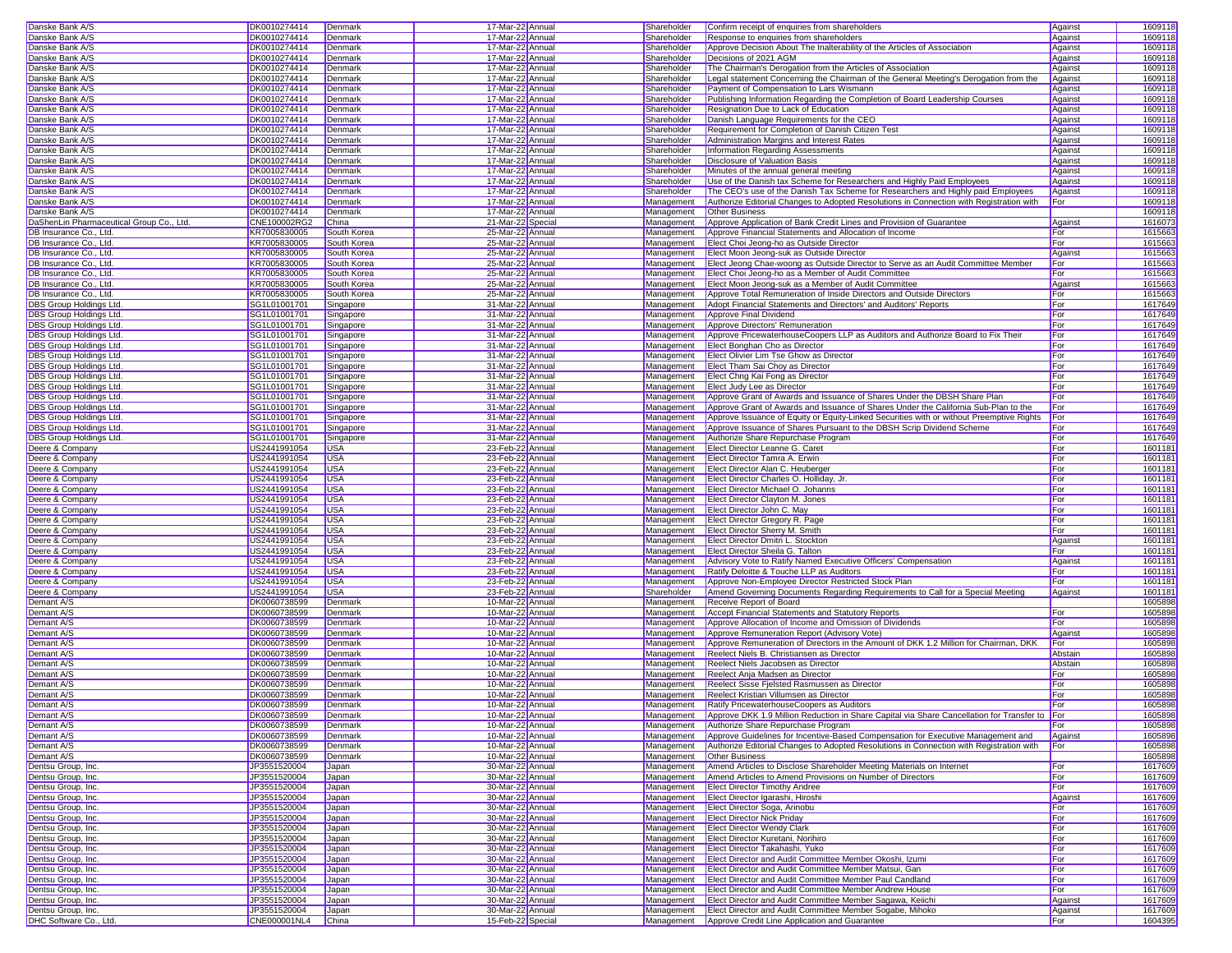| Danske Bank A/S                          | DK0010274414 | Denmark     | 17-Mar-22 Annual  | Shareholder | Confirm receipt of enquiries from shareholders                                                | Against | 1609118 |
|------------------------------------------|--------------|-------------|-------------------|-------------|-----------------------------------------------------------------------------------------------|---------|---------|
| Danske Bank A/S                          | DK0010274414 | Denmark     | 17-Mar-22 Annual  | Shareholder | Response to enquiries from shareholders                                                       | Against | 1609118 |
| Danske Bank A/S                          | DK0010274414 | Denmark     | 17-Mar-22 Annual  | Shareholder | Approve Decision About The Inalterability of the Articles of Association                      | Against | 1609118 |
| Danske Bank A/S                          | DK0010274414 | Denmark     | 17-Mar-22 Annual  | Shareholder | Decisions of 2021 AGM                                                                         | Against | 1609118 |
| Danske Bank A/S                          | DK0010274414 | Denmark     | 17-Mar-22 Annual  | Shareholder | The Chairman's Derogation from the Articles of Association                                    | Against | 1609118 |
| Danske Bank A/S                          | DK0010274414 | Denmark     | 17-Mar-22 Annual  | Shareholder | Legal statement Concerning the Chairman of the General Meeting's Derogation from the          | Against | 1609118 |
| Danske Bank A/S                          | DK0010274414 | Denmark     | 17-Mar-22 Annual  | Shareholder | Payment of Compensation to Lars Wismann                                                       | Against | 1609118 |
| Danske Bank A/S                          | DK0010274414 | Denmark     | 17-Mar-22 Annual  | Shareholder | Publishing Information Regarding the Completion of Board Leadership Courses                   | Against | 1609118 |
| Danske Bank A/S                          | DK0010274414 | Denmark     | 17-Mar-22 Annual  | Shareholder | Resignation Due to Lack of Education                                                          | Against | 1609118 |
| Danske Bank A/S                          | DK0010274414 | Denmark     | 17-Mar-22 Annual  | Shareholder | Danish Language Requirements for the CEO                                                      | Against | 1609118 |
| Danske Bank A/S                          | DK0010274414 | Denmark     | 17-Mar-22 Annual  | Shareholder | Requirement for Completion of Danish Citizen Test                                             | Against | 1609118 |
| Danske Bank A/S                          | DK0010274414 | Denmark     | 17-Mar-22 Annual  | Shareholder | Administration Margins and Interest Rates                                                     | Against | 1609118 |
| Danske Bank A/S                          | DK0010274414 | Denmark     | 17-Mar-22 Annual  | Shareholder | Information Regarding Assessments                                                             | Against | 1609118 |
| Danske Bank A/S                          | DK0010274414 | Denmark     | 17-Mar-22 Annual  | Shareholder | Disclosure of Valuation Basis                                                                 | Against | 1609118 |
| Danske Bank A/S                          | DK0010274414 | Denmark     | 17-Mar-22 Annual  | Shareholder | Minutes of the annual general meeting                                                         | Against | 1609118 |
| Danske Bank A/S                          | DK0010274414 | Denmark     | 17-Mar-22 Annual  | Shareholder | Use of the Danish tax Scheme for Researchers and Highly Paid Employees                        | Against | 1609118 |
| Danske Bank A/S                          | DK0010274414 | Denmark     | 17-Mar-22 Annual  | Shareholder | The CEO's use of the Danish Tax Scheme for Researchers and Highly paid Employees              | Against | 1609118 |
| Danske Bank A/S                          | DK0010274414 | Denmark     | 17-Mar-22 Annual  | Management  | Authorize Editorial Changes to Adopted Resolutions in Connection with Registration with       | For     | 1609118 |
| Danske Bank A/S                          | DK0010274414 | Denmark     | 17-Mar-22 Annual  | Management  | <b>Other Business</b>                                                                         |         | 1609118 |
| DaShenLin Pharmaceutical Group Co., Ltd. | CNE100002RG2 | China       | 21-Mar-22 Specia  | Management  | Approve Application of Bank Credit Lines and Provision of Guarantee                           | Against | 1616073 |
| DB Insurance Co., Ltd.                   | KR7005830005 | South Korea | 25-Mar-22 Annual  | Management  | Approve Financial Statements and Allocation of Income                                         | For     | 1615663 |
| DB Insurance Co., Ltd.                   | KR7005830005 | South Korea | 25-Mar-22 Annual  | Management  | Elect Choi Jeong-ho as Outside Director                                                       | For     | 1615663 |
| DB Insurance Co., Ltd.                   | KR7005830005 | South Korea | 25-Mar-22 Annual  | Management  | Elect Moon Jeong-suk as Outside Director                                                      | Against | 1615663 |
| DB Insurance Co., Ltd.                   | KR7005830005 | South Korea | 25-Mar-22 Annual  | Management  | Elect Jeong Chae-woong as Outside Director to Serve as an Audit Committee Member              | For     | 1615663 |
| DB Insurance Co., Ltd.                   | KR7005830005 | South Korea | 25-Mar-22 Annual  | Management  | Elect Choi Jeong-ho as a Member of Audit Committee                                            | For     | 1615663 |
| DB Insurance Co., Ltd.                   | KR7005830005 | South Korea | 25-Mar-22 Annual  | Management  | Elect Moon Jeong-suk as a Member of Audit Committee                                           | Against | 1615663 |
| DB Insurance Co., Ltd.                   | KR7005830005 | South Korea | 25-Mar-22 Annual  | Management  | Approve Total Remuneration of Inside Directors and Outside Directors                          | For     | 1615663 |
| DBS Group Holdings Ltd.                  | SG1L01001701 | Singapore   | 31-Mar-22 Annual  | Management  | Adopt Financial Statements and Directors' and Auditors' Reports                               | For     | 1617649 |
| DBS Group Holdings Ltd                   | SG1L01001701 | Singapore   | 31-Mar-22 Annual  | Management  | Approve Final Dividend                                                                        | For     | 1617649 |
| DBS Group Holdings Ltd                   | SG1L01001701 | Singapore   | 31-Mar-22 Annual  | Management  | Approve Directors' Remuneration                                                               | For     | 1617649 |
| DBS Group Holdings Ltd                   | SG1L01001701 | Singapore   | 31-Mar-22 Annual  | Management  | Approve PricewaterhouseCoopers LLP as Auditors and Authorize Board to Fix Their               | For     | 1617649 |
| DBS Group Holdings Ltd                   | SG1L01001701 | Singapore   | 31-Mar-22 Annual  | Management  | Elect Bonghan Cho as Director                                                                 | For     | 1617649 |
| <b>DBS Group Holdings Ltd.</b>           | SG1L01001701 | Singapore   | 31-Mar-22 Annual  | Management  | Elect Olivier Lim Tse Ghow as Director                                                        | For     | 1617649 |
| DBS Group Holdings Ltd.                  | SG1L01001701 | Singapore   | 31-Mar-22 Annual  | Management  | Elect Tham Sai Choy as Director                                                               | For     | 1617649 |
| <b>DBS Group Holdings Ltd</b>            | SG1L01001701 | Singapore   | 31-Mar-22 Annual  | Management  | Elect Chng Kai Fong as Director                                                               | For     | 1617649 |
| DBS Group Holdings Ltd                   | SG1L01001701 | Singapore   | 31-Mar-22 Annual  | Management  | <b>Elect Judy Lee as Director</b>                                                             | For     | 1617649 |
| DBS Group Holdings Ltd                   | SG1L01001701 | Singapore   | 31-Mar-22 Annual  | Management  | Approve Grant of Awards and Issuance of Shares Under the DBSH Share Plan                      | For     | 1617649 |
| DBS Group Holdings Ltd.                  | SG1L01001701 | Singapore   | 31-Mar-22 Annual  | Management  | Approve Grant of Awards and Issuance of Shares Under the California Sub-Plan to the           | For     | 1617649 |
| DBS Group Holdings Ltd                   | SG1L01001701 | Singapore   | 31-Mar-22 Annual  | Management  | Approve Issuance of Equity or Equity-Linked Securities with or without Preemptive Rights For  |         | 1617649 |
| DBS Group Holdings Ltd                   | SG1L01001701 | Singapore   | 31-Mar-22 Annual  | Management  | Approve Issuance of Shares Pursuant to the DBSH Scrip Dividend Scheme                         | For     | 1617649 |
| DBS Group Holdings Ltd                   | SG1L01001701 | Singapore   | 31-Mar-22 Annual  | Management  | Authorize Share Repurchase Program                                                            | For     | 1617649 |
| Deere & Company                          | US2441991054 | <b>USA</b>  | 23-Feb-22 Annual  | Management  | Elect Director Leanne G. Caret                                                                | For     | 1601181 |
| Deere & Company                          | US2441991054 | <b>USA</b>  | 23-Feb-22 Annual  | Management  | Elect Director Tamra A. Erwin                                                                 | For     | 1601181 |
| Deere & Company                          | US2441991054 | <b>USA</b>  | 23-Feb-22 Annual  | Management  | Elect Director Alan C. Heuberger                                                              | For     | 1601181 |
| Deere & Company                          | US2441991054 | <b>USA</b>  | 23-Feb-22 Annual  | Management  | Elect Director Charles O. Holliday, Jr                                                        | For     | 1601181 |
| Deere & Company                          | US2441991054 | <b>USA</b>  | 23-Feb-22 Annual  | Management  | Elect Director Michael O. Johanns                                                             | For     | 1601181 |
| Deere & Company                          | US2441991054 | <b>USA</b>  | 23-Feb-22 Annual  | Management  | Elect Director Clayton M. Jones                                                               | For     | 1601181 |
| Deere & Company                          | US2441991054 | <b>USA</b>  | 23-Feb-22 Annual  | Management  | Elect Director John C. May                                                                    | For     | 1601181 |
| Deere & Company                          | US2441991054 | <b>USA</b>  | 23-Feb-22 Annual  | Management  | Elect Director Gregory R. Page                                                                | For     | 1601181 |
| Deere & Company                          | US2441991054 | <b>USA</b>  | 23-Feb-22 Annual  | Management  | <b>Elect Director Sherry M. Smith</b>                                                         | For     | 1601181 |
| Deere & Company                          | US2441991054 | <b>USA</b>  | 23-Feb-22 Annual  | Management  | Elect Director Dmitri L. Stockton                                                             | Against | 1601181 |
| Deere & Company                          | US2441991054 | <b>USA</b>  | 23-Feb-22 Annual  | Management  | Elect Director Sheila G. Talton                                                               | For     | 1601181 |
| Deere & Company                          | US2441991054 | <b>USA</b>  | 23-Feb-22 Annual  | Management  | Advisory Vote to Ratify Named Executive Officers' Compensation                                | Against | 1601181 |
| Deere & Company                          | US2441991054 | <b>USA</b>  | 23-Feb-22 Annual  | Management  | Ratify Deloitte & Touche LLP as Auditors                                                      | For     | 1601181 |
| Deere & Company                          | US2441991054 | <b>USA</b>  | 23-Feb-22 Annual  | Management  | Approve Non-Employee Director Restricted Stock Plan                                           | For     | 1601181 |
| Deere & Company                          | US2441991054 | <b>USA</b>  | 23-Feb-22 Annual  | Shareholder | Amend Governing Documents Regarding Requirements to Call for a Special Meeting                | Against | 1601181 |
| Demant A/S                               | DK0060738599 | Denmark     | 10-Mar-22 Annual  | Management  | Receive Report of Board                                                                       |         | 1605898 |
| Demant A/S                               | DK0060738599 | Denmark     | 10-Mar-22 Annual  | Management  | <b>Accept Financial Statements and Statutory Reports</b>                                      | For     | 1605898 |
| Demant A/S                               | DK0060738599 | Denmark     | 10-Mar-22 Annual  | Management  | Approve Allocation of Income and Omission of Dividends                                        | For     | 1605898 |
| Demant A/S                               | DK0060738599 | Denmark     | 10-Mar-22 Annual  | Management  | Approve Remuneration Report (Advisory Vote)                                                   | Against | 1605898 |
| Demant A/S                               | DK0060738599 | Denmark     | 10-Mar-22 Annual  | Management  | Approve Remuneration of Directors in the Amount of DKK 1.2 Million for Chairman, DKK          | For     | 1605898 |
| Demant A/S                               | DK0060738599 | Denmark     | 10-Mar-22 Annual  | Management  | Reelect Niels B. Christiansen as Director                                                     | Abstain | 1605898 |
| Demant A/S                               | DK0060738599 | Denmark     | 10-Mar-22 Annual  | Management  | Reelect Niels Jacobsen as Director                                                            | Abstain | 1605898 |
| Demant A/S                               | DK0060738599 | Denmark     | 10-Mar-22 Annual  | Management  | Reelect Anja Madsen as Director                                                               | For     | 1605898 |
| Demant A/S                               | DK0060738599 | Denmark     | 10-Mar-22 Annual  | Management  | Reelect Sisse Fielsted Rasmussen as Director                                                  | For     | 1605898 |
| Demant A/S                               | DK0060738599 | Denmark     | 10-Mar-22 Annual  | Management  | Reelect Kristian Villumsen as Director                                                        | For     | 1605898 |
| Demant A/S                               | DK0060738599 | Denmark     | 10-Mar-22 Annual  | Management  | Ratify PricewaterhouseCoopers as Auditors                                                     | For     | 1605898 |
| Demant A/S                               | DK0060738599 | Denmark     | 10-Mar-22 Annual  | Management  | Approve DKK 1.9 Million Reduction in Share Capital via Share Cancellation for Transfer to For |         | 1605898 |
| Demant A/S                               | DK0060738599 | Denmark     | 10-Mar-22 Annual  |             | Management Authorize Share Repurchase Program                                                 | For     | 1605898 |
| Demant A/S                               | DK0060738599 | Denmark     | 10-Mar-22 Annual  | Management  | Approve Guidelines for Incentive-Based Compensation for Executive Management and              | Against | 1605898 |
| Demant A/S                               | DK0060738599 | Denmark     | 10-Mar-22 Annual  | Management  | Authorize Editorial Changes to Adopted Resolutions in Connection with Registration with       | For     | 1605898 |
| Demant A/S                               | DK0060738599 | Denmark     | 10-Mar-22 Annual  | Management  | <b>Other Business</b>                                                                         |         | 1605898 |
| Dentsu Group, Inc.                       | JP3551520004 | Japan       | 30-Mar-22 Annual  | Management  | Amend Articles to Disclose Shareholder Meeting Materials on Internet                          | For     | 1617609 |
| Dentsu Group, Inc.                       | JP3551520004 | Japan       | 30-Mar-22 Annual  | Management  | Amend Articles to Amend Provisions on Number of Directors                                     | For     | 1617609 |
| Dentsu Group, Inc.                       | JP3551520004 | Japan       | 30-Mar-22 Annual  | Management  | <b>Elect Director Timothy Andree</b>                                                          | For     | 1617609 |
| Dentsu Group, Inc.                       | JP3551520004 | Japan       | 30-Mar-22 Annual  | Management  | Elect Director Igarashi, Hiroshi                                                              | Against | 1617609 |
| Dentsu Group, Inc.                       | JP3551520004 | Japan       | 30-Mar-22 Annual  | Management  | Elect Director Soga, Arinobu                                                                  | For     | 1617609 |
| Dentsu Group, Inc.                       | JP3551520004 | Japan       | 30-Mar-22 Annual  | Management  | <b>Elect Director Nick Priday</b>                                                             | For     | 1617609 |
| Dentsu Group, Inc.                       | JP3551520004 | Japan       | 30-Mar-22 Annual  | Management  | <b>Elect Director Wendy Clark</b>                                                             | For     | 1617609 |
| Dentsu Group, Inc.                       | JP3551520004 | Japan       | 30-Mar-22 Annual  | Management  | Elect Director Kuretani, Norihiro                                                             | For     | 1617609 |
| Dentsu Group, Inc.                       | JP3551520004 | Japan       | 30-Mar-22 Annual  | Management  | Elect Director Takahashi, Yuko                                                                | For     | 1617609 |
| Dentsu Group, Inc.                       | JP3551520004 | Japan       | 30-Mar-22 Annual  | Management  | Elect Director and Audit Committee Member Okoshi, Izumi                                       | For     | 1617609 |
| Dentsu Group, Inc.                       | JP3551520004 | Japan       | 30-Mar-22 Annual  | Management  | Elect Director and Audit Committee Member Matsui, Gan                                         | For     | 1617609 |
| Dentsu Group, Inc.                       | JP3551520004 | Japan       | 30-Mar-22 Annual  | Management  | Elect Director and Audit Committee Member Paul Candland                                       | For     | 1617609 |
| Dentsu Group, Inc.                       | JP3551520004 | Japan       | 30-Mar-22 Annual  | Management  | Elect Director and Audit Committee Member Andrew House                                        | For     | 1617609 |
| Dentsu Group, Inc.                       | JP3551520004 | Japan       | 30-Mar-22 Annual  | Management  | Elect Director and Audit Committee Member Sagawa, Keiichi                                     | Against | 1617609 |
| Dentsu Group, Inc.                       | JP3551520004 | Japan       | 30-Mar-22 Annual  | Management  | Elect Director and Audit Committee Member Sogabe, Mihoko                                      | Against | 1617609 |
| DHC Software Co., Ltd.                   | CNE000001NL4 | China       | 15-Feb-22 Special |             | Management   Approve Credit Line Application and Guarantee                                    | For     | 1604395 |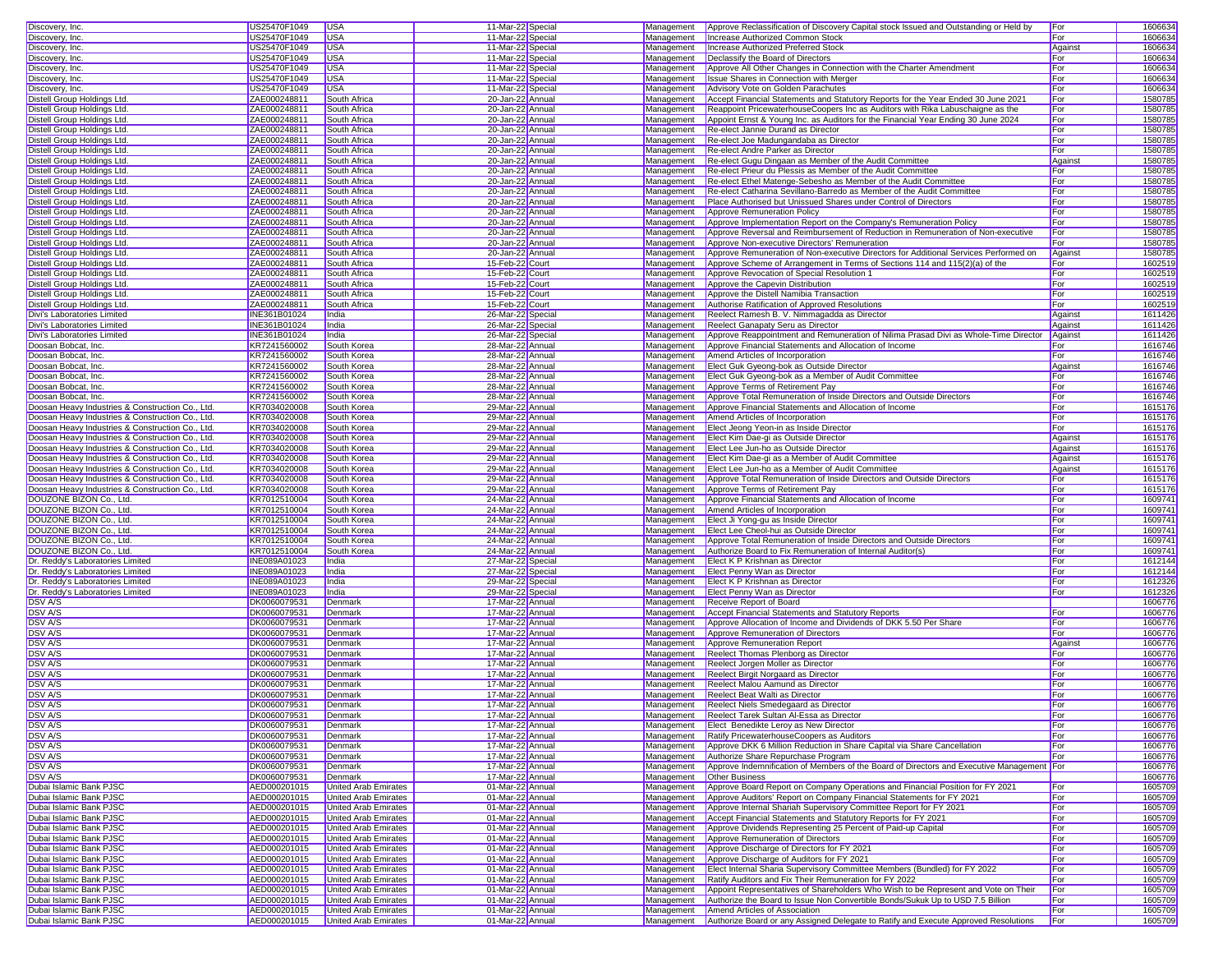| Discovery, Inc.                                                               | US25470F1049 | <b>USA</b>                  | 11-Mar-22 Special | Management | Approve Reclassification of Discovery Capital stock Issued and Outstanding or Held by                                           | For     | 1606634 |
|-------------------------------------------------------------------------------|--------------|-----------------------------|-------------------|------------|---------------------------------------------------------------------------------------------------------------------------------|---------|---------|
| Discovery, Inc.                                                               | US25470F1049 | <b>USA</b>                  | 11-Mar-22 Special | Management | Increase Authorized Common Stock                                                                                                | For     | 1606634 |
| Discovery, Inc.                                                               | US25470F1049 | <b>USA</b>                  | 11-Mar-22 Special | Management | <b>Increase Authorized Preferred Stock</b>                                                                                      | Against | 1606634 |
| Discovery, Inc.                                                               | US25470F1049 | <b>USA</b>                  | 11-Mar-22 Special | Management | Declassify the Board of Directors                                                                                               | For     | 1606634 |
|                                                                               |              |                             |                   |            |                                                                                                                                 |         |         |
| Discovery, Inc.                                                               | US25470F1049 | <b>USA</b>                  | 11-Mar-22 Specia  | Management | Approve All Other Changes in Connection with the Charter Amendment                                                              | For     | 1606634 |
| Discovery, Inc.                                                               | US25470F1049 | <b>USA</b>                  | 11-Mar-22 Special | Management | <b>Issue Shares in Connection with Merger</b>                                                                                   | For     | 1606634 |
| Discovery, Inc.                                                               | US25470F1049 | USA                         | 11-Mar-22 Special | Management | Advisory Vote on Golden Parachutes                                                                                              | For     | 1606634 |
| Distell Group Holdings Ltd.                                                   | ZAE000248811 | South Africa                | 20-Jan-22 Annual  | Management | Accept Financial Statements and Statutory Reports for the Year Ended 30 June 2021                                               | For     | 1580785 |
| Distell Group Holdings Ltd.                                                   | ZAE000248811 | South Africa                | 20-Jan-22 Annual  | Management | Reappoint PricewaterhouseCoopers Inc as Auditors with Rika Labuschaigne as the                                                  | For     | 1580785 |
|                                                                               |              |                             |                   |            |                                                                                                                                 |         |         |
| Distell Group Holdings Ltd.                                                   | ZAE000248811 | South Africa                | 20-Jan-22 Annual  | Management | Appoint Ernst & Young Inc. as Auditors for the Financial Year Ending 30 June 2024                                               | For     | 1580785 |
| Distell Group Holdings Ltd.                                                   | ZAE000248811 | South Africa                | 20-Jan-22 Annual  | Management | Re-elect Jannie Durand as Director                                                                                              | For     | 1580785 |
| Distell Group Holdings Ltd.                                                   | ZAE000248811 | South Africa                | 20-Jan-22 Annual  | Management | Re-elect Joe Madungandaba as Director                                                                                           | For     | 1580785 |
| Distell Group Holdings Ltd.                                                   | ZAE000248811 | South Africa                | 20-Jan-22 Annual  | Management | Re-elect Andre Parker as Director                                                                                               | For     | 1580785 |
| Distell Group Holdings Ltd.                                                   | ZAE000248811 | South Africa                | 20-Jan-22 Annual  | Management | Re-elect Gugu Dingaan as Member of the Audit Committee                                                                          | Against | 1580785 |
|                                                                               |              |                             |                   |            |                                                                                                                                 |         |         |
| Distell Group Holdings Ltd.                                                   | ZAE000248811 | South Africa                | 20-Jan-22 Annual  | Management | Re-elect Prieur du Plessis as Member of the Audit Committee                                                                     | For     | 1580785 |
| Distell Group Holdings Ltd.                                                   | ZAE000248811 | South Africa                | 20-Jan-22 Annual  | Management | Re-elect Ethel Matenge-Sebesho as Member of the Audit Committee                                                                 | For     | 1580785 |
| Distell Group Holdings Ltd.                                                   | ZAE000248811 | South Africa                | 20-Jan-22 Annual  | Management | Re-elect Catharina Sevillano-Barredo as Member of the Audit Committee                                                           | For     | 1580785 |
| Distell Group Holdings Ltd.                                                   | ZAE000248811 | South Africa                | 20-Jan-22 Annual  | Management | Place Authorised but Unissued Shares under Control of Directors                                                                 | For     | 1580785 |
| Distell Group Holdinas Ltd.                                                   | ZAE000248811 | South Africa                | 20-Jan-22 Annual  | Management | Approve Remuneration Policy                                                                                                     | For     | 1580785 |
| Distell Group Holdings Ltd.                                                   | ZAE000248811 | South Africa                | 20-Jan-22 Annual  | Management | Approve Implementation Report on the Company's Remuneration Policy                                                              | For     | 1580785 |
|                                                                               |              |                             |                   |            |                                                                                                                                 |         |         |
| Distell Group Holdings Ltd.                                                   | ZAE000248811 | South Africa                | 20-Jan-22 Annual  | Management | Approve Reversal and Reimbursement of Reduction in Remuneration of Non-executive                                                | For     | 1580785 |
| Distell Group Holdings Ltd.                                                   | ZAE000248811 | South Africa                | 20-Jan-22 Annual  | Management | Approve Non-executive Directors' Remuneration                                                                                   | For     | 1580785 |
| Distell Group Holdings Ltd.                                                   | ZAE000248811 | South Africa                | 20-Jan-22 Annual  | Management | Approve Remuneration of Non-executive Directors for Additional Services Performed on                                            | Against | 1580785 |
| Distell Group Holdings Ltd.                                                   | ZAE000248811 | South Africa                | 15-Feb-22 Court   | Management | Approve Scheme of Arrangement in Terms of Sections 114 and 115(2)(a) of the                                                     | For     | 1602519 |
| Distell Group Holdings Ltd.                                                   | ZAE000248811 | South Africa                | 15-Feb-22 Court   | Management | Approve Revocation of Special Resolution 1                                                                                      | For     | 1602519 |
|                                                                               |              |                             |                   |            |                                                                                                                                 |         |         |
| Distell Group Holdings Ltd.                                                   | ZAE000248811 | South Africa                | 15-Feb-22 Court   | Management | Approve the Capevin Distribution                                                                                                | For     | 1602519 |
| Distell Group Holdings Ltd.                                                   | ZAE000248811 | South Africa                | 15-Feb-22 Court   | Management | Approve the Distell Namibia Transaction                                                                                         | For     | 1602519 |
| Distell Group Holdings Ltd.                                                   | ZAE000248811 | South Africa                | 15-Feb-22 Court   | Management | Authorise Ratification of Approved Resolutions                                                                                  | For     | 1602519 |
| Divi's Laboratories Limited                                                   | INE361B01024 | India                       | 26-Mar-22 Specia  | Management | Reelect Ramesh B. V. Nimmagadda as Director                                                                                     | Agains  | 1611426 |
| Divi's Laboratories Limited                                                   | INE361B01024 | India                       | 26-Mar-22 Specia  | Management | Reelect Ganapaty Seru as Director                                                                                               | Against | 1611426 |
| Divi's Laboratories Limited                                                   | INE361B01024 | India                       |                   |            |                                                                                                                                 |         | 1611426 |
|                                                                               |              |                             | 26-Mar-22 Specia  | Management | Approve Reappointment and Remuneration of Nilima Prasad Divi as Whole-Time Director                                             | Against |         |
| Doosan Bobcat, Inc.                                                           | KR7241560002 | South Korea                 | 28-Mar-22 Annual  | Management | Approve Financial Statements and Allocation of Income                                                                           | For     | 1616746 |
| Doosan Bobcat, Inc.                                                           | KR7241560002 | South Korea                 | 28-Mar-22 Annual  | Management | Amend Articles of Incorporation                                                                                                 | For     | 1616746 |
| Doosan Bobcat, Inc.                                                           | KR7241560002 | South Korea                 | 28-Mar-22 Annual  | Management | Elect Guk Gveong-bok as Outside Director                                                                                        | Against | 1616746 |
| Doosan Bobcat, Inc.                                                           | KR7241560002 | South Korea                 | 28-Mar-22 Annual  | Management | Elect Guk Gyeong-bok as a Member of Audit Committee                                                                             | For     | 1616746 |
| Doosan Bobcat, Inc.                                                           | KR7241560002 | South Korea                 | 28-Mar-22 Annual  | Management | Approve Terms of Retirement Pay                                                                                                 | For     | 1616746 |
|                                                                               |              |                             |                   |            |                                                                                                                                 |         |         |
| Doosan Bobcat, Inc.                                                           | KR7241560002 | South Korea                 | 28-Mar-22 Annual  | Management | Approve Total Remuneration of Inside Directors and Outside Directors                                                            | For     | 1616746 |
| Doosan Heavy Industries & Construction Co., Ltd.                              | KR7034020008 | South Korea                 | 29-Mar-22 Annual  | Management | Approve Financial Statements and Allocation of Income                                                                           | For     | 1615176 |
| Doosan Heavy Industries & Construction Co., Ltd.                              | KR7034020008 | South Korea                 | 29-Mar-22 Annual  | Management | Amend Articles of Incorporation                                                                                                 | For     | 1615176 |
| Doosan Heavy Industries & Construction Co., Ltd.                              | KR7034020008 | South Korea                 | 29-Mar-22 Annual  | Management | Elect Jeong Yeon-in as Inside Director                                                                                          | For     | 1615176 |
| Doosan Heavy Industries & Construction Co., Ltd.                              | KR7034020008 | South Korea                 | 29-Mar-22 Annual  | Management | Elect Kim Dae-gi as Outside Director                                                                                            | Against | 1615176 |
| Doosan Heavy Industries & Construction Co., Ltd.                              | KR7034020008 | South Korea                 | 29-Mar-22 Annual  | Management | Elect Lee Jun-ho as Outside Director                                                                                            | Against | 1615176 |
|                                                                               |              |                             |                   |            |                                                                                                                                 |         |         |
| Doosan Heavy Industries & Construction Co., Ltd.                              | KR7034020008 | South Korea                 | 29-Mar-22 Annual  | Management | Elect Kim Dae-gi as a Member of Audit Committee                                                                                 | Against | 1615176 |
| Doosan Heavy Industries & Construction Co., Ltd.                              | KR7034020008 | South Korea                 | 29-Mar-22 Annual  | Management | Elect Lee Jun-ho as a Member of Audit Committee                                                                                 | Against | 1615176 |
| Doosan Heavy Industries & Construction Co., Ltd.                              | KR7034020008 | South Korea                 | 29-Mar-22 Annual  | Management | Approve Total Remuneration of Inside Directors and Outside Directors                                                            | For     | 1615176 |
| Doosan Heavy Industries & Construction Co., Ltd.                              | KR7034020008 | South Korea                 | 29-Mar-22 Annual  | Management | Approve Terms of Retirement Pay                                                                                                 | For     | 1615176 |
| DOUZONE BIZON Co., Ltd.                                                       | KR7012510004 | South Korea                 | 24-Mar-22 Annual  | Management | Approve Financial Statements and Allocation of Income                                                                           | For     | 1609741 |
|                                                                               |              |                             |                   |            |                                                                                                                                 |         |         |
| DOUZONE BIZON Co., Ltd.                                                       | KR7012510004 | South Korea                 | 24-Mar-22 Annual  | Management | Amend Articles of Incorporation                                                                                                 | For     | 1609741 |
| DOUZONE BIZON Co., Ltd.                                                       | KR7012510004 | South Korea                 | 24-Mar-22 Annual  | Management | Elect Ji Yong-gu as Inside Director                                                                                             | For     | 1609741 |
| DOUZONE BIZON Co., Ltd.                                                       | KR7012510004 | South Korea                 | 24-Mar-22 Annual  | Management | Elect Lee Cheol-hui as Outside Director                                                                                         | For     | 1609741 |
| DOUZONE BIZON Co., Ltd.                                                       | KR7012510004 | South Korea                 | 24-Mar-22 Annual  | Management | Approve Total Remuneration of Inside Directors and Outside Directors                                                            | For     | 1609741 |
| DOUZONE BIZON Co., Ltd.                                                       | KR7012510004 | South Korea                 | 24-Mar-22 Annual  | Management | Authorize Board to Fix Remuneration of Internal Auditor(s)                                                                      | For     | 1609741 |
| Dr. Reddy's Laboratories Limited                                              | INE089A01023 | India                       | 27-Mar-22 Special |            | Management <b>Elect K P Krishnan as Director</b>                                                                                | For     | 1612144 |
|                                                                               |              |                             |                   |            |                                                                                                                                 |         |         |
| Dr. Reddy's Laboratories Limited                                              | INE089A01023 | India                       | 27-Mar-22 Special | Management | <b>Elect Penny Wan as Director</b>                                                                                              | For     | 1612144 |
| Dr. Reddy's Laboratories Limited                                              | INE089A01023 | India                       | 29-Mar-22 Specia  | Management | Elect K P Krishnan as Director                                                                                                  | For     | 1612326 |
| Dr. Reddy's Laboratories Limited                                              | INE089A01023 | India                       | 29-Mar-22 Specia  | Management | Elect Penny Wan as Director                                                                                                     | For     | 1612326 |
| DSV A/S                                                                       | DK0060079531 | Denmark                     | 17-Mar-22 Annual  | Management | Receive Report of Board                                                                                                         |         | 1606776 |
| DSV A/S                                                                       | DK0060079531 | Denmark                     | 17-Mar-22 Annual  | Management | Accept Financial Statements and Statutory Reports                                                                               | For     | 1606776 |
| DSV A/S                                                                       | DK0060079531 | Denmark                     | 17-Mar-22 Annual  | Management | Approve Allocation of Income and Dividends of DKK 5.50 Per Share                                                                | For     | 1606776 |
|                                                                               |              |                             |                   |            |                                                                                                                                 |         |         |
| DSV A/S                                                                       | DK0060079531 | Denmark                     | 17-Mar-22 Annual  | Management | Approve Remuneration of Directors                                                                                               | For     | 1606776 |
| DSV A/S                                                                       | DK0060079531 | Denmark                     | 17-Mar-22 Annual  | Management | Approve Remuneration Report                                                                                                     | Against | 1606776 |
| DSV A/S                                                                       | DK0060079531 | Denmark                     | 17-Mar-22 Annual  | Management | Reelect Thomas Plenborg as Director                                                                                             | For     | 1606776 |
| DSV A/S                                                                       | DK0060079531 | Denmark                     | 17-Mar-22 Annual  | Management | Reelect Jorgen Moller as Director                                                                                               | For     | 1606776 |
| DSV A/S                                                                       | DK0060079531 | Denmark                     | 17-Mar-22 Annual  | Management | Reelect Birgit Norgaard as Director                                                                                             | For     | 1606776 |
| DSV A/S                                                                       | DK0060079531 | Denmark                     | 17-Mar-22 Annual  | Management | Reelect Malou Aamund as Director                                                                                                | For     | 1606776 |
|                                                                               | DK0060079531 | Denmark                     | 17-Mar-22 Annual  | Management |                                                                                                                                 | For     | 1606776 |
| DSV A/S                                                                       |              |                             |                   |            | Reelect Beat Walti as Director                                                                                                  |         |         |
| DSV A/S                                                                       | DK0060079531 | Denmark                     | 17-Mar-22 Annual  | Management | Reelect Niels Smedegaard as Director                                                                                            | For     | 1606776 |
| DSV A/S                                                                       | DK0060079531 | Denmark                     | 17-Mar-22 Annual  | Management | Reelect Tarek Sultan Al-Essa as Director                                                                                        | For     | 1606776 |
| DSV A/S                                                                       | DK0060079531 | Denmark                     | 17-Mar-22 Annual  |            | Management <b>Elect Benedikte Leroy as New Director</b>                                                                         | For     | 1606776 |
| DSV A/S                                                                       | DK0060079531 | Denmark                     | 17-Mar-22 Annual  | Management | Ratify PricewaterhouseCoopers as Auditors                                                                                       | For     | 1606776 |
| DSV A/S                                                                       | DK0060079531 | Denmark                     | 17-Mar-22 Annual  | Management | Approve DKK 6 Million Reduction in Share Capital via Share Cancellation                                                         | For     | 1606776 |
| DSV A/S                                                                       | DK0060079531 | Denmark                     | 17-Mar-22 Annual  | Management | Authorize Share Repurchase Program                                                                                              | For     | 1606776 |
|                                                                               |              |                             |                   |            |                                                                                                                                 |         |         |
| DSV A/S                                                                       | DK0060079531 | Denmark                     | 17-Mar-22 Annual  | Management | Approve Indemnification of Members of the Board of Directors and Executive Management For                                       |         | 1606776 |
| DSV A/S                                                                       | DK0060079531 | Denmark                     | 17-Mar-22 Annual  | Management | <b>Other Business</b>                                                                                                           |         | 1606776 |
| Dubai Islamic Bank PJSC                                                       | AED000201015 | <b>United Arab Emirates</b> | 01-Mar-22 Annual  | Management | Approve Board Report on Company Operations and Financial Position for FY 2021                                                   | For     | 1605709 |
| Dubai Islamic Bank PJSC                                                       | AED000201015 | United Arab Emirates        | 01-Mar-22 Annual  | Management | Approve Auditors' Report on Company Financial Statements for FY 2021                                                            | For     | 1605709 |
| Dubai Islamic Bank PJSC                                                       | AED000201015 | United Arab Emirates        | 01-Mar-22 Annual  | Management | Approve Internal Shariah Supervisory Committee Report for FY 2021                                                               | For     | 1605709 |
| Dubai Islamic Bank PJSC                                                       | AED000201015 | <b>United Arab Emirates</b> | 01-Mar-22 Annual  | Management | Accept Financial Statements and Statutory Reports for FY 2021                                                                   | For     | 1605709 |
|                                                                               |              |                             |                   |            |                                                                                                                                 |         |         |
| Dubai Islamic Bank PJSC                                                       | AED000201015 | <b>United Arab Emirates</b> | 01-Mar-22 Annual  | Management | Approve Dividends Representing 25 Percent of Paid-up Capital                                                                    | For     | 1605709 |
| Dubai Islamic Bank PJSC                                                       | AED000201015 | United Arab Emirates        | 01-Mar-22 Annual  | Management | Approve Remuneration of Directors                                                                                               | For     | 1605709 |
| Dubai Islamic Bank PJSC                                                       | AED000201015 | United Arab Emirates        | 01-Mar-22 Annual  | Management | Approve Discharge of Directors for FY 2021                                                                                      | For     | 1605709 |
|                                                                               |              |                             |                   |            |                                                                                                                                 | For     | 1605709 |
|                                                                               | AED000201015 | United Arab Emirates        |                   | Management | Approve Discharge of Auditors for FY 2021                                                                                       |         |         |
|                                                                               |              |                             | 01-Mar-22 Annual  |            |                                                                                                                                 |         |         |
|                                                                               | AED000201015 | United Arab Emirates        | 01-Mar-22 Annual  | Management | Elect Internal Sharia Supervisory Committee Members (Bundled) for FY 2022                                                       | For     | 1605709 |
| Dubai Islamic Bank PJSC<br>Dubai Islamic Bank PJSC<br>Dubai Islamic Bank PJSC | AED000201015 | United Arab Emirates        | 01-Mar-22 Annual  | Management | Ratify Auditors and Fix Their Remuneration for FY 2022                                                                          | For     | 1605709 |
| Dubai Islamic Bank PJSC                                                       | AED000201015 | <b>United Arab Emirates</b> | 01-Mar-22 Annual  | Management | Appoint Representatives of Shareholders Who Wish to be Represent and Vote on Their                                              | For     | 1605709 |
| Dubai Islamic Bank PJSC                                                       | AED000201015 | <b>United Arab Emirates</b> | 01-Mar-22 Annual  | Management | Authorize the Board to Issue Non Convertible Bonds/Sukuk Up to USD 7.5 Billion                                                  | For     | 1605709 |
| Dubai Islamic Bank PJSC                                                       | AED000201015 | United Arab Emirates        | 01-Mar-22 Annual  | Management | Amend Articles of Association<br>Management Authorize Board or any Assigned Delegate to Ratify and Execute Approved Resolutions | For     | 1605709 |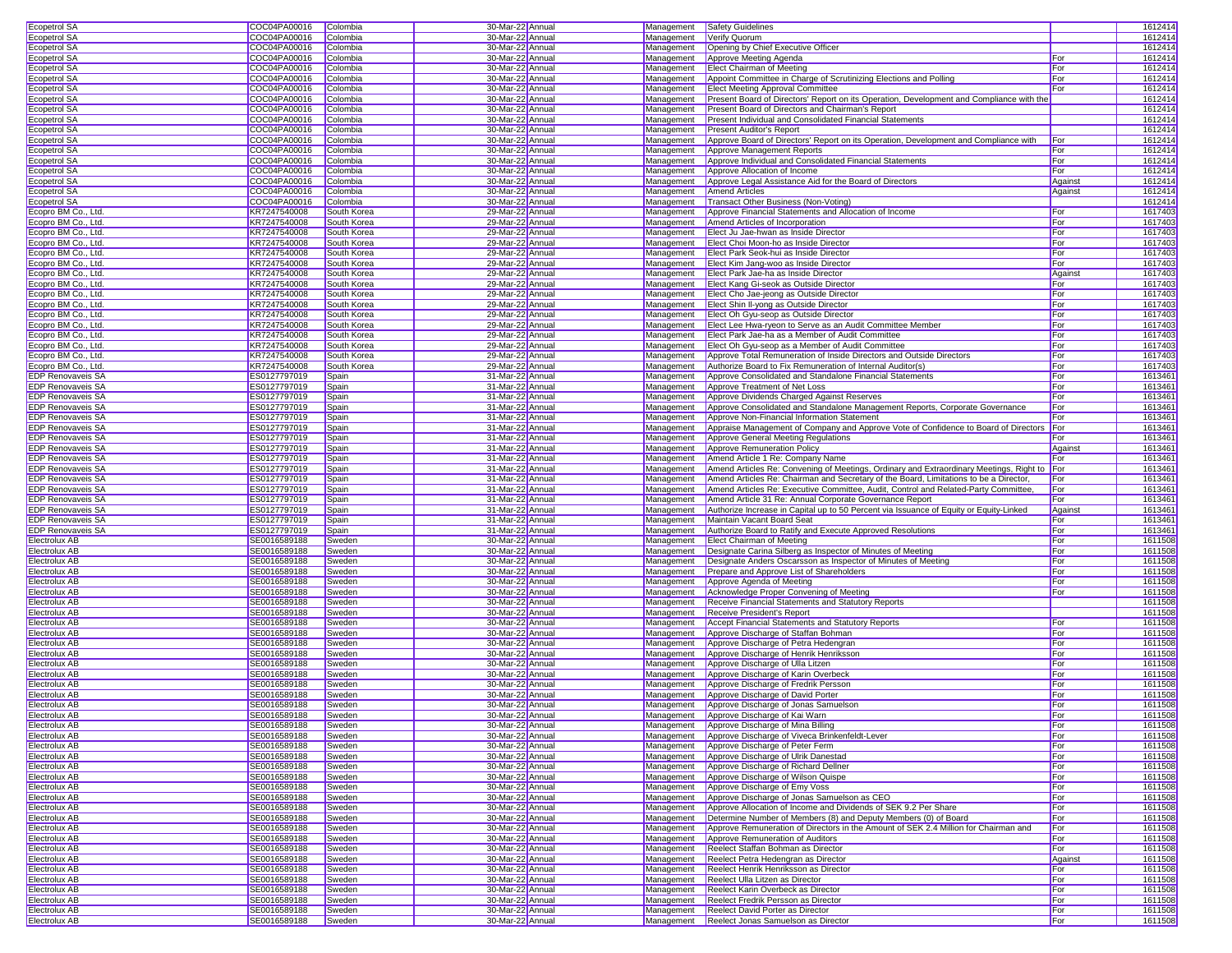| <b>Ecopetrol SA</b>            | COC04PA00016                 | Colombia         | 30-Mar-22 Annual                     |                   | Management Safety Guidelines                                                                |            | 1612414            |  |
|--------------------------------|------------------------------|------------------|--------------------------------------|-------------------|---------------------------------------------------------------------------------------------|------------|--------------------|--|
| Ecopetrol SA                   | COC04PA00016                 | Colombia         | 30-Mar-22 Annual                     | Management        | Verify Quorum                                                                               |            | 1612414            |  |
| Ecopetrol SA                   | COC04PA00016                 | Colombia         | 30-Mar-22 Annual                     | Management        | Opening by Chief Executive Officer                                                          |            | 1612414            |  |
| Ecopetrol SA                   | COC04PA00016                 | Colombia         | 30-Mar-22 Annual                     | Management        | Approve Meeting Agenda                                                                      | For        | 1612414            |  |
| <b>Ecopetrol SA</b>            | COC04PA00016                 | Colombia         | 30-Mar-22 Annual                     | Management        | <b>Elect Chairman of Meeting</b>                                                            | For        | 1612414            |  |
| <b>Ecopetrol SA</b>            | COC04PA00016                 | Colombia         | 30-Mar-22 Annual                     | Management        | Appoint Committee in Charge of Scrutinizing Elections and Polling                           | For        | 1612414            |  |
| Ecopetrol SA                   | COC04PA00016                 | Colombia         | 30-Mar-22 Annual                     | Management        | <b>Elect Meeting Approval Committee</b>                                                     | For        | 1612414            |  |
|                                |                              |                  |                                      |                   |                                                                                             |            |                    |  |
| <b>Ecopetrol SA</b>            | COC04PA00016                 | Colombia         | 30-Mar-22 Annual                     | Management        | Present Board of Directors' Report on its Operation, Development and Compliance with the    |            | 1612414            |  |
| Ecopetrol SA                   | COC04PA00016                 | Colombia         | 30-Mar-22 Annual                     | Management        | Present Board of Directors and Chairman's Report                                            |            | 1612414            |  |
| Ecopetrol SA                   | COC04PA00016                 | Colombia         | 30-Mar-22 Annual                     | Management        | Present Individual and Consolidated Financial Statements                                    |            | 1612414            |  |
| <b>Ecopetrol SA</b>            | COC04PA00016                 | Colombia         | 30-Mar-22 Annual                     | <b>Management</b> | <b>Present Auditor's Report</b>                                                             |            | 1612414            |  |
| Ecopetrol SA                   | COC04PA00016                 | Colombia         | 30-Mar-22 Annual                     | Management        | Approve Board of Directors' Report on its Operation, Development and Compliance with        | For        | 1612414            |  |
| Ecopetrol SA                   | COC04PA00016                 | Colombia         | 30-Mar-22 Annual                     | Management        | Approve Management Reports                                                                  | For        | 1612414            |  |
| Ecopetrol SA                   | COC04PA00016                 | Colombia         | 30-Mar-22 Annual                     | Management        | Approve Individual and Consolidated Financial Statements                                    | For        | 1612414            |  |
| Ecopetrol SA                   | COC04PA00016                 | Colombia         | 30-Mar-22 Annual                     | Management        | Approve Allocation of Income                                                                | For        | 1612414            |  |
|                                |                              |                  |                                      |                   |                                                                                             |            |                    |  |
| Ecopetrol SA                   | COC04PA00016                 | Colombia         | 30-Mar-22 Annual                     | Management        | Approve Legal Assistance Aid for the Board of Directors                                     | Against    | 1612414            |  |
| Ecopetrol SA                   | COC04PA00016                 | Colombia         | 30-Mar-22 Annual                     | Management        | <b>Amend Articles</b>                                                                       | Against    | 1612414            |  |
| Ecopetrol SA                   | COC04PA00016                 | Colombia         | 30-Mar-22 Annual                     | Management        | Transact Other Business (Non-Voting)                                                        |            | 1612414            |  |
| Ecopro BM Co., Ltd.            | KR7247540008                 | South Korea      | 29-Mar-22 Annual                     | Management        | Approve Financial Statements and Allocation of Income                                       | For        | 1617403            |  |
| Ecopro BM Co., Ltd.            | KR7247540008                 | South Korea      | 29-Mar-22 Annual                     | Management        | Amend Articles of Incorporation                                                             | For        | 1617403            |  |
| Ecopro BM Co., Ltd             | KR7247540008                 | South Korea      | 29-Mar-22 Annual                     | Management        | Elect Ju Jae-hwan as Inside Director                                                        | For        | 1617403            |  |
| Ecopro BM Co., Ltd.            | KR7247540008                 | South Korea      | 29-Mar-22 Annual                     | Management        | Elect Choi Moon-ho as Inside Director                                                       | For        | 1617403            |  |
| Ecopro BM Co., Ltd.            | KR7247540008                 | South Korea      | 29-Mar-22 Annual                     | Management        | Elect Park Seok-hui as Inside Director                                                      | For        | 1617403            |  |
|                                |                              |                  |                                      |                   |                                                                                             | For        |                    |  |
| Ecopro BM Co., Ltd.            | KR7247540008                 | South Korea      | 29-Mar-22 Annual                     | Management        | Elect Kim Jang-woo as Inside Director                                                       |            | 1617403            |  |
| Ecopro BM Co., Ltd.            | KR7247540008                 | South Korea      | 29-Mar-22 Annual                     | Management        | Elect Park Jae-ha as Inside Director                                                        | Against    | 1617403            |  |
| Ecopro BM Co., Ltd.            | KR7247540008                 | South Korea      | 29-Mar-22 Annual                     | Management        | Elect Kang Gi-seok as Outside Director                                                      | For        | 1617403            |  |
| Ecopro BM Co., Ltd.            | KR7247540008                 | South Korea      | 29-Mar-22 Annual                     | Management        | Elect Cho Jae-jeong as Outside Director                                                     | For        | 1617403            |  |
| Ecopro BM Co., Ltd.            | KR7247540008                 | South Korea      | 29-Mar-22 Annual                     | Management        | Elect Shin Il-yong as Outside Director                                                      | For        | 1617403            |  |
| Ecopro BM Co., Ltd.            | KR7247540008                 | South Korea      | 29-Mar-22 Annual                     | Management        | Elect Oh Gyu-seop as Outside Director                                                       | For        | 1617403            |  |
| Ecopro BM Co., Ltd.            | KR7247540008                 | South Korea      | 29-Mar-22 Annual                     | Management        | Elect Lee Hwa-ryeon to Serve as an Audit Committee Member                                   | For        | 1617403            |  |
| Ecopro BM Co., Ltd             | KR7247540008                 | South Korea      | 29-Mar-22 Annual                     | Management        | Elect Park Jae-ha as a Member of Audit Committee                                            | For        | 1617403            |  |
| Ecopro BM Co., Ltd.            | KR7247540008                 | South Korea      | 29-Mar-22 Annual                     | Management        | Elect Oh Gyu-seop as a Member of Audit Committee                                            | For        | 1617403            |  |
|                                |                              |                  |                                      |                   |                                                                                             |            |                    |  |
| Ecopro BM Co., Ltd.            | KR7247540008                 | South Korea      | 29-Mar-22 Annual                     | Management        | Approve Total Remuneration of Inside Directors and Outside Directors                        | For        | 1617403            |  |
| Ecopro BM Co., Ltd.            | KR7247540008                 | South Korea      | 29-Mar-22 Annual                     | Management        | Authorize Board to Fix Remuneration of Internal Auditor(s)                                  | For        | 1617403            |  |
| EDP Renovaveis SA              | ES0127797019                 | Spain            | 31-Mar-22 Annual                     | Management        | Approve Consolidated and Standalone Financial Statements                                    | For        | 1613461            |  |
| <b>EDP Renovaveis SA</b>       | ES0127797019                 | Spain            | 31-Mar-22 Annual                     | Management        | Approve Treatment of Net Loss                                                               | For        | 1613461            |  |
| EDP Renovaveis SA              | ES0127797019                 | Spain            | 31-Mar-22 Annual                     | Management        | Approve Dividends Charged Against Reserves                                                  | For        | 1613461            |  |
| <b>EDP Renovaveis SA</b>       | ES0127797019                 | Spain            | 31-Mar-22 Annual                     | Management        | Approve Consolidated and Standalone Management Reports, Corporate Governance                | For        | 1613461            |  |
| <b>EDP</b> Renovaveis SA       | ES0127797019                 | Spain            | 31-Mar-22 Annual                     | Management        | Approve Non-Financial Information Statement                                                 | For        | 1613461            |  |
| <b>EDP Renovaveis SA</b>       | ES0127797019                 | Spain            | 31-Mar-22 Annual                     | Management        | Appraise Management of Company and Approve Vote of Confidence to Board of Directors For     |            | 1613461            |  |
|                                |                              |                  |                                      |                   |                                                                                             |            |                    |  |
| <b>EDP Renovaveis SA</b>       | ES0127797019                 | Spain            | 31-Mar-22 Annual                     | Management        | Approve General Meeting Regulations                                                         | For        | 1613461            |  |
| <b>EDP Renovaveis SA</b>       | ES0127797019                 | Spain            | 31-Mar-22 Annual                     | Management        | Approve Remuneration Policy                                                                 | Against    | 161346             |  |
| <b>EDP Renovaveis SA</b>       | ES0127797019                 | Spain            | 31-Mar-22 Annual                     | Management        | Amend Article 1 Re: Company Name                                                            | For        | 161346             |  |
| EDP Renovaveis SA              | ES0127797019                 | Spain            | 31-Mar-22 Annual                     | Management        | Amend Articles Re: Convening of Meetings, Ordinary and Extraordinary Meetings, Right to For |            | 1613461            |  |
| EDP Renovaveis SA              | ES0127797019                 | Spain            | 31-Mar-22 Annual                     | Management        | Amend Articles Re: Chairman and Secretary of the Board, Limitations to be a Director,       | For        | 1613461            |  |
| <b>EDP Renovaveis SA</b>       | ES0127797019                 | Spain            | 31-Mar-22 Annual                     | Management        | Amend Articles Re: Executive Committee, Audit, Control and Related-Party Committee,         | For        | 1613461            |  |
| <b>EDP Renovaveis SA</b>       | ES0127797019                 | Spain            | 31-Mar-22 Annual                     | Management        | Amend Article 31 Re: Annual Corporate Governance Report                                     | For        | 1613461            |  |
| <b>EDP Renovaveis SA</b>       | ES0127797019                 | Spain            | 31-Mar-22 Annual                     | Management        | Authorize Increase in Capital up to 50 Percent via Issuance of Equity or Equity-Linked      | Against    | 1613461            |  |
|                                |                              |                  |                                      |                   |                                                                                             |            |                    |  |
| <b>EDP Renovaveis SA</b>       | ES0127797019                 | Spain            | 31-Mar-22 Annual                     | Management        | Maintain Vacant Board Seat                                                                  | For        | 1613461            |  |
| <b>EDP Renovaveis SA</b>       | ES0127797019                 | Spain            | 31-Mar-22 Annual                     | Management        | Authorize Board to Ratify and Execute Approved Resolutions                                  | For        | 1613461            |  |
| Electrolux AB                  | SE0016589188                 | Sweden           | 30-Mar-22 Annual                     | Management        | <b>Elect Chairman of Meeting</b>                                                            | For        | 1611508            |  |
| Electrolux AB                  | SE0016589188                 | Sweden           | 30-Mar-22 Annual                     | Management        | Designate Carina Silberg as Inspector of Minutes of Meeting                                 | For        | 1611508            |  |
| Electrolux AB                  | SE0016589188                 | Sweden           | 30-Mar-22 Annual                     | Management        | Designate Anders Oscarsson as Inspector of Minutes of Meeting                               | For        | 1611508            |  |
| Electrolux AB                  | SE0016589188                 | Sweden           | 30-Mar-22 Annual                     | Management        | Prepare and Approve List of Shareholders                                                    | For        | 1611508            |  |
| Electrolux AB                  | SE0016589188                 | Sweden           | 30-Mar-22 Annual                     | Management        | Approve Agenda of Meeting                                                                   | For        | 1611508            |  |
| Electrolux AB                  | SE0016589188                 | Sweden           | 30-Mar-22 Annual                     | Management        | Acknowledge Proper Convening of Meeting                                                     | For        | 1611508            |  |
| Electrolux AB                  | SE0016589188                 | Sweden           | 30-Mar-22 Annual                     | Management        | Receive Financial Statements and Statutory Reports                                          |            | 1611508            |  |
|                                |                              |                  |                                      |                   |                                                                                             |            |                    |  |
| Electrolux AB                  | SE0016589188                 | Sweden           | 30-Mar-22 Annual                     | Management        | Receive President's Report                                                                  |            | 1611508            |  |
| Electrolux AB                  | SE0016589188                 | Sweden           | 30-Mar-22 Annual                     | Management        | Accept Financial Statements and Statutory Reports                                           | For        | 1611508            |  |
| Electrolux AB                  | SE0016589188                 | Sweden           | 30-Mar-22 Annual                     | Management        | Approve Discharge of Staffan Bohman                                                         | For        | 1611508            |  |
| Electrolux AB                  | SE0016589188                 | Sweden           | 30-Mar-22 Annual                     | Management        | Approve Discharge of Petra Hedengran                                                        | For        | 1611508            |  |
| Electrolux AB                  | SE0016589188                 | Sweden           | 30-Mar-22 Annual                     | Management        | Approve Discharge of Henrik Henriksson                                                      | For        | 1611508            |  |
| Electrolux AB                  | SE0016589188                 | Sweden           | 30-Mar-22 Annual                     | Management        | Approve Discharge of Ulla Litzen                                                            | For        | 1611508            |  |
| Electrolux AB                  | SE0016589188                 | Sweden           | 30-Mar-22 Annual                     | Management        | Approve Discharge of Karin Overbeck                                                         | For        | 1611508            |  |
| Electrolux AB                  | SE0016589188                 | Sweden           | 30-Mar-22 Annual                     | Management        | Approve Discharge of Fredrik Persson                                                        | For        | 1611508            |  |
| Electrolux AB                  | SE0016589188                 | Sweden           | 30-Mar-22 Annual                     | Management        | Approve Discharge of David Porter                                                           | For        | 1611508            |  |
| <b>Electrolux AB</b>           |                              |                  |                                      |                   |                                                                                             | For        | 1611508            |  |
|                                | SE0016589188                 | Sweden           | 30-Mar-22 Annual                     | Management        | Approve Discharge of Jonas Samuelson                                                        |            |                    |  |
| Electrolux AB                  | SE0016589188                 | Sweden           | 30-Mar-22 Annual                     | Management        | Approve Discharge of Kai Warn                                                               | For        | 1611508            |  |
| Electrolux AB                  | SE0016589188                 | Sweden           | 30-Mar-22 Annual                     |                   | Management Approve Discharge of Mina Billing                                                | For        | 1611508            |  |
| Electrolux AB                  | SE0016589188                 | Sweden           | 30-Mar-22 Annual                     | Management        | Approve Discharge of Viveca Brinkenfeldt-Lever                                              | For        | 1611508            |  |
| Electrolux AB                  | SE0016589188                 | Sweden           | 30-Mar-22 Annual                     | Management        | Approve Discharge of Peter Ferm                                                             | For        | 1611508            |  |
| Electrolux AB                  | SE0016589188                 | Sweden           | 30-Mar-22 Annual                     | Management        | Approve Discharge of Ulrik Danestad                                                         | For        | 1611508            |  |
| Electrolux AB                  | SE0016589188                 | Sweden           | 30-Mar-22 Annual                     | Management        | Approve Discharge of Richard Dellner                                                        | For        | 1611508            |  |
| Electrolux AB                  | SE0016589188                 | Sweden           | 30-Mar-22 Annual                     | Management        | Approve Discharge of Wilson Quispe                                                          | For        | 1611508            |  |
| Electrolux AB                  | SE0016589188                 | Sweden           | 30-Mar-22 Annual                     | Management        | Approve Discharge of Emy Voss                                                               | For        | 1611508            |  |
| Electrolux AB                  | SE0016589188                 |                  | 30-Mar-22 Annual                     | Management        | Approve Discharge of Jonas Samuelson as CEO                                                 | For        | 1611508            |  |
|                                |                              | Sweden           |                                      |                   |                                                                                             |            |                    |  |
| Electrolux AB                  | SE0016589188                 | Sweden           | 30-Mar-22 Annual                     | Management        | Approve Allocation of Income and Dividends of SEK 9.2 Per Share                             | For        | 1611508            |  |
| Electrolux AB                  | SE0016589188                 | Sweden           | 30-Mar-22 Annual                     | Management        | Determine Number of Members (8) and Deputy Members (0) of Board                             | For        | 1611508            |  |
| Electrolux AB                  | SE0016589188                 | Sweden           | 30-Mar-22 Annual                     | Management        | Approve Remuneration of Directors in the Amount of SEK 2.4 Million for Chairman and         | For        | 1611508            |  |
| Electrolux AB                  | SE0016589188                 | Sweden           | 30-Mar-22 Annual                     | Management        | Approve Remuneration of Auditors                                                            | For        | 1611508            |  |
| Electrolux AB                  | SE0016589188                 | Sweden           | 30-Mar-22 Annual                     | Management        | Reelect Staffan Bohman as Director                                                          | For        | 1611508            |  |
| Electrolux AB                  | SE0016589188                 | Sweden           | 30-Mar-22 Annual                     | Management        | Reelect Petra Hedengran as Director                                                         | Against    | 1611508            |  |
| Electrolux AB                  |                              | Sweden           | 30-Mar-22 Annual                     | Management        | Reelect Henrik Henriksson as Director                                                       | For        | 1611508            |  |
| Electrolux AB                  |                              |                  |                                      |                   |                                                                                             |            |                    |  |
|                                | SE0016589188                 |                  |                                      |                   |                                                                                             |            |                    |  |
|                                | SE0016589188                 | Sweden           | 30-Mar-22 Annual                     | Management        | Reelect Ulla Litzen as Director                                                             | For        | 1611508            |  |
| Electrolux AB                  | SE0016589188                 | Sweden           | 30-Mar-22 Annual                     | Management        | Reelect Karin Overbeck as Director                                                          | For        | 1611508            |  |
| Electrolux AB                  | SE0016589188                 | Sweden           | 30-Mar-22 Annual                     | Management        | Reelect Fredrik Persson as Director                                                         | For        | 1611508            |  |
| Electrolux AB<br>Electrolux AB | SE0016589188<br>SE0016589188 | Sweden<br>Sweden | 30-Mar-22 Annual<br>30-Mar-22 Annual | Management        | <b>Reelect David Porter as Director</b><br>Management Reelect Jonas Samuelson as Director   | For<br>For | 1611508<br>1611508 |  |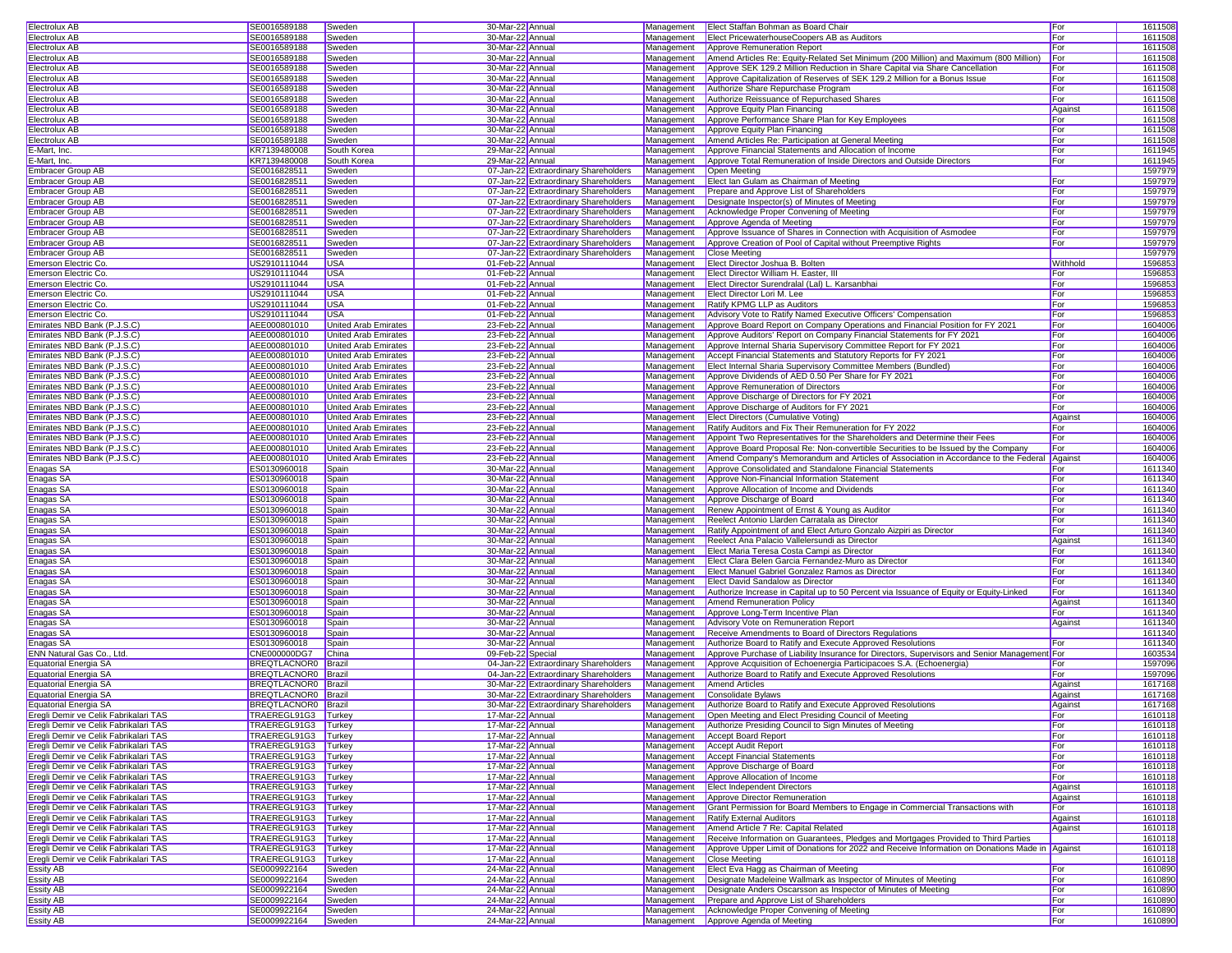| Electrolux AB                                                                                                                                                                                                                                                                                                                                                                | SE0016589188                 | Sweden                      | 30-Mar-22 Annual                     |                               | Management Elect Staffan Bohman as Board Chair                                                 | For        | 1611508            |
|------------------------------------------------------------------------------------------------------------------------------------------------------------------------------------------------------------------------------------------------------------------------------------------------------------------------------------------------------------------------------|------------------------------|-----------------------------|--------------------------------------|-------------------------------|------------------------------------------------------------------------------------------------|------------|--------------------|
| Electrolux AB                                                                                                                                                                                                                                                                                                                                                                | SE0016589188                 | Sweden                      | 30-Mar-22 Annual                     | Management                    | Elect PricewaterhouseCoopers AB as Auditors                                                    | For        | 1611508            |
|                                                                                                                                                                                                                                                                                                                                                                              |                              |                             |                                      |                               |                                                                                                |            |                    |
| <b>Electrolux AB</b>                                                                                                                                                                                                                                                                                                                                                         | SE0016589188                 | Sweden                      | 30-Mar-22 Annual                     | Management                    | Approve Remuneration Report                                                                    | For        | 1611508            |
| Electrolux AB                                                                                                                                                                                                                                                                                                                                                                | SE0016589188                 | Sweden                      | 30-Mar-22 Annual                     | Management                    | Amend Articles Re: Equity-Related Set Minimum (200 Million) and Maximum (800 Million)          | For        | 1611508            |
| Electrolux AB                                                                                                                                                                                                                                                                                                                                                                | SE0016589188                 | Sweden                      | 30-Mar-22 Annual                     | Management                    | Approve SEK 129.2 Million Reduction in Share Capital via Share Cancellation                    | For        | 1611508            |
| Electrolux AB                                                                                                                                                                                                                                                                                                                                                                | SE0016589188                 | Sweden                      | 30-Mar-22 Annual                     | Management                    | Approve Capitalization of Reserves of SEK 129.2 Million for a Bonus Issue                      | For        | 1611508            |
| Electrolux AB                                                                                                                                                                                                                                                                                                                                                                | SE0016589188                 | Sweden                      | 30-Mar-22 Annual                     | Management                    | Authorize Share Repurchase Program                                                             | For        | 1611508            |
| <b>Electrolux AB</b>                                                                                                                                                                                                                                                                                                                                                         | SE0016589188                 | Sweden                      | 30-Mar-22 Annual                     | Management                    | Authorize Reissuance of Repurchased Shares                                                     | For        | 1611508            |
| Electrolux AB                                                                                                                                                                                                                                                                                                                                                                | SE0016589188                 | Sweden                      | 30-Mar-22 Annual                     | Management                    | Approve Equity Plan Financing                                                                  | Against    | 1611508            |
|                                                                                                                                                                                                                                                                                                                                                                              | SE0016589188                 |                             |                                      |                               | Approve Performance Share Plan for Key Employees                                               |            |                    |
| Electrolux AB                                                                                                                                                                                                                                                                                                                                                                |                              | Sweden                      | 30-Mar-22 Annual                     | Management                    |                                                                                                | For        | 1611508            |
| Electrolux AB                                                                                                                                                                                                                                                                                                                                                                | SE0016589188                 | Sweden                      | 30-Mar-22 Annual                     | Management                    | Approve Equity Plan Financing                                                                  | For        | 1611508            |
| Electrolux AB                                                                                                                                                                                                                                                                                                                                                                | SE0016589188                 | Sweden                      | 30-Mar-22 Annual                     | Management                    | Amend Articles Re: Participation at General Meeting                                            | For        | 1611508            |
| E-Mart, Inc.                                                                                                                                                                                                                                                                                                                                                                 | KR7139480008                 | South Korea                 | 29-Mar-22 Annual                     | Management                    | Approve Financial Statements and Allocation of Income                                          | For        | 1611945            |
| E-Mart, Inc.                                                                                                                                                                                                                                                                                                                                                                 | KR7139480008                 | South Korea                 | 29-Mar-22 Annual                     | Management                    | Approve Total Remuneration of Inside Directors and Outside Directors                           | For        | 1611945            |
| Embracer Group AB                                                                                                                                                                                                                                                                                                                                                            | SE0016828511                 | Sweden                      | 07-Jan-22 Extraordinary Shareholders | Management                    | Open Meeting                                                                                   |            | 1597979            |
| Embracer Group AB                                                                                                                                                                                                                                                                                                                                                            | SE0016828511                 | Sweden                      | 07-Jan-22 Extraordinary Shareholders | Management                    | Elect Ian Gulam as Chairman of Meeting                                                         | For        | 1597979            |
|                                                                                                                                                                                                                                                                                                                                                                              |                              |                             |                                      |                               |                                                                                                |            |                    |
| Embracer Group AB                                                                                                                                                                                                                                                                                                                                                            | SE0016828511                 | Sweden                      | 07-Jan-22 Extraordinary Shareholders | Management                    | Prepare and Approve List of Shareholders                                                       | For        | 1597979            |
| Embracer Group AB                                                                                                                                                                                                                                                                                                                                                            | SE0016828511                 | Sweden                      | 07-Jan-22 Extraordinary Shareholders | Management                    | Designate Inspector(s) of Minutes of Meeting                                                   | For        | 1597979            |
| Embracer Group AB                                                                                                                                                                                                                                                                                                                                                            | SE0016828511                 | Sweden                      | 07-Jan-22 Extraordinary Shareholders | Management                    | Acknowledge Proper Convening of Meeting                                                        | For        | 159797             |
| Embracer Group AB                                                                                                                                                                                                                                                                                                                                                            | SE0016828511                 | Sweden                      | 07-Jan-22 Extraordinary Shareholders | Management                    | Approve Agenda of Meeting                                                                      | For        | 1597979            |
| Embracer Group AB                                                                                                                                                                                                                                                                                                                                                            | SE0016828511                 | Sweden                      | 07-Jan-22 Extraordinary Shareholders | Management                    | Approve Issuance of Shares in Connection with Acquisition of Asmodee                           | For        | 1597979            |
|                                                                                                                                                                                                                                                                                                                                                                              | SE0016828511                 | Sweden                      |                                      | Management                    | Approve Creation of Pool of Capital without Preemptive Rights                                  | For        | 159797             |
| Embracer Group AB                                                                                                                                                                                                                                                                                                                                                            |                              |                             | 07-Jan-22 Extraordinary Shareholders |                               |                                                                                                |            |                    |
| Embracer Group AB                                                                                                                                                                                                                                                                                                                                                            | SE0016828511                 | Sweden                      | 07-Jan-22 Extraordinary Shareholders | Management                    | <b>Close Meeting</b>                                                                           |            | 1597979            |
| Emerson Electric Co.                                                                                                                                                                                                                                                                                                                                                         | US2910111044                 | USA                         | 01-Feb-22 Annual                     | Management                    | Elect Director Joshua B. Bolten                                                                | Withhold   | 159685             |
| Emerson Electric Co.                                                                                                                                                                                                                                                                                                                                                         | US2910111044                 | <b>USA</b>                  | 01-Feb-22 Annual                     | Management                    | Elect Director William H. Easter, III                                                          | For        | 1596853            |
| Emerson Electric Co.                                                                                                                                                                                                                                                                                                                                                         | US2910111044                 | <b>USA</b>                  | 01-Feb-22 Annual                     | Management                    | Elect Director Surendralal (Lal) L. Karsanbhai                                                 | For        | 1596853            |
| Emerson Electric Co.                                                                                                                                                                                                                                                                                                                                                         | US2910111044                 | <b>USA</b>                  | 01-Feb-22 Annual                     | Management                    | Elect Director Lori M. Lee                                                                     | For        | 1596853            |
| Emerson Electric Co.                                                                                                                                                                                                                                                                                                                                                         | US2910111044                 | <b>USA</b>                  | 01-Feb-22 Annual                     | Management                    | Ratify KPMG LLP as Auditors                                                                    | For        | 1596853            |
|                                                                                                                                                                                                                                                                                                                                                                              |                              |                             |                                      |                               |                                                                                                |            |                    |
| Emerson Electric Co.                                                                                                                                                                                                                                                                                                                                                         | US2910111044                 | USA                         | 01-Feb-22 Annual                     | Management                    | Advisory Vote to Ratify Named Executive Officers' Compensation                                 | For        | 159685             |
| Emirates NBD Bank (P.J.S.C)                                                                                                                                                                                                                                                                                                                                                  | AEE000801010                 | United Arab Emirates        | 23-Feb-22 Annual                     | Management                    | Approve Board Report on Company Operations and Financial Position for FY 2021                  | For        | 1604006            |
| Emirates NBD Bank (P.J.S.C)                                                                                                                                                                                                                                                                                                                                                  | AEE000801010                 | <b>United Arab Emirates</b> | 23-Feb-22 Annual                     | Management                    | Approve Auditors' Report on Company Financial Statements for FY 2021                           | For        | 1604006            |
| Emirates NBD Bank (P.J.S.C)                                                                                                                                                                                                                                                                                                                                                  | AEE000801010                 | United Arab Emirates        | 23-Feb-22 Annual                     | Management                    | Approve Internal Sharia Supervisory Committee Report for FY 2021                               | For        | 1604006            |
| Emirates NBD Bank (P.J.S.C)                                                                                                                                                                                                                                                                                                                                                  | AEE000801010                 | United Arab Emirates        | 23-Feb-22 Annual                     | Management                    | Accept Financial Statements and Statutory Reports for FY 2021                                  | For        | 1604006            |
| Emirates NBD Bank (P.J.S.C)                                                                                                                                                                                                                                                                                                                                                  | AEE000801010                 | <b>United Arab Emirates</b> | 23-Feb-22 Annual                     | Management                    | Elect Internal Sharia Supervisory Committee Members (Bundled)                                  | For        | 1604006            |
|                                                                                                                                                                                                                                                                                                                                                                              | AEE000801010                 |                             |                                      |                               |                                                                                                |            |                    |
| Emirates NBD Bank (P.J.S.C)                                                                                                                                                                                                                                                                                                                                                  |                              | United Arab Emirates        | 23-Feb-22 Annual                     | Management                    | Approve Dividends of AED 0.50 Per Share for FY 2021                                            | For        | 1604006            |
| Emirates NBD Bank (P.J.S.C)                                                                                                                                                                                                                                                                                                                                                  | AEE000801010                 | United Arab Emirates        | 23-Feb-22 Annual                     | Management                    | Approve Remuneration of Directors                                                              | For        | 1604006            |
| Emirates NBD Bank (P.J.S.C)                                                                                                                                                                                                                                                                                                                                                  | AEE000801010                 | United Arab Emirates        | 23-Feb-22 Annual                     | Management                    | Approve Discharge of Directors for FY 2021                                                     | For        | 1604006            |
| Emirates NBD Bank (P.J.S.C)                                                                                                                                                                                                                                                                                                                                                  | AEE000801010                 | <b>United Arab Emirates</b> | 23-Feb-22 Annual                     | Management                    | Approve Discharge of Auditors for FY 2021                                                      | For        | 1604006            |
| Emirates NBD Bank (P.J.S.C)                                                                                                                                                                                                                                                                                                                                                  | AEE000801010                 | <b>United Arab Emirates</b> | 23-Feb-22 Annual                     | Management                    | Elect Directors (Cumulative Voting)                                                            | Against    | 1604006            |
| Emirates NBD Bank (P.J.S.C)                                                                                                                                                                                                                                                                                                                                                  | AEE000801010                 | <b>United Arab Emirates</b> | 23-Feb-22 Annual                     | Management                    | Ratify Auditors and Fix Their Remuneration for FY 2022                                         | For        | 1604006            |
| Emirates NBD Bank (P.J.S.C)                                                                                                                                                                                                                                                                                                                                                  | AEE000801010                 | <b>United Arab Emirates</b> | 23-Feb-22 Annual                     | Management                    | Appoint Two Representatives for the Shareholders and Determine their Fees                      | For        | 1604006            |
|                                                                                                                                                                                                                                                                                                                                                                              |                              |                             |                                      |                               |                                                                                                |            |                    |
| Emirates NBD Bank (P.J.S.C)                                                                                                                                                                                                                                                                                                                                                  | AEE000801010                 | United Arab Emirates        | 23-Feb-22 Annual                     | Management                    | Approve Board Proposal Re: Non-convertible Securities to be Issued by the Company              | For        | 1604006            |
| Emirates NBD Bank (P.J.S.C)                                                                                                                                                                                                                                                                                                                                                  | AEE000801010                 | United Arab Emirates        | 23-Feb-22 Annual                     | Management                    | Amend Company's Memorandum and Articles of Association in Accordance to the Federal            | Against    | 1604006            |
| Enagas SA                                                                                                                                                                                                                                                                                                                                                                    | ES0130960018                 | Spain                       | 30-Mar-22 Annual                     | Management                    | Approve Consolidated and Standalone Financial Statements                                       | For        | 1611340            |
| Enagas SA                                                                                                                                                                                                                                                                                                                                                                    | ES0130960018                 | Spain                       | 30-Mar-22 Annual                     | Management                    | Approve Non-Financial Information Statement                                                    | For        | 1611340            |
| Enagas SA                                                                                                                                                                                                                                                                                                                                                                    | ES0130960018                 | Spain                       | 30-Mar-22 Annual                     | Management                    | Approve Allocation of Income and Dividends                                                     | For        | 1611340            |
| Enagas SA                                                                                                                                                                                                                                                                                                                                                                    | ES0130960018                 | Spain                       | 30-Mar-22 Annual                     | Management                    | Approve Discharge of Board                                                                     | For        | 1611340            |
|                                                                                                                                                                                                                                                                                                                                                                              |                              |                             |                                      |                               |                                                                                                |            | 1611340            |
| Enagas SA                                                                                                                                                                                                                                                                                                                                                                    | ES0130960018                 | Spain                       | 30-Mar-22 Annual                     | Management                    | Renew Appointment of Ernst & Young as Auditor                                                  | For        |                    |
| Enagas SA                                                                                                                                                                                                                                                                                                                                                                    | ES0130960018                 | Spain                       | 30-Mar-22 Annual                     | Management                    | Reelect Antonio Llarden Carratala as Director                                                  | For        | 1611340            |
| Enagas SA                                                                                                                                                                                                                                                                                                                                                                    | ES0130960018                 | Spain                       | 30-Mar-22 Annual                     | Management                    | Ratify Appointment of and Elect Arturo Gonzalo Aizpiri as Director                             | For        | 1611340            |
| Enagas SA                                                                                                                                                                                                                                                                                                                                                                    | ES0130960018                 | Spain                       | 30-Mar-22 Annual                     | Management                    | Reelect Ana Palacio Vallelersundi as Director                                                  | Against    | 1611340            |
| Enagas SA                                                                                                                                                                                                                                                                                                                                                                    | ES0130960018                 | Spain                       | 30-Mar-22 Annual                     | Management                    | Elect Maria Teresa Costa Campi as Director                                                     | For        | 1611340            |
| Enagas SA                                                                                                                                                                                                                                                                                                                                                                    | ES0130960018                 | Spain                       | 30-Mar-22 Annual                     | Management                    | Elect Clara Belen Garcia Fernandez-Muro as Director                                            | For        | 1611340            |
|                                                                                                                                                                                                                                                                                                                                                                              | ES0130960018                 |                             |                                      | Management                    | Elect Manuel Gabriel Gonzalez Ramos as Director                                                | For        | 1611340            |
| Enagas SA                                                                                                                                                                                                                                                                                                                                                                    |                              | Spain                       | 30-Mar-22 Annual                     |                               |                                                                                                |            |                    |
| Enagas SA                                                                                                                                                                                                                                                                                                                                                                    | ES0130960018                 | Spain                       | 30-Mar-22 Annual                     | Management                    | <b>Elect David Sandalow as Director</b>                                                        | For        | 1611340            |
| Enagas SA                                                                                                                                                                                                                                                                                                                                                                    | ES0130960018                 | Spain                       | 30-Mar-22 Annual                     | Management                    | Authorize Increase in Capital up to 50 Percent via Issuance of Equity or Equity-Linked         | For        | 1611340            |
| Enagas SA                                                                                                                                                                                                                                                                                                                                                                    | ES0130960018                 | Spain                       | 30-Mar-22 Annual                     | Management                    | <b>Amend Remuneration Policy</b>                                                               | Against    | 1611340            |
| Enagas SA                                                                                                                                                                                                                                                                                                                                                                    | ES0130960018                 | Spain                       | 30-Mar-22 Annual                     | Management                    | Approve Long-Term Incentive Plan                                                               | For        | 1611340            |
| Enagas SA                                                                                                                                                                                                                                                                                                                                                                    | ES0130960018                 | Spain                       | 30-Mar-22 Annual                     | Management                    | Advisory Vote on Remuneration Report                                                           | Against    | 1611340            |
| Enagas SA                                                                                                                                                                                                                                                                                                                                                                    | ES0130960018                 | Spain                       | 30-Mar-22 Annual                     | Management                    | Receive Amendments to Board of Directors Regulations                                           |            | 1611340            |
|                                                                                                                                                                                                                                                                                                                                                                              |                              |                             |                                      |                               |                                                                                                |            |                    |
| Enagas SA                                                                                                                                                                                                                                                                                                                                                                    | ES0130960018                 | Spain                       | 30-Mar-22 Annual                     | Management                    | Authorize Board to Ratify and Execute Approved Resolutions                                     | For        | 1611340            |
| ENN Natural Gas Co., Ltd.                                                                                                                                                                                                                                                                                                                                                    | CNE000000DG7                 | China                       | 09-Feb-22 Special                    | Management                    | Approve Purchase of Liability Insurance for Directors, Supervisors and Senior Management For   |            | 1603534            |
| Equatorial Energia SA                                                                                                                                                                                                                                                                                                                                                        | BREQTLACNOR0                 | Brazil                      | 04-Jan-22 Extraordinary Shareholders | Management                    | Approve Acquisition of Echoenergia Participacoes S.A. (Echoenergia)                            | For        | 1597096            |
| Equatorial Energia SA                                                                                                                                                                                                                                                                                                                                                        | BREQTLACNOR0 Brazil          |                             | 04-Jan-22 Extraordinary Shareholders | Management                    | Authorize Board to Ratify and Execute Approved Resolutions                                     | For        | 1597096            |
| Equatorial Energia SA                                                                                                                                                                                                                                                                                                                                                        | BREQTLACNOR0 Brazil          |                             | 30-Mar-22 Extraordinary Shareholders |                               | Management <b>Amend Articles</b>                                                               | Against    | 1617168            |
| Equatorial Energia SA                                                                                                                                                                                                                                                                                                                                                        |                              |                             |                                      |                               |                                                                                                |            | 1617168            |
| Equatorial Energia SA                                                                                                                                                                                                                                                                                                                                                        |                              |                             |                                      |                               |                                                                                                |            |                    |
|                                                                                                                                                                                                                                                                                                                                                                              | <b>BREQTLACNOR0 Brazil</b>   |                             | 30-Mar-22 Extraordinary Shareholders | Management Consolidate Bylaws |                                                                                                | Against    |                    |
|                                                                                                                                                                                                                                                                                                                                                                              | BREQTLACNOR0 Brazil          |                             | 30-Mar-22 Extraordinary Shareholders |                               | Management Authorize Board to Ratify and Execute Approved Resolutions                          | Against    | 1617168            |
| Eregli Demir ve Celik Fabrikalari TAS                                                                                                                                                                                                                                                                                                                                        | TRAEREGL91G3 Turkey          |                             | 17-Mar-22 Annual                     |                               | Management   Open Meeting and Elect Presiding Council of Meeting                               | For        | 1610118            |
| Eregli Demir ve Celik Fabrikalari TAS                                                                                                                                                                                                                                                                                                                                        | TRAEREGL91G3 Turkey          |                             | 17-Mar-22 Annual                     |                               | Management Authorize Presiding Council to Sign Minutes of Meeting                              | For        | 1610118            |
| Eregli Demir ve Celik Fabrikalari TAS                                                                                                                                                                                                                                                                                                                                        | TRAEREGL91G3 Turkey          |                             | 17-Mar-22 Annual                     | Management                    | <b>Accept Board Report</b>                                                                     | For        | 1610118            |
| Eregli Demir ve Celik Fabrikalari TAS                                                                                                                                                                                                                                                                                                                                        | TRAEREGL91G3 Turkey          |                             | 17-Mar-22 Annual                     |                               | Management Accept Audit Report                                                                 | For        | 1610118            |
|                                                                                                                                                                                                                                                                                                                                                                              |                              |                             |                                      |                               |                                                                                                |            |                    |
| Eregli Demir ve Celik Fabrikalari TAS                                                                                                                                                                                                                                                                                                                                        | TRAEREGL91G3 Turkey          |                             | 17-Mar-22 Annual                     | Management                    | <b>Accept Financial Statements</b>                                                             | For        | 1610118            |
| Eregli Demir ve Celik Fabrikalari TAS                                                                                                                                                                                                                                                                                                                                        | TRAEREGL91G3 Turkey          |                             | 17-Mar-22 Annual                     |                               | Management Approve Discharge of Board                                                          | For        | 1610118            |
| Eregli Demir ve Celik Fabrikalari TAS                                                                                                                                                                                                                                                                                                                                        | TRAEREGL91G3 Turkey          |                             | 17-Mar-22 Annual                     | Management                    | Approve Allocation of Income                                                                   | For        | 1610118            |
|                                                                                                                                                                                                                                                                                                                                                                              | TRAEREGL91G3 Turkey          |                             | 17-Mar-22 Annual                     |                               | Management Elect Independent Directors                                                         | Against    | 1610118            |
|                                                                                                                                                                                                                                                                                                                                                                              | TRAEREGL91G3 Turkey          |                             | 17-Mar-22 Annual                     | Management                    | Approve Director Remuneration                                                                  | Against    | 1610118            |
|                                                                                                                                                                                                                                                                                                                                                                              | TRAEREGL91G3 Turkey          |                             | 17-Mar-22 Annual                     | Management                    | Grant Permission for Board Members to Engage in Commercial Transactions with                   | For        | 1610118            |
|                                                                                                                                                                                                                                                                                                                                                                              |                              |                             |                                      |                               |                                                                                                |            |                    |
|                                                                                                                                                                                                                                                                                                                                                                              | TRAEREGL91G3 Turkey          |                             | 17-Mar-22 Annual                     | Management                    | <b>Ratify External Auditors</b>                                                                | Against    | 1610118            |
|                                                                                                                                                                                                                                                                                                                                                                              | TRAEREGL91G3 Turkey          |                             | 17-Mar-22 Annual                     | Management                    | Amend Article 7 Re: Capital Related                                                            | Against    | 1610118            |
|                                                                                                                                                                                                                                                                                                                                                                              | TRAEREGL91G3 Turkey          |                             | 17-Mar-22 Annual                     | Management                    | Receive Information on Guarantees, Pledges and Mortgages Provided to Third Parties             |            | 1610118            |
|                                                                                                                                                                                                                                                                                                                                                                              | TRAEREGL91G3 Turkey          |                             | 17-Mar-22 Annual                     | Management                    | Approve Upper Limit of Donations for 2022 and Receive Information on Donations Made in Against |            | 1610118            |
|                                                                                                                                                                                                                                                                                                                                                                              | TRAEREGL91G3 Turkey          |                             | 17-Mar-22 Annual                     | Management                    | <b>Close Meeting</b>                                                                           |            | 1610118            |
|                                                                                                                                                                                                                                                                                                                                                                              | SE0009922164                 | Sweden                      | 24-Mar-22 Annual                     | Management                    | Elect Eva Hagg as Chairman of Meeting                                                          | For        | 1610890            |
|                                                                                                                                                                                                                                                                                                                                                                              |                              |                             |                                      | Management                    |                                                                                                |            |                    |
| Eregli Demir ve Celik Fabrikalari TAS<br>Eregli Demir ve Celik Fabrikalari TAS<br>Eregli Demir ve Celik Fabrikalari TAS<br>Eregli Demir ve Celik Fabrikalari TAS<br>Eregli Demir ve Celik Fabrikalari TAS<br>Eregli Demir ve Celik Fabrikalari TAS<br>Eregli Demir ve Celik Fabrikalari TAS<br>Eregli Demir ve Celik Fabrikalari TAS<br><b>Essity AB</b><br><b>Essity AB</b> | SE0009922164                 | Sweden                      | 24-Mar-22 Annual                     |                               | Designate Madeleine Wallmark as Inspector of Minutes of Meeting                                | For        | 1610890            |
| <b>Essity AB</b>                                                                                                                                                                                                                                                                                                                                                             | SE0009922164                 | Sweden                      | 24-Mar-22 Annual                     | Management                    | Designate Anders Oscarsson as Inspector of Minutes of Meeting                                  | For        | 1610890            |
| Essity AB                                                                                                                                                                                                                                                                                                                                                                    | SE0009922164                 | Sweden                      | 24-Mar-22 Annual                     | Management                    | Prepare and Approve List of Shareholders                                                       | For        | 1610890            |
| Essity AB<br><b>Essity AB</b>                                                                                                                                                                                                                                                                                                                                                | SE0009922164<br>SE0009922164 | Sweden<br>Sweden            | 24-Mar-22 Annual<br>24-Mar-22 Annual |                               | Management   Acknowledge Proper Convening of Meeting<br>Management Approve Agenda of Meeting   | For<br>For | 1610890<br>1610890 |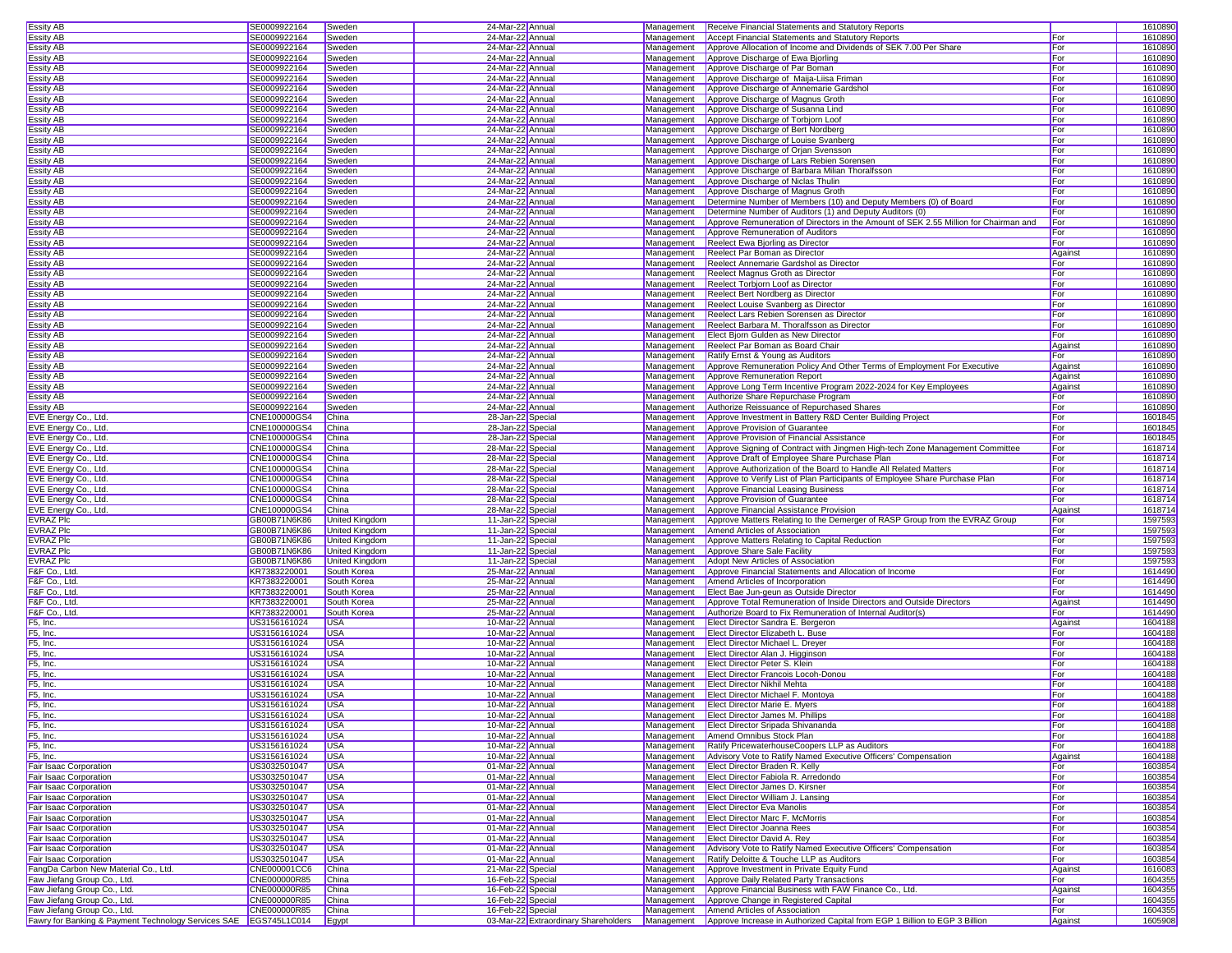| Essity AB                                                          | SE0009922164 | Sweden                | 24-Mar-22 Annual                     | Management | <b>Receive Financial Statements and Statutory Reports</b>                             |         | 1610890 |
|--------------------------------------------------------------------|--------------|-----------------------|--------------------------------------|------------|---------------------------------------------------------------------------------------|---------|---------|
| Essity AB                                                          | SE0009922164 | Sweden                | 24-Mar-22 Annual                     | Management | Accept Financial Statements and Statutory Reports                                     | For     | 1610890 |
|                                                                    |              |                       |                                      |            |                                                                                       |         |         |
| Essity AB                                                          | SE0009922164 | Sweden                | 24-Mar-22 Annual                     | Management | Approve Allocation of Income and Dividends of SEK 7.00 Per Share                      | For     | 1610890 |
| <b>Essity AB</b>                                                   | SE0009922164 | Sweden                | 24-Mar-22 Annual                     | Management | Approve Discharge of Ewa Bjorling                                                     | For     | 1610890 |
| Essity AB                                                          | SE0009922164 | Sweden                | 24-Mar-22 Annual                     | Management | Approve Discharge of Par Boman                                                        | For     | 1610890 |
| Essity AB                                                          | SE0009922164 | Sweden                | 24-Mar-22 Annual                     | Management | Approve Discharge of Maija-Liisa Friman                                               | For     | 1610890 |
| Essity AB                                                          | SE0009922164 | Sweden                | 24-Mar-22 Annual                     | Management | Approve Discharge of Annemarie Gardshol                                               | For     | 1610890 |
| Essity AB                                                          | SE0009922164 | Sweden                | 24-Mar-22 Annual                     | Management | Approve Discharge of Magnus Groth                                                     | For     | 1610890 |
| Essity AB                                                          | SE0009922164 | Sweden                | 24-Mar-22 Annual                     | Management | Approve Discharge of Susanna Lind                                                     | For     | 1610890 |
|                                                                    |              |                       |                                      |            | Approve Discharge of Torbjorn Loof                                                    |         |         |
| <b>Essity AB</b>                                                   | SE0009922164 | Sweden                | 24-Mar-22 Annual                     | Management |                                                                                       | For     | 1610890 |
| Essity AB                                                          | SE0009922164 | Sweden                | 24-Mar-22 Annual                     | Management | Approve Discharge of Bert Nordberg                                                    | For     | 1610890 |
| Essity AB                                                          | SE0009922164 | Sweden                | 24-Mar-22 Annual                     | Management | Approve Discharge of Louise Svanberg                                                  | For     | 1610890 |
| Essity AB                                                          | SE0009922164 | Sweden                | 24-Mar-22 Annual                     | Management | Approve Discharge of Orjan Svensson                                                   | For     | 1610890 |
| Essity AB                                                          | SE0009922164 | Sweden                | 24-Mar-22 Annual                     | Management | Approve Discharge of Lars Rebien Sorensen                                             | For     | 1610890 |
| Essity AB                                                          | SE0009922164 | Sweden                | 24-Mar-22 Annual                     | Management | Approve Discharge of Barbara Milian Thoralfsson                                       | For     | 1610890 |
| Essity AB                                                          | SE0009922164 | Sweden                | 24-Mar-22 Annual                     | Management | Approve Discharge of Niclas Thulin                                                    | For     | 1610890 |
|                                                                    |              |                       |                                      |            |                                                                                       |         |         |
| Essity AB                                                          | SE0009922164 | Sweden                | 24-Mar-22 Annual                     | Management | Approve Discharge of Magnus Groth                                                     | For     | 1610890 |
| Essity AB                                                          | SE0009922164 | Sweden                | 24-Mar-22 Annual                     | Management | Determine Number of Members (10) and Deputy Members (0) of Board                      | For     | 1610890 |
| <b>Essity AB</b>                                                   | SE0009922164 | Sweden                | 24-Mar-22 Annual                     | Management | Determine Number of Auditors (1) and Deputy Auditors (0)                              | For     | 1610890 |
| <b>Essity AB</b>                                                   | SE0009922164 | Sweden                | 24-Mar-22 Annual                     | Management | Approve Remuneration of Directors in the Amount of SEK 2.55 Million for Chairman and  | For     | 1610890 |
| Essity AB                                                          | SE0009922164 | Sweden                | 24-Mar-22 Annual                     | Management | Approve Remuneration of Auditors                                                      | For     | 1610890 |
| Essity AB                                                          | SE0009922164 | Sweden                | 24-Mar-22 Annual                     | Management | Reelect Ewa Bjorling as Director                                                      | For     | 1610890 |
| Essity AB                                                          | SE0009922164 | Sweden                | 24-Mar-22 Annual                     | Management | Reelect Par Boman as Director                                                         | Against | 1610890 |
|                                                                    |              |                       |                                      |            |                                                                                       |         |         |
| Essity AB                                                          | SE0009922164 | Sweden                | 24-Mar-22 Annual                     | Management | Reelect Annemarie Gardshol as Director                                                | For     | 1610890 |
| <b>Essity AB</b>                                                   | SE0009922164 | Sweden                | 24-Mar-22 Annual                     | Management | Reelect Magnus Groth as Director                                                      | For     | 1610890 |
| Essity AB                                                          | SE0009922164 | Sweden                | 24-Mar-22 Annual                     | Management | Reelect Torbjorn Loof as Director                                                     | For     | 1610890 |
| Essity AB                                                          | SE0009922164 | Sweden                | 24-Mar-22 Annual                     | Management | Reelect Bert Nordberg as Director                                                     | For     | 1610890 |
| Essity AB                                                          | SE0009922164 | Sweden                | 24-Mar-22 Annual                     | Management | Reelect Louise Svanberg as Director                                                   | For     | 1610890 |
| <b>Essity AB</b>                                                   | SE0009922164 | Sweden                | 24-Mar-22 Annual                     | Management | Reelect Lars Rebien Sorensen as Director                                              | For     | 1610890 |
| <b>Essity AB</b>                                                   | SE0009922164 | Sweden                | 24-Mar-22 Annual                     | Management | Reelect Barbara M. Thoralfsson as Director                                            | For     | 1610890 |
|                                                                    |              |                       |                                      |            |                                                                                       |         |         |
| Essity AB                                                          | SE0009922164 | Sweden                | 24-Mar-22 Annual                     | Management | Elect Bjorn Gulden as New Director                                                    | For     | 1610890 |
| Essity AB                                                          | SE0009922164 | Sweden                | 24-Mar-22 Annual                     | Management | Reelect Par Boman as Board Chair                                                      | Against | 1610890 |
| Essity AB                                                          | SE0009922164 | Sweden                | 24-Mar-22 Annual                     | Management | Ratify Ernst & Young as Auditors                                                      | For     | 1610890 |
| Essity AB                                                          | SE0009922164 | Sweden                | 24-Mar-22 Annual                     | Management | Approve Remuneration Policy And Other Terms of Employment For Executive               | Against | 1610890 |
| Essity AB                                                          | SE0009922164 | Sweden                | 24-Mar-22 Annual                     | Management | Approve Remuneration Report                                                           | Against | 1610890 |
| Essity AB                                                          | SE0009922164 | Sweden                | 24-Mar-22 Annual                     | Management | Approve Long Term Incentive Program 2022-2024 for Key Employees                       | Against | 1610890 |
|                                                                    |              |                       |                                      |            |                                                                                       |         |         |
| Essity AB                                                          | SE0009922164 | Sweden                | 24-Mar-22 Annual                     | Management | Authorize Share Repurchase Program                                                    | For     | 1610890 |
| Essity AB                                                          | SE0009922164 | Sweden                | 24-Mar-22 Annual                     | Management | Authorize Reissuance of Repurchased Shares                                            | For     | 1610890 |
| EVE Energy Co., Ltd.                                               | CNE100000GS4 | China                 | 28-Jan-22 Special                    | Management | Approve Investment in Battery R&D Center Building Project                             | For     | 1601845 |
| EVE Energy Co., Ltd.                                               | CNE100000GS4 | China                 | 28-Jan-22 Specia                     | Management | Approve Provision of Guarantee                                                        | For     | 1601845 |
| EVE Energy Co., Ltd.                                               | CNE100000GS4 | China                 | 28-Jan-22 Special                    | Management | Approve Provision of Financial Assistance                                             | For     | 1601845 |
| EVE Energy Co., Ltd.                                               | CNE100000GS4 | China                 | 28-Mar-22 Specia                     | Management | Approve Signing of Contract with Jingmen High-tech Zone Management Committee          | For     | 1618714 |
|                                                                    |              |                       |                                      |            |                                                                                       |         |         |
| EVE Energy Co., Ltd.                                               | CNE100000GS4 | China                 | 28-Mar-22 Specia                     | Management | Approve Draft of Employee Share Purchase Plan                                         | For     | 1618714 |
| EVE Energy Co., Ltd.                                               | CNE100000GS4 | China                 | 28-Mar-22 Special                    | Management | Approve Authorization of the Board to Handle All Related Matters                      | For     | 1618714 |
| EVE Energy Co., Ltd.                                               | CNE100000GS4 | China                 | 28-Mar-22 Specia                     | Management | Approve to Verify List of Plan Participants of Employee Share Purchase Plan           | For     | 1618714 |
| EVE Energy Co., Ltd.                                               | CNE100000GS4 | China                 | 28-Mar-22 Special                    | Management | Approve Financial Leasing Business                                                    | For     | 1618714 |
| EVE Energy Co., Ltd.                                               | CNE100000GS4 | China                 | 28-Mar-22 Specia                     | Management | Approve Provision of Guarantee                                                        | For     | 1618714 |
| EVE Energy Co., Ltd.                                               | CNE100000GS4 | China                 | 28-Mar-22 Special                    | Management | Approve Financial Assistance Provision                                                | Against | 1618714 |
|                                                                    |              |                       |                                      |            |                                                                                       |         |         |
| EVRAZ Plc                                                          | GB00B71N6K86 | <b>United Kingdom</b> | 11-Jan-22 Special                    | Management | Approve Matters Relating to the Demerger of RASP Group from the EVRAZ Group           | For     | 1597593 |
| <b>EVRAZ Plc</b>                                                   | GB00B71N6K86 | United Kingdom        | 11-Jan-22 Specia                     | Management | Amend Articles of Association                                                         | For     | 1597593 |
| <b>EVRAZ Plc</b>                                                   | GB00B71N6K86 | United Kingdom        | 11-Jan-22 Special                    | Management | Approve Matters Relating to Capital Reduction                                         | For     | 1597593 |
| <b>EVRAZ Plc</b>                                                   | GB00B71N6K86 | United Kingdom        | 11-Jan-22 Specia                     | Management | Approve Share Sale Facility                                                           | For     | 1597593 |
| EVRAZ Plc                                                          | GB00B71N6K86 | <b>United Kingdom</b> | 11-Jan-22 Specia                     | Management | Adopt New Articles of Association                                                     | For     | 1597593 |
| F&F Co., Ltd.                                                      | KR7383220001 | South Korea           | 25-Mar-22 Annual                     | Management | Approve Financial Statements and Allocation of Income                                 | For     | 1614490 |
|                                                                    |              |                       |                                      |            |                                                                                       |         | 1614490 |
| F&F Co., Ltd.                                                      | KR7383220001 | South Korea           | 25-Mar-22 Annual                     | Management | Amend Articles of Incorporation                                                       | For     |         |
| F&F Co., Ltd.                                                      | KR7383220001 | South Korea           | 25-Mar-22 Annual                     | Management | Elect Bae Jun-geun as Outside Director                                                | For     | 1614490 |
| F&F Co., Ltd.                                                      | KR7383220001 | South Korea           | 25-Mar-22 Annual                     | Management | Approve Total Remuneration of Inside Directors and Outside Directors                  | Against | 1614490 |
| F&F Co., Ltd.                                                      | KR7383220001 | South Korea           | 25-Mar-22 Annual                     | Management | Authorize Board to Fix Remuneration of Internal Auditor(s)                            | For     | 1614490 |
| F5, Inc.                                                           | US3156161024 | USA                   | 10-Mar-22 Annual                     | Management | Elect Director Sandra E. Bergeron                                                     | Against | 1604188 |
| F5, Inc.                                                           | US3156161024 | <b>USA</b>            | 10-Mar-22 Annual                     | Management | Elect Director Elizabeth L. Buse                                                      | For     | 1604188 |
| F5, Inc.                                                           | US3156161024 | <b>USA</b>            | 10-Mar-22 Annual                     | Management | <b>Elect Director Michael L. Drever</b>                                               | For     | 1604188 |
|                                                                    |              |                       |                                      |            |                                                                                       |         |         |
| F5, Inc.                                                           | US3156161024 | <b>USA</b>            | 10-Mar-22 Annual                     | Management | Elect Director Alan J. Higginson                                                      | For     | 1604188 |
| F5, Inc.                                                           | US3156161024 | <b>USA</b>            | 10-Mar-22 Annual                     | Management | Elect Director Peter S. Klein                                                         | For     | 1604188 |
| F5, Inc.                                                           | US3156161024 | <b>USA</b>            | 10-Mar-22 Annual                     | Management | <b>Elect Director Francois Locoh-Donou</b>                                            | For     | 1604188 |
| F5, Inc.                                                           | US3156161024 | <b>USA</b>            | 10-Mar-22 Annual                     |            | Management <b>Elect Director Nikhil Mehta</b>                                         | For     | 1604188 |
| F5, Inc.                                                           | US3156161024 | <b>USA</b>            | 10-Mar-22 Annual                     |            | Management <b>Elect Director Michael F. Montova</b>                                   | For     | 1604188 |
| F5, Inc.                                                           | US3156161024 | <b>USA</b>            | 10-Mar-22 Annual                     |            | Management <b>Elect Director Marie E. Myers</b>                                       | For     | 1604188 |
| F5, Inc.                                                           | US3156161024 | <b>USA</b>            | 10-Mar-22 Annual                     |            | Management <b>Elect Director James M. Phillips</b>                                    | For     | 1604188 |
|                                                                    |              |                       |                                      |            |                                                                                       |         |         |
| F5, Inc.                                                           | US3156161024 | <b>USA</b>            | 10-Mar-22 Annual                     |            | Management Elect Director Sripada Shivananda                                          | For     | 1604188 |
| F5, Inc.                                                           | US3156161024 | <b>USA</b>            | 10-Mar-22 Annual                     | Management | Amend Omnibus Stock Plan                                                              | For     | 1604188 |
| F5, Inc.                                                           | US3156161024 | <b>USA</b>            | 10-Mar-22 Annual                     | Management | Ratify PricewaterhouseCoopers LLP as Auditors                                         | For     | 1604188 |
| F5, Inc.                                                           | US3156161024 | <b>USA</b>            | 10-Mar-22 Annual                     | Management | Advisory Vote to Ratify Named Executive Officers' Compensation                        | Against | 1604188 |
| Fair Isaac Corporation                                             | US3032501047 | <b>USA</b>            | 01-Mar-22 Annual                     |            | Management Elect Director Braden R. Kelly                                             | For     | 1603854 |
| Fair Isaac Corporation                                             | US3032501047 | <b>USA</b>            | 01-Mar-22 Annual                     | Management | Elect Director Fabiola R. Arredondo                                                   | For     | 1603854 |
| Fair Isaac Corporation                                             | US3032501047 | <b>USA</b>            | 01-Mar-22 Annual                     |            | Management Elect Director James D. Kirsner                                            | For     | 1603854 |
| Fair Isaac Corporation                                             |              |                       |                                      |            | Management Elect Director William J. Lansing                                          |         |         |
|                                                                    | US3032501047 | <b>USA</b>            | 01-Mar-22 Annual                     |            |                                                                                       | For     | 1603854 |
| Fair Isaac Corporation                                             | US3032501047 | <b>USA</b>            | 01-Mar-22 Annual                     | Management | <b>Elect Director Eva Manolis</b>                                                     | For     | 1603854 |
| Fair Isaac Corporation                                             | US3032501047 | <b>USA</b>            | 01-Mar-22 Annual                     | Management | <b>Elect Director Marc F. McMorris</b>                                                | For     | 1603854 |
| Fair Isaac Corporation                                             | US3032501047 | <b>USA</b>            | 01-Mar-22 Annual                     | Management | <b>Elect Director Joanna Rees</b>                                                     | For     | 1603854 |
| Fair Isaac Corporation                                             | US3032501047 | <b>USA</b>            | 01-Mar-22 Annual                     | Management | Elect Director David A. Rey                                                           | For     | 1603854 |
| Fair Isaac Corporation                                             | US3032501047 | <b>USA</b>            | 01-Mar-22 Annual                     | Management | Advisory Vote to Ratify Named Executive Officers' Compensation                        | For     | 1603854 |
| Fair Isaac Corporation                                             | US3032501047 | <b>USA</b>            | 01-Mar-22 Annual                     | Management | Ratify Deloitte & Touche LLP as Auditors                                              | For     | 1603854 |
|                                                                    |              |                       |                                      |            |                                                                                       |         |         |
| FangDa Carbon New Material Co., Ltd.                               | CNE000001CC6 | China                 | 21-Mar-22 Special                    | Management | Approve Investment in Private Equity Fund                                             | Against | 1616083 |
| Faw Jiefang Group Co., Ltd.                                        | CNE000000R85 | China                 | 16-Feb-22 Special                    | Management | Approve Daily Related Party Transactions                                              | For     | 1604355 |
| Faw Jiefang Group Co., Ltd.                                        | CNE000000R85 | China                 | 16-Feb-22 Special                    | Management | Approve Financial Business with FAW Finance Co., Ltd.                                 | Against | 1604355 |
| Faw Jiefang Group Co., Ltd.                                        | CNE000000R85 | China                 | 16-Feb-22 Special                    | Management | Approve Change in Registered Capital                                                  | For     | 1604355 |
| Faw Jiefang Group Co., Ltd.                                        | CNE000000R85 | China                 | 16-Feb-22 Special                    | Management | Amend Articles of Association                                                         | For     | 1604355 |
|                                                                    |              |                       |                                      |            |                                                                                       |         |         |
| Fawry for Banking & Payment Technology Services SAE   EGS745L1C014 |              | Egypt                 | 03-Mar-22 Extraordinary Shareholders |            | Management Approve Increase in Authorized Capital from EGP 1 Billion to EGP 3 Billion | Against | 1605908 |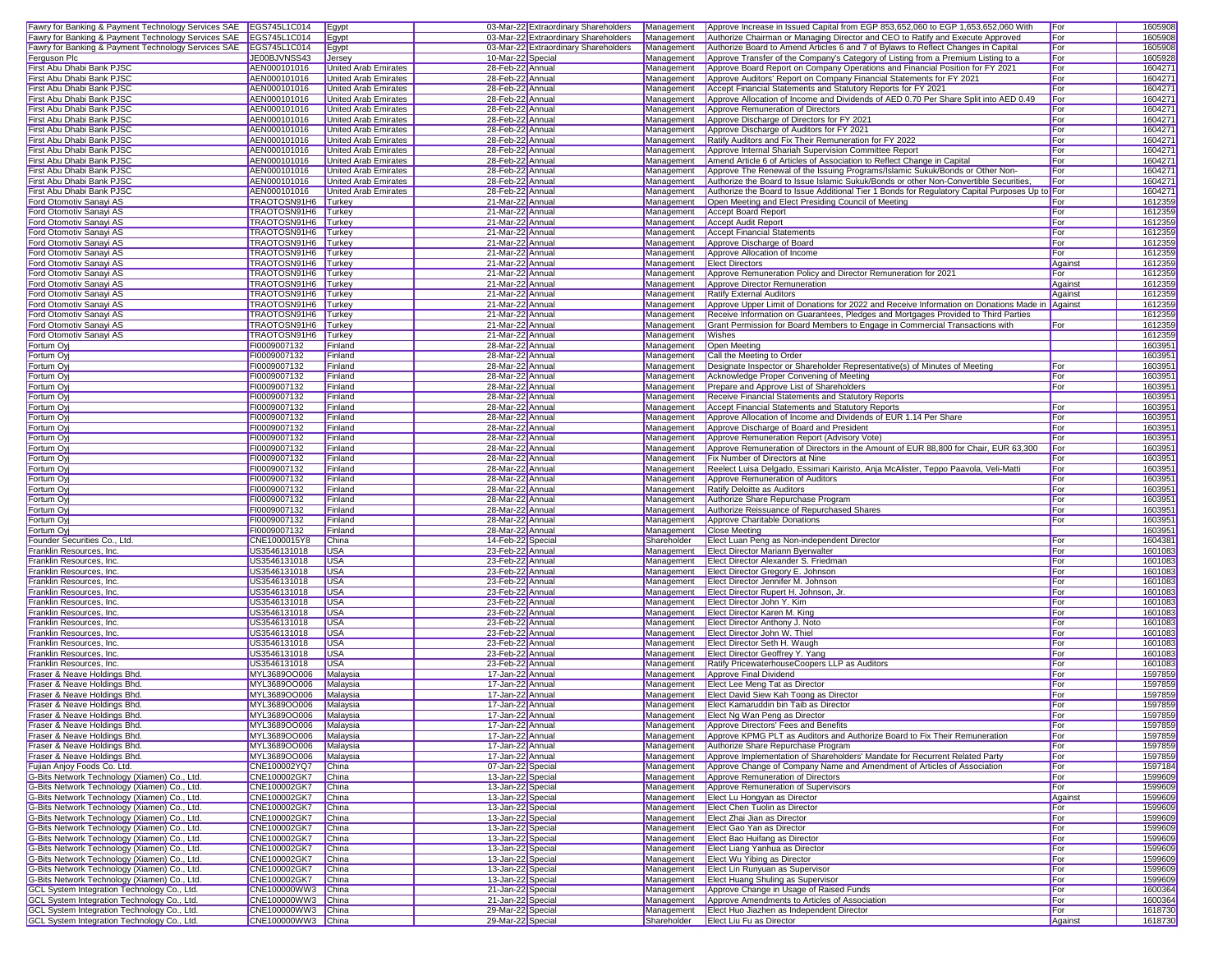| Fawry for Banking & Payment Technology Services SAE EGS745L1C014 |                              | Egypt                       |                   | 03-Mar-22 Extraordinary Shareholders | Management  | Approve Increase in Issued Capital from EGP 853,652,060 to EGP 1,653,652,060 With              | For     | 1605908 |
|------------------------------------------------------------------|------------------------------|-----------------------------|-------------------|--------------------------------------|-------------|------------------------------------------------------------------------------------------------|---------|---------|
| Fawry for Banking & Payment Technology Services SAE EGS745L1C014 |                              | Egypt                       |                   | 03-Mar-22 Extraordinary Shareholders | Management  | Authorize Chairman or Managing Director and CEO to Ratify and Execute Approved                 | For     | 1605908 |
| Fawry for Banking & Payment Technology Services SAE EGS745L1C014 |                              | Egypt                       |                   | 03-Mar-22 Extraordinary Shareholders | Management  | Authorize Board to Amend Articles 6 and 7 of Bylaws to Reflect Changes in Capital              | For     | 1605908 |
| Ferguson Plc                                                     | JE00BJVNSS43                 | Jersey                      | 10-Mar-22 Special |                                      | Management  | Approve Transfer of the Company's Category of Listing from a Premium Listing to a              | For     | 1605928 |
| First Abu Dhabi Bank PJSC                                        | AEN000101016                 | United Arab Emirates        | 28-Feb-22 Annual  |                                      | Management  | Approve Board Report on Company Operations and Financial Position for FY 2021                  | For     | 1604271 |
| First Abu Dhabi Bank PJSC                                        | AEN000101016                 | <b>United Arab Emirates</b> | 28-Feb-22 Annual  |                                      | Management  | Approve Auditors' Report on Company Financial Statements for FY 2021                           | For     | 1604271 |
| First Abu Dhabi Bank PJSC                                        | AEN000101016                 | <b>United Arab Emirates</b> | 28-Feb-22 Annual  |                                      | Management  | Accept Financial Statements and Statutory Reports for FY 2021                                  | For     | 1604271 |
| First Abu Dhabi Bank PJSC                                        | AEN000101016                 | <b>United Arab Emirates</b> | 28-Feb-22 Annual  |                                      | Management  | Approve Allocation of Income and Dividends of AED 0.70 Per Share Split into AED 0.49           | For     | 1604271 |
| First Abu Dhabi Bank PJSC                                        | AEN000101016                 | United Arab Emirates        | 28-Feb-22 Annual  |                                      | Management  | Approve Remuneration of Directors                                                              | For     | 1604271 |
| First Abu Dhabi Bank PJSC                                        | AEN000101016                 | United Arab Emirates        | 28-Feb-22 Annua   |                                      |             |                                                                                                | For     |         |
| First Abu Dhabi Bank PJSC                                        |                              |                             |                   |                                      | Management  | Approve Discharge of Directors for FY 2021                                                     |         | 160427  |
|                                                                  | AEN000101016                 | <b>United Arab Emirates</b> | 28-Feb-22 Annua   |                                      | Management  | Approve Discharge of Auditors for FY 2021                                                      | For     | 1604271 |
| First Abu Dhabi Bank PJSC                                        | AEN000101016                 | United Arab Emirates        | 28-Feb-22 Annual  |                                      | Management  | Ratify Auditors and Fix Their Remuneration for FY 2022                                         | For     | 1604271 |
| First Abu Dhabi Bank PJSC                                        | AEN000101016                 | <b>United Arab Emirates</b> | 28-Feb-22 Annual  |                                      | Management  | Approve Internal Shariah Supervision Committee Report                                          | For     | 1604271 |
| First Abu Dhabi Bank PJSC                                        | AEN000101016                 | United Arab Emirates        | 28-Feb-22 Annual  |                                      | Management  | Amend Article 6 of Articles of Association to Reflect Change in Capital                        | For     | 1604271 |
| First Abu Dhabi Bank PJSC                                        | AEN000101016                 | <b>United Arab Emirates</b> | 28-Feb-22 Annual  |                                      | Management  | Approve The Renewal of the Issuing Programs/Islamic Sukuk/Bonds or Other Non-                  | For     | 1604271 |
| First Abu Dhabi Bank PJSC                                        | AEN000101016                 | <b>United Arab Emirates</b> | 28-Feb-22 Annual  |                                      | Management  | Authorize the Board to Issue Islamic Sukuk/Bonds or other Non-Convertible Securities           | For     | 1604271 |
| First Abu Dhabi Bank PJSC                                        | AEN000101016                 | <b>United Arab Emirates</b> | 28-Feb-22 Annual  |                                      | Management  | Authorize the Board to Issue Additional Tier 1 Bonds for Regulatory Capital Purposes Up to For |         | 1604271 |
| Ford Otomotiv Sanayi AS                                          | TRAOTOSN91H6 Turkey          |                             | 21-Mar-22 Annual  |                                      | Management  | Open Meeting and Elect Presiding Council of Meeting                                            | For     | 1612359 |
| Ford Otomotiv Sanayi AS                                          | TRAOTOSN91H6                 | Turkey                      | 21-Mar-22 Annual  |                                      | Management  | <b>Accept Board Report</b>                                                                     | For     | 1612359 |
| Ford Otomotiv Sanayi AS                                          | TRAOTOSN91H6                 | Turkey                      | 21-Mar-22 Annual  |                                      | Management  | <b>Accept Audit Report</b>                                                                     | For     | 1612359 |
| Ford Otomotiv Sanayi AS                                          | TRAOTOSN91H6                 | Turkey                      | 21-Mar-22 Annua   |                                      | Management  | <b>Accept Financial Statements</b>                                                             | For     | 1612359 |
| Ford Otomotiv Sanayi AS                                          | TRAOTOSN91H6                 | Turkey                      | 21-Mar-22 Annual  |                                      | Management  | Approve Discharge of Board                                                                     | For     | 1612359 |
| Ford Otomotiv Sanayi AS                                          | TRAOTOSN91H6                 | Turkey                      | 21-Mar-22 Annual  |                                      | Management  | Approve Allocation of Income                                                                   | For     | 1612359 |
| Ford Otomotiv Sanayi AS                                          | TRAOTOSN91H6                 | Turkey                      | 21-Mar-22 Annual  |                                      | Management  | <b>Elect Directors</b>                                                                         | Against | 1612359 |
| Ford Otomotiv Sanayi AS                                          | TRAOTOSN91H6                 | Turkey                      | 21-Mar-22 Annual  |                                      | Management  | Approve Remuneration Policy and Director Remuneration for 2021                                 | For     | 1612359 |
| Ford Otomotiv Sanayi AS                                          | TRAOTOSN91H6 Turkey          |                             | 21-Mar-22 Annual  |                                      | Management  | Approve Director Remuneration                                                                  | Against | 1612359 |
| Ford Otomotiv Sanayi AS                                          | TRAOTOSN91H6 Turkey          |                             | 21-Mar-22 Annual  |                                      | Management  | <b>Ratify External Auditors</b>                                                                | Against | 1612359 |
| Ford Otomotiv Sanayi AS                                          | TRAOTOSN91H6                 | Turkey                      | 21-Mar-22 Annual  |                                      | Management  | Approve Upper Limit of Donations for 2022 and Receive Information on Donations Made in Against |         | 1612359 |
| Ford Otomotiv Sanayi AS                                          | TRAOTOSN91H6                 | Turkey                      | 21-Mar-22 Annual  |                                      | Management  | Receive Information on Guarantees, Pledges and Mortgages Provided to Third Parties             |         | 1612359 |
| Ford Otomotiv Sanayi AS                                          | TRAOTOSN91H6                 | Turkey                      | 21-Mar-22 Annua   |                                      | Management  | Grant Permission for Board Members to Engage in Commercial Transactions with                   | For     | 1612359 |
| Ford Otomotiv Sanayi AS                                          | TRAOTOSN91H6                 | Turkey                      | 21-Mar-22 Annua   |                                      | Management  | Wishes                                                                                         |         | 1612359 |
| Fortum Oyj                                                       | FI0009007132                 | Finland                     | 28-Mar-22 Annual  |                                      | Management  | Open Meeting                                                                                   |         | 1603951 |
| Fortum Oyj                                                       | FI0009007132                 | Finland                     | 28-Mar-22 Annual  |                                      | Management  | Call the Meeting to Order                                                                      |         | 1603951 |
| Fortum Oy                                                        | FI0009007132                 | Finland                     | 28-Mar-22 Annual  |                                      | Management  | Designate Inspector or Shareholder Representative(s) of Minutes of Meeting                     | For     | 1603951 |
| Fortum Oyj                                                       | FI0009007132                 | Finland                     | 28-Mar-22 Annual  |                                      | Management  | Acknowledge Proper Convening of Meeting                                                        | For     | 1603951 |
| Fortum Oy                                                        | FI0009007132                 | Finland                     | 28-Mar-22 Annual  |                                      | Management  | Prepare and Approve List of Shareholders                                                       | For     | 1603951 |
| Fortum Oy                                                        | FI0009007132                 | Finland                     | 28-Mar-22 Annual  |                                      | Management  | Receive Financial Statements and Statutory Reports                                             |         | 1603951 |
| Fortum Oy                                                        | FI0009007132                 | Finland                     | 28-Mar-22 Annual  |                                      | Management  | <b>Accept Financial Statements and Statutory Reports</b>                                       | For     | 1603951 |
| Fortum Oy                                                        | FI0009007132                 | Finland                     | 28-Mar-22 Annua   |                                      | Management  | Approve Allocation of Income and Dividends of EUR 1.14 Per Share                               | For     | 1603951 |
| Fortum Oy                                                        | FI0009007132                 | Finland                     | 28-Mar-22 Annua   |                                      | Management  | Approve Discharge of Board and President                                                       | For     | 1603951 |
| Fortum Oy                                                        | FI0009007132                 | Finland                     | 28-Mar-22 Annua   |                                      | Management  | Approve Remuneration Report (Advisory Vote)                                                    | For     | 1603951 |
|                                                                  |                              |                             |                   |                                      | Management  | Approve Remuneration of Directors in the Amount of EUR 88,800 for Chair, EUR 63,300            | For     | 1603951 |
| Fortum Oy                                                        | FI0009007132<br>FI0009007132 | Finland                     | 28-Mar-22 Annual  |                                      |             | Fix Number of Directors at Nine                                                                |         |         |
| Fortum Oy                                                        |                              | Finland                     | 28-Mar-22 Annual  |                                      | Management  |                                                                                                | For     | 1603951 |
| Fortum Oy                                                        | FI0009007132                 | Finland                     | 28-Mar-22 Annual  |                                      | Management  | Reelect Luisa Delgado, Essimari Kairisto, Anja McAlister, Teppo Paavola, Veli-Matti            | For     | 1603951 |
| Fortum Oyj                                                       | FI0009007132                 | Finland                     | 28-Mar-22 Annual  |                                      | Management  | Approve Remuneration of Auditors                                                               | For     | 1603951 |
| Fortum Oy                                                        | FI0009007132                 | Finland                     | 28-Mar-22 Annual  |                                      | Management  | Ratify Deloitte as Auditors                                                                    | For     | 1603951 |
| Fortum Oy                                                        | FI0009007132                 | Finland                     | 28-Mar-22 Annual  |                                      | Management  | Authorize Share Repurchase Program                                                             | For     | 1603951 |
| Fortum Oy                                                        | FI0009007132                 | Finland                     | 28-Mar-22 Annual  |                                      | Management  | Authorize Reissuance of Repurchased Shares                                                     | For     | 1603951 |
| Fortum Oyj                                                       | FI0009007132                 | Finland                     | 28-Mar-22 Annual  |                                      | Management  | Approve Charitable Donations                                                                   | For     | 1603951 |
| Fortum Oyi                                                       | FI0009007132                 | Finland                     | 28-Mar-22 Annual  |                                      | Management  | <b>Close Meeting</b>                                                                           |         | 1603951 |
| Founder Securities Co., Ltd.                                     | CNE1000015Y8                 | China                       | 14-Feb-22 Special |                                      | Shareholder | Elect Luan Peng as Non-independent Director                                                    | For     | 1604381 |
| Franklin Resources, Inc.                                         | US3546131018                 | USA                         | 23-Feb-22 Annual  |                                      | Management  | Elect Director Mariann Byerwalter                                                              | For     | 1601083 |
| Franklin Resources, Inc.                                         | US3546131018                 | USA                         | 23-Feb-22 Annual  |                                      | Management  | Elect Director Alexander S. Friedman                                                           | For     | 1601083 |
| Franklin Resources, Inc.                                         | US3546131018                 | <b>USA</b>                  | 23-Feb-22 Annual  |                                      | Management  | Elect Director Gregory E. Johnson                                                              | For     | 1601083 |
| Franklin Resources, Inc.                                         | US3546131018                 | <b>USA</b>                  | 23-Feb-22 Annual  |                                      | Management  | Elect Director Jennifer M. Johnson                                                             | For     | 1601083 |
| Franklin Resources, Inc.                                         | US3546131018                 | <b>USA</b>                  | 23-Feb-22 Annual  |                                      | Management  | Elect Director Rupert H. Johnson, Jr                                                           | For     | 1601083 |
| Franklin Resources, Inc.                                         | US3546131018                 | <b>USA</b>                  | 23-Feb-22 Annual  |                                      | Management  | Elect Director John Y. Kim                                                                     | For     | 1601083 |
| Franklin Resources, Inc.                                         | US3546131018                 | <b>USA</b>                  | 23-Feb-22 Annual  |                                      | Management  | Elect Director Karen M. King                                                                   | For     | 1601083 |
| Franklin Resources, Inc                                          | US3546131018                 | <b>USA</b>                  | 23-Feb-22 Annua   |                                      | Management  | Elect Director Anthony J. Noto                                                                 | For     | 1601083 |
| Franklin Resources, Inc.                                         | US3546131018                 | USA                         | 23-Feb-22 Annua   |                                      | Management  | Elect Director John W. Thiel                                                                   | For     | 1601083 |
| Franklin Resources, Inc.                                         | US3546131018                 | <b>USA</b>                  | 23-Feb-22 Annua   |                                      | Management  | Elect Director Seth H. Waugh                                                                   | For     | 1601083 |
| Franklin Resources, Inc.                                         | US3546131018                 | <b>USA</b>                  | 23-Feb-22 Annual  |                                      | Management  | Elect Director Geoffrey Y. Yang                                                                | For     | 1601083 |
| Franklin Resources, Inc.                                         | US3546131018                 | <b>USA</b>                  | 23-Feb-22 Annual  |                                      | Management  | Ratify PricewaterhouseCoopers LLP as Auditors                                                  | For     | 1601083 |
| Fraser & Neave Holdings Bhd                                      | MYL3689OO006                 | Malaysia                    | 17-Jan-22 Annual  |                                      | Management  | Approve Final Dividend                                                                         | For     | 1597859 |
| Fraser & Neave Holdings Bhd.                                     | MYL3689OO006                 | Malaysia                    | 17-Jan-22 Annual  |                                      | Management  | <b>Elect Lee Meng Tat as Director</b>                                                          | For     | 1597859 |
| Fraser & Neave Holdings Bhd                                      | MYL3689OO006                 | Malaysia                    | 17-Jan-22 Annua   |                                      | Management  | Elect David Siew Kah Toong as Director                                                         | For     | 1597859 |
| Fraser & Neave Holdings Bhd.                                     | MYL3689OO006                 | Malaysia                    | 17-Jan-22 Annual  |                                      |             | Management Elect Kamaruddin bin Taib as Director                                               | For     | 1597859 |
| Fraser & Neave Holdings Bhd.                                     | MYL3689OO006                 | Malaysia                    | 17-Jan-22 Annual  |                                      |             | Management   Elect Ng Wan Peng as Director                                                     | For     | 1597859 |
| Fraser & Neave Holdings Bhd.                                     | MYL3689OO006 Malaysia        |                             | 17-Jan-22 Annual  |                                      | Management  | Approve Directors' Fees and Benefits                                                           | For     | 1597859 |
| Fraser & Neave Holdings Bhd.                                     | MYL3689OO006                 | Malaysia                    | 17-Jan-22 Annual  |                                      | Management  | Approve KPMG PLT as Auditors and Authorize Board to Fix Their Remuneration                     | For     | 1597859 |
| Fraser & Neave Holdings Bhd.                                     | MYL3689OO006                 | Malaysia                    | 17-Jan-22 Annual  |                                      | Management  | Authorize Share Repurchase Program                                                             | For     | 1597859 |
| Fraser & Neave Holdings Bhd.                                     | MYL3689OO006                 | Malaysia                    | 17-Jan-22 Annual  |                                      | Management  | Approve Implementation of Shareholders' Mandate for Recurrent Related Party                    | For     | 1597859 |
| Fujian Anjoy Foods Co. Ltd.                                      | CNE100002YQ7                 | China                       | 07-Jan-22 Special |                                      | Management  | Approve Change of Company Name and Amendment of Articles of Association                        | For     | 1597184 |
| G-Bits Network Technology (Xiamen) Co., Ltd.                     | CNE100002GK7                 | China                       | 13-Jan-22 Special |                                      | Management  | Approve Remuneration of Directors                                                              | For     | 1599609 |
| G-Bits Network Technology (Xiamen) Co., Ltd.                     | CNE100002GK7                 | China                       | 13-Jan-22 Special |                                      | Management  | Approve Remuneration of Supervisors                                                            | For     | 1599609 |
| G-Bits Network Technology (Xiamen) Co., Ltd.                     | CNE100002GK7                 | China                       | 13-Jan-22 Special |                                      | Management  | Elect Lu Hongyan as Director                                                                   | Against | 1599609 |
| G-Bits Network Technology (Xiamen) Co., Ltd.                     |                              | China                       |                   |                                      |             | Elect Chen Tuolin as Director                                                                  | For     | 1599609 |
|                                                                  | CNE100002GK7                 |                             | 13-Jan-22 Special |                                      | Management  |                                                                                                |         |         |
| G-Bits Network Technology (Xiamen) Co., Ltd.                     | CNE100002GK7                 | China                       | 13-Jan-22 Special |                                      | Management  | Elect Zhai Jian as Director                                                                    | For     | 1599609 |
| G-Bits Network Technology (Xiamen) Co., Ltd.                     | CNE100002GK7                 | China                       | 13-Jan-22 Special |                                      |             | Management Elect Gao Yan as Director                                                           | For     | 1599609 |
| G-Bits Network Technology (Xiamen) Co., Ltd.                     | CNE100002GK7                 | China                       | 13-Jan-22 Special |                                      | Management  | Elect Bao Huifang as Director                                                                  | For     | 1599609 |
| G-Bits Network Technology (Xiamen) Co., Ltd.                     | CNE100002GK7                 | China                       | 13-Jan-22 Special |                                      | Management  | Elect Liang Yanhua as Director                                                                 | For     | 1599609 |
| G-Bits Network Technology (Xiamen) Co., Ltd.                     | CNE100002GK7                 | China                       | 13-Jan-22 Special |                                      | Management  | Elect Wu Yibing as Director                                                                    | For     | 1599609 |
| G-Bits Network Technology (Xiamen) Co., Ltd.                     | CNE100002GK7                 | China                       | 13-Jan-22 Special |                                      | Management  | Elect Lin Runyuan as Supervisor                                                                | For     | 1599609 |
| G-Bits Network Technology (Xiamen) Co., Ltd.                     | CNE100002GK7                 | China                       | 13-Jan-22 Special |                                      | Management  | Elect Huang Shuling as Supervisor                                                              | For     | 1599609 |
| GCL System Integration Technology Co., Ltd.                      | CNE100000WW3 China           |                             | 21-Jan-22 Special |                                      | Management  | Approve Change in Usage of Raised Funds                                                        | For     | 1600364 |
| GCL System Integration Technology Co., Ltd.                      | CNE100000WW3 China           |                             | 21-Jan-22 Special |                                      | Management  | Approve Amendments to Articles of Association                                                  | For     | 1600364 |
| GCL System Integration Technology Co., Ltd.                      | CNE100000WW3 China           |                             | 29-Mar-22 Special |                                      | Management  | Elect Huo Jiazhen as Independent Director                                                      | For     | 1618730 |
| GCL System Integration Technology Co., Ltd.                      | CNE100000WW3 China           |                             | 29-Mar-22 Special |                                      |             | Shareholder   Elect Liu Fu as Director                                                         | Against | 1618730 |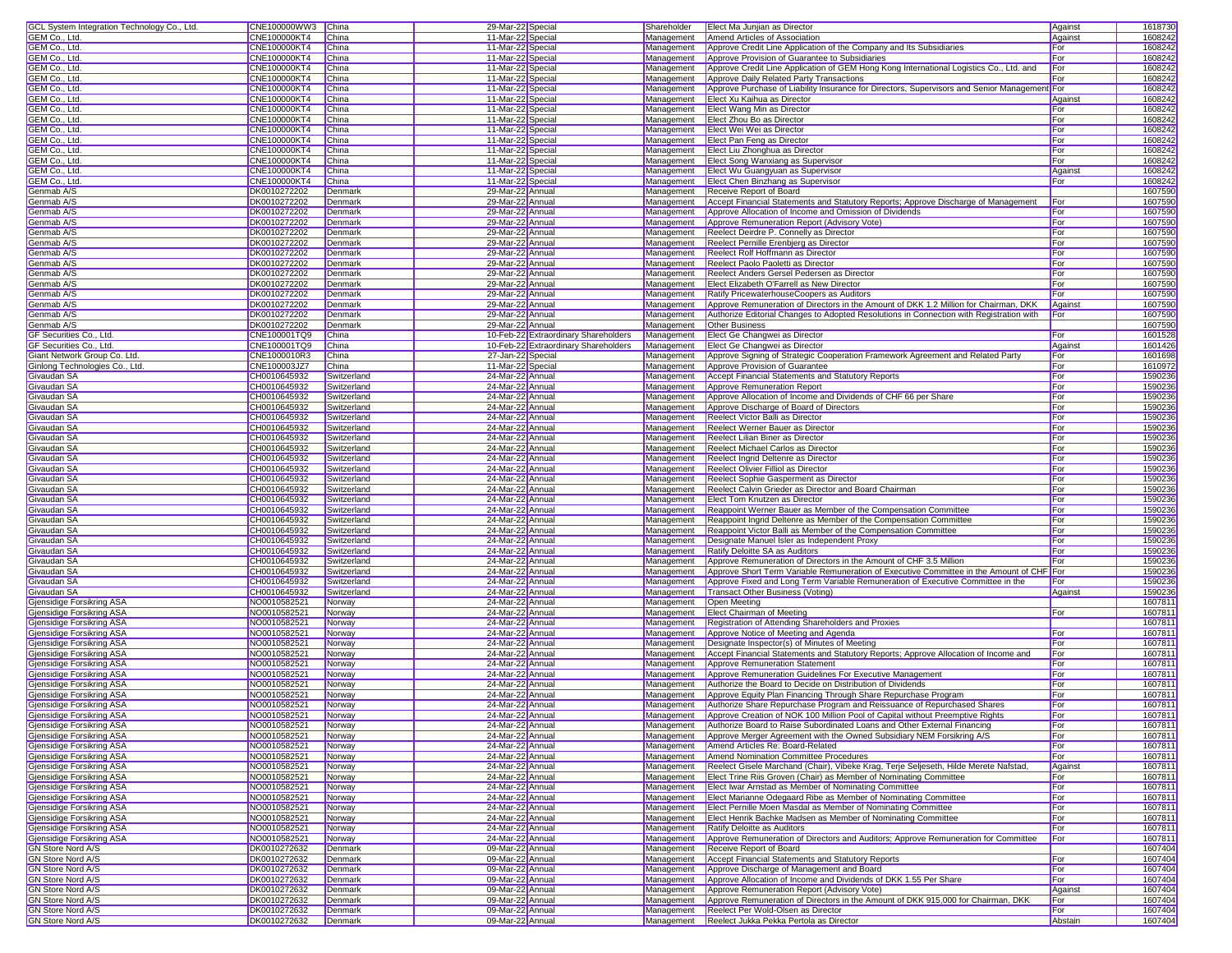| GCL System Integration Technology Co., Ltd. | CNE100000WW3 China  |             | 29-Mar-22 Special |                                      | Shareholder | Elect Ma Junjian as Director                                                                 | Against | 1618730 |
|---------------------------------------------|---------------------|-------------|-------------------|--------------------------------------|-------------|----------------------------------------------------------------------------------------------|---------|---------|
| GEM Co., Ltd.                               | <b>CNE100000KT4</b> | China       | 11-Mar-22 Special |                                      | Management  | Amend Articles of Association                                                                | Against | 1608242 |
| GEM Co., Ltd.                               | CNE100000KT4        |             | 11-Mar-22 Special |                                      |             |                                                                                              | For     | 1608242 |
|                                             |                     | China       |                   |                                      | Management  | Approve Credit Line Application of the Company and Its Subsidiaries                          |         |         |
| GEM Co., Ltd.                               | CNE100000KT4        | China       | 11-Mar-22 Special |                                      | Management  | Approve Provision of Guarantee to Subsidiaries                                               | For     | 1608242 |
| GEM Co., Ltd.                               | CNE100000KT4        | China       | 11-Mar-22 Special |                                      | Management  | Approve Credit Line Application of GEM Hong Kong International Logistics Co., Ltd. and       | For     | 1608242 |
| GEM Co., Ltd.                               | CNE100000KT4        | China       | 11-Mar-22 Special |                                      | Management  | Approve Daily Related Party Transactions                                                     | For     | 1608242 |
| GEM Co., Ltd.                               | CNE100000KT4        | China       | 11-Mar-22 Special |                                      | Management  | Approve Purchase of Liability Insurance for Directors, Supervisors and Senior Management For |         | 1608242 |
| GEM Co., Ltd.                               | <b>CNE100000KT4</b> | China       | 11-Mar-22 Special |                                      | Management  | Elect Xu Kaihua as Director                                                                  | Against | 1608242 |
| GEM Co., Ltd.                               | CNE100000KT4        | China       |                   |                                      | Management  | Elect Wang Min as Director                                                                   | For     | 1608242 |
|                                             |                     |             | 11-Mar-22 Special |                                      |             |                                                                                              |         |         |
| GEM Co., Ltd.                               | CNE100000KT4        | China       | 11-Mar-22 Special |                                      | Management  | Elect Zhou Bo as Director                                                                    | For     | 1608242 |
| GEM Co., Ltd                                | CNE100000KT4        | China       | 11-Mar-22 Special |                                      | Management  | Elect Wei Wei as Director                                                                    | For     | 1608242 |
| GEM Co., Ltd.                               | CNE100000KT4        | China       | 11-Mar-22 Special |                                      | Management  | Elect Pan Feng as Director                                                                   | For     | 1608242 |
| GEM Co., Ltd.                               | CNE100000KT4        | China       | 11-Mar-22 Special |                                      | Management  | Elect Liu Zhonghua as Director                                                               | For     | 1608242 |
| GEM Co., Ltd.                               | CNE100000KT4        | China       | 11-Mar-22 Special |                                      | Management  | Elect Song Wanxiang as Supervisor                                                            | For     | 1608242 |
|                                             |                     | China       |                   |                                      |             |                                                                                              |         | 1608242 |
| GEM Co., Ltd.                               | CNE100000KT4        |             | 11-Mar-22 Special |                                      | Management  | Elect Wu Guangyuan as Supervisor                                                             | Against |         |
| GEM Co., Ltd.                               | CNE100000KT4        | China       | 11-Mar-22 Special |                                      | Management  | Elect Chen Binzhang as Supervisor                                                            | For     | 1608242 |
| Genmab A/S                                  | DK0010272202        | Denmark     | 29-Mar-22 Annua   |                                      | Management  | Receive Report of Board                                                                      |         | 1607590 |
| Genmab A/S                                  | DK0010272202        | Denmark     | 29-Mar-22 Annual  |                                      | Management  | Accept Financial Statements and Statutory Reports; Approve Discharge of Management           | For     | 1607590 |
| Genmab A/S                                  | DK0010272202        | Denmark     | 29-Mar-22 Annual  |                                      | Management  | Approve Allocation of Income and Omission of Dividends                                       | For     | 1607590 |
| Genmab A/S                                  | DK0010272202        | Denmark     | 29-Mar-22 Annua   |                                      | Management  | Approve Remuneration Report (Advisory Vote)                                                  | For     | 1607590 |
| Genmab A/S                                  | DK0010272202        | Denmark     | 29-Mar-22 Annua   |                                      |             | Reelect Deirdre P. Connelly as Director                                                      | For     | 1607590 |
|                                             |                     |             |                   |                                      | Management  |                                                                                              |         |         |
| Genmab A/S                                  | DK0010272202        | Denmark     | 29-Mar-22 Annua   |                                      | Management  | Reelect Pernille Erenbjerg as Director                                                       | For     | 1607590 |
| Genmab A/S                                  | DK0010272202        | Denmark     | 29-Mar-22 Annua   |                                      | Management  | Reelect Rolf Hoffmann as Director                                                            | For     | 1607590 |
| Genmab A/S                                  | DK0010272202        | Denmark     | 29-Mar-22 Annual  |                                      | Management  | Reelect Paolo Paoletti as Director                                                           | For     | 1607590 |
| Genmab A/S                                  | DK0010272202        | Denmark     | 29-Mar-22 Annual  |                                      | Management  | Reelect Anders Gersel Pedersen as Director                                                   | For     | 1607590 |
| Genmab A/S                                  | DK0010272202        | Denmark     | 29-Mar-22 Annual  |                                      | Management  | Elect Elizabeth O'Farrell as New Director                                                    | For     | 1607590 |
| Genmab A/S                                  | DK0010272202        | Denmark     | 29-Mar-22 Annua   |                                      | Management  | Ratify PricewaterhouseCoopers as Auditors                                                    | For     | 1607590 |
|                                             |                     |             |                   |                                      |             |                                                                                              |         |         |
| Genmab A/S                                  | DK0010272202        | Denmark     | 29-Mar-22 Annual  |                                      | Management  | Approve Remuneration of Directors in the Amount of DKK 1.2 Million for Chairman, DKK         | Against | 1607590 |
| Genmab A/S                                  | DK0010272202        | Denmark     | 29-Mar-22 Annual  |                                      | Management  | Authorize Editorial Changes to Adopted Resolutions in Connection with Registration with      | For     | 1607590 |
| Genmab A/S                                  | DK0010272202        | Denmark     | 29-Mar-22 Annual  |                                      | Management  | <b>Other Business</b>                                                                        |         | 1607590 |
| GF Securities Co., Ltd.                     | CNE100001TQ9        | China       |                   | 10-Feb-22 Extraordinary Shareholders | Management  | Elect Ge Changwei as Director                                                                | For     | 1601528 |
| GF Securities Co., Ltd.                     | CNE100001TQ9        | China       |                   | 10-Feb-22 Extraordinary Shareholders | Management  | Elect Ge Changwei as Director                                                                | Against | 1601426 |
| Giant Network Group Co. Ltd.                | CNE1000010R3        | China       | 27-Jan-22 Special |                                      | Management  | Approve Signing of Strategic Cooperation Framework Agreement and Related Party               | For     | 1601698 |
| Ginlong Technologies Co., Ltd.              |                     | China       |                   |                                      | Management  |                                                                                              |         |         |
|                                             | CNE100003JZ7        |             | 11-Mar-22 Special |                                      |             | Approve Provision of Guarantee                                                               | For     | 161097  |
| Givaudan SA                                 | CH0010645932        | Switzerland | 24-Mar-22 Annual  |                                      | Management  | Accept Financial Statements and Statutory Reports                                            | For     | 1590236 |
| Givaudan SA                                 | CH0010645932        | Switzerland | 24-Mar-22 Annua   |                                      | Management  | Approve Remuneration Report                                                                  | For     | 1590236 |
| Givaudan SA                                 | CH0010645932        | Switzerland | 24-Mar-22 Annua   |                                      | Management  | Approve Allocation of Income and Dividends of CHF 66 per Share                               | For     | 1590236 |
| Givaudan SA                                 | CH0010645932        | Switzerland | 24-Mar-22 Annual  |                                      | Management  | Approve Discharge of Board of Directors                                                      | For     | 1590236 |
| Givaudan SA                                 | CH0010645932        | Switzerland | 24-Mar-22 Annual  |                                      | Management  | Reelect Victor Balli as Director                                                             | For     | 159023  |
|                                             |                     |             |                   |                                      |             |                                                                                              |         | 1590236 |
| Givaudan SA                                 | CH0010645932        | Switzerland | 24-Mar-22 Annua   |                                      | Management  | Reelect Werner Bauer as Director                                                             | For     |         |
| Givaudan SA                                 | CH0010645932        | Switzerland | 24-Mar-22 Annua   |                                      | Management  | Reelect Lilian Biner as Director                                                             | For     | 1590236 |
| Givaudan SA                                 | CH0010645932        | Switzerland | 24-Mar-22 Annua   |                                      | Management  | Reelect Michael Carlos as Director                                                           | For     | 1590236 |
| Givaudan SA                                 | CH0010645932        | Switzerland | 24-Mar-22 Annua   |                                      | Management  | Reelect Ingrid Deltenre as Director                                                          | For     | 1590236 |
| Givaudan SA                                 | CH0010645932        | Switzerland | 24-Mar-22 Annual  |                                      | Management  | Reelect Olivier Filliol as Director                                                          | For     | 159023  |
| Givaudan SA                                 | CH0010645932        | Switzerland | 24-Mar-22 Annual  |                                      | Management  | Reelect Sophie Gasperment as Director                                                        | For     | 1590236 |
| Givaudan SA                                 | CH0010645932        | Switzerland | 24-Mar-22 Annua   |                                      | Management  | Reelect Calvin Grieder as Director and Board Chairman                                        | For     | 1590236 |
|                                             |                     |             |                   |                                      |             |                                                                                              |         |         |
| Givaudan SA                                 | CH0010645932        | Switzerland | 24-Mar-22 Annua   |                                      | Management  | Elect Tom Knutzen as Director                                                                | For     | 1590236 |
| Givaudan SA                                 | CH0010645932        | Switzerland | 24-Mar-22 Annual  |                                      | Management  | Reappoint Werner Bauer as Member of the Compensation Committee                               | For     | 1590236 |
| Givaudan SA                                 | CH0010645932        | Switzerland | 24-Mar-22 Annual  |                                      | Management  | Reappoint Ingrid Deltenre as Member of the Compensation Committee                            | For     | 1590236 |
| Givaudan SA                                 | CH0010645932        | Switzerland | 24-Mar-22 Annua   |                                      | Management  | Reappoint Victor Balli as Member of the Compensation Committee                               | For     | 1590236 |
| Givaudan SA                                 | CH0010645932        | Switzerland | 24-Mar-22 Annua   |                                      | Management  | Designate Manuel Isler as Independent Proxy                                                  | For     | 1590236 |
| Givaudan SA                                 | CH0010645932        | Switzerland | 24-Mar-22 Annua   |                                      | Management  | Ratify Deloitte SA as Auditors                                                               | For     | 1590236 |
|                                             |                     |             |                   |                                      |             |                                                                                              | For     |         |
| Givaudan SA                                 | CH0010645932        | Switzerland | 24-Mar-22 Annua   |                                      | Management  | Approve Remuneration of Directors in the Amount of CHF 3.5 Million                           |         | 1590236 |
| Givaudan SA                                 | CH0010645932        | Switzerland | 24-Mar-22 Annual  |                                      | Management  | Approve Short Term Variable Remuneration of Executive Committee in the Amount of CHF For     |         | 159023  |
| Givaudan SA                                 | CH0010645932        | Switzerland | 24-Mar-22 Annual  |                                      | Management  | Approve Fixed and Long Term Variable Remuneration of Executive Committee in the              | For     | 1590236 |
| Givaudan SA                                 | CH0010645932        | Switzerland | 24-Mar-22 Annual  |                                      | Management  | Transact Other Business (Voting)                                                             | Against | 1590236 |
| Gjensidige Forsikring ASA                   | NO0010582521        | Norway      | 24-Mar-22 Annua   |                                      | Management  | Open Meeting                                                                                 |         | 1607811 |
| Gjensidige Forsikring ASA                   | NO0010582521        | Norway      | 24-Mar-22 Annua   |                                      | Management  | Elect Chairman of Meeting                                                                    | For     | 160781  |
|                                             |                     |             |                   |                                      |             |                                                                                              |         |         |
| Gjensidige Forsikring ASA                   | NO0010582521        | Norway      | 24-Mar-22 Annual  |                                      | Management  | Registration of Attending Shareholders and Proxies                                           |         | 160781  |
| Gjensidige Forsikring ASA                   | NO0010582521        | Norway      | 24-Mar-22 Annua   |                                      | Management  | Approve Notice of Meeting and Agenda                                                         | For     | 160781  |
| <b>Gjensidige Forsikring ASA</b>            | NO0010582521        | Norway      | 24-Mar-22 Annua   |                                      | Management  | Designate Inspector(s) of Minutes of Meeting                                                 | For     | 160781  |
| Gjensidige Forsikring ASA                   | NO0010582521        | Norway      | 24-Mar-22 Annua   |                                      | Management  | Accept Financial Statements and Statutory Reports; Approve Allocation of Income and          | For     | 160781  |
| Gjensidige Forsikring ASA                   | NO0010582521        | Norway      | 24-Mar-22 Annua   |                                      | Management  | Approve Remuneration Statement                                                               | For     | 160781  |
| Gjensidige Forsikring ASA                   | NO0010582521        | Norway      | 24-Mar-22 Annual  |                                      | Management  | Approve Remuneration Guidelines For Executive Management                                     | For     | 160781  |
| Gjensidige Forsikring ASA                   | NO0010582521        | Norway      | 24-Mar-22 Annual  |                                      | Management  | Authorize the Board to Decide on Distribution of Dividends                                   | For     | 160781  |
|                                             |                     |             |                   |                                      |             |                                                                                              |         | 160781  |
| Gjensidige Forsikring ASA                   | NO0010582521        | Norway      | 24-Mar-22 Annual  |                                      | Management  | Approve Equity Plan Financing Through Share Repurchase Program                               | For     |         |
| Gjensidige Forsikring ASA                   | NO0010582521        | Norway      | 24-Mar-22 Annua   |                                      | Management  | Authorize Share Repurchase Program and Reissuance of Repurchased Shares                      | For     | 160781  |
| Gjensidige Forsikring ASA                   | NO0010582521        | Norway      | 24-Mar-22 Annual  |                                      | Management  | Approve Creation of NOK 100 Million Pool of Capital without Preemptive Rights                | For     | 1607811 |
| Gjensidige Forsikring ASA                   | NO0010582521        | Norway      | 24-Mar-22 Annua   |                                      | Management  | Authorize Board to Raise Subordinated Loans and Other External Financing                     | For     | 1607811 |
| Gjensidige Forsikring ASA                   | NO0010582521        | Norway      | 24-Mar-22 Annua   |                                      | Management  | Approve Merger Agreement with the Owned Subsidiary NEM Forsikring A/S                        | For     | 1607811 |
| Giensidige Forsikring ASA                   | NO0010582521        | Norway      | 24-Mar-22 Annua   |                                      | Management  | Amend Articles Re: Board-Related                                                             | For     | 160781  |
| Gjensidige Forsikring ASA                   | NO0010582521        | Norway      | 24-Mar-22 Annua   |                                      | Management  | Amend Nomination Committee Procedures                                                        | For     | 160781  |
|                                             |                     |             |                   |                                      |             |                                                                                              |         |         |
| Gjensidige Forsikring ASA                   | NO0010582521        | Norway      | 24-Mar-22 Annual  |                                      | Management  | Reelect Gisele Marchand (Chair), Vibeke Krag, Terje Seljeseth, Hilde Merete Nafstad          | Against | 160781  |
| Gjensidige Forsikring ASA                   | NO0010582521        | Norway      | 24-Mar-22 Annual  |                                      | Management  | Elect Trine Riis Groven (Chair) as Member of Nominating Committee                            | For     | 160781  |
| Gjensidige Forsikring ASA                   | NO0010582521        | Norway      | 24-Mar-22 Annual  |                                      | Management  | Elect Iwar Arnstad as Member of Nominating Committee                                         | For     | 160781  |
| Giensidige Forsikring ASA                   | NO0010582521        | Norway      | 24-Mar-22 Annual  |                                      | Management  | Elect Marianne Odegaard Ribe as Member of Nominating Committee                               | For     | 160781  |
| Gjensidige Forsikring ASA                   | NO0010582521        | Norway      | 24-Mar-22 Annual  |                                      | Management  | Elect Pernille Moen Masdal as Member of Nominating Committee                                 | For     | 160781  |
| Gjensidige Forsikring ASA                   | NO0010582521        | Norway      | 24-Mar-22 Annual  |                                      | Management  | Elect Henrik Bachke Madsen as Member of Nominating Committee                                 | For     | 160781  |
|                                             |                     |             |                   |                                      |             |                                                                                              |         |         |
| Gjensidige Forsikring ASA                   | NO0010582521        | Norway      | 24-Mar-22 Annual  |                                      | Management  | Ratify Deloitte as Auditors                                                                  | For     | 160781  |
| Gjensidige Forsikring ASA                   | NO0010582521        | Norway      | 24-Mar-22 Annual  |                                      | Management  | Approve Remuneration of Directors and Auditors; Approve Remuneration for Committee           | For     | 160781  |
| <b>GN Store Nord A/S</b>                    | DK0010272632        | Denmark     | 09-Mar-22 Annua   |                                      | Management  | Receive Report of Board                                                                      |         | 1607404 |
| <b>GN Store Nord A/S</b>                    | DK0010272632        | Denmark     | 09-Mar-22 Annua   |                                      | Management  | <b>Accept Financial Statements and Statutory Reports</b>                                     | For     | 1607404 |
| <b>GN Store Nord A/S</b>                    | DK0010272632        | Denmark     | 09-Mar-22 Annual  |                                      | Management  | Approve Discharge of Management and Board                                                    | For     | 1607404 |
| <b>GN Store Nord A/S</b>                    | DK0010272632        | Denmark     | 09-Mar-22 Annual  |                                      | Management  | Approve Allocation of Income and Dividends of DKK 1.55 Per Share                             | For     | 1607404 |
| <b>GN Store Nord A/S</b>                    | DK0010272632        | Denmark     | 09-Mar-22 Annual  |                                      | Management  | Approve Remuneration Report (Advisory Vote)                                                  | Against | 1607404 |
|                                             |                     |             |                   |                                      |             |                                                                                              |         |         |
| <b>GN Store Nord A/S</b>                    | DK0010272632        | Denmark     | 09-Mar-22 Annual  |                                      | Management  | Approve Remuneration of Directors in the Amount of DKK 915,000 for Chairman, DKK             | For     | 1607404 |
| <b>GN Store Nord A/S</b>                    | DK0010272632        | Denmark     | 09-Mar-22 Annua   |                                      | Management  | Reelect Per Wold-Olsen as Director                                                           | For     | 1607404 |
| <b>GN Store Nord A/S</b>                    | DK0010272632        | Denmark     | 09-Mar-22 Annual  |                                      |             | Management Reelect Jukka Pekka Pertola as Director                                           | Abstain | 1607404 |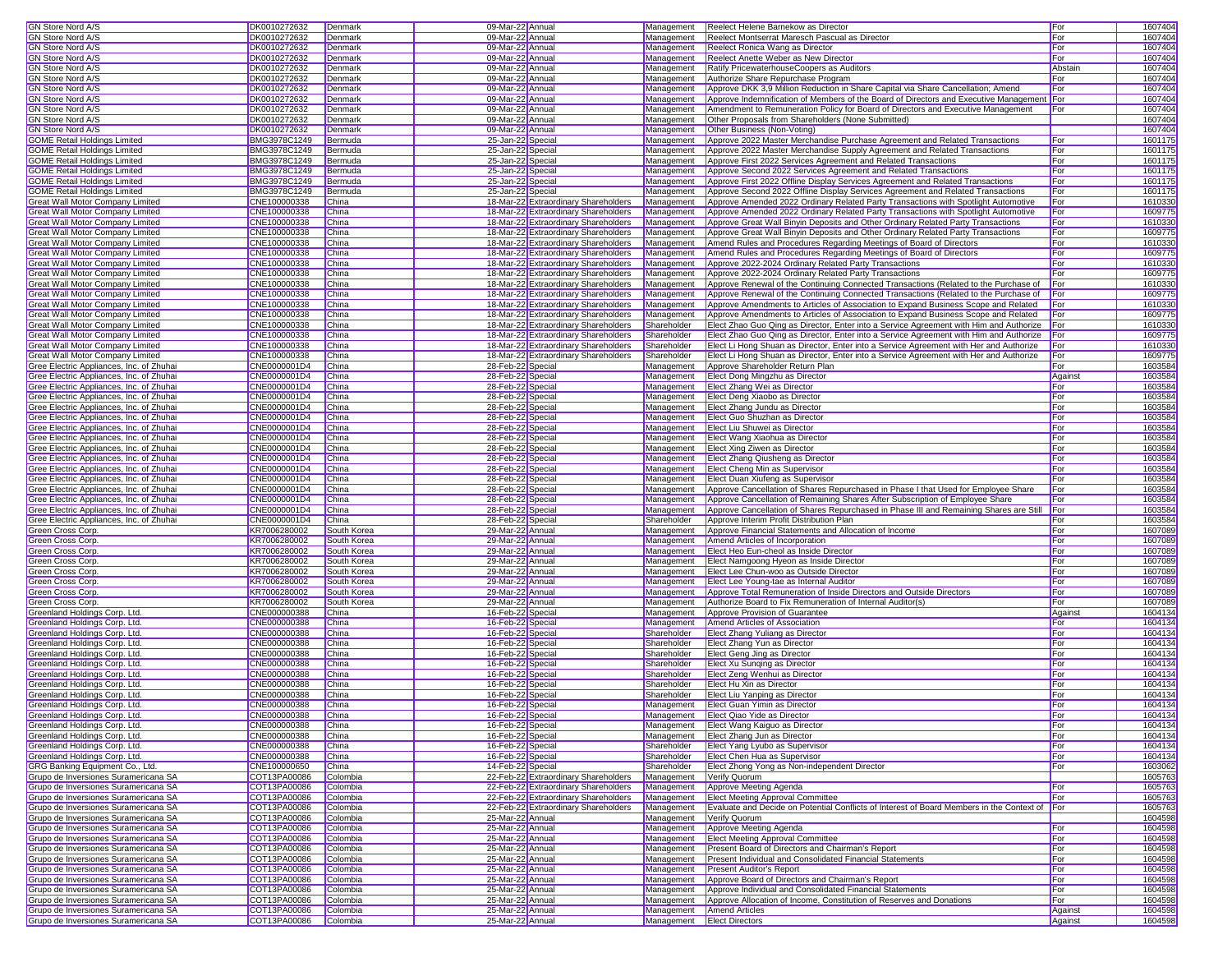| <b>GN Store Nord A/S</b>                 | DK0010272632          | Denmark     | 09-Mar-22 Annual  |                                      | Management                 | Reelect Helene Barnekow as Director                                                           | For        | 1607404 |
|------------------------------------------|-----------------------|-------------|-------------------|--------------------------------------|----------------------------|-----------------------------------------------------------------------------------------------|------------|---------|
| GN Store Nord A/S                        | DK0010272632          | Denmark     | 09-Mar-22 Annual  |                                      | Management                 | Reelect Montserrat Maresch Pascual as Director                                                | For        | 1607404 |
| <b>GN Store Nord A/S</b>                 | DK0010272632          | Denmark     | 09-Mar-22 Annual  |                                      | Management                 | Reelect Ronica Wang as Director                                                               | For        | 1607404 |
| <b>GN Store Nord A/S</b>                 | DK0010272632          | Denmark     | 09-Mar-22 Annual  |                                      | Management                 | Reelect Anette Weber as New Director                                                          | For        | 1607404 |
| <b>GN Store Nord A/S</b>                 | DK0010272632          | Denmark     | 09-Mar-22 Annual  |                                      | Management                 | Ratify PricewaterhouseCoopers as Auditors                                                     | Abstair    | 1607404 |
| <b>GN Store Nord A/S</b>                 | DK0010272632          | Denmark     | 09-Mar-22 Annual  |                                      | Management                 | Authorize Share Repurchase Program                                                            | For        | 1607404 |
| GN Store Nord A/S                        | DK0010272632          | Denmark     | 09-Mar-22 Annual  |                                      | Management                 | Approve DKK 3,9 Million Reduction in Share Capital via Share Cancellation; Amend              | For        | 1607404 |
| <b>GN Store Nord A/S</b>                 | DK0010272632          | Denmark     | 09-Mar-22 Annual  |                                      | Management                 | Approve Indemnification of Members of the Board of Directors and Executive Management For     |            | 1607404 |
| GN Store Nord A/S                        | DK0010272632          | Denmark     | 09-Mar-22 Annual  |                                      | Management                 | Amendment to Remuneration Policy for Board of Directors and Executive Management              | For        | 1607404 |
| GN Store Nord A/S                        | DK0010272632          | Denmark     | 09-Mar-22 Annual  |                                      | Management                 | Other Proposals from Shareholders (None Submitted)                                            |            | 1607404 |
| <b>GN Store Nord A/S</b>                 | DK0010272632          | Denmark     | 09-Mar-22 Annual  |                                      | Management                 | Other Business (Non-Voting)                                                                   |            | 1607404 |
| <b>GOME Retail Holdings Limited</b>      | BMG3978C1249          | Bermuda     | 25-Jan-22 Special |                                      | Management                 | Approve 2022 Master Merchandise Purchase Agreement and Related Transactions                   | For        | 1601175 |
| <b>GOME Retail Holdings Limited</b>      | BMG3978C1249          | Bermuda     | 25-Jan-22 Special |                                      | Management                 | Approve 2022 Master Merchandise Supply Agreement and Related Transactions                     | For        | 1601175 |
| <b>GOME Retail Holdings Limited</b>      | BMG3978C1249          | Bermuda     | 25-Jan-22 Special |                                      | Management                 | Approve First 2022 Services Agreement and Related Transactions                                | For        | 1601175 |
| <b>GOME Retail Holdings Limited</b>      | BMG3978C1249          | Bermuda     | 25-Jan-22 Special |                                      | Management                 | Approve Second 2022 Services Agreement and Related Transactions                               | For        | 1601175 |
| <b>GOME Retail Holdings Limited</b>      | BMG3978C1249          | Bermuda     | 25-Jan-22 Special |                                      | Management                 | Approve First 2022 Offline Display Services Agreement and Related Transactions                | For        | 1601175 |
| <b>GOME Retail Holdings Limited</b>      | BMG3978C1249          | Bermuda     | 25-Jan-22 Special |                                      | Management                 | Approve Second 2022 Offline Display Services Agreement and Related Transactions               | For        | 1601175 |
| Great Wall Motor Company Limited         | CNE100000338          | China       |                   | 18-Mar-22 Extraordinary Shareholders | Management                 | Approve Amended 2022 Ordinary Related Party Transactions with Spotlight Automotive            | For        | 1610330 |
| Great Wall Motor Company Limited         | CNE100000338          | China       |                   | 18-Mar-22 Extraordinary Shareholders | Management                 | Approve Amended 2022 Ordinary Related Party Transactions with Spotlight Automotive            | For        | 1609775 |
| Great Wall Motor Company Limited         | CNE100000338          | China       |                   | 18-Mar-22 Extraordinary Shareholders | Management                 | Approve Great Wall Binyin Deposits and Other Ordinary Related Party Transactions              | For        | 1610330 |
| Great Wall Motor Company Limited         | CNE100000338          | China       |                   | 18-Mar-22 Extraordinary Shareholders | Management                 | Approve Great Wall Binyin Deposits and Other Ordinary Related Party Transactions              | For        | 1609775 |
| Great Wall Motor Company Limited         | CNE100000338          | China       |                   | 18-Mar-22 Extraordinary Shareholders | Management                 | Amend Rules and Procedures Regarding Meetings of Board of Directors                           | For        | 1610330 |
| Great Wall Motor Company Limited         | CNE100000338          | China       |                   | 18-Mar-22 Extraordinary Shareholders | Management                 | Amend Rules and Procedures Regarding Meetings of Board of Directors                           | For        | 1609775 |
| Great Wall Motor Company Limited         | CNE100000338          | China       |                   | 18-Mar-22 Extraordinary Shareholders | Management                 | Approve 2022-2024 Ordinary Related Party Transactions                                         | For        | 1610330 |
| Great Wall Motor Company Limited         | CNE100000338          | China       |                   | 18-Mar-22 Extraordinary Shareholders | Management                 | Approve 2022-2024 Ordinary Related Party Transactions                                         | For        | 1609775 |
| Great Wall Motor Company Limited         | CNE100000338          | China       |                   | 18-Mar-22 Extraordinary Shareholders | Management                 | Approve Renewal of the Continuing Connected Transactions (Related to the Purchase of          | For        | 1610330 |
| Great Wall Motor Company Limited         | CNE100000338          | China       |                   | 18-Mar-22 Extraordinary Shareholders | Management                 | Approve Renewal of the Continuing Connected Transactions (Related to the Purchase of          | <b>For</b> | 1609775 |
| <b>Great Wall Motor Company Limited</b>  | CNE100000338          | China       |                   | 18-Mar-22 Extraordinary Shareholders | Management                 | Approve Amendments to Articles of Association to Expand Business Scope and Related            | For        | 161033  |
| Great Wall Motor Company Limited         | CNE100000338          | China       |                   | 18-Mar-22 Extraordinary Shareholders | Management                 | Approve Amendments to Articles of Association to Expand Business Scope and Related            | For        | 1609775 |
| <b>Great Wall Motor Company Limited</b>  | CNE100000338          | China       |                   | 18-Mar-22 Extraordinary Shareholders | Shareholder                | Elect Zhao Guo Qing as Director, Enter into a Service Agreement with Him and Authorize For    |            | 1610330 |
| Great Wall Motor Company Limited         | CNE100000338          | China       |                   | 18-Mar-22 Extraordinary Shareholders | Shareholder                | Elect Zhao Guo Qing as Director, Enter into a Service Agreement with Him and Authorize For    |            | 1609775 |
| Great Wall Motor Company Limited         | CNE100000338          | China       |                   | 18-Mar-22 Extraordinary Shareholders | Shareholder                | Elect Li Hong Shuan as Director, Enter into a Service Agreement with Her and Authorize        | For        | 1610330 |
| Great Wall Motor Company Limited         | CNE100000338          | China       |                   | 18-Mar-22 Extraordinary Shareholders | Shareholder                | Elect Li Hong Shuan as Director, Enter into a Service Agreement with Her and Authorize        | For        | 1609775 |
| Gree Electric Appliances, Inc. of Zhuhai | CNE0000001D4          | China       | 28-Feb-22 Special |                                      | Management                 | Approve Shareholder Return Plan                                                               | For        | 1603584 |
| Gree Electric Appliances, Inc. of Zhuhai | CNE0000001D4          | China       | 28-Feb-22 Special |                                      | Management                 | Elect Dong Mingzhu as Director                                                                | Against    | 1603584 |
| Gree Electric Appliances, Inc. of Zhuhai | CNE0000001D4          | China       | 28-Feb-22 Special |                                      | Management                 | Elect Zhang Wei as Director                                                                   | For        | 1603584 |
| Gree Electric Appliances, Inc. of Zhuhai | CNE0000001D4          | China       | 28-Feb-22 Special |                                      | Management                 | Elect Deng Xiaobo as Director                                                                 | For        | 1603584 |
| Gree Electric Appliances, Inc. of Zhuhai | CNE0000001D4          | China       | 28-Feb-22 Special |                                      | Management                 | Elect Zhang Jundu as Director                                                                 | For        | 1603584 |
| Gree Electric Appliances, Inc. of Zhuhai | CNE0000001D4          | China       | 28-Feb-22 Special |                                      | Management                 | Elect Guo Shuzhan as Director                                                                 | For        | 1603584 |
| Gree Electric Appliances, Inc. of Zhuhai | CNE0000001D4          | China       | 28-Feb-22 Special |                                      | Management                 | Elect Liu Shuwei as Director                                                                  | For        | 1603584 |
| Gree Electric Appliances, Inc. of Zhuhai | CNE0000001D4          | China       | 28-Feb-22 Special |                                      | Management                 | Elect Wang Xiaohua as Director                                                                | For        | 1603584 |
| Gree Electric Appliances, Inc. of Zhuhai | CNE0000001D4          | China       | 28-Feb-22 Special |                                      | Management                 | Elect Xing Ziwen as Director                                                                  | For        | 1603584 |
| Gree Electric Appliances, Inc. of Zhuhai | CNE0000001D4          | China       | 28-Feb-22 Special |                                      | Management                 | Elect Zhang Qiusheng as Director                                                              | For        | 1603584 |
| Gree Electric Appliances, Inc. of Zhuhai | CNE0000001D4          | China       | 28-Feb-22 Special |                                      | Management                 | Elect Cheng Min as Supervisor                                                                 | For        | 1603584 |
| Gree Electric Appliances, Inc. of Zhuhai | CNE0000001D4          | China       | 28-Feb-22 Special |                                      | Management                 | Elect Duan Xiufeng as Supervisor                                                              | For        | 1603584 |
| Gree Electric Appliances, Inc. of Zhuhai | CNE0000001D4          | China       | 28-Feb-22 Special |                                      | Management                 | Approve Cancellation of Shares Repurchased in Phase I that Used for Employee Share            | For        | 1603584 |
| Gree Electric Appliances, Inc. of Zhuhai | CNE0000001D4          | China       | 28-Feb-22 Special |                                      | Management                 | Approve Cancellation of Remaining Shares After Subscription of Employee Share                 | For        | 1603584 |
| Gree Electric Appliances, Inc. of Zhuhai | CNE0000001D4          | China       | 28-Feb-22 Special |                                      | Management                 | Approve Cancellation of Shares Repurchased in Phase III and Remaining Shares are Still For    |            | 1603584 |
| Gree Electric Appliances, Inc. of Zhuhai | CNE0000001D4          | China       | 28-Feb-22 Special |                                      | Shareholder                | Approve Interim Profit Distribution Plan                                                      | For        | 1603584 |
| Green Cross Corp.                        | KR7006280002          | South Korea | 29-Mar-22 Annual  |                                      | Management                 | Approve Financial Statements and Allocation of Income                                         | For        | 1607089 |
| Green Cross Corp.                        | KR7006280002          | South Korea | 29-Mar-22 Annual  |                                      | Management                 | Amend Articles of Incorporation                                                               | For        | 1607089 |
| Green Cross Corp.                        | KR7006280002          | South Korea | 29-Mar-22 Annual  |                                      | Management                 | Elect Heo Eun-cheol as Inside Director                                                        | For        | 1607089 |
| Green Cross Corp.                        | KR7006280002          | South Korea | 29-Mar-22 Annual  |                                      | Management                 | Elect Namgoong Hyeon as Inside Director                                                       | For        | 1607089 |
| Green Cross Corp.                        | KR7006280002          | South Korea | 29-Mar-22 Annual  |                                      | Management                 | Elect Lee Chun-woo as Outside Director                                                        | For        | 1607089 |
| Green Cross Corp.                        | KR7006280002          | South Korea | 29-Mar-22 Annual  |                                      | Management                 | Elect Lee Young-tae as Internal Auditor                                                       | For        | 1607089 |
| Green Cross Corp.                        | KR7006280002          | South Korea | 29-Mar-22 Annual  |                                      | Management                 | Approve Total Remuneration of Inside Directors and Outside Directors                          | For        | 1607089 |
| Green Cross Corp.                        | KR7006280002          | South Korea | 29-Mar-22 Annual  |                                      | Management                 | Authorize Board to Fix Remuneration of Internal Auditor(s)                                    | For        | 1607089 |
| Greenland Holdings Corp. Ltd.            | CNE000000388          | China       | 16-Feb-22 Special |                                      | Management                 | Approve Provision of Guarantee                                                                | Against    | 1604134 |
| Greenland Holdings Corp. Ltd.            | CNE000000388          | China       | 16-Feb-22 Special |                                      | Management                 | Amend Articles of Association                                                                 | For        | 1604134 |
| Greenland Holdings Corp. Ltd.            | CNE000000388          | China       | 16-Feb-22 Special |                                      | Shareholder                | Elect Zhang Yuliang as Director                                                               | For        | 1604134 |
| Greenland Holdings Corp. Ltd.            | CNE000000388          | China       | 16-Feb-22 Special |                                      | Shareholder                | Elect Zhang Yun as Director                                                                   | For        | 1604134 |
| Greenland Holdings Corp. Ltd.            | CNE000000388          | China       | 16-Feb-22 Special |                                      | Shareholder                | Elect Geng Jing as Director                                                                   | For        | 1604134 |
| Greenland Holdings Corp. Ltd.            | CNE000000388          | China       | 16-Feb-22 Special |                                      | Shareholder                | Elect Xu Sunging as Director                                                                  | For        | 1604134 |
| Greenland Holdings Corp. Ltd.            | CNE000000388          | China       | 16-Feb-22 Special |                                      | Shareholder                | Elect Zeng Wenhui as Director                                                                 | For        | 1604134 |
| Greenland Holdings Corp. Ltd.            | CNE000000388          | China       | 16-Feb-22 Special |                                      | Shareholder                | Elect Hu Xin as Director                                                                      | For        | 1604134 |
| Greenland Holdings Corp. Ltd.            | CNE000000388          | China       | 16-Feb-22 Special |                                      | Shareholder                | Elect Liu Yanping as Director                                                                 | For        | 1604134 |
| Greenland Holdings Corp. Ltd.            | CNE000000388          | China       | 16-Feb-22 Special |                                      | Management                 | Elect Guan Yimin as Director                                                                  | For        | 1604134 |
| Greenland Holdings Corp. Ltd.            | CNE000000388          | China       | 16-Feb-22 Special |                                      | Management                 | Elect Qiao Yide as Director                                                                   | For        | 1604134 |
| Greenland Holdings Corp. Ltd.            | CNE000000388          | China       | 16-Feb-22 Special |                                      |                            | Management Elect Wang Kaiguo as Director                                                      | For        | 1604134 |
| Greenland Holdings Corp. Ltd.            | CNE000000388          | China       | 16-Feb-22 Special |                                      |                            | Management Elect Zhang Jun as Director                                                        | For        | 1604134 |
| Greenland Holdings Corp. Ltd.            | CNE000000388          | China       | 16-Feb-22 Special |                                      | Shareholder                | Elect Yang Lyubo as Supervisor                                                                | For        | 1604134 |
| Greenland Holdings Corp. Ltd.            | CNE000000388          | China       | 16-Feb-22 Special |                                      | Shareholder                | Elect Chen Hua as Supervisor                                                                  | For        | 1604134 |
| GRG Banking Equipment Co., Ltd.          | CNE100000650          | China       | 14-Feb-22 Special |                                      | Shareholder                | Elect Zhong Yong as Non-independent Director                                                  | For        | 1603062 |
| Grupo de Inversiones Suramericana SA     | COT13PA00086          | Colombia    |                   | 22-Feb-22 Extraordinary Shareholders | Management                 | Verify Quorum                                                                                 |            | 1605763 |
| Grupo de Inversiones Suramericana SA     | COT13PA00086          | Colombia    |                   | 22-Feb-22 Extraordinary Shareholders | Management                 | Approve Meeting Agenda                                                                        | For        | 1605763 |
| Grupo de Inversiones Suramericana SA     | COT13PA00086          | Colombia    |                   | 22-Feb-22 Extraordinary Shareholders | Management                 | <b>Elect Meeting Approval Committee</b>                                                       | For        | 1605763 |
| Grupo de Inversiones Suramericana SA     | COT13PA00086          | Colombia    |                   | 22-Feb-22 Extraordinary Shareholders | Management                 | Evaluate and Decide on Potential Conflicts of Interest of Board Members in the Context of For |            | 1605763 |
| Grupo de Inversiones Suramericana SA     | COT13PA00086          | Colombia    | 25-Mar-22 Annual  |                                      | Management                 | <b>Verify Quorum</b>                                                                          |            | 1604598 |
| Grupo de Inversiones Suramericana SA     | COT13PA00086          | Colombia    | 25-Mar-22 Annual  |                                      | Management                 | Approve Meeting Agenda                                                                        | For        | 1604598 |
| Grupo de Inversiones Suramericana SA     | COT13PA00086          | Colombia    | 25-Mar-22 Annual  |                                      | Management                 | <b>Elect Meeting Approval Committee</b>                                                       | For        | 1604598 |
| Grupo de Inversiones Suramericana SA     | COT13PA00086          | Colombia    | 25-Mar-22 Annual  |                                      | Management                 | Present Board of Directors and Chairman's Report                                              | For        | 1604598 |
| Grupo de Inversiones Suramericana SA     | COT13PA00086          | Colombia    | 25-Mar-22 Annual  |                                      | Management                 | Present Individual and Consolidated Financial Statements                                      | For        | 1604598 |
| Grupo de Inversiones Suramericana SA     | COT13PA00086          | Colombia    | 25-Mar-22 Annual  |                                      | Management                 | <b>Present Auditor's Report</b>                                                               | For        | 1604598 |
| Grupo de Inversiones Suramericana SA     | COT13PA00086          | Colombia    | 25-Mar-22 Annual  |                                      | Management                 | Approve Board of Directors and Chairman's Report                                              | For        | 1604598 |
| Grupo de Inversiones Suramericana SA     | COT13PA00086          | Colombia    | 25-Mar-22 Annual  |                                      | Management                 | Approve Individual and Consolidated Financial Statements                                      | For        | 1604598 |
| Grupo de Inversiones Suramericana SA     | COT13PA00086          | Colombia    | 25-Mar-22 Annual  |                                      | Management                 | Approve Allocation of Income, Constitution of Reserves and Donations                          | For        | 1604598 |
| Grupo de Inversiones Suramericana SA     | COT13PA00086          | Colombia    | 25-Mar-22 Annual  |                                      | Management Amend Articles  |                                                                                               | Against    | 1604598 |
| Grupo de Inversiones Suramericana SA     | COT13PA00086 Colombia |             | 25-Mar-22 Annual  |                                      | Management Elect Directors |                                                                                               | Against    | 1604598 |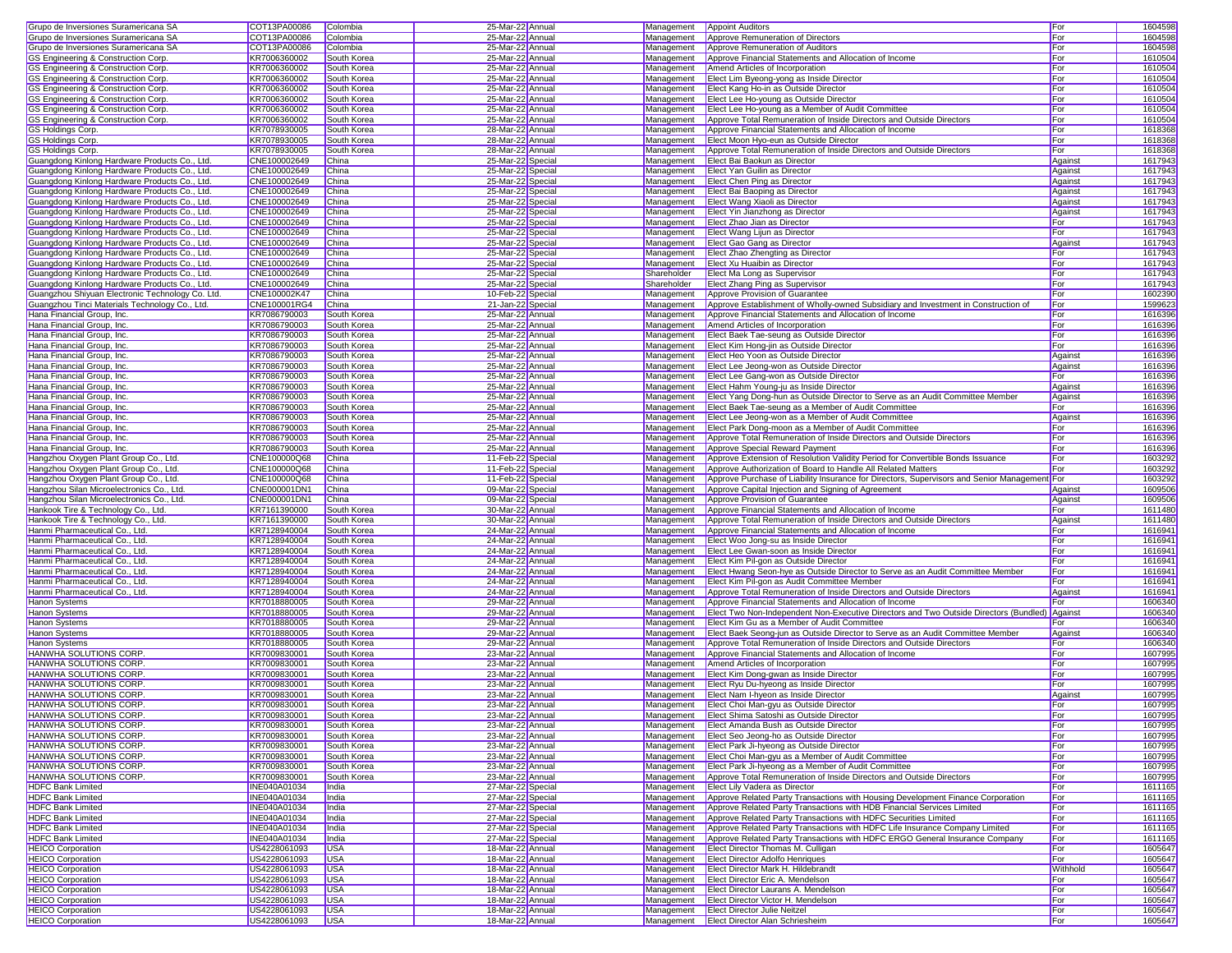| Grupo de Inversiones Suramericana SA             | COT13PA00086                 | Colombia    | 25-Mar-22 Annual  | Management  | <b>Appoint Auditors</b>                                                                       | For          | 1604598 |
|--------------------------------------------------|------------------------------|-------------|-------------------|-------------|-----------------------------------------------------------------------------------------------|--------------|---------|
| Grupo de Inversiones Suramericana SA             | COT13PA00086                 | Colombia    | 25-Mar-22 Annua   | Management  | Approve Remuneration of Directors                                                             | For          | 1604598 |
|                                                  | COT13PA00086                 |             |                   |             |                                                                                               |              |         |
| Grupo de Inversiones Suramericana SA             |                              | Colombia    | 25-Mar-22 Annual  | Management  | Approve Remuneration of Auditors                                                              | For          | 1604598 |
| GS Engineering & Construction Corp.              | KR7006360002                 | South Korea | 25-Mar-22 Annual  | Management  | Approve Financial Statements and Allocation of Income                                         | For          | 1610504 |
| GS Engineering & Construction Corp.              | KR7006360002                 | South Korea | 25-Mar-22 Annual  | Management  | Amend Articles of Incorporation                                                               | For          | 1610504 |
| GS Engineering & Construction Corp.              | KR7006360002                 | South Korea | 25-Mar-22 Annual  | Management  | Elect Lim Byeong-yong as Inside Director                                                      | For          | 1610504 |
| GS Engineering & Construction Corp.              | KR7006360002                 | South Korea | 25-Mar-22 Annual  | Management  | Elect Kang Ho-in as Outside Director                                                          | For          | 1610504 |
| GS Engineering & Construction Corp.              | KR7006360002                 | South Korea | 25-Mar-22 Annual  | Management  | Elect Lee Ho-young as Outside Director                                                        | For          | 1610504 |
|                                                  |                              |             |                   |             |                                                                                               |              |         |
| GS Engineering & Construction Corp.              | KR7006360002                 | South Korea | 25-Mar-22 Annual  | Management  | Elect Lee Ho-young as a Member of Audit Committee                                             | For          | 1610504 |
| GS Engineering & Construction Corp.              | KR7006360002                 | South Korea | 25-Mar-22 Annual  | Management  | Approve Total Remuneration of Inside Directors and Outside Directors                          | For          | 1610504 |
| <b>GS Holdings Corp.</b>                         | KR7078930005                 | South Korea | 28-Mar-22 Annua   | Management  | Approve Financial Statements and Allocation of Income                                         | For          | 1618368 |
| <b>GS Holdings Corp.</b>                         | KR7078930005                 | South Korea | 28-Mar-22 Annual  | Management  | Elect Moon Hyo-eun as Outside Director                                                        | For          | 1618368 |
| GS Holdings Corp.                                | KR7078930005                 | South Korea | 28-Mar-22 Annual  | Management  | Approve Total Remuneration of Inside Directors and Outside Directors                          | For          | 1618368 |
| Guangdong Kinlong Hardware Products Co., Ltd.    | CNE100002649                 |             |                   |             |                                                                                               |              | 1617943 |
|                                                  |                              | China       | 25-Mar-22 Special | Management  | Elect Bai Baokun as Director                                                                  | Against      |         |
| Guangdong Kinlong Hardware Products Co., Ltd.    | CNE100002649                 | China       | 25-Mar-22 Special | Management  | Elect Yan Guilin as Director                                                                  | Against      | 1617943 |
| Guangdong Kinlong Hardware Products Co., Ltd.    | CNE100002649                 | China       | 25-Mar-22 Special | Management  | <b>Elect Chen Ping as Director</b>                                                            | Against      | 1617943 |
| Guangdong Kinlong Hardware Products Co., Ltd.    | CNE100002649                 | China       | 25-Mar-22 Special | Management  | Elect Bai Baoping as Director                                                                 | Against      | 1617943 |
| Guangdong Kinlong Hardware Products Co., Ltd.    | CNE100002649                 | China       | 25-Mar-22 Special | Management  | Elect Wang Xiaoli as Director                                                                 | Against      | 1617943 |
| Guangdong Kinlong Hardware Products Co., Ltd.    | CNE100002649                 | China       | 25-Mar-22 Special | Management  | Elect Yin Jianzhong as Director                                                               | Against      | 1617943 |
|                                                  | CNE100002649                 |             |                   |             | Elect Zhao Jian as Director                                                                   |              | 1617943 |
| Guangdong Kinlong Hardware Products Co., Ltd.    |                              | China       | 25-Mar-22 Special | Management  |                                                                                               | For          |         |
| Guangdong Kinlong Hardware Products Co., Ltd.    | CNE100002649                 | China       | 25-Mar-22 Special | Management  | Elect Wang Lijun as Director                                                                  | For          | 1617943 |
| Guangdong Kinlong Hardware Products Co., Ltd.    | CNE100002649                 | China       | 25-Mar-22 Special | Management  | Elect Gao Gang as Director                                                                    | Against      | 1617943 |
| Guangdong Kinlong Hardware Products Co., Ltd.    | CNE100002649                 | China       | 25-Mar-22 Special | Management  | Elect Zhao Zhengting as Director                                                              | For          | 1617943 |
| Guangdong Kinlong Hardware Products Co., Ltd.    | CNE100002649                 | China       | 25-Mar-22 Special | Management  | Elect Xu Huaibin as Director                                                                  | For          | 1617943 |
| Guangdong Kinlong Hardware Products Co., Ltd.    | CNE100002649                 | China       | 25-Mar-22 Special | Shareholder | Elect Ma Long as Supervisor                                                                   | For          | 1617943 |
| Guangdong Kinlong Hardware Products Co., Ltd.    | CNE100002649                 | China       | 25-Mar-22 Special | Shareholder | Elect Zhang Ping as Supervisor                                                                | For          | 1617943 |
|                                                  |                              |             |                   |             |                                                                                               |              |         |
| Guangzhou Shiyuan Electronic Technology Co. Ltd. | CNE100002K47                 | China       | 10-Feb-22 Special | Management  | Approve Provision of Guarantee                                                                | For          | 1602390 |
| Guangzhou Tinci Materials Technology Co., Ltd.   | CNE100001RG4                 | China       | 21-Jan-22 Special | Management  | Approve Establishment of Wholly-owned Subsidiary and Investment in Construction of            | For          | 1599623 |
| Hana Financial Group, Inc.                       | KR7086790003                 | South Korea | 25-Mar-22 Annual  | Management  | Approve Financial Statements and Allocation of Income                                         | For          | 1616396 |
| Hana Financial Group, Inc.                       | KR7086790003                 | South Korea | 25-Mar-22 Annual  | Management  | Amend Articles of Incorporation                                                               | For          | 1616396 |
| Hana Financial Group, Inc.                       | KR7086790003                 | South Korea | 25-Mar-22 Annua   | Management  | Elect Baek Tae-seung as Outside Director                                                      | For          | 1616396 |
| Hana Financial Group, Inc.                       | KR7086790003                 | South Korea | 25-Mar-22 Annua   | Management  |                                                                                               | For          | 1616396 |
|                                                  |                              |             |                   |             | Elect Kim Hong-jin as Outside Director                                                        |              |         |
| Hana Financial Group, Inc.                       | KR7086790003                 | South Korea | 25-Mar-22 Annual  | Management  | Elect Heo Yoon as Outside Director                                                            | Against      | 1616396 |
| Hana Financial Group, Inc.                       | KR7086790003                 | South Korea | 25-Mar-22 Annual  | Management  | Elect Lee Jeong-won as Outside Director                                                       | Against      | 1616396 |
| Hana Financial Group, Inc.                       | KR7086790003                 | South Korea | 25-Mar-22 Annual  | Management  | Elect Lee Gang-won as Outside Director                                                        | For          | 1616396 |
| Hana Financial Group, Inc.                       | KR7086790003                 | South Korea | 25-Mar-22 Annual  | Management  | Elect Hahm Young-ju as Inside Director                                                        | Against      | 1616396 |
| Hana Financial Group, Inc.                       | KR7086790003                 | South Korea | 25-Mar-22 Annual  | Management  | Elect Yang Dong-hun as Outside Director to Serve as an Audit Committee Member                 | Against      | 1616396 |
| Hana Financial Group, Inc.                       | KR7086790003                 | South Korea | 25-Mar-22 Annual  | Management  | Elect Baek Tae-seung as a Member of Audit Committee                                           | For          | 1616396 |
|                                                  |                              |             |                   |             |                                                                                               |              |         |
| Hana Financial Group, Inc.                       | KR7086790003                 | South Korea | 25-Mar-22 Annual  | Management  | Elect Lee Jeong-won as a Member of Audit Committee                                            | Against      | 1616396 |
| Hana Financial Group, Inc.                       | KR7086790003                 | South Korea | 25-Mar-22 Annual  | Management  | Elect Park Dong-moon as a Member of Audit Committee                                           | For          | 1616396 |
| Hana Financial Group, Inc.                       | KR7086790003                 | South Korea | 25-Mar-22 Annua   | Management  | Approve Total Remuneration of Inside Directors and Outside Directors                          | For          | 1616396 |
| Hana Financial Group, Inc.                       | KR7086790003                 | South Korea | 25-Mar-22 Annual  | Management  | Approve Special Reward Payment                                                                | For          | 1616396 |
| Hangzhou Oxygen Plant Group Co., Ltd.            | CNE100000Q68                 | China       | 11-Feb-22 Special | Management  | Approve Extension of Resolution Validity Period for Convertible Bonds Issuance                | For          | 1603292 |
| Hangzhou Oxygen Plant Group Co., Ltd.            | CNE100000Q68                 |             |                   | Management  | Approve Authorization of Board to Handle All Related Matters                                  | <b>I</b> For | 1603292 |
|                                                  |                              |             |                   |             |                                                                                               |              |         |
|                                                  |                              | China       | 11-Feb-22 Special |             |                                                                                               |              |         |
| Hangzhou Oxygen Plant Group Co., Ltd.            | CNE100000Q68                 | China       | 11-Feb-22 Special | Management  | Approve Purchase of Liability Insurance for Directors, Supervisors and Senior Management For  |              | 1603292 |
| Hangzhou Silan Microelectronics Co., Ltd.        | CNE000001DN1                 | China       | 09-Mar-22 Special | Management  | Approve Capital Injection and Signing of Agreement                                            | Against      | 1609506 |
| Hangzhou Silan Microelectronics Co., Ltd.        | CNE000001DN1                 | China       | 09-Mar-22 Special | Management  | Approve Provision of Guarantee                                                                | Against      | 1609506 |
| Hankook Tire & Technology Co., Ltd.              | KR7161390000                 | South Korea | 30-Mar-22 Annual  | Management  | Approve Financial Statements and Allocation of Income                                         | For          | 1611480 |
| Hankook Tire & Technology Co., Ltd.              | KR7161390000                 | South Korea | 30-Mar-22 Annual  | Management  | Approve Total Remuneration of Inside Directors and Outside Directors                          | Against      | 1611480 |
|                                                  |                              |             |                   |             |                                                                                               | For          |         |
| Hanmi Pharmaceutical Co., Ltd.                   | KR7128940004                 | South Korea | 24-Mar-22 Annual  | Management  | Approve Financial Statements and Allocation of Income                                         |              | 1616941 |
| Hanmi Pharmaceutical Co., Ltd.                   | KR7128940004                 | South Korea | 24-Mar-22 Annual  | Management  | Elect Woo Jong-su as Inside Director                                                          | For          | 1616941 |
| Hanmi Pharmaceutical Co., Ltd.                   | KR7128940004                 | South Korea | 24-Mar-22 Annua   | Management  | Elect Lee Gwan-soon as Inside Director                                                        | For          | 1616941 |
| Hanmi Pharmaceutical Co., Ltd.                   | KR7128940004                 | South Korea | 24-Mar-22 Annual  | Management  | Elect Kim Pil-gon as Outside Director                                                         | For          | 1616941 |
| Hanmi Pharmaceutical Co., Ltd.                   | KR7128940004                 | South Korea | 24-Mar-22 Annual  | Management  | Elect Hwang Seon-hye as Outside Director to Serve as an Audit Committee Member                | For          | 1616941 |
| Hanmi Pharmaceutical Co., Ltd.                   | KR7128940004                 | South Korea | 24-Mar-22 Annual  | Management  | Elect Kim Pil-gon as Audit Committee Member                                                   | For          | 1616941 |
| Hanmi Pharmaceutical Co., Ltd.                   | KR7128940004                 | South Korea | 24-Mar-22 Annual  | Management  | Approve Total Remuneration of Inside Directors and Outside Directors                          | Against      | 1616941 |
| Hanon Systems                                    | KR7018880005                 | South Korea | 29-Mar-22 Annual  | Management  | Approve Financial Statements and Allocation of Income                                         | For          | 1606340 |
|                                                  |                              |             |                   |             |                                                                                               |              |         |
| Hanon Systems                                    | KR7018880005                 | South Korea | 29-Mar-22 Annual  | Management  | Elect Two Non-Independent Non-Executive Directors and Two Outside Directors (Bundled) Against |              | 1606340 |
| Hanon Systems                                    | KR7018880005                 | South Korea | 29-Mar-22 Annual  | Management  | Elect Kim Gu as a Member of Audit Committee                                                   | For          | 1606340 |
| <b>Hanon Systems</b>                             | KR7018880005                 | South Korea | 29-Mar-22 Annual  | Management  | Elect Baek Seong-jun as Outside Director to Serve as an Audit Committee Member                | Against      | 1606340 |
| <b>Hanon Systems</b>                             | KR7018880005                 | South Korea | 29-Mar-22 Annua   | Management  | Approve Total Remuneration of Inside Directors and Outside Directors                          | For          | 1606340 |
| <b>HANWHA SOLUTIONS CORP.</b>                    | KR7009830001                 | South Korea | 23-Mar-22 Annua   | Management  | Approve Financial Statements and Allocation of Income                                         | For          | 1607995 |
| <b>HANWHA SOLUTIONS CORP.</b>                    | KR7009830001                 | South Korea | 23-Mar-22 Annual  | Management  | Amend Articles of Incorporation                                                               | For          | 1607995 |
| HANWHA SOLUTIONS CORP.                           | KR7009830001                 | South Korea | 23-Mar-22 Annual  | Management  | Elect Kim Dong-gwan as Inside Director                                                        | <b>I</b> For | 1607995 |
|                                                  | KR7009830001                 |             |                   |             |                                                                                               | For          |         |
| HANWHA SOLUTIONS CORP                            |                              | South Korea | 23-Mar-22 Annual  | Management  | Elect Ryu Du-hyeong as Inside Director                                                        |              | 1607995 |
| HANWHA SOLUTIONS CORP.                           | KR7009830001                 | South Korea | 23-Mar-22 Annual  | Management  | Elect Nam I-hyeon as Inside Director                                                          | Against      | 1607995 |
| <b>HANWHA SOLUTIONS CORP.</b>                    | KR7009830001                 | South Korea | 23-Mar-22 Annua   |             | Management Elect Choi Man-gyu as Outside Director                                             | For          | 1607995 |
| HANWHA SOLUTIONS CORP.                           | KR7009830001                 | South Korea | 23-Mar-22 Annual  |             | Management Elect Shima Satoshi as Outside Director                                            | For          | 1607995 |
| HANWHA SOLUTIONS CORP.                           | KR7009830001                 | South Korea | 23-Mar-22 Annual  | Management  | Elect Amanda Bush as Outside Director                                                         | For          | 1607995 |
| HANWHA SOLUTIONS CORP.                           | KR7009830001                 | South Korea | 23-Mar-22 Annual  | Management  | Elect Seo Jeong-ho as Outside Director                                                        | For          | 1607995 |
| <b>HANWHA SOLUTIONS CORP.</b>                    | KR7009830001                 | South Korea | 23-Mar-22 Annual  | Management  | Elect Park Ji-hyeong as Outside Director                                                      | For          | 1607995 |
|                                                  |                              |             |                   | Management  |                                                                                               |              |         |
| HANWHA SOLUTIONS CORP.                           | KR7009830001                 | South Korea | 23-Mar-22 Annual  |             | Elect Choi Man-gyu as a Member of Audit Committee                                             | For          | 1607995 |
| HANWHA SOLUTIONS CORP.                           | KR7009830001                 | South Korea | 23-Mar-22 Annual  | Management  | Elect Park Ji-hyeong as a Member of Audit Committee                                           | For          | 1607995 |
| HANWHA SOLUTIONS CORP.                           | KR7009830001                 | South Korea | 23-Mar-22 Annual  | Management  | Approve Total Remuneration of Inside Directors and Outside Directors                          | For          | 1607995 |
| <b>HDFC Bank Limited</b>                         | <b>INE040A01034</b>          | India       | 27-Mar-22 Special | Management  | Elect Lily Vadera as Director                                                                 | For          | 1611165 |
| <b>HDFC Bank Limited</b>                         | <b>INE040A01034</b>          | India       | 27-Mar-22 Special | Management  | Approve Related Party Transactions with Housing Development Finance Corporation               | For          | 1611165 |
| <b>HDFC Bank Limited</b>                         | <b>INE040A01034</b>          | India       | 27-Mar-22 Special | Management  | Approve Related Party Transactions with HDB Financial Services Limited                        | For          | 1611165 |
| <b>HDFC Bank Limited</b>                         | <b>INE040A01034</b>          | India       | 27-Mar-22 Special | Management  | Approve Related Party Transactions with HDFC Securities Limited                               | For          | 1611165 |
| <b>HDFC Bank Limited</b>                         | <b>INE040A01034</b>          | India       |                   | Management  | Approve Related Party Transactions with HDFC Life Insurance Company Limited                   | For          |         |
|                                                  |                              |             | 27-Mar-22 Special |             |                                                                                               |              | 1611165 |
| <b>HDFC Bank Limited</b>                         | <b>INE040A01034</b>          | India       | 27-Mar-22 Special | Management  | Approve Related Party Transactions with HDFC ERGO General Insurance Company                   | For          | 1611165 |
| <b>HEICO Corporation</b>                         | US4228061093                 | <b>USA</b>  | 18-Mar-22 Annual  | Management  | <b>Elect Director Thomas M. Culligan</b>                                                      | For          | 1605647 |
| <b>HEICO Corporation</b>                         | US4228061093                 | <b>USA</b>  | 18-Mar-22 Annual  | Management  | <b>Elect Director Adolfo Henriques</b>                                                        | For          | 1605647 |
| <b>HEICO Corporation</b>                         | US4228061093                 | <b>USA</b>  | 18-Mar-22 Annual  | Management  | Elect Director Mark H. Hildebrandt                                                            | Withhold     | 1605647 |
| <b>HEICO Corporation</b>                         | US4228061093                 | <b>USA</b>  | 18-Mar-22 Annual  | Management  | Elect Director Eric A. Mendelson                                                              | For          | 1605647 |
| <b>HEICO Corporation</b>                         | US4228061093                 | <b>USA</b>  | 18-Mar-22 Annual  | Management  | Elect Director Laurans A. Mendelson                                                           | For          | 1605647 |
| <b>HEICO Corporation</b>                         | US4228061093                 | <b>USA</b>  | 18-Mar-22 Annual  |             | Management Elect Director Victor H. Mendelson                                                 | For          | 1605647 |
| <b>HEICO Corporation</b>                         | US4228061093<br>US4228061093 | <b>USA</b>  | 18-Mar-22 Annual  | Management  | <b>Elect Director Julie Neitzel</b>                                                           | For          | 1605647 |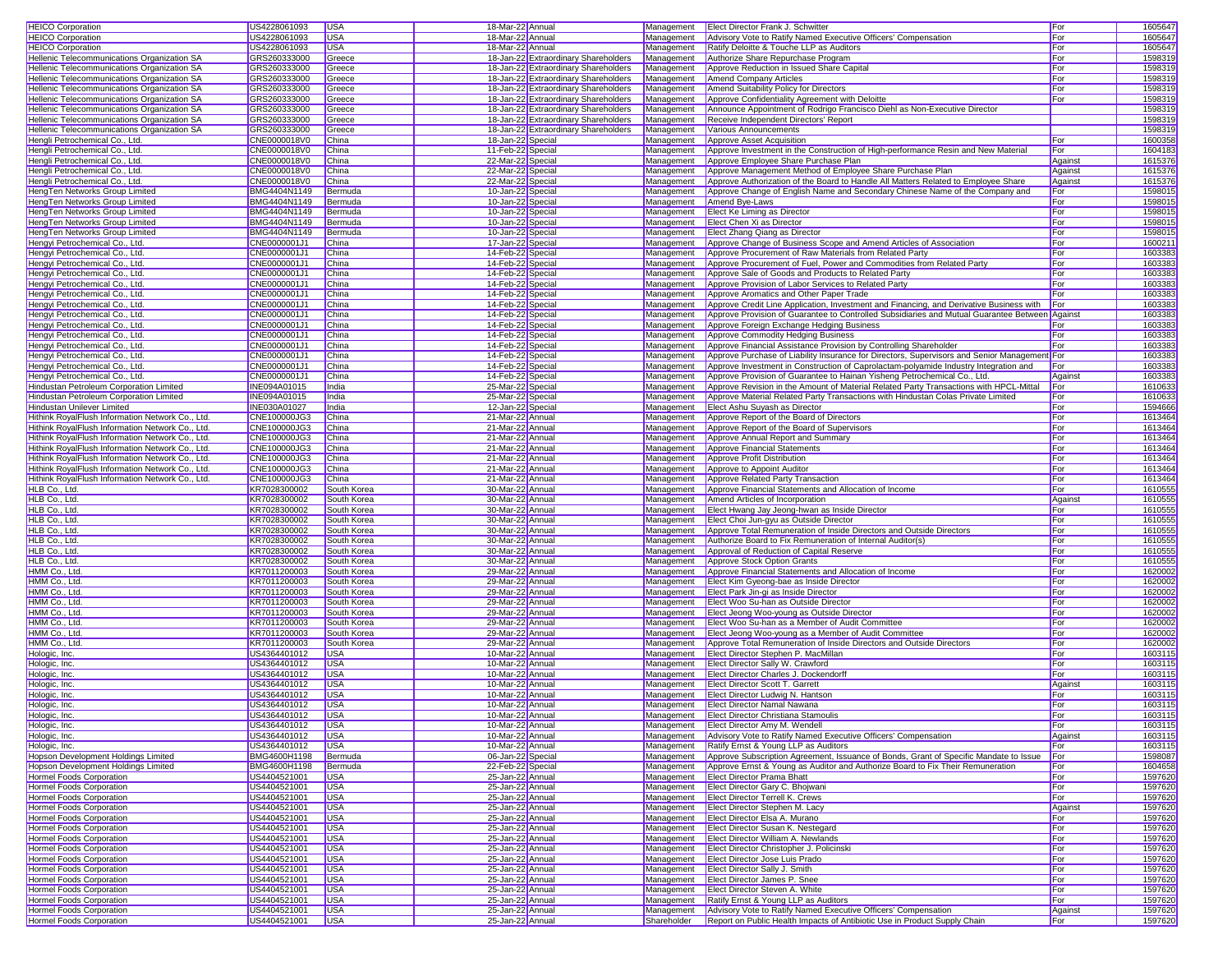| <b>HEICO Corporation</b>                                         | US4228061093                 | <b>USA</b>                 | 18-Mar-22 Annual                       |                           | Management Elect Director Frank J. Schwitter                                                                   | For            | 1605647            |
|------------------------------------------------------------------|------------------------------|----------------------------|----------------------------------------|---------------------------|----------------------------------------------------------------------------------------------------------------|----------------|--------------------|
| <b>HEICO Corporation</b>                                         | US4228061093                 | <b>USA</b>                 | 18-Mar-22 Annual                       | Management                | Advisory Vote to Ratify Named Executive Officers' Compensation                                                 | For            | 1605647            |
| <b>HEICO Corporation</b>                                         | US4228061093                 | <b>USA</b>                 | 18-Mar-22 Annual                       | Management                | Ratify Deloitte & Touche LLP as Auditors                                                                       | For            | 1605647            |
| Hellenic Telecommunications Organization SA                      | GRS260333000                 | Greece                     | 18-Jan-22 Extraordinary Shareholders   | Management                | Authorize Share Repurchase Program                                                                             | For            | 1598319            |
| Hellenic Telecommunications Organization SA                      | GRS260333000                 | Greece                     | 18-Jan-22 Extraordinary Shareholders   | Management                | Approve Reduction in Issued Share Capital                                                                      | For            | 1598319            |
| Hellenic Telecommunications Organization SA                      | GRS260333000                 | Greece                     | 18-Jan-22 Extraordinary Shareholders   | Management                | <b>Amend Company Articles</b>                                                                                  | For            | 1598319            |
| Hellenic Telecommunications Organization SA                      | GRS260333000                 | Greece                     | 18-Jan-22 Extraordinary Shareholders   | Management                | Amend Suitability Policy for Directors                                                                         | For            | 1598319            |
| Hellenic Telecommunications Organization SA                      | GRS260333000                 | Greece                     | 18-Jan-22 Extraordinary Shareholders   | Management                | Approve Confidentiality Agreement with Deloitte                                                                | For            | 1598319            |
| Hellenic Telecommunications Organization SA                      | GRS260333000                 | Greece                     | 18-Jan-22 Extraordinary Shareholders   | Management                | Announce Appointment of Rodrigo Francisco Diehl as Non-Executive Director                                      |                | 1598319            |
| Hellenic Telecommunications Organization SA                      | GRS260333000                 | Greece                     | 18-Jan-22 Extraordinary Shareholders   | Management                | Receive Independent Directors' Report                                                                          |                | 1598319            |
| Hellenic Telecommunications Organization SA                      | GRS260333000                 | Greece                     | 18-Jan-22 Extraordinary Shareholders   | Management                | Various Announcements                                                                                          |                | 1598319            |
| Hengli Petrochemical Co., Ltd.                                   | CNE0000018V0                 | China                      | 18-Jan-22 Special                      | Management                | Approve Asset Acquisition                                                                                      | For            | 1600358            |
| Hengli Petrochemical Co., Ltd.                                   | CNE0000018V0                 | China                      | 11-Feb-22 Special                      | Management                | Approve Investment in the Construction of High-performance Resin and New Material                              | For            | 1604183            |
| Hengli Petrochemical Co., Ltd.                                   | CNE0000018V0                 | China                      | 22-Mar-22 Special                      | Management                | Approve Employee Share Purchase Plan                                                                           | Against        | 1615376            |
| Hengli Petrochemical Co., Ltd.                                   | CNE0000018V0                 | China                      | 22-Mar-22 Special                      | Management                | Approve Management Method of Employee Share Purchase Plan                                                      | Against        | 1615376            |
| Hengli Petrochemical Co., Ltd.                                   | CNE0000018V0                 | China                      | 22-Mar-22 Special                      | Management                | Approve Authorization of the Board to Handle All Matters Related to Employee Share                             | Against        | 1615376            |
| HengTen Networks Group Limited                                   | BMG4404N1149                 | Bermuda                    | 10-Jan-22 Special                      | Management                | Approve Change of English Name and Secondary Chinese Name of the Company and                                   | For            | 1598015            |
| HengTen Networks Group Limited                                   | BMG4404N1149                 | Bermuda                    | 10-Jan-22 Special                      | Management                | Amend Bye-Laws                                                                                                 | For            | 1598015            |
| HengTen Networks Group Limited                                   | BMG4404N1149                 | Bermuda                    | 10-Jan-22 Special                      | Management                | Elect Ke Liming as Director                                                                                    | For            | 159801             |
| HengTen Networks Group Limited                                   | BMG4404N1149                 | Bermuda                    | 10-Jan-22 Special                      | Management                | Elect Chen Xi as Director                                                                                      | For            | 1598015            |
| HengTen Networks Group Limited                                   | BMG4404N1149                 | Bermuda                    | 10-Jan-22 Special                      | Management                | Elect Zhang Qiang as Director                                                                                  | For            | 1598015            |
| Hengyi Petrochemical Co., Ltd.                                   | CNE0000001J1                 | China                      | 17-Jan-22 Special                      | Management                | Approve Change of Business Scope and Amend Articles of Association                                             | For            | 160021             |
| Hengyi Petrochemical Co., Ltd.                                   | CNE0000001J1                 | China                      | 14-Feb-22 Special                      | Management                | Approve Procurement of Raw Materials from Related Party                                                        | For            | 1603383            |
| Hengyi Petrochemical Co., Ltd.                                   | CNE0000001J1                 | China                      | 14-Feb-22 Special                      | Management                | Approve Procurement of Fuel, Power and Commodities from Related Party                                          | For            | 1603383<br>1603383 |
| Hengyi Petrochemical Co., Ltd.<br>Hengyi Petrochemical Co., Ltd. | CNE0000001J1<br>CNE0000001J1 | China<br>China             | 14-Feb-22 Special<br>14-Feb-22 Special | Management<br>Management  | Approve Sale of Goods and Products to Related Party<br>Approve Provision of Labor Services to Related Party    | For<br>For     | 1603383            |
| Hengyi Petrochemical Co., Ltd.                                   | CNE0000001J1                 | China                      | 14-Feb-22 Special                      | Management                | Approve Aromatics and Other Paper Trade                                                                        | For            | 1603383            |
| Hengyi Petrochemical Co., Ltd.                                   | CNE0000001J1                 | China                      | 14-Feb-22 Special                      | Management                | Approve Credit Line Application, Investment and Financing, and Derivative Business with                        | For            | 1603383            |
| Hengyi Petrochemical Co., Ltd.                                   | CNE0000001J1                 | China                      | 14-Feb-22 Special                      | Management                | Approve Provision of Guarantee to Controlled Subsidiaries and Mutual Guarantee Between Agains                  |                | 1603383            |
| Hengyi Petrochemical Co., Ltd.                                   | CNE0000001J1                 | China                      | 14-Feb-22 Special                      | Management                | Approve Foreign Exchange Hedging Business                                                                      | For            | 1603383            |
| Hengyi Petrochemical Co., Ltd.                                   | CNE0000001J1                 | China                      | 14-Feb-22 Special                      | Management                | Approve Commodity Hedging Business                                                                             | For            | 1603383            |
| Hengyi Petrochemical Co., Ltd.                                   | CNE0000001J1                 | China                      | 14-Feb-22 Special                      | Management                | Approve Financial Assistance Provision by Controlling Shareholder                                              | For            | 1603383            |
| Hengyi Petrochemical Co., Ltd.                                   | CNE0000001J1                 | China                      | 14-Feb-22 Special                      | Management                | Approve Purchase of Liability Insurance for Directors, Supervisors and Senior Management For                   |                | 1603383            |
| Hengyi Petrochemical Co., Ltd.                                   | CNE0000001J1                 | China                      | 14-Feb-22 Special                      | Management                | Approve Investment in Construction of Caprolactam-polyamide Industry Integration and                           | For            | 1603383            |
| Hengyi Petrochemical Co., Ltd.                                   | CNE0000001J1                 | China                      | 14-Feb-22 Special                      | Management                | Approve Provision of Guarantee to Hainan Yisheng Petrochemical Co., Ltd.                                       | Against        | 1603383            |
| Hindustan Petroleum Corporation Limited                          | INE094A01015                 | India                      | 25-Mar-22 Special                      | Management                | Approve Revision in the Amount of Material Related Party Transactions with HPCL-Mittal                         | For            | 1610633            |
| Hindustan Petroleum Corporation Limited                          | INE094A01015                 | India                      | 25-Mar-22 Special                      | Management                | Approve Material Related Party Transactions with Hindustan Colas Private Limited                               | For            | 1610633            |
| Hindustan Unilever Limited                                       | INE030A01027                 | India                      | 12-Jan-22 Special                      | Management                | Elect Ashu Suyash as Director                                                                                  | For            | 1594666            |
| Hithink RoyalFlush Information Network Co., Ltd.                 | CNE100000JG3                 | China                      | 21-Mar-22 Annual                       | Management                | Approve Report of the Board of Directors                                                                       | For            | 1613464            |
| Hithink RoyalFlush Information Network Co., Ltd.                 | CNE100000JG3                 | China                      | 21-Mar-22 Annual                       | Management                | Approve Report of the Board of Supervisors                                                                     | For            | 1613464            |
| Hithink RoyalFlush Information Network Co., Ltd.                 | CNE100000JG3                 | China                      | 21-Mar-22 Annual                       | Management                | Approve Annual Report and Summary                                                                              | For            | 1613464            |
| Hithink RoyalFlush Information Network Co., Ltd.                 | CNE100000JG3                 | China                      | 21-Mar-22 Annual                       | Management                | Approve Financial Statements                                                                                   | For            | 1613464            |
| Hithink RoyalFlush Information Network Co., Ltd.                 | CNE100000JG3                 | China                      | 21-Mar-22 Annual                       | Management                | Approve Profit Distribution                                                                                    | For            | 1613464            |
| Hithink RoyalFlush Information Network Co., Ltd.                 | CNE100000JG3                 | China                      | 21-Mar-22 Annual                       | Management                | Approve to Appoint Auditor                                                                                     | For            | 1613464            |
| Hithink RoyalFlush Information Network Co., Ltd.                 | CNE100000JG3                 | China                      | 21-Mar-22 Annual                       | Management                | Approve Related Party Transaction                                                                              | For            | 1613464            |
| HLB Co., Ltd.                                                    | KR7028300002                 | South Korea                | 30-Mar-22 Annual                       | Management                | Approve Financial Statements and Allocation of Income                                                          | For            | 1610555            |
| HLB Co., Ltd.                                                    | KR7028300002                 | South Korea                | 30-Mar-22 Annual                       | Management                | Amend Articles of Incorporation                                                                                | Against        | 1610555            |
| HLB Co., Ltd.                                                    | KR7028300002                 | South Korea                | 30-Mar-22 Annual                       | Management                | Elect Hwang Jay Jeong-hwan as Inside Director                                                                  | For<br>For     | 1610555            |
| HLB Co., Ltd.<br>HLB Co., Ltd.                                   | KR7028300002<br>KR7028300002 | South Korea<br>South Korea | 30-Mar-22 Annual<br>30-Mar-22 Annual   | Management<br>Management  | Elect Choi Jun-gyu as Outside Director<br>Approve Total Remuneration of Inside Directors and Outside Directors | For            | 1610555<br>1610555 |
| HLB Co., Ltd.                                                    | KR7028300002                 | South Korea                | 30-Mar-22 Annual                       | Management                | Authorize Board to Fix Remuneration of Internal Auditor(s)                                                     | For            | 1610555            |
| HLB Co., Ltd.                                                    | KR7028300002                 | South Korea                | 30-Mar-22 Annual                       | Management                | Approval of Reduction of Capital Reserve                                                                       | For            | 1610555            |
| HLB Co., Ltd.                                                    | KR7028300002                 | South Korea                | 30-Mar-22 Annual                       | Management                | Approve Stock Option Grants                                                                                    | For            | 1610555            |
| HMM Co., Ltd                                                     | KR7011200003                 | South Korea                | 29-Mar-22 Annual                       | Management                | Approve Financial Statements and Allocation of Income                                                          | For            | 1620002            |
| HMM Co., Ltd.                                                    | KR7011200003                 | South Korea                | 29-Mar-22 Annual                       | Management                | Elect Kim Gyeong-bae as Inside Director                                                                        | For            | 1620002            |
| HMM Co., Ltd.                                                    | KR7011200003                 | South Korea                | 29-Mar-22 Annual                       | Management                | Elect Park Jin-gi as Inside Director                                                                           | For            | 1620002            |
| HMM Co., Ltd.                                                    | KR7011200003                 | South Korea                | 29-Mar-22 Annual                       | Management                | Elect Woo Su-han as Outside Director                                                                           | For            | 1620002            |
| HMM Co., Ltd.                                                    | KR7011200003                 | South Korea                | 29-Mar-22 Annual                       | Management                | Elect Jeong Woo-young as Outside Director                                                                      | For            | 1620002            |
| HMM Co., Ltd.                                                    | KR7011200003                 | South Korea                | 29-Mar-22 Annual                       | Management                | Elect Woo Su-han as a Member of Audit Committee                                                                | For            | 1620002            |
| HMM Co., Ltd.                                                    | KR7011200003                 | South Korea                | 29-Mar-22 Annual                       | Management                | Elect Jeong Woo-young as a Member of Audit Committee                                                           | For            | 1620002            |
| HMM Co., Ltd.                                                    | KR7011200003                 | South Korea                | 29-Mar-22 Annual                       | Management                | Approve Total Remuneration of Inside Directors and Outside Directors                                           | For            | 1620002            |
| Hologic, Inc.                                                    | US4364401012                 | USA                        | 10-Mar-22 Annual                       | Management                | Elect Director Stephen P. MacMillan                                                                            | For            | 1603115            |
| Hologic, Inc.                                                    | US4364401012                 | USA                        | 10-Mar-22 Annual                       | Management                | <b>Elect Director Sally W. Crawford</b>                                                                        | For            | 1603115            |
| Hologic, Inc.                                                    | JS4364401012                 | USA                        | 10-Mar-22 Annual                       | Management                | Elect Director Charles J. Dockendorff                                                                          | For            | 1603115            |
| Hologic, Inc.                                                    | US4364401012                 | <b>USA</b>                 | 10-Mar-22 Annual                       | Management                | <b>Elect Director Scott T. Garrett</b>                                                                         | Against        | 1603115            |
| Hologic, Inc.                                                    | US4364401012<br>US4364401012 | <b>USA</b>                 | 10-Mar-22 Annual<br>10-Mar-22 Annual   | Management                | <b>Elect Director Ludwig N. Hantson</b><br>Management Elect Director Namal Nawana                              | For            | 1603115            |
| Hologic, Inc.                                                    | US4364401012                 | USA                        |                                        |                           |                                                                                                                | For            | 1603115            |
| Hologic, Inc<br>Hologic, Inc.                                    | US4364401012                 | USA<br>USA                 | 10-Mar-22 Annua<br>10-Mar-22 Annual    | Management                | Management Elect Director Christiana Stamouli<br>Elect Director Amy M. Wendell                                 | For<br>For     | 1603115<br>1603115 |
| Hologic, Inc.                                                    | US4364401012                 | <b>USA</b>                 | 10-Mar-22 Annual                       | Management                | Advisory Vote to Ratify Named Executive Officers' Compensation                                                 | Against        | 1603115            |
| Hologic, Inc.                                                    | US4364401012                 | <b>USA</b>                 | 10-Mar-22 Annual                       | Management                | Ratify Ernst & Young LLP as Auditors                                                                           | For            | 1603115            |
| Hopson Development Holdings Limited                              | BMG4600H1198                 | Bermuda                    | 06-Jan-22 Special                      | Management                | Approve Subscription Agreement, Issuance of Bonds, Grant of Specific Mandate to Issue                          | For            | 1598087            |
| Hopson Development Holdings Limited                              | BMG4600H1198                 | Bermuda                    | 22-Feb-22 Special                      | Management                | Approve Ernst & Young as Auditor and Authorize Board to Fix Their Remuneration                                 | For            | 1604658            |
| Hormel Foods Corporation                                         | US4404521001                 | USA                        | 25-Jan-22 Annual                       | Management                | <b>Elect Director Prama Bhatt</b>                                                                              | For            | 1597620            |
| Hormel Foods Corporation                                         | US4404521001                 | <b>USA</b>                 | 25-Jan-22 Annual                       | Management                | Elect Director Gary C. Bhojwani                                                                                | For            | 1597620            |
| Hormel Foods Corporation                                         | US4404521001                 | <b>USA</b>                 | 25-Jan-22 Annual                       | Management                | <b>Elect Director Terrell K. Crews</b>                                                                         | For            | 1597620            |
| Hormel Foods Corporation                                         | US4404521001                 | <b>USA</b>                 | 25-Jan-22 Annual                       | Management                | Elect Director Stephen M. Lacy                                                                                 | Against        | 1597620            |
| Hormel Foods Corporation                                         | US4404521001                 | <b>USA</b>                 | 25-Jan-22 Annual                       | Management                | Elect Director Elsa A. Murano                                                                                  | For            | 1597620            |
| Hormel Foods Corporation                                         | US4404521001                 | <b>USA</b>                 | 25-Jan-22 Annual                       | Management                | Elect Director Susan K. Nestegard                                                                              | For            | 1597620            |
| <b>Hormel Foods Corporation</b>                                  | US4404521001                 | <b>USA</b>                 | 25-Jan-22 Annual                       | Management                | Elect Director William A. Newlands                                                                             | For            | 1597620            |
| <b>Hormel Foods Corporation</b>                                  | US4404521001                 | <b>USA</b>                 | 25-Jan-22 Annual                       | Management                | Elect Director Christopher J. Policinski                                                                       | For            | 1597620            |
| Hormel Foods Corporation                                         | US4404521001                 | USA                        | 25-Jan-22 Annual                       | Management                | Elect Director Jose Luis Prado                                                                                 | For            | 1597620            |
| Hormel Foods Corporation                                         | US4404521001                 | <b>USA</b>                 | 25-Jan-22 Annual                       | Management                | <b>Elect Director Sally J. Smith</b>                                                                           | For            | 1597620            |
| Hormel Foods Corporation                                         | US4404521001                 | USA                        | 25-Jan-22 Annual                       | Management                | Elect Director James P. Snee                                                                                   | For            | 1597620            |
| Hormel Foods Corporation                                         | US4404521001                 | <b>USA</b>                 | 25-Jan-22 Annual                       | Management                | Elect Director Steven A. White                                                                                 | For            | 1597620            |
| Hormel Foods Corporation                                         | US4404521001<br>US4404521001 | <b>USA</b>                 | 25-Jan-22 Annual                       | Management                | Ratify Ernst & Young LLP as Auditors<br>Advisory Vote to Ratify Named Executive Officers' Compensation         | For            | 1597620<br>1597620 |
| Hormel Foods Corporation<br>Hormel Foods Corporation             | US4404521001                 | <b>USA</b><br><b>USA</b>   | 25-Jan-22 Annual<br>25-Jan-22 Annual   | Management<br>Shareholder | Report on Public Health Impacts of Antibiotic Use in Product Supply Chain                                      | Against<br>For | 1597620            |
|                                                                  |                              |                            |                                        |                           |                                                                                                                |                |                    |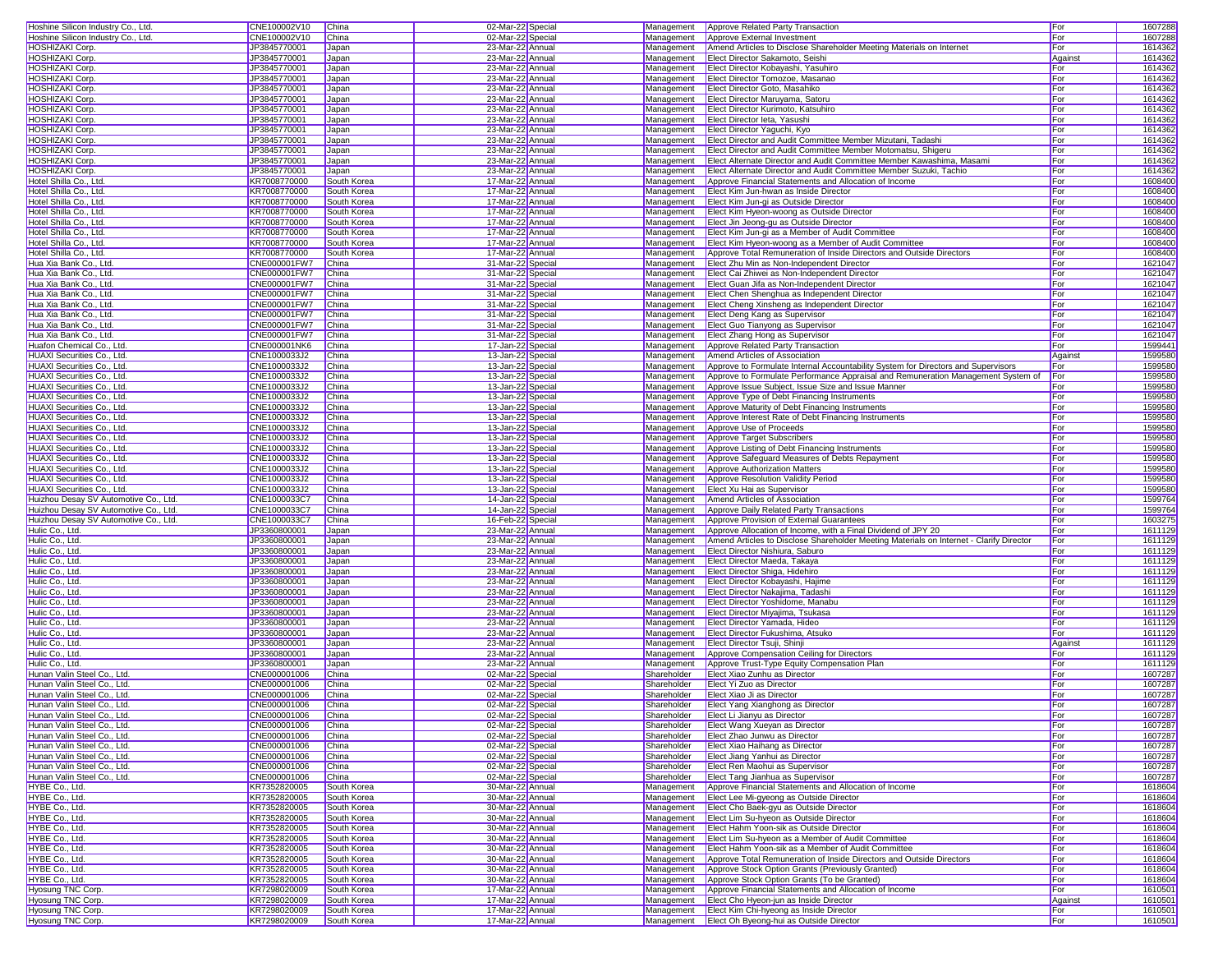| Hoshine Silicon Industry Co., Ltd                                                                                    | CNE100002V10                 | China                      | 02-Mar-22 Specia                     | Management  | Approve Related Party Transaction                                                                    | For        | 1607288            |
|----------------------------------------------------------------------------------------------------------------------|------------------------------|----------------------------|--------------------------------------|-------------|------------------------------------------------------------------------------------------------------|------------|--------------------|
| Hoshine Silicon Industry Co., Ltd.                                                                                   | CNE100002V10                 | China                      | 02-Mar-22 Specia                     | Management  | Approve External Investment                                                                          | For        | 1607288            |
|                                                                                                                      |                              |                            |                                      |             |                                                                                                      |            |                    |
| HOSHIZAKI Corp.                                                                                                      | JP3845770001                 | Japan                      | 23-Mar-22 Annual                     | Management  | Amend Articles to Disclose Shareholder Meeting Materials on Internet                                 | For        | 1614362            |
| <b>HOSHIZAKI Corp</b>                                                                                                | JP3845770001                 | Japan                      | 23-Mar-22 Annual                     | Management  | Elect Director Sakamoto, Seishi                                                                      | Against    | 1614362            |
| <b>HOSHIZAKI Corp</b>                                                                                                | JP3845770001                 | Japan                      | 23-Mar-22 Annual                     | Management  | Elect Director Kobayashi, Yasuhiro                                                                   | For        | 1614362            |
| <b>HOSHIZAKI Corp</b>                                                                                                | JP3845770001                 | Japan                      | 23-Mar-22 Annual                     | Management  | Elect Director Tomozoe, Masanao                                                                      | For        | 1614362            |
| <b>HOSHIZAKI Corp.</b>                                                                                               | JP3845770001                 | Japan                      | 23-Mar-22 Annual                     | Management  | Elect Director Goto, Masahiko                                                                        | For        | 1614362            |
| <b>HOSHIZAKI Corp</b>                                                                                                | JP3845770001                 | Japan                      | 23-Mar-22 Annual                     | Management  | Elect Director Maruyama, Satoru                                                                      | For        | 1614362            |
| <b>HOSHIZAKI Corp</b>                                                                                                | JP3845770001                 | Japan                      | 23-Mar-22 Annual                     | Management  | Elect Director Kurimoto, Katsuhiro                                                                   | For        | 1614362            |
|                                                                                                                      |                              |                            |                                      |             |                                                                                                      |            |                    |
| <b>HOSHIZAKI Corp</b>                                                                                                | JP3845770001                 | Japan                      | 23-Mar-22 Annual                     | Management  | <b>Elect Director leta, Yasushi</b>                                                                  | For        | 1614362            |
| <b>HOSHIZAKI Corp</b>                                                                                                | JP3845770001                 | Japan                      | 23-Mar-22 Annual                     | Management  | Elect Director Yaguchi, Kyo                                                                          | For        | 1614362            |
| <b>HOSHIZAKI Corp</b>                                                                                                | JP3845770001                 | Japan                      | 23-Mar-22 Annual                     | Management  | Elect Director and Audit Committee Member Mizutani, Tadashi                                          | For        | 1614362            |
| <b>HOSHIZAKI Corp</b>                                                                                                | JP3845770001                 | Japan                      | 23-Mar-22 Annual                     | Management  | Elect Director and Audit Committee Member Motomatsu, Shigeru                                         | For        | 1614362            |
| <b>HOSHIZAKI Corp</b>                                                                                                | JP3845770001                 | Japan                      | 23-Mar-22 Annual                     | Management  | Elect Alternate Director and Audit Committee Member Kawashima, Masami                                | For        | 1614362            |
| <b>HOSHIZAKI Corp</b>                                                                                                | JP3845770001                 | Japan                      | 23-Mar-22 Annual                     | Management  | Elect Alternate Director and Audit Committee Member Suzuki, Tachio                                   | For        | 1614362            |
| Hotel Shilla Co., Ltd.                                                                                               | KR7008770000                 | South Korea                | 17-Mar-22 Annual                     | Management  | Approve Financial Statements and Allocation of Income                                                | For        | 1608400            |
| Hotel Shilla Co., Ltd.                                                                                               | KR7008770000                 | South Korea                | 17-Mar-22 Annual                     | Management  | Elect Kim Jun-hwan as Inside Director                                                                | For        | 1608400            |
|                                                                                                                      |                              |                            |                                      |             |                                                                                                      |            |                    |
| Hotel Shilla Co., Ltd.                                                                                               | KR7008770000                 | South Korea                | 17-Mar-22 Annual                     | Management  | Elect Kim Jun-gi as Outside Director                                                                 | For        | 1608400            |
| Hotel Shilla Co., Ltd.                                                                                               | KR7008770000                 | South Korea                | 17-Mar-22 Annual                     | Management  | Elect Kim Hyeon-woong as Outside Director                                                            | For        | 1608400            |
| Hotel Shilla Co., Ltd.                                                                                               | KR7008770000                 | South Korea                | 17-Mar-22 Annual                     | Management  | Elect Jin Jeong-gu as Outside Director                                                               | For        | 1608400            |
| Hotel Shilla Co., Ltd.                                                                                               | KR7008770000                 | South Korea                | 17-Mar-22 Annual                     | Management  | Elect Kim Jun-gi as a Member of Audit Committee                                                      | For        | 1608400            |
| Hotel Shilla Co., Ltd.                                                                                               | KR7008770000                 | South Korea                | 17-Mar-22 Annual                     | Management  | Elect Kim Hyeon-woong as a Member of Audit Committee                                                 | For        | 1608400            |
| Hotel Shilla Co., Ltd.                                                                                               | KR7008770000                 | South Korea                | 17-Mar-22 Annual                     | Management  | Approve Total Remuneration of Inside Directors and Outside Directors                                 | For        | 1608400            |
| Hua Xia Bank Co., Ltd.                                                                                               | CNE000001FW7                 | China                      | 31-Mar-22 Specia                     | Management  | Elect Zhu Min as Non-Independent Director                                                            | For        | 1621047            |
| Hua Xia Bank Co., Ltd.                                                                                               | CNE000001FW7                 | China                      | 31-Mar-22 Special                    | Management  | Elect Cai Zhiwei as Non-Independent Director                                                         | For        | 1621047            |
| Hua Xia Bank Co., Ltd.                                                                                               | CNE000001FW7                 | China                      | 31-Mar-22 Specia                     | Management  |                                                                                                      | For        | 1621047            |
|                                                                                                                      |                              |                            |                                      |             | Elect Guan Jifa as Non-Independent Director                                                          |            |                    |
| Hua Xia Bank Co., Ltd.                                                                                               | CNE000001FW7                 | China                      | 31-Mar-22 Special                    | Management  | Elect Chen Shenghua as Independent Director                                                          | For        | 1621047            |
| Hua Xia Bank Co., Ltd.                                                                                               | CNE000001FW7                 | China                      | 31-Mar-22 Special                    | Management  | Elect Cheng Xinsheng as Independent Director                                                         | For        | 1621047            |
| Hua Xia Bank Co., Ltd.                                                                                               | CNE000001FW7                 | China                      | 31-Mar-22 Specia                     | Management  | Elect Deng Kang as Supervisor                                                                        | For        | 1621047            |
| Hua Xia Bank Co., Ltd.                                                                                               | CNE000001FW7                 | China                      | 31-Mar-22 Specia                     | Management  | <b>Elect Guo Tianyong as Supervisor</b>                                                              | For        | 1621047            |
| Hua Xia Bank Co., Ltd.                                                                                               | CNE000001FW7                 | China                      | 31-Mar-22 Specia                     | Management  | <b>Elect Zhang Hong as Supervisor</b>                                                                | For        | 1621047            |
| Huafon Chemical Co., Ltd                                                                                             | CNE000001NK6                 | China                      | 17-Jan-22 Specia                     | Management  | Approve Related Party Transaction                                                                    | For        | 159944             |
| HUAXI Securities Co., Ltd.                                                                                           | CNE1000033J2                 | China                      | 13-Jan-22 Special                    | Management  | Amend Articles of Association                                                                        | Against    | 1599580            |
|                                                                                                                      |                              |                            |                                      |             |                                                                                                      |            |                    |
| HUAXI Securities Co., Ltd.                                                                                           | CNE1000033J2                 | China                      | 13-Jan-22 Specia                     | Management  | Approve to Formulate Internal Accountability System for Directors and Supervisors                    | For        | 1599580            |
| HUAXI Securities Co., Ltd.                                                                                           | CNE1000033J2                 | China                      | 13-Jan-22 Specia                     | Management  | Approve to Formulate Performance Appraisal and Remuneration Management System of                     | For        | 1599580            |
| <b>HUAXI Securities Co., Ltd.</b>                                                                                    | CNE1000033J2                 | China                      | 13-Jan-22 Specia                     | Management  | Approve Issue Subject, Issue Size and Issue Manner                                                   | For        | 1599580            |
| HUAXI Securities Co., Ltd.                                                                                           | CNE1000033J2                 | China                      | 13-Jan-22 Specia                     | Management  | Approve Type of Debt Financing Instruments                                                           | For        | 1599580            |
| <b>HUAXI Securities Co., Ltd.</b>                                                                                    | CNE1000033J2                 | China                      | 13-Jan-22 Special                    | Management  | Approve Maturity of Debt Financing Instruments                                                       | For        | 1599580            |
| HUAXI Securities Co., Ltd.                                                                                           | CNE1000033J2                 | China                      | 13-Jan-22 Specia                     | Management  | Approve Interest Rate of Debt Financing Instruments                                                  | For        | 1599580            |
| HUAXI Securities Co., Ltd.                                                                                           | CNE1000033J2                 | China                      | 13-Jan-22 Specia                     | Management  | Approve Use of Proceeds                                                                              | For        | 1599580            |
| <b>HUAXI Securities Co., Ltd.</b>                                                                                    | CNE1000033J2                 | China                      |                                      | Management  |                                                                                                      | For        |                    |
|                                                                                                                      |                              |                            | 13-Jan-22 Specia                     |             | Approve Target Subscribers                                                                           |            | 1599580            |
| HUAXI Securities Co., Ltd.                                                                                           | CNE1000033J2                 | China                      | 13-Jan-22 Specia                     | Management  | Approve Listing of Debt Financing Instruments                                                        | For        | 1599580            |
| HUAXI Securities Co., Ltd.                                                                                           | CNE1000033J2                 | China                      | 13-Jan-22 Special                    | Management  | Approve Safequard Measures of Debts Repayment                                                        | For        | 1599580            |
| HUAXI Securities Co., Ltd.                                                                                           | CNE1000033J2                 | China                      | 13-Jan-22 Specia                     | Management  | <b>Approve Authorization Matters</b>                                                                 | For        | 1599580            |
| HUAXI Securities Co., Ltd.                                                                                           | CNE1000033J2                 | China                      | 13-Jan-22 Specia                     | Management  | Approve Resolution Validity Period                                                                   | For        | 1599580            |
| <b>HUAXI Securities Co., Ltd.</b>                                                                                    | CNE1000033J2                 | China                      | 13-Jan-22 Specia                     | Management  | Elect Xu Hai as Supervisor                                                                           | For        | 1599580            |
| Huizhou Desay SV Automotive Co., Ltd.                                                                                | CNE1000033C7                 | China                      | 14-Jan-22 Specia                     | Management  | Amend Articles of Association                                                                        | For        | 1599764            |
| Huizhou Desay SV Automotive Co., Ltd.                                                                                | CNE1000033C7                 | China                      | 14-Jan-22 Special                    | Management  | Approve Daily Related Party Transactions                                                             | For        | 1599764            |
| Huizhou Desay SV Automotive Co., Ltd.                                                                                | CNE1000033C7                 | China                      | 16-Feb-22 Specia                     | Management  | Approve Provision of External Guarantees                                                             | For        | 1603275            |
|                                                                                                                      |                              |                            |                                      |             |                                                                                                      |            |                    |
| Hulic Co., Ltd.                                                                                                      | JP3360800001                 | Japan                      | 23-Mar-22 Annual                     | Management  | Approve Allocation of Income, with a Final Dividend of JPY 20                                        | For        | 1611129            |
| Hulic Co., Ltd.                                                                                                      | JP3360800001                 | Japan                      | 23-Mar-22 Annual                     | Management  | Amend Articles to Disclose Shareholder Meeting Materials on Internet - Clarify Director              | For        | 1611129            |
| Hulic Co., Ltd.                                                                                                      | JP3360800001                 | Japan                      | 23-Mar-22 Annual                     | Management  | Elect Director Nishiura, Saburo                                                                      | For        | 1611129            |
| Hulic Co., Ltd.                                                                                                      | JP3360800001                 | Japan                      | 23-Mar-22 Annual                     | Management  | Elect Director Maeda, Takaya                                                                         | For        | 1611129            |
| Hulic Co., Ltd.                                                                                                      | JP3360800001                 | Japan                      | 23-Mar-22 Annual                     | Management  | Elect Director Shiga, Hidehiro                                                                       | For        | 1611129            |
| Hulic Co., Ltd.                                                                                                      | JP3360800001                 | Japan                      | 23-Mar-22 Annual                     | Management  | Elect Director Kobayashi, Hajime                                                                     | For        | 1611129            |
| Hulic Co., Ltd.                                                                                                      | JP3360800001                 | Japan                      | 23-Mar-22 Annual                     | Management  | Elect Director Nakajima, Tadashi                                                                     | For        | 1611129            |
| Hulic Co., Ltd.                                                                                                      | JP3360800001                 | Japan                      | 23-Mar-22 Annual                     | Management  | Elect Director Yoshidome, Manabu                                                                     | For        | 1611129            |
| Hulic Co., Ltd.                                                                                                      | JP3360800001                 | Japan                      | 23-Mar-22 Annual                     | Management  | Elect Director Miyajima, Tsukasa                                                                     | For        | 1611129            |
|                                                                                                                      |                              |                            |                                      |             |                                                                                                      |            |                    |
| Hulic Co., Ltd                                                                                                       | JP3360800001                 | Japan                      | 23-Mar-22 Annual                     | Management  | Elect Director Yamada, Hideo                                                                         | For        | 1611129            |
| Hulic Co., Ltd.                                                                                                      | JP3360800001                 | Japan                      | 23-Mar-22 Annual                     | Management  | Elect Director Fukushima, Atsuko                                                                     | For        | 1611129            |
| Hulic Co., Ltd.                                                                                                      | JP3360800001                 | Japan                      | 23-Mar-22 Annual                     | Management  | <b>Elect Director Tsuji, Shinji</b>                                                                  | Agains     | 1611129            |
| Hulic Co., Ltd.                                                                                                      | JP3360800001                 | Japan                      | 23-Mar-22 Annual                     | Management  | Approve Compensation Ceiling for Directors                                                           | For        | 1611129            |
| Hulic Co., Ltd.                                                                                                      | JP3360800001                 | Japan                      | 23-Mar-22 Annual                     | Management  | Approve Trust-Type Equity Compensation Plan                                                          | For        | 1611129            |
| Hunan Valin Steel Co., Ltd.                                                                                          | CNE000001006                 | China                      | 02-Mar-22 Specia                     | Shareholder | Elect Xiao Zunhu as Director                                                                         | For        | 1607287            |
| Hunan Valin Steel Co., Ltd                                                                                           | CNE000001006                 | China                      | 02-Mar-22 Special                    | Shareholder | Elect Yi Zuo as Director                                                                             | For        | 1607287            |
| Hunan Valin Steel Co., Ltd                                                                                           | CNE000001006                 | China                      | 02-Mar-22 Specia                     | Shareholder | Elect Xiao Ji as Director                                                                            | For        | 1607287            |
| Hunan Valin Steel Co., Ltd                                                                                           | CNE000001006                 | China                      | 02-Mar-22 Specia                     | Shareholder | Elect Yang Xianghong as Director                                                                     | For        | 1607287            |
|                                                                                                                      |                              |                            |                                      |             |                                                                                                      |            |                    |
| Hunan Valin Steel Co., Ltd.                                                                                          | CNE000001006                 | China                      | 02-Mar-22 Specia                     | Shareholder | Elect Li Jianyu as Director                                                                          | For        | 1607287            |
| Hunan Valin Steel Co., Ltd.                                                                                          | CNE000001006                 | China                      | 02-Mar-22 Specia                     | Shareholder | Elect Wang Xueyan as Director                                                                        | For        | 1607287            |
| Hunan Valin Steel Co., Ltd.                                                                                          | CNE000001006                 | China                      | 02-Mar-22 Specia                     | Shareholder | Elect Zhao Junwu as Director                                                                         | For        | 1607287            |
| Hunan Valin Steel Co., Ltd                                                                                           | CNE000001006                 | China                      | 02-Mar-22 Specia                     | Shareholder | Elect Xiao Haihang as Director                                                                       | For        | 1607287            |
| Hunan Valin Steel Co., Ltd.                                                                                          | CNE000001006                 | China                      | 02-Mar-22 Special                    | Shareholder | Elect Jiang Yanhui as Director                                                                       | For        | 1607287            |
| Hunan Valin Steel Co., Ltd.                                                                                          | CNE000001006                 | China                      | 02-Mar-22 Special                    | Shareholder | Elect Ren Maohui as Supervisor                                                                       | For        | 1607287            |
| Hunan Valin Steel Co., Ltd.                                                                                          | CNE000001006                 | China                      | 02-Mar-22 Special                    | Shareholder | Elect Tang Jianhua as Supervisor                                                                     | For        | 1607287            |
| HYBE Co., Ltd.                                                                                                       | KR7352820005                 | South Korea                | 30-Mar-22 Annual                     | Management  | Approve Financial Statements and Allocation of Income                                                | For        | 1618604            |
| HYBE Co., Ltd.                                                                                                       | KR7352820005                 | South Korea                | 30-Mar-22 Annual                     | Management  | Elect Lee Mi-gyeong as Outside Director                                                              | For        | 1618604            |
|                                                                                                                      |                              |                            |                                      |             |                                                                                                      |            |                    |
| HYBE Co., Ltd.                                                                                                       | KR7352820005                 | South Korea                | 30-Mar-22 Annual                     | Management  | Elect Cho Baek-gyu as Outside Director                                                               | For        | 1618604            |
| HYBE Co., Ltd.                                                                                                       | KR7352820005                 | South Korea                | 30-Mar-22 Annual                     | Management  | Elect Lim Su-hyeon as Outside Director                                                               | For        | 1618604            |
| HYBE Co., Ltd.                                                                                                       | KR7352820005                 | South Korea                | 30-Mar-22 Annual                     | Management  | Elect Hahm Yoon-sik as Outside Director                                                              | For        | 1618604            |
| HYBE Co., Ltd.                                                                                                       |                              |                            | 30-Mar-22 Annual                     | Management  | Elect Lim Su-hyeon as a Member of Audit Committee                                                    | For        | 1618604            |
|                                                                                                                      | KR7352820005                 | South Korea                |                                      |             |                                                                                                      |            |                    |
|                                                                                                                      | KR7352820005                 | South Korea                | 30-Mar-22 Annual                     | Management  | <b>Elect Hahm Yoon-sik as a Member of Audit Committee</b>                                            | For        | 1618604            |
|                                                                                                                      |                              |                            |                                      |             |                                                                                                      |            |                    |
|                                                                                                                      | KR7352820005                 | South Korea                | 30-Mar-22 Annual                     | Management  | Approve Total Remuneration of Inside Directors and Outside Directors                                 | For        | 1618604            |
|                                                                                                                      | KR7352820005                 | South Korea                | 30-Mar-22 Annual                     | Management  | Approve Stock Option Grants (Previously Granted)                                                     | For        | 1618604            |
|                                                                                                                      | KR7352820005                 | South Korea                | 30-Mar-22 Annual                     | Management  | Approve Stock Option Grants (To be Granted)                                                          | For        | 1618604            |
|                                                                                                                      | KR7298020009                 | South Korea                | 17-Mar-22 Annual                     | Management  | Approve Financial Statements and Allocation of Income                                                | For        | 1610501            |
| HYBE Co., Ltd.<br>HYBE Co., Ltd.<br>HYBE Co., Ltd.<br>HYBE Co., Ltd.<br><b>Hyosung TNC Corp</b><br>Hyosung TNC Corp. | KR7298020009                 | South Korea                | 17-Mar-22 Annual                     | Management  | Elect Cho Hyeon-jun as Inside Director                                                               | Against    | 1610501            |
| Hyosung TNC Corp.<br><b>Hyosung TNC Corp</b>                                                                         | KR7298020009<br>KR7298020009 | South Korea<br>South Korea | 17-Mar-22 Annual<br>17-Mar-22 Annual | Management  | Elect Kim Chi-hyeong as Inside Director<br>Management <b>Elect Oh Byeong-hui as Outside Director</b> | For<br>For | 1610501<br>1610501 |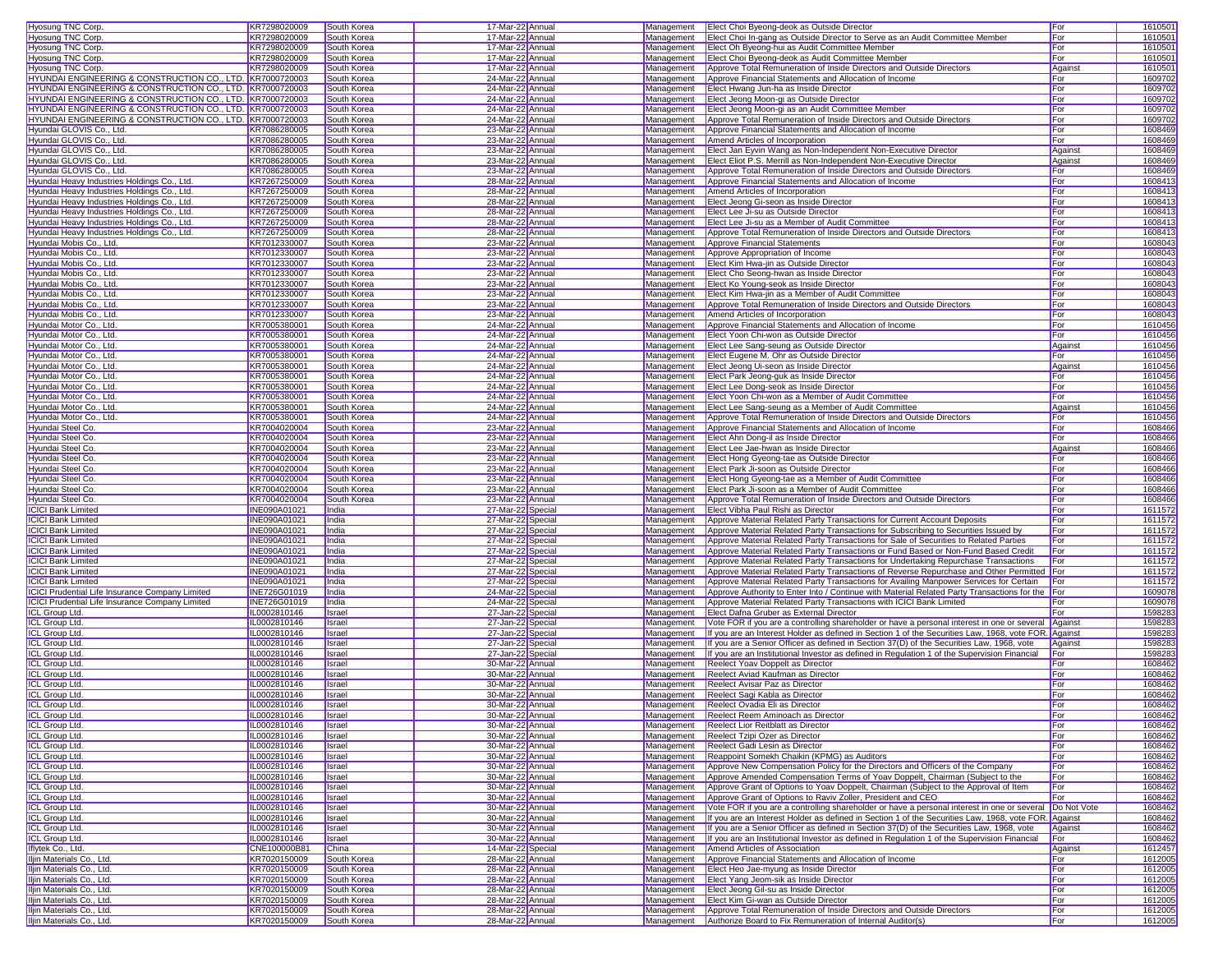| Hyosung TNC Corp.                                                    | KR7298020009        | South Korea  | 17-Mar-22 Annual                     | Management | Elect Choi Byeong-deok as Outside Director                                                              | For          | 1610501            |
|----------------------------------------------------------------------|---------------------|--------------|--------------------------------------|------------|---------------------------------------------------------------------------------------------------------|--------------|--------------------|
| Hyosung TNC Corp.                                                    | KR7298020009        | South Korea  | 17-Mar-22 Annual                     | Management | Elect Choi In-gang as Outside Director to Serve as an Audit Committee Member                            | For          | 1610501            |
|                                                                      |                     |              |                                      |            |                                                                                                         |              |                    |
| Hyosung TNC Corp.                                                    | KR7298020009        | South Korea  | 17-Mar-22 Annual                     | Management | Elect Oh Byeong-hui as Audit Committee Member                                                           | For          | 1610501            |
| Hyosung TNC Corp.                                                    | KR7298020009        | South Korea  | 17-Mar-22 Annual                     | Management | Elect Choi Byeong-deok as Audit Committee Member                                                        | For          | 1610501            |
| Hyosung TNC Corp.                                                    | KR7298020009        | South Korea  | 17-Mar-22 Annual                     | Management | Approve Total Remuneration of Inside Directors and Outside Directors                                    | Against      | 1610501            |
| HYUNDAI ENGINEERING & CONSTRUCTION CO., LTD. KR7000720003            |                     | South Korea  | 24-Mar-22 Annual                     | Management | Approve Financial Statements and Allocation of Income                                                   | For          | 1609702            |
|                                                                      |                     |              |                                      |            |                                                                                                         |              |                    |
| HYUNDAI ENGINEERING & CONSTRUCTION CO., LTD. KR7000720003            |                     | South Korea  | 24-Mar-22 Annual                     | Management | Elect Hwang Jun-ha as Inside Director                                                                   | For          | 1609702            |
| <b>HYUNDAI ENGINEERING &amp; CONSTRUCTION CO., LTD. KR7000720003</b> |                     | South Korea  | 24-Mar-22 Annual                     | Management | Elect Jeong Moon-gi as Outside Director                                                                 | For          | 1609702            |
| HYUNDAI ENGINEERING & CONSTRUCTION CO., LTD. KR7000720003            |                     | South Korea  | 24-Mar-22 Annual                     | Management | Elect Jeong Moon-gi as an Audit Committee Member                                                        | For          | 1609702            |
| HYUNDAI ENGINEERING & CONSTRUCTION CO., LTD. KR7000720003            |                     | South Korea  | 24-Mar-22 Annual                     | Management | Approve Total Remuneration of Inside Directors and Outside Directors                                    | For          | 1609702            |
| Hyundai GLOVIS Co., Ltd.                                             | KR7086280005        | South Korea  | 23-Mar-22 Annual                     | Management | Approve Financial Statements and Allocation of Income                                                   | For          | 1608469            |
|                                                                      |                     |              |                                      |            |                                                                                                         |              |                    |
| Hyundai GLOVIS Co., Ltd.                                             | KR7086280005        | South Korea  | 23-Mar-22 Annual                     | Management | Amend Articles of Incorporation                                                                         | For          | 1608469            |
| Hyundai GLOVIS Co., Ltd.                                             | KR7086280005        | South Korea  | 23-Mar-22 Annual                     | Management | Elect Jan Eyvin Wang as Non-Independent Non-Executive Director                                          | Against      | 1608469            |
| Hyundai GLOVIS Co., Ltd.                                             | KR7086280005        | South Korea  | 23-Mar-22 Annual                     | Management | Elect Eliot P.S. Merrill as Non-Independent Non-Executive Director                                      | Against      | 1608469            |
| Hyundai GLOVIS Co., Ltd.                                             | KR7086280005        | South Korea  | 23-Mar-22 Annual                     | Management | Approve Total Remuneration of Inside Directors and Outside Directors                                    | For          | 1608469            |
| Hyundai Heavy Industries Holdings Co., Ltd.                          |                     | South Korea  | 28-Mar-22 Annual                     |            |                                                                                                         | For          |                    |
|                                                                      | KR7267250009        |              |                                      | Management | Approve Financial Statements and Allocation of Income                                                   |              | 1608413            |
| Hyundai Heavy Industries Holdings Co., Ltd.                          | KR7267250009        | South Korea  | 28-Mar-22 Annual                     | Management | Amend Articles of Incorporation                                                                         | For          | 1608413            |
| Hyundai Heavy Industries Holdings Co., Ltd.                          | KR7267250009        | South Korea  | 28-Mar-22 Annual                     | Management | Elect Jeong Gi-seon as Inside Director                                                                  | For          | 1608413            |
| Hyundai Heavy Industries Holdings Co., Ltd.                          | KR7267250009        | South Korea  | 28-Mar-22 Annual                     | Management | Elect Lee Ji-su as Outside Director                                                                     | For          | 160841             |
| Hyundai Heavy Industries Holdings Co., Ltd.                          | KR7267250009        | South Korea  | 28-Mar-22 Annual                     | Management | Elect Lee Ji-su as a Member of Audit Committee                                                          | For          | 160841             |
|                                                                      |                     |              |                                      | Management | Approve Total Remuneration of Inside Directors and Outside Directors                                    |              |                    |
| Hyundai Heavy Industries Holdings Co., Ltd.                          | KR7267250009        | South Korea  | 28-Mar-22 Annual                     |            |                                                                                                         | For          | 1608413            |
| Hyundai Mobis Co., Ltd.                                              | KR7012330007        | South Korea  | 23-Mar-22 Annual                     | Management | Approve Financial Statements                                                                            | For          | 1608043            |
| Hyundai Mobis Co., Ltd.                                              | KR7012330007        | South Korea  | 23-Mar-22 Annual                     | Management | Approve Appropriation of Income                                                                         | For          | 1608043            |
| Hyundai Mobis Co., Ltd.                                              | KR7012330007        | South Korea  | 23-Mar-22 Annual                     | Management | Elect Kim Hwa-jin as Outside Director                                                                   | For          | 1608043            |
| Hyundai Mobis Co., Ltd.                                              | KR7012330007        | South Korea  | 23-Mar-22 Annual                     | Management | Elect Cho Seong-hwan as Inside Director                                                                 | For          | 1608043            |
|                                                                      |                     |              |                                      |            |                                                                                                         |              |                    |
| Hyundai Mobis Co., Ltd.                                              | KR7012330007        | South Korea  | 23-Mar-22 Annual                     | Management | Elect Ko Young-seok as Inside Director                                                                  | For          | 1608043            |
| Hyundai Mobis Co., Ltd.                                              | KR7012330007        | South Korea  | 23-Mar-22 Annual                     | Management | Elect Kim Hwa-jin as a Member of Audit Committee                                                        | For          | 1608043            |
| Hyundai Mobis Co., Ltd.                                              | KR7012330007        | South Korea  | 23-Mar-22 Annual                     | Management | Approve Total Remuneration of Inside Directors and Outside Directors                                    | For          | 1608043            |
| Hyundai Mobis Co., Ltd.                                              | KR7012330007        | South Korea  | 23-Mar-22 Annual                     | Management | Amend Articles of Incorporation                                                                         | For          | 1608043            |
| Hyundai Motor Co., Ltd.                                              | KR7005380001        | South Korea  | 24-Mar-22 Annual                     | Management | Approve Financial Statements and Allocation of Income                                                   | For          | 1610456            |
|                                                                      |                     |              |                                      |            |                                                                                                         |              |                    |
| Hyundai Motor Co., Ltd                                               | KR7005380001        | South Korea  | 24-Mar-22 Annual                     | Management | Elect Yoon Chi-won as Outside Director                                                                  | For          | 1610456            |
| Hyundai Motor Co., Ltd.                                              | KR7005380001        | South Korea  | 24-Mar-22 Annual                     | Management | Elect Lee Sang-seung as Outside Director                                                                | Against      | 1610456            |
| Hyundai Motor Co., Ltd.                                              | KR7005380001        | South Korea  | 24-Mar-22 Annual                     |            | Management   Elect Eugene M. Ohr as Outside Director                                                    | For          | 1610456            |
| Hyundai Motor Co., Ltd.                                              | KR7005380001        | South Korea  | 24-Mar-22 Annual                     |            | Management Elect Jeong Ui-seon as Inside Director                                                       | Against      | 1610456            |
|                                                                      | KR7005380001        |              |                                      |            | Elect Park Jeong-guk as Inside Director                                                                 |              | 1610456            |
| Hyundai Motor Co., Ltd                                               |                     | South Korea  | 24-Mar-22 Annual                     | Management |                                                                                                         | For          |                    |
| Hyundai Motor Co., Ltd                                               | KR7005380001        | South Korea  | 24-Mar-22 Annual                     | Management | Elect Lee Dong-seok as Inside Director                                                                  | For          | 1610456            |
| Hyundai Motor Co., Ltd.                                              | KR7005380001        | South Korea  | 24-Mar-22 Annual                     | Management | Elect Yoon Chi-won as a Member of Audit Committee                                                       | For          | 1610456            |
| Hyundai Motor Co., Ltd.                                              | KR7005380001        | South Korea  | 24-Mar-22 Annual                     | Management | Elect Lee Sang-seung as a Member of Audit Committee                                                     | Against      | 1610456            |
| Hyundai Motor Co., Ltd.                                              | KR7005380001        | South Korea  | 24-Mar-22 Annual                     | Management | Approve Total Remuneration of Inside Directors and Outside Directors                                    | For          | 1610456            |
|                                                                      |                     |              |                                      |            |                                                                                                         |              |                    |
| Hyundai Steel Co.                                                    | KR7004020004        | South Korea  | 23-Mar-22 Annual                     | Management | Approve Financial Statements and Allocation of Income                                                   | For          | 1608466            |
| Hyundai Steel Co.                                                    | KR7004020004        | South Korea  | 23-Mar-22 Annual                     | Management | Elect Ahn Dong-il as Inside Director                                                                    | For          | 1608466            |
| Hyundai Steel Co.                                                    | KR7004020004        | South Korea  | 23-Mar-22 Annual                     | Management | Elect Lee Jae-hwan as Inside Director                                                                   | Against      | 1608466            |
| Hyundai Steel Co.                                                    | KR7004020004        | South Korea  | 23-Mar-22 Annual                     | Management | Elect Hong Gyeong-tae as Outside Director                                                               | For          | 1608466            |
| Hyundai Steel Co.                                                    | KR7004020004        | South Korea  | 23-Mar-22 Annual                     | Management | Elect Park Ji-soon as Outside Director                                                                  | For          | 1608466            |
|                                                                      |                     |              |                                      |            |                                                                                                         |              |                    |
| Hyundai Steel Co.                                                    | KR7004020004        | South Korea  | 23-Mar-22 Annual                     | Management | Elect Hong Gyeong-tae as a Member of Audit Committee                                                    | For          | 1608466            |
| Hyundai Steel Co.                                                    | KR7004020004        | South Korea  | 23-Mar-22 Annual                     | Management | Elect Park Ji-soon as a Member of Audit Committee                                                       | For          | 1608466            |
| Hyundai Steel Co.                                                    | KR7004020004        | South Korea  | 23-Mar-22 Annual                     | Management | Approve Total Remuneration of Inside Directors and Outside Directors                                    | For          | 1608466            |
| <b>ICICI Bank Limited</b>                                            | INE090A01021        | India        | 27-Mar-22 Special                    | Management | Elect Vibha Paul Rishi as Director                                                                      | For          | 1611572            |
|                                                                      |                     |              |                                      |            |                                                                                                         |              |                    |
| <b>ICICI Bank Limited</b>                                            | INE090A01021        | India        | 27-Mar-22 Special                    | Management | Approve Material Related Party Transactions for Current Account Deposits                                | For          | 1611572            |
| ICICI Bank Limited                                                   | <b>INE090A01021</b> | India        | 27-Mar-22 Special                    | Management | Approve Material Related Party Transactions for Subscribing to Securities Issued by                     | For          | 1611572            |
| <b>ICICI Bank Limited</b>                                            | <b>INE090A01021</b> | India        | 27-Mar-22 Special                    | Management | Approve Material Related Party Transactions for Sale of Securities to Related Parties                   | For          | 1611572            |
| ICICI Bank Limited                                                   | INE090A01021        | India        | 27-Mar-22 Special                    | Management | Approve Material Related Party Transactions or Fund Based or Non-Fund Based Credit                      | For          | 1611572            |
| ICICI Bank Limited                                                   | INE090A01021        | India        | 27-Mar-22 Special                    | Management | Approve Material Related Party Transactions for Undertaking Repurchase Transactions                     | For          | 1611572            |
|                                                                      |                     |              |                                      |            |                                                                                                         |              |                    |
| <b>ICICI Bank Limited</b>                                            | INE090A01021        | India        | 27-Mar-22 Special                    | Management | Approve Material Related Party Transactions of Reverse Repurchase and Other Permitted For               |              | 1611572            |
| ICICI Bank Limited                                                   | INE090A01021        | India        | 27-Mar-22 Special                    | Management | Approve Material Related Party Transactions for Availing Manpower Services for Certain                  | <b>I</b> For | 1611572            |
| <b>ICICI Prudential Life Insurance Company Limited</b>               | INE726G01019        | India        | 24-Mar-22 Special                    | Management | Approve Authority to Enter Into / Continue with Material Related Party Transactions for the For         |              | 1609078            |
| ICICI Prudential Life Insurance Company Limited                      | INE726G01019        | India        | 24-Mar-22 Special                    | Management | Approve Material Related Party Transactions with ICICI Bank Limited                                     | For          | 1609078            |
| ICL Group Ltd.                                                       | IL0002810146        | Israel       | 27-Jan-22 Special                    | Management | Elect Dafna Gruber as External Director                                                                 | <b>For</b>   | 1598283            |
|                                                                      |                     |              |                                      | Management |                                                                                                         |              |                    |
| ICL Group Ltd                                                        | IL0002810146        | Israel       | 27-Jan-22 Special                    |            | Vote FOR if you are a controlling shareholder or have a personal interest in one or several Against     |              | 159828             |
| <b>ICL Group Ltd</b>                                                 | IL0002810146        | Israel       | 27-Jan-22 Special                    | Management | If you are an Interest Holder as defined in Section 1 of the Securities Law, 1968, vote FOR. Against    |              | 1598283            |
| <b>ICL Group Ltd</b>                                                 | IL0002810146        | Israel       | 27-Jan-22 Special                    | Management | If you are a Senior Officer as defined in Section 37(D) of the Securities Law, 1968, vote               | Against      | 1598283            |
| ICL Group Ltd.                                                       | IL0002810146        | Israel       | 27-Jan-22 Special                    | Management | If you are an Institutional Investor as defined in Regulation 1 of the Supervision Financial            | For          | 1598283            |
| ICL Group Ltd.                                                       | IL0002810146        | Israel       | 30-Mar-22 Annual                     | Management | Reelect Yoay Doppelt as Director                                                                        | For          | 1608462            |
|                                                                      | IL0002810146        |              | 30-Mar-22 Annual                     | Management |                                                                                                         | For          | 1608462            |
| ICL Group Ltd.                                                       |                     | Israel       |                                      |            | Reelect Aviad Kaufman as Director                                                                       |              |                    |
| ICL Group Ltd.                                                       | IL0002810146        | Israel       | 30-Mar-22 Annual                     | Management | Reelect Avisar Paz as Director                                                                          | For          | 1608462            |
| <b>ICL Group Ltd</b>                                                 | IL0002810146        | Israel       | 30-Mar-22 Annual                     | Management | Reelect Sagi Kabla as Director                                                                          | <b>For</b>   | 1608462            |
| <b>ICL Group Ltd.</b>                                                | IL0002810146        | Israel       | 30-Mar-22 Annual                     |            | Management Reelect Ovadia Eli as Director                                                               | For          | 1608462            |
| ICL Group Ltd.                                                       | IL0002810146        | Israel       | 30-Mar-22 Annual                     |            | Management Reelect Reem Aminoach as Director                                                            | For          | 1608462            |
| ICL Group Ltd.                                                       | IL0002810146        | Israel       | 30-Mar-22 Annual                     |            | Management Reelect Lior Reitblatt as Director                                                           | For          | 1608462            |
|                                                                      |                     |              |                                      |            |                                                                                                         |              |                    |
| ICL Group Ltd.                                                       | IL0002810146        | Israel       | 30-Mar-22 Annual                     |            | Management Reelect Tzipi Ozer as Director                                                               | For          | 1608462            |
| <b>ICL Group Ltd.</b>                                                | IL0002810146        | Israel       | 30-Mar-22 Annual                     | Management | Reelect Gadi Lesin as Director                                                                          | For          | 1608462            |
| <b>ICL Group Ltd.</b>                                                | IL0002810146        | Israel       | 30-Mar-22 Annual                     | Management | Reappoint Somekh Chaikin (KPMG) as Auditors                                                             | For          | 1608462            |
| ICL Group Ltd.                                                       | IL0002810146        | Israel       | 30-Mar-22 Annual                     | Management | Approve New Compensation Policy for the Directors and Officers of the Company                           | For          | 1608462            |
| ICL Group Ltd.                                                       | IL0002810146        | Israel       | 30-Mar-22 Annual                     | Management | Approve Amended Compensation Terms of Yoav Doppelt, Chairman (Subject to the                            | For          | 1608462            |
|                                                                      |                     |              | 30-Mar-22 Annual                     | Management |                                                                                                         |              | 1608462            |
| ICL Group Ltd.                                                       | IL0002810146        | Israel       |                                      |            | Approve Grant of Options to Yoav Doppelt, Chairman (Subject to the Approval of Item                     | For          |                    |
| <b>ICL Group Ltd.</b>                                                | IL0002810146        | Israel       | 30-Mar-22 Annual                     | Management | Approve Grant of Options to Raviv Zoller, President and CEO                                             | For          | 1608462            |
| ICL Group Ltd.                                                       | IL0002810146        | Israel       | 30-Mar-22 Annual                     | Management | Vote FOR if you are a controlling shareholder or have a personal interest in one or several Do Not Vote |              | 1608462            |
| <b>ICL Group Ltd.</b>                                                | IL0002810146        | Israel       | 30-Mar-22 Annual                     | Management | If you are an Interest Holder as defined in Section 1 of the Securities Law, 1968, vote FOR. Against    |              | 1608462            |
| <b>ICL Group Ltd.</b>                                                | IL0002810146        | Israel       | 30-Mar-22 Annual                     | Management | If you are a Senior Officer as defined in Section 37(D) of the Securities Law, 1968, vote               | Against      | 1608462            |
|                                                                      |                     |              |                                      |            |                                                                                                         |              |                    |
| ICL Group Ltd.                                                       | IL0002810146        | Israel       | 30-Mar-22 Annual                     | Management | If you are an Institutional Investor as defined in Regulation 1 of the Supervision Financial            | <b>For</b>   | 1608462            |
| Iflytek Co., Ltd.                                                    | CNE100000B81        | <b>China</b> | 14-Mar-22 Special                    | Management | Amend Articles of Association                                                                           | Against      | 1612457            |
| Iljin Materials Co., Ltd.                                            | KR7020150009        | South Korea  | 28-Mar-22 Annual                     | Management | Approve Financial Statements and Allocation of Income                                                   | For          | 1612005            |
| ljin Materials Co., Ltd.                                             | KR7020150009        | South Korea  | 28-Mar-22 Annual                     |            | Management Elect Heo Jae-myung as Inside Director                                                       | For          | 1612005            |
| Iljin Materials Co., Ltd.                                            |                     |              | 28-Mar-22 Annual                     |            | Management Elect Yang Jeom-sik as Inside Director                                                       | For          | 1612005            |
|                                                                      |                     |              |                                      |            |                                                                                                         |              |                    |
|                                                                      | KR7020150009        | South Korea  |                                      |            |                                                                                                         |              |                    |
| Iljin Materials Co., Ltd.                                            | KR7020150009        | South Korea  | 28-Mar-22 Annual                     |            | Management Elect Jeong Gil-su as Inside Director                                                        | For          | 1612005            |
| Iljin Materials Co., Ltd.                                            | KR7020150009        | South Korea  | 28-Mar-22 Annual                     | Management | Elect Kim Gi-wan as Outside Director                                                                    | For          | 1612005            |
| Iljin Materials Co., Ltd.<br>Iljin Materials Co., Ltd.               | KR7020150009        | South Korea  | 28-Mar-22 Annual<br>28-Mar-22 Annual | Management | Approve Total Remuneration of Inside Directors and Outside Directors                                    | For          | 1612005<br>1612005 |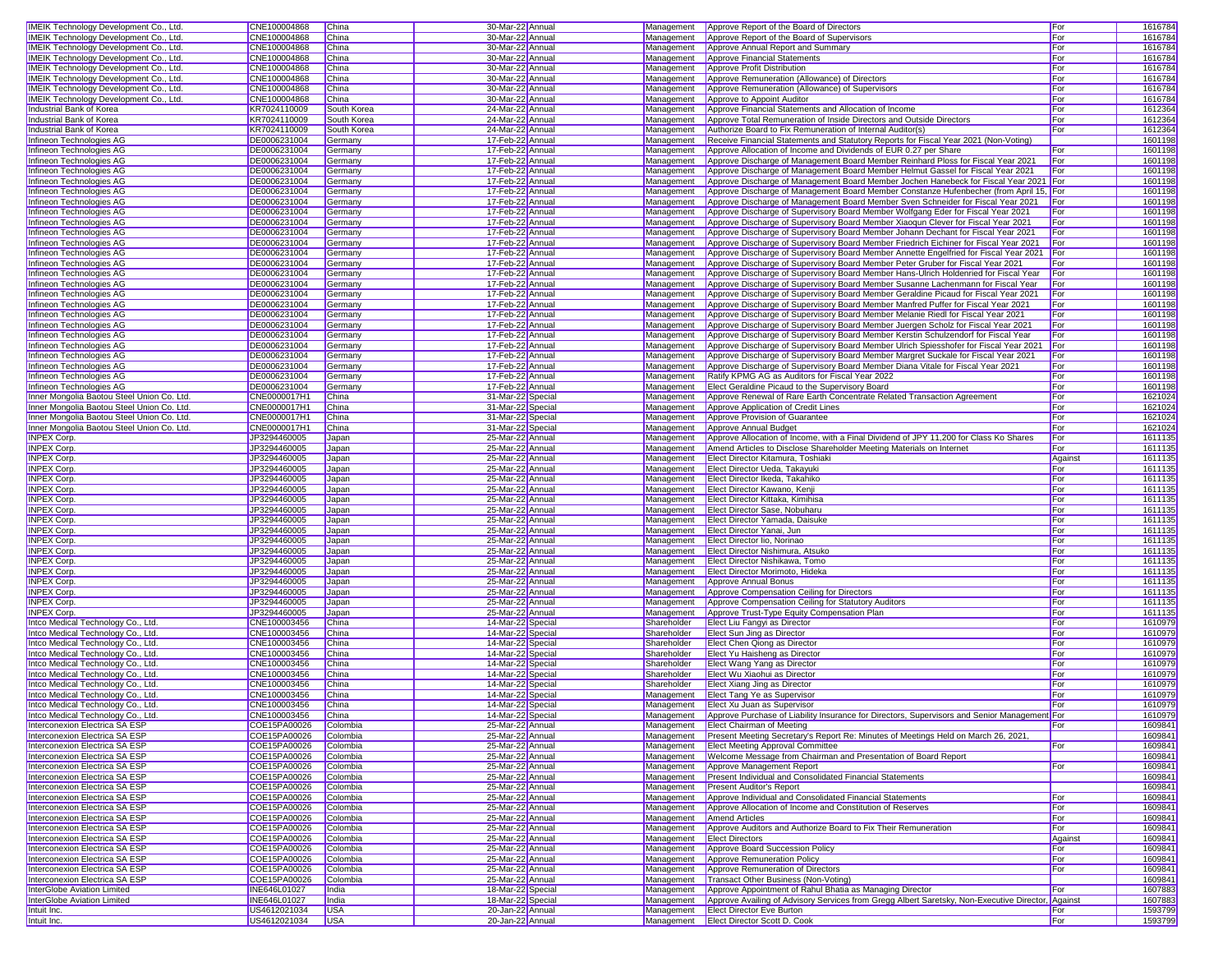| <b>IMEIK Technology Development Co., Ltd</b>  | CNE100004868                        | China               | 30-Mar-22 Annua                       |             | Management   Approve Report of the Board of Directors                                                                                     | For     | 1616784            |
|-----------------------------------------------|-------------------------------------|---------------------|---------------------------------------|-------------|-------------------------------------------------------------------------------------------------------------------------------------------|---------|--------------------|
| IMEIK Technology Development Co., Ltd.        | CNE100004868                        | China               | 30-Mar-22 Annual                      | Management  | Approve Report of the Board of Supervisors                                                                                                | For     | 1616784            |
| <b>IMEIK Technology Development Co., Ltd.</b> | CNE100004868                        | China               | 30-Mar-22 Annual                      | Management  | Approve Annual Report and Summary                                                                                                         | For     | 1616784            |
| IMEIK Technology Development Co., Ltd.        | CNE100004868                        | China               | 30-Mar-22 Annual                      |             | Management   Approve Financial Statements                                                                                                 | For     | 1616784            |
| IMEIK Technology Development Co., Ltd.        | CNE100004868                        | China               | 30-Mar-22 Annual                      |             | Management <b>Approve Profit Distribution</b>                                                                                             | For     | 1616784            |
| IMEIK Technology Development Co., Ltd.        | CNE100004868                        | China               | 30-Mar-22 Annual                      | Management  | Approve Remuneration (Allowance) of Directors                                                                                             | For     | 1616784            |
| <b>IMEIK Technology Development Co., Ltd.</b> | CNE100004868                        | China               | 30-Mar-22 Annual                      | Management  | Approve Remuneration (Allowance) of Supervisors                                                                                           | For     | 1616784            |
| IMEIK Technology Development Co., Ltd.        | CNE100004868                        | China               | 30-Mar-22 Annual                      | Management  | Approve to Appoint Auditor                                                                                                                | For     | 1616784            |
| Industrial Bank of Korea                      | KR7024110009                        | South Korea         | 24-Mar-22 Annual                      | Management  | Approve Financial Statements and Allocation of Income                                                                                     | For     | 1612364            |
| <b>Industrial Bank of Korea</b>               | KR7024110009                        | South Korea         | 24-Mar-22 Annua                       | Management  | Approve Total Remuneration of Inside Directors and Outside Directors                                                                      | For     | 1612364            |
| Industrial Bank of Korea                      | KR7024110009                        | South Korea         | 24-Mar-22 Annua                       | Management  | Authorize Board to Fix Remuneration of Internal Auditor(s)                                                                                | For     | 1612364            |
| Infineon Technologies AG                      | DE0006231004                        | Germany             | 17-Feb-22 Annual                      | Management  | Receive Financial Statements and Statutory Reports for Fiscal Year 2021 (Non-Voting)                                                      |         | 1601198            |
| Infineon Technologies AG                      | DE0006231004                        | Germany             | 17-Feb-22 Annual                      | Management  | Approve Allocation of Income and Dividends of EUR 0.27 per Share                                                                          | For     | 1601198            |
| Infineon Technologies AG                      | DE0006231004                        | Germany             | 17-Feb-22 Annual                      | Management  | Approve Discharge of Management Board Member Reinhard Ploss for Fiscal Year 2021                                                          | For     | 1601198            |
| Infineon Technologies AG                      | DE0006231004                        | Germany             | 17-Feb-22 Annual                      | Management  | Approve Discharge of Management Board Member Helmut Gassel for Fiscal Year 2021                                                           | For     | 1601198            |
| Infineon Technologies AG                      | DE0006231004                        | Germany             | 17-Feb-22 Annual                      | Management  | Approve Discharge of Management Board Member Jochen Hanebeck for Fiscal Year 2021 For                                                     |         | 1601198            |
| Infineon Technologies AG                      | DE0006231004                        | Germany             | 17-Feb-22 Annual                      | Management  | Approve Discharge of Management Board Member Constanze Hufenbecher (from April 15, For                                                    |         | 1601198            |
| Infineon Technologies AG                      | DE0006231004                        | Germany             | 17-Feb-22 Annual                      | Management  | Approve Discharge of Management Board Member Sven Schneider for Fiscal Year 2021                                                          | For     | 1601198            |
| Infineon Technologies AG                      | DE0006231004                        | Germany             | 17-Feb-22 Annual                      | Management  | Approve Discharge of Supervisory Board Member Wolfgang Eder for Fiscal Year 2021                                                          | For     | 1601198            |
| Infineon Technologies AG                      | DE0006231004                        | Germany             | 17-Feb-22 Annua                       | Management  | Approve Discharge of Supervisory Board Member Xiaoqun Clever for Fiscal Year 2021                                                         | For     | 160119             |
| Infineon Technologies AG                      | DE0006231004                        | Germany             | 17-Feb-22 Annua                       | Management  | Approve Discharge of Supervisory Board Member Johann Dechant for Fiscal Year 2021                                                         | For     | 160119             |
| Infineon Technologies AG                      | DE0006231004                        | Germany             | 17-Feb-22 Annual                      | Management  | Approve Discharge of Supervisory Board Member Friedrich Eichiner for Fiscal Year 2021                                                     | For     | 160119             |
| Infineon Technologies AG                      | DE0006231004                        | Germany             | 17-Feb-22 Annual                      | Management  | Approve Discharge of Supervisory Board Member Annette Engelfried for Fiscal Year 2021                                                     | For     | 160119             |
| Infineon Technologies AG                      | DE0006231004                        | Germany             | 17-Feb-22 Annual                      | Management  | Approve Discharge of Supervisory Board Member Peter Gruber for Fiscal Year 2021                                                           | For     | 1601198            |
| Infineon Technologies AG                      | DE0006231004                        | Germany             | 17-Feb-22 Annual                      | Management  | Approve Discharge of Supervisory Board Member Hans-Ulrich Holdenried for Fiscal Year                                                      | For     | 1601198            |
| Infineon Technologies AG                      | DE0006231004                        | Germany             | 17-Feb-22 Annual                      | Management  | Approve Discharge of Supervisory Board Member Susanne Lachenmann for Fiscal Year                                                          | For     | 1601198            |
| Infineon Technologies AG                      | DE0006231004                        | Germany             | 17-Feb-22 Annual                      | Management  | Approve Discharge of Supervisory Board Member Geraldine Picaud for Fiscal Year 2021                                                       | For     | 1601198            |
| Infineon Technologies AG                      | DE0006231004                        | Germany             | 17-Feb-22 Annual                      | Management  | Approve Discharge of Supervisory Board Member Manfred Puffer for Fiscal Year 2021                                                         | For     | 1601198            |
| Infineon Technologies AG                      | DE0006231004                        | Germany             | 17-Feb-22 Annual                      | Management  | Approve Discharge of Supervisory Board Member Melanie Riedl for Fiscal Year 2021                                                          | For     | 1601198            |
| Infineon Technologies AG                      | DE0006231004                        | Germany             | 17-Feb-22 Annua                       | Management  | Approve Discharge of Supervisory Board Member Juergen Scholz for Fiscal Year 2021                                                         | For     | 1601198            |
| Infineon Technologies AG                      | DE0006231004                        | Germany             | 17-Feb-22 Annua                       | Management  | Approve Discharge of Supervisory Board Member Kerstin Schulzendorf for Fiscal Year                                                        | For     | 160119             |
| Infineon Technologies AG                      | DE0006231004                        | Germany             | 17-Feb-22 Annual                      | Management  | Approve Discharge of Supervisory Board Member Ulrich Spiesshofer for Fiscal Year 2021                                                     | For     | 160119             |
| Infineon Technologies AG                      | DE0006231004                        | Germany             | 17-Feb-22 Annual                      | Management  | Approve Discharge of Supervisory Board Member Margret Suckale for Fiscal Year 2021                                                        | For     | 160119             |
| Infineon Technologies AG                      | DE0006231004                        | Germany             | 17-Feb-22 Annual                      | Management  | Approve Discharge of Supervisory Board Member Diana Vitale for Fiscal Year 2021                                                           | For     | 1601198            |
| Infineon Technologies AG                      | DE0006231004                        | Germany             | 17-Feb-22 Annual                      | Management  | Ratify KPMG AG as Auditors for Fiscal Year 2022                                                                                           | For     | 1601198            |
| Infineon Technologies AG                      | DE0006231004                        | Germany             | 17-Feb-22 Annual                      | Management  | Elect Geraldine Picaud to the Supervisory Board                                                                                           | For     | 1601198            |
| Inner Mongolia Baotou Steel Union Co. Ltd.    | CNE0000017H1                        | China               | 31-Mar-22 Special                     | Management  | Approve Renewal of Rare Earth Concentrate Related Transaction Agreement                                                                   | For     | 1621024            |
| Inner Mongolia Baotou Steel Union Co. Ltd.    | CNE0000017H1                        | China               | 31-Mar-22 Special                     | Management  | Approve Application of Credit Lines                                                                                                       | For     | 1621024            |
| Inner Mongolia Baotou Steel Union Co. Ltd.    | CNE0000017H1                        | China               | 31-Mar-22 Special                     | Management  | Approve Provision of Guarantee                                                                                                            | For     | 1621024            |
| Inner Mongolia Baotou Steel Union Co. Ltd.    | CNE0000017H1                        | China               | 31-Mar-22 Special                     | Management  | Approve Annual Budget                                                                                                                     | For     | 1621024            |
| <b>INPEX Corp.</b>                            | JP3294460005                        | Japan               | 25-Mar-22 Annual                      | Management  | Approve Allocation of Income, with a Final Dividend of JPY 11,200 for Class Ko Shares                                                     | For     | 1611135            |
| INPEX Corp.                                   | JP3294460005                        | Japan               | 25-Mar-22 Annual                      | Management  | Amend Articles to Disclose Shareholder Meeting Materials on Internet                                                                      | For     | 1611135            |
| INPEX Corp.                                   | JP3294460005                        | Japan               | 25-Mar-22 Annual                      | Management  | Elect Director Kitamura, Toshiaki                                                                                                         | Against | 1611135            |
|                                               |                                     |                     |                                       |             |                                                                                                                                           |         |                    |
| INPEX Corp.                                   | JP3294460005                        | Japan               | 25-Mar-22 Annual                      | Management  | Elect Director Ueda, Takayuki                                                                                                             | For     | 1611135            |
| <b>INPEX Corp.</b>                            | JP3294460005                        | Japan               | 25-Mar-22 Annual                      | Management  | Elect Director Ikeda, Takahiko                                                                                                            | For     | 1611135            |
| <b>INPEX Corp.</b>                            | JP3294460005                        | Japan               | 25-Mar-22 Annual                      | Management  | Elect Director Kawano, Kenji                                                                                                              | For     | 1611135            |
| INPEX Corp.                                   | JP3294460005                        | Japan               | 25-Mar-22 Annual                      | Management  | Elect Director Kittaka, Kimihisa                                                                                                          | For     | 1611135            |
| <b>INPEX Corp.</b>                            | JP3294460005                        | Japan               | 25-Mar-22 Annual                      | Management  | Elect Director Sase, Nobuharu                                                                                                             | For     | 1611135            |
| INPEX Corp.                                   | JP3294460005                        | Japan               | 25-Mar-22 Annual                      | Management  | Elect Director Yamada, Daisuke                                                                                                            | For     | 1611135            |
| <b>INPEX Corp</b>                             | JP3294460005                        | Japan               | 25-Mar-22 Annua                       | Management  | Elect Director Yanai, Jun                                                                                                                 | For     | 1611135            |
| <b>INPEX Corp</b>                             | JP3294460005                        | Japan               | 25-Mar-22 Annua                       | Management  | Elect Director lio, Norinao                                                                                                               | For     | 1611135            |
| <b>INPEX Corp.</b>                            | JP3294460005                        | Japan               | 25-Mar-22 Annual                      | Management  | Elect Director Nishimura, Atsuko                                                                                                          | For     | 1611135            |
| <b>INPEX Corp.</b>                            | JP3294460005                        | Japan               | 25-Mar-22 Annual                      | Management  | Elect Director Nishikawa, Tomo                                                                                                            | For     | 1611135            |
| <b>INPEX Corp.</b>                            | JP3294460005                        | Japan               | 25-Mar-22 Annual                      | Management  | Elect Director Morimoto, Hideka                                                                                                           | For     | 1611135            |
| INPEX Corp.                                   | JP3294460005                        | Japan               | 25-Mar-22 Annual                      | Management  | Approve Annual Bonus                                                                                                                      | For     | 1611135            |
| <b>INPEX Corp.</b>                            | JP3294460005                        | Japan               | 25-Mar-22 Annual                      | Management  | Approve Compensation Ceiling for Directors                                                                                                | For     | 1611135            |
| <b>INPEX Corp.</b>                            | JP3294460005                        | Japan               | 25-Mar-22 Annual                      | Management  | Approve Compensation Ceiling for Statutory Auditors                                                                                       | For     | 1611135            |
| <b>INPEX Corp.</b>                            | JP3294460005                        | Japan               | 25-Mar-22 Annual                      | Management  | Approve Trust-Type Equity Compensation Plan                                                                                               | For     | 1611135            |
| Intco Medical Technology Co., Ltd.            | CNE100003456                        | China               | 14-Mar-22 Special                     | Shareholder | Elect Liu Fangyi as Director                                                                                                              | For     | 1610979            |
| Intco Medical Technology Co., Ltd.            | CNE100003456                        | China               | 14-Mar-22 Special                     | Shareholder | Elect Sun Jing as Director                                                                                                                | For     | 1610979            |
| Intco Medical Technology Co., Ltd.            | CNE100003456                        | China               | 14-Mar-22 Special                     | Shareholder | Elect Chen Qiong as Director                                                                                                              | For     | 161097             |
| Intco Medical Technology Co., Ltd.            | CNE100003456                        | China               | 14-Mar-22 Special                     | Shareholder | Elect Yu Haisheng as Director                                                                                                             | For     | 1610979            |
| Intco Medical Technology Co., Ltd.            | CNE100003456                        | China               | 14-Mar-22 Special                     | Shareholder | Elect Wang Yang as Director                                                                                                               | For     | 1610979            |
| Intco Medical Technology Co., Ltd.            | CNE100003456                        | China               | 14-Mar-22 Special                     | Shareholder | Elect Wu Xiaohui as Director                                                                                                              | For     | 1610979            |
| Intco Medical Technology Co., Ltd.            | CNE100003456                        | China               | 14-Mar-22 Special                     | Shareholder | Elect Xiang Jing as Director                                                                                                              | For     | 1610979            |
| Intco Medical Technology Co., Ltd.            | CNE100003456                        | China               | 14-Mar-22 Special                     | Management  | <b>Elect Tang Ye as Supervisor</b>                                                                                                        | For     | 1610979            |
| Intco Medical Technology Co., Ltd.            | CNE100003456                        | China               | 14-Mar-22 Special                     | Management  | Elect Xu Juan as Supervisor                                                                                                               | For     | 1610979            |
| Intco Medical Technology Co., Ltd.            | CNE100003456                        | China               | 14-Mar-22 Special                     |             | Management   Approve Purchase of Liability Insurance for Directors, Supervisors and Senior Management For                                 |         | 1610979            |
| Interconexion Electrica SA ESP                | COE15PA00026                        | Colombia            | 25-Mar-22 Annual                      |             | Management Elect Chairman of Meeting                                                                                                      | For     | 1609841            |
| Interconexion Electrica SA ESP                | COE15PA00026                        | Colombia            | 25-Mar-22 Annual                      |             | Management Present Meeting Secretary's Report Re: Minutes of Meetings Held on March 26, 2021,                                             |         | 1609841            |
| Interconexion Electrica SA ESP                | COE15PA00026                        | Colombia            | 25-Mar-22 Annual                      |             | Management Elect Meeting Approval Committee                                                                                               | For     | 1609841            |
| Interconexion Electrica SA ESP                | COE15PA00026                        | Colombia            | 25-Mar-22 Annual                      | Management  | Welcome Message from Chairman and Presentation of Board Report                                                                            |         | 1609841            |
| Interconexion Electrica SA ESP                | COE15PA00026                        | Colombia            | 25-Mar-22 Annual                      |             | Management Approve Management Report                                                                                                      | For     | 1609841            |
| Interconexion Electrica SA ESP                | COE15PA00026                        | Colombia            | 25-Mar-22 Annual                      |             | Management Present Individual and Consolidated Financial Statements                                                                       |         | 1609841            |
| <b>Interconexion Electrica SA ESP</b>         | COE15PA00026                        | Colombia            | 25-Mar-22 Annual                      | Management  | <b>Present Auditor's Report</b>                                                                                                           |         | 1609841            |
| Interconexion Electrica SA ESP                | COE15PA00026                        | Colombia            | 25-Mar-22 Annual                      | Management  | Approve Individual and Consolidated Financial Statements                                                                                  | For     | 1609841            |
| <b>Interconexion Electrica SA ESP</b>         | COE15PA00026                        | Colombia            | 25-Mar-22 Annual                      | Management  | Approve Allocation of Income and Constitution of Reserves                                                                                 | For     | 1609841            |
| Interconexion Electrica SA ESP                | COE15PA00026                        | Colombia            | 25-Mar-22 Annual                      | Management  | <b>Amend Articles</b>                                                                                                                     | For     | 1609841            |
| Interconexion Electrica SA ESP                | COE15PA00026                        | Colombia            | 25-Mar-22 Annual                      | Management  | Approve Auditors and Authorize Board to Fix Their Remuneration                                                                            | For     | 1609841            |
| Interconexion Electrica SA ESP                | COE15PA00026                        | Colombia            | 25-Mar-22 Annual                      | Management  | <b>Elect Directors</b>                                                                                                                    | Against | 1609841            |
| <b>Interconexion Electrica SA ESP</b>         | COE15PA00026                        | Colombia            | 25-Mar-22 Annual                      |             | Management Approve Board Succession Policy                                                                                                | For     | 1609841            |
| Interconexion Electrica SA ESP                | COE15PA00026                        | Colombia            | 25-Mar-22 Annual                      | Management  | Approve Remuneration Policy                                                                                                               | For     | 1609841            |
| Interconexion Electrica SA ESP                | COE15PA00026                        | Colombia            | 25-Mar-22 Annual                      |             | Management Approve Remuneration of Directors                                                                                              | For     | 1609841            |
| Interconexion Electrica SA ESP                | COE15PA00026                        | Colombia            | 25-Mar-22 Annual                      |             | Management   Transact Other Business (Non-Voting)                                                                                         |         | 1609841            |
| InterGlobe Aviation Limited                   | INE646L01027                        | India               | 18-Mar-22 Special                     | Management  | Approve Appointment of Rahul Bhatia as Managing Director                                                                                  | For     | 1607883            |
| InterGlobe Aviation Limited<br>Intuit Inc.    | <b>INE646L01027</b><br>US4612021034 | India<br><b>USA</b> | 18-Mar-22 Special<br>20-Jan-22 Annual | Management  | Approve Availing of Advisory Services from Gregg Albert Saretsky, Non-Executive Director, Against<br>Management Elect Director Eve Burton | For     | 1607883<br>1593799 |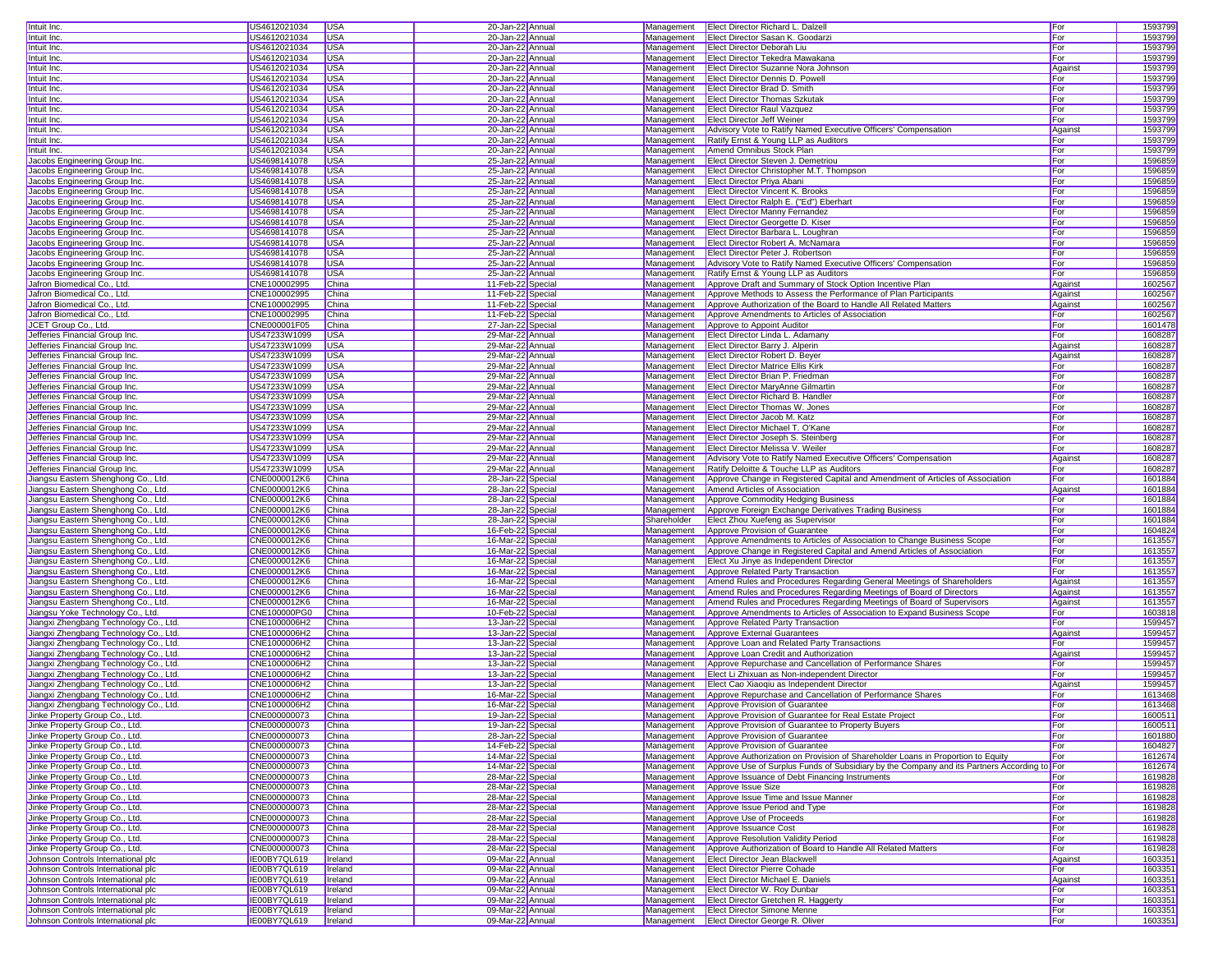| Intuit Inc                                                                 | US4612021034                 | <b>USA</b>         | 20-Jan-22 Annua                        |             | Management <b>Elect Director Richard L. Dalzell</b>                                                            | For        | 1593799            |
|----------------------------------------------------------------------------|------------------------------|--------------------|----------------------------------------|-------------|----------------------------------------------------------------------------------------------------------------|------------|--------------------|
| Intuit Inc.                                                                | US4612021034                 | <b>USA</b>         | 20-Jan-22 Annua                        | Management  | Elect Director Sasan K. Goodarzi                                                                               | For        | 1593799            |
| Intuit Inc.                                                                | US4612021034                 | <b>USA</b>         | 20-Jan-22 Annual                       | Management  | Elect Director Deborah Liu                                                                                     | For        | 1593799            |
| Intuit Inc.                                                                | US4612021034                 | <b>USA</b>         | 20-Jan-22 Annual                       | Management  | Elect Director Tekedra Mawakana                                                                                | For        | 1593799            |
| Intuit Inc.                                                                | US4612021034                 | <b>USA</b>         | 20-Jan-22 Annual                       | Management  | Elect Director Suzanne Nora Johnson                                                                            | Against    | 1593799            |
| Intuit Inc.                                                                | US4612021034                 | <b>USA</b>         | 20-Jan-22 Annual                       | Management  | Elect Director Dennis D. Powell                                                                                | For        | 1593799            |
| Intuit Inc.                                                                | US4612021034                 | <b>USA</b>         | 20-Jan-22 Annua                        | Management  | Elect Director Brad D. Smith                                                                                   | For        | 1593799            |
| Intuit Inc.                                                                | US4612021034                 | <b>USA</b>         | 20-Jan-22 Annual                       | Management  | <b>Elect Director Thomas Szkutak</b>                                                                           | For        | 1593799            |
| Intuit Inc.                                                                | US4612021034                 | <b>USA</b>         | 20-Jan-22 Annual                       | Management  | <b>Elect Director Raul Vazquez</b>                                                                             | For        | 1593799            |
| Intuit Inc.                                                                | US4612021034                 | <b>USA</b>         | 20-Jan-22 Annual                       | Management  | <b>Elect Director Jeff Weiner</b>                                                                              | For        | 1593799            |
| Intuit Inc                                                                 | US4612021034                 | <b>USA</b>         | 20-Jan-22 Annua                        | Management  | Advisory Vote to Ratify Named Executive Officers' Compensation                                                 | Agains     | 1593799            |
| Intuit Inc.                                                                | US4612021034                 | <b>USA</b>         | 20-Jan-22 Annua                        | Management  | Ratify Ernst & Young LLP as Auditors                                                                           | For        | 1593799            |
| Intuit Inc.                                                                | US4612021034                 | <b>USA</b>         | 20-Jan-22 Annual                       | Management  | Amend Omnibus Stock Plan                                                                                       | For        | 1593799            |
| Jacobs Engineering Group Inc.                                              | US4698141078                 | <b>USA</b>         | 25-Jan-22 Annual                       | Management  | Elect Director Steven J. Demetriou                                                                             | For        | 1596859            |
| Jacobs Engineering Group Inc.                                              | US4698141078                 | <b>USA</b>         | 25-Jan-22 Annual                       | Management  | Elect Director Christopher M.T. Thompson                                                                       | For        | 1596859            |
| Jacobs Engineering Group Inc.                                              | US4698141078                 | <b>USA</b>         | 25-Jan-22 Annual                       | Management  | <b>Elect Director Priva Abani</b>                                                                              | For        | 1596859            |
| Jacobs Engineering Group Inc.                                              | US4698141078                 | <b>USA</b>         | 25-Jan-22 Annua                        | Management  | Elect Director Vincent K. Brooks                                                                               | For        | 1596859            |
| Jacobs Engineering Group Inc.                                              | US4698141078                 | <b>USA</b>         | 25-Jan-22 Annual                       | Management  | Elect Director Ralph E. ("Ed") Eberhart                                                                        | For        | 1596859            |
| Jacobs Engineering Group Inc.                                              | US4698141078                 | <b>USA</b>         | 25-Jan-22 Annual                       | Management  | <b>Elect Director Manny Fernandez</b>                                                                          | For        | 1596859            |
| Jacobs Engineering Group Inc.                                              | US4698141078                 | <b>USA</b>         | 25-Jan-22 Annual                       | Management  | Elect Director Georgette D. Kiser                                                                              | For        | 1596859            |
| Jacobs Engineering Group Inc                                               | US4698141078                 | <b>USA</b>         | 25-Jan-22 Annua                        | Management  | Elect Director Barbara L. Loughran                                                                             | For        | 1596859            |
| Jacobs Engineering Group Inc.                                              | US4698141078                 | <b>USA</b>         | 25-Jan-22 Annua                        | Management  | Elect Director Robert A. McNamara                                                                              | For        | 1596859            |
| Jacobs Engineering Group Inc.                                              | US4698141078                 | <b>USA</b>         | 25-Jan-22 Annual                       | Management  | Elect Director Peter J. Robertson                                                                              | For        | 1596859            |
| Jacobs Engineering Group Inc.                                              | US4698141078                 | <b>USA</b>         | 25-Jan-22 Annual                       | Management  | Advisory Vote to Ratify Named Executive Officers' Compensation                                                 | For        | 1596859            |
| Jacobs Engineering Group Inc.                                              | US4698141078                 | <b>USA</b>         | 25-Jan-22 Annual                       | Management  | Ratify Ernst & Young LLP as Auditors                                                                           | For        | 1596859            |
| Jafron Biomedical Co., Ltd.                                                | CNE100002995                 | China              | 11-Feb-22 Special                      | Management  | Approve Draft and Summary of Stock Option Incentive Plan                                                       | Against    | 1602567            |
| Jafron Biomedical Co., Ltd.                                                | CNE100002995                 | China              | 11-Feb-22 Special                      | Management  | Approve Methods to Assess the Performance of Plan Participants                                                 | Against    | 1602567            |
| Jafron Biomedical Co., Ltd.                                                | CNE100002995                 | China              | 11-Feb-22 Special                      | Management  | Approve Authorization of the Board to Handle All Related Matters                                               | Against    | 1602567            |
| Jafron Biomedical Co., Ltd.                                                | CNE100002995                 | China              | 11-Feb-22 Special                      | Management  | Approve Amendments to Articles of Association                                                                  | For        | 1602567            |
| JCET Group Co., Ltd.                                                       | CNE000001F05                 | China              | 27-Jan-22 Special                      | Management  | Approve to Appoint Auditor                                                                                     | For        | 1601478            |
| Jefferies Financial Group Inc                                              | US47233W1099                 | <b>USA</b>         | 29-Mar-22 Annual                       | Management  | Elect Director Linda L. Adamany                                                                                | For        | 1608287            |
| Jefferies Financial Group Inc.                                             | US47233W1099                 | <b>USA</b>         | 29-Mar-22 Annua                        | Management  | Elect Director Barry J. Alperin                                                                                | Against    | 1608287            |
| Jefferies Financial Group Inc                                              | US47233W1099                 | USA                | 29-Mar-22 Annual                       | Management  | Elect Director Robert D. Beyer                                                                                 | Against    | 1608287            |
| Jefferies Financial Group Inc                                              | US47233W1099                 | <b>USA</b>         | 29-Mar-22 Annual                       | Management  | <b>Elect Director Matrice Ellis Kirk</b>                                                                       | For        | 1608287            |
| Jefferies Financial Group Inc                                              | US47233W1099                 | <b>USA</b>         | 29-Mar-22 Annual                       | Management  | Elect Director Brian P. Friedman                                                                               | For        | 1608287            |
| Jefferies Financial Group Inc                                              | US47233W1099                 | <b>USA</b>         | 29-Mar-22 Annual                       | Management  | Elect Director MaryAnne Gilmartin                                                                              | For        | 1608287            |
| Jefferies Financial Group Inc.                                             | US47233W1099                 | <b>USA</b>         | 29-Mar-22 Annua                        | Management  | Elect Director Richard B. Handler                                                                              | For        | 1608287            |
| Jefferies Financial Group Inc.                                             | US47233W1099                 | <b>USA</b>         | 29-Mar-22 Annual                       | Management  | Elect Director Thomas W. Jones                                                                                 | For        | 1608287            |
| Jefferies Financial Group Inc                                              | US47233W1099                 | <b>USA</b>         | 29-Mar-22 Annual                       | Management  | Elect Director Jacob M. Katz                                                                                   | For        | 1608287            |
| Jefferies Financial Group Inc                                              | US47233W1099                 | <b>USA</b>         | 29-Mar-22 Annual                       | Management  | Elect Director Michael T. O'Kane                                                                               | For        | 1608287            |
| Jefferies Financial Group Inc                                              | US47233W1099                 | <b>USA</b>         | 29-Mar-22 Annua                        | Management  | Elect Director Joseph S. Steinberg                                                                             | For        | 1608287            |
| Jefferies Financial Group Inc                                              | US47233W1099                 | <b>USA</b>         | 29-Mar-22 Annua                        | Management  | Elect Director Melissa V. Weiler                                                                               | For        | 1608287            |
| Jefferies Financial Group Inc                                              | US47233W1099                 | <b>USA</b>         | 29-Mar-22 Annual                       | Management  | Advisory Vote to Ratify Named Executive Officers' Compensation                                                 | Against    | 1608287            |
| Jefferies Financial Group Inc                                              | US47233W1099                 | <b>USA</b>         | 29-Mar-22 Annual                       |             |                                                                                                                |            | 1608287            |
|                                                                            |                              |                    |                                        | Management  | Ratify Deloitte & Touche LLP as Auditors                                                                       | For        |                    |
| Jiangsu Eastern Shenghong Co., Ltd.                                        | CNE0000012K6                 | China              |                                        | Management  |                                                                                                                | For        | 1601884            |
| Jiangsu Eastern Shenghong Co., Ltd.                                        | CNE0000012K6                 | China              | 28-Jan-22 Special<br>28-Jan-22 Special | Management  | Approve Change in Registered Capital and Amendment of Articles of Association<br>Amend Articles of Association | Against    | 1601884            |
|                                                                            | CNE0000012K6                 | China              |                                        | Management  |                                                                                                                | For        | 1601884            |
| Jiangsu Eastern Shenghong Co., Ltd.<br>Jiangsu Eastern Shenghong Co., Ltd. | CNE0000012K6                 | China              | 28-Jan-22 Special<br>28-Jan-22 Special | Management  | Approve Commodity Hedging Business<br>Approve Foreign Exchange Derivatives Trading Business                    | For        | 1601884            |
| Jiangsu Eastern Shenghong Co., Ltd.                                        | CNE0000012K6                 | China              |                                        | Shareholder | Elect Zhou Xuefeng as Supervisor                                                                               | For        | 1601884            |
| Jiangsu Eastern Shenghong Co., Ltd.                                        | CNE0000012K6                 | China              | 28-Jan-22 Special                      | Management  | Approve Provision of Guarantee                                                                                 | For        | 1604824            |
| Jiangsu Eastern Shenghong Co., Ltd.                                        | CNE0000012K6                 | China              | 16-Feb-22 Special<br>16-Mar-22 Special | Management  | Approve Amendments to Articles of Association to Change Business Scope                                         | For        | 1613557            |
| Jiangsu Eastern Shenghong Co., Ltd.                                        | CNE0000012K6                 | China              | 16-Mar-22 Special                      | Management  | Approve Change in Registered Capital and Amend Articles of Association                                         | For        | 1613557            |
| Jiangsu Eastern Shenghong Co., Ltd.                                        | CNE0000012K6                 | China              | 16-Mar-22 Special                      | Management  | Elect Xu Jinye as Independent Director                                                                         | For        | 1613557            |
| Jiangsu Eastern Shenghong Co., Ltd.                                        | CNE0000012K6                 | China              | 16-Mar-22 Special                      | Management  | Approve Related Party Transaction                                                                              | For        | 1613557            |
| Jiangsu Eastern Shenghong Co., Ltd.                                        | CNE0000012K6                 | China              | 16-Mar-22 Special                      | Management  | Amend Rules and Procedures Regarding General Meetings of Shareholders                                          | Against    | 1613557            |
| Jiangsu Eastern Shenghong Co., Ltd.                                        | CNE0000012K6                 | China              | 16-Mar-22 Special                      | Management  | Amend Rules and Procedures Regarding Meetings of Board of Directors                                            | Against    | 1613557            |
| Jiangsu Eastern Shenghong Co., Ltd.                                        | CNE0000012K6                 | China              | 16-Mar-22 Special                      | Management  | Amend Rules and Procedures Regarding Meetings of Board of Supervisors                                          | Against    | 1613557            |
| Jiangsu Yoke Technology Co., Ltd.                                          | CNE100000PG0                 | China              | 10-Feb-22 Special                      | Management  | Approve Amendments to Articles of Association to Expand Business Scope                                         | For        | 1603818            |
| Jiangxi Zhengbang Technology Co., Ltd.                                     | CNE1000006H2                 | China              | 13-Jan-22 Special                      | Management  | Approve Related Party Transaction                                                                              | For        | 1599457            |
| Jiangxi Zhengbang Technology Co., Ltd.                                     | CNE1000006H2                 | China              | 13-Jan-22 Special                      | Management  | Approve External Guarantees                                                                                    | Against    | 1599457            |
| Jiangxi Zhengbang Technology Co., Ltd.                                     | CNE1000006H2                 | China              | 13-Jan-22 Special                      | Management  | Approve Loan and Related Party Transactions                                                                    | For        | 1599457            |
| Jiangxi Zhengbang Technology Co., Ltd.                                     | CNE1000006H2                 | China              | 13-Jan-22 Special                      | Management  | Approve Loan Credit and Authorization                                                                          | Against    | 1599457            |
| Jiangxi Zhengbang Technology Co., Ltd.                                     | CNE1000006H2                 | China              | 13-Jan-22 Special                      | Management  | Approve Repurchase and Cancellation of Performance Shares                                                      | For        | 1599457            |
| Jiangxi Zhengbang Technology Co., Ltd.                                     | CNE1000006H2                 | China              | 13-Jan-22 Special                      | Management  | Elect Li Zhixuan as Non-independent Director                                                                   | For        | 1599457            |
| Jiangxi Zhengbang Technology Co., Ltd.                                     | CNE1000006H2                 | China              | 13-Jan-22 Special                      | Management  | Elect Cao Xiaoqiu as Independent Director                                                                      | Against    | 1599457            |
| Jiangxi Zhengbang Technology Co., Ltd.                                     | CNE1000006H2                 | China              | 16-Mar-22 Special                      | Management  | Approve Repurchase and Cancellation of Performance Shares                                                      | For        | 1613468            |
| Jiangxi Zhengbang Technology Co., Ltd.                                     | CNE1000006H2                 | China              | 16-Mar-22 Special                      | Management  | Approve Provision of Guarantee                                                                                 | For        | 1613468            |
| Jinke Property Group Co., Ltd.                                             | CNE000000073                 | China              | 19-Jan-22 Special                      |             | Management Approve Provision of Guarantee for Real Estate Project                                              | For        | 1600511            |
| Jinke Property Group Co., Ltd.                                             | CNE000000073                 | China              | 19-Jan-22 Special                      | Management  | Approve Provision of Guarantee to Property Buyers                                                              | For        | 1600511            |
| Jinke Property Group Co., Ltd.                                             | CNE000000073                 | <b>China</b>       | 28-Jan-22 Special                      | Management  | Approve Provision of Guarantee                                                                                 | For        | 1601880            |
| Jinke Property Group Co., Ltd.                                             | CNE000000073                 | China              | 14-Feb-22 Special                      | Management  | Approve Provision of Guarantee                                                                                 | For        | 1604827            |
| Jinke Property Group Co., Ltd.                                             | CNE000000073                 | China              | 14-Mar-22 Special                      | Management  | Approve Authorization on Provision of Shareholder Loans in Proportion to Equity                                | For        | 1612674            |
| Jinke Property Group Co., Ltd.                                             | CNE000000073                 | China              | 14-Mar-22 Special                      | Management  | Approve Use of Surplus Funds of Subsidiary by the Company and its Partners According to For                    |            | 1612674            |
| Jinke Property Group Co., Ltd.                                             | CNE000000073                 | China              | 28-Mar-22 Special                      | Management  | Approve Issuance of Debt Financing Instruments                                                                 | For        | 1619828            |
| Jinke Property Group Co., Ltd.                                             | CNE000000073                 | <b>China</b>       | 28-Mar-22 Special                      | Management  | Approve Issue Size                                                                                             | For        | 1619828            |
| Jinke Property Group Co., Ltd.                                             | CNE000000073                 | China              | 28-Mar-22 Special                      | Management  | Approve Issue Time and Issue Manner                                                                            | For        | 1619828            |
| Jinke Property Group Co., Ltd.                                             | CNE000000073                 | China              | 28-Mar-22 Special                      | Management  | Approve Issue Period and Type                                                                                  | For        | 1619828            |
| Jinke Property Group Co., Ltd.                                             | CNE000000073                 | <b>China</b>       | 28-Mar-22 Special                      | Management  | Approve Use of Proceeds                                                                                        | For        | 1619828            |
| Jinke Property Group Co., Ltd.                                             | CNE000000073                 | China              | 28-Mar-22 Special                      | Management  | Approve Issuance Cost                                                                                          | For        | 1619828            |
| Jinke Property Group Co., Ltd.                                             | CNE000000073                 | <b>China</b>       | 28-Mar-22 Special                      | Management  | Approve Resolution Validity Period                                                                             | For        | 1619828            |
| Jinke Property Group Co., Ltd.                                             | CNE000000073                 | China              | 28-Mar-22 Special                      | Management  | Approve Authorization of Board to Handle All Related Matters                                                   | For        | 1619828            |
| Johnson Controls International plc                                         | IE00BY7QL619                 | Ireland            | 09-Mar-22 Annual                       | Management  | <b>Elect Director Jean Blackwell</b>                                                                           | Against    | 1603351            |
| Johnson Controls International plc                                         | IE00BY7QL619                 | Ireland            | 09-Mar-22 Annual                       | Management  | <b>Elect Director Pierre Cohade</b>                                                                            | For        | 160335             |
| Johnson Controls International plc                                         | IE00BY7QL619                 | Ireland            | 09-Mar-22 Annual                       | Management  | Elect Director Michael E. Daniels                                                                              | Against    | 1603351            |
| Johnson Controls International plc                                         | IE00BY7QL619                 | Ireland            | 09-Mar-22 Annual                       | Management  | Elect Director W. Roy Dunbar                                                                                   | For        | 1603351            |
| Johnson Controls International plc                                         | IE00BY7QL619                 | Ireland            | 09-Mar-22 Annual                       |             | Management Elect Director Gretchen R. Haggerty                                                                 | For        | 1603351            |
| Johnson Controls International plc<br>Johnson Controls International plc   | IE00BY7QL619<br>IE00BY7QL619 | Ireland<br>Ireland | 09-Mar-22 Annual<br>09-Mar-22 Annual   |             | Management Elect Director Simone Menne<br>Management Elect Director George R. Oliver                           | For<br>For | 1603351<br>1603351 |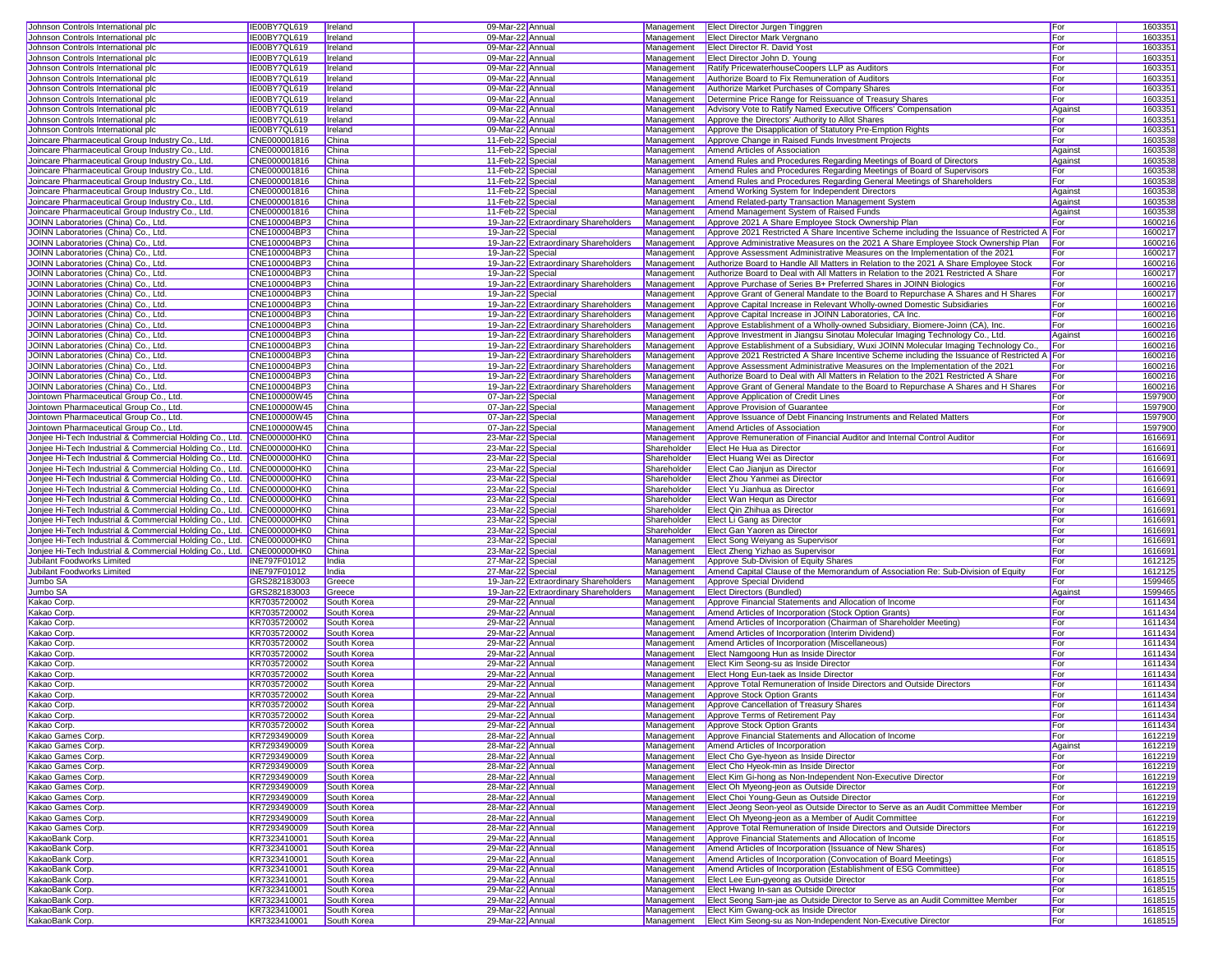| Johnson Controls International plc                                    | IE00BY7QL619             | <b>I</b> reland            | 09-Mar-22 Annual  |                                      |             | Management Elect Director Jurgen Tinggren                                                   | For     | 1603351 |
|-----------------------------------------------------------------------|--------------------------|----------------------------|-------------------|--------------------------------------|-------------|---------------------------------------------------------------------------------------------|---------|---------|
| Johnson Controls International plc                                    | IE00BY7QL619             | Ireland                    | 09-Mar-22 Annual  |                                      | Management  | <b>Elect Director Mark Vergnano</b>                                                         | For     | 1603351 |
| Johnson Controls International plc                                    | IE00BY7QL619             | Ireland                    | 09-Mar-22 Annual  |                                      | Management  | Elect Director R. David Yost                                                                | For     | 160335  |
| Johnson Controls International plc                                    | IE00BY7QL619             | Ireland                    | 09-Mar-22 Annual  |                                      | Management  | Elect Director John D. Young                                                                | For     | 1603351 |
| Johnson Controls International plc                                    | IE00BY7QL619             | Ireland                    | 09-Mar-22 Annual  |                                      | Management  | Ratify PricewaterhouseCoopers LLP as Auditors                                               | For     | 1603351 |
| Johnson Controls International plc                                    | IE00BY7QL619             | Ireland                    | 09-Mar-22 Annual  |                                      | Management  | Authorize Board to Fix Remuneration of Auditors                                             | For     | 1603351 |
| Johnson Controls International plc                                    | IE00BY7QL619             | Ireland                    | 09-Mar-22 Annual  |                                      | Management  | Authorize Market Purchases of Company Shares                                                | For     | 1603351 |
| Johnson Controls International plc                                    | IE00BY7QL619             | <b>I</b> reland            | 09-Mar-22 Annual  |                                      | Management  | Determine Price Range for Reissuance of Treasury Shares                                     | For     | 1603351 |
|                                                                       |                          |                            |                   |                                      |             |                                                                                             |         |         |
| Johnson Controls International plc                                    | IE00BY7QL619             | Ireland                    | 09-Mar-22 Annual  |                                      | Management  | Advisory Vote to Ratify Named Executive Officers' Compensation                              | Against | 1603351 |
| Johnson Controls International plc                                    | IE00BY7QL619             | Ireland                    | 09-Mar-22 Annual  |                                      | Management  | Approve the Directors' Authority to Allot Shares                                            | For     | 160335  |
| Johnson Controls International plc                                    | IE00BY7QL619             | Ireland                    | 09-Mar-22 Annual  |                                      | Management  | Approve the Disapplication of Statutory Pre-Emption Rights                                  | For     | 1603351 |
| Joincare Pharmaceutical Group Industry Co., Ltd.                      | CNE000001816             | China                      | 11-Feb-22 Special |                                      | Management  | Approve Change in Raised Funds Investment Projects                                          | For     | 1603538 |
| Joincare Pharmaceutical Group Industry Co., Ltd.                      | CNE000001816             | China                      | 11-Feb-22 Special |                                      | Management  | Amend Articles of Association                                                               | Against | 160353  |
| Joincare Pharmaceutical Group Industry Co., Ltd.                      | CNE000001816             | China                      | 11-Feb-22 Special |                                      | Management  | Amend Rules and Procedures Regarding Meetings of Board of Directors                         | Against | 1603538 |
| Joincare Pharmaceutical Group Industry Co., Ltd.                      | CNE000001816             | China                      | 11-Feb-22 Special |                                      | Management  | Amend Rules and Procedures Regarding Meetings of Board of Supervisors                       | For     | 1603538 |
| Joincare Pharmaceutical Group Industry Co., Ltd.                      | CNE000001816             | China                      | 11-Feb-22 Special |                                      | Management  | Amend Rules and Procedures Regarding General Meetings of Shareholders                       | For     | 1603538 |
| Joincare Pharmaceutical Group Industry Co., Ltd.                      | CNE000001816             | China                      | 11-Feb-22 Special |                                      | Management  | Amend Working System for Independent Directors                                              | Against | 1603538 |
| Joincare Pharmaceutical Group Industry Co., Ltd.                      | CNE000001816             | China                      | 11-Feb-22 Special |                                      | Management  | Amend Related-party Transaction Management System                                           | Against | 1603538 |
| Joincare Pharmaceutical Group Industry Co., Ltd.                      | CNE000001816             | China                      | 11-Feb-22 Special |                                      | Management  | Amend Management System of Raised Funds                                                     | Against | 1603538 |
| JOINN Laboratories (China) Co., Ltd.                                  | CNE100004BP3             | China                      |                   | 19-Jan-22 Extraordinary Shareholders | Management  | Approve 2021 A Share Employee Stock Ownership Plan                                          | For     | 1600216 |
| JOINN Laboratories (China) Co., Ltd.                                  | CNE100004BP3             | China                      | 19-Jan-22 Special |                                      | Management  | Approve 2021 Restricted A Share Incentive Scheme including the Issuance of Restricted A For |         | 1600217 |
| JOINN Laboratories (China) Co., Ltd.                                  | CNE100004BP3             | China                      |                   | 19-Jan-22 Extraordinary Shareholders | Management  | Approve Administrative Measures on the 2021 A Share Employee Stock Ownership Plan           | For     | 1600216 |
| JOINN Laboratories (China) Co., Ltd.                                  | CNE100004BP3             | China                      | 19-Jan-22 Special |                                      | Management  | Approve Assessment Administrative Measures on the Implementation of the 2021                | For     | 1600217 |
| JOINN Laboratories (China) Co., Ltd.                                  | CNE100004BP3             | China                      |                   | 19-Jan-22 Extraordinary Shareholders | Management  | Authorize Board to Handle All Matters in Relation to the 2021 A Share Employee Stock        | For     | 1600216 |
| JOINN Laboratories (China) Co., Ltd.                                  | CNE100004BP3             | China                      | 19-Jan-22 Special |                                      | Management  | Authorize Board to Deal with All Matters in Relation to the 2021 Restricted A Share         | For     | 1600217 |
|                                                                       |                          |                            |                   |                                      |             |                                                                                             |         |         |
| JOINN Laboratories (China) Co., Ltd.                                  | CNE100004BP3             | China                      |                   | 19-Jan-22 Extraordinary Shareholders | Management  | Approve Purchase of Series B+ Preferred Shares in JOINN Biologics                           | For     | 1600216 |
| JOINN Laboratories (China) Co., Ltd.                                  | CNE100004BP3             | China                      | 19-Jan-22 Special |                                      | Management  | Approve Grant of General Mandate to the Board to Repurchase A Shares and H Shares           | For     | 1600217 |
| JOINN Laboratories (China) Co., Ltd.                                  | CNE100004BP3             | China                      |                   | 19-Jan-22 Extraordinary Shareholders | Management  | Approve Capital Increase in Relevant Wholly-owned Domestic Subsidiaries                     | For     | 1600216 |
| JOINN Laboratories (China) Co., Ltd.                                  | CNE100004BP3             | China                      |                   | 19-Jan-22 Extraordinary Shareholders | Management  | Approve Capital Increase in JOINN Laboratories, CA Inc.                                     | For     | 1600216 |
| JOINN Laboratories (China) Co., Ltd.                                  | CNE100004BP3             | China                      |                   | 19-Jan-22 Extraordinary Shareholders | Management  | Approve Establishment of a Wholly-owned Subsidiary, Biomere-Joinn (CA), Inc.                | For     | 1600216 |
| JOINN Laboratories (China) Co., Ltd.                                  | CNE100004BP3             | China                      |                   | 19-Jan-22 Extraordinary Shareholders | Management  | Approve Investment in Jiangsu Sinotau Molecular Imaging Technology Co., Ltd.                | Against | 1600216 |
| JOINN Laboratories (China) Co., Ltd.                                  | CNE100004BP3             | China                      |                   | 19-Jan-22 Extraordinary Shareholders | Management  | Approve Establishment of a Subsidiary, Wuxi JOINN Molecular Imaging Technology Co.,         | For     | 1600216 |
| JOINN Laboratories (China) Co., Ltd.                                  | CNE100004BP3             | China                      |                   | 19-Jan-22 Extraordinary Shareholders | Management  | Approve 2021 Restricted A Share Incentive Scheme including the Issuance of Restricted A For |         | 1600216 |
| JOINN Laboratories (China) Co., Ltd.                                  | CNE100004BP3             | China                      |                   | 19-Jan-22 Extraordinary Shareholders | Management  | Approve Assessment Administrative Measures on the Implementation of the 2021                | For     | 1600216 |
| JOINN Laboratories (China) Co., Ltd.                                  | CNE100004BP3             | China                      |                   | 19-Jan-22 Extraordinary Shareholders | Management  | Authorize Board to Deal with All Matters in Relation to the 2021 Restricted A Share         | For     | 1600216 |
| JOINN Laboratories (China) Co., Ltd.                                  | CNE100004BP3             | China                      |                   | 19-Jan-22 Extraordinary Shareholders | Management  | Approve Grant of General Mandate to the Board to Repurchase A Shares and H Shares           | For     | 1600216 |
| Jointown Pharmaceutical Group Co., Ltd.                               | CNE100000W45             | China                      | 07-Jan-22 Special |                                      | Management  | Approve Application of Credit Lines                                                         | For     | 1597900 |
| Jointown Pharmaceutical Group Co., Ltd.                               | CNE100000W45             | China                      | 07-Jan-22 Special |                                      | Management  | Approve Provision of Guarantee                                                              | For     | 1597900 |
| Jointown Pharmaceutical Group Co., Ltd.                               | CNE100000W45             | China                      | 07-Jan-22 Special |                                      | Management  | Approve Issuance of Debt Financing Instruments and Related Matters                          | For     | 1597900 |
| Jointown Pharmaceutical Group Co., Ltd.                               | CNE100000W45             | China                      | 07-Jan-22 Special |                                      | Management  | Amend Articles of Association                                                               | For     | 1597900 |
| Jonjee Hi-Tech Industrial & Commercial Holding Co., Ltd. CNE000000HK0 |                          | China                      | 23-Mar-22 Special |                                      | Management  | Approve Remuneration of Financial Auditor and Internal Control Auditor                      | For     | 1616691 |
| Jonjee Hi-Tech Industrial & Commercial Holding Co., Ltd. CNE000000HK0 |                          | China                      | 23-Mar-22 Special |                                      | Shareholder | Elect He Hua as Director                                                                    | For     | 1616691 |
| Jonjee Hi-Tech Industrial & Commercial Holding Co., Ltd. CNE000000HK0 |                          | <b>China</b>               | 23-Mar-22 Special |                                      | Shareholder | Elect Huang Wei as Director                                                                 | For     | 1616691 |
| Jonjee Hi-Tech Industrial & Commercial Holding Co., Ltd. CNE000000HK0 |                          | China                      |                   |                                      | Shareholder |                                                                                             | For     | 1616691 |
| Jonjee Hi-Tech Industrial & Commercial Holding Co., Ltd. CNE000000HK0 |                          | China                      | 23-Mar-22 Special |                                      | Shareholder | Elect Cao Jianjun as Director<br>Elect Zhou Yanmei as Director                              | For     |         |
|                                                                       |                          |                            | 23-Mar-22 Special |                                      |             |                                                                                             |         | 1616691 |
| Jonjee Hi-Tech Industrial & Commercial Holding Co., Ltd. CNE000000HK0 |                          | China                      | 23-Mar-22 Special |                                      | Shareholder | Elect Yu Jianhua as Director                                                                | For     | 1616691 |
| Jonjee Hi-Tech Industrial & Commercial Holding Co., Ltd. CNE000000HK0 |                          | China                      | 23-Mar-22 Special |                                      | Shareholder | Elect Wan Hequn as Director                                                                 | For     | 1616691 |
| Jonjee Hi-Tech Industrial & Commercial Holding Co., Ltd. CNE000000HK0 |                          | China                      | 23-Mar-22 Special |                                      | Shareholder | Elect Qin Zhihua as Director                                                                | For     | 1616691 |
| Jonjee Hi-Tech Industrial & Commercial Holding Co., Ltd. CNE000000HK0 |                          | China                      | 23-Mar-22 Special |                                      | Shareholder | Elect Li Gang as Director                                                                   | For     | 1616691 |
| Jonjee Hi-Tech Industrial & Commercial Holding Co., Ltd. CNE000000HK0 |                          | China                      | 23-Mar-22 Special |                                      | Shareholder | Elect Gan Yaoren as Director                                                                | For     | 1616691 |
| Jonjee Hi-Tech Industrial & Commercial Holding Co., Ltd. CNE000000HK0 |                          | China                      | 23-Mar-22 Special |                                      | Management  | Elect Song Weiyang as Supervisor                                                            | For     | 1616691 |
| Jonjee Hi-Tech Industrial & Commercial Holding Co., Ltd. CNE000000HK0 |                          | China                      | 23-Mar-22 Special |                                      | Management  | Elect Zheng Yizhao as Supervisor                                                            | For     | 1616691 |
| Jubilant Foodworks Limited                                            | <b>INE797F01012</b>      | India                      | 27-Mar-22 Special |                                      | Management  | Approve Sub-Division of Equity Shares                                                       | For     | 1612125 |
| Jubilant Foodworks Limited                                            | INE797F01012             | India                      | 27-Mar-22 Special |                                      | Management  | Amend Capital Clause of the Memorandum of Association Re: Sub-Division of Equity            | For     | 1612125 |
| Jumbo SA                                                              | GRS282183003             | Greece                     |                   | 19-Jan-22 Extraordinary Shareholders | Management  | Approve Special Dividend                                                                    | For     | 1599465 |
| Jumbo SA                                                              | GRS282183003             | Greece                     |                   | 19-Jan-22 Extraordinary Shareholders | Management  | <b>Elect Directors (Bundled)</b>                                                            | Against | 1599465 |
| Kakao Corp                                                            | KR7035720002             | South Korea                | 29-Mar-22 Annual  |                                      | Management  | Approve Financial Statements and Allocation of Income                                       | For     | 1611434 |
| Kakao Corp                                                            | KR7035720002             | South Korea                | 29-Mar-22 Annual  |                                      | Management  | Amend Articles of Incorporation (Stock Option Grants)                                       | For     | 1611434 |
| Kakao Corp                                                            | KR7035720002             | South Korea                | 29-Mar-22 Annual  |                                      | Management  | Amend Articles of Incorporation (Chairman of Shareholder Meeting)                           | For     | 1611434 |
| Kakao Corp                                                            | KR7035720002             | South Korea                | 29-Mar-22 Annual  |                                      | Management  | Amend Articles of Incorporation (Interim Dividend)                                          | For     | 1611434 |
| Kakao Corp.                                                           | KR7035720002             | South Korea                | 29-Mar-22 Annual  |                                      | Management  | Amend Articles of Incorporation (Miscellaneous)                                             | For     | 1611434 |
| Kakao Corp.                                                           | KR7035720002             | South Korea                | 29-Mar-22 Annual  |                                      | Management  | Elect Namgoong Hun as Inside Director                                                       | For     | 1611434 |
| Kakao Corp.                                                           | KR7035720002             | South Korea                | 29-Mar-22 Annual  |                                      | Management  | Elect Kim Seong-su as Inside Director                                                       | For     | 1611434 |
| Kakao Corp                                                            | KR7035720002             | South Korea                | 29-Mar-22 Annual  |                                      | Management  | Elect Hong Eun-taek as Inside Director                                                      | For     | 1611434 |
| Kakao Corp.                                                           | KR7035720002             | South Korea                | 29-Mar-22 Annual  |                                      | Management  | Approve Total Remuneration of Inside Directors and Outside Directors                        | For     | 1611434 |
|                                                                       |                          |                            |                   |                                      |             |                                                                                             | For     | 1611434 |
| Kakao Corp.                                                           | KR7035720002             | South Korea                | 29-Mar-22 Annual  |                                      | Management  | Approve Stock Option Grants                                                                 |         |         |
| Kakao Corp.                                                           | KR7035720002             | South Korea                | 29-Mar-22 Annual  |                                      |             | Management   Approve Cancellation of Treasury Shares                                        | For     | 1611434 |
| Kakao Corp.                                                           | KR7035720002             | South Korea                | 29-Mar-22 Annual  |                                      |             | Management Approve Terms of Retirement Pay                                                  | For     | 1611434 |
| Kakao Corp.                                                           | KR7035720002             | South Korea                | 29-Mar-22 Annual  |                                      |             | Management   Approve Stock Option Grants                                                    | For     | 1611434 |
| Kakao Games Corp.                                                     | KR7293490009             | South Korea                | 28-Mar-22 Annual  |                                      |             | Management Approve Financial Statements and Allocation of Income                            | For     | 1612219 |
| Kakao Games Corp.                                                     | KR7293490009             | South Korea                | 28-Mar-22 Annual  |                                      |             | Management <b>Amend Articles of Incorporation</b>                                           | Against | 1612219 |
| Kakao Games Corp.                                                     | KR7293490009             | South Korea                | 28-Mar-22 Annual  |                                      | Management  | Elect Cho Gye-hyeon as Inside Director                                                      | For     | 1612219 |
| Kakao Games Corp.                                                     | KR7293490009             | South Korea                | 28-Mar-22 Annual  |                                      |             | Management Elect Cho Hyeok-min as Inside Director                                           | For     | 1612219 |
| Kakao Games Corp.                                                     | KR7293490009             | South Korea                | 28-Mar-22 Annual  |                                      |             | Management Elect Kim Gi-hong as Non-Independent Non-Executive Director                      | For     | 1612219 |
| Kakao Games Corp.                                                     | KR7293490009             | South Korea                | 28-Mar-22 Annual  |                                      |             | Management Elect Oh Myeong-jeon as Outside Director                                         | For     | 1612219 |
| Kakao Games Corp.                                                     | KR7293490009             | South Korea                | 28-Mar-22 Annual  |                                      | Management  | Elect Choi Young-Geun as Outside Director                                                   | For     | 1612219 |
| Kakao Games Corp.                                                     | KR7293490009             | South Korea                | 28-Mar-22 Annual  |                                      | Management  | Elect Jeong Seon-yeol as Outside Director to Serve as an Audit Committee Member             | For     | 1612219 |
| Kakao Games Corp.                                                     | KR7293490009             | South Korea                | 28-Mar-22 Annual  |                                      | Management  | Elect Oh Myeong-jeon as a Member of Audit Committee                                         | For     | 1612219 |
| Kakao Games Corp.                                                     | KR7293490009             | South Korea                | 28-Mar-22 Annual  |                                      | Management  | Approve Total Remuneration of Inside Directors and Outside Directors                        | For     | 1612219 |
| KakaoBank Corp.                                                       | KR7323410001             | South Korea                | 29-Mar-22 Annual  |                                      | Management  | Approve Financial Statements and Allocation of Income                                       | For     | 1618515 |
| KakaoBank Corp.                                                       | KR7323410001             | South Korea                | 29-Mar-22 Annual  |                                      | Management  | Amend Articles of Incorporation (Issuance of New Shares)                                    | For     | 1618515 |
| KakaoBank Corp.                                                       | KR7323410001             | South Korea                | 29-Mar-22 Annual  |                                      | Management  | Amend Articles of Incorporation (Convocation of Board Meetings)                             | For     | 1618515 |
| KakaoBank Corp.                                                       | KR7323410001             | South Korea                | 29-Mar-22 Annual  |                                      | Management  | Amend Articles of Incorporation (Establishment of ESG Committee)                            | For     | 1618515 |
|                                                                       | KR7323410001             |                            |                   |                                      | Management  |                                                                                             |         | 1618515 |
| KakaoBank Corp.                                                       | KR7323410001             | South Korea<br>South Korea | 29-Mar-22 Annual  |                                      |             | Elect Lee Eun-gyeong as Outside Director                                                    | For     |         |
| KakaoBank Corp.                                                       |                          |                            | 29-Mar-22 Annual  |                                      | Management  | Elect Hwang In-san as Outside Director                                                      | For     | 1618515 |
| KakaoBank Corp.                                                       | KR7323410001             | South Korea                | 29-Mar-22 Annual  |                                      |             | Management Elect Seong Sam-jae as Outside Director to Serve as an Audit Committee Member    | For     | 1618515 |
| KakaoBank Corp.                                                       | KR7323410001             | South Korea                | 29-Mar-22 Annual  |                                      |             | Management   Elect Kim Gwang-ock as Inside Director                                         | For     | 1618515 |
| KakaoBank Corp.                                                       | KR7323410001 South Korea |                            | 29-Mar-22 Annual  |                                      |             | Management Elect Kim Seong-su as Non-Independent Non-Executive Director                     | For     | 1618515 |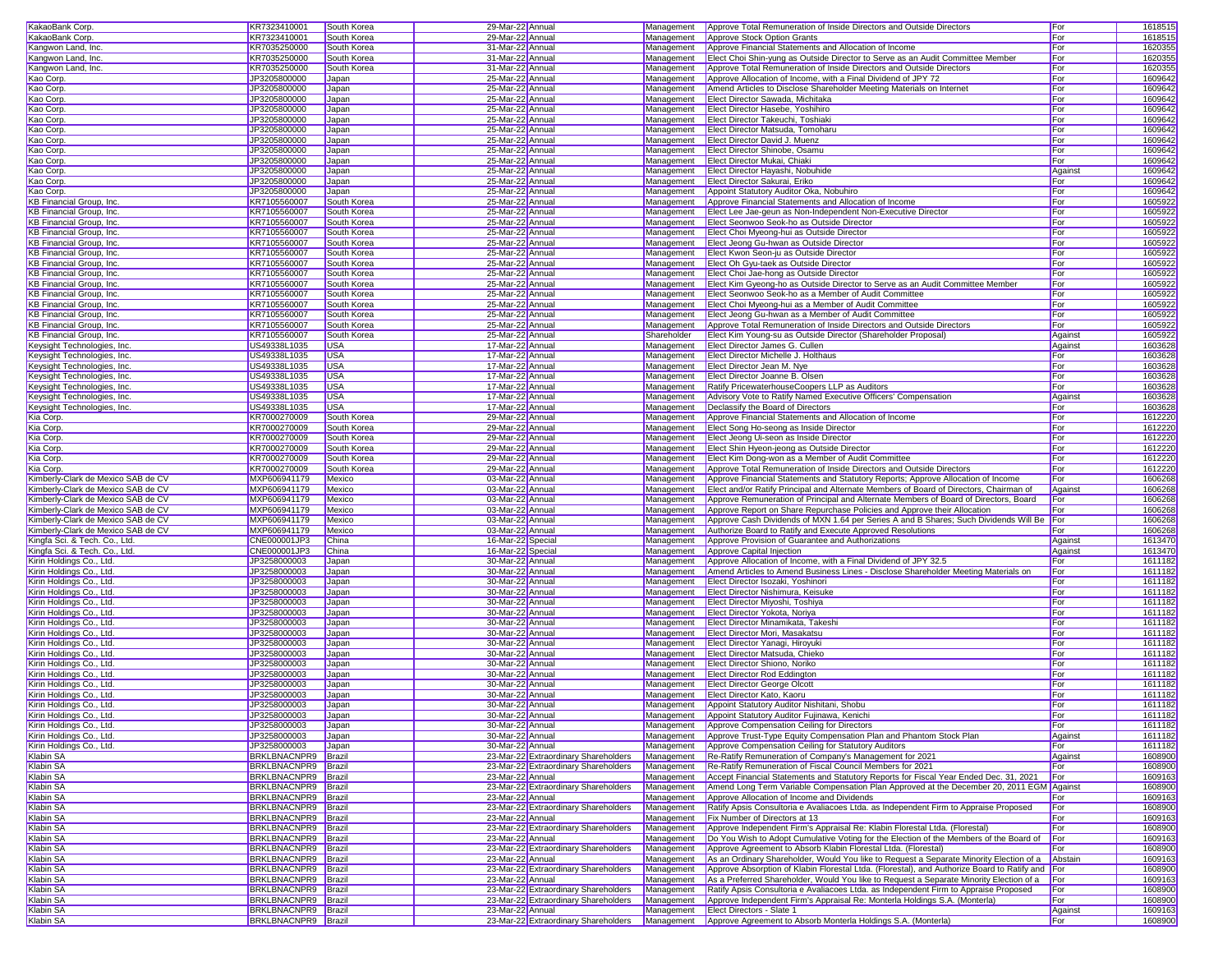| KakaoBank Corp.                                                                                                                                                                                                                                                                                                                                                                                                                                              | KR7323410001                               | South Korea  | 29-Mar-22 Annual  |                                                                              |             | Management Approve Total Remuneration of Inside Directors and Outside Directors                                  | For            | 1618515            |
|--------------------------------------------------------------------------------------------------------------------------------------------------------------------------------------------------------------------------------------------------------------------------------------------------------------------------------------------------------------------------------------------------------------------------------------------------------------|--------------------------------------------|--------------|-------------------|------------------------------------------------------------------------------|-------------|------------------------------------------------------------------------------------------------------------------|----------------|--------------------|
| KakaoBank Corp.                                                                                                                                                                                                                                                                                                                                                                                                                                              | KR7323410001                               | South Korea  | 29-Mar-22 Annual  |                                                                              | Management  | Approve Stock Option Grants                                                                                      | For            | 161851             |
| Kangwon Land, Inc.                                                                                                                                                                                                                                                                                                                                                                                                                                           | KR7035250000                               | South Korea  | 31-Mar-22 Annual  |                                                                              | Management  | Approve Financial Statements and Allocation of Income                                                            | For            | 1620355            |
|                                                                                                                                                                                                                                                                                                                                                                                                                                                              |                                            |              |                   |                                                                              |             |                                                                                                                  |                |                    |
| Kangwon Land, Inc.                                                                                                                                                                                                                                                                                                                                                                                                                                           | KR7035250000                               | South Korea  | 31-Mar-22 Annual  |                                                                              | Management  | Elect Choi Shin-yung as Outside Director to Serve as an Audit Committee Member                                   | For            | 1620355            |
| Kangwon Land, Inc.                                                                                                                                                                                                                                                                                                                                                                                                                                           | KR7035250000                               | South Korea  | 31-Mar-22 Annual  |                                                                              | Management  | Approve Total Remuneration of Inside Directors and Outside Directors                                             | For            | 1620355            |
| Kao Corp.                                                                                                                                                                                                                                                                                                                                                                                                                                                    | JP3205800000                               | Japan        | 25-Mar-22 Annual  |                                                                              | Management  | Approve Allocation of Income, with a Final Dividend of JPY 72                                                    | For            | 1609642            |
| Kao Corp.                                                                                                                                                                                                                                                                                                                                                                                                                                                    | JP3205800000                               | Japan        | 25-Mar-22 Annual  |                                                                              | Management  | Amend Articles to Disclose Shareholder Meeting Materials on Internet                                             | For            | 1609642            |
| Kao Corp.                                                                                                                                                                                                                                                                                                                                                                                                                                                    | JP3205800000                               | Japan        | 25-Mar-22 Annual  |                                                                              | Management  | Elect Director Sawada, Michitaka                                                                                 | For            | 1609642            |
| Kao Corp.                                                                                                                                                                                                                                                                                                                                                                                                                                                    | JP3205800000                               | Japan        | 25-Mar-22 Annual  |                                                                              | Management  | Elect Director Hasebe, Yoshihiro                                                                                 | For            | 1609642            |
| Kao Corp.                                                                                                                                                                                                                                                                                                                                                                                                                                                    | JP3205800000                               | Japan        | 25-Mar-22 Annual  |                                                                              | Management  | <b>Elect Director Takeuchi, Toshiaki</b>                                                                         | For            | 1609642            |
| Kao Corp.                                                                                                                                                                                                                                                                                                                                                                                                                                                    | JP3205800000                               | Japan        | 25-Mar-22 Annual  |                                                                              | Management  | Elect Director Matsuda, Tomoharu                                                                                 | For            | 160964             |
| Kao Corp.                                                                                                                                                                                                                                                                                                                                                                                                                                                    | JP3205800000                               | Japan        | 25-Mar-22 Annual  |                                                                              | Management  | <b>Elect Director David J. Muenz</b>                                                                             | For            | 160964             |
| Kao Corp.                                                                                                                                                                                                                                                                                                                                                                                                                                                    | JP3205800000                               | Japan        | 25-Mar-22 Annual  |                                                                              | Management  | Elect Director Shinobe, Osamu                                                                                    | For            | 160964             |
| Kao Corp.                                                                                                                                                                                                                                                                                                                                                                                                                                                    | JP3205800000                               | Japan        | 25-Mar-22 Annual  |                                                                              |             | Management   Elect Director Mukai, Chiaki                                                                        | For            | 1609642            |
|                                                                                                                                                                                                                                                                                                                                                                                                                                                              | JP3205800000                               |              |                   |                                                                              |             |                                                                                                                  |                | 1609642            |
| Kao Corp.                                                                                                                                                                                                                                                                                                                                                                                                                                                    |                                            | Japan        | 25-Mar-22 Annual  |                                                                              | Management  | Elect Director Hayashi, Nobuhide                                                                                 | Against        |                    |
| Kao Corp.                                                                                                                                                                                                                                                                                                                                                                                                                                                    | JP3205800000                               | Japan        | 25-Mar-22 Annual  |                                                                              | Management  | Elect Director Sakurai, Eriko                                                                                    | For            | 1609642            |
| Kao Corp.                                                                                                                                                                                                                                                                                                                                                                                                                                                    | JP3205800000                               | Japan        | 25-Mar-22 Annual  |                                                                              | Management  | Appoint Statutory Auditor Oka, Nobuhiro                                                                          | For            | 1609642            |
| KB Financial Group, Inc.                                                                                                                                                                                                                                                                                                                                                                                                                                     | KR7105560007                               | South Korea  | 25-Mar-22 Annual  |                                                                              | Management  | Approve Financial Statements and Allocation of Income                                                            | For            | 1605922            |
| KB Financial Group, Inc.                                                                                                                                                                                                                                                                                                                                                                                                                                     | KR7105560007                               | South Korea  | 25-Mar-22 Annual  |                                                                              | Management  | Elect Lee Jae-geun as Non-Independent Non-Executive Director                                                     | For            | 1605922            |
| KB Financial Group, Inc.                                                                                                                                                                                                                                                                                                                                                                                                                                     | KR7105560007                               | South Korea  | 25-Mar-22 Annual  |                                                                              | Management  | Elect Seonwoo Seok-ho as Outside Director                                                                        | For            | 1605922            |
| KB Financial Group, Inc.                                                                                                                                                                                                                                                                                                                                                                                                                                     | KR7105560007                               | South Korea  | 25-Mar-22 Annual  |                                                                              | Management  | Elect Choi Myeong-hui as Outside Director                                                                        | For            | 1605922            |
| KB Financial Group, Inc.                                                                                                                                                                                                                                                                                                                                                                                                                                     | KR7105560007                               | South Korea  | 25-Mar-22 Annual  |                                                                              | Management  | Elect Jeong Gu-hwan as Outside Director                                                                          | For            | 1605922            |
| KB Financial Group, Inc.                                                                                                                                                                                                                                                                                                                                                                                                                                     | KR7105560007                               | South Korea  | 25-Mar-22 Annual  |                                                                              | Management  | Elect Kwon Seon-ju as Outside Director                                                                           | For            | 1605922            |
| <b>KB Financial Group, Inc.</b>                                                                                                                                                                                                                                                                                                                                                                                                                              | KR7105560007                               | South Korea  | 25-Mar-22 Annual  |                                                                              |             | Management Elect Oh Gyu-taek as Outside Director                                                                 | For            | 1605922            |
| KB Financial Group, Inc.                                                                                                                                                                                                                                                                                                                                                                                                                                     | KR7105560007                               | South Korea  | 25-Mar-22 Annual  |                                                                              |             | Management Elect Choi Jae-hong as Outside Director                                                               | For            | 1605922            |
| KB Financial Group, Inc.                                                                                                                                                                                                                                                                                                                                                                                                                                     | KR7105560007                               | South Korea  | 25-Mar-22 Annual  |                                                                              | Management  | Elect Kim Gyeong-ho as Outside Director to Serve as an Audit Committee Member                                    | For            | 1605922            |
|                                                                                                                                                                                                                                                                                                                                                                                                                                                              |                                            |              |                   |                                                                              |             |                                                                                                                  |                |                    |
| KB Financial Group, Inc.                                                                                                                                                                                                                                                                                                                                                                                                                                     | KR7105560007                               | South Korea  | 25-Mar-22 Annual  |                                                                              | Management  | Elect Seonwoo Seok-ho as a Member of Audit Committee                                                             | For            | 1605922            |
| KB Financial Group, Inc.                                                                                                                                                                                                                                                                                                                                                                                                                                     | KR7105560007                               | South Korea  | 25-Mar-22 Annual  |                                                                              | Management  | Elect Choi Myeong-hui as a Member of Audit Committee                                                             | For            | 1605922            |
| <b>KB Financial Group, Inc.</b>                                                                                                                                                                                                                                                                                                                                                                                                                              | KR7105560007                               | South Korea  | 25-Mar-22 Annual  |                                                                              | Management  | Elect Jeong Gu-hwan as a Member of Audit Committee                                                               | For            | 1605922            |
| KB Financial Group, Inc.                                                                                                                                                                                                                                                                                                                                                                                                                                     | KR7105560007                               | South Korea  | 25-Mar-22 Annual  |                                                                              | Management  | Approve Total Remuneration of Inside Directors and Outside Directors                                             | For            | 1605922            |
| KB Financial Group, Inc.                                                                                                                                                                                                                                                                                                                                                                                                                                     | KR7105560007                               | South Korea  | 25-Mar-22 Annual  |                                                                              | Shareholder | Elect Kim Young-su as Outside Director (Shareholder Proposal)                                                    | Against        | 1605922            |
| Keysight Technologies, Inc.                                                                                                                                                                                                                                                                                                                                                                                                                                  | US49338L1035                               | <b>IUSA</b>  | 17-Mar-22 Annual  |                                                                              | Management  | Elect Director James G. Cullen                                                                                   | Against        | 1603628            |
| Keysight Technologies, Inc.                                                                                                                                                                                                                                                                                                                                                                                                                                  | US49338L1035                               | <b>USA</b>   | 17-Mar-22 Annual  |                                                                              | Management  | Elect Director Michelle J. Holthaus                                                                              | For            | 160362             |
| Keysight Technologies, Inc.                                                                                                                                                                                                                                                                                                                                                                                                                                  | US49338L1035                               | <b>USA</b>   | 17-Mar-22 Annual  |                                                                              | Management  | Elect Director Jean M. Nye                                                                                       | For            | 1603628            |
| Keysight Technologies, Inc.                                                                                                                                                                                                                                                                                                                                                                                                                                  | US49338L1035                               | <b>USA</b>   | 17-Mar-22 Annual  |                                                                              | Management  | Elect Director Joanne B. Olsen                                                                                   | For            | 1603628            |
| Keysight Technologies, Inc.                                                                                                                                                                                                                                                                                                                                                                                                                                  | US49338L1035                               | <b>USA</b>   | 17-Mar-22 Annual  |                                                                              | Management  | Ratify PricewaterhouseCoopers LLP as Auditors                                                                    | For            | 1603628            |
|                                                                                                                                                                                                                                                                                                                                                                                                                                                              | US49338L1035                               | <b>USA</b>   | 17-Mar-22 Annual  |                                                                              | Management  |                                                                                                                  | Against        | 1603628            |
| Keysight Technologies, Inc.                                                                                                                                                                                                                                                                                                                                                                                                                                  |                                            |              |                   |                                                                              |             | Advisory Vote to Ratify Named Executive Officers' Compensation                                                   |                |                    |
| Keysight Technologies, Inc.                                                                                                                                                                                                                                                                                                                                                                                                                                  | US49338L1035                               | <b>USA</b>   | 17-Mar-22 Annual  |                                                                              | Management  | Declassify the Board of Directors                                                                                | For            | 1603628            |
| Kia Corp.                                                                                                                                                                                                                                                                                                                                                                                                                                                    | KR7000270009                               | South Korea  | 29-Mar-22 Annual  |                                                                              | Management  | Approve Financial Statements and Allocation of Income                                                            | For            | 1612220            |
| Kia Corp.                                                                                                                                                                                                                                                                                                                                                                                                                                                    | KR7000270009                               | South Korea  | 29-Mar-22 Annual  |                                                                              | Management  | Elect Song Ho-seong as Inside Director                                                                           | For            | 1612220            |
| Kia Corp.                                                                                                                                                                                                                                                                                                                                                                                                                                                    | KR7000270009                               | South Korea  | 29-Mar-22 Annual  |                                                                              | Management  | Elect Jeong Ui-seon as Inside Director                                                                           | For            | 1612220            |
| Kia Corp.                                                                                                                                                                                                                                                                                                                                                                                                                                                    | KR7000270009                               | South Korea  | 29-Mar-22 Annual  |                                                                              | Management  | Elect Shin Hyeon-jeong as Outside Director                                                                       | For            | 1612220            |
| Kia Corp.                                                                                                                                                                                                                                                                                                                                                                                                                                                    | KR7000270009                               | South Korea  | 29-Mar-22 Annual  |                                                                              | Management  | Elect Kim Dong-won as a Member of Audit Committee                                                                | For            | 1612220            |
|                                                                                                                                                                                                                                                                                                                                                                                                                                                              |                                            |              |                   |                                                                              |             |                                                                                                                  |                |                    |
|                                                                                                                                                                                                                                                                                                                                                                                                                                                              | KR7000270009                               |              |                   |                                                                              |             |                                                                                                                  |                |                    |
|                                                                                                                                                                                                                                                                                                                                                                                                                                                              |                                            | South Korea  | 29-Mar-22 Annual  |                                                                              | Management  | Approve Total Remuneration of Inside Directors and Outside Directors                                             | For            | 1612220            |
|                                                                                                                                                                                                                                                                                                                                                                                                                                                              | MXP606941179                               | Mexico       | 03-Mar-22 Annual  |                                                                              | Management  | Approve Financial Statements and Statutory Reports; Approve Allocation of Income                                 | For            | 1606268            |
|                                                                                                                                                                                                                                                                                                                                                                                                                                                              | MXP606941179                               | Mexico       | 03-Mar-22 Annual  |                                                                              | Management  | Elect and/or Ratify Principal and Alternate Members of Board of Directors, Chairman of                           | Against        | 1606268            |
|                                                                                                                                                                                                                                                                                                                                                                                                                                                              | MXP606941179                               | Mexico       | 03-Mar-22 Annual  |                                                                              | Management  | Approve Remuneration of Principal and Alternate Members of Board of Directors, Board                             | For            | 1606268            |
|                                                                                                                                                                                                                                                                                                                                                                                                                                                              | MXP606941179                               | Mexico       | 03-Mar-22 Annual  |                                                                              | Management  | Approve Report on Share Repurchase Policies and Approve their Allocation                                         | For            | 1606268            |
|                                                                                                                                                                                                                                                                                                                                                                                                                                                              | MXP606941179                               | Mexico       | 03-Mar-22 Annual  |                                                                              | Management  | Approve Cash Dividends of MXN 1.64 per Series A and B Shares; Such Dividends Will Be For                         |                | 1606268            |
|                                                                                                                                                                                                                                                                                                                                                                                                                                                              | MXP606941179                               | Mexico       | 03-Mar-22 Annual  |                                                                              | Management  | Authorize Board to Ratify and Execute Approved Resolutions                                                       | For            | 1606268            |
|                                                                                                                                                                                                                                                                                                                                                                                                                                                              | CNE000001JP3                               | China        | 16-Mar-22 Special |                                                                              | Management  | Approve Provision of Guarantee and Authorizations                                                                | Against        | 1613470            |
|                                                                                                                                                                                                                                                                                                                                                                                                                                                              | CNE000001JP3                               | China        | 16-Mar-22 Special |                                                                              | Management  | Approve Capital Injection                                                                                        | Against        | 1613470            |
| Kia Corp.<br>Kimberly-Clark de Mexico SAB de CV<br>Kimberly-Clark de Mexico SAB de CV<br>Kimberly-Clark de Mexico SAB de CV<br>Kimberly-Clark de Mexico SAB de CV<br>Kimberly-Clark de Mexico SAB de CV<br>Kimberly-Clark de Mexico SAB de CV<br>Kingfa Sci. & Tech. Co., Ltd.<br>Kingfa Sci. & Tech. Co., Ltd.<br>Kirin Holdings Co., Ltd.                                                                                                                  | JP3258000003                               | <b>Japan</b> | 30-Mar-22 Annual  |                                                                              | Management  | Approve Allocation of Income, with a Final Dividend of JPY 32.5                                                  | For            | 1611182            |
| Kirin Holdings Co., Ltd.                                                                                                                                                                                                                                                                                                                                                                                                                                     | JP3258000003                               | Japan        | 30-Mar-22 Annual  |                                                                              | Management  | Amend Articles to Amend Business Lines - Disclose Shareholder Meeting Materials on                               | For            | 1611182            |
|                                                                                                                                                                                                                                                                                                                                                                                                                                                              | JP3258000003                               | Japan        | 30-Mar-22 Annual  |                                                                              | Management  | Elect Director Isozaki, Yoshinori                                                                                | For            | 1611182            |
|                                                                                                                                                                                                                                                                                                                                                                                                                                                              | JP3258000003                               | Japan        | 30-Mar-22 Annual  |                                                                              | Management  | Elect Director Nishimura, Keisuke                                                                                | For            | 1611182            |
|                                                                                                                                                                                                                                                                                                                                                                                                                                                              | JP3258000003                               | Japan        | 30-Mar-22 Annual  |                                                                              | Management  | Elect Director Miyoshi, Toshiya                                                                                  | For            | 1611182            |
|                                                                                                                                                                                                                                                                                                                                                                                                                                                              | JP3258000003                               | Japan        | 30-Mar-22 Annual  |                                                                              | Management  | Elect Director Yokota, Noriya                                                                                    | For            |                    |
|                                                                                                                                                                                                                                                                                                                                                                                                                                                              |                                            |              |                   |                                                                              |             |                                                                                                                  |                | 1611182            |
|                                                                                                                                                                                                                                                                                                                                                                                                                                                              | JP3258000003                               | Japan        | 30-Mar-22 Annual  |                                                                              | Management  | Elect Director Minamikata, Takeshi                                                                               | For            | 1611182            |
|                                                                                                                                                                                                                                                                                                                                                                                                                                                              | JP3258000003                               | Japan        | 30-Mar-22 Annual  |                                                                              | Management  | Elect Director Mori, Masakatsu                                                                                   | For            | 1611182            |
|                                                                                                                                                                                                                                                                                                                                                                                                                                                              | JP3258000003                               | Japan        | 30-Mar-22 Annual  |                                                                              | Management  | Elect Director Yanagi, Hiroyuki                                                                                  | For            | 161118             |
|                                                                                                                                                                                                                                                                                                                                                                                                                                                              | JP3258000003                               | Japan        | 30-Mar-22 Annual  |                                                                              | Management  | Elect Director Matsuda, Chieko                                                                                   | For            | 161118             |
|                                                                                                                                                                                                                                                                                                                                                                                                                                                              | JP3258000003                               | Japan        | 30-Mar-22 Annual  |                                                                              |             | Management Elect Director Shiono, Noriko                                                                         | For            | 1611182            |
|                                                                                                                                                                                                                                                                                                                                                                                                                                                              | JP3258000003                               | Japan        | 30-Mar-22 Annual  |                                                                              | Management  | <b>Elect Director Rod Eddington</b>                                                                              | For            | 1611182            |
|                                                                                                                                                                                                                                                                                                                                                                                                                                                              | JP3258000003                               | Japan        | 30-Mar-22 Annual  |                                                                              |             | Management Elect Director George Olcott                                                                          | For            | 1611182            |
|                                                                                                                                                                                                                                                                                                                                                                                                                                                              | JP3258000003                               | Japan        | 30-Mar-22 Annual  |                                                                              |             | Management Elect Director Kato, Kaoru                                                                            | For            | 1611182            |
|                                                                                                                                                                                                                                                                                                                                                                                                                                                              | JP3258000003                               | Japan        | 30-Mar-22 Annual  |                                                                              |             | Management Appoint Statutory Auditor Nishitani, Shobu                                                            | For            | 1611182            |
|                                                                                                                                                                                                                                                                                                                                                                                                                                                              | JP3258000003                               | Japan        | 30-Mar-22 Annual  |                                                                              |             | Management Appoint Statutory Auditor Fujinawa, Kenichi                                                           | For            | 1611182            |
|                                                                                                                                                                                                                                                                                                                                                                                                                                                              | JP3258000003                               | Japan        | 30-Mar-22 Annual  |                                                                              |             | Management Approve Compensation Ceiling for Directors                                                            | For            | 1611182            |
| Kirin Holdings Co., Ltd.<br>Kirin Holdings Co., Ltd.<br>Kirin Holdings Co., Ltd.<br>Kirin Holdings Co., Ltd.<br>Kirin Holdings Co., Ltd.<br>Kirin Holdings Co., Ltd.<br>Kirin Holdings Co., Ltd.<br>Kirin Holdings Co., Ltd.<br>Kirin Holdings Co., Ltd.<br>Kirin Holdings Co., Ltd.<br>Kirin Holdings Co., Ltd.<br>Kirin Holdings Co., Ltd.<br>Kirin Holdings Co., Ltd.<br>Kirin Holdings Co., Ltd.<br>Kirin Holdings Co., Ltd.<br>Kirin Holdings Co., Ltd. | JP3258000003                               | Japan        | 30-Mar-22 Annual  |                                                                              | Management  | Approve Trust-Type Equity Compensation Plan and Phantom Stock Plan                                               | Against        | 1611182            |
|                                                                                                                                                                                                                                                                                                                                                                                                                                                              | JP3258000003                               | Japan        | 30-Mar-22 Annual  |                                                                              | Management  | Approve Compensation Ceiling for Statutory Auditors                                                              | For            | 1611182            |
|                                                                                                                                                                                                                                                                                                                                                                                                                                                              | BRKLBNACNPR9 Brazil                        |              |                   | 23-Mar-22 Extraordinary Shareholders                                         | Management  | Re-Ratify Remuneration of Company's Management for 2021                                                          | Against        | 1608900            |
|                                                                                                                                                                                                                                                                                                                                                                                                                                                              | BRKLBNACNPR9 Brazil                        |              |                   | 23-Mar-22 Extraordinary Shareholders                                         | Management  | Re-Ratify Remuneration of Fiscal Council Members for 2021                                                        | For            | 1608900            |
|                                                                                                                                                                                                                                                                                                                                                                                                                                                              |                                            |              |                   |                                                                              |             |                                                                                                                  |                |                    |
|                                                                                                                                                                                                                                                                                                                                                                                                                                                              | BRKLBNACNPR9 Brazil                        |              | 23-Mar-22 Annual  |                                                                              | Management  | Accept Financial Statements and Statutory Reports for Fiscal Year Ended Dec. 31, 2021                            | For            | 1609163            |
|                                                                                                                                                                                                                                                                                                                                                                                                                                                              | BRKLBNACNPR9 Brazil                        |              |                   | 23-Mar-22 Extraordinary Shareholders                                         | Management  | Amend Long Term Variable Compensation Plan Approved at the December 20, 2011 EGM Against                         |                | 1608900            |
|                                                                                                                                                                                                                                                                                                                                                                                                                                                              | <b>BRKLBNACNPR9 Brazil</b>                 |              | 23-Mar-22 Annual  |                                                                              | Management  | Approve Allocation of Income and Dividends                                                                       | For            | 1609163            |
|                                                                                                                                                                                                                                                                                                                                                                                                                                                              | BRKLBNACNPR9 Brazil                        |              |                   | 23-Mar-22 Extraordinary Shareholders                                         | Management  | Ratify Apsis Consultoria e Avaliacoes Ltda. as Independent Firm to Appraise Proposed                             | For            | 1608900            |
|                                                                                                                                                                                                                                                                                                                                                                                                                                                              | BRKLBNACNPR9 Brazil                        |              | 23-Mar-22 Annual  |                                                                              | Management  | Fix Number of Directors at 13                                                                                    | For            | 1609163            |
|                                                                                                                                                                                                                                                                                                                                                                                                                                                              | BRKLBNACNPR9 Brazil                        |              |                   | 23-Mar-22 Extraordinary Shareholders                                         | Management  | Approve Independent Firm's Appraisal Re: Klabin Florestal Ltda. (Florestal)                                      | For            | 1608900            |
|                                                                                                                                                                                                                                                                                                                                                                                                                                                              | BRKLBNACNPR9 Brazil                        |              | 23-Mar-22 Annual  |                                                                              | Management  | Do You Wish to Adopt Cumulative Voting for the Election of the Members of the Board of                           | For            | 1609163            |
|                                                                                                                                                                                                                                                                                                                                                                                                                                                              | BRKLBNACNPR9 Brazil                        |              |                   | 23-Mar-22 Extraordinary Shareholders                                         | Management  | Approve Agreement to Absorb Klabin Florestal Ltda. (Florestal)                                                   | For            | 160890             |
|                                                                                                                                                                                                                                                                                                                                                                                                                                                              | BRKLBNACNPR9 Brazil                        |              | 23-Mar-22 Annual  |                                                                              | Management  | As an Ordinary Shareholder, Would You like to Request a Separate Minority Election of a                          | Abstain        | 1609163            |
|                                                                                                                                                                                                                                                                                                                                                                                                                                                              | BRKLBNACNPR9 Brazil                        |              |                   | 23-Mar-22 Extraordinary Shareholders                                         | Management  | Approve Absorption of Klabin Florestal Ltda. (Florestal), and Authorize Board to Ratify and For                  |                | 1608900            |
|                                                                                                                                                                                                                                                                                                                                                                                                                                                              | BRKLBNACNPR9 Brazil                        |              | 23-Mar-22 Annual  |                                                                              | Management  | As a Preferred Shareholder, Would You like to Request a Separate Minority Election of a                          | For            | 1609163            |
|                                                                                                                                                                                                                                                                                                                                                                                                                                                              |                                            |              |                   |                                                                              | Management  |                                                                                                                  |                |                    |
| Kirin Holdings Co., Ltd.<br>Klabin SA<br>Klabin SA<br>Klabin SA<br>Klabin SA<br>Klabin SA<br>Klabin SA<br>Klabin SA<br>Klabin SA<br>Klabin SA<br>Klabin SA<br>Klabin SA<br>Klabin SA<br>Klabin SA<br>Klabin SA                                                                                                                                                                                                                                               | BRKLBNACNPR9 Brazil                        |              |                   | 23-Mar-22 Extraordinary Shareholders<br>23-Mar-22 Extraordinary Shareholders | Management  | Ratify Apsis Consultoria e Avaliacoes Ltda. as Independent Firm to Appraise Proposed                             | For            | 1608900            |
| Klabin SA                                                                                                                                                                                                                                                                                                                                                                                                                                                    | BRKLBNACNPR9 Brazil                        |              |                   |                                                                              |             | Approve Independent Firm's Appraisal Re: Monterla Holdings S.A. (Monterla)                                       | For            | 1608900            |
| Klabin SA<br>Klabin SA                                                                                                                                                                                                                                                                                                                                                                                                                                       | BRKLBNACNPR9 Brazil<br>BRKLBNACNPR9 Brazil |              | 23-Mar-22 Annual  | 23-Mar-22 Extraordinary Shareholders                                         |             | Management Elect Directors - Slate 1<br>Management Approve Agreement to Absorb Monterla Holdings S.A. (Monterla) | Against<br>For | 1609163<br>1608900 |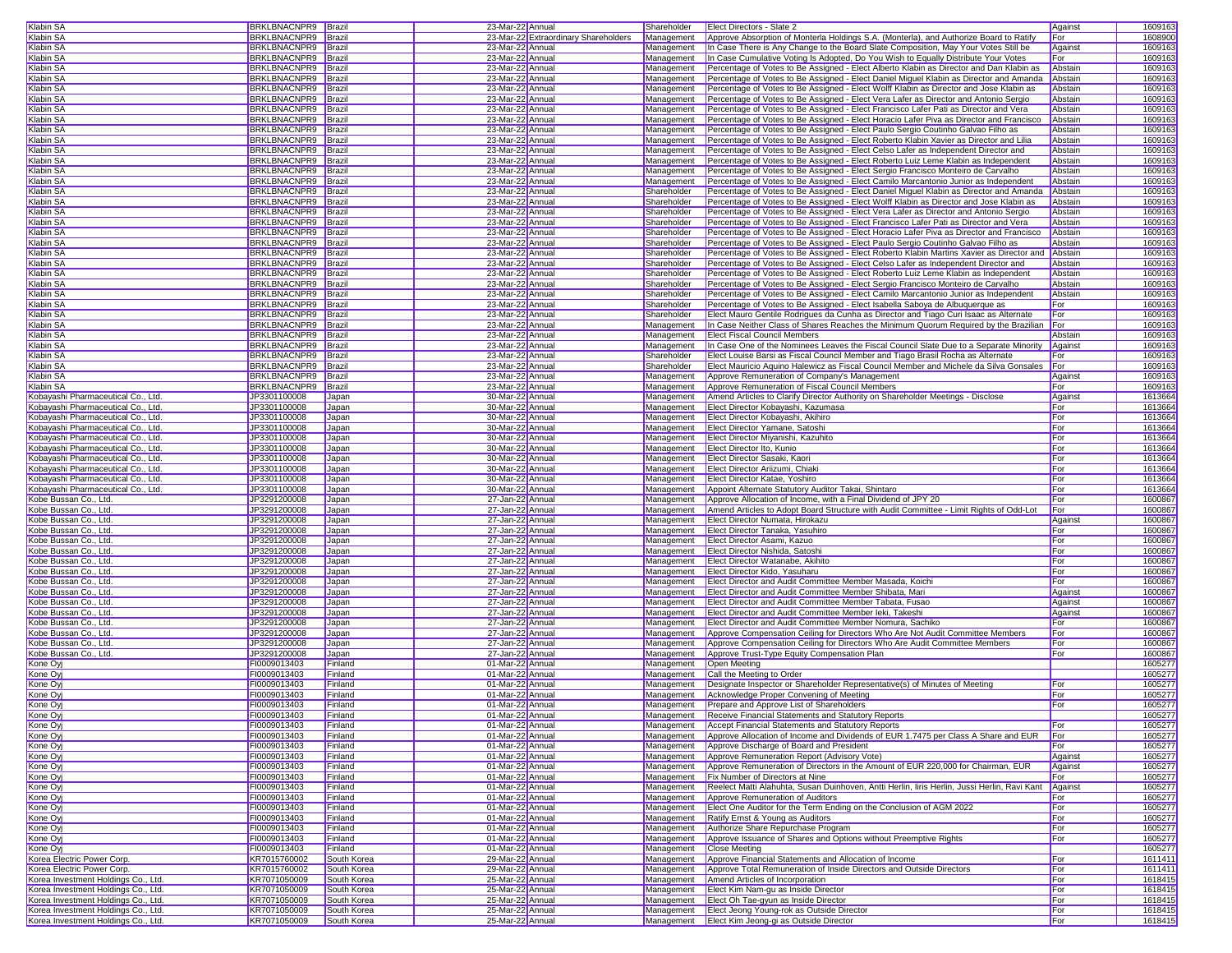| Klabin SA                                                                                                                                                                                                                                                                                                                                                                                                                                                                                                        | BRKLBNACNPR9 Brazil          |                            | 23-Mar-22 Annual                     | Shareholder | Elect Directors - Slate 2                                                                                        | Against    |                    |
|------------------------------------------------------------------------------------------------------------------------------------------------------------------------------------------------------------------------------------------------------------------------------------------------------------------------------------------------------------------------------------------------------------------------------------------------------------------------------------------------------------------|------------------------------|----------------------------|--------------------------------------|-------------|------------------------------------------------------------------------------------------------------------------|------------|--------------------|
|                                                                                                                                                                                                                                                                                                                                                                                                                                                                                                                  |                              |                            |                                      |             |                                                                                                                  |            | 1609163            |
| Klabin SA                                                                                                                                                                                                                                                                                                                                                                                                                                                                                                        | BRKLBNACNPR9 Brazil          |                            | 23-Mar-22 Extraordinary Shareholders | Management  | Approve Absorption of Monterla Holdings S.A. (Monterla), and Authorize Board to Ratify                           | For        | 1608900            |
| Klabin SA                                                                                                                                                                                                                                                                                                                                                                                                                                                                                                        | BRKLBNACNPR9                 | Brazil                     | 23-Mar-22 Annual                     | Management  | In Case There is Any Change to the Board Slate Composition, May Your Votes Still be                              | Against    | 1609163            |
|                                                                                                                                                                                                                                                                                                                                                                                                                                                                                                                  |                              |                            |                                      |             |                                                                                                                  |            |                    |
| Klabin SA                                                                                                                                                                                                                                                                                                                                                                                                                                                                                                        | BRKLBNACNPR9                 | Brazil                     | 23-Mar-22 Annual                     | Management  | In Case Cumulative Voting Is Adopted, Do You Wish to Equally Distribute Your Votes                               | For        | 1609163            |
| Klabin SA                                                                                                                                                                                                                                                                                                                                                                                                                                                                                                        | <b>BRKLBNACNPR9</b> Brazil   |                            | 23-Mar-22 Annual                     | Management  | Percentage of Votes to Be Assigned - Elect Alberto Klabin as Director and Dan Klabin as                          | Abstain    | 1609163            |
| Klabin SA                                                                                                                                                                                                                                                                                                                                                                                                                                                                                                        | BRKLBNACNPR9 Brazil          |                            | 23-Mar-22 Annual                     | Management  | Percentage of Votes to Be Assigned - Elect Daniel Miguel Klabin as Director and Amanda Abstain                   |            | 1609163            |
|                                                                                                                                                                                                                                                                                                                                                                                                                                                                                                                  |                              |                            |                                      |             |                                                                                                                  |            |                    |
| Klabin SA                                                                                                                                                                                                                                                                                                                                                                                                                                                                                                        | BRKLBNACNPR9 Brazil          |                            | 23-Mar-22 Annual                     | Management  | Percentage of Votes to Be Assigned - Elect Wolff Klabin as Director and Jose Klabin as                           | Abstain    | 1609163            |
| Klabin SA                                                                                                                                                                                                                                                                                                                                                                                                                                                                                                        | BRKLBNACNPR9                 | Brazil                     | 23-Mar-22 Annual                     | Management  | Percentage of Votes to Be Assigned - Elect Vera Lafer as Director and Antonio Sergio                             | Abstain    | 1609163            |
| Klabin SA                                                                                                                                                                                                                                                                                                                                                                                                                                                                                                        | BRKLBNACNPR9                 | Brazil                     | 23-Mar-22 Annual                     | Management  | Percentage of Votes to Be Assigned - Elect Francisco Lafer Pati as Director and Vera                             | Abstain    | 1609163            |
|                                                                                                                                                                                                                                                                                                                                                                                                                                                                                                                  |                              |                            |                                      |             |                                                                                                                  |            |                    |
| Klabin SA                                                                                                                                                                                                                                                                                                                                                                                                                                                                                                        | BRKLBNACNPR9 Brazil          |                            | 23-Mar-22 Annual                     | Management  | Percentage of Votes to Be Assigned - Elect Horacio Lafer Piva as Director and Francisco                          | Abstain    | 1609163            |
| Klabin SA                                                                                                                                                                                                                                                                                                                                                                                                                                                                                                        | BRKLBNACNPR9 Brazil          |                            | 23-Mar-22 Annual                     | Management  | Percentage of Votes to Be Assigned - Elect Paulo Sergio Coutinho Galvao Filho as                                 | Abstain    | 1609163            |
|                                                                                                                                                                                                                                                                                                                                                                                                                                                                                                                  |                              |                            |                                      |             |                                                                                                                  |            |                    |
| Klabin SA                                                                                                                                                                                                                                                                                                                                                                                                                                                                                                        | BRKLBNACNPR9                 | Brazil                     | 23-Mar-22 Annual                     | Management  | Percentage of Votes to Be Assigned - Elect Roberto Klabin Xavier as Director and Lilia                           | Abstain    | 1609163            |
| Klabin SA                                                                                                                                                                                                                                                                                                                                                                                                                                                                                                        | BRKLBNACNPR9                 | Brazil                     | 23-Mar-22 Annual                     | Management  | Percentage of Votes to Be Assigned - Elect Celso Lafer as Independent Director and                               | Abstain    | 1609163            |
| Klabin SA                                                                                                                                                                                                                                                                                                                                                                                                                                                                                                        | BRKLBNACNPR9                 | Brazil                     | 23-Mar-22 Annual                     | Management  | Percentage of Votes to Be Assigned - Elect Roberto Luiz Leme Klabin as Independent                               | Abstain    | 1609163            |
|                                                                                                                                                                                                                                                                                                                                                                                                                                                                                                                  |                              |                            |                                      |             |                                                                                                                  |            |                    |
| Klabin SA                                                                                                                                                                                                                                                                                                                                                                                                                                                                                                        | <b>BRKLBNACNPR9</b>          | Brazil                     | 23-Mar-22 Annual                     | Management  | Percentage of Votes to Be Assigned - Elect Sergio Francisco Monteiro de Carvalho                                 | Abstain    | 1609163            |
| Klabin SA                                                                                                                                                                                                                                                                                                                                                                                                                                                                                                        | BRKLBNACNPR9 Brazil          |                            | 23-Mar-22 Annual                     | Management  | Percentage of Votes to Be Assigned - Elect Camilo Marcantonio Junior as Independent                              | Abstain    | 1609163            |
| Klabin SA                                                                                                                                                                                                                                                                                                                                                                                                                                                                                                        | BRKLBNACNPR9 Brazil          |                            | 23-Mar-22 Annual                     | Shareholder | Percentage of Votes to Be Assigned - Elect Daniel Miguel Klabin as Director and Amanda Abstain                   |            | 1609163            |
|                                                                                                                                                                                                                                                                                                                                                                                                                                                                                                                  |                              |                            |                                      |             |                                                                                                                  |            |                    |
| Klabin SA                                                                                                                                                                                                                                                                                                                                                                                                                                                                                                        | BRKLBNACNPR9                 | Brazil                     | 23-Mar-22 Annual                     | Shareholder | Percentage of Votes to Be Assigned - Elect Wolff Klabin as Director and Jose Klabin as                           | Abstain    | 1609163            |
| Klabin SA                                                                                                                                                                                                                                                                                                                                                                                                                                                                                                        | BRKLBNACNPR9                 | Brazil                     | 23-Mar-22 Annual                     | Shareholder | Percentage of Votes to Be Assigned - Elect Vera Lafer as Director and Antonio Sergio                             | Abstain    | 1609163            |
|                                                                                                                                                                                                                                                                                                                                                                                                                                                                                                                  | BRKLBNACNPR9 Brazil          |                            |                                      |             | Percentage of Votes to Be Assigned - Elect Francisco Lafer Pati as Director and Vera                             |            |                    |
| Klabin SA                                                                                                                                                                                                                                                                                                                                                                                                                                                                                                        |                              |                            | 23-Mar-22 Annual                     | Shareholder |                                                                                                                  | Abstain    | 1609163            |
| Klabin SA                                                                                                                                                                                                                                                                                                                                                                                                                                                                                                        | BRKLBNACNPR9 Brazil          |                            | 23-Mar-22 Annual                     | Shareholder | Percentage of Votes to Be Assigned - Elect Horacio Lafer Piva as Director and Francisco                          | Abstain    | 1609163            |
| Klabin SA                                                                                                                                                                                                                                                                                                                                                                                                                                                                                                        | BRKLBNACNPR9                 | Brazil                     | 23-Mar-22 Annual                     | Shareholder | Percentage of Votes to Be Assigned - Elect Paulo Sergio Coutinho Galvao Filho as                                 | Abstain    | 1609163            |
|                                                                                                                                                                                                                                                                                                                                                                                                                                                                                                                  |                              |                            |                                      |             |                                                                                                                  |            |                    |
| Klabin SA                                                                                                                                                                                                                                                                                                                                                                                                                                                                                                        | BRKLBNACNPR9                 | Brazil                     | 23-Mar-22 Annual                     | Shareholder | Percentage of Votes to Be Assigned - Elect Roberto Klabin Martins Xavier as Director and Abstain                 |            | 1609163            |
| Klabin SA                                                                                                                                                                                                                                                                                                                                                                                                                                                                                                        | BRKLBNACNPR9                 | Brazil                     | 23-Mar-22 Annual                     | Shareholder | Percentage of Votes to Be Assigned - Elect Celso Lafer as Independent Director and                               | Abstain    | 1609163            |
| Klabin SA                                                                                                                                                                                                                                                                                                                                                                                                                                                                                                        | BRKLBNACNPR9                 | Brazil                     | 23-Mar-22 Annual                     | Shareholder | Percentage of Votes to Be Assigned - Elect Roberto Luiz Leme Klabin as Independent                               | Abstain    | 1609163            |
|                                                                                                                                                                                                                                                                                                                                                                                                                                                                                                                  |                              |                            |                                      |             |                                                                                                                  |            |                    |
| Klabin SA                                                                                                                                                                                                                                                                                                                                                                                                                                                                                                        | BRKLBNACNPR9 Brazil          |                            | 23-Mar-22 Annual                     | Shareholder | Percentage of Votes to Be Assigned - Elect Sergio Francisco Monteiro de Carvalho                                 | Abstain    | 1609163            |
| Klabin SA                                                                                                                                                                                                                                                                                                                                                                                                                                                                                                        | BRKLBNACNPR9                 | Brazil                     | 23-Mar-22 Annual                     | Shareholder | Percentage of Votes to Be Assigned - Elect Camilo Marcantonio Junior as Independent                              | Abstain    | 1609163            |
| Klabin SA                                                                                                                                                                                                                                                                                                                                                                                                                                                                                                        | BRKLBNACNPR9                 | Brazil                     | 23-Mar-22 Annual                     | Shareholder | Percentage of Votes to Be Assigned - Elect Isabella Saboya de Albuquerque as                                     | For        | 1609163            |
|                                                                                                                                                                                                                                                                                                                                                                                                                                                                                                                  |                              |                            |                                      |             |                                                                                                                  |            |                    |
| Klabin SA                                                                                                                                                                                                                                                                                                                                                                                                                                                                                                        | BRKLBNACNPR9                 | Brazil                     | 23-Mar-22 Annual                     | Shareholder | Elect Mauro Gentile Rodrigues da Cunha as Director and Tiago Curi Isaac as Alternate                             | For        | 1609163            |
| Klabin SA                                                                                                                                                                                                                                                                                                                                                                                                                                                                                                        | BRKLBNACNPR9 Brazil          |                            | 23-Mar-22 Annual                     | Management  | In Case Neither Class of Shares Reaches the Minimum Quorum Required by the Brazilian For                         |            | 1609163            |
| Klabin SA                                                                                                                                                                                                                                                                                                                                                                                                                                                                                                        | BRKLBNACNPR9 Brazil          |                            | 23-Mar-22 Annual                     | Management  | <b>Elect Fiscal Council Members</b>                                                                              | Abstair    | 1609163            |
|                                                                                                                                                                                                                                                                                                                                                                                                                                                                                                                  |                              |                            |                                      |             |                                                                                                                  |            |                    |
| Klabin SA                                                                                                                                                                                                                                                                                                                                                                                                                                                                                                        | BRKLBNACNPR9                 | Brazil                     | 23-Mar-22 Annual                     | Management  | In Case One of the Nominees Leaves the Fiscal Council Slate Due to a Separate Minority                           | Against    | 1609163            |
| Klabin SA                                                                                                                                                                                                                                                                                                                                                                                                                                                                                                        | <b>BRKLBNACNPR9</b>          | Brazil                     | 23-Mar-22 Annual                     | Shareholder | Elect Louise Barsi as Fiscal Council Member and Tiago Brasil Rocha as Alternate                                  | For        | 1609163            |
|                                                                                                                                                                                                                                                                                                                                                                                                                                                                                                                  |                              |                            |                                      | Shareholder |                                                                                                                  |            |                    |
| Klabin SA                                                                                                                                                                                                                                                                                                                                                                                                                                                                                                        | BRKLBNACNPR9                 | Brazil                     | 23-Mar-22 Annual                     |             | Elect Mauricio Aquino Halewicz as Fiscal Council Member and Michele da Silva Gonsales   For                      |            | 1609163            |
| Klabin SA                                                                                                                                                                                                                                                                                                                                                                                                                                                                                                        | <b>BRKLBNACNPR9</b>          | Brazil                     | 23-Mar-22 Annual                     | Management  | Approve Remuneration of Company's Management                                                                     | Against    | 1609163            |
| Klabin SA                                                                                                                                                                                                                                                                                                                                                                                                                                                                                                        | BRKLBNACNPR9 Brazil          |                            | 23-Mar-22 Annual                     | Management  | Approve Remuneration of Fiscal Council Members                                                                   | For        | 1609163            |
|                                                                                                                                                                                                                                                                                                                                                                                                                                                                                                                  |                              |                            |                                      |             |                                                                                                                  |            |                    |
| Kobayashi Pharmaceutical Co., Ltd.                                                                                                                                                                                                                                                                                                                                                                                                                                                                               | JP3301100008                 | Japan                      | 30-Mar-22 Annual                     | Management  | Amend Articles to Clarify Director Authority on Shareholder Meetings - Disclose                                  | Against    | 1613664            |
| Kobayashi Pharmaceutical Co., Ltd.                                                                                                                                                                                                                                                                                                                                                                                                                                                                               | JP3301100008                 | Japan                      | 30-Mar-22 Annual                     | Management  | Elect Director Kobayashi, Kazumasa                                                                               | For        | 1613664            |
| Kobayashi Pharmaceutical Co., Ltd.                                                                                                                                                                                                                                                                                                                                                                                                                                                                               | JP3301100008                 |                            | 30-Mar-22 Annual                     | Management  | Elect Director Kobavashi, Akihiro                                                                                | For        | 1613664            |
|                                                                                                                                                                                                                                                                                                                                                                                                                                                                                                                  |                              | Japan                      |                                      |             |                                                                                                                  |            |                    |
| Kobayashi Pharmaceutical Co., Ltd.                                                                                                                                                                                                                                                                                                                                                                                                                                                                               | JP3301100008                 | Japan                      | 30-Mar-22 Annual                     | Management  | Elect Director Yamane, Satoshi                                                                                   | For        | 1613664            |
| Kobavashi Pharmaceutical Co., Ltd.                                                                                                                                                                                                                                                                                                                                                                                                                                                                               | JP3301100008                 | Japan                      | 30-Mar-22 Annual                     | Management  | Elect Director Mivanishi, Kazuhito                                                                               | For        | 1613664            |
|                                                                                                                                                                                                                                                                                                                                                                                                                                                                                                                  |                              |                            |                                      |             |                                                                                                                  |            |                    |
| Kobayashi Pharmaceutical Co., Ltd.                                                                                                                                                                                                                                                                                                                                                                                                                                                                               | JP3301100008                 | Japan                      | 30-Mar-22 Annual                     | Management  | <b>Elect Director Ito, Kunio</b>                                                                                 | For        | 1613664            |
| Kobayashi Pharmaceutical Co., Ltd.                                                                                                                                                                                                                                                                                                                                                                                                                                                                               | JP3301100008                 | Japan                      | 30-Mar-22 Annual                     | Management  | Elect Director Sasaki, Kaor                                                                                      | For        | 1613664            |
| Kobayashi Pharmaceutical Co., Ltd.                                                                                                                                                                                                                                                                                                                                                                                                                                                                               | JP3301100008                 | Japan                      |                                      | Management  |                                                                                                                  |            |                    |
|                                                                                                                                                                                                                                                                                                                                                                                                                                                                                                                  |                              |                            |                                      |             |                                                                                                                  |            |                    |
|                                                                                                                                                                                                                                                                                                                                                                                                                                                                                                                  |                              |                            | 30-Mar-22 Annual                     |             | Elect Director Ariizumi, Chiaki                                                                                  | For        | 1613664            |
|                                                                                                                                                                                                                                                                                                                                                                                                                                                                                                                  | JP3301100008                 | Japan                      | 30-Mar-22 Annual                     | Management  | Elect Director Katae, Yoshiro                                                                                    | For        | 1613664            |
|                                                                                                                                                                                                                                                                                                                                                                                                                                                                                                                  |                              |                            |                                      |             |                                                                                                                  |            |                    |
|                                                                                                                                                                                                                                                                                                                                                                                                                                                                                                                  | JP3301100008                 | Japan                      | 30-Mar-22 Annual                     | Management  | Appoint Alternate Statutory Auditor Takai, Shintaro                                                              | For        | 1613664            |
|                                                                                                                                                                                                                                                                                                                                                                                                                                                                                                                  | JP3291200008                 | Japan                      | 27-Jan-22 Annual                     | Management  | Approve Allocation of Income, with a Final Dividend of JPY 20                                                    | For        | 1600867            |
|                                                                                                                                                                                                                                                                                                                                                                                                                                                                                                                  | JP3291200008                 | Japan                      | 27-Jan-22 Annual                     | Management  | Amend Articles to Adopt Board Structure with Audit Committee - Limit Rights of Odd-Lot                           | For        | 1600867            |
|                                                                                                                                                                                                                                                                                                                                                                                                                                                                                                                  |                              |                            |                                      |             |                                                                                                                  |            |                    |
|                                                                                                                                                                                                                                                                                                                                                                                                                                                                                                                  | JP3291200008                 | Japan                      | 27-Jan-22 Annual                     | Management  | Elect Director Numata, Hirokazu                                                                                  | Against    | 1600867            |
|                                                                                                                                                                                                                                                                                                                                                                                                                                                                                                                  | JP3291200008                 | Japan                      | 27-Jan-22 Annual                     | Management  | Elect Director Tanaka, Yasuhiro                                                                                  | For        | 1600867            |
|                                                                                                                                                                                                                                                                                                                                                                                                                                                                                                                  | JP3291200008                 | Japan                      | 27-Jan-22 Annual                     | Management  | Elect Director Asami, Kazuo                                                                                      | For        | 1600867            |
|                                                                                                                                                                                                                                                                                                                                                                                                                                                                                                                  |                              |                            |                                      |             |                                                                                                                  |            |                    |
|                                                                                                                                                                                                                                                                                                                                                                                                                                                                                                                  | JP3291200008                 | Japan                      | 27-Jan-22 Annual                     | Management  | Elect Director Nishida, Satoshi                                                                                  | For        | 1600867            |
|                                                                                                                                                                                                                                                                                                                                                                                                                                                                                                                  | JP3291200008                 | Japan                      | 27-Jan-22 Annual                     | Management  | Elect Director Watanabe, Akihito                                                                                 | For        | 1600867            |
|                                                                                                                                                                                                                                                                                                                                                                                                                                                                                                                  |                              |                            |                                      | Management  | Elect Director Kido, Yasuharu                                                                                    | For        |                    |
|                                                                                                                                                                                                                                                                                                                                                                                                                                                                                                                  | JP3291200008                 | Japan                      | 27-Jan-22 Annual                     |             |                                                                                                                  |            | 1600867            |
|                                                                                                                                                                                                                                                                                                                                                                                                                                                                                                                  | JP3291200008                 | Japan                      | 27-Jan-22 Annual                     | Management  | Elect Director and Audit Committee Member Masada, Koichi                                                         | For        | 1600867            |
|                                                                                                                                                                                                                                                                                                                                                                                                                                                                                                                  | JP3291200008                 | Japan                      | 27-Jan-22 Annual                     | Management  | Elect Director and Audit Committee Member Shibata, Mari                                                          | Against    | 1600867            |
|                                                                                                                                                                                                                                                                                                                                                                                                                                                                                                                  | JP3291200008                 | Japan                      | 27-Jan-22 Annual                     | Management  | Elect Director and Audit Committee Member Tabata, Fusao                                                          | Against    | 1600867            |
|                                                                                                                                                                                                                                                                                                                                                                                                                                                                                                                  |                              |                            |                                      |             |                                                                                                                  |            |                    |
|                                                                                                                                                                                                                                                                                                                                                                                                                                                                                                                  | JP3291200008                 | Japan                      | 27-Jan-22 Annual                     | Management  | Elect Director and Audit Committee Member leki, Takeshi                                                          | Against    | 1600867            |
|                                                                                                                                                                                                                                                                                                                                                                                                                                                                                                                  | JP3291200008                 | Japan                      | 27-Jan-22 Annual                     | Management  | Elect Director and Audit Committee Member Nomura, Sachiko                                                        | For        | 1600867            |
|                                                                                                                                                                                                                                                                                                                                                                                                                                                                                                                  |                              | Japan                      | 27-Jan-22 Annual                     | Management  | Approve Compensation Ceiling for Directors Who Are Not Audit Committee Members                                   | For        | 1600867            |
|                                                                                                                                                                                                                                                                                                                                                                                                                                                                                                                  | JP3291200008                 |                            |                                      |             |                                                                                                                  |            |                    |
|                                                                                                                                                                                                                                                                                                                                                                                                                                                                                                                  | JP3291200008                 | Japan                      | 27-Jan-22 Annual                     | Management  | Approve Compensation Ceiling for Directors Who Are Audit Committee Members                                       | For        | 1600867            |
|                                                                                                                                                                                                                                                                                                                                                                                                                                                                                                                  | JP3291200008                 | Japan                      | 27-Jan-22 Annual                     | Management  | Approve Trust-Type Equity Compensation Plan                                                                      | For        | 1600867            |
|                                                                                                                                                                                                                                                                                                                                                                                                                                                                                                                  | FI0009013403                 | Finland                    | 01-Mar-22 Annual                     | Management  | Open Meeting                                                                                                     |            | 1605277            |
|                                                                                                                                                                                                                                                                                                                                                                                                                                                                                                                  |                              |                            |                                      |             |                                                                                                                  |            |                    |
| Kone Oyj                                                                                                                                                                                                                                                                                                                                                                                                                                                                                                         | FI0009013403                 | Finland                    | 01-Mar-22 Annual                     | Management  | Call the Meeting to Order                                                                                        |            | 1605277            |
| Kone Oy                                                                                                                                                                                                                                                                                                                                                                                                                                                                                                          | FI0009013403                 | Finland                    | 01-Mar-22 Annual                     | Management  | Designate Inspector or Shareholder Representative(s) of Minutes of Meeting                                       | For        | 1605277            |
|                                                                                                                                                                                                                                                                                                                                                                                                                                                                                                                  | FI0009013403                 | Finland                    | 01-Mar-22 Annual                     | Management  | Acknowledge Proper Convening of Meeting                                                                          | For        |                    |
| Kobayashi Pharmaceutical Co., Ltd.<br>Kobayashi Pharmaceutical Co., Ltd.<br>Kobe Bussan Co., Ltd.<br>Kobe Bussan Co., Ltd.<br>Kobe Bussan Co., Ltd.<br>Kobe Bussan Co., Ltd.<br>Kobe Bussan Co., Ltd.<br>Kobe Bussan Co., Ltd.<br>Kobe Bussan Co., Ltd.<br>Kobe Bussan Co., Ltd.<br>Kobe Bussan Co., Ltd.<br>Kobe Bussan Co., Ltd.<br>Kobe Bussan Co., Ltd.<br>Kobe Bussan Co., Ltd.<br>Kobe Bussan Co., Ltd.<br>Kobe Bussan Co., Ltd.<br>Kobe Bussan Co., Ltd.<br>Kobe Bussan Co., Ltd.<br>Kone Oyj<br>Kone Ovi |                              |                            |                                      |             |                                                                                                                  |            | 1605277            |
| Kone Oy                                                                                                                                                                                                                                                                                                                                                                                                                                                                                                          | FI0009013403                 | Finland                    | 01-Mar-22 Annual                     | Management  | Prepare and Approve List of Shareholders                                                                         | For        | 1605277            |
| Kone Oyj                                                                                                                                                                                                                                                                                                                                                                                                                                                                                                         | FI0009013403                 | Finland                    | 01-Mar-22 Annual                     |             | Management Receive Financial Statements and Statutory Reports                                                    |            | 1605277            |
|                                                                                                                                                                                                                                                                                                                                                                                                                                                                                                                  |                              |                            |                                      |             |                                                                                                                  |            |                    |
| Kone Oyj                                                                                                                                                                                                                                                                                                                                                                                                                                                                                                         | FI0009013403                 | Finland                    | 01-Mar-22 Annual                     | Management  | Accept Financial Statements and Statutory Reports                                                                | For        | 1605277            |
| Kone Oyj                                                                                                                                                                                                                                                                                                                                                                                                                                                                                                         | FI0009013403                 | Finland                    | 01-Mar-22 Annual                     | Management  | Approve Allocation of Income and Dividends of EUR 1.7475 per Class A Share and EUR                               | For        | 1605277            |
| Kone Ovi                                                                                                                                                                                                                                                                                                                                                                                                                                                                                                         | FI0009013403                 | Finland                    | 01-Mar-22 Annual                     | Management  | Approve Discharge of Board and President                                                                         | For        | 1605277            |
|                                                                                                                                                                                                                                                                                                                                                                                                                                                                                                                  |                              |                            |                                      |             |                                                                                                                  |            |                    |
| Kone Oyj                                                                                                                                                                                                                                                                                                                                                                                                                                                                                                         | FI0009013403                 | Finland                    | 01-Mar-22 Annual                     | Management  | Approve Remuneration Report (Advisory Vote)                                                                      | Against    | 1605277            |
| Kone Oyj                                                                                                                                                                                                                                                                                                                                                                                                                                                                                                         | FI0009013403                 | Finland                    | 01-Mar-22 Annual                     | Management  | Approve Remuneration of Directors in the Amount of EUR 220,000 for Chairman, EUR                                 | Against    | 1605277            |
| Kone Oyj                                                                                                                                                                                                                                                                                                                                                                                                                                                                                                         | FI0009013403                 | Finland                    | 01-Mar-22 Annual                     | Management  | <b>Fix Number of Directors at Nine</b>                                                                           | For        | 1605277            |
|                                                                                                                                                                                                                                                                                                                                                                                                                                                                                                                  |                              |                            |                                      |             |                                                                                                                  |            |                    |
| Kone Oyj                                                                                                                                                                                                                                                                                                                                                                                                                                                                                                         | FI0009013403                 | Finland                    | 01-Mar-22 Annual                     | Management  | Reelect Matti Alahuhta, Susan Duinhoven, Antti Herlin, Iiris Herlin, Jussi Herlin, Ravi Kant Against             |            | 1605277            |
| Kone Ovi                                                                                                                                                                                                                                                                                                                                                                                                                                                                                                         | FI0009013403                 | Finland                    | 01-Mar-22 Annual                     | Management  | Approve Remuneration of Auditors                                                                                 | For        | 1605277            |
|                                                                                                                                                                                                                                                                                                                                                                                                                                                                                                                  |                              |                            |                                      | Management  |                                                                                                                  |            |                    |
| Kone Oyj                                                                                                                                                                                                                                                                                                                                                                                                                                                                                                         | FI0009013403                 | Finland                    | 01-Mar-22 Annual                     |             | Elect One Auditor for the Term Ending on the Conclusion of AGM 2022                                              | For        | 1605277            |
|                                                                                                                                                                                                                                                                                                                                                                                                                                                                                                                  | FI0009013403                 | Finland                    | 01-Mar-22 Annual                     | Management  | Ratify Ernst & Young as Auditors                                                                                 | For        | 1605277            |
|                                                                                                                                                                                                                                                                                                                                                                                                                                                                                                                  | FI0009013403                 | Finland                    | 01-Mar-22 Annual                     | Management  | Authorize Share Repurchase Program                                                                               | For        | 1605277            |
|                                                                                                                                                                                                                                                                                                                                                                                                                                                                                                                  |                              |                            |                                      |             |                                                                                                                  |            |                    |
| Kone Oyj                                                                                                                                                                                                                                                                                                                                                                                                                                                                                                         | FI0009013403                 | Finland                    | 01-Mar-22 Annual                     | Management  | Approve Issuance of Shares and Options without Preemptive Rights                                                 | For        | 1605277            |
|                                                                                                                                                                                                                                                                                                                                                                                                                                                                                                                  | FI0009013403                 | Finland                    | 01-Mar-22 Annual                     | Management  | <b>Close Meeting</b>                                                                                             |            | 1605277            |
|                                                                                                                                                                                                                                                                                                                                                                                                                                                                                                                  | KR7015760002                 | South Korea                | 29-Mar-22 Annual                     | Management  | Approve Financial Statements and Allocation of Income                                                            | For        | 1611411            |
| Kone Oyj<br>Kone Oyj<br>Kone Ovi<br>Korea Electric Power Corp.                                                                                                                                                                                                                                                                                                                                                                                                                                                   |                              |                            |                                      |             |                                                                                                                  |            |                    |
| Korea Electric Power Corp.                                                                                                                                                                                                                                                                                                                                                                                                                                                                                       | KR7015760002                 | South Korea                | 29-Mar-22 Annual                     | Management  | Approve Total Remuneration of Inside Directors and Outside Directors                                             | For        | 1611411            |
| Korea Investment Holdings Co., Ltd.                                                                                                                                                                                                                                                                                                                                                                                                                                                                              | KR7071050009                 | South Korea                | 25-Mar-22 Annual                     | Management  | Amend Articles of Incorporation                                                                                  | For        | 1618415            |
| Korea Investment Holdings Co., Ltd.                                                                                                                                                                                                                                                                                                                                                                                                                                                                              | KR7071050009                 | South Korea                | 25-Mar-22 Annual                     | Management  | Elect Kim Nam-gu as Inside Director                                                                              | For        | 1618415            |
|                                                                                                                                                                                                                                                                                                                                                                                                                                                                                                                  |                              |                            |                                      |             |                                                                                                                  |            |                    |
| Korea Investment Holdings Co., Ltd.                                                                                                                                                                                                                                                                                                                                                                                                                                                                              | KR7071050009                 | South Korea                | 25-Mar-22 Annual                     |             | Management <b>Elect Oh Tae-gyun as Inside Director</b>                                                           | For        | 1618415            |
| Korea Investment Holdings Co., Ltd.<br>Korea Investment Holdings Co., Ltd.                                                                                                                                                                                                                                                                                                                                                                                                                                       | KR7071050009<br>KR7071050009 | South Korea<br>South Korea | 25-Mar-22 Annual<br>25-Mar-22 Annual |             | Management <b>Elect Jeong Young-rok as Outside Director</b><br>Management Elect Kim Jeong-gi as Outside Director | For<br>For | 1618415<br>1618415 |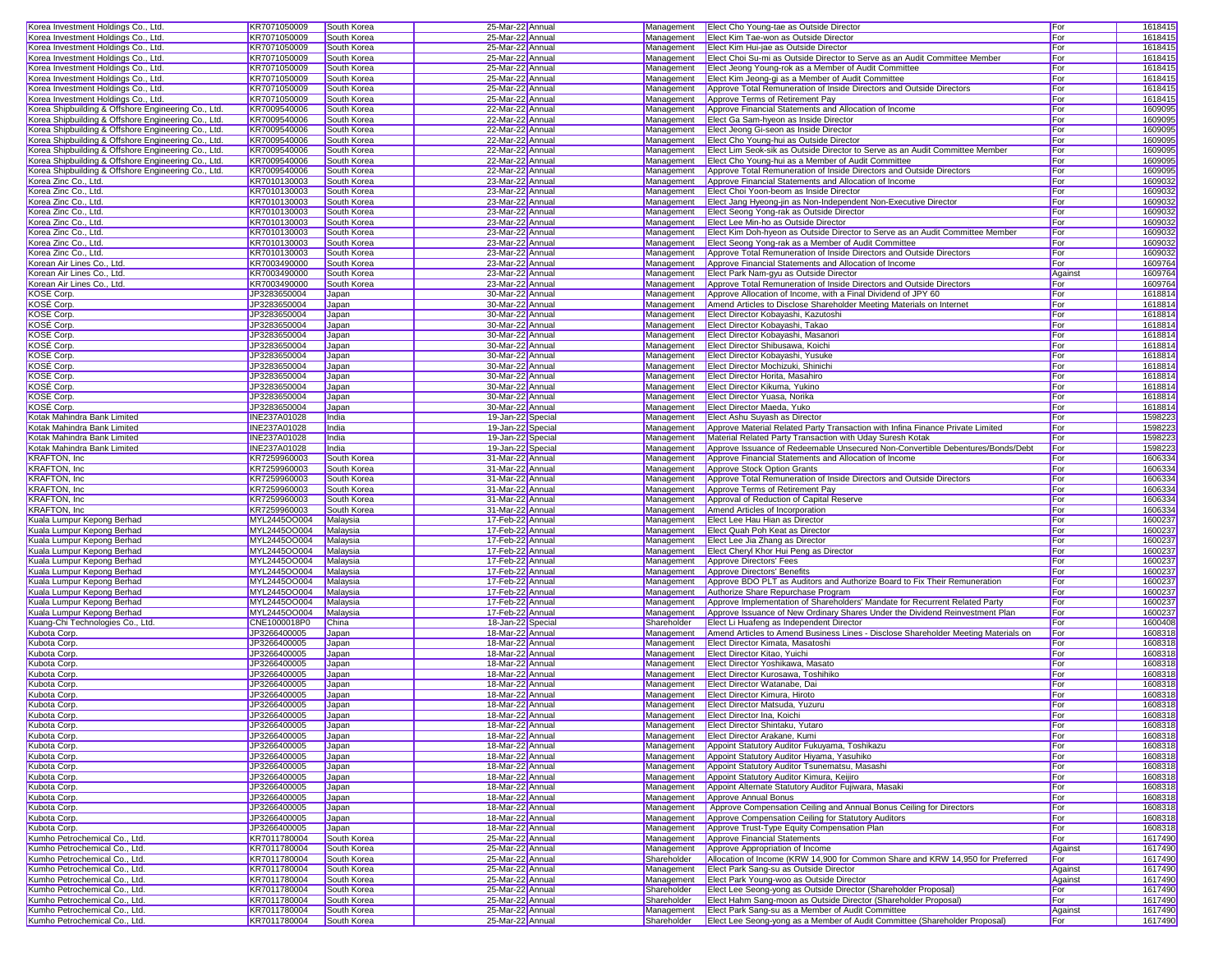| Korea Investment Holdings Co., Ltd.                            | KR7071050009                 | South Korea                | 25-Mar-22 Annual                     | Management                | Elect Cho Young-tae as Outside Director                                                                                         | For                   | 1618415            |
|----------------------------------------------------------------|------------------------------|----------------------------|--------------------------------------|---------------------------|---------------------------------------------------------------------------------------------------------------------------------|-----------------------|--------------------|
| Korea Investment Holdings Co., Ltd.                            | KR7071050009                 | South Korea                | 25-Mar-22 Annual                     | Management                | Elect Kim Tae-won as Outside Director                                                                                           | For                   | 1618415            |
|                                                                |                              |                            |                                      |                           |                                                                                                                                 |                       |                    |
| Korea Investment Holdings Co., Ltd.                            | KR7071050009                 | South Korea                | 25-Mar-22 Annual                     | Management                | Elect Kim Hui-jae as Outside Director                                                                                           | For                   | 1618415            |
| Korea Investment Holdings Co., Ltd.                            | KR7071050009                 | South Korea                | 25-Mar-22 Annual                     | Management                | Elect Choi Su-mi as Outside Director to Serve as an Audit Committee Member                                                      | For                   | 1618415            |
| Korea Investment Holdings Co., Ltd.                            | KR7071050009                 | South Korea                | 25-Mar-22 Annual                     | Management                | Elect Jeong Young-rok as a Member of Audit Committee                                                                            | For                   | 1618415            |
| Korea Investment Holdings Co., Ltd.                            | KR7071050009                 | South Korea                | 25-Mar-22 Annual                     | Management                | Elect Kim Jeong-gi as a Member of Audit Committee                                                                               | For                   | 1618415            |
| Korea Investment Holdings Co., Ltd.                            | KR7071050009                 | South Korea                | 25-Mar-22 Annual                     | Management                | Approve Total Remuneration of Inside Directors and Outside Directors                                                            | For                   | 1618415            |
| Korea Investment Holdings Co., Ltd.                            | KR7071050009                 | South Korea                | 25-Mar-22 Annual                     | Management                | Approve Terms of Retirement Pay                                                                                                 | For                   | 1618415            |
| Korea Shipbuilding & Offshore Engineering Co., Ltd.            | KR7009540006                 | South Korea                | 22-Mar-22 Annual                     | Management                | Approve Financial Statements and Allocation of Income                                                                           | For                   | 1609095            |
|                                                                |                              |                            |                                      |                           |                                                                                                                                 |                       |                    |
| Korea Shipbuilding & Offshore Engineering Co., Ltd.            | KR7009540006                 | South Korea                | 22-Mar-22 Annual                     | Management                | Elect Ga Sam-hyeon as Inside Director                                                                                           | For                   | 1609095            |
| Korea Shipbuilding & Offshore Engineering Co., Ltd.            | KR7009540006                 | South Korea                | 22-Mar-22 Annual                     | Management                | Elect Jeong Gi-seon as Inside Director                                                                                          | For                   | 1609095            |
| Korea Shipbuilding & Offshore Engineering Co., Ltd.            | KR7009540006                 | South Korea                | 22-Mar-22 Annual                     | Management                | Elect Cho Young-hui as Outside Director                                                                                         | For                   | 1609095            |
| Korea Shipbuilding & Offshore Engineering Co., Ltd.            | KR7009540006                 | South Korea                | 22-Mar-22 Annual                     | Management                | Elect Lim Seok-sik as Outside Director to Serve as an Audit Committee Member                                                    | For                   | 1609095            |
| Korea Shipbuilding & Offshore Engineering Co., Ltd.            | KR7009540006                 | South Korea                | 22-Mar-22 Annual                     | Management                | Elect Cho Young-hui as a Member of Audit Committee                                                                              | For                   | 1609095            |
| Korea Shipbuilding & Offshore Engineering Co., Ltd.            | KR7009540006                 | South Korea                | 22-Mar-22 Annual                     | Management                | Approve Total Remuneration of Inside Directors and Outside Directors                                                            | For                   | 1609095            |
|                                                                | KR7010130003                 | South Korea                | 23-Mar-22 Annual                     | Management                | Approve Financial Statements and Allocation of Income                                                                           | For                   | 1609032            |
| Korea Zinc Co., Ltd.                                           |                              |                            |                                      |                           |                                                                                                                                 |                       |                    |
| Korea Zinc Co., Ltd.                                           | KR7010130003                 | South Korea                | 23-Mar-22 Annual                     | Management                | Elect Choi Yoon-beom as Inside Director                                                                                         | For                   | 1609032            |
| Korea Zinc Co., Ltd.                                           | KR7010130003                 | South Korea                | 23-Mar-22 Annual                     | Management                | Elect Jang Hyeong-jin as Non-Independent Non-Executive Director                                                                 | For                   | 1609032            |
| Korea Zinc Co., Ltd.                                           | KR7010130003                 | South Korea                | 23-Mar-22 Annual                     | Management                | Elect Seong Yong-rak as Outside Director                                                                                        | For                   | 1609032            |
| Korea Zinc Co., Ltd.                                           | KR7010130003                 | South Korea                | 23-Mar-22 Annual                     | Management                | Elect Lee Min-ho as Outside Director                                                                                            | For                   | 1609032            |
| Korea Zinc Co., Ltd.                                           | KR7010130003                 | South Korea                | 23-Mar-22 Annual                     | Management                | Elect Kim Doh-hyeon as Outside Director to Serve as an Audit Committee Member                                                   | For                   | 1609032            |
| Korea Zinc Co., Ltd.                                           | KR7010130003                 | South Korea                | 23-Mar-22 Annual                     | Management                | Elect Seong Yong-rak as a Member of Audit Committee                                                                             | For                   | 1609032            |
| Korea Zinc Co., Ltd.                                           | KR7010130003                 | South Korea                | 23-Mar-22 Annual                     | Management                | Approve Total Remuneration of Inside Directors and Outside Directors                                                            | For                   | 1609032            |
|                                                                |                              |                            |                                      |                           |                                                                                                                                 |                       |                    |
| Korean Air Lines Co., Ltd.                                     | KR7003490000                 | South Korea                | 23-Mar-22 Annual                     | Management                | Approve Financial Statements and Allocation of Income                                                                           | For                   | 1609764            |
| Korean Air Lines Co., Ltd.                                     | KR7003490000                 | South Korea                | 23-Mar-22 Annual                     | Management                | Elect Park Nam-gyu as Outside Director                                                                                          | Against               | 1609764            |
| Korean Air Lines Co., Ltd.                                     | KR7003490000                 | South Korea                | 23-Mar-22 Annual                     | Management                | Approve Total Remuneration of Inside Directors and Outside Directors                                                            | For                   | 1609764            |
| <b>KOSE Corp</b>                                               | JP3283650004                 | Japan                      | 30-Mar-22 Annual                     | Management                | Approve Allocation of Income, with a Final Dividend of JPY 60                                                                   | For                   | 1618814            |
| <b>KOSE Corp</b>                                               | JP3283650004                 | Japan                      | 30-Mar-22 Annual                     | Management                | Amend Articles to Disclose Shareholder Meeting Materials on Internet                                                            | For                   | 1618814            |
| KOSÉ Corp                                                      | JP3283650004                 | Japan                      | 30-Mar-22 Annual                     | Management                | Elect Director Kobayashi, Kazutoshi                                                                                             | For                   | 1618814            |
|                                                                |                              |                            |                                      | Management                |                                                                                                                                 |                       |                    |
| KOSÉ Corp                                                      | JP3283650004                 | Japan                      | 30-Mar-22 Annual                     |                           | Elect Director Kobayashi, Takao                                                                                                 | For                   | 1618814            |
| <b>KOSE Corp</b>                                               | JP3283650004                 | Japan                      | 30-Mar-22 Annual                     | Management                | Elect Director Kobayashi, Masanori                                                                                              | For                   | 1618814            |
| <b>KOSE Corp</b>                                               | JP3283650004                 | Japan                      | 30-Mar-22 Annual                     | Management                | Elect Director Shibusawa, Koichi                                                                                                | For                   | 1618814            |
| KOSÉ Corp                                                      | JP3283650004                 | Japan                      | 30-Mar-22 Annual                     | Management                | Elect Director Kobavashi, Yusuke                                                                                                | For                   | 1618814            |
| KOSÉ Corp                                                      | JP3283650004                 | Japan                      | 30-Mar-22 Annual                     | Management                | Elect Director Mochizuki, Shinichi                                                                                              | For                   | 1618814            |
| KOSÉ Corp                                                      | JP3283650004                 | Japan                      | 30-Mar-22 Annual                     | Management                | Elect Director Horita, Masahiro                                                                                                 | For                   | 1618814            |
| <b>KOSE Corp</b>                                               | JP3283650004                 |                            | 30-Mar-22 Annual                     | Management                | Elect Director Kikuma, Yukino                                                                                                   | For                   | 1618814            |
|                                                                |                              | Japan                      |                                      |                           |                                                                                                                                 |                       |                    |
| <b>KOSE Corp</b>                                               | JP3283650004                 | Japan                      | 30-Mar-22 Annual                     | Management                | Elect Director Yuasa, Norika                                                                                                    | For                   | 1618814            |
| KOSÉ Corp                                                      | JP3283650004                 | Japan                      | 30-Mar-22 Annual                     | Management                | Elect Director Maeda, Yuko                                                                                                      | For                   | 1618814            |
| Kotak Mahindra Bank Limited                                    | INE237A01028                 | India                      | 19-Jan-22 Special                    | Management                | Elect Ashu Suyash as Director                                                                                                   | For                   | 1598223            |
| Kotak Mahindra Bank Limited                                    | INE237A01028                 | India                      | 19-Jan-22 Specia                     | Management                | Approve Material Related Party Transaction with Infina Finance Private Limited                                                  | For                   | 1598223            |
| Kotak Mahindra Bank Limited                                    | INE237A01028                 | India                      | 19-Jan-22 Special                    | Management                | Material Related Party Transaction with Uday Suresh Kotak                                                                       | For                   | 1598223            |
| Kotak Mahindra Bank Limited                                    | INE237A01028                 | India                      | 19-Jan-22 Special                    | Management                | Approve Issuance of Redeemable Unsecured Non-Convertible Debentures/Bonds/Debt                                                  | For                   | 1598223            |
|                                                                |                              |                            |                                      |                           |                                                                                                                                 |                       |                    |
| KRAFTON, Inc                                                   | KR7259960003                 | South Korea                | 31-Mar-22 Annual                     | Management                | Approve Financial Statements and Allocation of Income                                                                           | For                   | 1606334            |
| KRAFTON, Inc                                                   | KR7259960003                 | South Korea                | 31-Mar-22 Annual                     | Management                | Approve Stock Option Grants                                                                                                     | For                   | 1606334            |
| <b>KRAFTON, Inc</b>                                            | KR7259960003                 | South Korea                | 31-Mar-22 Annual                     | Management                | Approve Total Remuneration of Inside Directors and Outside Directors                                                            | For                   | 1606334            |
| <b>KRAFTON, Inc</b>                                            | KR7259960003                 | South Korea                | 31-Mar-22 Annual                     | Management                | Approve Terms of Retirement Pay                                                                                                 | For                   | 1606334            |
| <b>KRAFTON, Inc.</b>                                           | KR7259960003                 | South Korea                | 31-Mar-22 Annual                     | Management                | Approval of Reduction of Capital Reserve                                                                                        | For                   | 1606334            |
| KRAFTON, Inc                                                   | KR7259960003                 | South Korea                | 31-Mar-22 Annual                     | Management                | Amend Articles of Incorporation                                                                                                 | For                   | 1606334            |
|                                                                |                              |                            |                                      |                           |                                                                                                                                 |                       |                    |
| Kuala Lumpur Kepong Berhad                                     | MYL2445OO004                 | Malaysia                   | 17-Feb-22 Annual                     | Management                | <b>Elect Lee Hau Hian as Director</b>                                                                                           | For                   | 1600237            |
| Kuala Lumpur Kepong Berhad                                     | MYL2445OO004                 | Malaysia                   | 17-Feb-22 Annual                     | Management                | <b>Elect Quah Poh Keat as Director</b>                                                                                          | For                   | 1600237            |
| Kuala Lumpur Kepong Berhad                                     | MYL2445OO004                 | Malaysia                   | 17-Feb-22 Annual                     | Management                | Elect Lee Jia Zhang as Director                                                                                                 | For                   | 1600237            |
|                                                                |                              | Malaysia                   | 17-Feb-22 Annual                     | Management                | Elect Cheryl Khor Hui Peng as Director                                                                                          |                       |                    |
| Kuala Lumpur Kepong Berhad                                     | MYL2445OO004                 |                            |                                      | Management                |                                                                                                                                 | For                   | 1600237            |
|                                                                |                              |                            |                                      |                           |                                                                                                                                 |                       |                    |
| Kuala Lumpur Kepong Berhad                                     | MYL2445OO004                 | Malaysia                   | 17-Feb-22 Annual                     |                           | Approve Directors' Fees                                                                                                         | For                   | 1600237            |
| Kuala Lumpur Kepong Berhad                                     | MYL2445OO004                 | Malaysia                   | 17-Feb-22 Annual                     | Management                | Approve Directors' Benefits                                                                                                     | For                   | 1600237            |
| Kuala Lumpur Kepong Berhad                                     | MYL2445OO004                 | Malaysia                   | 17-Feb-22 Annual                     | Management                | Approve BDO PLT as Auditors and Authorize Board to Fix Their Remuneration                                                       | For                   | 1600237            |
| Kuala Lumpur Kepong Berhad                                     | MYL2445OO004                 | Malaysia                   | 17-Feb-22 Annual                     | Management                | Authorize Share Repurchase Program                                                                                              | For                   | 1600237            |
| Kuala Lumpur Kepong Berhad                                     | MYL2445OO004                 | Malaysia                   | 17-Feb-22 Annual                     | Management                | Approve Implementation of Shareholders' Mandate for Recurrent Related Party                                                     | For                   | 1600237            |
| Kuala Lumpur Kepong Berhad                                     | MYL2445OO004                 | Malaysia                   | 17-Feb-22 Annual                     | Management                | Approve Issuance of New Ordinary Shares Under the Dividend Reinvestment Plan                                                    | For                   | 1600237            |
| Kuang-Chi Technologies Co., Ltd.                               | CNE1000018P0                 |                            |                                      | Shareholder               | Elect Li Huafeng as Independent Director                                                                                        |                       |                    |
|                                                                |                              | China                      | 18-Jan-22 Special                    |                           |                                                                                                                                 | For                   | 1600408            |
| Kubota Corp.                                                   | JP3266400005                 | Japan                      | 18-Mar-22 Annual                     | Management                | Amend Articles to Amend Business Lines - Disclose Shareholder Meeting Materials on                                              | For                   | 1608318            |
| Kubota Corp.                                                   | JP3266400005                 | Japan                      | 18-Mar-22 Annual                     | Management                | Elect Director Kimata, Masatoshi                                                                                                | For                   | 1608318            |
| Kubota Corp.                                                   | JP3266400005                 | Japan                      | 18-Mar-22 Annual                     | Management                | Elect Director Kitao, Yuichi                                                                                                    | For                   | 1608318            |
| Kubota Corp.                                                   | JP3266400005                 | Japan                      | 18-Mar-22 Annual                     | Management                | Elect Director Yoshikawa, Masato                                                                                                | For                   | 1608318            |
| Kubota Corp.                                                   | JP3266400005                 | Japan                      | 18-Mar-22 Annual                     | Management                | Elect Director Kurosawa, Toshihiko                                                                                              | For                   | 1608318            |
| Kubota Corp                                                    | JP3266400005                 | Japan                      | 18-Mar-22 Annual                     | Management                | Elect Director Watanabe, Dai                                                                                                    | For                   | 1608318            |
| Kubota Corp.                                                   | JP3266400005                 | Japan                      | 18-Mar-22 Annual                     |                           | Management   Elect Director Kimura, Hiroto                                                                                      | For                   | 1608318            |
|                                                                |                              |                            |                                      |                           |                                                                                                                                 |                       |                    |
| Kubota Corp.                                                   | JP3266400005                 | Japan                      | 18-Mar-22 Annual                     |                           | Management   Elect Director Matsuda, Yuzuru                                                                                     | For                   | 1608318            |
| Kubota Corp.                                                   | JP3266400005                 | Japan                      | 18-Mar-22 Annual                     |                           | Management Elect Director Ina, Koichi                                                                                           | For                   | 1608318            |
| Kubota Corp.                                                   | JP3266400005                 | Japan                      | 18-Mar-22 Annual                     |                           | Management Elect Director Shintaku, Yutaro                                                                                      | For                   | 1608318            |
| Kubota Corp.                                                   | JP3266400005                 | Japan                      | 18-Mar-22 Annual                     | Management                | Elect Director Arakane, Kumi                                                                                                    | For                   | 1608318            |
| Kubota Corp.                                                   | JP3266400005                 | Japan                      | 18-Mar-22 Annual                     | Management                | Appoint Statutory Auditor Fukuyama, Toshikazu                                                                                   | For                   | 1608318            |
| Kubota Corp.                                                   | JP3266400005                 | Japan                      | 18-Mar-22 Annual                     | Management                | Appoint Statutory Auditor Hiyama, Yasuhiko                                                                                      | For                   | 1608318            |
|                                                                |                              |                            |                                      | Management                |                                                                                                                                 |                       |                    |
| Kubota Corp.                                                   | JP3266400005                 | Japan                      | 18-Mar-22 Annual                     |                           | Appoint Statutory Auditor Tsunematsu, Masashi                                                                                   | For                   | 1608318            |
| Kubota Corp.                                                   | JP3266400005                 | Japan                      | 18-Mar-22 Annual                     | Management                | Appoint Statutory Auditor Kimura, Keijiro                                                                                       | For                   | 1608318            |
| Kubota Corp.                                                   | JP3266400005                 | Japan                      | 18-Mar-22 Annual                     | Management                | Appoint Alternate Statutory Auditor Fujiwara, Masaki                                                                            | For                   | 1608318            |
| Kubota Corp.                                                   | JP3266400005                 | Japan                      | 18-Mar-22 Annual                     | Management                | Approve Annual Bonus                                                                                                            | For                   | 1608318            |
| Kubota Corp.                                                   | JP3266400005                 | Japan                      | 18-Mar-22 Annual                     | Management                | Approve Compensation Ceiling and Annual Bonus Ceiling for Directors                                                             | For                   | 1608318            |
| Kubota Corp.                                                   | JP3266400005                 | Japan                      | 18-Mar-22 Annual                     | Management                | Approve Compensation Ceiling for Statutory Auditors                                                                             | For                   | 1608318            |
|                                                                |                              |                            |                                      | Management                | Approve Trust-Type Equity Compensation Plan                                                                                     |                       |                    |
| Kubota Corp.                                                   | JP3266400005                 | Japan                      | 18-Mar-22 Annual                     |                           |                                                                                                                                 | For                   | 1608318            |
| Kumho Petrochemical Co., Ltd.                                  | KR7011780004                 | South Korea                | 25-Mar-22 Annual                     | Management                | Approve Financial Statements                                                                                                    | For                   | 1617490            |
| Kumho Petrochemical Co., Ltd.                                  | KR7011780004                 | South Korea                | 25-Mar-22 Annual                     | Management                | Approve Appropriation of Income                                                                                                 | Against               | 1617490            |
| Kumho Petrochemical Co., Ltd.                                  | KR7011780004                 | South Korea                | 25-Mar-22 Annual                     | Shareholder               | Allocation of Income (KRW 14,900 for Common Share and KRW 14,950 for Preferred                                                  | For                   | 1617490            |
| Kumho Petrochemical Co., Ltd.                                  | KR7011780004                 | South Korea                | 25-Mar-22 Annual                     | Management                | Elect Park Sang-su as Outside Director                                                                                          | Against               | 1617490            |
| Kumho Petrochemical Co., Ltd.                                  | KR7011780004                 | South Korea                | 25-Mar-22 Annual                     | Management                | Elect Park Young-woo as Outside Director                                                                                        | Against               | 1617490            |
| Kumho Petrochemical Co., Ltd.                                  | KR7011780004                 | South Korea                | 25-Mar-22 Annual                     | Shareholder               | Elect Lee Seong-yong as Outside Director (Shareholder Proposal)                                                                 | For                   | 1617490            |
|                                                                |                              |                            |                                      |                           |                                                                                                                                 |                       |                    |
| Kumho Petrochemical Co., Ltd.                                  | KR7011780004                 | South Korea                | 25-Mar-22 Annual                     | Shareholder               | Elect Hahm Sang-moon as Outside Director (Shareholder Proposal)                                                                 | For                   | 1617490            |
| Kumho Petrochemical Co., Ltd.<br>Kumho Petrochemical Co., Ltd. | KR7011780004<br>KR7011780004 | South Korea<br>South Korea | 25-Mar-22 Annual<br>25-Mar-22 Annual | Management<br>Shareholder | Elect Park Sang-su as a Member of Audit Committee<br>Elect Lee Seong-yong as a Member of Audit Committee (Shareholder Proposal) | Against<br><b>For</b> | 1617490<br>1617490 |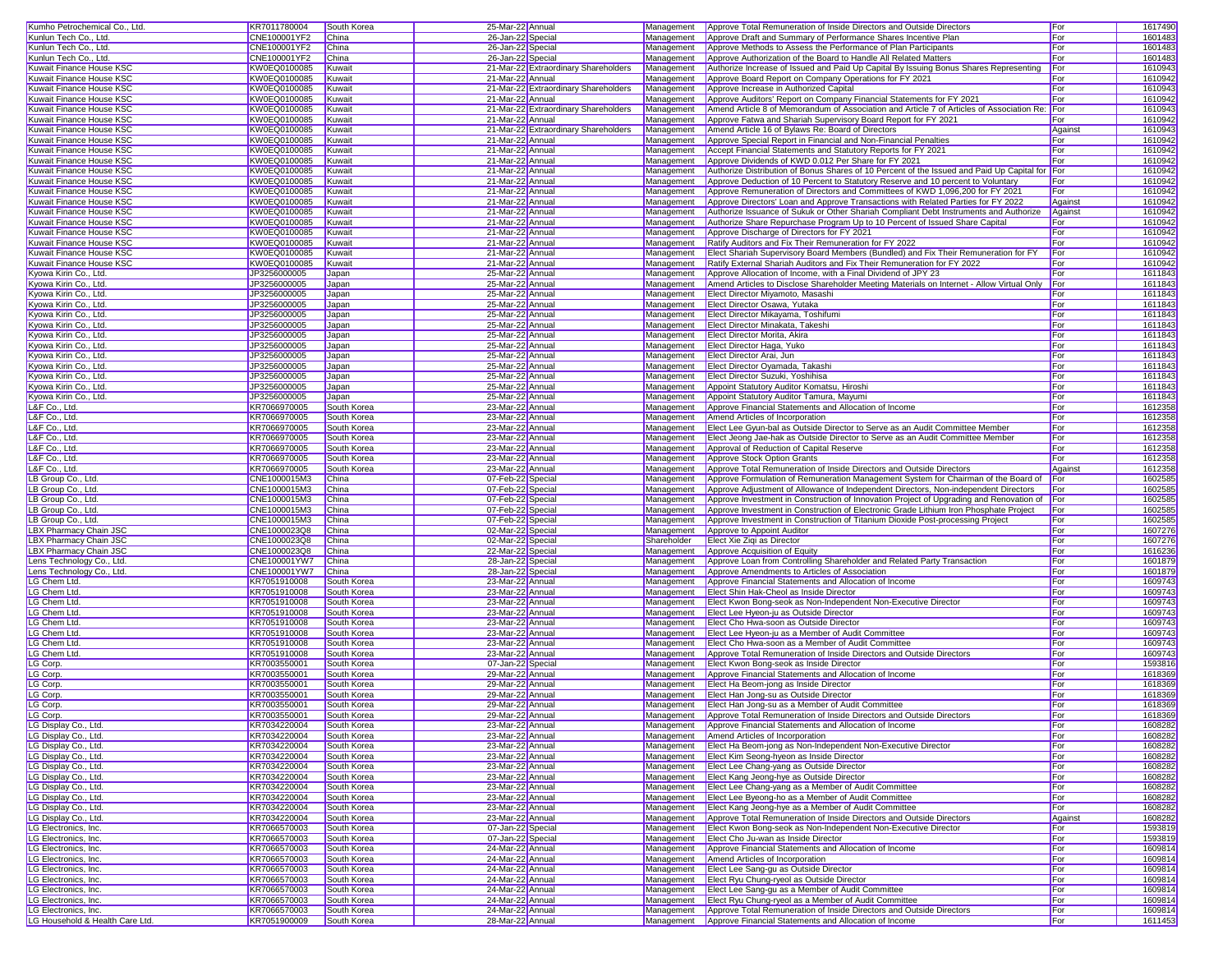| Kumho Petrochemical Co., Ltd.                           | KR7011780004                                                                                                                                                                                            | South Korea                | 25-Mar-22 Annual                     |                                      | Management  | Approve Total Remuneration of Inside Directors and Outside Directors                                                                                  | For        | 1617490            |
|---------------------------------------------------------|---------------------------------------------------------------------------------------------------------------------------------------------------------------------------------------------------------|----------------------------|--------------------------------------|--------------------------------------|-------------|-------------------------------------------------------------------------------------------------------------------------------------------------------|------------|--------------------|
| Kunlun Tech Co., Ltd.                                   | CNE100001YF2                                                                                                                                                                                            | China                      | 26-Jan-22 Special                    |                                      | Management  | Approve Draft and Summary of Performance Shares Incentive Plan                                                                                        | For        | 1601483            |
| Kunlun Tech Co., Ltd.                                   | CNE100001YF2                                                                                                                                                                                            | China                      | 26-Jan-22 Special                    |                                      | Management  | Approve Methods to Assess the Performance of Plan Participants                                                                                        | For        | 1601483            |
| Kunlun Tech Co., Ltd.                                   | CNE100001YF2                                                                                                                                                                                            | China                      | 26-Jan-22 Special                    |                                      | Management  | Approve Authorization of the Board to Handle All Related Matters                                                                                      | <b>For</b> | 1601483            |
| Kuwait Finance House KSC                                | KW0EQ0100085                                                                                                                                                                                            | Kuwait                     |                                      | 21-Mar-22 Extraordinary Shareholders | Management  | Authorize Increase of Issued and Paid Up Capital By Issuing Bonus Shares Representing                                                                 | For        | 1610943            |
| Kuwait Finance House KSC                                | KW0EQ0100085                                                                                                                                                                                            | Kuwait                     | 21-Mar-22 Annual                     |                                      | Management  | Approve Board Report on Company Operations for FY 2021                                                                                                | For        | 1610942            |
| Kuwait Finance House KSC                                | KW0EQ0100085                                                                                                                                                                                            | Kuwait                     |                                      | 21-Mar-22 Extraordinary Shareholders | Management  | Approve Increase in Authorized Capital                                                                                                                | For        | 1610943            |
| Kuwait Finance House KSC                                | KW0EQ0100085                                                                                                                                                                                            | Kuwait                     | 21-Mar-22 Annual                     |                                      | Management  | Approve Auditors' Report on Company Financial Statements for FY 2021                                                                                  | For        | 1610942            |
|                                                         |                                                                                                                                                                                                         |                            |                                      |                                      |             |                                                                                                                                                       |            |                    |
| Kuwait Finance House KSC                                | KW0EQ0100085                                                                                                                                                                                            | Kuwait                     |                                      | 21-Mar-22 Extraordinary Shareholders | Management  | Amend Article 8 of Memorandum of Association and Article 7 of Articles of Association Re: For                                                         |            | 1610943            |
| Kuwait Finance House KSC                                | KW0EQ0100085                                                                                                                                                                                            | Kuwait                     | 21-Mar-22 Annual                     |                                      | Management  | Approve Fatwa and Shariah Supervisory Board Report for FY 2021                                                                                        | For        | 1610942            |
| Kuwait Finance House KSC                                | KW0EQ0100085                                                                                                                                                                                            | Kuwait                     |                                      | 21-Mar-22 Extraordinary Shareholders | Management  | Amend Article 16 of Bylaws Re: Board of Directors                                                                                                     | Against    | 1610943            |
| Kuwait Finance House KSC                                | KW0EQ0100085                                                                                                                                                                                            | Kuwait                     | 21-Mar-22 Annual                     |                                      | Management  | Approve Special Report in Financial and Non-Financial Penalties                                                                                       | For        | 1610942            |
| Kuwait Finance House KSC                                | KW0EQ0100085                                                                                                                                                                                            | Kuwait                     | 21-Mar-22 Annual                     |                                      | Management  | Accept Financial Statements and Statutory Reports for FY 2021                                                                                         | For        | 1610942            |
| Kuwait Finance House KSC                                | <w0eq0100085< td=""><td>Kuwait</td><td>21-Mar-22 Annual</td><td></td><td>Management</td><td>Approve Dividends of KWD 0.012 Per Share for FY 2021</td><td><b>For</b></td><td>1610942</td></w0eq0100085<> | Kuwait                     | 21-Mar-22 Annual                     |                                      | Management  | Approve Dividends of KWD 0.012 Per Share for FY 2021                                                                                                  | <b>For</b> | 1610942            |
| Kuwait Finance House KSC                                | KW0EQ0100085                                                                                                                                                                                            | Kuwait                     | 21-Mar-22 Annual                     |                                      | Management  | Authorize Distribution of Bonus Shares of 10 Percent of the Issued and Paid Up Capital for For                                                        |            | 1610942            |
| Kuwait Finance House KSC                                | KW0EQ0100085                                                                                                                                                                                            | Kuwait                     | 21-Mar-22 Annual                     |                                      | Management  | Approve Deduction of 10 Percent to Statutory Reserve and 10 percent to Voluntary                                                                      | For        | 1610942            |
| Kuwait Finance House KSC                                | KW0EQ0100085                                                                                                                                                                                            | Kuwait                     | 21-Mar-22 Annual                     |                                      | Management  | Approve Remuneration of Directors and Committees of KWD 1,096,200 for FY 2021                                                                         | For        | 1610942            |
| Kuwait Finance House KSC                                | KW0EQ0100085                                                                                                                                                                                            | Kuwait                     | 21-Mar-22 Annual                     |                                      | Management  | Approve Directors' Loan and Approve Transactions with Related Parties for FY 2022                                                                     | Against    | 1610942            |
| Kuwait Finance House KSC                                | KW0EQ0100085                                                                                                                                                                                            | Kuwait                     | 21-Mar-22 Annual                     |                                      | Management  | Authorize Issuance of Sukuk or Other Shariah Compliant Debt Instruments and Authorize Against                                                         |            | 1610942            |
| Kuwait Finance House KSC                                | KW0EQ0100085                                                                                                                                                                                            | Kuwait                     | 21-Mar-22 Annual                     |                                      | Management  | Authorize Share Repurchase Program Up to 10 Percent of Issued Share Capital                                                                           | For        | 1610942            |
| Kuwait Finance House KSC                                | KW0EQ0100085                                                                                                                                                                                            | Kuwait                     | 21-Mar-22 Annual                     |                                      | Management  | Approve Discharge of Directors for FY 2021                                                                                                            | For        | 1610942            |
| Kuwait Finance House KSC                                | KW0EQ0100085                                                                                                                                                                                            | Kuwait                     | 21-Mar-22 Annual                     |                                      | Management  | Ratify Auditors and Fix Their Remuneration for FY 2022                                                                                                | For        | 1610942            |
| Kuwait Finance House KSC                                | KW0EQ0100085                                                                                                                                                                                            | Kuwait                     | 21-Mar-22 Annual                     |                                      | Management  | Elect Shariah Supervisory Board Members (Bundled) and Fix Their Remuneration for FY                                                                   | For        | 1610942            |
|                                                         |                                                                                                                                                                                                         |                            |                                      |                                      |             |                                                                                                                                                       |            |                    |
| Kuwait Finance House KSC                                | KW0EQ0100085                                                                                                                                                                                            | Kuwait                     | 21-Mar-22 Annual                     |                                      | Management  | Ratify External Shariah Auditors and Fix Their Remuneration for FY 2022                                                                               | For        | 1610942            |
| Kyowa Kirin Co., Ltd.                                   | JP3256000005                                                                                                                                                                                            | Japan                      | 25-Mar-22 Annual                     |                                      | Management  | Approve Allocation of Income, with a Final Dividend of JPY 23                                                                                         | For        | 1611843            |
| Kyowa Kirin Co., Ltd                                    | JP3256000005                                                                                                                                                                                            | Japan                      | 25-Mar-22 Annual                     |                                      | Management  | Amend Articles to Disclose Shareholder Meeting Materials on Internet - Allow Virtual Only For                                                         |            | 1611843            |
| Kyowa Kirin Co., Ltd.                                   | JP3256000005                                                                                                                                                                                            | Japan                      | 25-Mar-22 Annual                     |                                      | Management  | Elect Director Miyamoto, Masashi                                                                                                                      | For        | 1611843            |
| (yowa Kirin Co., Ltd.                                   | JP3256000005                                                                                                                                                                                            | Japan                      | 25-Mar-22 Annual                     |                                      | Management  | Elect Director Osawa, Yutaka                                                                                                                          | For        | 1611843            |
| Kyowa Kirin Co., Ltd.                                   | JP3256000005                                                                                                                                                                                            | Japan                      | 25-Mar-22 Annual                     |                                      | Management  | Elect Director Mikayama, Toshifumi                                                                                                                    | For        | 1611843            |
| Kyowa Kirin Co., Ltd.                                   | JP3256000005                                                                                                                                                                                            | Japan                      | 25-Mar-22 Annual                     |                                      | Management  | Elect Director Minakata, Takeshi                                                                                                                      | For        | 1611843            |
| Kyowa Kirin Co., Ltd                                    | JP3256000005                                                                                                                                                                                            | Japan                      | 25-Mar-22 Annual                     |                                      | Management  | <b>Elect Director Morita, Akira</b>                                                                                                                   | For        | 1611843            |
| Kyowa Kirin Co., Ltd.                                   | JP3256000005                                                                                                                                                                                            | Japan                      | 25-Mar-22 Annual                     |                                      | Management  | Elect Director Haga, Yuko                                                                                                                             | For        | 1611843            |
| Kyowa Kirin Co., Ltd.                                   | JP3256000005                                                                                                                                                                                            | Japan                      | 25-Mar-22 Annual                     |                                      | Management  | Elect Director Arai, Jun                                                                                                                              | For        | 1611843            |
| Kyowa Kirin Co., Ltd.                                   | JP3256000005                                                                                                                                                                                            | Japan                      | 25-Mar-22 Annual                     |                                      | Management  | Elect Director Ovamada, Takashi                                                                                                                       | <b>For</b> | 1611843            |
|                                                         |                                                                                                                                                                                                         |                            | 25-Mar-22 Annual                     |                                      |             |                                                                                                                                                       |            |                    |
| Kyowa Kirin Co., Ltd.                                   | JP3256000005                                                                                                                                                                                            | Japan                      |                                      |                                      | Management  | Elect Director Suzuki, Yoshihisa                                                                                                                      | For        | 1611843            |
| Kyowa Kirin Co., Ltd.                                   | JP3256000005                                                                                                                                                                                            | Japan                      | 25-Mar-22 Annual                     |                                      | Management  | Appoint Statutory Auditor Komatsu, Hiroshi                                                                                                            | For        | 1611843            |
| Kyowa Kirin Co., Ltd.                                   | JP3256000005                                                                                                                                                                                            | Japan                      | 25-Mar-22 Annual                     |                                      | Management  | Appoint Statutory Auditor Tamura, Mayumi                                                                                                              | For        | 1611843            |
| L&F Co., Ltd.                                           | KR7066970005                                                                                                                                                                                            | South Korea                | 23-Mar-22 Annual                     |                                      | Management  | Approve Financial Statements and Allocation of Income                                                                                                 | For        | 1612358            |
| L&F Co., Ltd.                                           | KR7066970005                                                                                                                                                                                            | South Korea                | 23-Mar-22 Annual                     |                                      | Management  | Amend Articles of Incorporation                                                                                                                       | For        | 1612358            |
| L&F Co., Ltd.                                           | KR7066970005                                                                                                                                                                                            | South Korea                | 23-Mar-22 Annual                     |                                      | Management  | Elect Lee Gyun-bal as Outside Director to Serve as an Audit Committee Member                                                                          | For        | 1612358            |
| L&F Co., Ltd.                                           | KR7066970005                                                                                                                                                                                            | South Korea                | 23-Mar-22 Annual                     |                                      | Management  | Elect Jeong Jae-hak as Outside Director to Serve as an Audit Committee Member                                                                         | For        | 1612358            |
| L&F Co., Ltd.                                           | KR7066970005                                                                                                                                                                                            | South Korea                | 23-Mar-22 Annual                     |                                      | Management  | Approval of Reduction of Capital Reserve                                                                                                              | For        | 1612358            |
| L&F Co., Ltd.                                           | KR7066970005                                                                                                                                                                                            | South Korea                | 23-Mar-22 Annual                     |                                      | Management  | Approve Stock Option Grants                                                                                                                           | For        | 1612358            |
| L&F Co., Ltd.                                           | KR7066970005                                                                                                                                                                                            | South Korea                | 23-Mar-22 Annual                     |                                      | Management  | Approve Total Remuneration of Inside Directors and Outside Directors                                                                                  | Against    | 1612358            |
|                                                         |                                                                                                                                                                                                         |                            |                                      |                                      | Management  |                                                                                                                                                       |            | 1602585            |
| LB Group Co., Ltd.                                      | CNE1000015M3                                                                                                                                                                                            | China                      | 07-Feb-22 Special                    |                                      |             | Approve Formulation of Remuneration Management System for Chairman of the Board of For                                                                |            |                    |
| LB Group Co., Ltd.                                      | CNE1000015M3                                                                                                                                                                                            | China                      | 07-Feb-22 Special                    |                                      | Management  | Approve Adjustment of Allowance of Independent Directors, Non-independent Directors                                                                   | For        | 1602585            |
| LB Group Co., Ltd.                                      | CNE1000015M3                                                                                                                                                                                            | China                      | 07-Feb-22 Special                    |                                      | Management  | Approve Investment in Construction of Innovation Project of Upgrading and Renovation of For                                                           |            | 1602585            |
| LB Group Co., Ltd.                                      | CNE1000015M3                                                                                                                                                                                            | China                      | 07-Feb-22 Special                    |                                      | Management  | Approve Investment in Construction of Electronic Grade Lithium Iron Phosphate Project                                                                 | For        | 1602585            |
| LB Group Co., Ltd.                                      | CNE1000015M3                                                                                                                                                                                            | China                      | 07-Feb-22 Special                    |                                      | Management  | Approve Investment in Construction of Titanium Dioxide Post-processing Project                                                                        | For        | 1602585            |
| <b>LBX Pharmacy Chain JSC</b>                           | CNE1000023Q8                                                                                                                                                                                            | China                      | 02-Mar-22 Special                    |                                      | Management  | Approve to Appoint Auditor                                                                                                                            | For        | 1607276            |
| <b>LBX Pharmacy Chain JSC</b>                           | CNE1000023Q8                                                                                                                                                                                            | China                      | 02-Mar-22 Special                    |                                      | Shareholder | Elect Xie Zigi as Director                                                                                                                            | For        | 1607276            |
| LBX Pharmacy Chain JSC                                  | CNE1000023Q8                                                                                                                                                                                            | China                      | 22-Mar-22 Special                    |                                      | Management  | Approve Acquisition of Equity                                                                                                                         | For        | 1616236            |
| Lens Technology Co., Ltd.                               |                                                                                                                                                                                                         |                            |                                      |                                      | Management  | Approve Loan from Controlling Shareholder and Related Party Transaction                                                                               |            |                    |
|                                                         |                                                                                                                                                                                                         |                            |                                      |                                      |             |                                                                                                                                                       |            |                    |
|                                                         | CNE100001YW7                                                                                                                                                                                            | China                      | 28-Jan-22 Special                    |                                      |             |                                                                                                                                                       | For        | 1601879            |
| Lens Technology Co., Ltd.                               | CNE100001YW7                                                                                                                                                                                            | China                      | 28-Jan-22 Special                    |                                      | Management  | Approve Amendments to Articles of Association                                                                                                         | For        | 1601879            |
| LG Chem Ltd.                                            | KR7051910008                                                                                                                                                                                            | South Korea                | 23-Mar-22 Annual                     |                                      | Management  | Approve Financial Statements and Allocation of Income                                                                                                 | For        | 1609743            |
| LG Chem Ltd                                             | KR7051910008                                                                                                                                                                                            | South Korea                | 23-Mar-22 Annual                     |                                      | Management  | Elect Shin Hak-Cheol as Inside Director                                                                                                               | For        | 1609743            |
| LG Chem Ltd                                             | KR7051910008                                                                                                                                                                                            | South Korea                | 23-Mar-22 Annual                     |                                      | Management  | Elect Kwon Bong-seok as Non-Independent Non-Executive Director                                                                                        | For        | 1609743            |
| LG Chem Ltd.                                            | KR7051910008                                                                                                                                                                                            | South Korea                | 23-Mar-22 Annual                     |                                      | Management  | Elect Lee Hyeon-ju as Outside Director                                                                                                                | For        | 1609743            |
| LG Chem Ltd                                             | KR7051910008                                                                                                                                                                                            | South Korea                | 23-Mar-22 Annual                     |                                      | Management  | Elect Cho Hwa-soon as Outside Director                                                                                                                | For        | 1609743            |
| LG Chem Ltd                                             | KR7051910008                                                                                                                                                                                            | South Korea                | 23-Mar-22 Annual                     |                                      | Management  | Elect Lee Hyeon-ju as a Member of Audit Committee                                                                                                     | For        | 1609743            |
| <b>LG Chem Ltd.</b>                                     | KR7051910008                                                                                                                                                                                            | South Korea                | 23-Mar-22 Annual                     |                                      | Management  | Elect Cho Hwa-soon as a Member of Audit Committee                                                                                                     | For        | 1609743            |
| LG Chem Ltd                                             | KR7051910008                                                                                                                                                                                            | South Korea                | 23-Mar-22 Annual                     |                                      | Management  | Approve Total Remuneration of Inside Directors and Outside Directors                                                                                  | For        | 1609743            |
| LG Corp.                                                | KR7003550001                                                                                                                                                                                            | South Korea                | 07-Jan-22 Special                    |                                      | Management  | Elect Kwon Bong-seok as Inside Director                                                                                                               | For        | 1593816            |
| LG Corp.                                                | KR7003550001                                                                                                                                                                                            | South Korea                | 29-Mar-22 Annual                     |                                      | Management  | Approve Financial Statements and Allocation of Income                                                                                                 | <b>For</b> | 1618369            |
| LG Corp.                                                | KR7003550001                                                                                                                                                                                            | South Korea                | 29-Mar-22 Annual                     |                                      | Management  | Elect Ha Beom-jong as Inside Director                                                                                                                 | For        | 1618369            |
| LG Corp                                                 | KR7003550001                                                                                                                                                                                            | South Korea                | 29-Mar-22 Annual                     |                                      |             | Management <b>Elect Han Jong-su as Outside Director</b>                                                                                               | For        | 1618369            |
|                                                         |                                                                                                                                                                                                         |                            |                                      |                                      |             | Management Elect Han Jong-su as a Member of Audit Committee                                                                                           | For        |                    |
| LG Corp.                                                | KR7003550001                                                                                                                                                                                            | South Korea                | 29-Mar-22 Annual                     |                                      |             |                                                                                                                                                       |            | 1618369            |
| LG Corp.                                                | KR7003550001                                                                                                                                                                                            | South Korea                | 29-Mar-22 Annual                     |                                      |             | Management Approve Total Remuneration of Inside Directors and Outside Directors                                                                       | For        | 1618369            |
| LG Display Co., Ltd.                                    | KR7034220004                                                                                                                                                                                            | South Korea                | 23-Mar-22 Annual                     |                                      | Management  | Approve Financial Statements and Allocation of Income                                                                                                 | For        | 1608282            |
| LG Display Co., Ltd.                                    | KR7034220004                                                                                                                                                                                            | South Korea                | 23-Mar-22 Annual                     |                                      | Management  | Amend Articles of Incorporation                                                                                                                       | For        | 1608282            |
| LG Display Co., Ltd.                                    | KR7034220004                                                                                                                                                                                            | South Korea                | 23-Mar-22 Annual                     |                                      |             | Management Elect Ha Beom-jong as Non-Independent Non-Executive Director                                                                               | For        | 1608282            |
| LG Display Co., Ltd.                                    | KR7034220004                                                                                                                                                                                            | South Korea                | 23-Mar-22 Annual                     |                                      | Management  | Elect Kim Seong-hyeon as Inside Director                                                                                                              | For        | 1608282            |
| LG Display Co., Ltd.                                    | KR7034220004                                                                                                                                                                                            | South Korea                | 23-Mar-22 Annual                     |                                      |             | Management Elect Lee Chang-yang as Outside Director                                                                                                   | For        | 1608282            |
| LG Display Co., Ltd.                                    | KR7034220004                                                                                                                                                                                            | South Korea                | 23-Mar-22 Annual                     |                                      | Management  | Elect Kang Jeong-hye as Outside Director                                                                                                              | For        | 1608282            |
| LG Display Co., Ltd.                                    | KR7034220004                                                                                                                                                                                            | South Korea                | 23-Mar-22 Annual                     |                                      |             | Management Elect Lee Chang-yang as a Member of Audit Committee                                                                                        | For        | 1608282            |
| LG Display Co., Ltd.                                    | KR7034220004                                                                                                                                                                                            | South Korea                | 23-Mar-22 Annual                     |                                      |             | Management Elect Lee Byeong-ho as a Member of Audit Committee                                                                                         | For        | 1608282            |
| LG Display Co., Ltd.                                    | KR7034220004                                                                                                                                                                                            | South Korea                | 23-Mar-22 Annual                     |                                      | Management  | Elect Kang Jeong-hye as a Member of Audit Committee                                                                                                   | For        | 1608282            |
|                                                         |                                                                                                                                                                                                         |                            |                                      |                                      | Management  |                                                                                                                                                       |            |                    |
| LG Display Co., Ltd.                                    | KR7034220004                                                                                                                                                                                            | South Korea                | 23-Mar-22 Annual                     |                                      |             | Approve Total Remuneration of Inside Directors and Outside Directors                                                                                  | Against    | 1608282            |
| LG Electronics, Inc.                                    | KR7066570003                                                                                                                                                                                            | South Korea                | 07-Jan-22 Special                    |                                      | Management  | Elect Kwon Bong-seok as Non-Independent Non-Executive Director                                                                                        | For        | 1593819            |
| LG Electronics, Inc.                                    | KR7066570003                                                                                                                                                                                            | South Korea                | 07-Jan-22 Special                    |                                      | Management  | Elect Cho Ju-wan as Inside Director                                                                                                                   | For        | 1593819            |
| LG Electronics, Inc.                                    | KR7066570003                                                                                                                                                                                            | South Korea                | 24-Mar-22 Annual                     |                                      |             | Management   Approve Financial Statements and Allocation of Income                                                                                    | For        | 1609814            |
| LG Electronics, Inc.                                    | KR7066570003                                                                                                                                                                                            | South Korea                | 24-Mar-22 Annual                     |                                      | Management  | Amend Articles of Incorporation                                                                                                                       | For        | 1609814            |
| LG Electronics, Inc.                                    | KR7066570003                                                                                                                                                                                            | South Korea                | 24-Mar-22 Annual                     |                                      | Management  | Elect Lee Sang-gu as Outside Director                                                                                                                 | For        | 1609814            |
| LG Electronics, Inc.                                    | KR7066570003                                                                                                                                                                                            | South Korea                | 24-Mar-22 Annual                     |                                      | Management  | Elect Ryu Chung-ryeol as Outside Director                                                                                                             | For        | 1609814            |
| LG Electronics, Inc.                                    | KR7066570003                                                                                                                                                                                            | South Korea                | 24-Mar-22 Annual                     |                                      | Management  | Elect Lee Sang-gu as a Member of Audit Committee                                                                                                      | For        | 1609814            |
| LG Electronics, Inc.                                    | KR7066570003                                                                                                                                                                                            | South Korea                | 24-Mar-22 Annual                     |                                      |             | Management Elect Ryu Chung-ryeol as a Member of Audit Committee                                                                                       | For        | 1609814            |
| LG Electronics, Inc.<br>LG Household & Health Care Ltd. | KR7066570003<br>KR7051900009                                                                                                                                                                            | South Korea<br>South Korea | 24-Mar-22 Annual<br>28-Mar-22 Annual |                                      |             | Management   Approve Total Remuneration of Inside Directors and Outside Directors<br>Management Approve Financial Statements and Allocation of Income | For        | 1609814<br>1611453 |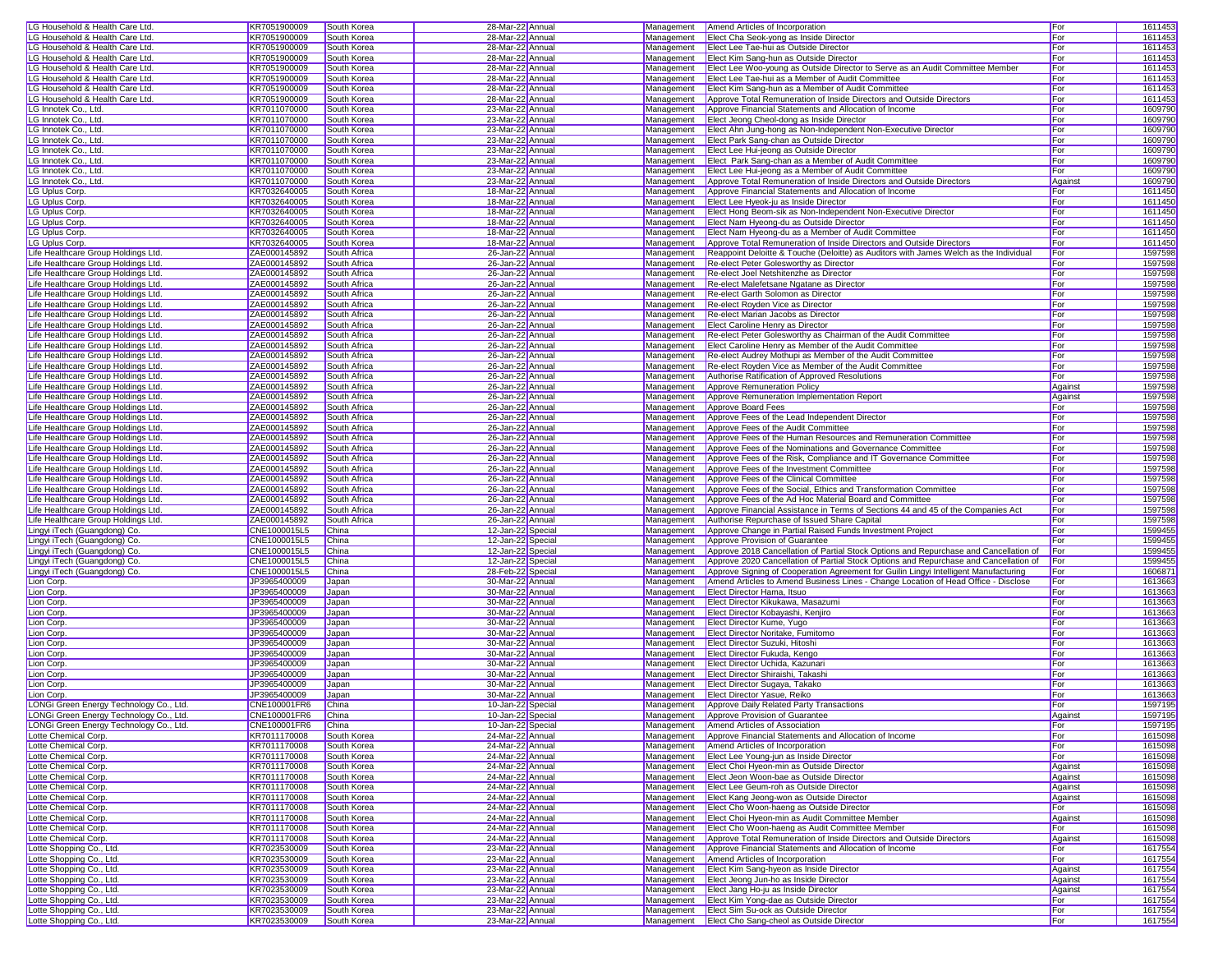| LG Household & Health Care Ltd          | KR7051900009 | South Korea  | 28-Mar-22 Annual  |            | Management   Amend Articles of Incorporation                                          | For        | 1611453            |
|-----------------------------------------|--------------|--------------|-------------------|------------|---------------------------------------------------------------------------------------|------------|--------------------|
| LG Household & Health Care Ltd          | KR7051900009 | South Korea  | 28-Mar-22 Annual  | Management | Elect Cha Seok-yong as Inside Director                                                | For        | 1611453            |
| LG Household & Health Care Ltd.         | KR7051900009 | South Korea  | 28-Mar-22 Annual  | Management | Elect Lee Tae-hui as Outside Director                                                 | For        | 1611453            |
|                                         |              |              |                   |            |                                                                                       |            |                    |
| LG Household & Health Care Ltd.         | KR7051900009 | South Korea  | 28-Mar-22 Annual  | Management | Elect Kim Sang-hun as Outside Director                                                | For        | 1611453            |
| LG Household & Health Care Ltd.         | KR7051900009 | South Korea  | 28-Mar-22 Annual  | Management | Elect Lee Woo-young as Outside Director to Serve as an Audit Committee Member         | For        | 1611453            |
| LG Household & Health Care Ltd.         | KR7051900009 | South Korea  | 28-Mar-22 Annual  | Management | Elect Lee Tae-hui as a Member of Audit Committee                                      | For        | 1611453            |
| LG Household & Health Care Ltd.         | KR7051900009 | South Korea  | 28-Mar-22 Annual  | Management | Elect Kim Sang-hun as a Member of Audit Committee                                     | For        | 1611453            |
| LG Household & Health Care Ltd.         | KR7051900009 | South Korea  | 28-Mar-22 Annual  | Management | Approve Total Remuneration of Inside Directors and Outside Directors                  | For        | 1611453            |
| LG Innotek Co., Ltd.                    | KR7011070000 | South Korea  | 23-Mar-22 Annual  | Management | Approve Financial Statements and Allocation of Income                                 | For        | 1609790            |
| LG Innotek Co., Ltd.                    | KR7011070000 | South Korea  | 23-Mar-22 Annual  | Management | Elect Jeong Cheol-dong as Inside Director                                             | For        | 1609790            |
| LG Innotek Co., Ltd.                    | KR7011070000 | South Korea  | 23-Mar-22 Annual  | Management | Elect Ahn Jung-hong as Non-Independent Non-Executive Director                         | For        | 1609790            |
| LG Innotek Co., Ltd.                    | KR7011070000 | South Korea  | 23-Mar-22 Annual  | Management | Elect Park Sang-chan as Outside Director                                              | For        | 1609790            |
| LG Innotek Co., Ltd.                    | KR7011070000 | South Korea  | 23-Mar-22 Annual  | Management | Elect Lee Hui-jeong as Outside Director                                               | For        | 1609790            |
| LG Innotek Co., Ltd.                    | KR7011070000 | South Korea  | 23-Mar-22 Annual  | Management | Elect Park Sang-chan as a Member of Audit Committee                                   | For        | 1609790            |
| LG Innotek Co., Ltd.                    | KR7011070000 | South Korea  | 23-Mar-22 Annual  | Management | Elect Lee Hui-jeong as a Member of Audit Committee                                    | For        | 1609790            |
|                                         | KR7011070000 |              |                   |            |                                                                                       |            |                    |
| LG Innotek Co., Ltd.                    |              | South Korea  | 23-Mar-22 Annual  | Management | Approve Total Remuneration of Inside Directors and Outside Directors                  | Against    | 1609790            |
| LG Uplus Corp.                          | KR7032640005 | South Korea  | 18-Mar-22 Annual  | Management | Approve Financial Statements and Allocation of Income                                 | For        | 1611450            |
| <b>LG Uplus Corp</b>                    | KR7032640005 | South Korea  | 18-Mar-22 Annual  | Management | Elect Lee Hyeok-ju as Inside Director                                                 | For        | 1611450            |
| <b>LG Uplus Corp</b>                    | KR7032640005 | South Korea  | 18-Mar-22 Annual  | Management | Elect Hong Beom-sik as Non-Independent Non-Executive Director                         | For        | 1611450            |
| LG Uplus Corp.                          | KR7032640005 | South Korea  | 18-Mar-22 Annual  | Management | Elect Nam Hyeong-du as Outside Director                                               | For        | 1611450            |
| LG Uplus Corp.                          | KR7032640005 | South Korea  | 18-Mar-22 Annual  | Management | Elect Nam Hyeong-du as a Member of Audit Committee                                    | For        | 1611450            |
| LG Uplus Corp.                          | KR7032640005 | South Korea  | 18-Mar-22 Annual  | Management | Approve Total Remuneration of Inside Directors and Outside Directors                  | For        | 1611450            |
| Life Healthcare Group Holdings Ltd.     | ZAE000145892 | South Africa | 26-Jan-22 Annual  | Management | Reappoint Deloitte & Touche (Deloitte) as Auditors with James Welch as the Individual | For        | 1597598            |
| Life Healthcare Group Holdings Ltd.     | ZAE000145892 | South Africa | 26-Jan-22 Annual  | Management | Re-elect Peter Golesworthy as Director                                                | For        | 1597598            |
| Life Healthcare Group Holdings Ltd.     | ZAE000145892 | South Africa | 26-Jan-22 Annual  | Management | Re-elect Joel Netshitenzhe as Director                                                | For        | 1597598            |
| Life Healthcare Group Holdings Ltd.     | ZAE000145892 | South Africa | 26-Jan-22 Annual  | Management | Re-elect Malefetsane Ngatane as Director                                              | For        | 1597598            |
| Life Healthcare Group Holdings Ltd.     | ZAE000145892 | South Africa | 26-Jan-22 Annual  | Management | Re-elect Garth Solomon as Director                                                    | For        | 1597598            |
| Life Healthcare Group Holdings Ltd.     | ZAE000145892 | South Africa | 26-Jan-22 Annual  | Management | Re-elect Royden Vice as Director                                                      | For        | 1597598            |
| Life Healthcare Group Holdings Ltd.     | ZAE000145892 | South Africa | 26-Jan-22 Annual  | Management | Re-elect Marian Jacobs as Director                                                    | For        | 1597598            |
| Life Healthcare Group Holdings Ltd.     | ZAE000145892 | South Africa | 26-Jan-22 Annual  | Management | Elect Caroline Henry as Director                                                      | For        | 1597598            |
| Life Healthcare Group Holdings Ltd.     | ZAE000145892 |              |                   |            |                                                                                       | For        |                    |
|                                         |              | South Africa | 26-Jan-22 Annual  | Management | Re-elect Peter Golesworthy as Chairman of the Audit Committee                         |            | 1597598            |
| Life Healthcare Group Holdings Ltd.     | ZAE000145892 | South Africa | 26-Jan-22 Annual  | Management | Elect Caroline Henry as Member of the Audit Committee                                 | For        | 1597598            |
| Life Healthcare Group Holdings Ltd.     | ZAE000145892 | South Africa | 26-Jan-22 Annual  | Management | Re-elect Audrey Mothupi as Member of the Audit Committee                              | For        | 1597598            |
| Life Healthcare Group Holdings Ltd.     | ZAE000145892 | South Africa | 26-Jan-22 Annual  | Management | Re-elect Royden Vice as Member of the Audit Committee                                 | For        | 1597598            |
| Life Healthcare Group Holdings Ltd.     | ZAE000145892 | South Africa | 26-Jan-22 Annual  | Management | Authorise Ratification of Approved Resolutions                                        | For        | 1597598            |
| Life Healthcare Group Holdings Ltd.     | ZAE000145892 | South Africa | 26-Jan-22 Annual  | Management | Approve Remuneration Policy                                                           | Against    | 1597598            |
| Life Healthcare Group Holdings Ltd.     | ZAE000145892 | South Africa | 26-Jan-22 Annual  | Management | Approve Remuneration Implementation Report                                            | Against    | 1597598            |
| Life Healthcare Group Holdings Ltd.     | ZAE000145892 | South Africa | 26-Jan-22 Annual  | Management | Approve Board Fees                                                                    | For        | 1597598            |
| Life Healthcare Group Holdings Ltd.     | ZAE000145892 | South Africa | 26-Jan-22 Annual  | Management | Approve Fees of the Lead Independent Director                                         | For        | 1597598            |
| Life Healthcare Group Holdings Ltd.     | ZAE000145892 | South Africa | 26-Jan-22 Annual  | Management | Approve Fees of the Audit Committee                                                   | For        | 1597598            |
| Life Healthcare Group Holdings Ltd.     | ZAE000145892 | South Africa | 26-Jan-22 Annual  | Management | Approve Fees of the Human Resources and Remuneration Committee                        | For        | 1597598            |
| Life Healthcare Group Holdings Ltd.     | ZAE000145892 | South Africa | 26-Jan-22 Annual  | Management | Approve Fees of the Nominations and Governance Committee                              | For        | 1597598            |
| Life Healthcare Group Holdings Ltd.     | ZAE000145892 | South Africa | 26-Jan-22 Annual  | Management | Approve Fees of the Risk, Compliance and IT Governance Committee                      | For        | 1597598            |
| Life Healthcare Group Holdings Ltd.     | ZAE000145892 | South Africa | 26-Jan-22 Annual  | Management | Approve Fees of the Investment Committee                                              | For        | 1597598            |
| Life Healthcare Group Holdings Ltd.     | ZAE000145892 | South Africa | 26-Jan-22 Annual  | Management | Approve Fees of the Clinical Committee                                                | For        | 1597598            |
| Life Healthcare Group Holdings Ltd.     | ZAE000145892 | South Africa | 26-Jan-22 Annual  | Management | Approve Fees of the Social, Ethics and Transformation Committee                       | For        | 1597598            |
| Life Healthcare Group Holdings Ltd.     | ZAE000145892 | South Africa | 26-Jan-22 Annual  | Management | Approve Fees of the Ad Hoc Material Board and Committee                               | For        | 1597598            |
| Life Healthcare Group Holdings Ltd.     | ZAE000145892 | South Africa | 26-Jan-22 Annual  | Management | Approve Financial Assistance in Terms of Sections 44 and 45 of the Companies Act      | For        | 1597598            |
| Life Healthcare Group Holdings Ltd.     | ZAE000145892 | South Africa | 26-Jan-22 Annual  | Management | Authorise Repurchase of Issued Share Capital                                          | For        | 1597598            |
| Lingyi iTech (Guangdong) Co.            | CNE1000015L5 | China        | 12-Jan-22 Special | Management | Approve Change in Partial Raised Funds Investment Project                             | For        | 1599455            |
| Lingyi iTech (Guangdong) Co.            | CNE1000015L5 | China        | 12-Jan-22 Special | Management | Approve Provision of Guarantee                                                        | For        | 1599455            |
| Lingyi iTech (Guangdong) Co.            | CNE1000015L5 | China        | 12-Jan-22 Special | Management | Approve 2018 Cancellation of Partial Stock Options and Repurchase and Cancellation of | For        | 1599455            |
| Lingyi iTech (Guangdong) Co.            | CNE1000015L5 | China        | 12-Jan-22 Special | Management | Approve 2020 Cancellation of Partial Stock Options and Repurchase and Cancellation of | For        | 1599455            |
| Lingyi iTech (Guangdong) Co.            | CNE1000015L5 | China        | 28-Feb-22 Special | Management | Approve Signing of Cooperation Agreement for Guilin Lingyi Intelligent Manufacturing  | For        | 160687             |
| Lion Corp.                              | JP3965400009 | Japan        | 30-Mar-22 Annual  | Management | Amend Articles to Amend Business Lines - Change Location of Head Office - Disclose    | For        | 1613663            |
|                                         |              |              |                   |            |                                                                                       |            |                    |
| Lion Corp.                              | JP3965400009 | Japan        | 30-Mar-22 Annual  | Management | Elect Director Hama, Itsuo                                                            | For<br>For | 1613663<br>1613663 |
| Lion Corp.                              | JP3965400009 | Japan        | 30-Mar-22 Annual  | Management | Elect Director Kikukawa, Masazumi                                                     |            |                    |
| Lion Corp.                              | JP3965400009 | Japan        | 30-Mar-22 Annual  | Management | Elect Director Kobayashi, Kenjiro                                                     | For        | 1613663            |
| ion Corp                                | JP3965400009 | Japan        | 30-Mar-22 Annual  | Management | Elect Director Kume, Yugo                                                             | For        | 1613663            |
| Lion Corp                               | JP3965400009 | Japan        | 30-Mar-22 Annual  | Management | Elect Director Noritake, Fumitomo                                                     | For        | 1613663            |
| Lion Corp.                              | JP3965400009 | Japan        | 30-Mar-22 Annual  | Management | Elect Director Suzuki, Hitoshi                                                        | For        | 1613663            |
| Lion Corp.                              | JP3965400009 | Japan        | 30-Mar-22 Annual  | Management | Elect Director Fukuda, Kengo                                                          | For        | 1613663            |
| ion Corp.                               | JP3965400009 | Japan        | 30-Mar-22 Annual  | Management | Elect Director Uchida, Kazunari                                                       | For        | 1613663            |
| ion Corp                                | JP3965400009 | Japan        | 30-Mar-22 Annual  | Management | Elect Director Shiraishi, Takashi                                                     | For        | 1613663            |
| Lion Corp.                              | JP3965400009 | Japan        | 30-Mar-22 Annual  | Management | Elect Director Sugaya, Takako                                                         | For        | 1613663            |
| Lion Corp.                              | JP3965400009 | Japan        | 30-Mar-22 Annual  | Management | Elect Director Yasue, Reiko                                                           | For        | 1613663            |
| LONGi Green Energy Technology Co., Ltd. | CNE100001FR6 | China        | 10-Jan-22 Special |            | Management Approve Daily Related Party Transactions                                   | For        | 1597195            |
| LONGi Green Energy Technology Co., Ltd. | CNE100001FR6 | China        | 10-Jan-22 Special |            | Management Approve Provision of Guarantee                                             | Against    | 1597195            |
| LONGi Green Energy Technology Co., Ltd. | CNE100001FR6 | China        | 10-Jan-22 Special |            | Management Amend Articles of Association                                              | For        | 1597195            |
| Lotte Chemical Corp.                    | KR7011170008 | South Korea  | 24-Mar-22 Annual  |            | Management Approve Financial Statements and Allocation of Income                      | For        | 1615098            |
| Lotte Chemical Corp.                    | KR7011170008 | South Korea  | 24-Mar-22 Annual  |            | Management   Amend Articles of Incorporation                                          | For        | 1615098            |
| Lotte Chemical Corp.                    | KR7011170008 | South Korea  | 24-Mar-22 Annual  | Management | Elect Lee Young-jun as Inside Director                                                | For        | 1615098            |
| Lotte Chemical Corp.                    | KR7011170008 | South Korea  | 24-Mar-22 Annual  | Management | Elect Choi Hyeon-min as Outside Director                                              | Against    | 1615098            |
| Lotte Chemical Corp.                    | KR7011170008 | South Korea  | 24-Mar-22 Annual  | Management | Elect Jeon Woon-bae as Outside Director                                               | Against    | 1615098            |
| Lotte Chemical Corp.                    | KR7011170008 | South Korea  | 24-Mar-22 Annual  | Management | Elect Lee Geum-roh as Outside Director                                                | Against    | 1615098            |
| Lotte Chemical Corp.                    | KR7011170008 | South Korea  | 24-Mar-22 Annual  | Management | Elect Kang Jeong-won as Outside Director                                              | Against    | 1615098            |
| Lotte Chemical Corp.                    | KR7011170008 | South Korea  | 24-Mar-22 Annual  | Management | Elect Cho Woon-haeng as Outside Director                                              | For        | 1615098            |
| Lotte Chemical Corp.                    | KR7011170008 | South Korea  | 24-Mar-22 Annual  | Management | Elect Choi Hyeon-min as Audit Committee Member                                        | Against    | 1615098            |
| Lotte Chemical Corp.                    | KR7011170008 | South Korea  | 24-Mar-22 Annual  | Management | Elect Cho Woon-haeng as Audit Committee Member                                        | For        | 1615098            |
| Lotte Chemical Corp.                    | KR7011170008 | South Korea  | 24-Mar-22 Annual  | Management | Approve Total Remuneration of Inside Directors and Outside Directors                  | Against    | 1615098            |
| Lotte Shopping Co., Ltd.                | KR7023530009 | South Korea  | 23-Mar-22 Annual  | Management | Approve Financial Statements and Allocation of Income                                 | For        | 1617554            |
| Lotte Shopping Co., Ltd.                | KR7023530009 | South Korea  | 23-Mar-22 Annual  | Management | Amend Articles of Incorporation                                                       | For        | 1617554            |
| Lotte Shopping Co., Ltd.                | KR7023530009 | South Korea  | 23-Mar-22 Annual  | Management | Elect Kim Sang-hyeon as Inside Director                                               | Against    | 1617554            |
| Lotte Shopping Co., Ltd.                | KR7023530009 | South Korea  | 23-Mar-22 Annual  | Management | Elect Jeong Jun-ho as Inside Director                                                 | Against    | 1617554            |
| Lotte Shopping Co., Ltd.                | KR7023530009 | South Korea  | 23-Mar-22 Annual  | Management | Elect Jang Ho-ju as Inside Director                                                   | Against    | 1617554            |
| Lotte Shopping Co., Ltd.                | KR7023530009 | South Korea  | 23-Mar-22 Annual  |            | Management Elect Kim Yong-dae as Outside Director                                     | For        | 1617554            |
| Lotte Shopping Co., Ltd.                |              |              | 23-Mar-22 Annual  |            |                                                                                       | For        | 1617554            |
|                                         | KR7023530009 | South Korea  |                   |            | Management <b>Elect Sim Su-ock as Outside Director</b>                                |            |                    |
| Lotte Shopping Co., Ltd.                | KR7023530009 | South Korea  | 23-Mar-22 Annual  |            | Management Elect Cho Sang-cheol as Outside Director                                   | For        | 1617554            |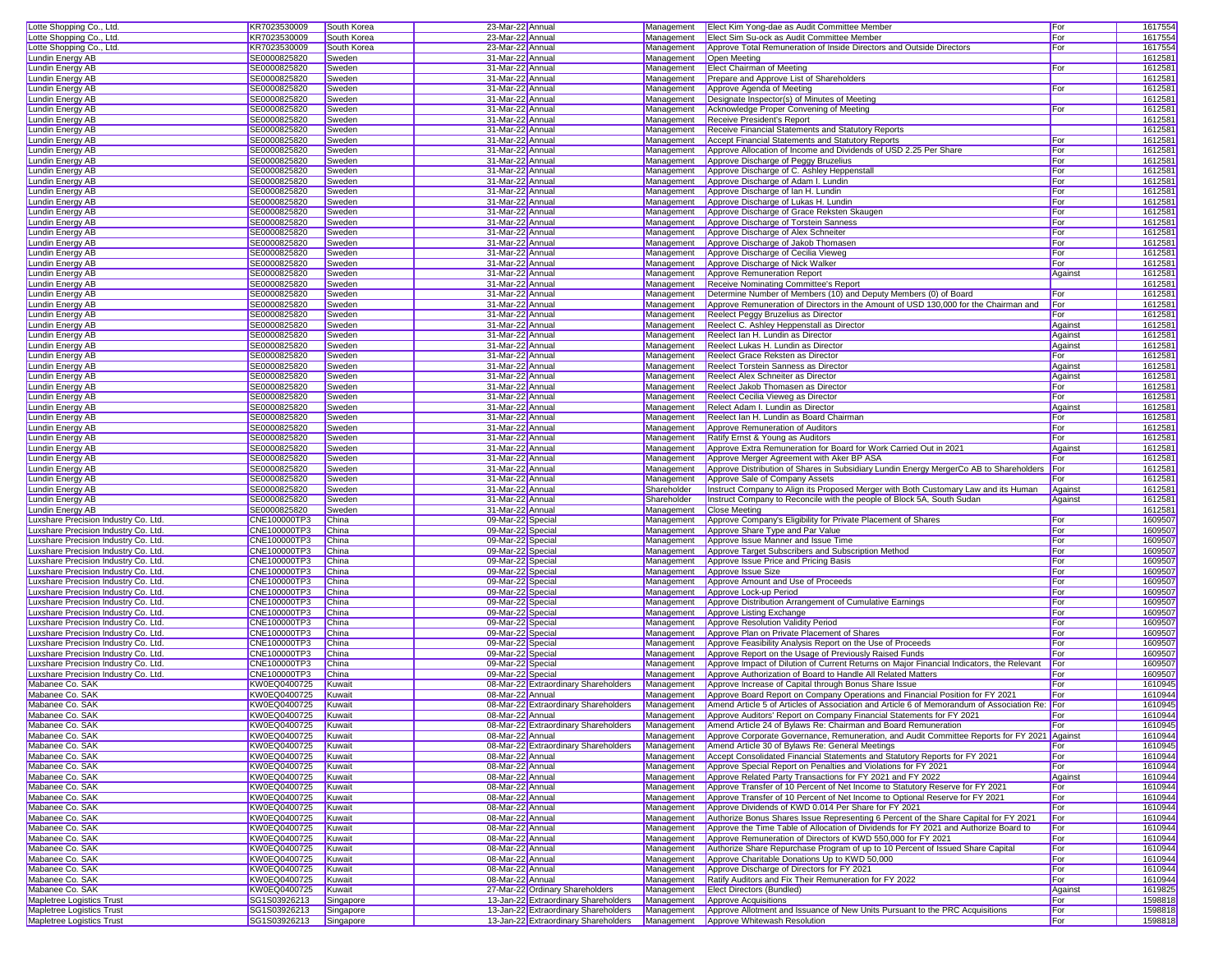| Lotte Shopping Co., Ltd.                               | KR7023530009                 | South Korea            | 23-Mar-22 Annual                                                                                                     | Management  | Elect Kim Yong-dae as Audit Committee Member                                                             | For        | 1617554            |
|--------------------------------------------------------|------------------------------|------------------------|----------------------------------------------------------------------------------------------------------------------|-------------|----------------------------------------------------------------------------------------------------------|------------|--------------------|
| Lotte Shopping Co., Ltd.                               | KR7023530009                 | South Korea            | 23-Mar-22 Annual                                                                                                     | Management  | Elect Sim Su-ock as Audit Committee Member                                                               | For        | 1617554            |
| Lotte Shopping Co., Ltd.                               | KR7023530009                 | South Korea            | 23-Mar-22 Annual                                                                                                     | Management  | Approve Total Remuneration of Inside Directors and Outside Directors                                     | For        | 1617554            |
| Lundin Energy AB                                       | SE0000825820                 | Sweden                 | 31-Mar-22 Annual                                                                                                     | Management  | Open Meeting                                                                                             |            | 1612581            |
| Lundin Energy AB                                       | SE0000825820                 | Sweden                 | 31-Mar-22 Annual                                                                                                     | Management  | <b>Elect Chairman of Meeting</b>                                                                         | For        | 1612581            |
| Lundin Energy AB                                       | SE0000825820                 | Sweden                 | 31-Mar-22 Annual                                                                                                     | Management  | Prepare and Approve List of Shareholders                                                                 |            | 1612581            |
| Lundin Energy AB                                       | SE0000825820                 | Sweden                 | 31-Mar-22 Annual                                                                                                     | Management  | Approve Agenda of Meeting                                                                                | For        | 1612581            |
| Lundin Energy AB                                       | SE0000825820                 | Sweden                 | 31-Mar-22 Annual                                                                                                     | Management  | Designate Inspector(s) of Minutes of Meeting                                                             |            | 1612581            |
| Lundin Energy AB                                       | SE0000825820                 | Sweden                 | 31-Mar-22 Annual                                                                                                     | Management  | Acknowledge Proper Convening of Meeting                                                                  | For        | 1612581            |
| Lundin Energy AB                                       | SE0000825820                 | Sweden                 | 31-Mar-22 Annual                                                                                                     | Management  | Receive President's Report                                                                               |            | 1612581            |
|                                                        |                              |                        |                                                                                                                      | Management  |                                                                                                          |            | 1612581            |
| Lundin Energy AB                                       | SE0000825820                 | Sweden                 | 31-Mar-22 Annual                                                                                                     |             | Receive Financial Statements and Statutory Reports                                                       |            |                    |
| Lundin Energy AB                                       | SE0000825820                 | Sweden                 | 31-Mar-22 Annual                                                                                                     | Management  | Accept Financial Statements and Statutory Reports                                                        | For        | 1612581            |
| Lundin Energy AB                                       | SE0000825820                 | Sweden                 | 31-Mar-22 Annual                                                                                                     | Management  | Approve Allocation of Income and Dividends of USD 2.25 Per Share                                         | For        | 1612581            |
| Lundin Energy AB                                       | SE0000825820                 | Sweden                 | 31-Mar-22 Annual                                                                                                     | Management  | Approve Discharge of Peggy Bruzelius                                                                     | For        | 1612581            |
| Lundin Energy AB                                       | SE0000825820                 | Sweden                 | 31-Mar-22 Annual                                                                                                     | Management  | Approve Discharge of C. Ashley Heppenstall                                                               | For        | 1612581            |
| Lundin Energy AB                                       | SE0000825820                 | Sweden                 | 31-Mar-22 Annual                                                                                                     | Management  | Approve Discharge of Adam I. Lundin                                                                      | For        | 1612581            |
| Lundin Energy AB                                       | SE0000825820                 | Sweden                 | 31-Mar-22 Annual                                                                                                     | Management  | Approve Discharge of Ian H. Lundin                                                                       | For        | 1612581            |
| Lundin Energy AB                                       | SE0000825820                 | Sweden                 | 31-Mar-22 Annual                                                                                                     | Management  | Approve Discharge of Lukas H. Lundin                                                                     | For        | 1612581            |
| Lundin Energy AB                                       | SE0000825820                 | Sweden                 | 31-Mar-22 Annual                                                                                                     | Management  | Approve Discharge of Grace Reksten Skaugen                                                               | For        | 1612581            |
| Lundin Energy AB                                       | SE0000825820                 | Sweden                 | 31-Mar-22 Annual                                                                                                     | Management  | Approve Discharge of Torstein Sanness                                                                    | For        | 1612581            |
| Lundin Energy AB                                       | SE0000825820                 | Sweden                 | 31-Mar-22 Annual                                                                                                     | Management  | Approve Discharge of Alex Schneiter                                                                      | For        | 1612581            |
| <b>Lundin Energy AB</b>                                | SE0000825820                 | Sweden                 | 31-Mar-22 Annual                                                                                                     | Management  | Approve Discharge of Jakob Thomasen                                                                      | For        | 1612581            |
| Lundin Energy AB                                       | SE0000825820                 | Sweden                 | 31-Mar-22 Annual                                                                                                     | Management  | Approve Discharge of Cecilia Vieweg                                                                      | For        | 1612581            |
| Lundin Energy AB                                       | SE0000825820                 | Sweden                 | 31-Mar-22 Annual                                                                                                     | Management  | Approve Discharge of Nick Walker                                                                         | For        | 1612581            |
|                                                        |                              |                        |                                                                                                                      |             |                                                                                                          |            |                    |
| Lundin Energy AB                                       | SE0000825820                 | Sweden                 | 31-Mar-22 Annual                                                                                                     | Management  | Approve Remuneration Report                                                                              | Against    | 1612581            |
| Lundin Energy AB                                       | SE0000825820                 | Sweden                 | 31-Mar-22 Annual                                                                                                     | Management  | Receive Nominating Committee's Report                                                                    |            | 1612581            |
| Lundin Energy AB                                       | SE0000825820                 | Sweden                 | 31-Mar-22 Annual                                                                                                     | Management  | Determine Number of Members (10) and Deputy Members (0) of Board                                         | For        | 1612581            |
| <b>Lundin Energy AB</b>                                | SE0000825820                 | Sweden                 | 31-Mar-22 Annual                                                                                                     | Management  | Approve Remuneration of Directors in the Amount of USD 130,000 for the Chairman and                      | For        | 1612581            |
| Lundin Energy AB                                       | SE0000825820                 | Sweden                 | 31-Mar-22 Annual                                                                                                     | Management  | Reelect Peggy Bruzelius as Director                                                                      | For        | 1612581            |
| Lundin Energy AB                                       | SE0000825820                 | Sweden                 | 31-Mar-22 Annual                                                                                                     | Management  | Reelect C. Ashley Heppenstall as Director                                                                | Against    | 1612581            |
| Lundin Energy AB                                       | SE0000825820                 | Sweden                 | 31-Mar-22 Annual                                                                                                     | Management  | Reelect Ian H. Lundin as Director                                                                        | Against    | 1612581            |
| Lundin Energy AB                                       | SE0000825820                 | Sweden                 | 31-Mar-22 Annual                                                                                                     | Management  | Reelect Lukas H. Lundin as Director                                                                      | Against    | 1612581            |
| <b>Lundin Energy AB</b>                                | SE0000825820                 | Sweden                 | 31-Mar-22 Annual                                                                                                     | Management  | Reelect Grace Reksten as Director                                                                        | For        | 1612581            |
| Lundin Enerav AB                                       | SE0000825820                 | Sweden                 | 31-Mar-22 Annual                                                                                                     | Management  | <b>Reelect Torstein Sanness as Director</b>                                                              | Against    | 1612581            |
| Lundin Energy AB                                       | SE0000825820                 | Sweden                 | 31-Mar-22 Annual                                                                                                     | Management  | Reelect Alex Schneiter as Director                                                                       | Against    | 1612581            |
| <b>Lundin Energy AB</b>                                |                              |                        |                                                                                                                      | Management  | Reelect Jakob Thomasen as Director                                                                       |            | 1612581            |
|                                                        | SE0000825820                 | Sweden                 | 31-Mar-22 Annual                                                                                                     |             |                                                                                                          | For        |                    |
| Lundin Energy AB                                       | SE0000825820                 | Sweden                 | 31-Mar-22 Annual                                                                                                     | Management  | Reelect Cecilia Vieweg as Director                                                                       | For        | 1612581            |
| Lundin Energy AB                                       | SE0000825820                 | Sweden                 | 31-Mar-22 Annual                                                                                                     | Management  | Relect Adam I. Lundin as Director                                                                        | Against    | 1612581            |
| Lundin Energy AB                                       | SE0000825820                 | Sweden                 | 31-Mar-22 Annual                                                                                                     | Management  | Reelect Ian H. Lundin as Board Chairman                                                                  | For        | 1612581            |
| Lundin Energy AB                                       | SE0000825820                 | Sweden                 | 31-Mar-22 Annual                                                                                                     | Management  | Approve Remuneration of Auditors                                                                         | For        | 1612581            |
| Lundin Energy AB                                       | SE0000825820                 | Sweden                 | 31-Mar-22 Annual                                                                                                     | Management  | Ratify Ernst & Young as Auditors                                                                         | For        | 1612581            |
| Lundin Energy AB                                       | SE0000825820                 | Sweden                 | 31-Mar-22 Annual                                                                                                     | Management  | Approve Extra Remuneration for Board for Work Carried Out in 2021                                        | Against    | 1612581            |
| Lundin Energy AB                                       | SE0000825820                 | Sweden                 | 31-Mar-22 Annual                                                                                                     | Management  | Approve Merger Agreement with Aker BP ASA                                                                | For        | 1612581            |
| Lundin Enerav AB                                       | SE0000825820                 | Sweden                 | 31-Mar-22 Annual                                                                                                     | Management  | Approve Distribution of Shares in Subsidiary Lundin Energy MergerCo AB to Shareholders                   | For        | 1612581            |
| Lundin Energy AB                                       | SE0000825820                 | Sweden                 | 31-Mar-22 Annual                                                                                                     | Management  | Approve Sale of Company Assets                                                                           | For        | 1612581            |
| Lundin Energy AB                                       | SE0000825820                 | Sweden                 | 31-Mar-22 Annual                                                                                                     | Shareholder | Instruct Company to Align its Proposed Merger with Both Customary Law and its Human                      | Against    | 1612581            |
| Lundin Energy AB                                       | SE0000825820                 | Sweden                 | 31-Mar-22 Annual                                                                                                     | Shareholder | Instruct Company to Reconcile with the people of Block 5A, South Sudan                                   | Against    | 1612581            |
|                                                        |                              |                        |                                                                                                                      |             |                                                                                                          |            |                    |
| Lundin Energy AB                                       | SE0000825820                 | Sweden                 | 31-Mar-22 Annual                                                                                                     | Management  | <b>Close Meeting</b>                                                                                     |            | 1612581            |
| Luxshare Precision Industry Co. Ltd.                   | CNE100000TP3                 | China                  | 09-Mar-22 Special                                                                                                    | Management  | Approve Company's Eligibility for Private Placement of Shares                                            | For        | 1609507            |
| Luxshare Precision Industry Co. Ltd.                   | CNE100000TP3                 | China                  | 09-Mar-22 Special                                                                                                    | Management  | Approve Share Type and Par Value                                                                         | For        | 1609507            |
| Luxshare Precision Industry Co. Ltd.                   | CNE100000TP3                 | China                  | 09-Mar-22 Special                                                                                                    | Management  | Approve Issue Manner and Issue Time                                                                      | For        | 1609507            |
| Luxshare Precision Industry Co. Ltd.                   | CNE100000TP3                 | China                  | 09-Mar-22 Special                                                                                                    | Management  | Approve Target Subscribers and Subscription Method                                                       | For        | 1609507            |
| Luxshare Precision Industry Co. Ltd.                   | CNE100000TP3                 | China                  | 09-Mar-22 Special                                                                                                    | Management  | Approve Issue Price and Pricing Basis                                                                    | For        | 1609507            |
| Luxshare Precision Industry Co. Ltd.                   | CNE100000TP3                 | China                  | 09-Mar-22 Special                                                                                                    | Management  | Approve Issue Size                                                                                       | For        | 1609507            |
| Luxshare Precision Industry Co. Ltd.                   | CNE100000TP3                 | China                  | 09-Mar-22 Special                                                                                                    | Management  | Approve Amount and Use of Proceeds                                                                       | For        | 1609507            |
| Luxshare Precision Industry Co. Ltd.                   | CNE100000TP3                 | China                  | 09-Mar-22 Special                                                                                                    | Management  | Approve Lock-up Period                                                                                   | For        | 1609507            |
| Luxshare Precision Industry Co. Ltd.                   | CNE100000TP3                 | China                  | 09-Mar-22 Special                                                                                                    | Management  | Approve Distribution Arrangement of Cumulative Earnings                                                  | For        | 1609507            |
| Luxshare Precision Industry Co. Ltd.                   | CNE100000TP3                 | China                  | 09-Mar-22 Special                                                                                                    | Management  | Approve Listing Exchange                                                                                 | For        | 1609507            |
| Luxshare Precision Industry Co. Ltd.                   | CNE100000TP3                 | China                  | 09-Mar-22 Special                                                                                                    | Management  | Approve Resolution Validity Period                                                                       | For        | 1609507            |
| Luxshare Precision Industry Co. Ltd.                   |                              |                        |                                                                                                                      |             |                                                                                                          | For        |                    |
|                                                        | CNE100000TP3                 | China                  | 09-Mar-22 Special                                                                                                    | Management  | Approve Plan on Private Placement of Shares                                                              |            | 1609507            |
| Luxshare Precision Industry Co. Ltd.                   | CNE100000TP3                 |                        |                                                                                                                      |             |                                                                                                          |            |                    |
| Luxshare Precision Industry Co. Ltd.                   |                              | China                  | 09-Mar-22 Special                                                                                                    | Management  | Approve Feasibility Analysis Report on the Use of Proceeds                                               | For        | 1609507            |
| Luxshare Precision Industry Co. Ltd.                   | CNE100000TP3                 | China                  | 09-Mar-22 Special                                                                                                    | Management  | Approve Report on the Usage of Previously Raised Funds                                                   | For        | 1609507            |
|                                                        | CNE100000TP3                 | China                  | 09-Mar-22 Special                                                                                                    | Management  | Approve Impact of Dilution of Current Returns on Major Financial Indicators, the Relevant                | For        | 1609507            |
| Luxshare Precision Industry Co. Ltd.                   | CNE100000TP3                 | China                  | 09-Mar-22 Special                                                                                                    | Management  | Approve Authorization of Board to Handle All Related Matters                                             | For        | 1609507            |
| Mabanee Co. SAK                                        | KW0EQ0400725                 | Kuwait                 | 08-Mar-22 Extraordinary Shareholders                                                                                 | Management  | Approve Increase of Capital through Bonus Share Issue                                                    | For        | 1610945            |
| Mabanee Co. SAK                                        | KW0EQ0400725                 | Kuwait                 | 08-Mar-22 Annual                                                                                                     | Management  | Approve Board Report on Company Operations and Financial Position for FY 2021                            | For        | 1610944            |
| Mabanee Co. SAK                                        | KW0EQ0400725                 | Kuwait                 | 08-Mar-22 Extraordinary Shareholders                                                                                 |             | Management Amend Article 5 of Articles of Association and Article 6 of Memorandum of Association Re: For |            | 1610945            |
| Mabanee Co. SAK                                        | KW0EQ0400725                 | Kuwait                 | 08-Mar-22 Annual                                                                                                     |             | Management Approve Auditors' Report on Company Financial Statements for FY 2021                          | For        | 1610944            |
| Mabanee Co. SAK                                        |                              | Kuwait                 |                                                                                                                      | Management  | Amend Article 24 of Bylaws Re: Chairman and Board Remuneration                                           | For        |                    |
| Mabanee Co. SAK                                        | KW0EQ0400725                 | Kuwait                 | 08-Mar-22 Extraordinary Shareholders<br>08-Mar-22 Annual                                                             | Management  |                                                                                                          |            | 1610945            |
|                                                        | KW0EQ0400725                 |                        |                                                                                                                      |             | Approve Corporate Governance, Remuneration, and Audit Committee Reports for FY 2021 Against              |            | 1610944            |
| Mabanee Co. SAK                                        | KW0EQ0400725                 | Kuwait                 | 08-Mar-22 Extraordinary Shareholders                                                                                 |             | Management   Amend Article 30 of Bylaws Re: General Meetings                                             | For        | 1610945            |
| Mabanee Co. SAK                                        | KW0EQ0400725                 | Kuwait                 | 08-Mar-22 Annual                                                                                                     | Management  | Accept Consolidated Financial Statements and Statutory Reports for FY 2021                               | For        | 1610944            |
| Mabanee Co. SAK                                        | KW0EQ0400725                 | Kuwait                 | 08-Mar-22 Annual                                                                                                     | Management  | Approve Special Report on Penalties and Violations for FY 2021                                           | For        | 1610944            |
| Mabanee Co. SAK                                        | KW0EQ0400725                 | Kuwait                 | 08-Mar-22 Annual                                                                                                     | Management  | Approve Related Party Transactions for FY 2021 and FY 2022                                               | Against    | 1610944            |
| Mabanee Co. SAK                                        | KW0EQ0400725                 | Kuwait                 | 08-Mar-22 Annual                                                                                                     | Management  | Approve Transfer of 10 Percent of Net Income to Statutory Reserve for FY 2021                            | For        | 1610944            |
| Mabanee Co. SAK                                        | KW0EQ0400725                 | Kuwait                 | 08-Mar-22 Annual                                                                                                     |             | Management Approve Transfer of 10 Percent of Net Income to Optional Reserve for FY 2021                  | For        | 1610944            |
| Mabanee Co. SAK                                        | KW0EQ0400725                 | Kuwait                 | 08-Mar-22 Annual                                                                                                     | Management  | Approve Dividends of KWD 0.014 Per Share for FY 2021                                                     | For        | 1610944            |
| Mabanee Co. SAK                                        | KW0EQ0400725                 | Kuwait                 | 08-Mar-22 Annual                                                                                                     | Management  | Authorize Bonus Shares Issue Representing 6 Percent of the Share Capital for FY 2021                     | For        | 1610944            |
| Mabanee Co. SAK                                        | KW0EQ0400725                 | Kuwait                 | 08-Mar-22 Annual                                                                                                     | Management  | Approve the Time Table of Allocation of Dividends for FY 2021 and Authorize Board to                     | For        | 1610944            |
| Mabanee Co. SAK                                        | KW0EQ0400725                 | Kuwait                 | 08-Mar-22 Annual                                                                                                     | Management  | Approve Remuneration of Directors of KWD 550,000 for FY 2021                                             | For        | 1610944            |
| Mabanee Co. SAK                                        | KW0EQ0400725                 | Kuwait                 | 08-Mar-22 Annual                                                                                                     | Management  | Authorize Share Repurchase Program of up to 10 Percent of Issued Share Capital                           | For        | 1610944            |
|                                                        |                              |                        |                                                                                                                      |             | Approve Charitable Donations Up to KWD 50,000                                                            |            |                    |
| Mabanee Co. SAK                                        | KW0EQ0400725                 | Kuwait                 | 08-Mar-22 Annual                                                                                                     | Management  |                                                                                                          | For        | 1610944            |
| Mabanee Co. SAK                                        | KW0EQ0400725                 | Kuwait                 | 08-Mar-22 Annual                                                                                                     | Management  | Approve Discharge of Directors for FY 2021                                                               | For        | 1610944            |
| Mabanee Co. SAK                                        | KW0EQ0400725                 | Kuwait                 | 08-Mar-22 Annual                                                                                                     | Management  | Ratify Auditors and Fix Their Remuneration for FY 2022                                                   | For        | 1610944            |
| Mabanee Co. SAK                                        | KW0EQ0400725                 | Kuwait                 | 27-Mar-22 Ordinary Shareholders                                                                                      | Management  | <b>Elect Directors (Bundled)</b>                                                                         | Against    | 1619825            |
| Mapletree Logistics Trust                              | SG1S03926213                 | Singapore              | 13-Jan-22 Extraordinary Shareholders                                                                                 |             | Management Approve Acquisitions                                                                          | For        | 1598818            |
| Mapletree Logistics Trust<br>Mapletree Logistics Trust | SG1S03926213<br>SG1S03926213 | Singapore<br>Singapore | 13-Jan-22 Extraordinary Shareholders<br>13-Jan-22 Extraordinary Shareholders Management Approve Whitewash Resolution | Management  | Approve Allotment and Issuance of New Units Pursuant to the PRC Acquisitions                             | For<br>For | 1598818<br>1598818 |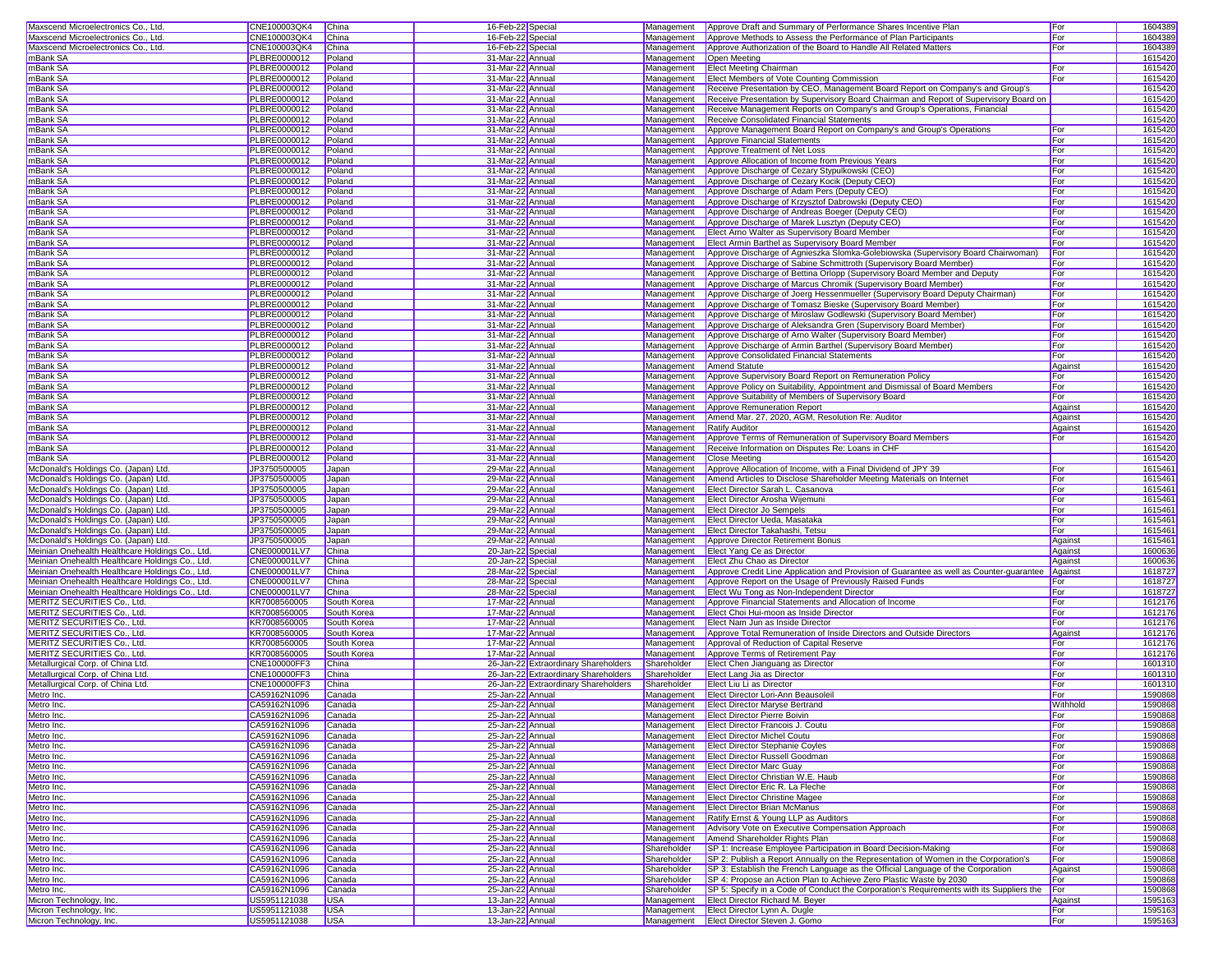| Maxscend Microelectronics Co., Ltd                 | CNE100003QK4                 | China                    | 16-Feb-22 Special                    |                                      | Management  | Approve Draft and Summary of Performance Shares Incentive Plan                                  | For          | 1604389            |
|----------------------------------------------------|------------------------------|--------------------------|--------------------------------------|--------------------------------------|-------------|-------------------------------------------------------------------------------------------------|--------------|--------------------|
| Maxscend Microelectronics Co., Ltd                 | CNE100003QK4                 | China                    | 16-Feb-22 Special                    |                                      | Management  | Approve Methods to Assess the Performance of Plan Participants                                  | For          | 1604389            |
|                                                    |                              |                          |                                      |                                      |             |                                                                                                 |              |                    |
| Maxscend Microelectronics Co., Ltd.                | CNE100003QK4                 | China                    | 16-Feb-22 Special                    |                                      | Management  | Approve Authorization of the Board to Handle All Related Matters                                | For          | 1604389            |
| mBank SA                                           | PLBRE0000012                 | Poland                   | 31-Mar-22 Annual                     |                                      | Management  | Open Meeting                                                                                    |              | 1615420            |
| mBank SA                                           | <b>PLBRE0000012</b>          | Poland                   | 31-Mar-22 Annual                     |                                      | Management  | <b>Elect Meeting Chairman</b>                                                                   | For          | 1615420            |
| mBank SA                                           | <b>PLBRE0000012</b>          | Poland                   | 31-Mar-22 Annual                     |                                      | Management  | Elect Members of Vote Counting Commission                                                       | <b>For</b>   | 1615420            |
| mBank SA                                           | PLBRE0000012                 | Poland                   | 31-Mar-22 Annua                      |                                      | Management  | Receive Presentation by CEO, Management Board Report on Company's and Group's                   |              | 1615420            |
|                                                    | <b>PLBRE0000012</b>          |                          |                                      |                                      |             |                                                                                                 |              |                    |
| mBank SA                                           |                              | Poland                   | 31-Mar-22 Annual                     |                                      | Management  | Receive Presentation by Supervisory Board Chairman and Report of Supervisory Board on           |              | 1615420            |
| mBank SA                                           | PLBRE0000012                 | Poland                   | 31-Mar-22 Annual                     |                                      | Management  | Receive Management Reports on Company's and Group's Operations, Financial                       |              | 1615420            |
| mBank SA                                           | <b>PLBRE0000012</b>          | Poland                   | 31-Mar-22 Annual                     |                                      | Management  | Receive Consolidated Financial Statements                                                       |              | 1615420            |
| mBank SA                                           | PLBRE0000012                 | Poland                   | 31-Mar-22 Annua                      |                                      | Management  | Approve Management Board Report on Company's and Group's Operations                             | For          | 1615420            |
| mBank SA                                           | PLBRE0000012                 | Poland                   | 31-Mar-22 Annua                      |                                      | Management  | Approve Financial Statements                                                                    | For          | 1615420            |
|                                                    |                              |                          |                                      |                                      |             |                                                                                                 |              |                    |
| mBank SA                                           | PLBRE0000012                 | Poland                   | 31-Mar-22 Annual                     |                                      | Management  | Approve Treatment of Net Loss                                                                   | For          | 1615420            |
| mBank SA                                           | PLBRE0000012                 | Poland                   | 31-Mar-22 Annual                     |                                      | Management  | Approve Allocation of Income from Previous Years                                                | <b>For</b>   | 1615420            |
| mBank SA                                           | PLBRE0000012                 | Poland                   | 31-Mar-22 Annual                     |                                      | Management  | Approve Discharge of Cezary Stypulkowski (CEO)                                                  | For          | 1615420            |
| mBank SA                                           | <b>PLBRE0000012</b>          | Poland                   | 31-Mar-22 Annual                     |                                      | Management  | Approve Discharge of Cezary Kocik (Deputy CEO)                                                  | For          | 1615420            |
| mBank SA                                           | PLBRE0000012                 | Poland                   | 31-Mar-22 Annual                     |                                      | Management  | Approve Discharge of Adam Pers (Deputy CEO)                                                     | For          | 1615420            |
|                                                    |                              |                          |                                      |                                      |             |                                                                                                 |              |                    |
| mBank SA                                           | PLBRE0000012                 | Poland                   | 31-Mar-22 Annual                     |                                      | Management  | Approve Discharge of Krzysztof Dabrowski (Deputy CEO)                                           | For          | 1615420            |
| mBank SA                                           | PLBRE0000012                 | Poland                   | 31-Mar-22 Annual                     |                                      | Management  | Approve Discharge of Andreas Boeger (Deputy CEO)                                                | <b>I</b> For | 1615420            |
| mBank SA                                           | <b>PLBRE0000012</b>          | Poland                   | 31-Mar-22 Annual                     |                                      | Management  | Approve Discharge of Marek Lusztyn (Deputy CEO)                                                 | For          | 1615420            |
| mBank SA                                           | <b>PLBRE0000012</b>          | Poland                   | 31-Mar-22 Annua                      |                                      | Management  | Elect Arno Walter as Supervisory Board Member                                                   | For          | 1615420            |
| mBank SA                                           | PLBRE0000012                 | Poland                   | 31-Mar-22 Annua                      |                                      | Management  | Elect Armin Barthel as Supervisory Board Member                                                 | For          | 1615420            |
|                                                    |                              |                          |                                      |                                      |             |                                                                                                 |              |                    |
| mBank SA                                           | <b>PLBRE0000012</b>          | Poland                   | 31-Mar-22 Annual                     |                                      | Management  | Approve Discharge of Agnieszka Slomka-Golebiowska (Supervisory Board Chairwoman)                | For          | 1615420            |
| mBank SA                                           | PLBRE0000012                 | Poland                   | 31-Mar-22 Annual                     |                                      | Management  | Approve Discharge of Sabine Schmittroth (Supervisory Board Member)                              | For          | 1615420            |
| mBank SA                                           | PLBRE0000012                 | Poland                   | 31-Mar-22 Annual                     |                                      | Management  | Approve Discharge of Bettina Orlopp (Supervisory Board Member and Deputy                        | For          | 1615420            |
| mBank SA                                           | <b>PLBRE0000012</b>          | Poland                   | 31-Mar-22 Annual                     |                                      | Management  | Approve Discharge of Marcus Chromik (Supervisory Board Member)                                  | For          | 1615420            |
| mBank SA                                           | PLBRE0000012                 | Poland                   | 31-Mar-22 Annua                      |                                      | Management  | Approve Discharge of Joerg Hessenmueller (Supervisory Board Deputy Chairman)                    | For          | 1615420            |
|                                                    |                              |                          |                                      |                                      |             |                                                                                                 |              |                    |
| mBank SA                                           | PLBRE0000012                 | Poland                   | 31-Mar-22 Annual                     |                                      | Management  | Approve Discharge of Tomasz Bieske (Supervisory Board Member)                                   | For          | 1615420            |
| mBank SA                                           | <b>PLBRE0000012</b>          | Poland                   | 31-Mar-22 Annual                     |                                      | Management  | Approve Discharge of Miroslaw Godlewski (Supervisory Board Member)                              | For          | 1615420            |
| mBank SA                                           | <b>PLBRE0000012</b>          | Poland                   | 31-Mar-22 Annual                     |                                      | Management  | Approve Discharge of Aleksandra Gren (Supervisory Board Member)                                 | For          | 1615420            |
| mBank SA                                           | PLBRE0000012                 | Poland                   | 31-Mar-22 Annua                      |                                      | Management  | Approve Discharge of Arno Walter (Supervisory Board Member)                                     | For          | 1615420            |
| mBank SA                                           | PLBRE0000012                 | Poland                   | 31-Mar-22 Annua                      |                                      |             |                                                                                                 | For          | 1615420            |
|                                                    |                              |                          |                                      |                                      | Management  | Approve Discharge of Armin Barthel (Supervisory Board Member)                                   |              |                    |
| mBank SA                                           | PLBRE0000012                 | Poland                   | 31-Mar-22 Annual                     |                                      | Management  | Approve Consolidated Financial Statements                                                       | For          | 1615420            |
| mBank SA                                           | PLBRE0000012                 | Poland                   | 31-Mar-22 Annual                     |                                      | Management  | Amend Statute                                                                                   | Against      | 1615420            |
| mBank SA                                           | PLBRE0000012                 | Poland                   | 31-Mar-22 Annual                     |                                      | Management  | Approve Supervisory Board Report on Remuneration Policy                                         | For          | 1615420            |
| mBank SA                                           | <b>PLBRE0000012</b>          | Poland                   | 31-Mar-22 Annual                     |                                      | Management  | Approve Policy on Suitability, Appointment and Dismissal of Board Members                       | For          | 1615420            |
|                                                    | PLBRE0000012                 |                          |                                      |                                      | Management  |                                                                                                 |              |                    |
| mBank SA                                           |                              | Poland                   | 31-Mar-22 Annual                     |                                      |             | Approve Suitability of Members of Supervisory Board                                             | For          | 1615420            |
| mBank SA                                           | PLBRE0000012                 | Poland                   | 31-Mar-22 Annual                     |                                      | Management  | Approve Remuneration Report                                                                     | Against      | 1615420            |
| mBank SA                                           | PLBRE0000012                 | Poland                   | 31-Mar-22 Annual                     |                                      | Management  | Amend Mar. 27, 2020, AGM, Resolution Re: Auditor                                                | Against      | 1615420            |
| mBank SA                                           | PLBRE0000012                 | Poland                   | 31-Mar-22 Annual                     |                                      | Management  | <b>Ratify Auditor</b>                                                                           | Against      | 1615420            |
| mBank SA                                           | <b>PLBRE0000012</b>          | Poland                   | 31-Mar-22 Annua                      |                                      | Management  | Approve Terms of Remuneration of Supervisory Board Members                                      | For          | 1615420            |
|                                                    |                              |                          |                                      |                                      |             |                                                                                                 |              |                    |
| mBank SA                                           | PLBRE0000012                 | Poland                   | 31-Mar-22 Annua                      |                                      | Management  | Receive Information on Disputes Re: Loans in CHF                                                |              | 1615420            |
| mBank SA                                           | <b>PLBRE0000012</b>          | Poland                   | 31-Mar-22 Annual                     |                                      | Management  | Close Meetina                                                                                   |              | 1615420            |
| McDonald's Holdings Co. (Japan) Ltd.               | JP3750500005                 | Japan                    | 29-Mar-22 Annual                     |                                      | Management  |                                                                                                 | For          | 1615461            |
|                                                    |                              |                          |                                      |                                      |             |                                                                                                 |              |                    |
|                                                    |                              |                          |                                      |                                      |             | Approve Allocation of Income, with a Final Dividend of JPY 39                                   |              |                    |
| McDonald's Holdings Co. (Japan) Ltd.               | JP3750500005                 | Japan                    | 29-Mar-22 Annual                     |                                      | Management  | Amend Articles to Disclose Shareholder Meeting Materials on Internet                            | For          | 1615461            |
| McDonald's Holdings Co. (Japan) Ltd.               | JP3750500005                 | Japan                    | 29-Mar-22 Annual                     |                                      | Management  | Elect Director Sarah L. Casanova                                                                | For          | 1615461            |
| McDonald's Holdings Co. (Japan) Ltd.               | JP3750500005                 | Japan                    | 29-Mar-22 Annua                      |                                      | Management  | Elect Director Arosha Wijemuni                                                                  | For          | 1615461            |
| McDonald's Holdings Co. (Japan) Ltd.               | JP3750500005                 | Japan                    | 29-Mar-22 Annual                     |                                      | Management  | <b>Elect Director Jo Sempels</b>                                                                | For          | 1615461            |
|                                                    |                              |                          |                                      |                                      |             |                                                                                                 |              |                    |
| McDonald's Holdings Co. (Japan) Ltd.               | JP3750500005                 | Japan                    | 29-Mar-22 Annual                     |                                      | Management  | Elect Director Ueda, Masataka                                                                   | For          | 1615461            |
| McDonald's Holdings Co. (Japan) Ltd.               | JP3750500005                 | Japan                    | 29-Mar-22 Annual                     |                                      | Management  | Elect Director Takahashi, Tetsu                                                                 | For          | 1615461            |
| McDonald's Holdings Co. (Japan) Ltd.               | JP3750500005                 | Japan                    | 29-Mar-22 Annual                     |                                      | Management  | Approve Director Retirement Bonus                                                               | Against      | 1615461            |
| Meinian Onehealth Healthcare Holdings Co., Ltd.    | CNE000001LV7                 | China                    | 20-Jan-22 Special                    |                                      | Management  | Elect Yang Ce as Director                                                                       | Against      | 1600636            |
| Meinian Onehealth Healthcare Holdings Co., Ltd.    | CNE000001LV7                 | China                    | 20-Jan-22 Special                    |                                      | Management  | Elect Zhu Chao as Director                                                                      | Against      | 1600636            |
| Meinian Onehealth Healthcare Holdings Co., Ltd.    | CNE000001LV7                 | China                    | 28-Mar-22 Special                    |                                      | Management  | Approve Credit Line Application and Provision of Guarantee as well as Counter-guarantee Against |              | 1618727            |
|                                                    |                              |                          |                                      |                                      |             |                                                                                                 |              |                    |
| Meinian Onehealth Healthcare Holdings Co., Ltd.    | CNE000001LV7                 | China                    | 28-Mar-22 Special                    |                                      | Management  | Approve Report on the Usage of Previously Raised Funds                                          | For          | 1618727            |
| Meinian Onehealth Healthcare Holdings Co., Ltd.    | CNE000001LV7                 | China                    | 28-Mar-22 Special                    |                                      | Management  | Elect Wu Tong as Non-Independent Director                                                       | For          | 1618727            |
| MERITZ SECURITIES Co., Ltd.                        | KR7008560005                 | South Korea              | 17-Mar-22 Annual                     |                                      | Management  | Approve Financial Statements and Allocation of Income                                           | For          | 1612176            |
| MERITZ SECURITIES Co., Ltd.                        | KR7008560005                 | South Korea              | 17-Mar-22 Annual                     |                                      | Management  | Elect Choi Hui-moon as Inside Director                                                          | For          | 1612176            |
| MERITZ SECURITIES Co., Ltd.                        | KR7008560005                 | South Korea              | 17-Mar-22 Annual                     |                                      | Management  | Elect Nam Jun as Inside Director                                                                | For          | 1612176            |
|                                                    |                              |                          |                                      |                                      |             |                                                                                                 |              |                    |
| MERITZ SECURITIES Co., Ltd.                        | KR7008560005                 | South Korea              | 17-Mar-22 Annual                     |                                      | Management  | Approve Total Remuneration of Inside Directors and Outside Directors                            | Against      | 1612176            |
| <b>MERITZ SECURITIES Co., Ltd.</b>                 | KR7008560005                 | South Korea              | 17-Mar-22 Annual                     |                                      | Management  | Approval of Reduction of Capital Reserve                                                        | For          | 1612176            |
| MERITZ SECURITIES Co., Ltd.                        | KR7008560005                 | South Korea              | 17-Mar-22 Annual                     |                                      | Management  | Approve Terms of Retirement Pay                                                                 | For          | 1612176            |
| Metallurgical Corp. of China Ltd.                  | CNE100000FF3                 | China                    |                                      | 26-Jan-22 Extraordinary Shareholders | Shareholder | Elect Chen Jianguang as Director                                                                | For          | 1601310            |
| Metallurgical Corp. of China Ltd.                  | <b>CNE100000FF3</b>          | China                    |                                      | 26-Jan-22 Extraordinary Shareholders | Shareholder | Elect Lang Jia as Director                                                                      | <b>I</b> For | 1601310            |
| Metallurgical Corp. of China Ltd.                  | CNE100000FF3                 | China                    |                                      | 26-Jan-22 Extraordinary Shareholders | Shareholder | Elect Liu Li as Director                                                                        | For          | 1601310            |
|                                                    |                              |                          |                                      |                                      | Management  |                                                                                                 |              |                    |
| Metro Inc.                                         | CA59162N1096                 | Canada                   | 25-Jan-22 Annual                     |                                      |             | Elect Director Lori-Ann Beausoleil                                                              | For          | 1590868            |
| Metro Inc.                                         | CA59162N1096                 | Canada                   | 25-Jan-22 Annua                      |                                      | Management  | <b>Elect Director Maryse Bertrand</b>                                                           | Withhold     | 1590868            |
| Metro Inc.                                         | CA59162N1096                 | Canada                   | 25-Jan-22 Annual                     |                                      |             | Management Elect Director Pierre Boivin                                                         | For          | 1590868            |
| Metro Inc.                                         | CA59162N1096                 | Canada                   | 25-Jan-22 Annual                     |                                      |             | Management Elect Director Francois J. Coutu                                                     | For          | 1590868            |
| Metro Inc.                                         | CA59162N1096                 | Canada                   | 25-Jan-22 Annual                     |                                      |             | Management Elect Director Michel Coutu                                                          | For          | 1590868            |
| Metro Inc.                                         | CA59162N1096                 | Canada                   | 25-Jan-22 Annual                     |                                      |             | Management Elect Director Stephanie Coyles                                                      | For          |                    |
|                                                    |                              |                          |                                      |                                      |             |                                                                                                 |              | 1590868            |
| Metro Inc.                                         | CA59162N1096                 | Canada                   | 25-Jan-22 Annual                     |                                      | Management  | <b>Elect Director Russell Goodman</b>                                                           | For          | 1590868            |
| Metro Inc.                                         | CA59162N1096                 | Canada                   | 25-Jan-22 Annual                     |                                      |             | Management   Elect Director Marc Guay                                                           | For          | 1590868            |
| Metro Inc.                                         | CA59162N1096                 | Canada                   | 25-Jan-22 Annual                     |                                      |             | Management Elect Director Christian W.E. Haub                                                   | For          | 1590868            |
| Metro Inc.                                         | CA59162N1096                 | Canada                   | 25-Jan-22 Annual                     |                                      |             | Management Elect Director Eric R. La Fleche                                                     | For          | 1590868            |
| Metro Inc.                                         | CA59162N1096                 | Canada                   | 25-Jan-22 Annual                     |                                      |             | Management Elect Director Christine Magee                                                       | For          | 1590868            |
|                                                    |                              |                          |                                      |                                      |             |                                                                                                 |              |                    |
| Metro Inc.                                         | CA59162N1096                 | Canada                   | 25-Jan-22 Annual                     |                                      | Management  | <b>Elect Director Brian McManus</b>                                                             | For          | 1590868            |
| Metro Inc.                                         | CA59162N1096                 | Canada                   | 25-Jan-22 Annual                     |                                      | Management  | Ratify Ernst & Young LLP as Auditors                                                            | For          | 1590868            |
| Metro Inc.                                         | CA59162N1096                 | Canada                   | 25-Jan-22 Annual                     |                                      | Management  | Advisory Vote on Executive Compensation Approach                                                | For          | 1590868            |
| Metro Inc.                                         | CA59162N1096                 | Canada                   | 25-Jan-22 Annual                     |                                      | Management  | Amend Shareholder Rights Plan                                                                   | For          | 1590868            |
| Metro Inc.                                         | CA59162N1096                 | Canada                   | 25-Jan-22 Annual                     |                                      | Shareholder | SP 1: Increase Employee Participation in Board Decision-Making                                  | For          |                    |
|                                                    |                              |                          |                                      |                                      |             |                                                                                                 |              | 1590868            |
| Metro Inc.                                         | CA59162N1096                 | Canada                   | 25-Jan-22 Annual                     |                                      | Shareholder | SP 2: Publish a Report Annually on the Representation of Women in the Corporation's             | For          | 1590868            |
| Metro Inc.                                         | CA59162N1096                 | Canada                   | 25-Jan-22 Annual                     |                                      | Shareholder | SP 3: Establish the French Language as the Official Language of the Corporation                 | Against      | 1590868            |
| Metro Inc.                                         | CA59162N1096                 | Canada                   | 25-Jan-22 Annual                     |                                      | Shareholder | SP 4: Propose an Action Plan to Achieve Zero Plastic Waste by 2030                              | For          | 1590868            |
| Metro Inc.                                         | CA59162N1096                 | Canada                   | 25-Jan-22 Annual                     |                                      | Shareholder | SP 5: Specify in a Code of Conduct the Corporation's Requirements with its Suppliers the        | For          | 1590868            |
| Micron Technology, Inc.                            | US5951121038                 | <b>USA</b>               | 13-Jan-22 Annual                     |                                      | Management  | <b>Elect Director Richard M. Beyer</b>                                                          |              |                    |
|                                                    |                              |                          |                                      |                                      |             |                                                                                                 | Against      | 1595163            |
| Micron Technology, Inc.<br>Micron Technology, Inc. | US5951121038<br>US5951121038 | <b>USA</b><br><b>USA</b> | 13-Jan-22 Annual<br>13-Jan-22 Annual |                                      | Management  | Elect Director Lynn A. Dugle<br>Management   Elect Director Steven J. Gomo                      | For<br>For   | 1595163<br>1595163 |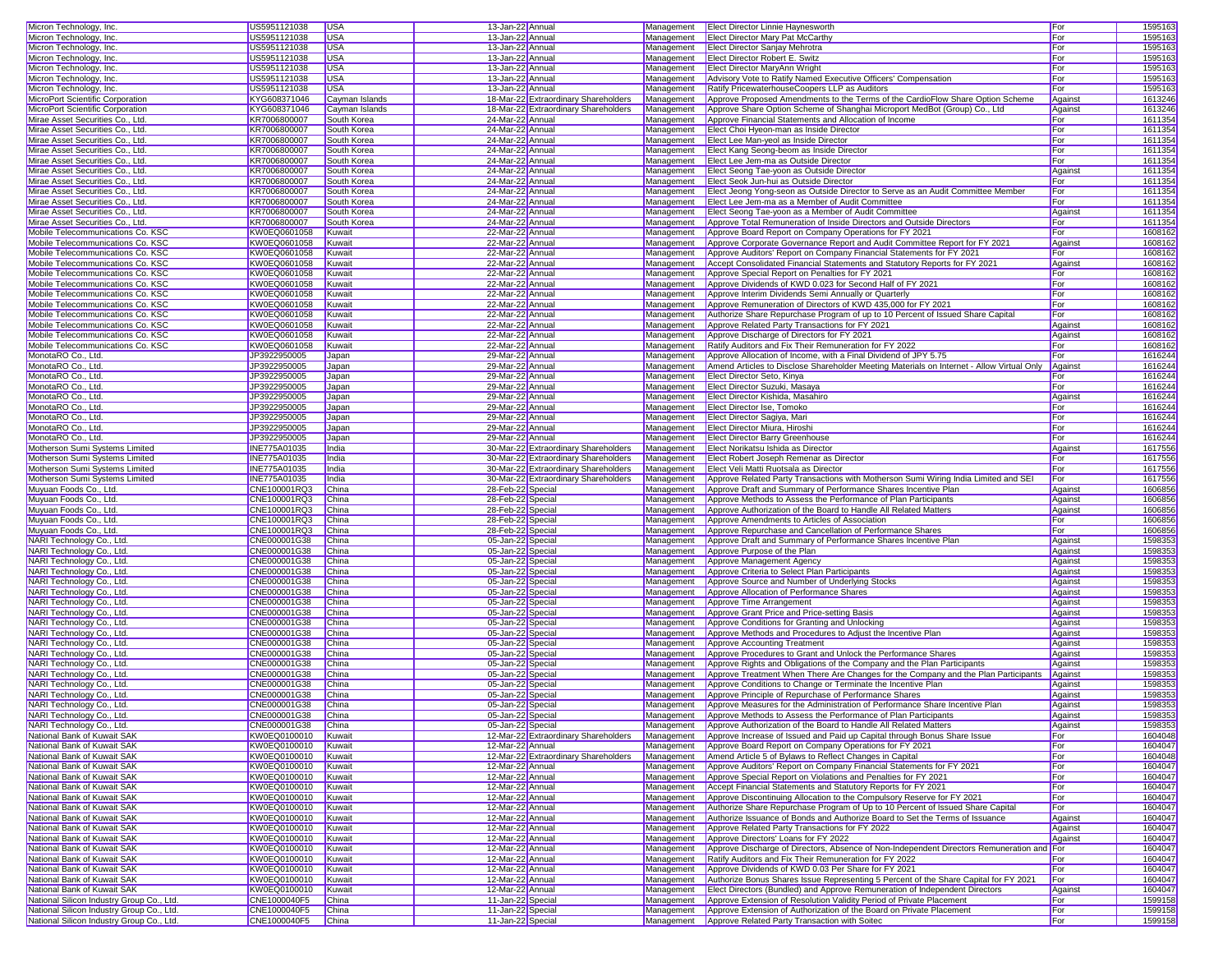| Micron Technology, Inc.                                                                | US5951121038                 | <b>USA</b>     | 13-Jan-22 Annual                       | Management | <b>Elect Director Linnie Haynesworth</b>                                                                                         | For        | 1595163            |
|----------------------------------------------------------------------------------------|------------------------------|----------------|----------------------------------------|------------|----------------------------------------------------------------------------------------------------------------------------------|------------|--------------------|
| Micron Technology, Inc.                                                                | US5951121038                 | <b>USA</b>     | 13-Jan-22 Annual                       | Management | <b>Elect Director Mary Pat McCarthy</b>                                                                                          | For        | 1595163            |
|                                                                                        |                              |                |                                        |            |                                                                                                                                  |            |                    |
| Micron Technology, Inc.                                                                | US5951121038                 | <b>USA</b>     | 13-Jan-22 Annual                       | Management | <b>Elect Director Sanjay Mehrotra</b>                                                                                            | For        | 1595163            |
| Micron Technology, Inc.                                                                | US5951121038                 | <b>USA</b>     | 13-Jan-22 Annual                       | Management | Elect Director Robert E. Switz                                                                                                   | For        | 159516             |
| Micron Technology, Inc.                                                                | US5951121038                 | <b>USA</b>     | 13-Jan-22 Annual                       | Management | <b>Elect Director MaryAnn Wright</b>                                                                                             | For        | 1595163            |
| Micron Technology, Inc.                                                                | US5951121038                 | <b>USA</b>     | 13-Jan-22 Annual                       | Management | Advisory Vote to Ratify Named Executive Officers' Compensation                                                                   | For        | 1595163            |
| Micron Technology, Inc.                                                                | US5951121038                 | <b>USA</b>     | 13-Jan-22 Annual                       | Management | Ratify PricewaterhouseCoopers LLP as Auditors                                                                                    | For        | 1595163            |
| MicroPort Scientific Corporation                                                       | KYG608371046                 | Cayman Islands | 18-Mar-22 Extraordinary Shareholders   | Management | Approve Proposed Amendments to the Terms of the CardioFlow Share Option Scheme                                                   | Against    | 1613246            |
|                                                                                        |                              |                |                                        |            |                                                                                                                                  |            |                    |
| MicroPort Scientific Corporation                                                       | KYG608371046                 | Cayman Islands | 18-Mar-22 Extraordinary Shareholders   | Management | Approve Share Option Scheme of Shanghai Microport MedBot (Group) Co., Ltd                                                        | Against    | 1613246            |
| Mirae Asset Securities Co., Ltd.                                                       | KR7006800007                 | South Korea    | 24-Mar-22 Annual                       | Management | Approve Financial Statements and Allocation of Income                                                                            | For        | 1611354            |
| Mirae Asset Securities Co., Ltd.                                                       | KR7006800007                 | South Korea    | 24-Mar-22 Annual                       | Management | Elect Choi Hyeon-man as Inside Director                                                                                          | For        | 1611354            |
| Mirae Asset Securities Co., Ltd.                                                       | KR7006800007                 | South Korea    | 24-Mar-22 Annual                       | Management | Elect Lee Man-yeol as Inside Director                                                                                            | For        | 1611354            |
| Mirae Asset Securities Co., Ltd.                                                       | KR7006800007                 | South Korea    | 24-Mar-22 Annual                       | Management | Elect Kang Seong-beom as Inside Director                                                                                         | For        | 1611354            |
|                                                                                        |                              |                |                                        |            |                                                                                                                                  |            |                    |
| Mirae Asset Securities Co., Ltd.                                                       | KR7006800007                 | South Korea    | 24-Mar-22 Annual                       | Management | Elect Lee Jem-ma as Outside Director                                                                                             | For        | 1611354            |
| Mirae Asset Securities Co., Ltd.                                                       | KR7006800007                 | South Korea    | 24-Mar-22 Annual                       | Management | Elect Seong Tae-yoon as Outside Director                                                                                         | Against    | 1611354            |
| Mirae Asset Securities Co., Ltd.                                                       | KR7006800007                 | South Korea    | 24-Mar-22 Annual                       | Management | Elect Seok Jun-hui as Outside Director                                                                                           | For        | 1611354            |
| Mirae Asset Securities Co., Ltd.                                                       | KR7006800007                 | South Korea    | 24-Mar-22 Annual                       | Management | Elect Jeong Yong-seon as Outside Director to Serve as an Audit Committee Member                                                  | For        | 1611354            |
| Mirae Asset Securities Co., Ltd.                                                       | KR7006800007                 | South Korea    | 24-Mar-22 Annual                       | Management | Elect Lee Jem-ma as a Member of Audit Committee                                                                                  | For        | 1611354            |
|                                                                                        |                              |                |                                        |            |                                                                                                                                  |            |                    |
| Mirae Asset Securities Co., Ltd.                                                       | KR7006800007                 | South Korea    | 24-Mar-22 Annual                       | Management | Elect Seong Tae-yoon as a Member of Audit Committee                                                                              | Against    | 1611354            |
| Mirae Asset Securities Co., Ltd.                                                       | KR7006800007                 | South Korea    | 24-Mar-22 Annual                       | Management | Approve Total Remuneration of Inside Directors and Outside Directors                                                             | For        | 1611354            |
| Mobile Telecommunications Co. KSC                                                      | KW0EQ0601058                 | Kuwait         | 22-Mar-22 Annual                       | Management | Approve Board Report on Company Operations for FY 2021                                                                           | For        | 1608162            |
| Mobile Telecommunications Co. KSC                                                      | KW0EQ0601058                 | Kuwait         | 22-Mar-22 Annual                       | Management | Approve Corporate Governance Report and Audit Committee Report for FY 2021                                                       | Against    | 160816             |
| Mobile Telecommunications Co. KSC                                                      | KW0EQ0601058                 | Kuwait         | 22-Mar-22 Annual                       | Management | Approve Auditors' Report on Company Financial Statements for FY 2021                                                             | For        | 160816             |
|                                                                                        |                              |                |                                        |            |                                                                                                                                  |            |                    |
| Mobile Telecommunications Co. KSC                                                      | KW0EQ0601058                 | Kuwait         | 22-Mar-22 Annual                       | Management | Accept Consolidated Financial Statements and Statutory Reports for FY 2021                                                       | Against    | 160816             |
| Mobile Telecommunications Co. KSC                                                      | KW0EQ0601058                 | Kuwait         | 22-Mar-22 Annual                       | Management | Approve Special Report on Penalties for FY 2021                                                                                  | For        | 1608162            |
| Mobile Telecommunications Co. KSC                                                      | KW0EQ0601058                 | Kuwait         | 22-Mar-22 Annual                       | Management | Approve Dividends of KWD 0.023 for Second Half of FY 2021                                                                        | For        | 1608162            |
| Mobile Telecommunications Co. KSC                                                      | KW0EQ0601058                 | Kuwait         | 22-Mar-22 Annual                       | Management | Approve Interim Dividends Semi Annually or Quarterly                                                                             | For        | 1608162            |
| Mobile Telecommunications Co. KSC                                                      | KW0EQ0601058                 | Kuwait         | 22-Mar-22 Annual                       | Management | Approve Remuneration of Directors of KWD 435,000 for FY 2021                                                                     | For        | 1608162            |
|                                                                                        |                              |                |                                        |            |                                                                                                                                  |            |                    |
| Mobile Telecommunications Co. KSC                                                      | KW0EQ0601058                 | Kuwait         | 22-Mar-22 Annual                       | Management | Authorize Share Repurchase Program of up to 10 Percent of Issued Share Capital                                                   | For        | 1608162            |
| Mobile Telecommunications Co. KSC                                                      | KW0EQ0601058                 | Kuwait         | 22-Mar-22 Annual                       | Management | Approve Related Party Transactions for FY 2021                                                                                   | Against    | 1608162            |
| Mobile Telecommunications Co. KSC                                                      | KW0EQ0601058                 | Kuwait         | 22-Mar-22 Annual                       | Management | Approve Discharge of Directors for FY 2021                                                                                       | Against    | 1608162            |
| Mobile Telecommunications Co. KSC                                                      | KW0EQ0601058                 | Kuwait         | 22-Mar-22 Annual                       | Management | Ratify Auditors and Fix Their Remuneration for FY 2022                                                                           | For        | 160816             |
| MonotaRO Co., Ltd.                                                                     | JP3922950005                 | Japan          | 29-Mar-22 Annual                       | Management | Approve Allocation of Income, with a Final Dividend of JPY 5.75                                                                  | For        | 1616244            |
|                                                                                        |                              |                |                                        |            |                                                                                                                                  |            |                    |
| MonotaRO Co., Ltd.                                                                     | JP3922950005                 | Japan          | 29-Mar-22 Annual                       | Management | Amend Articles to Disclose Shareholder Meeting Materials on Internet - Allow Virtual Only                                        | Against    | 1616244            |
| MonotaRO Co., Ltd.                                                                     | JP3922950005                 | Japan          | 29-Mar-22 Annual                       | Management | Elect Director Seto, Kinya                                                                                                       | For        | 1616244            |
| MonotaRO Co., Ltd.                                                                     | JP3922950005                 | Japan          | 29-Mar-22 Annual                       | Management | Elect Director Suzuki, Masaya                                                                                                    | For        | 1616244            |
| MonotaRO Co., Ltd.                                                                     | JP3922950005                 | Japan          | 29-Mar-22 Annual                       | Management | Elect Director Kishida, Masahiro                                                                                                 | Against    | 1616244            |
| MonotaRO Co., Ltd.                                                                     | JP3922950005                 | Japan          | 29-Mar-22 Annual                       | Management | Elect Director Ise, Tomoko                                                                                                       | For        | 1616244            |
|                                                                                        |                              |                |                                        |            |                                                                                                                                  |            |                    |
| MonotaRO Co., Ltd.                                                                     | JP3922950005                 | Japan          | 29-Mar-22 Annual                       | Management | Elect Director Sagiya, Mari                                                                                                      | For        | 1616244            |
| MonotaRO Co., Ltd.                                                                     | JP3922950005                 | Japan          | 29-Mar-22 Annual                       | Management | Elect Director Miura, Hirosh                                                                                                     | For        | 1616244            |
| MonotaRO Co., Ltd.                                                                     | JP3922950005                 | Japan          | 29-Mar-22 Annual                       | Management | <b>Elect Director Barry Greenhouse</b>                                                                                           | For        | 1616244            |
| Motherson Sumi Systems Limited                                                         | <b>INE775A01035</b>          | India          | 30-Mar-22 Extraordinary Shareholders   | Management | Elect Norikatsu Ishida as Director                                                                                               | Against    | 1617556            |
| Motherson Sumi Systems Limited                                                         | <b>INE775A01035</b>          | India          | 30-Mar-22 Extraordinary Shareholders   | Management | Elect Robert Joseph Remenar as Director                                                                                          | For        | 1617556            |
|                                                                                        |                              |                |                                        |            |                                                                                                                                  |            |                    |
| Motherson Sumi Systems Limited                                                         | INE775A01035                 | India          | 30-Mar-22 Extraordinary Shareholders   | Management | Elect Veli Matti Ruotsala as Director                                                                                            | For        | 1617556            |
| Motherson Sumi Systems Limited                                                         | INE775A01035                 | India          | 30-Mar-22 Extraordinary Shareholders   | Management | Approve Related Party Transactions with Motherson Sumi Wiring India Limited and SEI                                              | For        | 1617556            |
| Muyuan Foods Co., Ltd.                                                                 | CNE100001RQ3                 | China          | 28-Feb-22 Special                      | Management | Approve Draft and Summary of Performance Shares Incentive Plan                                                                   | Against    | 1606856            |
| Muyuan Foods Co., Ltd.                                                                 | CNE100001RQ3                 | China          | 28-Feb-22 Special                      | Management | Approve Methods to Assess the Performance of Plan Participants                                                                   | Against    | 1606856            |
| Muyuan Foods Co., Ltd.                                                                 | CNE100001RQ3                 | China          | 28-Feb-22 Special                      | Management | Approve Authorization of the Board to Handle All Related Matters                                                                 | Against    | 1606856            |
|                                                                                        | CNE100001RQ3                 |                |                                        |            |                                                                                                                                  |            |                    |
| Muyuan Foods Co., Ltd.                                                                 |                              | China          | 28-Feb-22 Special                      | Management | Approve Amendments to Articles of Association                                                                                    | For        |                    |
|                                                                                        |                              |                |                                        |            |                                                                                                                                  |            | 160685             |
| Muyuan Foods Co., Ltd.                                                                 | CNE100001RQ3                 | China          | 28-Feb-22 Special                      | Management | Approve Repurchase and Cancellation of Performance Shares                                                                        | For        | 1606856            |
|                                                                                        | CNE000001G38                 | China          |                                        | Management | Approve Draft and Summary of Performance Shares Incentive Plan                                                                   | Against    | 1598353            |
| NARI Technology Co., Ltd                                                               |                              |                | 05-Jan-22 Special                      |            |                                                                                                                                  |            |                    |
| NARI Technology Co., Ltd.                                                              | CNE000001G38                 | China          | 05-Jan-22 Special                      | Management | Approve Purpose of the Plan                                                                                                      | Against    | 159835             |
| NARI Technology Co., Ltd.                                                              | CNE000001G38                 | China          | 05-Jan-22 Special                      | Management | Approve Management Agency                                                                                                        | Against    | 159835             |
| NARI Technology Co., Ltd.                                                              | CNE000001G38                 | China          | 05-Jan-22 Special                      | Management | Approve Criteria to Select Plan Participants                                                                                     | Against    | 159835             |
| NARI Technology Co., Ltd.                                                              | CNE000001G38                 | China          | 05-Jan-22 Special                      | Management | Approve Source and Number of Underlying Stocks                                                                                   | Against    | 1598353            |
| NARI Technology Co., Ltd.                                                              | CNE000001G38                 | China          | 05-Jan-22 Special                      | Management | Approve Allocation of Performance Shares                                                                                         | Against    | 159835             |
| NARI Technology Co., Ltd.                                                              | CNE000001G38                 | China          | 05-Jan-22 Special                      | Management | Approve Time Arrangement                                                                                                         | Against    | 159835             |
|                                                                                        |                              |                |                                        |            |                                                                                                                                  |            |                    |
| NARI Technology Co., Ltd.                                                              | CNE000001G38                 | China          | 05-Jan-22 Special                      | Management | Approve Grant Price and Price-setting Basis                                                                                      | Against    | 159835             |
| NARI Technology Co., Ltd.                                                              | CNE000001G38                 | China          | 05-Jan-22 Special                      | Management | Approve Conditions for Granting and Unlocking                                                                                    | Against    | 159835             |
| NARI Technology Co., Ltd.                                                              | CNE000001G38                 | China          | 05-Jan-22 Special                      | Management | Approve Methods and Procedures to Adjust the Incentive Plan                                                                      | Against    | 159835             |
| NARI Technology Co., Ltd.                                                              | CNE000001G38                 | China          | 05-Jan-22 Special                      | Management | Approve Accounting Treatment                                                                                                     | Against    | 159835             |
| NARI Technology Co., Ltd.                                                              | CNE000001G38                 | China          | 05-Jan-22 Special                      | Management | Approve Procedures to Grant and Unlock the Performance Shares                                                                    | Against    | 159835             |
|                                                                                        |                              | China          |                                        | Management |                                                                                                                                  | Against    |                    |
| NARI Technology Co., Ltd.                                                              | CNE000001G38                 |                | 05-Jan-22 Special                      |            | Approve Rights and Obligations of the Company and the Plan Participants                                                          |            | 159835             |
| NARI Technology Co., Ltd.                                                              | CNE000001G38                 | China          | 05-Jan-22 Special                      | Management | Approve Treatment When There Are Changes for the Company and the Plan Participants                                               | Against    | 159835             |
| NARI Technology Co., Ltd.                                                              | CNE000001G38                 | China          | 05-Jan-22 Special                      | Management | Approve Conditions to Change or Terminate the Incentive Plan                                                                     | Against    | 1598353            |
| NARI Technology Co., Ltd.                                                              | CNE000001G38                 | China          | 05-Jan-22 Special                      | Management | Approve Principle of Repurchase of Performance Shares                                                                            | Against    | 1598353            |
| NARI Technology Co., Ltd.                                                              | CNE000001G38                 | China          | 05-Jan-22 Special                      | Management | Approve Measures for the Administration of Performance Share Incentive Plan                                                      | Against    | 159835             |
| NARI Technology Co., Ltd.                                                              | CNE000001G38                 | China          | 05-Jan-22 Special                      |            | Management Approve Methods to Assess the Performance of Plan Participants                                                        | Against    | 1598353            |
|                                                                                        |                              |                |                                        | Management |                                                                                                                                  |            |                    |
| NARI Technology Co., Ltd.                                                              | CNE000001G38                 | China          | 05-Jan-22 Special                      |            | Approve Authorization of the Board to Handle All Related Matters                                                                 | Against    | 1598353            |
| National Bank of Kuwait SAK                                                            | KW0EQ0100010                 | Kuwait         | 12-Mar-22 Extraordinary Shareholders   | Management | Approve Increase of Issued and Paid up Capital through Bonus Share Issue                                                         | For        | 1604048            |
| National Bank of Kuwait SAK                                                            | KW0EQ0100010                 | Kuwait         | 12-Mar-22 Annual                       | Management | Approve Board Report on Company Operations for FY 2021                                                                           | For        | 1604047            |
| National Bank of Kuwait SAK                                                            | KW0EQ0100010                 | Kuwait         | 12-Mar-22 Extraordinary Shareholders   | Management | Amend Article 5 of Bylaws to Reflect Changes in Capital                                                                          | For        | 1604048            |
| National Bank of Kuwait SAK                                                            | KW0EQ0100010                 | Kuwait         | 12-Mar-22 Annual                       | Management | Approve Auditors' Report on Company Financial Statements for FY 2021                                                             | For        | 1604047            |
| National Bank of Kuwait SAK                                                            | KW0EQ0100010                 | Kuwait         | 12-Mar-22 Annual                       | Management | Approve Special Report on Violations and Penalties for FY 2021                                                                   | For        | 1604047            |
| National Bank of Kuwait SAK                                                            | KW0EQ0100010                 |                |                                        | Management | Accept Financial Statements and Statutory Reports for FY 2021                                                                    |            |                    |
|                                                                                        |                              | Kuwait         | 12-Mar-22 Annual                       |            |                                                                                                                                  | For        | 1604047            |
| National Bank of Kuwait SAK                                                            | KW0EQ0100010                 | Kuwait         | 12-Mar-22 Annual                       | Management | Approve Discontinuing Allocation to the Compulsory Reserve for FY 2021                                                           | For        | 1604047            |
| National Bank of Kuwait SAK                                                            | KW0EQ0100010                 | Kuwait         | 12-Mar-22 Annual                       | Management | Authorize Share Repurchase Program of Up to 10 Percent of Issued Share Capital                                                   | For        | 1604047            |
| National Bank of Kuwait SAK                                                            | KW0EQ0100010                 | Kuwait         | 12-Mar-22 Annual                       | Management | Authorize Issuance of Bonds and Authorize Board to Set the Terms of Issuance                                                     | Against    | 1604047            |
| National Bank of Kuwait SAK                                                            | KW0EQ0100010                 | Kuwait         | 12-Mar-22 Annual                       | Management | Approve Related Party Transactions for FY 2022                                                                                   | Against    | 1604047            |
| National Bank of Kuwait SAK                                                            | KW0EQ0100010                 | Kuwait         | 12-Mar-22 Annual                       | Management | Approve Directors' Loans for FY 2022                                                                                             | Against    | 1604047            |
|                                                                                        |                              |                |                                        |            |                                                                                                                                  |            |                    |
| National Bank of Kuwait SAK                                                            | KW0EQ0100010                 | Kuwait         | 12-Mar-22 Annual                       | Management | Approve Discharge of Directors, Absence of Non-Independent Directors Remuneration and For                                        |            | 1604047            |
| National Bank of Kuwait SAK                                                            | KW0EQ0100010                 | Kuwait         | 12-Mar-22 Annual                       | Management | Ratify Auditors and Fix Their Remuneration for FY 2022                                                                           | For        | 1604047            |
| National Bank of Kuwait SAK                                                            | KW0EQ0100010                 | Kuwait         | 12-Mar-22 Annual                       | Management | Approve Dividends of KWD 0.03 Per Share for FY 2021                                                                              | For        | 1604047            |
| National Bank of Kuwait SAK                                                            | KW0EQ0100010                 | Kuwait         | 12-Mar-22 Annual                       | Management | Authorize Bonus Shares Issue Representing 5 Percent of the Share Capital for FY 2021                                             | For        | 1604047            |
| National Bank of Kuwait SAK                                                            | KW0EQ0100010                 | Kuwait         | 12-Mar-22 Annual                       | Management | Elect Directors (Bundled) and Approve Remuneration of Independent Directors                                                      | Against    | 1604047            |
| National Silicon Industry Group Co., Ltd.                                              | CNE1000040F5                 | China          | 11-Jan-22 Special                      | Management | Approve Extension of Resolution Validity Period of Private Placement                                                             | For        |                    |
|                                                                                        |                              |                |                                        |            |                                                                                                                                  |            | 1599158            |
| National Silicon Industry Group Co., Ltd.<br>National Silicon Industry Group Co., Ltd. | CNE1000040F5<br>CNE1000040F5 | China<br>China | 11-Jan-22 Special<br>11-Jan-22 Special | Management | Approve Extension of Authorization of the Board on Private Placement<br>Management Approve Related Party Transaction with Soitec | For<br>For | 1599158<br>1599158 |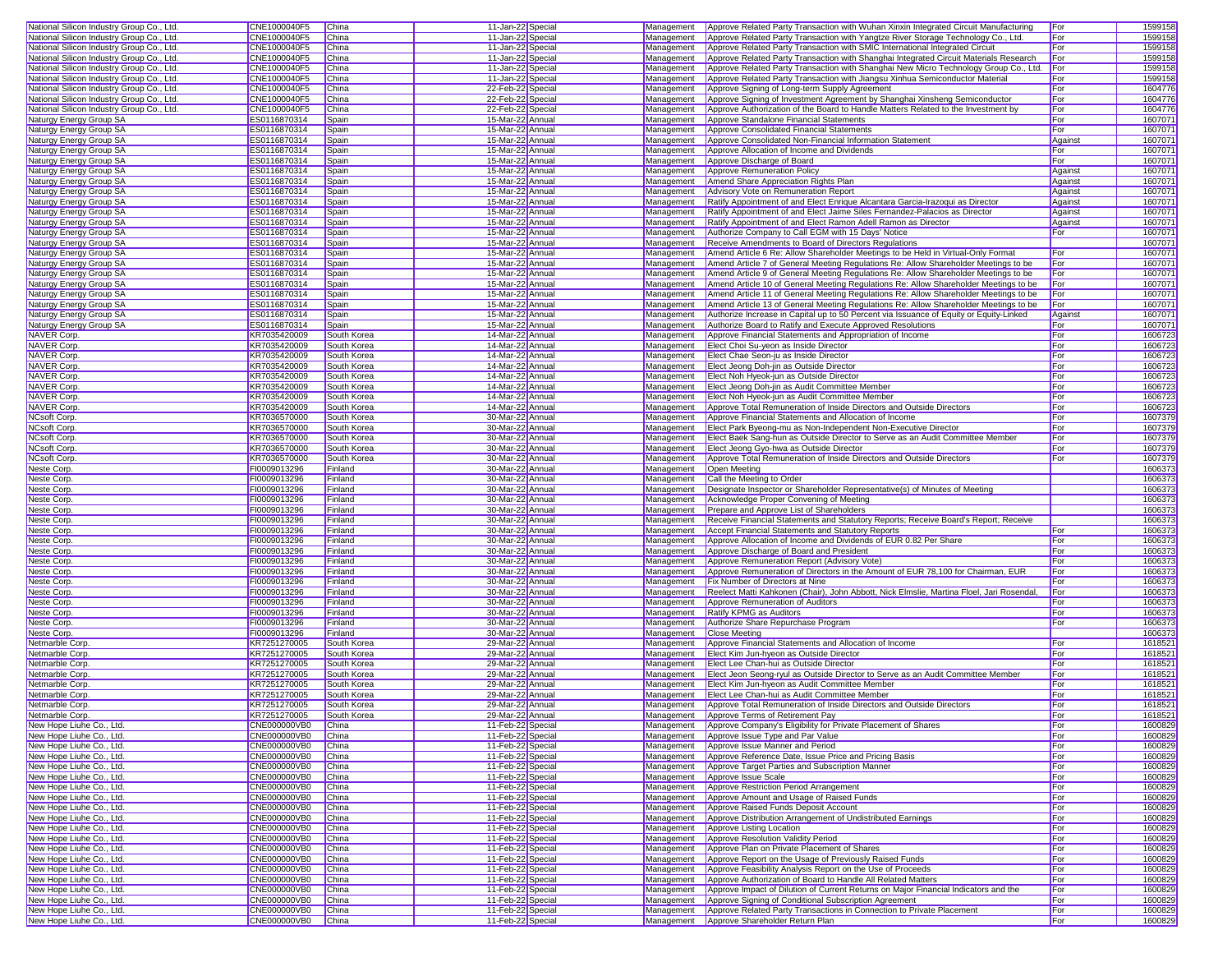| National Silicon Industry Group Co., Ltd.            | CNE1000040F5                        | China                      | 11-Jan-22 Special                    |                          | Management Approve Related Party Transaction with Wuhan Xinxin Integrated Circuit Manufacturing                                                                                         | For        | 1599158            |
|------------------------------------------------------|-------------------------------------|----------------------------|--------------------------------------|--------------------------|-----------------------------------------------------------------------------------------------------------------------------------------------------------------------------------------|------------|--------------------|
| National Silicon Industry Group Co., Ltd.            | CNE1000040F5                        | China                      | 11-Jan-22 Special                    | Management               | Approve Related Party Transaction with Yangtze River Storage Technology Co., Ltd.                                                                                                       | For        | 1599158            |
| National Silicon Industry Group Co., Ltd.            | CNE1000040F5                        | China                      | 11-Jan-22 Special                    | Management               | Approve Related Party Transaction with SMIC International Integrated Circuit                                                                                                            | For        | 1599158            |
| National Silicon Industry Group Co., Ltd.            | CNE1000040F5                        | China                      | 11-Jan-22 Special                    | Management               | Approve Related Party Transaction with Shanghai Integrated Circuit Materials Research                                                                                                   | For        | 1599158            |
| National Silicon Industry Group Co., Ltd.            | CNE1000040F5                        | China                      | 11-Jan-22 Special                    | Management               | Approve Related Party Transaction with Shanghai New Micro Technology Group Co., Ltd.                                                                                                    | For        | 1599158            |
| National Silicon Industry Group Co., Ltd.            | CNE1000040F5                        | China                      | 11-Jan-22 Special                    |                          | Management Approve Related Party Transaction with Jiangsu Xinhua Semiconductor Material                                                                                                 | For        | 1599158            |
| National Silicon Industry Group Co., Ltd.            | CNE1000040F5                        | China                      | 22-Feb-22 Special                    | Management               | Approve Signing of Long-term Supply Agreement                                                                                                                                           | For        | 1604776            |
| National Silicon Industry Group Co., Ltd.            | CNE1000040F5                        | China                      | 22-Feb-22 Special                    | Management               | Approve Signing of Investment Agreement by Shanghai Xinsheng Semiconductor                                                                                                              | For        | 1604776            |
| National Silicon Industry Group Co., Ltd.            | CNE1000040F5                        | China                      | 22-Feb-22 Special                    | Management               | Approve Authorization of the Board to Handle Matters Related to the Investment by                                                                                                       | For        | 1604776            |
| Naturgy Energy Group SA                              | ES0116870314                        | Spain                      | 15-Mar-22 Annual                     | Management               | Approve Standalone Financial Statements                                                                                                                                                 | For        | 1607071            |
| Naturgy Energy Group SA                              | ES0116870314                        | Spain                      | 15-Mar-22 Annual                     | Management               | Approve Consolidated Financial Statements                                                                                                                                               | For        | 1607071            |
| Naturgy Energy Group SA                              | ES0116870314                        | Spain                      | 15-Mar-22 Annual                     | Management               | Approve Consolidated Non-Financial Information Statement                                                                                                                                | Against    | 1607071            |
| Naturgy Energy Group SA                              | ES0116870314                        | Spain                      | 15-Mar-22 Annual                     | Management               | Approve Allocation of Income and Dividends                                                                                                                                              | For        | 1607071            |
| Naturgy Energy Group SA                              | ES0116870314                        | Spain                      | 15-Mar-22 Annual                     | Management               | Approve Discharge of Board                                                                                                                                                              | For        | 1607071            |
| Naturgy Energy Group SA                              | ES0116870314                        | Spain                      | 15-Mar-22 Annual                     | Management               | Approve Remuneration Policy                                                                                                                                                             | Against    | 1607071            |
| Naturgy Energy Group SA                              | ES0116870314                        | Spain                      | 15-Mar-22 Annual                     |                          | Management   Amend Share Appreciation Rights Plan                                                                                                                                       | Against    | 1607071            |
| Naturgy Energy Group SA                              | ES0116870314                        | Spain                      | 15-Mar-22 Annual                     | Management               | Advisory Vote on Remuneration Report                                                                                                                                                    | Against    | 1607071            |
| Naturgy Energy Group SA                              | ES0116870314                        | Spain                      | 15-Mar-22 Annual                     | Management               | Ratify Appointment of and Elect Enrique Alcantara Garcia-Irazoqui as Director                                                                                                           | Against    | 1607071            |
| Naturgy Energy Group SA                              | ES0116870314                        | Spain                      | 15-Mar-22 Annual                     | Management               | Ratify Appointment of and Elect Jaime Siles Fernandez-Palacios as Director                                                                                                              | Against    | 1607071            |
| Naturgy Energy Group SA                              | ES0116870314                        | Spain                      | 15-Mar-22 Annual                     | Management               | Ratify Appointment of and Elect Ramon Adell Ramon as Director                                                                                                                           | Against    | 1607071            |
| Naturgy Energy Group SA                              | ES0116870314                        | Spain                      | 15-Mar-22 Annual                     | Management               | Authorize Company to Call EGM with 15 Days' Notice                                                                                                                                      | For        | 1607071            |
| Naturgy Energy Group SA                              | ES0116870314                        | Spain                      | 15-Mar-22 Annual                     | Management               | Receive Amendments to Board of Directors Regulations                                                                                                                                    |            | 1607071            |
| Naturgy Energy Group SA                              | ES0116870314                        | Spain                      | 15-Mar-22 Annual                     | Management               | Amend Article 6 Re: Allow Shareholder Meetings to be Held in Virtual-Only Format                                                                                                        | For        | 1607071            |
| Naturgy Energy Group SA                              | ES0116870314                        | Spain                      | 15-Mar-22 Annual                     | Management               | Amend Article 7 of General Meeting Regulations Re: Allow Shareholder Meetings to be                                                                                                     | For        | 1607071            |
| Naturgy Energy Group SA                              | ES0116870314                        | Spain                      | 15-Mar-22 Annual                     | Management               | Amend Article 9 of General Meeting Regulations Re: Allow Shareholder Meetings to be                                                                                                     | For        | 1607071            |
| Naturgy Energy Group SA                              | ES0116870314<br>ES0116870314        | Spain                      | 15-Mar-22 Annual                     | Management               | Management Amend Article 10 of General Meeting Regulations Re: Allow Shareholder Meetings to be<br>Amend Article 11 of General Meeting Regulations Re: Allow Shareholder Meetings to be | For<br>For | 1607071<br>1607071 |
| Naturgy Energy Group SA<br>Naturgy Energy Group SA   | ES0116870314                        | Spain<br>Spain             | 15-Mar-22 Annual<br>15-Mar-22 Annual | Management               | Amend Article 13 of General Meeting Regulations Re: Allow Shareholder Meetings to be                                                                                                    | For        | 1607071            |
| Naturgy Energy Group SA                              | ES0116870314                        | Spain                      | 15-Mar-22 Annual                     | Management               | Authorize Increase in Capital up to 50 Percent via Issuance of Equity or Equity-Linked                                                                                                  | Against    | 1607071            |
| Naturgy Energy Group SA                              | ES0116870314                        | Spain                      | 15-Mar-22 Annual                     | Management               | Authorize Board to Ratify and Execute Approved Resolutions                                                                                                                              | For        | 1607071            |
| <b>NAVER Corp.</b>                                   | KR7035420009                        | South Korea                | 14-Mar-22 Annual                     | Management               | Approve Financial Statements and Appropriation of Income                                                                                                                                | For        | 1606723            |
| NAVER Corp.                                          | KR7035420009                        | South Korea                | 14-Mar-22 Annual                     | Management               | Elect Choi Su-yeon as Inside Director                                                                                                                                                   | For        | 1606723            |
| <b>NAVER Corp.</b>                                   | KR7035420009                        | South Korea                | 14-Mar-22 Annual                     | Management               | Elect Chae Seon-ju as Inside Director                                                                                                                                                   | For        | 1606723            |
| NAVER Corp.                                          | KR7035420009                        | South Korea                | 14-Mar-22 Annual                     | Management               | Elect Jeong Doh-jin as Outside Director                                                                                                                                                 | For        | 1606723            |
| NAVER Corp.                                          | KR7035420009                        | South Korea                | 14-Mar-22 Annual                     | Management               | Elect Noh Hyeok-jun as Outside Director                                                                                                                                                 | For        | 1606723            |
| <b>NAVER Corp.</b>                                   | KR7035420009                        | South Korea                | 14-Mar-22 Annual                     |                          | Management   Elect Jeong Doh-jin as Audit Committee Member                                                                                                                              | For        | 1606723            |
| NAVER Corp.                                          | KR7035420009                        | South Korea                | 14-Mar-22 Annual                     | Management               | Elect Noh Hyeok-jun as Audit Committee Member                                                                                                                                           | For        | 1606723            |
| <b>NAVER Corp.</b>                                   | KR7035420009                        | South Korea                | 14-Mar-22 Annual                     | Management               | Approve Total Remuneration of Inside Directors and Outside Directors                                                                                                                    | For        | 1606723            |
| NCsoft Corp.                                         | KR7036570000                        | South Korea                | 30-Mar-22 Annual                     | Management               | Approve Financial Statements and Allocation of Income                                                                                                                                   | For        | 1607379            |
| NCsoft Corp.                                         | KR7036570000                        | South Korea                | 30-Mar-22 Annual                     | Management               | Elect Park Byeong-mu as Non-Independent Non-Executive Director                                                                                                                          | For        | 1607379            |
| <b>NCsoft Corp.</b>                                  | KR7036570000                        | South Korea                | 30-Mar-22 Annual                     | Management               | Elect Baek Sang-hun as Outside Director to Serve as an Audit Committee Member                                                                                                           | For        | 1607379            |
| <b>NCsoft Corp</b>                                   | KR7036570000                        | South Korea                | 30-Mar-22 Annual                     | Management               | Elect Jeong Gyo-hwa as Outside Director                                                                                                                                                 | For        | 1607379            |
| <b>NCsoft Corp</b>                                   | KR7036570000                        | South Korea                | 30-Mar-22 Annual                     | Management               | Approve Total Remuneration of Inside Directors and Outside Directors                                                                                                                    | For        | 1607379            |
| Neste Corp.                                          | FI0009013296                        | Finland                    | 30-Mar-22 Annual                     | Management               | Open Meeting                                                                                                                                                                            |            | 1606373            |
| Neste Corp.                                          | FI0009013296                        | Finland                    | 30-Mar-22 Annual                     | Management               | Call the Meeting to Order                                                                                                                                                               |            | 1606373            |
| Neste Corp.                                          | FI0009013296                        | Finland                    | 30-Mar-22 Annual                     | Management               | Designate Inspector or Shareholder Representative(s) of Minutes of Meeting                                                                                                              |            | 1606373            |
| Neste Corp                                           | FI0009013296                        | Finland                    | 30-Mar-22 Annual                     | Management               | Acknowledge Proper Convening of Meeting                                                                                                                                                 |            | 1606373            |
| Neste Corp.                                          | FI0009013296                        | Finland                    | 30-Mar-22 Annual                     | Management               | Prepare and Approve List of Shareholders                                                                                                                                                |            | 1606373            |
| Neste Corp                                           | FI0009013296                        | Finland                    | 30-Mar-22 Annual                     | Management               | Receive Financial Statements and Statutory Reports; Receive Board's Report; Receive                                                                                                     |            | 1606373            |
| Neste Corp                                           | FI0009013296                        | Finland                    | 30-Mar-22 Annual                     | Management               | Accept Financial Statements and Statutory Reports                                                                                                                                       | For        | 1606373            |
| Neste Corp                                           | FI0009013296                        | Finland                    | 30-Mar-22 Annual                     | Management               | Approve Allocation of Income and Dividends of EUR 0.82 Per Share                                                                                                                        | For        | 1606373            |
| Neste Corp                                           | FI0009013296                        | Finland                    | 30-Mar-22 Annual                     | Management               | Approve Discharge of Board and President                                                                                                                                                | For        | 1606373            |
| Neste Corp.                                          | FI0009013296                        | Finland                    | 30-Mar-22 Annual                     | Management               | Approve Remuneration Report (Advisory Vote)                                                                                                                                             | For        | 1606373            |
| Neste Corp                                           | FI0009013296                        | Finland                    | 30-Mar-22 Annual                     | Management               | Approve Remuneration of Directors in the Amount of EUR 78,100 for Chairman, EUR                                                                                                         | For        | 1606373            |
| Neste Corp.                                          | FI0009013296                        | Finland                    | 30-Mar-22 Annual                     | Management               | <b>Fix Number of Directors at Nine</b>                                                                                                                                                  | For        | 1606373            |
| Neste Corp.                                          | FI0009013296                        | Finland                    | 30-Mar-22 Annual                     | Management               | Reelect Matti Kahkonen (Chair), John Abbott, Nick Elmslie, Martina Floel, Jari Rosendal                                                                                                 | For        | 1606373            |
| Neste Corp                                           | FI0009013296                        | Finland                    | 30-Mar-22 Annual                     | Management               | Approve Remuneration of Auditors                                                                                                                                                        | For        | 1606373            |
| Neste Corp.                                          | FI0009013296                        | Finland                    | 30-Mar-22 Annual                     | Management               | Ratify KPMG as Auditors                                                                                                                                                                 | For        | 1606373            |
| Neste Corp                                           | FI0009013296                        | Finland                    | 30-Mar-22 Annual                     | Management               | Authorize Share Repurchase Program                                                                                                                                                      | For        | 1606373            |
| Neste Corp.                                          | FI0009013296                        | Finland                    | 30-Mar-22 Annual                     | Management               | <b>Close Meeting</b>                                                                                                                                                                    |            | 1606373            |
| Netmarble Corp                                       | KR7251270005                        | South Korea                | 29-Mar-22 Annual                     | Management               | Approve Financial Statements and Allocation of Income                                                                                                                                   | For        | 1618521            |
| Netmarble Corp.                                      | KR7251270005                        | South Korea                | 29-Mar-22 Annual                     | Management               | Elect Kim Jun-hyeon as Outside Director                                                                                                                                                 | For<br>For | 1618521            |
| Netmarble Corp<br>Netmarble Corp.                    | KR7251270005<br>KR7251270005        | South Korea<br>South Korea | 29-Mar-22 Annual<br>29-Mar-22 Annual | Management<br>Management | Elect Lee Chan-hui as Outside Director                                                                                                                                                  | For        | 1618521<br>1618521 |
| Netmarble Corp.                                      | KR7251270005                        | South Korea                | 29-Mar-22 Annual                     | Management               | Elect Jeon Seong-ryul as Outside Director to Serve as an Audit Committee Member<br>Elect Kim Jun-hyeon as Audit Committee Member                                                        | For        | 1618521            |
| Netmarble Corp.                                      | KR7251270005                        | South Korea                | 29-Mar-22 Annual                     |                          | Management Elect Lee Chan-hui as Audit Committee Member                                                                                                                                 | For        | 1618521            |
| Netmarble Corp.                                      | KR7251270005                        | South Korea                | 29-Mar-22 Annual                     |                          | Management Approve Total Remuneration of Inside Directors and Outside Directors                                                                                                         | For        | 1618521            |
| Netmarble Corp.                                      | KR7251270005                        | South Korea                | 29-Mar-22 Annual                     |                          | Management Approve Terms of Retirement Pay                                                                                                                                              | For        | 1618521            |
| New Hope Liuhe Co., Ltd.                             | CNE000000VB0                        | China                      | 11-Feb-22 Special                    | Management               | Approve Company's Eligibility for Private Placement of Shares                                                                                                                           | For        | 1600829            |
| New Hope Liuhe Co., Ltd.                             | <b>CNE000000VB0</b>                 | China                      | 11-Feb-22 Special                    | Management               | Approve Issue Type and Par Value                                                                                                                                                        | For        | 1600829            |
| New Hope Liuhe Co., Ltd.                             | <b>CNE000000VB0</b>                 | <b>China</b>               | 11-Feb-22 Special                    |                          | Management Approve Issue Manner and Period                                                                                                                                              | For        | 1600829            |
| New Hope Liuhe Co., Ltd.                             | CNE000000VB0                        | China                      | 11-Feb-22 Special                    | Management               | Approve Reference Date, Issue Price and Pricing Basis                                                                                                                                   | For        | 1600829            |
| New Hope Liuhe Co., Ltd.                             | CNE000000VB0                        | China                      | 11-Feb-22 Special                    | Management               | Approve Target Parties and Subscription Manner                                                                                                                                          | For        | 1600829            |
| New Hope Liuhe Co., Ltd.                             | CNE000000VB0                        | China                      | 11-Feb-22 Special                    | Management               | Approve Issue Scale                                                                                                                                                                     | For        | 1600829            |
| New Hope Liuhe Co., Ltd.                             | <b>CNE000000VB0</b>                 | China                      | 11-Feb-22 Special                    | Management               | Approve Restriction Period Arrangement                                                                                                                                                  | For        | 1600829            |
| New Hope Liuhe Co., Ltd.                             | <b>CNE000000VB0</b>                 | <b>China</b>               | 11-Feb-22 Special                    |                          | Management Approve Amount and Usage of Raised Funds                                                                                                                                     | For        | 1600829            |
| New Hope Liuhe Co., Ltd.                             | CNE000000VB0                        | China                      | 11-Feb-22 Special                    | Management               | Approve Raised Funds Deposit Account                                                                                                                                                    | For        | 1600829            |
| New Hope Liuhe Co., Ltd.                             | CNE000000VB0                        | <b>China</b>               | 11-Feb-22 Special                    |                          | Management Approve Distribution Arrangement of Undistributed Earnings                                                                                                                   | For        | 1600829            |
| New Hope Liuhe Co., Ltd.                             | CNE000000VB0                        | China                      | 11-Feb-22 Special                    | Management               | Approve Listing Location                                                                                                                                                                | For        | 1600829            |
| New Hope Liuhe Co., Ltd.                             | CNE000000VB0                        | China                      | 11-Feb-22 Special                    | Management               | Approve Resolution Validity Period                                                                                                                                                      | For        | 1600829            |
| New Hope Liuhe Co., Ltd.                             | CNE000000VB0                        | China                      | 11-Feb-22 Special                    |                          | Management Approve Plan on Private Placement of Shares                                                                                                                                  | For        | 1600829            |
| New Hope Liuhe Co., Ltd.                             | CNE000000VB0                        | China                      | 11-Feb-22 Special                    | Management               | Approve Report on the Usage of Previously Raised Funds                                                                                                                                  | For        | 1600829            |
| New Hope Liuhe Co., Ltd.                             | CNE000000VB0                        | China                      | 11-Feb-22 Special                    | Management               | Approve Feasibility Analysis Report on the Use of Proceeds                                                                                                                              | For        | 1600829            |
| New Hope Liuhe Co., Ltd.                             | CNE000000VB0                        | China                      | 11-Feb-22 Special                    |                          | Management Approve Authorization of Board to Handle All Related Matters                                                                                                                 | For        | 1600829            |
| New Hope Liuhe Co., Ltd.                             | CNE000000VB0                        | China                      | 11-Feb-22 Special                    | Management               | Approve Impact of Dilution of Current Returns on Major Financial Indicators and the                                                                                                     | For        | 1600829            |
| New Hope Liuhe Co., Ltd.                             | <b>CNE000000VB0</b>                 | <b>China</b>               | 11-Feb-22 Special                    |                          | Management Approve Signing of Conditional Subscription Agreement                                                                                                                        | For        | 1600829            |
|                                                      |                                     | China                      | 11-Feb-22 Special                    |                          | Management Approve Related Party Transactions in Connection to Private Placement                                                                                                        | For        | 1600829            |
| New Hope Liuhe Co., Ltd.<br>New Hope Liuhe Co., Ltd. | CNE000000VB0<br><b>CNE000000VB0</b> | China                      | 11-Feb-22 Special                    |                          | Management Approve Shareholder Return Plan                                                                                                                                              | For        | 1600829            |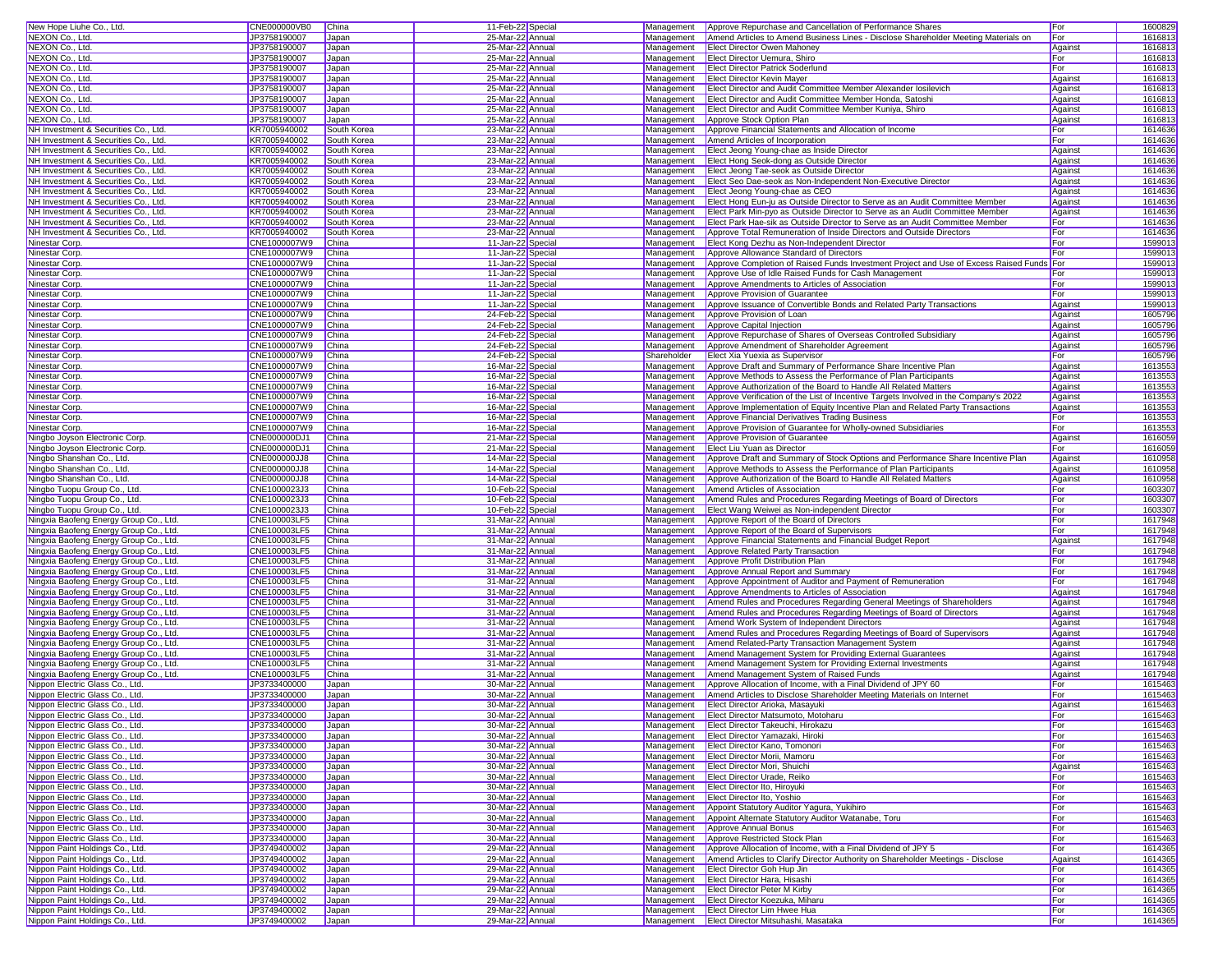| 25-Mar-22 Annual<br>For<br>1616813<br>NEXON Co., Ltd.<br>JP3758190007<br>Japan<br>Amend Articles to Amend Business Lines - Disclose Shareholder Meeting Materials on<br>Management<br>1616813<br>NEXON Co., Ltd.<br>JP3758190007<br>Japan<br>25-Mar-22 Annual<br>Management<br><b>Elect Director Owen Mahonev</b><br>Against<br>NEXON Co., Ltd.<br>25-Mar-22 Annual<br>For<br>1616813<br>JP3758190007<br>Japan<br>Management<br>Elect Director Uemura, Shiro<br>1616813<br>NEXON Co., Ltd.<br>JP3758190007<br>25-Mar-22 Annual<br>For<br>Japan<br>Management <b>Elect Director Patrick Soderlund</b><br>NEXON Co., Ltd.<br>25-Mar-22 Annual<br>1616813<br>JP3758190007<br>Japan<br>Management<br><b>Elect Director Kevin Mayer</b><br>Against<br>NEXON Co., Ltd.<br>25-Mar-22 Annual<br>Elect Director and Audit Committee Member Alexander losilevich<br>Against<br>1616813<br>JP3758190007<br>Japan<br>Management<br>1616813<br>NEXON Co., Ltd.<br>JP3758190007<br>Japan<br>25-Mar-22 Annual<br>Management<br>Elect Director and Audit Committee Member Honda, Satoshi<br>Against<br>25-Mar-22 Annual<br>Elect Director and Audit Committee Member Kuniya, Shiro<br>Against<br>1616813<br>JP3758190007<br>Japan<br>Management<br>1616813<br>JP3758190007<br>Japan<br>25-Mar-22 Annual<br>Management<br>Approve Stock Option Plan<br>Against<br>23-Mar-22 Annual<br>Approve Financial Statements and Allocation of Income<br>1614636<br>NH Investment & Securities Co., Ltd.<br>KR7005940002<br>South Korea<br>Management<br>For<br>For<br>1614636<br>NH Investment & Securities Co., Ltd.<br>KR7005940002<br>South Korea<br>23-Mar-22 Annual<br>Amend Articles of Incorporation<br>Management<br>1614636<br>NH Investment & Securities Co., Ltd.<br>KR7005940002<br>South Korea<br>23-Mar-22 Annual<br>Management<br>Elect Jeong Young-chae as Inside Director<br>Against<br>KR7005940002<br>23-Mar-22 Annual<br>Elect Hong Seok-dong as Outside Director<br>Against<br>1614636<br>NH Investment & Securities Co., Ltd.<br>South Korea<br>Management<br>1614636<br>KR7005940002<br>South Korea<br>23-Mar-22 Annual<br>Elect Jeong Tae-seok as Outside Director<br>NH Investment & Securities Co., Ltd.<br>Management<br>Against<br>KR7005940002<br>23-Mar-22 Annual<br>1614636<br>NH Investment & Securities Co., Ltd.<br>South Korea<br>Management<br>Elect Seo Dae-seok as Non-Independent Non-Executive Director<br>Against<br>1614636<br>KR7005940002<br>23-Mar-22 Annual<br>Against<br>NH Investment & Securities Co., Ltd.<br>South Korea<br>Management<br>Elect Jeong Young-chae as CEO<br>1614636<br>NH Investment & Securities Co., Ltd.<br>KR7005940002<br>South Korea<br>23-Mar-22 Annual<br>Management<br>Elect Hong Eun-ju as Outside Director to Serve as an Audit Committee Member<br>Against<br>KR7005940002<br>23-Mar-22 Annual<br>Elect Park Min-pyo as Outside Director to Serve as an Audit Committee Member<br>Against<br>1614636<br>NH Investment & Securities Co., Ltd.<br>South Korea<br>Management<br>1614636<br>KR7005940002<br>NH Investment & Securities Co., Ltd<br>South Korea<br>23-Mar-22 Annual<br>Management<br>Elect Park Hae-sik as Outside Director to Serve as an Audit Committee Member<br>For<br>1614636<br>NH Investment & Securities Co., Ltd.<br>KR7005940002<br>South Korea<br>23-Mar-22 Annual<br>Management<br>Approve Total Remuneration of Inside Directors and Outside Directors<br>For<br>1599013<br>For<br>CNE1000007W9<br>11-Jan-22 Special<br>Elect Kong Dezhu as Non-Independent Director<br>Ninestar Corp.<br>China<br>Management<br>For<br>1599013<br>Ninestar Corp.<br>CNE1000007W9<br>China<br>11-Jan-22 Special<br>Management<br>Approve Allowance Standard of Directors<br>CNE1000007W9<br>11-Jan-22 Special<br>Approve Completion of Raised Funds Investment Project and Use of Excess Raised Funds For<br>1599013<br>Ninestar Corp.<br>China<br>Management<br>1599013<br>CNE1000007W9<br>China<br>11-Jan-22 Special<br>Management<br>Approve Use of Idle Raised Funds for Cash Management<br>For<br>11-Jan-22 Special<br>For<br>1599013<br>CNE1000007W9<br>China<br>Management<br>Approve Amendments to Articles of Association<br>1599013<br>11-Jan-22 Special<br>CNE1000007W9<br>China<br>Management<br>Approve Provision of Guarantee<br>For<br>1599013<br>CNE1000007W9<br>China<br>11-Jan-22 Special<br>Management<br>Approve Issuance of Convertible Bonds and Related Party Transactions<br>Against<br>Against<br>1605796<br>CNE1000007W9<br>China<br>24-Feb-22 Special<br>Management<br>Approve Provision of Loan<br>1605796<br>CNE1000007W9<br>China<br>24-Feb-22 Special<br>Management<br>Approve Capital Injection<br>Against<br>24-Feb-22 Special<br>Against<br>1605796<br>CNE1000007W9<br>China<br>Management<br>Approve Repurchase of Shares of Overseas Controlled Subsidiary<br>24-Feb-22 Special<br>Against<br>1605796<br>Ninestar Corp.<br>CNE1000007W9<br>China<br>Approve Amendment of Shareholder Agreement<br>Management<br>1605796<br>CNE1000007W9<br>China<br>24-Feb-22 Special<br>Shareholder<br>Elect Xia Yuexia as Supervisor<br>For<br>Ninestar Corp.<br>Approve Draft and Summary of Performance Share Incentive Plan<br>Against<br>1613553<br>Ninestar Corp.<br>CNE1000007W9<br>China<br>16-Mar-22 Special<br>Management<br>1613553<br>CNE1000007W9<br>Ninestar Corp.<br>China<br>16-Mar-22 Special<br>Management<br>Approve Methods to Assess the Performance of Plan Participants<br>Against<br>Against<br>1613553<br>Ninestar Corp.<br>CNE1000007W9<br>China<br>16-Mar-22 Special<br>Management<br>Approve Authorization of the Board to Handle All Related Matters<br>Against<br>1613553<br>CNE1000007W9<br>China<br>16-Mar-22 Special<br>Management<br>Approve Verification of the List of Incentive Targets Involved in the Company's 2022<br>Ninestar Corp.<br>1613553<br>Ninestar Corp.<br>CNE1000007W9<br>China<br>16-Mar-22 Special<br>Management<br>Approve Implementation of Equity Incentive Plan and Related Party Transactions<br>Against<br>Approve Financial Derivatives Trading Business<br>For<br>1613553<br>Ninestar Corp.<br>CNE1000007W9<br>China<br>16-Mar-22 Special<br>Management<br>1613553<br>For<br>Ninestar Corp.<br>CNE1000007W9<br>China<br>16-Mar-22 Special<br>Management<br>Approve Provision of Guarantee for Wholly-owned Subsidiaries<br>CNE000000DJ1<br>Against<br>1616059<br>Ningbo Joyson Electronic Corp.<br>China<br>21-Mar-22 Special<br>Management<br>Approve Provision of Guarantee<br>For<br>1616059<br>CNE000000DJ1<br>China<br>21-Mar-22 Special<br>Elect Liu Yuan as Director<br>Ningbo Joyson Electronic Corp.<br>Management<br>1610958<br>Ningbo Shanshan Co., Ltd.<br>CNE000000JJ8<br>China<br>14-Mar-22 Special<br>Approve Draft and Summary of Stock Options and Performance Share Incentive Plan<br>Against<br>Management<br>14-Mar-22 Special<br>Approve Methods to Assess the Performance of Plan Participants<br>Against<br>1610958<br>Ningbo Shanshan Co., Ltd.<br>CNE000000JJ8<br>China<br>Management<br>1610958<br>CNE000000JJ8<br>Approve Authorization of the Board to Handle All Related Matters<br>Ningbo Shanshan Co., Ltd.<br>China<br>14-Mar-22 Special<br>Management<br>Against<br>10-Feb-22 Special<br>1603307<br>Ningbo Tuopu Group Co., Ltd.<br>CNE1000023J3<br>China<br>Management<br>Amend Articles of Association<br>For<br>1603307<br>Amend Rules and Procedures Regarding Meetings of Board of Directors<br>Ningbo Tuopu Group Co., Ltd.<br>CNE1000023J3<br>China<br>10-Feb-22 Special<br>Management<br>For<br>1603307<br>Ningbo Tuopu Group Co., Ltd.<br>CNE1000023J3<br>China<br>10-Feb-22 Special<br>Management<br>Elect Wang Weiwei as Non-independent Director<br>For<br>CNE100003LF5<br>For<br>1617948<br>Ningxia Baofeng Energy Group Co., Ltd.<br>China<br>31-Mar-22 Annual<br>Management<br>Approve Report of the Board of Directors<br>1617948<br>For<br>Ningxia Baofeng Energy Group Co., Ltd.<br>CNE100003LF5<br>China<br>31-Mar-22 Annual<br>Management<br>Approve Report of the Board of Supervisors<br>1617948<br>Ningxia Baofeng Energy Group Co., Ltd.<br>CNE100003LF5<br>China<br>31-Mar-22 Annual<br>Management<br>Approve Financial Statements and Financial Budget Report<br>Against<br>1617948<br>CNE100003LF5<br>China<br>31-Mar-22 Annual<br>Approve Related Party Transaction<br>For<br>Ningxia Baofeng Energy Group Co., Ltd.<br>Management<br>1617948<br>Ningxia Baofeng Energy Group Co., Ltd.<br>CNE100003LF5<br>China<br>31-Mar-22 Annual<br>Management<br>Approve Profit Distribution Plan<br>For<br>CNE100003LF5<br>31-Mar-22 Annual<br>Approve Annual Report and Summary<br>For<br>1617948<br>Ningxia Baofeng Energy Group Co., Ltd.<br>China<br>Management<br>1617948<br>CNE100003LF5<br>China<br>31-Mar-22 Annual<br>For<br>Ningxia Baofeng Energy Group Co., Ltd.<br>Management<br>Approve Appointment of Auditor and Payment of Remuneration<br>CNE100003LF5<br>31-Mar-22 Annual<br>1617948<br>Ningxia Baofeng Energy Group Co., Ltd.<br>China<br>Management<br>Approve Amendments to Articles of Association<br>Against<br>1617948<br>31-Mar-22 Annual<br>Against<br>Ningxia Baofeng Energy Group Co., Ltd.<br>CNE100003LF5<br>China<br>Management<br>Amend Rules and Procedures Regarding General Meetings of Shareholders<br>1617948<br>CNE100003LF5<br>China<br>31-Mar-22 Annual<br>Management<br>Amend Rules and Procedures Regarding Meetings of Board of Directors<br>Against<br>31-Mar-22 Annual<br>Amend Work System of Independent Directors<br>Against<br>1617948<br>CNE100003LF5<br>China<br>Management<br>1617948<br>Amend Rules and Procedures Regarding Meetings of Board of Supervisors<br>Against<br>CNE100003LF5<br>China<br>31-Mar-22 Annual<br>Management<br>31-Mar-22 Annual<br>Against<br>1617948<br>CNE100003LF5<br>China<br>Management<br>Amend Related-Party Transaction Management System<br>Against<br>1617948<br>CNE100003LF5<br>China<br>31-Mar-22 Annual<br>Amend Management System for Providing External Guarantees<br>Management<br>1617948<br>Ningxia Baofeng Energy Group Co., Ltd.<br>CNE100003LF5<br>China<br>31-Mar-22 Annual<br>Management<br>Amend Management System for Providing External Investments<br>Against<br>31-Mar-22 Annual<br>Amend Management System of Raised Funds<br>Against<br>1617948<br>CNE100003LF5<br>China<br>Management<br>1615463<br>JP3733400000<br>30-Mar-22 Annual<br>Japan<br>Management<br>Approve Allocation of Income, with a Final Dividend of JPY 60<br>For<br>Amend Articles to Disclose Shareholder Meeting Materials on Internet<br>1615463<br>JP3733400000<br>Japan<br>30-Mar-22 Annual<br>Management<br>For<br>JP3733400000<br>30-Mar-22 Annual<br>Against<br>1615463<br>Japan<br>Management Elect Director Arioka, Masayuki<br>1615463<br>JP3733400000<br>Japan<br>30-Mar-22 Annual<br>Management Elect Director Matsumoto, Motoharu<br>For<br>JP3733400000<br>30-Mar-22 Annual<br>For<br>1615463<br>Japan<br>Management Elect Director Takeuchi, Hirokazu<br>For<br>1615463<br>JP3733400000<br>Japan<br>30-Mar-22 Annual<br>Management Elect Director Yamazaki, Hiroki<br>JP3733400000<br>30-Mar-22 Annual<br>Management Elect Director Kano, Tomonori<br>For<br>1615463<br>Japan<br>1615463<br>JP3733400000<br>30-Mar-22 Annual<br>Elect Director Morii, Mamoru<br>For<br>Japan<br>Management<br>1615463<br>UP3733400000<br>Japan<br>30-Mar-22 Annual<br>Management Elect Director Mori, Shuichi<br>Against<br>JP3733400000<br>Japan<br>30-Mar-22 Annual<br>Management Elect Director Urade, Reiko<br>For<br>1615463<br>1615463<br>JP3733400000<br>30-Mar-22 Annual<br>Management Elect Director Ito, Hiroyuki<br>For<br>Japan<br>JP3733400000<br>30-Mar-22 Annual<br>Elect Director Ito, Yoshio<br>1615463<br>Japan<br>Management<br>For<br>1615463<br>Nippon Electric Glass Co., Ltd.<br>JP3733400000<br>30-Mar-22 Annual<br>Appoint Statutory Auditor Yagura, Yukihiro<br>For<br>Japan<br>Management<br>JP3733400000<br>For<br>1615463<br>Japan<br>30-Mar-22 Annual<br>Management<br>Appoint Alternate Statutory Auditor Watanabe, Toru<br>Nippon Electric Glass Co., Ltd.<br>JP3733400000<br>Japan<br>30-Mar-22 Annual<br>Management<br>Approve Annual Bonus<br>For<br>1615463<br>For<br>1615463<br>JP3733400000<br>30-Mar-22 Annual<br>Management<br>Approve Restricted Stock Plan<br>Japan<br>JP3749400002<br>29-Mar-22 Annual<br>Approve Allocation of Income, with a Final Dividend of JPY 5<br>For<br>1614365<br>Japan<br>Management<br>JP3749400002<br>29-Mar-22 Annual<br>Amend Articles to Clarify Director Authority on Shareholder Meetings - Disclose<br>Against<br>1614365<br>Japan<br>Management<br>JP3749400002<br>29-Mar-22 Annual<br>1614365<br>Japan<br>Management Elect Director Goh Hup Jin<br>For<br>Nippon Paint Holdings Co., Ltd.<br>JP3749400002<br>Japan<br>29-Mar-22 Annual<br>Management Elect Director Hara, Hisashi<br>For<br>1614365<br>JP3749400002<br>1614365<br>Nippon Paint Holdings Co., Ltd.<br>Japan<br>29-Mar-22 Annual<br>Management Elect Director Peter M Kirby<br>For<br>Nippon Paint Holdings Co., Ltd.<br>JP3749400002<br>29-Mar-22 Annual<br>Elect Director Koezuka, Miharu<br>For<br>1614365<br>Japan<br>Management<br>Nippon Paint Holdings Co., Ltd.<br>JP3749400002<br>Japan<br>29-Mar-22 Annual<br>Management   Elect Director Lim Hwee Hua<br>For<br>1614365<br>29-Mar-22 Annual<br>1614365<br>JP3749400002<br>Management Elect Director Mitsuhashi, Masataka<br>Nippon Paint Holdings Co., Ltd.<br>Japan<br>For | New Hope Liuhe Co., Ltd.               | CNE000000VB0 | China | 11-Feb-22 Special | Management | Approve Repurchase and Cancellation of Performance Shares | For | 1600829 |  |
|-------------------------------------------------------------------------------------------------------------------------------------------------------------------------------------------------------------------------------------------------------------------------------------------------------------------------------------------------------------------------------------------------------------------------------------------------------------------------------------------------------------------------------------------------------------------------------------------------------------------------------------------------------------------------------------------------------------------------------------------------------------------------------------------------------------------------------------------------------------------------------------------------------------------------------------------------------------------------------------------------------------------------------------------------------------------------------------------------------------------------------------------------------------------------------------------------------------------------------------------------------------------------------------------------------------------------------------------------------------------------------------------------------------------------------------------------------------------------------------------------------------------------------------------------------------------------------------------------------------------------------------------------------------------------------------------------------------------------------------------------------------------------------------------------------------------------------------------------------------------------------------------------------------------------------------------------------------------------------------------------------------------------------------------------------------------------------------------------------------------------------------------------------------------------------------------------------------------------------------------------------------------------------------------------------------------------------------------------------------------------------------------------------------------------------------------------------------------------------------------------------------------------------------------------------------------------------------------------------------------------------------------------------------------------------------------------------------------------------------------------------------------------------------------------------------------------------------------------------------------------------------------------------------------------------------------------------------------------------------------------------------------------------------------------------------------------------------------------------------------------------------------------------------------------------------------------------------------------------------------------------------------------------------------------------------------------------------------------------------------------------------------------------------------------------------------------------------------------------------------------------------------------------------------------------------------------------------------------------------------------------------------------------------------------------------------------------------------------------------------------------------------------------------------------------------------------------------------------------------------------------------------------------------------------------------------------------------------------------------------------------------------------------------------------------------------------------------------------------------------------------------------------------------------------------------------------------------------------------------------------------------------------------------------------------------------------------------------------------------------------------------------------------------------------------------------------------------------------------------------------------------------------------------------------------------------------------------------------------------------------------------------------------------------------------------------------------------------------------------------------------------------------------------------------------------------------------------------------------------------------------------------------------------------------------------------------------------------------------------------------------------------------------------------------------------------------------------------------------------------------------------------------------------------------------------------------------------------------------------------------------------------------------------------------------------------------------------------------------------------------------------------------------------------------------------------------------------------------------------------------------------------------------------------------------------------------------------------------------------------------------------------------------------------------------------------------------------------------------------------------------------------------------------------------------------------------------------------------------------------------------------------------------------------------------------------------------------------------------------------------------------------------------------------------------------------------------------------------------------------------------------------------------------------------------------------------------------------------------------------------------------------------------------------------------------------------------------------------------------------------------------------------------------------------------------------------------------------------------------------------------------------------------------------------------------------------------------------------------------------------------------------------------------------------------------------------------------------------------------------------------------------------------------------------------------------------------------------------------------------------------------------------------------------------------------------------------------------------------------------------------------------------------------------------------------------------------------------------------------------------------------------------------------------------------------------------------------------------------------------------------------------------------------------------------------------------------------------------------------------------------------------------------------------------------------------------------------------------------------------------------------------------------------------------------------------------------------------------------------------------------------------------------------------------------------------------------------------------------------------------------------------------------------------------------------------------------------------------------------------------------------------------------------------------------------------------------------------------------------------------------------------------------------------------------------------------------------------------------------------------------------------------------------------------------------------------------------------------------------------------------------------------------------------------------------------------------------------------------------------------------------------------------------------------------------------------------------------------------------------------------------------------------------------------------------------------------------------------------------------------------------------------------------------------------------------------------------------------------------------------------------------------------------------------------------------------------------------------------------------------------------------------------------------------------------------------------------------------------------------------------------------------------------------------------------------------------------------------------------------------------------------------------------------------------------------------------------------------------------------------------------------------------------------------------------------------------------------------------------------------------------------------------------------------------------------------------------------------------------------------------------------------------------------------------------------------------------------------------------------------------------------------------------------------------------------------------------------------------------------------------------------------------------------------------------------------------------------------------------------------------------------------------------------------------------------------------------------------------------------------------------------------------------------------------------------------------------------------------------------------------------------------------------------------------------------------------------------------------------------------------------------------------------------------------------------------------------------------------------------------------------------------------------------------------------------------------------------------------------------------------------------------------------------------------------------------------------------------------------------------------------------------------------------------------------------------------------------------------------------------------------------------------------------------------------------------------------------------------------------------------------------------------------------------------------------------------------------------------------------------------------------------------------------------------------------------------------------------------------------------------------------------------------------------------------------------------------------------------------------------------------------------------------------------------------------------------------------------------------------------------------------------------------------------------------------------------------------------------------------------------------------------------------------------------------------------------------------------------------------------------------------------------------------------------------------------------------------------------------------------------------------------------------------------------------------------------------------------------------------------------------------------------------------------------------------------------------------------------------------------------------------------------------------------------------------------------------------------------------------------------------------------------------------------------------------------------------------------------------------------------------------------------------------------------------------------------------------------------------------------------------------------------------------------------------------------------------------------------------------------------------------------------------------------------------------------------------------------------------------------------------------------------------------------------------------------------------------------------------------------------------------------------------------------------------------------------------------------------------------------------------------------------------------------------------------------------------------------------------------------------------------------------------------------------------------------------------------------------------------------------------------------------------------------------------------------------------------------------------------------------------------------------------------------------------------------------------------------------------------------------------------------------------------------------------------------------------------------------------------------------------------------------------------------------------------------|----------------------------------------|--------------|-------|-------------------|------------|-----------------------------------------------------------|-----|---------|--|
|                                                                                                                                                                                                                                                                                                                                                                                                                                                                                                                                                                                                                                                                                                                                                                                                                                                                                                                                                                                                                                                                                                                                                                                                                                                                                                                                                                                                                                                                                                                                                                                                                                                                                                                                                                                                                                                                                                                                                                                                                                                                                                                                                                                                                                                                                                                                                                                                                                                                                                                                                                                                                                                                                                                                                                                                                                                                                                                                                                                                                                                                                                                                                                                                                                                                                                                                                                                                                                                                                                                                                                                                                                                                                                                                                                                                                                                                                                                                                                                                                                                                                                                                                                                                                                                                                                                                                                                                                                                                                                                                                                                                                                                                                                                                                                                                                                                                                                                                                                                                                                                                                                                                                                                                                                                                                                                                                                                                                                                                                                                                                                                                                                                                                                                                                                                                                                                                                                                                                                                                                                                                                                                                                                                                                                                                                                                                                                                                                                                                                                                                                                                                                                                                                                                                                                                                                                                                                                                                                                                                                                                                                                                                                                                                                                                                                                                                                                                                                                                                                                                                                                                                                                                                                                                                                                                                                                                                                                                                                                                                                                                                                                                                                                                                                                                                                                                                                                                                                                                                                                                                                                                                                                                                                                                                                                                                                                                                                                                                                                                                                                                                                                                                                                                                                                                                                                                                                                                                                                                                                                                                                                                                                                                                                                                                                                                                                                                                                                                                                                                                                                                                                                                                                                                                                                                                                                                                                                                                                                                                                                                                                                                                                                                                                                                                                                                                                                                                                                                                                                                                                                                                                                                                                                                                                                                                                                                                                                                                                                                                                                                                                                                                                                                                                                                                                                                                                                                                                                                                                                                                                                                                                                                                                                                                                                                                                                                                                                                                                                                                                                                                                                                                                                                                                                                                                                                                                                                                                                                                                                                                                                                                                                                                                                                                                                                                                                                                                                                                                                                                                                                                                                         |                                        |              |       |                   |            |                                                           |     |         |  |
|                                                                                                                                                                                                                                                                                                                                                                                                                                                                                                                                                                                                                                                                                                                                                                                                                                                                                                                                                                                                                                                                                                                                                                                                                                                                                                                                                                                                                                                                                                                                                                                                                                                                                                                                                                                                                                                                                                                                                                                                                                                                                                                                                                                                                                                                                                                                                                                                                                                                                                                                                                                                                                                                                                                                                                                                                                                                                                                                                                                                                                                                                                                                                                                                                                                                                                                                                                                                                                                                                                                                                                                                                                                                                                                                                                                                                                                                                                                                                                                                                                                                                                                                                                                                                                                                                                                                                                                                                                                                                                                                                                                                                                                                                                                                                                                                                                                                                                                                                                                                                                                                                                                                                                                                                                                                                                                                                                                                                                                                                                                                                                                                                                                                                                                                                                                                                                                                                                                                                                                                                                                                                                                                                                                                                                                                                                                                                                                                                                                                                                                                                                                                                                                                                                                                                                                                                                                                                                                                                                                                                                                                                                                                                                                                                                                                                                                                                                                                                                                                                                                                                                                                                                                                                                                                                                                                                                                                                                                                                                                                                                                                                                                                                                                                                                                                                                                                                                                                                                                                                                                                                                                                                                                                                                                                                                                                                                                                                                                                                                                                                                                                                                                                                                                                                                                                                                                                                                                                                                                                                                                                                                                                                                                                                                                                                                                                                                                                                                                                                                                                                                                                                                                                                                                                                                                                                                                                                                                                                                                                                                                                                                                                                                                                                                                                                                                                                                                                                                                                                                                                                                                                                                                                                                                                                                                                                                                                                                                                                                                                                                                                                                                                                                                                                                                                                                                                                                                                                                                                                                                                                                                                                                                                                                                                                                                                                                                                                                                                                                                                                                                                                                                                                                                                                                                                                                                                                                                                                                                                                                                                                                                                                                                                                                                                                                                                                                                                                                                                                                                                                                                                                                         |                                        |              |       |                   |            |                                                           |     |         |  |
|                                                                                                                                                                                                                                                                                                                                                                                                                                                                                                                                                                                                                                                                                                                                                                                                                                                                                                                                                                                                                                                                                                                                                                                                                                                                                                                                                                                                                                                                                                                                                                                                                                                                                                                                                                                                                                                                                                                                                                                                                                                                                                                                                                                                                                                                                                                                                                                                                                                                                                                                                                                                                                                                                                                                                                                                                                                                                                                                                                                                                                                                                                                                                                                                                                                                                                                                                                                                                                                                                                                                                                                                                                                                                                                                                                                                                                                                                                                                                                                                                                                                                                                                                                                                                                                                                                                                                                                                                                                                                                                                                                                                                                                                                                                                                                                                                                                                                                                                                                                                                                                                                                                                                                                                                                                                                                                                                                                                                                                                                                                                                                                                                                                                                                                                                                                                                                                                                                                                                                                                                                                                                                                                                                                                                                                                                                                                                                                                                                                                                                                                                                                                                                                                                                                                                                                                                                                                                                                                                                                                                                                                                                                                                                                                                                                                                                                                                                                                                                                                                                                                                                                                                                                                                                                                                                                                                                                                                                                                                                                                                                                                                                                                                                                                                                                                                                                                                                                                                                                                                                                                                                                                                                                                                                                                                                                                                                                                                                                                                                                                                                                                                                                                                                                                                                                                                                                                                                                                                                                                                                                                                                                                                                                                                                                                                                                                                                                                                                                                                                                                                                                                                                                                                                                                                                                                                                                                                                                                                                                                                                                                                                                                                                                                                                                                                                                                                                                                                                                                                                                                                                                                                                                                                                                                                                                                                                                                                                                                                                                                                                                                                                                                                                                                                                                                                                                                                                                                                                                                                                                                                                                                                                                                                                                                                                                                                                                                                                                                                                                                                                                                                                                                                                                                                                                                                                                                                                                                                                                                                                                                                                                                                                                                                                                                                                                                                                                                                                                                                                                                                                                                                                         |                                        |              |       |                   |            |                                                           |     |         |  |
|                                                                                                                                                                                                                                                                                                                                                                                                                                                                                                                                                                                                                                                                                                                                                                                                                                                                                                                                                                                                                                                                                                                                                                                                                                                                                                                                                                                                                                                                                                                                                                                                                                                                                                                                                                                                                                                                                                                                                                                                                                                                                                                                                                                                                                                                                                                                                                                                                                                                                                                                                                                                                                                                                                                                                                                                                                                                                                                                                                                                                                                                                                                                                                                                                                                                                                                                                                                                                                                                                                                                                                                                                                                                                                                                                                                                                                                                                                                                                                                                                                                                                                                                                                                                                                                                                                                                                                                                                                                                                                                                                                                                                                                                                                                                                                                                                                                                                                                                                                                                                                                                                                                                                                                                                                                                                                                                                                                                                                                                                                                                                                                                                                                                                                                                                                                                                                                                                                                                                                                                                                                                                                                                                                                                                                                                                                                                                                                                                                                                                                                                                                                                                                                                                                                                                                                                                                                                                                                                                                                                                                                                                                                                                                                                                                                                                                                                                                                                                                                                                                                                                                                                                                                                                                                                                                                                                                                                                                                                                                                                                                                                                                                                                                                                                                                                                                                                                                                                                                                                                                                                                                                                                                                                                                                                                                                                                                                                                                                                                                                                                                                                                                                                                                                                                                                                                                                                                                                                                                                                                                                                                                                                                                                                                                                                                                                                                                                                                                                                                                                                                                                                                                                                                                                                                                                                                                                                                                                                                                                                                                                                                                                                                                                                                                                                                                                                                                                                                                                                                                                                                                                                                                                                                                                                                                                                                                                                                                                                                                                                                                                                                                                                                                                                                                                                                                                                                                                                                                                                                                                                                                                                                                                                                                                                                                                                                                                                                                                                                                                                                                                                                                                                                                                                                                                                                                                                                                                                                                                                                                                                                                                                                                                                                                                                                                                                                                                                                                                                                                                                                                                                                                         |                                        |              |       |                   |            |                                                           |     |         |  |
|                                                                                                                                                                                                                                                                                                                                                                                                                                                                                                                                                                                                                                                                                                                                                                                                                                                                                                                                                                                                                                                                                                                                                                                                                                                                                                                                                                                                                                                                                                                                                                                                                                                                                                                                                                                                                                                                                                                                                                                                                                                                                                                                                                                                                                                                                                                                                                                                                                                                                                                                                                                                                                                                                                                                                                                                                                                                                                                                                                                                                                                                                                                                                                                                                                                                                                                                                                                                                                                                                                                                                                                                                                                                                                                                                                                                                                                                                                                                                                                                                                                                                                                                                                                                                                                                                                                                                                                                                                                                                                                                                                                                                                                                                                                                                                                                                                                                                                                                                                                                                                                                                                                                                                                                                                                                                                                                                                                                                                                                                                                                                                                                                                                                                                                                                                                                                                                                                                                                                                                                                                                                                                                                                                                                                                                                                                                                                                                                                                                                                                                                                                                                                                                                                                                                                                                                                                                                                                                                                                                                                                                                                                                                                                                                                                                                                                                                                                                                                                                                                                                                                                                                                                                                                                                                                                                                                                                                                                                                                                                                                                                                                                                                                                                                                                                                                                                                                                                                                                                                                                                                                                                                                                                                                                                                                                                                                                                                                                                                                                                                                                                                                                                                                                                                                                                                                                                                                                                                                                                                                                                                                                                                                                                                                                                                                                                                                                                                                                                                                                                                                                                                                                                                                                                                                                                                                                                                                                                                                                                                                                                                                                                                                                                                                                                                                                                                                                                                                                                                                                                                                                                                                                                                                                                                                                                                                                                                                                                                                                                                                                                                                                                                                                                                                                                                                                                                                                                                                                                                                                                                                                                                                                                                                                                                                                                                                                                                                                                                                                                                                                                                                                                                                                                                                                                                                                                                                                                                                                                                                                                                                                                                                                                                                                                                                                                                                                                                                                                                                                                                                                                                                                         |                                        |              |       |                   |            |                                                           |     |         |  |
|                                                                                                                                                                                                                                                                                                                                                                                                                                                                                                                                                                                                                                                                                                                                                                                                                                                                                                                                                                                                                                                                                                                                                                                                                                                                                                                                                                                                                                                                                                                                                                                                                                                                                                                                                                                                                                                                                                                                                                                                                                                                                                                                                                                                                                                                                                                                                                                                                                                                                                                                                                                                                                                                                                                                                                                                                                                                                                                                                                                                                                                                                                                                                                                                                                                                                                                                                                                                                                                                                                                                                                                                                                                                                                                                                                                                                                                                                                                                                                                                                                                                                                                                                                                                                                                                                                                                                                                                                                                                                                                                                                                                                                                                                                                                                                                                                                                                                                                                                                                                                                                                                                                                                                                                                                                                                                                                                                                                                                                                                                                                                                                                                                                                                                                                                                                                                                                                                                                                                                                                                                                                                                                                                                                                                                                                                                                                                                                                                                                                                                                                                                                                                                                                                                                                                                                                                                                                                                                                                                                                                                                                                                                                                                                                                                                                                                                                                                                                                                                                                                                                                                                                                                                                                                                                                                                                                                                                                                                                                                                                                                                                                                                                                                                                                                                                                                                                                                                                                                                                                                                                                                                                                                                                                                                                                                                                                                                                                                                                                                                                                                                                                                                                                                                                                                                                                                                                                                                                                                                                                                                                                                                                                                                                                                                                                                                                                                                                                                                                                                                                                                                                                                                                                                                                                                                                                                                                                                                                                                                                                                                                                                                                                                                                                                                                                                                                                                                                                                                                                                                                                                                                                                                                                                                                                                                                                                                                                                                                                                                                                                                                                                                                                                                                                                                                                                                                                                                                                                                                                                                                                                                                                                                                                                                                                                                                                                                                                                                                                                                                                                                                                                                                                                                                                                                                                                                                                                                                                                                                                                                                                                                                                                                                                                                                                                                                                                                                                                                                                                                                                                                                                                         |                                        |              |       |                   |            |                                                           |     |         |  |
|                                                                                                                                                                                                                                                                                                                                                                                                                                                                                                                                                                                                                                                                                                                                                                                                                                                                                                                                                                                                                                                                                                                                                                                                                                                                                                                                                                                                                                                                                                                                                                                                                                                                                                                                                                                                                                                                                                                                                                                                                                                                                                                                                                                                                                                                                                                                                                                                                                                                                                                                                                                                                                                                                                                                                                                                                                                                                                                                                                                                                                                                                                                                                                                                                                                                                                                                                                                                                                                                                                                                                                                                                                                                                                                                                                                                                                                                                                                                                                                                                                                                                                                                                                                                                                                                                                                                                                                                                                                                                                                                                                                                                                                                                                                                                                                                                                                                                                                                                                                                                                                                                                                                                                                                                                                                                                                                                                                                                                                                                                                                                                                                                                                                                                                                                                                                                                                                                                                                                                                                                                                                                                                                                                                                                                                                                                                                                                                                                                                                                                                                                                                                                                                                                                                                                                                                                                                                                                                                                                                                                                                                                                                                                                                                                                                                                                                                                                                                                                                                                                                                                                                                                                                                                                                                                                                                                                                                                                                                                                                                                                                                                                                                                                                                                                                                                                                                                                                                                                                                                                                                                                                                                                                                                                                                                                                                                                                                                                                                                                                                                                                                                                                                                                                                                                                                                                                                                                                                                                                                                                                                                                                                                                                                                                                                                                                                                                                                                                                                                                                                                                                                                                                                                                                                                                                                                                                                                                                                                                                                                                                                                                                                                                                                                                                                                                                                                                                                                                                                                                                                                                                                                                                                                                                                                                                                                                                                                                                                                                                                                                                                                                                                                                                                                                                                                                                                                                                                                                                                                                                                                                                                                                                                                                                                                                                                                                                                                                                                                                                                                                                                                                                                                                                                                                                                                                                                                                                                                                                                                                                                                                                                                                                                                                                                                                                                                                                                                                                                                                                                                                                                                                         |                                        |              |       |                   |            |                                                           |     |         |  |
|                                                                                                                                                                                                                                                                                                                                                                                                                                                                                                                                                                                                                                                                                                                                                                                                                                                                                                                                                                                                                                                                                                                                                                                                                                                                                                                                                                                                                                                                                                                                                                                                                                                                                                                                                                                                                                                                                                                                                                                                                                                                                                                                                                                                                                                                                                                                                                                                                                                                                                                                                                                                                                                                                                                                                                                                                                                                                                                                                                                                                                                                                                                                                                                                                                                                                                                                                                                                                                                                                                                                                                                                                                                                                                                                                                                                                                                                                                                                                                                                                                                                                                                                                                                                                                                                                                                                                                                                                                                                                                                                                                                                                                                                                                                                                                                                                                                                                                                                                                                                                                                                                                                                                                                                                                                                                                                                                                                                                                                                                                                                                                                                                                                                                                                                                                                                                                                                                                                                                                                                                                                                                                                                                                                                                                                                                                                                                                                                                                                                                                                                                                                                                                                                                                                                                                                                                                                                                                                                                                                                                                                                                                                                                                                                                                                                                                                                                                                                                                                                                                                                                                                                                                                                                                                                                                                                                                                                                                                                                                                                                                                                                                                                                                                                                                                                                                                                                                                                                                                                                                                                                                                                                                                                                                                                                                                                                                                                                                                                                                                                                                                                                                                                                                                                                                                                                                                                                                                                                                                                                                                                                                                                                                                                                                                                                                                                                                                                                                                                                                                                                                                                                                                                                                                                                                                                                                                                                                                                                                                                                                                                                                                                                                                                                                                                                                                                                                                                                                                                                                                                                                                                                                                                                                                                                                                                                                                                                                                                                                                                                                                                                                                                                                                                                                                                                                                                                                                                                                                                                                                                                                                                                                                                                                                                                                                                                                                                                                                                                                                                                                                                                                                                                                                                                                                                                                                                                                                                                                                                                                                                                                                                                                                                                                                                                                                                                                                                                                                                                                                                                                                                                                         |                                        |              |       |                   |            |                                                           |     |         |  |
|                                                                                                                                                                                                                                                                                                                                                                                                                                                                                                                                                                                                                                                                                                                                                                                                                                                                                                                                                                                                                                                                                                                                                                                                                                                                                                                                                                                                                                                                                                                                                                                                                                                                                                                                                                                                                                                                                                                                                                                                                                                                                                                                                                                                                                                                                                                                                                                                                                                                                                                                                                                                                                                                                                                                                                                                                                                                                                                                                                                                                                                                                                                                                                                                                                                                                                                                                                                                                                                                                                                                                                                                                                                                                                                                                                                                                                                                                                                                                                                                                                                                                                                                                                                                                                                                                                                                                                                                                                                                                                                                                                                                                                                                                                                                                                                                                                                                                                                                                                                                                                                                                                                                                                                                                                                                                                                                                                                                                                                                                                                                                                                                                                                                                                                                                                                                                                                                                                                                                                                                                                                                                                                                                                                                                                                                                                                                                                                                                                                                                                                                                                                                                                                                                                                                                                                                                                                                                                                                                                                                                                                                                                                                                                                                                                                                                                                                                                                                                                                                                                                                                                                                                                                                                                                                                                                                                                                                                                                                                                                                                                                                                                                                                                                                                                                                                                                                                                                                                                                                                                                                                                                                                                                                                                                                                                                                                                                                                                                                                                                                                                                                                                                                                                                                                                                                                                                                                                                                                                                                                                                                                                                                                                                                                                                                                                                                                                                                                                                                                                                                                                                                                                                                                                                                                                                                                                                                                                                                                                                                                                                                                                                                                                                                                                                                                                                                                                                                                                                                                                                                                                                                                                                                                                                                                                                                                                                                                                                                                                                                                                                                                                                                                                                                                                                                                                                                                                                                                                                                                                                                                                                                                                                                                                                                                                                                                                                                                                                                                                                                                                                                                                                                                                                                                                                                                                                                                                                                                                                                                                                                                                                                                                                                                                                                                                                                                                                                                                                                                                                                                                                                                                         | NEXON Co., Ltd.                        |              |       |                   |            |                                                           |     |         |  |
|                                                                                                                                                                                                                                                                                                                                                                                                                                                                                                                                                                                                                                                                                                                                                                                                                                                                                                                                                                                                                                                                                                                                                                                                                                                                                                                                                                                                                                                                                                                                                                                                                                                                                                                                                                                                                                                                                                                                                                                                                                                                                                                                                                                                                                                                                                                                                                                                                                                                                                                                                                                                                                                                                                                                                                                                                                                                                                                                                                                                                                                                                                                                                                                                                                                                                                                                                                                                                                                                                                                                                                                                                                                                                                                                                                                                                                                                                                                                                                                                                                                                                                                                                                                                                                                                                                                                                                                                                                                                                                                                                                                                                                                                                                                                                                                                                                                                                                                                                                                                                                                                                                                                                                                                                                                                                                                                                                                                                                                                                                                                                                                                                                                                                                                                                                                                                                                                                                                                                                                                                                                                                                                                                                                                                                                                                                                                                                                                                                                                                                                                                                                                                                                                                                                                                                                                                                                                                                                                                                                                                                                                                                                                                                                                                                                                                                                                                                                                                                                                                                                                                                                                                                                                                                                                                                                                                                                                                                                                                                                                                                                                                                                                                                                                                                                                                                                                                                                                                                                                                                                                                                                                                                                                                                                                                                                                                                                                                                                                                                                                                                                                                                                                                                                                                                                                                                                                                                                                                                                                                                                                                                                                                                                                                                                                                                                                                                                                                                                                                                                                                                                                                                                                                                                                                                                                                                                                                                                                                                                                                                                                                                                                                                                                                                                                                                                                                                                                                                                                                                                                                                                                                                                                                                                                                                                                                                                                                                                                                                                                                                                                                                                                                                                                                                                                                                                                                                                                                                                                                                                                                                                                                                                                                                                                                                                                                                                                                                                                                                                                                                                                                                                                                                                                                                                                                                                                                                                                                                                                                                                                                                                                                                                                                                                                                                                                                                                                                                                                                                                                                                                                                                         | NEXON Co., Ltd                         |              |       |                   |            |                                                           |     |         |  |
|                                                                                                                                                                                                                                                                                                                                                                                                                                                                                                                                                                                                                                                                                                                                                                                                                                                                                                                                                                                                                                                                                                                                                                                                                                                                                                                                                                                                                                                                                                                                                                                                                                                                                                                                                                                                                                                                                                                                                                                                                                                                                                                                                                                                                                                                                                                                                                                                                                                                                                                                                                                                                                                                                                                                                                                                                                                                                                                                                                                                                                                                                                                                                                                                                                                                                                                                                                                                                                                                                                                                                                                                                                                                                                                                                                                                                                                                                                                                                                                                                                                                                                                                                                                                                                                                                                                                                                                                                                                                                                                                                                                                                                                                                                                                                                                                                                                                                                                                                                                                                                                                                                                                                                                                                                                                                                                                                                                                                                                                                                                                                                                                                                                                                                                                                                                                                                                                                                                                                                                                                                                                                                                                                                                                                                                                                                                                                                                                                                                                                                                                                                                                                                                                                                                                                                                                                                                                                                                                                                                                                                                                                                                                                                                                                                                                                                                                                                                                                                                                                                                                                                                                                                                                                                                                                                                                                                                                                                                                                                                                                                                                                                                                                                                                                                                                                                                                                                                                                                                                                                                                                                                                                                                                                                                                                                                                                                                                                                                                                                                                                                                                                                                                                                                                                                                                                                                                                                                                                                                                                                                                                                                                                                                                                                                                                                                                                                                                                                                                                                                                                                                                                                                                                                                                                                                                                                                                                                                                                                                                                                                                                                                                                                                                                                                                                                                                                                                                                                                                                                                                                                                                                                                                                                                                                                                                                                                                                                                                                                                                                                                                                                                                                                                                                                                                                                                                                                                                                                                                                                                                                                                                                                                                                                                                                                                                                                                                                                                                                                                                                                                                                                                                                                                                                                                                                                                                                                                                                                                                                                                                                                                                                                                                                                                                                                                                                                                                                                                                                                                                                                                                                                         |                                        |              |       |                   |            |                                                           |     |         |  |
|                                                                                                                                                                                                                                                                                                                                                                                                                                                                                                                                                                                                                                                                                                                                                                                                                                                                                                                                                                                                                                                                                                                                                                                                                                                                                                                                                                                                                                                                                                                                                                                                                                                                                                                                                                                                                                                                                                                                                                                                                                                                                                                                                                                                                                                                                                                                                                                                                                                                                                                                                                                                                                                                                                                                                                                                                                                                                                                                                                                                                                                                                                                                                                                                                                                                                                                                                                                                                                                                                                                                                                                                                                                                                                                                                                                                                                                                                                                                                                                                                                                                                                                                                                                                                                                                                                                                                                                                                                                                                                                                                                                                                                                                                                                                                                                                                                                                                                                                                                                                                                                                                                                                                                                                                                                                                                                                                                                                                                                                                                                                                                                                                                                                                                                                                                                                                                                                                                                                                                                                                                                                                                                                                                                                                                                                                                                                                                                                                                                                                                                                                                                                                                                                                                                                                                                                                                                                                                                                                                                                                                                                                                                                                                                                                                                                                                                                                                                                                                                                                                                                                                                                                                                                                                                                                                                                                                                                                                                                                                                                                                                                                                                                                                                                                                                                                                                                                                                                                                                                                                                                                                                                                                                                                                                                                                                                                                                                                                                                                                                                                                                                                                                                                                                                                                                                                                                                                                                                                                                                                                                                                                                                                                                                                                                                                                                                                                                                                                                                                                                                                                                                                                                                                                                                                                                                                                                                                                                                                                                                                                                                                                                                                                                                                                                                                                                                                                                                                                                                                                                                                                                                                                                                                                                                                                                                                                                                                                                                                                                                                                                                                                                                                                                                                                                                                                                                                                                                                                                                                                                                                                                                                                                                                                                                                                                                                                                                                                                                                                                                                                                                                                                                                                                                                                                                                                                                                                                                                                                                                                                                                                                                                                                                                                                                                                                                                                                                                                                                                                                                                                                                                                         |                                        |              |       |                   |            |                                                           |     |         |  |
|                                                                                                                                                                                                                                                                                                                                                                                                                                                                                                                                                                                                                                                                                                                                                                                                                                                                                                                                                                                                                                                                                                                                                                                                                                                                                                                                                                                                                                                                                                                                                                                                                                                                                                                                                                                                                                                                                                                                                                                                                                                                                                                                                                                                                                                                                                                                                                                                                                                                                                                                                                                                                                                                                                                                                                                                                                                                                                                                                                                                                                                                                                                                                                                                                                                                                                                                                                                                                                                                                                                                                                                                                                                                                                                                                                                                                                                                                                                                                                                                                                                                                                                                                                                                                                                                                                                                                                                                                                                                                                                                                                                                                                                                                                                                                                                                                                                                                                                                                                                                                                                                                                                                                                                                                                                                                                                                                                                                                                                                                                                                                                                                                                                                                                                                                                                                                                                                                                                                                                                                                                                                                                                                                                                                                                                                                                                                                                                                                                                                                                                                                                                                                                                                                                                                                                                                                                                                                                                                                                                                                                                                                                                                                                                                                                                                                                                                                                                                                                                                                                                                                                                                                                                                                                                                                                                                                                                                                                                                                                                                                                                                                                                                                                                                                                                                                                                                                                                                                                                                                                                                                                                                                                                                                                                                                                                                                                                                                                                                                                                                                                                                                                                                                                                                                                                                                                                                                                                                                                                                                                                                                                                                                                                                                                                                                                                                                                                                                                                                                                                                                                                                                                                                                                                                                                                                                                                                                                                                                                                                                                                                                                                                                                                                                                                                                                                                                                                                                                                                                                                                                                                                                                                                                                                                                                                                                                                                                                                                                                                                                                                                                                                                                                                                                                                                                                                                                                                                                                                                                                                                                                                                                                                                                                                                                                                                                                                                                                                                                                                                                                                                                                                                                                                                                                                                                                                                                                                                                                                                                                                                                                                                                                                                                                                                                                                                                                                                                                                                                                                                                                                                                                         |                                        |              |       |                   |            |                                                           |     |         |  |
|                                                                                                                                                                                                                                                                                                                                                                                                                                                                                                                                                                                                                                                                                                                                                                                                                                                                                                                                                                                                                                                                                                                                                                                                                                                                                                                                                                                                                                                                                                                                                                                                                                                                                                                                                                                                                                                                                                                                                                                                                                                                                                                                                                                                                                                                                                                                                                                                                                                                                                                                                                                                                                                                                                                                                                                                                                                                                                                                                                                                                                                                                                                                                                                                                                                                                                                                                                                                                                                                                                                                                                                                                                                                                                                                                                                                                                                                                                                                                                                                                                                                                                                                                                                                                                                                                                                                                                                                                                                                                                                                                                                                                                                                                                                                                                                                                                                                                                                                                                                                                                                                                                                                                                                                                                                                                                                                                                                                                                                                                                                                                                                                                                                                                                                                                                                                                                                                                                                                                                                                                                                                                                                                                                                                                                                                                                                                                                                                                                                                                                                                                                                                                                                                                                                                                                                                                                                                                                                                                                                                                                                                                                                                                                                                                                                                                                                                                                                                                                                                                                                                                                                                                                                                                                                                                                                                                                                                                                                                                                                                                                                                                                                                                                                                                                                                                                                                                                                                                                                                                                                                                                                                                                                                                                                                                                                                                                                                                                                                                                                                                                                                                                                                                                                                                                                                                                                                                                                                                                                                                                                                                                                                                                                                                                                                                                                                                                                                                                                                                                                                                                                                                                                                                                                                                                                                                                                                                                                                                                                                                                                                                                                                                                                                                                                                                                                                                                                                                                                                                                                                                                                                                                                                                                                                                                                                                                                                                                                                                                                                                                                                                                                                                                                                                                                                                                                                                                                                                                                                                                                                                                                                                                                                                                                                                                                                                                                                                                                                                                                                                                                                                                                                                                                                                                                                                                                                                                                                                                                                                                                                                                                                                                                                                                                                                                                                                                                                                                                                                                                                                                                                                                         |                                        |              |       |                   |            |                                                           |     |         |  |
|                                                                                                                                                                                                                                                                                                                                                                                                                                                                                                                                                                                                                                                                                                                                                                                                                                                                                                                                                                                                                                                                                                                                                                                                                                                                                                                                                                                                                                                                                                                                                                                                                                                                                                                                                                                                                                                                                                                                                                                                                                                                                                                                                                                                                                                                                                                                                                                                                                                                                                                                                                                                                                                                                                                                                                                                                                                                                                                                                                                                                                                                                                                                                                                                                                                                                                                                                                                                                                                                                                                                                                                                                                                                                                                                                                                                                                                                                                                                                                                                                                                                                                                                                                                                                                                                                                                                                                                                                                                                                                                                                                                                                                                                                                                                                                                                                                                                                                                                                                                                                                                                                                                                                                                                                                                                                                                                                                                                                                                                                                                                                                                                                                                                                                                                                                                                                                                                                                                                                                                                                                                                                                                                                                                                                                                                                                                                                                                                                                                                                                                                                                                                                                                                                                                                                                                                                                                                                                                                                                                                                                                                                                                                                                                                                                                                                                                                                                                                                                                                                                                                                                                                                                                                                                                                                                                                                                                                                                                                                                                                                                                                                                                                                                                                                                                                                                                                                                                                                                                                                                                                                                                                                                                                                                                                                                                                                                                                                                                                                                                                                                                                                                                                                                                                                                                                                                                                                                                                                                                                                                                                                                                                                                                                                                                                                                                                                                                                                                                                                                                                                                                                                                                                                                                                                                                                                                                                                                                                                                                                                                                                                                                                                                                                                                                                                                                                                                                                                                                                                                                                                                                                                                                                                                                                                                                                                                                                                                                                                                                                                                                                                                                                                                                                                                                                                                                                                                                                                                                                                                                                                                                                                                                                                                                                                                                                                                                                                                                                                                                                                                                                                                                                                                                                                                                                                                                                                                                                                                                                                                                                                                                                                                                                                                                                                                                                                                                                                                                                                                                                                                                                                                         |                                        |              |       |                   |            |                                                           |     |         |  |
|                                                                                                                                                                                                                                                                                                                                                                                                                                                                                                                                                                                                                                                                                                                                                                                                                                                                                                                                                                                                                                                                                                                                                                                                                                                                                                                                                                                                                                                                                                                                                                                                                                                                                                                                                                                                                                                                                                                                                                                                                                                                                                                                                                                                                                                                                                                                                                                                                                                                                                                                                                                                                                                                                                                                                                                                                                                                                                                                                                                                                                                                                                                                                                                                                                                                                                                                                                                                                                                                                                                                                                                                                                                                                                                                                                                                                                                                                                                                                                                                                                                                                                                                                                                                                                                                                                                                                                                                                                                                                                                                                                                                                                                                                                                                                                                                                                                                                                                                                                                                                                                                                                                                                                                                                                                                                                                                                                                                                                                                                                                                                                                                                                                                                                                                                                                                                                                                                                                                                                                                                                                                                                                                                                                                                                                                                                                                                                                                                                                                                                                                                                                                                                                                                                                                                                                                                                                                                                                                                                                                                                                                                                                                                                                                                                                                                                                                                                                                                                                                                                                                                                                                                                                                                                                                                                                                                                                                                                                                                                                                                                                                                                                                                                                                                                                                                                                                                                                                                                                                                                                                                                                                                                                                                                                                                                                                                                                                                                                                                                                                                                                                                                                                                                                                                                                                                                                                                                                                                                                                                                                                                                                                                                                                                                                                                                                                                                                                                                                                                                                                                                                                                                                                                                                                                                                                                                                                                                                                                                                                                                                                                                                                                                                                                                                                                                                                                                                                                                                                                                                                                                                                                                                                                                                                                                                                                                                                                                                                                                                                                                                                                                                                                                                                                                                                                                                                                                                                                                                                                                                                                                                                                                                                                                                                                                                                                                                                                                                                                                                                                                                                                                                                                                                                                                                                                                                                                                                                                                                                                                                                                                                                                                                                                                                                                                                                                                                                                                                                                                                                                                                                                                         |                                        |              |       |                   |            |                                                           |     |         |  |
|                                                                                                                                                                                                                                                                                                                                                                                                                                                                                                                                                                                                                                                                                                                                                                                                                                                                                                                                                                                                                                                                                                                                                                                                                                                                                                                                                                                                                                                                                                                                                                                                                                                                                                                                                                                                                                                                                                                                                                                                                                                                                                                                                                                                                                                                                                                                                                                                                                                                                                                                                                                                                                                                                                                                                                                                                                                                                                                                                                                                                                                                                                                                                                                                                                                                                                                                                                                                                                                                                                                                                                                                                                                                                                                                                                                                                                                                                                                                                                                                                                                                                                                                                                                                                                                                                                                                                                                                                                                                                                                                                                                                                                                                                                                                                                                                                                                                                                                                                                                                                                                                                                                                                                                                                                                                                                                                                                                                                                                                                                                                                                                                                                                                                                                                                                                                                                                                                                                                                                                                                                                                                                                                                                                                                                                                                                                                                                                                                                                                                                                                                                                                                                                                                                                                                                                                                                                                                                                                                                                                                                                                                                                                                                                                                                                                                                                                                                                                                                                                                                                                                                                                                                                                                                                                                                                                                                                                                                                                                                                                                                                                                                                                                                                                                                                                                                                                                                                                                                                                                                                                                                                                                                                                                                                                                                                                                                                                                                                                                                                                                                                                                                                                                                                                                                                                                                                                                                                                                                                                                                                                                                                                                                                                                                                                                                                                                                                                                                                                                                                                                                                                                                                                                                                                                                                                                                                                                                                                                                                                                                                                                                                                                                                                                                                                                                                                                                                                                                                                                                                                                                                                                                                                                                                                                                                                                                                                                                                                                                                                                                                                                                                                                                                                                                                                                                                                                                                                                                                                                                                                                                                                                                                                                                                                                                                                                                                                                                                                                                                                                                                                                                                                                                                                                                                                                                                                                                                                                                                                                                                                                                                                                                                                                                                                                                                                                                                                                                                                                                                                                                                                                                         |                                        |              |       |                   |            |                                                           |     |         |  |
|                                                                                                                                                                                                                                                                                                                                                                                                                                                                                                                                                                                                                                                                                                                                                                                                                                                                                                                                                                                                                                                                                                                                                                                                                                                                                                                                                                                                                                                                                                                                                                                                                                                                                                                                                                                                                                                                                                                                                                                                                                                                                                                                                                                                                                                                                                                                                                                                                                                                                                                                                                                                                                                                                                                                                                                                                                                                                                                                                                                                                                                                                                                                                                                                                                                                                                                                                                                                                                                                                                                                                                                                                                                                                                                                                                                                                                                                                                                                                                                                                                                                                                                                                                                                                                                                                                                                                                                                                                                                                                                                                                                                                                                                                                                                                                                                                                                                                                                                                                                                                                                                                                                                                                                                                                                                                                                                                                                                                                                                                                                                                                                                                                                                                                                                                                                                                                                                                                                                                                                                                                                                                                                                                                                                                                                                                                                                                                                                                                                                                                                                                                                                                                                                                                                                                                                                                                                                                                                                                                                                                                                                                                                                                                                                                                                                                                                                                                                                                                                                                                                                                                                                                                                                                                                                                                                                                                                                                                                                                                                                                                                                                                                                                                                                                                                                                                                                                                                                                                                                                                                                                                                                                                                                                                                                                                                                                                                                                                                                                                                                                                                                                                                                                                                                                                                                                                                                                                                                                                                                                                                                                                                                                                                                                                                                                                                                                                                                                                                                                                                                                                                                                                                                                                                                                                                                                                                                                                                                                                                                                                                                                                                                                                                                                                                                                                                                                                                                                                                                                                                                                                                                                                                                                                                                                                                                                                                                                                                                                                                                                                                                                                                                                                                                                                                                                                                                                                                                                                                                                                                                                                                                                                                                                                                                                                                                                                                                                                                                                                                                                                                                                                                                                                                                                                                                                                                                                                                                                                                                                                                                                                                                                                                                                                                                                                                                                                                                                                                                                                                                                                                                                                         |                                        |              |       |                   |            |                                                           |     |         |  |
|                                                                                                                                                                                                                                                                                                                                                                                                                                                                                                                                                                                                                                                                                                                                                                                                                                                                                                                                                                                                                                                                                                                                                                                                                                                                                                                                                                                                                                                                                                                                                                                                                                                                                                                                                                                                                                                                                                                                                                                                                                                                                                                                                                                                                                                                                                                                                                                                                                                                                                                                                                                                                                                                                                                                                                                                                                                                                                                                                                                                                                                                                                                                                                                                                                                                                                                                                                                                                                                                                                                                                                                                                                                                                                                                                                                                                                                                                                                                                                                                                                                                                                                                                                                                                                                                                                                                                                                                                                                                                                                                                                                                                                                                                                                                                                                                                                                                                                                                                                                                                                                                                                                                                                                                                                                                                                                                                                                                                                                                                                                                                                                                                                                                                                                                                                                                                                                                                                                                                                                                                                                                                                                                                                                                                                                                                                                                                                                                                                                                                                                                                                                                                                                                                                                                                                                                                                                                                                                                                                                                                                                                                                                                                                                                                                                                                                                                                                                                                                                                                                                                                                                                                                                                                                                                                                                                                                                                                                                                                                                                                                                                                                                                                                                                                                                                                                                                                                                                                                                                                                                                                                                                                                                                                                                                                                                                                                                                                                                                                                                                                                                                                                                                                                                                                                                                                                                                                                                                                                                                                                                                                                                                                                                                                                                                                                                                                                                                                                                                                                                                                                                                                                                                                                                                                                                                                                                                                                                                                                                                                                                                                                                                                                                                                                                                                                                                                                                                                                                                                                                                                                                                                                                                                                                                                                                                                                                                                                                                                                                                                                                                                                                                                                                                                                                                                                                                                                                                                                                                                                                                                                                                                                                                                                                                                                                                                                                                                                                                                                                                                                                                                                                                                                                                                                                                                                                                                                                                                                                                                                                                                                                                                                                                                                                                                                                                                                                                                                                                                                                                                                                                                                         |                                        |              |       |                   |            |                                                           |     |         |  |
|                                                                                                                                                                                                                                                                                                                                                                                                                                                                                                                                                                                                                                                                                                                                                                                                                                                                                                                                                                                                                                                                                                                                                                                                                                                                                                                                                                                                                                                                                                                                                                                                                                                                                                                                                                                                                                                                                                                                                                                                                                                                                                                                                                                                                                                                                                                                                                                                                                                                                                                                                                                                                                                                                                                                                                                                                                                                                                                                                                                                                                                                                                                                                                                                                                                                                                                                                                                                                                                                                                                                                                                                                                                                                                                                                                                                                                                                                                                                                                                                                                                                                                                                                                                                                                                                                                                                                                                                                                                                                                                                                                                                                                                                                                                                                                                                                                                                                                                                                                                                                                                                                                                                                                                                                                                                                                                                                                                                                                                                                                                                                                                                                                                                                                                                                                                                                                                                                                                                                                                                                                                                                                                                                                                                                                                                                                                                                                                                                                                                                                                                                                                                                                                                                                                                                                                                                                                                                                                                                                                                                                                                                                                                                                                                                                                                                                                                                                                                                                                                                                                                                                                                                                                                                                                                                                                                                                                                                                                                                                                                                                                                                                                                                                                                                                                                                                                                                                                                                                                                                                                                                                                                                                                                                                                                                                                                                                                                                                                                                                                                                                                                                                                                                                                                                                                                                                                                                                                                                                                                                                                                                                                                                                                                                                                                                                                                                                                                                                                                                                                                                                                                                                                                                                                                                                                                                                                                                                                                                                                                                                                                                                                                                                                                                                                                                                                                                                                                                                                                                                                                                                                                                                                                                                                                                                                                                                                                                                                                                                                                                                                                                                                                                                                                                                                                                                                                                                                                                                                                                                                                                                                                                                                                                                                                                                                                                                                                                                                                                                                                                                                                                                                                                                                                                                                                                                                                                                                                                                                                                                                                                                                                                                                                                                                                                                                                                                                                                                                                                                                                                                                                                                         |                                        |              |       |                   |            |                                                           |     |         |  |
|                                                                                                                                                                                                                                                                                                                                                                                                                                                                                                                                                                                                                                                                                                                                                                                                                                                                                                                                                                                                                                                                                                                                                                                                                                                                                                                                                                                                                                                                                                                                                                                                                                                                                                                                                                                                                                                                                                                                                                                                                                                                                                                                                                                                                                                                                                                                                                                                                                                                                                                                                                                                                                                                                                                                                                                                                                                                                                                                                                                                                                                                                                                                                                                                                                                                                                                                                                                                                                                                                                                                                                                                                                                                                                                                                                                                                                                                                                                                                                                                                                                                                                                                                                                                                                                                                                                                                                                                                                                                                                                                                                                                                                                                                                                                                                                                                                                                                                                                                                                                                                                                                                                                                                                                                                                                                                                                                                                                                                                                                                                                                                                                                                                                                                                                                                                                                                                                                                                                                                                                                                                                                                                                                                                                                                                                                                                                                                                                                                                                                                                                                                                                                                                                                                                                                                                                                                                                                                                                                                                                                                                                                                                                                                                                                                                                                                                                                                                                                                                                                                                                                                                                                                                                                                                                                                                                                                                                                                                                                                                                                                                                                                                                                                                                                                                                                                                                                                                                                                                                                                                                                                                                                                                                                                                                                                                                                                                                                                                                                                                                                                                                                                                                                                                                                                                                                                                                                                                                                                                                                                                                                                                                                                                                                                                                                                                                                                                                                                                                                                                                                                                                                                                                                                                                                                                                                                                                                                                                                                                                                                                                                                                                                                                                                                                                                                                                                                                                                                                                                                                                                                                                                                                                                                                                                                                                                                                                                                                                                                                                                                                                                                                                                                                                                                                                                                                                                                                                                                                                                                                                                                                                                                                                                                                                                                                                                                                                                                                                                                                                                                                                                                                                                                                                                                                                                                                                                                                                                                                                                                                                                                                                                                                                                                                                                                                                                                                                                                                                                                                                                                                                                                         |                                        |              |       |                   |            |                                                           |     |         |  |
|                                                                                                                                                                                                                                                                                                                                                                                                                                                                                                                                                                                                                                                                                                                                                                                                                                                                                                                                                                                                                                                                                                                                                                                                                                                                                                                                                                                                                                                                                                                                                                                                                                                                                                                                                                                                                                                                                                                                                                                                                                                                                                                                                                                                                                                                                                                                                                                                                                                                                                                                                                                                                                                                                                                                                                                                                                                                                                                                                                                                                                                                                                                                                                                                                                                                                                                                                                                                                                                                                                                                                                                                                                                                                                                                                                                                                                                                                                                                                                                                                                                                                                                                                                                                                                                                                                                                                                                                                                                                                                                                                                                                                                                                                                                                                                                                                                                                                                                                                                                                                                                                                                                                                                                                                                                                                                                                                                                                                                                                                                                                                                                                                                                                                                                                                                                                                                                                                                                                                                                                                                                                                                                                                                                                                                                                                                                                                                                                                                                                                                                                                                                                                                                                                                                                                                                                                                                                                                                                                                                                                                                                                                                                                                                                                                                                                                                                                                                                                                                                                                                                                                                                                                                                                                                                                                                                                                                                                                                                                                                                                                                                                                                                                                                                                                                                                                                                                                                                                                                                                                                                                                                                                                                                                                                                                                                                                                                                                                                                                                                                                                                                                                                                                                                                                                                                                                                                                                                                                                                                                                                                                                                                                                                                                                                                                                                                                                                                                                                                                                                                                                                                                                                                                                                                                                                                                                                                                                                                                                                                                                                                                                                                                                                                                                                                                                                                                                                                                                                                                                                                                                                                                                                                                                                                                                                                                                                                                                                                                                                                                                                                                                                                                                                                                                                                                                                                                                                                                                                                                                                                                                                                                                                                                                                                                                                                                                                                                                                                                                                                                                                                                                                                                                                                                                                                                                                                                                                                                                                                                                                                                                                                                                                                                                                                                                                                                                                                                                                                                                                                                                                                                                         |                                        |              |       |                   |            |                                                           |     |         |  |
|                                                                                                                                                                                                                                                                                                                                                                                                                                                                                                                                                                                                                                                                                                                                                                                                                                                                                                                                                                                                                                                                                                                                                                                                                                                                                                                                                                                                                                                                                                                                                                                                                                                                                                                                                                                                                                                                                                                                                                                                                                                                                                                                                                                                                                                                                                                                                                                                                                                                                                                                                                                                                                                                                                                                                                                                                                                                                                                                                                                                                                                                                                                                                                                                                                                                                                                                                                                                                                                                                                                                                                                                                                                                                                                                                                                                                                                                                                                                                                                                                                                                                                                                                                                                                                                                                                                                                                                                                                                                                                                                                                                                                                                                                                                                                                                                                                                                                                                                                                                                                                                                                                                                                                                                                                                                                                                                                                                                                                                                                                                                                                                                                                                                                                                                                                                                                                                                                                                                                                                                                                                                                                                                                                                                                                                                                                                                                                                                                                                                                                                                                                                                                                                                                                                                                                                                                                                                                                                                                                                                                                                                                                                                                                                                                                                                                                                                                                                                                                                                                                                                                                                                                                                                                                                                                                                                                                                                                                                                                                                                                                                                                                                                                                                                                                                                                                                                                                                                                                                                                                                                                                                                                                                                                                                                                                                                                                                                                                                                                                                                                                                                                                                                                                                                                                                                                                                                                                                                                                                                                                                                                                                                                                                                                                                                                                                                                                                                                                                                                                                                                                                                                                                                                                                                                                                                                                                                                                                                                                                                                                                                                                                                                                                                                                                                                                                                                                                                                                                                                                                                                                                                                                                                                                                                                                                                                                                                                                                                                                                                                                                                                                                                                                                                                                                                                                                                                                                                                                                                                                                                                                                                                                                                                                                                                                                                                                                                                                                                                                                                                                                                                                                                                                                                                                                                                                                                                                                                                                                                                                                                                                                                                                                                                                                                                                                                                                                                                                                                                                                                                                                                                                         |                                        |              |       |                   |            |                                                           |     |         |  |
|                                                                                                                                                                                                                                                                                                                                                                                                                                                                                                                                                                                                                                                                                                                                                                                                                                                                                                                                                                                                                                                                                                                                                                                                                                                                                                                                                                                                                                                                                                                                                                                                                                                                                                                                                                                                                                                                                                                                                                                                                                                                                                                                                                                                                                                                                                                                                                                                                                                                                                                                                                                                                                                                                                                                                                                                                                                                                                                                                                                                                                                                                                                                                                                                                                                                                                                                                                                                                                                                                                                                                                                                                                                                                                                                                                                                                                                                                                                                                                                                                                                                                                                                                                                                                                                                                                                                                                                                                                                                                                                                                                                                                                                                                                                                                                                                                                                                                                                                                                                                                                                                                                                                                                                                                                                                                                                                                                                                                                                                                                                                                                                                                                                                                                                                                                                                                                                                                                                                                                                                                                                                                                                                                                                                                                                                                                                                                                                                                                                                                                                                                                                                                                                                                                                                                                                                                                                                                                                                                                                                                                                                                                                                                                                                                                                                                                                                                                                                                                                                                                                                                                                                                                                                                                                                                                                                                                                                                                                                                                                                                                                                                                                                                                                                                                                                                                                                                                                                                                                                                                                                                                                                                                                                                                                                                                                                                                                                                                                                                                                                                                                                                                                                                                                                                                                                                                                                                                                                                                                                                                                                                                                                                                                                                                                                                                                                                                                                                                                                                                                                                                                                                                                                                                                                                                                                                                                                                                                                                                                                                                                                                                                                                                                                                                                                                                                                                                                                                                                                                                                                                                                                                                                                                                                                                                                                                                                                                                                                                                                                                                                                                                                                                                                                                                                                                                                                                                                                                                                                                                                                                                                                                                                                                                                                                                                                                                                                                                                                                                                                                                                                                                                                                                                                                                                                                                                                                                                                                                                                                                                                                                                                                                                                                                                                                                                                                                                                                                                                                                                                                                                                                                         |                                        |              |       |                   |            |                                                           |     |         |  |
|                                                                                                                                                                                                                                                                                                                                                                                                                                                                                                                                                                                                                                                                                                                                                                                                                                                                                                                                                                                                                                                                                                                                                                                                                                                                                                                                                                                                                                                                                                                                                                                                                                                                                                                                                                                                                                                                                                                                                                                                                                                                                                                                                                                                                                                                                                                                                                                                                                                                                                                                                                                                                                                                                                                                                                                                                                                                                                                                                                                                                                                                                                                                                                                                                                                                                                                                                                                                                                                                                                                                                                                                                                                                                                                                                                                                                                                                                                                                                                                                                                                                                                                                                                                                                                                                                                                                                                                                                                                                                                                                                                                                                                                                                                                                                                                                                                                                                                                                                                                                                                                                                                                                                                                                                                                                                                                                                                                                                                                                                                                                                                                                                                                                                                                                                                                                                                                                                                                                                                                                                                                                                                                                                                                                                                                                                                                                                                                                                                                                                                                                                                                                                                                                                                                                                                                                                                                                                                                                                                                                                                                                                                                                                                                                                                                                                                                                                                                                                                                                                                                                                                                                                                                                                                                                                                                                                                                                                                                                                                                                                                                                                                                                                                                                                                                                                                                                                                                                                                                                                                                                                                                                                                                                                                                                                                                                                                                                                                                                                                                                                                                                                                                                                                                                                                                                                                                                                                                                                                                                                                                                                                                                                                                                                                                                                                                                                                                                                                                                                                                                                                                                                                                                                                                                                                                                                                                                                                                                                                                                                                                                                                                                                                                                                                                                                                                                                                                                                                                                                                                                                                                                                                                                                                                                                                                                                                                                                                                                                                                                                                                                                                                                                                                                                                                                                                                                                                                                                                                                                                                                                                                                                                                                                                                                                                                                                                                                                                                                                                                                                                                                                                                                                                                                                                                                                                                                                                                                                                                                                                                                                                                                                                                                                                                                                                                                                                                                                                                                                                                                                                                                                                         |                                        |              |       |                   |            |                                                           |     |         |  |
|                                                                                                                                                                                                                                                                                                                                                                                                                                                                                                                                                                                                                                                                                                                                                                                                                                                                                                                                                                                                                                                                                                                                                                                                                                                                                                                                                                                                                                                                                                                                                                                                                                                                                                                                                                                                                                                                                                                                                                                                                                                                                                                                                                                                                                                                                                                                                                                                                                                                                                                                                                                                                                                                                                                                                                                                                                                                                                                                                                                                                                                                                                                                                                                                                                                                                                                                                                                                                                                                                                                                                                                                                                                                                                                                                                                                                                                                                                                                                                                                                                                                                                                                                                                                                                                                                                                                                                                                                                                                                                                                                                                                                                                                                                                                                                                                                                                                                                                                                                                                                                                                                                                                                                                                                                                                                                                                                                                                                                                                                                                                                                                                                                                                                                                                                                                                                                                                                                                                                                                                                                                                                                                                                                                                                                                                                                                                                                                                                                                                                                                                                                                                                                                                                                                                                                                                                                                                                                                                                                                                                                                                                                                                                                                                                                                                                                                                                                                                                                                                                                                                                                                                                                                                                                                                                                                                                                                                                                                                                                                                                                                                                                                                                                                                                                                                                                                                                                                                                                                                                                                                                                                                                                                                                                                                                                                                                                                                                                                                                                                                                                                                                                                                                                                                                                                                                                                                                                                                                                                                                                                                                                                                                                                                                                                                                                                                                                                                                                                                                                                                                                                                                                                                                                                                                                                                                                                                                                                                                                                                                                                                                                                                                                                                                                                                                                                                                                                                                                                                                                                                                                                                                                                                                                                                                                                                                                                                                                                                                                                                                                                                                                                                                                                                                                                                                                                                                                                                                                                                                                                                                                                                                                                                                                                                                                                                                                                                                                                                                                                                                                                                                                                                                                                                                                                                                                                                                                                                                                                                                                                                                                                                                                                                                                                                                                                                                                                                                                                                                                                                                                                                                                         | Ninestar Corp.                         |              |       |                   |            |                                                           |     |         |  |
|                                                                                                                                                                                                                                                                                                                                                                                                                                                                                                                                                                                                                                                                                                                                                                                                                                                                                                                                                                                                                                                                                                                                                                                                                                                                                                                                                                                                                                                                                                                                                                                                                                                                                                                                                                                                                                                                                                                                                                                                                                                                                                                                                                                                                                                                                                                                                                                                                                                                                                                                                                                                                                                                                                                                                                                                                                                                                                                                                                                                                                                                                                                                                                                                                                                                                                                                                                                                                                                                                                                                                                                                                                                                                                                                                                                                                                                                                                                                                                                                                                                                                                                                                                                                                                                                                                                                                                                                                                                                                                                                                                                                                                                                                                                                                                                                                                                                                                                                                                                                                                                                                                                                                                                                                                                                                                                                                                                                                                                                                                                                                                                                                                                                                                                                                                                                                                                                                                                                                                                                                                                                                                                                                                                                                                                                                                                                                                                                                                                                                                                                                                                                                                                                                                                                                                                                                                                                                                                                                                                                                                                                                                                                                                                                                                                                                                                                                                                                                                                                                                                                                                                                                                                                                                                                                                                                                                                                                                                                                                                                                                                                                                                                                                                                                                                                                                                                                                                                                                                                                                                                                                                                                                                                                                                                                                                                                                                                                                                                                                                                                                                                                                                                                                                                                                                                                                                                                                                                                                                                                                                                                                                                                                                                                                                                                                                                                                                                                                                                                                                                                                                                                                                                                                                                                                                                                                                                                                                                                                                                                                                                                                                                                                                                                                                                                                                                                                                                                                                                                                                                                                                                                                                                                                                                                                                                                                                                                                                                                                                                                                                                                                                                                                                                                                                                                                                                                                                                                                                                                                                                                                                                                                                                                                                                                                                                                                                                                                                                                                                                                                                                                                                                                                                                                                                                                                                                                                                                                                                                                                                                                                                                                                                                                                                                                                                                                                                                                                                                                                                                                                                                                                         | Ninestar Corp.                         |              |       |                   |            |                                                           |     |         |  |
|                                                                                                                                                                                                                                                                                                                                                                                                                                                                                                                                                                                                                                                                                                                                                                                                                                                                                                                                                                                                                                                                                                                                                                                                                                                                                                                                                                                                                                                                                                                                                                                                                                                                                                                                                                                                                                                                                                                                                                                                                                                                                                                                                                                                                                                                                                                                                                                                                                                                                                                                                                                                                                                                                                                                                                                                                                                                                                                                                                                                                                                                                                                                                                                                                                                                                                                                                                                                                                                                                                                                                                                                                                                                                                                                                                                                                                                                                                                                                                                                                                                                                                                                                                                                                                                                                                                                                                                                                                                                                                                                                                                                                                                                                                                                                                                                                                                                                                                                                                                                                                                                                                                                                                                                                                                                                                                                                                                                                                                                                                                                                                                                                                                                                                                                                                                                                                                                                                                                                                                                                                                                                                                                                                                                                                                                                                                                                                                                                                                                                                                                                                                                                                                                                                                                                                                                                                                                                                                                                                                                                                                                                                                                                                                                                                                                                                                                                                                                                                                                                                                                                                                                                                                                                                                                                                                                                                                                                                                                                                                                                                                                                                                                                                                                                                                                                                                                                                                                                                                                                                                                                                                                                                                                                                                                                                                                                                                                                                                                                                                                                                                                                                                                                                                                                                                                                                                                                                                                                                                                                                                                                                                                                                                                                                                                                                                                                                                                                                                                                                                                                                                                                                                                                                                                                                                                                                                                                                                                                                                                                                                                                                                                                                                                                                                                                                                                                                                                                                                                                                                                                                                                                                                                                                                                                                                                                                                                                                                                                                                                                                                                                                                                                                                                                                                                                                                                                                                                                                                                                                                                                                                                                                                                                                                                                                                                                                                                                                                                                                                                                                                                                                                                                                                                                                                                                                                                                                                                                                                                                                                                                                                                                                                                                                                                                                                                                                                                                                                                                                                                                                                                                                         | Ninestar Corp.                         |              |       |                   |            |                                                           |     |         |  |
|                                                                                                                                                                                                                                                                                                                                                                                                                                                                                                                                                                                                                                                                                                                                                                                                                                                                                                                                                                                                                                                                                                                                                                                                                                                                                                                                                                                                                                                                                                                                                                                                                                                                                                                                                                                                                                                                                                                                                                                                                                                                                                                                                                                                                                                                                                                                                                                                                                                                                                                                                                                                                                                                                                                                                                                                                                                                                                                                                                                                                                                                                                                                                                                                                                                                                                                                                                                                                                                                                                                                                                                                                                                                                                                                                                                                                                                                                                                                                                                                                                                                                                                                                                                                                                                                                                                                                                                                                                                                                                                                                                                                                                                                                                                                                                                                                                                                                                                                                                                                                                                                                                                                                                                                                                                                                                                                                                                                                                                                                                                                                                                                                                                                                                                                                                                                                                                                                                                                                                                                                                                                                                                                                                                                                                                                                                                                                                                                                                                                                                                                                                                                                                                                                                                                                                                                                                                                                                                                                                                                                                                                                                                                                                                                                                                                                                                                                                                                                                                                                                                                                                                                                                                                                                                                                                                                                                                                                                                                                                                                                                                                                                                                                                                                                                                                                                                                                                                                                                                                                                                                                                                                                                                                                                                                                                                                                                                                                                                                                                                                                                                                                                                                                                                                                                                                                                                                                                                                                                                                                                                                                                                                                                                                                                                                                                                                                                                                                                                                                                                                                                                                                                                                                                                                                                                                                                                                                                                                                                                                                                                                                                                                                                                                                                                                                                                                                                                                                                                                                                                                                                                                                                                                                                                                                                                                                                                                                                                                                                                                                                                                                                                                                                                                                                                                                                                                                                                                                                                                                                                                                                                                                                                                                                                                                                                                                                                                                                                                                                                                                                                                                                                                                                                                                                                                                                                                                                                                                                                                                                                                                                                                                                                                                                                                                                                                                                                                                                                                                                                                                                                                                                         | Ninestar Corp.                         |              |       |                   |            |                                                           |     |         |  |
|                                                                                                                                                                                                                                                                                                                                                                                                                                                                                                                                                                                                                                                                                                                                                                                                                                                                                                                                                                                                                                                                                                                                                                                                                                                                                                                                                                                                                                                                                                                                                                                                                                                                                                                                                                                                                                                                                                                                                                                                                                                                                                                                                                                                                                                                                                                                                                                                                                                                                                                                                                                                                                                                                                                                                                                                                                                                                                                                                                                                                                                                                                                                                                                                                                                                                                                                                                                                                                                                                                                                                                                                                                                                                                                                                                                                                                                                                                                                                                                                                                                                                                                                                                                                                                                                                                                                                                                                                                                                                                                                                                                                                                                                                                                                                                                                                                                                                                                                                                                                                                                                                                                                                                                                                                                                                                                                                                                                                                                                                                                                                                                                                                                                                                                                                                                                                                                                                                                                                                                                                                                                                                                                                                                                                                                                                                                                                                                                                                                                                                                                                                                                                                                                                                                                                                                                                                                                                                                                                                                                                                                                                                                                                                                                                                                                                                                                                                                                                                                                                                                                                                                                                                                                                                                                                                                                                                                                                                                                                                                                                                                                                                                                                                                                                                                                                                                                                                                                                                                                                                                                                                                                                                                                                                                                                                                                                                                                                                                                                                                                                                                                                                                                                                                                                                                                                                                                                                                                                                                                                                                                                                                                                                                                                                                                                                                                                                                                                                                                                                                                                                                                                                                                                                                                                                                                                                                                                                                                                                                                                                                                                                                                                                                                                                                                                                                                                                                                                                                                                                                                                                                                                                                                                                                                                                                                                                                                                                                                                                                                                                                                                                                                                                                                                                                                                                                                                                                                                                                                                                                                                                                                                                                                                                                                                                                                                                                                                                                                                                                                                                                                                                                                                                                                                                                                                                                                                                                                                                                                                                                                                                                                                                                                                                                                                                                                                                                                                                                                                                                                                                                                                                         | Ninestar Corp.                         |              |       |                   |            |                                                           |     |         |  |
|                                                                                                                                                                                                                                                                                                                                                                                                                                                                                                                                                                                                                                                                                                                                                                                                                                                                                                                                                                                                                                                                                                                                                                                                                                                                                                                                                                                                                                                                                                                                                                                                                                                                                                                                                                                                                                                                                                                                                                                                                                                                                                                                                                                                                                                                                                                                                                                                                                                                                                                                                                                                                                                                                                                                                                                                                                                                                                                                                                                                                                                                                                                                                                                                                                                                                                                                                                                                                                                                                                                                                                                                                                                                                                                                                                                                                                                                                                                                                                                                                                                                                                                                                                                                                                                                                                                                                                                                                                                                                                                                                                                                                                                                                                                                                                                                                                                                                                                                                                                                                                                                                                                                                                                                                                                                                                                                                                                                                                                                                                                                                                                                                                                                                                                                                                                                                                                                                                                                                                                                                                                                                                                                                                                                                                                                                                                                                                                                                                                                                                                                                                                                                                                                                                                                                                                                                                                                                                                                                                                                                                                                                                                                                                                                                                                                                                                                                                                                                                                                                                                                                                                                                                                                                                                                                                                                                                                                                                                                                                                                                                                                                                                                                                                                                                                                                                                                                                                                                                                                                                                                                                                                                                                                                                                                                                                                                                                                                                                                                                                                                                                                                                                                                                                                                                                                                                                                                                                                                                                                                                                                                                                                                                                                                                                                                                                                                                                                                                                                                                                                                                                                                                                                                                                                                                                                                                                                                                                                                                                                                                                                                                                                                                                                                                                                                                                                                                                                                                                                                                                                                                                                                                                                                                                                                                                                                                                                                                                                                                                                                                                                                                                                                                                                                                                                                                                                                                                                                                                                                                                                                                                                                                                                                                                                                                                                                                                                                                                                                                                                                                                                                                                                                                                                                                                                                                                                                                                                                                                                                                                                                                                                                                                                                                                                                                                                                                                                                                                                                                                                                                                                                                         | Ninestar Corp.                         |              |       |                   |            |                                                           |     |         |  |
|                                                                                                                                                                                                                                                                                                                                                                                                                                                                                                                                                                                                                                                                                                                                                                                                                                                                                                                                                                                                                                                                                                                                                                                                                                                                                                                                                                                                                                                                                                                                                                                                                                                                                                                                                                                                                                                                                                                                                                                                                                                                                                                                                                                                                                                                                                                                                                                                                                                                                                                                                                                                                                                                                                                                                                                                                                                                                                                                                                                                                                                                                                                                                                                                                                                                                                                                                                                                                                                                                                                                                                                                                                                                                                                                                                                                                                                                                                                                                                                                                                                                                                                                                                                                                                                                                                                                                                                                                                                                                                                                                                                                                                                                                                                                                                                                                                                                                                                                                                                                                                                                                                                                                                                                                                                                                                                                                                                                                                                                                                                                                                                                                                                                                                                                                                                                                                                                                                                                                                                                                                                                                                                                                                                                                                                                                                                                                                                                                                                                                                                                                                                                                                                                                                                                                                                                                                                                                                                                                                                                                                                                                                                                                                                                                                                                                                                                                                                                                                                                                                                                                                                                                                                                                                                                                                                                                                                                                                                                                                                                                                                                                                                                                                                                                                                                                                                                                                                                                                                                                                                                                                                                                                                                                                                                                                                                                                                                                                                                                                                                                                                                                                                                                                                                                                                                                                                                                                                                                                                                                                                                                                                                                                                                                                                                                                                                                                                                                                                                                                                                                                                                                                                                                                                                                                                                                                                                                                                                                                                                                                                                                                                                                                                                                                                                                                                                                                                                                                                                                                                                                                                                                                                                                                                                                                                                                                                                                                                                                                                                                                                                                                                                                                                                                                                                                                                                                                                                                                                                                                                                                                                                                                                                                                                                                                                                                                                                                                                                                                                                                                                                                                                                                                                                                                                                                                                                                                                                                                                                                                                                                                                                                                                                                                                                                                                                                                                                                                                                                                                                                                                                                                         | Ninestar Corp.                         |              |       |                   |            |                                                           |     |         |  |
|                                                                                                                                                                                                                                                                                                                                                                                                                                                                                                                                                                                                                                                                                                                                                                                                                                                                                                                                                                                                                                                                                                                                                                                                                                                                                                                                                                                                                                                                                                                                                                                                                                                                                                                                                                                                                                                                                                                                                                                                                                                                                                                                                                                                                                                                                                                                                                                                                                                                                                                                                                                                                                                                                                                                                                                                                                                                                                                                                                                                                                                                                                                                                                                                                                                                                                                                                                                                                                                                                                                                                                                                                                                                                                                                                                                                                                                                                                                                                                                                                                                                                                                                                                                                                                                                                                                                                                                                                                                                                                                                                                                                                                                                                                                                                                                                                                                                                                                                                                                                                                                                                                                                                                                                                                                                                                                                                                                                                                                                                                                                                                                                                                                                                                                                                                                                                                                                                                                                                                                                                                                                                                                                                                                                                                                                                                                                                                                                                                                                                                                                                                                                                                                                                                                                                                                                                                                                                                                                                                                                                                                                                                                                                                                                                                                                                                                                                                                                                                                                                                                                                                                                                                                                                                                                                                                                                                                                                                                                                                                                                                                                                                                                                                                                                                                                                                                                                                                                                                                                                                                                                                                                                                                                                                                                                                                                                                                                                                                                                                                                                                                                                                                                                                                                                                                                                                                                                                                                                                                                                                                                                                                                                                                                                                                                                                                                                                                                                                                                                                                                                                                                                                                                                                                                                                                                                                                                                                                                                                                                                                                                                                                                                                                                                                                                                                                                                                                                                                                                                                                                                                                                                                                                                                                                                                                                                                                                                                                                                                                                                                                                                                                                                                                                                                                                                                                                                                                                                                                                                                                                                                                                                                                                                                                                                                                                                                                                                                                                                                                                                                                                                                                                                                                                                                                                                                                                                                                                                                                                                                                                                                                                                                                                                                                                                                                                                                                                                                                                                                                                                                                                                                         |                                        |              |       |                   |            |                                                           |     |         |  |
|                                                                                                                                                                                                                                                                                                                                                                                                                                                                                                                                                                                                                                                                                                                                                                                                                                                                                                                                                                                                                                                                                                                                                                                                                                                                                                                                                                                                                                                                                                                                                                                                                                                                                                                                                                                                                                                                                                                                                                                                                                                                                                                                                                                                                                                                                                                                                                                                                                                                                                                                                                                                                                                                                                                                                                                                                                                                                                                                                                                                                                                                                                                                                                                                                                                                                                                                                                                                                                                                                                                                                                                                                                                                                                                                                                                                                                                                                                                                                                                                                                                                                                                                                                                                                                                                                                                                                                                                                                                                                                                                                                                                                                                                                                                                                                                                                                                                                                                                                                                                                                                                                                                                                                                                                                                                                                                                                                                                                                                                                                                                                                                                                                                                                                                                                                                                                                                                                                                                                                                                                                                                                                                                                                                                                                                                                                                                                                                                                                                                                                                                                                                                                                                                                                                                                                                                                                                                                                                                                                                                                                                                                                                                                                                                                                                                                                                                                                                                                                                                                                                                                                                                                                                                                                                                                                                                                                                                                                                                                                                                                                                                                                                                                                                                                                                                                                                                                                                                                                                                                                                                                                                                                                                                                                                                                                                                                                                                                                                                                                                                                                                                                                                                                                                                                                                                                                                                                                                                                                                                                                                                                                                                                                                                                                                                                                                                                                                                                                                                                                                                                                                                                                                                                                                                                                                                                                                                                                                                                                                                                                                                                                                                                                                                                                                                                                                                                                                                                                                                                                                                                                                                                                                                                                                                                                                                                                                                                                                                                                                                                                                                                                                                                                                                                                                                                                                                                                                                                                                                                                                                                                                                                                                                                                                                                                                                                                                                                                                                                                                                                                                                                                                                                                                                                                                                                                                                                                                                                                                                                                                                                                                                                                                                                                                                                                                                                                                                                                                                                                                                                                                                                                         |                                        |              |       |                   |            |                                                           |     |         |  |
|                                                                                                                                                                                                                                                                                                                                                                                                                                                                                                                                                                                                                                                                                                                                                                                                                                                                                                                                                                                                                                                                                                                                                                                                                                                                                                                                                                                                                                                                                                                                                                                                                                                                                                                                                                                                                                                                                                                                                                                                                                                                                                                                                                                                                                                                                                                                                                                                                                                                                                                                                                                                                                                                                                                                                                                                                                                                                                                                                                                                                                                                                                                                                                                                                                                                                                                                                                                                                                                                                                                                                                                                                                                                                                                                                                                                                                                                                                                                                                                                                                                                                                                                                                                                                                                                                                                                                                                                                                                                                                                                                                                                                                                                                                                                                                                                                                                                                                                                                                                                                                                                                                                                                                                                                                                                                                                                                                                                                                                                                                                                                                                                                                                                                                                                                                                                                                                                                                                                                                                                                                                                                                                                                                                                                                                                                                                                                                                                                                                                                                                                                                                                                                                                                                                                                                                                                                                                                                                                                                                                                                                                                                                                                                                                                                                                                                                                                                                                                                                                                                                                                                                                                                                                                                                                                                                                                                                                                                                                                                                                                                                                                                                                                                                                                                                                                                                                                                                                                                                                                                                                                                                                                                                                                                                                                                                                                                                                                                                                                                                                                                                                                                                                                                                                                                                                                                                                                                                                                                                                                                                                                                                                                                                                                                                                                                                                                                                                                                                                                                                                                                                                                                                                                                                                                                                                                                                                                                                                                                                                                                                                                                                                                                                                                                                                                                                                                                                                                                                                                                                                                                                                                                                                                                                                                                                                                                                                                                                                                                                                                                                                                                                                                                                                                                                                                                                                                                                                                                                                                                                                                                                                                                                                                                                                                                                                                                                                                                                                                                                                                                                                                                                                                                                                                                                                                                                                                                                                                                                                                                                                                                                                                                                                                                                                                                                                                                                                                                                                                                                                                                                                                                         |                                        |              |       |                   |            |                                                           |     |         |  |
|                                                                                                                                                                                                                                                                                                                                                                                                                                                                                                                                                                                                                                                                                                                                                                                                                                                                                                                                                                                                                                                                                                                                                                                                                                                                                                                                                                                                                                                                                                                                                                                                                                                                                                                                                                                                                                                                                                                                                                                                                                                                                                                                                                                                                                                                                                                                                                                                                                                                                                                                                                                                                                                                                                                                                                                                                                                                                                                                                                                                                                                                                                                                                                                                                                                                                                                                                                                                                                                                                                                                                                                                                                                                                                                                                                                                                                                                                                                                                                                                                                                                                                                                                                                                                                                                                                                                                                                                                                                                                                                                                                                                                                                                                                                                                                                                                                                                                                                                                                                                                                                                                                                                                                                                                                                                                                                                                                                                                                                                                                                                                                                                                                                                                                                                                                                                                                                                                                                                                                                                                                                                                                                                                                                                                                                                                                                                                                                                                                                                                                                                                                                                                                                                                                                                                                                                                                                                                                                                                                                                                                                                                                                                                                                                                                                                                                                                                                                                                                                                                                                                                                                                                                                                                                                                                                                                                                                                                                                                                                                                                                                                                                                                                                                                                                                                                                                                                                                                                                                                                                                                                                                                                                                                                                                                                                                                                                                                                                                                                                                                                                                                                                                                                                                                                                                                                                                                                                                                                                                                                                                                                                                                                                                                                                                                                                                                                                                                                                                                                                                                                                                                                                                                                                                                                                                                                                                                                                                                                                                                                                                                                                                                                                                                                                                                                                                                                                                                                                                                                                                                                                                                                                                                                                                                                                                                                                                                                                                                                                                                                                                                                                                                                                                                                                                                                                                                                                                                                                                                                                                                                                                                                                                                                                                                                                                                                                                                                                                                                                                                                                                                                                                                                                                                                                                                                                                                                                                                                                                                                                                                                                                                                                                                                                                                                                                                                                                                                                                                                                                                                                                                                                         |                                        |              |       |                   |            |                                                           |     |         |  |
|                                                                                                                                                                                                                                                                                                                                                                                                                                                                                                                                                                                                                                                                                                                                                                                                                                                                                                                                                                                                                                                                                                                                                                                                                                                                                                                                                                                                                                                                                                                                                                                                                                                                                                                                                                                                                                                                                                                                                                                                                                                                                                                                                                                                                                                                                                                                                                                                                                                                                                                                                                                                                                                                                                                                                                                                                                                                                                                                                                                                                                                                                                                                                                                                                                                                                                                                                                                                                                                                                                                                                                                                                                                                                                                                                                                                                                                                                                                                                                                                                                                                                                                                                                                                                                                                                                                                                                                                                                                                                                                                                                                                                                                                                                                                                                                                                                                                                                                                                                                                                                                                                                                                                                                                                                                                                                                                                                                                                                                                                                                                                                                                                                                                                                                                                                                                                                                                                                                                                                                                                                                                                                                                                                                                                                                                                                                                                                                                                                                                                                                                                                                                                                                                                                                                                                                                                                                                                                                                                                                                                                                                                                                                                                                                                                                                                                                                                                                                                                                                                                                                                                                                                                                                                                                                                                                                                                                                                                                                                                                                                                                                                                                                                                                                                                                                                                                                                                                                                                                                                                                                                                                                                                                                                                                                                                                                                                                                                                                                                                                                                                                                                                                                                                                                                                                                                                                                                                                                                                                                                                                                                                                                                                                                                                                                                                                                                                                                                                                                                                                                                                                                                                                                                                                                                                                                                                                                                                                                                                                                                                                                                                                                                                                                                                                                                                                                                                                                                                                                                                                                                                                                                                                                                                                                                                                                                                                                                                                                                                                                                                                                                                                                                                                                                                                                                                                                                                                                                                                                                                                                                                                                                                                                                                                                                                                                                                                                                                                                                                                                                                                                                                                                                                                                                                                                                                                                                                                                                                                                                                                                                                                                                                                                                                                                                                                                                                                                                                                                                                                                                                                                                                         |                                        |              |       |                   |            |                                                           |     |         |  |
|                                                                                                                                                                                                                                                                                                                                                                                                                                                                                                                                                                                                                                                                                                                                                                                                                                                                                                                                                                                                                                                                                                                                                                                                                                                                                                                                                                                                                                                                                                                                                                                                                                                                                                                                                                                                                                                                                                                                                                                                                                                                                                                                                                                                                                                                                                                                                                                                                                                                                                                                                                                                                                                                                                                                                                                                                                                                                                                                                                                                                                                                                                                                                                                                                                                                                                                                                                                                                                                                                                                                                                                                                                                                                                                                                                                                                                                                                                                                                                                                                                                                                                                                                                                                                                                                                                                                                                                                                                                                                                                                                                                                                                                                                                                                                                                                                                                                                                                                                                                                                                                                                                                                                                                                                                                                                                                                                                                                                                                                                                                                                                                                                                                                                                                                                                                                                                                                                                                                                                                                                                                                                                                                                                                                                                                                                                                                                                                                                                                                                                                                                                                                                                                                                                                                                                                                                                                                                                                                                                                                                                                                                                                                                                                                                                                                                                                                                                                                                                                                                                                                                                                                                                                                                                                                                                                                                                                                                                                                                                                                                                                                                                                                                                                                                                                                                                                                                                                                                                                                                                                                                                                                                                                                                                                                                                                                                                                                                                                                                                                                                                                                                                                                                                                                                                                                                                                                                                                                                                                                                                                                                                                                                                                                                                                                                                                                                                                                                                                                                                                                                                                                                                                                                                                                                                                                                                                                                                                                                                                                                                                                                                                                                                                                                                                                                                                                                                                                                                                                                                                                                                                                                                                                                                                                                                                                                                                                                                                                                                                                                                                                                                                                                                                                                                                                                                                                                                                                                                                                                                                                                                                                                                                                                                                                                                                                                                                                                                                                                                                                                                                                                                                                                                                                                                                                                                                                                                                                                                                                                                                                                                                                                                                                                                                                                                                                                                                                                                                                                                                                                                                                                                         |                                        |              |       |                   |            |                                                           |     |         |  |
|                                                                                                                                                                                                                                                                                                                                                                                                                                                                                                                                                                                                                                                                                                                                                                                                                                                                                                                                                                                                                                                                                                                                                                                                                                                                                                                                                                                                                                                                                                                                                                                                                                                                                                                                                                                                                                                                                                                                                                                                                                                                                                                                                                                                                                                                                                                                                                                                                                                                                                                                                                                                                                                                                                                                                                                                                                                                                                                                                                                                                                                                                                                                                                                                                                                                                                                                                                                                                                                                                                                                                                                                                                                                                                                                                                                                                                                                                                                                                                                                                                                                                                                                                                                                                                                                                                                                                                                                                                                                                                                                                                                                                                                                                                                                                                                                                                                                                                                                                                                                                                                                                                                                                                                                                                                                                                                                                                                                                                                                                                                                                                                                                                                                                                                                                                                                                                                                                                                                                                                                                                                                                                                                                                                                                                                                                                                                                                                                                                                                                                                                                                                                                                                                                                                                                                                                                                                                                                                                                                                                                                                                                                                                                                                                                                                                                                                                                                                                                                                                                                                                                                                                                                                                                                                                                                                                                                                                                                                                                                                                                                                                                                                                                                                                                                                                                                                                                                                                                                                                                                                                                                                                                                                                                                                                                                                                                                                                                                                                                                                                                                                                                                                                                                                                                                                                                                                                                                                                                                                                                                                                                                                                                                                                                                                                                                                                                                                                                                                                                                                                                                                                                                                                                                                                                                                                                                                                                                                                                                                                                                                                                                                                                                                                                                                                                                                                                                                                                                                                                                                                                                                                                                                                                                                                                                                                                                                                                                                                                                                                                                                                                                                                                                                                                                                                                                                                                                                                                                                                                                                                                                                                                                                                                                                                                                                                                                                                                                                                                                                                                                                                                                                                                                                                                                                                                                                                                                                                                                                                                                                                                                                                                                                                                                                                                                                                                                                                                                                                                                                                                                                                                                         |                                        |              |       |                   |            |                                                           |     |         |  |
|                                                                                                                                                                                                                                                                                                                                                                                                                                                                                                                                                                                                                                                                                                                                                                                                                                                                                                                                                                                                                                                                                                                                                                                                                                                                                                                                                                                                                                                                                                                                                                                                                                                                                                                                                                                                                                                                                                                                                                                                                                                                                                                                                                                                                                                                                                                                                                                                                                                                                                                                                                                                                                                                                                                                                                                                                                                                                                                                                                                                                                                                                                                                                                                                                                                                                                                                                                                                                                                                                                                                                                                                                                                                                                                                                                                                                                                                                                                                                                                                                                                                                                                                                                                                                                                                                                                                                                                                                                                                                                                                                                                                                                                                                                                                                                                                                                                                                                                                                                                                                                                                                                                                                                                                                                                                                                                                                                                                                                                                                                                                                                                                                                                                                                                                                                                                                                                                                                                                                                                                                                                                                                                                                                                                                                                                                                                                                                                                                                                                                                                                                                                                                                                                                                                                                                                                                                                                                                                                                                                                                                                                                                                                                                                                                                                                                                                                                                                                                                                                                                                                                                                                                                                                                                                                                                                                                                                                                                                                                                                                                                                                                                                                                                                                                                                                                                                                                                                                                                                                                                                                                                                                                                                                                                                                                                                                                                                                                                                                                                                                                                                                                                                                                                                                                                                                                                                                                                                                                                                                                                                                                                                                                                                                                                                                                                                                                                                                                                                                                                                                                                                                                                                                                                                                                                                                                                                                                                                                                                                                                                                                                                                                                                                                                                                                                                                                                                                                                                                                                                                                                                                                                                                                                                                                                                                                                                                                                                                                                                                                                                                                                                                                                                                                                                                                                                                                                                                                                                                                                                                                                                                                                                                                                                                                                                                                                                                                                                                                                                                                                                                                                                                                                                                                                                                                                                                                                                                                                                                                                                                                                                                                                                                                                                                                                                                                                                                                                                                                                                                                                                                                                                         |                                        |              |       |                   |            |                                                           |     |         |  |
|                                                                                                                                                                                                                                                                                                                                                                                                                                                                                                                                                                                                                                                                                                                                                                                                                                                                                                                                                                                                                                                                                                                                                                                                                                                                                                                                                                                                                                                                                                                                                                                                                                                                                                                                                                                                                                                                                                                                                                                                                                                                                                                                                                                                                                                                                                                                                                                                                                                                                                                                                                                                                                                                                                                                                                                                                                                                                                                                                                                                                                                                                                                                                                                                                                                                                                                                                                                                                                                                                                                                                                                                                                                                                                                                                                                                                                                                                                                                                                                                                                                                                                                                                                                                                                                                                                                                                                                                                                                                                                                                                                                                                                                                                                                                                                                                                                                                                                                                                                                                                                                                                                                                                                                                                                                                                                                                                                                                                                                                                                                                                                                                                                                                                                                                                                                                                                                                                                                                                                                                                                                                                                                                                                                                                                                                                                                                                                                                                                                                                                                                                                                                                                                                                                                                                                                                                                                                                                                                                                                                                                                                                                                                                                                                                                                                                                                                                                                                                                                                                                                                                                                                                                                                                                                                                                                                                                                                                                                                                                                                                                                                                                                                                                                                                                                                                                                                                                                                                                                                                                                                                                                                                                                                                                                                                                                                                                                                                                                                                                                                                                                                                                                                                                                                                                                                                                                                                                                                                                                                                                                                                                                                                                                                                                                                                                                                                                                                                                                                                                                                                                                                                                                                                                                                                                                                                                                                                                                                                                                                                                                                                                                                                                                                                                                                                                                                                                                                                                                                                                                                                                                                                                                                                                                                                                                                                                                                                                                                                                                                                                                                                                                                                                                                                                                                                                                                                                                                                                                                                                                                                                                                                                                                                                                                                                                                                                                                                                                                                                                                                                                                                                                                                                                                                                                                                                                                                                                                                                                                                                                                                                                                                                                                                                                                                                                                                                                                                                                                                                                                                                                                                                         |                                        |              |       |                   |            |                                                           |     |         |  |
|                                                                                                                                                                                                                                                                                                                                                                                                                                                                                                                                                                                                                                                                                                                                                                                                                                                                                                                                                                                                                                                                                                                                                                                                                                                                                                                                                                                                                                                                                                                                                                                                                                                                                                                                                                                                                                                                                                                                                                                                                                                                                                                                                                                                                                                                                                                                                                                                                                                                                                                                                                                                                                                                                                                                                                                                                                                                                                                                                                                                                                                                                                                                                                                                                                                                                                                                                                                                                                                                                                                                                                                                                                                                                                                                                                                                                                                                                                                                                                                                                                                                                                                                                                                                                                                                                                                                                                                                                                                                                                                                                                                                                                                                                                                                                                                                                                                                                                                                                                                                                                                                                                                                                                                                                                                                                                                                                                                                                                                                                                                                                                                                                                                                                                                                                                                                                                                                                                                                                                                                                                                                                                                                                                                                                                                                                                                                                                                                                                                                                                                                                                                                                                                                                                                                                                                                                                                                                                                                                                                                                                                                                                                                                                                                                                                                                                                                                                                                                                                                                                                                                                                                                                                                                                                                                                                                                                                                                                                                                                                                                                                                                                                                                                                                                                                                                                                                                                                                                                                                                                                                                                                                                                                                                                                                                                                                                                                                                                                                                                                                                                                                                                                                                                                                                                                                                                                                                                                                                                                                                                                                                                                                                                                                                                                                                                                                                                                                                                                                                                                                                                                                                                                                                                                                                                                                                                                                                                                                                                                                                                                                                                                                                                                                                                                                                                                                                                                                                                                                                                                                                                                                                                                                                                                                                                                                                                                                                                                                                                                                                                                                                                                                                                                                                                                                                                                                                                                                                                                                                                                                                                                                                                                                                                                                                                                                                                                                                                                                                                                                                                                                                                                                                                                                                                                                                                                                                                                                                                                                                                                                                                                                                                                                                                                                                                                                                                                                                                                                                                                                                                                                                                         |                                        |              |       |                   |            |                                                           |     |         |  |
|                                                                                                                                                                                                                                                                                                                                                                                                                                                                                                                                                                                                                                                                                                                                                                                                                                                                                                                                                                                                                                                                                                                                                                                                                                                                                                                                                                                                                                                                                                                                                                                                                                                                                                                                                                                                                                                                                                                                                                                                                                                                                                                                                                                                                                                                                                                                                                                                                                                                                                                                                                                                                                                                                                                                                                                                                                                                                                                                                                                                                                                                                                                                                                                                                                                                                                                                                                                                                                                                                                                                                                                                                                                                                                                                                                                                                                                                                                                                                                                                                                                                                                                                                                                                                                                                                                                                                                                                                                                                                                                                                                                                                                                                                                                                                                                                                                                                                                                                                                                                                                                                                                                                                                                                                                                                                                                                                                                                                                                                                                                                                                                                                                                                                                                                                                                                                                                                                                                                                                                                                                                                                                                                                                                                                                                                                                                                                                                                                                                                                                                                                                                                                                                                                                                                                                                                                                                                                                                                                                                                                                                                                                                                                                                                                                                                                                                                                                                                                                                                                                                                                                                                                                                                                                                                                                                                                                                                                                                                                                                                                                                                                                                                                                                                                                                                                                                                                                                                                                                                                                                                                                                                                                                                                                                                                                                                                                                                                                                                                                                                                                                                                                                                                                                                                                                                                                                                                                                                                                                                                                                                                                                                                                                                                                                                                                                                                                                                                                                                                                                                                                                                                                                                                                                                                                                                                                                                                                                                                                                                                                                                                                                                                                                                                                                                                                                                                                                                                                                                                                                                                                                                                                                                                                                                                                                                                                                                                                                                                                                                                                                                                                                                                                                                                                                                                                                                                                                                                                                                                                                                                                                                                                                                                                                                                                                                                                                                                                                                                                                                                                                                                                                                                                                                                                                                                                                                                                                                                                                                                                                                                                                                                                                                                                                                                                                                                                                                                                                                                                                                                                                                                                         |                                        |              |       |                   |            |                                                           |     |         |  |
|                                                                                                                                                                                                                                                                                                                                                                                                                                                                                                                                                                                                                                                                                                                                                                                                                                                                                                                                                                                                                                                                                                                                                                                                                                                                                                                                                                                                                                                                                                                                                                                                                                                                                                                                                                                                                                                                                                                                                                                                                                                                                                                                                                                                                                                                                                                                                                                                                                                                                                                                                                                                                                                                                                                                                                                                                                                                                                                                                                                                                                                                                                                                                                                                                                                                                                                                                                                                                                                                                                                                                                                                                                                                                                                                                                                                                                                                                                                                                                                                                                                                                                                                                                                                                                                                                                                                                                                                                                                                                                                                                                                                                                                                                                                                                                                                                                                                                                                                                                                                                                                                                                                                                                                                                                                                                                                                                                                                                                                                                                                                                                                                                                                                                                                                                                                                                                                                                                                                                                                                                                                                                                                                                                                                                                                                                                                                                                                                                                                                                                                                                                                                                                                                                                                                                                                                                                                                                                                                                                                                                                                                                                                                                                                                                                                                                                                                                                                                                                                                                                                                                                                                                                                                                                                                                                                                                                                                                                                                                                                                                                                                                                                                                                                                                                                                                                                                                                                                                                                                                                                                                                                                                                                                                                                                                                                                                                                                                                                                                                                                                                                                                                                                                                                                                                                                                                                                                                                                                                                                                                                                                                                                                                                                                                                                                                                                                                                                                                                                                                                                                                                                                                                                                                                                                                                                                                                                                                                                                                                                                                                                                                                                                                                                                                                                                                                                                                                                                                                                                                                                                                                                                                                                                                                                                                                                                                                                                                                                                                                                                                                                                                                                                                                                                                                                                                                                                                                                                                                                                                                                                                                                                                                                                                                                                                                                                                                                                                                                                                                                                                                                                                                                                                                                                                                                                                                                                                                                                                                                                                                                                                                                                                                                                                                                                                                                                                                                                                                                                                                                                                                                                                         |                                        |              |       |                   |            |                                                           |     |         |  |
|                                                                                                                                                                                                                                                                                                                                                                                                                                                                                                                                                                                                                                                                                                                                                                                                                                                                                                                                                                                                                                                                                                                                                                                                                                                                                                                                                                                                                                                                                                                                                                                                                                                                                                                                                                                                                                                                                                                                                                                                                                                                                                                                                                                                                                                                                                                                                                                                                                                                                                                                                                                                                                                                                                                                                                                                                                                                                                                                                                                                                                                                                                                                                                                                                                                                                                                                                                                                                                                                                                                                                                                                                                                                                                                                                                                                                                                                                                                                                                                                                                                                                                                                                                                                                                                                                                                                                                                                                                                                                                                                                                                                                                                                                                                                                                                                                                                                                                                                                                                                                                                                                                                                                                                                                                                                                                                                                                                                                                                                                                                                                                                                                                                                                                                                                                                                                                                                                                                                                                                                                                                                                                                                                                                                                                                                                                                                                                                                                                                                                                                                                                                                                                                                                                                                                                                                                                                                                                                                                                                                                                                                                                                                                                                                                                                                                                                                                                                                                                                                                                                                                                                                                                                                                                                                                                                                                                                                                                                                                                                                                                                                                                                                                                                                                                                                                                                                                                                                                                                                                                                                                                                                                                                                                                                                                                                                                                                                                                                                                                                                                                                                                                                                                                                                                                                                                                                                                                                                                                                                                                                                                                                                                                                                                                                                                                                                                                                                                                                                                                                                                                                                                                                                                                                                                                                                                                                                                                                                                                                                                                                                                                                                                                                                                                                                                                                                                                                                                                                                                                                                                                                                                                                                                                                                                                                                                                                                                                                                                                                                                                                                                                                                                                                                                                                                                                                                                                                                                                                                                                                                                                                                                                                                                                                                                                                                                                                                                                                                                                                                                                                                                                                                                                                                                                                                                                                                                                                                                                                                                                                                                                                                                                                                                                                                                                                                                                                                                                                                                                                                                                                                                                         |                                        |              |       |                   |            |                                                           |     |         |  |
|                                                                                                                                                                                                                                                                                                                                                                                                                                                                                                                                                                                                                                                                                                                                                                                                                                                                                                                                                                                                                                                                                                                                                                                                                                                                                                                                                                                                                                                                                                                                                                                                                                                                                                                                                                                                                                                                                                                                                                                                                                                                                                                                                                                                                                                                                                                                                                                                                                                                                                                                                                                                                                                                                                                                                                                                                                                                                                                                                                                                                                                                                                                                                                                                                                                                                                                                                                                                                                                                                                                                                                                                                                                                                                                                                                                                                                                                                                                                                                                                                                                                                                                                                                                                                                                                                                                                                                                                                                                                                                                                                                                                                                                                                                                                                                                                                                                                                                                                                                                                                                                                                                                                                                                                                                                                                                                                                                                                                                                                                                                                                                                                                                                                                                                                                                                                                                                                                                                                                                                                                                                                                                                                                                                                                                                                                                                                                                                                                                                                                                                                                                                                                                                                                                                                                                                                                                                                                                                                                                                                                                                                                                                                                                                                                                                                                                                                                                                                                                                                                                                                                                                                                                                                                                                                                                                                                                                                                                                                                                                                                                                                                                                                                                                                                                                                                                                                                                                                                                                                                                                                                                                                                                                                                                                                                                                                                                                                                                                                                                                                                                                                                                                                                                                                                                                                                                                                                                                                                                                                                                                                                                                                                                                                                                                                                                                                                                                                                                                                                                                                                                                                                                                                                                                                                                                                                                                                                                                                                                                                                                                                                                                                                                                                                                                                                                                                                                                                                                                                                                                                                                                                                                                                                                                                                                                                                                                                                                                                                                                                                                                                                                                                                                                                                                                                                                                                                                                                                                                                                                                                                                                                                                                                                                                                                                                                                                                                                                                                                                                                                                                                                                                                                                                                                                                                                                                                                                                                                                                                                                                                                                                                                                                                                                                                                                                                                                                                                                                                                                                                                                                                                                         |                                        |              |       |                   |            |                                                           |     |         |  |
|                                                                                                                                                                                                                                                                                                                                                                                                                                                                                                                                                                                                                                                                                                                                                                                                                                                                                                                                                                                                                                                                                                                                                                                                                                                                                                                                                                                                                                                                                                                                                                                                                                                                                                                                                                                                                                                                                                                                                                                                                                                                                                                                                                                                                                                                                                                                                                                                                                                                                                                                                                                                                                                                                                                                                                                                                                                                                                                                                                                                                                                                                                                                                                                                                                                                                                                                                                                                                                                                                                                                                                                                                                                                                                                                                                                                                                                                                                                                                                                                                                                                                                                                                                                                                                                                                                                                                                                                                                                                                                                                                                                                                                                                                                                                                                                                                                                                                                                                                                                                                                                                                                                                                                                                                                                                                                                                                                                                                                                                                                                                                                                                                                                                                                                                                                                                                                                                                                                                                                                                                                                                                                                                                                                                                                                                                                                                                                                                                                                                                                                                                                                                                                                                                                                                                                                                                                                                                                                                                                                                                                                                                                                                                                                                                                                                                                                                                                                                                                                                                                                                                                                                                                                                                                                                                                                                                                                                                                                                                                                                                                                                                                                                                                                                                                                                                                                                                                                                                                                                                                                                                                                                                                                                                                                                                                                                                                                                                                                                                                                                                                                                                                                                                                                                                                                                                                                                                                                                                                                                                                                                                                                                                                                                                                                                                                                                                                                                                                                                                                                                                                                                                                                                                                                                                                                                                                                                                                                                                                                                                                                                                                                                                                                                                                                                                                                                                                                                                                                                                                                                                                                                                                                                                                                                                                                                                                                                                                                                                                                                                                                                                                                                                                                                                                                                                                                                                                                                                                                                                                                                                                                                                                                                                                                                                                                                                                                                                                                                                                                                                                                                                                                                                                                                                                                                                                                                                                                                                                                                                                                                                                                                                                                                                                                                                                                                                                                                                                                                                                                                                                                                                                         |                                        |              |       |                   |            |                                                           |     |         |  |
|                                                                                                                                                                                                                                                                                                                                                                                                                                                                                                                                                                                                                                                                                                                                                                                                                                                                                                                                                                                                                                                                                                                                                                                                                                                                                                                                                                                                                                                                                                                                                                                                                                                                                                                                                                                                                                                                                                                                                                                                                                                                                                                                                                                                                                                                                                                                                                                                                                                                                                                                                                                                                                                                                                                                                                                                                                                                                                                                                                                                                                                                                                                                                                                                                                                                                                                                                                                                                                                                                                                                                                                                                                                                                                                                                                                                                                                                                                                                                                                                                                                                                                                                                                                                                                                                                                                                                                                                                                                                                                                                                                                                                                                                                                                                                                                                                                                                                                                                                                                                                                                                                                                                                                                                                                                                                                                                                                                                                                                                                                                                                                                                                                                                                                                                                                                                                                                                                                                                                                                                                                                                                                                                                                                                                                                                                                                                                                                                                                                                                                                                                                                                                                                                                                                                                                                                                                                                                                                                                                                                                                                                                                                                                                                                                                                                                                                                                                                                                                                                                                                                                                                                                                                                                                                                                                                                                                                                                                                                                                                                                                                                                                                                                                                                                                                                                                                                                                                                                                                                                                                                                                                                                                                                                                                                                                                                                                                                                                                                                                                                                                                                                                                                                                                                                                                                                                                                                                                                                                                                                                                                                                                                                                                                                                                                                                                                                                                                                                                                                                                                                                                                                                                                                                                                                                                                                                                                                                                                                                                                                                                                                                                                                                                                                                                                                                                                                                                                                                                                                                                                                                                                                                                                                                                                                                                                                                                                                                                                                                                                                                                                                                                                                                                                                                                                                                                                                                                                                                                                                                                                                                                                                                                                                                                                                                                                                                                                                                                                                                                                                                                                                                                                                                                                                                                                                                                                                                                                                                                                                                                                                                                                                                                                                                                                                                                                                                                                                                                                                                                                                                                                                                         |                                        |              |       |                   |            |                                                           |     |         |  |
|                                                                                                                                                                                                                                                                                                                                                                                                                                                                                                                                                                                                                                                                                                                                                                                                                                                                                                                                                                                                                                                                                                                                                                                                                                                                                                                                                                                                                                                                                                                                                                                                                                                                                                                                                                                                                                                                                                                                                                                                                                                                                                                                                                                                                                                                                                                                                                                                                                                                                                                                                                                                                                                                                                                                                                                                                                                                                                                                                                                                                                                                                                                                                                                                                                                                                                                                                                                                                                                                                                                                                                                                                                                                                                                                                                                                                                                                                                                                                                                                                                                                                                                                                                                                                                                                                                                                                                                                                                                                                                                                                                                                                                                                                                                                                                                                                                                                                                                                                                                                                                                                                                                                                                                                                                                                                                                                                                                                                                                                                                                                                                                                                                                                                                                                                                                                                                                                                                                                                                                                                                                                                                                                                                                                                                                                                                                                                                                                                                                                                                                                                                                                                                                                                                                                                                                                                                                                                                                                                                                                                                                                                                                                                                                                                                                                                                                                                                                                                                                                                                                                                                                                                                                                                                                                                                                                                                                                                                                                                                                                                                                                                                                                                                                                                                                                                                                                                                                                                                                                                                                                                                                                                                                                                                                                                                                                                                                                                                                                                                                                                                                                                                                                                                                                                                                                                                                                                                                                                                                                                                                                                                                                                                                                                                                                                                                                                                                                                                                                                                                                                                                                                                                                                                                                                                                                                                                                                                                                                                                                                                                                                                                                                                                                                                                                                                                                                                                                                                                                                                                                                                                                                                                                                                                                                                                                                                                                                                                                                                                                                                                                                                                                                                                                                                                                                                                                                                                                                                                                                                                                                                                                                                                                                                                                                                                                                                                                                                                                                                                                                                                                                                                                                                                                                                                                                                                                                                                                                                                                                                                                                                                                                                                                                                                                                                                                                                                                                                                                                                                                                                                                                                         |                                        |              |       |                   |            |                                                           |     |         |  |
|                                                                                                                                                                                                                                                                                                                                                                                                                                                                                                                                                                                                                                                                                                                                                                                                                                                                                                                                                                                                                                                                                                                                                                                                                                                                                                                                                                                                                                                                                                                                                                                                                                                                                                                                                                                                                                                                                                                                                                                                                                                                                                                                                                                                                                                                                                                                                                                                                                                                                                                                                                                                                                                                                                                                                                                                                                                                                                                                                                                                                                                                                                                                                                                                                                                                                                                                                                                                                                                                                                                                                                                                                                                                                                                                                                                                                                                                                                                                                                                                                                                                                                                                                                                                                                                                                                                                                                                                                                                                                                                                                                                                                                                                                                                                                                                                                                                                                                                                                                                                                                                                                                                                                                                                                                                                                                                                                                                                                                                                                                                                                                                                                                                                                                                                                                                                                                                                                                                                                                                                                                                                                                                                                                                                                                                                                                                                                                                                                                                                                                                                                                                                                                                                                                                                                                                                                                                                                                                                                                                                                                                                                                                                                                                                                                                                                                                                                                                                                                                                                                                                                                                                                                                                                                                                                                                                                                                                                                                                                                                                                                                                                                                                                                                                                                                                                                                                                                                                                                                                                                                                                                                                                                                                                                                                                                                                                                                                                                                                                                                                                                                                                                                                                                                                                                                                                                                                                                                                                                                                                                                                                                                                                                                                                                                                                                                                                                                                                                                                                                                                                                                                                                                                                                                                                                                                                                                                                                                                                                                                                                                                                                                                                                                                                                                                                                                                                                                                                                                                                                                                                                                                                                                                                                                                                                                                                                                                                                                                                                                                                                                                                                                                                                                                                                                                                                                                                                                                                                                                                                                                                                                                                                                                                                                                                                                                                                                                                                                                                                                                                                                                                                                                                                                                                                                                                                                                                                                                                                                                                                                                                                                                                                                                                                                                                                                                                                                                                                                                                                                                                                                                                                         |                                        |              |       |                   |            |                                                           |     |         |  |
|                                                                                                                                                                                                                                                                                                                                                                                                                                                                                                                                                                                                                                                                                                                                                                                                                                                                                                                                                                                                                                                                                                                                                                                                                                                                                                                                                                                                                                                                                                                                                                                                                                                                                                                                                                                                                                                                                                                                                                                                                                                                                                                                                                                                                                                                                                                                                                                                                                                                                                                                                                                                                                                                                                                                                                                                                                                                                                                                                                                                                                                                                                                                                                                                                                                                                                                                                                                                                                                                                                                                                                                                                                                                                                                                                                                                                                                                                                                                                                                                                                                                                                                                                                                                                                                                                                                                                                                                                                                                                                                                                                                                                                                                                                                                                                                                                                                                                                                                                                                                                                                                                                                                                                                                                                                                                                                                                                                                                                                                                                                                                                                                                                                                                                                                                                                                                                                                                                                                                                                                                                                                                                                                                                                                                                                                                                                                                                                                                                                                                                                                                                                                                                                                                                                                                                                                                                                                                                                                                                                                                                                                                                                                                                                                                                                                                                                                                                                                                                                                                                                                                                                                                                                                                                                                                                                                                                                                                                                                                                                                                                                                                                                                                                                                                                                                                                                                                                                                                                                                                                                                                                                                                                                                                                                                                                                                                                                                                                                                                                                                                                                                                                                                                                                                                                                                                                                                                                                                                                                                                                                                                                                                                                                                                                                                                                                                                                                                                                                                                                                                                                                                                                                                                                                                                                                                                                                                                                                                                                                                                                                                                                                                                                                                                                                                                                                                                                                                                                                                                                                                                                                                                                                                                                                                                                                                                                                                                                                                                                                                                                                                                                                                                                                                                                                                                                                                                                                                                                                                                                                                                                                                                                                                                                                                                                                                                                                                                                                                                                                                                                                                                                                                                                                                                                                                                                                                                                                                                                                                                                                                                                                                                                                                                                                                                                                                                                                                                                                                                                                                                                                                                                         |                                        |              |       |                   |            |                                                           |     |         |  |
|                                                                                                                                                                                                                                                                                                                                                                                                                                                                                                                                                                                                                                                                                                                                                                                                                                                                                                                                                                                                                                                                                                                                                                                                                                                                                                                                                                                                                                                                                                                                                                                                                                                                                                                                                                                                                                                                                                                                                                                                                                                                                                                                                                                                                                                                                                                                                                                                                                                                                                                                                                                                                                                                                                                                                                                                                                                                                                                                                                                                                                                                                                                                                                                                                                                                                                                                                                                                                                                                                                                                                                                                                                                                                                                                                                                                                                                                                                                                                                                                                                                                                                                                                                                                                                                                                                                                                                                                                                                                                                                                                                                                                                                                                                                                                                                                                                                                                                                                                                                                                                                                                                                                                                                                                                                                                                                                                                                                                                                                                                                                                                                                                                                                                                                                                                                                                                                                                                                                                                                                                                                                                                                                                                                                                                                                                                                                                                                                                                                                                                                                                                                                                                                                                                                                                                                                                                                                                                                                                                                                                                                                                                                                                                                                                                                                                                                                                                                                                                                                                                                                                                                                                                                                                                                                                                                                                                                                                                                                                                                                                                                                                                                                                                                                                                                                                                                                                                                                                                                                                                                                                                                                                                                                                                                                                                                                                                                                                                                                                                                                                                                                                                                                                                                                                                                                                                                                                                                                                                                                                                                                                                                                                                                                                                                                                                                                                                                                                                                                                                                                                                                                                                                                                                                                                                                                                                                                                                                                                                                                                                                                                                                                                                                                                                                                                                                                                                                                                                                                                                                                                                                                                                                                                                                                                                                                                                                                                                                                                                                                                                                                                                                                                                                                                                                                                                                                                                                                                                                                                                                                                                                                                                                                                                                                                                                                                                                                                                                                                                                                                                                                                                                                                                                                                                                                                                                                                                                                                                                                                                                                                                                                                                                                                                                                                                                                                                                                                                                                                                                                                                                                                                         |                                        |              |       |                   |            |                                                           |     |         |  |
|                                                                                                                                                                                                                                                                                                                                                                                                                                                                                                                                                                                                                                                                                                                                                                                                                                                                                                                                                                                                                                                                                                                                                                                                                                                                                                                                                                                                                                                                                                                                                                                                                                                                                                                                                                                                                                                                                                                                                                                                                                                                                                                                                                                                                                                                                                                                                                                                                                                                                                                                                                                                                                                                                                                                                                                                                                                                                                                                                                                                                                                                                                                                                                                                                                                                                                                                                                                                                                                                                                                                                                                                                                                                                                                                                                                                                                                                                                                                                                                                                                                                                                                                                                                                                                                                                                                                                                                                                                                                                                                                                                                                                                                                                                                                                                                                                                                                                                                                                                                                                                                                                                                                                                                                                                                                                                                                                                                                                                                                                                                                                                                                                                                                                                                                                                                                                                                                                                                                                                                                                                                                                                                                                                                                                                                                                                                                                                                                                                                                                                                                                                                                                                                                                                                                                                                                                                                                                                                                                                                                                                                                                                                                                                                                                                                                                                                                                                                                                                                                                                                                                                                                                                                                                                                                                                                                                                                                                                                                                                                                                                                                                                                                                                                                                                                                                                                                                                                                                                                                                                                                                                                                                                                                                                                                                                                                                                                                                                                                                                                                                                                                                                                                                                                                                                                                                                                                                                                                                                                                                                                                                                                                                                                                                                                                                                                                                                                                                                                                                                                                                                                                                                                                                                                                                                                                                                                                                                                                                                                                                                                                                                                                                                                                                                                                                                                                                                                                                                                                                                                                                                                                                                                                                                                                                                                                                                                                                                                                                                                                                                                                                                                                                                                                                                                                                                                                                                                                                                                                                                                                                                                                                                                                                                                                                                                                                                                                                                                                                                                                                                                                                                                                                                                                                                                                                                                                                                                                                                                                                                                                                                                                                                                                                                                                                                                                                                                                                                                                                                                                                                                                                                         |                                        |              |       |                   |            |                                                           |     |         |  |
|                                                                                                                                                                                                                                                                                                                                                                                                                                                                                                                                                                                                                                                                                                                                                                                                                                                                                                                                                                                                                                                                                                                                                                                                                                                                                                                                                                                                                                                                                                                                                                                                                                                                                                                                                                                                                                                                                                                                                                                                                                                                                                                                                                                                                                                                                                                                                                                                                                                                                                                                                                                                                                                                                                                                                                                                                                                                                                                                                                                                                                                                                                                                                                                                                                                                                                                                                                                                                                                                                                                                                                                                                                                                                                                                                                                                                                                                                                                                                                                                                                                                                                                                                                                                                                                                                                                                                                                                                                                                                                                                                                                                                                                                                                                                                                                                                                                                                                                                                                                                                                                                                                                                                                                                                                                                                                                                                                                                                                                                                                                                                                                                                                                                                                                                                                                                                                                                                                                                                                                                                                                                                                                                                                                                                                                                                                                                                                                                                                                                                                                                                                                                                                                                                                                                                                                                                                                                                                                                                                                                                                                                                                                                                                                                                                                                                                                                                                                                                                                                                                                                                                                                                                                                                                                                                                                                                                                                                                                                                                                                                                                                                                                                                                                                                                                                                                                                                                                                                                                                                                                                                                                                                                                                                                                                                                                                                                                                                                                                                                                                                                                                                                                                                                                                                                                                                                                                                                                                                                                                                                                                                                                                                                                                                                                                                                                                                                                                                                                                                                                                                                                                                                                                                                                                                                                                                                                                                                                                                                                                                                                                                                                                                                                                                                                                                                                                                                                                                                                                                                                                                                                                                                                                                                                                                                                                                                                                                                                                                                                                                                                                                                                                                                                                                                                                                                                                                                                                                                                                                                                                                                                                                                                                                                                                                                                                                                                                                                                                                                                                                                                                                                                                                                                                                                                                                                                                                                                                                                                                                                                                                                                                                                                                                                                                                                                                                                                                                                                                                                                                                                                                                                         |                                        |              |       |                   |            |                                                           |     |         |  |
|                                                                                                                                                                                                                                                                                                                                                                                                                                                                                                                                                                                                                                                                                                                                                                                                                                                                                                                                                                                                                                                                                                                                                                                                                                                                                                                                                                                                                                                                                                                                                                                                                                                                                                                                                                                                                                                                                                                                                                                                                                                                                                                                                                                                                                                                                                                                                                                                                                                                                                                                                                                                                                                                                                                                                                                                                                                                                                                                                                                                                                                                                                                                                                                                                                                                                                                                                                                                                                                                                                                                                                                                                                                                                                                                                                                                                                                                                                                                                                                                                                                                                                                                                                                                                                                                                                                                                                                                                                                                                                                                                                                                                                                                                                                                                                                                                                                                                                                                                                                                                                                                                                                                                                                                                                                                                                                                                                                                                                                                                                                                                                                                                                                                                                                                                                                                                                                                                                                                                                                                                                                                                                                                                                                                                                                                                                                                                                                                                                                                                                                                                                                                                                                                                                                                                                                                                                                                                                                                                                                                                                                                                                                                                                                                                                                                                                                                                                                                                                                                                                                                                                                                                                                                                                                                                                                                                                                                                                                                                                                                                                                                                                                                                                                                                                                                                                                                                                                                                                                                                                                                                                                                                                                                                                                                                                                                                                                                                                                                                                                                                                                                                                                                                                                                                                                                                                                                                                                                                                                                                                                                                                                                                                                                                                                                                                                                                                                                                                                                                                                                                                                                                                                                                                                                                                                                                                                                                                                                                                                                                                                                                                                                                                                                                                                                                                                                                                                                                                                                                                                                                                                                                                                                                                                                                                                                                                                                                                                                                                                                                                                                                                                                                                                                                                                                                                                                                                                                                                                                                                                                                                                                                                                                                                                                                                                                                                                                                                                                                                                                                                                                                                                                                                                                                                                                                                                                                                                                                                                                                                                                                                                                                                                                                                                                                                                                                                                                                                                                                                                                                                                                                                         |                                        |              |       |                   |            |                                                           |     |         |  |
|                                                                                                                                                                                                                                                                                                                                                                                                                                                                                                                                                                                                                                                                                                                                                                                                                                                                                                                                                                                                                                                                                                                                                                                                                                                                                                                                                                                                                                                                                                                                                                                                                                                                                                                                                                                                                                                                                                                                                                                                                                                                                                                                                                                                                                                                                                                                                                                                                                                                                                                                                                                                                                                                                                                                                                                                                                                                                                                                                                                                                                                                                                                                                                                                                                                                                                                                                                                                                                                                                                                                                                                                                                                                                                                                                                                                                                                                                                                                                                                                                                                                                                                                                                                                                                                                                                                                                                                                                                                                                                                                                                                                                                                                                                                                                                                                                                                                                                                                                                                                                                                                                                                                                                                                                                                                                                                                                                                                                                                                                                                                                                                                                                                                                                                                                                                                                                                                                                                                                                                                                                                                                                                                                                                                                                                                                                                                                                                                                                                                                                                                                                                                                                                                                                                                                                                                                                                                                                                                                                                                                                                                                                                                                                                                                                                                                                                                                                                                                                                                                                                                                                                                                                                                                                                                                                                                                                                                                                                                                                                                                                                                                                                                                                                                                                                                                                                                                                                                                                                                                                                                                                                                                                                                                                                                                                                                                                                                                                                                                                                                                                                                                                                                                                                                                                                                                                                                                                                                                                                                                                                                                                                                                                                                                                                                                                                                                                                                                                                                                                                                                                                                                                                                                                                                                                                                                                                                                                                                                                                                                                                                                                                                                                                                                                                                                                                                                                                                                                                                                                                                                                                                                                                                                                                                                                                                                                                                                                                                                                                                                                                                                                                                                                                                                                                                                                                                                                                                                                                                                                                                                                                                                                                                                                                                                                                                                                                                                                                                                                                                                                                                                                                                                                                                                                                                                                                                                                                                                                                                                                                                                                                                                                                                                                                                                                                                                                                                                                                                                                                                                                                                                                         |                                        |              |       |                   |            |                                                           |     |         |  |
|                                                                                                                                                                                                                                                                                                                                                                                                                                                                                                                                                                                                                                                                                                                                                                                                                                                                                                                                                                                                                                                                                                                                                                                                                                                                                                                                                                                                                                                                                                                                                                                                                                                                                                                                                                                                                                                                                                                                                                                                                                                                                                                                                                                                                                                                                                                                                                                                                                                                                                                                                                                                                                                                                                                                                                                                                                                                                                                                                                                                                                                                                                                                                                                                                                                                                                                                                                                                                                                                                                                                                                                                                                                                                                                                                                                                                                                                                                                                                                                                                                                                                                                                                                                                                                                                                                                                                                                                                                                                                                                                                                                                                                                                                                                                                                                                                                                                                                                                                                                                                                                                                                                                                                                                                                                                                                                                                                                                                                                                                                                                                                                                                                                                                                                                                                                                                                                                                                                                                                                                                                                                                                                                                                                                                                                                                                                                                                                                                                                                                                                                                                                                                                                                                                                                                                                                                                                                                                                                                                                                                                                                                                                                                                                                                                                                                                                                                                                                                                                                                                                                                                                                                                                                                                                                                                                                                                                                                                                                                                                                                                                                                                                                                                                                                                                                                                                                                                                                                                                                                                                                                                                                                                                                                                                                                                                                                                                                                                                                                                                                                                                                                                                                                                                                                                                                                                                                                                                                                                                                                                                                                                                                                                                                                                                                                                                                                                                                                                                                                                                                                                                                                                                                                                                                                                                                                                                                                                                                                                                                                                                                                                                                                                                                                                                                                                                                                                                                                                                                                                                                                                                                                                                                                                                                                                                                                                                                                                                                                                                                                                                                                                                                                                                                                                                                                                                                                                                                                                                                                                                                                                                                                                                                                                                                                                                                                                                                                                                                                                                                                                                                                                                                                                                                                                                                                                                                                                                                                                                                                                                                                                                                                                                                                                                                                                                                                                                                                                                                                                                                                                                                                                         |                                        |              |       |                   |            |                                                           |     |         |  |
|                                                                                                                                                                                                                                                                                                                                                                                                                                                                                                                                                                                                                                                                                                                                                                                                                                                                                                                                                                                                                                                                                                                                                                                                                                                                                                                                                                                                                                                                                                                                                                                                                                                                                                                                                                                                                                                                                                                                                                                                                                                                                                                                                                                                                                                                                                                                                                                                                                                                                                                                                                                                                                                                                                                                                                                                                                                                                                                                                                                                                                                                                                                                                                                                                                                                                                                                                                                                                                                                                                                                                                                                                                                                                                                                                                                                                                                                                                                                                                                                                                                                                                                                                                                                                                                                                                                                                                                                                                                                                                                                                                                                                                                                                                                                                                                                                                                                                                                                                                                                                                                                                                                                                                                                                                                                                                                                                                                                                                                                                                                                                                                                                                                                                                                                                                                                                                                                                                                                                                                                                                                                                                                                                                                                                                                                                                                                                                                                                                                                                                                                                                                                                                                                                                                                                                                                                                                                                                                                                                                                                                                                                                                                                                                                                                                                                                                                                                                                                                                                                                                                                                                                                                                                                                                                                                                                                                                                                                                                                                                                                                                                                                                                                                                                                                                                                                                                                                                                                                                                                                                                                                                                                                                                                                                                                                                                                                                                                                                                                                                                                                                                                                                                                                                                                                                                                                                                                                                                                                                                                                                                                                                                                                                                                                                                                                                                                                                                                                                                                                                                                                                                                                                                                                                                                                                                                                                                                                                                                                                                                                                                                                                                                                                                                                                                                                                                                                                                                                                                                                                                                                                                                                                                                                                                                                                                                                                                                                                                                                                                                                                                                                                                                                                                                                                                                                                                                                                                                                                                                                                                                                                                                                                                                                                                                                                                                                                                                                                                                                                                                                                                                                                                                                                                                                                                                                                                                                                                                                                                                                                                                                                                                                                                                                                                                                                                                                                                                                                                                                                                                                                                                                         |                                        |              |       |                   |            |                                                           |     |         |  |
|                                                                                                                                                                                                                                                                                                                                                                                                                                                                                                                                                                                                                                                                                                                                                                                                                                                                                                                                                                                                                                                                                                                                                                                                                                                                                                                                                                                                                                                                                                                                                                                                                                                                                                                                                                                                                                                                                                                                                                                                                                                                                                                                                                                                                                                                                                                                                                                                                                                                                                                                                                                                                                                                                                                                                                                                                                                                                                                                                                                                                                                                                                                                                                                                                                                                                                                                                                                                                                                                                                                                                                                                                                                                                                                                                                                                                                                                                                                                                                                                                                                                                                                                                                                                                                                                                                                                                                                                                                                                                                                                                                                                                                                                                                                                                                                                                                                                                                                                                                                                                                                                                                                                                                                                                                                                                                                                                                                                                                                                                                                                                                                                                                                                                                                                                                                                                                                                                                                                                                                                                                                                                                                                                                                                                                                                                                                                                                                                                                                                                                                                                                                                                                                                                                                                                                                                                                                                                                                                                                                                                                                                                                                                                                                                                                                                                                                                                                                                                                                                                                                                                                                                                                                                                                                                                                                                                                                                                                                                                                                                                                                                                                                                                                                                                                                                                                                                                                                                                                                                                                                                                                                                                                                                                                                                                                                                                                                                                                                                                                                                                                                                                                                                                                                                                                                                                                                                                                                                                                                                                                                                                                                                                                                                                                                                                                                                                                                                                                                                                                                                                                                                                                                                                                                                                                                                                                                                                                                                                                                                                                                                                                                                                                                                                                                                                                                                                                                                                                                                                                                                                                                                                                                                                                                                                                                                                                                                                                                                                                                                                                                                                                                                                                                                                                                                                                                                                                                                                                                                                                                                                                                                                                                                                                                                                                                                                                                                                                                                                                                                                                                                                                                                                                                                                                                                                                                                                                                                                                                                                                                                                                                                                                                                                                                                                                                                                                                                                                                                                                                                                                                                                                         |                                        |              |       |                   |            |                                                           |     |         |  |
|                                                                                                                                                                                                                                                                                                                                                                                                                                                                                                                                                                                                                                                                                                                                                                                                                                                                                                                                                                                                                                                                                                                                                                                                                                                                                                                                                                                                                                                                                                                                                                                                                                                                                                                                                                                                                                                                                                                                                                                                                                                                                                                                                                                                                                                                                                                                                                                                                                                                                                                                                                                                                                                                                                                                                                                                                                                                                                                                                                                                                                                                                                                                                                                                                                                                                                                                                                                                                                                                                                                                                                                                                                                                                                                                                                                                                                                                                                                                                                                                                                                                                                                                                                                                                                                                                                                                                                                                                                                                                                                                                                                                                                                                                                                                                                                                                                                                                                                                                                                                                                                                                                                                                                                                                                                                                                                                                                                                                                                                                                                                                                                                                                                                                                                                                                                                                                                                                                                                                                                                                                                                                                                                                                                                                                                                                                                                                                                                                                                                                                                                                                                                                                                                                                                                                                                                                                                                                                                                                                                                                                                                                                                                                                                                                                                                                                                                                                                                                                                                                                                                                                                                                                                                                                                                                                                                                                                                                                                                                                                                                                                                                                                                                                                                                                                                                                                                                                                                                                                                                                                                                                                                                                                                                                                                                                                                                                                                                                                                                                                                                                                                                                                                                                                                                                                                                                                                                                                                                                                                                                                                                                                                                                                                                                                                                                                                                                                                                                                                                                                                                                                                                                                                                                                                                                                                                                                                                                                                                                                                                                                                                                                                                                                                                                                                                                                                                                                                                                                                                                                                                                                                                                                                                                                                                                                                                                                                                                                                                                                                                                                                                                                                                                                                                                                                                                                                                                                                                                                                                                                                                                                                                                                                                                                                                                                                                                                                                                                                                                                                                                                                                                                                                                                                                                                                                                                                                                                                                                                                                                                                                                                                                                                                                                                                                                                                                                                                                                                                                                                                                                                                                                         | Ningxia Baofeng Energy Group Co., Ltd. |              |       |                   |            |                                                           |     |         |  |
|                                                                                                                                                                                                                                                                                                                                                                                                                                                                                                                                                                                                                                                                                                                                                                                                                                                                                                                                                                                                                                                                                                                                                                                                                                                                                                                                                                                                                                                                                                                                                                                                                                                                                                                                                                                                                                                                                                                                                                                                                                                                                                                                                                                                                                                                                                                                                                                                                                                                                                                                                                                                                                                                                                                                                                                                                                                                                                                                                                                                                                                                                                                                                                                                                                                                                                                                                                                                                                                                                                                                                                                                                                                                                                                                                                                                                                                                                                                                                                                                                                                                                                                                                                                                                                                                                                                                                                                                                                                                                                                                                                                                                                                                                                                                                                                                                                                                                                                                                                                                                                                                                                                                                                                                                                                                                                                                                                                                                                                                                                                                                                                                                                                                                                                                                                                                                                                                                                                                                                                                                                                                                                                                                                                                                                                                                                                                                                                                                                                                                                                                                                                                                                                                                                                                                                                                                                                                                                                                                                                                                                                                                                                                                                                                                                                                                                                                                                                                                                                                                                                                                                                                                                                                                                                                                                                                                                                                                                                                                                                                                                                                                                                                                                                                                                                                                                                                                                                                                                                                                                                                                                                                                                                                                                                                                                                                                                                                                                                                                                                                                                                                                                                                                                                                                                                                                                                                                                                                                                                                                                                                                                                                                                                                                                                                                                                                                                                                                                                                                                                                                                                                                                                                                                                                                                                                                                                                                                                                                                                                                                                                                                                                                                                                                                                                                                                                                                                                                                                                                                                                                                                                                                                                                                                                                                                                                                                                                                                                                                                                                                                                                                                                                                                                                                                                                                                                                                                                                                                                                                                                                                                                                                                                                                                                                                                                                                                                                                                                                                                                                                                                                                                                                                                                                                                                                                                                                                                                                                                                                                                                                                                                                                                                                                                                                                                                                                                                                                                                                                                                                                                                                                         | Ningxia Baofeng Energy Group Co., Ltd. |              |       |                   |            |                                                           |     |         |  |
|                                                                                                                                                                                                                                                                                                                                                                                                                                                                                                                                                                                                                                                                                                                                                                                                                                                                                                                                                                                                                                                                                                                                                                                                                                                                                                                                                                                                                                                                                                                                                                                                                                                                                                                                                                                                                                                                                                                                                                                                                                                                                                                                                                                                                                                                                                                                                                                                                                                                                                                                                                                                                                                                                                                                                                                                                                                                                                                                                                                                                                                                                                                                                                                                                                                                                                                                                                                                                                                                                                                                                                                                                                                                                                                                                                                                                                                                                                                                                                                                                                                                                                                                                                                                                                                                                                                                                                                                                                                                                                                                                                                                                                                                                                                                                                                                                                                                                                                                                                                                                                                                                                                                                                                                                                                                                                                                                                                                                                                                                                                                                                                                                                                                                                                                                                                                                                                                                                                                                                                                                                                                                                                                                                                                                                                                                                                                                                                                                                                                                                                                                                                                                                                                                                                                                                                                                                                                                                                                                                                                                                                                                                                                                                                                                                                                                                                                                                                                                                                                                                                                                                                                                                                                                                                                                                                                                                                                                                                                                                                                                                                                                                                                                                                                                                                                                                                                                                                                                                                                                                                                                                                                                                                                                                                                                                                                                                                                                                                                                                                                                                                                                                                                                                                                                                                                                                                                                                                                                                                                                                                                                                                                                                                                                                                                                                                                                                                                                                                                                                                                                                                                                                                                                                                                                                                                                                                                                                                                                                                                                                                                                                                                                                                                                                                                                                                                                                                                                                                                                                                                                                                                                                                                                                                                                                                                                                                                                                                                                                                                                                                                                                                                                                                                                                                                                                                                                                                                                                                                                                                                                                                                                                                                                                                                                                                                                                                                                                                                                                                                                                                                                                                                                                                                                                                                                                                                                                                                                                                                                                                                                                                                                                                                                                                                                                                                                                                                                                                                                                                                                                                                                                         | Ningxia Baofeng Energy Group Co., Ltd. |              |       |                   |            |                                                           |     |         |  |
|                                                                                                                                                                                                                                                                                                                                                                                                                                                                                                                                                                                                                                                                                                                                                                                                                                                                                                                                                                                                                                                                                                                                                                                                                                                                                                                                                                                                                                                                                                                                                                                                                                                                                                                                                                                                                                                                                                                                                                                                                                                                                                                                                                                                                                                                                                                                                                                                                                                                                                                                                                                                                                                                                                                                                                                                                                                                                                                                                                                                                                                                                                                                                                                                                                                                                                                                                                                                                                                                                                                                                                                                                                                                                                                                                                                                                                                                                                                                                                                                                                                                                                                                                                                                                                                                                                                                                                                                                                                                                                                                                                                                                                                                                                                                                                                                                                                                                                                                                                                                                                                                                                                                                                                                                                                                                                                                                                                                                                                                                                                                                                                                                                                                                                                                                                                                                                                                                                                                                                                                                                                                                                                                                                                                                                                                                                                                                                                                                                                                                                                                                                                                                                                                                                                                                                                                                                                                                                                                                                                                                                                                                                                                                                                                                                                                                                                                                                                                                                                                                                                                                                                                                                                                                                                                                                                                                                                                                                                                                                                                                                                                                                                                                                                                                                                                                                                                                                                                                                                                                                                                                                                                                                                                                                                                                                                                                                                                                                                                                                                                                                                                                                                                                                                                                                                                                                                                                                                                                                                                                                                                                                                                                                                                                                                                                                                                                                                                                                                                                                                                                                                                                                                                                                                                                                                                                                                                                                                                                                                                                                                                                                                                                                                                                                                                                                                                                                                                                                                                                                                                                                                                                                                                                                                                                                                                                                                                                                                                                                                                                                                                                                                                                                                                                                                                                                                                                                                                                                                                                                                                                                                                                                                                                                                                                                                                                                                                                                                                                                                                                                                                                                                                                                                                                                                                                                                                                                                                                                                                                                                                                                                                                                                                                                                                                                                                                                                                                                                                                                                                                                                                                                         | Ningxia Baofeng Energy Group Co., Ltd. |              |       |                   |            |                                                           |     |         |  |
|                                                                                                                                                                                                                                                                                                                                                                                                                                                                                                                                                                                                                                                                                                                                                                                                                                                                                                                                                                                                                                                                                                                                                                                                                                                                                                                                                                                                                                                                                                                                                                                                                                                                                                                                                                                                                                                                                                                                                                                                                                                                                                                                                                                                                                                                                                                                                                                                                                                                                                                                                                                                                                                                                                                                                                                                                                                                                                                                                                                                                                                                                                                                                                                                                                                                                                                                                                                                                                                                                                                                                                                                                                                                                                                                                                                                                                                                                                                                                                                                                                                                                                                                                                                                                                                                                                                                                                                                                                                                                                                                                                                                                                                                                                                                                                                                                                                                                                                                                                                                                                                                                                                                                                                                                                                                                                                                                                                                                                                                                                                                                                                                                                                                                                                                                                                                                                                                                                                                                                                                                                                                                                                                                                                                                                                                                                                                                                                                                                                                                                                                                                                                                                                                                                                                                                                                                                                                                                                                                                                                                                                                                                                                                                                                                                                                                                                                                                                                                                                                                                                                                                                                                                                                                                                                                                                                                                                                                                                                                                                                                                                                                                                                                                                                                                                                                                                                                                                                                                                                                                                                                                                                                                                                                                                                                                                                                                                                                                                                                                                                                                                                                                                                                                                                                                                                                                                                                                                                                                                                                                                                                                                                                                                                                                                                                                                                                                                                                                                                                                                                                                                                                                                                                                                                                                                                                                                                                                                                                                                                                                                                                                                                                                                                                                                                                                                                                                                                                                                                                                                                                                                                                                                                                                                                                                                                                                                                                                                                                                                                                                                                                                                                                                                                                                                                                                                                                                                                                                                                                                                                                                                                                                                                                                                                                                                                                                                                                                                                                                                                                                                                                                                                                                                                                                                                                                                                                                                                                                                                                                                                                                                                                                                                                                                                                                                                                                                                                                                                                                                                                                                                                                         | Ningxia Baofeng Energy Group Co., Ltd. |              |       |                   |            |                                                           |     |         |  |
|                                                                                                                                                                                                                                                                                                                                                                                                                                                                                                                                                                                                                                                                                                                                                                                                                                                                                                                                                                                                                                                                                                                                                                                                                                                                                                                                                                                                                                                                                                                                                                                                                                                                                                                                                                                                                                                                                                                                                                                                                                                                                                                                                                                                                                                                                                                                                                                                                                                                                                                                                                                                                                                                                                                                                                                                                                                                                                                                                                                                                                                                                                                                                                                                                                                                                                                                                                                                                                                                                                                                                                                                                                                                                                                                                                                                                                                                                                                                                                                                                                                                                                                                                                                                                                                                                                                                                                                                                                                                                                                                                                                                                                                                                                                                                                                                                                                                                                                                                                                                                                                                                                                                                                                                                                                                                                                                                                                                                                                                                                                                                                                                                                                                                                                                                                                                                                                                                                                                                                                                                                                                                                                                                                                                                                                                                                                                                                                                                                                                                                                                                                                                                                                                                                                                                                                                                                                                                                                                                                                                                                                                                                                                                                                                                                                                                                                                                                                                                                                                                                                                                                                                                                                                                                                                                                                                                                                                                                                                                                                                                                                                                                                                                                                                                                                                                                                                                                                                                                                                                                                                                                                                                                                                                                                                                                                                                                                                                                                                                                                                                                                                                                                                                                                                                                                                                                                                                                                                                                                                                                                                                                                                                                                                                                                                                                                                                                                                                                                                                                                                                                                                                                                                                                                                                                                                                                                                                                                                                                                                                                                                                                                                                                                                                                                                                                                                                                                                                                                                                                                                                                                                                                                                                                                                                                                                                                                                                                                                                                                                                                                                                                                                                                                                                                                                                                                                                                                                                                                                                                                                                                                                                                                                                                                                                                                                                                                                                                                                                                                                                                                                                                                                                                                                                                                                                                                                                                                                                                                                                                                                                                                                                                                                                                                                                                                                                                                                                                                                                                                                                                                                                                         |                                        |              |       |                   |            |                                                           |     |         |  |
|                                                                                                                                                                                                                                                                                                                                                                                                                                                                                                                                                                                                                                                                                                                                                                                                                                                                                                                                                                                                                                                                                                                                                                                                                                                                                                                                                                                                                                                                                                                                                                                                                                                                                                                                                                                                                                                                                                                                                                                                                                                                                                                                                                                                                                                                                                                                                                                                                                                                                                                                                                                                                                                                                                                                                                                                                                                                                                                                                                                                                                                                                                                                                                                                                                                                                                                                                                                                                                                                                                                                                                                                                                                                                                                                                                                                                                                                                                                                                                                                                                                                                                                                                                                                                                                                                                                                                                                                                                                                                                                                                                                                                                                                                                                                                                                                                                                                                                                                                                                                                                                                                                                                                                                                                                                                                                                                                                                                                                                                                                                                                                                                                                                                                                                                                                                                                                                                                                                                                                                                                                                                                                                                                                                                                                                                                                                                                                                                                                                                                                                                                                                                                                                                                                                                                                                                                                                                                                                                                                                                                                                                                                                                                                                                                                                                                                                                                                                                                                                                                                                                                                                                                                                                                                                                                                                                                                                                                                                                                                                                                                                                                                                                                                                                                                                                                                                                                                                                                                                                                                                                                                                                                                                                                                                                                                                                                                                                                                                                                                                                                                                                                                                                                                                                                                                                                                                                                                                                                                                                                                                                                                                                                                                                                                                                                                                                                                                                                                                                                                                                                                                                                                                                                                                                                                                                                                                                                                                                                                                                                                                                                                                                                                                                                                                                                                                                                                                                                                                                                                                                                                                                                                                                                                                                                                                                                                                                                                                                                                                                                                                                                                                                                                                                                                                                                                                                                                                                                                                                                                                                                                                                                                                                                                                                                                                                                                                                                                                                                                                                                                                                                                                                                                                                                                                                                                                                                                                                                                                                                                                                                                                                                                                                                                                                                                                                                                                                                                                                                                                                                                                                                                         | Ningxia Baofeng Energy Group Co., Ltd. |              |       |                   |            |                                                           |     |         |  |
|                                                                                                                                                                                                                                                                                                                                                                                                                                                                                                                                                                                                                                                                                                                                                                                                                                                                                                                                                                                                                                                                                                                                                                                                                                                                                                                                                                                                                                                                                                                                                                                                                                                                                                                                                                                                                                                                                                                                                                                                                                                                                                                                                                                                                                                                                                                                                                                                                                                                                                                                                                                                                                                                                                                                                                                                                                                                                                                                                                                                                                                                                                                                                                                                                                                                                                                                                                                                                                                                                                                                                                                                                                                                                                                                                                                                                                                                                                                                                                                                                                                                                                                                                                                                                                                                                                                                                                                                                                                                                                                                                                                                                                                                                                                                                                                                                                                                                                                                                                                                                                                                                                                                                                                                                                                                                                                                                                                                                                                                                                                                                                                                                                                                                                                                                                                                                                                                                                                                                                                                                                                                                                                                                                                                                                                                                                                                                                                                                                                                                                                                                                                                                                                                                                                                                                                                                                                                                                                                                                                                                                                                                                                                                                                                                                                                                                                                                                                                                                                                                                                                                                                                                                                                                                                                                                                                                                                                                                                                                                                                                                                                                                                                                                                                                                                                                                                                                                                                                                                                                                                                                                                                                                                                                                                                                                                                                                                                                                                                                                                                                                                                                                                                                                                                                                                                                                                                                                                                                                                                                                                                                                                                                                                                                                                                                                                                                                                                                                                                                                                                                                                                                                                                                                                                                                                                                                                                                                                                                                                                                                                                                                                                                                                                                                                                                                                                                                                                                                                                                                                                                                                                                                                                                                                                                                                                                                                                                                                                                                                                                                                                                                                                                                                                                                                                                                                                                                                                                                                                                                                                                                                                                                                                                                                                                                                                                                                                                                                                                                                                                                                                                                                                                                                                                                                                                                                                                                                                                                                                                                                                                                                                                                                                                                                                                                                                                                                                                                                                                                                                                                                                                                         | Nippon Electric Glass Co., Ltd.        |              |       |                   |            |                                                           |     |         |  |
|                                                                                                                                                                                                                                                                                                                                                                                                                                                                                                                                                                                                                                                                                                                                                                                                                                                                                                                                                                                                                                                                                                                                                                                                                                                                                                                                                                                                                                                                                                                                                                                                                                                                                                                                                                                                                                                                                                                                                                                                                                                                                                                                                                                                                                                                                                                                                                                                                                                                                                                                                                                                                                                                                                                                                                                                                                                                                                                                                                                                                                                                                                                                                                                                                                                                                                                                                                                                                                                                                                                                                                                                                                                                                                                                                                                                                                                                                                                                                                                                                                                                                                                                                                                                                                                                                                                                                                                                                                                                                                                                                                                                                                                                                                                                                                                                                                                                                                                                                                                                                                                                                                                                                                                                                                                                                                                                                                                                                                                                                                                                                                                                                                                                                                                                                                                                                                                                                                                                                                                                                                                                                                                                                                                                                                                                                                                                                                                                                                                                                                                                                                                                                                                                                                                                                                                                                                                                                                                                                                                                                                                                                                                                                                                                                                                                                                                                                                                                                                                                                                                                                                                                                                                                                                                                                                                                                                                                                                                                                                                                                                                                                                                                                                                                                                                                                                                                                                                                                                                                                                                                                                                                                                                                                                                                                                                                                                                                                                                                                                                                                                                                                                                                                                                                                                                                                                                                                                                                                                                                                                                                                                                                                                                                                                                                                                                                                                                                                                                                                                                                                                                                                                                                                                                                                                                                                                                                                                                                                                                                                                                                                                                                                                                                                                                                                                                                                                                                                                                                                                                                                                                                                                                                                                                                                                                                                                                                                                                                                                                                                                                                                                                                                                                                                                                                                                                                                                                                                                                                                                                                                                                                                                                                                                                                                                                                                                                                                                                                                                                                                                                                                                                                                                                                                                                                                                                                                                                                                                                                                                                                                                                                                                                                                                                                                                                                                                                                                                                                                                                                                                                                                                         | Nippon Electric Glass Co., Ltd.        |              |       |                   |            |                                                           |     |         |  |
|                                                                                                                                                                                                                                                                                                                                                                                                                                                                                                                                                                                                                                                                                                                                                                                                                                                                                                                                                                                                                                                                                                                                                                                                                                                                                                                                                                                                                                                                                                                                                                                                                                                                                                                                                                                                                                                                                                                                                                                                                                                                                                                                                                                                                                                                                                                                                                                                                                                                                                                                                                                                                                                                                                                                                                                                                                                                                                                                                                                                                                                                                                                                                                                                                                                                                                                                                                                                                                                                                                                                                                                                                                                                                                                                                                                                                                                                                                                                                                                                                                                                                                                                                                                                                                                                                                                                                                                                                                                                                                                                                                                                                                                                                                                                                                                                                                                                                                                                                                                                                                                                                                                                                                                                                                                                                                                                                                                                                                                                                                                                                                                                                                                                                                                                                                                                                                                                                                                                                                                                                                                                                                                                                                                                                                                                                                                                                                                                                                                                                                                                                                                                                                                                                                                                                                                                                                                                                                                                                                                                                                                                                                                                                                                                                                                                                                                                                                                                                                                                                                                                                                                                                                                                                                                                                                                                                                                                                                                                                                                                                                                                                                                                                                                                                                                                                                                                                                                                                                                                                                                                                                                                                                                                                                                                                                                                                                                                                                                                                                                                                                                                                                                                                                                                                                                                                                                                                                                                                                                                                                                                                                                                                                                                                                                                                                                                                                                                                                                                                                                                                                                                                                                                                                                                                                                                                                                                                                                                                                                                                                                                                                                                                                                                                                                                                                                                                                                                                                                                                                                                                                                                                                                                                                                                                                                                                                                                                                                                                                                                                                                                                                                                                                                                                                                                                                                                                                                                                                                                                                                                                                                                                                                                                                                                                                                                                                                                                                                                                                                                                                                                                                                                                                                                                                                                                                                                                                                                                                                                                                                                                                                                                                                                                                                                                                                                                                                                                                                                                                                                                                                                                                         | Nippon Electric Glass Co., Ltd.        |              |       |                   |            |                                                           |     |         |  |
|                                                                                                                                                                                                                                                                                                                                                                                                                                                                                                                                                                                                                                                                                                                                                                                                                                                                                                                                                                                                                                                                                                                                                                                                                                                                                                                                                                                                                                                                                                                                                                                                                                                                                                                                                                                                                                                                                                                                                                                                                                                                                                                                                                                                                                                                                                                                                                                                                                                                                                                                                                                                                                                                                                                                                                                                                                                                                                                                                                                                                                                                                                                                                                                                                                                                                                                                                                                                                                                                                                                                                                                                                                                                                                                                                                                                                                                                                                                                                                                                                                                                                                                                                                                                                                                                                                                                                                                                                                                                                                                                                                                                                                                                                                                                                                                                                                                                                                                                                                                                                                                                                                                                                                                                                                                                                                                                                                                                                                                                                                                                                                                                                                                                                                                                                                                                                                                                                                                                                                                                                                                                                                                                                                                                                                                                                                                                                                                                                                                                                                                                                                                                                                                                                                                                                                                                                                                                                                                                                                                                                                                                                                                                                                                                                                                                                                                                                                                                                                                                                                                                                                                                                                                                                                                                                                                                                                                                                                                                                                                                                                                                                                                                                                                                                                                                                                                                                                                                                                                                                                                                                                                                                                                                                                                                                                                                                                                                                                                                                                                                                                                                                                                                                                                                                                                                                                                                                                                                                                                                                                                                                                                                                                                                                                                                                                                                                                                                                                                                                                                                                                                                                                                                                                                                                                                                                                                                                                                                                                                                                                                                                                                                                                                                                                                                                                                                                                                                                                                                                                                                                                                                                                                                                                                                                                                                                                                                                                                                                                                                                                                                                                                                                                                                                                                                                                                                                                                                                                                                                                                                                                                                                                                                                                                                                                                                                                                                                                                                                                                                                                                                                                                                                                                                                                                                                                                                                                                                                                                                                                                                                                                                                                                                                                                                                                                                                                                                                                                                                                                                                                                                                                         | Nippon Electric Glass Co., Ltd.        |              |       |                   |            |                                                           |     |         |  |
|                                                                                                                                                                                                                                                                                                                                                                                                                                                                                                                                                                                                                                                                                                                                                                                                                                                                                                                                                                                                                                                                                                                                                                                                                                                                                                                                                                                                                                                                                                                                                                                                                                                                                                                                                                                                                                                                                                                                                                                                                                                                                                                                                                                                                                                                                                                                                                                                                                                                                                                                                                                                                                                                                                                                                                                                                                                                                                                                                                                                                                                                                                                                                                                                                                                                                                                                                                                                                                                                                                                                                                                                                                                                                                                                                                                                                                                                                                                                                                                                                                                                                                                                                                                                                                                                                                                                                                                                                                                                                                                                                                                                                                                                                                                                                                                                                                                                                                                                                                                                                                                                                                                                                                                                                                                                                                                                                                                                                                                                                                                                                                                                                                                                                                                                                                                                                                                                                                                                                                                                                                                                                                                                                                                                                                                                                                                                                                                                                                                                                                                                                                                                                                                                                                                                                                                                                                                                                                                                                                                                                                                                                                                                                                                                                                                                                                                                                                                                                                                                                                                                                                                                                                                                                                                                                                                                                                                                                                                                                                                                                                                                                                                                                                                                                                                                                                                                                                                                                                                                                                                                                                                                                                                                                                                                                                                                                                                                                                                                                                                                                                                                                                                                                                                                                                                                                                                                                                                                                                                                                                                                                                                                                                                                                                                                                                                                                                                                                                                                                                                                                                                                                                                                                                                                                                                                                                                                                                                                                                                                                                                                                                                                                                                                                                                                                                                                                                                                                                                                                                                                                                                                                                                                                                                                                                                                                                                                                                                                                                                                                                                                                                                                                                                                                                                                                                                                                                                                                                                                                                                                                                                                                                                                                                                                                                                                                                                                                                                                                                                                                                                                                                                                                                                                                                                                                                                                                                                                                                                                                                                                                                                                                                                                                                                                                                                                                                                                                                                                                                                                                                                                                                         | Nippon Electric Glass Co., Ltd.        |              |       |                   |            |                                                           |     |         |  |
|                                                                                                                                                                                                                                                                                                                                                                                                                                                                                                                                                                                                                                                                                                                                                                                                                                                                                                                                                                                                                                                                                                                                                                                                                                                                                                                                                                                                                                                                                                                                                                                                                                                                                                                                                                                                                                                                                                                                                                                                                                                                                                                                                                                                                                                                                                                                                                                                                                                                                                                                                                                                                                                                                                                                                                                                                                                                                                                                                                                                                                                                                                                                                                                                                                                                                                                                                                                                                                                                                                                                                                                                                                                                                                                                                                                                                                                                                                                                                                                                                                                                                                                                                                                                                                                                                                                                                                                                                                                                                                                                                                                                                                                                                                                                                                                                                                                                                                                                                                                                                                                                                                                                                                                                                                                                                                                                                                                                                                                                                                                                                                                                                                                                                                                                                                                                                                                                                                                                                                                                                                                                                                                                                                                                                                                                                                                                                                                                                                                                                                                                                                                                                                                                                                                                                                                                                                                                                                                                                                                                                                                                                                                                                                                                                                                                                                                                                                                                                                                                                                                                                                                                                                                                                                                                                                                                                                                                                                                                                                                                                                                                                                                                                                                                                                                                                                                                                                                                                                                                                                                                                                                                                                                                                                                                                                                                                                                                                                                                                                                                                                                                                                                                                                                                                                                                                                                                                                                                                                                                                                                                                                                                                                                                                                                                                                                                                                                                                                                                                                                                                                                                                                                                                                                                                                                                                                                                                                                                                                                                                                                                                                                                                                                                                                                                                                                                                                                                                                                                                                                                                                                                                                                                                                                                                                                                                                                                                                                                                                                                                                                                                                                                                                                                                                                                                                                                                                                                                                                                                                                                                                                                                                                                                                                                                                                                                                                                                                                                                                                                                                                                                                                                                                                                                                                                                                                                                                                                                                                                                                                                                                                                                                                                                                                                                                                                                                                                                                                                                                                                                                                                                                         | Nippon Electric Glass Co., Ltd.        |              |       |                   |            |                                                           |     |         |  |
|                                                                                                                                                                                                                                                                                                                                                                                                                                                                                                                                                                                                                                                                                                                                                                                                                                                                                                                                                                                                                                                                                                                                                                                                                                                                                                                                                                                                                                                                                                                                                                                                                                                                                                                                                                                                                                                                                                                                                                                                                                                                                                                                                                                                                                                                                                                                                                                                                                                                                                                                                                                                                                                                                                                                                                                                                                                                                                                                                                                                                                                                                                                                                                                                                                                                                                                                                                                                                                                                                                                                                                                                                                                                                                                                                                                                                                                                                                                                                                                                                                                                                                                                                                                                                                                                                                                                                                                                                                                                                                                                                                                                                                                                                                                                                                                                                                                                                                                                                                                                                                                                                                                                                                                                                                                                                                                                                                                                                                                                                                                                                                                                                                                                                                                                                                                                                                                                                                                                                                                                                                                                                                                                                                                                                                                                                                                                                                                                                                                                                                                                                                                                                                                                                                                                                                                                                                                                                                                                                                                                                                                                                                                                                                                                                                                                                                                                                                                                                                                                                                                                                                                                                                                                                                                                                                                                                                                                                                                                                                                                                                                                                                                                                                                                                                                                                                                                                                                                                                                                                                                                                                                                                                                                                                                                                                                                                                                                                                                                                                                                                                                                                                                                                                                                                                                                                                                                                                                                                                                                                                                                                                                                                                                                                                                                                                                                                                                                                                                                                                                                                                                                                                                                                                                                                                                                                                                                                                                                                                                                                                                                                                                                                                                                                                                                                                                                                                                                                                                                                                                                                                                                                                                                                                                                                                                                                                                                                                                                                                                                                                                                                                                                                                                                                                                                                                                                                                                                                                                                                                                                                                                                                                                                                                                                                                                                                                                                                                                                                                                                                                                                                                                                                                                                                                                                                                                                                                                                                                                                                                                                                                                                                                                                                                                                                                                                                                                                                                                                                                                                                                                                                                         | Nippon Electric Glass Co., Ltd.        |              |       |                   |            |                                                           |     |         |  |
|                                                                                                                                                                                                                                                                                                                                                                                                                                                                                                                                                                                                                                                                                                                                                                                                                                                                                                                                                                                                                                                                                                                                                                                                                                                                                                                                                                                                                                                                                                                                                                                                                                                                                                                                                                                                                                                                                                                                                                                                                                                                                                                                                                                                                                                                                                                                                                                                                                                                                                                                                                                                                                                                                                                                                                                                                                                                                                                                                                                                                                                                                                                                                                                                                                                                                                                                                                                                                                                                                                                                                                                                                                                                                                                                                                                                                                                                                                                                                                                                                                                                                                                                                                                                                                                                                                                                                                                                                                                                                                                                                                                                                                                                                                                                                                                                                                                                                                                                                                                                                                                                                                                                                                                                                                                                                                                                                                                                                                                                                                                                                                                                                                                                                                                                                                                                                                                                                                                                                                                                                                                                                                                                                                                                                                                                                                                                                                                                                                                                                                                                                                                                                                                                                                                                                                                                                                                                                                                                                                                                                                                                                                                                                                                                                                                                                                                                                                                                                                                                                                                                                                                                                                                                                                                                                                                                                                                                                                                                                                                                                                                                                                                                                                                                                                                                                                                                                                                                                                                                                                                                                                                                                                                                                                                                                                                                                                                                                                                                                                                                                                                                                                                                                                                                                                                                                                                                                                                                                                                                                                                                                                                                                                                                                                                                                                                                                                                                                                                                                                                                                                                                                                                                                                                                                                                                                                                                                                                                                                                                                                                                                                                                                                                                                                                                                                                                                                                                                                                                                                                                                                                                                                                                                                                                                                                                                                                                                                                                                                                                                                                                                                                                                                                                                                                                                                                                                                                                                                                                                                                                                                                                                                                                                                                                                                                                                                                                                                                                                                                                                                                                                                                                                                                                                                                                                                                                                                                                                                                                                                                                                                                                                                                                                                                                                                                                                                                                                                                                                                                                                                                                                                         | Nippon Electric Glass Co., Ltd.        |              |       |                   |            |                                                           |     |         |  |
|                                                                                                                                                                                                                                                                                                                                                                                                                                                                                                                                                                                                                                                                                                                                                                                                                                                                                                                                                                                                                                                                                                                                                                                                                                                                                                                                                                                                                                                                                                                                                                                                                                                                                                                                                                                                                                                                                                                                                                                                                                                                                                                                                                                                                                                                                                                                                                                                                                                                                                                                                                                                                                                                                                                                                                                                                                                                                                                                                                                                                                                                                                                                                                                                                                                                                                                                                                                                                                                                                                                                                                                                                                                                                                                                                                                                                                                                                                                                                                                                                                                                                                                                                                                                                                                                                                                                                                                                                                                                                                                                                                                                                                                                                                                                                                                                                                                                                                                                                                                                                                                                                                                                                                                                                                                                                                                                                                                                                                                                                                                                                                                                                                                                                                                                                                                                                                                                                                                                                                                                                                                                                                                                                                                                                                                                                                                                                                                                                                                                                                                                                                                                                                                                                                                                                                                                                                                                                                                                                                                                                                                                                                                                                                                                                                                                                                                                                                                                                                                                                                                                                                                                                                                                                                                                                                                                                                                                                                                                                                                                                                                                                                                                                                                                                                                                                                                                                                                                                                                                                                                                                                                                                                                                                                                                                                                                                                                                                                                                                                                                                                                                                                                                                                                                                                                                                                                                                                                                                                                                                                                                                                                                                                                                                                                                                                                                                                                                                                                                                                                                                                                                                                                                                                                                                                                                                                                                                                                                                                                                                                                                                                                                                                                                                                                                                                                                                                                                                                                                                                                                                                                                                                                                                                                                                                                                                                                                                                                                                                                                                                                                                                                                                                                                                                                                                                                                                                                                                                                                                                                                                                                                                                                                                                                                                                                                                                                                                                                                                                                                                                                                                                                                                                                                                                                                                                                                                                                                                                                                                                                                                                                                                                                                                                                                                                                                                                                                                                                                                                                                                                                                                                         | Nippon Electric Glass Co., Ltd.        |              |       |                   |            |                                                           |     |         |  |
|                                                                                                                                                                                                                                                                                                                                                                                                                                                                                                                                                                                                                                                                                                                                                                                                                                                                                                                                                                                                                                                                                                                                                                                                                                                                                                                                                                                                                                                                                                                                                                                                                                                                                                                                                                                                                                                                                                                                                                                                                                                                                                                                                                                                                                                                                                                                                                                                                                                                                                                                                                                                                                                                                                                                                                                                                                                                                                                                                                                                                                                                                                                                                                                                                                                                                                                                                                                                                                                                                                                                                                                                                                                                                                                                                                                                                                                                                                                                                                                                                                                                                                                                                                                                                                                                                                                                                                                                                                                                                                                                                                                                                                                                                                                                                                                                                                                                                                                                                                                                                                                                                                                                                                                                                                                                                                                                                                                                                                                                                                                                                                                                                                                                                                                                                                                                                                                                                                                                                                                                                                                                                                                                                                                                                                                                                                                                                                                                                                                                                                                                                                                                                                                                                                                                                                                                                                                                                                                                                                                                                                                                                                                                                                                                                                                                                                                                                                                                                                                                                                                                                                                                                                                                                                                                                                                                                                                                                                                                                                                                                                                                                                                                                                                                                                                                                                                                                                                                                                                                                                                                                                                                                                                                                                                                                                                                                                                                                                                                                                                                                                                                                                                                                                                                                                                                                                                                                                                                                                                                                                                                                                                                                                                                                                                                                                                                                                                                                                                                                                                                                                                                                                                                                                                                                                                                                                                                                                                                                                                                                                                                                                                                                                                                                                                                                                                                                                                                                                                                                                                                                                                                                                                                                                                                                                                                                                                                                                                                                                                                                                                                                                                                                                                                                                                                                                                                                                                                                                                                                                                                                                                                                                                                                                                                                                                                                                                                                                                                                                                                                                                                                                                                                                                                                                                                                                                                                                                                                                                                                                                                                                                                                                                                                                                                                                                                                                                                                                                                                                                                                                                                                                         | Nippon Electric Glass Co., Ltd.        |              |       |                   |            |                                                           |     |         |  |
|                                                                                                                                                                                                                                                                                                                                                                                                                                                                                                                                                                                                                                                                                                                                                                                                                                                                                                                                                                                                                                                                                                                                                                                                                                                                                                                                                                                                                                                                                                                                                                                                                                                                                                                                                                                                                                                                                                                                                                                                                                                                                                                                                                                                                                                                                                                                                                                                                                                                                                                                                                                                                                                                                                                                                                                                                                                                                                                                                                                                                                                                                                                                                                                                                                                                                                                                                                                                                                                                                                                                                                                                                                                                                                                                                                                                                                                                                                                                                                                                                                                                                                                                                                                                                                                                                                                                                                                                                                                                                                                                                                                                                                                                                                                                                                                                                                                                                                                                                                                                                                                                                                                                                                                                                                                                                                                                                                                                                                                                                                                                                                                                                                                                                                                                                                                                                                                                                                                                                                                                                                                                                                                                                                                                                                                                                                                                                                                                                                                                                                                                                                                                                                                                                                                                                                                                                                                                                                                                                                                                                                                                                                                                                                                                                                                                                                                                                                                                                                                                                                                                                                                                                                                                                                                                                                                                                                                                                                                                                                                                                                                                                                                                                                                                                                                                                                                                                                                                                                                                                                                                                                                                                                                                                                                                                                                                                                                                                                                                                                                                                                                                                                                                                                                                                                                                                                                                                                                                                                                                                                                                                                                                                                                                                                                                                                                                                                                                                                                                                                                                                                                                                                                                                                                                                                                                                                                                                                                                                                                                                                                                                                                                                                                                                                                                                                                                                                                                                                                                                                                                                                                                                                                                                                                                                                                                                                                                                                                                                                                                                                                                                                                                                                                                                                                                                                                                                                                                                                                                                                                                                                                                                                                                                                                                                                                                                                                                                                                                                                                                                                                                                                                                                                                                                                                                                                                                                                                                                                                                                                                                                                                                                                                                                                                                                                                                                                                                                                                                                                                                                                                                                                         | Nippon Electric Glass Co., Ltd.        |              |       |                   |            |                                                           |     |         |  |
|                                                                                                                                                                                                                                                                                                                                                                                                                                                                                                                                                                                                                                                                                                                                                                                                                                                                                                                                                                                                                                                                                                                                                                                                                                                                                                                                                                                                                                                                                                                                                                                                                                                                                                                                                                                                                                                                                                                                                                                                                                                                                                                                                                                                                                                                                                                                                                                                                                                                                                                                                                                                                                                                                                                                                                                                                                                                                                                                                                                                                                                                                                                                                                                                                                                                                                                                                                                                                                                                                                                                                                                                                                                                                                                                                                                                                                                                                                                                                                                                                                                                                                                                                                                                                                                                                                                                                                                                                                                                                                                                                                                                                                                                                                                                                                                                                                                                                                                                                                                                                                                                                                                                                                                                                                                                                                                                                                                                                                                                                                                                                                                                                                                                                                                                                                                                                                                                                                                                                                                                                                                                                                                                                                                                                                                                                                                                                                                                                                                                                                                                                                                                                                                                                                                                                                                                                                                                                                                                                                                                                                                                                                                                                                                                                                                                                                                                                                                                                                                                                                                                                                                                                                                                                                                                                                                                                                                                                                                                                                                                                                                                                                                                                                                                                                                                                                                                                                                                                                                                                                                                                                                                                                                                                                                                                                                                                                                                                                                                                                                                                                                                                                                                                                                                                                                                                                                                                                                                                                                                                                                                                                                                                                                                                                                                                                                                                                                                                                                                                                                                                                                                                                                                                                                                                                                                                                                                                                                                                                                                                                                                                                                                                                                                                                                                                                                                                                                                                                                                                                                                                                                                                                                                                                                                                                                                                                                                                                                                                                                                                                                                                                                                                                                                                                                                                                                                                                                                                                                                                                                                                                                                                                                                                                                                                                                                                                                                                                                                                                                                                                                                                                                                                                                                                                                                                                                                                                                                                                                                                                                                                                                                                                                                                                                                                                                                                                                                                                                                                                                                                                                                                                         | Nippon Electric Glass Co., Ltd.        |              |       |                   |            |                                                           |     |         |  |
|                                                                                                                                                                                                                                                                                                                                                                                                                                                                                                                                                                                                                                                                                                                                                                                                                                                                                                                                                                                                                                                                                                                                                                                                                                                                                                                                                                                                                                                                                                                                                                                                                                                                                                                                                                                                                                                                                                                                                                                                                                                                                                                                                                                                                                                                                                                                                                                                                                                                                                                                                                                                                                                                                                                                                                                                                                                                                                                                                                                                                                                                                                                                                                                                                                                                                                                                                                                                                                                                                                                                                                                                                                                                                                                                                                                                                                                                                                                                                                                                                                                                                                                                                                                                                                                                                                                                                                                                                                                                                                                                                                                                                                                                                                                                                                                                                                                                                                                                                                                                                                                                                                                                                                                                                                                                                                                                                                                                                                                                                                                                                                                                                                                                                                                                                                                                                                                                                                                                                                                                                                                                                                                                                                                                                                                                                                                                                                                                                                                                                                                                                                                                                                                                                                                                                                                                                                                                                                                                                                                                                                                                                                                                                                                                                                                                                                                                                                                                                                                                                                                                                                                                                                                                                                                                                                                                                                                                                                                                                                                                                                                                                                                                                                                                                                                                                                                                                                                                                                                                                                                                                                                                                                                                                                                                                                                                                                                                                                                                                                                                                                                                                                                                                                                                                                                                                                                                                                                                                                                                                                                                                                                                                                                                                                                                                                                                                                                                                                                                                                                                                                                                                                                                                                                                                                                                                                                                                                                                                                                                                                                                                                                                                                                                                                                                                                                                                                                                                                                                                                                                                                                                                                                                                                                                                                                                                                                                                                                                                                                                                                                                                                                                                                                                                                                                                                                                                                                                                                                                                                                                                                                                                                                                                                                                                                                                                                                                                                                                                                                                                                                                                                                                                                                                                                                                                                                                                                                                                                                                                                                                                                                                                                                                                                                                                                                                                                                                                                                                                                                                                                                                                                         |                                        |              |       |                   |            |                                                           |     |         |  |
|                                                                                                                                                                                                                                                                                                                                                                                                                                                                                                                                                                                                                                                                                                                                                                                                                                                                                                                                                                                                                                                                                                                                                                                                                                                                                                                                                                                                                                                                                                                                                                                                                                                                                                                                                                                                                                                                                                                                                                                                                                                                                                                                                                                                                                                                                                                                                                                                                                                                                                                                                                                                                                                                                                                                                                                                                                                                                                                                                                                                                                                                                                                                                                                                                                                                                                                                                                                                                                                                                                                                                                                                                                                                                                                                                                                                                                                                                                                                                                                                                                                                                                                                                                                                                                                                                                                                                                                                                                                                                                                                                                                                                                                                                                                                                                                                                                                                                                                                                                                                                                                                                                                                                                                                                                                                                                                                                                                                                                                                                                                                                                                                                                                                                                                                                                                                                                                                                                                                                                                                                                                                                                                                                                                                                                                                                                                                                                                                                                                                                                                                                                                                                                                                                                                                                                                                                                                                                                                                                                                                                                                                                                                                                                                                                                                                                                                                                                                                                                                                                                                                                                                                                                                                                                                                                                                                                                                                                                                                                                                                                                                                                                                                                                                                                                                                                                                                                                                                                                                                                                                                                                                                                                                                                                                                                                                                                                                                                                                                                                                                                                                                                                                                                                                                                                                                                                                                                                                                                                                                                                                                                                                                                                                                                                                                                                                                                                                                                                                                                                                                                                                                                                                                                                                                                                                                                                                                                                                                                                                                                                                                                                                                                                                                                                                                                                                                                                                                                                                                                                                                                                                                                                                                                                                                                                                                                                                                                                                                                                                                                                                                                                                                                                                                                                                                                                                                                                                                                                                                                                                                                                                                                                                                                                                                                                                                                                                                                                                                                                                                                                                                                                                                                                                                                                                                                                                                                                                                                                                                                                                                                                                                                                                                                                                                                                                                                                                                                                                                                                                                                                                                                                         | Nippon Electric Glass Co., Ltd.        |              |       |                   |            |                                                           |     |         |  |
|                                                                                                                                                                                                                                                                                                                                                                                                                                                                                                                                                                                                                                                                                                                                                                                                                                                                                                                                                                                                                                                                                                                                                                                                                                                                                                                                                                                                                                                                                                                                                                                                                                                                                                                                                                                                                                                                                                                                                                                                                                                                                                                                                                                                                                                                                                                                                                                                                                                                                                                                                                                                                                                                                                                                                                                                                                                                                                                                                                                                                                                                                                                                                                                                                                                                                                                                                                                                                                                                                                                                                                                                                                                                                                                                                                                                                                                                                                                                                                                                                                                                                                                                                                                                                                                                                                                                                                                                                                                                                                                                                                                                                                                                                                                                                                                                                                                                                                                                                                                                                                                                                                                                                                                                                                                                                                                                                                                                                                                                                                                                                                                                                                                                                                                                                                                                                                                                                                                                                                                                                                                                                                                                                                                                                                                                                                                                                                                                                                                                                                                                                                                                                                                                                                                                                                                                                                                                                                                                                                                                                                                                                                                                                                                                                                                                                                                                                                                                                                                                                                                                                                                                                                                                                                                                                                                                                                                                                                                                                                                                                                                                                                                                                                                                                                                                                                                                                                                                                                                                                                                                                                                                                                                                                                                                                                                                                                                                                                                                                                                                                                                                                                                                                                                                                                                                                                                                                                                                                                                                                                                                                                                                                                                                                                                                                                                                                                                                                                                                                                                                                                                                                                                                                                                                                                                                                                                                                                                                                                                                                                                                                                                                                                                                                                                                                                                                                                                                                                                                                                                                                                                                                                                                                                                                                                                                                                                                                                                                                                                                                                                                                                                                                                                                                                                                                                                                                                                                                                                                                                                                                                                                                                                                                                                                                                                                                                                                                                                                                                                                                                                                                                                                                                                                                                                                                                                                                                                                                                                                                                                                                                                                                                                                                                                                                                                                                                                                                                                                                                                                                                                                                                         |                                        |              |       |                   |            |                                                           |     |         |  |
|                                                                                                                                                                                                                                                                                                                                                                                                                                                                                                                                                                                                                                                                                                                                                                                                                                                                                                                                                                                                                                                                                                                                                                                                                                                                                                                                                                                                                                                                                                                                                                                                                                                                                                                                                                                                                                                                                                                                                                                                                                                                                                                                                                                                                                                                                                                                                                                                                                                                                                                                                                                                                                                                                                                                                                                                                                                                                                                                                                                                                                                                                                                                                                                                                                                                                                                                                                                                                                                                                                                                                                                                                                                                                                                                                                                                                                                                                                                                                                                                                                                                                                                                                                                                                                                                                                                                                                                                                                                                                                                                                                                                                                                                                                                                                                                                                                                                                                                                                                                                                                                                                                                                                                                                                                                                                                                                                                                                                                                                                                                                                                                                                                                                                                                                                                                                                                                                                                                                                                                                                                                                                                                                                                                                                                                                                                                                                                                                                                                                                                                                                                                                                                                                                                                                                                                                                                                                                                                                                                                                                                                                                                                                                                                                                                                                                                                                                                                                                                                                                                                                                                                                                                                                                                                                                                                                                                                                                                                                                                                                                                                                                                                                                                                                                                                                                                                                                                                                                                                                                                                                                                                                                                                                                                                                                                                                                                                                                                                                                                                                                                                                                                                                                                                                                                                                                                                                                                                                                                                                                                                                                                                                                                                                                                                                                                                                                                                                                                                                                                                                                                                                                                                                                                                                                                                                                                                                                                                                                                                                                                                                                                                                                                                                                                                                                                                                                                                                                                                                                                                                                                                                                                                                                                                                                                                                                                                                                                                                                                                                                                                                                                                                                                                                                                                                                                                                                                                                                                                                                                                                                                                                                                                                                                                                                                                                                                                                                                                                                                                                                                                                                                                                                                                                                                                                                                                                                                                                                                                                                                                                                                                                                                                                                                                                                                                                                                                                                                                                                                                                                                                                                                         | Nippon Electric Glass Co., Ltd.        |              |       |                   |            |                                                           |     |         |  |
|                                                                                                                                                                                                                                                                                                                                                                                                                                                                                                                                                                                                                                                                                                                                                                                                                                                                                                                                                                                                                                                                                                                                                                                                                                                                                                                                                                                                                                                                                                                                                                                                                                                                                                                                                                                                                                                                                                                                                                                                                                                                                                                                                                                                                                                                                                                                                                                                                                                                                                                                                                                                                                                                                                                                                                                                                                                                                                                                                                                                                                                                                                                                                                                                                                                                                                                                                                                                                                                                                                                                                                                                                                                                                                                                                                                                                                                                                                                                                                                                                                                                                                                                                                                                                                                                                                                                                                                                                                                                                                                                                                                                                                                                                                                                                                                                                                                                                                                                                                                                                                                                                                                                                                                                                                                                                                                                                                                                                                                                                                                                                                                                                                                                                                                                                                                                                                                                                                                                                                                                                                                                                                                                                                                                                                                                                                                                                                                                                                                                                                                                                                                                                                                                                                                                                                                                                                                                                                                                                                                                                                                                                                                                                                                                                                                                                                                                                                                                                                                                                                                                                                                                                                                                                                                                                                                                                                                                                                                                                                                                                                                                                                                                                                                                                                                                                                                                                                                                                                                                                                                                                                                                                                                                                                                                                                                                                                                                                                                                                                                                                                                                                                                                                                                                                                                                                                                                                                                                                                                                                                                                                                                                                                                                                                                                                                                                                                                                                                                                                                                                                                                                                                                                                                                                                                                                                                                                                                                                                                                                                                                                                                                                                                                                                                                                                                                                                                                                                                                                                                                                                                                                                                                                                                                                                                                                                                                                                                                                                                                                                                                                                                                                                                                                                                                                                                                                                                                                                                                                                                                                                                                                                                                                                                                                                                                                                                                                                                                                                                                                                                                                                                                                                                                                                                                                                                                                                                                                                                                                                                                                                                                                                                                                                                                                                                                                                                                                                                                                                                                                                                                                                                         | Nippon Paint Holdings Co., Ltd.        |              |       |                   |            |                                                           |     |         |  |
|                                                                                                                                                                                                                                                                                                                                                                                                                                                                                                                                                                                                                                                                                                                                                                                                                                                                                                                                                                                                                                                                                                                                                                                                                                                                                                                                                                                                                                                                                                                                                                                                                                                                                                                                                                                                                                                                                                                                                                                                                                                                                                                                                                                                                                                                                                                                                                                                                                                                                                                                                                                                                                                                                                                                                                                                                                                                                                                                                                                                                                                                                                                                                                                                                                                                                                                                                                                                                                                                                                                                                                                                                                                                                                                                                                                                                                                                                                                                                                                                                                                                                                                                                                                                                                                                                                                                                                                                                                                                                                                                                                                                                                                                                                                                                                                                                                                                                                                                                                                                                                                                                                                                                                                                                                                                                                                                                                                                                                                                                                                                                                                                                                                                                                                                                                                                                                                                                                                                                                                                                                                                                                                                                                                                                                                                                                                                                                                                                                                                                                                                                                                                                                                                                                                                                                                                                                                                                                                                                                                                                                                                                                                                                                                                                                                                                                                                                                                                                                                                                                                                                                                                                                                                                                                                                                                                                                                                                                                                                                                                                                                                                                                                                                                                                                                                                                                                                                                                                                                                                                                                                                                                                                                                                                                                                                                                                                                                                                                                                                                                                                                                                                                                                                                                                                                                                                                                                                                                                                                                                                                                                                                                                                                                                                                                                                                                                                                                                                                                                                                                                                                                                                                                                                                                                                                                                                                                                                                                                                                                                                                                                                                                                                                                                                                                                                                                                                                                                                                                                                                                                                                                                                                                                                                                                                                                                                                                                                                                                                                                                                                                                                                                                                                                                                                                                                                                                                                                                                                                                                                                                                                                                                                                                                                                                                                                                                                                                                                                                                                                                                                                                                                                                                                                                                                                                                                                                                                                                                                                                                                                                                                                                                                                                                                                                                                                                                                                                                                                                                                                                                                                                                         | Nippon Paint Holdings Co., Ltd.        |              |       |                   |            |                                                           |     |         |  |
|                                                                                                                                                                                                                                                                                                                                                                                                                                                                                                                                                                                                                                                                                                                                                                                                                                                                                                                                                                                                                                                                                                                                                                                                                                                                                                                                                                                                                                                                                                                                                                                                                                                                                                                                                                                                                                                                                                                                                                                                                                                                                                                                                                                                                                                                                                                                                                                                                                                                                                                                                                                                                                                                                                                                                                                                                                                                                                                                                                                                                                                                                                                                                                                                                                                                                                                                                                                                                                                                                                                                                                                                                                                                                                                                                                                                                                                                                                                                                                                                                                                                                                                                                                                                                                                                                                                                                                                                                                                                                                                                                                                                                                                                                                                                                                                                                                                                                                                                                                                                                                                                                                                                                                                                                                                                                                                                                                                                                                                                                                                                                                                                                                                                                                                                                                                                                                                                                                                                                                                                                                                                                                                                                                                                                                                                                                                                                                                                                                                                                                                                                                                                                                                                                                                                                                                                                                                                                                                                                                                                                                                                                                                                                                                                                                                                                                                                                                                                                                                                                                                                                                                                                                                                                                                                                                                                                                                                                                                                                                                                                                                                                                                                                                                                                                                                                                                                                                                                                                                                                                                                                                                                                                                                                                                                                                                                                                                                                                                                                                                                                                                                                                                                                                                                                                                                                                                                                                                                                                                                                                                                                                                                                                                                                                                                                                                                                                                                                                                                                                                                                                                                                                                                                                                                                                                                                                                                                                                                                                                                                                                                                                                                                                                                                                                                                                                                                                                                                                                                                                                                                                                                                                                                                                                                                                                                                                                                                                                                                                                                                                                                                                                                                                                                                                                                                                                                                                                                                                                                                                                                                                                                                                                                                                                                                                                                                                                                                                                                                                                                                                                                                                                                                                                                                                                                                                                                                                                                                                                                                                                                                                                                                                                                                                                                                                                                                                                                                                                                                                                                                                                                                                         | Nippon Paint Holdings Co., Ltd.        |              |       |                   |            |                                                           |     |         |  |
|                                                                                                                                                                                                                                                                                                                                                                                                                                                                                                                                                                                                                                                                                                                                                                                                                                                                                                                                                                                                                                                                                                                                                                                                                                                                                                                                                                                                                                                                                                                                                                                                                                                                                                                                                                                                                                                                                                                                                                                                                                                                                                                                                                                                                                                                                                                                                                                                                                                                                                                                                                                                                                                                                                                                                                                                                                                                                                                                                                                                                                                                                                                                                                                                                                                                                                                                                                                                                                                                                                                                                                                                                                                                                                                                                                                                                                                                                                                                                                                                                                                                                                                                                                                                                                                                                                                                                                                                                                                                                                                                                                                                                                                                                                                                                                                                                                                                                                                                                                                                                                                                                                                                                                                                                                                                                                                                                                                                                                                                                                                                                                                                                                                                                                                                                                                                                                                                                                                                                                                                                                                                                                                                                                                                                                                                                                                                                                                                                                                                                                                                                                                                                                                                                                                                                                                                                                                                                                                                                                                                                                                                                                                                                                                                                                                                                                                                                                                                                                                                                                                                                                                                                                                                                                                                                                                                                                                                                                                                                                                                                                                                                                                                                                                                                                                                                                                                                                                                                                                                                                                                                                                                                                                                                                                                                                                                                                                                                                                                                                                                                                                                                                                                                                                                                                                                                                                                                                                                                                                                                                                                                                                                                                                                                                                                                                                                                                                                                                                                                                                                                                                                                                                                                                                                                                                                                                                                                                                                                                                                                                                                                                                                                                                                                                                                                                                                                                                                                                                                                                                                                                                                                                                                                                                                                                                                                                                                                                                                                                                                                                                                                                                                                                                                                                                                                                                                                                                                                                                                                                                                                                                                                                                                                                                                                                                                                                                                                                                                                                                                                                                                                                                                                                                                                                                                                                                                                                                                                                                                                                                                                                                                                                                                                                                                                                                                                                                                                                                                                                                                                                                                                                         |                                        |              |       |                   |            |                                                           |     |         |  |
|                                                                                                                                                                                                                                                                                                                                                                                                                                                                                                                                                                                                                                                                                                                                                                                                                                                                                                                                                                                                                                                                                                                                                                                                                                                                                                                                                                                                                                                                                                                                                                                                                                                                                                                                                                                                                                                                                                                                                                                                                                                                                                                                                                                                                                                                                                                                                                                                                                                                                                                                                                                                                                                                                                                                                                                                                                                                                                                                                                                                                                                                                                                                                                                                                                                                                                                                                                                                                                                                                                                                                                                                                                                                                                                                                                                                                                                                                                                                                                                                                                                                                                                                                                                                                                                                                                                                                                                                                                                                                                                                                                                                                                                                                                                                                                                                                                                                                                                                                                                                                                                                                                                                                                                                                                                                                                                                                                                                                                                                                                                                                                                                                                                                                                                                                                                                                                                                                                                                                                                                                                                                                                                                                                                                                                                                                                                                                                                                                                                                                                                                                                                                                                                                                                                                                                                                                                                                                                                                                                                                                                                                                                                                                                                                                                                                                                                                                                                                                                                                                                                                                                                                                                                                                                                                                                                                                                                                                                                                                                                                                                                                                                                                                                                                                                                                                                                                                                                                                                                                                                                                                                                                                                                                                                                                                                                                                                                                                                                                                                                                                                                                                                                                                                                                                                                                                                                                                                                                                                                                                                                                                                                                                                                                                                                                                                                                                                                                                                                                                                                                                                                                                                                                                                                                                                                                                                                                                                                                                                                                                                                                                                                                                                                                                                                                                                                                                                                                                                                                                                                                                                                                                                                                                                                                                                                                                                                                                                                                                                                                                                                                                                                                                                                                                                                                                                                                                                                                                                                                                                                                                                                                                                                                                                                                                                                                                                                                                                                                                                                                                                                                                                                                                                                                                                                                                                                                                                                                                                                                                                                                                                                                                                                                                                                                                                                                                                                                                                                                                                                                                                                                                                         |                                        |              |       |                   |            |                                                           |     |         |  |
|                                                                                                                                                                                                                                                                                                                                                                                                                                                                                                                                                                                                                                                                                                                                                                                                                                                                                                                                                                                                                                                                                                                                                                                                                                                                                                                                                                                                                                                                                                                                                                                                                                                                                                                                                                                                                                                                                                                                                                                                                                                                                                                                                                                                                                                                                                                                                                                                                                                                                                                                                                                                                                                                                                                                                                                                                                                                                                                                                                                                                                                                                                                                                                                                                                                                                                                                                                                                                                                                                                                                                                                                                                                                                                                                                                                                                                                                                                                                                                                                                                                                                                                                                                                                                                                                                                                                                                                                                                                                                                                                                                                                                                                                                                                                                                                                                                                                                                                                                                                                                                                                                                                                                                                                                                                                                                                                                                                                                                                                                                                                                                                                                                                                                                                                                                                                                                                                                                                                                                                                                                                                                                                                                                                                                                                                                                                                                                                                                                                                                                                                                                                                                                                                                                                                                                                                                                                                                                                                                                                                                                                                                                                                                                                                                                                                                                                                                                                                                                                                                                                                                                                                                                                                                                                                                                                                                                                                                                                                                                                                                                                                                                                                                                                                                                                                                                                                                                                                                                                                                                                                                                                                                                                                                                                                                                                                                                                                                                                                                                                                                                                                                                                                                                                                                                                                                                                                                                                                                                                                                                                                                                                                                                                                                                                                                                                                                                                                                                                                                                                                                                                                                                                                                                                                                                                                                                                                                                                                                                                                                                                                                                                                                                                                                                                                                                                                                                                                                                                                                                                                                                                                                                                                                                                                                                                                                                                                                                                                                                                                                                                                                                                                                                                                                                                                                                                                                                                                                                                                                                                                                                                                                                                                                                                                                                                                                                                                                                                                                                                                                                                                                                                                                                                                                                                                                                                                                                                                                                                                                                                                                                                                                                                                                                                                                                                                                                                                                                                                                                                                                                                                                                         |                                        |              |       |                   |            |                                                           |     |         |  |
|                                                                                                                                                                                                                                                                                                                                                                                                                                                                                                                                                                                                                                                                                                                                                                                                                                                                                                                                                                                                                                                                                                                                                                                                                                                                                                                                                                                                                                                                                                                                                                                                                                                                                                                                                                                                                                                                                                                                                                                                                                                                                                                                                                                                                                                                                                                                                                                                                                                                                                                                                                                                                                                                                                                                                                                                                                                                                                                                                                                                                                                                                                                                                                                                                                                                                                                                                                                                                                                                                                                                                                                                                                                                                                                                                                                                                                                                                                                                                                                                                                                                                                                                                                                                                                                                                                                                                                                                                                                                                                                                                                                                                                                                                                                                                                                                                                                                                                                                                                                                                                                                                                                                                                                                                                                                                                                                                                                                                                                                                                                                                                                                                                                                                                                                                                                                                                                                                                                                                                                                                                                                                                                                                                                                                                                                                                                                                                                                                                                                                                                                                                                                                                                                                                                                                                                                                                                                                                                                                                                                                                                                                                                                                                                                                                                                                                                                                                                                                                                                                                                                                                                                                                                                                                                                                                                                                                                                                                                                                                                                                                                                                                                                                                                                                                                                                                                                                                                                                                                                                                                                                                                                                                                                                                                                                                                                                                                                                                                                                                                                                                                                                                                                                                                                                                                                                                                                                                                                                                                                                                                                                                                                                                                                                                                                                                                                                                                                                                                                                                                                                                                                                                                                                                                                                                                                                                                                                                                                                                                                                                                                                                                                                                                                                                                                                                                                                                                                                                                                                                                                                                                                                                                                                                                                                                                                                                                                                                                                                                                                                                                                                                                                                                                                                                                                                                                                                                                                                                                                                                                                                                                                                                                                                                                                                                                                                                                                                                                                                                                                                                                                                                                                                                                                                                                                                                                                                                                                                                                                                                                                                                                                                                                                                                                                                                                                                                                                                                                                                                                                                                                                                                         |                                        |              |       |                   |            |                                                           |     |         |  |
|                                                                                                                                                                                                                                                                                                                                                                                                                                                                                                                                                                                                                                                                                                                                                                                                                                                                                                                                                                                                                                                                                                                                                                                                                                                                                                                                                                                                                                                                                                                                                                                                                                                                                                                                                                                                                                                                                                                                                                                                                                                                                                                                                                                                                                                                                                                                                                                                                                                                                                                                                                                                                                                                                                                                                                                                                                                                                                                                                                                                                                                                                                                                                                                                                                                                                                                                                                                                                                                                                                                                                                                                                                                                                                                                                                                                                                                                                                                                                                                                                                                                                                                                                                                                                                                                                                                                                                                                                                                                                                                                                                                                                                                                                                                                                                                                                                                                                                                                                                                                                                                                                                                                                                                                                                                                                                                                                                                                                                                                                                                                                                                                                                                                                                                                                                                                                                                                                                                                                                                                                                                                                                                                                                                                                                                                                                                                                                                                                                                                                                                                                                                                                                                                                                                                                                                                                                                                                                                                                                                                                                                                                                                                                                                                                                                                                                                                                                                                                                                                                                                                                                                                                                                                                                                                                                                                                                                                                                                                                                                                                                                                                                                                                                                                                                                                                                                                                                                                                                                                                                                                                                                                                                                                                                                                                                                                                                                                                                                                                                                                                                                                                                                                                                                                                                                                                                                                                                                                                                                                                                                                                                                                                                                                                                                                                                                                                                                                                                                                                                                                                                                                                                                                                                                                                                                                                                                                                                                                                                                                                                                                                                                                                                                                                                                                                                                                                                                                                                                                                                                                                                                                                                                                                                                                                                                                                                                                                                                                                                                                                                                                                                                                                                                                                                                                                                                                                                                                                                                                                                                                                                                                                                                                                                                                                                                                                                                                                                                                                                                                                                                                                                                                                                                                                                                                                                                                                                                                                                                                                                                                                                                                                                                                                                                                                                                                                                                                                                                                                                                                                                                                                                         |                                        |              |       |                   |            |                                                           |     |         |  |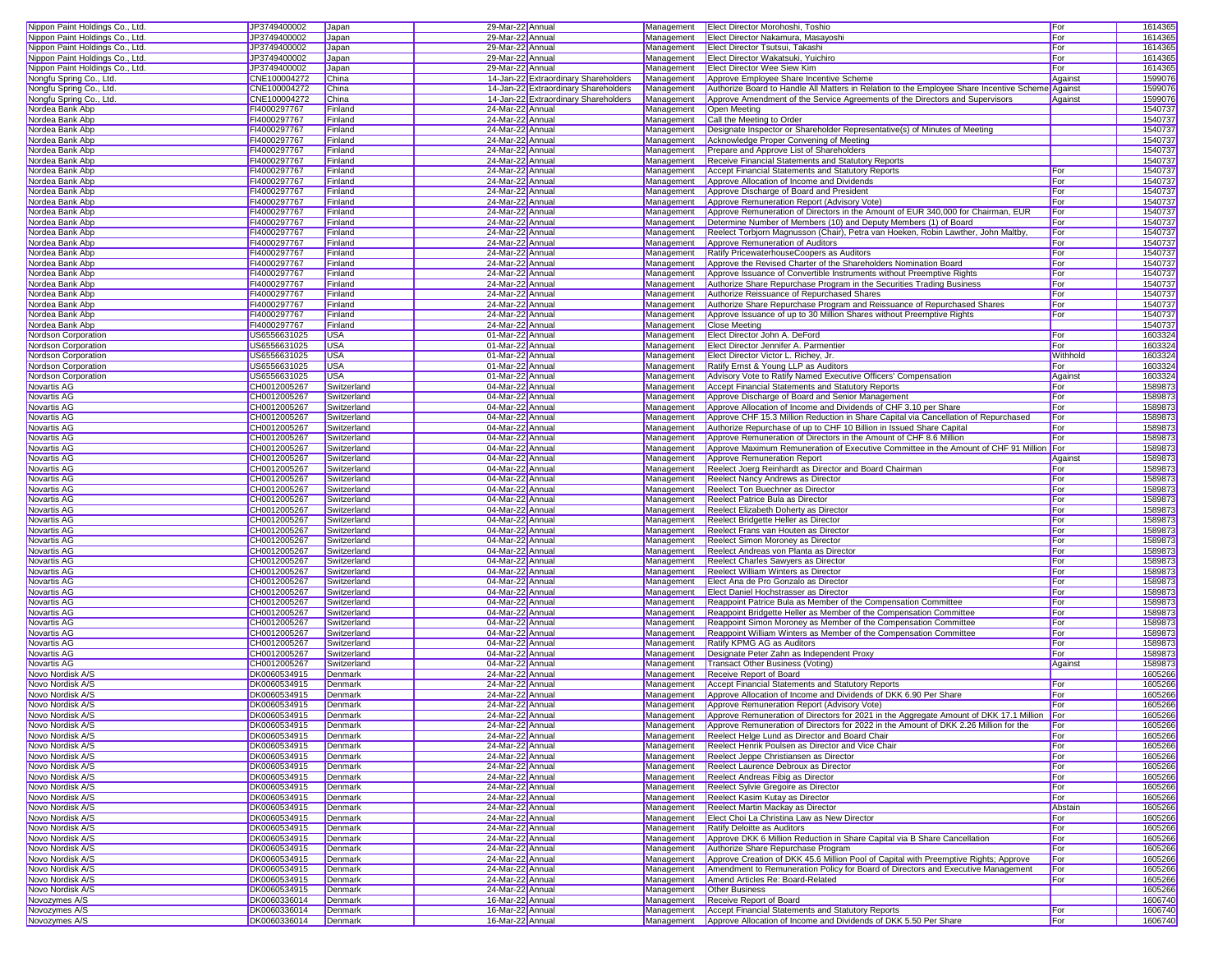| Nippon Paint Holdings Co., Ltd. | JP3749400002                 | Japan              | 29-Mar-22 Annual                     |                                      |            | Management Elect Director Morohoshi, Toshio                                                                                             | For         | 1614365            |
|---------------------------------|------------------------------|--------------------|--------------------------------------|--------------------------------------|------------|-----------------------------------------------------------------------------------------------------------------------------------------|-------------|--------------------|
| Nippon Paint Holdings Co., Ltd. | JP3749400002                 |                    | 29-Mar-22 Annual                     |                                      | Management | Elect Director Nakamura, Masayoshi                                                                                                      | For         | 1614365            |
|                                 |                              | Japan              |                                      |                                      |            |                                                                                                                                         |             |                    |
| Nippon Paint Holdings Co., Ltd. | JP3749400002                 | Japan              | 29-Mar-22 Annual                     |                                      | Management | Elect Director Tsutsui, Takashi                                                                                                         | For         | 1614365            |
| Nippon Paint Holdings Co., Ltd. | JP3749400002                 | Japan              | 29-Mar-22 Annual                     |                                      | Management | Elect Director Wakatsuki, Yuichiro                                                                                                      | For         | 1614365            |
| Nippon Paint Holdings Co., Ltd. | JP3749400002                 | Japan              | 29-Mar-22 Annual                     |                                      | Management | Elect Director Wee Siew Kim                                                                                                             | For         | 1614365            |
|                                 |                              |                    |                                      |                                      | Management |                                                                                                                                         |             | 1599076            |
| Nongfu Spring Co., Ltd.         | CNE100004272                 | China              |                                      | 14-Jan-22 Extraordinary Shareholders |            | Approve Employee Share Incentive Scheme                                                                                                 | Against     |                    |
| Nongfu Spring Co., Ltd.         | CNE100004272                 | China              |                                      | 14-Jan-22 Extraordinary Shareholders | Management | Authorize Board to Handle All Matters in Relation to the Employee Share Incentive Scheme Against                                        |             | 1599076            |
| Nongfu Spring Co., Ltd.         | CNE100004272                 | China              |                                      | 14-Jan-22 Extraordinary Shareholders | Management | Approve Amendment of the Service Agreements of the Directors and Supervisors                                                            | Against     | 1599076            |
| Nordea Bank Abp                 | FI4000297767                 | Finland            | 24-Mar-22 Annual                     |                                      | Management | Open Meeting                                                                                                                            |             | 1540737            |
|                                 |                              |                    |                                      |                                      |            |                                                                                                                                         |             |                    |
| Nordea Bank Abp                 | FI4000297767                 | Finland            | 24-Mar-22 Annual                     |                                      | Management | Call the Meeting to Order                                                                                                               |             | 1540737            |
| Nordea Bank Abp                 | FI4000297767                 | Finland            | 24-Mar-22 Annual                     |                                      | Management | Designate Inspector or Shareholder Representative(s) of Minutes of Meeting                                                              |             | 1540737            |
| Nordea Bank Abp                 | FI4000297767                 | Finland            | 24-Mar-22 Annual                     |                                      | Management | Acknowledge Proper Convening of Meeting                                                                                                 |             | 1540737            |
|                                 | FI4000297767                 | Finland            |                                      |                                      |            |                                                                                                                                         |             | 1540737            |
| Nordea Bank Abp                 |                              |                    | 24-Mar-22 Annual                     |                                      | Management | Prepare and Approve List of Shareholders                                                                                                |             |                    |
| Nordea Bank Abp                 | FI4000297767                 | Finland            | 24-Mar-22 Annual                     |                                      | Management | <b>Receive Financial Statements and Statutory Reports</b>                                                                               |             | 1540737            |
| Nordea Bank Abp                 | FI4000297767                 | Finland            | 24-Mar-22 Annual                     |                                      | Management | Accept Financial Statements and Statutory Reports                                                                                       | <b>IFor</b> | 1540737            |
| Nordea Bank Abp                 | FI4000297767                 | Finland            | 24-Mar-22 Annual                     |                                      | Management | Approve Allocation of Income and Dividends                                                                                              | For         | 1540737            |
|                                 |                              |                    |                                      |                                      |            |                                                                                                                                         |             |                    |
| Nordea Bank Abp                 | FI4000297767                 | Finland            | 24-Mar-22 Annual                     |                                      | Management | Approve Discharge of Board and President                                                                                                | For         | 1540737            |
| Nordea Bank Abp                 | FI4000297767                 | Finland            | 24-Mar-22 Annual                     |                                      | Management | Approve Remuneration Report (Advisory Vote)                                                                                             | For         | 1540737            |
| Nordea Bank Abp                 | FI4000297767                 | Finland            | 24-Mar-22 Annual                     |                                      | Management | Approve Remuneration of Directors in the Amount of EUR 340,000 for Chairman, EUR                                                        | For         | 1540737            |
|                                 | FI4000297767                 | Finland            |                                      |                                      |            |                                                                                                                                         |             | 1540737            |
| Nordea Bank Abp                 |                              |                    | 24-Mar-22 Annual                     |                                      | Management | Determine Number of Members (10) and Deputy Members (1) of Board                                                                        | For         |                    |
| Nordea Bank Abp                 | FI4000297767                 | Finland            | 24-Mar-22 Annual                     |                                      | Management | Reelect Torbjorn Magnusson (Chair), Petra van Hoeken, Robin Lawther, John Maltby,                                                       | For         | 1540737            |
| Nordea Bank Abp                 | FI4000297767                 | Finland            | 24-Mar-22 Annual                     |                                      | Management | Approve Remuneration of Auditors                                                                                                        | For         | 1540737            |
| Nordea Bank Abp                 | FI4000297767                 | Finland            | 24-Mar-22 Annual                     |                                      | Management | Ratify PricewaterhouseCoopers as Auditors                                                                                               | For         | 1540737            |
|                                 |                              |                    |                                      |                                      |            |                                                                                                                                         |             |                    |
| Nordea Bank Abp                 | FI4000297767                 | Finland            | 24-Mar-22 Annual                     |                                      | Management | Approve the Revised Charter of the Shareholders Nomination Board                                                                        | For         | 1540737            |
| Nordea Bank Abp                 | FI4000297767                 | Finland            | 24-Mar-22 Annual                     |                                      | Management | Approve Issuance of Convertible Instruments without Preemptive Rights                                                                   | For         | 1540737            |
| Nordea Bank Abp                 | FI4000297767                 | Finland            | 24-Mar-22 Annual                     |                                      | Management | Authorize Share Repurchase Program in the Securities Trading Business                                                                   | For         | 1540737            |
|                                 |                              |                    |                                      |                                      |            |                                                                                                                                         |             |                    |
| Nordea Bank Abp                 | FI4000297767                 | Finland            | 24-Mar-22 Annual                     |                                      | Management | Authorize Reissuance of Repurchased Shares                                                                                              | For         | 1540737            |
| Nordea Bank Abp                 | FI4000297767                 | Finland            | 24-Mar-22 Annual                     |                                      | Management | Authorize Share Repurchase Program and Reissuance of Repurchased Shares                                                                 | For         | 1540737            |
| Nordea Bank Abp                 | FI4000297767                 | Finland            | 24-Mar-22 Annual                     |                                      | Management | Approve Issuance of up to 30 Million Shares without Preemptive Rights                                                                   | For         | 154073             |
| Nordea Bank Abp                 | FI4000297767                 | Finland            | 24-Mar-22 Annual                     |                                      | Management | <b>Close Meeting</b>                                                                                                                    |             | 1540737            |
|                                 |                              |                    |                                      |                                      |            |                                                                                                                                         |             |                    |
| Nordson Corporation             | US6556631025                 | <b>USA</b>         | 01-Mar-22 Annual                     |                                      | Management | Elect Director John A. DeFord                                                                                                           | For         | 1603324            |
| Nordson Corporation             | US6556631025                 | <b>USA</b>         | 01-Mar-22 Annual                     |                                      | Management | Elect Director Jennifer A. Parmentier                                                                                                   | For         | 1603324            |
| Nordson Corporation             | US6556631025                 | <b>USA</b>         | 01-Mar-22 Annual                     |                                      | Management | Elect Director Victor L. Richey, Jr.                                                                                                    | Withhold    | 1603324            |
|                                 |                              |                    |                                      |                                      |            |                                                                                                                                         |             |                    |
| Nordson Corporation             | US6556631025                 | <b>USA</b>         | 01-Mar-22 Annual                     |                                      | Management | Ratify Ernst & Young LLP as Auditors                                                                                                    | For         | 1603324            |
| Nordson Corporation             | US6556631025                 | <b>USA</b>         | 01-Mar-22 Annual                     |                                      | Management | Advisory Vote to Ratify Named Executive Officers' Compensation                                                                          | Against     | 1603324            |
| <b>Novartis AG</b>              | CH0012005267                 | Switzerland        | 04-Mar-22 Annual                     |                                      | Management | Accept Financial Statements and Statutory Reports                                                                                       | For         | 1589873            |
| Novartis AG                     | CH0012005267                 | Switzerland        | 04-Mar-22 Annual                     |                                      | Management | Approve Discharge of Board and Senior Management                                                                                        | For         | 158987             |
|                                 |                              |                    |                                      |                                      |            |                                                                                                                                         |             |                    |
| Novartis AG                     | CH0012005267                 | Switzerland        | 04-Mar-22 Annual                     |                                      | Management | Approve Allocation of Income and Dividends of CHF 3.10 per Share                                                                        | For         | 158987             |
| Novartis AG                     | CH0012005267                 | Switzerland        | 04-Mar-22 Annual                     |                                      | Management | Approve CHF 15.3 Million Reduction in Share Capital via Cancellation of Repurchased                                                     | For         | 158987             |
| Novartis AG                     | CH0012005267                 | Switzerland        | 04-Mar-22 Annual                     |                                      | Management | Authorize Repurchase of up to CHF 10 Billion in Issued Share Capital                                                                    | For         | 158987             |
|                                 |                              |                    |                                      |                                      |            |                                                                                                                                         |             |                    |
| Novartis AG                     | CH0012005267                 | Switzerland        | 04-Mar-22 Annual                     |                                      | Management | Approve Remuneration of Directors in the Amount of CHF 8.6 Million                                                                      | For         | 158987             |
| Novartis AG                     | CH0012005267                 | Switzerland        | 04-Mar-22 Annual                     |                                      | Management | Approve Maximum Remuneration of Executive Committee in the Amount of CHF 91 Million For                                                 |             | 158987             |
| Novartis AG                     | CH0012005267                 | Switzerland        | 04-Mar-22 Annual                     |                                      | Management | Approve Remuneration Report                                                                                                             | Against     | 1589873            |
| Novartis AG                     |                              | Switzerland        |                                      |                                      | Management |                                                                                                                                         |             |                    |
|                                 | CH0012005267                 |                    | 04-Mar-22 Annual                     |                                      |            | Reelect Joerg Reinhardt as Director and Board Chairman                                                                                  | For         | 158987             |
| Novartis AG                     | CH0012005267                 | Switzerland        | 04-Mar-22 Annual                     |                                      | Management | Reelect Nancy Andrews as Director                                                                                                       | For         | 158987             |
| Novartis AG                     | CH0012005267                 | Switzerland        | 04-Mar-22 Annual                     |                                      | Management | Reelect Ton Buechner as Director                                                                                                        | For         | 1589873            |
| Novartis AG                     | CH0012005267                 | Switzerland        | 04-Mar-22 Annual                     |                                      | Management | Reelect Patrice Bula as Director                                                                                                        | For         | 158987             |
|                                 |                              |                    |                                      |                                      |            |                                                                                                                                         |             |                    |
| Novartis AG                     |                              |                    |                                      |                                      |            |                                                                                                                                         |             |                    |
|                                 | CH0012005267                 | Switzerland        | 04-Mar-22 Annual                     |                                      | Management | Reelect Elizabeth Doherty as Director                                                                                                   | For         | 158987             |
|                                 |                              |                    |                                      |                                      |            |                                                                                                                                         |             |                    |
| Novartis AG                     | CH0012005267                 | Switzerland        | 04-Mar-22 Annual                     |                                      | Management | Reelect Bridgette Heller as Director                                                                                                    | For         | 158987             |
| Novartis AG                     | CH0012005267                 | Switzerland        | 04-Mar-22 Annual                     |                                      | Management | Reelect Frans van Houten as Director                                                                                                    | For         | 158987             |
| Novartis AG                     | CH0012005267                 | Switzerland        | 04-Mar-22 Annual                     |                                      | Management | Reelect Simon Moroney as Director                                                                                                       | For         | 158987             |
| Novartis AG                     | CH0012005267                 | Switzerland        | 04-Mar-22 Annual                     |                                      | Management | Reelect Andreas von Planta as Director                                                                                                  | For         | 158987             |
|                                 |                              |                    |                                      |                                      |            |                                                                                                                                         |             |                    |
| Novartis AG                     | CH0012005267                 | Switzerland        | 04-Mar-22 Annual                     |                                      | Management | <b>Reelect Charles Sawyers as Director</b>                                                                                              | For         | 1589873            |
| Novartis AG                     | CH0012005267                 | Switzerland        | 04-Mar-22 Annual                     |                                      | Management | <b>Reelect William Winters as Director</b>                                                                                              | For         | 158987             |
| Novartis AG                     | CH0012005267                 | Switzerland        | 04-Mar-22 Annual                     |                                      | Management | Elect Ana de Pro Gonzalo as Director                                                                                                    | For         | 1589873            |
| Novartis AG                     | CH0012005267                 | Switzerland        | 04-Mar-22 Annual                     |                                      | Management | Elect Daniel Hochstrasser as Director                                                                                                   | For         | 1589873            |
|                                 |                              |                    |                                      |                                      |            |                                                                                                                                         |             |                    |
| Novartis AG                     | CH0012005267                 | Switzerland        | 04-Mar-22 Annual                     |                                      | Management | Reappoint Patrice Bula as Member of the Compensation Committee                                                                          | For         | 1589873            |
| Novartis AG                     | CH0012005267                 | Switzerland        | 04-Mar-22 Annual                     |                                      | Management | Reappoint Bridgette Heller as Member of the Compensation Committee                                                                      | For         | 1589873            |
| Novartis AG                     | CH0012005267                 | Switzerland        | 04-Mar-22 Annual                     |                                      | Management | Reappoint Simon Moroney as Member of the Compensation Committee                                                                         | For         | 158987             |
|                                 |                              |                    |                                      |                                      |            |                                                                                                                                         |             |                    |
| Novartis AG                     | CH0012005267                 | Switzerland        | 04-Mar-22 Annual                     |                                      | Management | Reappoint William Winters as Member of the Compensation Committee                                                                       | For         | 158987             |
| Novartis AG                     | CH0012005267                 | Switzerland        | 04-Mar-22 Annual                     |                                      | Management | Ratify KPMG AG as Auditors                                                                                                              | For         | 158987             |
| Novartis AG                     | CH0012005267                 | Switzerland        | 04-Mar-22 Annual                     |                                      | Management | Designate Peter Zahn as Independent Proxy                                                                                               | For         | 158987             |
| Novartis AG                     | CH0012005267                 | Switzerland        | 04-Mar-22 Annual                     |                                      | Management | Transact Other Business (Voting)                                                                                                        | Against     | 1589873            |
| Novo Nordisk A/S                |                              |                    |                                      |                                      |            | Receive Report of Board                                                                                                                 |             |                    |
|                                 | DK0060534915                 | Denmark            | 24-Mar-22 Annual                     |                                      | Management |                                                                                                                                         |             | 1605266            |
| Novo Nordisk A/S                | DK0060534915                 | Denmark            | 24-Mar-22 Annual                     |                                      | Management | Accept Financial Statements and Statutory Reports                                                                                       | For         | 1605266            |
| Novo Nordisk A/S                | DK0060534915                 | Denmark            | 24-Mar-22 Annual                     |                                      | Management | Approve Allocation of Income and Dividends of DKK 6.90 Per Share                                                                        | For         | 1605266            |
| Novo Nordisk A/S                | DK0060534915                 | Denmark            | 24-Mar-22 Annual                     |                                      |            | Management   Approve Remuneration Report (Advisory Vote)                                                                                | For         | 1605266            |
|                                 |                              |                    |                                      |                                      |            |                                                                                                                                         |             |                    |
| Novo Nordisk A/S                | DK0060534915                 | Denmark            | 24-Mar-22 Annual                     |                                      |            | Management Approve Remuneration of Directors for 2021 in the Aggregate Amount of DKK 17.1 Million For                                   |             | 1605266            |
| Novo Nordisk A/S                | DK0060534915                 | Denmark            | 24-Mar-22 Annual                     |                                      | Management | Approve Remuneration of Directors for 2022 in the Amount of DKK 2.26 Million for the                                                    | For         | 1605266            |
| Novo Nordisk A/S                | DK0060534915                 | Denmark            | 24-Mar-22 Annual                     |                                      | Management | Reelect Helge Lund as Director and Board Chair                                                                                          | For         | 1605266            |
|                                 | DK0060534915                 |                    |                                      |                                      |            |                                                                                                                                         |             |                    |
| Novo Nordisk A/S                |                              | Denmark            | 24-Mar-22 Annual                     |                                      | Management | Reelect Henrik Poulsen as Director and Vice Chair                                                                                       | For         | 1605266            |
| Novo Nordisk A/S                | DK0060534915                 | Denmark            | 24-Mar-22 Annual                     |                                      | Management | Reelect Jeppe Christiansen as Director                                                                                                  | For         | 1605266            |
| Novo Nordisk A/S                | DK0060534915                 | Denmark            | 24-Mar-22 Annual                     |                                      | Management | Reelect Laurence Debroux as Director                                                                                                    | For         | 1605266            |
| Novo Nordisk A/S                | DK0060534915                 | Denmark            |                                      |                                      | Management | Reelect Andreas Fibig as Director                                                                                                       |             |                    |
|                                 |                              |                    | 24-Mar-22 Annual                     |                                      |            |                                                                                                                                         | For         | 1605266            |
| Novo Nordisk A/S                | DK0060534915                 | Denmark            | 24-Mar-22 Annual                     |                                      | Management | Reelect Sylvie Gregoire as Director                                                                                                     | For         | 1605266            |
| Novo Nordisk A/S                | DK0060534915                 | Denmark            | 24-Mar-22 Annual                     |                                      | Management | Reelect Kasim Kutay as Director                                                                                                         | For         | 1605266            |
| Novo Nordisk A/S                | DK0060534915                 | Denmark            | 24-Mar-22 Annual                     |                                      | Management | Reelect Martin Mackay as Director                                                                                                       | Abstain     | 1605266            |
|                                 |                              |                    |                                      |                                      |            |                                                                                                                                         |             |                    |
| Novo Nordisk A/S                | DK0060534915                 | Denmark            | 24-Mar-22 Annual                     |                                      | Management | Elect Choi La Christina Law as New Director                                                                                             | For         | 1605266            |
| Novo Nordisk A/S                | DK0060534915                 | Denmark            | 24-Mar-22 Annual                     |                                      | Management | Ratify Deloitte as Auditors                                                                                                             | For         | 1605266            |
| Novo Nordisk A/S                | DK0060534915                 | Denmark            | 24-Mar-22 Annual                     |                                      | Management | Approve DKK 6 Million Reduction in Share Capital via B Share Cancellation                                                               | For         | 1605266            |
| Novo Nordisk A/S                | DK0060534915                 | Denmark            | 24-Mar-22 Annual                     |                                      | Management | Authorize Share Repurchase Program                                                                                                      | For         |                    |
|                                 |                              |                    |                                      |                                      |            |                                                                                                                                         |             | 1605266            |
| Novo Nordisk A/S                | DK0060534915                 | Denmark            | 24-Mar-22 Annual                     |                                      | Management | Approve Creation of DKK 45.6 Million Pool of Capital with Preemptive Rights; Approve                                                    | For         | 1605266            |
| Novo Nordisk A/S                | DK0060534915                 | Denmark            | 24-Mar-22 Annual                     |                                      | Management | Amendment to Remuneration Policy for Board of Directors and Executive Management                                                        | For         | 1605266            |
| Novo Nordisk A/S                | DK0060534915                 | Denmark            | 24-Mar-22 Annual                     |                                      | Management | Amend Articles Re: Board-Related                                                                                                        | For         | 1605266            |
|                                 |                              |                    |                                      |                                      |            |                                                                                                                                         |             |                    |
| Novo Nordisk A/S                | DK0060534915                 | Denmark            | 24-Mar-22 Annual                     |                                      | Management | <b>Other Business</b>                                                                                                                   |             | 1605266            |
| Novozymes A/S                   | DK0060336014                 | Denmark            | 16-Mar-22 Annual                     |                                      | Management | Receive Report of Board                                                                                                                 |             | 1606740            |
| Novozymes A/S<br>Novozymes A/S  | DK0060336014<br>DK0060336014 | Denmark<br>Denmark | 16-Mar-22 Annual<br>16-Mar-22 Annual |                                      | Management | <b>Accept Financial Statements and Statutory Reports</b><br>Management Approve Allocation of Income and Dividends of DKK 5.50 Per Share | For<br>For  | 1606740<br>1606740 |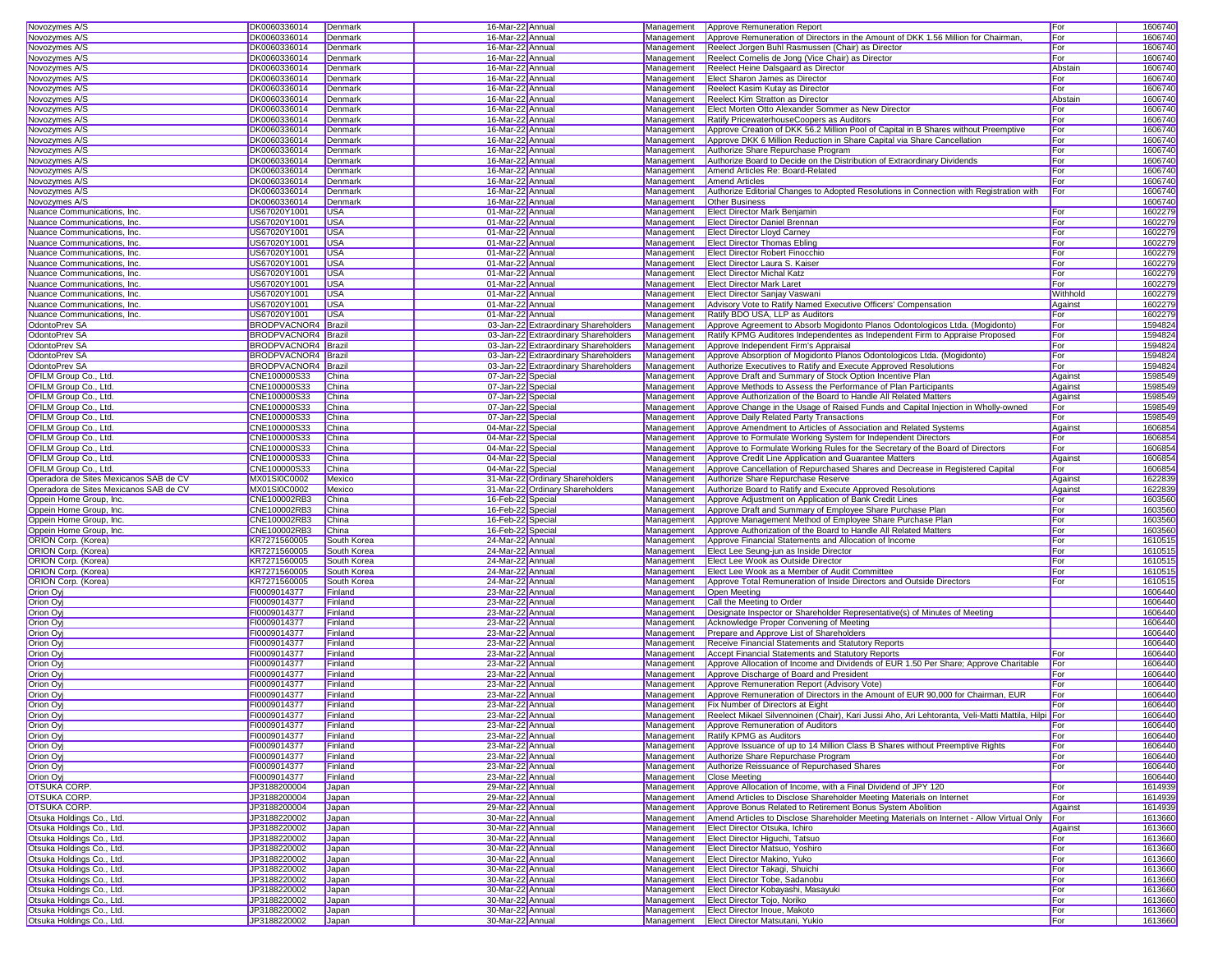| Novozymes A/S                                                                                                                                                                                                                                                                                                                                                                                                                                                                                                                                                                                                                                                                                                                                                                                                                                                                  | DK0060336014                 | Denmark               | 16-Mar-22 Annual                     |                                      | Management | Approve Remuneration Report                                                                                   | For        | 1606740            |
|--------------------------------------------------------------------------------------------------------------------------------------------------------------------------------------------------------------------------------------------------------------------------------------------------------------------------------------------------------------------------------------------------------------------------------------------------------------------------------------------------------------------------------------------------------------------------------------------------------------------------------------------------------------------------------------------------------------------------------------------------------------------------------------------------------------------------------------------------------------------------------|------------------------------|-----------------------|--------------------------------------|--------------------------------------|------------|---------------------------------------------------------------------------------------------------------------|------------|--------------------|
| Novozymes A/S                                                                                                                                                                                                                                                                                                                                                                                                                                                                                                                                                                                                                                                                                                                                                                                                                                                                  | DK0060336014                 | Denmark               | 16-Mar-22 Annual                     |                                      | Management | Approve Remuneration of Directors in the Amount of DKK 1.56 Million for Chairman                              | For        | 1606740            |
| Novozymes A/S                                                                                                                                                                                                                                                                                                                                                                                                                                                                                                                                                                                                                                                                                                                                                                                                                                                                  | DK0060336014                 | Denmark               | 16-Mar-22 Annual                     |                                      | Management | Reelect Jorgen Buhl Rasmussen (Chair) as Director                                                             | For        | 1606740            |
| Novozymes A/S                                                                                                                                                                                                                                                                                                                                                                                                                                                                                                                                                                                                                                                                                                                                                                                                                                                                  | DK0060336014                 | Denmark               | 16-Mar-22 Annual                     |                                      | Management | Reelect Cornelis de Jong (Vice Chair) as Director                                                             | For        | 1606740            |
| Novozymes A/S                                                                                                                                                                                                                                                                                                                                                                                                                                                                                                                                                                                                                                                                                                                                                                                                                                                                  | DK0060336014                 | Denmark               |                                      |                                      | Management | Reelect Heine Dalsgaard as Director                                                                           | Abstain    | 1606740            |
|                                                                                                                                                                                                                                                                                                                                                                                                                                                                                                                                                                                                                                                                                                                                                                                                                                                                                |                              |                       | 16-Mar-22 Annual                     |                                      |            |                                                                                                               |            |                    |
| Novozymes A/S                                                                                                                                                                                                                                                                                                                                                                                                                                                                                                                                                                                                                                                                                                                                                                                                                                                                  | DK0060336014                 | Denmark               | 16-Mar-22 Annual                     |                                      | Management | Elect Sharon James as Director                                                                                | For        | 1606740            |
| Novozymes A/S                                                                                                                                                                                                                                                                                                                                                                                                                                                                                                                                                                                                                                                                                                                                                                                                                                                                  | DK0060336014                 | Denmark               | 16-Mar-22 Annual                     |                                      | Management | Reelect Kasim Kutay as Director                                                                               | For        | 1606740            |
| Novozymes A/S                                                                                                                                                                                                                                                                                                                                                                                                                                                                                                                                                                                                                                                                                                                                                                                                                                                                  | DK0060336014                 | Denmark               | 16-Mar-22 Annual                     |                                      | Management | Reelect Kim Stratton as Director                                                                              | Abstain    | 1606740            |
| Novozymes A/S                                                                                                                                                                                                                                                                                                                                                                                                                                                                                                                                                                                                                                                                                                                                                                                                                                                                  | DK0060336014                 | Denmark               | 16-Mar-22 Annual                     |                                      | Management | Elect Morten Otto Alexander Sommer as New Director                                                            | For        | 1606740            |
| Novozymes A/S                                                                                                                                                                                                                                                                                                                                                                                                                                                                                                                                                                                                                                                                                                                                                                                                                                                                  | DK0060336014                 | Denmark               | 16-Mar-22 Annual                     |                                      | Management | Ratify PricewaterhouseCoopers as Auditors                                                                     | For        | 1606740            |
| Novozymes A/S                                                                                                                                                                                                                                                                                                                                                                                                                                                                                                                                                                                                                                                                                                                                                                                                                                                                  | DK0060336014                 | Denmark               | 16-Mar-22 Annual                     |                                      | Management | Approve Creation of DKK 56.2 Million Pool of Capital in B Shares without Preemptive                           | For        | 160674             |
| Novozymes A/S                                                                                                                                                                                                                                                                                                                                                                                                                                                                                                                                                                                                                                                                                                                                                                                                                                                                  | DK0060336014                 | Denmark               | 16-Mar-22 Annual                     |                                      | Management | Approve DKK 6 Million Reduction in Share Capital via Share Cancellation                                       | For        | 160674             |
| Novozymes A/S                                                                                                                                                                                                                                                                                                                                                                                                                                                                                                                                                                                                                                                                                                                                                                                                                                                                  | DK0060336014                 | Denmark               | 16-Mar-22 Annual                     |                                      | Management | Authorize Share Repurchase Program                                                                            | For        | 1606740            |
| Novozymes A/S                                                                                                                                                                                                                                                                                                                                                                                                                                                                                                                                                                                                                                                                                                                                                                                                                                                                  | DK0060336014                 | Denmark               | 16-Mar-22 Annual                     |                                      | Management | Authorize Board to Decide on the Distribution of Extraordinary Dividends                                      | For        | 160674             |
| Novozymes A/S                                                                                                                                                                                                                                                                                                                                                                                                                                                                                                                                                                                                                                                                                                                                                                                                                                                                  | DK0060336014                 | Denmark               | 16-Mar-22 Annual                     |                                      | Management | Amend Articles Re: Board-Related                                                                              | For        | 1606740            |
| Novozymes A/S                                                                                                                                                                                                                                                                                                                                                                                                                                                                                                                                                                                                                                                                                                                                                                                                                                                                  | DK0060336014                 | Denmark               | 16-Mar-22 Annual                     |                                      | Management | <b>Amend Articles</b>                                                                                         | For        | 1606740            |
| Novozymes A/S                                                                                                                                                                                                                                                                                                                                                                                                                                                                                                                                                                                                                                                                                                                                                                                                                                                                  | DK0060336014                 | Denmark               | 16-Mar-22 Annual                     |                                      | Management | Authorize Editorial Changes to Adopted Resolutions in Connection with Registration with                       | For        | 1606740            |
|                                                                                                                                                                                                                                                                                                                                                                                                                                                                                                                                                                                                                                                                                                                                                                                                                                                                                | DK0060336014                 |                       | 16-Mar-22 Annual                     |                                      | Management |                                                                                                               |            | 1606740            |
| Novozymes A/S                                                                                                                                                                                                                                                                                                                                                                                                                                                                                                                                                                                                                                                                                                                                                                                                                                                                  |                              | Denmark               |                                      |                                      |            | <b>Other Business</b>                                                                                         |            |                    |
| Nuance Communications, Inc.                                                                                                                                                                                                                                                                                                                                                                                                                                                                                                                                                                                                                                                                                                                                                                                                                                                    | US67020Y1001                 | <b>USA</b>            | 01-Mar-22 Annual                     |                                      | Management | <b>Elect Director Mark Benjamin</b>                                                                           | For        | 1602279            |
| Nuance Communications, Inc.                                                                                                                                                                                                                                                                                                                                                                                                                                                                                                                                                                                                                                                                                                                                                                                                                                                    | US67020Y1001                 | <b>USA</b>            | 01-Mar-22 Annual                     |                                      | Management | <b>Elect Director Daniel Brennan</b>                                                                          | For        | 1602279            |
| Nuance Communications, Inc.                                                                                                                                                                                                                                                                                                                                                                                                                                                                                                                                                                                                                                                                                                                                                                                                                                                    | US67020Y1001                 | <b>USA</b>            | 01-Mar-22 Annual                     |                                      | Management | <b>Elect Director Lloyd Carney</b>                                                                            | For        | 1602279            |
| Nuance Communications, Inc.                                                                                                                                                                                                                                                                                                                                                                                                                                                                                                                                                                                                                                                                                                                                                                                                                                                    | US67020Y1001                 | <b>USA</b>            | 01-Mar-22 Annual                     |                                      | Management | <b>Elect Director Thomas Ebling</b>                                                                           | For        | 1602279            |
| Nuance Communications, Inc.                                                                                                                                                                                                                                                                                                                                                                                                                                                                                                                                                                                                                                                                                                                                                                                                                                                    | US67020Y1001                 | <b>USA</b>            | 01-Mar-22 Annual                     |                                      | Management | <b>Elect Director Robert Finocchio</b>                                                                        | For        | 1602279            |
| Nuance Communications, Inc.                                                                                                                                                                                                                                                                                                                                                                                                                                                                                                                                                                                                                                                                                                                                                                                                                                                    | US67020Y1001                 | <b>USA</b>            | 01-Mar-22 Annual                     |                                      | Management | <b>Elect Director Laura S. Kaiser</b>                                                                         | For        | 1602279            |
| Nuance Communications, Inc.                                                                                                                                                                                                                                                                                                                                                                                                                                                                                                                                                                                                                                                                                                                                                                                                                                                    | US67020Y1001                 | <b>USA</b>            | 01-Mar-22 Annual                     |                                      | Management | <b>Elect Director Michal Katz</b>                                                                             | For        | 1602279            |
| Nuance Communications, Inc.                                                                                                                                                                                                                                                                                                                                                                                                                                                                                                                                                                                                                                                                                                                                                                                                                                                    | US67020Y1001                 | <b>USA</b>            | 01-Mar-22 Annual                     |                                      |            | Management <b>Elect Director Mark Laret</b>                                                                   | For        | 1602279            |
| Nuance Communications, Inc.                                                                                                                                                                                                                                                                                                                                                                                                                                                                                                                                                                                                                                                                                                                                                                                                                                                    | US67020Y1001                 | <b>USA</b>            | 01-Mar-22 Annual                     |                                      | Management | <b>Elect Director Sanjay Vaswani</b>                                                                          | Withhold   | 1602279            |
| Nuance Communications, Inc.                                                                                                                                                                                                                                                                                                                                                                                                                                                                                                                                                                                                                                                                                                                                                                                                                                                    | US67020Y1001                 | <b>USA</b>            | 01-Mar-22 Annual                     |                                      | Management | Advisory Vote to Ratify Named Executive Officers' Compensation                                                | Against    | 1602279            |
| Nuance Communications, Inc.                                                                                                                                                                                                                                                                                                                                                                                                                                                                                                                                                                                                                                                                                                                                                                                                                                                    | US67020Y1001                 | <b>USA</b>            | 01-Mar-22 Annual                     |                                      | Management | Ratify BDO USA, LLP as Auditors                                                                               | For        | 1602279            |
| OdontoPrev SA                                                                                                                                                                                                                                                                                                                                                                                                                                                                                                                                                                                                                                                                                                                                                                                                                                                                  | BRODPVACNOR4 Brazil          |                       |                                      | 03-Jan-22 Extraordinary Shareholders | Management | Approve Agreement to Absorb Mogidonto Planos Odontologicos Ltda. (Mogidonto)                                  | For        | 1594824            |
| OdontoPrev SA                                                                                                                                                                                                                                                                                                                                                                                                                                                                                                                                                                                                                                                                                                                                                                                                                                                                  | <b>BRODPVACNOR4 Brazil</b>   |                       |                                      | 03-Jan-22 Extraordinary Shareholders | Management | Ratify KPMG Auditores Independentes as Independent Firm to Appraise Proposed                                  | For        | 1594824            |
| OdontoPrev SA                                                                                                                                                                                                                                                                                                                                                                                                                                                                                                                                                                                                                                                                                                                                                                                                                                                                  | <b>BRODPVACNOR4 Brazil</b>   |                       |                                      | 03-Jan-22 Extraordinary Shareholders | Management | Approve Independent Firm's Appraisal                                                                          | For        | 1594824            |
| OdontoPrev SA                                                                                                                                                                                                                                                                                                                                                                                                                                                                                                                                                                                                                                                                                                                                                                                                                                                                  | <b>BRODPVACNOR4 Brazil</b>   |                       |                                      | 03-Jan-22 Extraordinary Shareholders | Management | Approve Absorption of Mogidonto Planos Odontologicos Ltda. (Mogidonto)                                        | For        | 1594824            |
| OdontoPrev SA                                                                                                                                                                                                                                                                                                                                                                                                                                                                                                                                                                                                                                                                                                                                                                                                                                                                  | <b>BRODPVACNOR4 Brazil</b>   |                       |                                      | 03-Jan-22 Extraordinary Shareholders | Management | Authorize Executives to Ratify and Execute Approved Resolutions                                               | For        | 1594824            |
| OFILM Group Co., Ltd.                                                                                                                                                                                                                                                                                                                                                                                                                                                                                                                                                                                                                                                                                                                                                                                                                                                          | CNE100000S33                 | China                 | 07-Jan-22 Special                    |                                      | Management | Approve Draft and Summary of Stock Option Incentive Plan                                                      | Against    | 1598549            |
| OFILM Group Co., Ltd.                                                                                                                                                                                                                                                                                                                                                                                                                                                                                                                                                                                                                                                                                                                                                                                                                                                          | CNE100000S33                 | China                 | 07-Jan-22 Specia                     |                                      | Management | Approve Methods to Assess the Performance of Plan Participants                                                | Against    | 1598549            |
| OFILM Group Co., Ltd.                                                                                                                                                                                                                                                                                                                                                                                                                                                                                                                                                                                                                                                                                                                                                                                                                                                          | CNE100000S33                 | China                 | 07-Jan-22 Special                    |                                      | Management | Approve Authorization of the Board to Handle All Related Matters                                              | Against    | 1598549            |
| OFILM Group Co., Ltd.                                                                                                                                                                                                                                                                                                                                                                                                                                                                                                                                                                                                                                                                                                                                                                                                                                                          | CNE100000S33                 | China                 | 07-Jan-22 Special                    |                                      | Management | Approve Change in the Usage of Raised Funds and Capital Injection in Wholly-owned                             | For        | 1598549            |
| OFILM Group Co., Ltd.                                                                                                                                                                                                                                                                                                                                                                                                                                                                                                                                                                                                                                                                                                                                                                                                                                                          | CNE100000S33                 | China                 | 07-Jan-22 Special                    |                                      | Management | Approve Daily Related Party Transactions                                                                      | For        | 1598549            |
| OFILM Group Co., Ltd.                                                                                                                                                                                                                                                                                                                                                                                                                                                                                                                                                                                                                                                                                                                                                                                                                                                          | CNE100000S33                 | China                 | 04-Mar-22 Specia                     |                                      | Management | Approve Amendment to Articles of Association and Related Systems                                              | Against    | 1606854            |
| OFILM Group Co., Ltd.                                                                                                                                                                                                                                                                                                                                                                                                                                                                                                                                                                                                                                                                                                                                                                                                                                                          | CNE100000S33                 | China                 | 04-Mar-22 Specia                     |                                      | Management | Approve to Formulate Working System for Independent Directors                                                 | For        | 1606854            |
| OFILM Group Co., Ltd.                                                                                                                                                                                                                                                                                                                                                                                                                                                                                                                                                                                                                                                                                                                                                                                                                                                          | CNE100000S33                 | China                 | 04-Mar-22 Specia                     |                                      | Management | Approve to Formulate Working Rules for the Secretary of the Board of Directors                                | For        | 160685             |
| OFILM Group Co., Ltd.                                                                                                                                                                                                                                                                                                                                                                                                                                                                                                                                                                                                                                                                                                                                                                                                                                                          | CNE100000S33                 | China                 | 04-Mar-22 Specia                     |                                      | Management | Approve Credit Line Application and Guarantee Matters                                                         | Against    | 1606854            |
| OFILM Group Co., Ltd.                                                                                                                                                                                                                                                                                                                                                                                                                                                                                                                                                                                                                                                                                                                                                                                                                                                          | CNE100000S33                 | China                 | 04-Mar-22 Specia                     |                                      | Management |                                                                                                               | For        | 160685             |
|                                                                                                                                                                                                                                                                                                                                                                                                                                                                                                                                                                                                                                                                                                                                                                                                                                                                                |                              |                       |                                      |                                      |            |                                                                                                               |            |                    |
|                                                                                                                                                                                                                                                                                                                                                                                                                                                                                                                                                                                                                                                                                                                                                                                                                                                                                |                              |                       |                                      |                                      |            | Approve Cancellation of Repurchased Shares and Decrease in Registered Capital                                 |            |                    |
|                                                                                                                                                                                                                                                                                                                                                                                                                                                                                                                                                                                                                                                                                                                                                                                                                                                                                | MX01SI0C0002                 | Mexico                |                                      | 31-Mar-22 Ordinary Shareholders      | Management | Authorize Share Repurchase Reserve                                                                            | Against    | 1622839            |
|                                                                                                                                                                                                                                                                                                                                                                                                                                                                                                                                                                                                                                                                                                                                                                                                                                                                                | MX01SI0C0002                 | Mexico                |                                      | 31-Mar-22 Ordinary Shareholders      | Management | Authorize Board to Ratify and Execute Approved Resolutions                                                    | Against    | 1622839            |
|                                                                                                                                                                                                                                                                                                                                                                                                                                                                                                                                                                                                                                                                                                                                                                                                                                                                                | CNE100002RB3                 | China                 | 16-Feb-22 Special                    |                                      | Management | Approve Adjustment on Application of Bank Credit Lines                                                        | For        | 1603560            |
|                                                                                                                                                                                                                                                                                                                                                                                                                                                                                                                                                                                                                                                                                                                                                                                                                                                                                | CNE100002RB3                 | China                 | 16-Feb-22 Special                    |                                      | Management | Approve Draft and Summary of Employee Share Purchase Plan                                                     | For        | 1603560            |
|                                                                                                                                                                                                                                                                                                                                                                                                                                                                                                                                                                                                                                                                                                                                                                                                                                                                                | CNE100002RB3                 | China                 | 16-Feb-22 Special                    |                                      | Management | Approve Management Method of Employee Share Purchase Plan                                                     | For        | 1603560            |
|                                                                                                                                                                                                                                                                                                                                                                                                                                                                                                                                                                                                                                                                                                                                                                                                                                                                                | CNE100002RB3                 | China                 | 16-Feb-22 Specia                     |                                      | Management | Approve Authorization of the Board to Handle All Related Matters                                              | For        | 1603560            |
|                                                                                                                                                                                                                                                                                                                                                                                                                                                                                                                                                                                                                                                                                                                                                                                                                                                                                | KR7271560005                 | South Korea           | 24-Mar-22 Annual                     |                                      | Management | Approve Financial Statements and Allocation of Income                                                         | For        | 1610515            |
|                                                                                                                                                                                                                                                                                                                                                                                                                                                                                                                                                                                                                                                                                                                                                                                                                                                                                | KR7271560005                 | South Korea           | 24-Mar-22 Annual                     |                                      | Management | Elect Lee Seung-jun as Inside Director                                                                        | For        | 161051             |
|                                                                                                                                                                                                                                                                                                                                                                                                                                                                                                                                                                                                                                                                                                                                                                                                                                                                                | KR7271560005                 | South Korea           | 24-Mar-22 Annual                     |                                      | Management | Elect Lee Wook as Outside Director                                                                            | For        | 1610515            |
|                                                                                                                                                                                                                                                                                                                                                                                                                                                                                                                                                                                                                                                                                                                                                                                                                                                                                | KR7271560005                 | South Korea           | 24-Mar-22 Annual                     |                                      | Management | Elect Lee Wook as a Member of Audit Committee                                                                 | For        | 161051             |
|                                                                                                                                                                                                                                                                                                                                                                                                                                                                                                                                                                                                                                                                                                                                                                                                                                                                                | KR7271560005                 | South Korea           | 24-Mar-22 Annual                     |                                      | Management | Approve Total Remuneration of Inside Directors and Outside Directors                                          | For        | 1610515            |
|                                                                                                                                                                                                                                                                                                                                                                                                                                                                                                                                                                                                                                                                                                                                                                                                                                                                                | FI0009014377                 | Finland               | 23-Mar-22 Annual                     |                                      | Management | Open Meeting                                                                                                  |            | 1606440            |
|                                                                                                                                                                                                                                                                                                                                                                                                                                                                                                                                                                                                                                                                                                                                                                                                                                                                                | FI0009014377                 | Finland               | 23-Mar-22 Annual                     |                                      | Management | Call the Meeting to Order                                                                                     |            | 1606440            |
|                                                                                                                                                                                                                                                                                                                                                                                                                                                                                                                                                                                                                                                                                                                                                                                                                                                                                | FI0009014377                 | Finland               | 23-Mar-22 Annual                     |                                      | Management | Designate Inspector or Shareholder Representative(s) of Minutes of Meeting                                    |            | 1606440            |
|                                                                                                                                                                                                                                                                                                                                                                                                                                                                                                                                                                                                                                                                                                                                                                                                                                                                                | FI0009014377                 | Finland               | 23-Mar-22 Annual                     |                                      | Management | Acknowledge Proper Convening of Meeting                                                                       |            | 1606440            |
|                                                                                                                                                                                                                                                                                                                                                                                                                                                                                                                                                                                                                                                                                                                                                                                                                                                                                | FI0009014377                 | Finland               | 23-Mar-22 Annual                     |                                      | Management | Prepare and Approve List of Shareholders                                                                      |            | 1606440            |
|                                                                                                                                                                                                                                                                                                                                                                                                                                                                                                                                                                                                                                                                                                                                                                                                                                                                                | FI0009014377                 | Finland               | 23-Mar-22 Annual                     |                                      | Management | Receive Financial Statements and Statutory Reports                                                            |            | 1606440            |
|                                                                                                                                                                                                                                                                                                                                                                                                                                                                                                                                                                                                                                                                                                                                                                                                                                                                                | FI0009014377                 | Finland               | 23-Mar-22 Annual                     |                                      | Management | Accept Financial Statements and Statutory Reports                                                             | For        | 160644             |
|                                                                                                                                                                                                                                                                                                                                                                                                                                                                                                                                                                                                                                                                                                                                                                                                                                                                                | FI0009014377                 | Finland               | 23-Mar-22 Annual                     |                                      | Management | Approve Allocation of Income and Dividends of EUR 1.50 Per Share; Approve Charitable                          | For        | 1606440            |
|                                                                                                                                                                                                                                                                                                                                                                                                                                                                                                                                                                                                                                                                                                                                                                                                                                                                                | FI0009014377                 | Finland               | 23-Mar-22 Annual                     |                                      | Management | Approve Discharge of Board and President                                                                      | For        | 160644             |
|                                                                                                                                                                                                                                                                                                                                                                                                                                                                                                                                                                                                                                                                                                                                                                                                                                                                                | FI0009014377                 | Finland               | 23-Mar-22 Annual                     |                                      | Management | Approve Remuneration Report (Advisory Vote)                                                                   | For        | 1606440            |
|                                                                                                                                                                                                                                                                                                                                                                                                                                                                                                                                                                                                                                                                                                                                                                                                                                                                                | FI0009014377                 | Finland               | 23-Mar-22 Annual                     |                                      | Management | Approve Remuneration of Directors in the Amount of EUR 90,000 for Chairman, EUR                               | For        | 1606440            |
|                                                                                                                                                                                                                                                                                                                                                                                                                                                                                                                                                                                                                                                                                                                                                                                                                                                                                | FI0009014377                 | Finland               | 23-Mar-22 Annual                     |                                      | Management | Fix Number of Directors at Eight                                                                              | For        | 1606440            |
|                                                                                                                                                                                                                                                                                                                                                                                                                                                                                                                                                                                                                                                                                                                                                                                                                                                                                | FI0009014377                 | Finland               | 23-Mar-22 Annual                     |                                      |            | Management Reelect Mikael Silvennoinen (Chair), Kari Jussi Aho, Ari Lehtoranta, Veli-Matti Mattila, Hilpi For |            | 1606440            |
|                                                                                                                                                                                                                                                                                                                                                                                                                                                                                                                                                                                                                                                                                                                                                                                                                                                                                | FI0009014377                 | Finland               | 23-Mar-22 Annual                     |                                      |            | Management <b>Approve Remuneration of Auditors</b>                                                            | For        | 1606440            |
|                                                                                                                                                                                                                                                                                                                                                                                                                                                                                                                                                                                                                                                                                                                                                                                                                                                                                | FI0009014377                 | Finland               | 23-Mar-22 Annual                     |                                      | Management | <b>Ratify KPMG as Auditors</b>                                                                                | For        | 1606440            |
|                                                                                                                                                                                                                                                                                                                                                                                                                                                                                                                                                                                                                                                                                                                                                                                                                                                                                | FI0009014377                 | Finland               | 23-Mar-22 Annual                     |                                      | Management | Approve Issuance of up to 14 Million Class B Shares without Preemptive Rights                                 | For        | 1606440            |
|                                                                                                                                                                                                                                                                                                                                                                                                                                                                                                                                                                                                                                                                                                                                                                                                                                                                                | FI0009014377                 | Finland               | 23-Mar-22 Annual                     |                                      | Management | Authorize Share Repurchase Program                                                                            | For        | 1606440            |
|                                                                                                                                                                                                                                                                                                                                                                                                                                                                                                                                                                                                                                                                                                                                                                                                                                                                                | FI0009014377                 | Finland               | 23-Mar-22 Annual                     |                                      | Management | Authorize Reissuance of Repurchased Shares                                                                    | For        | 1606440            |
|                                                                                                                                                                                                                                                                                                                                                                                                                                                                                                                                                                                                                                                                                                                                                                                                                                                                                | FI0009014377                 | Finland               | 23-Mar-22 Annual                     |                                      | Management | <b>Close Meeting</b>                                                                                          |            | 1606440            |
|                                                                                                                                                                                                                                                                                                                                                                                                                                                                                                                                                                                                                                                                                                                                                                                                                                                                                | JP3188200004                 | Japan                 | 29-Mar-22 Annual                     |                                      | Management | Approve Allocation of Income, with a Final Dividend of JPY 120                                                | For        | 1614939            |
|                                                                                                                                                                                                                                                                                                                                                                                                                                                                                                                                                                                                                                                                                                                                                                                                                                                                                | JP3188200004                 | Japan                 | 29-Mar-22 Annual                     |                                      | Management | Amend Articles to Disclose Shareholder Meeting Materials on Internet                                          | For        | 1614939            |
|                                                                                                                                                                                                                                                                                                                                                                                                                                                                                                                                                                                                                                                                                                                                                                                                                                                                                | JP3188200004                 | Japan                 | 29-Mar-22 Annual                     |                                      | Management | Approve Bonus Related to Retirement Bonus System Abolition                                                    | Against    | 1614939            |
|                                                                                                                                                                                                                                                                                                                                                                                                                                                                                                                                                                                                                                                                                                                                                                                                                                                                                | JP3188220002                 | Japan                 | 30-Mar-22 Annual                     |                                      | Management | Amend Articles to Disclose Shareholder Meeting Materials on Internet - Allow Virtual Only For                 |            | 1613660            |
|                                                                                                                                                                                                                                                                                                                                                                                                                                                                                                                                                                                                                                                                                                                                                                                                                                                                                | JP3188220002                 | Japan                 | 30-Mar-22 Annual                     |                                      | Management | Elect Director Otsuka, Ichiro                                                                                 | Against    | 1613660            |
|                                                                                                                                                                                                                                                                                                                                                                                                                                                                                                                                                                                                                                                                                                                                                                                                                                                                                | JP3188220002                 | Japan                 | 30-Mar-22 Annual                     |                                      | Management | Elect Director Higuchi, Tatsuo                                                                                | For        | 1613660            |
|                                                                                                                                                                                                                                                                                                                                                                                                                                                                                                                                                                                                                                                                                                                                                                                                                                                                                | JP3188220002                 | Japan                 | 30-Mar-22 Annual                     |                                      |            | Management Elect Director Matsuo, Yoshiro                                                                     | For        | 1613660            |
|                                                                                                                                                                                                                                                                                                                                                                                                                                                                                                                                                                                                                                                                                                                                                                                                                                                                                | JP3188220002                 | Japan                 | 30-Mar-22 Annual                     |                                      | Management | Elect Director Makino, Yuko                                                                                   | For        | 1613660            |
|                                                                                                                                                                                                                                                                                                                                                                                                                                                                                                                                                                                                                                                                                                                                                                                                                                                                                | JP3188220002                 | Japan                 | 30-Mar-22 Annual                     |                                      |            | Management Elect Director Takagi, Shuichi                                                                     | For        | 1613660            |
|                                                                                                                                                                                                                                                                                                                                                                                                                                                                                                                                                                                                                                                                                                                                                                                                                                                                                | JP3188220002                 | Japan                 | 30-Mar-22 Annual                     |                                      | Management | Elect Director Tobe, Sadanobu                                                                                 | For        | 1613660            |
| Operadora de Sites Mexicanos SAB de CV<br>Operadora de Sites Mexicanos SAB de CV<br>Oppein Home Group, Inc.<br>Oppein Home Group, Inc.<br>Oppein Home Group, Inc.<br>Oppein Home Group, Inc.<br><b>ORION Corp.</b> (Korea)<br>ORION Corp. (Korea<br><b>ORION Corp.</b> (Korea)<br>ORION Corp. (Korea)<br>ORION Corp. (Korea)<br>Orion Oyj<br>Orion Oy<br>Orion Oy<br>Orion Oy<br>Orion Oy<br>Orion Oy<br>Orion Oy<br>Orion Oy<br>Orion Oy<br>Orion Oy<br>Orion Oy<br>Orion Oy<br>Orion Oyj<br>Orion Oyi<br>Orion Oyj<br>Orion Oyj<br>Orion Oyj<br><b>Orion Oyj</b><br>Orion Ovi<br>OTSUKA CORP.<br>OTSUKA CORP.<br><b>OTSUKA CORP.</b><br>Otsuka Holdings Co., Ltd.<br>Otsuka Holdings Co., Ltd.<br>Otsuka Holdings Co., Ltd.<br>Otsuka Holdings Co., Ltd.<br>Otsuka Holdings Co., Ltd.<br>Otsuka Holdings Co., Ltd.<br>Otsuka Holdings Co., Ltd.<br>Otsuka Holdings Co., Ltd. | JP3188220002                 | Japan                 | 30-Mar-22 Annual                     |                                      |            | Management <b>Elect Director Kobayashi</b> , Masayuki                                                         | For        | 1613660            |
| Otsuka Holdings Co., Ltd.                                                                                                                                                                                                                                                                                                                                                                                                                                                                                                                                                                                                                                                                                                                                                                                                                                                      | JP3188220002                 | Japan                 | 30-Mar-22 Annual                     |                                      |            | Management Elect Director Tojo, Noriko                                                                        | For        | 1613660            |
| Otsuka Holdings Co., Ltd.<br>Otsuka Holdings Co., Ltd.                                                                                                                                                                                                                                                                                                                                                                                                                                                                                                                                                                                                                                                                                                                                                                                                                         | JP3188220002<br>JP3188220002 | Japan<br><b>Japan</b> | 30-Mar-22 Annual<br>30-Mar-22 Annual |                                      |            | Management <b>Elect Director Inoue, Makoto</b><br>Management Elect Director Matsutani, Yukio                  | For<br>For | 1613660<br>1613660 |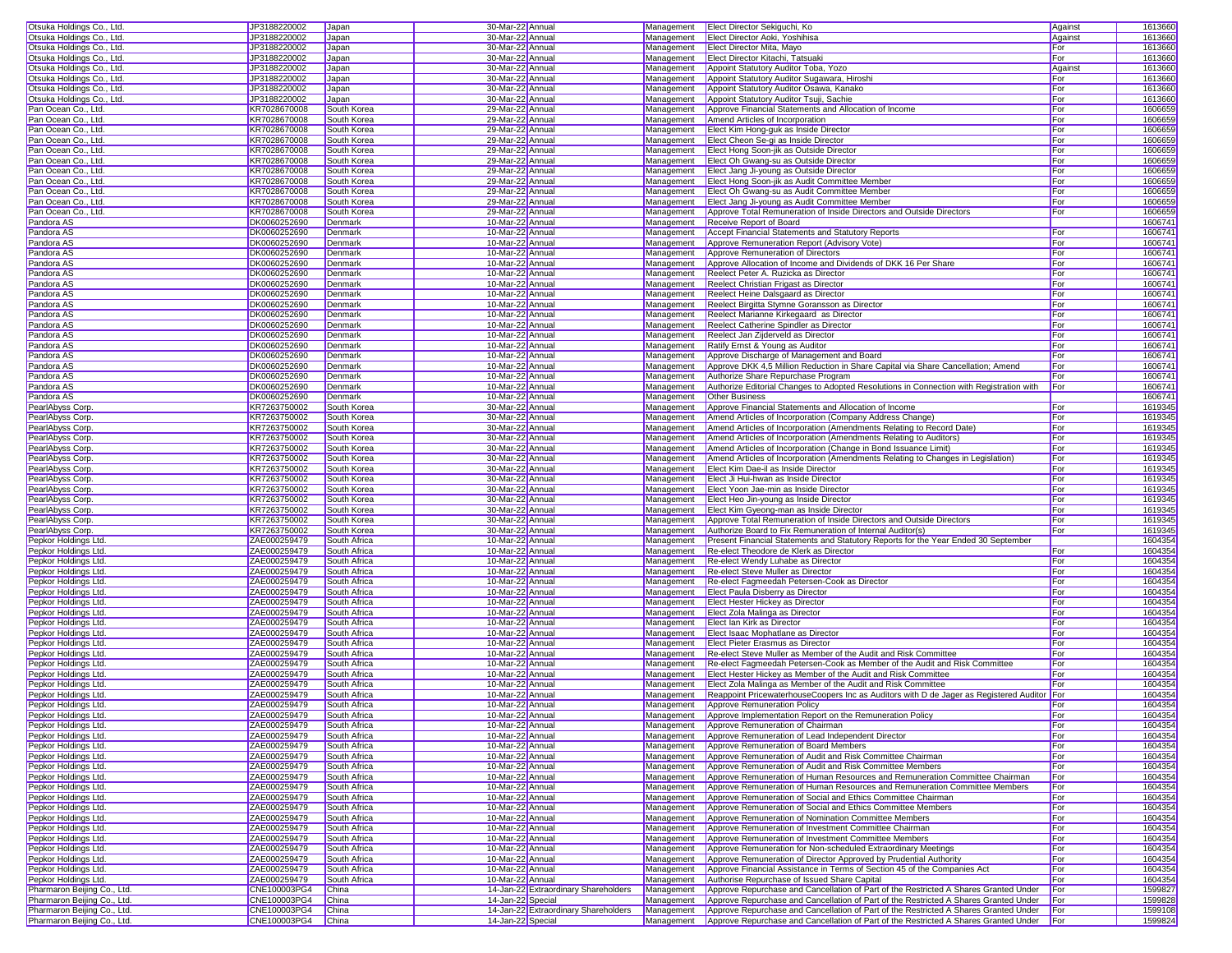| Otsuka Holdings Co., Ltd            | JP3188220002       | Japan        | 30-Mar-22 Annual                     |            | Management <b>Elect Director Sekiguchi</b> , Ko                                                     | Against | 1613660 |
|-------------------------------------|--------------------|--------------|--------------------------------------|------------|-----------------------------------------------------------------------------------------------------|---------|---------|
| Otsuka Holdings Co., Ltd            | JP3188220002       | Japan        | 30-Mar-22 Annual                     | Management | Elect Director Aoki, Yoshihisa                                                                      | Against | 1613660 |
| Otsuka Holdings Co., Ltd.           | JP3188220002       | Japan        | 30-Mar-22 Annual                     | Management | <b>Elect Director Mita, Mayo</b>                                                                    | For     | 1613660 |
|                                     |                    |              | 30-Mar-22 Annual                     | Management | Elect Director Kitachi, Tatsuaki                                                                    | For     | 1613660 |
| Otsuka Holdings Co., Ltd.           | JP3188220002       | Japan        |                                      |            | Appoint Statutory Auditor Toba, Yozo                                                                |         |         |
| Otsuka Holdings Co., Ltd.           | JP3188220002       | Japan        | 30-Mar-22 Annual                     | Management |                                                                                                     | Against | 1613660 |
| Otsuka Holdings Co., Ltd.           | JP3188220002       | Japan        | 30-Mar-22 Annual                     | Management | Appoint Statutory Auditor Sugawara, Hiroshi                                                         | For     | 1613660 |
| Otsuka Holdings Co., Ltd            | JP3188220002       | Japan        | 30-Mar-22 Annual                     | Management | Appoint Statutory Auditor Osawa, Kanako                                                             | For     | 1613660 |
| Otsuka Holdings Co., Ltd.           | JP3188220002       | Japan        | 30-Mar-22 Annual                     | Management | Appoint Statutory Auditor Tsuji, Sachie                                                             | For     | 1613660 |
| Pan Ocean Co., Ltd.                 | KR7028670008       | South Korea  | 29-Mar-22 Annual                     | Management | Approve Financial Statements and Allocation of Income                                               | For     | 1606659 |
| Pan Ocean Co., Ltd.                 | KR7028670008       | South Korea  | 29-Mar-22 Annual                     | Management | Amend Articles of Incorporation                                                                     | For     | 1606659 |
| Pan Ocean Co., Ltd.                 | KR7028670008       | South Korea  | 29-Mar-22 Annual                     | Management | Elect Kim Hong-guk as Inside Director                                                               | For     | 1606659 |
| Pan Ocean Co., Ltd.                 | KR7028670008       | South Korea  | 29-Mar-22 Annual                     | Management | Elect Cheon Se-gi as Inside Director                                                                | For     | 1606659 |
| Pan Ocean Co., Ltd.                 | KR7028670008       | South Korea  | 29-Mar-22 Annual                     | Management | Elect Hong Soon-jik as Outside Director                                                             | For     | 1606659 |
| Pan Ocean Co., Ltd.                 | KR7028670008       | South Korea  | 29-Mar-22 Annual                     | Management | Elect Oh Gwang-su as Outside Director                                                               | For     | 1606659 |
| Pan Ocean Co., Ltd.                 | KR7028670008       | South Korea  | 29-Mar-22 Annual                     | Management | Elect Jang Ji-young as Outside Director                                                             | For     | 1606659 |
| Pan Ocean Co., Ltd.                 | KR7028670008       | South Korea  | 29-Mar-22 Annual                     | Management | Elect Hong Soon-jik as Audit Committee Member                                                       | For     | 1606659 |
| Pan Ocean Co., Ltd.                 | KR7028670008       | South Korea  | 29-Mar-22 Annual                     | Management | Elect Oh Gwang-su as Audit Committee Member                                                         | For     | 1606659 |
| Pan Ocean Co., Ltd.                 | KR7028670008       | South Korea  | 29-Mar-22 Annual                     | Management | Elect Jang Ji-young as Audit Committee Member                                                       | For     | 1606659 |
| Pan Ocean Co., Ltd.                 | KR7028670008       | South Korea  | 29-Mar-22 Annual                     | Management | Approve Total Remuneration of Inside Directors and Outside Directors                                | For     | 1606659 |
| Pandora AS                          | DK0060252690       | Denmark      | 10-Mar-22 Annual                     | Management | Receive Report of Board                                                                             |         | 1606741 |
|                                     |                    |              | 10-Mar-22 Annual                     |            | Accept Financial Statements and Statutory Reports                                                   |         |         |
| Pandora AS                          | DK0060252690       | Denmark      |                                      | Management |                                                                                                     | For     | 160674  |
| Pandora AS                          | DK0060252690       | Denmark      | 10-Mar-22 Annual                     | Management | Approve Remuneration Report (Advisory Vote)                                                         | For     | 160674  |
| Pandora AS                          | DK0060252690       | Denmark      | 10-Mar-22 Annual                     | Management | Approve Remuneration of Directors                                                                   | For     | 1606741 |
| Pandora AS                          | DK0060252690       | Denmark      | 10-Mar-22 Annual                     | Management | Approve Allocation of Income and Dividends of DKK 16 Per Share                                      | For     | 1606741 |
| Pandora AS                          | DK0060252690       | Denmark      | 10-Mar-22 Annual                     | Management | Reelect Peter A. Ruzicka as Director                                                                | For     | 1606741 |
| Pandora AS                          | DK0060252690       | Denmark      | 10-Mar-22 Annual                     | Management | Reelect Christian Frigast as Director                                                               | For     | 1606741 |
| Pandora AS                          | DK0060252690       | Denmark      | 10-Mar-22 Annual                     | Management | Reelect Heine Dalsgaard as Director                                                                 | For     | 1606741 |
| Pandora AS                          | DK0060252690       | Denmark      | 10-Mar-22 Annual                     | Management | Reelect Birgitta Stymne Goransson as Director                                                       | For     | 1606741 |
| Pandora AS                          | DK0060252690       | Denmark      | 10-Mar-22 Annual                     | Management | Reelect Marianne Kirkegaard as Director                                                             | For     | 1606741 |
| Pandora AS                          | DK0060252690       | Denmark      | 10-Mar-22 Annual                     | Management | Reelect Catherine Spindler as Director                                                              | For     | 1606741 |
| Pandora AS                          | DK0060252690       | Denmark      | 10-Mar-22 Annual                     | Management | Reelect Jan Zijderveld as Director                                                                  | For     | 1606741 |
| Pandora AS                          | DK0060252690       | Denmark      | 10-Mar-22 Annual                     | Management | Ratify Ernst & Young as Auditor                                                                     | For     | 1606741 |
| Pandora AS                          | DK0060252690       | Denmark      | 10-Mar-22 Annual                     | Management | Approve Discharge of Management and Board                                                           | For     | 1606741 |
| Pandora AS                          | DK0060252690       | Denmark      | 10-Mar-22 Annual                     | Management | Approve DKK 4,5 Million Reduction in Share Capital via Share Cancellation; Amend                    | For     | 1606741 |
| Pandora AS                          | DK0060252690       | Denmark      | 10-Mar-22 Annual                     | Management | Authorize Share Repurchase Program                                                                  | For     | 1606741 |
| Pandora AS                          | DK0060252690       | Denmark      | 10-Mar-22 Annual                     | Management | Authorize Editorial Changes to Adopted Resolutions in Connection with Registration with             | For     | 1606741 |
| Pandora AS                          | DK0060252690       | Denmark      | 10-Mar-22 Annual                     | Management | <b>Other Business</b>                                                                               |         | 1606741 |
| PearlAbyss Corp                     | KR7263750002       | South Korea  | 30-Mar-22 Annual                     | Management | Approve Financial Statements and Allocation of Income                                               | For     | 1619345 |
| PearlAbyss Corp.                    | KR7263750002       | South Korea  | 30-Mar-22 Annual                     | Management | Amend Articles of Incorporation (Company Address Change)                                            | For     | 1619345 |
| PearlAbyss Corp                     | KR7263750002       | South Korea  | 30-Mar-22 Annual                     | Management | Amend Articles of Incorporation (Amendments Relating to Record Date)                                | For     | 1619345 |
|                                     | KR7263750002       | South Korea  | 30-Mar-22 Annual                     | Management | Amend Articles of Incorporation (Amendments Relating to Auditors)                                   | For     | 1619345 |
| PearlAbyss Corp<br>PearlAbyss Corp. |                    |              |                                      | Management |                                                                                                     |         | 1619345 |
|                                     | KR7263750002       | South Korea  | 30-Mar-22 Annual                     |            | Amend Articles of Incorporation (Change in Bond Issuance Limit)                                     | For     |         |
| PearlAbyss Corp.                    | KR7263750002       | South Korea  | 30-Mar-22 Annual                     | Management | Amend Articles of Incorporation (Amendments Relating to Changes in Legislation)                     | For     | 1619345 |
| PearlAbyss Corp.                    | KR7263750002       | South Korea  | 30-Mar-22 Annual                     | Management | Elect Kim Dae-il as Inside Director                                                                 | For     | 1619345 |
| PearlAbyss Corp.                    | KR7263750002       | South Korea  | 30-Mar-22 Annual                     | Management | Elect Ji Hui-hwan as Inside Director                                                                | For     | 1619345 |
| PearlAbyss Corp.                    | KR7263750002       | South Korea  | 30-Mar-22 Annual                     | Management | Elect Yoon Jae-min as Inside Director                                                               | For     | 1619345 |
| PearlAbyss Corp.                    | KR7263750002       | South Korea  | 30-Mar-22 Annual                     | Management | Elect Heo Jin-young as Inside Director                                                              | For     | 1619345 |
| PearlAbyss Corp.                    | KR7263750002       | South Korea  | 30-Mar-22 Annual                     | Management | Elect Kim Gyeong-man as Inside Director                                                             | For     | 1619345 |
| PearlAbyss Corp.                    | KR7263750002       | South Korea  | 30-Mar-22 Annual                     | Management | Approve Total Remuneration of Inside Directors and Outside Directors                                | For     | 1619345 |
| PearlAbyss Corp.                    | KR7263750002       | South Korea  | 30-Mar-22 Annual                     | Management | Authorize Board to Fix Remuneration of Internal Auditor(s)                                          | For     | 1619345 |
| Pepkor Holdings Ltd                 | ZAE000259479       | South Africa | 10-Mar-22 Annual                     | Management | Present Financial Statements and Statutory Reports for the Year Ended 30 September                  |         | 1604354 |
| Pepkor Holdings Ltd.                | ZAE000259479       | South Africa | 10-Mar-22 Annual                     | Management | Re-elect Theodore de Klerk as Director                                                              | For     | 1604354 |
| Pepkor Holdings Ltd.                | ZAE000259479       | South Africa | 10-Mar-22 Annual                     | Management | Re-elect Wendy Luhabe as Director                                                                   | For     | 1604354 |
| Pepkor Holdings Ltd.                | ZAE000259479       | South Africa | 10-Mar-22 Annual                     | Management | Re-elect Steve Muller as Director                                                                   | For     | 1604354 |
| Pepkor Holdings Ltd.                | ZAE000259479       | South Africa | 10-Mar-22 Annual                     | Management | Re-elect Fagmeedah Petersen-Cook as Director                                                        | For     | 1604354 |
| Pepkor Holdings Ltd.                | ZAE000259479       | South Africa | 10-Mar-22 Annual                     | Management | Elect Paula Disberry as Director                                                                    | For     | 1604354 |
| Pepkor Holdings Ltd.                | ZAE000259479       | South Africa | 10-Mar-22 Annual                     | Management | <b>Elect Hester Hickey as Director</b>                                                              | For     | 1604354 |
| Pepkor Holdings Ltd.                | ZAE000259479       | South Africa | 10-Mar-22 Annual                     | Management | Elect Zola Malinga as Director                                                                      | For     | 1604354 |
| Pepkor Holdings Ltd.                | ZAE000259479       | South Africa | 10-Mar-22 Annual                     | Management | Elect Ian Kirk as Director                                                                          | For     | 1604354 |
| Pepkor Holdings Ltd.                | ZAE000259479       | South Africa | 10-Mar-22 Annual                     | Management | Elect Isaac Mophatlane as Director                                                                  | For     | 1604354 |
| Pepkor Holdings Ltd.                | ZAE000259479       | South Africa | 10-Mar-22 Annual                     | Management | <b>Elect Pieter Erasmus as Director</b>                                                             | For     | 1604354 |
| Pepkor Holdings Ltd.                | ZAE000259479       | South Africa | 10-Mar-22 Annual                     | Management | Re-elect Steve Muller as Member of the Audit and Risk Committee                                     | For     | 1604354 |
| Pepkor Holdings Ltd.                | ZAE000259479       | South Africa | 10-Mar-22 Annual                     | Management | Re-elect Fagmeedah Petersen-Cook as Member of the Audit and Risk Committee                          | For     | 1604354 |
| Pepkor Holdings Ltd.                | ZAE000259479       | South Africa | 10-Mar-22 Annual                     | Management | Elect Hester Hickey as Member of the Audit and Risk Committee                                       | For     | 1604354 |
| Pepkor Holdings Ltd.                | ZAE000259479       | South Africa | 10-Mar-22 Annual                     | Management | Elect Zola Malinga as Member of the Audit and Risk Committee                                        | For     | 1604354 |
| Pepkor Holdings Ltd.                | ZAE000259479       | South Africa | 10-Mar-22 Annual                     | Management | Reappoint PricewaterhouseCoopers Inc as Auditors with D de Jager as Registered Auditor For          |         | 1604354 |
| Pepkor Holdings Ltd                 | ZAE000259479       | South Africa | 10-Mar-22 Annual                     | Management | Approve Remuneration Policy                                                                         | For     | 1604354 |
| Pepkor Holdings Ltd.                | ZAE000259479       | South Africa | 10-Mar-22 Annual                     |            | Management Approve Implementation Report on the Remuneration Policy                                 | For     | 1604354 |
| Pepkor Holdings Ltd.                | ZAE000259479       | South Africa | 10-Mar-22 Annual                     | Management | Approve Remuneration of Chairman                                                                    | For     | 1604354 |
| Pepkor Holdings Ltd.                | ZAE000259479       | South Africa | 10-Mar-22 Annual                     | Management | Approve Remuneration of Lead Independent Director                                                   | For     | 1604354 |
| Pepkor Holdings Ltd.                | ZAE000259479       | South Africa | 10-Mar-22 Annual                     | Management | Approve Remuneration of Board Members                                                               | For     | 1604354 |
| Pepkor Holdings Ltd.                | ZAE000259479       | South Africa | 10-Mar-22 Annual                     | Management | Approve Remuneration of Audit and Risk Committee Chairman                                           | For     | 1604354 |
| Pepkor Holdings Ltd.                | ZAE000259479       | South Africa | 10-Mar-22 Annual                     | Management | Approve Remuneration of Audit and Risk Committee Members                                            | For     | 1604354 |
| Pepkor Holdings Ltd.                | ZAE000259479       | South Africa | 10-Mar-22 Annual                     | Management | Approve Remuneration of Human Resources and Remuneration Committee Chairman                         | For     | 1604354 |
| Pepkor Holdings Ltd.                | ZAE000259479       | South Africa | 10-Mar-22 Annual                     | Management | Approve Remuneration of Human Resources and Remuneration Committee Members                          | For     | 1604354 |
| Pepkor Holdings Ltd.                | ZAE000259479       | South Africa | 10-Mar-22 Annual                     | Management | Approve Remuneration of Social and Ethics Committee Chairman                                        | For     | 1604354 |
|                                     | ZAE000259479       | South Africa | 10-Mar-22 Annual                     | Management | Approve Remuneration of Social and Ethics Committee Members                                         | For     | 1604354 |
| Pepkor Holdings Ltd.                |                    | South Africa |                                      |            |                                                                                                     | For     | 1604354 |
| Pepkor Holdings Ltd.                | ZAE000259479       |              | 10-Mar-22 Annual                     | Management | Approve Remuneration of Nomination Committee Members                                                |         |         |
| Pepkor Holdings Ltd.                | ZAE000259479       | South Africa | 10-Mar-22 Annual                     | Management | Approve Remuneration of Investment Committee Chairman                                               | For     | 1604354 |
| Pepkor Holdings Ltd.                | ZAE000259479       | South Africa | 10-Mar-22 Annual                     | Management | Approve Remuneration of Investment Committee Members                                                | For     | 1604354 |
| Pepkor Holdings Ltd.                | ZAE000259479       | South Africa | 10-Mar-22 Annual                     | Management | Approve Remuneration for Non-scheduled Extraordinary Meetings                                       | For     | 1604354 |
| Pepkor Holdings Ltd.                | ZAE000259479       | South Africa | 10-Mar-22 Annual                     | Management | Approve Remuneration of Director Approved by Prudential Authority                                   | For     | 1604354 |
| Pepkor Holdings Ltd.                | ZAE000259479       | South Africa | 10-Mar-22 Annual                     | Management | Approve Financial Assistance in Terms of Section 45 of the Companies Act                            | For     | 1604354 |
| Pepkor Holdings Ltd.                | ZAE000259479       | South Africa | 10-Mar-22 Annual                     | Management | Authorise Repurchase of Issued Share Capital                                                        | For     | 1604354 |
| Pharmaron Beijing Co., Ltd.         | CNE100003PG4       | China        | 14-Jan-22 Extraordinary Shareholders | Management | Approve Repurchase and Cancellation of Part of the Restricted A Shares Granted Under                | For     | 1599827 |
| Pharmaron Beiling Co., Ltd.         | CNE100003PG4       | China        | 14-Jan-22 Special                    | Management | Approve Repurchase and Cancellation of Part of the Restricted A Shares Granted Under For            |         | 1599828 |
| Pharmaron Beijing Co., Ltd.         | CNE100003PG4       | China        | 14-Jan-22 Extraordinary Shareholders | Management | Approve Repurchase and Cancellation of Part of the Restricted A Shares Granted Under For            |         | 1599108 |
| Pharmaron Beijing Co., Ltd.         | CNE100003PG4 China |              | 14-Jan-22 Special                    |            | Management Approve Repurchase and Cancellation of Part of the Restricted A Shares Granted Under For |         | 1599824 |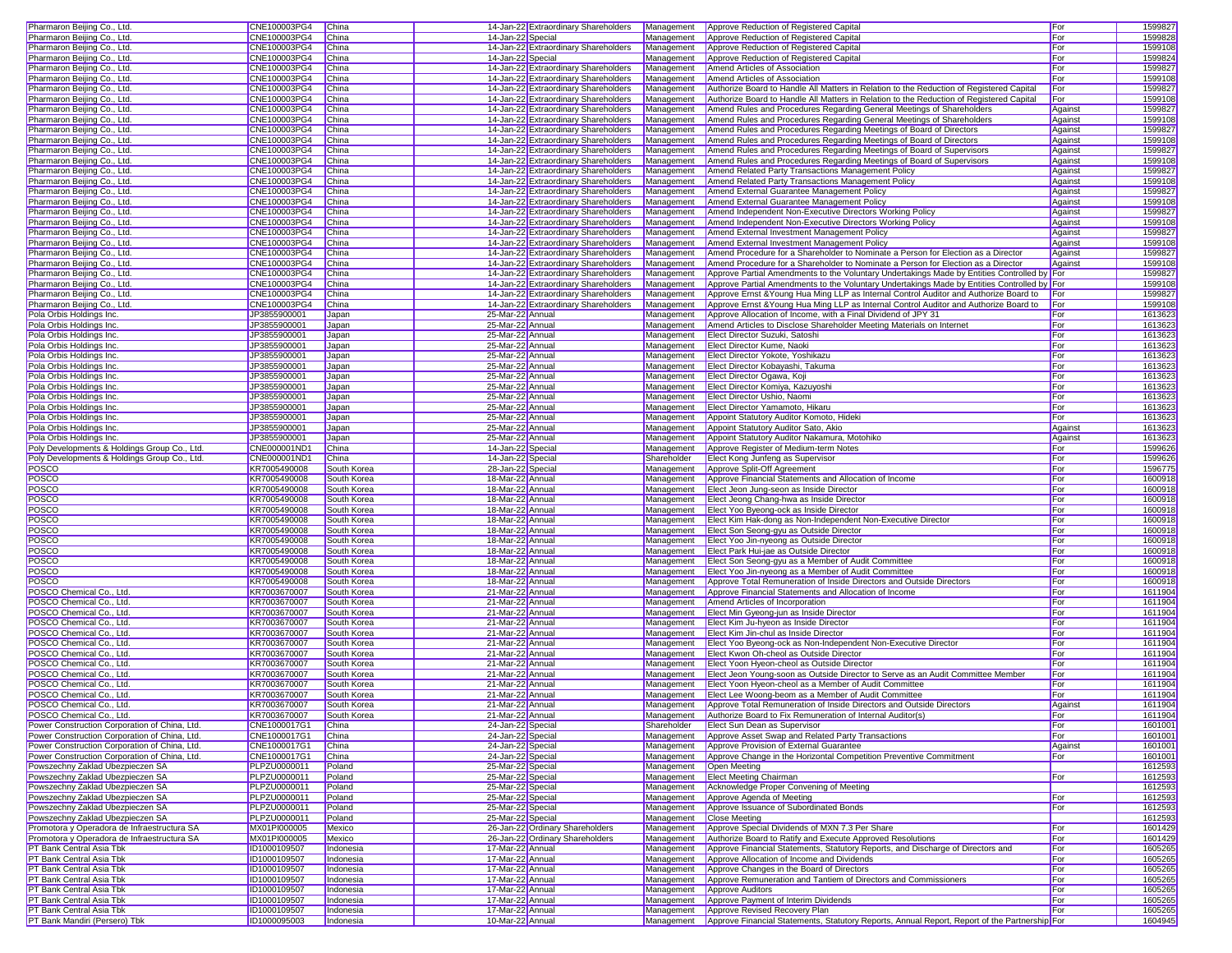| Pharmaron Beijing Co., Ltd.                               | CNE100003PG4                 | China                  |                                      | 14-Jan-22 Extraordinary Shareholders | Management  | Approve Reduction of Registered Capital                                                                                                   | For     | 1599827            |
|-----------------------------------------------------------|------------------------------|------------------------|--------------------------------------|--------------------------------------|-------------|-------------------------------------------------------------------------------------------------------------------------------------------|---------|--------------------|
| Pharmaron Beijing Co., Ltd.                               | CNE100003PG4                 | China                  | 14-Jan-22 Special                    |                                      | Management  | Approve Reduction of Registered Capital                                                                                                   | For     | 1599828            |
| Pharmaron Beijing Co., Ltd.                               | CNE100003PG4                 | China                  |                                      | 14-Jan-22 Extraordinary Shareholders | Management  | Approve Reduction of Registered Capital                                                                                                   | For     | 1599108            |
| Pharmaron Beijing Co., Ltd.                               | CNE100003PG4                 | China                  | 14-Jan-22 Special                    |                                      | Management  | Approve Reduction of Registered Capital                                                                                                   | For     | 1599824            |
|                                                           |                              |                        |                                      |                                      |             |                                                                                                                                           |         |                    |
| Pharmaron Beijing Co., Ltd.                               | CNE100003PG4                 | China                  |                                      | 14-Jan-22 Extraordinary Shareholders | Management  | Amend Articles of Association                                                                                                             | For     | 1599827            |
| Pharmaron Beijing Co., Ltd.                               | CNE100003PG4                 | China                  |                                      | 14-Jan-22 Extraordinary Shareholders | Management  | Amend Articles of Association                                                                                                             | For     | 1599108            |
| Pharmaron Beijing Co., Ltd.                               | CNE100003PG4                 | China                  |                                      | 14-Jan-22 Extraordinary Shareholders | Management  | Authorize Board to Handle All Matters in Relation to the Reduction of Registered Capital                                                  | For     | 1599827            |
| Pharmaron Beijing Co., Ltd.                               | CNE100003PG4                 | China                  |                                      | 14-Jan-22 Extraordinary Shareholders | Management  | Authorize Board to Handle All Matters in Relation to the Reduction of Registered Capital                                                  | For     | 1599108            |
| Pharmaron Beijing Co., Ltd.                               | CNE100003PG4                 | China                  |                                      | 14-Jan-22 Extraordinary Shareholders | Management  | Amend Rules and Procedures Regarding General Meetings of Shareholders                                                                     | Against | 1599827            |
| Pharmaron Beijing Co., Ltd.                               | CNE100003PG4                 | China                  |                                      | 14-Jan-22 Extraordinary Shareholders | Management  | Amend Rules and Procedures Regarding General Meetings of Shareholders                                                                     | Against | 1599108            |
| Pharmaron Beijing Co., Ltd.                               | CNE100003PG4                 | China                  |                                      | 14-Jan-22 Extraordinary Shareholders | Management  | Amend Rules and Procedures Regarding Meetings of Board of Directors                                                                       | Against | 1599827            |
| Pharmaron Beijing Co., Ltd.                               | CNE100003PG4                 | China                  |                                      | 14-Jan-22 Extraordinary Shareholders | Management  | Amend Rules and Procedures Regarding Meetings of Board of Directors                                                                       | Against | 1599108            |
|                                                           |                              |                        |                                      |                                      |             |                                                                                                                                           |         |                    |
| Pharmaron Beijing Co., Ltd.                               | CNE100003PG4                 | China                  |                                      | 14-Jan-22 Extraordinary Shareholders | Management  | Amend Rules and Procedures Regarding Meetings of Board of Supervisors                                                                     | Against | 1599827            |
| Pharmaron Beijing Co., Ltd.                               | CNE100003PG4                 | China                  |                                      | 14-Jan-22 Extraordinary Shareholders | Management  | Amend Rules and Procedures Regarding Meetings of Board of Supervisors                                                                     | Against | 1599108            |
| Pharmaron Beijing Co., Ltd.                               | CNE100003PG4                 | China                  |                                      | 14-Jan-22 Extraordinary Shareholders | Management  | Amend Related Party Transactions Management Policy                                                                                        | Against | 1599827            |
| Pharmaron Beijing Co., Ltd.                               | CNE100003PG4                 | China                  |                                      | 14-Jan-22 Extraordinary Shareholders | Management  | Amend Related Party Transactions Management Policy                                                                                        | Against | 1599108            |
| Pharmaron Beijing Co., Ltd.                               | CNE100003PG4                 | China                  |                                      | 14-Jan-22 Extraordinary Shareholders | Management  | Amend External Guarantee Management Policy                                                                                                | Against | 1599827            |
| Pharmaron Beijing Co., Ltd.                               | CNE100003PG4                 | China                  |                                      | 14-Jan-22 Extraordinary Shareholders | Management  | Amend External Guarantee Management Policy                                                                                                | Against | 1599108            |
| Pharmaron Beijing Co., Ltd.                               | CNE100003PG4                 | China                  |                                      | 14-Jan-22 Extraordinary Shareholders | Management  | Amend Independent Non-Executive Directors Working Policy                                                                                  | Against | 1599827            |
| Pharmaron Beijing Co., Ltd.                               | CNE100003PG4                 | China                  |                                      | 14-Jan-22 Extraordinary Shareholders | Management  | Amend Independent Non-Executive Directors Working Policy                                                                                  | Against | 1599108            |
| Pharmaron Beijing Co., Ltd.                               | CNE100003PG4                 | China                  |                                      | 14-Jan-22 Extraordinary Shareholders |             | Amend External Investment Management Policy                                                                                               | Against | 1599827            |
|                                                           |                              |                        |                                      |                                      | Management  |                                                                                                                                           |         |                    |
| Pharmaron Beijing Co., Ltd.                               | CNE100003PG4                 | China                  |                                      | 14-Jan-22 Extraordinary Shareholders | Management  | Amend External Investment Management Policy                                                                                               | Against | 1599108            |
| Pharmaron Beijing Co., Ltd.                               | CNE100003PG4                 | China                  |                                      | 14-Jan-22 Extraordinary Shareholders | Management  | Amend Procedure for a Shareholder to Nominate a Person for Election as a Director                                                         | Against | 1599827            |
| Pharmaron Beijing Co., Ltd.                               | CNE100003PG4                 | China                  |                                      | 14-Jan-22 Extraordinary Shareholders | Management  | Amend Procedure for a Shareholder to Nominate a Person for Election as a Director                                                         | Against | 1599108            |
| Pharmaron Beijing Co., Ltd.                               | CNE100003PG4                 | China                  |                                      | 14-Jan-22 Extraordinary Shareholders | Management  | Approve Partial Amendments to the Voluntary Undertakings Made by Entities Controlled by For                                               |         | 1599827            |
| Pharmaron Beijing Co., Ltd.                               | CNE100003PG4                 | China                  |                                      | 14-Jan-22 Extraordinary Shareholders | Management  | Approve Partial Amendments to the Voluntary Undertakings Made by Entities Controlled by For                                               |         | 1599108            |
| Pharmaron Beijing Co., Ltd.                               | CNE100003PG4                 | China                  |                                      | 14-Jan-22 Extraordinary Shareholders | Management  | Approve Ernst & Young Hua Ming LLP as Internal Control Auditor and Authorize Board to For                                                 |         | 1599827            |
| Pharmaron Beijing Co., Ltd.                               | CNE100003PG4                 | China                  |                                      | 14-Jan-22 Extraordinary Shareholders | Management  | Approve Ernst & Young Hua Ming LLP as Internal Control Auditor and Authorize Board to                                                     | For     | 1599108            |
| Pola Orbis Holdings Inc.                                  | JP3855900001                 | Japan                  | 25-Mar-22 Annual                     |                                      | Management  | Approve Allocation of Income, with a Final Dividend of JPY 31                                                                             | For     | 1613623            |
| Pola Orbis Holdings Inc.                                  | JP3855900001                 | Japan                  | 25-Mar-22 Annual                     |                                      | Management  | Amend Articles to Disclose Shareholder Meeting Materials on Internet                                                                      | For     | 1613623            |
|                                                           |                              |                        |                                      |                                      |             |                                                                                                                                           |         |                    |
| Pola Orbis Holdings Inc.                                  | JP3855900001                 | Japan                  | 25-Mar-22 Annual                     |                                      | Management  | Elect Director Suzuki, Satoshi                                                                                                            | For     | 1613623            |
| Pola Orbis Holdings Inc.                                  | JP3855900001                 | Japan                  | 25-Mar-22 Annual                     |                                      | Management  | Elect Director Kume, Naoki                                                                                                                | For     | 1613623            |
| Pola Orbis Holdings Inc.                                  | JP3855900001                 | Japan                  | 25-Mar-22 Annual                     |                                      | Management  | Elect Director Yokote, Yoshikazu                                                                                                          | For     | 1613623            |
| Pola Orbis Holdings Inc.                                  | JP3855900001                 | Japan                  | 25-Mar-22 Annual                     |                                      | Management  | Elect Director Kobavashi, Takuma                                                                                                          | For     | 1613623            |
| Pola Orbis Holdings Inc.                                  | JP3855900001                 | Japan                  | 25-Mar-22 Annual                     |                                      | Management  | Elect Director Ogawa, Koji                                                                                                                | For     | 1613623            |
| Pola Orbis Holdings Inc.                                  | JP3855900001                 | Japan                  | 25-Mar-22 Annual                     |                                      | Management  | Elect Director Komiya, Kazuyoshi                                                                                                          | For     | 1613623            |
| Pola Orbis Holdings Inc.                                  | JP3855900001                 | Japan                  | 25-Mar-22 Annual                     |                                      | Management  | Elect Director Ushio, Naomi                                                                                                               | For     | 1613623            |
| Pola Orbis Holdings Inc.                                  | JP3855900001                 | Japan                  | 25-Mar-22 Annual                     |                                      | Management  | Elect Director Yamamoto, Hikaru                                                                                                           | For     | 1613623            |
|                                                           |                              |                        |                                      |                                      |             |                                                                                                                                           | For     | 1613623            |
| Pola Orbis Holdings Inc.                                  | JP3855900001                 | Japan                  | 25-Mar-22 Annual                     |                                      | Management  | Appoint Statutory Auditor Komoto, Hideki                                                                                                  |         |                    |
| Pola Orbis Holdings Inc.                                  | JP3855900001                 | Japan                  | 25-Mar-22 Annual                     |                                      | Management  | Appoint Statutory Auditor Sato, Akio                                                                                                      | Against | 1613623            |
| Pola Orbis Holdings Inc.                                  | JP3855900001                 | Japan                  | 25-Mar-22 Annual                     |                                      | Management  | Appoint Statutory Auditor Nakamura, Motohiko                                                                                              | Against | 1613623            |
| Poly Developments & Holdings Group Co., Ltd.              | CNE000001ND1                 | China                  | 14-Jan-22 Special                    |                                      | Management  | Approve Register of Medium-term Notes                                                                                                     | For     | 1599626            |
| Poly Developments & Holdings Group Co., Ltd.              | CNE000001ND1                 | China                  | 14-Jan-22 Special                    |                                      | Shareholder | Elect Kong Junfeng as Supervisor                                                                                                          | For     | 1599626            |
| POSCO                                                     | KR7005490008                 | South Korea            | 28-Jan-22 Special                    |                                      | Management  | Approve Split-Off Agreement                                                                                                               | For     | 1596775            |
| POSCO                                                     | KR7005490008                 | South Korea            | 18-Mar-22 Annual                     |                                      | Management  | Approve Financial Statements and Allocation of Income                                                                                     | For     | 1600918            |
| POSCO                                                     | KR7005490008                 | South Korea            | 18-Mar-22 Annual                     |                                      | Management  | Elect Jeon Jung-seon as Inside Director                                                                                                   | For     | 1600918            |
| POSCO                                                     | KR7005490008                 | South Korea            | 18-Mar-22 Annual                     |                                      | Management  | Elect Jeong Chang-hwa as Inside Director                                                                                                  | For     | 1600918            |
| <b>POSCO</b>                                              | KR7005490008                 | South Korea            | 18-Mar-22 Annual                     |                                      | Management  | Elect Yoo Byeong-ock as Inside Director                                                                                                   | For     | 1600918            |
|                                                           |                              |                        |                                      |                                      |             |                                                                                                                                           |         |                    |
| POSCO                                                     | KR7005490008                 | South Korea            | 18-Mar-22 Annual                     |                                      | Management  | Elect Kim Hak-dong as Non-Independent Non-Executive Director                                                                              | For     | 1600918            |
| POSCO                                                     | KR7005490008                 | South Korea            | 18-Mar-22 Annual                     |                                      | Management  | Elect Son Seong-gyu as Outside Director                                                                                                   | For     | 1600918            |
| POSCO                                                     | KR7005490008                 | South Korea            | 18-Mar-22 Annual                     |                                      | Management  | Elect Yoo Jin-nyeong as Outside Director                                                                                                  | For     | 1600918            |
| POSCO                                                     | KR7005490008                 | South Korea            | 18-Mar-22 Annual                     |                                      | Management  | Elect Park Hui-jae as Outside Director                                                                                                    | For     | 1600918            |
| <b>POSCO</b>                                              | KR7005490008                 | South Korea            | 18-Mar-22 Annual                     |                                      | Management  | Elect Son Seong-gyu as a Member of Audit Committee                                                                                        | For     | 1600918            |
| POSCO                                                     | KR7005490008                 | South Korea            | 18-Mar-22 Annual                     |                                      | Management  | Elect Yoo Jin-nyeong as a Member of Audit Committee                                                                                       | For     | 1600918            |
| POSCO                                                     | KR7005490008                 | South Korea            |                                      |                                      |             |                                                                                                                                           |         |                    |
| POSCO Chemical Co., Ltd.                                  |                              |                        |                                      |                                      |             |                                                                                                                                           |         |                    |
| POSCO Chemical Co., Ltd.                                  |                              |                        | 18-Mar-22 Annual                     |                                      | Management  | Approve Total Remuneration of Inside Directors and Outside Directors                                                                      | For     | 1600918            |
|                                                           | KR7003670007                 | South Korea            | 21-Mar-22 Annual                     |                                      | Management  | Approve Financial Statements and Allocation of Income                                                                                     | For     | 1611904            |
|                                                           | KR7003670007                 | South Korea            | 21-Mar-22 Annual                     |                                      | Management  | Amend Articles of Incorporation                                                                                                           | For     | 1611904            |
| POSCO Chemical Co., Ltd.                                  | KR7003670007                 | South Korea            | 21-Mar-22 Annual                     |                                      | Management  | Elect Min Gyeong-jun as Inside Director                                                                                                   | For     | 1611904            |
| POSCO Chemical Co., Ltd.                                  | KR7003670007                 | South Korea            | 21-Mar-22 Annual                     |                                      | Management  | Elect Kim Ju-hyeon as Inside Director                                                                                                     | For     | 1611904            |
| POSCO Chemical Co., Ltd.                                  | KR7003670007                 | South Korea            | 21-Mar-22 Annual                     |                                      | Management  | Elect Kim Jin-chul as Inside Director                                                                                                     | For     | 1611904            |
| POSCO Chemical Co., Ltd.                                  | KR7003670007                 | South Korea            | 21-Mar-22 Annua                      |                                      | Management  | Elect Yoo Byeong-ock as Non-Independent Non-Executive Director                                                                            | For     | 1611904            |
| POSCO Chemical Co., Ltd.                                  | KR7003670007                 | South Korea            | 21-Mar-22 Annua                      |                                      | Management  | Elect Kwon Oh-cheol as Outside Director                                                                                                   | For     | 1611904            |
| POSCO Chemical Co., Ltd.                                  | KR7003670007                 | South Korea            | 21-Mar-22 Annual                     |                                      | Management  | Elect Yoon Hyeon-cheol as Outside Director                                                                                                | For     | 1611904            |
|                                                           | KR7003670007                 |                        |                                      |                                      |             |                                                                                                                                           |         |                    |
| POSCO Chemical Co., Ltd.                                  |                              | South Korea            | 21-Mar-22 Annual                     |                                      | Management  | Elect Jeon Young-soon as Outside Director to Serve as an Audit Committee Member                                                           | For     | 1611904            |
| POSCO Chemical Co., Ltd.                                  | KR7003670007                 | South Korea            | 21-Mar-22 Annual                     |                                      | Management  | Elect Yoon Hyeon-cheol as a Member of Audit Committee                                                                                     | For     | 1611904            |
| POSCO Chemical Co., Ltd.                                  | KR7003670007                 | South Korea            | 21-Mar-22 Annual                     |                                      | Management  | Elect Lee Woong-beom as a Member of Audit Committee                                                                                       | For     | 1611904            |
| POSCO Chemical Co., Ltd.                                  | KR7003670007                 | South Korea            | 21-Mar-22 Annual                     |                                      |             | Management Approve Total Remuneration of Inside Directors and Outside Directors                                                           | Against | 1611904            |
| POSCO Chemical Co., Ltd.                                  | KR7003670007                 | South Korea            | 21-Mar-22 Annua                      |                                      |             | Management Authorize Board to Fix Remuneration of Internal Auditor(s)                                                                     | For     | 1611904            |
| Power Construction Corporation of China, Ltd.             | CNE1000017G1                 | China                  | 24-Jan-22 Special                    |                                      | Shareholder | Elect Sun Dean as Supervisor                                                                                                              | For     | 1601001            |
| Power Construction Corporation of China, Ltd.             | CNE1000017G1                 | China                  | 24-Jan-22 Special                    |                                      | Management  | Approve Asset Swap and Related Party Transactions                                                                                         | For     | 1601001            |
| Power Construction Corporation of China, Ltd.             | CNE1000017G1                 | China                  | 24-Jan-22 Special                    |                                      | Management  | Approve Provision of External Guarantee                                                                                                   | Against | 1601001            |
| Power Construction Corporation of China, Ltd.             | CNE1000017G1                 | China                  | 24-Jan-22 Special                    |                                      | Management  | Approve Change in the Horizontal Competition Preventive Commitment                                                                        | For     | 1601001            |
| Powszechny Zaklad Ubezpieczen SA                          | PLPZU0000011                 | Poland                 | 25-Mar-22 Special                    |                                      | Management  | Open Meeting                                                                                                                              |         | 1612593            |
|                                                           |                              |                        |                                      |                                      |             |                                                                                                                                           |         |                    |
| Powszechny Zaklad Ubezpieczen SA                          | PLPZU0000011                 | Poland                 | 25-Mar-22 Special                    |                                      | Management  | <b>Elect Meeting Chairman</b>                                                                                                             | For     | 1612593            |
| Powszechny Zaklad Ubezpieczen SA                          | PLPZU0000011                 | Poland                 | 25-Mar-22 Special                    |                                      | Management  | Acknowledge Proper Convening of Meeting                                                                                                   |         | 1612593            |
| Powszechny Zaklad Ubezpieczen SA                          | PLPZU0000011                 | Poland                 | 25-Mar-22 Special                    |                                      | Management  | Approve Agenda of Meeting                                                                                                                 | For     | 1612593            |
| Powszechny Zaklad Ubezpieczen SA                          | PLPZU0000011                 | Poland                 | 25-Mar-22 Special                    |                                      | Management  | Approve Issuance of Subordinated Bonds                                                                                                    | For     | 1612593            |
| Powszechny Zaklad Ubezpieczen SA                          | PLPZU0000011                 | Poland                 | 25-Mar-22 Special                    |                                      | Management  | <b>Close Meeting</b>                                                                                                                      |         | 1612593            |
| Promotora y Operadora de Infraestructura SA               | MX01PI000005                 | Mexico                 |                                      | 26-Jan-22 Ordinary Shareholders      | Management  | Approve Special Dividends of MXN 7.3 Per Share                                                                                            | For     | 1601429            |
| Promotora y Operadora de Infraestructura SA               | MX01PI000005                 | Mexico                 |                                      | 26-Jan-22 Ordinary Shareholders      | Management  | Authorize Board to Ratify and Execute Approved Resolutions                                                                                | For     | 1601429            |
| PT Bank Central Asia Tbk                                  | ID1000109507                 | Indonesia              | 17-Mar-22 Annual                     |                                      | Management  | Approve Financial Statements, Statutory Reports, and Discharge of Directors and                                                           | For     | 1605265            |
| PT Bank Central Asia Tbk                                  |                              | Indonesia              | 17-Mar-22 Annual                     |                                      | Management  | Approve Allocation of Income and Dividends                                                                                                |         |                    |
|                                                           | ID1000109507                 |                        |                                      |                                      |             |                                                                                                                                           | For     | 1605265            |
| PT Bank Central Asia Tbk                                  | ID1000109507                 | Indonesia              | 17-Mar-22 Annual                     |                                      | Management  | Approve Changes in the Board of Directors                                                                                                 | For     | 1605265            |
| PT Bank Central Asia Tbk                                  | ID1000109507                 | Indonesia              | 17-Mar-22 Annual                     |                                      | Management  | Approve Remuneration and Tantiem of Directors and Commissioners                                                                           | For     | 1605265            |
| PT Bank Central Asia Tbk                                  | ID1000109507                 | Indonesia              | 17-Mar-22 Annual                     |                                      | Management  | Approve Auditors                                                                                                                          | For     | 1605265            |
| PT Bank Central Asia Tbk                                  | ID1000109507                 | Indonesia              | 17-Mar-22 Annual                     |                                      | Management  | Approve Payment of Interim Dividends                                                                                                      | For     | 1605265            |
| PT Bank Central Asia Tbk<br>PT Bank Mandiri (Persero) Tbk | ID1000109507<br>ID1000095003 | Indonesia<br>Indonesia | 17-Mar-22 Annual<br>10-Mar-22 Annual |                                      | Management  | Approve Revised Recovery Plan<br>Management Approve Financial Statements, Statutory Reports, Annual Report, Report of the Partnership For | For     | 1605265<br>1604945 |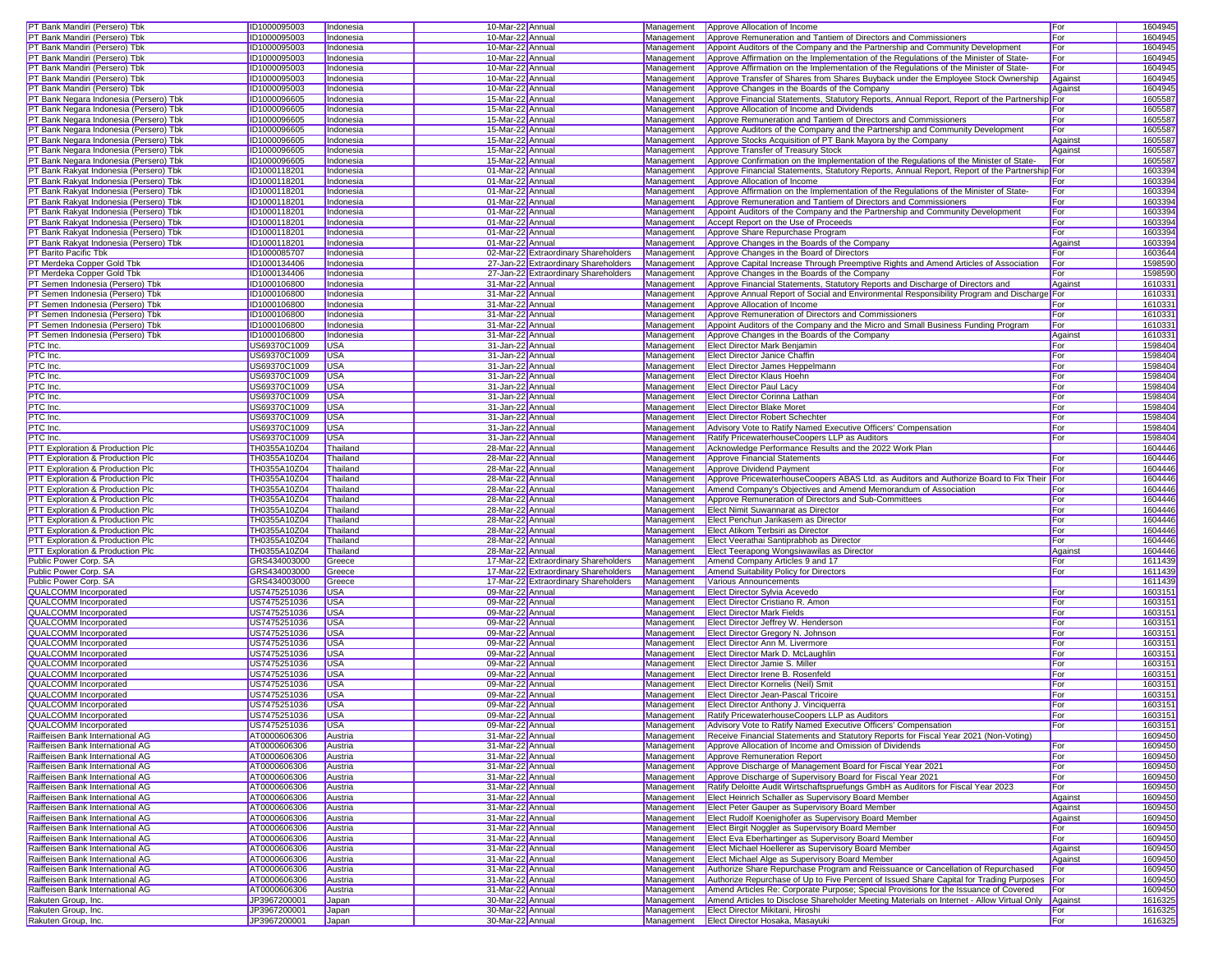| PT Bank Mandiri (Persero) Tbk          | ID1000095003 | Indonesia   | 10-Mar-22 Annual                     | Management | Approve Allocation of Income                                                                      | For     | 1604945 |
|----------------------------------------|--------------|-------------|--------------------------------------|------------|---------------------------------------------------------------------------------------------------|---------|---------|
| PT Bank Mandiri (Persero) Tbk          | ID1000095003 | Indonesia   | 10-Mar-22 Annual                     | Management | Approve Remuneration and Tantiem of Directors and Commissioners                                   | For     | 1604945 |
|                                        |              |             |                                      |            |                                                                                                   |         |         |
| PT Bank Mandiri (Persero) Tbk          | ID1000095003 | Indonesia   | 10-Mar-22 Annual                     | Management | Appoint Auditors of the Company and the Partnership and Community Development                     | For     | 1604945 |
| PT Bank Mandiri (Persero) Tbk          | ID1000095003 | Indonesia   | 10-Mar-22 Annual                     | Management | Approve Affirmation on the Implementation of the Regulations of the Minister of State-            | For     | 1604945 |
| PT Bank Mandiri (Persero) Tbk          | ID1000095003 | Indonesia   | 10-Mar-22 Annual                     | Management | Approve Affirmation on the Implementation of the Regulations of the Minister of State-            | For     | 1604945 |
| PT Bank Mandiri (Persero) Tbk          | ID1000095003 | Indonesia   | 10-Mar-22 Annual                     | Management | Approve Transfer of Shares from Shares Buyback under the Employee Stock Ownership                 | Against | 1604945 |
|                                        |              |             |                                      | Management |                                                                                                   |         | 1604945 |
| PT Bank Mandiri (Persero) Tbk          | ID1000095003 | Indonesia   | 10-Mar-22 Annual                     |            | Approve Changes in the Boards of the Company                                                      | Against |         |
| PT Bank Negara Indonesia (Persero) Tbk | ID1000096605 | Indonesia   | 15-Mar-22 Annual                     | Management | Approve Financial Statements, Statutory Reports, Annual Report, Report of the Partnership For     |         | 1605587 |
| PT Bank Negara Indonesia (Persero) Tbk | ID1000096605 | Indonesia   | 15-Mar-22 Annual                     | Management | Approve Allocation of Income and Dividends                                                        | For     | 1605587 |
| PT Bank Negara Indonesia (Persero) Tbk | ID1000096605 | Indonesia   | 15-Mar-22 Annual                     | Management | Approve Remuneration and Tantiem of Directors and Commissioners                                   | For     | 1605587 |
| PT Bank Negara Indonesia (Persero) Tbk | ID1000096605 | Indonesia   | 15-Mar-22 Annual                     | Management | Approve Auditors of the Company and the Partnership and Community Development                     | For     | 1605587 |
| PT Bank Negara Indonesia (Persero) Tbk | ID1000096605 | Indonesia   | 15-Mar-22 Annual                     | Management | Approve Stocks Acquisition of PT Bank Mayora by the Company                                       | Against | 1605587 |
|                                        |              |             |                                      |            |                                                                                                   |         |         |
| PT Bank Negara Indonesia (Persero) Tbk | ID1000096605 | Indonesia   | 15-Mar-22 Annual                     | Management | Approve Transfer of Treasury Stock                                                                | Against | 1605587 |
| PT Bank Negara Indonesia (Persero) Tbk | ID1000096605 | Indonesia   | 15-Mar-22 Annual                     | Management | Approve Confirmation on the Implementation of the Regulations of the Minister of State-           | For     | 1605587 |
| PT Bank Rakyat Indonesia (Persero) Tbk | ID1000118201 | Indonesia   | 01-Mar-22 Annual                     | Management | Approve Financial Statements, Statutory Reports, Annual Report, Report of the Partnership For     |         | 1603394 |
| PT Bank Rakyat Indonesia (Persero) Tbk | ID1000118201 | Indonesia   | 01-Mar-22 Annual                     | Management | Approve Allocation of Income                                                                      | For     | 1603394 |
| PT Bank Rakyat Indonesia (Persero) Tbk | ID1000118201 |             | 01-Mar-22 Annual                     | Management | Approve Affirmation on the Implementation of the Regulations of the Minister of State-            | For     | 1603394 |
|                                        |              | Indonesia   |                                      |            |                                                                                                   |         |         |
| PT Bank Rakyat Indonesia (Persero) Tbk | ID1000118201 | Indonesia   | 01-Mar-22 Annual                     | Management | Approve Remuneration and Tantiem of Directors and Commissioners                                   | For     | 1603394 |
| PT Bank Rakyat Indonesia (Persero) Tbk | ID1000118201 | Indonesia   | 01-Mar-22 Annual                     | Management | Appoint Auditors of the Company and the Partnership and Community Development                     | For     | 1603394 |
| PT Bank Rakyat Indonesia (Persero) Tbk | ID1000118201 | Indonesia   | 01-Mar-22 Annual                     | Management | Accept Report on the Use of Proceeds                                                              | For     | 1603394 |
| PT Bank Rakyat Indonesia (Persero) Tbk | ID1000118201 | Indonesia   | 01-Mar-22 Annual                     | Management | Approve Share Repurchase Program                                                                  | For     | 1603394 |
| PT Bank Rakyat Indonesia (Persero) Tbk | ID1000118201 | Indonesia   | 01-Mar-22 Annual                     | Management | Approve Changes in the Boards of the Company                                                      | Against | 1603394 |
|                                        |              |             |                                      |            |                                                                                                   |         |         |
| PT Barito Pacific Tbk                  | ID1000085707 | Indonesia   | 02-Mar-22 Extraordinary Shareholders | Management | Approve Changes in the Board of Directors                                                         | For     | 1603644 |
| PT Merdeka Copper Gold Tbk             | ID1000134406 | Indonesia   | 27-Jan-22 Extraordinary Shareholders | Management | Approve Capital Increase Through Preemptive Rights and Amend Articles of Association              | For     | 159859  |
| PT Merdeka Copper Gold Tbk             | ID1000134406 | Indonesia   | 27-Jan-22 Extraordinary Shareholders | Management | Approve Changes in the Boards of the Company                                                      | For     | 1598590 |
| PT Semen Indonesia (Persero) Tbk       | ID1000106800 | Indonesia   | 31-Mar-22 Annual                     | Management | Approve Financial Statements, Statutory Reports and Discharge of Directors and                    | Against | 1610331 |
| PT Semen Indonesia (Persero) Tbk       | ID1000106800 | Indonesia   | 31-Mar-22 Annual                     | Management | Approve Annual Report of Social and Environmental Responsibility Program and Discharge For        |         | 1610331 |
|                                        |              |             |                                      |            |                                                                                                   |         |         |
| PT Semen Indonesia (Persero) Tbk       | ID1000106800 | Indonesia   | 31-Mar-22 Annual                     | Management | Approve Allocation of Income                                                                      | For     | 1610331 |
| PT Semen Indonesia (Persero) Tbk       | ID1000106800 | Indonesia   | 31-Mar-22 Annual                     | Management | Approve Remuneration of Directors and Commissioners                                               | For     | 161033  |
| PT Semen Indonesia (Persero) Tbk       | ID1000106800 | Indonesia   | 31-Mar-22 Annual                     | Management | Appoint Auditors of the Company and the Micro and Small Business Funding Program                  | For     | 161033  |
| PT Semen Indonesia (Persero) Tbk       | ID1000106800 | Indonesia   | 31-Mar-22 Annual                     | Management | Approve Changes in the Boards of the Company                                                      | Against | 1610331 |
| PTC Inc.                               | US69370C1009 | USA         | 31-Jan-22 Annual                     | Management | Elect Director Mark Benjamin                                                                      | For     | 159840  |
|                                        |              |             |                                      |            |                                                                                                   |         | 159840  |
| PTC Inc.                               | US69370C1009 | USA         | 31-Jan-22 Annual                     | Management | <b>Elect Director Janice Chaffin</b>                                                              | For     |         |
| PTC Inc.                               | US69370C1009 | <b>USA</b>  | 31-Jan-22 Annual                     | Management | <b>Elect Director James Heppelmann</b>                                                            | For     | 1598404 |
| PTC Inc.                               | US69370C1009 | <b>USA</b>  | 31-Jan-22 Annual                     | Management | <b>Elect Director Klaus Hoehn</b>                                                                 | For     | 1598404 |
| PTC Inc.                               | US69370C1009 | <b>USA</b>  | 31-Jan-22 Annual                     | Management | <b>Elect Director Paul Lacy</b>                                                                   | For     | 1598404 |
| PTC Inc.                               | US69370C1009 | <b>USA</b>  | 31-Jan-22 Annual                     | Management | Elect Director Corinna Lathan                                                                     | For     | 1598404 |
|                                        | US69370C1009 |             |                                      |            |                                                                                                   |         | 159840  |
| PTC Inc.                               |              | <b>USA</b>  | 31-Jan-22 Annual                     | Management | <b>Elect Director Blake Moret</b>                                                                 | For     |         |
| PTC Inc.                               | US69370C1009 | <b>USA</b>  | 31-Jan-22 Annual                     | Management | <b>Elect Director Robert Schechter</b>                                                            | For     | 1598404 |
| PTC Inc.                               | US69370C1009 | <b>USA</b>  | 31-Jan-22 Annual                     | Management | Advisory Vote to Ratify Named Executive Officers' Compensation                                    | For     | 1598404 |
| PTC Inc.                               | US69370C1009 | <b>USA</b>  | 31-Jan-22 Annual                     | Management | Ratify PricewaterhouseCoopers LLP as Auditors                                                     | For     | 1598404 |
| PTT Exploration & Production Plc       | TH0355A10Z04 | Thailand    | 28-Mar-22 Annual                     | Management | Acknowledge Performance Results and the 2022 Work Plan                                            |         | 1604446 |
| PTT Exploration & Production Plc       |              |             |                                      | Management | <b>Approve Financial Statements</b>                                                               |         | 1604446 |
|                                        | TH0355A10Z04 | Thailand    | 28-Mar-22 Annual                     |            |                                                                                                   | For     |         |
| PTT Exploration & Production Plc       | TH0355A10Z04 | Thailand    | 28-Mar-22 Annual                     | Management | Approve Dividend Payment                                                                          | For     | 1604446 |
| PTT Exploration & Production Plc       | TH0355A10Z04 | Thailand    | 28-Mar-22 Annual                     | Management | Approve PricewaterhouseCoopers ABAS Ltd. as Auditors and Authorize Board to Fix Their For         |         | 1604446 |
| PTT Exploration & Production Plc       | TH0355A10Z04 | Thailand    | 28-Mar-22 Annual                     | Management | Amend Company's Objectives and Amend Memorandum of Association                                    | For     | 1604446 |
| PTT Exploration & Production Plc       | TH0355A10Z04 | Thailand    | 28-Mar-22 Annual                     | Management | Approve Remuneration of Directors and Sub-Committees                                              | For     | 1604446 |
| PTT Exploration & Production Plc       | TH0355A10Z04 | Thailand    |                                      | Management | Elect Nimit Suwannarat as Director                                                                | For     | 1604446 |
|                                        |              |             | 28-Mar-22 Annual                     |            |                                                                                                   |         |         |
| PTT Exploration & Production Plc       | TH0355A10Z04 | Thailand    | 28-Mar-22 Annual                     | Management | Elect Penchun Jarikasem as Director                                                               | For     | 1604446 |
| PTT Exploration & Production Plc       | TH0355A10Z04 | Thailand    | 28-Mar-22 Annual                     | Management | Elect Atikom Terbsiri as Director                                                                 | For     | 1604446 |
| PTT Exploration & Production Plc       | TH0355A10Z04 | Thailand    | 28-Mar-22 Annual                     | Management | Elect Veerathai Santiprabhob as Director                                                          | For     | 1604446 |
| PTT Exploration & Production Plc       | TH0355A10Z04 | Thailand    | 28-Mar-22 Annual                     | Management | Elect Teerapong Wongsiwawilas as Director                                                         | Against | 1604446 |
| Public Power Corp. SA                  | GRS434003000 | Greece      | 17-Mar-22 Extraordinary Shareholders | Management | Amend Company Articles 9 and 17                                                                   | For     | 1611439 |
|                                        |              |             |                                      |            |                                                                                                   |         |         |
| Public Power Corp. SA                  | GRS434003000 | Greece      | 17-Mar-22 Extraordinary Shareholders | Management | Amend Suitability Policy for Directors                                                            | For     | 1611439 |
| Public Power Corp. SA                  | GRS434003000 | Greece      | 17-Mar-22 Extraordinary Shareholders | Management | Various Announcements                                                                             |         | 1611439 |
| QUALCOMM Incorporated                  | US7475251036 | <b>USA</b>  | 09-Mar-22 Annual                     | Management | Elect Director Sylvia Acevedo                                                                     | For     | 1603151 |
| QUALCOMM Incorporated                  | US7475251036 | <b>USA</b>  | 09-Mar-22 Annual                     | Management | Elect Director Cristiano R. Amon                                                                  | For     | 1603151 |
| QUALCOMM Incorporated                  | US7475251036 | <b>USA</b>  | 09-Mar-22 Annual                     | Management | <b>Elect Director Mark Fields</b>                                                                 | For     | 160315  |
|                                        |              |             |                                      |            |                                                                                                   |         |         |
| <b>QUALCOMM</b> Incorporated           | US7475251036 | <b>USA</b>  | 09-Mar-22 Annual                     | Management | Elect Director Jeffrey W. Henderson                                                               | For     | 160315  |
| QUALCOMM Incorporated                  | US7475251036 | <b>USA</b>  | 09-Mar-22 Annual                     | Management | Elect Director Gregory N. Johnson                                                                 | For     | 1603151 |
| QUALCOMM Incorporated                  | US7475251036 | <b>USA</b>  | 09-Mar-22 Annual                     | Management | Elect Director Ann M. Livermore                                                                   | For     | 1603151 |
| QUALCOMM Incorporated                  | US7475251036 | <b>USA</b>  | 09-Mar-22 Annual                     | Management | Elect Director Mark D. McLaughlin                                                                 | For     | 1603151 |
| QUALCOMM Incorporated                  | US7475251036 | <b>USA</b>  | 09-Mar-22 Annual                     | Management | Elect Director Jamie S. Miller                                                                    | For     | 160315  |
| QUALCOMM Incorporated                  | US7475251036 | USA         | 09-Mar-22 Annual                     | Management | Elect Director Irene B. Rosenfeld                                                                 | For     | 1603151 |
|                                        |              |             | 09-Mar-22 Annual                     |            |                                                                                                   |         |         |
| QUALCOMM Incorporated                  | US7475251036 | <b>USA</b>  |                                      | Management | <b>Elect Director Kornelis (Neil) Smit</b>                                                        | For     | 1603151 |
| QUALCOMM Incorporated                  | US7475251036 | <b>USA</b>  | 09-Mar-22 Annual                     | Management | <b>Elect Director Jean-Pascal Tricoire</b>                                                        | For     | 1603151 |
| <b>QUALCOMM</b> Incorporated           | US7475251036 | <b>USA</b>  | 09-Mar-22 Annual                     |            | Management <b>Elect Director Anthony J. Vinciquerra</b>                                           | For     | 1603151 |
| <b>QUALCOMM</b> Incorporated           | US7475251036 | <b>IUSA</b> | 09-Mar-22 Annual                     |            | Management Ratify PricewaterhouseCoopers LLP as Auditors                                          | For     | 1603151 |
| QUALCOMM Incorporated                  | US7475251036 | <b>USA</b>  | 09-Mar-22 Annual                     |            | Management Advisory Vote to Ratify Named Executive Officers' Compensation                         | For     | 1603151 |
| Raiffeisen Bank International AG       | AT0000606306 | Austria     | 31-Mar-22 Annual                     | Management | Receive Financial Statements and Statutory Reports for Fiscal Year 2021 (Non-Voting)              |         | 1609450 |
| Raiffeisen Bank International AG       |              |             |                                      |            |                                                                                                   |         |         |
|                                        | AT0000606306 | Austria     | 31-Mar-22 Annual                     | Management | Approve Allocation of Income and Omission of Dividends                                            | For     | 1609450 |
| Raiffeisen Bank International AG       | AT0000606306 | Austria     | 31-Mar-22 Annual                     | Management | Approve Remuneration Report                                                                       | For     | 1609450 |
| Raiffeisen Bank International AG       | AT0000606306 | Austria     | 31-Mar-22 Annual                     | Management | Approve Discharge of Management Board for Fiscal Year 2021                                        | For     | 1609450 |
| Raiffeisen Bank International AG       | AT0000606306 | Austria     | 31-Mar-22 Annual                     | Management | Approve Discharge of Supervisory Board for Fiscal Year 2021                                       | For     | 1609450 |
| Raiffeisen Bank International AG       | AT0000606306 | Austria     | 31-Mar-22 Annual                     | Management | Ratify Deloitte Audit Wirtschaftspruefungs GmbH as Auditors for Fiscal Year 2023                  | For     | 1609450 |
| Raiffeisen Bank International AG       | AT0000606306 | Austria     | 31-Mar-22 Annual                     | Management | Elect Heinrich Schaller as Supervisory Board Member                                               | Against | 1609450 |
|                                        |              |             |                                      |            |                                                                                                   |         |         |
| Raiffeisen Bank International AG       | AT0000606306 | Austria     | 31-Mar-22 Annual                     | Management | Elect Peter Gauper as Supervisory Board Member                                                    | Against | 1609450 |
| Raiffeisen Bank International AG       | AT0000606306 | Austria     | 31-Mar-22 Annual                     | Management | Elect Rudolf Koenighofer as Supervisory Board Member                                              | Against | 1609450 |
| Raiffeisen Bank International AG       | AT0000606306 | Austria     | 31-Mar-22 Annual                     | Management | Elect Birgit Noggler as Supervisory Board Member                                                  | For     | 1609450 |
| Raiffeisen Bank International AG       | AT0000606306 | Austria     | 31-Mar-22 Annual                     | Management | Elect Eva Eberhartinger as Supervisory Board Member                                               | For     | 1609450 |
| Raiffeisen Bank International AG       | AT0000606306 | Austria     | 31-Mar-22 Annual                     | Management | Elect Michael Hoellerer as Supervisory Board Member                                               | Against | 1609450 |
|                                        |              |             |                                      |            |                                                                                                   |         |         |
| Raiffeisen Bank International AG       | AT0000606306 | Austria     | 31-Mar-22 Annual                     | Management | Elect Michael Alge as Supervisory Board Member                                                    | Against | 1609450 |
| Raiffeisen Bank International AG       | AT0000606306 | Austria     | 31-Mar-22 Annual                     | Management | Authorize Share Repurchase Program and Reissuance or Cancellation of Repurchased                  | For     | 1609450 |
| Raiffeisen Bank International AG       | AT0000606306 | Austria     | 31-Mar-22 Annual                     | Management | Authorize Repurchase of Up to Five Percent of Issued Share Capital for Trading Purposes           | For     | 1609450 |
| Raiffeisen Bank International AG       | AT0000606306 | Austria     | 31-Mar-22 Annual                     | Management | Amend Articles Re: Corporate Purpose; Special Provisions for the Issuance of Covered              | For     | 1609450 |
| Rakuten Group, Inc.                    | JP3967200001 | Japan       | 30-Mar-22 Annual                     | Management | Amend Articles to Disclose Shareholder Meeting Materials on Internet - Allow Virtual Only Against |         | 1616325 |
| Rakuten Group, Inc.                    | JP3967200001 | Japan       | 30-Mar-22 Annual                     | Management | Elect Director Mikitani, Hiroshi                                                                  | For     | 1616325 |
| Rakuten Group, Inc.                    | JP3967200001 | Japan       | 30-Mar-22 Annual                     |            | Management Elect Director Hosaka, Masayuki                                                        | For     | 1616325 |
|                                        |              |             |                                      |            |                                                                                                   |         |         |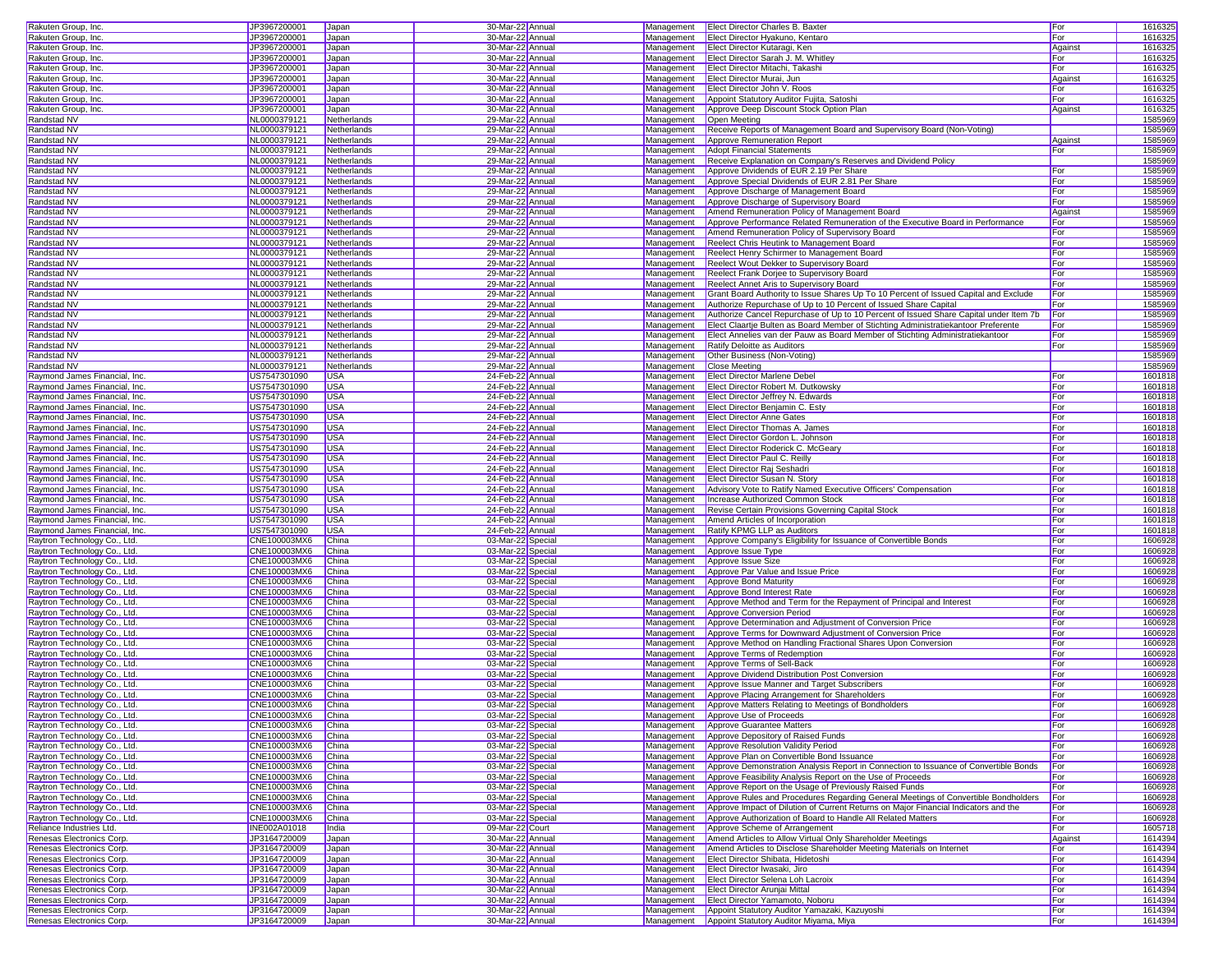| Rakuten Group, Inc.                                                                                                                                                                                                                   | JP3967200001                 | Japan          | 30-Mar-22 Annual                     |            | Management Elect Director Charles B. Baxter                                                                          | For        | 1616325            |
|---------------------------------------------------------------------------------------------------------------------------------------------------------------------------------------------------------------------------------------|------------------------------|----------------|--------------------------------------|------------|----------------------------------------------------------------------------------------------------------------------|------------|--------------------|
| Rakuten Group, Inc.                                                                                                                                                                                                                   | JP3967200001                 | Japan          | 30-Mar-22 Annual                     |            | Management Elect Director Hyakuno, Kentaro                                                                           | For        | 1616325            |
| Rakuten Group, Inc.                                                                                                                                                                                                                   | JP3967200001                 | Japan          | 30-Mar-22 Annual                     |            | Management Elect Director Kutaragi, Ken                                                                              | Against    | 1616325            |
|                                                                                                                                                                                                                                       |                              |                |                                      |            |                                                                                                                      |            |                    |
| Rakuten Group, Inc.                                                                                                                                                                                                                   | JP3967200001                 | Japan          | 30-Mar-22 Annual                     |            | Management Elect Director Sarah J. M. Whitley                                                                        | For        | 1616325            |
| Rakuten Group, Inc.                                                                                                                                                                                                                   | JP3967200001                 | Japan          | 30-Mar-22 Annual                     |            | Management   Elect Director Mitachi, Takashi                                                                         | For        | 1616325            |
| Rakuten Group, Inc.                                                                                                                                                                                                                   | JP3967200001                 | Japan          | 30-Mar-22 Annual                     |            | Management Elect Director Murai, Jun                                                                                 | Against    | 1616325            |
| Rakuten Group, Inc.                                                                                                                                                                                                                   | JP3967200001                 | Japan          | 30-Mar-22 Annual                     | Management | Elect Director John V. Roos                                                                                          | For        | 1616325            |
| Rakuten Group, Inc.                                                                                                                                                                                                                   | JP3967200001                 | Japan          | 30-Mar-22 Annual                     | Management | Appoint Statutory Auditor Fujita, Satoshi                                                                            | For        | 1616325            |
| Rakuten Group, Inc.                                                                                                                                                                                                                   | JP3967200001                 | Japan          | 30-Mar-22 Annual                     | Management | Approve Deep Discount Stock Option Plan                                                                              | Against    | 1616325            |
| Randstad NV                                                                                                                                                                                                                           | NL0000379121                 | Netherlands    | 29-Mar-22 Annual                     | Management | Open Meeting                                                                                                         |            | 1585969            |
| <b>Randstad NV</b>                                                                                                                                                                                                                    | NL0000379121                 | Netherlands    | 29-Mar-22 Annual                     | Management | Receive Reports of Management Board and Supervisory Board (Non-Voting)                                               |            | 1585969            |
| Randstad NV                                                                                                                                                                                                                           | NL0000379121                 | Netherlands    | 29-Mar-22 Annual                     | Management | Approve Remuneration Report                                                                                          | Against    | 1585969            |
| Randstad NV                                                                                                                                                                                                                           | NL0000379121                 | Netherlands    | 29-Mar-22 Annual                     | Management | <b>Adopt Financial Statements</b>                                                                                    | For        | 1585969            |
| Randstad NV                                                                                                                                                                                                                           | NL0000379121                 | Netherlands    | 29-Mar-22 Annual                     | Management | Receive Explanation on Company's Reserves and Dividend Policy                                                        |            | 1585969            |
| Randstad NV                                                                                                                                                                                                                           | NL0000379121                 | Netherlands    | 29-Mar-22 Annual                     | Management | Approve Dividends of EUR 2.19 Per Share                                                                              | For        | 1585969            |
| Randstad NV                                                                                                                                                                                                                           | NL0000379121                 | Netherlands    | 29-Mar-22 Annual                     | Management |                                                                                                                      | For        |                    |
|                                                                                                                                                                                                                                       |                              |                |                                      |            | Approve Special Dividends of EUR 2.81 Per Share                                                                      |            | 1585969            |
| Randstad NV                                                                                                                                                                                                                           | NL0000379121                 | Netherlands    | 29-Mar-22 Annual                     | Management | Approve Discharge of Management Board                                                                                | For        | 1585969            |
| <b>Randstad NV</b>                                                                                                                                                                                                                    | NL0000379121                 | Netherlands    | 29-Mar-22 Annual                     | Management | Approve Discharge of Supervisory Board                                                                               | For        | 1585969            |
| Randstad NV                                                                                                                                                                                                                           | NL0000379121                 | Netherlands    | 29-Mar-22 Annual                     | Management | Amend Remuneration Policy of Management Board                                                                        | Against    | 1585969            |
| Randstad NV                                                                                                                                                                                                                           | NL0000379121                 | Netherlands    | 29-Mar-22 Annual                     | Management | Approve Performance Related Remuneration of the Executive Board in Performance                                       | For        | 1585969            |
| <b>Randstad NV</b>                                                                                                                                                                                                                    | NL0000379121                 | Netherlands    | 29-Mar-22 Annual                     | Management | Amend Remuneration Policy of Supervisory Board                                                                       | For        | 1585969            |
| Randstad NV                                                                                                                                                                                                                           | NL0000379121                 | Netherlands    | 29-Mar-22 Annual                     | Management | Reelect Chris Heutink to Management Board                                                                            | For        | 1585969            |
| Randstad NV                                                                                                                                                                                                                           | NL0000379121                 | Netherlands    | 29-Mar-22 Annual                     | Management | Reelect Henry Schirmer to Management Board                                                                           | For        | 1585969            |
| Randstad NV                                                                                                                                                                                                                           | NL0000379121                 | Netherlands    | 29-Mar-22 Annual                     |            | Management Reelect Wout Dekker to Supervisory Board                                                                  | For        | 1585969            |
| Randstad NV                                                                                                                                                                                                                           | NL0000379121                 | Netherlands    | 29-Mar-22 Annual                     | Management | Reelect Frank Dorjee to Supervisory Board                                                                            | For        | 1585969            |
| Randstad NV                                                                                                                                                                                                                           | NL0000379121                 | Netherlands    | 29-Mar-22 Annual                     | Management | Reelect Annet Aris to Supervisory Board                                                                              | For        | 1585969            |
| Randstad NV                                                                                                                                                                                                                           | NL0000379121                 | Netherlands    | 29-Mar-22 Annual                     | Management | Grant Board Authority to Issue Shares Up To 10 Percent of Issued Capital and Exclude                                 | For        | 1585969            |
| Randstad NV                                                                                                                                                                                                                           | NL0000379121                 | Netherlands    | 29-Mar-22 Annual                     | Management | Authorize Repurchase of Up to 10 Percent of Issued Share Capital                                                     | For        | 1585969            |
|                                                                                                                                                                                                                                       |                              |                |                                      |            |                                                                                                                      |            |                    |
| Randstad NV                                                                                                                                                                                                                           | NL0000379121                 | Netherlands    | 29-Mar-22 Annual                     | Management | Authorize Cancel Repurchase of Up to 10 Percent of Issued Share Capital under Item 7b                                | For        | 1585969            |
| Randstad NV                                                                                                                                                                                                                           | NL0000379121                 | Netherlands    | 29-Mar-22 Annual                     | Management | Elect Claartje Bulten as Board Member of Stichting Administratiekantoor Preferente                                   | For        | 1585969            |
| Randstad NV                                                                                                                                                                                                                           | NL0000379121                 | Netherlands    | 29-Mar-22 Annual                     | Management | Elect Annelies van der Pauw as Board Member of Stichting Administratiekantoor                                        | For        | 1585969            |
| Randstad NV                                                                                                                                                                                                                           | NL0000379121                 | Netherlands    | 29-Mar-22 Annual                     | Management | <b>Ratify Deloitte as Auditors</b>                                                                                   | For        | 1585969            |
| Randstad NV                                                                                                                                                                                                                           | NL0000379121                 | Netherlands    | 29-Mar-22 Annual                     | Management | Other Business (Non-Voting)                                                                                          |            | 1585969            |
| Randstad NV                                                                                                                                                                                                                           | NL0000379121                 | Netherlands    | 29-Mar-22 Annual                     |            | Management Close Meeting                                                                                             |            | 1585969            |
| Raymond James Financial, Inc.                                                                                                                                                                                                         | US7547301090                 | <b>USA</b>     | 24-Feb-22 Annual                     | Management | <b>Elect Director Marlene Debel</b>                                                                                  | For        | 1601818            |
| Raymond James Financial, Inc.                                                                                                                                                                                                         | US7547301090                 | <b>USA</b>     | 24-Feb-22 Annual                     | Management | <b>Elect Director Robert M. Dutkowsky</b>                                                                            | For        | 1601818            |
| Raymond James Financial, Inc.                                                                                                                                                                                                         | US7547301090                 | <b>USA</b>     | 24-Feb-22 Annual                     | Management | Elect Director Jeffrey N. Edwards                                                                                    | For        | 1601818            |
| Raymond James Financial, Inc.                                                                                                                                                                                                         | US7547301090                 | <b>USA</b>     | 24-Feb-22 Annual                     | Management | Elect Director Beniamin C. Esty                                                                                      | For        | 1601818            |
| Raymond James Financial, Inc.                                                                                                                                                                                                         | US7547301090                 | <b>USA</b>     | 24-Feb-22 Annual                     |            | Management   Elect Director Anne Gates                                                                               | For        | 1601818            |
| Raymond James Financial, Inc.                                                                                                                                                                                                         | US7547301090                 | <b>USA</b>     | 24-Feb-22 Annual                     |            | Management <b>Elect Director Thomas A. James</b>                                                                     | For        | 1601818            |
|                                                                                                                                                                                                                                       |                              |                |                                      | Management |                                                                                                                      |            |                    |
| Raymond James Financial, Inc.                                                                                                                                                                                                         | US7547301090                 | <b>USA</b>     | 24-Feb-22 Annual                     |            | Elect Director Gordon L. Johnson                                                                                     | For        | 1601818            |
| Raymond James Financial, Inc.                                                                                                                                                                                                         | US7547301090                 | <b>USA</b>     | 24-Feb-22 Annual                     | Management | Elect Director Roderick C. McGeary                                                                                   | For        | 1601818            |
| Raymond James Financial, Inc.                                                                                                                                                                                                         | US7547301090                 | <b>USA</b>     | 24-Feb-22 Annual                     |            | Management   Elect Director Paul C. Reilly                                                                           | For        | 1601818            |
| Raymond James Financial, Inc.                                                                                                                                                                                                         | US7547301090                 | <b>USA</b>     | 24-Feb-22 Annual                     |            | Management Elect Director Raj Seshadri                                                                               | For        | 1601818            |
| Raymond James Financial, Inc.                                                                                                                                                                                                         | US7547301090                 | <b>USA</b>     | 24-Feb-22 Annual                     |            | Management <b>Elect Director Susan N. Story</b>                                                                      | For        | 1601818            |
| Raymond James Financial, Inc.                                                                                                                                                                                                         | US7547301090                 | <b>USA</b>     | 24-Feb-22 Annual                     | Management | Advisory Vote to Ratify Named Executive Officers' Compensation                                                       | For        | 1601818            |
| Raymond James Financial, Inc.                                                                                                                                                                                                         | US7547301090                 | <b>USA</b>     | 24-Feb-22 Annual                     | Management | Increase Authorized Common Stock                                                                                     | For        | 1601818            |
| Raymond James Financial, Inc.                                                                                                                                                                                                         | US7547301090                 | <b>USA</b>     | 24-Feb-22 Annual                     | Management | Revise Certain Provisions Governing Capital Stock                                                                    | For        | 1601818            |
| Raymond James Financial, Inc.                                                                                                                                                                                                         | US7547301090                 | <b>USA</b>     | 24-Feb-22 Annual                     | Management | Amend Articles of Incorporation                                                                                      | For        | 1601818            |
| Raymond James Financial, Inc.                                                                                                                                                                                                         | US7547301090                 | <b>USA</b>     | 24-Feb-22 Annual                     | Management | <b>Ratify KPMG LLP as Auditors</b>                                                                                   | For        | 1601818            |
| Raytron Technology Co., Ltd.                                                                                                                                                                                                          | CNE100003MX6                 | China          | 03-Mar-22 Special                    | Management | Approve Company's Eligibility for Issuance of Convertible Bonds                                                      | For        | 1606928            |
| Raytron Technology Co., Ltd.                                                                                                                                                                                                          | CNE100003MX6                 | China          | 03-Mar-22 Special                    | Management | Approve Issue Type                                                                                                   | For        | 1606928            |
| Raytron Technology Co., Ltd.                                                                                                                                                                                                          | CNE100003MX6                 | China          | 03-Mar-22 Special                    |            | Management Approve Issue Size                                                                                        | For        | 1606928            |
|                                                                                                                                                                                                                                       | CNE100003MX6                 |                |                                      |            | Management Approve Par Value and Issue Price                                                                         | For        | 1606928            |
| Raytron Technology Co., Ltd.                                                                                                                                                                                                          |                              | China          | 03-Mar-22 Special                    |            |                                                                                                                      |            |                    |
| Raytron Technology Co., Ltd.                                                                                                                                                                                                          | CNE100003MX6                 | China          | 03-Mar-22 Special                    |            | Management <b>Approve Bond Maturity</b>                                                                              | For        | 1606928            |
| Raytron Technology Co., Ltd.                                                                                                                                                                                                          | CNE100003MX6                 | China          | 03-Mar-22 Special                    |            | Management Approve Bond Interest Rate                                                                                | For        | 1606928            |
| Raytron Technology Co., Ltd.                                                                                                                                                                                                          | CNE100003MX6                 | China          | 03-Mar-22 Special                    | Management | Approve Method and Term for the Repayment of Principal and Interest                                                  | For        | 1606928            |
| Raytron Technology Co., Ltd.                                                                                                                                                                                                          | CNE100003MX6                 | China          | 03-Mar-22 Special                    | Management | Approve Conversion Period                                                                                            | For        | 1606928            |
| Raytron Technology Co., Ltd.                                                                                                                                                                                                          | CNE100003MX6                 | China          | 03-Mar-22 Special                    | Management | Approve Determination and Adjustment of Conversion Price                                                             | For        | 1606928            |
| Raytron Technology Co., Ltd.                                                                                                                                                                                                          | CNE100003MX6                 | China          | 03-Mar-22 Special                    | Management | Approve Terms for Downward Adjustment of Conversion Price                                                            | For        | 1606928            |
| Raytron Technology Co., Ltd.                                                                                                                                                                                                          | CNE100003MX6                 | China          | 03-Mar-22 Special                    | Management | Approve Method on Handling Fractional Shares Upon Conversion                                                         | For        | 1606928            |
| Raytron Technology Co., Ltd.                                                                                                                                                                                                          | CNE100003MX6                 | China          | 03-Mar-22 Special                    | Management | Approve Terms of Redemption                                                                                          | For        | 1606928            |
| Raytron Technology Co., Ltd.                                                                                                                                                                                                          | CNE100003MX6                 | China          | 03-Mar-22 Special                    |            | Management   Approve Terms of Sell-Back                                                                              | For        | 1606928            |
| Raytron Technology Co., Ltd.                                                                                                                                                                                                          | CNE100003MX6                 | China          | 03-Mar-22 Special                    |            | Management   Approve Dividend Distribution Post Conversion                                                           | For        | 1606928            |
| Raytron Technology Co., Ltd.                                                                                                                                                                                                          | CNE100003MX6                 | China          | 03-Mar-22 Special                    |            | Management <b>Approve Issue Manner and Target Subscribers</b>                                                        | For        | 1606928            |
| Raytron Technology Co., Ltd.                                                                                                                                                                                                          | CNE100003MX6                 | China          | 03-Mar-22 Special                    |            | Management   Approve Placing Arrangement for Shareholders                                                            | For        | 1606928            |
| Raytron Technology Co., Ltd.                                                                                                                                                                                                          | CNE100003MX6                 | China          | 03-Mar-22 Special                    |            | Management   Approve Matters Relating to Meetings of Bondholders                                                     | For        | 1606928            |
| Raytron Technology Co., Ltd.                                                                                                                                                                                                          | CNE100003MX6                 | China          | 03-Mar-22 Special                    |            | Management   Approve Use of Proceeds                                                                                 | For        | 1606928            |
| Raytron Technology Co., Ltd.                                                                                                                                                                                                          | CNE100003MX6 China           |                | 03-Mar-22 Special                    |            | Management Approve Guarantee Matters                                                                                 | For        | 1606928            |
| Raytron Technology Co., Ltd.                                                                                                                                                                                                          | CNE100003MX6 China           |                | 03-Mar-22 Special                    |            | Management Approve Depository of Raised Funds                                                                        | For        | 1606928            |
|                                                                                                                                                                                                                                       | <b>CNE100003MX6</b>          |                |                                      |            | Management Approve Resolution Validity Period                                                                        |            |                    |
| Raytron Technology Co., Ltd.                                                                                                                                                                                                          |                              | China          | 03-Mar-22 Special                    |            |                                                                                                                      | For        | 1606928            |
| Raytron Technology Co., Ltd.                                                                                                                                                                                                          | CNE100003MX6                 | China          | 03-Mar-22 Special                    | Management | Approve Plan on Convertible Bond Issuance                                                                            | For        | 1606928            |
| Raytron Technology Co., Ltd.                                                                                                                                                                                                          | CNE100003MX6                 | China          | 03-Mar-22 Special                    | Management | Approve Demonstration Analysis Report in Connection to Issuance of Convertible Bonds                                 | For        | 1606928            |
| Raytron Technology Co., Ltd.                                                                                                                                                                                                          | CNE100003MX6                 | China          | 03-Mar-22 Special                    | Management | Approve Feasibility Analysis Report on the Use of Proceeds                                                           | For        | 1606928            |
| Raytron Technology Co., Ltd.                                                                                                                                                                                                          | CNE100003MX6                 | China          | 03-Mar-22 Special                    | Management | Approve Report on the Usage of Previously Raised Funds                                                               | For        | 1606928            |
| Raytron Technology Co., Ltd.                                                                                                                                                                                                          |                              |                |                                      | Management | Approve Rules and Procedures Regarding General Meetings of Convertible Bondholders                                   | For        | 1606928            |
| Raytron Technology Co., Ltd.                                                                                                                                                                                                          | <b>CNE100003MX6</b>          | China          | 03-Mar-22 Special                    |            |                                                                                                                      |            |                    |
|                                                                                                                                                                                                                                       | <b>CNE100003MX6</b>          | China          | 03-Mar-22 Special                    | Management | Approve Impact of Dilution of Current Returns on Major Financial Indicators and the                                  | For        | 1606928            |
|                                                                                                                                                                                                                                       | CNE100003MX6                 | China          | 03-Mar-22 Special                    | Management | Approve Authorization of Board to Handle All Related Matters                                                         | For        | 1606928            |
|                                                                                                                                                                                                                                       | <b>INE002A01018</b>          | India          | 09-Mar-22 Court                      | Management | Approve Scheme of Arrangement                                                                                        | For        | 1605718            |
|                                                                                                                                                                                                                                       |                              |                |                                      | Management |                                                                                                                      |            |                    |
|                                                                                                                                                                                                                                       | JP3164720009                 | Japan          | 30-Mar-22 Annual                     |            | Amend Articles to Allow Virtual Only Shareholder Meetings                                                            | Agains     | 1614394            |
|                                                                                                                                                                                                                                       | JP3164720009                 | Japan          | 30-Mar-22 Annual                     |            | Management Amend Articles to Disclose Shareholder Meeting Materials on Internet                                      | For        | 1614394            |
|                                                                                                                                                                                                                                       | JP3164720009                 | Japan          | 30-Mar-22 Annual                     |            | Management Elect Director Shibata, Hidetoshi                                                                         | For        | 1614394            |
|                                                                                                                                                                                                                                       | JP3164720009                 | Japan          | 30-Mar-22 Annual                     |            | Management Elect Director Iwasaki, Jiro                                                                              | For        | 1614394            |
|                                                                                                                                                                                                                                       | JP3164720009                 | Japan          | 30-Mar-22 Annual                     |            | Management Elect Director Selena Loh Lacroix                                                                         | For        | 1614394            |
| Raytron Technology Co., Ltd.<br>Reliance Industries Ltd.<br>Renesas Electronics Corp<br>Renesas Electronics Corp.<br>Renesas Electronics Corp.<br>Renesas Electronics Corp.<br>Renesas Electronics Corp.<br>Renesas Electronics Corp. | JP3164720009                 | Japan          | 30-Mar-22 Annual                     |            | Management Elect Director Arunjai Mittal                                                                             | For        | 1614394            |
| Renesas Electronics Corp.                                                                                                                                                                                                             | JP3164720009                 | Japan          | 30-Mar-22 Annual                     |            | Management Elect Director Yamamoto, Noboru                                                                           | For        | 1614394            |
| Renesas Electronics Corp.<br>Renesas Electronics Corp.                                                                                                                                                                                | JP3164720009<br>JP3164720009 | Japan<br>Japan | 30-Mar-22 Annual<br>30-Mar-22 Annual |            | Management Appoint Statutory Auditor Yamazaki, Kazuyoshi<br>Management <b>Appoint Statutory Auditor Miyama, Miya</b> | For<br>For | 1614394<br>1614394 |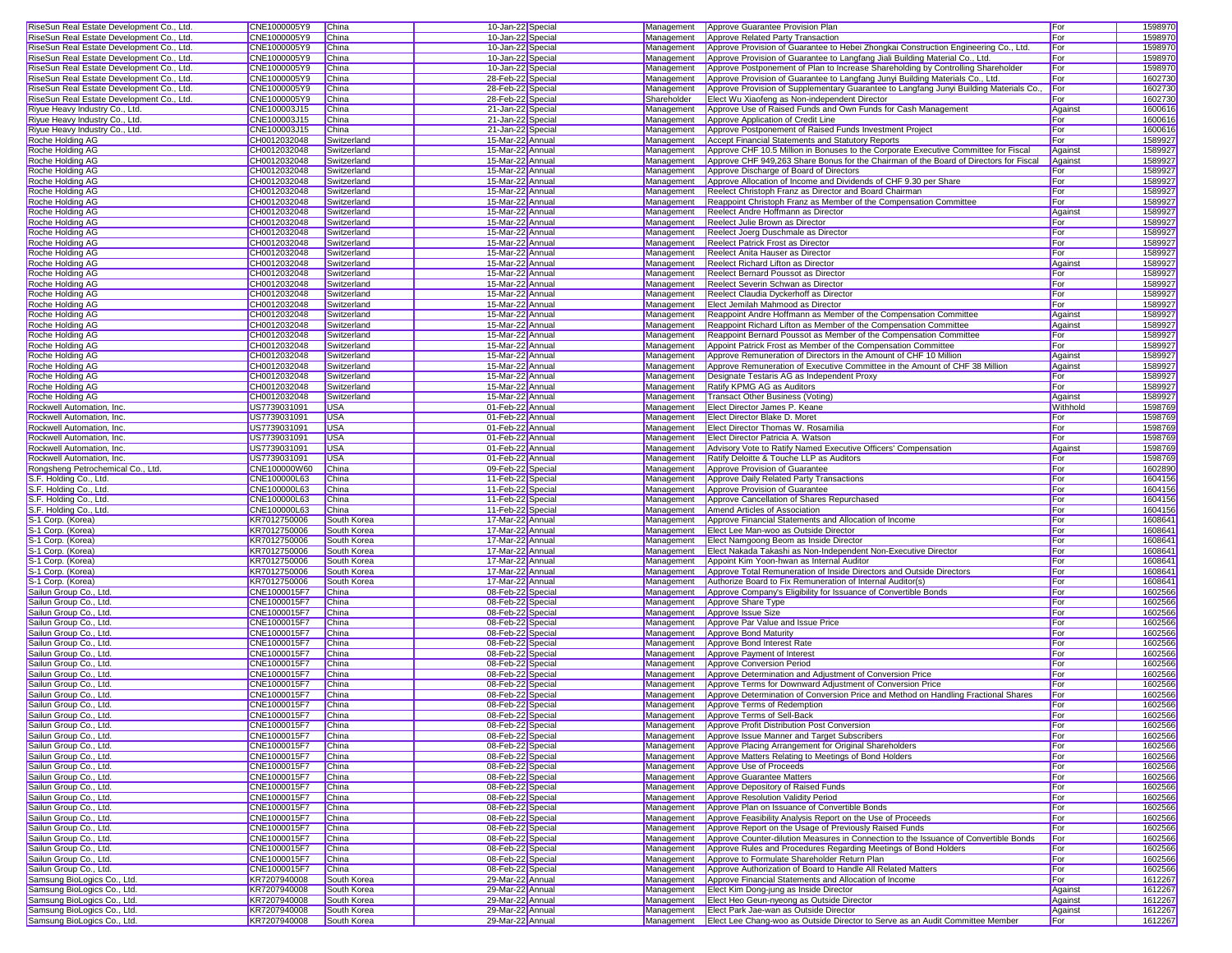|                                                                                                                                                          | CNE1000005Y9                 | China                      | 10-Jan-22 Special                    |             | Management Approve Guarantee Provision Plan                                                                                                     | For            |                    |
|----------------------------------------------------------------------------------------------------------------------------------------------------------|------------------------------|----------------------------|--------------------------------------|-------------|-------------------------------------------------------------------------------------------------------------------------------------------------|----------------|--------------------|
| RiseSun Real Estate Development Co., Ltd.                                                                                                                |                              |                            |                                      |             |                                                                                                                                                 |                | 1598970            |
| RiseSun Real Estate Development Co., Ltd.                                                                                                                | CNE1000005Y9                 | China                      | 10-Jan-22 Special                    |             | Management   Approve Related Party Transaction                                                                                                  | For            | 159897C            |
| RiseSun Real Estate Development Co., Ltd.                                                                                                                | CNE1000005Y9                 | China                      | 10-Jan-22 Special                    | Management  | Approve Provision of Guarantee to Hebei Zhongkai Construction Engineering Co., Ltd                                                              | For            | 1598970            |
| RiseSun Real Estate Development Co., Ltd.                                                                                                                | CNE1000005Y9                 | China                      | 10-Jan-22 Special                    | Management  | Approve Provision of Guarantee to Langfang Jiali Building Material Co., Ltd.                                                                    | For            | 1598970            |
|                                                                                                                                                          | CNE1000005Y9                 | China                      |                                      | Management  |                                                                                                                                                 | For            | 1598970            |
| RiseSun Real Estate Development Co., Ltd.                                                                                                                |                              |                            | 10-Jan-22 Special                    |             | Approve Postponement of Plan to Increase Shareholding by Controlling Shareholder                                                                |                |                    |
| RiseSun Real Estate Development Co., Ltd.                                                                                                                | CNE1000005Y9                 | China                      | 28-Feb-22 Special                    | Management  | Approve Provision of Guarantee to Langfang Junyi Building Materials Co., Ltd.                                                                   | For            | 1602730            |
| RiseSun Real Estate Development Co., Ltd.                                                                                                                | CNE1000005Y9                 | China                      | 28-Feb-22 Special                    | Management  | Approve Provision of Supplementary Guarantee to Langfang Junyi Building Materials Co.,                                                          | For            | 1602730            |
| RiseSun Real Estate Development Co., Ltd.                                                                                                                | CNE1000005Y9                 | China                      | 28-Feb-22 Special                    | Shareholder | Elect Wu Xiaofeng as Non-independent Director                                                                                                   | For            | 1602730            |
|                                                                                                                                                          | CNE100003J15                 |                            |                                      |             |                                                                                                                                                 |                |                    |
| Riyue Heavy Industry Co., Ltd.                                                                                                                           |                              | China                      | 21-Jan-22 Special                    | Management  | Approve Use of Raised Funds and Own Funds for Cash Management                                                                                   | Against        | 1600616            |
| Riyue Heavy Industry Co., Ltd.                                                                                                                           | CNE100003J15                 | China                      | 21-Jan-22 Special                    | Management  | Approve Application of Credit Line                                                                                                              | For            | 1600616            |
| Riyue Heavy Industry Co., Ltd.                                                                                                                           | CNE100003J15                 | China                      | 21-Jan-22 Special                    | Management  | Approve Postponement of Raised Funds Investment Project                                                                                         | For            | 1600616            |
| Roche Holding AG                                                                                                                                         | CH0012032048                 | Switzerland                | 15-Mar-22 Annual                     | Management  | Accept Financial Statements and Statutory Reports                                                                                               | For            | 1589927            |
|                                                                                                                                                          |                              |                            |                                      |             |                                                                                                                                                 |                |                    |
| Roche Holding AG                                                                                                                                         | CH0012032048                 | Switzerland                | 15-Mar-22 Annual                     | Management  | Approve CHF 10.5 Million in Bonuses to the Corporate Executive Committee for Fiscal                                                             | Against        | 1589927            |
| Roche Holding AG                                                                                                                                         | CH0012032048                 | Switzerland                | 15-Mar-22 Annual                     | Management  | Approve CHF 949,263 Share Bonus for the Chairman of the Board of Directors for Fiscal                                                           | Against        | 1589927            |
| Roche Holding AG                                                                                                                                         | CH0012032048                 | Switzerland                | 15-Mar-22 Annual                     | Management  | Approve Discharge of Board of Directors                                                                                                         | For            | 1589927            |
| Roche Holding AG                                                                                                                                         | CH0012032048                 | Switzerland                | 15-Mar-22 Annual                     | Management  | Approve Allocation of Income and Dividends of CHF 9.30 per Share                                                                                | For            | 1589927            |
|                                                                                                                                                          |                              |                            |                                      |             |                                                                                                                                                 |                |                    |
| Roche Holding AG                                                                                                                                         | CH0012032048                 | Switzerland                | 15-Mar-22 Annual                     | Management  | Reelect Christoph Franz as Director and Board Chairman                                                                                          | For            | 1589927            |
| Roche Holding AG                                                                                                                                         | CH0012032048                 | Switzerland                | 15-Mar-22 Annual                     | Management  | Reappoint Christoph Franz as Member of the Compensation Committee                                                                               | For            | 1589927            |
| Roche Holding AG                                                                                                                                         | CH0012032048                 | Switzerland                | 15-Mar-22 Annual                     | Management  | Reelect Andre Hoffmann as Director                                                                                                              | Against        | 1589927            |
|                                                                                                                                                          |                              |                            |                                      |             |                                                                                                                                                 |                | 1589927            |
| Roche Holding AG                                                                                                                                         | CH0012032048                 | Switzerland                | 15-Mar-22 Annual                     | Management  | Reelect Julie Brown as Director                                                                                                                 | For            |                    |
| Roche Holding AG                                                                                                                                         | CH0012032048                 | Switzerland                | 15-Mar-22 Annual                     | Management  | Reelect Joerg Duschmale as Director                                                                                                             | For            | 1589927            |
| Roche Holding AG                                                                                                                                         | CH0012032048                 | Switzerland                | 15-Mar-22 Annual                     | Management  | Reelect Patrick Frost as Director                                                                                                               | For            | 1589927            |
| Roche Holding AG                                                                                                                                         | CH0012032048                 | Switzerland                | 15-Mar-22 Annual                     | Management  | Reelect Anita Hauser as Director                                                                                                                | For            | 1589927            |
|                                                                                                                                                          |                              |                            |                                      |             |                                                                                                                                                 |                |                    |
| Roche Holding AG                                                                                                                                         | CH0012032048                 | Switzerland                | 15-Mar-22 Annual                     | Management  | Reelect Richard Lifton as Director                                                                                                              | Against        | 1589927            |
| Roche Holding AG                                                                                                                                         | CH0012032048                 | Switzerland                | 15-Mar-22 Annual                     | Management  | Reelect Bernard Poussot as Director                                                                                                             | For            | 1589927            |
| Roche Holding AG                                                                                                                                         | CH0012032048                 | Switzerland                | 15-Mar-22 Annual                     | Management  | Reelect Severin Schwan as Director                                                                                                              | For            | 1589927            |
| Roche Holding AG                                                                                                                                         | CH0012032048                 | Switzerland                | 15-Mar-22 Annual                     | Management  | Reelect Claudia Dyckerhoff as Director                                                                                                          | For            | 1589927            |
|                                                                                                                                                          |                              |                            |                                      |             |                                                                                                                                                 |                |                    |
| Roche Holding AG                                                                                                                                         | CH0012032048                 | Switzerland                | 15-Mar-22 Annual                     | Management  | Elect Jemilah Mahmood as Director                                                                                                               | For            | 1589927            |
| Roche Holding AG                                                                                                                                         | CH0012032048                 | Switzerland                | 15-Mar-22 Annual                     | Management  | Reappoint Andre Hoffmann as Member of the Compensation Committee                                                                                | Against        | 1589927            |
| Roche Holding AG                                                                                                                                         | CH0012032048                 | Switzerland                | 15-Mar-22 Annual                     | Management  | Reappoint Richard Lifton as Member of the Compensation Committee                                                                                | Against        | 1589927            |
| Roche Holding AG                                                                                                                                         | CH0012032048                 | Switzerland                | 15-Mar-22 Annual                     | Management  | Reappoint Bernard Poussot as Member of the Compensation Committee                                                                               | For            | 1589927            |
|                                                                                                                                                          |                              |                            |                                      |             |                                                                                                                                                 |                |                    |
| Roche Holding AG                                                                                                                                         | CH0012032048                 | Switzerland                | 15-Mar-22 Annual                     | Management  | Appoint Patrick Frost as Member of the Compensation Committee                                                                                   | For            | 1589927            |
| Roche Holding AG                                                                                                                                         | CH0012032048                 | Switzerland                | 15-Mar-22 Annual                     | Management  | Approve Remuneration of Directors in the Amount of CHF 10 Million                                                                               | Against        | 1589927            |
| Roche Holding AG                                                                                                                                         | CH0012032048                 | Switzerland                | 15-Mar-22 Annual                     | Management  | Approve Remuneration of Executive Committee in the Amount of CHF 38 Million                                                                     | Against        | 1589927            |
|                                                                                                                                                          |                              |                            |                                      |             |                                                                                                                                                 |                |                    |
| Roche Holding AG                                                                                                                                         | CH0012032048                 | Switzerland                | 15-Mar-22 Annual                     | Management  | Designate Testaris AG as Independent Proxy                                                                                                      | For            | 1589927            |
| Roche Holding AG                                                                                                                                         | CH0012032048                 | Switzerland                | 15-Mar-22 Annual                     | Management  | <b>Ratify KPMG AG as Auditors</b>                                                                                                               | For            | 1589927            |
| Roche Holding AG                                                                                                                                         | CH0012032048                 | Switzerland                | 15-Mar-22 Annual                     | Management  | Transact Other Business (Voting)                                                                                                                | Against        | 1589927            |
| Rockwell Automation, Inc.                                                                                                                                | US7739031091                 | <b>USA</b>                 | 01-Feb-22 Annual                     | Management  | Elect Director James P. Keane                                                                                                                   | Withhold       | 1598769            |
|                                                                                                                                                          |                              |                            |                                      |             |                                                                                                                                                 |                |                    |
| Rockwell Automation, Inc.                                                                                                                                | US7739031091                 | <b>USA</b>                 | 01-Feb-22 Annual                     |             | Management Elect Director Blake D. Moret                                                                                                        | For            | 1598769            |
| Rockwell Automation, Inc.                                                                                                                                | US7739031091                 | <b>USA</b>                 | 01-Feb-22 Annual                     |             | Management Elect Director Thomas W. Rosamilia                                                                                                   | For            | 1598769            |
| Rockwell Automation, Inc.                                                                                                                                | US7739031091                 | <b>USA</b>                 | 01-Feb-22 Annual                     | Management  | Elect Director Patricia A. Watson                                                                                                               | For            | 1598769            |
|                                                                                                                                                          |                              |                            |                                      |             |                                                                                                                                                 |                |                    |
| Rockwell Automation, Inc.                                                                                                                                | US7739031091                 | <b>USA</b>                 | 01-Feb-22 Annual                     | Management  | Advisory Vote to Ratify Named Executive Officers' Compensation                                                                                  | Against        | 1598769            |
| Rockwell Automation, Inc.                                                                                                                                | US7739031091                 | <b>USA</b>                 | 01-Feb-22 Annual                     | Management  | Ratify Deloitte & Touche LLP as Auditors                                                                                                        | For            | 1598769            |
| Rongsheng Petrochemical Co., Ltd.                                                                                                                        | CNE100000W60                 | China                      | 09-Feb-22 Special                    |             | Management   Approve Provision of Guarantee                                                                                                     | For            | 1602890            |
| S.F. Holding Co., Ltd.                                                                                                                                   | CNE100000L63                 | China                      | 11-Feb-22 Special                    | Management  | Approve Daily Related Party Transactions                                                                                                        | For            | 1604156            |
|                                                                                                                                                          |                              |                            |                                      |             |                                                                                                                                                 |                |                    |
| S.F. Holding Co., Ltd                                                                                                                                    | CNE100000L63                 | China                      | 11-Feb-22 Special                    | Management  | Approve Provision of Guarantee                                                                                                                  | For            | 1604156            |
| S.F. Holding Co., Ltd.                                                                                                                                   | CNE100000L63                 | <b>China</b>               | 11-Feb-22 Special                    | Management  | Approve Cancellation of Shares Repurchased                                                                                                      | For            | 1604156            |
| S.F. Holding Co., Ltd.                                                                                                                                   | CNE100000L63                 | China                      | 11-Feb-22 Special                    | Management  | Amend Articles of Association                                                                                                                   | For            | 1604156            |
|                                                                                                                                                          |                              |                            |                                      | Management  |                                                                                                                                                 | For            | 160864             |
| S-1 Corp. (Korea)                                                                                                                                        | KR7012750006                 | South Korea                | 17-Mar-22 Annual                     |             | Approve Financial Statements and Allocation of Income                                                                                           |                |                    |
| S-1 Corp. (Korea                                                                                                                                         | KR7012750006                 | South Korea                | 17-Mar-22 Annual                     | Management  | Elect Lee Man-woo as Outside Director                                                                                                           | For            | 160864             |
| S-1 Corp. (Korea)                                                                                                                                        | KR7012750006                 | South Korea                | 17-Mar-22 Annual                     | Management  | Elect Namgoong Beom as Inside Director                                                                                                          | For            | 160864             |
| S-1 Corp. (Korea)                                                                                                                                        | KR7012750006                 | South Korea                | 17-Mar-22 Annual                     | Management  | Elect Nakada Takashi as Non-Independent Non-Executive Director                                                                                  | For            | 160864             |
|                                                                                                                                                          |                              |                            |                                      |             |                                                                                                                                                 |                |                    |
| S-1 Corp. (Korea)                                                                                                                                        | KR7012750006                 | South Korea                | 17-Mar-22 Annual                     | Management  | Appoint Kim Yoon-hwan as Internal Auditor                                                                                                       | For            | 160864             |
| S-1 Corp. (Korea)                                                                                                                                        | KR7012750006                 | South Korea                | 17-Mar-22 Annual                     | Management  | Approve Total Remuneration of Inside Directors and Outside Directors                                                                            | For            | 1608641            |
| S-1 Corp. (Korea)                                                                                                                                        | KR7012750006                 | South Korea                | 17-Mar-22 Annual                     | Management  | Authorize Board to Fix Remuneration of Internal Auditor(s)                                                                                      |                |                    |
|                                                                                                                                                          |                              | China                      |                                      |             |                                                                                                                                                 |                |                    |
| Sailun Group Co., Ltd.                                                                                                                                   | CNE1000015F7                 |                            | 08-Feb-22 Special                    |             |                                                                                                                                                 | For            | 1608641            |
| Sailun Group Co., Ltd.                                                                                                                                   | CNE1000015F7                 | China                      |                                      |             | Management Approve Company's Eligibility for Issuance of Convertible Bonds                                                                      | For            | 1602566            |
| Sailun Group Co., Ltd.                                                                                                                                   |                              |                            | 08-Feb-22 Special                    | Management  | Approve Share Type                                                                                                                              | For            | 1602566            |
|                                                                                                                                                          | CNE1000015F7                 | China                      |                                      | Management  |                                                                                                                                                 | For            |                    |
|                                                                                                                                                          |                              |                            | 08-Feb-22 Special                    |             | Approve Issue Size                                                                                                                              |                | 1602566            |
| Sailun Group Co., Ltd.                                                                                                                                   | CNE1000015F7                 | China                      | 08-Feb-22 Special                    | Management  | Approve Par Value and Issue Price                                                                                                               | For            | 1602566            |
| Sailun Group Co., Ltd.                                                                                                                                   | CNE1000015F7                 | China                      | 08-Feb-22 Special                    | Management  | <b>Approve Bond Maturity</b>                                                                                                                    | For            | 1602566            |
| Sailun Group Co., Ltd.                                                                                                                                   | CNE1000015F7                 | China                      | 08-Feb-22 Special                    | Management  | Approve Bond Interest Rate                                                                                                                      | For            | 1602566            |
|                                                                                                                                                          |                              |                            |                                      |             |                                                                                                                                                 |                |                    |
| Sailun Group Co., Ltd.                                                                                                                                   | CNE1000015F7                 | China                      | 08-Feb-22 Special                    | Management  | Approve Payment of Interest                                                                                                                     | For            | 1602566            |
| Sailun Group Co., Ltd.                                                                                                                                   | CNE1000015F7                 | China                      | 08-Feb-22 Special                    |             | Management   Approve Conversion Period                                                                                                          | For            | 1602566            |
| Sailun Group Co., Ltd.                                                                                                                                   | CNE1000015F7                 | China                      | 08-Feb-22 Special                    |             | Management Approve Determination and Adjustment of Conversion Price                                                                             | For            | 1602566            |
| Sailun Group Co., Ltd.                                                                                                                                   | CNE1000015F7                 | China                      | 08-Feb-22 Special                    | Management  | Approve Terms for Downward Adjustment of Conversion Price                                                                                       | For            | 1602566            |
|                                                                                                                                                          |                              | <b>China</b>               |                                      |             |                                                                                                                                                 |                |                    |
| Sailun Group Co., Ltd.                                                                                                                                   | CNE1000015F7                 |                            | 08-Feb-22 Special                    |             | Management Approve Determination of Conversion Price and Method on Handling Fractional Shares                                                   | For            | 1602566            |
| Sailun Group Co., Ltd.                                                                                                                                   | CNE1000015F7                 | China                      | 08-Feb-22 Special                    |             | Management Approve Terms of Redemption                                                                                                          | For            | 1602566            |
| Sailun Group Co., Ltd.                                                                                                                                   | CNE1000015F7                 | China                      | 08-Feb-22 Special                    |             | Management Approve Terms of Sell-Back                                                                                                           | For            | 1602566            |
|                                                                                                                                                          |                              |                            | 08-Feb-22 Special                    |             |                                                                                                                                                 |                |                    |
| Sailun Group Co., Ltd.                                                                                                                                   | CNE1000015F7                 | China                      |                                      |             | Management <b>Approve Profit Distribution Post Conversion</b>                                                                                   | For            | 1602566            |
| Sailun Group Co., Ltd.                                                                                                                                   | CNE1000015F7                 | China                      | 08-Feb-22 Special                    |             | Management <b>Approve Issue Manner and Target Subscribers</b>                                                                                   | For            | 1602566            |
| Sailun Group Co., Ltd.                                                                                                                                   | CNE1000015F7                 | China                      | 08-Feb-22 Special                    | Management  | Approve Placing Arrangement for Original Shareholders                                                                                           | For            | 1602566            |
| Sailun Group Co., Ltd.                                                                                                                                   | CNE1000015F7                 | China                      | 08-Feb-22 Special                    | Management  | Approve Matters Relating to Meetings of Bond Holders                                                                                            | For            | 1602566            |
| Sailun Group Co., Ltd.                                                                                                                                   |                              |                            |                                      |             | Management Approve Use of Proceeds                                                                                                              |                |                    |
|                                                                                                                                                          | CNE1000015F7                 | China                      | 08-Feb-22 Special                    |             |                                                                                                                                                 | For            | 1602566            |
| Sailun Group Co., Ltd.                                                                                                                                   | CNE1000015F7                 | China                      | 08-Feb-22 Special                    |             | Management Approve Guarantee Matters                                                                                                            | For            | 1602566            |
| Sailun Group Co., Ltd.                                                                                                                                   | CNE1000015F7                 | China                      | 08-Feb-22 Special                    | Management  | Approve Depository of Raised Funds                                                                                                              | For            | 1602566            |
| Sailun Group Co., Ltd.                                                                                                                                   | CNE1000015F7                 | China                      | 08-Feb-22 Special                    | Management  | Approve Resolution Validity Period                                                                                                              | For            | 1602566            |
|                                                                                                                                                          |                              |                            |                                      |             |                                                                                                                                                 |                |                    |
| Sailun Group Co., Ltd.                                                                                                                                   | CNE1000015F7                 | China                      | 08-Feb-22 Special                    | Management  | Approve Plan on Issuance of Convertible Bonds                                                                                                   | For            | 1602566            |
|                                                                                                                                                          | CNE1000015F7                 | China                      | 08-Feb-22 Special                    | Management  | Approve Feasibility Analysis Report on the Use of Proceeds                                                                                      | For            | 1602566            |
|                                                                                                                                                          | CNE1000015F7                 | China                      | 08-Feb-22 Special                    | Management  | Approve Report on the Usage of Previously Raised Funds                                                                                          | For            | 1602566            |
|                                                                                                                                                          | CNE1000015F7                 | China                      | 08-Feb-22 Special                    | Management  | Approve Counter-dilution Measures in Connection to the Issuance of Convertible Bonds                                                            | For            | 1602566            |
|                                                                                                                                                          |                              |                            |                                      |             |                                                                                                                                                 |                |                    |
|                                                                                                                                                          | CNE1000015F7                 | China                      | 08-Feb-22 Special                    | Management  | Approve Rules and Procedures Regarding Meetings of Bond Holders                                                                                 | For            | 1602566            |
|                                                                                                                                                          | CNE1000015F7                 | China                      | 08-Feb-22 Special                    | Management  | Approve to Formulate Shareholder Return Plan                                                                                                    | For            | 1602566            |
|                                                                                                                                                          | CNE1000015F7                 | China                      | 08-Feb-22 Special                    | Management  | Approve Authorization of Board to Handle All Related Matters                                                                                    | For            | 1602566            |
| Sailun Group Co., Ltd.<br>Sailun Group Co., Ltd.<br>Sailun Group Co., Ltd.<br>Sailun Group Co., Ltd.<br>Sailun Group Co., Ltd.<br>Sailun Group Co., Ltd. |                              |                            |                                      |             |                                                                                                                                                 |                |                    |
| Samsung BioLogics Co., Ltd.                                                                                                                              | KR7207940008                 | South Korea                | 29-Mar-22 Annual                     |             | Management Approve Financial Statements and Allocation of Income                                                                                | For            | 1612267            |
| Samsung BioLogics Co., Ltd.                                                                                                                              | KR7207940008                 | South Korea                | 29-Mar-22 Annual                     |             | Management Elect Kim Dong-jung as Inside Director                                                                                               | Against        | 1612267            |
| Samsung BioLogics Co., Ltd                                                                                                                               | KR7207940008                 | South Korea                | 29-Mar-22 Annual                     |             | Management Elect Heo Geun-nyeong as Outside Director                                                                                            | Against        | 1612267            |
| Samsung BioLogics Co., Ltd.<br>Samsung BioLogics Co., Ltd.                                                                                               | KR7207940008<br>KR7207940008 | South Korea<br>South Korea | 29-Mar-22 Annual<br>29-Mar-22 Annual |             | Management   Elect Park Jae-wan as Outside Director<br>Management Elect Lee Chang-woo as Outside Director to Serve as an Audit Committee Member | Against<br>For | 1612267<br>1612267 |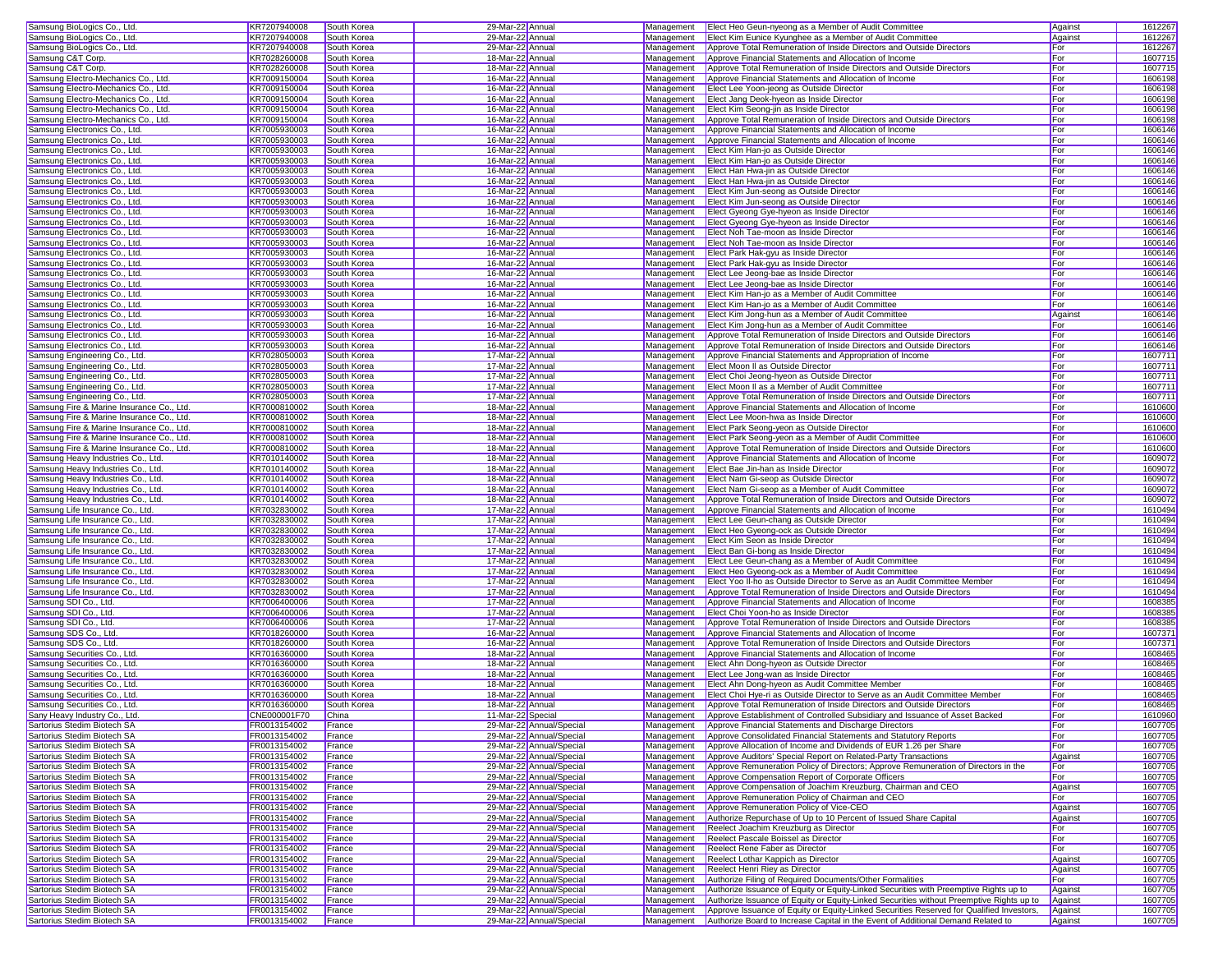| Samsung BioLogics Co., Ltd.               | KR7207940008 | South Korea | 29-Mar-22 Annual         | Management               | Elect Heo Geun-nyeong as a Member of Audit Committee                                                                               | Against | 1612267 |
|-------------------------------------------|--------------|-------------|--------------------------|--------------------------|------------------------------------------------------------------------------------------------------------------------------------|---------|---------|
| Samsung BioLogics Co., Ltd.               | KR7207940008 | South Korea | 29-Mar-22 Annual         | Management               | Elect Kim Eunice Kyunghee as a Member of Audit Committee                                                                           | Against | 1612267 |
| Samsung BioLogics Co., Ltd.               | KR7207940008 | South Korea | 29-Mar-22 Annual         | Management               | Approve Total Remuneration of Inside Directors and Outside Directors                                                               | For     | 1612267 |
| Samsung C&T Corp.                         | KR7028260008 | South Korea | 18-Mar-22 Annual         | Management               | Approve Financial Statements and Allocation of Income                                                                              | For     | 1607715 |
| Samsung C&T Corp.                         | KR7028260008 | South Korea | 18-Mar-22 Annual         | Management               | Approve Total Remuneration of Inside Directors and Outside Directors                                                               | For     | 1607715 |
| Samsung Electro-Mechanics Co., Ltd.       | KR7009150004 | South Korea | 16-Mar-22 Annual         | Management               | Approve Financial Statements and Allocation of Income                                                                              | For     | 1606198 |
| Samsung Electro-Mechanics Co., Ltd.       | KR7009150004 | South Korea | 16-Mar-22 Annual         | Management               | Elect Lee Yoon-jeong as Outside Director                                                                                           | For     | 1606198 |
| Samsung Electro-Mechanics Co., Ltd.       | KR7009150004 | South Korea | 16-Mar-22 Annual         | Management               | Elect Jang Deok-hyeon as Inside Director                                                                                           | For     | 1606198 |
| Samsung Electro-Mechanics Co., Ltd.       | KR7009150004 | South Korea | 16-Mar-22 Annual         | Management               | Elect Kim Seong-jin as Inside Director                                                                                             | For     | 1606198 |
| Samsung Electro-Mechanics Co., Ltd.       | KR7009150004 | South Korea | 16-Mar-22 Annual         | Management               | Approve Total Remuneration of Inside Directors and Outside Directors                                                               | For     | 1606198 |
| Samsung Electronics Co., Ltd.             | KR7005930003 | South Korea | 16-Mar-22 Annual         | Management               | Approve Financial Statements and Allocation of Income                                                                              | For     | 1606146 |
| Samsung Electronics Co., Ltd              | KR7005930003 | South Korea | 16-Mar-22 Annual         | Management               | Approve Financial Statements and Allocation of Income                                                                              | For     | 1606146 |
|                                           |              |             |                          |                          |                                                                                                                                    | For     |         |
| Samsung Electronics Co., Ltd.             | KR7005930003 | South Korea | 16-Mar-22 Annual         | Management               | Elect Kim Han-jo as Outside Director                                                                                               |         | 1606146 |
| Samsung Electronics Co., Ltd.             | KR7005930003 | South Korea | 16-Mar-22 Annual         | Management               | Elect Kim Han-jo as Outside Director                                                                                               | For     | 1606146 |
| Samsung Electronics Co., Ltd.             | KR7005930003 | South Korea | 16-Mar-22 Annual         | Management               | Elect Han Hwa-jin as Outside Director                                                                                              | For     | 1606146 |
| Samsung Electronics Co., Ltd              | KR7005930003 | South Korea | 16-Mar-22 Annual         | Management               | Elect Han Hwa-iin as Outside Director                                                                                              | For     | 1606146 |
| Samsung Electronics Co., Ltd.             | KR7005930003 | South Korea | 16-Mar-22 Annual         | Management               | Elect Kim Jun-seong as Outside Director                                                                                            | For     | 1606146 |
| Samsung Electronics Co., Ltd.             | KR7005930003 | South Korea | 16-Mar-22 Annual         | Management               | Elect Kim Jun-seong as Outside Director                                                                                            | For     | 1606146 |
| Samsung Electronics Co., Ltd.             | KR7005930003 | South Korea | 16-Mar-22 Annual         | Management               | Elect Gyeong Gye-hyeon as Inside Director                                                                                          | For     | 1606146 |
| Samsung Electronics Co., Ltd.             | KR7005930003 | South Korea | 16-Mar-22 Annual         | Management               | Elect Gyeong Gye-hyeon as Inside Director                                                                                          | For     | 1606146 |
| Samsung Electronics Co., Ltd              | KR7005930003 | South Korea | 16-Mar-22 Annual         | Management               | Elect Noh Tae-moon as Inside Director                                                                                              | For     | 1606146 |
| Samsung Electronics Co., Ltd.             | KR7005930003 | South Korea | 16-Mar-22 Annual         | Management               | Elect Noh Tae-moon as Inside Director                                                                                              | For     | 1606146 |
| Samsung Electronics Co., Ltd.             | KR7005930003 | South Korea | 16-Mar-22 Annual         | Management               | Elect Park Hak-gyu as Inside Director                                                                                              | For     | 1606146 |
| Samsung Electronics Co., Ltd.             | KR7005930003 | South Korea | 16-Mar-22 Annual         | Management               | Elect Park Hak-gyu as Inside Director                                                                                              | For     | 1606146 |
| Samsung Electronics Co., Ltd.             | KR7005930003 | South Korea | 16-Mar-22 Annual         | Management               | Elect Lee Jeong-bae as Inside Director                                                                                             | For     | 1606146 |
| Samsung Electronics Co., Ltd.             | KR7005930003 | South Korea | 16-Mar-22 Annual         | Management               | Elect Lee Jeong-bae as Inside Director                                                                                             | For     | 1606146 |
| Samsung Electronics Co., Ltd.             | KR7005930003 | South Korea | 16-Mar-22 Annual         | Management               | Elect Kim Han-jo as a Member of Audit Committee                                                                                    | For     | 1606146 |
| Samsung Electronics Co., Ltd.             | KR7005930003 | South Korea | 16-Mar-22 Annual         | Management               | Elect Kim Han-jo as a Member of Audit Committee                                                                                    | For     | 1606146 |
| Samsung Electronics Co., Ltd.             | KR7005930003 | South Korea | 16-Mar-22 Annual         | Management               | Elect Kim Jong-hun as a Member of Audit Committee                                                                                  | Agains  | 1606146 |
| Samsung Electronics Co., Ltd.             | KR7005930003 | South Korea | 16-Mar-22 Annual         | Management               | Elect Kim Jong-hun as a Member of Audit Committee                                                                                  | For     | 1606146 |
| Samsung Electronics Co., Ltd              |              |             |                          |                          |                                                                                                                                    |         |         |
|                                           | KR7005930003 | South Korea | 16-Mar-22 Annual         | Management               | Approve Total Remuneration of Inside Directors and Outside Directors                                                               | For     | 1606146 |
| Samsung Electronics Co., Ltd.             | KR7005930003 | South Korea | 16-Mar-22 Annual         | Management               | Approve Total Remuneration of Inside Directors and Outside Directors                                                               | For     | 1606146 |
| Samsung Engineering Co., Ltd.             | KR7028050003 | South Korea | 17-Mar-22 Annual         | Management               | Approve Financial Statements and Appropriation of Income                                                                           | For     | 1607711 |
| Samsung Engineering Co., Ltd.             | KR7028050003 | South Korea | 17-Mar-22 Annual         | Management               | Elect Moon II as Outside Director                                                                                                  | For     | 160771  |
| Samsung Engineering Co., Ltd.             | KR7028050003 | South Korea | 17-Mar-22 Annual         | Management               | Elect Choi Jeong-hyeon as Outside Director                                                                                         | For     | 1607711 |
| Samsung Engineering Co., Ltd.             | KR7028050003 | South Korea | 17-Mar-22 Annual         | Management               | Elect Moon II as a Member of Audit Committee                                                                                       | For     | 1607711 |
| Samsung Engineering Co., Ltd.             | KR7028050003 | South Korea | 17-Mar-22 Annual         | Management               | Approve Total Remuneration of Inside Directors and Outside Directors                                                               | For     | 1607711 |
| Samsung Fire & Marine Insurance Co., Ltd. | KR7000810002 | South Korea | 18-Mar-22 Annual         | Management               | Approve Financial Statements and Allocation of Income                                                                              | For     | 1610600 |
| Samsung Fire & Marine Insurance Co., Ltd. | KR7000810002 | South Korea | 18-Mar-22 Annual         | Management               | Elect Lee Moon-hwa as Inside Director                                                                                              | For     | 1610600 |
| Samsung Fire & Marine Insurance Co., Ltd. | KR7000810002 | South Korea | 18-Mar-22 Annual         | Management               | Elect Park Seong-yeon as Outside Director                                                                                          | For     | 1610600 |
| Samsung Fire & Marine Insurance Co., Ltd. | KR7000810002 | South Korea | 18-Mar-22 Annual         | Management               | Elect Park Seong-yeon as a Member of Audit Committee                                                                               | For     | 1610600 |
| Samsung Fire & Marine Insurance Co., Ltd. | KR7000810002 | South Korea | 18-Mar-22 Annual         | Management               | Approve Total Remuneration of Inside Directors and Outside Directors                                                               | For     | 1610600 |
| Samsung Heavy Industries Co., Ltd.        | KR7010140002 | South Korea | 18-Mar-22 Annual         | Management               | Approve Financial Statements and Allocation of Income                                                                              | For     | 1609072 |
| Samsung Heavy Industries Co., Ltd.        | KR7010140002 | South Korea | 18-Mar-22 Annual         | Management               | Elect Bae Jin-han as Inside Director                                                                                               | For     | 1609072 |
| Samsung Heavy Industries Co., Ltd.        | KR7010140002 | South Korea | 18-Mar-22 Annual         | Management               | Elect Nam Gi-seop as Outside Director                                                                                              | For     | 1609072 |
| Samsung Heavy Industries Co., Ltd.        | KR7010140002 | South Korea | 18-Mar-22 Annual         | Management               | Elect Nam Gi-seop as a Member of Audit Committee                                                                                   | For     | 1609072 |
| Samsung Heavy Industries Co., Ltd.        | KR7010140002 | South Korea | 18-Mar-22 Annual         | Management               | Approve Total Remuneration of Inside Directors and Outside Directors                                                               | For     | 1609072 |
| Samsung Life Insurance Co., Ltd.          | KR7032830002 | South Korea | 17-Mar-22 Annual         | Management               | Approve Financial Statements and Allocation of Income                                                                              | For     | 1610494 |
| Samsung Life Insurance Co., Ltd.          | KR7032830002 | South Korea | 17-Mar-22 Annual         | Management               | Elect Lee Geun-chang as Outside Director                                                                                           | For     | 1610494 |
| Samsung Life Insurance Co., Ltd.          | KR7032830002 | South Korea | 17-Mar-22 Annual         | Management               | Elect Heo Gyeong-ock as Outside Director                                                                                           | For     | 1610494 |
| Samsung Life Insurance Co., Ltd           | KR7032830002 | South Korea | 17-Mar-22 Annual         | Management               | Elect Kim Seon as Inside Director                                                                                                  | For     | 1610494 |
|                                           |              |             |                          |                          |                                                                                                                                    | For     | 1610494 |
| Samsung Life Insurance Co., Ltd           | KR7032830002 | South Korea | 17-Mar-22 Annual         | Management               | Elect Ban Gi-bong as Inside Director                                                                                               |         |         |
| Samsung Life Insurance Co., Ltd.          | KR7032830002 | South Korea | 17-Mar-22 Annual         | Management               | Elect Lee Geun-chang as a Member of Audit Committee                                                                                | For     | 1610494 |
| Samsung Life Insurance Co., Ltd.          | KR7032830002 | South Korea | 17-Mar-22 Annual         | Management               | Elect Heo Gyeong-ock as a Member of Audit Committee                                                                                | For     | 1610494 |
| Samsung Life Insurance Co., Ltd.          | KR7032830002 | South Korea | 17-Mar-22 Annual         | Management               | Elect Yoo II-ho as Outside Director to Serve as an Audit Committee Member                                                          | For     | 1610494 |
| Samsung Life Insurance Co., Ltd           | KR7032830002 | South Korea | 17-Mar-22 Annual         | Management               | Approve Total Remuneration of Inside Directors and Outside Directors                                                               | For     | 1610494 |
| Samsung SDI Co., Ltd.                     | KR7006400006 | South Korea | 17-Mar-22 Annual         | Management               | Approve Financial Statements and Allocation of Income                                                                              | For     | 1608385 |
| Samsung SDI Co., Ltd.                     | KR7006400006 | South Korea | 17-Mar-22 Annual         | Management               | Elect Choi Yoon-ho as Inside Director                                                                                              | For     | 1608385 |
| Samsung SDI Co., Ltd.                     | KR7006400006 | South Korea | 17-Mar-22 Annual         | Management               | Approve Total Remuneration of Inside Directors and Outside Directors                                                               | For     | 1608385 |
| Samsung SDS Co., Ltd.                     | KR7018260000 | South Korea | 16-Mar-22 Annual         | Management               | Approve Financial Statements and Allocation of Income                                                                              | For     | 160737  |
| Samsung SDS Co., Ltd.                     | KR7018260000 | South Korea | 16-Mar-22 Annual         | Management               | Approve Total Remuneration of Inside Directors and Outside Directors                                                               | For     | 160737  |
| Samsung Securities Co., Ltd.              | KR7016360000 | South Korea | 18-Mar-22 Annual         | Management               | Approve Financial Statements and Allocation of Income                                                                              | For     | 1608465 |
| Samsung Securities Co., Ltd.              | KR7016360000 | South Korea | 18-Mar-22 Annual         | Management               | Elect Ahn Dong-hyeon as Outside Director                                                                                           | For     | 1608465 |
| Samsung Securities Co., Ltd.              | KR7016360000 | South Korea | 18-Mar-22 Annual         | Management               | Elect Lee Jong-wan as Inside Director                                                                                              | For     | 1608465 |
| Samsung Securities Co., Ltd.              | KR7016360000 | South Korea | 18-Mar-22 Annual         | Management               | Elect Ahn Dong-hyeon as Audit Committee Member                                                                                     | For     | 1608465 |
| Samsung Securities Co., Ltd.              | KR7016360000 | South Korea | 18-Mar-22 Annual         | Management               | Elect Choi Hye-ri as Outside Director to Serve as an Audit Committee Member                                                        | For     | 1608465 |
| Samsung Securities Co., Ltd.              | KR7016360000 | South Korea | 18-Mar-22 Annual         | Management               | Approve Total Remuneration of Inside Directors and Outside Directors                                                               | For     | 1608465 |
| Sany Heavy Industry Co., Ltd.             | CNE000001F70 | China       | 11-Mar-22 Specia         |                          | Management   Approve Establishment of Controlled Subsidiary and Issuance of Asset Backed                                           | For     | 1610960 |
| Sartorius Stedim Biotech SA               | FR0013154002 | France      | 29-Mar-22 Annual/Special | Management               | Approve Financial Statements and Discharge Directors                                                                               | For     | 1607705 |
| Sartorius Stedim Biotech SA               |              | France      | 29-Mar-22 Annual/Special | Management               | Approve Consolidated Financial Statements and Statutory Reports                                                                    | For     | 1607705 |
|                                           | FR0013154002 |             |                          |                          |                                                                                                                                    |         |         |
| Sartorius Stedim Biotech SA               | FR0013154002 | France      | 29-Mar-22 Annual/Special | Management<br>Management | Approve Allocation of Income and Dividends of EUR 1.26 per Share<br>Approve Auditors' Special Report on Related-Party Transactions | For     | 1607705 |
| Sartorius Stedim Biotech SA               | FR0013154002 | France      | 29-Mar-22 Annual/Special |                          |                                                                                                                                    | Against | 1607705 |
| Sartorius Stedim Biotech SA               | FR0013154002 | France      | 29-Mar-22 Annual/Special | Management               | Approve Remuneration Policy of Directors; Approve Remuneration of Directors in the                                                 | For     | 1607705 |
| Sartorius Stedim Biotech SA               | FR0013154002 | France      | 29-Mar-22 Annual/Special | Management               | Approve Compensation Report of Corporate Officers                                                                                  | For     | 1607705 |
| Sartorius Stedim Biotech SA               | FR0013154002 | France      | 29-Mar-22 Annual/Special | Management               | Approve Compensation of Joachim Kreuzburg, Chairman and CEO                                                                        | Against | 1607705 |
| Sartorius Stedim Biotech SA               | FR0013154002 | France      | 29-Mar-22 Annual/Special | Management               | Approve Remuneration Policy of Chairman and CEO                                                                                    | For     | 1607705 |
| Sartorius Stedim Biotech SA               | FR0013154002 | France      | 29-Mar-22 Annual/Special | Management               | Approve Remuneration Policy of Vice-CEO                                                                                            | Against | 1607705 |
| Sartorius Stedim Biotech SA               | FR0013154002 | France      | 29-Mar-22 Annual/Special | Management               | Authorize Repurchase of Up to 10 Percent of Issued Share Capital                                                                   | Against | 1607705 |
| Sartorius Stedim Biotech SA               | FR0013154002 | France      | 29-Mar-22 Annual/Special | Management               | Reelect Joachim Kreuzburg as Director                                                                                              | For     | 1607705 |
| Sartorius Stedim Biotech SA               | FR0013154002 | France      | 29-Mar-22 Annual/Special | Management               | Reelect Pascale Boissel as Director                                                                                                | For     | 1607705 |
| Sartorius Stedim Biotech SA               | FR0013154002 | France      | 29-Mar-22 Annual/Special | Management               | Reelect Rene Faber as Director                                                                                                     | For     | 1607705 |
| Sartorius Stedim Biotech SA               | FR0013154002 | France      | 29-Mar-22 Annual/Special | Management               | Reelect Lothar Kappich as Director                                                                                                 | Against | 1607705 |
| Sartorius Stedim Biotech SA               | FR0013154002 | France      | 29-Mar-22 Annual/Special | Management               | Reelect Henri Riey as Director                                                                                                     | Against | 1607705 |
| Sartorius Stedim Biotech SA               | FR0013154002 | France      | 29-Mar-22 Annual/Special | Management               | Authorize Filing of Required Documents/Other Formalities                                                                           | For     | 1607705 |
| Sartorius Stedim Biotech SA               | FR0013154002 | France      | 29-Mar-22 Annual/Special | Management               | Authorize Issuance of Equity or Equity-Linked Securities with Preemptive Rights up to                                              | Against | 1607705 |
| Sartorius Stedim Biotech SA               | FR0013154002 | France      | 29-Mar-22 Annual/Special | Management               | Authorize Issuance of Equity or Equity-Linked Securities without Preemptive Rights up to                                           | Against | 1607705 |
| Sartorius Stedim Biotech SA               | FR0013154002 | France      | 29-Mar-22 Annual/Special | Management               | Approve Issuance of Equity or Equity-Linked Securities Reserved for Qualified Investors,                                           | Against | 1607705 |
| Sartorius Stedim Biotech SA               | FR0013154002 | France      | 29-Mar-22 Annual/Special |                          | Management Authorize Board to Increase Capital in the Event of Additional Demand Related to                                        | Against | 1607705 |
|                                           |              |             |                          |                          |                                                                                                                                    |         |         |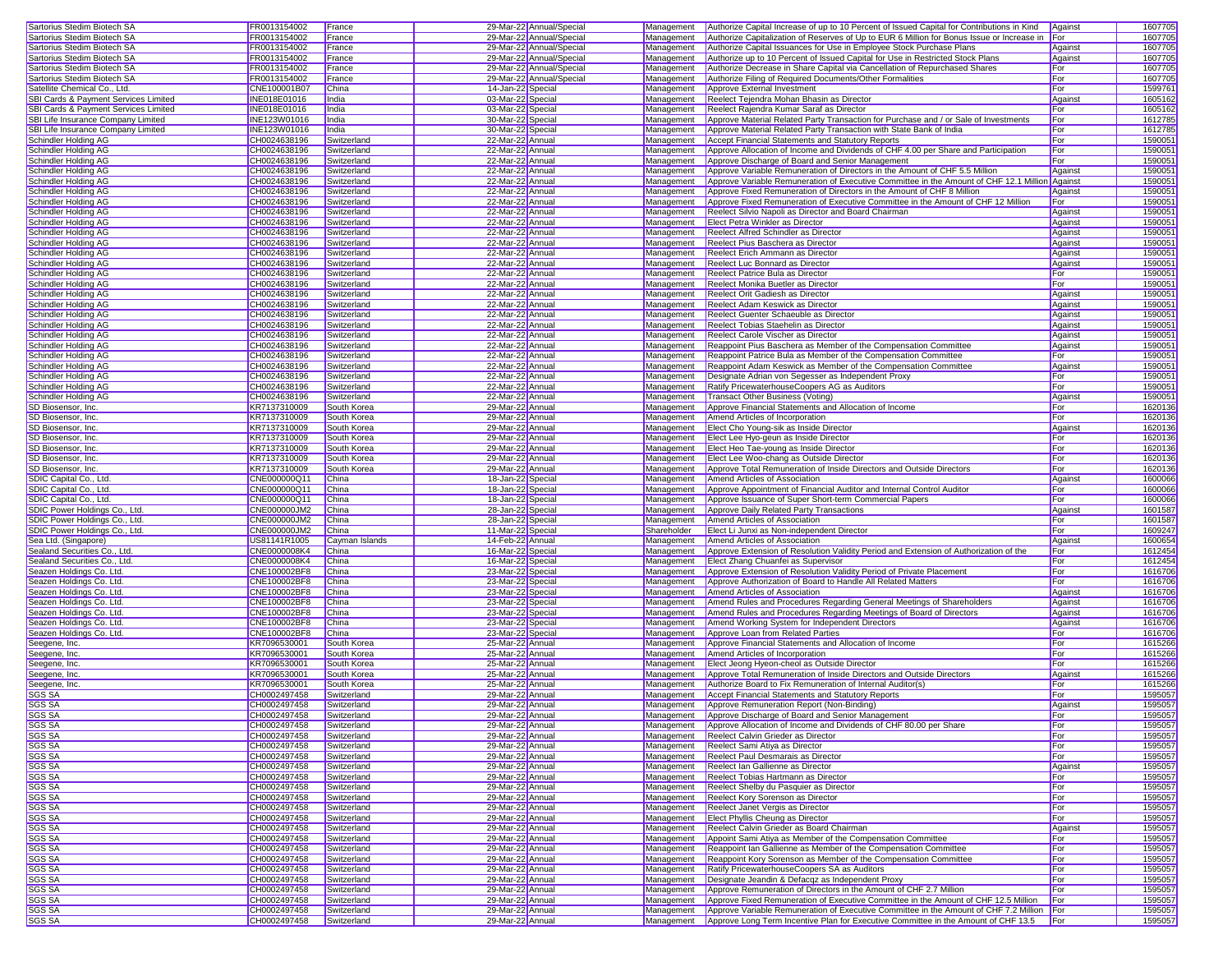| Sartorius Stedim Biotech SA                                                                                                                                                                                                                               | FR0013154002        | France         | 29-Mar-22 Annual/Special | Management  | Authorize Capital Increase of up to 10 Percent of Issued Capital for Contributions in Kind     | Against | 1607705 |
|-----------------------------------------------------------------------------------------------------------------------------------------------------------------------------------------------------------------------------------------------------------|---------------------|----------------|--------------------------|-------------|------------------------------------------------------------------------------------------------|---------|---------|
| Sartorius Stedim Biotech SA                                                                                                                                                                                                                               | FR0013154002        | France         | 29-Mar-22 Annual/Special | Management  | Authorize Capitalization of Reserves of Up to EUR 6 Million for Bonus Issue or Increase in For |         | 1607705 |
| Sartorius Stedim Biotech SA                                                                                                                                                                                                                               | FR0013154002        | France         | 29-Mar-22 Annual/Special | Management  | Authorize Capital Issuances for Use in Employee Stock Purchase Plans                           | Against | 1607705 |
|                                                                                                                                                                                                                                                           |                     |                |                          |             |                                                                                                |         |         |
| Sartorius Stedim Biotech SA                                                                                                                                                                                                                               | FR0013154002        | France         | 29-Mar-22 Annual/Special | Management  | Authorize up to 10 Percent of Issued Capital for Use in Restricted Stock Plans                 | Against | 1607705 |
| Sartorius Stedim Biotech SA                                                                                                                                                                                                                               | FR0013154002        | France         | 29-Mar-22 Annual/Special | Management  | Authorize Decrease in Share Capital via Cancellation of Repurchased Shares                     | For     | 1607705 |
| Sartorius Stedim Biotech SA                                                                                                                                                                                                                               | FR0013154002        | France         | 29-Mar-22 Annual/Special | Management  | Authorize Filing of Required Documents/Other Formalities                                       | For     | 1607705 |
| Satellite Chemical Co., Ltd.                                                                                                                                                                                                                              | CNE100001B07        | China          | 14-Jan-22 Specia         | Management  | Approve External Investment                                                                    | For     | 1599761 |
| SBI Cards & Payment Services Limited                                                                                                                                                                                                                      | <b>INE018E01016</b> | India          | 03-Mar-22 Special        | Management  | Reelect Tejendra Mohan Bhasin as Director                                                      | Agains  | 1605162 |
| SBI Cards & Payment Services Limited                                                                                                                                                                                                                      | INE018E01016        | India          | 03-Mar-22 Specia         | Management  | Reelect Rajendra Kumar Saraf as Director                                                       | For     | 1605162 |
| SBI Life Insurance Company Limited                                                                                                                                                                                                                        | INE123W01016        | India          | 30-Mar-22 Specia         | Management  | Approve Material Related Party Transaction for Purchase and / or Sale of Investments           | For     | 1612785 |
| SBI Life Insurance Company Limited                                                                                                                                                                                                                        | INE123W01016        | India          | 30-Mar-22 Specia         | Management  | Approve Material Related Party Transaction with State Bank of India                            | For     | 1612785 |
| Schindler Holding AG                                                                                                                                                                                                                                      | CH0024638196        | Switzerland    | 22-Mar-22 Annual         | Management  | Accept Financial Statements and Statutory Reports                                              | For     | 159005  |
| <b>Schindler Holding AG</b>                                                                                                                                                                                                                               | CH0024638196        | Switzerland    | 22-Mar-22 Annual         | Management  | Approve Allocation of Income and Dividends of CHF 4.00 per Share and Participation             | For     | 159005  |
|                                                                                                                                                                                                                                                           |                     |                |                          |             |                                                                                                | For     | 159005  |
| Schindler Holding AG                                                                                                                                                                                                                                      | CH0024638196        | Switzerland    | 22-Mar-22 Annual         | Management  | Approve Discharge of Board and Senior Management                                               |         |         |
| Schindler Holding AG                                                                                                                                                                                                                                      | CH0024638196        | Switzerland    | 22-Mar-22 Annual         | Management  | Approve Variable Remuneration of Directors in the Amount of CHF 5.5 Million                    | Against | 1590051 |
| Schindler Holding AG                                                                                                                                                                                                                                      | CH0024638196        | Switzerland    | 22-Mar-22 Annual         | Management  | Approve Variable Remuneration of Executive Committee in the Amount of CHF 12.1 Million Against |         | 159005  |
| Schindler Holding AG                                                                                                                                                                                                                                      | CH0024638196        | Switzerland    | 22-Mar-22 Annual         | Management  | Approve Fixed Remuneration of Directors in the Amount of CHF 8 Million                         | Against | 159005  |
| Schindler Holding AG                                                                                                                                                                                                                                      | CH0024638196        | Switzerland    | 22-Mar-22 Annual         | Management  | Approve Fixed Remuneration of Executive Committee in the Amount of CHF 12 Million              | For     | 159005  |
| Schindler Holding AG                                                                                                                                                                                                                                      | CH0024638196        | Switzerland    | 22-Mar-22 Annual         | Management  | Reelect Silvio Napoli as Director and Board Chairman                                           | Against | 159005  |
| Schindler Holding AG                                                                                                                                                                                                                                      | CH0024638196        | Switzerland    | 22-Mar-22 Annual         | Management  | Elect Petra Winkler as Director                                                                | Against | 159005  |
| Schindler Holding AG                                                                                                                                                                                                                                      | CH0024638196        | Switzerland    | 22-Mar-22 Annual         | Management  | Reelect Alfred Schindler as Director                                                           | Against | 159005  |
| Schindler Holding AG                                                                                                                                                                                                                                      | CH0024638196        | Switzerland    | 22-Mar-22 Annual         | Management  | Reelect Pius Baschera as Director                                                              | Against | 159005  |
| Schindler Holding AG                                                                                                                                                                                                                                      | CH0024638196        | Switzerland    | 22-Mar-22 Annual         | Management  | Reelect Erich Ammann as Director                                                               | Against | 159005  |
| Schindler Holding AG                                                                                                                                                                                                                                      | CH0024638196        | Switzerland    | 22-Mar-22 Annual         | Management  | Reelect Luc Bonnard as Director                                                                | Against | 159005  |
| Schindler Holding AG                                                                                                                                                                                                                                      | CH0024638196        | Switzerland    | 22-Mar-22 Annual         | Management  | Reelect Patrice Bula as Director                                                               | For     | 1590051 |
|                                                                                                                                                                                                                                                           |                     |                |                          |             |                                                                                                |         |         |
| Schindler Holding AG                                                                                                                                                                                                                                      | CH0024638196        | Switzerland    | 22-Mar-22 Annual         | Management  | Reelect Monika Buetler as Director                                                             | For     | 159005  |
| Schindler Holding AG                                                                                                                                                                                                                                      | CH0024638196        | Switzerland    | 22-Mar-22 Annual         | Management  | Reelect Orit Gadiesh as Director                                                               | Against | 159005  |
| Schindler Holding AG                                                                                                                                                                                                                                      | CH0024638196        | Switzerland    | 22-Mar-22 Annual         | Management  | Reelect Adam Keswick as Director                                                               | Against | 159005  |
| Schindler Holding AG                                                                                                                                                                                                                                      | CH0024638196        | Switzerland    | 22-Mar-22 Annual         | Management  | Reelect Guenter Schaeuble as Director                                                          | Against | 159005  |
| Schindler Holding AG                                                                                                                                                                                                                                      | CH0024638196        | Switzerland    | 22-Mar-22 Annual         | Management  | Reelect Tobias Staehelin as Director                                                           | Against | 159005  |
| Schindler Holding AG                                                                                                                                                                                                                                      | CH0024638196        | Switzerland    | 22-Mar-22 Annual         | Management  | <b>Reelect Carole Vischer as Director</b>                                                      | Against | 159005  |
| Schindler Holding AG                                                                                                                                                                                                                                      | CH0024638196        | Switzerland    | 22-Mar-22 Annual         | Management  | Reappoint Pius Baschera as Member of the Compensation Committee                                | Against | 159005  |
| Schindler Holding AG                                                                                                                                                                                                                                      | CH0024638196        | Switzerland    | 22-Mar-22 Annual         | Management  | Reappoint Patrice Bula as Member of the Compensation Committee                                 | For     | 159005  |
| Schindler Holding AG                                                                                                                                                                                                                                      | CH0024638196        | Switzerland    | 22-Mar-22 Annual         | Management  | Reappoint Adam Keswick as Member of the Compensation Committee                                 | Against | 159005  |
| Schindler Holding AG                                                                                                                                                                                                                                      | CH0024638196        | Switzerland    | 22-Mar-22 Annual         | Management  | Designate Adrian von Segesser as Independent Proxy                                             | For     | 1590051 |
| Schindler Holding AG                                                                                                                                                                                                                                      | CH0024638196        | Switzerland    | 22-Mar-22 Annual         | Management  | Ratify PricewaterhouseCoopers AG as Auditors                                                   | For     | 1590051 |
|                                                                                                                                                                                                                                                           |                     |                |                          |             |                                                                                                |         | 159005  |
| Schindler Holding AG                                                                                                                                                                                                                                      | CH0024638196        | Switzerland    | 22-Mar-22 Annual         | Management  | Transact Other Business (Voting)                                                               | Against |         |
| SD Biosensor, Inc.                                                                                                                                                                                                                                        | KR7137310009        | South Korea    | 29-Mar-22 Annual         | Management  | Approve Financial Statements and Allocation of Income                                          | For     | 1620136 |
| SD Biosensor, Inc.                                                                                                                                                                                                                                        | KR7137310009        | South Korea    | 29-Mar-22 Annual         | Management  | Amend Articles of Incorporation                                                                | For     | 1620136 |
| SD Biosensor, Inc.                                                                                                                                                                                                                                        | KR7137310009        | South Korea    | 29-Mar-22 Annual         | Management  | Elect Cho Young-sik as Inside Director                                                         | Against | 1620136 |
| SD Biosensor, Inc.                                                                                                                                                                                                                                        | KR7137310009        | South Korea    | 29-Mar-22 Annual         | Management  | Elect Lee Hyo-geun as Inside Director                                                          | For     | 1620136 |
| SD Biosensor, Inc.                                                                                                                                                                                                                                        | KR7137310009        | South Korea    | 29-Mar-22 Annual         | Management  | Elect Heo Tae-young as Inside Director                                                         | For     | 1620136 |
| SD Biosensor, Inc.                                                                                                                                                                                                                                        | KR7137310009        | South Korea    | 29-Mar-22 Annual         | Management  | Elect Lee Woo-chang as Outside Director                                                        | For     | 1620136 |
| SD Biosensor, Inc.                                                                                                                                                                                                                                        | KR7137310009        |                |                          |             |                                                                                                |         |         |
|                                                                                                                                                                                                                                                           |                     |                |                          |             |                                                                                                |         |         |
|                                                                                                                                                                                                                                                           |                     | South Korea    | 29-Mar-22 Annual         | Management  | Approve Total Remuneration of Inside Directors and Outside Directors                           | For     | 1620136 |
| SDIC Capital Co., Ltd.                                                                                                                                                                                                                                    | CNE000000Q11        | China          | 18-Jan-22 Specia         | Management  | Amend Articles of Association                                                                  | Against | 1600066 |
|                                                                                                                                                                                                                                                           | CNE000000Q11        | China          | 18-Jan-22 Specia         | Management  | Approve Appointment of Financial Auditor and Internal Control Auditor                          | For     | 1600066 |
|                                                                                                                                                                                                                                                           | CNE000000Q11        | China          | 18-Jan-22 Special        | Management  | Approve Issuance of Super Short-term Commercial Papers                                         | For     | 1600066 |
|                                                                                                                                                                                                                                                           | CNE000000JM2        | China          | 28-Jan-22 Special        | Management  | Approve Daily Related Party Transactions                                                       | Against | 1601587 |
|                                                                                                                                                                                                                                                           | CNE000000JM2        | China          | 28-Jan-22 Specia         | Management  | Amend Articles of Association                                                                  | For     | 1601587 |
| SDIC Capital Co., Ltd.<br>SDIC Capital Co., Ltd.<br>SDIC Power Holdings Co., Ltd.<br>SDIC Power Holdings Co., Ltd.<br>SDIC Power Holdings Co., Ltd.                                                                                                       | CNE000000JM2        | China          | 11-Mar-22 Specia         | Shareholder | Elect Li Junxi as Non-independent Director                                                     | For     | 1609247 |
| Sea Ltd. (Singapore)                                                                                                                                                                                                                                      | US81141R1005        | Cayman Islands | 14-Feb-22 Annual         | Management  | Amend Articles of Association                                                                  | Against | 1600654 |
| Sealand Securities Co., Ltd.                                                                                                                                                                                                                              | CNE0000008K4        | China          | 16-Mar-22 Specia         | Management  | Approve Extension of Resolution Validity Period and Extension of Authorization of the          | For     | 1612454 |
| Sealand Securities Co., Ltd.                                                                                                                                                                                                                              | CNE0000008K4        | China          | 16-Mar-22 Specia         | Management  | Elect Zhang Chuanfei as Supervisor                                                             | For     | 1612454 |
|                                                                                                                                                                                                                                                           | CNE100002BF8        | China          | 23-Mar-22 Specia         | Management  | Approve Extension of Resolution Validity Period of Private Placement                           | For     | 1616706 |
|                                                                                                                                                                                                                                                           | CNE100002BF8        | China          | 23-Mar-22 Special        | Management  | Approve Authorization of Board to Handle All Related Matters                                   | For     | 1616706 |
| Seazen Holdings Co. Ltd.<br>Seazen Holdings Co. Ltd.<br>Seazen Holdings Co. Ltd.                                                                                                                                                                          | CNE100002BF8        | China          | 23-Mar-22 Special        | Management  | Amend Articles of Association                                                                  | Against | 1616706 |
| Seazen Holdings Co. Ltd.                                                                                                                                                                                                                                  | CNE100002BF8        | China          | 23-Mar-22 Special        | Management  | Amend Rules and Procedures Regarding General Meetings of Shareholders                          | Against | 1616706 |
|                                                                                                                                                                                                                                                           |                     |                |                          |             |                                                                                                |         |         |
|                                                                                                                                                                                                                                                           | CNE100002BF8        | China          | 23-Mar-22 Special        | Management  | Amend Rules and Procedures Regarding Meetings of Board of Directors                            | Against | 1616706 |
|                                                                                                                                                                                                                                                           | CNE100002BF8        | China          | 23-Mar-22 Specia         | Management  | Amend Working System for Independent Directors                                                 | Against | 1616706 |
|                                                                                                                                                                                                                                                           | CNE100002BF8        | China          | 23-Mar-22 Specia         | Management  | Approve Loan from Related Parties                                                              | For     | 1616706 |
|                                                                                                                                                                                                                                                           | KR7096530001        | South Korea    | 25-Mar-22 Annual         | Management  | Approve Financial Statements and Allocation of Income                                          | For     | 1615266 |
|                                                                                                                                                                                                                                                           | KR7096530001        | South Korea    | 25-Mar-22 Annual         | Management  | Amend Articles of Incorporation                                                                | For     | 1615266 |
|                                                                                                                                                                                                                                                           | KR7096530001        | South Korea    | 25-Mar-22 Annual         | Management  | Elect Jeong Hyeon-cheol as Outside Director                                                    | For     | 1615266 |
|                                                                                                                                                                                                                                                           | KR7096530001        | South Korea    | 25-Mar-22 Annual         | Management  | Approve Total Remuneration of Inside Directors and Outside Directors                           | Agains  | 1615266 |
| Seazen Holdings Co. Ltd.<br>Seazen Holdings Co. Ltd<br>Seazen Holdings Co. Ltd.<br>Seegene, Inc.<br>Seegene, Inc.<br>Seegene, Inc.<br>Seegene, Inc.<br>Seegene, Inc.                                                                                      | KR7096530001        | South Korea    | 25-Mar-22 Annual         | Management  | Authorize Board to Fix Remuneration of Internal Auditor(s)                                     | For     | 1615266 |
| <b>SGS SA</b>                                                                                                                                                                                                                                             | CH0002497458        | Switzerland    | 29-Mar-22 Annual         | Management  | <b>Accept Financial Statements and Statutory Reports</b>                                       | For     | 1595057 |
|                                                                                                                                                                                                                                                           | CH0002497458        | Switzerland    | 29-Mar-22 Annual         | Management  | Approve Remuneration Report (Non-Binding)                                                      | Against | 1595057 |
|                                                                                                                                                                                                                                                           | CH0002497458        | Switzerland    | 29-Mar-22 Annual         | Management  | Approve Discharge of Board and Senior Management                                               | For     | 1595057 |
|                                                                                                                                                                                                                                                           | CH0002497458        | Switzerland    | 29-Mar-22 Annual         | Management  | Approve Allocation of Income and Dividends of CHF 80.00 per Share                              | For     | 1595057 |
|                                                                                                                                                                                                                                                           | CH0002497458        | Switzerland    | 29-Mar-22 Annual         | Management  | Reelect Calvin Grieder as Director                                                             | For     | 1595057 |
|                                                                                                                                                                                                                                                           | CH0002497458        | Switzerland    | 29-Mar-22 Annual         | Management  | Reelect Sami Atiya as Director                                                                 | For     | 1595057 |
|                                                                                                                                                                                                                                                           | CH0002497458        | Switzerland    | 29-Mar-22 Annual         | Management  | Reelect Paul Desmarais as Director                                                             | For     | 1595057 |
|                                                                                                                                                                                                                                                           |                     |                |                          |             | Reelect Ian Gallienne as Director                                                              |         |         |
|                                                                                                                                                                                                                                                           | CH0002497458        | Switzerland    | 29-Mar-22 Annual         | Management  |                                                                                                | Against | 1595057 |
|                                                                                                                                                                                                                                                           | CH0002497458        | Switzerland    | 29-Mar-22 Annual         | Management  | Reelect Tobias Hartmann as Director                                                            | For     | 1595057 |
|                                                                                                                                                                                                                                                           | CH0002497458        | Switzerland    | 29-Mar-22 Annual         | Management  | Reelect Shelby du Pasquier as Director                                                         | For     | 1595057 |
|                                                                                                                                                                                                                                                           | CH0002497458        | Switzerland    | 29-Mar-22 Annual         | Management  | <b>Reelect Kory Sorenson as Director</b>                                                       | For     | 1595057 |
|                                                                                                                                                                                                                                                           | CH0002497458        | Switzerland    | 29-Mar-22 Annual         | Management  | Reelect Janet Vergis as Director                                                               | For     | 1595057 |
|                                                                                                                                                                                                                                                           | CH0002497458        | Switzerland    | 29-Mar-22 Annual         | Management  | Elect Phyllis Cheung as Director                                                               | For     | 1595057 |
|                                                                                                                                                                                                                                                           | CH0002497458        | Switzerland    | 29-Mar-22 Annual         | Management  | Reelect Calvin Grieder as Board Chairman                                                       | Against | 1595057 |
|                                                                                                                                                                                                                                                           | CH0002497458        | Switzerland    | 29-Mar-22 Annual         | Management  | Appoint Sami Atiya as Member of the Compensation Committee                                     | For     | 1595057 |
|                                                                                                                                                                                                                                                           | CH0002497458        | Switzerland    | 29-Mar-22 Annual         | Management  | Reappoint Ian Gallienne as Member of the Compensation Committee                                | For     | 1595057 |
|                                                                                                                                                                                                                                                           | CH0002497458        | Switzerland    | 29-Mar-22 Annual         | Management  | Reappoint Kory Sorenson as Member of the Compensation Committee                                | For     | 1595057 |
|                                                                                                                                                                                                                                                           | CH0002497458        | Switzerland    | 29-Mar-22 Annual         | Management  | Ratify PricewaterhouseCoopers SA as Auditors                                                   | For     | 1595057 |
|                                                                                                                                                                                                                                                           | CH0002497458        | Switzerland    | 29-Mar-22 Annual         | Management  | Designate Jeandin & Defacqz as Independent Proxy                                               | For     | 1595057 |
| SGS SA<br><u>SGS SA</u><br>SGS SA<br>SGS SA<br><b>SGS SA</b><br>SGS SA<br><b>SGS SA</b><br><b>SGS SA</b><br>SGS SA<br><b>SGS SA</b><br>SGS SA<br><u>SGS SA</u><br><b>SGS SA</b><br>SGS SA<br><b>SGS SA</b><br>SGS SA<br><b>SGS SA</b><br>SGS SA<br>SGS SA | CH0002497458        | Switzerland    | 29-Mar-22 Annual         | Management  | Approve Remuneration of Directors in the Amount of CHF 2.7 Million                             | For     | 1595057 |
| SGS SA                                                                                                                                                                                                                                                    | CH0002497458        | Switzerland    | 29-Mar-22 Annual         | Management  | Approve Fixed Remuneration of Executive Committee in the Amount of CHF 12.5 Million            | For     | 1595057 |
| SGS SA                                                                                                                                                                                                                                                    | CH0002497458        | Switzerland    | 29-Mar-22 Annual         | Management  | Approve Variable Remuneration of Executive Committee in the Amount of CHF 7.2 Million For      |         | 1595057 |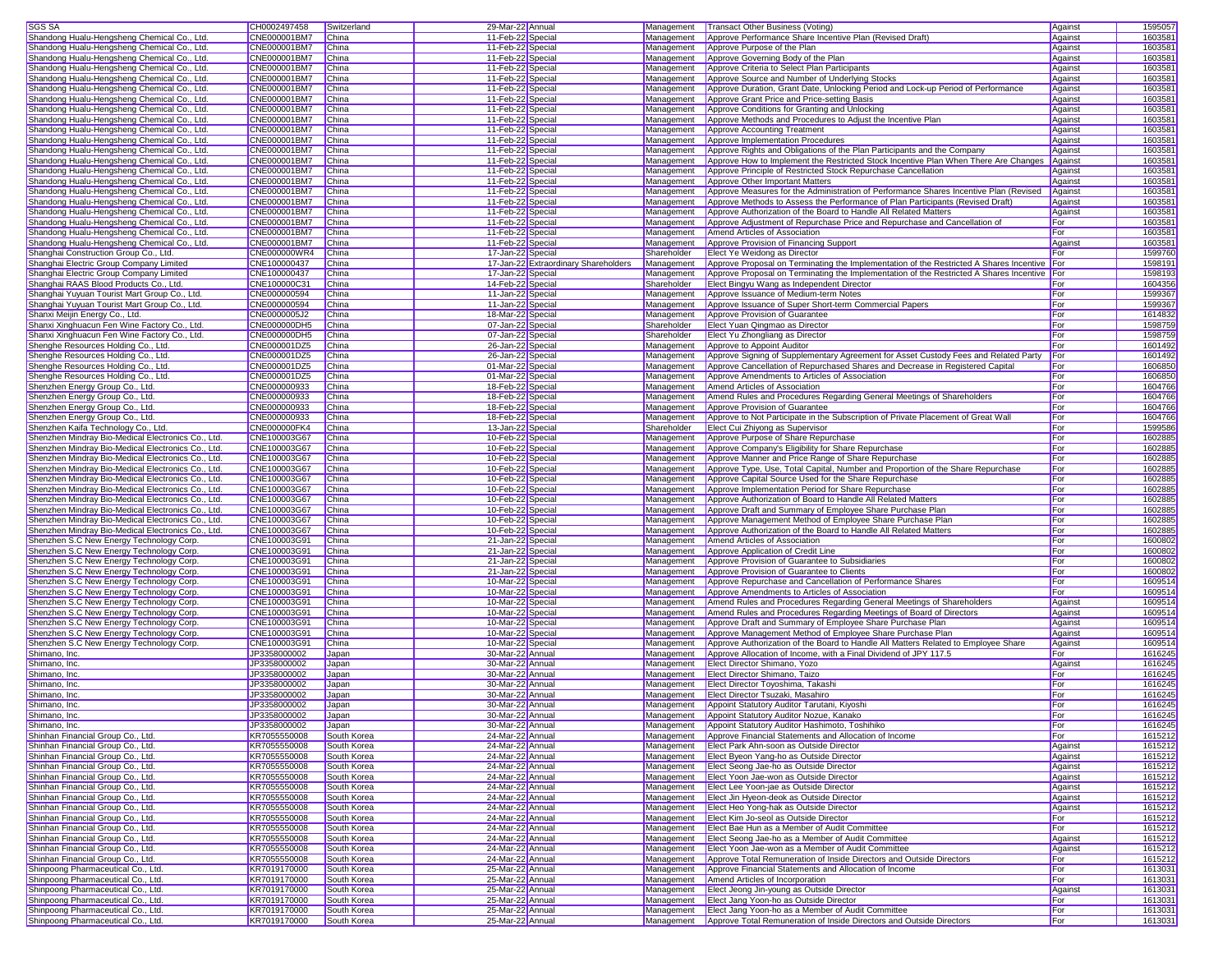| SGS SA                                             | CH0002497458                 | Switzerland    | 29-Mar-22 Annual                     | Management               | Transact Other Business (Voting)                                                              | Against | 1595057 |
|----------------------------------------------------|------------------------------|----------------|--------------------------------------|--------------------------|-----------------------------------------------------------------------------------------------|---------|---------|
| Shandong Hualu-Hengsheng Chemical Co., Ltd.        | CNE000001BM7                 | China          | 11-Feb-22 Special                    | Management               | Approve Performance Share Incentive Plan (Revised Draft)                                      | Against | 1603581 |
| Shandong Hualu-Hengsheng Chemical Co., Ltd.        | CNE000001BM7                 | China          | 11-Feb-22 Special                    | Management               | Approve Purpose of the Plan                                                                   | Against | 1603581 |
| Shandong Hualu-Hengsheng Chemical Co., Ltd.        | CNE000001BM7                 | China          | 11-Feb-22 Special                    | Management               | Approve Governing Body of the Plan                                                            | Against | 1603581 |
| Shandong Hualu-Hengsheng Chemical Co., Ltd.        | CNE000001BM7                 | China          | 11-Feb-22 Special                    | Management               | Approve Criteria to Select Plan Participants                                                  | Against | 160358  |
|                                                    |                              |                |                                      |                          |                                                                                               |         | 160358  |
| Shandong Hualu-Hengsheng Chemical Co., Ltd.        | CNE000001BM7<br>CNE000001BM7 | China<br>China | 11-Feb-22 Special                    | Management               | Approve Source and Number of Underlying Stocks                                                | Against |         |
| Shandong Hualu-Hengsheng Chemical Co., Ltd.        |                              |                | 11-Feb-22 Special                    | Management               | Approve Duration, Grant Date, Unlocking Period and Lock-up Period of Performance              | Against | 160358  |
| Shandong Hualu-Hengsheng Chemical Co., Ltd.        | CNE000001BM7                 | China          | 11-Feb-22 Special                    | Management               | Approve Grant Price and Price-setting Basis                                                   | Against | 160358  |
| Shandong Hualu-Hengsheng Chemical Co., Ltd.        | CNE000001BM7                 | China          | 11-Feb-22 Special                    | Management               | Approve Conditions for Granting and Unlocking                                                 | Against | 160358  |
| Shandong Hualu-Hengsheng Chemical Co., Ltd.        | CNE000001BM7                 | China          | 11-Feb-22 Special                    | Management               | Approve Methods and Procedures to Adjust the Incentive Plan                                   | Against | 160358  |
| Shandong Hualu-Hengsheng Chemical Co., Ltd.        | CNE000001BM7                 | China          | 11-Feb-22 Special                    | Management               | Approve Accounting Treatment                                                                  | Against | 160358  |
| Shandong Hualu-Hengsheng Chemical Co., Ltd.        | CNE000001BM7                 | China          | 11-Feb-22 Special                    | Management               | Approve Implementation Procedures                                                             | Against | 160358  |
| Shandong Hualu-Hengsheng Chemical Co., Ltd.        | CNE000001BM7                 | China          | 11-Feb-22 Special                    | Management               | Approve Rights and Obligations of the Plan Participants and the Company                       | Against | 160358  |
| Shandong Hualu-Hengsheng Chemical Co., Ltd.        | CNE000001BM7                 | China          | 11-Feb-22 Special                    | Management               | Approve How to Implement the Restricted Stock Incentive Plan When There Are Changes Against   |         | 160358  |
| Shandong Hualu-Hengsheng Chemical Co., Ltd.        | CNE000001BM7                 | China          | 11-Feb-22 Special                    | Management               | Approve Principle of Restricted Stock Repurchase Cancellation                                 | Against | 160358  |
| Shandong Hualu-Hengsheng Chemical Co., Ltd.        | CNE000001BM7                 | China          | 11-Feb-22 Special                    | Management               | Approve Other Important Matters                                                               | Against | 160358  |
| Shandong Hualu-Hengsheng Chemical Co., Ltd.        | CNE000001BM7                 | China          | 11-Feb-22 Special                    | Management               | Approve Measures for the Administration of Performance Shares Incentive Plan (Revised         | Against | 160358  |
| Shandong Hualu-Hengsheng Chemical Co., Ltd.        | CNE000001BM7                 | China          | 11-Feb-22 Special                    | Management               | Approve Methods to Assess the Performance of Plan Participants (Revised Draft)                | Against | 1603581 |
| Shandong Hualu-Hengsheng Chemical Co., Ltd.        | CNE000001BM7                 | China          | 11-Feb-22 Special                    | Management               | Approve Authorization of the Board to Handle All Related Matters                              | Against | 160358  |
| Shandong Hualu-Hengsheng Chemical Co., Ltd.        | CNE000001BM7                 | China          | 11-Feb-22 Special                    | Management               | Approve Adjustment of Repurchase Price and Repurchase and Cancellation of                     | For     | 160358  |
| Shandong Hualu-Hengsheng Chemical Co., Ltd.        | CNE000001BM7                 | China          | 11-Feb-22 Special                    | Management               | Amend Articles of Association                                                                 | For     | 160358  |
| Shandong Hualu-Hengsheng Chemical Co., Ltd.        | CNE000001BM7                 | China          | 11-Feb-22 Special                    | Management               | Approve Provision of Financing Support                                                        | Against | 160358  |
| Shanghai Construction Group Co., Ltd.              | CNE000000WR4                 | China          | 17-Jan-22 Special                    | Shareholder              | Elect Ye Weidong as Director                                                                  | For     | 1599760 |
| Shanghai Electric Group Company Limited            | CNE100000437                 | China          | 17-Jan-22 Extraordinary Shareholders | Management               | Approve Proposal on Terminating the Implementation of the Restricted A Shares Incentive For   |         | 1598191 |
|                                                    |                              |                |                                      |                          |                                                                                               |         |         |
| Shanghai Electric Group Company Limited            | CNE100000437                 | China          | 17-Jan-22 Special                    | Management               | Approve Proposal on Terminating the Implementation of the Restricted A Shares Incentive   For |         | 1598193 |
| Shanghai RAAS Blood Products Co., Ltd.             | CNE100000C31                 | China          | 14-Feb-22 Special                    | Shareholder              | Elect Bingyu Wang as Independent Director                                                     | For     | 1604356 |
| Shanghai Yuyuan Tourist Mart Group Co., Ltd.       | CNE000000594                 | China          | 11-Jan-22 Special                    | Management               | Approve Issuance of Medium-term Notes                                                         | For     | 1599367 |
| Shanghai Yuyuan Tourist Mart Group Co., Ltd.       | CNE000000594                 | China          | 11-Jan-22 Special                    | Management               | Approve Issuance of Super Short-term Commercial Papers                                        | For     | 1599367 |
| Shanxi Meijin Energy Co., Ltd.                     | CNE0000005J2                 | China          | 18-Mar-22 Special                    | Management               | Approve Provision of Guarantee                                                                | For     | 1614832 |
| Shanxi Xinghuacun Fen Wine Factory Co., Ltd.       | CNE000000DH5                 | China          | 07-Jan-22 Special                    | Shareholder              | Elect Yuan Qingmao as Director                                                                | For     | 1598759 |
| Shanxi Xinghuacun Fen Wine Factory Co., Ltd.       | CNE000000DH5                 | China          | 07-Jan-22 Special                    | Shareholder              | Elect Yu Zhongliang as Director                                                               | For     | 1598759 |
| Shenghe Resources Holding Co., Ltd.                | CNE000001DZ5                 | China          | 26-Jan-22 Special                    | Management               | Approve to Appoint Auditor                                                                    | For     | 1601492 |
| Shenghe Resources Holding Co., Ltd.                | CNE000001DZ5                 | China          | 26-Jan-22 Special                    | Management               | Approve Signing of Supplementary Agreement for Asset Custody Fees and Related Party           | For     | 1601492 |
| Shenghe Resources Holding Co., Ltd.                | CNE000001DZ5                 | China          | 01-Mar-22 Special                    | Management               | Approve Cancellation of Repurchased Shares and Decrease in Registered Capital                 | For     | 1606850 |
| Shenghe Resources Holding Co., Ltd.                | CNE000001DZ5                 | China          | 01-Mar-22 Special                    | Management               | Approve Amendments to Articles of Association                                                 | For     | 1606850 |
| Shenzhen Energy Group Co., Ltd.                    | CNE000000933                 | China          | 18-Feb-22 Special                    | Management               | Amend Articles of Association                                                                 | For     | 1604766 |
| Shenzhen Energy Group Co., Ltd.                    | CNE000000933                 | China          | 18-Feb-22 Special                    | Management               | Amend Rules and Procedures Regarding General Meetings of Shareholders                         | For     | 1604766 |
| Shenzhen Energy Group Co., Ltd.                    | CNE000000933                 | China          | 18-Feb-22 Special                    | Management               | Approve Provision of Guarantee                                                                | For     | 1604766 |
| Shenzhen Energy Group Co., Ltd.                    | CNE000000933                 | China          | 18-Feb-22 Special                    | Management               | Approve to Not Participate in the Subscription of Private Placement of Great Wall             | For     | 1604766 |
| Shenzhen Kaifa Technology Co., Ltd.                | CNE000000FK4                 | China          | 13-Jan-22 Special                    | Shareholder              | Elect Cui Zhiyong as Supervisor                                                               | For     | 1599586 |
| Shenzhen Mindray Bio-Medical Electronics Co., Ltd. | CNE100003G67                 | China          | 10-Feb-22 Special                    |                          | Approve Purpose of Share Repurchase                                                           | For     | 1602885 |
| Shenzhen Mindray Bio-Medical Electronics Co., Ltd. | CNE100003G67                 | China          |                                      | Management<br>Management | Approve Company's Eligibility for Share Repurchase                                            | For     | 1602885 |
|                                                    |                              |                | 10-Feb-22 Special                    |                          |                                                                                               |         |         |
| Shenzhen Mindray Bio-Medical Electronics Co., Ltd. | CNE100003G67                 | China          | 10-Feb-22 Special                    | <b>Management</b>        | Approve Manner and Price Range of Share Repurchase                                            | For     | 1602885 |
| Shenzhen Mindray Bio-Medical Electronics Co., Ltd. | CNE100003G67                 | China          | 10-Feb-22 Special                    | Management               | Approve Type, Use, Total Capital, Number and Proportion of the Share Repurchase               | For     | 1602885 |
| Shenzhen Mindray Bio-Medical Electronics Co., Ltd. | CNE100003G67                 | China          | 10-Feb-22 Special                    | Management               | Approve Capital Source Used for the Share Repurchase                                          | For     | 1602885 |
| Shenzhen Mindray Bio-Medical Electronics Co., Ltd. | CNE100003G67                 | China          | 10-Feb-22 Special                    | Management               | Approve Implementation Period for Share Repurchase                                            | For     | 1602885 |
| Shenzhen Mindray Bio-Medical Electronics Co., Ltd. | CNE100003G67                 | China          | 10-Feb-22 Special                    | Management               | Approve Authorization of Board to Handle All Related Matters                                  | For     | 1602885 |
| Shenzhen Mindray Bio-Medical Electronics Co., Ltd. | CNE100003G67                 | China          | 10-Feb-22 Special                    | Management               | Approve Draft and Summary of Employee Share Purchase Plan                                     | For     | 1602885 |
| Shenzhen Mindray Bio-Medical Electronics Co., Ltd. | CNE100003G67                 | China          | 10-Feb-22 Special                    | Management               | Approve Management Method of Employee Share Purchase Plan                                     | For     | 1602885 |
| Shenzhen Mindray Bio-Medical Electronics Co., Ltd. | CNE100003G67                 | China          | 10-Feb-22 Special                    | Management               | Approve Authorization of the Board to Handle All Related Matters                              | For     | 1602885 |
| Shenzhen S.C New Energy Technology Corp.           | CNE100003G91                 | China          | 21-Jan-22 Special                    | Management               | Amend Articles of Association                                                                 | For     | 1600802 |
| Shenzhen S.C New Energy Technology Corp.           | CNE100003G91                 | China          | 21-Jan-22 Special                    | Management               | Approve Application of Credit Line                                                            | For     | 1600802 |
| Shenzhen S.C New Energy Technology Corp.           | CNE100003G91                 | China          | 21-Jan-22 Special                    | <b>Management</b>        | Approve Provision of Guarantee to Subsidiaries                                                | For     | 1600802 |
| Shenzhen S.C New Energy Technology Corp.           | CNE100003G91                 | China          | 21-Jan-22 Special                    | Management               | Approve Provision of Guarantee to Clients                                                     | For     | 1600802 |
| Shenzhen S.C New Energy Technology Corp.           | CNE100003G91                 | China          | 10-Mar-22 Special                    | Management               | Approve Repurchase and Cancellation of Performance Shares                                     | For     | 1609514 |
| Shenzhen S.C New Energy Technology Corp.           | CNE100003G91                 | China          | 10-Mar-22 Special                    | Management               | Approve Amendments to Articles of Association                                                 | For     | 1609514 |
| Shenzhen S.C New Energy Technology Corp.           | CNE100003G91                 | China          | 10-Mar-22 Special                    | Management               | Amend Rules and Procedures Regarding General Meetings of Shareholders                         | Against | 1609514 |
| Shenzhen S.C New Energy Technology Corp.           | CNE100003G91                 | China          | 10-Mar-22 Special                    | Management               | Amend Rules and Procedures Regarding Meetings of Board of Directors                           | Against | 1609514 |
| Shenzhen S.C New Energy Technology Corp.           | CNE100003G91                 | China          | 10-Mar-22 Special                    | Management               | Approve Draft and Summary of Employee Share Purchase Plan                                     | Against | 1609514 |
| Shenzhen S.C New Energy Technology Corp.           | CNE100003G91                 | China          | 10-Mar-22 Special                    | Management               | Approve Management Method of Employee Share Purchase Plan                                     | Against | 1609514 |
| Shenzhen S.C New Energy Technology Corp.           | CNE100003G91                 | China          | 10-Mar-22 Special                    | Management               | Approve Authorization of the Board to Handle All Matters Related to Employee Share            | Against | 1609514 |
| Shimano, Inc.                                      | JP3358000002                 | Japan          | 30-Mar-22 Annual                     | Management               | Approve Allocation of Income, with a Final Dividend of JPY 117.5                              | For     | 1616245 |
|                                                    | JP3358000002                 |                |                                      |                          |                                                                                               | Against | 1616245 |
| Shimano, Inc.                                      |                              | Japan          | 30-Mar-22 Annual                     | Management               | Elect Director Shimano, Yozo                                                                  |         |         |
| Shimano, Inc.                                      | JP3358000002                 | Japan          | 30-Mar-22 Annual                     | Management               | Elect Director Shimano, Taizo                                                                 | For     | 1616245 |
| Shimano, Inc.                                      | JP3358000002                 | Japan          | 30-Mar-22 Annual                     | Management               | Elect Director Toyoshima, Takashi                                                             | For     | 1616245 |
| Shimano, Inc                                       | JP3358000002                 | Japan          | 30-Mar-22 Annual                     | Management               | Elect Director Tsuzaki, Masahiro                                                              | For     | 1616245 |
| Shimano, Inc.                                      | JP3358000002                 | Japan          | 30-Mar-22 Annual                     | Management               | Appoint Statutory Auditor Tarutani, Kiyoshi                                                   | For     | 1616245 |
| Shimano, Inc                                       | JP3358000002                 | Japan          | 30-Mar-22 Annual                     | Management               | Appoint Statutory Auditor Nozue, Kanako                                                       | For     | 1616245 |
| Shimano, Inc.                                      | JP3358000002                 | Japan          | 30-Mar-22 Annual                     | Management               | Appoint Statutory Auditor Hashimoto, Toshihiko                                                | For     | 1616245 |
| Shinhan Financial Group Co., Ltd.                  | KR7055550008                 | South Korea    | 24-Mar-22 Annual                     | Management               | Approve Financial Statements and Allocation of Income                                         | For     | 1615212 |
| Shinhan Financial Group Co., Ltd.                  | KR7055550008                 | South Korea    | 24-Mar-22 Annual                     | Management               | Elect Park Ahn-soon as Outside Director                                                       | Against | 1615212 |
| Shinhan Financial Group Co., Ltd.                  | KR7055550008                 | South Korea    | 24-Mar-22 Annual                     | Management               | Elect Byeon Yang-ho as Outside Director                                                       | Against | 1615212 |
| Shinhan Financial Group Co., Ltd.                  | KR7055550008                 | South Korea    | 24-Mar-22 Annual                     | Management               | Elect Seong Jae-ho as Outside Director                                                        | Against | 1615212 |
| Shinhan Financial Group Co., Ltd.                  | KR7055550008                 | South Korea    | 24-Mar-22 Annual                     | Management               | Elect Yoon Jae-won as Outside Director                                                        | Against | 1615212 |
| Shinhan Financial Group Co., Ltd.                  | KR7055550008                 | South Korea    | 24-Mar-22 Annual                     | Management               | Elect Lee Yoon-jae as Outside Director                                                        | Against | 1615212 |
| Shinhan Financial Group Co., Ltd.                  | KR7055550008                 | South Korea    | 24-Mar-22 Annual                     | Management               | Elect Jin Hyeon-deok as Outside Director                                                      | Against | 1615212 |
| Shinhan Financial Group Co., Ltd.                  | KR7055550008                 | South Korea    | 24-Mar-22 Annual                     | Management               | Elect Heo Yong-hak as Outside Director                                                        | Against | 1615212 |
| Shinhan Financial Group Co., Ltd.                  | KR7055550008                 | South Korea    | 24-Mar-22 Annual                     | Management               | Elect Kim Jo-seol as Outside Director                                                         | For     | 1615212 |
| Shinhan Financial Group Co., Ltd.                  | KR7055550008                 | South Korea    | 24-Mar-22 Annual                     | Management               | Elect Bae Hun as a Member of Audit Committee                                                  | For     | 1615212 |
| Shinhan Financial Group Co., Ltd.                  | KR7055550008                 | South Korea    | 24-Mar-22 Annual                     | Management               | Elect Seong Jae-ho as a Member of Audit Committee                                             | Against | 1615212 |
| Shinhan Financial Group Co., Ltd.                  | KR7055550008                 | South Korea    | 24-Mar-22 Annual                     | Management               | Elect Yoon Jae-won as a Member of Audit Committee                                             | Against | 1615212 |
| Shinhan Financial Group Co., Ltd.                  | KR7055550008                 | South Korea    | 24-Mar-22 Annual                     | Management               | Approve Total Remuneration of Inside Directors and Outside Directors                          | For     | 1615212 |
| Shinpoong Pharmaceutical Co., Ltd.                 | KR7019170000                 | South Korea    | 25-Mar-22 Annual                     | Management               | Approve Financial Statements and Allocation of Income                                         | For     | 1613031 |
|                                                    | KR7019170000                 |                | 25-Mar-22 Annual                     |                          |                                                                                               |         |         |
| Shinpoong Pharmaceutical Co., Ltd.                 |                              | South Korea    |                                      | Management               | Amend Articles of Incorporation                                                               | For     | 1613031 |
| Shinpoong Pharmaceutical Co., Ltd.                 | KR7019170000                 | South Korea    | 25-Mar-22 Annual                     | Management               | Elect Jeong Jin-young as Outside Director                                                     | Against | 1613031 |
| Shinpoong Pharmaceutical Co., Ltd.                 | KR7019170000                 | South Korea    | 25-Mar-22 Annual                     | Management               | Elect Jang Yoon-ho as Outside Director                                                        | For     | 1613031 |
| Shinpoong Pharmaceutical Co., Ltd.                 | KR7019170000                 | South Korea    | 25-Mar-22 Annual                     | Management               | Elect Jang Yoon-ho as a Member of Audit Committee                                             | For     | 1613031 |
| Shinpoong Pharmaceutical Co., Ltd.                 | KR7019170000                 | South Korea    | 25-Mar-22 Annual                     |                          | Management Approve Total Remuneration of Inside Directors and Outside Directors               | For     | 1613031 |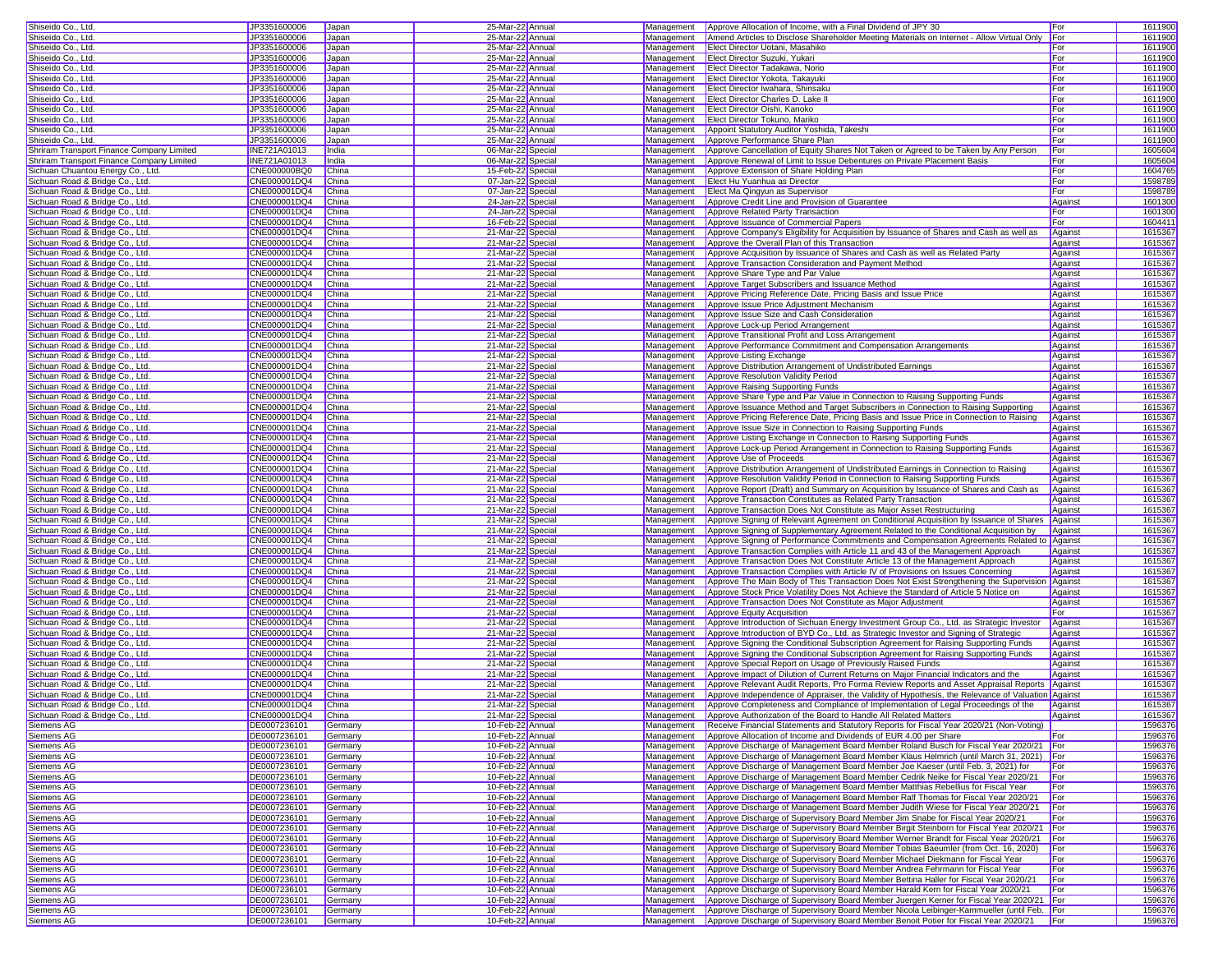| Shiseido Co., Ltd                                                 | JP3351600006                       | Japan          | 25-Mar-22 Annual                       |                          | Management Approve Allocation of Income, with a Final Dividend of JPY 30                                                                                                                  | For         | 1611900            |
|-------------------------------------------------------------------|------------------------------------|----------------|----------------------------------------|--------------------------|-------------------------------------------------------------------------------------------------------------------------------------------------------------------------------------------|-------------|--------------------|
| Shiseido Co., Ltd.                                                | JP3351600006                       | Japan          | 25-Mar-22 Annual                       | Management               | Amend Articles to Disclose Shareholder Meeting Materials on Internet - Allow Virtual Only                                                                                                 | For         | 1611900            |
| Shiseido Co., Ltd.                                                | JP3351600006                       | Japan          | 25-Mar-22 Annual                       | Management               | Elect Director Uotani, Masahiko                                                                                                                                                           | For         | 1611900            |
| Shiseido Co., Ltd.                                                | JP3351600006                       | Japan          | 25-Mar-22 Annual                       | Management               | Elect Director Suzuki, Yukari                                                                                                                                                             | For         | 1611900            |
| Shiseido Co., Ltd.                                                | JP3351600006                       | Japan          | 25-Mar-22 Annual                       |                          | Management <b>Elect Director Tadakawa, Norio</b>                                                                                                                                          | For         | 1611900            |
| Shiseido Co., Ltd.                                                | JP3351600006                       | Japan          | 25-Mar-22 Annual                       | Management               | Elect Director Yokota, Takayuki                                                                                                                                                           | For         | 1611900            |
| Shiseido Co., Ltd.                                                | JP3351600006                       | Japan          | 25-Mar-22 Annual                       | Management               | Elect Director Iwahara, Shinsaku                                                                                                                                                          | For         | 1611900            |
| Shiseido Co., Ltd.                                                | JP3351600006                       | Japan          | 25-Mar-22 Annual                       | Management               | <b>Elect Director Charles D. Lake II</b>                                                                                                                                                  | For         | 1611900            |
| Shiseido Co., Ltd.                                                | JP3351600006                       | Japan          | 25-Mar-22 Annual                       | Management               | Elect Director Oishi, Kanoko                                                                                                                                                              | For         | 1611900            |
| Shiseido Co., Ltd                                                 | JP3351600006                       | Japan          | 25-Mar-22 Annual                       | Management               | Elect Director Tokuno, Mariko                                                                                                                                                             | For         | 1611900            |
| Shiseido Co., Ltd                                                 | JP3351600006                       | Japan          | 25-Mar-22 Annual                       | Management               | Appoint Statutory Auditor Yoshida, Takeshi                                                                                                                                                | For         | 1611900            |
| Shiseido Co., Ltd.                                                | JP3351600006                       | Japan          | 25-Mar-22 Annual                       | Management               | Approve Performance Share Plan                                                                                                                                                            | For         | 1611900            |
| Shriram Transport Finance Company Limited                         | INE721A01013                       | India          | 06-Mar-22 Special                      | Management               | Approve Cancellation of Equity Shares Not Taken or Agreed to be Taken by Any Person                                                                                                       | For         | 1605604            |
| Shriram Transport Finance Company Limited                         | INE721A01013                       | India          | 06-Mar-22 Special                      | Management               | Approve Renewal of Limit to Issue Debentures on Private Placement Basis                                                                                                                   | For         | 1605604            |
| Sichuan Chuantou Energy Co., Ltd.                                 | CNE000000BQ0                       | China          | 15-Feb-22 Special                      | Management               | Approve Extension of Share Holding Plan                                                                                                                                                   | For         | 1604765            |
| Sichuan Road & Bridge Co., Ltd.                                   | CNE000001DQ4                       | China          | 07-Jan-22 Special                      | Management               | Elect Hu Yuanhua as Director                                                                                                                                                              | For         | 1598789            |
| Sichuan Road & Bridge Co., Ltd.                                   | CNE000001DQ4                       | China          | 07-Jan-22 Special                      | Management               | Elect Ma Qingyun as Supervisor                                                                                                                                                            | For         | 1598789            |
| Sichuan Road & Bridge Co., Ltd.                                   | CNE000001DQ4                       | China          | 24-Jan-22 Special                      | Management               | Approve Credit Line and Provision of Guarantee                                                                                                                                            | Against     | 1601300            |
| Sichuan Road & Bridge Co., Ltd.                                   | CNE000001DQ4                       | China          | 24-Jan-22 Special                      | Management               | Approve Related Party Transaction                                                                                                                                                         | For         | 1601300            |
| Sichuan Road & Bridge Co., Ltd                                    | CNE000001DQ4                       | China          | 16-Feb-22 Special                      | Management               | Approve Issuance of Commercial Papers                                                                                                                                                     | For         | 160441             |
| Sichuan Road & Bridge Co., Ltd.                                   | CNE000001DQ4                       | China          | 21-Mar-22 Specia                       | Management               | Approve Company's Eligibility for Acquisition by Issuance of Shares and Cash as well as                                                                                                   | Against     | 1615367            |
| Sichuan Road & Bridge Co., Ltd.                                   | CNE000001DQ4                       | China          | 21-Mar-22 Special                      | Management               | Approve the Overall Plan of this Transaction                                                                                                                                              | Against     | 1615367            |
| Sichuan Road & Bridge Co., Ltd.                                   | CNE000001DQ4                       | China          | 21-Mar-22 Special                      | Management               | Approve Acquisition by Issuance of Shares and Cash as well as Related Party                                                                                                               | Against     | 1615367            |
| Sichuan Road & Bridge Co., Ltd.                                   | CNE000001DQ4                       | China          | 21-Mar-22 Special                      | Management               | Approve Transaction Consideration and Payment Method                                                                                                                                      | Against     | 1615367            |
| Sichuan Road & Bridge Co., Ltd.                                   | CNE000001DQ4                       | China          | 21-Mar-22 Special                      | Management               | Approve Share Type and Par Value                                                                                                                                                          | Against     | 1615367            |
| Sichuan Road & Bridge Co., Ltd.                                   | CNE000001DQ4                       | China          | 21-Mar-22 Special                      | Management               | Approve Target Subscribers and Issuance Method                                                                                                                                            | Against     | 1615367            |
| Sichuan Road & Bridge Co., Ltd.                                   | CNE000001DQ4                       | China          | 21-Mar-22 Special                      | Management               | Approve Pricing Reference Date, Pricing Basis and Issue Price                                                                                                                             | Against     | 1615367            |
| Sichuan Road & Bridge Co., Ltd.                                   | CNE000001DQ4                       | China          | 21-Mar-22 Special                      | Management               | Approve Issue Price Adjustment Mechanism                                                                                                                                                  | Against     | 1615367            |
| Sichuan Road & Bridge Co., Ltd.                                   | CNE000001DQ4                       | China          | 21-Mar-22 Special                      | Management               | Approve Issue Size and Cash Consideration                                                                                                                                                 | Against     | 1615367            |
| Sichuan Road & Bridge Co., Ltd                                    | CNE000001DQ4                       | China          | 21-Mar-22 Special                      | Management               | Approve Lock-up Period Arrangement                                                                                                                                                        | Against     | 1615367            |
| Sichuan Road & Bridge Co., Ltd.                                   | CNE000001DQ4                       | China          | 21-Mar-22 Specia                       | Management               | Approve Transitional Profit and Loss Arrangement                                                                                                                                          | Against     | 1615367            |
| Sichuan Road & Bridge Co., Ltd.                                   | CNE000001DQ4                       | China          | 21-Mar-22 Special                      | Management               | Approve Performance Commitment and Compensation Arrangements                                                                                                                              | Against     | 1615367            |
| Sichuan Road & Bridge Co., Ltd.                                   | CNE000001DQ4                       | China          | 21-Mar-22 Special                      | Management               | Approve Listing Exchange                                                                                                                                                                  | Against     | 1615367            |
| Sichuan Road & Bridge Co., Ltd.                                   | CNE000001DQ4                       | China          | 21-Mar-22 Special                      | Management               | Approve Distribution Arrangement of Undistributed Earnings                                                                                                                                | Against     | 1615367            |
| Sichuan Road & Bridge Co., Ltd.                                   | CNE000001DQ4                       | China          | 21-Mar-22 Special                      | Management               | <b>Approve Resolution Validity Period</b>                                                                                                                                                 | Against     | 1615367            |
| Sichuan Road & Bridge Co., Ltd.                                   | CNE000001DQ4                       | China          | 21-Mar-22 Special                      | Management               | Approve Raising Supporting Funds                                                                                                                                                          | Against     | 1615367            |
| Sichuan Road & Bridge Co., Ltd.                                   | CNE000001DQ4                       | China          | 21-Mar-22 Special                      | Management               | Approve Share Type and Par Value in Connection to Raising Supporting Funds                                                                                                                | Against     | 1615367            |
| Sichuan Road & Bridge Co., Ltd.                                   | CNE000001DQ4                       | China          | 21-Mar-22 Special                      | Management               | Approve Issuance Method and Target Subscribers in Connection to Raising Supporting                                                                                                        | Against     | 1615367            |
| Sichuan Road & Bridge Co., Ltd.                                   | CNE000001DQ4                       | China          | 21-Mar-22 Special                      | Management               | Approve Pricing Reference Date, Pricing Basis and Issue Price in Connection to Raising                                                                                                    | Against     | 1615367            |
| Sichuan Road & Bridge Co., Ltd                                    | CNE000001DQ4                       | China          | 21-Mar-22 Special                      | Management               | Approve Issue Size in Connection to Raising Supporting Funds                                                                                                                              | Against     | 1615367            |
| Sichuan Road & Bridge Co., Ltd.                                   | CNE000001DQ4                       | China          | 21-Mar-22 Specia                       | Management               | Approve Listing Exchange in Connection to Raising Supporting Funds                                                                                                                        | Against     | 161536             |
| Sichuan Road & Bridge Co., Ltd.                                   | CNE000001DQ4                       | China          | 21-Mar-22 Special                      | Management               | Approve Lock-up Period Arrangement in Connection to Raising Supporting Funds                                                                                                              | Against     | 1615367            |
| Sichuan Road & Bridge Co., Ltd.                                   | CNE000001DQ4                       | China          | 21-Mar-22 Special                      | Management               | Approve Use of Proceeds                                                                                                                                                                   | Against     | 1615367            |
| Sichuan Road & Bridge Co., Ltd.                                   | CNE000001DQ4                       | China          | 21-Mar-22 Special                      | Management               | Approve Distribution Arrangement of Undistributed Earnings in Connection to Raising                                                                                                       | Against     | 1615367            |
| Sichuan Road & Bridge Co., Ltd.                                   | CNE000001DQ4                       | China          | 21-Mar-22 Special                      | Management               | Approve Resolution Validity Period in Connection to Raising Supporting Funds                                                                                                              | Against     | 1615367            |
| Sichuan Road & Bridge Co., Ltd.                                   | CNE000001DQ4                       | China          | 21-Mar-22 Special                      | Management               | Approve Report (Draft) and Summary on Acquisition by Issuance of Shares and Cash as                                                                                                       | Against     | 1615367            |
| Sichuan Road & Bridge Co., Ltd.                                   | CNE000001DQ4                       | China          | 21-Mar-22 Special                      | Management               | Approve Transaction Constitutes as Related Party Transaction                                                                                                                              | Against     | 1615367            |
| Sichuan Road & Bridge Co., Ltd.                                   | CNE000001DQ4                       | China          | 21-Mar-22 Special                      | Management               | Approve Transaction Does Not Constitute as Major Asset Restructuring                                                                                                                      | Against     | 1615367            |
| Sichuan Road & Bridge Co., Ltd.                                   | CNE000001DQ4                       | China          | 21-Mar-22 Special                      | Management               | Approve Signing of Relevant Agreement on Conditional Acquisition by Issuance of Shares                                                                                                    | Against     | 1615367            |
| Sichuan Road & Bridge Co., Ltd                                    | CNE000001DQ4                       | China          | 21-Mar-22 Special                      | Management               | Approve Signing of Supplementary Agreement Related to the Conditional Acquisition by                                                                                                      | Against     | 1615367            |
| Sichuan Road & Bridge Co., Ltd.                                   | CNE000001DQ4                       | China          | 21-Mar-22 Special                      | Management               | Approve Signing of Performance Commitments and Compensation Agreements Related to                                                                                                         | Against     | 161536             |
| Sichuan Road & Bridge Co., Ltd.                                   | CNE000001DQ4                       | China          | 21-Mar-22 Special                      | Management               | Approve Transaction Complies with Article 11 and 43 of the Management Approach                                                                                                            | Against     | 1615367            |
| Sichuan Road & Bridge Co., Ltd.                                   | CNE000001DQ4                       | China          | 21-Mar-22 Special                      | Management               | Approve Transaction Does Not Constitute Article 13 of the Management Approach                                                                                                             | Against     | 1615367            |
| Sichuan Road & Bridge Co., Ltd.                                   | CNE000001DQ4                       | China          | 21-Mar-22 Special                      | Management               | Approve Transaction Complies with Article IV of Provisions on Issues Concerning                                                                                                           | Against     | 1615367            |
| Sichuan Road & Bridge Co., Ltd.                                   | CNE000001DQ4                       | China          | 21-Mar-22 Special                      | Management               | Approve The Main Body of This Transaction Does Not Exist Strengthening the Supervision Against                                                                                            |             | 1615367            |
| Sichuan Road & Bridge Co., Ltd.                                   | CNE000001DQ4                       | China          | 21-Mar-22 Special                      | Management               | Approve Stock Price Volatility Does Not Achieve the Standard of Article 5 Notice on                                                                                                       | Against     | 1615367            |
| Sichuan Road & Bridge Co., Ltd.                                   | CNE000001DQ4                       | China          | 21-Mar-22 Special                      | Management               | Approve Transaction Does Not Constitute as Major Adjustment                                                                                                                               | Against     | 1615367            |
| Sichuan Road & Bridge Co., Ltd.                                   | CNE000001DQ4                       | China          | 21-Mar-22 Special                      | Management               | <b>Approve Equity Acquisition</b>                                                                                                                                                         | For         | 1615367            |
| Sichuan Road & Bridge Co., Ltd.                                   | CNE000001DQ4                       | China          | 21-Mar-22 Special                      | Management               | Approve Introduction of Sichuan Energy Investment Group Co., Ltd. as Strategic Investor                                                                                                   | Against     | 1615367            |
| Sichuan Road & Bridge Co., Ltd                                    | CNE000001DQ4                       | China          | 21-Mar-22 Special                      | Management               | Approve Introduction of BYD Co., Ltd. as Strategic Investor and Signing of Strategic                                                                                                      | Against     | 1615367            |
| Sichuan Road & Bridge Co., Ltd.                                   | CNE000001DQ4                       | China          | 21-Mar-22 Special                      | Management               | Approve Signing the Conditional Subscription Agreement for Raising Supporting Funds                                                                                                       | Against     | 161536             |
| Sichuan Road & Bridge Co., Ltd.                                   | CNE000001DQ4                       | China          | 21-Mar-22 Special                      | Management               | Approve Signing the Conditional Subscription Agreement for Raising Supporting Funds                                                                                                       | Against     | 1615367            |
| Sichuan Road & Bridge Co., Ltd.                                   | CNE000001DQ4                       | China          | 21-Mar-22 Special                      | Management               | Approve Special Report on Usage of Previously Raised Funds                                                                                                                                | Against     | 1615367            |
| Sichuan Road & Bridge Co., Ltd.                                   | CNE000001DQ4                       | China          | 21-Mar-22 Special<br>21-Mar-22 Special | Management               | Approve Impact of Dilution of Current Returns on Major Financial Indicators and the                                                                                                       | Against     | 1615367<br>1615367 |
| Sichuan Road & Bridge Co., Ltd<br>Sichuan Road & Bridge Co., Ltd. | CNE000001DQ4<br>CNE000001DQ4       | China<br>China | 21-Mar-22 Special                      | Management<br>Management | Approve Relevant Audit Reports, Pro Forma Review Reports and Asset Appraisal Reports<br>Approve Independence of Appraiser, the Validity of Hypothesis, the Relevance of Valuation Against | Against     | 1615367            |
| Sichuan Road & Bridge Co., Ltd.                                   | CNE000001DQ4                       | China          | 21-Mar-22 Special                      |                          | Management Approve Completeness and Compliance of Implementation of Legal Proceedings of the                                                                                              | Against     | 1615367            |
|                                                                   |                                    |                |                                        |                          |                                                                                                                                                                                           | Against     |                    |
| <u>Sichuan Road &amp; Bridge Co., Ltd.</u><br>Siemens AG          | CNE000001DQ4 China<br>DE0007236101 | Germany        | 21-Mar-22 Special<br>10-Feb-22 Annual  |                          | Management Approve Authorization of the Board to Handle All Related Matters<br>Management Receive Financial Statements and Statutory Reports for Fiscal Year 2020/21 (Non-Voting)         |             | 1615367<br>1596376 |
| Siemens AG                                                        | DE0007236101                       | Germany        | 10-Feb-22 Annual                       | Management               | Approve Allocation of Income and Dividends of EUR 4.00 per Share                                                                                                                          | <b>IFor</b> | 1596376            |
| Siemens AG                                                        | DE0007236101                       | Germany        | 10-Feb-22 Annual                       | Management               | Approve Discharge of Management Board Member Roland Busch for Fiscal Year 2020/21 For                                                                                                     |             | 1596376            |
| Siemens AG                                                        | DE0007236101                       | Germany        | 10-Feb-22 Annual                       | Management               | Approve Discharge of Management Board Member Klaus Helmrich (until March 31, 2021)                                                                                                        | For         | 1596376            |
| Siemens AG                                                        | DE0007236101                       | Germany        | 10-Feb-22 Annual                       | Management               | Approve Discharge of Management Board Member Joe Kaeser (until Feb. 3, 2021) for                                                                                                          | For         | 1596376            |
| Siemens AG                                                        | DE0007236101                       | Germany        | 10-Feb-22 Annual                       | Management               | Approve Discharge of Management Board Member Cedrik Neike for Fiscal Year 2020/21                                                                                                         | For         | 1596376            |
| Siemens AG                                                        | DE0007236101                       | Germany        | 10-Feb-22 Annual                       | Management               | Approve Discharge of Management Board Member Matthias Rebellius for Fiscal Year                                                                                                           | For         | 1596376            |
| Siemens AG                                                        | DE0007236101                       | Germany        | 10-Feb-22 Annual                       | Management               | Approve Discharge of Management Board Member Ralf Thomas for Fiscal Year 2020/21                                                                                                          | For         | 1596376            |
| <b>Siemens AG</b>                                                 | DE0007236101                       | Germany        | 10-Feb-22 Annual                       | Management               | Approve Discharge of Management Board Member Judith Wiese for Fiscal Year 2020/21                                                                                                         | For         | 1596376            |
| Siemens AG                                                        | DE0007236101                       | Germany        | 10-Feb-22 Annual                       | Management               | Approve Discharge of Supervisory Board Member Jim Snabe for Fiscal Year 2020/21                                                                                                           | For         | 1596376            |
| Siemens AG                                                        | DE0007236101                       | Germany        | 10-Feb-22 Annual                       | Management               | Approve Discharge of Supervisory Board Member Birgit Steinborn for Fiscal Year 2020/21   For                                                                                              |             | 1596376            |
| Siemens AG                                                        | DE0007236101                       | Germany        | 10-Feb-22 Annual                       | Management               | Approve Discharge of Supervisory Board Member Werner Brandt for Fiscal Year 2020/21 For                                                                                                   |             | 1596376            |
| Siemens AG                                                        | DE0007236101                       | Germany        | 10-Feb-22 Annual                       | Management               | Approve Discharge of Supervisory Board Member Tobias Baeumler (from Oct. 16, 2020)                                                                                                        | For         | 1596376            |
| Siemens AG                                                        | DE0007236101                       | Germany        | 10-Feb-22 Annual                       | Management               | Approve Discharge of Supervisory Board Member Michael Diekmann for Fiscal Year                                                                                                            | For         | 1596376            |
| Siemens AG                                                        | DE0007236101                       | Germany        | 10-Feb-22 Annual                       | Management               | Approve Discharge of Supervisory Board Member Andrea Fehrmann for Fiscal Year                                                                                                             | For         | 1596376            |
| Siemens AG                                                        | DE0007236101                       | Germany        | 10-Feb-22 Annual                       | Management               | Approve Discharge of Supervisory Board Member Bettina Haller for Fiscal Year 2020/21                                                                                                      | For         | 1596376            |
| Siemens AG                                                        | DE0007236101                       | Germany        | 10-Feb-22 Annual                       | Management               | Approve Discharge of Supervisory Board Member Harald Kern for Fiscal Year 2020/21                                                                                                         | For         | 1596376            |
| Siemens AG                                                        | DE0007236101                       | Germany        | 10-Feb-22 Annual                       | Management               | Approve Discharge of Supervisory Board Member Juergen Kerner for Fiscal Year 2020/21 For                                                                                                  |             | 1596376            |
| Siemens AG                                                        | DE0007236101                       | Germany        | 10-Feb-22 Annual                       | Management               | Approve Discharge of Supervisory Board Member Nicola Leibinger-Kammueller (until Feb. For                                                                                                 |             | 1596376            |
| Siemens AG                                                        | DE0007236101                       | Germany        | 10-Feb-22 Annual                       |                          | Management Approve Discharge of Supervisory Board Member Benoit Potier for Fiscal Year 2020/21 For                                                                                        |             | 1596376            |
|                                                                   |                                    |                |                                        |                          |                                                                                                                                                                                           |             |                    |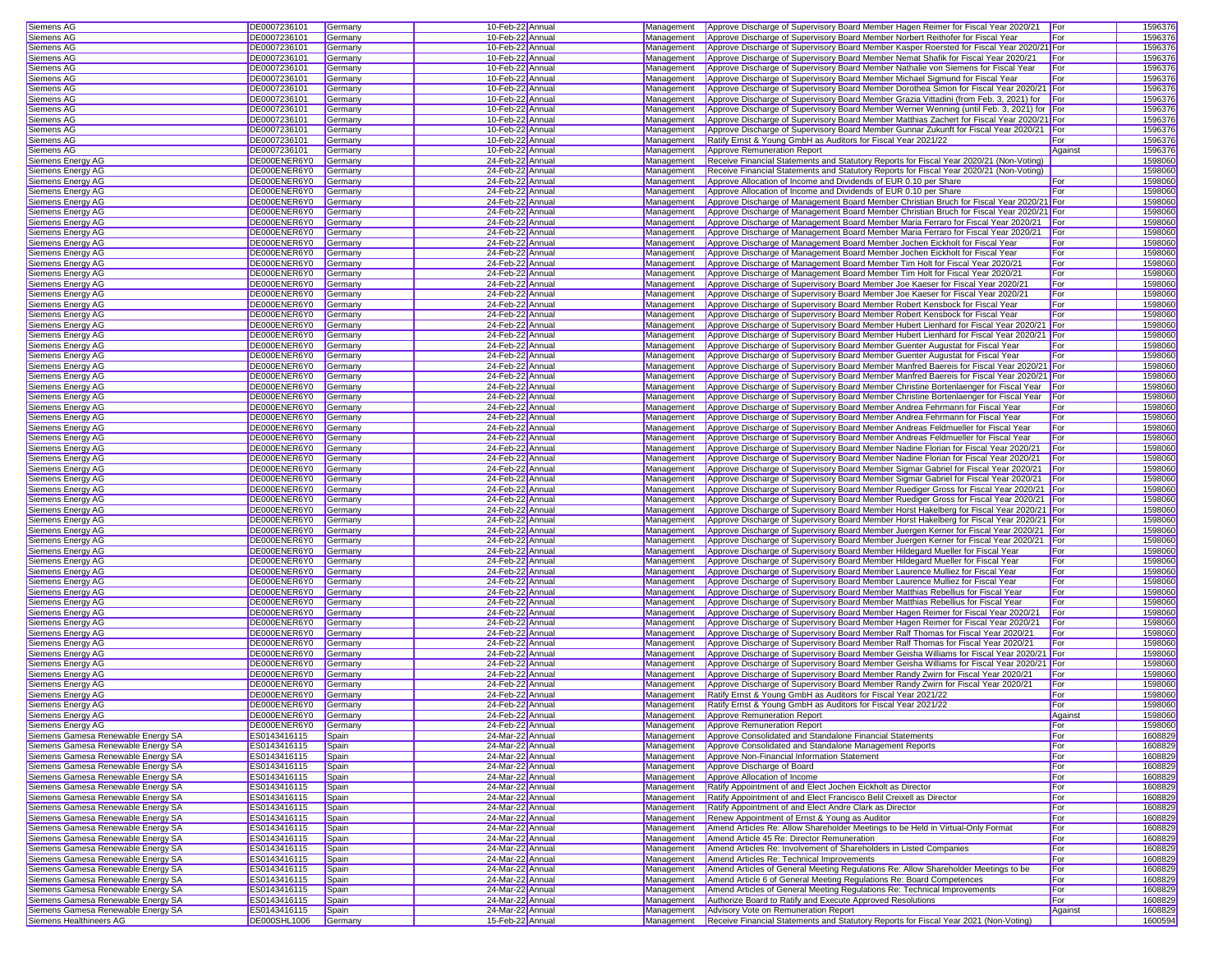| Siemens AG                                                               | DE0007236101                 | Germany            | 10-Feb-22 Annual                     |                          | Management Approve Discharge of Supervisory Board Member Hagen Reimer for Fiscal Year 2020/21 For                                                                                    |                | 1596376            |
|--------------------------------------------------------------------------|------------------------------|--------------------|--------------------------------------|--------------------------|--------------------------------------------------------------------------------------------------------------------------------------------------------------------------------------|----------------|--------------------|
| Siemens AG                                                               | DE0007236101                 | Germany            | 10-Feb-22 Annual                     | Management               | Approve Discharge of Supervisory Board Member Norbert Reithofer for Fiscal Year                                                                                                      | For            | 1596376            |
| Siemens AG                                                               | DE0007236101                 | Germany            | 10-Feb-22 Annual                     | Management               | Approve Discharge of Supervisory Board Member Kasper Roersted for Fiscal Year 2020/21 For                                                                                            |                | 1596376            |
| Siemens AG                                                               | DE0007236101                 | Germany            | 10-Feb-22 Annual                     | Management               | Approve Discharge of Supervisory Board Member Nemat Shafik for Fiscal Year 2020/21                                                                                                   | For            | 1596376            |
| Siemens AG                                                               | DE0007236101                 | Germany            | 10-Feb-22 Annual                     | Management               | Approve Discharge of Supervisory Board Member Nathalie von Siemens for Fiscal Year                                                                                                   | For            | 1596376            |
| Siemens AG                                                               | DE0007236101                 | Germany            | 10-Feb-22 Annual                     | Management               | Approve Discharge of Supervisory Board Member Michael Sigmund for Fiscal Year                                                                                                        | For            | 1596376            |
| Siemens AG                                                               | DE0007236101                 | Germany            | 10-Feb-22 Annual                     | Management               | Approve Discharge of Supervisory Board Member Dorothea Simon for Fiscal Year 2020/21 For                                                                                             |                | 1596376            |
| Siemens AG                                                               | DE0007236101                 | Germany            | 10-Feb-22 Annual                     | Management               | Approve Discharge of Supervisory Board Member Grazia Vittadini (from Feb. 3, 2021) for For                                                                                           |                | 1596376            |
| Siemens AG                                                               | DE0007236101                 | Germany            | 10-Feb-22 Annual                     | Management               | Approve Discharge of Supervisory Board Member Werner Wenning (until Feb. 3, 2021) for For                                                                                            |                | 1596376            |
| Siemens AG                                                               | DE0007236101                 | Germany            | 10-Feb-22 Annual                     | Management               | Approve Discharge of Supervisory Board Member Matthias Zachert for Fiscal Year 2020/21 For                                                                                           |                | 1596376            |
| Siemens AG                                                               | DE0007236101                 | Germany            | 10-Feb-22 Annual                     | Management               | Approve Discharge of Supervisory Board Member Gunnar Zukunft for Fiscal Year 2020/21 For                                                                                             |                | 1596376            |
| Siemens AG                                                               | DE0007236101                 | Germany            | 10-Feb-22 Annual                     | Management               | Ratify Ernst & Young GmbH as Auditors for Fiscal Year 2021/22                                                                                                                        | For            | 1596376            |
| Siemens AG                                                               | DE0007236101                 | Germany            | 10-Feb-22 Annual                     | Management               | Approve Remuneration Report                                                                                                                                                          | Against        | 1596376            |
| Siemens Energy AG                                                        | DE000ENER6Y0                 | Germany            | 24-Feb-22 Annual                     | Management               | Receive Financial Statements and Statutory Reports for Fiscal Year 2020/21 (Non-Voting)                                                                                              |                | 1598060            |
| Siemens Energy AG                                                        | DE000ENER6Y0                 | Germany            | 24-Feb-22 Annual                     | Management               | Receive Financial Statements and Statutory Reports for Fiscal Year 2020/21 (Non-Voting)                                                                                              |                | 1598060            |
| Siemens Energy AG                                                        | DE000ENER6Y0                 | Germany            | 24-Feb-22 Annual                     | Management               | Approve Allocation of Income and Dividends of EUR 0.10 per Share                                                                                                                     | For            | 1598060            |
| Siemens Energy AG                                                        | DE000ENER6Y0                 | Germany            | 24-Feb-22 Annual                     | Management               | Approve Allocation of Income and Dividends of EUR 0.10 per Share                                                                                                                     | For            | 1598060            |
| Siemens Energy AG                                                        | DE000ENER6Y0                 | Germany            | 24-Feb-22 Annual                     | Management               | Approve Discharge of Management Board Member Christian Bruch for Fiscal Year 2020/21 For                                                                                             |                | 1598060<br>1598060 |
| Siemens Energy AG<br>Siemens Energy AG                                   | DE000ENER6Y0<br>DE000ENER6Y0 | Germany<br>Germany | 24-Feb-22 Annual<br>24-Feb-22 Annual | Management<br>Management | Approve Discharge of Management Board Member Christian Bruch for Fiscal Year 2020/21 For<br>Approve Discharge of Management Board Member Maria Ferraro for Fiscal Year 2020/21 For   |                | 1598060            |
| Siemens Energy AG                                                        | DE000ENER6Y0                 | Germany            | 24-Feb-22 Annual                     | Management               | Approve Discharge of Management Board Member Maria Ferraro for Fiscal Year 2020/21                                                                                                   | For            | 1598060            |
| Siemens Energy AG                                                        | DE000ENER6Y0                 | Germany            | 24-Feb-22 Annual                     | Management               | Approve Discharge of Management Board Member Jochen Eickholt for Fiscal Year                                                                                                         | For            | 1598060            |
| Siemens Energy AG                                                        | DE000ENER6Y0                 | Germany            | 24-Feb-22 Annual                     | Management               | Approve Discharge of Management Board Member Jochen Eickholt for Fiscal Year                                                                                                         | For            | 1598060            |
| Siemens Energy AG                                                        | DE000ENER6Y0                 | Germany            | 24-Feb-22 Annual                     | Management               | Approve Discharge of Management Board Member Tim Holt for Fiscal Year 2020/21                                                                                                        | For            | 1598060            |
| Siemens Energy AG                                                        | DE000ENER6Y0                 | Germany            | 24-Feb-22 Annual                     | Management               | Approve Discharge of Management Board Member Tim Holt for Fiscal Year 2020/21                                                                                                        | For            | 1598060            |
| Siemens Energy AG                                                        | DE000ENER6Y0                 | Germany            | 24-Feb-22 Annual                     | Management               | Approve Discharge of Supervisory Board Member Joe Kaeser for Fiscal Year 2020/21                                                                                                     | For            | 1598060            |
| Siemens Energy AG                                                        | DE000ENER6Y0                 | Germany            | 24-Feb-22 Annual                     | Management               | Approve Discharge of Supervisory Board Member Joe Kaeser for Fiscal Year 2020/21                                                                                                     | For            | 1598060            |
| Siemens Energy AG                                                        | DE000ENER6Y0                 | Germany            | 24-Feb-22 Annual                     | Management               | Approve Discharge of Supervisory Board Member Robert Kensbock for Fiscal Year                                                                                                        | For            | 1598060            |
| Siemens Energy AG                                                        | DE000ENER6Y0                 | Germany            | 24-Feb-22 Annual                     | Management               | Approve Discharge of Supervisory Board Member Robert Kensbock for Fiscal Year                                                                                                        | For            | 1598060            |
| Siemens Energy AG                                                        | DE000ENER6Y0                 | Germany            | 24-Feb-22 Annual                     | Management               | Approve Discharge of Supervisory Board Member Hubert Lienhard for Fiscal Year 2020/21                                                                                                |                | 1598060            |
| Siemens Energy AG                                                        | DE000ENER6Y0                 | Germany            | 24-Feb-22 Annual                     | <b>Management</b>        | Approve Discharge of Supervisory Board Member Hubert Lienhard for Fiscal Year 2020/21 For                                                                                            |                | 1598060            |
| Siemens Energy AG                                                        | DE000ENER6Y0                 | Germany            | 24-Feb-22 Annual                     | Management               | Approve Discharge of Supervisory Board Member Guenter Augustat for Fiscal Year                                                                                                       | For            | 1598060            |
| Siemens Energy AG                                                        | DE000ENER6Y0                 | Germany            | 24-Feb-22 Annual                     | Management               | Approve Discharge of Supervisory Board Member Guenter Augustat for Fiscal Year                                                                                                       | For            | 1598060            |
| Siemens Energy AG                                                        | DE000ENER6Y0                 | Germany            | 24-Feb-22 Annual                     | Management               | Approve Discharge of Supervisory Board Member Manfred Baereis for Fiscal Year 2020/21 For                                                                                            |                | 1598060            |
| Siemens Energy AG                                                        | DE000ENER6Y0                 | Germany            | 24-Feb-22 Annual                     | Management               | Approve Discharge of Supervisory Board Member Manfred Baereis for Fiscal Year 2020/21 For                                                                                            |                | 1598060            |
| Siemens Energy AG                                                        | DE000ENER6Y0                 | Germany            | 24-Feb-22 Annual                     | Management               | Approve Discharge of Supervisory Board Member Christine Bortenlaenger for Fiscal Year For                                                                                            |                | 1598060            |
| Siemens Energy AG                                                        | DE000ENER6Y0                 | Germany            | 24-Feb-22 Annual                     | Management               | Approve Discharge of Supervisory Board Member Christine Bortenlaenger for Fiscal Year                                                                                                | For            | 1598060            |
| Siemens Energy AG                                                        | DE000ENER6Y0                 | Germany            | 24-Feb-22 Annual                     | Management               | Approve Discharge of Supervisory Board Member Andrea Fehrmann for Fiscal Year                                                                                                        | For            | 1598060            |
| Siemens Energy AG                                                        | DE000ENER6Y0                 | Germany            | 24-Feb-22 Annual                     | Management               | Approve Discharge of Supervisory Board Member Andrea Fehrmann for Fiscal Year                                                                                                        | For            | 1598060            |
| Siemens Energy AG                                                        | DE000ENER6Y0                 | Germany            | 24-Feb-22 Annual                     | Management               | Approve Discharge of Supervisory Board Member Andreas Feldmueller for Fiscal Year                                                                                                    | For            | 1598060            |
| Siemens Energy AG                                                        | DE000ENER6Y0                 | Germany            | 24-Feb-22 Annual                     | Management               | Approve Discharge of Supervisory Board Member Andreas Feldmueller for Fiscal Year                                                                                                    | For            | 1598060            |
| Siemens Energy AG                                                        | DE000ENER6Y0                 | Germany            | 24-Feb-22 Annual                     | Management               | Approve Discharge of Supervisory Board Member Nadine Florian for Fiscal Year 2020/21                                                                                                 | For            | 1598060            |
| Siemens Energy AG                                                        | DE000ENER6Y0                 | Germany            | 24-Feb-22 Annual                     | Management               | Approve Discharge of Supervisory Board Member Nadine Florian for Fiscal Year 2020/21 For                                                                                             |                | 1598060            |
| Siemens Energy AG                                                        | DE000ENER6Y0                 | Germany            | 24-Feb-22 Annual                     | Management               | Approve Discharge of Supervisory Board Member Sigmar Gabriel for Fiscal Year 2020/21 For                                                                                             |                | 1598060<br>1598060 |
| Siemens Energy AG<br>Siemens Energy AG                                   | DE000ENER6Y0<br>DE000ENER6Y0 | Germany<br>Germany | 24-Feb-22 Annual<br>24-Feb-22 Annual | Management<br>Management | Approve Discharge of Supervisory Board Member Sigmar Gabriel for Fiscal Year 2020/21 For<br>Approve Discharge of Supervisory Board Member Ruediger Gross for Fiscal Year 2020/21 For |                | 1598060            |
| Siemens Energy AG                                                        | DE000ENER6Y0                 | Germany            | 24-Feb-22 Annual                     | Management               | Approve Discharge of Supervisory Board Member Ruediger Gross for Fiscal Year 2020/21   For                                                                                           |                | 1598060            |
| Siemens Energy AG                                                        | DE000ENER6Y0                 | Germany            | 24-Feb-22 Annual                     | Management               | Approve Discharge of Supervisory Board Member Horst Hakelberg for Fiscal Year 2020/21   For                                                                                          |                | 1598060            |
| Siemens Energy AG                                                        | DE000ENER6Y0                 | Germany            | 24-Feb-22 Annual                     | Management               | Approve Discharge of Supervisory Board Member Horst Hakelberg for Fiscal Year 2020/21 For                                                                                            |                | 1598060            |
| Siemens Energy AG                                                        | DE000ENER6Y0                 | Germany            | 24-Feb-22 Annual                     | Management               | Approve Discharge of Supervisory Board Member Juergen Kerner for Fiscal Year 2020/21   For                                                                                           |                | 1598060            |
| Siemens Energy AG                                                        | DE000ENER6Y0                 | Germany            | 24-Feb-22 Annual                     | <b>Management</b>        | Approve Discharge of Supervisory Board Member Juergen Kerner for Fiscal Year 2020/21 For                                                                                             |                | 1598060            |
| Siemens Energy AG                                                        | DE000ENER6Y0                 | Germany            | 24-Feb-22 Annual                     | Management               | Approve Discharge of Supervisory Board Member Hildegard Mueller for Fiscal Year                                                                                                      | For            | 1598060            |
| Siemens Energy AG                                                        | DE000ENER6Y0                 | Germany            | 24-Feb-22 Annual                     | Management               | Approve Discharge of Supervisory Board Member Hildegard Mueller for Fiscal Year                                                                                                      | For            | 1598060            |
| Siemens Energy AG                                                        | DE000ENER6Y0                 | Germany            | 24-Feb-22 Annual                     | Management               | Approve Discharge of Supervisory Board Member Laurence Mulliez for Fiscal Year                                                                                                       | For            | 1598060            |
| Siemens Energy AG                                                        | DE000ENER6Y0                 | Germany            | 24-Feb-22 Annual                     | Management               | Approve Discharge of Supervisory Board Member Laurence Mulliez for Fiscal Year                                                                                                       | For            | 1598060            |
| Siemens Energy AG                                                        | DE000ENER6Y0                 | Germany            | 24-Feb-22 Annual                     | Management               | Approve Discharge of Supervisory Board Member Matthias Rebellius for Fiscal Year                                                                                                     | For            | 1598060            |
| Siemens Energy AG                                                        | DE000ENER6Y0                 | Germany            | 24-Feb-22 Annual                     | Management               | Approve Discharge of Supervisory Board Member Matthias Rebellius for Fiscal Year                                                                                                     | For            | 1598060            |
| Siemens Energy AG                                                        | DE000ENER6Y0                 | Germany            | 24-Feb-22 Annual                     | Management               | Approve Discharge of Supervisory Board Member Hagen Reimer for Fiscal Year 2020/21 For                                                                                               |                | 1598060            |
| Siemens Energy AG                                                        | DE000ENER6Y0                 | Germany            | 24-Feb-22 Annual                     | Management               | Approve Discharge of Supervisory Board Member Hagen Reimer for Fiscal Year 2020/21 For                                                                                               |                | 1598060            |
| Siemens Energy AG                                                        | DE000ENER6Y0                 | Germany            | 24-Feb-22 Annual                     | Management               | Approve Discharge of Supervisory Board Member Ralf Thomas for Fiscal Year 2020/21                                                                                                    | For            | 1598060            |
| Siemens Energy AG                                                        | DE000ENER6Y0                 | Germany            | 24-Feb-22 Annual                     | Management               | Approve Discharge of Supervisory Board Member Ralf Thomas for Fiscal Year 2020/21                                                                                                    | For            | 1598060            |
| Siemens Energy AG                                                        | DE000ENER6Y0                 | Germany            | 24-Feb-22 Annual                     | Management               | Approve Discharge of Supervisory Board Member Geisha Williams for Fiscal Year 2020/21 For                                                                                            |                | 1598060            |
| Siemens Energy AG                                                        | DE000ENER6Y0                 | Germany            | 24-Feb-22 Annual                     | Management               | Approve Discharge of Supervisory Board Member Geisha Williams for Fiscal Year 2020/21   For                                                                                          |                | 1598060            |
| Siemens Energy AG                                                        | DE000ENER6Y0                 | Germany            | 24-Feb-22 Annual                     | Management<br>Management | Approve Discharge of Supervisory Board Member Randy Zwirn for Fiscal Year 2020/21                                                                                                    | For            | 1598060            |
| Siemens Energy AG                                                        | DE000ENER6Y0<br>DE000ENER6Y0 | Germany<br>Germany | 24-Feb-22 Annual<br>24-Feb-22 Annual |                          | Approve Discharge of Supervisory Board Member Randy Zwirn for Fiscal Year 2020/21                                                                                                    | For<br>For     | 1598060            |
| Siemens Energy AG<br>Siemens Energy AG                                   | DE000ENER6Y0                 | Germany            | 24-Feb-22 Annual                     |                          | Management Ratify Ernst & Young GmbH as Auditors for Fiscal Year 2021/22<br>Management Ratify Ernst & Young GmbH as Auditors for Fiscal Year 2021/22                                 | For            | 1598060<br>1598060 |
| Siemens Energy AG                                                        | DE000ENER6Y0 Germany         |                    | 24-Feb-22 Annual                     |                          | Management Approve Remuneration Report                                                                                                                                               | Against        | 1598060            |
| Siemens Energy AG                                                        | DE000ENER6Y0 Germany         |                    | 24-Feb-22 Annual                     |                          | Management Approve Remuneration Report                                                                                                                                               | For            | 1598060            |
| Siemens Gamesa Renewable Energy SA                                       | ES0143416115                 | Spain              | 24-Mar-22 Annual                     |                          | Management Approve Consolidated and Standalone Financial Statements                                                                                                                  | For            | 1608829            |
| Siemens Gamesa Renewable Energy SA                                       | ES0143416115                 | Spain              | 24-Mar-22 Annual                     | Management               | Approve Consolidated and Standalone Management Reports                                                                                                                               | For            | 1608829            |
| Siemens Gamesa Renewable Energy SA                                       | ES0143416115                 | Spain              | 24-Mar-22 Annual                     | Management               | Approve Non-Financial Information Statement                                                                                                                                          | For            | 1608829            |
| Siemens Gamesa Renewable Energy SA                                       | ES0143416115                 | Spain              | 24-Mar-22 Annual                     | Management               | Approve Discharge of Board                                                                                                                                                           | For            | 1608829            |
| Siemens Gamesa Renewable Energy SA                                       | ES0143416115                 | Spain              | 24-Mar-22 Annual                     | Management               | Approve Allocation of Income                                                                                                                                                         | For            | 1608829            |
| Siemens Gamesa Renewable Energy SA                                       | ES0143416115                 | Spain              | 24-Mar-22 Annual                     | Management               | Ratify Appointment of and Elect Jochen Eickholt as Director                                                                                                                          | For            | 1608829            |
| Siemens Gamesa Renewable Energy SA                                       | ES0143416115                 | Spain              | 24-Mar-22 Annual                     | Management               | Ratify Appointment of and Elect Francisco Belil Creixell as Director                                                                                                                 | For            | 1608829            |
| Siemens Gamesa Renewable Energy SA                                       | ES0143416115                 | Spain              | 24-Mar-22 Annual                     | Management               | Ratify Appointment of and Elect Andre Clark as Director                                                                                                                              | For            | 1608829            |
| Siemens Gamesa Renewable Energy SA                                       | ES0143416115                 | Spain              | 24-Mar-22 Annual                     | Management               | Renew Appointment of Ernst & Young as Auditor                                                                                                                                        | For            | 1608829            |
| Siemens Gamesa Renewable Energy SA                                       | ES0143416115                 | Spain              | 24-Mar-22 Annual                     | Management               | Amend Articles Re: Allow Shareholder Meetings to be Held in Virtual-Only Format                                                                                                      | For            | 1608829            |
| Siemens Gamesa Renewable Energy SA                                       | ES0143416115                 | Spain              | 24-Mar-22 Annual                     | Management               | Amend Article 45 Re: Director Remuneration                                                                                                                                           | For            | 1608829            |
| Siemens Gamesa Renewable Energy SA                                       | ES0143416115                 | Spain              | 24-Mar-22 Annual                     | Management               | Amend Articles Re: Involvement of Shareholders in Listed Companies                                                                                                                   | For            | 1608829            |
| Siemens Gamesa Renewable Energy SA                                       | ES0143416115                 | Spain              | 24-Mar-22 Annual                     | Management               | Amend Articles Re: Technical Improvements                                                                                                                                            | For            | 1608829            |
| Siemens Gamesa Renewable Energy SA                                       | ES0143416115                 | Spain              | 24-Mar-22 Annual                     |                          | Management Amend Articles of General Meeting Regulations Re: Allow Shareholder Meetings to be                                                                                        | For            | 1608829            |
| Siemens Gamesa Renewable Energy SA                                       | ES0143416115                 | Spain              | 24-Mar-22 Annual                     | Management               | Amend Article 6 of General Meeting Regulations Re: Board Competences                                                                                                                 | For            | 1608829            |
| Siemens Gamesa Renewable Energy SA                                       | ES0143416115                 | Spain              | 24-Mar-22 Annual                     | Management               | Amend Articles of General Meeting Regulations Re: Technical Improvements                                                                                                             | For            | 1608829            |
| Siemens Gamesa Renewable Energy SA<br>Siemens Gamesa Renewable Energy SA | ES0143416115<br>ES0143416115 | Spain<br>Spain     | 24-Mar-22 Annual<br>24-Mar-22 Annual |                          | Management Authorize Board to Ratify and Execute Approved Resolutions<br>Management Advisory Vote on Remuneration Report                                                             | For<br>Against | 1608829<br>1608829 |
| Siemens Healthineers AG                                                  |                              |                    |                                      |                          |                                                                                                                                                                                      |                | 1600594            |
|                                                                          | DE000SHL1006 Germany         |                    | 15-Feb-22 Annual                     |                          | Management Receive Financial Statements and Statutory Reports for Fiscal Year 2021 (Non-Voting)                                                                                      |                |                    |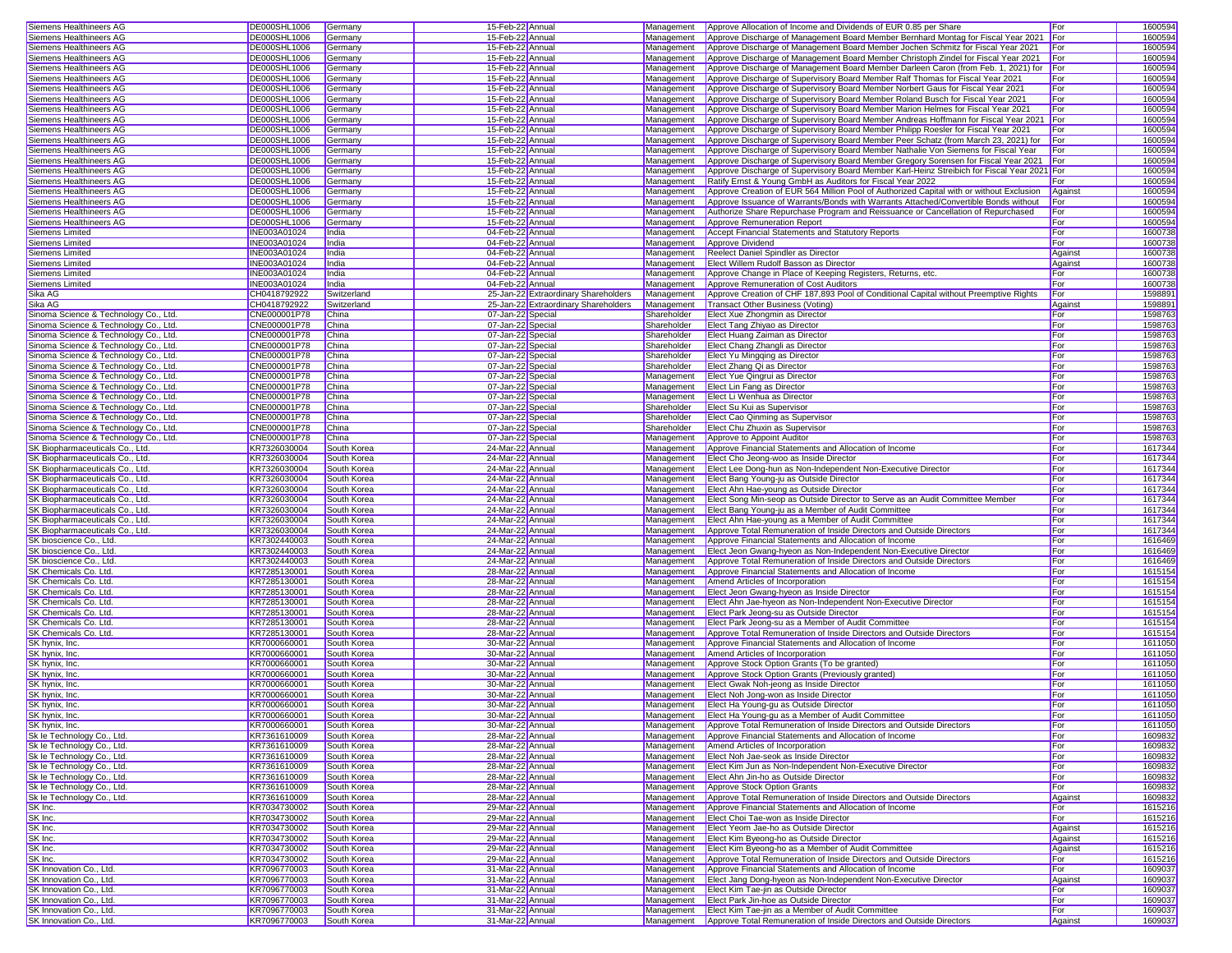| Siemens Healthineers AG               | DE000SHL1006        |             | 15-Feb-22 Annual                     |             |                                                                                             | For        | 1600594 |
|---------------------------------------|---------------------|-------------|--------------------------------------|-------------|---------------------------------------------------------------------------------------------|------------|---------|
|                                       |                     | Germany     |                                      | Management  | Approve Allocation of Income and Dividends of EUR 0.85 per Share                            |            |         |
| Siemens Healthineers AG               | DE000SHL1006        | Germany     | 15-Feb-22 Annual                     | Management  | Approve Discharge of Management Board Member Bernhard Montag for Fiscal Year 2021 For       |            | 1600594 |
| Siemens Healthineers AG               | DE000SHL1006        | Germany     | 15-Feb-22 Annual                     | Management  | Approve Discharge of Management Board Member Jochen Schmitz for Fiscal Year 2021            | <b>For</b> | 1600594 |
| Siemens Healthineers AG               | DE000SHL1006        | Germany     | 15-Feb-22 Annual                     | Management  | Approve Discharge of Management Board Member Christoph Zindel for Fiscal Year 2021          | For        | 1600594 |
| Siemens Healthineers AG               | DE000SHL1006        | Germany     | 15-Feb-22 Annual                     | Management  | Approve Discharge of Management Board Member Darleen Caron (from Feb. 1, 2021) for For      |            | 1600594 |
|                                       |                     |             |                                      |             |                                                                                             |            |         |
| Siemens Healthineers AG               | DE000SHL1006        | Germany     | 15-Feb-22 Annual                     | Management  | Approve Discharge of Supervisory Board Member Ralf Thomas for Fiscal Year 2021              | For        | 1600594 |
| Siemens Healthineers AG               | DE000SHL1006        | Germany     | 15-Feb-22 Annual                     | Management  | Approve Discharge of Supervisory Board Member Norbert Gaus for Fiscal Year 2021             | For        | 1600594 |
| Siemens Healthineers AG               | DE000SHL1006        | Germany     | 15-Feb-22 Annual                     | Management  | Approve Discharge of Supervisory Board Member Roland Busch for Fiscal Year 2021             | For        | 1600594 |
| Siemens Healthineers AG               | DE000SHL1006        | Germany     | 15-Feb-22 Annual                     | Management  | Approve Discharge of Supervisory Board Member Marion Helmes for Fiscal Year 2021            | For        | 1600594 |
|                                       |                     |             |                                      |             |                                                                                             |            |         |
| Siemens Healthineers AG               | DE000SHL1006        | Germany     | 15-Feb-22 Annual                     | Management  | Approve Discharge of Supervisory Board Member Andreas Hoffmann for Fiscal Year 2021 For     |            | 1600594 |
| Siemens Healthineers AG               | <b>DE000SHL1006</b> | Germany     | 15-Feb-22 Annual                     | Management  | Approve Discharge of Supervisory Board Member Philipp Roesler for Fiscal Year 2021          | For        | 1600594 |
| Siemens Healthineers AG               | DE000SHL1006        | Germany     | 15-Feb-22 Annual                     | Management  | Approve Discharge of Supervisory Board Member Peer Schatz (from March 23, 2021) for         | For        | 1600594 |
| Siemens Healthineers AG               | DE000SHL1006        | Germany     | 15-Feb-22 Annual                     | Management  | Approve Discharge of Supervisory Board Member Nathalie Von Siemens for Fiscal Year          | For        | 1600594 |
|                                       |                     |             |                                      | Management  | Approve Discharge of Supervisory Board Member Gregory Sorensen for Fiscal Year 2021 For     |            |         |
| Siemens Healthineers AG               | DE000SHL1006        | Germany     | 15-Feb-22 Annual                     |             |                                                                                             |            | 1600594 |
| Siemens Healthineers AG               | DE000SHL1006        | Germany     | 15-Feb-22 Annual                     | Management  | Approve Discharge of Supervisory Board Member Karl-Heinz Streibich for Fiscal Year 2021 For |            | 1600594 |
| Siemens Healthineers AG               | DE000SHL1006        | Germany     | 15-Feb-22 Annual                     | Management  | Ratify Ernst & Young GmbH as Auditors for Fiscal Year 2022                                  | For        | 1600594 |
| Siemens Healthineers AG               | DE000SHL1006        | Germany     | 15-Feb-22 Annual                     | Management  | Approve Creation of EUR 564 Million Pool of Authorized Capital with or without Exclusion    | Against    | 1600594 |
| Siemens Healthineers AG               |                     |             |                                      |             |                                                                                             |            | 1600594 |
|                                       | DE000SHL1006        | Germany     | 15-Feb-22 Annual                     | Management  | Approve Issuance of Warrants/Bonds with Warrants Attached/Convertible Bonds without         | For        |         |
| Siemens Healthineers AG               | DE000SHL1006        | Germany     | 15-Feb-22 Annual                     | Management  | Authorize Share Repurchase Program and Reissuance or Cancellation of Repurchased            | For        | 1600594 |
| Siemens Healthineers AG               | DE000SHL1006        | Germany     | 15-Feb-22 Annual                     | Management  | Approve Remuneration Report                                                                 | For        | 1600594 |
| Siemens Limited                       | <b>INE003A01024</b> | India       | 04-Feb-22 Annual                     | Management  | Accept Financial Statements and Statutory Reports                                           | For        | 1600738 |
| Siemens Limited                       | <b>INE003A01024</b> | India       | 04-Feb-22 Annual                     | Management  | Approve Dividend                                                                            | For        | 1600738 |
|                                       |                     |             |                                      |             |                                                                                             |            |         |
| Siemens Limited                       | <b>INE003A01024</b> | India       | 04-Feb-22 Annual                     | Management  | Reelect Daniel Spindler as Director                                                         | Against    | 1600738 |
| <b>Siemens Limited</b>                | INE003A01024        | India       | 04-Feb-22 Annual                     | Management  | Elect Willem Rudolf Basson as Director                                                      | Against    | 1600738 |
| Siemens Limited                       | INE003A01024        | India       | 04-Feb-22 Annual                     | Management  | Approve Change in Place of Keeping Registers, Returns, etc.                                 | For        | 1600738 |
| Siemens Limited                       | INE003A01024        | India       | 04-Feb-22 Annual                     | Management  | Approve Remuneration of Cost Auditors                                                       | For        | 1600738 |
|                                       |                     |             |                                      |             |                                                                                             |            |         |
| Sika AG                               | CH0418792922        | Switzerland | 25-Jan-22 Extraordinary Shareholders | Management  | Approve Creation of CHF 187,893 Pool of Conditional Capital without Preemptive Rights       | For        | 159889  |
| Sika AG                               | CH0418792922        | Switzerland | 25-Jan-22 Extraordinary Shareholders | Management  | Transact Other Business (Voting)                                                            | Against    | 159889  |
| Sinoma Science & Technology Co., Ltd. | CNE000001P78        | China       | 07-Jan-22 Special                    | Shareholder | Elect Xue Zhongmin as Director                                                              | For        | 1598763 |
| Sinoma Science & Technology Co., Ltd. | CNE000001P78        | China       | 07-Jan-22 Special                    | Shareholder | Elect Tang Zhiyao as Director                                                               | For        | 1598763 |
|                                       |                     |             |                                      |             |                                                                                             |            |         |
| Sinoma Science & Technology Co., Ltd. | CNE000001P78        | China       | 07-Jan-22 Specia                     | Shareholder | Elect Huang Zaiman as Director                                                              | For        | 1598763 |
| Sinoma Science & Technology Co., Ltd. | CNE000001P78        | China       | 07-Jan-22 Specia                     | Shareholder | Elect Chang Zhangli as Director                                                             | For        | 1598763 |
| Sinoma Science & Technology Co., Ltd. | CNE000001P78        | China       | 07-Jan-22 Special                    | Shareholder | Elect Yu Mingqing as Director                                                               | For        | 1598763 |
| Sinoma Science & Technology Co., Ltd. | CNE000001P78        | China       |                                      | Shareholder | Elect Zhang Qi as Director                                                                  | For        | 1598763 |
|                                       |                     |             | 07-Jan-22 Special                    |             |                                                                                             |            |         |
| Sinoma Science & Technology Co., Ltd. | CNE000001P78        | China       | 07-Jan-22 Special                    | Management  | Elect Yue Qingrui as Director                                                               | For        | 1598763 |
| Sinoma Science & Technology Co., Ltd. | CNE000001P78        | China       | 07-Jan-22 Special                    | Management  | Elect Lin Fang as Director                                                                  | For        | 1598763 |
| Sinoma Science & Technology Co., Ltd. | CNE000001P78        | China       | 07-Jan-22 Special                    | Management  | Elect Li Wenhua as Director                                                                 | For        | 1598763 |
| Sinoma Science & Technology Co., Ltd. | CNE000001P78        | China       | 07-Jan-22 Special                    | Shareholder | Elect Su Kui as Supervisor                                                                  | For        | 1598763 |
|                                       |                     |             |                                      |             |                                                                                             |            |         |
| Sinoma Science & Technology Co., Ltd. | CNE000001P78        | China       | 07-Jan-22 Special                    | Shareholder | Elect Cao Qinming as Supervisor                                                             | For        | 1598763 |
| Sinoma Science & Technology Co., Ltd. | CNE000001P78        | China       | 07-Jan-22 Special                    | Shareholder | Elect Chu Zhuxin as Supervisor                                                              | For        | 1598763 |
| Sinoma Science & Technology Co., Ltd. | CNE000001P78        | China       | 07-Jan-22 Specia                     | Management  | Approve to Appoint Auditor                                                                  | For        | 1598763 |
| SK Biopharmaceuticals Co., Ltd        | KR7326030004        | South Korea | 24-Mar-22 Annual                     | Management  | Approve Financial Statements and Allocation of Income                                       | For        | 1617344 |
|                                       |                     |             |                                      |             |                                                                                             |            |         |
| SK Biopharmaceuticals Co., Ltd.       | KR7326030004        | South Korea | 24-Mar-22 Annual                     | Management  | Elect Cho Jeong-woo as Inside Director                                                      | For        | 1617344 |
| SK Biopharmaceuticals Co., Ltd.       | KR7326030004        | South Korea | 24-Mar-22 Annual                     | Management  | Elect Lee Dong-hun as Non-Independent Non-Executive Director                                | For        | 1617344 |
| SK Biopharmaceuticals Co., Ltd.       | KR7326030004        | South Korea | 24-Mar-22 Annual                     | Management  | Elect Bang Young-ju as Outside Director                                                     | For        | 1617344 |
| SK Biopharmaceuticals Co., Ltd.       | KR7326030004        | South Korea | 24-Mar-22 Annual                     | Management  | Elect Ahn Hae-young as Outside Director                                                     | For        | 1617344 |
|                                       |                     |             |                                      |             |                                                                                             |            |         |
| SK Biopharmaceuticals Co., Ltd.       | KR7326030004        | South Korea | 24-Mar-22 Annual                     | Management  | Elect Song Min-seop as Outside Director to Serve as an Audit Committee Member               | For        | 1617344 |
| SK Biopharmaceuticals Co., Ltd.       | KR7326030004        | South Korea | 24-Mar-22 Annual                     | Management  | Elect Bang Young-ju as a Member of Audit Committee                                          | For        | 1617344 |
| SK Biopharmaceuticals Co., Ltd.       | KR7326030004        | South Korea | 24-Mar-22 Annual                     | Management  | Elect Ahn Hae-young as a Member of Audit Committee                                          | For        | 1617344 |
| SK Biopharmaceuticals Co., Ltd.       | KR7326030004        | South Korea | 24-Mar-22 Annual                     | Management  | Approve Total Remuneration of Inside Directors and Outside Directors                        | For        | 1617344 |
|                                       |                     |             |                                      |             |                                                                                             |            |         |
| SK bioscience Co., Ltd.               | KR7302440003        | South Korea | 24-Mar-22 Annual                     | Management  | Approve Financial Statements and Allocation of Income                                       | For        | 1616469 |
| SK bioscience Co., Ltd.               | KR7302440003        | South Korea | 24-Mar-22 Annual                     | Management  | Elect Jeon Gwang-hyeon as Non-Independent Non-Executive Director                            | For        | 1616469 |
| SK bioscience Co., Ltd.               | KR7302440003        | South Korea | 24-Mar-22 Annual                     | Management  | Approve Total Remuneration of Inside Directors and Outside Directors                        | For        | 1616469 |
| SK Chemicals Co. Ltd.                 | KR7285130001        | South Korea | 28-Mar-22 Annual                     | Management  | Approve Financial Statements and Allocation of Income                                       | For        | 1615154 |
|                                       |                     |             |                                      |             |                                                                                             |            |         |
| SK Chemicals Co. Ltd.                 | KR7285130001        | South Korea | 28-Mar-22 Annual                     | Management  | Amend Articles of Incorporation                                                             | For        | 1615154 |
| SK Chemicals Co. Ltd.                 | KR7285130001        | South Korea | 28-Mar-22 Annual                     | Management  | Elect Jeon Gwang-hyeon as Inside Director                                                   | For        | 1615154 |
| SK Chemicals Co. Ltd.                 | KR7285130001        | South Korea | 28-Mar-22 Annual                     | Management  | Elect Ahn Jae-hyeon as Non-Independent Non-Executive Director                               | For        | 1615154 |
| SK Chemicals Co. Ltd.                 | KR7285130001        | South Korea | 28-Mar-22 Annual                     | Management  | Elect Park Jeong-su as Outside Director                                                     | For        | 1615154 |
|                                       |                     |             |                                      |             |                                                                                             |            |         |
| SK Chemicals Co. Ltd.                 | KR7285130001        | South Korea | 28-Mar-22 Annual                     | Management  | Elect Park Jeong-su as a Member of Audit Committee                                          | For        | 1615154 |
| SK Chemicals Co. Ltd.                 | KR7285130001        | South Korea | 28-Mar-22 Annual                     | Management  | Approve Total Remuneration of Inside Directors and Outside Directors                        | For        | 1615154 |
| SK hvnix, Inc.                        | KR7000660001        | South Korea | 30-Mar-22 Annual                     | Management  | Approve Financial Statements and Allocation of Income                                       | For        | 1611050 |
| SK hynix, Inc.                        | KR7000660001        | South Korea | 30-Mar-22 Annual                     | Management  | Amend Articles of Incorporation                                                             | For        | 1611050 |
| SK hynix, Inc.                        | KR7000660001        | South Korea | 30-Mar-22 Annual                     | Management  | Approve Stock Option Grants (To be granted)                                                 | For        | 1611050 |
|                                       |                     |             |                                      |             |                                                                                             |            |         |
| SK hynix, Inc.                        | KR7000660001        | South Korea | 30-Mar-22 Annual                     | Management  | Approve Stock Option Grants (Previously granted)                                            | For        | 1611050 |
| SK hynix, Inc.                        | KR7000660001        | South Korea | 30-Mar-22 Annual                     | Management  | Elect Gwak Noh-jeong as Inside Director                                                     | For        | 1611050 |
| SK hynix, Inc.                        | KR7000660001        | South Korea | 30-Mar-22 Annual                     | Management  | Elect Noh Jong-won as Inside Director                                                       | For        | 1611050 |
| SK hynix, Inc.                        | KR7000660001        | South Korea | 30-Mar-22 Annual                     |             | Management Elect Ha Young-gu as Outside Director                                            | For        | 1611050 |
|                                       |                     |             | 30-Mar-22 Annual                     |             |                                                                                             | For        |         |
| SK hynix, Inc.                        | KR7000660001        | South Korea |                                      |             | Management Elect Ha Young-gu as a Member of Audit Committee                                 |            | 1611050 |
| SK hynix, Inc.                        | KR7000660001        | South Korea | 30-Mar-22 Annual                     | Management  | Approve Total Remuneration of Inside Directors and Outside Directors                        | For        | 1611050 |
| Sk le Technology Co., Ltd.            | KR7361610009        | South Korea | 28-Mar-22 Annual                     | Management  | Approve Financial Statements and Allocation of Income                                       | For        | 1609832 |
| Sk le Technology Co., Ltd.            | KR7361610009        | South Korea | 28-Mar-22 Annual                     | Management  | Amend Articles of Incorporation                                                             | For        | 1609832 |
| Sk le Technology Co., Ltd.            | KR7361610009        | South Korea | 28-Mar-22 Annual                     | Management  | Elect Noh Jae-seok as Inside Director                                                       | For        | 1609832 |
|                                       |                     |             |                                      |             |                                                                                             |            |         |
| Sk le Technology Co., Ltd.            | KR7361610009        | South Korea | 28-Mar-22 Annual                     | Management  | Elect Kim Jun as Non-Independent Non-Executive Director                                     | For        | 1609832 |
| Sk le Technology Co., Ltd.            | KR7361610009        | South Korea | 28-Mar-22 Annual                     | Management  | Elect Ahn Jin-ho as Outside Director                                                        | For        | 1609832 |
| Sk le Technology Co., Ltd.            | KR7361610009        | South Korea | 28-Mar-22 Annual                     | Management  | <b>Approve Stock Option Grants</b>                                                          | For        | 1609832 |
| Sk le Technology Co., Ltd.            | KR7361610009        | South Korea | 28-Mar-22 Annual                     | Management  | Approve Total Remuneration of Inside Directors and Outside Directors                        |            | 1609832 |
|                                       |                     |             |                                      |             |                                                                                             | Against    |         |
| SK Inc.                               | KR7034730002        | South Korea | 29-Mar-22 Annual                     | Management  | Approve Financial Statements and Allocation of Income                                       | For        | 1615216 |
| SK Inc.                               | KR7034730002        | South Korea | 29-Mar-22 Annual                     | Management  | Elect Choi Tae-won as Inside Director                                                       | For        | 1615216 |
| SK Inc.                               | KR7034730002        | South Korea | 29-Mar-22 Annual                     | Management  | Elect Yeom Jae-ho as Outside Director                                                       | Against    | 1615216 |
| SK Inc.                               | KR7034730002        | South Korea | 29-Mar-22 Annual                     | Management  | Elect Kim Byeong-ho as Outside Director                                                     | Against    | 1615216 |
|                                       |                     |             |                                      |             |                                                                                             |            |         |
| SK Inc.                               | KR7034730002        | South Korea | 29-Mar-22 Annual                     | Management  | Elect Kim Byeong-ho as a Member of Audit Committee                                          | Against    | 1615216 |
| SK Inc.                               | KR7034730002        | South Korea | 29-Mar-22 Annual                     | Management  | Approve Total Remuneration of Inside Directors and Outside Directors                        | For        | 1615216 |
| SK Innovation Co., Ltd.               | KR7096770003        | South Korea | 31-Mar-22 Annual                     | Management  | Approve Financial Statements and Allocation of Income                                       | For        | 1609037 |
| SK Innovation Co., Ltd.               | KR7096770003        | South Korea | 31-Mar-22 Annual                     | Management  | Elect Jang Dong-hyeon as Non-Independent Non-Executive Director                             | Against    | 1609037 |
|                                       |                     |             |                                      |             |                                                                                             |            |         |
| SK Innovation Co., Ltd.               | KR7096770003        | South Korea | 31-Mar-22 Annual                     | Management  | Elect Kim Tae-jin as Outside Director                                                       | For        | 1609037 |
| SK Innovation Co., Ltd.               | KR7096770003        | South Korea | 31-Mar-22 Annual                     |             | Management Elect Park Jin-hoe as Outside Director                                           | For        | 1609037 |
| SK Innovation Co., Ltd.               | KR7096770003        | South Korea | 31-Mar-22 Annual                     |             | Management Elect Kim Tae-jin as a Member of Audit Committee                                 | For        | 1609037 |
| SK Innovation Co., Ltd.               | KR7096770003        | South Korea | 31-Mar-22 Annual                     |             | Management Approve Total Remuneration of Inside Directors and Outside Directors             | Against    | 1609037 |
|                                       |                     |             |                                      |             |                                                                                             |            |         |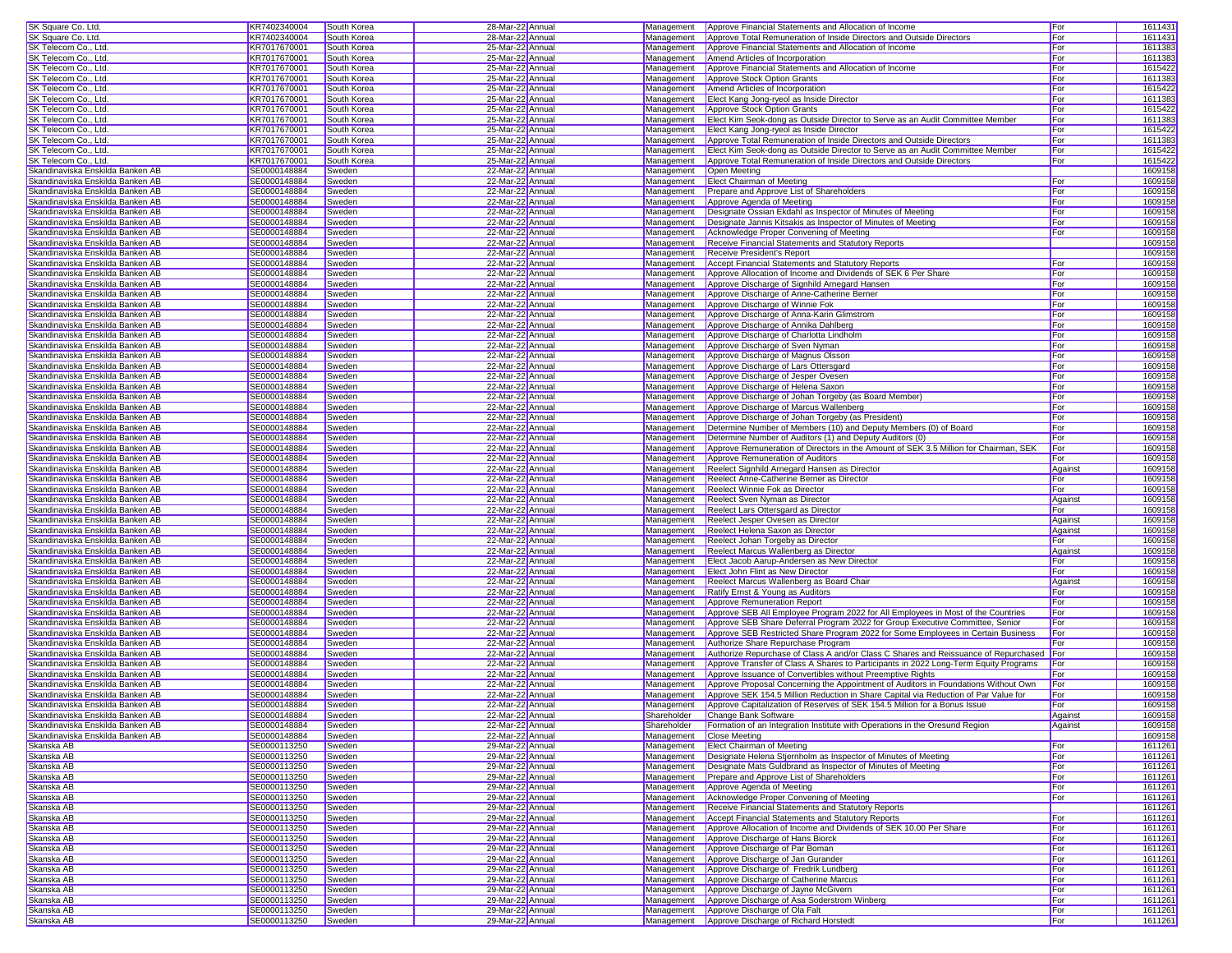| SK Square Co. Ltd.                                                                                                                                                                                                                                                                                                                                                                                                                                                                                                                                                                                                                                                                                                                           | KR7402340004                 | South Korea      | 28-Mar-22 Annual                     | Management  | Approve Financial Statements and Allocation of Income                                        | For        | 1611431            |
|----------------------------------------------------------------------------------------------------------------------------------------------------------------------------------------------------------------------------------------------------------------------------------------------------------------------------------------------------------------------------------------------------------------------------------------------------------------------------------------------------------------------------------------------------------------------------------------------------------------------------------------------------------------------------------------------------------------------------------------------|------------------------------|------------------|--------------------------------------|-------------|----------------------------------------------------------------------------------------------|------------|--------------------|
| SK Square Co. Ltd.                                                                                                                                                                                                                                                                                                                                                                                                                                                                                                                                                                                                                                                                                                                           | KR7402340004                 | South Korea      | 28-Mar-22 Annual                     | Management  | Approve Total Remuneration of Inside Directors and Outside Directors                         | For        | 1611431            |
|                                                                                                                                                                                                                                                                                                                                                                                                                                                                                                                                                                                                                                                                                                                                              |                              |                  |                                      |             |                                                                                              |            |                    |
| SK Telecom Co., Ltd.                                                                                                                                                                                                                                                                                                                                                                                                                                                                                                                                                                                                                                                                                                                         | KR7017670001                 | South Korea      | 25-Mar-22 Annual                     | Management  | Approve Financial Statements and Allocation of Income                                        | For        | 1611383            |
| SK Telecom Co., Ltd.                                                                                                                                                                                                                                                                                                                                                                                                                                                                                                                                                                                                                                                                                                                         | KR7017670001                 | South Korea      | 25-Mar-22 Annual                     | Management  | Amend Articles of Incorporation                                                              | For        | 161138             |
| SK Telecom Co., Ltd.                                                                                                                                                                                                                                                                                                                                                                                                                                                                                                                                                                                                                                                                                                                         | KR7017670001                 | South Korea      | 25-Mar-22 Annual                     | Management  | Approve Financial Statements and Allocation of Income                                        | For        | 1615422            |
| SK Telecom Co., Ltd.                                                                                                                                                                                                                                                                                                                                                                                                                                                                                                                                                                                                                                                                                                                         | KR7017670001                 | South Korea      | 25-Mar-22 Annual                     | Management  | Approve Stock Option Grants                                                                  | For        | 1611383            |
| SK Telecom Co., Ltd.                                                                                                                                                                                                                                                                                                                                                                                                                                                                                                                                                                                                                                                                                                                         | KR7017670001                 | South Korea      | 25-Mar-22 Annual                     | Management  | Amend Articles of Incorporation                                                              | For        | 1615422            |
| SK Telecom Co., Ltd.                                                                                                                                                                                                                                                                                                                                                                                                                                                                                                                                                                                                                                                                                                                         | KR7017670001                 | South Korea      | 25-Mar-22 Annual                     | Management  | Elect Kang Jong-ryeol as Inside Director                                                     | For        | 1611383            |
| SK Telecom Co., Ltd.                                                                                                                                                                                                                                                                                                                                                                                                                                                                                                                                                                                                                                                                                                                         | KR7017670001                 | South Korea      | 25-Mar-22 Annual                     | Management  | Approve Stock Option Grants                                                                  | For        | 1615422            |
|                                                                                                                                                                                                                                                                                                                                                                                                                                                                                                                                                                                                                                                                                                                                              | KR7017670001                 |                  | 25-Mar-22 Annual                     |             | Elect Kim Seok-dong as Outside Director to Serve as an Audit Committee Member                |            |                    |
| SK Telecom Co., Ltd.                                                                                                                                                                                                                                                                                                                                                                                                                                                                                                                                                                                                                                                                                                                         |                              | South Korea      |                                      | Management  |                                                                                              | For        | 1611383            |
| SK Telecom Co., Ltd.                                                                                                                                                                                                                                                                                                                                                                                                                                                                                                                                                                                                                                                                                                                         | KR7017670001                 | South Korea      | 25-Mar-22 Annual                     | Management  | Elect Kang Jong-ryeol as Inside Director                                                     | For        | 1615422            |
| SK Telecom Co., Ltd.                                                                                                                                                                                                                                                                                                                                                                                                                                                                                                                                                                                                                                                                                                                         | KR7017670001                 | South Korea      | 25-Mar-22 Annual                     | Management  | Approve Total Remuneration of Inside Directors and Outside Directors                         | For        | 161138             |
| SK Telecom Co., Ltd.                                                                                                                                                                                                                                                                                                                                                                                                                                                                                                                                                                                                                                                                                                                         | KR7017670001                 | South Korea      | 25-Mar-22 Annual                     | Management  | Elect Kim Seok-dong as Outside Director to Serve as an Audit Committee Member                | For        | 1615422            |
| SK Telecom Co., Ltd.                                                                                                                                                                                                                                                                                                                                                                                                                                                                                                                                                                                                                                                                                                                         | KR7017670001                 | South Korea      | 25-Mar-22 Annual                     | Management  | Approve Total Remuneration of Inside Directors and Outside Directors                         | For        | 1615422            |
| Skandinaviska Enskilda Banken AB                                                                                                                                                                                                                                                                                                                                                                                                                                                                                                                                                                                                                                                                                                             | SE0000148884                 | Sweden           | 22-Mar-22 Annual                     | Management  | Open Meeting                                                                                 |            | 1609158            |
| Skandinaviska Enskilda Banken AB                                                                                                                                                                                                                                                                                                                                                                                                                                                                                                                                                                                                                                                                                                             | SE0000148884                 | Sweden           | 22-Mar-22 Annual                     | Management  |                                                                                              |            | 1609158            |
|                                                                                                                                                                                                                                                                                                                                                                                                                                                                                                                                                                                                                                                                                                                                              |                              |                  |                                      |             | <b>Elect Chairman of Meeting</b>                                                             | For        |                    |
| Skandinaviska Enskilda Banken AB                                                                                                                                                                                                                                                                                                                                                                                                                                                                                                                                                                                                                                                                                                             | SE0000148884                 | Sweden           | 22-Mar-22 Annual                     | Management  | Prepare and Approve List of Shareholders                                                     | For        | 1609158            |
| Skandinaviska Enskilda Banken AB                                                                                                                                                                                                                                                                                                                                                                                                                                                                                                                                                                                                                                                                                                             | SE0000148884                 | Sweden           | 22-Mar-22 Annual                     | Management  | Approve Agenda of Meeting                                                                    | For        | 1609158            |
| Skandinaviska Enskilda Banken AB                                                                                                                                                                                                                                                                                                                                                                                                                                                                                                                                                                                                                                                                                                             | SE0000148884                 | Sweden           | 22-Mar-22 Annual                     | Management  | Designate Ossian Ekdahl as Inspector of Minutes of Meeting                                   | For        | 1609158            |
| Skandinaviska Enskilda Banken AB                                                                                                                                                                                                                                                                                                                                                                                                                                                                                                                                                                                                                                                                                                             | SE0000148884                 | Sweden           | 22-Mar-22 Annual                     | Management  | Designate Jannis Kitsakis as Inspector of Minutes of Meeting                                 | For        | 1609158            |
| Skandinaviska Enskilda Banken AB                                                                                                                                                                                                                                                                                                                                                                                                                                                                                                                                                                                                                                                                                                             | SE0000148884                 | Sweden           | 22-Mar-22 Annual                     | Management  | Acknowledge Proper Convening of Meeting                                                      | For        | 1609158            |
| Skandinaviska Enskilda Banken AB                                                                                                                                                                                                                                                                                                                                                                                                                                                                                                                                                                                                                                                                                                             | SE0000148884                 | Sweden           | 22-Mar-22 Annual                     | Management  | Receive Financial Statements and Statutory Reports                                           |            | 1609158            |
|                                                                                                                                                                                                                                                                                                                                                                                                                                                                                                                                                                                                                                                                                                                                              |                              |                  |                                      |             |                                                                                              |            |                    |
| Skandinaviska Enskilda Banken AB                                                                                                                                                                                                                                                                                                                                                                                                                                                                                                                                                                                                                                                                                                             | SE0000148884                 | Sweden           | 22-Mar-22 Annual                     | Management  | Receive President's Report                                                                   |            | 1609158            |
| Skandinaviska Enskilda Banken AB                                                                                                                                                                                                                                                                                                                                                                                                                                                                                                                                                                                                                                                                                                             | SE0000148884                 | Sweden           | 22-Mar-22 Annual                     | Management  | <b>Accept Financial Statements and Statutory Reports</b>                                     | For        | 1609158            |
| Skandinaviska Enskilda Banken AB                                                                                                                                                                                                                                                                                                                                                                                                                                                                                                                                                                                                                                                                                                             | SE0000148884                 | Sweden           | 22-Mar-22 Annual                     | Management  | Approve Allocation of Income and Dividends of SEK 6 Per Share                                | For        | 1609158            |
| Skandinaviska Enskilda Banken AB                                                                                                                                                                                                                                                                                                                                                                                                                                                                                                                                                                                                                                                                                                             | SE0000148884                 | Sweden           | 22-Mar-22 Annual                     | Management  | Approve Discharge of Signhild Arnegard Hansen                                                | For        | 1609158            |
| Skandinaviska Enskilda Banken AB                                                                                                                                                                                                                                                                                                                                                                                                                                                                                                                                                                                                                                                                                                             | SE0000148884                 | Sweden           | 22-Mar-22 Annual                     | Management  | Approve Discharge of Anne-Catherine Berner                                                   | For        | 1609158            |
|                                                                                                                                                                                                                                                                                                                                                                                                                                                                                                                                                                                                                                                                                                                                              |                              |                  |                                      |             |                                                                                              |            |                    |
| Skandinaviska Enskilda Banken AB                                                                                                                                                                                                                                                                                                                                                                                                                                                                                                                                                                                                                                                                                                             | SE0000148884                 | Sweden           | 22-Mar-22 Annual                     | Management  | Approve Discharge of Winnie Fok                                                              | For        | 1609158            |
| Skandinaviska Enskilda Banken AB                                                                                                                                                                                                                                                                                                                                                                                                                                                                                                                                                                                                                                                                                                             | SE0000148884                 | Sweden           | 22-Mar-22 Annual                     | Management  | Approve Discharge of Anna-Karin Glimstrom                                                    | For        | 1609158            |
| Skandinaviska Enskilda Banken AB                                                                                                                                                                                                                                                                                                                                                                                                                                                                                                                                                                                                                                                                                                             | SE0000148884                 | Sweden           | 22-Mar-22 Annual                     | Management  | Approve Discharge of Annika Dahlberg                                                         | For        | 1609158            |
| Skandinaviska Enskilda Banken AB                                                                                                                                                                                                                                                                                                                                                                                                                                                                                                                                                                                                                                                                                                             | SE0000148884                 | Sweden           | 22-Mar-22 Annual                     | Management  | Approve Discharge of Charlotta Lindholm                                                      | For        | 1609158            |
| Skandinaviska Enskilda Banken AB                                                                                                                                                                                                                                                                                                                                                                                                                                                                                                                                                                                                                                                                                                             | SE0000148884                 | Sweden           | 22-Mar-22 Annual                     | Management  | Approve Discharge of Sven Nyman                                                              | For        | 1609158            |
|                                                                                                                                                                                                                                                                                                                                                                                                                                                                                                                                                                                                                                                                                                                                              |                              |                  |                                      |             |                                                                                              |            |                    |
| Skandinaviska Enskilda Banken AB                                                                                                                                                                                                                                                                                                                                                                                                                                                                                                                                                                                                                                                                                                             | SE0000148884                 | Sweden           | 22-Mar-22 Annual                     | Management  | Approve Discharge of Magnus Olsson                                                           | For        | 1609158            |
| Skandinaviska Enskilda Banken AB                                                                                                                                                                                                                                                                                                                                                                                                                                                                                                                                                                                                                                                                                                             | SE0000148884                 | Sweden           | 22-Mar-22 Annual                     | Management  | Approve Discharge of Lars Ottersgard                                                         | For        | 1609158            |
| Skandinaviska Enskilda Banken AB                                                                                                                                                                                                                                                                                                                                                                                                                                                                                                                                                                                                                                                                                                             | SE0000148884                 | Sweden           | 22-Mar-22 Annual                     | Management  | Approve Discharge of Jesper Ovesen                                                           | For        | 1609158            |
| Skandinaviska Enskilda Banken AB                                                                                                                                                                                                                                                                                                                                                                                                                                                                                                                                                                                                                                                                                                             | SE0000148884                 | Sweden           | 22-Mar-22 Annual                     | Management  | Approve Discharge of Helena Saxon                                                            | For        | 1609158            |
| Skandinaviska Enskilda Banken AB                                                                                                                                                                                                                                                                                                                                                                                                                                                                                                                                                                                                                                                                                                             | SE0000148884                 | Sweden           | 22-Mar-22 Annual                     | Management  | Approve Discharge of Johan Torgeby (as Board Member)                                         | For        | 1609158            |
|                                                                                                                                                                                                                                                                                                                                                                                                                                                                                                                                                                                                                                                                                                                                              |                              |                  |                                      | Management  |                                                                                              |            | 1609158            |
| Skandinaviska Enskilda Banken AB                                                                                                                                                                                                                                                                                                                                                                                                                                                                                                                                                                                                                                                                                                             | SE0000148884                 | Sweden           | 22-Mar-22 Annual                     |             | Approve Discharge of Marcus Wallenberg                                                       | For        |                    |
| Skandinaviska Enskilda Banken AB                                                                                                                                                                                                                                                                                                                                                                                                                                                                                                                                                                                                                                                                                                             | SE0000148884                 | Sweden           | 22-Mar-22 Annual                     | Management  | Approve Discharge of Johan Torgeby (as President)                                            | For        | 160915             |
| Skandinaviska Enskilda Banken AB                                                                                                                                                                                                                                                                                                                                                                                                                                                                                                                                                                                                                                                                                                             | SE0000148884                 | Sweden           | 22-Mar-22 Annual                     | Management  | Determine Number of Members (10) and Deputy Members (0) of Board                             | For        | 1609158            |
| Skandinaviska Enskilda Banken AB                                                                                                                                                                                                                                                                                                                                                                                                                                                                                                                                                                                                                                                                                                             | SE0000148884                 | Sweden           | 22-Mar-22 Annual                     | Management  | Determine Number of Auditors (1) and Deputy Auditors (0)                                     | For        | 1609158            |
| Skandinaviska Enskilda Banken AB                                                                                                                                                                                                                                                                                                                                                                                                                                                                                                                                                                                                                                                                                                             | SE0000148884                 | Sweden           | 22-Mar-22 Annual                     | Management  | Approve Remuneration of Directors in the Amount of SEK 3.5 Million for Chairman, SEK         | For        | 1609158            |
| Skandinaviska Enskilda Banken AB                                                                                                                                                                                                                                                                                                                                                                                                                                                                                                                                                                                                                                                                                                             | SE0000148884                 | Sweden           | 22-Mar-22 Annual                     | Management  | Approve Remuneration of Auditors                                                             | For        | 1609158            |
|                                                                                                                                                                                                                                                                                                                                                                                                                                                                                                                                                                                                                                                                                                                                              |                              |                  |                                      |             |                                                                                              |            |                    |
|                                                                                                                                                                                                                                                                                                                                                                                                                                                                                                                                                                                                                                                                                                                                              |                              |                  |                                      |             |                                                                                              |            |                    |
|                                                                                                                                                                                                                                                                                                                                                                                                                                                                                                                                                                                                                                                                                                                                              | SE0000148884                 | Sweden           | 22-Mar-22 Annual                     | Management  | Reelect Signhild Arnegard Hansen as Director                                                 | Against    | 1609158            |
|                                                                                                                                                                                                                                                                                                                                                                                                                                                                                                                                                                                                                                                                                                                                              | SE0000148884                 | Sweden           | 22-Mar-22 Annual                     | Management  | Reelect Anne-Catherine Berner as Director                                                    | For        | 1609158            |
|                                                                                                                                                                                                                                                                                                                                                                                                                                                                                                                                                                                                                                                                                                                                              | SE0000148884                 | Sweden           | 22-Mar-22 Annual                     | Management  | <b>Reelect Winnie Fok as Director</b>                                                        | For        | 1609158            |
|                                                                                                                                                                                                                                                                                                                                                                                                                                                                                                                                                                                                                                                                                                                                              |                              |                  |                                      |             |                                                                                              |            |                    |
|                                                                                                                                                                                                                                                                                                                                                                                                                                                                                                                                                                                                                                                                                                                                              | SE0000148884                 | Sweden           | 22-Mar-22 Annual                     | Management  | Reelect Sven Nyman as Director                                                               | Against    | 1609158            |
|                                                                                                                                                                                                                                                                                                                                                                                                                                                                                                                                                                                                                                                                                                                                              | SE0000148884                 | Sweden           | 22-Mar-22 Annual                     | Management  | Reelect Lars Ottersgard as Director                                                          | For        | 1609158            |
|                                                                                                                                                                                                                                                                                                                                                                                                                                                                                                                                                                                                                                                                                                                                              | SE0000148884                 | Sweden           | 22-Mar-22 Annual                     | Management  | Reelect Jesper Ovesen as Director                                                            | Against    | 1609158            |
|                                                                                                                                                                                                                                                                                                                                                                                                                                                                                                                                                                                                                                                                                                                                              | SE0000148884                 | Sweden           | 22-Mar-22 Annual                     | Management  | Reelect Helena Saxon as Director                                                             | Against    | 1609158            |
|                                                                                                                                                                                                                                                                                                                                                                                                                                                                                                                                                                                                                                                                                                                                              | SE0000148884                 | Sweden           | 22-Mar-22 Annual                     | Management  | Reelect Johan Torgeby as Director                                                            | For        | 1609158            |
|                                                                                                                                                                                                                                                                                                                                                                                                                                                                                                                                                                                                                                                                                                                                              |                              |                  |                                      |             |                                                                                              |            |                    |
|                                                                                                                                                                                                                                                                                                                                                                                                                                                                                                                                                                                                                                                                                                                                              | SE0000148884                 | Sweden           | 22-Mar-22 Annual                     | Management  | Reelect Marcus Wallenberg as Director                                                        | Against    | 1609158            |
|                                                                                                                                                                                                                                                                                                                                                                                                                                                                                                                                                                                                                                                                                                                                              | SE0000148884                 | Sweden           | 22-Mar-22 Annual                     | Management  | Elect Jacob Aarup-Andersen as New Director                                                   | For        | 1609158            |
|                                                                                                                                                                                                                                                                                                                                                                                                                                                                                                                                                                                                                                                                                                                                              | SE0000148884                 | Sweden           | 22-Mar-22 Annual                     | Management  | Elect John Flint as New Director                                                             | For        | 1609158            |
|                                                                                                                                                                                                                                                                                                                                                                                                                                                                                                                                                                                                                                                                                                                                              | SE0000148884                 | Sweden           | 22-Mar-22 Annual                     | Management  | Reelect Marcus Wallenberg as Board Chair                                                     | Against    | 1609158            |
|                                                                                                                                                                                                                                                                                                                                                                                                                                                                                                                                                                                                                                                                                                                                              | SE0000148884                 | Sweden           | 22-Mar-22 Annual                     | Management  | Ratify Ernst & Young as Auditors                                                             | For        | 1609158            |
|                                                                                                                                                                                                                                                                                                                                                                                                                                                                                                                                                                                                                                                                                                                                              | SE0000148884                 | Sweden           | 22-Mar-22 Annual                     | Management  | Approve Remuneration Report                                                                  | For        | 1609158            |
|                                                                                                                                                                                                                                                                                                                                                                                                                                                                                                                                                                                                                                                                                                                                              | SE0000148884                 | Sweden           | 22-Mar-22 Annual                     | Management  | Approve SEB All Employee Program 2022 for All Employees in Most of the Countries             | For        | 1609158            |
|                                                                                                                                                                                                                                                                                                                                                                                                                                                                                                                                                                                                                                                                                                                                              | SE0000148884                 |                  |                                      |             |                                                                                              |            |                    |
|                                                                                                                                                                                                                                                                                                                                                                                                                                                                                                                                                                                                                                                                                                                                              |                              | Sweden           | 22-Mar-22 Annual                     | Management  | Approve SEB Share Deferral Program 2022 for Group Executive Committee, Senior                | For        | 1609158            |
|                                                                                                                                                                                                                                                                                                                                                                                                                                                                                                                                                                                                                                                                                                                                              | SE0000148884                 | Sweden           | 22-Mar-22 Annual                     | Management  | Approve SEB Restricted Share Program 2022 for Some Employees in Certain Business             | For        | 1609158            |
|                                                                                                                                                                                                                                                                                                                                                                                                                                                                                                                                                                                                                                                                                                                                              | SE0000148884                 | Sweden           | 22-Mar-22 Annual                     | Management  | Authorize Share Repurchase Program                                                           | For        | 1609158            |
|                                                                                                                                                                                                                                                                                                                                                                                                                                                                                                                                                                                                                                                                                                                                              | SE0000148884                 | Sweden           | 22-Mar-22 Annual                     | Management  | Authorize Repurchase of Class A and/or Class C Shares and Reissuance of Repurchased          | For        | 1609158            |
| Skandinaviska Enskilda Banken AB<br>Skandinaviska Enskilda Banken AB<br>Skandinaviska Enskilda Banken AB<br>Skandinaviska Enskilda Banken AB<br>Skandinaviska Enskilda Banken AB<br>Skandinaviska Enskilda Banken AB<br>Skandinaviska Enskilda Banken AB<br>Skandinaviska Enskilda Banken AB<br>Skandinaviska Enskilda Banken AB<br>Skandinaviska Enskilda Banken AB<br>Skandinaviska Enskilda Banken AB<br>Skandinaviska Enskilda Banken AB<br>Skandinaviska Enskilda Banken AB<br>Skandinaviska Enskilda Banken AB<br>Skandinaviska Enskilda Banken AB<br>Skandinaviska Enskilda Banken AB<br>Skandinaviska Enskilda Banken AB<br>Skandinaviska Enskilda Banken AB<br>Skandinaviska Enskilda Banken AB<br>Skandinaviska Enskilda Banken AB | SE0000148884                 | Sweden           | 22-Mar-22 Annual                     | Management  | Approve Transfer of Class A Shares to Participants in 2022 Long-Term Equity Programs         | For        | 1609158            |
| Skandinaviska Enskilda Banken AB                                                                                                                                                                                                                                                                                                                                                                                                                                                                                                                                                                                                                                                                                                             | SE0000148884                 | Sweden           | 22-Mar-22 Annual                     | Management  | Approve Issuance of Convertibles without Preemptive Rights                                   | For        | 1609158            |
| Skandinaviska Enskilda Banken AB                                                                                                                                                                                                                                                                                                                                                                                                                                                                                                                                                                                                                                                                                                             | SE0000148884                 | Sweden           | 22-Mar-22 Annual                     | Management  | Approve Proposal Concerning the Appointment of Auditors in Foundations Without Own           | For        | 1609158            |
|                                                                                                                                                                                                                                                                                                                                                                                                                                                                                                                                                                                                                                                                                                                                              |                              |                  |                                      |             |                                                                                              |            |                    |
| Skandinaviska Enskilda Banken AB                                                                                                                                                                                                                                                                                                                                                                                                                                                                                                                                                                                                                                                                                                             | SE0000148884                 | Sweden           | 22-Mar-22 Annual                     | Management  | Approve SEK 154.5 Million Reduction in Share Capital via Reduction of Par Value for          | For        | 1609158            |
| Skandinaviska Enskilda Banken AB                                                                                                                                                                                                                                                                                                                                                                                                                                                                                                                                                                                                                                                                                                             | SE0000148884                 | Sweden           | 22-Mar-22 Annual                     |             | Management Approve Capitalization of Reserves of SEK 154.5 Million for a Bonus Issue         | For        | 1609158            |
| Skandinaviska Enskilda Banken AB                                                                                                                                                                                                                                                                                                                                                                                                                                                                                                                                                                                                                                                                                                             | SE0000148884                 | Sweden           | 22-Mar-22 Annual                     | Shareholder | Change Bank Software                                                                         | Against    | 1609158            |
| Skandinaviska Enskilda Banken AB                                                                                                                                                                                                                                                                                                                                                                                                                                                                                                                                                                                                                                                                                                             | SE0000148884                 | Sweden           | 22-Mar-22 Annual                     | Shareholder | Formation of an Integration Institute with Operations in the Oresund Region                  | Against    | 1609158            |
| Skandinaviska Enskilda Banken AB                                                                                                                                                                                                                                                                                                                                                                                                                                                                                                                                                                                                                                                                                                             | SE0000148884                 | Sweden           | 22-Mar-22 Annual                     | Management  | <b>Close Meeting</b>                                                                         |            | 1609158            |
| Skanska AB                                                                                                                                                                                                                                                                                                                                                                                                                                                                                                                                                                                                                                                                                                                                   | SE0000113250                 | Sweden           | 29-Mar-22 Annual                     | Management  | <b>Elect Chairman of Meeting</b>                                                             | For        | 1611261            |
| Skanska AB                                                                                                                                                                                                                                                                                                                                                                                                                                                                                                                                                                                                                                                                                                                                   |                              |                  |                                      | Management  |                                                                                              |            |                    |
|                                                                                                                                                                                                                                                                                                                                                                                                                                                                                                                                                                                                                                                                                                                                              | SE0000113250                 | Sweden           | 29-Mar-22 Annual                     |             | Designate Helena Stjernholm as Inspector of Minutes of Meeting                               | For        | 1611261            |
| Skanska AB                                                                                                                                                                                                                                                                                                                                                                                                                                                                                                                                                                                                                                                                                                                                   | SE0000113250                 | Sweden           | 29-Mar-22 Annual                     | Management  | Designate Mats Guldbrand as Inspector of Minutes of Meeting                                  | For        | 1611261            |
|                                                                                                                                                                                                                                                                                                                                                                                                                                                                                                                                                                                                                                                                                                                                              | SE0000113250                 | Sweden           | 29-Mar-22 Annual                     | Management  | Prepare and Approve List of Shareholders                                                     | For        | 1611261            |
| Skanska AB<br>Skanska AB                                                                                                                                                                                                                                                                                                                                                                                                                                                                                                                                                                                                                                                                                                                     | SE0000113250                 | Sweden           | 29-Mar-22 Annual                     |             | Management Approve Agenda of Meeting                                                         | For        | 1611261            |
|                                                                                                                                                                                                                                                                                                                                                                                                                                                                                                                                                                                                                                                                                                                                              | SE0000113250                 | Sweden           | 29-Mar-22 Annual                     | Management  | Acknowledge Proper Convening of Meeting                                                      | For        | 1611261            |
|                                                                                                                                                                                                                                                                                                                                                                                                                                                                                                                                                                                                                                                                                                                                              | SE0000113250                 | Sweden           | 29-Mar-22 Annual                     | Management  | Receive Financial Statements and Statutory Reports                                           |            | 1611261            |
|                                                                                                                                                                                                                                                                                                                                                                                                                                                                                                                                                                                                                                                                                                                                              |                              |                  |                                      |             |                                                                                              |            |                    |
|                                                                                                                                                                                                                                                                                                                                                                                                                                                                                                                                                                                                                                                                                                                                              | SE0000113250                 | Sweden           | 29-Mar-22 Annual                     | Management  | Accept Financial Statements and Statutory Reports                                            | For        | 1611261            |
|                                                                                                                                                                                                                                                                                                                                                                                                                                                                                                                                                                                                                                                                                                                                              | SE0000113250                 | Sweden           | 29-Mar-22 Annual                     | Management  | Approve Allocation of Income and Dividends of SEK 10.00 Per Share                            | For        | 1611261            |
|                                                                                                                                                                                                                                                                                                                                                                                                                                                                                                                                                                                                                                                                                                                                              | SE0000113250                 | Sweden           | 29-Mar-22 Annual                     | Management  | Approve Discharge of Hans Biorck                                                             | For        | 1611261            |
|                                                                                                                                                                                                                                                                                                                                                                                                                                                                                                                                                                                                                                                                                                                                              | SE0000113250                 | Sweden           | 29-Mar-22 Annual                     | Management  | Approve Discharge of Par Boman                                                               | For        | 1611261            |
|                                                                                                                                                                                                                                                                                                                                                                                                                                                                                                                                                                                                                                                                                                                                              | SE0000113250                 | Sweden           | 29-Mar-22 Annual                     | Management  | Approve Discharge of Jan Gurander                                                            | For        | 1611261            |
| Skanska AB<br>Skanska AB<br>Skanska AB<br>Skanska AB<br>Skanska AB<br>Skanska AB<br>Skanska AB<br>Skanska AB                                                                                                                                                                                                                                                                                                                                                                                                                                                                                                                                                                                                                                 | SE0000113250                 | Sweden           | 29-Mar-22 Annual                     | Management  | Approve Discharge of Fredrik Lundberg                                                        | For        | 1611261            |
|                                                                                                                                                                                                                                                                                                                                                                                                                                                                                                                                                                                                                                                                                                                                              |                              |                  |                                      | Management  |                                                                                              |            |                    |
| Skanska AB                                                                                                                                                                                                                                                                                                                                                                                                                                                                                                                                                                                                                                                                                                                                   | SE0000113250                 | Sweden           | 29-Mar-22 Annual                     |             | Approve Discharge of Catherine Marcus                                                        | For        | 1611261            |
| Skanska AB                                                                                                                                                                                                                                                                                                                                                                                                                                                                                                                                                                                                                                                                                                                                   | SE0000113250                 | Sweden           | 29-Mar-22 Annual                     | Management  | Approve Discharge of Jayne McGivern                                                          | For        | 1611261            |
| Skanska AB                                                                                                                                                                                                                                                                                                                                                                                                                                                                                                                                                                                                                                                                                                                                   | SE0000113250                 | Sweden           | 29-Mar-22 Annual                     | Management  | Approve Discharge of Asa Soderstrom Winberg                                                  | For        | 1611261            |
| Skanska AB<br>Skanska AB                                                                                                                                                                                                                                                                                                                                                                                                                                                                                                                                                                                                                                                                                                                     | SE0000113250<br>SE0000113250 | Sweden<br>Sweden | 29-Mar-22 Annual<br>29-Mar-22 Annual |             | Management Approve Discharge of Ola Falt<br>Management Approve Discharge of Richard Horstedt | For<br>For | 1611261<br>1611261 |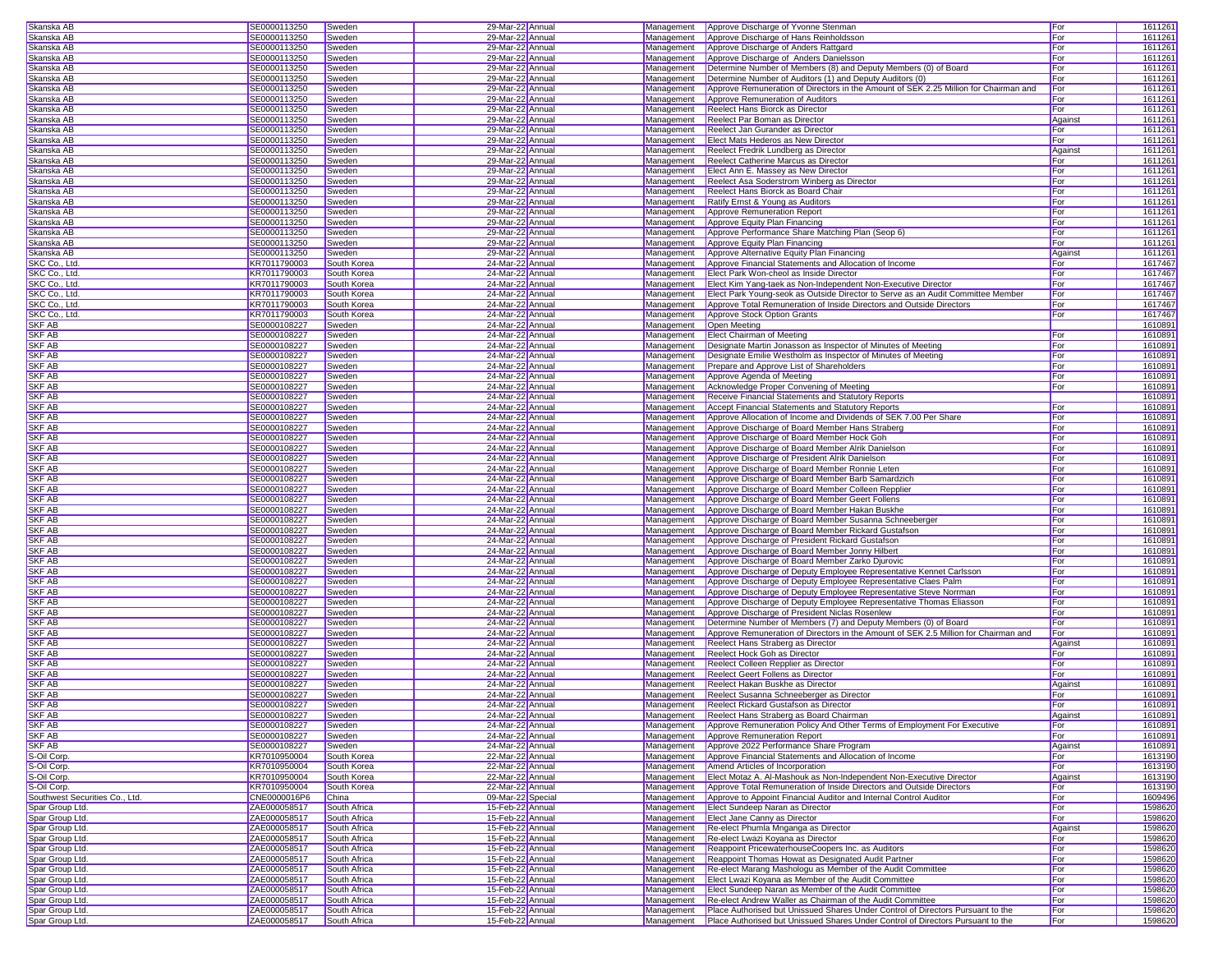| Skanska AB                     | SE0000113250 | Sweden       | 29-Mar-22 Annual  |            | Management   Approve Discharge of Yvonne Stenman                                           | For     | 1611261 |
|--------------------------------|--------------|--------------|-------------------|------------|--------------------------------------------------------------------------------------------|---------|---------|
| Skanska AB                     |              |              | 29-Mar-22 Annual  |            | Approve Discharge of Hans Reinholdsson                                                     | For     | 1611261 |
|                                | SE0000113250 | Sweden       |                   | Management |                                                                                            |         |         |
| Skanska AB                     | SE0000113250 | Sweden       | 29-Mar-22 Annual  | Management | Approve Discharge of Anders Rattgard                                                       | For     | 1611261 |
| Skanska AB                     | SE0000113250 | Sweden       | 29-Mar-22 Annual  | Management | Approve Discharge of Anders Danielsson                                                     | For     | 1611261 |
| Skanska AB                     | SE0000113250 | Sweden       | 29-Mar-22 Annual  | Management | Determine Number of Members (8) and Deputy Members (0) of Board                            | For     | 1611261 |
| Skanska AB                     | SE0000113250 | Sweden       | 29-Mar-22 Annual  | Management | Determine Number of Auditors (1) and Deputy Auditors (0)                                   | For     | 1611261 |
| Skanska AB                     | SE0000113250 | Sweden       | 29-Mar-22 Annual  | Management | Approve Remuneration of Directors in the Amount of SEK 2.25 Million for Chairman and       | For     | 1611261 |
| Skanska AB                     | SE0000113250 | Sweden       | 29-Mar-22 Annual  | Management | Approve Remuneration of Auditors                                                           | For     | 1611261 |
| Skanska AB                     | SE0000113250 | Sweden       | 29-Mar-22 Annual  | Management | Reelect Hans Biorck as Director                                                            | For     | 1611261 |
|                                |              |              |                   |            |                                                                                            |         |         |
| Skanska AB                     | SE0000113250 | Sweden       | 29-Mar-22 Annual  | Management | Reelect Par Boman as Director                                                              | Agains  | 1611261 |
| Skanska AB                     | SE0000113250 | Sweden       | 29-Mar-22 Annual  | Management | Reelect Jan Gurander as Director                                                           | For     | 1611261 |
| Skanska AB                     | SE0000113250 | Sweden       | 29-Mar-22 Annual  | Management | Elect Mats Hederos as New Director                                                         | For     | 1611261 |
| Skanska AB                     | SE0000113250 | Sweden       | 29-Mar-22 Annual  | Management | Reelect Fredrik Lundberg as Director                                                       | Against | 1611261 |
| Skanska AB                     | SE0000113250 | Sweden       | 29-Mar-22 Annual  | Management | Reelect Catherine Marcus as Director                                                       | For     | 1611261 |
| Skanska AB                     | SE0000113250 | Sweden       | 29-Mar-22 Annual  | Management | Elect Ann E. Massey as New Director                                                        | For     | 1611261 |
|                                |              |              | 29-Mar-22 Annual  |            |                                                                                            |         |         |
| Skanska AB                     | SE0000113250 | Sweden       |                   | Management | Reelect Asa Soderstrom Winberg as Director                                                 | For     | 1611261 |
| Skanska AB                     | SE0000113250 | Sweden       | 29-Mar-22 Annual  | Management | Reelect Hans Biorck as Board Chair                                                         | For     | 1611261 |
| Skanska AB                     | SE0000113250 | Sweden       | 29-Mar-22 Annual  | Management | Ratify Ernst & Young as Auditors                                                           | For     | 1611261 |
| Skanska AB                     | SE0000113250 | Sweden       | 29-Mar-22 Annual  | Management | Approve Remuneration Report                                                                | For     | 1611261 |
| Skanska AB                     | SE0000113250 | Sweden       | 29-Mar-22 Annual  | Management | Approve Equity Plan Financing                                                              | For     | 1611261 |
| Skanska AB                     | SE0000113250 | Sweden       | 29-Mar-22 Annual  | Management | Approve Performance Share Matching Plan (Seop 6)                                           | For     | 1611261 |
|                                |              |              |                   |            |                                                                                            |         |         |
| Skanska AB                     | SE0000113250 | Sweden       | 29-Mar-22 Annual  | Management | Approve Equity Plan Financing                                                              | For     | 1611261 |
| Skanska AB                     | SE0000113250 | Sweden       | 29-Mar-22 Annual  | Management | Approve Alternative Equity Plan Financing                                                  | Against | 1611261 |
| SKC Co., Ltd                   | KR7011790003 | South Korea  | 24-Mar-22 Annual  | Management | Approve Financial Statements and Allocation of Income                                      | For     | 1617467 |
| SKC Co., Ltd                   | KR7011790003 | South Korea  | 24-Mar-22 Annual  | Management | Elect Park Won-cheol as Inside Director                                                    | For     | 1617467 |
| SKC Co., Ltd                   | KR7011790003 | South Korea  | 24-Mar-22 Annual  | Management | Elect Kim Yang-taek as Non-Independent Non-Executive Director                              | For     | 1617467 |
| SKC Co., Ltd                   | KR7011790003 | South Korea  | 24-Mar-22 Annual  | Management | Elect Park Young-seok as Outside Director to Serve as an Audit Committee Member            | For     | 1617467 |
|                                |              |              |                   |            |                                                                                            |         |         |
| SKC Co., Ltd.                  | KR7011790003 | South Korea  | 24-Mar-22 Annual  | Management | Approve Total Remuneration of Inside Directors and Outside Directors                       | For     | 1617467 |
| SKC Co., Ltd.                  | KR7011790003 | South Korea  | 24-Mar-22 Annual  | Management | Approve Stock Option Grants                                                                | For     | 1617467 |
| SKF AB                         | SE0000108227 | Sweden       | 24-Mar-22 Annual  | Management | Open Meeting                                                                               |         | 161089  |
| <b>SKF AB</b>                  | SE0000108227 | Sweden       | 24-Mar-22 Annual  | Management | <b>Elect Chairman of Meeting</b>                                                           | For     | 161089  |
| <b>SKF AB</b>                  | SE0000108227 | Sweden       | 24-Mar-22 Annual  | Management | Designate Martin Jonasson as Inspector of Minutes of Meeting                               | For     | 161089  |
| <b>SKF AB</b>                  | SE0000108227 | Sweden       | 24-Mar-22 Annual  | Management | Designate Emilie Westholm as Inspector of Minutes of Meeting                               | For     | 161089  |
|                                |              |              |                   |            |                                                                                            |         |         |
| <b>SKF AB</b>                  | SE0000108227 | Sweden       | 24-Mar-22 Annual  | Management | Prepare and Approve List of Shareholders                                                   | For     | 1610891 |
| <b>SKF AB</b>                  | SE0000108227 | Sweden       | 24-Mar-22 Annual  | Management | Approve Agenda of Meeting                                                                  | For     | 1610891 |
| <b>SKF AB</b>                  | SE0000108227 | Sweden       | 24-Mar-22 Annual  | Management | Acknowledge Proper Convening of Meeting                                                    | For     | 1610891 |
| SKF AB                         | SE0000108227 | Sweden       | 24-Mar-22 Annual  | Management | Receive Financial Statements and Statutory Reports                                         |         | 1610891 |
| <b>SKF AB</b>                  | SE0000108227 | Sweden       | 24-Mar-22 Annual  | Management | Accept Financial Statements and Statutory Reports                                          | For     | 1610891 |
| SKF AB                         | SE0000108227 | Sweden       | 24-Mar-22 Annual  | Management | Approve Allocation of Income and Dividends of SEK 7.00 Per Share                           | For     | 1610891 |
|                                |              |              |                   |            |                                                                                            |         |         |
| SKF AB                         | SE0000108227 | Sweden       | 24-Mar-22 Annual  | Management | Approve Discharge of Board Member Hans Straberg                                            | For     | 1610891 |
| <b>SKF AB</b>                  | SE0000108227 | Sweden       | 24-Mar-22 Annual  | Management | Approve Discharge of Board Member Hock Goh                                                 | For     | 161089  |
| <b>SKF AB</b>                  | SE0000108227 | Sweden       | 24-Mar-22 Annual  | Management | Approve Discharge of Board Member Alrik Danielson                                          | For     | 161089  |
| <b>SKF AB</b>                  | SE0000108227 | Sweden       | 24-Mar-22 Annual  | Management | Approve Discharge of President Alrik Danielson                                             | For     | 161089  |
| SKF AB                         | SE0000108227 | Sweden       | 24-Mar-22 Annual  | Management | Approve Discharge of Board Member Ronnie Leten                                             | For     | 1610891 |
| <b>SKF AB</b>                  | SE0000108227 | Sweden       | 24-Mar-22 Annual  | Management | Approve Discharge of Board Member Barb Samardzich                                          | For     | 1610891 |
| <b>SKF AB</b>                  | SE0000108227 |              | 24-Mar-22 Annual  | Management |                                                                                            | For     | 1610891 |
|                                |              | Sweden       |                   |            | Approve Discharge of Board Member Colleen Repplier                                         |         |         |
| SKF AB                         | SE0000108227 | Sweden       | 24-Mar-22 Annual  | Management | Approve Discharge of Board Member Geert Follens                                            | For     | 1610891 |
| <b>SKF AB</b>                  | SE0000108227 | Sweden       | 24-Mar-22 Annual  | Management | Approve Discharge of Board Member Hakan Buskhe                                             | For     | 1610891 |
| SKF AB                         | SE0000108227 | Sweden       | 24-Mar-22 Annual  | Management | Approve Discharge of Board Member Susanna Schneeberger                                     | For     | 1610891 |
| <b>SKF AB</b>                  | SE0000108227 | Sweden       | 24-Mar-22 Annual  | Management | Approve Discharge of Board Member Rickard Gustafson                                        | For     | 161089  |
| <b>SKF AB</b>                  | SE0000108227 | Sweden       | 24-Mar-22 Annual  | Management | Approve Discharge of President Rickard Gustafson                                           | For     | 161089  |
| <b>SKF AB</b>                  | SE0000108227 | Sweden       | 24-Mar-22 Annual  | Management | Approve Discharge of Board Member Jonny Hilbert                                            | For     | 161089  |
|                                |              |              |                   |            |                                                                                            |         |         |
| <b>SKF AB</b>                  | SE0000108227 | Sweden       | 24-Mar-22 Annual  | Management | Approve Discharge of Board Member Zarko Djurovic                                           | For     | 161089  |
| <b>SKF AB</b>                  | SE0000108227 | Sweden       | 24-Mar-22 Annual  | Management | Approve Discharge of Deputy Employee Representative Kennet Carlsson                        | For     | 1610891 |
| SKF AB                         | SE0000108227 | Sweden       | 24-Mar-22 Annual  | Management | Approve Discharge of Deputy Employee Representative Claes Palm                             | For     | 1610891 |
| <b>SKF AB</b>                  | SE0000108227 | Sweden       | 24-Mar-22 Annual  | Management | Approve Discharge of Deputy Employee Representative Steve Norrman                          | For     | 1610891 |
| SKF AB                         | SE0000108227 | Sweden       | 24-Mar-22 Annual  | Management | Approve Discharge of Deputy Employee Representative Thomas Eliasson                        | For     | 1610891 |
| <b>SKF AB</b>                  | SE0000108227 | Sweden       | 24-Mar-22 Annual  | Management | Approve Discharge of President Niclas Rosenlew                                             | For     | 1610891 |
|                                |              |              |                   |            |                                                                                            |         |         |
| SKF AB                         | SE0000108227 | Sweden       | 24-Mar-22 Annual  | Management | Determine Number of Members (7) and Deputy Members (0) of Board                            | For     | 1610891 |
| <b>SKF AB</b>                  | SE0000108227 | Sweden       | 24-Mar-22 Annual  | Management | Approve Remuneration of Directors in the Amount of SEK 2.5 Million for Chairman and        | For     | 161089  |
| <b>SKF AB</b>                  | SE0000108227 | Sweden       | 24-Mar-22 Annual  | Management | Reelect Hans Straberg as Director                                                          | Against | 161089  |
| <b>SKF AB</b>                  | SE0000108227 | Sweden       | 24-Mar-22 Annual  | Management | Reelect Hock Goh as Director                                                               | For     | 161089  |
| <b>SKF AB</b>                  | SE0000108227 | Sweden       | 24-Mar-22 Annual  | Management | Reelect Colleen Repplier as Director                                                       | For     | 161089  |
| SKF AB                         | SE0000108227 | Sweden       | 24-Mar-22 Annual  | Management | <b>Reelect Geert Follens as Director</b>                                                   | For     | 1610891 |
| SKF AB                         | SE0000108227 |              |                   | Management | Reelect Hakan Buskhe as Director                                                           |         | 1610891 |
|                                |              | Sweden       | 24-Mar-22 Annual  |            |                                                                                            | Agains  |         |
| <b>SKF AB</b>                  | SE0000108227 | Sweden       | 24-Mar-22 Annual  | Management | Reelect Susanna Schneeberger as Director                                                   | For     | 1610891 |
| SKF AB                         | SE0000108227 | Sweden       | 24-Mar-22 Annual  | Management | Reelect Rickard Gustafson as Director                                                      | For     | 1610891 |
| <b>SKF AB</b>                  | SE0000108227 | Sweden       | 24-Mar-22 Annual  | Management | Reelect Hans Straberg as Board Chairman                                                    | Against | 1610891 |
| SKF AB                         | SE0000108227 | Sweden       | 24-Mar-22 Annual  | Management | Approve Remuneration Policy And Other Terms of Employment For Executive                    | For     | 1610891 |
| <b>SKF AB</b>                  | SE0000108227 | Sweden       | 24-Mar-22 Annual  | Management | Approve Remuneration Report                                                                | For     | 1610891 |
| <b>SKF AB</b>                  | SE0000108227 | Sweden       | 24-Mar-22 Annual  | Management | Approve 2022 Performance Share Program                                                     | Against | 1610891 |
|                                |              |              |                   |            |                                                                                            |         |         |
| S-Oil Corp.                    | KR7010950004 | South Korea  | 22-Mar-22 Annual  | Management | Approve Financial Statements and Allocation of Income                                      | For     | 1613190 |
| S-Oil Corp.                    | KR7010950004 | South Korea  | 22-Mar-22 Annual  | Management | Amend Articles of Incorporation                                                            | For     | 1613190 |
| S-Oil Corp.                    | KR7010950004 | South Korea  | 22-Mar-22 Annual  | Management | Elect Motaz A. Al-Mashouk as Non-Independent Non-Executive Director                        | Against | 1613190 |
| S-Oil Corp.                    | KR7010950004 | South Korea  | 22-Mar-22 Annual  | Management | Approve Total Remuneration of Inside Directors and Outside Directors                       | For     | 1613190 |
| Southwest Securities Co., Ltd. | CNE0000016P6 | China        | 09-Mar-22 Special | Management | Approve to Appoint Financial Auditor and Internal Control Auditor                          | For     | 1609496 |
| Spar Group Ltd.                | ZAE000058517 | South Africa | 15-Feb-22 Annual  | Management | <b>Elect Sundeep Naran as Director</b>                                                     | For     | 1598620 |
|                                |              |              |                   |            |                                                                                            |         |         |
| Spar Group Ltd.                | ZAE000058517 | South Africa | 15-Feb-22 Annual  | Management | Elect Jane Canny as Director                                                               | For     | 1598620 |
| Spar Group Ltd.                | ZAE000058517 | South Africa | 15-Feb-22 Annual  | Management | Re-elect Phumla Mnganga as Director                                                        | Against | 1598620 |
| Spar Group Ltd.                | ZAE000058517 | South Africa | 15-Feb-22 Annual  | Management | Re-elect Lwazi Koyana as Director                                                          | For     | 1598620 |
| Spar Group Ltd.                | ZAE000058517 | South Africa | 15-Feb-22 Annual  | Management | Reappoint PricewaterhouseCoopers Inc. as Auditors                                          | For     | 1598620 |
| Spar Group Ltd.                | ZAE000058517 | South Africa | 15-Feb-22 Annual  | Management | Reappoint Thomas Howat as Designated Audit Partner                                         | For     | 1598620 |
| Spar Group Ltd.                | ZAE000058517 | South Africa | 15-Feb-22 Annual  | Management | Re-elect Marang Mashologu as Member of the Audit Committee                                 | For     | 1598620 |
|                                |              |              |                   |            |                                                                                            |         |         |
| Spar Group Ltd.                | ZAE000058517 | South Africa | 15-Feb-22 Annual  | Management | Elect Lwazi Koyana as Member of the Audit Committee                                        | For     | 1598620 |
| Spar Group Ltd.                | ZAE000058517 | South Africa | 15-Feb-22 Annual  | Management | Elect Sundeep Naran as Member of the Audit Committee                                       | For     | 1598620 |
| Spar Group Ltd.                | ZAE000058517 | South Africa | 15-Feb-22 Annual  | Management | Re-elect Andrew Waller as Chairman of the Audit Committee                                  | For     | 1598620 |
| Spar Group Ltd.                | ZAE000058517 | South Africa | 15-Feb-22 Annual  | Management | Place Authorised but Unissued Shares Under Control of Directors Pursuant to the            | For     | 1598620 |
| Spar Group Ltd.                | ZAE000058517 | South Africa | 15-Feb-22 Annual  |            | Management Place Authorised but Unissued Shares Under Control of Directors Pursuant to the | For     | 1598620 |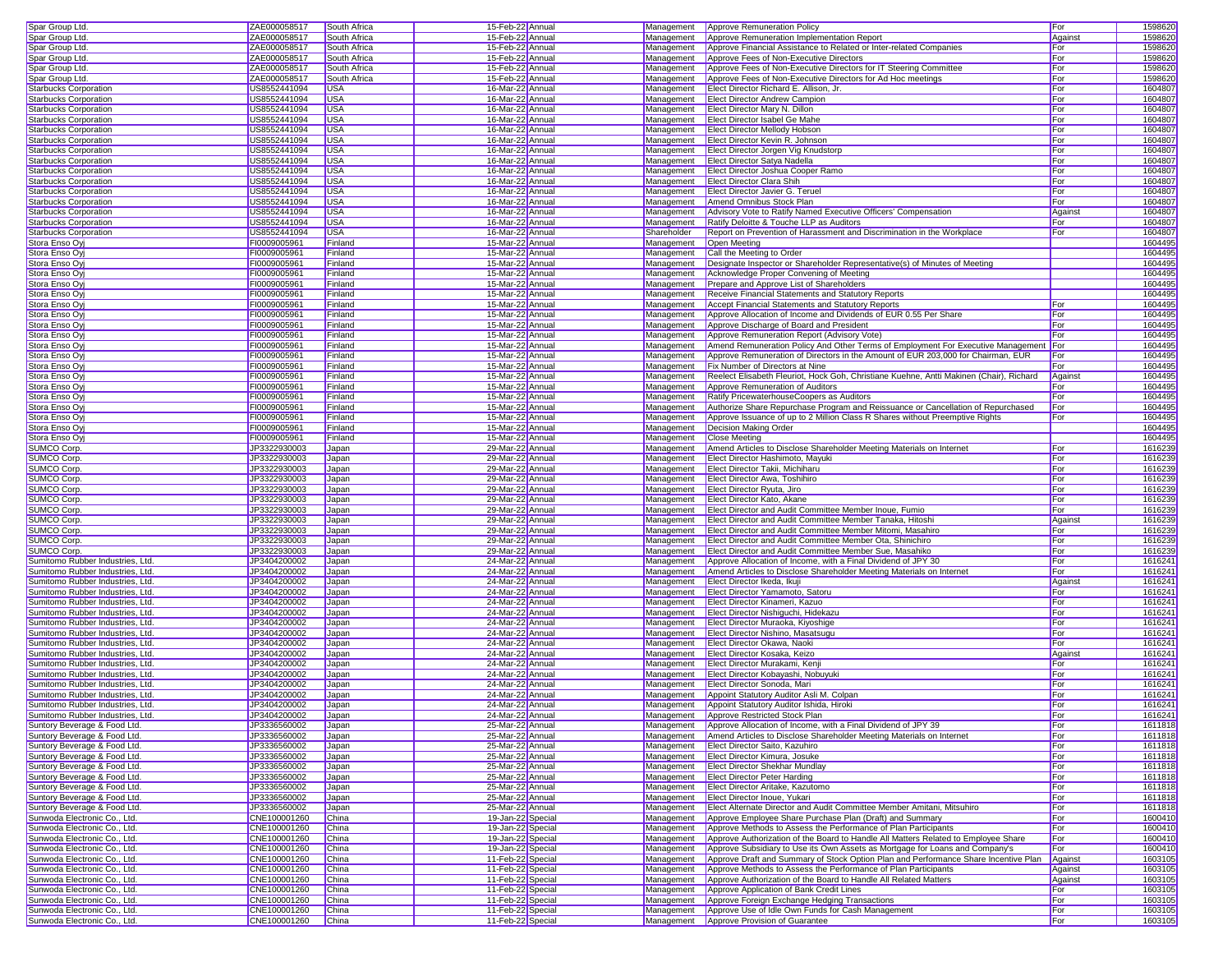| Spar Group Ltd.                                              | ZAE000058517                 | South Africa   | 15-Feb-22 Annual                       |             | Management Approve Remuneration Policy                                                                    | For          | 1598620            |  |
|--------------------------------------------------------------|------------------------------|----------------|----------------------------------------|-------------|-----------------------------------------------------------------------------------------------------------|--------------|--------------------|--|
|                                                              |                              |                |                                        |             |                                                                                                           |              |                    |  |
| Spar Group Ltd.                                              | ZAE000058517                 | South Africa   | 15-Feb-22 Annual                       | Management  | Approve Remuneration Implementation Report                                                                | Against      | 1598620            |  |
| Spar Group Ltd.                                              | ZAE000058517                 | South Africa   | 15-Feb-22 Annual                       | Management  | Approve Financial Assistance to Related or Inter-related Companies                                        | For          | 1598620            |  |
| Spar Group Ltd.                                              | ZAE000058517                 | South Africa   | 15-Feb-22 Annual                       | Management  | Approve Fees of Non-Executive Directors                                                                   | For          | 159862             |  |
|                                                              |                              |                |                                        |             |                                                                                                           |              |                    |  |
| Spar Group Ltd.                                              | ZAE000058517                 | South Africa   | 15-Feb-22 Annual                       | Management  | Approve Fees of Non-Executive Directors for IT Steering Committee                                         | For          | 1598620            |  |
| Spar Group Ltd.                                              | ZAE000058517                 | South Africa   | 15-Feb-22 Annual                       | Management  | Approve Fees of Non-Executive Directors for Ad Hoc meetings                                               | For          | 1598620            |  |
| Starbucks Corporation                                        | US8552441094                 | <b>USA</b>     | 16-Mar-22 Annual                       | Management  | Elect Director Richard E. Allison, Jr.                                                                    | For          | 1604807            |  |
| Starbucks Corporation                                        | US8552441094                 | <b>USA</b>     | 16-Mar-22 Annual                       | Management  | Elect Director Andrew Campion                                                                             | For          | 1604807            |  |
|                                                              |                              |                |                                        |             |                                                                                                           |              |                    |  |
| <b>Starbucks Corporation</b>                                 | US8552441094                 | <b>USA</b>     | 16-Mar-22 Annual                       | Management  | Elect Director Mary N. Dillon                                                                             | For          | 1604807            |  |
| <b>Starbucks Corporation</b>                                 | US8552441094                 | <b>USA</b>     | 16-Mar-22 Annual                       | Management  | Elect Director Isabel Ge Mahe                                                                             | For          | 1604807            |  |
| Starbucks Corporation                                        | US8552441094                 | <b>USA</b>     | 16-Mar-22 Annual                       | Management  | <b>Elect Director Mellody Hobson</b>                                                                      | For          | 1604807            |  |
| Starbucks Corporation                                        | US8552441094                 | <b>USA</b>     | 16-Mar-22 Annual                       | Management  | Elect Director Kevin R. Johnson                                                                           | For          | 1604807            |  |
|                                                              | US8552441094                 | <b>USA</b>     |                                        |             |                                                                                                           | For          | 1604807            |  |
| Starbucks Corporation                                        |                              |                | 16-Mar-22 Annual                       | Management  | Elect Director Jorgen Vig Knudstorp                                                                       |              |                    |  |
| <b>Starbucks Corporation</b>                                 | US8552441094                 | <b>USA</b>     | 16-Mar-22 Annual                       | Management  | <b>Elect Director Satya Nadella</b>                                                                       | For          | 1604807            |  |
| <b>Starbucks Corporation</b>                                 | US8552441094                 | <b>USA</b>     | 16-Mar-22 Annual                       |             | Management Elect Director Joshua Cooper Ramo                                                              | For          | 1604807            |  |
| Starbucks Corporation                                        | US8552441094                 | <b>USA</b>     | 16-Mar-22 Annual                       | Management  | <b>Elect Director Clara Shih</b>                                                                          | For          | 1604807            |  |
|                                                              |                              |                |                                        |             |                                                                                                           |              |                    |  |
| Starbucks Corporation                                        | US8552441094                 | <b>USA</b>     | 16-Mar-22 Annual                       | Management  | Elect Director Javier G. Teruel                                                                           | For          | 1604807            |  |
| Starbucks Corporation                                        | US8552441094                 | <b>USA</b>     | 16-Mar-22 Annual                       | Management  | Amend Omnibus Stock Plan                                                                                  | For          | 1604807            |  |
| <b>Starbucks Corporation</b>                                 | US8552441094                 | <b>USA</b>     | 16-Mar-22 Annual                       | Management  | Advisory Vote to Ratify Named Executive Officers' Compensation                                            | Against      | 1604807            |  |
| <b>Starbucks Corporation</b>                                 | US8552441094                 | <b>USA</b>     | 16-Mar-22 Annual                       | Management  | Ratify Deloitte & Touche LLP as Auditors                                                                  | For          | 1604807            |  |
|                                                              |                              |                |                                        |             |                                                                                                           |              |                    |  |
| Starbucks Corporation                                        | US8552441094                 | <b>USA</b>     | 16-Mar-22 Annual                       | Shareholder | Report on Prevention of Harassment and Discrimination in the Workplace                                    | For          | 1604807            |  |
| Stora Enso Oyj                                               | FI0009005961                 | Finland        | 15-Mar-22 Annual                       | Management  | Open Meeting                                                                                              |              | 1604495            |  |
| Stora Enso Oy                                                | FI0009005961                 | Finland        | 15-Mar-22 Annual                       | Management  | Call the Meeting to Order                                                                                 |              | 1604495            |  |
| Stora Enso Oy                                                | FI0009005961                 | Finland        | 15-Mar-22 Annual                       | Management  | Designate Inspector or Shareholder Representative(s) of Minutes of Meeting                                |              | 1604495            |  |
|                                                              |                              |                |                                        |             |                                                                                                           |              |                    |  |
| Stora Enso Oyj                                               | FI0009005961                 | Finland        | 15-Mar-22 Annual                       | Management  | Acknowledge Proper Convening of Meeting                                                                   |              | 1604495            |  |
| Stora Enso Ovi                                               | FI0009005961                 | Finland        | 15-Mar-22 Annual                       | Management  | Prepare and Approve List of Shareholders                                                                  |              | 1604495            |  |
| Stora Enso Oyj                                               | FI0009005961                 | Finland        | 15-Mar-22 Annual                       | Management  | Receive Financial Statements and Statutory Reports                                                        |              | 1604495            |  |
| Stora Enso Oyj                                               | FI0009005961                 | Finland        | 15-Mar-22 Annual                       | Management  | <b>Accept Financial Statements and Statutory Reports</b>                                                  | For          | 1604495            |  |
|                                                              |                              |                |                                        |             |                                                                                                           |              |                    |  |
| Stora Enso Oy                                                | FI0009005961                 | Finland        | 15-Mar-22 Annual                       | Management  | Approve Allocation of Income and Dividends of EUR 0.55 Per Share                                          | <b>I</b> For | 1604495            |  |
| Stora Enso Oyj                                               | FI0009005961                 | Finland        | 15-Mar-22 Annual                       | Management  | Approve Discharge of Board and President                                                                  | For          | 1604495            |  |
| Stora Enso Ovi                                               | FI0009005961                 | Finland        | 15-Mar-22 Annual                       | Management  | Approve Remuneration Report (Advisory Vote)                                                               | For          | 1604495            |  |
| Stora Enso Oyj                                               | FI0009005961                 | Finland        | 15-Mar-22 Annual                       | Management  | Amend Remuneration Policy And Other Terms of Employment For Executive Management   For                    |              | 1604495            |  |
|                                                              |                              |                |                                        |             |                                                                                                           |              |                    |  |
| Stora Enso Oy                                                | FI0009005961                 | Finland        | 15-Mar-22 Annual                       | Management  | Approve Remuneration of Directors in the Amount of EUR 203,000 for Chairman, EUR                          | For          | 1604495            |  |
| Stora Enso Oy                                                | FI0009005961                 | Finland        | 15-Mar-22 Annual                       | Management  | <b>Fix Number of Directors at Nine</b>                                                                    | For          | 1604495            |  |
| Stora Enso Oyj                                               | FI0009005961                 | Finland        | 15-Mar-22 Annual                       | Management  | Reelect Elisabeth Fleuriot, Hock Goh, Christiane Kuehne, Antti Makinen (Chair), Richard                   | Against      | 1604495            |  |
|                                                              | FI0009005961                 |                |                                        | Management  |                                                                                                           |              | 1604495            |  |
| Stora Enso Oyj                                               |                              | Finland        | 15-Mar-22 Annual                       |             | Approve Remuneration of Auditors                                                                          | For          |                    |  |
| Stora Enso Oyj                                               | FI0009005961                 | Finland        | 15-Mar-22 Annual                       | Management  | Ratify PricewaterhouseCoopers as Auditors                                                                 | For          | 1604495            |  |
| Stora Enso Oyj                                               | FI0009005961                 | Finland        | 15-Mar-22 Annual                       | Management  | Authorize Share Repurchase Program and Reissuance or Cancellation of Repurchased                          | For          | 1604495            |  |
| Stora Enso Oyj                                               | FI0009005961                 | Finland        | 15-Mar-22 Annual                       | Management  | Approve Issuance of up to 2 Million Class R Shares without Preemptive Rights                              | For          | 1604495            |  |
|                                                              |                              |                |                                        |             |                                                                                                           |              |                    |  |
| Stora Enso Oyj                                               | FI0009005961                 | Finland        | 15-Mar-22 Annual                       | Management  | Decision Making Order                                                                                     |              | 1604495            |  |
| Stora Enso Ovi                                               | FI0009005961                 | Finland        | 15-Mar-22 Annual                       | Management  | <b>Close Meeting</b>                                                                                      |              | 1604495            |  |
| SUMCO Corp.                                                  | JP3322930003                 | Japan          | 29-Mar-22 Annual                       | Management  | Amend Articles to Disclose Shareholder Meeting Materials on Internet                                      | For          | 1616239            |  |
| SUMCO Corp.                                                  | JP3322930003                 | Japan          | 29-Mar-22 Annual                       | Management  | Elect Director Hashimoto, Mayuki                                                                          | For          | 1616239            |  |
|                                                              |                              |                |                                        |             |                                                                                                           |              |                    |  |
| SUMCO Corp.                                                  | JP3322930003                 | Japan          | 29-Mar-22 Annual                       | Management  | Elect Director Takii. Michiharu                                                                           | For          | 1616239            |  |
| SUMCO Corp.                                                  | JP3322930003                 | Japan          | 29-Mar-22 Annual                       |             | Management Elect Director Awa, Toshihiro                                                                  | For          | 1616239            |  |
| <b>SUMCO Corp</b>                                            | JP3322930003                 | Japan          | 29-Mar-22 Annual                       |             | Management Elect Director Ryuta, Jiro                                                                     | For          | 1616239            |  |
| SUMCO Corp.                                                  | JP3322930003                 | Japan          | 29-Mar-22 Annual                       | Management  | Elect Director Kato, Akane                                                                                | For          | 1616239            |  |
|                                                              |                              |                |                                        |             |                                                                                                           |              |                    |  |
| SUMCO Corp.                                                  | JP3322930003                 | Japan          | 29-Mar-22 Annual                       | Management  | Elect Director and Audit Committee Member Inoue, Fumio                                                    | For          | 1616239            |  |
| SUMCO Corp.                                                  | JP3322930003                 | Japan          | 29-Mar-22 Annual                       | Management  | Elect Director and Audit Committee Member Tanaka, Hitoshi                                                 | Against      | 1616239            |  |
| SUMCO Corp.                                                  | JP3322930003                 | Japan          | 29-Mar-22 Annual                       | Management  | Elect Director and Audit Committee Member Mitomi, Masahiro                                                | For          | 1616239            |  |
|                                                              |                              |                |                                        |             |                                                                                                           |              |                    |  |
| <b>SUMCO Corp</b>                                            | JP3322930003                 | Japan          | 29-Mar-22 Annual                       | Management  | Elect Director and Audit Committee Member Ota, Shinichiro                                                 | For          | 1616239            |  |
| SUMCO Corp.                                                  | JP3322930003                 | Japan          | 29-Mar-22 Annual                       | Management  | Elect Director and Audit Committee Member Sue, Masahiko                                                   | For          | 1616239            |  |
| Sumitomo Rubber Industries, Ltd.                             | JP3404200002                 | Japan          | 24-Mar-22 Annual                       | Management  | Approve Allocation of Income, with a Final Dividend of JPY 30                                             | For          | 1616241            |  |
| Sumitomo Rubber Industries, Ltd.                             | JP3404200002                 | Japan          | 24-Mar-22 Annual                       | Management  | Amend Articles to Disclose Shareholder Meeting Materials on Internet                                      | For          | 1616241            |  |
|                                                              |                              |                |                                        |             |                                                                                                           |              |                    |  |
| Sumitomo Rubber Industries, Ltd.                             | JP3404200002                 | Japan          | 24-Mar-22 Annual                       | Management  | Elect Director Ikeda, Ikuji                                                                               | Against      | 1616241            |  |
| Sumitomo Rubber Industries, Ltd.                             | JP3404200002                 | Japan          | 24-Mar-22 Annual                       | Management  | Elect Director Yamamoto, Satoru                                                                           | For          | 1616241            |  |
| Sumitomo Rubber Industries, Ltd.                             | JP3404200002                 | Japan          | 24-Mar-22 Annual                       | Management  | Elect Director Kinameri, Kazuo                                                                            | For          | 1616241            |  |
| Sumitomo Rubber Industries, Ltd.                             | JP3404200002                 | Japan          | 24-Mar-22 Annual                       | Management  | Elect Director Nishiguchi, Hidekazu                                                                       | For          | 1616241            |  |
|                                                              |                              |                |                                        |             |                                                                                                           |              |                    |  |
| Sumitomo Rubber Industries, Ltd.                             | JP3404200002                 | Japan          | 24-Mar-22 Annual                       | Management  | Elect Director Muraoka, Kiyoshige                                                                         | For          | 1616241            |  |
| Sumitomo Rubber Industries, Ltd.                             | JP3404200002                 | Japan          | 24-Mar-22 Annual                       | Management  | Elect Director Nishino, Masatsugu                                                                         | For          | 1616241            |  |
| Sumitomo Rubber Industries, Ltd.                             | JP3404200002                 | Japan          | 24-Mar-22 Annual                       | Management  | Elect Director Okawa, Naoki                                                                               | For          | 1616241            |  |
| Sumitomo Rubber Industries, Ltd                              | JP3404200002                 | Japan          | 24-Mar-22 Annual                       | Management  | Elect Director Kosaka, Keizo                                                                              | Against      | 1616241            |  |
| Sumitomo Rubber Industries, Ltd.                             | JP3404200002                 | Japan          | 24-Mar-22 Annual                       | Management  | Elect Director Murakami, Ken                                                                              | For          | 1616241            |  |
|                                                              |                              |                |                                        |             |                                                                                                           |              |                    |  |
| Sumitomo Rubber Industries, Ltd.                             | JP3404200002                 | Japan          | 24-Mar-22 Annual                       | Management  | Elect Director Kobayashi, Nobuyuki                                                                        | For          | 1616241            |  |
| Sumitomo Rubber Industries, Ltd.                             | JP3404200002                 | Japan          | 24-Mar-22 Annual                       |             | Management Elect Director Sonoda, Mari                                                                    | For          | 1616241            |  |
| Sumitomo Rubber Industries, Ltd.                             | JP3404200002                 | Japan          | 24-Mar-22 Annual                       |             | Management Appoint Statutory Auditor Asli M. Colpan                                                       | For          | 1616241            |  |
| Sumitomo Rubber Industries, Ltd                              | JP3404200002                 | Japan          | 24-Mar-22 Annual                       |             | Management   Appoint Statutory Auditor Ishida, Hiroki                                                     | For          | 1616241            |  |
|                                                              |                              |                |                                        |             |                                                                                                           |              |                    |  |
| Sumitomo Rubber Industries, Ltd.                             | JP3404200002                 | Japan          | 24-Mar-22 Annual                       |             | Management Approve Restricted Stock Plan                                                                  | For          | 1616241            |  |
| Suntory Beverage & Food Ltd.                                 | JP3336560002                 | Japan          | 25-Mar-22 Annual                       | Management  | Approve Allocation of Income, with a Final Dividend of JPY 39                                             | For          | 1611818            |  |
| Suntory Beverage & Food Ltd.                                 | JP3336560002                 | Japan          | 25-Mar-22 Annual                       | Management  | Amend Articles to Disclose Shareholder Meeting Materials on Internet                                      | For          | 1611818            |  |
| Suntory Beverage & Food Ltd.                                 | JP3336560002                 | Japan          | 25-Mar-22 Annual                       |             | Management Elect Director Saito, Kazuhiro                                                                 | For          | 1611818            |  |
|                                                              |                              |                |                                        |             |                                                                                                           |              |                    |  |
| Suntory Beverage & Food Ltd.                                 | JP3336560002                 | Japan          | 25-Mar-22 Annual                       | Management  | Elect Director Kimura, Josuke                                                                             | For          | 1611818            |  |
| Suntory Beverage & Food Ltd.                                 | JP3336560002                 | Japan          | 25-Mar-22 Annual                       |             | Management Elect Director Shekhar Mundlay                                                                 | For          | 1611818            |  |
| Suntory Beverage & Food Ltd.                                 | JP3336560002                 | Japan          | 25-Mar-22 Annual                       | Management  | <b>Elect Director Peter Harding</b>                                                                       | For          | 1611818            |  |
| Suntory Beverage & Food Ltd.                                 | JP3336560002                 | Japan          | 25-Mar-22 Annual                       |             | Management Elect Director Aritake, Kazutomo                                                               | For          | 1611818            |  |
|                                                              |                              |                |                                        |             |                                                                                                           |              |                    |  |
| Suntory Beverage & Food Ltd.                                 | JP3336560002                 | Japan          | 25-Mar-22 Annual                       |             | Management Elect Director Inoue, Yukari                                                                   | For          | 1611818            |  |
| Suntory Beverage & Food Ltd.                                 | JP3336560002                 | Japan          | 25-Mar-22 Annual                       | Management  | Elect Alternate Director and Audit Committee Member Amitani, Mitsuhiro                                    | For          | 1611818            |  |
| Sunwoda Electronic Co., Ltd.                                 | CNE100001260                 | <b>China</b>   | 19-Jan-22 Special                      | Management  | Approve Employee Share Purchase Plan (Draft) and Summary                                                  | For          | 1600410            |  |
|                                                              |                              |                |                                        |             |                                                                                                           |              |                    |  |
| Sunwoda Electronic Co., Ltd.                                 | CNE100001260                 | China          | 19-Jan-22 Special                      | Management  | Approve Methods to Assess the Performance of Plan Participants                                            | For          | 1600410            |  |
| Sunwoda Electronic Co., Ltd.                                 |                              | China          | 19-Jan-22 Special                      | Management  | Approve Authorization of the Board to Handle All Matters Related to Employee Share                        | For          | 1600410            |  |
| Sunwoda Electronic Co., Ltd.                                 | CNE100001260                 |                |                                        | Management  |                                                                                                           | For          | 1600410            |  |
|                                                              | CNE100001260                 | <b>China</b>   | 19-Jan-22 Special                      |             | Approve Subsidiary to Use its Own Assets as Mortgage for Loans and Company's                              |              |                    |  |
|                                                              |                              |                |                                        |             |                                                                                                           |              |                    |  |
|                                                              | CNE100001260                 | China          | 11-Feb-22 Special                      | Management  | Approve Draft and Summary of Stock Option Plan and Performance Share Incentive Plan                       | Against      | 1603105            |  |
| Sunwoda Electronic Co., Ltd.                                 | CNE100001260                 | China          | 11-Feb-22 Special                      | Management  | Approve Methods to Assess the Performance of Plan Participants                                            | Against      | 1603105            |  |
| Sunwoda Electronic Co., Ltd.<br>Sunwoda Electronic Co., Ltd. | CNE100001260                 | China          | 11-Feb-22 Special                      | Management  | Approve Authorization of the Board to Handle All Related Matters                                          | Against      | 1603105            |  |
| Sunwoda Electronic Co., Ltd.                                 | CNE100001260                 | China          |                                        | Management  | Approve Application of Bank Credit Lines                                                                  | For          | 1603105            |  |
|                                                              |                              |                | 11-Feb-22 Special                      |             |                                                                                                           |              |                    |  |
| Sunwoda Electronic Co., Ltd.                                 | CNE100001260                 | <b>China</b>   | 11-Feb-22 Special                      | Management  | Approve Foreign Exchange Hedging Transactions                                                             | For          | 1603105            |  |
| Sunwoda Electronic Co., Ltd.<br>Sunwoda Electronic Co., Ltd. | CNE100001260<br>CNE100001260 | China<br>China | 11-Feb-22 Special<br>11-Feb-22 Special |             | Management Approve Use of Idle Own Funds for Cash Management<br>Management Approve Provision of Guarantee | For<br>For   | 1603105<br>1603105 |  |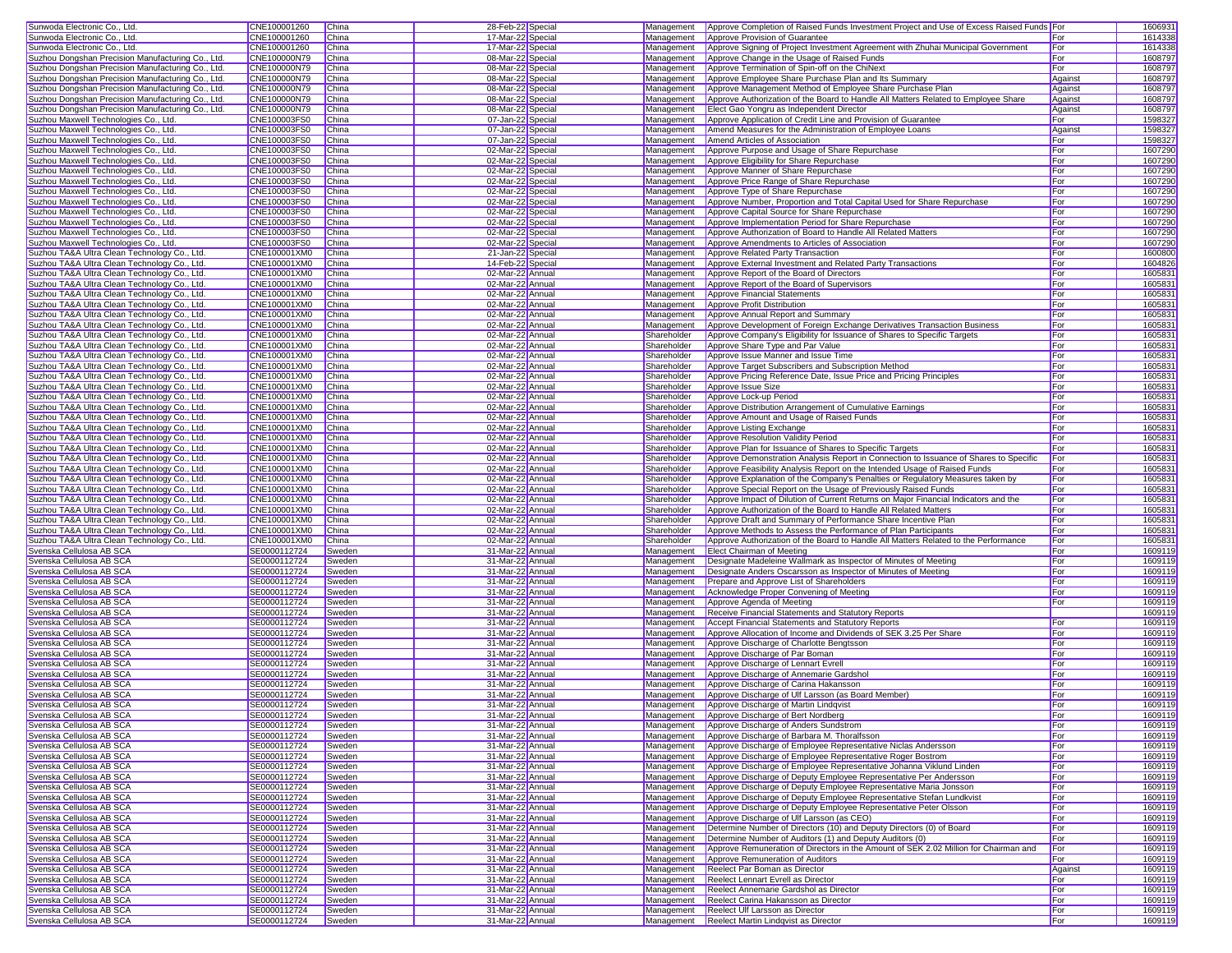| Sunwoda Electronic Co., Ltd.                                                                 | CNE100001260                 | China            | 28-Feb-22 Special                    |                            | Management Approve Completion of Raised Funds Investment Project and Use of Excess Raised Funds For                                                         |            | 1606931            |
|----------------------------------------------------------------------------------------------|------------------------------|------------------|--------------------------------------|----------------------------|-------------------------------------------------------------------------------------------------------------------------------------------------------------|------------|--------------------|
| Sunwoda Electronic Co., Ltd.                                                                 | CNE100001260                 | China            | 17-Mar-22 Special                    | Management                 | Approve Provision of Guarantee                                                                                                                              | For        | 1614338            |
| Sunwoda Electronic Co., Ltd.                                                                 | CNE100001260                 | China            | 17-Mar-22 Special                    | Management                 | Approve Signing of Project Investment Agreement with Zhuhai Municipal Government                                                                            | For        | 1614338            |
| Suzhou Dongshan Precision Manufacturing Co., Ltd.                                            | CNE100000N79                 | China            | 08-Mar-22 Special                    | Management                 | Approve Change in the Usage of Raised Funds                                                                                                                 | For        | 1608797            |
| Suzhou Dongshan Precision Manufacturing Co., Ltd.                                            | CNE100000N79                 | China            | 08-Mar-22 Special                    | Management                 | Approve Termination of Spin-off on the ChiNext                                                                                                              | For        | 1608797            |
| Suzhou Dongshan Precision Manufacturing Co., Ltd.                                            | CNE100000N79                 | China            | 08-Mar-22 Special                    | Management                 | Approve Employee Share Purchase Plan and Its Summary                                                                                                        | Against    | 1608797            |
| Suzhou Dongshan Precision Manufacturing Co., Ltd.                                            | CNE100000N79                 | China            | 08-Mar-22 Special                    | Management                 | Approve Management Method of Employee Share Purchase Plan                                                                                                   | Against    | 1608797            |
| Suzhou Dongshan Precision Manufacturing Co., Ltd.                                            | CNE100000N79                 | China            | 08-Mar-22 Special                    | Management                 | Approve Authorization of the Board to Handle All Matters Related to Employee Share                                                                          | Against    | 1608797            |
| Suzhou Dongshan Precision Manufacturing Co., Ltd.                                            | CNE100000N79                 | China            | 08-Mar-22 Special                    | Management                 | Elect Gao Yongru as Independent Director                                                                                                                    | Against    | 1608797            |
| Suzhou Maxwell Technologies Co., Ltd.                                                        | CNE100003FS0                 | China            | 07-Jan-22 Special                    | Management                 | Approve Application of Credit Line and Provision of Guarantee                                                                                               | For        | 1598327            |
| Suzhou Maxwell Technologies Co., Ltd.                                                        | CNE100003FS0                 | China            | 07-Jan-22 Special                    | Management                 | Amend Measures for the Administration of Employee Loans                                                                                                     | Against    | 1598327            |
| Suzhou Maxwell Technologies Co., Ltd.                                                        | CNE100003FS0                 | China            | 07-Jan-22 Special                    | Management                 | Amend Articles of Association                                                                                                                               | For        | 1598327            |
| Suzhou Maxwell Technologies Co., Ltd.                                                        | CNE100003FS0                 | China            | 02-Mar-22 Special                    | Management                 | Approve Purpose and Usage of Share Repurchase                                                                                                               | For        | 1607290            |
| Suzhou Maxwell Technologies Co., Ltd.                                                        | CNE100003FS0                 | China            | 02-Mar-22 Special                    | Management                 | Approve Eligibility for Share Repurchase                                                                                                                    | For        | 1607290            |
| Suzhou Maxwell Technologies Co., Ltd.                                                        | CNE100003FS0                 | China            | 02-Mar-22 Special                    | Management                 | Approve Manner of Share Repurchase                                                                                                                          | For        | 1607290            |
| Suzhou Maxwell Technologies Co., Ltd.                                                        | CNE100003FS0                 | China            | 02-Mar-22 Special                    | Management                 | Approve Price Range of Share Repurchase                                                                                                                     | For        | 1607290            |
| Suzhou Maxwell Technologies Co., Ltd.                                                        | CNE100003FS0                 | China            | 02-Mar-22 Special                    | Management                 | Approve Type of Share Repurchase                                                                                                                            | For        | 1607290            |
| Suzhou Maxwell Technologies Co., Ltd.                                                        | CNE100003FS0                 | China            | 02-Mar-22 Special                    | Management                 | Approve Number, Proportion and Total Capital Used for Share Repurchase                                                                                      | For        | 1607290            |
| Suzhou Maxwell Technologies Co., Ltd.                                                        | CNE100003FS0                 | China            | 02-Mar-22 Special                    | Management                 | Approve Capital Source for Share Repurchase                                                                                                                 | For        | 1607290            |
| Suzhou Maxwell Technologies Co., Ltd.                                                        | CNE100003FS0                 | China            | 02-Mar-22 Special                    | Management                 | Approve Implementation Period for Share Repurchase                                                                                                          | For        | 1607290            |
| Suzhou Maxwell Technologies Co., Ltd.                                                        | CNE100003FS0                 | China            | 02-Mar-22 Special                    | Management                 | Approve Authorization of Board to Handle All Related Matters                                                                                                | For        | 1607290            |
| Suzhou Maxwell Technologies Co., Ltd.                                                        | CNE100003FS0                 | China            | 02-Mar-22 Special                    | Management                 | Approve Amendments to Articles of Association                                                                                                               | For        | 1607290            |
| Suzhou TA&A Ultra Clean Technology Co., Ltd.                                                 | CNE100001XM0                 | China            | 21-Jan-22 Special                    | Management                 | Approve Related Party Transaction                                                                                                                           | For        | 1600800            |
| Suzhou TA&A Ultra Clean Technology Co., Ltd.                                                 | CNE100001XM0                 | China            | 14-Feb-22 Special                    | Management                 | Approve External Investment and Related Party Transactions                                                                                                  | For        | 1604826            |
| Suzhou TA&A Ultra Clean Technology Co., Ltd.                                                 | CNE100001XM0                 | China            | 02-Mar-22 Annual                     | Management                 | Approve Report of the Board of Directors                                                                                                                    | For        | 160583             |
| Suzhou TA&A Ultra Clean Technology Co., Ltd.                                                 | CNE100001XM0                 | China            | 02-Mar-22 Annual                     | Management                 | Approve Report of the Board of Supervisors                                                                                                                  | For        | 160583             |
| Suzhou TA&A Ultra Clean Technology Co., Ltd.                                                 | CNE100001XM0                 | China            | 02-Mar-22 Annual                     | Management                 | <b>Approve Financial Statements</b>                                                                                                                         | For        | 1605831            |
| Suzhou TA&A Ultra Clean Technology Co., Ltd.                                                 | CNE100001XM0                 | China            | 02-Mar-22 Annual                     | Management                 | Approve Profit Distribution                                                                                                                                 | For        | 1605831            |
| Suzhou TA&A Ultra Clean Technology Co., Ltd.                                                 | CNE100001XM0                 | China            | 02-Mar-22 Annual                     | Management                 | Approve Annual Report and Summary                                                                                                                           | For        | 1605831            |
| Suzhou TA&A Ultra Clean Technology Co., Ltd.                                                 | CNE100001XM0                 | China            | 02-Mar-22 Annual                     | Management                 | Approve Development of Foreign Exchange Derivatives Transaction Business                                                                                    | For        | 160583             |
| Suzhou TA&A Ultra Clean Technology Co., Ltd.                                                 | CNE100001XM0                 | China            | 02-Mar-22 Annual                     | Shareholder                | Approve Company's Eligibility for Issuance of Shares to Specific Targets                                                                                    | For        | 1605831            |
| Suzhou TA&A Ultra Clean Technology Co., Ltd.                                                 | CNE100001XM0                 | China            | 02-Mar-22 Annual                     | Shareholder                | Approve Share Type and Par Value                                                                                                                            | For        | 160583             |
| Suzhou TA&A Ultra Clean Technology Co., Ltd.                                                 | CNE100001XM0                 | China            | 02-Mar-22 Annual                     | Shareholder                | Approve Issue Manner and Issue Time                                                                                                                         | For        | 160583             |
| Suzhou TA&A Ultra Clean Technology Co., Ltd.                                                 | CNE100001XM0                 | China            | 02-Mar-22 Annual                     | Shareholder                | Approve Target Subscribers and Subscription Method                                                                                                          | For        | 160583             |
| Suzhou TA&A Ultra Clean Technology Co., Ltd.                                                 | CNE100001XM0                 | China            | 02-Mar-22 Annual                     | Shareholder                | Approve Pricing Reference Date, Issue Price and Pricing Principles                                                                                          | For        | 160583             |
| Suzhou TA&A Ultra Clean Technology Co., Ltd.                                                 | CNE100001XM0                 | China            | 02-Mar-22 Annual                     | Shareholder                | Approve Issue Size                                                                                                                                          | For        | 160583             |
| Suzhou TA&A Ultra Clean Technology Co., Ltd.                                                 | CNE100001XM0                 | China            | 02-Mar-22 Annual                     | Shareholder                | Approve Lock-up Period                                                                                                                                      | For        | 1605831            |
| Suzhou TA&A Ultra Clean Technology Co., Ltd.                                                 | CNE100001XM0                 | China            | 02-Mar-22 Annual                     | Shareholder                | Approve Distribution Arrangement of Cumulative Earnings                                                                                                     | For        | 160583             |
| Suzhou TA&A Ultra Clean Technology Co., Ltd.                                                 | CNE100001XM0<br>CNE100001XM0 | China            | 02-Mar-22 Annual                     | Shareholder                | Approve Amount and Usage of Raised Funds                                                                                                                    | For        | 1605831            |
| Suzhou TA&A Ultra Clean Technology Co., Ltd.                                                 |                              | China            | 02-Mar-22 Annual                     | Shareholder                | Approve Listing Exchange                                                                                                                                    | For        | 160583             |
| Suzhou TA&A Ultra Clean Technology Co., Ltd.                                                 | CNE100001XM0                 | China<br>China   | 02-Mar-22 Annual                     | Shareholder                | Approve Resolution Validity Period                                                                                                                          | For        | 160583             |
| Suzhou TA&A Ultra Clean Technology Co., Ltd.                                                 | CNE100001XM0                 | China            | 02-Mar-22 Annual                     | Shareholder<br>Shareholder | Approve Plan for Issuance of Shares to Specific Targets<br>Approve Demonstration Analysis Report in Connection to Issuance of Shares to Specific            | For<br>For | 160583<br>160583   |
| Suzhou TA&A Ultra Clean Technology Co., Ltd.                                                 | CNE100001XM0<br>CNE100001XM0 | China            | 02-Mar-22 Annual<br>02-Mar-22 Annual |                            |                                                                                                                                                             | For        | 160583             |
| Suzhou TA&A Ultra Clean Technology Co., Ltd.<br>Suzhou TA&A Ultra Clean Technology Co., Ltd. | CNE100001XM0                 | China            | 02-Mar-22 Annual                     | Shareholder<br>Shareholder | Approve Feasibility Analysis Report on the Intended Usage of Raised Funds<br>Approve Explanation of the Company's Penalties or Regulatory Measures taken by | For        | 160583             |
| Suzhou TA&A Ultra Clean Technology Co., Ltd.                                                 | CNE100001XM0                 | China            | 02-Mar-22 Annual                     | Shareholder                | Approve Special Report on the Usage of Previously Raised Funds                                                                                              | For        | 1605831            |
| Suzhou TA&A Ultra Clean Technology Co., Ltd.                                                 | CNE100001XM0                 | China            | 02-Mar-22 Annual                     | Shareholder                | Approve Impact of Dilution of Current Returns on Major Financial Indicators and the                                                                         | For        | 1605831            |
| Suzhou TA&A Ultra Clean Technology Co., Ltd.                                                 | CNE100001XM0                 | China            | 02-Mar-22 Annual                     | Shareholder                | Approve Authorization of the Board to Handle All Related Matters                                                                                            | For        | 160583             |
| Suzhou TA&A Ultra Clean Technology Co., Ltd.                                                 | CNE100001XM0                 | China            | 02-Mar-22 Annual                     | Shareholder                | Approve Draft and Summary of Performance Share Incentive Plan                                                                                               | For        | 1605831            |
| Suzhou TA&A Ultra Clean Technology Co., Ltd.                                                 | CNE100001XM0                 | China            | 02-Mar-22 Annual                     | Shareholder                | Approve Methods to Assess the Performance of Plan Participants                                                                                              | For        | 160583             |
| Suzhou TA&A Ultra Clean Technology Co., Ltd.                                                 | CNE100001XM0                 | China            | 02-Mar-22 Annual                     | Shareholder                | Approve Authorization of the Board to Handle All Matters Related to the Performance                                                                         | For        | 1605831            |
| Svenska Cellulosa AB SCA                                                                     | SE0000112724                 | Sweden           | 31-Mar-22 Annual                     | Management                 | <b>Elect Chairman of Meeting</b>                                                                                                                            | For        | 1609119            |
| Svenska Cellulosa AB SCA                                                                     | SE0000112724                 | Sweden           | 31-Mar-22 Annual                     | Management                 | Designate Madeleine Wallmark as Inspector of Minutes of Meeting                                                                                             | For        | 1609119            |
| Svenska Cellulosa AB SCA                                                                     | SE0000112724                 | Sweden           | 31-Mar-22 Annual                     | Management                 | Designate Anders Oscarsson as Inspector of Minutes of Meeting                                                                                               | For        | 1609119            |
| Svenska Cellulosa AB SCA                                                                     | SE0000112724                 | Sweden           | 31-Mar-22 Annual                     | Management                 | Prepare and Approve List of Shareholders                                                                                                                    | For        | 1609119            |
| Svenska Cellulosa AB SCA                                                                     | SE0000112724                 | Sweden           | 31-Mar-22 Annual                     | Management                 | Acknowledge Proper Convening of Meeting                                                                                                                     | For        | 1609119            |
| Svenska Cellulosa AB SCA                                                                     | SE0000112724                 | Sweden           | 31-Mar-22 Annual                     | Management                 | Approve Agenda of Meeting                                                                                                                                   | For        | 1609119            |
| Svenska Cellulosa AB SCA                                                                     | SE0000112724                 | Sweden           | 31-Mar-22 Annual                     | Management                 | Receive Financial Statements and Statutory Reports                                                                                                          |            | 1609119            |
| Svenska Cellulosa AB SCA                                                                     | SE0000112724                 | Sweden           | 31-Mar-22 Annual                     | Management                 | <b>Accept Financial Statements and Statutory Reports</b>                                                                                                    | For        | 1609119            |
| Svenska Cellulosa AB SCA                                                                     | SE0000112724                 | Sweden           | 31-Mar-22 Annual                     | Management                 | Approve Allocation of Income and Dividends of SEK 3.25 Per Share                                                                                            | For        | 1609119            |
| Svenska Cellulosa AB SCA                                                                     | SE0000112724                 | Sweden           | 31-Mar-22 Annual                     | Management                 | Approve Discharge of Charlotte Bengtsson                                                                                                                    | For        | 1609119            |
| Svenska Cellulosa AB SCA                                                                     | SE0000112724                 | Sweden           | 31-Mar-22 Annual                     | Management                 | Approve Discharge of Par Boman                                                                                                                              | For        | 1609119            |
| Svenska Cellulosa AB SCA                                                                     | SE0000112724                 | Sweden           | 31-Mar-22 Annual                     | Management                 | Approve Discharge of Lennart Evrell                                                                                                                         | For        | 1609119            |
| Svenska Cellulosa AB SCA                                                                     | SE0000112724                 | Sweden           | 31-Mar-22 Annual                     | Management                 | Approve Discharge of Annemarie Gardshol                                                                                                                     | For        | 1609119            |
| Svenska Cellulosa AB SCA                                                                     | SE0000112724                 | Sweden           | 31-Mar-22 Annual                     | Management                 | Approve Discharge of Carina Hakansson                                                                                                                       | For        | 1609119            |
| Svenska Cellulosa AB SCA                                                                     | SE0000112724                 | Sweden           | 31-Mar-22 Annual                     |                            | Management   Approve Discharge of Ulf Larsson (as Board Member)                                                                                             | For        | 1609119            |
| Svenska Cellulosa AB SCA                                                                     | SE0000112724                 | Sweden           | 31-Mar-22 Annual                     |                            | Management <b>Approve Discharge of Martin Lindqvist</b>                                                                                                     | For        | 1609119            |
| Svenska Cellulosa AB SCA                                                                     | SE0000112724                 | Sweden           | 31-Mar-22 Annual                     |                            | Management Approve Discharge of Bert Nordberg                                                                                                               | <b>For</b> | 1609119            |
| Svenska Cellulosa AB SCA                                                                     | SE0000112724                 | Sweden           | 31-Mar-22 Annual                     | Management                 | Approve Discharge of Anders Sundstrom                                                                                                                       | For        | 1609119            |
| Svenska Cellulosa AB SCA                                                                     | SE0000112724                 | Sweden           | 31-Mar-22 Annual                     | Management                 | Approve Discharge of Barbara M. Thoralfsson                                                                                                                 | For        | 1609119            |
| Svenska Cellulosa AB SCA                                                                     | SE0000112724                 | Sweden           | 31-Mar-22 Annual                     |                            | Management Approve Discharge of Employee Representative Niclas Andersson                                                                                    | For        | 1609119            |
| Svenska Cellulosa AB SCA                                                                     | SE0000112724                 | Sweden           | 31-Mar-22 Annual                     | Management                 | Approve Discharge of Employee Representative Roger Bostrom                                                                                                  | For        | 1609119            |
| Svenska Cellulosa AB SCA                                                                     | SE0000112724                 | Sweden           | 31-Mar-22 Annual                     | Management                 | Approve Discharge of Employee Representative Johanna Viklund Linden                                                                                         | For        | 1609119            |
| Svenska Cellulosa AB SCA                                                                     | SE0000112724                 | Sweden           | 31-Mar-22 Annual                     | Management                 | Approve Discharge of Deputy Employee Representative Per Andersson                                                                                           | For        | 1609119            |
| Svenska Cellulosa AB SCA                                                                     | SE0000112724                 | Sweden           | 31-Mar-22 Annual                     | Management                 | Approve Discharge of Deputy Employee Representative Maria Jonsson                                                                                           | For        | 1609119            |
| Svenska Cellulosa AB SCA<br>Svenska Cellulosa AB SCA                                         | SE0000112724<br>SE0000112724 | Sweden           | 31-Mar-22 Annual<br>31-Mar-22 Annual | Management<br>Management   | Approve Discharge of Deputy Employee Representative Stefan Lundkvist<br>Approve Discharge of Deputy Employee Representative Peter Olsson                    | For<br>For | 1609119<br>1609119 |
| Svenska Cellulosa AB SCA                                                                     | SE0000112724                 | Sweden           | 31-Mar-22 Annual                     | Management                 | Approve Discharge of Ulf Larsson (as CEO)                                                                                                                   | For        |                    |
| Svenska Cellulosa AB SCA                                                                     | SE0000112724                 | Sweden<br>Sweden | 31-Mar-22 Annual                     | Management                 | Determine Number of Directors (10) and Deputy Directors (0) of Board                                                                                        | For        | 1609119<br>1609119 |
| Svenska Cellulosa AB SCA                                                                     | SE0000112724                 | Sweden           | 31-Mar-22 Annual                     | Management                 | Determine Number of Auditors (1) and Deputy Auditors (0)                                                                                                    | For        | 1609119            |
| Svenska Cellulosa AB SCA                                                                     | SE0000112724                 | Sweden           | 31-Mar-22 Annual                     | Management                 | Approve Remuneration of Directors in the Amount of SEK 2.02 Million for Chairman and                                                                        | For        | 1609119            |
| Svenska Cellulosa AB SCA                                                                     | SE0000112724                 | Sweden           | 31-Mar-22 Annual                     | Management                 | Approve Remuneration of Auditors                                                                                                                            | For        | 1609119            |
| Svenska Cellulosa AB SCA                                                                     | SE0000112724                 | Sweden           | 31-Mar-22 Annual                     | Management                 | Reelect Par Boman as Director                                                                                                                               | Against    | 1609119            |
| Svenska Cellulosa AB SCA                                                                     | SE0000112724                 | Sweden           | 31-Mar-22 Annual                     | Management                 | <b>Reelect Lennart Evrell as Director</b>                                                                                                                   | For        | 1609119            |
| Svenska Cellulosa AB SCA                                                                     | SE0000112724                 | Sweden           | 31-Mar-22 Annual                     | Management                 | Reelect Annemarie Gardshol as Director                                                                                                                      | For        | 1609119            |
| Svenska Cellulosa AB SCA                                                                     | SE0000112724                 | Sweden           | 31-Mar-22 Annual                     |                            | Management Reelect Carina Hakansson as Director                                                                                                             | For        | 1609119            |
| Svenska Cellulosa AB SCA                                                                     | SE0000112724                 | Sweden           | 31-Mar-22 Annual                     |                            | Management Reelect Ulf Larsson as Director                                                                                                                  | For        | 1609119            |
| Svenska Cellulosa AB SCA                                                                     | SE0000112724                 | Sweden           | 31-Mar-22 Annual                     |                            | Management Reelect Martin Lindqvist as Director                                                                                                             | For        | 1609119            |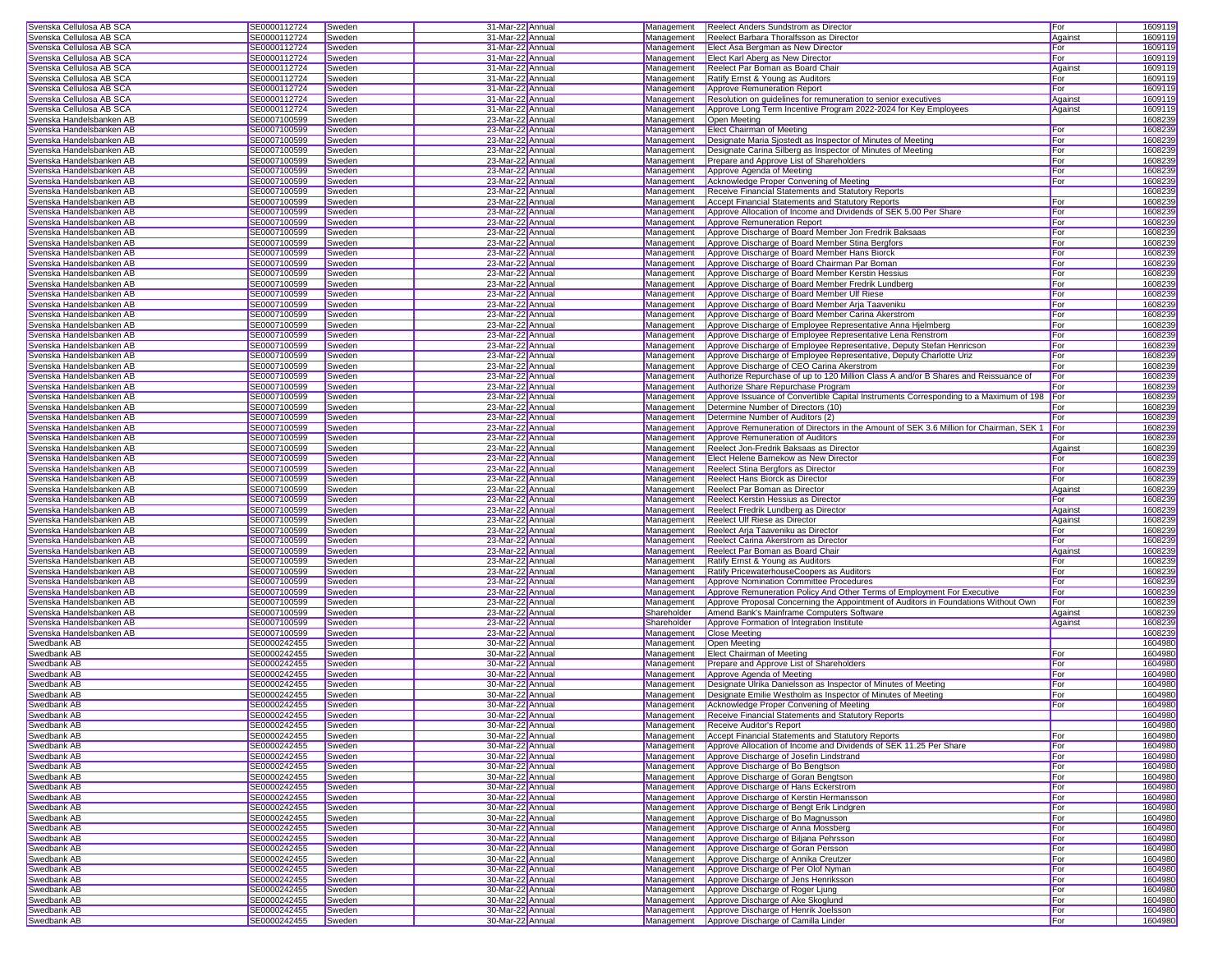| Svenska Cellulosa AB SCA                                 | SE0000112724                 | Sweden           | 31-Mar-22 Annua                      | Management  | <b>Reelect Anders Sundstrom as Director</b>                                                  | For        | 160911             |
|----------------------------------------------------------|------------------------------|------------------|--------------------------------------|-------------|----------------------------------------------------------------------------------------------|------------|--------------------|
| Svenska Cellulosa AB SCA                                 | SE0000112724                 | Sweden           | 31-Mar-22 Annua                      | Management  | Reelect Barbara Thoralfsson as Director                                                      | Against    | 160911             |
| Svenska Cellulosa AB SCA                                 | SE0000112724                 | Sweden           | 31-Mar-22 Annua                      | Management  | Elect Asa Bergman as New Director                                                            | For        | 1609119            |
| Svenska Cellulosa AB SCA                                 | SE0000112724                 | Sweden           | 31-Mar-22 Annual                     | Management  | Elect Karl Aberg as New Director                                                             | For        | 160911             |
| Svenska Cellulosa AB SCA                                 | SE0000112724                 | Sweden           | 31-Mar-22 Annual                     | Management  | Reelect Par Boman as Board Chair                                                             | Against    | 1609119            |
| Svenska Cellulosa AB SCA                                 | SE0000112724                 | Sweden           | 31-Mar-22 Annual                     | Management  | Ratify Ernst & Young as Auditors                                                             | For        | 160911             |
| Svenska Cellulosa AB SCA                                 | SE0000112724                 | Sweden           | 31-Mar-22 Annua                      | Management  | Approve Remuneration Report                                                                  | For        | 160911             |
| Svenska Cellulosa AB SCA                                 | SE0000112724                 | Sweden           | 31-Mar-22 Annual                     | Management  | Resolution on guidelines for remuneration to senior executives                               | Against    | 160911             |
| Svenska Cellulosa AB SCA                                 | SE0000112724                 | Sweden           | 31-Mar-22 Annual                     | Management  | Approve Long Term Incentive Program 2022-2024 for Key Employees                              | Against    | 160911             |
| Svenska Handelsbanken AB                                 | SE0007100599                 | Sweden           | 23-Mar-22 Annua                      | Management  | Open Meeting                                                                                 |            | 1608239            |
|                                                          |                              |                  | 23-Mar-22 Annua                      |             |                                                                                              |            |                    |
| Svenska Handelsbanken AB                                 | SE0007100599                 | Sweden           |                                      | Management  | Elect Chairman of Meeting                                                                    | For        | 1608239            |
| Svenska Handelsbanken AB                                 | SE0007100599                 | Sweden           | 23-Mar-22 Annua                      | Management  | Designate Maria Sjostedt as Inspector of Minutes of Meeting                                  | For        | 160823             |
| Svenska Handelsbanken AB                                 | SE0007100599                 | Sweden           | 23-Mar-22 Annua                      | Management  | Designate Carina Silberg as Inspector of Minutes of Meeting                                  | For        | 160823             |
| Svenska Handelsbanken AB                                 | SE0007100599                 | Sweden           | 23-Mar-22 Annual                     | Management  | Prepare and Approve List of Shareholders                                                     | For        | 160823             |
| Svenska Handelsbanken AB                                 | SE0007100599                 | Sweden           | 23-Mar-22 Annual                     | Management  | Approve Agenda of Meeting                                                                    | For        | 1608239            |
| Svenska Handelsbanken AB                                 | SE0007100599                 | Sweden           | 23-Mar-22 Annual                     | Management  | Acknowledge Proper Convening of Meeting                                                      | For        | 1608239            |
| Svenska Handelsbanken AB                                 | SE0007100599                 | Sweden           | 23-Mar-22 Annua                      | Management  | Receive Financial Statements and Statutory Reports                                           |            | 1608239            |
| Svenska Handelsbanken AB                                 | SE0007100599                 | Sweden           | 23-Mar-22 Annual                     | Management  | Accept Financial Statements and Statutory Reports                                            | For        | 1608239            |
| Svenska Handelsbanken AB                                 | SE0007100599                 | Sweden           | 23-Mar-22 Annual                     | Management  | Approve Allocation of Income and Dividends of SEK 5.00 Per Share                             | For        | 160823             |
| Svenska Handelsbanken AB                                 | SE0007100599                 | Sweden           | 23-Mar-22 Annua                      | Management  | Approve Remuneration Report                                                                  | For        | 1608239            |
| Svenska Handelsbanken AB                                 | SE0007100599                 | Sweden           | 23-Mar-22 Annua                      | Management  | Approve Discharge of Board Member Jon Fredrik Baksaas                                        | For        | 1608239            |
| Svenska Handelsbanken AB                                 | SE0007100599                 | Sweden           | 23-Mar-22 Annua                      | Management  | Approve Discharge of Board Member Stina Bergfors                                             | For        | 160823             |
| Svenska Handelsbanken AB                                 | SE0007100599                 | Sweden           | 23-Mar-22 Annua                      | Management  | Approve Discharge of Board Member Hans Biorck                                                | For        | 160823             |
| Svenska Handelsbanken AB                                 | SE0007100599                 | Sweden           | 23-Mar-22 Annual                     | Management  | Approve Discharge of Board Chairman Par Boman                                                | For        | 160823             |
| Svenska Handelsbanken AB                                 | SE0007100599                 | Sweden           | 23-Mar-22 Annual                     | Management  | Approve Discharge of Board Member Kerstin Hessius                                            | For        | 1608239            |
| Svenska Handelsbanken AB                                 | SE0007100599                 | Sweden           | 23-Mar-22 Annual                     | Management  | Approve Discharge of Board Member Fredrik Lundberg                                           | For        | 1608239            |
| Svenska Handelsbanken AB                                 | SE0007100599                 | Sweden           | 23-Mar-22 Annua                      | Management  | Approve Discharge of Board Member Ulf Riese                                                  | For        | 1608239            |
|                                                          |                              |                  |                                      |             |                                                                                              | For        |                    |
| Svenska Handelsbanken AB                                 | SE0007100599                 | Sweden           | 23-Mar-22 Annual                     | Management  | Approve Discharge of Board Member Arja Taaveniku                                             |            | 1608239            |
| Svenska Handelsbanken AB                                 | SE0007100599                 | Sweden           | 23-Mar-22 Annual                     | Management  | Approve Discharge of Board Member Carina Akerstrom                                           | For        | 160823             |
| Svenska Handelsbanken AB                                 | SE0007100599                 | Sweden           | 23-Mar-22 Annua                      | Management  | Approve Discharge of Employee Representative Anna Hjelmberg                                  | For        | 1608239            |
| Svenska Handelsbanken AB                                 | SE0007100599                 | Sweden           | 23-Mar-22 Annua                      | Management  | Approve Discharge of Employee Representative Lena Renstrom                                   | For        | 1608239            |
| Svenska Handelsbanken AB                                 | SE0007100599                 | Sweden           | 23-Mar-22 Annua                      | Management  | Approve Discharge of Employee Representative, Deputy Stefan Henricson                        | For        | 1608239            |
| Svenska Handelsbanken AB                                 | SE0007100599                 | Sweden           | 23-Mar-22 Annua                      | Management  | Approve Discharge of Employee Representative, Deputy Charlotte Uriz                          | For        | 160823             |
| Svenska Handelsbanken AB                                 | SE0007100599                 | Sweden           | 23-Mar-22 Annual                     | Management  | Approve Discharge of CEO Carina Akerstrom                                                    | For        | 160823             |
| Svenska Handelsbanken AB                                 | SE0007100599                 | Sweden           | 23-Mar-22 Annual                     | Management  | Authorize Repurchase of up to 120 Million Class A and/or B Shares and Reissuance of          | For        | 1608239            |
| Svenska Handelsbanken AB                                 | SE0007100599                 | Sweden           | 23-Mar-22 Annua                      | Management  | Authorize Share Repurchase Program                                                           | For        | 1608239            |
| Svenska Handelsbanken AB                                 | SE0007100599                 | Sweden           | 23-Mar-22 Annua                      | Management  | Approve Issuance of Convertible Capital Instruments Corresponding to a Maximum of 198        | For        | 1608239            |
| Svenska Handelsbanken AB                                 | SE0007100599                 | Sweden           | 23-Mar-22 Annual                     | Management  | Determine Number of Directors (10)                                                           | For        | 1608239            |
| Svenska Handelsbanken AB                                 | SE0007100599                 | Sweden           | 23-Mar-22 Annual                     | Management  | Determine Number of Auditors (2)                                                             | For        | 160823             |
| Svenska Handelsbanken AB                                 | SE0007100599                 | Sweden           | 23-Mar-22 Annual                     | Management  | Approve Remuneration of Directors in the Amount of SEK 3.6 Million for Chairman, SEK 1   For |            | 1608239            |
| Svenska Handelsbanken AB                                 | SE0007100599                 | Sweden           | 23-Mar-22 Annua                      | Management  | Approve Remuneration of Auditors                                                             | For        | 1608239            |
| Svenska Handelsbanken AB                                 | SE0007100599                 | Sweden           | 23-Mar-22 Annua                      | Management  | Reelect Jon-Fredrik Baksaas as Director                                                      | Against    | 160823             |
| Svenska Handelsbanken AB                                 | SE0007100599                 | Sweden           | 23-Mar-22 Annua                      | Management  | Elect Helene Barnekow as New Director                                                        | For        | 160823             |
| Svenska Handelsbanken AB                                 | SE0007100599                 | Sweden           | 23-Mar-22 Annual                     | Management  | Reelect Stina Bergfors as Director                                                           | For        | 160823             |
| Svenska Handelsbanken AB                                 | SE0007100599                 | Sweden           | 23-Mar-22 Annual                     | Management  | Reelect Hans Biorck as Director                                                              | For        | 1608239            |
| Svenska Handelsbanken AB                                 | SE0007100599                 | Sweden           | 23-Mar-22 Annua                      | Management  | Reelect Par Boman as Director                                                                | Against    | 1608239            |
| Svenska Handelsbanken AB                                 | SE0007100599                 | Sweden           | 23-Mar-22 Annua                      | Management  | Reelect Kerstin Hessius as Director                                                          | For        | 1608239            |
|                                                          |                              |                  |                                      |             |                                                                                              |            | 1608239            |
| Svenska Handelsbanken AB                                 | SE0007100599                 | Sweden           | 23-Mar-22 Annual                     | Management  | Reelect Fredrik Lundberg as Director                                                         | Against    |                    |
| Svenska Handelsbanken AB                                 | SE0007100599                 | Sweden           | 23-Mar-22 Annual                     | Management  | <b>Reelect Ulf Riese as Director</b>                                                         | Against    | 160823             |
| Svenska Handelsbanken AB                                 | SE0007100599                 | Sweden           | 23-Mar-22 Annua                      | Management  | Reelect Arja Taaveniku as Director                                                           | For        | 1608239            |
| Svenska Handelsbanken AB                                 | SE0007100599                 | Sweden           | 23-Mar-22 Annua                      | Management  | Reelect Carina Akerstrom as Director                                                         | For        | 1608239            |
| Svenska Handelsbanken AB                                 | SE0007100599                 | Sweden           | 23-Mar-22 Annua                      | Management  | Reelect Par Boman as Board Chair                                                             | Against    | 160823             |
| Svenska Handelsbanken AB                                 |                              |                  |                                      | Management  | Ratify Ernst & Young as Auditors                                                             | For        | 160823             |
|                                                          | SE0007100599                 | Sweden           | 23-Mar-22 Annua                      |             |                                                                                              | For        |                    |
| Svenska Handelsbanken AB                                 | SE0007100599                 | Sweden           | 23-Mar-22 Annual                     | Management  | Ratify PricewaterhouseCoopers as Auditors                                                    |            | 160823             |
| Svenska Handelsbanken AB                                 | SE0007100599                 | Sweden           | 23-Mar-22 Annual                     | Management  | Approve Nomination Committee Procedures                                                      | For        | 1608239            |
| Svenska Handelsbanken AB                                 | SE0007100599                 | Sweden           | 23-Mar-22 Annual                     | Management  | Approve Remuneration Policy And Other Terms of Employment For Executive                      | For        | 1608239            |
| Svenska Handelsbanken AB                                 | SE0007100599                 | Sweden           | 23-Mar-22 Annua                      | Management  | Approve Proposal Concerning the Appointment of Auditors in Foundations Without Own           | For        | 1608239            |
| Svenska Handelsbanken AB                                 | SE0007100599                 | Sweden           | 23-Mar-22 Annual                     | Shareholder | Amend Bank's Mainframe Computers Software                                                    | Against    | 1608239            |
| Svenska Handelsbanken AB                                 |                              | Sweden           |                                      | Shareholder |                                                                                              |            |                    |
| Svenska Handelsbanken AB                                 | SE0007100599                 |                  | 23-Mar-22 Annual<br>23-Mar-22 Annua  |             | Approve Formation of Integration Institute                                                   | Against    | 160823             |
|                                                          | SE0007100599                 | Sweden           |                                      | Management  | <b>Close Meeting</b>                                                                         |            | 1608239            |
| Swedbank AB                                              | SE0000242455                 | Sweden           | 30-Mar-22 Annua                      | Management  | Open Meeting                                                                                 |            | 1604980            |
| Swedbank AB                                              | SE0000242455                 | Sweden           | 30-Mar-22 Annua                      | Management  | Elect Chairman of Meeting                                                                    | For        | 1604980            |
| Swedbank AB                                              | SE0000242455                 | Sweden           | 30-Mar-22 Annua                      | Management  | Prepare and Approve List of Shareholders                                                     | For        | 1604980            |
| Swedbank AB                                              | SE0000242455                 | Sweden           | 30-Mar-22 Annual                     | Management  | Approve Agenda of Meeting                                                                    | For        | 1604980            |
| Swedbank AB                                              | SE0000242455                 | Sweden           | 30-Mar-22 Annual                     | Management  | Designate Ulrika Danielsson as Inspector of Minutes of Meeting                               | For        | 1604980            |
| Swedbank AB                                              | SE0000242455                 | Sweden           | 30-Mar-22 Annua                      | Management  | Designate Emilie Westholm as Inspector of Minutes of Meeting                                 | For        | 1604980            |
| Swedbank AB                                              | SE0000242455                 | Sweden           | 30-Mar-22 Annua                      | Management  | Acknowledge Proper Convening of Meeting                                                      | For        | 1604980            |
| Swedbank AB                                              | SE0000242455                 | Sweden           | 30-Mar-22 Annual                     |             | Management Receive Financial Statements and Statutory Reports                                |            | 1604980            |
| Swedbank AB                                              | SE0000242455                 | Sweden           | 30-Mar-22 Annua                      |             | Management Receive Auditor's Report                                                          |            | 1604980            |
| Swedbank AB                                              | SE0000242455                 | Sweden           | 30-Mar-22 Annual                     | Management  | Accept Financial Statements and Statutory Reports                                            | For        | 1604980            |
| Swedbank AB                                              | SE0000242455                 | Sweden           | 30-Mar-22 Annual                     | Management  | Approve Allocation of Income and Dividends of SEK 11.25 Per Share                            | For        | 1604980            |
| Swedbank AB                                              | SE0000242455                 | Sweden           | 30-Mar-22 Annua                      | Management  | Approve Discharge of Josefin Lindstrand                                                      | For        | 1604980            |
| Swedbank AB                                              | SE0000242455                 | Sweden           | 30-Mar-22 Annual                     |             | Management Approve Discharge of Bo Bengtson                                                  | For        | 1604980            |
| Swedbank AB                                              | SE0000242455                 | Sweden           | 30-Mar-22 Annual                     | Management  | Approve Discharge of Goran Bengtson                                                          | For        | 1604980            |
| Swedbank AB                                              | SE0000242455                 | Sweden           | 30-Mar-22 Annual                     | Management  | Approve Discharge of Hans Eckerstrom                                                         | For        | 1604980            |
|                                                          | SE0000242455                 | Sweden           | 30-Mar-22 Annual                     | Management  | Approve Discharge of Kerstin Hermansson                                                      | For        | 1604980            |
| Swedbank AB<br>Swedbank AB                               | SE0000242455                 | Sweden           | 30-Mar-22 Annual                     | Management  | Approve Discharge of Bengt Erik Lindgren                                                     | For        | 1604980            |
|                                                          | SE0000242455                 | Sweden           | 30-Mar-22 Annual                     | Management  | Approve Discharge of Bo Magnusson                                                            | For        | 1604980            |
| Swedbank AB                                              |                              |                  |                                      | Management  | Approve Discharge of Anna Mossberg                                                           |            |                    |
|                                                          | SE0000242455                 | Sweden           | 30-Mar-22 Annual                     |             |                                                                                              | For        | 1604980            |
|                                                          | SE0000242455                 | Sweden           | 30-Mar-22 Annual                     | Management  | Approve Discharge of Biljana Pehrsson                                                        | For        | 1604980            |
|                                                          | SE0000242455                 | Sweden           | 30-Mar-22 Annual                     | Management  | Approve Discharge of Goran Persson                                                           | For        | 1604980            |
| Swedbank AB<br>Swedbank AB<br>Swedbank AB<br>Swedbank AB | SE0000242455                 | Sweden           | 30-Mar-22 Annua                      | Management  | Approve Discharge of Annika Creutzer                                                         | For        | 1604980            |
| Swedbank AB                                              | SE0000242455                 | Sweden           | 30-Mar-22 Annual                     | Management  | Approve Discharge of Per Olof Nyman                                                          | For        | 1604980            |
| Swedbank AB                                              | SE0000242455                 | Sweden           | 30-Mar-22 Annual                     | Management  | Approve Discharge of Jens Henriksson                                                         | For        | 1604980            |
| Swedbank AB                                              | SE0000242455                 | Sweden           | 30-Mar-22 Annual                     | Management  | Approve Discharge of Roger Ljung                                                             | For        | 1604980            |
| Swedbank AB                                              | SE0000242455                 | Sweden           | 30-Mar-22 Annual                     | Management  | Approve Discharge of Ake Skoglund                                                            | For        | 1604980            |
| Swedbank AB<br>Swedbank AB                               | SE0000242455<br>SE0000242455 | Sweden<br>Sweden | 30-Mar-22 Annual<br>30-Mar-22 Annual | Management  | Approve Discharge of Henrik Joelsson<br>Management   Approve Discharge of Camilla Linder     | For<br>For | 1604980<br>1604980 |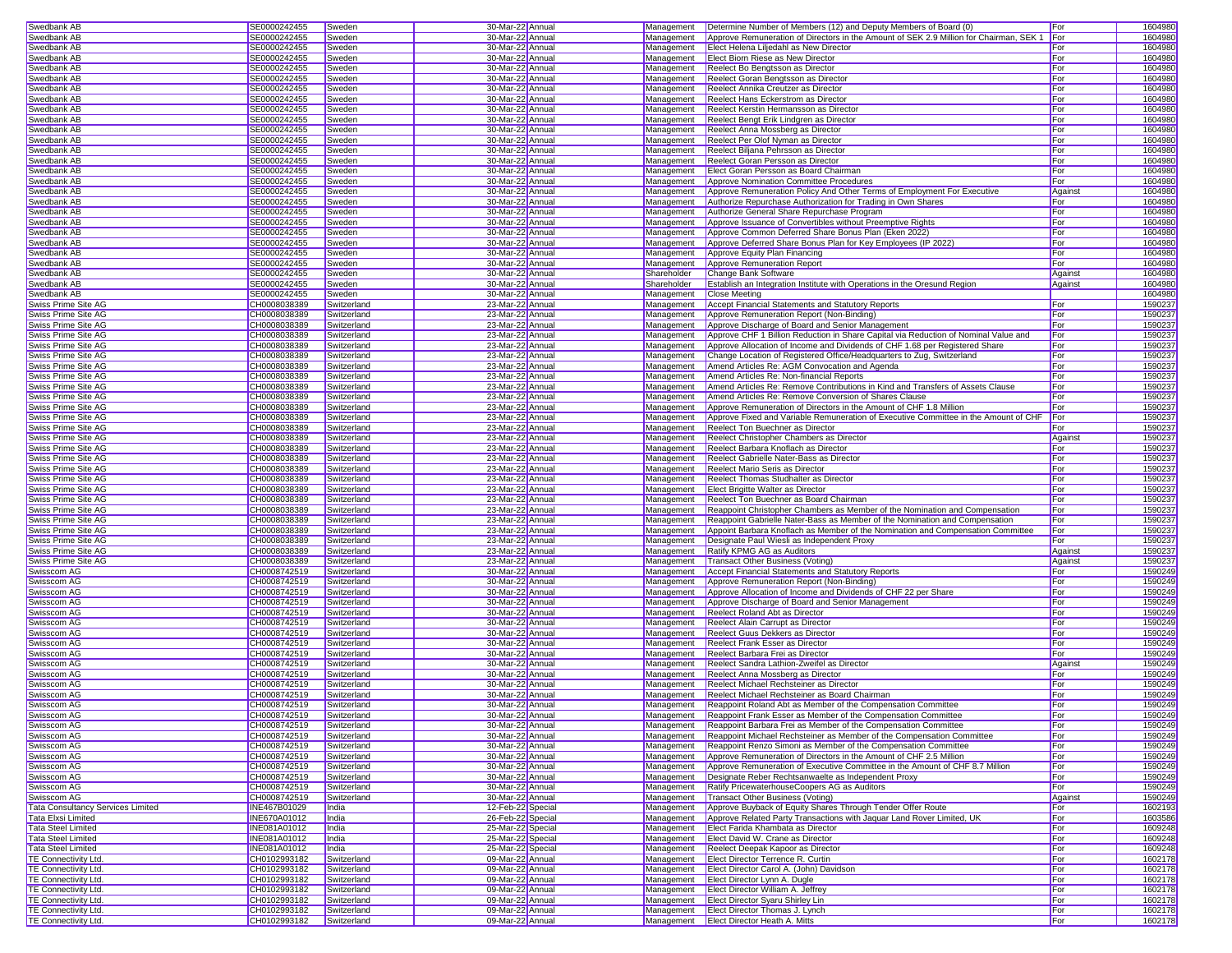| Swedbank AB                                                | SE0000242455                 | Sweden                     | 30-Mar-22 Annual                     | Management  | Determine Number of Members (12) and Deputy Members of Board (0                        | For        | 1604980            |
|------------------------------------------------------------|------------------------------|----------------------------|--------------------------------------|-------------|----------------------------------------------------------------------------------------|------------|--------------------|
| <b>Swedbank AB</b>                                         | SE0000242455                 | Sweden                     | 30-Mar-22 Annual                     | Management  | Approve Remuneration of Directors in the Amount of SEK 2.9 Million for Chairman, SEK 1 | For        | 1604980            |
|                                                            |                              |                            |                                      |             |                                                                                        |            |                    |
| Swedbank AB                                                | SE0000242455                 | Sweden                     | 30-Mar-22 Annual                     | Management  | Elect Helena Liljedahl as New Director                                                 | For        | 1604980            |
| Swedbank AB                                                | SE0000242455                 | Sweden                     | 30-Mar-22 Annual                     | Management  | Elect Biorn Riese as New Director                                                      | For        | 1604980            |
| Swedbank AB                                                | SE0000242455                 | Sweden                     | 30-Mar-22 Annual                     | Management  | Reelect Bo Bengtsson as Director                                                       | For        | 1604980            |
| Swedbank AB                                                | SE0000242455                 | Sweden                     | 30-Mar-22 Annual                     | Management  | Reelect Goran Bengtsson as Director                                                    | For        | 1604980            |
| Swedbank AB                                                | SE0000242455                 | Sweden                     | 30-Mar-22 Annual                     | Management  | Reelect Annika Creutzer as Director                                                    | For        | 1604980            |
| Swedbank AB                                                | SE0000242455                 | Sweden                     | 30-Mar-22 Annual                     | Management  | <b>Reelect Hans Eckerstrom as Director</b>                                             | For        | 1604980            |
| Swedbank AB                                                | SE0000242455                 | Sweden                     | 30-Mar-22 Annual                     | Management  | Reelect Kerstin Hermansson as Director                                                 | For        | 1604980            |
|                                                            |                              |                            |                                      |             |                                                                                        |            |                    |
| Swedbank AB                                                | SE0000242455                 | Sweden                     | 30-Mar-22 Annual                     | Management  | Reelect Bengt Erik Lindgren as Director                                                | For        | 1604980            |
| Swedbank AB                                                | SE0000242455                 | Sweden                     | 30-Mar-22 Annual                     | Management  | Reelect Anna Mossberg as Director                                                      | For        | 1604980            |
| Swedbank AB                                                | SE0000242455                 | Sweden                     | 30-Mar-22 Annual                     | Management  | Reelect Per Olof Nyman as Director                                                     | For        | 1604980            |
| Swedbank AB                                                | SE0000242455                 | Sweden                     | 30-Mar-22 Annual                     | Management  | Reelect Biljana Pehrsson as Director                                                   | For        | 1604980            |
| Swedbank AB                                                | SE0000242455                 | Sweden                     | 30-Mar-22 Annual                     | Management  | Reelect Goran Persson as Director                                                      | For        | 1604980            |
| Swedbank AB                                                | SE0000242455                 | Sweden                     | 30-Mar-22 Annual                     | Management  | Elect Goran Persson as Board Chairman                                                  | For        | 1604980            |
|                                                            |                              |                            | 30-Mar-22 Annual                     |             | Approve Nomination Committee Procedures                                                |            | 1604980            |
| Swedbank AB                                                | SE0000242455                 | Sweden                     |                                      | Management  |                                                                                        | For        |                    |
| Swedbank AB                                                | SE0000242455                 | Sweden                     | 30-Mar-22 Annual                     | Management  | Approve Remuneration Policy And Other Terms of Employment For Executive                | Against    | 1604980            |
| Swedbank AB                                                | SE0000242455                 | Sweden                     | 30-Mar-22 Annual                     | Management  | Authorize Repurchase Authorization for Trading in Own Shares                           | For        | 1604980            |
| Swedbank AB                                                | SE0000242455                 | Sweden                     | 30-Mar-22 Annual                     | Management  | Authorize General Share Repurchase Program                                             | For        | 1604980            |
| Swedbank AB                                                | SE0000242455                 | Sweden                     | 30-Mar-22 Annual                     | Management  | Approve Issuance of Convertibles without Preemptive Rights                             | For        | 1604980            |
| Swedbank AB                                                | SE0000242455                 | Sweden                     | 30-Mar-22 Annual                     | Management  | Approve Common Deferred Share Bonus Plan (Eken 2022)                                   | For        | 1604980            |
|                                                            |                              |                            |                                      | Management  |                                                                                        |            | 1604980            |
| Swedbank AB                                                | SE0000242455                 | Sweden                     | 30-Mar-22 Annual                     |             | Approve Deferred Share Bonus Plan for Key Employees (IP 2022)                          | For        |                    |
| Swedbank AB                                                | SE0000242455                 | Sweden                     | 30-Mar-22 Annual                     | Management  | Approve Equity Plan Financing                                                          | For        | 1604980            |
| Swedbank AB                                                | SE0000242455                 | Sweden                     | 30-Mar-22 Annual                     | Management  | Approve Remuneration Report                                                            | For        | 1604980            |
| Swedbank AB                                                | SE0000242455                 | Sweden                     | 30-Mar-22 Annual                     | Shareholder | Change Bank Software                                                                   | Against    | 1604980            |
| Swedbank AB                                                | SE0000242455                 | Sweden                     | 30-Mar-22 Annual                     | Shareholder | <b>Establish an Integration Institute with Operations in the Oresund Region</b>        | Against    | 1604980            |
| Swedbank AB                                                | SE0000242455                 | Sweden                     | 30-Mar-22 Annual                     | Management  | <b>Close Meeting</b>                                                                   |            | 1604980            |
| Swiss Prime Site AG                                        | CH0008038389                 |                            |                                      |             |                                                                                        | For        | 1590237            |
|                                                            |                              | Switzerland                | 23-Mar-22 Annual                     | Management  | Accept Financial Statements and Statutory Reports                                      |            |                    |
| Swiss Prime Site AG                                        | CH0008038389                 | Switzerland                | 23-Mar-22 Annual                     | Management  | Approve Remuneration Report (Non-Binding)                                              | For        | 1590237            |
| Swiss Prime Site AG                                        | CH0008038389                 | Switzerland                | 23-Mar-22 Annual                     | Management  | Approve Discharge of Board and Senior Management                                       | For        | 1590237            |
| Swiss Prime Site AG                                        | CH0008038389                 | Switzerland                | 23-Mar-22 Annual                     | Management  | Approve CHF 1 Billion Reduction in Share Capital via Reduction of Nominal Value and    | For        | 1590237            |
| Swiss Prime Site AG                                        | CH0008038389                 | Switzerland                | 23-Mar-22 Annual                     | Management  | Approve Allocation of Income and Dividends of CHF 1.68 per Registered Share            | For        | 1590237            |
| Swiss Prime Site AG                                        | CH0008038389                 | Switzerland                | 23-Mar-22 Annual                     | Management  | Change Location of Registered Office/Headquarters to Zug, Switzerland                  | For        | 1590237            |
| Swiss Prime Site AG                                        | CH0008038389                 | Switzerland                | 23-Mar-22 Annual                     | Management  | Amend Articles Re: AGM Convocation and Agenda                                          | For        | 1590237            |
|                                                            |                              |                            |                                      |             |                                                                                        |            |                    |
| Swiss Prime Site AG                                        | CH0008038389                 | Switzerland                | 23-Mar-22 Annual                     | Management  | Amend Articles Re: Non-financial Reports                                               | For        | 1590237            |
| Swiss Prime Site AG                                        | CH0008038389                 | Switzerland                | 23-Mar-22 Annual                     | Management  | Amend Articles Re: Remove Contributions in Kind and Transfers of Assets Clause         | For        | 1590237            |
| Swiss Prime Site AG                                        | CH0008038389                 | Switzerland                | 23-Mar-22 Annual                     | Management  | Amend Articles Re: Remove Conversion of Shares Clause                                  | For        | 1590237            |
| Swiss Prime Site AG                                        | CH0008038389                 | Switzerland                | 23-Mar-22 Annual                     | Management  | Approve Remuneration of Directors in the Amount of CHF 1.8 Million                     | For        | 1590237            |
| Swiss Prime Site AG                                        | CH0008038389                 | Switzerland                | 23-Mar-22 Annual                     | Management  | Approve Fixed and Variable Remuneration of Executive Committee in the Amount of CHF    | For        | 1590237            |
| Swiss Prime Site AG                                        | CH0008038389                 | Switzerland                | 23-Mar-22 Annual                     | Management  | Reelect Ton Buechner as Director                                                       | For        | 1590237            |
|                                                            |                              |                            |                                      |             |                                                                                        |            |                    |
| Swiss Prime Site AG                                        | CH0008038389                 | Switzerland                | 23-Mar-22 Annual                     | Management  | Reelect Christopher Chambers as Director                                               | Against    | 1590237            |
| Swiss Prime Site AG                                        | CH0008038389                 | Switzerland                | 23-Mar-22 Annual                     | Management  | Reelect Barbara Knoflach as Director                                                   | For        | 1590237            |
| Swiss Prime Site AG                                        | CH0008038389                 | Switzerland                | 23-Mar-22 Annual                     | Management  | Reelect Gabrielle Nater-Bass as Director                                               | For        | 1590237            |
| Swiss Prime Site AG                                        | CH0008038389                 | Switzerland                | 23-Mar-22 Annual                     | Management  | <b>Reelect Mario Seris as Director</b>                                                 | For        | 1590237            |
| Swiss Prime Site AG                                        | CH0008038389                 | Switzerland                | 23-Mar-22 Annual                     | Management  | Reelect Thomas Studhalter as Director                                                  | For        | 1590237            |
| Swiss Prime Site AG                                        | CH0008038389                 | Switzerland                | 23-Mar-22 Annual                     | Management  | Elect Brigitte Walter as Director                                                      | For        | 1590237            |
| Swiss Prime Site AG                                        | CH0008038389                 | Switzerland                | 23-Mar-22 Annual                     | Management  | Reelect Ton Buechner as Board Chairman                                                 | For        | 1590237            |
|                                                            |                              |                            |                                      |             |                                                                                        |            |                    |
| Swiss Prime Site AG                                        | CH0008038389                 | Switzerland                | 23-Mar-22 Annual                     | Management  | Reappoint Christopher Chambers as Member of the Nomination and Compensation            | For        | 1590237            |
| Swiss Prime Site AG                                        | CH0008038389                 | Switzerland                | 23-Mar-22 Annual                     | Management  | Reappoint Gabrielle Nater-Bass as Member of the Nomination and Compensation            | For        | 1590237            |
| Swiss Prime Site AG                                        | CH0008038389                 | Switzerland                | 23-Mar-22 Annual                     | Management  | Appoint Barbara Knoflach as Member of the Nomination and Compensation Committee        | For        | 1590237            |
|                                                            |                              | Switzerland                | 23-Mar-22 Annual                     | Management  | Designate Paul Wiesli as Independent Proxy                                             | For        | 1590237            |
|                                                            |                              |                            |                                      |             |                                                                                        |            | 1590237            |
| Swiss Prime Site AG                                        | CH0008038389                 |                            |                                      |             |                                                                                        |            |                    |
| Swiss Prime Site AG                                        | CH0008038389                 | Switzerland                | 23-Mar-22 Annual                     | Management  | Ratify KPMG AG as Auditors                                                             | Against    |                    |
| Swiss Prime Site AG                                        | CH0008038389                 | Switzerland                | 23-Mar-22 Annual                     | Management  | Transact Other Business (Voting)                                                       | Against    | 1590237            |
| Swisscom AG                                                | CH0008742519                 | Switzerland                | 30-Mar-22 Annual                     | Management  | Accept Financial Statements and Statutory Reports                                      | For        | 1590249            |
| Swisscom AG                                                | CH0008742519                 | Switzerland                | 30-Mar-22 Annual                     | Management  | Approve Remuneration Report (Non-Binding)                                              | For        | 1590249            |
| Swisscom AG                                                | CH0008742519                 | Switzerland                | 30-Mar-22 Annual                     | Management  | Approve Allocation of Income and Dividends of CHF 22 per Share                         | For        | 1590249            |
| Swisscom AG                                                | CH0008742519                 | Switzerland                | 30-Mar-22 Annual                     | Management  | Approve Discharge of Board and Senior Management                                       | For        | 1590249            |
|                                                            |                              |                            |                                      |             |                                                                                        |            |                    |
| Swisscom AG                                                | CH0008742519                 | Switzerland                | 30-Mar-22 Annual                     | Management  | Reelect Roland Abt as Director                                                         | For        | 1590249            |
| Swisscom AG                                                | CH0008742519                 | Switzerland                | 30-Mar-22 Annual                     | Management  | Reelect Alain Carrupt as Director                                                      | For        | 1590249            |
| Swisscom AG                                                | CH0008742519                 | Switzerland                | 30-Mar-22 Annual                     | Management  | Reelect Guus Dekkers as Director                                                       | For        | 1590249            |
| Swisscom AG                                                | CH0008742519                 | Switzerland                | 30-Mar-22 Annual                     | Management  | <b>Reelect Frank Esser as Director</b>                                                 | For        | 1590249            |
| <b>Swisscom AG</b>                                         | CH0008742519                 | Switzerland                | 30-Mar-22 Annual                     | Management  | Reelect Barbara Frei as Director                                                       | For        | 1590249            |
| Swisscom AG                                                | CH0008742519                 | Switzerland                | 30-Mar-22 Annual                     | Management  | Reelect Sandra Lathion-Zweifel as Director                                             | Against    | 1590249            |
| Swisscom AG                                                | CH0008742519                 | Switzerland                |                                      | Management  |                                                                                        | For        |                    |
|                                                            |                              |                            | 30-Mar-22 Annual                     |             | Reelect Anna Mossberg as Director                                                      |            | 1590249            |
| Swisscom AG                                                | CH0008742519                 | Switzerland                | 30-Mar-22 Annual                     | Management  | Reelect Michael Rechsteiner as Director                                                | For        | 1590249            |
| Swisscom AG                                                | CH0008742519                 | Switzerland                | 30-Mar-22 Annual                     | Management  | Reelect Michael Rechsteiner as Board Chairman                                          | For        | 1590249            |
| Swisscom AG                                                | CH0008742519                 | Switzerland                | 30-Mar-22 Annual                     | Management  | Reappoint Roland Abt as Member of the Compensation Committee                           | For        | 1590249            |
| Swisscom AG                                                | CH0008742519                 | Switzerland                | 30-Mar-22 Annual                     | Management  | Reappoint Frank Esser as Member of the Compensation Committee                          | For        | 1590249            |
| Swisscom AG                                                | CH0008742519                 | Switzerland                | 30-Mar-22 Annual                     | Management  | Reappoint Barbara Frei as Member of the Compensation Committee                         | For        | 1590249            |
| Swisscom AG                                                | CH0008742519                 | Switzerland                | 30-Mar-22 Annual                     | Management  | Reappoint Michael Rechsteiner as Member of the Compensation Committee                  | For        | 1590249            |
|                                                            |                              |                            |                                      |             |                                                                                        |            |                    |
| Swisscom AG                                                | CH0008742519                 | Switzerland                | 30-Mar-22 Annual                     | Management  | Reappoint Renzo Simoni as Member of the Compensation Committee                         | For        | 1590249            |
| Swisscom AG                                                | CH0008742519                 | Switzerland                | 30-Mar-22 Annual                     | Management  | Approve Remuneration of Directors in the Amount of CHF 2.5 Million                     | For        | 1590249            |
| Swisscom AG                                                | CH0008742519                 | Switzerland                | 30-Mar-22 Annual                     | Management  | Approve Remuneration of Executive Committee in the Amount of CHF 8.7 Million           | For        | 1590249            |
| Swisscom AG                                                | CH0008742519                 | Switzerland                | 30-Mar-22 Annual                     | Management  | Designate Reber Rechtsanwaelte as Independent Proxy                                    | For        | 1590249            |
| Swisscom AG                                                | CH0008742519                 | Switzerland                | 30-Mar-22 Annual                     | Management  | Ratify PricewaterhouseCoopers AG as Auditors                                           | For        | 1590249            |
| Swisscom AG                                                | CH0008742519                 | Switzerland                | 30-Mar-22 Annual                     | Management  | Transact Other Business (Voting)                                                       | Against    | 1590249            |
|                                                            |                              | India                      |                                      | Management  | Approve Buyback of Equity Shares Through Tender Offer Route                            |            |                    |
| <b>Tata Consultancy Services Limited</b>                   | INE467B01029                 |                            | 12-Feb-22 Special                    |             |                                                                                        | For        | 1602193            |
| Tata Elxsi Limited                                         | <b>INE670A01012</b>          | India                      | 26-Feb-22 Special                    | Management  | Approve Related Party Transactions with Jaquar Land Rover Limited, UK                  | For        | 1603586            |
| <b>Tata Steel Limited</b>                                  | INE081A01012                 | India                      | 25-Mar-22 Special                    | Management  | Elect Farida Khambata as Director                                                      | For        | 1609248            |
| <b>Tata Steel Limited</b>                                  | <b>INE081A01012</b>          | India                      | 25-Mar-22 Special                    | Management  | Elect David W. Crane as Director                                                       | For        | 1609248            |
| <b>Tata Steel Limited</b>                                  | INE081A01012                 | India                      | 25-Mar-22 Special                    | Management  | Reelect Deepak Kapoor as Director                                                      | For        | 1609248            |
| TE Connectivity Ltd.                                       | CH0102993182                 | Switzerland                | 09-Mar-22 Annual                     | Management  | <b>Elect Director Terrence R. Curtin</b>                                               | For        | 1602178            |
| <b>TE Connectivity Ltd.</b>                                |                              | Switzerland                |                                      | Management  | Elect Director Carol A. (John) Davidson                                                | For        |                    |
|                                                            | CH0102993182                 |                            | 09-Mar-22 Annual                     |             |                                                                                        |            | 1602178            |
| TE Connectivity Ltd.                                       | CH0102993182                 | Switzerland                | 09-Mar-22 Annual                     | Management  | Elect Director Lynn A. Dugle                                                           | For        | 1602178            |
| <b>TE Connectivity Ltd.</b>                                | CH0102993182                 | Switzerland                | 09-Mar-22 Annual                     | Management  | Elect Director William A. Jeffrey                                                      | For        | 1602178            |
| <b>TE Connectivity Ltd.</b>                                | CH0102993182                 | Switzerland                | 09-Mar-22 Annual                     | Management  | <b>Elect Director Svaru Shirley Lin</b>                                                | For        | 1602178            |
| <b>TE Connectivity Ltd.</b><br><b>TE Connectivity Ltd.</b> | CH0102993182<br>CH0102993182 | Switzerland<br>Switzerland | 09-Mar-22 Annual<br>09-Mar-22 Annual | Management  | Elect Director Thomas J. Lynch<br>Management   Elect Director Heath A. Mitts           | For<br>For | 1602178<br>1602178 |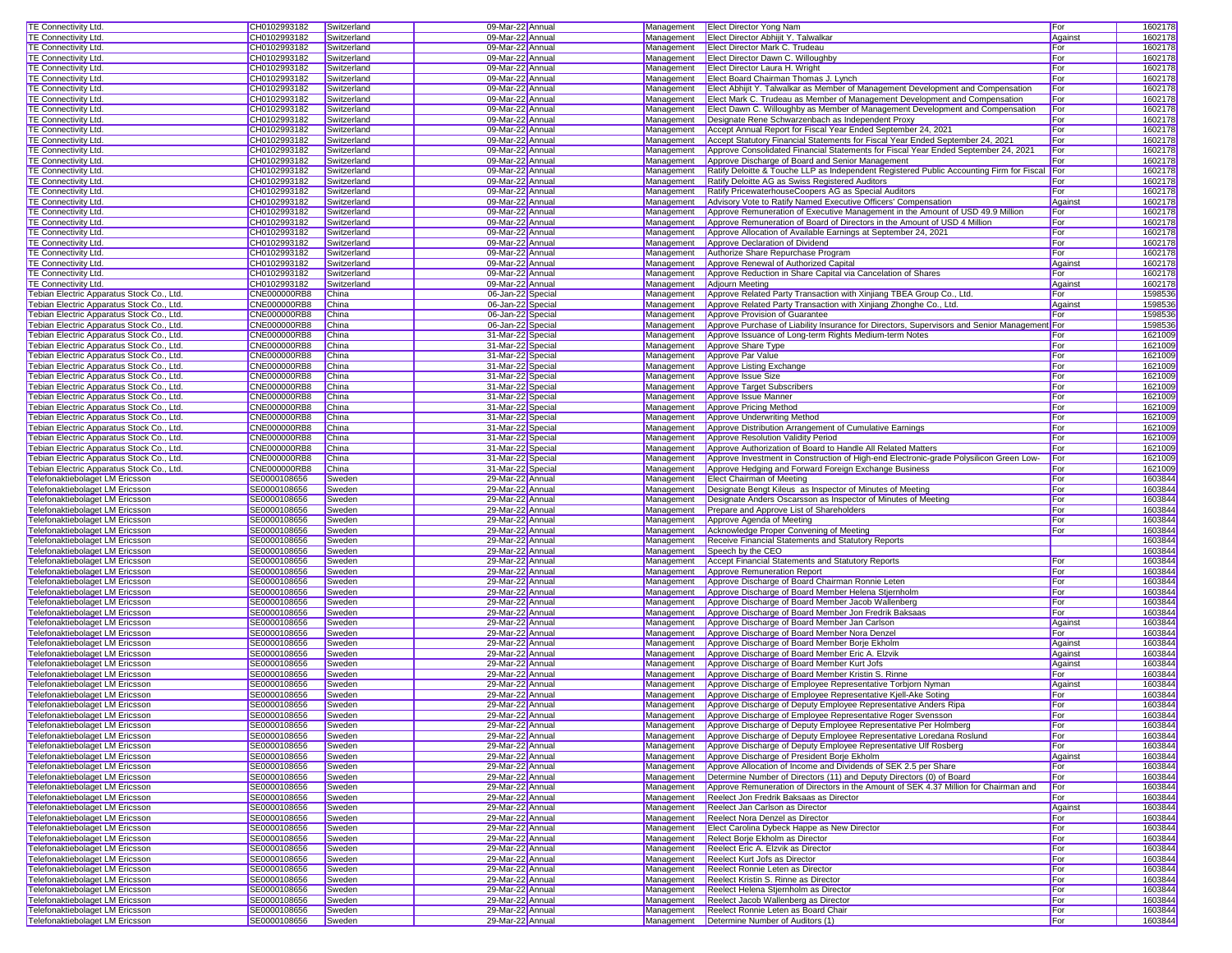| <b>TE Connectivity Ltd.</b>                                        | CH0102993182        | Switzerland | 09-Mar-22 Annual  |            | Management Elect Director Yong Nam                                                           | For     | 1602178 |
|--------------------------------------------------------------------|---------------------|-------------|-------------------|------------|----------------------------------------------------------------------------------------------|---------|---------|
| <b>TE Connectivity Ltd.</b>                                        | CH0102993182        | Switzerland | 09-Mar-22 Annual  | Management | Elect Director Abhijit Y. Talwalkar                                                          | Against | 1602178 |
| TE Connectivity Ltd.                                               | CH0102993182        | Switzerland | 09-Mar-22 Annual  | Management | Elect Director Mark C. Trudeau                                                               | For     | 1602178 |
|                                                                    |                     |             |                   |            |                                                                                              |         |         |
| TE Connectivity Ltd.                                               | CH0102993182        | Switzerland | 09-Mar-22 Annual  |            | Management Elect Director Dawn C. Willoughby                                                 | For     | 1602178 |
| <b>TE Connectivity Ltd.</b>                                        | CH0102993182        | Switzerland | 09-Mar-22 Annual  |            | Management Elect Director Laura H. Wright                                                    | For     | 1602178 |
| <b>TE Connectivity Ltd.</b>                                        | CH0102993182        | Switzerland | 09-Mar-22 Annual  | Management | Elect Board Chairman Thomas J. Lynch                                                         | For     | 1602178 |
| <b>TE Connectivity Ltd.</b>                                        | CH0102993182        | Switzerland | 09-Mar-22 Annual  | Management | Elect Abhijit Y. Talwalkar as Member of Management Development and Compensation              | For     | 1602178 |
| TE Connectivity Ltd.                                               | CH0102993182        | Switzerland | 09-Mar-22 Annual  | Management | Elect Mark C. Trudeau as Member of Management Development and Compensation                   | For     | 1602178 |
| TE Connectivity Ltd.                                               | CH0102993182        | Switzerland | 09-Mar-22 Annual  | Management | Elect Dawn C. Willoughby as Member of Management Development and Compensation                | For     | 1602178 |
| TE Connectivity Ltd.                                               | CH0102993182        | Switzerland | 09-Mar-22 Annual  | Management | Designate Rene Schwarzenbach as Independent Proxy                                            | For     | 1602178 |
| <b>TE Connectivity Ltd.</b>                                        | CH0102993182        | Switzerland | 09-Mar-22 Annual  | Management | Accept Annual Report for Fiscal Year Ended September 24, 2021                                | For     | 1602178 |
| <b>TE Connectivity Ltd.</b>                                        | CH0102993182        | Switzerland | 09-Mar-22 Annual  | Management | Accept Statutory Financial Statements for Fiscal Year Ended September 24, 2021               | For     | 1602178 |
| TE Connectivity Ltd.                                               | CH0102993182        | Switzerland | 09-Mar-22 Annual  | Management | Approve Consolidated Financial Statements for Fiscal Year Ended September 24, 2021           | For     | 1602178 |
|                                                                    |                     |             |                   |            |                                                                                              |         |         |
| TE Connectivity Ltd.                                               | CH0102993182        | Switzerland | 09-Mar-22 Annual  | Management | Approve Discharge of Board and Senior Management                                             | For     | 1602178 |
| TE Connectivity Ltd.                                               | CH0102993182        | Switzerland | 09-Mar-22 Annual  | Management | Ratify Deloitte & Touche LLP as Independent Registered Public Accounting Firm for Fiscal For |         | 1602178 |
| <b>TE Connectivity Ltd.</b>                                        | CH0102993182        | Switzerland | 09-Mar-22 Annual  | Management | Ratify Deloitte AG as Swiss Registered Auditors                                              | For     | 1602178 |
| <b>TE Connectivity Ltd.</b>                                        | CH0102993182        | Switzerland | 09-Mar-22 Annual  | Management | Ratify PricewaterhouseCoopers AG as Special Auditors                                         | For     | 1602178 |
| TE Connectivity Ltd.                                               | CH0102993182        | Switzerland | 09-Mar-22 Annual  | Management | Advisory Vote to Ratify Named Executive Officers' Compensation                               | Against | 1602178 |
| TE Connectivity Ltd.                                               | CH0102993182        | Switzerland | 09-Mar-22 Annual  | Management | Approve Remuneration of Executive Management in the Amount of USD 49.9 Million               | For     | 1602178 |
| <b>TE Connectivity Ltd.</b>                                        | CH0102993182        | Switzerland | 09-Mar-22 Annual  | Management | Approve Remuneration of Board of Directors in the Amount of USD 4 Million                    | For     | 1602178 |
| <b>TE Connectivity Ltd.</b>                                        | CH0102993182        | Switzerland | 09-Mar-22 Annual  | Management | Approve Allocation of Available Earnings at September 24, 2021                               | For     | 1602178 |
| <b>TE Connectivity Ltd.</b>                                        | CH0102993182        | Switzerland | 09-Mar-22 Annual  | Management | Approve Declaration of Dividend                                                              | For     | 1602178 |
| TE Connectivity Ltd.                                               | CH0102993182        | Switzerland | 09-Mar-22 Annual  | Management | Authorize Share Repurchase Program                                                           | For     | 1602178 |
| TE Connectivity Ltd.                                               | CH0102993182        |             | 09-Mar-22 Annual  | Management | Approve Renewal of Authorized Capital                                                        |         | 1602178 |
|                                                                    |                     | Switzerland |                   |            |                                                                                              | Against |         |
| TE Connectivity Ltd.                                               | CH0102993182        | Switzerland | 09-Mar-22 Annual  | Management | Approve Reduction in Share Capital via Cancelation of Shares                                 | For     | 1602178 |
| TE Connectivity Ltd.                                               | CH0102993182        | Switzerland | 09-Mar-22 Annual  | Management | Adjourn Meeting                                                                              | Against | 1602178 |
| Tebian Electric Apparatus Stock Co., Ltd.                          | CNE000000RB8        | China       | 06-Jan-22 Special | Management | Approve Related Party Transaction with Xinjiang TBEA Group Co., Ltd.                         | For     | 1598536 |
| Tebian Electric Apparatus Stock Co., Ltd.                          | CNE000000RB8        | China       | 06-Jan-22 Special | Management | Approve Related Party Transaction with Xinjiang Zhonghe Co., Ltd.                            | Against | 1598536 |
| Tebian Electric Apparatus Stock Co., Ltd.                          | CNE000000RB8        | China       | 06-Jan-22 Special | Management | Approve Provision of Guarantee                                                               | For     | 1598536 |
| Tebian Electric Apparatus Stock Co., Ltd.                          | <b>CNE000000RB8</b> | China       | 06-Jan-22 Special | Management | Approve Purchase of Liability Insurance for Directors, Supervisors and Senior Management     |         | 1598536 |
| Tebian Electric Apparatus Stock Co., Ltd.                          | <b>CNE000000RB8</b> | China       | 31-Mar-22 Special | Management | Approve Issuance of Long-term Rights Medium-term Notes                                       | For     | 1621009 |
| Tebian Electric Apparatus Stock Co., Ltd.                          | CNE000000RB8        | China       | 31-Mar-22 Special | Management | Approve Share Type                                                                           | For     | 1621009 |
| Febian Electric Apparatus Stock Co., Ltd.                          | <b>CNE000000RB8</b> | China       | 31-Mar-22 Special | Management | Approve Par Value                                                                            | For     | 1621009 |
| Tebian Electric Apparatus Stock Co., Ltd.                          | CNE000000RB8        | China       | 31-Mar-22 Special | Management | Approve Listing Exchange                                                                     | For     | 1621009 |
|                                                                    |                     | China       | 31-Mar-22 Special | Management |                                                                                              | For     | 1621009 |
| Tebian Electric Apparatus Stock Co., Ltd.                          | CNE000000RB8        |             |                   |            | Approve Issue Size                                                                           |         |         |
| Tebian Electric Apparatus Stock Co., Ltd.                          | <b>CNE000000RB8</b> | China       | 31-Mar-22 Special | Management | Approve Target Subscribers                                                                   | For     | 1621009 |
| Tebian Electric Apparatus Stock Co., Ltd.                          | CNE000000RB8        | China       | 31-Mar-22 Special | Management | Approve Issue Manner                                                                         | For     | 1621009 |
| Febian Electric Apparatus Stock Co., Ltd.                          | <b>CNE000000RB8</b> | China       | 31-Mar-22 Special | Management | Approve Pricing Method                                                                       | For     | 1621009 |
| Tebian Electric Apparatus Stock Co., Ltd.                          | <b>CNE000000RB8</b> | China       | 31-Mar-22 Special | Management | Approve Underwriting Method                                                                  | For     | 1621009 |
| Tebian Electric Apparatus Stock Co., Ltd.                          | <b>CNE000000RB8</b> | China       | 31-Mar-22 Special | Management | Approve Distribution Arrangement of Cumulative Earnings                                      | For     | 1621009 |
| Tebian Electric Apparatus Stock Co., Ltd.                          | <b>CNE000000RB8</b> | China       | 31-Mar-22 Special | Management | Approve Resolution Validity Period                                                           | For     | 1621009 |
| Febian Electric Apparatus Stock Co., Ltd.                          | CNE000000RB8        | China       | 31-Mar-22 Special | Management | Approve Authorization of Board to Handle All Related Matters                                 | For     | 1621009 |
| Febian Electric Apparatus Stock Co., Ltd.                          | <b>CNE000000RB8</b> | China       | 31-Mar-22 Special | Management | Approve Investment in Construction of High-end Electronic-grade Polysilicon Green Low-       | For     | 1621009 |
| Tebian Electric Apparatus Stock Co., Ltd.                          | CNE000000RB8        | China       | 31-Mar-22 Special | Management | Approve Hedging and Forward Foreign Exchange Business                                        | For     | 1621009 |
|                                                                    |                     |             |                   |            |                                                                                              | For     | 1603844 |
| Telefonaktiebolaget LM Ericsson                                    | SE0000108656        | Sweden      | 29-Mar-22 Annual  | Management | <b>Elect Chairman of Meeting</b>                                                             |         |         |
| <b>Telefonaktiebolaget LM Ericsson</b>                             | SE0000108656        | Sweden      | 29-Mar-22 Annual  | Management | Designate Bengt Kileus as Inspector of Minutes of Meeting                                    | For     | 1603844 |
| Telefonaktiebolaget LM Ericsson                                    | SE0000108656        | Sweden      | 29-Mar-22 Annual  | Management | Designate Anders Oscarsson as Inspector of Minutes of Meeting                                | For     | 1603844 |
| Telefonaktiebolaget LM Ericsson                                    | SE0000108656        | Sweden      | 29-Mar-22 Annual  | Management | Prepare and Approve List of Shareholders                                                     | For     | 1603844 |
| Telefonaktiebolaget LM Ericsson                                    | SE0000108656        | Sweden      | 29-Mar-22 Annual  | Management | Approve Agenda of Meeting                                                                    | For     | 1603844 |
| Telefonaktiebolaget LM Ericsson                                    | SE0000108656        | Sweden      | 29-Mar-22 Annual  | Management | Acknowledge Proper Convening of Meeting                                                      | For     | 1603844 |
| Telefonaktiebolaget LM Ericsson                                    | SE0000108656        | Sweden      | 29-Mar-22 Annual  | Management | Receive Financial Statements and Statutory Reports                                           |         | 1603844 |
| Felefonaktiebolaget LM Ericsson                                    | SE0000108656        | Sweden      | 29-Mar-22 Annual  | Management | Speech by the CEO                                                                            |         | 1603844 |
| Felefonaktiebolaget LM Ericsson                                    | SE0000108656        | Sweden      | 29-Mar-22 Annual  | Management | <b>Accept Financial Statements and Statutory Reports</b>                                     | For     | 1603844 |
| Telefonaktiebolaget LM Ericsson                                    | SE0000108656        | Sweden      | 29-Mar-22 Annual  | Management | Approve Remuneration Report                                                                  | For     | 1603844 |
| Telefonaktiebolaget LM Ericsson                                    | SE0000108656        | Sweden      | 29-Mar-22 Annual  | Management | Approve Discharge of Board Chairman Ronnie Leten                                             | For     | 1603844 |
|                                                                    |                     |             |                   |            |                                                                                              |         |         |
| <b>Telefonaktiebolaget LM Ericsson</b>                             | SE0000108656        | Sweden      | 29-Mar-22 Annual  | Management | Approve Discharge of Board Member Helena Stjernholm                                          | For     | 1603844 |
| Telefonaktiebolaget LM Ericsson                                    | SE0000108656        | Sweden      | 29-Mar-22 Annual  | Management | Approve Discharge of Board Member Jacob Wallenberg                                           | For     | 1603844 |
| Telefonaktiebolaget LM Ericsson                                    | SE0000108656        | Sweden      | 29-Mar-22 Annual  | Management | Approve Discharge of Board Member Jon Fredrik Baksaas                                        | For     | 1603844 |
| Telefonaktiebolaget LM Ericsson                                    | SE0000108656        | Sweden      | 29-Mar-22 Annual  | Management | Approve Discharge of Board Member Jan Carlson                                                | Against | 1603844 |
| Telefonaktiebolaget LM Ericsson                                    | SE0000108656        | Sweden      | 29-Mar-22 Annual  | Management | Approve Discharge of Board Member Nora Denzel                                                | For     | 1603844 |
| Telefonaktiebolaget LM Ericsson                                    | SE0000108656        | Sweden      | 29-Mar-22 Annual  | Management | Approve Discharge of Board Member Borje Ekholm                                               | Against | 1603844 |
| Telefonaktiebolaget LM Ericsson                                    | SE0000108656        | Sweden      | 29-Mar-22 Annual  | Management | Approve Discharge of Board Member Eric A. Elzvik                                             | Against | 1603844 |
| Felefonaktiebolaget LM Ericsson                                    | SE0000108656        | Sweden      | 29-Mar-22 Annual  | Management | Approve Discharge of Board Member Kurt Jofs                                                  | Against | 1603844 |
| Telefonaktiebolaget LM Ericsson                                    | SE0000108656        | Sweden      | 29-Mar-22 Annual  | Management | Approve Discharge of Board Member Kristin S. Rinne                                           | For     | 1603844 |
| Telefonaktiebolaget LM Ericsson                                    | SE0000108656        | Sweden      | 29-Mar-22 Annual  | Management | Approve Discharge of Employee Representative Torbjorn Nyman                                  | Against | 1603844 |
| Telefonaktiebolaget LM Ericsson                                    | SE0000108656        | Sweden      | 29-Mar-22 Annual  | Management | Approve Discharge of Employee Representative Kjell-Ake Soting                                | For     | 1603844 |
| Telefonaktiebolaget LM Ericsson                                    | SE0000108656        | Sweden      | 29-Mar-22 Annual  |            | Management Approve Discharge of Deputy Employee Representative Anders Ripa                   | For     | 1603844 |
| Telefonaktiebolaget LM Ericsson                                    | SE0000108656        | Sweden      |                   |            |                                                                                              | For     | 1603844 |
|                                                                    |                     |             | 29-Mar-22 Annual  |            | Management Approve Discharge of Employee Representative Roger Svensson                       |         |         |
| Telefonaktiebolaget LM Ericsson                                    | SE0000108656        | Sweden      | 29-Mar-22 Annual  | Management | Approve Discharge of Deputy Employee Representative Per Holmberg                             | For     | 1603844 |
| Telefonaktiebolaget LM Ericsson                                    | SE0000108656        | Sweden      | 29-Mar-22 Annual  | Management | Approve Discharge of Deputy Employee Representative Loredana Roslund                         | For     | 1603844 |
| Telefonaktiebolaget LM Ericsson                                    | SE0000108656        | Sweden      | 29-Mar-22 Annual  | Management | Approve Discharge of Deputy Employee Representative Ulf Rosberg                              | For     | 1603844 |
| Telefonaktiebolaget LM Ericsson                                    | SE0000108656        | Sweden      | 29-Mar-22 Annual  | Management | Approve Discharge of President Borje Ekholm                                                  | Against | 1603844 |
| Telefonaktiebolaget LM Ericsson                                    | SE0000108656        | Sweden      | 29-Mar-22 Annual  | Management | Approve Allocation of Income and Dividends of SEK 2.5 per Share                              | For     | 1603844 |
| Telefonaktiebolaget LM Ericsson                                    | SE0000108656        | Sweden      | 29-Mar-22 Annual  | Management | Determine Number of Directors (11) and Deputy Directors (0) of Board                         | For     | 1603844 |
| Telefonaktiebolaget LM Ericsson                                    | SE0000108656        | Sweden      | 29-Mar-22 Annual  | Management | Approve Remuneration of Directors in the Amount of SEK 4.37 Million for Chairman and         | For     | 1603844 |
| Telefonaktiebolaget LM Ericsson                                    | SE0000108656        | Sweden      | 29-Mar-22 Annual  | Management | Reelect Jon Fredrik Baksaas as Director                                                      | For     | 1603844 |
| Telefonaktiebolaget LM Ericsson                                    | SE0000108656        | Sweden      | 29-Mar-22 Annual  | Management | Reelect Jan Carlson as Director                                                              | Against | 1603844 |
| Telefonaktiebolaget LM Ericsson                                    | SE0000108656        | Sweden      | 29-Mar-22 Annual  | Management | Reelect Nora Denzel as Director                                                              | For     | 1603844 |
| Telefonaktiebolaget LM Ericsson                                    | SE0000108656        | Sweden      | 29-Mar-22 Annual  | Management | Elect Carolina Dybeck Happe as New Director                                                  | For     | 1603844 |
|                                                                    |                     |             |                   |            |                                                                                              |         |         |
| Telefonaktiebolaget LM Ericsson<br>Telefonaktiebolaget LM Ericsson | SE0000108656        | Sweden      | 29-Mar-22 Annual  | Management | Relect Borje Ekholm as Director                                                              | For     | 1603844 |
|                                                                    | SE0000108656        | Sweden      | 29-Mar-22 Annual  | Management | Reelect Eric A. Elzvik as Director                                                           | For     | 1603844 |
| Telefonaktiebolaget LM Ericsson                                    | SE0000108656        | Sweden      | 29-Mar-22 Annual  | Management | Reelect Kurt Jofs as Director                                                                | For     | 1603844 |
| Telefonaktiebolaget LM Ericsson                                    | SE0000108656        | Sweden      | 29-Mar-22 Annual  | Management | Reelect Ronnie Leten as Director                                                             | For     | 1603844 |
| Telefonaktiebolaget LM Ericsson                                    | SE0000108656        | Sweden      | 29-Mar-22 Annual  | Management | Reelect Kristin S. Rinne as Director                                                         | For     | 1603844 |
| Telefonaktiebolaget LM Ericsson                                    | SE0000108656        | Sweden      | 29-Mar-22 Annual  | Management | Reelect Helena Stjernholm as Director                                                        | For     | 1603844 |
| Telefonaktiebolaget LM Ericsson                                    | SE0000108656        | Sweden      | 29-Mar-22 Annual  | Management | Reelect Jacob Wallenberg as Director                                                         | For     | 1603844 |
| Telefonaktiebolaget LM Ericsson                                    | SE0000108656        | Sweden      | 29-Mar-22 Annual  | Management | Reelect Ronnie Leten as Board Chair                                                          | For     | 1603844 |
| Telefonaktiebolaget LM Ericsson                                    | SE0000108656        | Sweden      | 29-Mar-22 Annual  |            | Management   Determine Number of Auditors (1)                                                | For     | 1603844 |
|                                                                    |                     |             |                   |            |                                                                                              |         |         |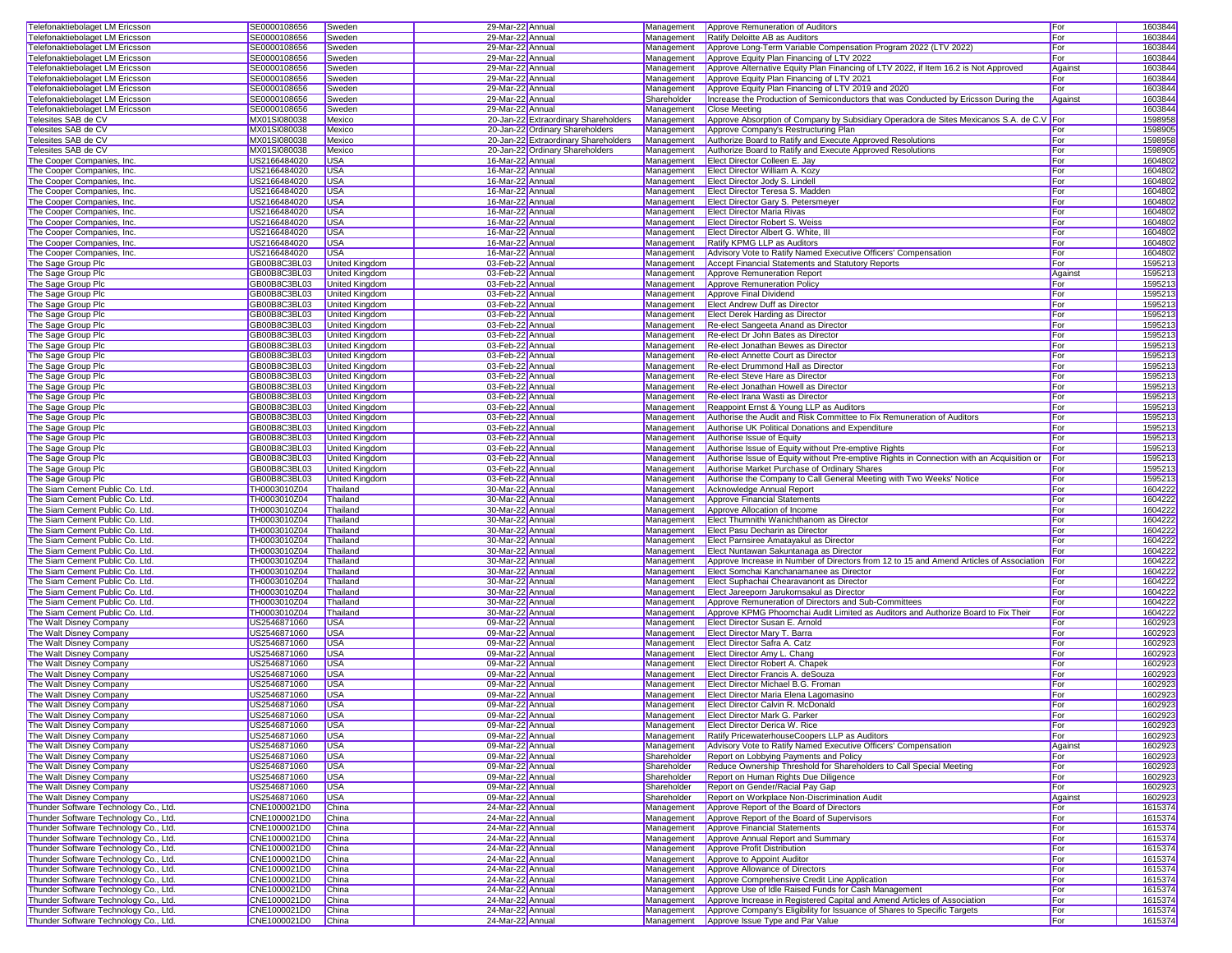| Telefonaktiebolaget LM Ericsson                                                | SE0000108656                       | Sweden                | 29-Mar-22 Annua                      |                                      | Management  | <b>Approve Remuneration of Auditors</b>                                                                                   | For        | 1603844            |  |
|--------------------------------------------------------------------------------|------------------------------------|-----------------------|--------------------------------------|--------------------------------------|-------------|---------------------------------------------------------------------------------------------------------------------------|------------|--------------------|--|
| Telefonaktiebolaget LM Ericsson                                                | SE0000108656                       | Sweden                | 29-Mar-22 Annual                     |                                      | Management  | Ratify Deloitte AB as Auditors                                                                                            | For        | 1603844            |  |
|                                                                                |                                    |                       |                                      |                                      |             |                                                                                                                           |            |                    |  |
| Telefonaktiebolaget LM Ericsson                                                | SE0000108656                       | Sweden                | 29-Mar-22 Annual                     |                                      | Management  | Approve Long-Term Variable Compensation Program 2022 (LTV 2022)                                                           | For        | 1603844            |  |
| Telefonaktiebolaget LM Ericsson                                                | SE0000108656                       | Sweden                | 29-Mar-22 Annual                     |                                      | Management  | Approve Equity Plan Financing of LTV 2022                                                                                 | For        | 1603844            |  |
| Telefonaktiebolaget LM Ericsson                                                | SE0000108656                       | Sweden                | 29-Mar-22 Annual                     |                                      | Management  | Approve Alternative Equity Plan Financing of LTV 2022, if Item 16.2 is Not Approved                                       | Against    | 1603844            |  |
| Telefonaktiebolaget LM Ericsson                                                | SE0000108656                       | Sweden                | 29-Mar-22 Annual                     |                                      | Management  | Approve Equity Plan Financing of LTV 2021                                                                                 | For        | 1603844            |  |
| Telefonaktiebolaget LM Ericsson                                                | SE0000108656                       | Sweden                | 29-Mar-22 Annual                     |                                      | Management  | Approve Equity Plan Financing of LTV 2019 and 2020                                                                        | For        | 1603844            |  |
|                                                                                |                                    |                       |                                      |                                      |             | Increase the Production of Semiconductors that was Conducted by Ericsson During the                                       |            |                    |  |
| Telefonaktiebolaget LM Ericsson                                                | SE0000108656                       | Sweden                | 29-Mar-22 Annual                     |                                      | Shareholder |                                                                                                                           | Against    | 1603844            |  |
| Telefonaktiebolaget LM Ericsson                                                | SE0000108656                       | Sweden                | 29-Mar-22 Annual                     |                                      | Management  | <b>Close Meeting</b>                                                                                                      |            | 1603844            |  |
| Telesites SAB de CV                                                            | MX01SI080038                       | Mexico                |                                      | 20-Jan-22 Extraordinary Shareholders | Management  | Approve Absorption of Company by Subsidiary Operadora de Sites Mexicanos S.A. de C.V For                                  |            | 1598958            |  |
| Telesites SAB de CV                                                            | MX01SI080038                       | Mexico                |                                      | 20-Jan-22 Ordinary Shareholders      | Management  | Approve Company's Restructuring Plan                                                                                      | For        | 1598905            |  |
| Telesites SAB de CV                                                            | MX01SI080038                       | Mexico                |                                      | 20-Jan-22 Extraordinary Shareholders | Management  | Authorize Board to Ratify and Execute Approved Resolutions                                                                | For        | 1598958            |  |
| Telesites SAB de CV                                                            | MX01SI080038                       | Mexico                |                                      | 20-Jan-22 Ordinary Shareholders      | Management  | Authorize Board to Ratify and Execute Approved Resolutions                                                                | For        | 1598905            |  |
|                                                                                | US2166484020                       | <b>USA</b>            | 16-Mar-22 Annual                     |                                      |             | Elect Director Colleen E. Jay                                                                                             | For        | 1604802            |  |
| The Cooper Companies, Inc.                                                     |                                    |                       |                                      |                                      | Management  |                                                                                                                           |            |                    |  |
| The Cooper Companies, Inc.                                                     | US2166484020                       | <b>USA</b>            | 16-Mar-22 Annual                     |                                      | Management  | Elect Director William A. Kozy                                                                                            | For        | 1604802            |  |
| The Cooper Companies, Inc.                                                     | US2166484020                       | <b>USA</b>            | 16-Mar-22 Annual                     |                                      | Management  | Elect Director Jody S. Lindell                                                                                            | For        | 1604802            |  |
| The Cooper Companies, Inc.                                                     | US2166484020                       | <b>USA</b>            | 16-Mar-22 Annual                     |                                      | Management  | Elect Director Teresa S. Madden                                                                                           | For        | 1604802            |  |
| The Cooper Companies, Inc.                                                     | US2166484020                       | <b>USA</b>            | 16-Mar-22 Annual                     |                                      | Management  | Elect Director Gary S. Petersmeyer                                                                                        | For        | 1604802            |  |
| The Cooper Companies, Inc.                                                     | US2166484020                       | <b>USA</b>            | 16-Mar-22 Annual                     |                                      | Management  | <b>Elect Director Maria Rivas</b>                                                                                         | For        | 1604802            |  |
| The Cooper Companies, Inc.                                                     | US2166484020                       | <b>USA</b>            | 16-Mar-22 Annual                     |                                      | Management  | <b>Elect Director Robert S. Weiss</b>                                                                                     | For        | 1604802            |  |
|                                                                                |                                    |                       | 16-Mar-22 Annua                      |                                      |             |                                                                                                                           |            |                    |  |
| The Cooper Companies, Inc.                                                     | US2166484020                       | <b>USA</b>            |                                      |                                      | Management  | Elect Director Albert G. White, III                                                                                       | For        | 1604802            |  |
| The Cooper Companies, Inc.                                                     | US2166484020                       | <b>USA</b>            | 16-Mar-22 Annual                     |                                      | Management  | Ratify KPMG LLP as Auditors                                                                                               | For        | 1604802            |  |
| The Cooper Companies, Inc.                                                     | US2166484020                       | <b>USA</b>            | 16-Mar-22 Annual                     |                                      | Management  | Advisory Vote to Ratify Named Executive Officers' Compensation                                                            | For        | 1604802            |  |
| The Sage Group Plc                                                             | GB00B8C3BL03                       | United Kingdom        | 03-Feb-22 Annual                     |                                      | Management  | Accept Financial Statements and Statutory Reports                                                                         | For        | 1595213            |  |
| The Sage Group Plc                                                             | GB00B8C3BL03                       | United Kingdom        | 03-Feb-22 Annual                     |                                      | Management  | Approve Remuneration Report                                                                                               | Against    | 1595213            |  |
| The Sage Group Plc                                                             | GB00B8C3BL03                       | United Kingdom        | 03-Feb-22 Annual                     |                                      | Management  | Approve Remuneration Policy                                                                                               | For        | 1595213            |  |
| The Sage Group Plc                                                             | GB00B8C3BL03                       | United Kingdom        | 03-Feb-22 Annual                     |                                      | Management  | Approve Final Dividend                                                                                                    | For        | 1595213            |  |
|                                                                                |                                    | United Kingdom        | 03-Feb-22 Annual                     |                                      | Management  | <b>Elect Andrew Duff as Director</b>                                                                                      | For        | 1595213            |  |
| The Sage Group Plc                                                             | GB00B8C3BL03                       |                       |                                      |                                      |             |                                                                                                                           |            |                    |  |
| The Sage Group Plc                                                             | GB00B8C3BL03                       | United Kingdom        | 03-Feb-22 Annual                     |                                      | Management  | <b>Elect Derek Harding as Director</b>                                                                                    | For        | 1595213            |  |
| The Sage Group Plc                                                             | GB00B8C3BL03                       | United Kingdom        | 03-Feb-22 Annua                      |                                      | Management  | Re-elect Sangeeta Anand as Director                                                                                       | For        | 1595213            |  |
| The Sage Group Plc                                                             | GB00B8C3BL03                       | United Kingdom        | 03-Feb-22 Annua                      |                                      | Management  | Re-elect Dr John Bates as Director                                                                                        | For        | 1595213            |  |
| The Sage Group Plc                                                             | GB00B8C3BL03                       | United Kingdom        | 03-Feb-22 Annual                     |                                      | Management  | Re-elect Jonathan Bewes as Director                                                                                       | For        | 1595213            |  |
| The Sage Group Plc                                                             | GB00B8C3BL03                       | <b>United Kingdom</b> | 03-Feb-22 Annual                     |                                      | Management  | Re-elect Annette Court as Director                                                                                        | For        | 1595213            |  |
| The Sage Group Plc                                                             | GB00B8C3BL03                       | United Kingdom        | 03-Feb-22 Annual                     |                                      | Management  | Re-elect Drummond Hall as Director                                                                                        | For        | 1595213            |  |
|                                                                                |                                    |                       |                                      |                                      |             |                                                                                                                           |            |                    |  |
| The Sage Group Plc                                                             | GB00B8C3BL03                       | United Kingdom        | 03-Feb-22 Annual                     |                                      | Management  | Re-elect Steve Hare as Director                                                                                           | For        | 1595213            |  |
| The Sage Group Plc                                                             | GB00B8C3BL03                       | United Kingdom        | 03-Feb-22 Annual                     |                                      | Management  | Re-elect Jonathan Howell as Director                                                                                      | For        | 1595213            |  |
| The Sage Group Plc                                                             | GB00B8C3BL03                       | <b>United Kingdom</b> | 03-Feb-22 Annual                     |                                      | Management  | Re-elect Irana Wasti as Director                                                                                          | For        | 1595213            |  |
| The Sage Group Plc                                                             | GB00B8C3BL03                       | United Kingdom        | 03-Feb-22 Annual                     |                                      | Management  | Reappoint Ernst & Young LLP as Auditors                                                                                   | For        | 1595213            |  |
| The Sage Group Plc                                                             | GB00B8C3BL03                       | United Kingdom        | 03-Feb-22 Annual                     |                                      | Management  | Authorise the Audit and Risk Committee to Fix Remuneration of Auditors                                                    | For        | 1595213            |  |
| The Sage Group Plc                                                             | GB00B8C3BL03                       | United Kingdom        | 03-Feb-22 Annua                      |                                      | Management  | Authorise UK Political Donations and Expenditure                                                                          | For        | 1595213            |  |
| The Sage Group Plc                                                             | GB00B8C3BL03                       | United Kingdom        | 03-Feb-22 Annua                      |                                      | Management  | Authorise Issue of Equity                                                                                                 | For        | 1595213            |  |
|                                                                                |                                    |                       |                                      |                                      |             |                                                                                                                           |            |                    |  |
| The Sage Group Plc                                                             | GB00B8C3BL03                       | United Kingdom        | 03-Feb-22 Annual                     |                                      | Management  | Authorise Issue of Equity without Pre-emptive Rights                                                                      | For        | 1595213            |  |
| The Sage Group Plc                                                             | GB00B8C3BL03                       | United Kingdom        | 03-Feb-22 Annual                     |                                      | Management  | Authorise Issue of Equity without Pre-emptive Rights in Connection with an Acquisition or                                 | For        | 1595213            |  |
| The Sage Group Plc                                                             | GB00B8C3BL03                       | United Kingdom        | 03-Feb-22 Annual                     |                                      | Management  | Authorise Market Purchase of Ordinary Shares                                                                              | For        | 1595213            |  |
| The Sage Group Plc                                                             | GB00B8C3BL03                       | United Kingdom        | 03-Feb-22 Annual                     |                                      | Management  | Authorise the Company to Call General Meeting with Two Weeks' Notice                                                      | For        | 1595213            |  |
| The Siam Cement Public Co. Ltd.                                                | TH0003010Z04                       | Thailand              | 30-Mar-22 Annual                     |                                      | Management  | Acknowledge Annual Report                                                                                                 | For        | 1604222            |  |
| The Siam Cement Public Co. Ltd.                                                | TH0003010Z04                       | Thailand              | 30-Mar-22 Annual                     |                                      | Management  | Approve Financial Statements                                                                                              | For        | 1604222            |  |
| The Siam Cement Public Co. Ltd.                                                | TH0003010Z04                       | Thailand              | 30-Mar-22 Annual                     |                                      | Management  | Approve Allocation of Income                                                                                              | For        | 1604222            |  |
|                                                                                |                                    |                       |                                      |                                      |             |                                                                                                                           |            |                    |  |
| The Siam Cement Public Co. Ltd.                                                | TH0003010Z04                       | Thailand              | 30-Mar-22 Annual                     |                                      | Management  | Elect Thumnithi Wanichthanom as Director                                                                                  | For        | 1604222            |  |
| The Siam Cement Public Co. Ltd.                                                | TH0003010Z04                       | Thailand              | 30-Mar-22 Annua                      |                                      | Management  | Elect Pasu Decharin as Director                                                                                           | For        | 1604222            |  |
| The Siam Cement Public Co. Ltd.                                                | TH0003010Z04                       | Thailand              | 30-Mar-22 Annua                      |                                      | Management  | Elect Parnsiree Amatayakul as Director                                                                                    | For        | 1604222            |  |
| The Siam Cement Public Co. Ltd.                                                | TH0003010Z04                       | Thailand              | 30-Mar-22 Annual                     |                                      | Management  | Elect Nuntawan Sakuntanaga as Director                                                                                    | For        | 1604222            |  |
| The Siam Cement Public Co. Ltd.                                                | TH0003010Z04                       | Thailand              | 30-Mar-22 Annual                     |                                      | Management  | Approve Increase in Number of Directors from 12 to 15 and Amend Articles of Association For                               |            | 1604222            |  |
| The Siam Cement Public Co. Ltd.                                                | TH0003010Z04                       | Thailand              | 30-Mar-22 Annual                     |                                      | Management  | Elect Somchai Kanchanamanee as Director                                                                                   | For        | 1604222            |  |
|                                                                                | TH0003010Z04                       | Thailand              | 30-Mar-22 Annual                     |                                      |             | Elect Suphachai Chearavanont as Director                                                                                  | For        | 1604222            |  |
| The Siam Cement Public Co. Ltd.                                                | TH0003010Z04                       | Thailand              | 30-Mar-22 Annual                     |                                      | Management  | Elect Jareeporn Jarukornsakul as Director                                                                                 |            |                    |  |
| The Siam Cement Public Co. Ltd.                                                |                                    |                       |                                      |                                      | Management  |                                                                                                                           | For        | 1604222            |  |
| The Siam Cement Public Co. Ltd.                                                | TH0003010Z04                       | Thailand              | 30-Mar-22 Annual                     |                                      | Management  | Approve Remuneration of Directors and Sub-Committees                                                                      | For        | 1604222            |  |
| The Siam Cement Public Co. Ltd.                                                | TH0003010Z04                       | Thailand              | 30-Mar-22 Annual                     |                                      | Management  | Approve KPMG Phoomchai Audit Limited as Auditors and Authorize Board to Fix Their                                         | For        | 1604222            |  |
| The Walt Disney Company                                                        | US2546871060                       | <b>USA</b>            | 09-Mar-22 Annual                     |                                      | Management  | Elect Director Susan E. Arnold                                                                                            | For        | 1602923            |  |
| The Walt Disney Company                                                        | US2546871060                       | <b>USA</b>            | 09-Mar-22 Annua                      |                                      | Management  | Elect Director Mary T. Barra                                                                                              | For        | 1602923            |  |
| The Walt Disney Company                                                        | US2546871060                       | <b>USA</b>            | 09-Mar-22 Annua                      |                                      | Management  | Elect Director Safra A. Catz                                                                                              | For        | 1602923            |  |
| The Walt Disney Company                                                        | US2546871060                       | <b>USA</b>            | 09-Mar-22 Annual                     |                                      | Management  | <b>Elect Director Amy L. Chang</b>                                                                                        | For        | 1602923            |  |
|                                                                                |                                    |                       |                                      |                                      |             |                                                                                                                           |            |                    |  |
| The Walt Disney Company                                                        | US2546871060                       | <b>USA</b>            | 09-Mar-22 Annual                     |                                      |             | Management <b>Elect Director Robert A. Chapek</b>                                                                         | For        | 1602923            |  |
| The Walt Disney Company                                                        | US2546871060                       | <b>USA</b>            | 09-Mar-22 Annual                     |                                      | Management  | Elect Director Francis A. deSouza                                                                                         | For        | 1602923            |  |
| The Walt Disney Company                                                        | US2546871060                       | <b>USA</b>            | 09-Mar-22 Annual                     |                                      |             | Management Elect Director Michael B.G. Froman                                                                             | For        | 1602923            |  |
| The Walt Disney Company                                                        | US2546871060                       | <b>USA</b>            | 09-Mar-22 Annual                     |                                      |             | Management Elect Director Maria Elena Lagomasino                                                                          | For        | 1602923            |  |
| The Walt Disney Company                                                        | US2546871060                       | <b>USA</b>            | 09-Mar-22 Annual                     |                                      |             | Management Elect Director Calvin R. McDonald                                                                              | For        | 1602923            |  |
| The Walt Disney Company                                                        | US2546871060                       | <b>USA</b>            | 09-Mar-22 Annual                     |                                      |             | Management <b>Elect Director Mark G. Parker</b>                                                                           | <b>For</b> | 1602923            |  |
| The Walt Disney Company                                                        | US2546871060                       | <b>USA</b>            | 09-Mar-22 Annual                     |                                      |             | Management Elect Director Derica W. Rice                                                                                  | For        | 1602923            |  |
| The Walt Disney Company                                                        | US2546871060                       | <b>USA</b>            | 09-Mar-22 Annual                     |                                      | Management  | Ratify PricewaterhouseCoopers LLP as Auditors                                                                             | For        | 1602923            |  |
| The Walt Disney Company                                                        | US2546871060                       | <b>USA</b>            | 09-Mar-22 Annual                     |                                      | Management  | Advisory Vote to Ratify Named Executive Officers' Compensation                                                            | Against    |                    |  |
|                                                                                |                                    |                       | 09-Mar-22 Annual                     |                                      |             |                                                                                                                           |            | 1602923            |  |
| The Walt Disney Company                                                        | US2546871060                       | <b>USA</b>            |                                      |                                      | Shareholder | Report on Lobbying Payments and Policy                                                                                    | For        | 1602923            |  |
| The Walt Disney Company                                                        | US2546871060                       | <b>USA</b>            | 09-Mar-22 Annual                     |                                      | Shareholder | Reduce Ownership Threshold for Shareholders to Call Special Meeting                                                       | For        | 1602923            |  |
| The Walt Disney Company                                                        | US2546871060                       | <b>USA</b>            | 09-Mar-22 Annual                     |                                      | Shareholder | Report on Human Rights Due Diligence                                                                                      | For        | 1602923            |  |
| The Walt Disney Company                                                        | US2546871060                       | <b>USA</b>            | 09-Mar-22 Annual                     |                                      | Shareholder | Report on Gender/Racial Pay Gap                                                                                           | For        | 1602923            |  |
| The Walt Disney Company                                                        | US2546871060                       | <b>USA</b>            | 09-Mar-22 Annual                     |                                      | Shareholder | Report on Workplace Non-Discrimination Audit                                                                              | Against    | 1602923            |  |
| Thunder Software Technology Co., Ltd.                                          | CNE1000021D0                       | China                 | 24-Mar-22 Annual                     |                                      | Management  | Approve Report of the Board of Directors                                                                                  | For        | 1615374            |  |
| Thunder Software Technology Co., Ltd.                                          | CNE1000021D0                       | China                 | 24-Mar-22 Annual                     |                                      | Management  | Approve Report of the Board of Supervisors                                                                                | For        | 1615374            |  |
|                                                                                |                                    |                       |                                      |                                      |             |                                                                                                                           |            |                    |  |
| Thunder Software Technology Co., Ltd.                                          | CNE1000021D0                       | China                 | 24-Mar-22 Annual                     |                                      | Management  | Approve Financial Statements                                                                                              | For        | 1615374            |  |
| Thunder Software Technology Co., Ltd.                                          | CNE1000021D0                       | China                 | 24-Mar-22 Annual                     |                                      | Management  | Approve Annual Report and Summary                                                                                         | For        | 1615374            |  |
| Thunder Software Technology Co., Ltd.                                          | CNE1000021D0                       | <b>China</b>          | 24-Mar-22 Annual                     |                                      | Management  | Approve Profit Distribution                                                                                               | For        | 1615374            |  |
| Thunder Software Technology Co., Ltd.                                          | CNE1000021D0                       | China                 | 24-Mar-22 Annual                     |                                      | Management  | Approve to Appoint Auditor                                                                                                | For        | 1615374            |  |
| Thunder Software Technology Co., Ltd.                                          | CNE1000021D0                       | China                 | 24-Mar-22 Annual                     |                                      | Management  | Approve Allowance of Directors                                                                                            | For        | 1615374            |  |
| Thunder Software Technology Co., Ltd.                                          | CNE1000021D0                       | China                 | 24-Mar-22 Annual                     |                                      | Management  | Approve Comprehensive Credit Line Application                                                                             | For        | 1615374            |  |
| Thunder Software Technology Co., Ltd.                                          | CNE1000021D0                       | China                 | 24-Mar-22 Annual                     |                                      | Management  | Approve Use of Idle Raised Funds for Cash Management                                                                      | For        | 1615374            |  |
| Thunder Software Technology Co., Ltd.                                          |                                    | <b>China</b>          | 24-Mar-22 Annual                     |                                      | Management  | Approve Increase in Registered Capital and Amend Articles of Association                                                  | For        | 1615374            |  |
|                                                                                |                                    |                       |                                      |                                      |             |                                                                                                                           |            |                    |  |
|                                                                                | CNE1000021D0                       |                       |                                      |                                      |             |                                                                                                                           |            |                    |  |
| Thunder Software Technology Co., Ltd.<br>Thunder Software Technology Co., Ltd. | CNE1000021D0<br>CNE1000021D0 China | China                 | 24-Mar-22 Annual<br>24-Mar-22 Annual |                                      | Management  | Approve Company's Eligibility for Issuance of Shares to Specific Targets<br>Management   Approve Issue Type and Par Value | For<br>For | 1615374<br>1615374 |  |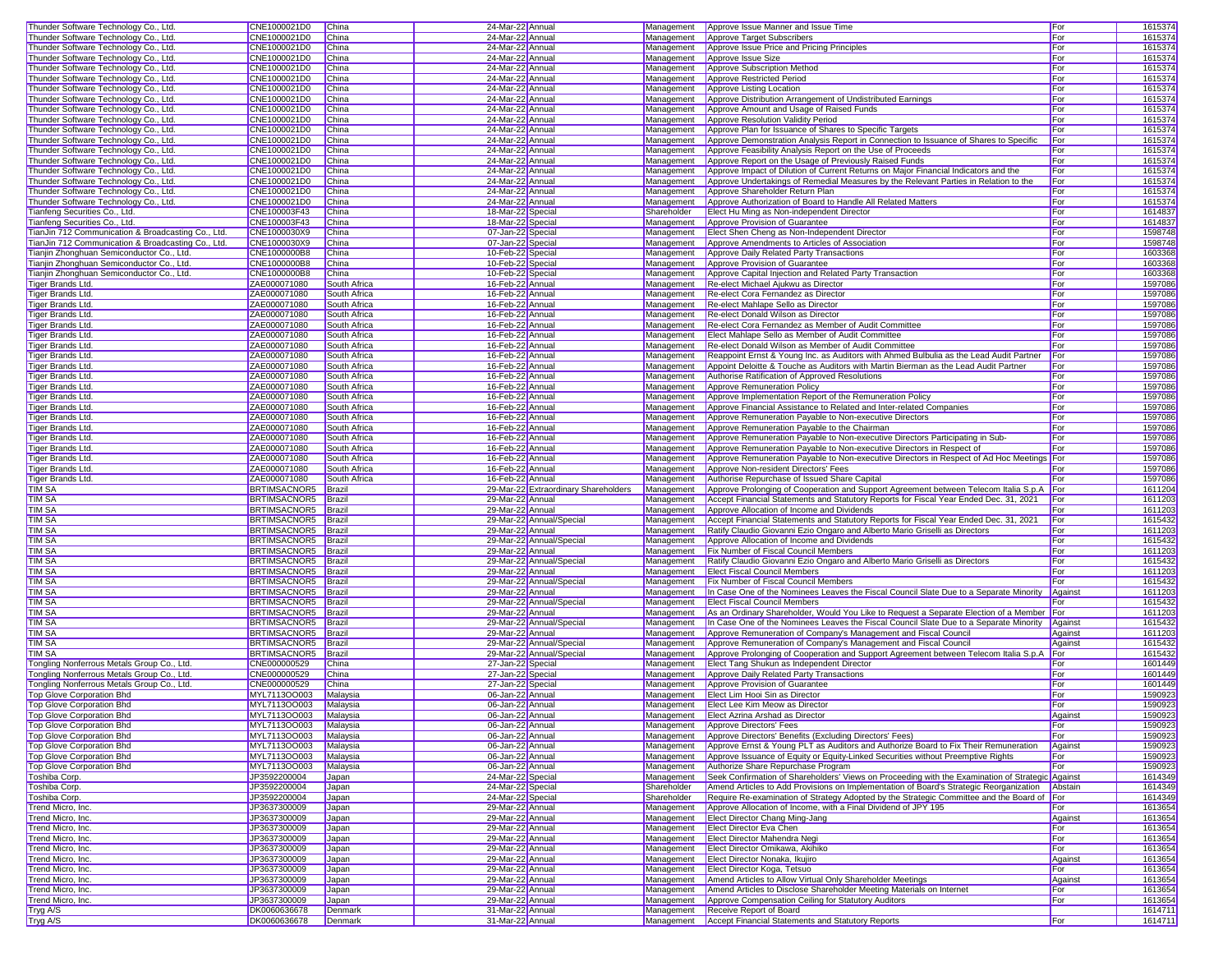| Thunder Software Technology Co., Ltd.              | CNE1000021D0                 | China              | 24-Mar-22 Annua                      |                                      | Management  | Approve Issue Manner and Issue Time                                                                     | For          | 1615374            |
|----------------------------------------------------|------------------------------|--------------------|--------------------------------------|--------------------------------------|-------------|---------------------------------------------------------------------------------------------------------|--------------|--------------------|
| Thunder Software Technology Co., Ltd.              | CNE1000021D0                 | China              | 24-Mar-22 Annua                      |                                      | Management  | Approve Target Subscribers                                                                              | For          | 1615374            |
| Thunder Software Technology Co., Ltd.              | CNE1000021D0                 | China              | 24-Mar-22 Annual                     |                                      | Management  | Approve Issue Price and Pricing Principles                                                              | For          | 1615374            |
| Thunder Software Technology Co., Ltd.              | CNE1000021D0                 | China              | 24-Mar-22 Annual                     |                                      | Management  | Approve Issue Size                                                                                      | For          | 1615374            |
| Thunder Software Technology Co., Ltd.              | CNE1000021D0                 | China              | 24-Mar-22 Annual                     |                                      | Management  | Approve Subscription Method                                                                             | For          | 1615374            |
| Thunder Software Technology Co., Ltd.              | CNE1000021D0                 | China              | 24-Mar-22 Annual                     |                                      | Management  | Approve Restricted Period                                                                               | For          | 1615374            |
| Thunder Software Technology Co., Ltd.              | CNE1000021D0                 | China              | 24-Mar-22 Annua                      |                                      | Management  | Approve Listing Location                                                                                | For          | 1615374            |
| Thunder Software Technology Co., Ltd.              | CNE1000021D0                 | China              | 24-Mar-22 Annual                     |                                      | Management  | Approve Distribution Arrangement of Undistributed Earnings                                              | For          | 1615374            |
| Thunder Software Technology Co., Ltd.              | CNE1000021D0                 | China              | 24-Mar-22 Annual                     |                                      | Management  | Approve Amount and Usage of Raised Funds                                                                | For          | 1615374            |
| Thunder Software Technology Co., Ltd.              | CNE1000021D0                 | China              | 24-Mar-22 Annual                     |                                      | Management  | Approve Resolution Validity Period                                                                      | For          | 1615374            |
| Thunder Software Technology Co., Ltd.              | CNE1000021D0                 | China              | 24-Mar-22 Annua                      |                                      | Management  | Approve Plan for Issuance of Shares to Specific Targets                                                 | For          | 1615374            |
| Thunder Software Technology Co., Ltd.              | CNE1000021D0                 | China              | 24-Mar-22 Annua                      |                                      | Management  | Approve Demonstration Analysis Report in Connection to Issuance of Shares to Specific                   | For          | 1615374            |
| Thunder Software Technology Co., Ltd.              | CNE1000021D0                 | China              | 24-Mar-22 Annual                     |                                      | Management  | Approve Feasibility Analysis Report on the Use of Proceeds                                              | For          | 1615374            |
| Thunder Software Technology Co., Ltd.              | CNE1000021D0                 | China              | 24-Mar-22 Annual                     |                                      | Management  | Approve Report on the Usage of Previously Raised Funds                                                  | For          | 1615374            |
| Thunder Software Technology Co., Ltd.              | CNE1000021D0                 | China              | 24-Mar-22 Annual                     |                                      | Management  | Approve Impact of Dilution of Current Returns on Major Financial Indicators and the                     | For          | 1615374            |
| Thunder Software Technology Co., Ltd.              | CNE1000021D0                 | China              | 24-Mar-22 Annual                     |                                      | Management  | Approve Undertakings of Remedial Measures by the Relevant Parties in Relation to the                    | For          | 1615374            |
| Thunder Software Technology Co., Ltd.              | CNE1000021D0                 | China              | 24-Mar-22 Annual                     |                                      | Management  | Approve Shareholder Return Plan                                                                         | For          | 1615374            |
| Thunder Software Technology Co., Ltd.              | CNE1000021D0                 | China              | 24-Mar-22 Annual                     |                                      | Management  | Approve Authorization of Board to Handle All Related Matters                                            | For          | 1615374            |
| Tianfeng Securities Co., Ltd.                      | CNE100003F43                 | China              | 18-Mar-22 Special                    |                                      | Shareholder | Elect Hu Ming as Non-independent Director                                                               | For          | 161483             |
| Tianfeng Securities Co., Ltd.                      | CNE100003F43                 | China              | 18-Mar-22 Special                    |                                      | Management  | Approve Provision of Guarantee                                                                          | For          | 1614837            |
| TianJin 712 Communication & Broadcasting Co., Ltd. | CNE1000030X9                 | China              | 07-Jan-22 Special                    |                                      | Management  | Elect Shen Cheng as Non-Independent Director                                                            | For          | 1598748            |
| TianJin 712 Communication & Broadcasting Co., Ltd. | CNE1000030X9                 | China              | 07-Jan-22 Special                    |                                      | Management  | Approve Amendments to Articles of Association                                                           | For          | 1598748            |
| Tianjin Zhonghuan Semiconductor Co., Ltd.          | CNE1000000B8                 | China              | 10-Feb-22 Special                    |                                      | Management  | Approve Daily Related Party Transactions                                                                | For          | 1603368            |
| Tianjin Zhonghuan Semiconductor Co., Ltd.          | CNE1000000B8                 | China              | 10-Feb-22 Special                    |                                      | Management  | Approve Provision of Guarantee                                                                          | For          | 1603368            |
| Tianjin Zhonghuan Semiconductor Co., Ltd.          | CNE1000000B8                 | China              | 10-Feb-22 Special                    |                                      | Management  | Approve Capital Injection and Related Party Transaction                                                 | For          | 1603368            |
| Tiger Brands Ltd.                                  | ZAE000071080                 | South Africa       | 16-Feb-22 Annual                     |                                      | Management  | Re-elect Michael Ajukwu as Director                                                                     | For          | 1597086            |
| <b>Tiger Brands Ltd</b>                            | ZAE000071080                 | South Africa       | 16-Feb-22 Annual                     |                                      | Management  | Re-elect Cora Fernandez as Director                                                                     | For          | 1597086            |
| Tiger Brands Ltd.                                  | ZAE000071080                 | South Africa       | 16-Feb-22 Annual                     |                                      | Management  | Re-elect Mahlape Sello as Director                                                                      | For          | 1597086            |
| <b>Tiger Brands Ltd</b>                            | ZAE000071080                 | South Africa       | 16-Feb-22 Annual                     |                                      | Management  | Re-elect Donald Wilson as Director                                                                      | <b>I</b> For | 1597086            |
| <b>Tiger Brands Ltd</b>                            | ZAE000071080                 | South Africa       | 16-Feb-22 Annual                     |                                      | Management  | Re-elect Cora Fernandez as Member of Audit Committee                                                    | For          | 1597086            |
| <b>Tiger Brands Ltd</b>                            | ZAE000071080                 | South Africa       | 16-Feb-22 Annua                      |                                      | Management  | Elect Mahlape Sello as Member of Audit Committee                                                        | For          | 1597086            |
| <b>Tiger Brands Ltd</b>                            | ZAE000071080                 | South Africa       | 16-Feb-22 Annua                      |                                      | Management  | Re-elect Donald Wilson as Member of Audit Committee                                                     | For          | 1597086            |
| Tiger Brands Ltd                                   | ZAE000071080                 | South Africa       | 16-Feb-22 Annual                     |                                      | Management  | Reappoint Ernst & Young Inc. as Auditors with Ahmed Bulbulia as the Lead Audit Partner                  | For          | 1597086            |
| Tiger Brands Ltd.                                  | ZAE000071080                 | South Africa       | 16-Feb-22 Annual                     |                                      | Management  | Appoint Deloitte & Touche as Auditors with Martin Bierman as the Lead Audit Partner                     | For          | 1597086            |
| Tiger Brands Ltd                                   | ZAE000071080                 | South Africa       | 16-Feb-22 Annual                     |                                      | Management  | Authorise Ratification of Approved Resolutions                                                          | For          | 1597086            |
| <b>Tiger Brands Ltd</b>                            | ZAE000071080                 | South Africa       | 16-Feb-22 Annual                     |                                      | Management  | Approve Remuneration Policy                                                                             | For          | 1597086            |
| <b>Tiger Brands Ltd</b>                            | ZAE000071080                 | South Africa       | 16-Feb-22 Annua                      |                                      | Management  | Approve Implementation Report of the Remuneration Policy                                                | For          | 1597086            |
| Tiger Brands Ltd                                   | ZAE000071080                 | South Africa       | 16-Feb-22 Annual                     |                                      | Management  | Approve Financial Assistance to Related and Inter-related Companies                                     | For          | 1597086            |
| <b>Tiger Brands Ltd</b>                            | ZAE000071080                 | South Africa       | 16-Feb-22 Annual                     |                                      | Management  |                                                                                                         | <b>For</b>   | 1597086            |
| <b>Tiger Brands Ltd</b>                            | ZAE000071080                 | South Africa       | 16-Feb-22 Annual                     |                                      | Management  | Approve Remuneration Payable to Non-executive Directors<br>Approve Remuneration Payable to the Chairman | For          | 1597086            |
| <b>Tiger Brands Ltd</b>                            | ZAE000071080                 | South Africa       | 16-Feb-22 Annua                      |                                      | Management  | Approve Remuneration Payable to Non-executive Directors Participating in Sub-                           | For          | 1597086            |
| <b>Tiger Brands Ltd</b>                            | ZAE000071080                 | South Africa       | 16-Feb-22 Annua                      |                                      | Management  | Approve Remuneration Payable to Non-executive Directors in Respect of                                   | For          | 1597086            |
| Tiger Brands Ltd.                                  | ZAE000071080                 | South Africa       |                                      |                                      | Management  |                                                                                                         |              | 1597086            |
|                                                    |                              |                    | 16-Feb-22 Annual                     |                                      |             | Approve Remuneration Payable to Non-executive Directors in Respect of Ad Hoc Meetings For               |              |                    |
|                                                    |                              |                    |                                      |                                      |             |                                                                                                         |              |                    |
| Tiger Brands Ltd.                                  | ZAE000071080                 | South Africa       | 16-Feb-22 Annual                     |                                      | Management  | Approve Non-resident Directors' Fees                                                                    | For          | 1597086            |
| Tiger Brands Ltd.                                  | ZAE000071080                 | South Africa       | 16-Feb-22 Annual                     |                                      | Management  | Authorise Repurchase of Issued Share Capital                                                            | For          | 1597086            |
| TIM SA                                             | BRTIMSACNOR5 Brazil          |                    |                                      | 29-Mar-22 Extraordinary Shareholders | Management  | Approve Prolonging of Cooperation and Support Agreement between Telecom Italia S.p.A For                |              | 1611204            |
| TIM SA                                             | BRTIMSACNOR5 Brazil          |                    | 29-Mar-22 Annual                     |                                      | Management  | Accept Financial Statements and Statutory Reports for Fiscal Year Ended Dec. 31, 2021                   | For          | 1611203            |
| TIM SA                                             | BRTIMSACNOR5                 | Brazil             | 29-Mar-22 Annual                     |                                      | Management  | Approve Allocation of Income and Dividends                                                              | For          | 1611203            |
| TIM SA                                             | BRTIMSACNOR5 Brazil          |                    |                                      | 29-Mar-22 Annual/Special             | Management  | Accept Financial Statements and Statutory Reports for Fiscal Year Ended Dec. 31, 2021                   | For          | 1615432            |
| <b>TIM SA</b>                                      | BRTIMSACNOR5 Brazil          |                    | 29-Mar-22 Annual                     |                                      | Management  | Ratify Claudio Giovanni Ezio Ongaro and Alberto Mario Griselli as Directors                             | For          | 1611203            |
| TIM SA                                             | BRTIMSACNOR5 Brazil          |                    |                                      | 29-Mar-22 Annual/Special             | Management  | Approve Allocation of Income and Dividends                                                              | For          | 1615432            |
| TIM SA                                             | BRTIMSACNOR5 Brazil          |                    | 29-Mar-22 Annua                      |                                      | Management  | Fix Number of Fiscal Council Members                                                                    | For          | 1611203            |
| TIM SA                                             | <b>BRTIMSACNOR5</b>          | Brazil             |                                      | 29-Mar-22 Annual/Special             | Management  | Ratify Claudio Giovanni Ezio Ongaro and Alberto Mario Griselli as Directors                             | For          | 1615432            |
| TIM SA                                             | <b>BRTIMSACNOR5</b>          | Brazil             | 29-Mar-22 Annual                     |                                      | Management  | <b>Elect Fiscal Council Members</b>                                                                     | For          | 1611203            |
| TIM SA                                             | BRTIMSACNOR5 Brazil          |                    |                                      | 29-Mar-22 Annual/Special             | Management  | Fix Number of Fiscal Council Members                                                                    | For          | 1615432            |
| TIM SA                                             | BRTIMSACNOR5 Brazil          |                    | 29-Mar-22 Annual                     |                                      | Management  | In Case One of the Nominees Leaves the Fiscal Council Slate Due to a Separate Minority Against          |              | 1611203            |
| TIM SA                                             | BRTIMSACNOR5 Brazil          |                    |                                      | 29-Mar-22 Annual/Special             | Management  | <b>Elect Fiscal Council Members</b>                                                                     | For          | 1615432            |
| TIM SA                                             | BRTIMSACNOR5 Brazil          |                    | 29-Mar-22 Annual                     |                                      | Management  | As an Ordinary Shareholder, Would You Like to Request a Separate Election of a Member   For             |              | 1611203            |
| TIM SA                                             | BRTIMSACNOR5 Brazil          |                    |                                      | 29-Mar-22 Annual/Special             | Management  | In Case One of the Nominees Leaves the Fiscal Council Slate Due to a Separate Minority Against          |              | 1615432            |
| <b>TIM SA</b>                                      | BRTIMSACNOR5 Brazil          |                    | 29-Mar-22 Annual                     |                                      | Management  | Approve Remuneration of Company's Management and Fiscal Council                                         | Against      | 1611203            |
| TIM SA                                             | BRTIMSACNOR5 Brazil          |                    |                                      | 29-Mar-22 Annual/Special             | Management  | Approve Remuneration of Company's Management and Fiscal Council                                         | Against      | 1615432            |
| TIM SA                                             | <b>BRTIMSACNOR5</b>          | Brazil             |                                      | 29-Mar-22 Annual/Special             | Management  | Approve Prolonging of Cooperation and Support Agreement between Telecom Italia S.p.A For                |              | 1615432            |
| Tongling Nonferrous Metals Group Co., Ltd.         | CNE000000529                 | China              | 27-Jan-22 Special                    |                                      | Management  | Elect Tang Shukun as Independent Director                                                               | For          | 1601449            |
| Tongling Nonferrous Metals Group Co., Ltd.         | CNE000000529                 | China              | 27-Jan-22 Special                    |                                      | Management  | Approve Daily Related Party Transactions                                                                | For          | 1601449            |
| Tongling Nonferrous Metals Group Co., Ltd.         | CNE000000529                 | China              | 27-Jan-22 Special                    |                                      | Management  | Approve Provision of Guarantee                                                                          | For          | 1601449            |
| <b>Top Glove Corporation Bhd</b>                   | MYL7113OO003                 | Malaysia           | 06-Jan-22 Annual                     |                                      |             | Management Elect Lim Hooi Sin as Director                                                               | For          | 1590923            |
| Top Glove Corporation Bhd                          | MYL7113OO003                 | Malaysia           | 06-Jan-22 Annua                      |                                      |             | Management Elect Lee Kim Meow as Director                                                               | For          | 1590923            |
| Top Glove Corporation Bhd                          | MYL7113OO003                 | Malaysia           | 06-Jan-22 Annual                     |                                      |             | Management Elect Azrina Arshad as Director                                                              | Against      | 1590923            |
| Top Glove Corporation Bhd                          | MYL7113OO003                 | Malaysia           | 06-Jan-22 Annual                     |                                      | Management  | Approve Directors' Fees                                                                                 | For          | 1590923            |
| <b>Top Glove Corporation Bhd</b>                   | MYL7113OO003                 | Malaysia           | 06-Jan-22 Annual                     |                                      | Management  | Approve Directors' Benefits (Excluding Directors' Fees)                                                 | For          | 1590923            |
| <b>Top Glove Corporation Bhd</b>                   | MYL7113OO003                 | Malaysia           | 06-Jan-22 Annual                     |                                      | Management  | Approve Ernst & Young PLT as Auditors and Authorize Board to Fix Their Remuneration                     | Against      | 1590923            |
| Top Glove Corporation Bhd                          | MYL7113OO003                 | Malaysia           | 06-Jan-22 Annual                     |                                      | Management  | Approve Issuance of Equity or Equity-Linked Securities without Preemptive Rights                        | For          | 1590923            |
| <b>Top Glove Corporation Bhd</b>                   | MYL7113OO003                 | Malaysia           | 06-Jan-22 Annual                     |                                      | Management  | Authorize Share Repurchase Program                                                                      | For          | 1590923            |
| Toshiba Corp.                                      | JP3592200004                 | Japan              | 24-Mar-22 Special                    |                                      | Management  | Seek Confirmation of Shareholders' Views on Proceeding with the Examination of Strategic Against        |              | 1614349            |
| Toshiba Corp.                                      | JP3592200004                 | Japan              | 24-Mar-22 Special                    |                                      | Shareholder | Amend Articles to Add Provisions on Implementation of Board's Strategic Reorganization                  | Abstain      | 1614349            |
| Toshiba Corp.                                      | JP3592200004                 | Japan              | 24-Mar-22 Special                    |                                      | Shareholder | Require Re-examination of Strategy Adopted by the Strategic Committee and the Board of For              |              | 1614349            |
| Trend Micro, Inc.                                  | JP3637300009                 | Japan              | 29-Mar-22 Annual                     |                                      | Management  | Approve Allocation of Income, with a Final Dividend of JPY 195                                          | For          | 1613654            |
| Trend Micro, Inc.                                  | JP3637300009                 | Japan              | 29-Mar-22 Annual                     |                                      | Management  | <b>Elect Director Chang Ming-Jang</b>                                                                   | Against      | 1613654            |
| Trend Micro, Inc.                                  | JP3637300009                 | Japan              | 29-Mar-22 Annual                     |                                      | Management  | Elect Director Eva Chen                                                                                 | For          | 1613654            |
| Trend Micro, Inc.                                  | JP3637300009                 | Japan              | 29-Mar-22 Annual                     |                                      | Management  | <b>Elect Director Mahendra Negi</b>                                                                     | For          | 1613654            |
| Trend Micro, Inc.                                  | JP3637300009                 | Japan              | 29-Mar-22 Annual                     |                                      | Management  | Elect Director Omikawa, Akihiko                                                                         | For          | 1613654            |
| Trend Micro, Inc.                                  | JP3637300009                 | Japan              | 29-Mar-22 Annual                     |                                      | Management  | Elect Director Nonaka, Ikujiro                                                                          | Against      | 1613654            |
| Trend Micro, Inc.                                  | JP3637300009                 | Japan              | 29-Mar-22 Annual                     |                                      | Management  | Elect Director Koga, Tetsuo                                                                             | For          | 1613654            |
| Trend Micro, Inc.                                  | JP3637300009                 | Japan              | 29-Mar-22 Annual                     |                                      | Management  | Amend Articles to Allow Virtual Only Shareholder Meetings                                               | Against      | 1613654            |
| Trend Micro, Inc.                                  | JP3637300009                 | Japan              | 29-Mar-22 Annual                     |                                      | Management  | Amend Articles to Disclose Shareholder Meeting Materials on Internet                                    | For          | 1613654            |
| Trend Micro, Inc.                                  | JP3637300009                 | Japan              | 29-Mar-22 Annual                     |                                      | Management  | Approve Compensation Ceiling for Statutory Auditors                                                     | For          | 1613654            |
| Tryg A/S<br>Tryg A/S                               | DK0060636678<br>DK0060636678 | Denmark<br>Denmark | 31-Mar-22 Annual<br>31-Mar-22 Annual |                                      | Management  | <b>Receive Report of Board</b><br>Management   Accept Financial Statements and Statutory Reports        | For          | 1614711<br>1614711 |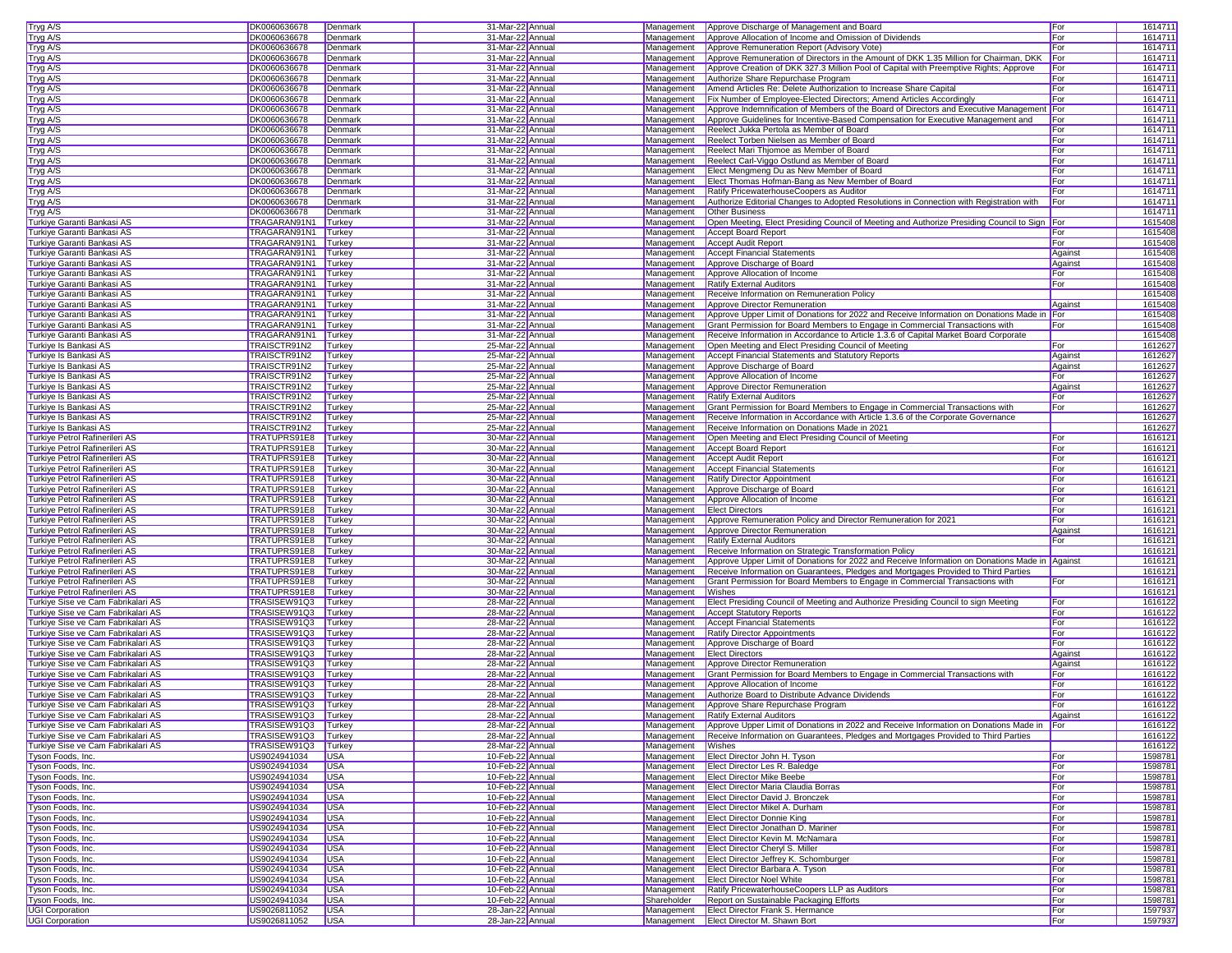| Tryg A/S                           | DK0060636678        | Denmark                  | 31-Mar-22 Annua                     | Management  | Approve Discharge of Management and Board                                                      | For          | 1614711            |
|------------------------------------|---------------------|--------------------------|-------------------------------------|-------------|------------------------------------------------------------------------------------------------|--------------|--------------------|
| Tryg A/S                           | DK0060636678        | Denmark                  | 31-Mar-22 Annua                     | Management  | Approve Allocation of Income and Omission of Dividends                                         | For          | 1614711            |
| Tryg A/S                           | DK0060636678        | Denmark                  | 31-Mar-22 Annua                     | Management  | Approve Remuneration Report (Advisory Vote)                                                    | For          | 1614711            |
| Tryg A/S                           | DK0060636678        | Denmark                  | 31-Mar-22 Annual                    | Management  | Approve Remuneration of Directors in the Amount of DKK 1.35 Million for Chairman, DKK          | For          | 1614711            |
| Tryg A/S                           | DK0060636678        | Denmark                  | 31-Mar-22 Annual                    | Management  | Approve Creation of DKK 327.3 Million Pool of Capital with Preemptive Rights; Approve          | For          | 1614711            |
| Tryg A/S                           | DK0060636678        | Denmark                  | 31-Mar-22 Annual                    | Management  | Authorize Share Repurchase Program                                                             | For          | 1614711            |
| Tryg A/S                           | DK0060636678        | Denmark                  | 31-Mar-22 Annua                     | Management  | Amend Articles Re: Delete Authorization to Increase Share Capital                              | For          | 1614711            |
| Tryg A/S                           | DK0060636678        | Denmark                  | 31-Mar-22 Annual                    | Management  | Fix Number of Employee-Elected Directors; Amend Articles Accordingly                           | For          | 1614711            |
| Tryg A/S                           | DK0060636678        | Denmark                  | 31-Mar-22 Annual                    | Management  | Approve Indemnification of Members of the Board of Directors and Executive Management For      |              | 1614711            |
| Tryg A/S                           | DK0060636678        | Denmark                  | 31-Mar-22 Annua                     |             | Approve Guidelines for Incentive-Based Compensation for Executive Management and               | For          | 1614711            |
|                                    |                     |                          | 31-Mar-22 Annua                     | Management  | Reelect Jukka Pertola as Member of Board                                                       |              |                    |
| Tryg A/S                           | DK0060636678        | Denmark                  |                                     | Management  |                                                                                                | For          | 1614711            |
| Tryg A/S                           | DK0060636678        | Denmark                  | 31-Mar-22 Annua                     | Management  | Reelect Torben Nielsen as Member of Board                                                      | For          | 1614711            |
| Tryg A/S                           | DK0060636678        | Denmark                  | 31-Mar-22 Annual                    | Management  | Reelect Mari Thjomoe as Member of Board                                                        | For          | 1614711            |
| Tryg A/S                           | DK0060636678        | Denmark                  | 31-Mar-22 Annual                    | Management  | Reelect Carl-Viggo Ostlund as Member of Board                                                  | <b>I</b> For | 1614711            |
| Tryg A/S                           | DK0060636678        | Denmark                  | 31-Mar-22 Annual                    | Management  | Elect Mengmeng Du as New Member of Board                                                       | For          | 1614711            |
| Tryg A/S                           | DK0060636678        | Denmark                  | 31-Mar-22 Annual                    | Management  | Elect Thomas Hofman-Bang as New Member of Board                                                | For          | 1614711            |
| Tryg A/S                           | DK0060636678        | Denmark                  | 31-Mar-22 Annua                     | Management  | Ratify PricewaterhouseCoopers as Auditor                                                       | For          | 1614711            |
| Tryg A/S                           | DK0060636678        | Denmark                  | 31-Mar-22 Annual                    | Management  | Authorize Editorial Changes to Adopted Resolutions in Connection with Registration with        | For          | 1614711            |
| Tryg A/S                           | DK0060636678        | Denmark                  | 31-Mar-22 Annual                    | Management  | <b>Other Business</b>                                                                          |              | 1614711            |
| Turkiye Garanti Bankasi AS         | TRAGARAN91N1        | Turkey                   | 31-Mar-22 Annual                    | Management  | Open Meeting, Elect Presiding Council of Meeting and Authorize Presiding Council to Sign   For |              | 1615408            |
| Turkiye Garanti Bankasi AS         | TRAGARAN91N1        | Turkey                   | 31-Mar-22 Annua                     | Management  | <b>Accept Board Report</b>                                                                     | For          | 1615408            |
| Turkiye Garanti Bankasi AS         | TRAGARAN91N1        | Turkey                   | 31-Mar-22 Annua                     | Management  | <b>Accept Audit Report</b>                                                                     | For          | 1615408            |
|                                    |                     |                          |                                     |             |                                                                                                |              | 1615408            |
| Turkiye Garanti Bankasi AS         | TRAGARAN91N1        | Turkey                   | 31-Mar-22 Annua                     | Management  | <b>Accept Financial Statements</b>                                                             | Against      |                    |
| Turkiye Garanti Bankasi AS         | TRAGARAN91N1        | Turkey                   | 31-Mar-22 Annual                    | Management  | Approve Discharge of Board                                                                     | Against      | 1615408            |
| Turkiye Garanti Bankasi AS         | TRAGARAN91N1        | Turkey                   | 31-Mar-22 Annual                    | Management  | Approve Allocation of Income                                                                   | For          | 1615408            |
| Turkiye Garanti Bankasi AS         | TRAGARAN91N1        | Turkey                   | 31-Mar-22 Annua                     | Management  | <b>Ratify External Auditors</b>                                                                | For          | 1615408            |
| Turkiye Garanti Bankasi AS         | TRAGARAN91N1 Turkey |                          | 31-Mar-22 Annua                     | Management  | Receive Information on Remuneration Policy                                                     |              | 1615408            |
| Turkiye Garanti Bankasi AS         | TRAGARAN91N1        | Turkey                   | 31-Mar-22 Annual                    | Management  | Approve Director Remuneration                                                                  | Against      | 1615408            |
| Turkiye Garanti Bankasi AS         | TRAGARAN91N1 Turkey |                          | 31-Mar-22 Annual                    | Management  | Approve Upper Limit of Donations for 2022 and Receive Information on Donations Made in For     |              | 1615408            |
| Turkiye Garanti Bankasi AS         | TRAGARAN91N1 Turkey |                          | 31-Mar-22 Annual                    | Management  | Grant Permission for Board Members to Engage in Commercial Transactions with                   | For          | 1615408            |
| Turkive Garanti Bankasi AS         | TRAGARAN91N1 Turkey |                          | 31-Mar-22 Annua                     | Management  | Receive Information in Accordance to Article 1.3.6 of Capital Market Board Corporate           |              | 1615408            |
| Turkiye Is Bankasi AS              | TRAISCTR91N2        | Turkey                   | 25-Mar-22 Annua                     | Management  | Open Meeting and Elect Presiding Council of Meeting                                            | For          | 1612627            |
| Turkiye Is Bankasi AS              | TRAISCTR91N2        | Turkey                   | 25-Mar-22 Annua                     | Management  | Accept Financial Statements and Statutory Reports                                              | Against      | 1612627            |
| Turkiye Is Bankasi AS              | TRAISCTR91N2        | Turkey                   | 25-Mar-22 Annual                    | Management  | Approve Discharge of Board                                                                     |              | 1612627            |
| Turkiye Is Bankasi AS              |                     |                          |                                     |             |                                                                                                | Against      |                    |
|                                    | TRAISCTR91N2        | Turkey                   | 25-Mar-22 Annual                    | Management  | Approve Allocation of Income                                                                   | For          | 1612627            |
| Turkiye Is Bankasi AS              | TRAISCTR91N2        | Turkey                   | 25-Mar-22 Annual                    | Management  | Approve Director Remuneration                                                                  | Against      | 1612627            |
| Turkiye Is Bankasi AS              | TRAISCTR91N2        | Turkey                   | 25-Mar-22 Annua                     | Management  | <b>Ratify External Auditors</b>                                                                | For          | 1612627            |
| Turkiye Is Bankasi AS              | TRAISCTR91N2        | Turkey                   | 25-Mar-22 Annual                    | Management  | Grant Permission for Board Members to Engage in Commercial Transactions with                   | For          | 1612627            |
| Turkiye Is Bankasi AS              | TRAISCTR91N2        | Turkey                   | 25-Mar-22 Annual                    | Management  | Receive Information in Accordance with Article 1.3.6 of the Corporate Governance               |              | 1612627            |
| Turkiye Is Bankasi AS              | TRAISCTR91N2        | Turkey                   | 25-Mar-22 Annua                     | Management  | Receive Information on Donations Made in 2021                                                  |              | 1612627            |
| Turkiye Petrol Rafinerileri AS     | TRATUPRS91E8        | Turkey                   | 30-Mar-22 Annua                     | Management  | Open Meeting and Elect Presiding Council of Meeting                                            | For          | 1616121            |
| Turkiye Petrol Rafinerileri AS     | TRATUPRS91E8        | Turkey                   | 30-Mar-22 Annua                     | Management  | <b>Accept Board Report</b>                                                                     | For          | 1616121            |
| Turkiye Petrol Rafinerileri AS     | TRATUPRS91E8        | Turkey                   | 30-Mar-22 Annual                    | Management  | <b>Accept Audit Report</b>                                                                     | For          | 1616121            |
| Turkiye Petrol Rafinerileri AS     | TRATUPRS91E8        | Turkey                   | 30-Mar-22 Annual                    | Management  | <b>Accept Financial Statements</b>                                                             | For          | 1616121            |
| Turkiye Petrol Rafinerileri AS     | TRATUPRS91E8        | Turkey                   | 30-Mar-22 Annual                    | Management  | <b>Ratify Director Appointment</b>                                                             | For          | 1616121            |
| Turkiye Petrol Rafinerileri AS     | TRATUPRS91E8        | Turkey                   | 30-Mar-22 Annual                    | Management  | Approve Discharge of Board                                                                     | For          | 1616121            |
|                                    |                     |                          |                                     |             |                                                                                                | For          |                    |
| Turkiye Petrol Rafinerileri AS     | TRATUPRS91E8        | Turkey                   | 30-Mar-22 Annua                     | Management  | Approve Allocation of Income                                                                   |              | 1616121            |
| Turkiye Petrol Rafinerileri AS     | TRATUPRS91E8        | Turkey                   | 30-Mar-22 Annual                    | Management  | <b>Elect Directors</b>                                                                         | For          | 1616121            |
| Turkiye Petrol Rafinerileri AS     | TRATUPRS91E8        | Turkey                   | 30-Mar-22 Annual                    | Management  | Approve Remuneration Policy and Director Remuneration for 2021                                 | For          | 1616121            |
| Turkiye Petrol Rafinerileri AS     | TRATUPRS91E8        | Turkey                   | 30-Mar-22 Annual                    | Management  | Approve Director Remuneration                                                                  | Against      | 1616121            |
| Turkiye Petrol Rafinerileri AS     | TRATUPRS91E8        | Turkey                   | 30-Mar-22 Annua                     | Management  | <b>Ratify External Auditors</b>                                                                | For          | 1616121            |
| Turkiye Petrol Rafinerileri AS     | TRATUPRS91E8        | Turkey                   | 30-Mar-22 Annua                     | Management  | Receive Information on Strategic Transformation Policy                                         |              | 1616121            |
| Turkiye Petrol Rafinerileri AS     | TRATUPRS91E8        | Turkey                   | 30-Mar-22 Annua                     | Management  | Approve Upper Limit of Donations for 2022 and Receive Information on Donations Made in Against |              | 1616121            |
| Turkiye Petrol Rafinerileri AS     | TRATUPRS91E8        | Turkey                   | 30-Mar-22 Annual                    | Management  | Receive Information on Guarantees, Pledges and Mortgages Provided to Third Parties             |              | 1616121            |
| Turkiye Petrol Rafinerileri AS     | TRATUPRS91E8        | Turkey                   | 30-Mar-22 Annual                    | Management  | Grant Permission for Board Members to Engage in Commercial Transactions with                   | For          | 1616121            |
| Turkiye Petrol Rafinerileri AS     | TRATUPRS91E8        | Turkey                   | 30-Mar-22 Annua                     | Management  | Wishes                                                                                         |              | 1616121            |
| Turkiye Sise ve Cam Fabrikalari AS | TRASISEW91Q3        | Turkey                   | 28-Mar-22 Annua                     | Management  | Elect Presiding Council of Meeting and Authorize Presiding Council to sign Meeting             | For          | 1616122            |
| Turkiye Sise ve Cam Fabrikalari AS | TRASISEW91Q3        | Turkey                   | 28-Mar-22 Annual                    | Management  | <b>Accept Statutory Reports</b>                                                                | For          | 1616122            |
| Turkive Sise ve Cam Fabrikalari AS | TRASISEW91Q3        | Turkey                   | 28-Mar-22 Annual                    | Management  | <b>Accept Financial Statements</b>                                                             | For          | 1616122            |
| Turkiye Sise ve Cam Fabrikalari AS |                     |                          |                                     |             |                                                                                                | For          | 1616122            |
|                                    | TRASISEW91Q3        | Turkey                   | 28-Mar-22 Annua                     | Management  | Ratify Director Appointments                                                                   |              |                    |
| Turkive Sise ve Cam Fabrikalari AS | TRASISEW91Q3        | Turkey                   | 28-Mar-22 Annua                     | Management  | Approve Discharge of Board                                                                     | For          | 1616122            |
| Turkiye Sise ve Cam Fabrikalari AS | TRASISEW91Q3        | Turkey                   | 28-Mar-22 Annua                     | Management  | <b>Elect Directors</b>                                                                         | Against      | 1616122            |
| Turkiye Sise ve Cam Fabrikalari AS | TRASISEW91Q3        | Turkey                   | 28-Mar-22 Annual                    | Management  | Approve Director Remuneration                                                                  | Against      | 1616122            |
| Turkiye Sise ve Cam Fabrikalari AS | TRASISEW91Q3        | Turkey                   | 28-Mar-22 Annual                    | Management  | Grant Permission for Board Members to Engage in Commercial Transactions with                   | For          | 1616122            |
| Turkiye Sise ve Cam Fabrikalari AS | TRASISEW91Q3        | Turkey                   | 28-Mar-22 Annual                    | Management  | Approve Allocation of Income                                                                   | For          | 1616122            |
| Turkive Sise ve Cam Fabrikalari AS | TRASISEW91Q3        | Turkey                   | 28-Mar-22 Annual                    | Management  | Authorize Board to Distribute Advance Dividends                                                | For          | 1616122            |
| Turkiye Sise ve Cam Fabrikalari AS | TRASISEW91Q3 Turkey |                          | 28-Mar-22 Annua                     | Management  | Approve Share Repurchase Program                                                               | For          | 1616122            |
| Turkiye Sise ve Cam Fabrikalari AS | TRASISEW91Q3 Turkey |                          | 28-Mar-22 Annua                     |             | Management Ratify External Auditors                                                            | Against      | 1616122            |
| Turkiye Sise ve Cam Fabrikalari AS | TRASISEW91Q3 Turkey |                          | 28-Mar-22 Annual                    | Management  | Approve Upper Limit of Donations in 2022 and Receive Information on Donations Made in For      |              | 1616122            |
| Turkiye Sise ve Cam Fabrikalari AS | TRASISEW91Q3 Turkey |                          | 28-Mar-22 Annual                    | Management  | Receive Information on Guarantees, Pledges and Mortgages Provided to Third Parties             |              | 1616122            |
| Turkiye Sise ve Cam Fabrikalari AS | TRASISEW91Q3 Turkey |                          | 28-Mar-22 Annual                    | Management  | Wishes                                                                                         |              | 1616122            |
| Tyson Foods, Inc.                  | US9024941034        | <b>USA</b>               | 10-Feb-22 Annual                    | Management  | <b>Elect Director John H. Tyson</b>                                                            | For          | 1598781            |
| Tyson Foods, Inc.                  | US9024941034        | <b>USA</b>               | 10-Feb-22 Annual                    |             | Management Elect Director Les R. Baledge                                                       | For          | 1598781            |
| Tyson Foods, Inc.                  | US9024941034        | <b>USA</b>               | 10-Feb-22 Annual                    | Management  | <b>Elect Director Mike Beebe</b>                                                               | For          | 1598781            |
|                                    |                     |                          |                                     |             |                                                                                                |              |                    |
| Tyson Foods, Inc.                  | US9024941034        | <b>USA</b>               | 10-Feb-22 Annual                    | Management  | Elect Director Maria Claudia Borras                                                            | For          | 1598781            |
| Tyson Foods, Inc.                  | US9024941034        | <b>USA</b>               | 10-Feb-22 Annual                    |             | Management Elect Director David J. Bronczek                                                    | For          | 1598781            |
| Tyson Foods, Inc.                  | US9024941034        | <b>USA</b>               | 10-Feb-22 Annual                    | Management  | Elect Director Mikel A. Durham                                                                 | For          | 1598781            |
| Tyson Foods, Inc.                  | US9024941034        | <b>USA</b>               | 10-Feb-22 Annual                    | Management  | <b>Elect Director Donnie King</b>                                                              | For          | 1598781            |
| Tyson Foods, Inc.                  | US9024941034        | <b>USA</b>               | 10-Feb-22 Annual                    | Management  | Elect Director Jonathan D. Mariner                                                             | For          | 1598781            |
| Tyson Foods, Inc.                  | US9024941034        | <b>USA</b>               | 10-Feb-22 Annual                    | Management  | <b>Elect Director Kevin M. McNamara</b>                                                        | For          | 1598781            |
| Tyson Foods, Inc.                  | US9024941034        | <b>USA</b>               | 10-Feb-22 Annual                    |             | Management Elect Director Cheryl S. Miller                                                     | For          | 1598781            |
| Tyson Foods, Inc.                  | US9024941034        | <b>USA</b>               | 10-Feb-22 Annua                     | Management  | Elect Director Jeffrey K. Schomburger                                                          | For          | 1598781            |
| Tyson Foods, Inc.                  | US9024941034        | <b>USA</b>               | 10-Feb-22 Annual                    | Management  | Elect Director Barbara A. Tyson                                                                | For          | 1598781            |
| Tyson Foods, Inc.                  | US9024941034        | <b>USA</b>               | 10-Feb-22 Annual                    | Management  | <b>Elect Director Noel White</b>                                                               | For          | 1598781            |
| Tyson Foods, Inc.                  | US9024941034        | <b>USA</b>               | 10-Feb-22 Annual                    | Management  | Ratify PricewaterhouseCoopers LLP as Auditors                                                  | For          | 1598781            |
| Tyson Foods, Inc.                  | US9024941034        | <b>USA</b>               | 10-Feb-22 Annual                    | Shareholder | Report on Sustainable Packaging Efforts                                                        | For          | 1598781            |
|                                    | US9026811052        |                          |                                     |             |                                                                                                |              |                    |
| <b>UGI Corporation</b>             | US9026811052        | <b>USA</b><br><b>USA</b> | 28-Jan-22 Annua<br>28-Jan-22 Annual | Management  | <b>Elect Director Frank S. Hermance</b><br>Management Elect Director M. Shawn Bort             | For<br>For   | 1597937<br>1597937 |
| <b>UGI Corporation</b>             |                     |                          |                                     |             |                                                                                                |              |                    |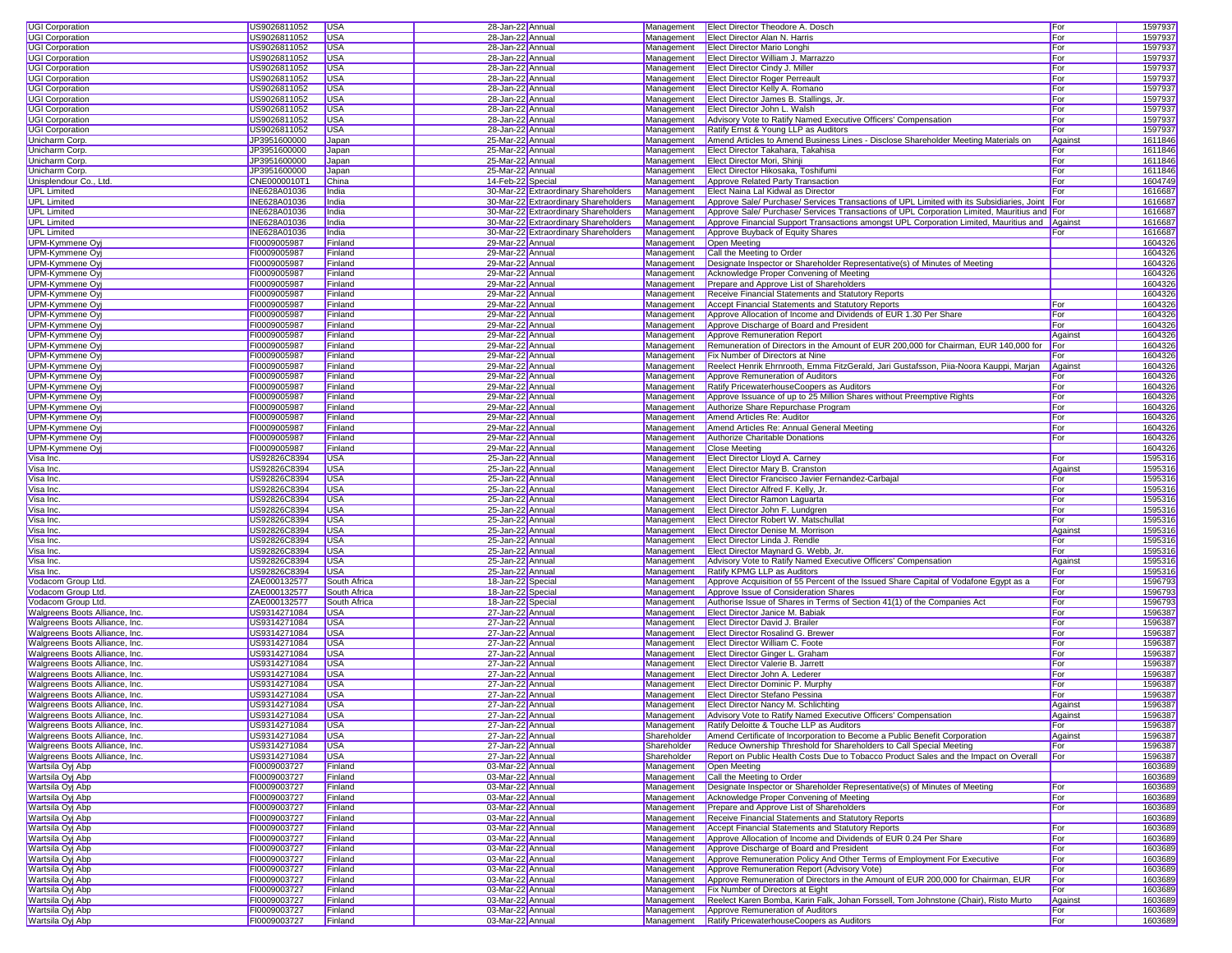| <b>UGI Corporation</b><br><b>UGI Corporation</b>                                                                                                                                                     | US9026811052 | <b>USA</b>   | 28-Jan-22 Annual  |                                      | Management  | Elect Director Theodore A. Dosch                                                              | For     | 1597937            |
|------------------------------------------------------------------------------------------------------------------------------------------------------------------------------------------------------|--------------|--------------|-------------------|--------------------------------------|-------------|-----------------------------------------------------------------------------------------------|---------|--------------------|
|                                                                                                                                                                                                      | US9026811052 | <b>USA</b>   | 28-Jan-22 Annua   |                                      | Management  | Elect Director Alan N. Harris                                                                 | For     | 159793             |
|                                                                                                                                                                                                      |              |              |                   |                                      |             |                                                                                               |         |                    |
| <b>UGI Corporation</b>                                                                                                                                                                               | US9026811052 | <b>USA</b>   | 28-Jan-22 Annua   |                                      | Management  | <b>Elect Director Mario Longhi</b>                                                            | For     | 1597937            |
| <b>UGI Corporation</b>                                                                                                                                                                               | US9026811052 | USA          | 28-Jan-22 Annual  |                                      | Management  | Elect Director William J. Marrazzo                                                            | For     | 1597937            |
| <b>UGI Corporation</b>                                                                                                                                                                               | US9026811052 | <b>USA</b>   | 28-Jan-22 Annual  |                                      |             | Management Elect Director Cindy J. Miller                                                     | For     | 1597937            |
| <b>UGI Corporation</b>                                                                                                                                                                               | US9026811052 | <b>USA</b>   | 28-Jan-22 Annual  |                                      |             | Management   Elect Director Roger Perreault                                                   | For     | 1597937            |
|                                                                                                                                                                                                      |              |              |                   |                                      |             |                                                                                               |         |                    |
| UGI Corporation                                                                                                                                                                                      | US9026811052 | <b>USA</b>   | 28-Jan-22 Annual  |                                      | Management  | Elect Director Kelly A. Romano                                                                | For     | 1597937            |
| UGI Corporation                                                                                                                                                                                      | US9026811052 | <b>USA</b>   | 28-Jan-22 Annua   |                                      | Management  | Elect Director James B. Stallings, Jr.                                                        | For     | 1597937            |
| <b>UGI Corporation</b>                                                                                                                                                                               | US9026811052 | <b>USA</b>   | 28-Jan-22 Annual  |                                      | Management  | Elect Director John L. Walsh                                                                  | For     | 1597937            |
| UGI Corporation                                                                                                                                                                                      | US9026811052 | <b>USA</b>   | 28-Jan-22 Annual  |                                      | Management  | Advisory Vote to Ratify Named Executive Officers' Compensation                                | For     | 1597937            |
|                                                                                                                                                                                                      | US9026811052 | <b>USA</b>   |                   |                                      | Management  |                                                                                               |         | 1597937            |
| <b>UGI Corporation</b>                                                                                                                                                                               |              |              | 28-Jan-22 Annua   |                                      |             | Ratify Ernst & Young LLP as Auditors                                                          | For     |                    |
| Unicharm Corp.                                                                                                                                                                                       | JP3951600000 | Japan        | 25-Mar-22 Annua   |                                      | Management  | Amend Articles to Amend Business Lines - Disclose Shareholder Meeting Materials on            | Against | 1611846            |
| Unicharm Corp.                                                                                                                                                                                       | JP3951600000 | Japan        | 25-Mar-22 Annua   |                                      | Management  | Elect Director Takahara, Takahisa                                                             | For     | 1611846            |
| Unicharm Corp.                                                                                                                                                                                       | JP3951600000 | Japan        | 25-Mar-22 Annual  |                                      | Management  | Elect Director Mori, Shinji                                                                   | For     | 1611846            |
| Unicharm Corp.                                                                                                                                                                                       | JP3951600000 | Japan        | 25-Mar-22 Annual  |                                      | Management  | Elect Director Hikosaka, Toshifumi                                                            | For     | 1611846            |
|                                                                                                                                                                                                      |              |              |                   |                                      |             |                                                                                               |         |                    |
| Unisplendour Co., Ltd.                                                                                                                                                                               | CNE0000010T1 | China        | 14-Feb-22 Special |                                      | Management  | Approve Related Party Transaction                                                             | For     | 1604749            |
| <b>UPL Limited</b>                                                                                                                                                                                   | INE628A01036 | India        |                   | 30-Mar-22 Extraordinary Shareholders | Management  | Elect Naina Lal Kidwal as Director                                                            | For     | 1616687            |
| <b>UPL Limited</b>                                                                                                                                                                                   | INE628A01036 | India        |                   | 30-Mar-22 Extraordinary Shareholders | Management  | Approve Sale/ Purchase/ Services Transactions of UPL Limited with its Subsidiaries, Joint     | For     | 1616687            |
| <b>UPL Limited</b>                                                                                                                                                                                   | INE628A01036 | India        |                   | 30-Mar-22 Extraordinary Shareholders | Management  | Approve Sale/ Purchase/ Services Transactions of UPL Corporation Limited, Mauritius and For   |         | 1616687            |
|                                                                                                                                                                                                      |              |              |                   |                                      |             |                                                                                               |         |                    |
| <b>UPL Limited</b>                                                                                                                                                                                   | INE628A01036 | India        |                   | 30-Mar-22 Extraordinary Shareholders | Management  | Approve Financial Support Transactions amongst UPL Corporation Limited, Mauritius and Against |         | 1616687            |
| <b>UPL Limited</b>                                                                                                                                                                                   | INE628A01036 | India        |                   | 30-Mar-22 Extraordinary Shareholders | Management  | Approve Buyback of Equity Shares                                                              | For     | 1616687            |
| UPM-Kymmene Oyj                                                                                                                                                                                      | FI0009005987 | Finland      | 29-Mar-22 Annual  |                                      | Management  | Open Meeting                                                                                  |         | 160432             |
| <b>UPM-Kymmene Oyj</b>                                                                                                                                                                               | FI0009005987 | Finland      | 29-Mar-22 Annua   |                                      | Management  | Call the Meeting to Order                                                                     |         | 1604326            |
| UPM-Kymmene Oyi                                                                                                                                                                                      | FI0009005987 | Finland      | 29-Mar-22 Annual  |                                      | Management  | Designate Inspector or Shareholder Representative(s) of Minutes of Meeting                    |         | 1604326            |
|                                                                                                                                                                                                      |              |              |                   |                                      |             |                                                                                               |         |                    |
| JPM-Kymmene Oyj                                                                                                                                                                                      | FI0009005987 | Finland      | 29-Mar-22 Annual  |                                      | Management  | Acknowledge Proper Convening of Meeting                                                       |         | 1604326            |
| UPM-Kymmene Oyj                                                                                                                                                                                      | FI0009005987 | Finland      | 29-Mar-22 Annual  |                                      | Management  | Prepare and Approve List of Shareholders                                                      |         | 1604326            |
| UPM-Kymmene Oyj                                                                                                                                                                                      | FI0009005987 | Finland      | 29-Mar-22 Annual  |                                      | Management  | Receive Financial Statements and Statutory Reports                                            |         | 1604326            |
| <b>UPM-Kymmene Oyj</b>                                                                                                                                                                               | FI0009005987 | Finland      | 29-Mar-22 Annual  |                                      | Management  | Accept Financial Statements and Statutory Reports                                             | For     | 1604326            |
|                                                                                                                                                                                                      |              |              |                   |                                      |             |                                                                                               |         |                    |
| UPM-Kymmene Oyi                                                                                                                                                                                      | FI0009005987 | Finland      | 29-Mar-22 Annual  |                                      | Management  | Approve Allocation of Income and Dividends of EUR 1.30 Per Share                              | For     | 1604326            |
| UPM-Kymmene Oyj                                                                                                                                                                                      | FI0009005987 | Finland      | 29-Mar-22 Annual  |                                      | Management  | Approve Discharge of Board and President                                                      | For     | 1604326            |
| UPM-Kymmene Oyj                                                                                                                                                                                      | FI0009005987 | Finland      | 29-Mar-22 Annua   |                                      | Management  | Approve Remuneration Report                                                                   | Against | 1604326            |
| UPM-Kymmene Oyj                                                                                                                                                                                      | FI0009005987 | Finland      | 29-Mar-22 Annua   |                                      | Management  | Remuneration of Directors in the Amount of EUR 200,000 for Chairman, EUR 140,000 for          | For     | 1604326            |
| <b>UPM-Kymmene Oyj</b>                                                                                                                                                                               | FI0009005987 | Finland      | 29-Mar-22 Annua   |                                      | Management  | Fix Number of Directors at Nine                                                               | For     | 1604326            |
|                                                                                                                                                                                                      |              |              |                   |                                      |             |                                                                                               |         |                    |
| UPM-Kymmene Oyi                                                                                                                                                                                      | FI0009005987 | Finland      | 29-Mar-22 Annual  |                                      | Management  | Reelect Henrik Ehrnrooth, Emma FitzGerald, Jari Gustafsson, Pija-Noora Kauppi, Marian         | Against | 1604326            |
| <b>UPM-Kymmene Ovi</b>                                                                                                                                                                               | FI0009005987 | Finland      | 29-Mar-22 Annual  |                                      | Management  | Approve Remuneration of Auditors                                                              | For     | 1604326            |
| <b>UPM-Kymmene Oyi</b>                                                                                                                                                                               | FI0009005987 | Finland      | 29-Mar-22 Annual  |                                      | Management  | Ratify PricewaterhouseCoopers as Auditors                                                     | For     | 1604326            |
| UPM-Kymmene Oyj                                                                                                                                                                                      | FI0009005987 | Finland      | 29-Mar-22 Annual  |                                      | Management  | Approve Issuance of up to 25 Million Shares without Preemptive Rights                         | For     | 1604326            |
|                                                                                                                                                                                                      |              |              |                   |                                      |             |                                                                                               |         |                    |
| <b>UPM-Kymmene Ovi</b>                                                                                                                                                                               | FI0009005987 | Finland      | 29-Mar-22 Annual  |                                      | Management  | Authorize Share Repurchase Program                                                            | For     | 1604326            |
| UPM-Kymmene Oyi                                                                                                                                                                                      | FI0009005987 | Finland      | 29-Mar-22 Annual  |                                      | Management  | Amend Articles Re: Auditor                                                                    | For     | 1604326            |
| <b>UPM-Kymmene Ovi</b>                                                                                                                                                                               | FI0009005987 | Finland      | 29-Mar-22 Annual  |                                      | Management  | Amend Articles Re: Annual General Meeting                                                     | For     | 1604326            |
| <b>UPM-Kymmene Oyi</b>                                                                                                                                                                               | FI0009005987 | Finland      | 29-Mar-22 Annua   |                                      | Management  | Authorize Charitable Donations                                                                | For     | 1604326            |
|                                                                                                                                                                                                      |              | Finland      |                   |                                      |             | <b>Close Meeting</b>                                                                          |         |                    |
| UPM-Kymmene Oyj                                                                                                                                                                                      | FI0009005987 |              | 29-Mar-22 Annua   |                                      | Management  |                                                                                               |         | 1604326            |
| Visa Inc.                                                                                                                                                                                            | US92826C8394 | <b>USA</b>   | 25-Jan-22 Annua   |                                      | Management  | Elect Director Lloyd A. Carney                                                                | For     | 1595316            |
| /isa Inc.                                                                                                                                                                                            | US92826C8394 | USA          | 25-Jan-22 Annual  |                                      | Management  | Elect Director Mary B. Cranston                                                               | Against | 1595316            |
| /isa Inc.                                                                                                                                                                                            | US92826C8394 | <b>USA</b>   | 25-Jan-22 Annual  |                                      | Management  | Elect Director Francisco Javier Fernandez-Carbajal                                            | For     | 1595316            |
| Visa Inc                                                                                                                                                                                             | US92826C8394 | <b>USA</b>   | 25-Jan-22 Annual  |                                      | Management  | Elect Director Alfred F. Kelly, Jr.                                                           | For     | 1595316            |
|                                                                                                                                                                                                      |              |              |                   |                                      |             |                                                                                               |         |                    |
| Visa Inc.                                                                                                                                                                                            | US92826C8394 | <b>USA</b>   | 25-Jan-22 Annua   |                                      | Management  | Elect Director Ramon Laguarta                                                                 | For     | 1595316            |
| Visa Inc.                                                                                                                                                                                            | US92826C8394 | <b>USA</b>   | 25-Jan-22 Annua   |                                      | Management  | Elect Director John F. Lundgren                                                               | For     | 1595316            |
| Visa Inc.                                                                                                                                                                                            | US92826C8394 | USA          | 25-Jan-22 Annual  |                                      | Management  | Elect Director Robert W. Matschullat                                                          | For     | 1595316            |
| /isa Inc.                                                                                                                                                                                            | US92826C8394 | <b>USA</b>   | 25-Jan-22 Annual  |                                      | Management  | Elect Director Denise M. Morrison                                                             | Against | 1595316            |
|                                                                                                                                                                                                      |              |              |                   |                                      |             |                                                                                               |         |                    |
| Visa Inc                                                                                                                                                                                             | US92826C8394 | <b>USA</b>   | 25-Jan-22 Annua   |                                      | Management  | Elect Director Linda J. Rendle                                                                | For     | 1595316            |
| Visa Inc.                                                                                                                                                                                            | US92826C8394 | <b>USA</b>   | 25-Jan-22 Annua   |                                      | Management  | Elect Director Maynard G. Webb, Jr.                                                           | For     | 1595316            |
|                                                                                                                                                                                                      |              | <b>USA</b>   | 25-Jan-22 Annua   |                                      | Management  | Advisory Vote to Ratify Named Executive Officers' Compensation                                | Against | 1595316            |
| Visa Inc.                                                                                                                                                                                            | US92826C8394 |              |                   |                                      |             |                                                                                               |         |                    |
|                                                                                                                                                                                                      |              |              |                   |                                      |             |                                                                                               |         |                    |
| /isa Inc.                                                                                                                                                                                            | US92826C8394 | <b>USA</b>   | 25-Jan-22 Annual  |                                      | Management  | Ratify KPMG LLP as Auditors                                                                   | For     | 1595316            |
| /odacom Group Ltd.                                                                                                                                                                                   | ZAE000132577 | South Africa | 18-Jan-22 Special |                                      | Management  | Approve Acquisition of 55 Percent of the Issued Share Capital of Vodafone Egypt as a          | For     | 1596793            |
| Vodacom Group Ltd                                                                                                                                                                                    | ZAE000132577 | South Africa | 18-Jan-22 Special |                                      | Management  | Approve Issue of Consideration Shares                                                         | For     | 1596793            |
| Vodacom Group Ltd                                                                                                                                                                                    | ZAE000132577 | South Africa | 18-Jan-22 Special |                                      | Management  | Authorise Issue of Shares in Terms of Section 41(1) of the Companies Act                      | For     | 1596793            |
| Walgreens Boots Alliance, Inc.                                                                                                                                                                       | US9314271084 | <b>USA</b>   | 27-Jan-22 Annual  |                                      | Management  | Elect Director Janice M. Babiak                                                               | For     | 1596387            |
|                                                                                                                                                                                                      |              |              |                   |                                      |             |                                                                                               |         |                    |
| Walgreens Boots Alliance, Inc.                                                                                                                                                                       | US9314271084 | <b>USA</b>   | 27-Jan-22 Annual  |                                      | Management  | Elect Director David J. Brailer                                                               | For     | 1596387            |
|                                                                                                                                                                                                      | US9314271084 | <b>USA</b>   | 27-Jan-22 Annua   |                                      | Management  | Elect Director Rosalind G. Brewer                                                             | For     | 1596387            |
|                                                                                                                                                                                                      | US9314271084 | <b>USA</b>   | 27-Jan-22 Annua   |                                      | Management  | Elect Director William C. Foote                                                               | For     | 1596387            |
| Walgreens Boots Alliance, Inc.                                                                                                                                                                       | US9314271084 | <b>USA</b>   | 27-Jan-22 Annua   |                                      | Management  | Elect Director Ginger L. Graham                                                               | For     | 1596387            |
| Walgreens Boots Alliance, Inc.<br>Walgreens Boots Alliance, Inc.<br>Walgreens Boots Alliance, Inc.                                                                                                   | US9314271084 | <b>USA</b>   | 27-Jan-22 Annua   |                                      | Management  | Elect Director Valerie B. Jarrett                                                             | For     | 1596387            |
|                                                                                                                                                                                                      |              |              |                   |                                      |             |                                                                                               |         |                    |
| Walgreens Boots Alliance, Inc.                                                                                                                                                                       | US9314271084 | USA          | 27-Jan-22 Annual  |                                      | Management  | Elect Director John A. Lederer                                                                | For     | 1596387            |
| Walgreens Boots Alliance, Inc.                                                                                                                                                                       | US9314271084 | <b>USA</b>   | 27-Jan-22 Annual  |                                      | Management  | Elect Director Dominic P. Murphy                                                              | For     | 1596387            |
| Walgreens Boots Alliance, Inc.                                                                                                                                                                       | US9314271084 | <b>USA</b>   | 27-Jan-22 Annua   |                                      |             | Management <b>Elect Director Stefano Pessina</b>                                              | For     | 1596387            |
| Walgreens Boots Alliance, Inc.                                                                                                                                                                       | US9314271084 | <b>USA</b>   | 27-Jan-22 Annua   |                                      |             | Management Elect Director Nancy M. Schlichting                                                | Against | 1596387            |
|                                                                                                                                                                                                      | US9314271084 | <b>USA</b>   | 27-Jan-22 Annua   |                                      |             | Management Advisory Vote to Ratify Named Executive Officers' Compensation                     | Against | 1596387            |
| Walgreens Boots Alliance, Inc.                                                                                                                                                                       |              |              |                   |                                      |             |                                                                                               |         |                    |
|                                                                                                                                                                                                      | US9314271084 | <b>USA</b>   | 27-Jan-22 Annual  |                                      | Management  | Ratify Deloitte & Touche LLP as Auditors                                                      | For     | 1596387            |
|                                                                                                                                                                                                      | US9314271084 | <b>USA</b>   | 27-Jan-22 Annual  |                                      | Shareholder | Amend Certificate of Incorporation to Become a Public Benefit Corporation                     | Against | 1596387            |
|                                                                                                                                                                                                      | US9314271084 | <b>USA</b>   | 27-Jan-22 Annual  |                                      | Shareholder | Reduce Ownership Threshold for Shareholders to Call Special Meeting                           | For     | 1596387            |
|                                                                                                                                                                                                      | US9314271084 | <b>USA</b>   | 27-Jan-22 Annual  |                                      | Shareholder | Report on Public Health Costs Due to Tobacco Product Sales and the Impact on Overall          | For     | 1596387            |
|                                                                                                                                                                                                      |              |              |                   |                                      |             |                                                                                               |         |                    |
| Walgreens Boots Alliance, Inc.<br>Walgreens Boots Alliance, Inc.<br>Walgreens Boots Alliance, Inc.<br>Walgreens Boots Alliance, Inc.<br>Wartsila Oyj Abp                                             | FI0009003727 | Finland      | 03-Mar-22 Annual  |                                      | Management  | <b>Open Meeting</b>                                                                           |         | 1603689            |
| Wartsila Oyi Abp                                                                                                                                                                                     | FI0009003727 | Finland      | 03-Mar-22 Annual  |                                      | Management  | Call the Meeting to Order                                                                     |         | 1603689            |
|                                                                                                                                                                                                      | FI0009003727 | Finland      | 03-Mar-22 Annual  |                                      | Management  | Designate Inspector or Shareholder Representative(s) of Minutes of Meeting                    | For     | 1603689            |
|                                                                                                                                                                                                      | FI0009003727 | Finland      | 03-Mar-22 Annual  |                                      | Management  | Acknowledge Proper Convening of Meeting                                                       | For     | 1603689            |
|                                                                                                                                                                                                      | FI0009003727 | Finland      | 03-Mar-22 Annual  |                                      | Management  | Prepare and Approve List of Shareholders                                                      | For     | 1603689            |
|                                                                                                                                                                                                      |              |              |                   |                                      |             |                                                                                               |         |                    |
|                                                                                                                                                                                                      | FI0009003727 | Finland      | 03-Mar-22 Annual  |                                      | Management  | <b>Receive Financial Statements and Statutory Reports</b>                                     |         | 1603689            |
|                                                                                                                                                                                                      | FI0009003727 | Finland      | 03-Mar-22 Annual  |                                      | Management  | Accept Financial Statements and Statutory Reports                                             | For     | 1603689            |
|                                                                                                                                                                                                      | FI0009003727 | Finland      | 03-Mar-22 Annual  |                                      | Management  | Approve Allocation of Income and Dividends of EUR 0.24 Per Share                              | For     | 1603689            |
|                                                                                                                                                                                                      | FI0009003727 | Finland      | 03-Mar-22 Annual  |                                      | Management  | Approve Discharge of Board and President                                                      | For     | 1603689            |
|                                                                                                                                                                                                      | FI0009003727 | Finland      | 03-Mar-22 Annual  |                                      | Management  | Approve Remuneration Policy And Other Terms of Employment For Executive                       | For     | 1603689            |
|                                                                                                                                                                                                      |              |              |                   |                                      |             |                                                                                               |         |                    |
|                                                                                                                                                                                                      | FI0009003727 | Finland      | 03-Mar-22 Annual  |                                      | Management  | Approve Remuneration Report (Advisory Vote)                                                   | For     | 1603689            |
| Wartsila Ovi Abp                                                                                                                                                                                     | FI0009003727 | Finland      | 03-Mar-22 Annual  |                                      | Management  | Approve Remuneration of Directors in the Amount of EUR 200,000 for Chairman, EUR              | For     | 1603689            |
| Wartsila Oyj Abp<br>Wartsila Oyj Abp<br>Wartsila Oyj Abp<br>Wartsila Oyj Abp<br>Wartsila Oyj Abp<br>Wartsila Oyj Abp<br>Wartsila Oyi Abp<br>Wartsila Oyj Abp<br>Wartsila Oyj Abp<br>Wartsila Oyj Abp | FI0009003727 | Finland      | 03-Mar-22 Annual  |                                      | Management  | Fix Number of Directors at Eight                                                              | For     | 1603689            |
| Wartsila Oyj Abp                                                                                                                                                                                     | FI0009003727 | Finland      | 03-Mar-22 Annual  |                                      | Management  | Reelect Karen Bomba, Karin Falk, Johan Forssell, Tom Johnstone (Chair), Risto Murto           | Against | 1603689            |
| Wartsila Oyj Abp                                                                                                                                                                                     | FI0009003727 | Finland      | 03-Mar-22 Annual  |                                      | Management  | Approve Remuneration of Auditors                                                              | For     | 1603689<br>1603689 |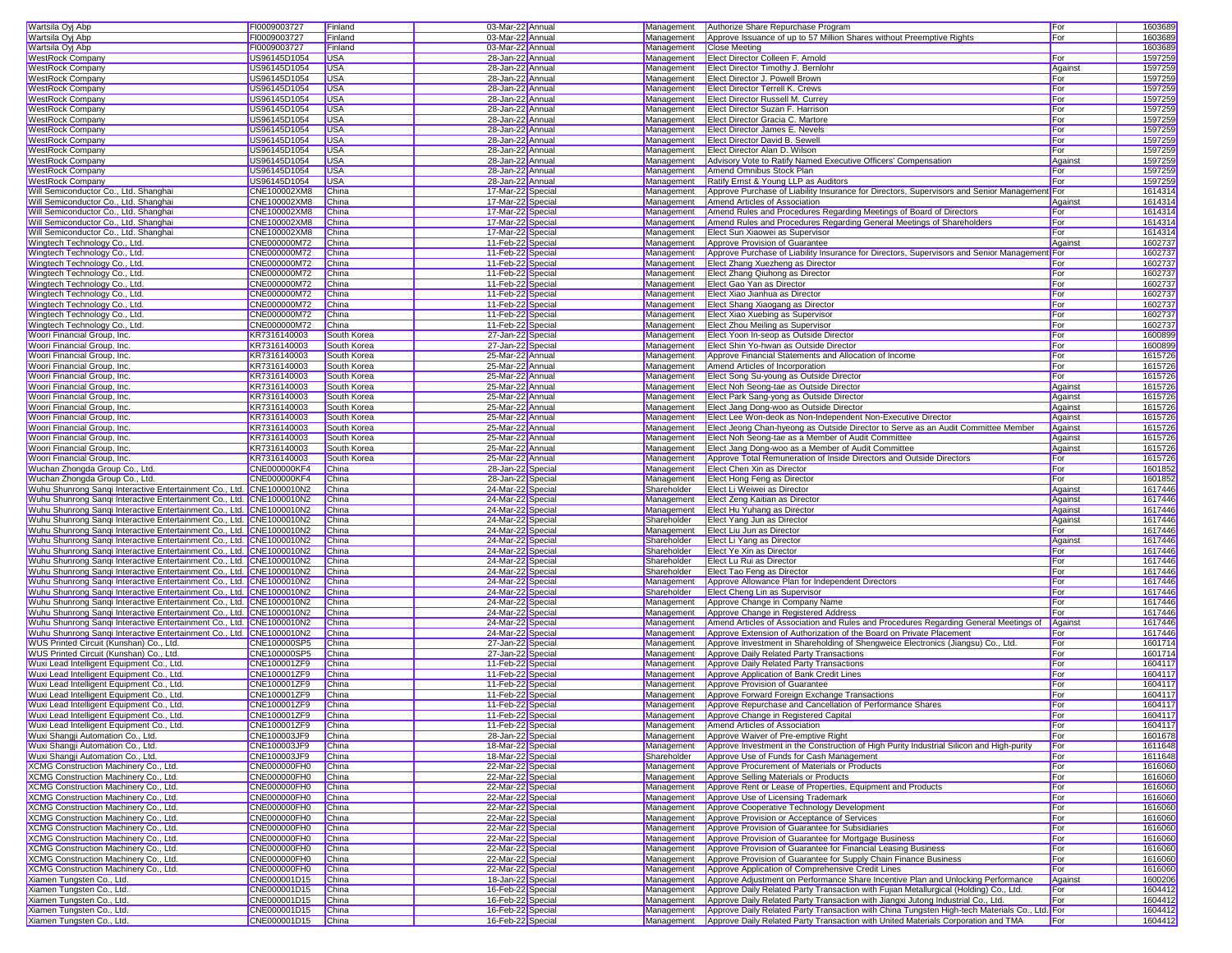| Wartsila Oyj Abp                                                     | FI0009003727                 | Finland        | 03-Mar-22 Annual                       | Management  | Authorize Share Repurchase Program                                                                                                                                                            | For     |         | 1603689            |
|----------------------------------------------------------------------|------------------------------|----------------|----------------------------------------|-------------|-----------------------------------------------------------------------------------------------------------------------------------------------------------------------------------------------|---------|---------|--------------------|
| Wartsila Oyj Abp                                                     | FI0009003727                 | Finland        | 03-Mar-22 Annual                       | Management  | Approve Issuance of up to 57 Million Shares without Preemptive Rights                                                                                                                         | For     |         | 1603689            |
| Wartsila Oyj Abp                                                     | FI0009003727                 | Finland        | 03-Mar-22 Annual                       | Management  | Close Meeting                                                                                                                                                                                 |         |         | 1603689            |
| <b>WestRock Company</b>                                              | US96145D1054                 | <b>USA</b>     | 28-Jan-22 Annual                       | Management  | Elect Director Colleen F. Arnold                                                                                                                                                              | For     |         | 1597259            |
| <b>WestRock Company</b>                                              | US96145D1054                 | <b>USA</b>     | 28-Jan-22 Annual                       | Management  | <b>Elect Director Timothy J. Bernlohr</b>                                                                                                                                                     | Against | 1597259 |                    |
| <b>WestRock Company</b>                                              | US96145D1054                 | <b>USA</b>     | 28-Jan-22 Annual                       | Management  | Elect Director J. Powell Brown                                                                                                                                                                | For     |         | 1597259            |
| <b>WestRock Company</b>                                              | US96145D1054                 | <b>USA</b>     | 28-Jan-22 Annual                       | Management  | <b>Elect Director Terrell K. Crews</b>                                                                                                                                                        | For     | 1597259 |                    |
| <b>WestRock Company</b>                                              | US96145D1054                 | <b>USA</b>     | 28-Jan-22 Annual                       | Management  | <b>Elect Director Russell M. Currey</b>                                                                                                                                                       | For     | 1597259 |                    |
| <b>WestRock Company</b>                                              | US96145D1054                 | <b>USA</b>     | 28-Jan-22 Annual                       | Management  | Elect Director Suzan F. Harrison                                                                                                                                                              | For     | 1597259 |                    |
| <b>WestRock Company</b>                                              | US96145D1054                 | <b>USA</b>     | 28-Jan-22 Annual                       | Management  | Elect Director Gracia C. Martore                                                                                                                                                              | For     | 1597259 |                    |
| <b>WestRock Company</b>                                              | US96145D1054                 | <b>USA</b>     | 28-Jan-22 Annual                       | Management  | Elect Director James E. Nevels                                                                                                                                                                | For     | 1597259 |                    |
| <b>WestRock Company</b>                                              | US96145D1054                 | <b>USA</b>     | 28-Jan-22 Annual                       | Management  | Elect Director David B. Sewell                                                                                                                                                                | For     | 1597259 |                    |
| <b>WestRock Company</b>                                              | US96145D1054                 | <b>USA</b>     | 28-Jan-22 Annual                       | Management  | Elect Director Alan D. Wilson                                                                                                                                                                 | For     | 1597259 |                    |
| <b>WestRock Company</b>                                              | US96145D1054                 | <b>USA</b>     | 28-Jan-22 Annual                       | Management  | Advisory Vote to Ratify Named Executive Officers' Compensation                                                                                                                                | Against |         | 1597259            |
| <b>WestRock Company</b>                                              | US96145D1054                 | <b>USA</b>     | 28-Jan-22 Annual                       | Management  | Amend Omnibus Stock Plan                                                                                                                                                                      | For     | 1597259 |                    |
| <b>WestRock Company</b>                                              | US96145D1054                 | <b>USA</b>     | 28-Jan-22 Annual                       | Management  | Ratify Ernst & Young LLP as Auditors                                                                                                                                                          | For     |         | 1597259            |
| Will Semiconductor Co., Ltd. Shanghai                                | CNE100002XM8                 | China          | 17-Mar-22 Specia                       | Management  | Approve Purchase of Liability Insurance for Directors, Supervisors and Senior Management                                                                                                      |         | 1614314 |                    |
| Will Semiconductor Co., Ltd. Shanghai                                | CNE100002XM8                 | China          | 17-Mar-22 Special                      | Management  | Amend Articles of Association                                                                                                                                                                 | Against |         | 1614314            |
| Will Semiconductor Co., Ltd. Shanghai                                | CNE100002XM8                 | China          | 17-Mar-22 Special                      | Management  | Amend Rules and Procedures Regarding Meetings of Board of Directors                                                                                                                           | For     | 1614314 |                    |
| Will Semiconductor Co., Ltd. Shanghai                                | CNE100002XM8                 | China          | 17-Mar-22 Special                      | Management  | Amend Rules and Procedures Regarding General Meetings of Shareholders                                                                                                                         | For     |         | 1614314            |
| Will Semiconductor Co., Ltd. Shanghai                                | CNE100002XM8                 | China          | 17-Mar-22 Specia                       | Management  | Elect Sun Xiaowei as Supervisor                                                                                                                                                               | For     | 1614314 |                    |
| Wingtech Technology Co., Ltd.                                        | CNE000000M72                 | China          | 11-Feb-22 Special                      | Management  | Approve Provision of Guarantee                                                                                                                                                                | Against | 1602737 |                    |
| Wingtech Technology Co., Ltd.                                        | CNE000000M72                 | China          | 11-Feb-22 Special                      | Management  | Approve Purchase of Liability Insurance for Directors, Supervisors and Senior Management                                                                                                      |         | 1602737 |                    |
| Wingtech Technology Co., Ltd.                                        | CNE000000M72                 | China          | 11-Feb-22 Special                      | Management  | Elect Zhang Xuezheng as Director                                                                                                                                                              | For     |         | 1602737            |
| Wingtech Technology Co., Ltd.                                        | CNE000000M72                 | China          | 11-Feb-22 Special                      | Management  | Elect Zhang Qiuhong as Director                                                                                                                                                               | For     | 1602737 |                    |
| Wingtech Technology Co., Ltd.                                        | CNE000000M72                 | China          | 11-Feb-22 Special                      | Management  | Elect Gao Yan as Director                                                                                                                                                                     | For     | 1602737 |                    |
| Wingtech Technology Co., Ltd.                                        | CNE000000M72                 | China          | 11-Feb-22 Special                      | Management  | Elect Xiao Jianhua as Director                                                                                                                                                                | For     |         | 1602737            |
| Wingtech Technology Co., Ltd.                                        | CNE000000M72                 | China          | 11-Feb-22 Special                      | Management  | Elect Shang Xiaogang as Director                                                                                                                                                              | For     | 1602737 |                    |
| Wingtech Technology Co., Ltd.                                        | CNE000000M72                 | China          | 11-Feb-22 Special                      | Management  | Elect Xiao Xuebing as Supervisor                                                                                                                                                              | For     | 1602737 |                    |
| Wingtech Technology Co., Ltd.                                        | CNE000000M72                 | China          | 11-Feb-22 Specia                       | Management  | <b>Elect Zhou Meiling as Supervisor</b>                                                                                                                                                       | For     | 1602737 |                    |
| Woori Financial Group, Inc.                                          | KR7316140003                 | South Korea    | 27-Jan-22 Specia                       | Management  | Elect Yoon In-seop as Outside Director                                                                                                                                                        | For     |         | 1600899            |
| Woori Financial Group, Inc.                                          | KR7316140003                 | South Korea    | 27-Jan-22 Specia                       | Management  | Elect Shin Yo-hwan as Outside Director                                                                                                                                                        | For     |         | 1600899            |
| Woori Financial Group, Inc.                                          | KR7316140003                 | South Korea    | 25-Mar-22 Annual                       | Management  | Approve Financial Statements and Allocation of Income                                                                                                                                         | For     |         | 1615726            |
| Woori Financial Group, Inc.                                          | KR7316140003                 | South Korea    | 25-Mar-22 Annual                       | Management  | Amend Articles of Incorporation                                                                                                                                                               | For     |         | 1615726            |
| Woori Financial Group, Inc.                                          | KR7316140003                 | South Korea    | 25-Mar-22 Annual                       | Management  | Elect Song Su-young as Outside Director                                                                                                                                                       | For     |         | 1615726            |
| Woori Financial Group, Inc.                                          | KR7316140003                 | South Korea    | 25-Mar-22 Annual                       | Management  | Elect Noh Seong-tae as Outside Director                                                                                                                                                       | Against |         | 1615726            |
| Woori Financial Group, Inc.                                          | KR7316140003                 | South Korea    | 25-Mar-22 Annual                       | Management  | Elect Park Sang-yong as Outside Director                                                                                                                                                      | Against |         | 1615726            |
| Woori Financial Group, Inc.                                          | KR7316140003                 | South Korea    | 25-Mar-22 Annual                       | Management  | Elect Jang Dong-woo as Outside Director                                                                                                                                                       | Against |         | 1615726            |
| Woori Financial Group, Inc.                                          | KR7316140003                 | South Korea    | 25-Mar-22 Annual                       | Management  | Elect Lee Won-deok as Non-Independent Non-Executive Director                                                                                                                                  | Against |         | 1615726            |
| Woori Financial Group, Inc.                                          | KR7316140003                 | South Korea    | 25-Mar-22 Annual                       | Management  | Elect Jeong Chan-hyeong as Outside Director to Serve as an Audit Committee Member                                                                                                             | Against |         | 1615726            |
| Woori Financial Group, Inc.                                          | KR7316140003                 | South Korea    | 25-Mar-22 Annual                       | Management  | Elect Noh Seong-tae as a Member of Audit Committee                                                                                                                                            | Against |         | 1615726            |
| Woori Financial Group, Inc.                                          | KR7316140003                 | South Korea    | 25-Mar-22 Annual                       | Management  | Elect Jang Dong-woo as a Member of Audit Committee                                                                                                                                            | Against | 1615726 |                    |
| Woori Financial Group, Inc.                                          | KR7316140003                 | South Korea    | 25-Mar-22 Annual                       | Management  | Approve Total Remuneration of Inside Directors and Outside Directors                                                                                                                          | For     | 1615726 |                    |
| Wuchan Zhongda Group Co., Ltd.                                       | CNE000000KF4                 | China          | 28-Jan-22 Special                      | Management  | Elect Chen Xin as Director                                                                                                                                                                    | For     |         | 1601852            |
| Wuchan Zhongda Group Co., Ltd.                                       | <b>CNE000000KF4</b>          | China          | 28-Jan-22 Special                      | Management  | Elect Hong Feng as Director                                                                                                                                                                   | For     |         | 1601852            |
| Wuhu Shunrong Sangi Interactive Entertainment Co., Ltd. CNE1000010N2 |                              | China          | 24-Mar-22 Specia                       | Shareholder | Elect Li Weiwei as Director                                                                                                                                                                   | Against |         | 1617446            |
| Wuhu Shunrong Sangi Interactive Entertainment Co., Ltd. CNE1000010N2 |                              | China          | 24-Mar-22 Special                      | Management  | Elect Zeng Kaitian as Director                                                                                                                                                                | Against | 1617446 |                    |
| Wuhu Shunrong Sangi Interactive Entertainment Co., Ltd. CNE1000010N2 |                              | China          | 24-Mar-22 Special                      | Management  | Elect Hu Yuhang as Director                                                                                                                                                                   | Against |         | 1617446            |
| Wuhu Shunrong Sangi Interactive Entertainment Co., Ltd. CNE1000010N2 |                              | China          | 24-Mar-22 Special                      | Shareholder | Elect Yang Jun as Director                                                                                                                                                                    | Against |         | 1617446            |
| Wuhu Shunrong Sanqi Interactive Entertainment Co., Ltd. CNE1000010N2 |                              | China          | 24-Mar-22 Special                      | Management  | Elect Liu Jun as Director                                                                                                                                                                     | For     |         | 1617446            |
| Wuhu Shunrong Sangi Interactive Entertainment Co., Ltd. CNE1000010N2 |                              | China          | 24-Mar-22 Specia                       | Shareholder | Elect Li Yang as Director                                                                                                                                                                     | Against | 1617446 |                    |
| Wuhu Shunrong Sangi Interactive Entertainment Co., Ltd. CNE1000010N2 |                              | China          | 24-Mar-22 Special                      | Shareholder | Elect Ye Xin as Director                                                                                                                                                                      | For     | 1617446 |                    |
| Wuhu Shunrong Sangi Interactive Entertainment Co., Ltd. CNE1000010N2 |                              | China          | 24-Mar-22 Special                      | Shareholder | Elect Lu Rui as Director                                                                                                                                                                      | For     | 1617446 |                    |
| Wuhu Shunrong Sangi Interactive Entertainment Co., Ltd. CNE1000010N2 |                              | China          | 24-Mar-22 Special                      | Shareholder | Elect Tao Feng as Director                                                                                                                                                                    | For     |         | 1617446            |
| Wuhu Shunrong Sanqi Interactive Entertainment Co., Ltd. CNE1000010N2 |                              | China          | 24-Mar-22 Special                      | Management  | Approve Allowance Plan for Independent Directors                                                                                                                                              | For     | 1617446 |                    |
| Wuhu Shunrong Sangi Interactive Entertainment Co., Ltd. CNE1000010N2 |                              | China          | 24-Mar-22 Special                      | Shareholder | Elect Cheng Lin as Supervisor                                                                                                                                                                 | For     |         | 1617446            |
| Wuhu Shunrong Sangi Interactive Entertainment Co., Ltd. CNE1000010N2 |                              | China          | 24-Mar-22 Special                      | Management  | Approve Change in Company Name                                                                                                                                                                | For     | 1617446 |                    |
| Wuhu Shunrong Sangi Interactive Entertainment Co., Ltd. CNE1000010N2 |                              | China          | 24-Mar-22 Special                      | Management  | Approve Change in Registered Address                                                                                                                                                          | For     |         | 1617446            |
| Wuhu Shunrong Sangi Interactive Entertainment Co., Ltd. CNE1000010N2 |                              | China          | 24-Mar-22 Special                      | Management  | Amend Articles of Association and Rules and Procedures Regarding General Meetings of                                                                                                          | Against |         | 1617446            |
| Wuhu Shunrong Sangi Interactive Entertainment Co., Ltd. CNE1000010N2 |                              | China          | 24-Mar-22 Special                      | Management  | Approve Extension of Authorization of the Board on Private Placement                                                                                                                          | For     |         | 1617446            |
| WUS Printed Circuit (Kunshan) Co., Ltd.                              | CNE100000SP5                 | China          | 27-Jan-22 Specia                       | Management  | Approve Investment in Shareholding of Shengweice Electronics (Jiangsu) Co., Ltd.                                                                                                              | For     | 1601714 |                    |
| WUS Printed Circuit (Kunshan) Co., Ltd.                              | CNE100000SP5                 | China          | 27-Jan-22 Specia                       | Management  | Approve Daily Related Party Transactions                                                                                                                                                      | For     |         | 1601714            |
| Wuxi Lead Intelligent Equipment Co., Ltd.                            | CNE100001ZF9                 | China          | 11-Feb-22 Special                      | Management  | Approve Daily Related Party Transactions                                                                                                                                                      | For     |         | 1604117            |
| Wuxi Lead Intelligent Equipment Co., Ltd.                            | CNE100001ZF9                 | China          | 11-Feb-22 Special                      | Management  | Approve Application of Bank Credit Lines                                                                                                                                                      | For     |         | 1604117            |
| Wuxi Lead Intelligent Equipment Co., Ltd.                            | CNE100001ZF9                 | China          | 11-Feb-22 Special                      | Management  | Approve Provision of Guarantee                                                                                                                                                                | For     |         | 1604117            |
| Wuxi Lead Intelligent Equipment Co., Ltd.                            | CNE100001ZF9                 | China          | 11-Feb-22 Special                      | Management  | Approve Forward Foreign Exchange Transactions                                                                                                                                                 | For     |         | 1604117            |
| Wuxi Lead Intelligent Equipment Co., Ltd.                            | CNE100001ZF9                 | China          | 11-Feb-22 Specia                       | Management  | Approve Repurchase and Cancellation of Performance Shares                                                                                                                                     | For     |         | 1604117            |
| Wuxi Lead Intelligent Equipment Co., Ltd.                            | CNE100001ZF9                 | China          | 11-Feb-22 Specia                       |             | Management Approve Change in Registered Capital                                                                                                                                               | For     |         | 1604117            |
| Wuxi Lead Intelligent Equipment Co., Ltd.                            | CNE100001ZF9                 | China          | 11-Feb-22 Special                      | Management  | Amend Articles of Association                                                                                                                                                                 | For     |         | 1604117            |
| Wuxi Shangji Automation Co., Ltd.                                    | CNE100003JF9                 | China          | 28-Jan-22 Special                      | Management  | Approve Waiver of Pre-emptive Right                                                                                                                                                           | For     |         | 1601678            |
| Wuxi Shangji Automation Co., Ltd.                                    | CNE100003JF9                 | China          | 18-Mar-22 Special                      | Management  | Approve Investment in the Construction of High Purity Industrial Silicon and High-purity                                                                                                      | For     |         | 1611648            |
| Wuxi Shangji Automation Co., Ltd.                                    | CNE100003JF9                 | China          | 18-Mar-22 Special                      | Shareholder | Approve Use of Funds for Cash Management                                                                                                                                                      | For     |         | 1611648            |
| XCMG Construction Machinery Co., Ltd.                                | <b>CNE000000FH0</b>          | China          | 22-Mar-22 Special                      | Management  | Approve Procurement of Materials or Products                                                                                                                                                  | For     |         | 1616060            |
| XCMG Construction Machinery Co., Ltd.                                | CNE000000FH0                 | China          | 22-Mar-22 Special                      | Management  | Approve Selling Materials or Products                                                                                                                                                         | For     |         | 1616060            |
| XCMG Construction Machinery Co., Ltd.                                | CNE000000FH0                 | China          | 22-Mar-22 Special                      | Management  | Approve Rent or Lease of Properties, Equipment and Products                                                                                                                                   | For     |         | 1616060            |
| XCMG Construction Machinery Co., Ltd.                                | <b>CNE000000FH0</b>          | China          | 22-Mar-22 Special                      | Management  | Approve Use of Licensing Trademark                                                                                                                                                            | For     |         | 1616060            |
| XCMG Construction Machinery Co., Ltd.                                | CNE000000FH0                 | China          | 22-Mar-22 Special                      | Management  | Approve Cooperative Technology Development                                                                                                                                                    | For     |         | 1616060            |
| XCMG Construction Machinery Co., Ltd.                                | <b>CNE000000FH0</b>          | China          | 22-Mar-22 Special                      | Management  | Approve Provision or Acceptance of Services                                                                                                                                                   | For     |         | 1616060            |
| XCMG Construction Machinery Co., Ltd.                                | CNE000000FH0                 | China          | 22-Mar-22 Special                      | Management  | Approve Provision of Guarantee for Subsidiaries                                                                                                                                               | For     |         | 1616060            |
| XCMG Construction Machinery Co., Ltd.                                | CNE000000FH0                 | China          | 22-Mar-22 Special                      | Management  | Approve Provision of Guarantee for Mortgage Business                                                                                                                                          | For     |         | 1616060            |
| XCMG Construction Machinery Co., Ltd.                                | CNE000000FH0                 | China          | 22-Mar-22 Special                      | Management  | Approve Provision of Guarantee for Financial Leasing Business                                                                                                                                 | For     | 1616060 |                    |
| XCMG Construction Machinery Co., Ltd.                                | CNE000000FH0                 | China          | 22-Mar-22 Special                      | Management  | Approve Provision of Guarantee for Supply Chain Finance Business                                                                                                                              | For     |         | 1616060            |
| XCMG Construction Machinery Co., Ltd.                                |                              |                |                                        | Management  | Approve Application of Comprehensive Credit Lines                                                                                                                                             | For     |         | 1616060            |
| Xiamen Tungsten Co., Ltd.                                            | <b>CNE000000FH0</b>          | China          | 22-Mar-22 Special                      |             |                                                                                                                                                                                               |         |         |                    |
|                                                                      | CNE000001D15                 | China          | 18-Jan-22 Special                      | Management  | Approve Adjustment on Performance Share Incentive Plan and Unlocking Performance                                                                                                              | Against |         | 1600206            |
| Xiamen Tungsten Co., Ltd.                                            | CNE000001D15                 | China          | 16-Feb-22 Special                      | Management  | Approve Daily Related Party Transaction with Fujian Metallurgical (Holding) Co., Ltd.                                                                                                         | For     |         | 1604412            |
| Xiamen Tungsten Co., Ltd.                                            | CNE000001D15                 | China          | 16-Feb-22 Special                      | Management  | Approve Daily Related Party Transaction with Jiangxi Jutong Industrial Co., Ltd.                                                                                                              | For     |         | 1604412            |
| Xiamen Tungsten Co., Ltd.<br>Xiamen Tungsten Co., Ltd.               | CNE000001D15<br>CNE000001D15 | China<br>China | 16-Feb-22 Special<br>16-Feb-22 Special | Management  | Approve Daily Related Party Transaction with China Tungsten High-tech Materials Co., Ltd. For<br>Management Approve Daily Related Party Transaction with United Materials Corporation and TMA | For     |         | 1604412<br>1604412 |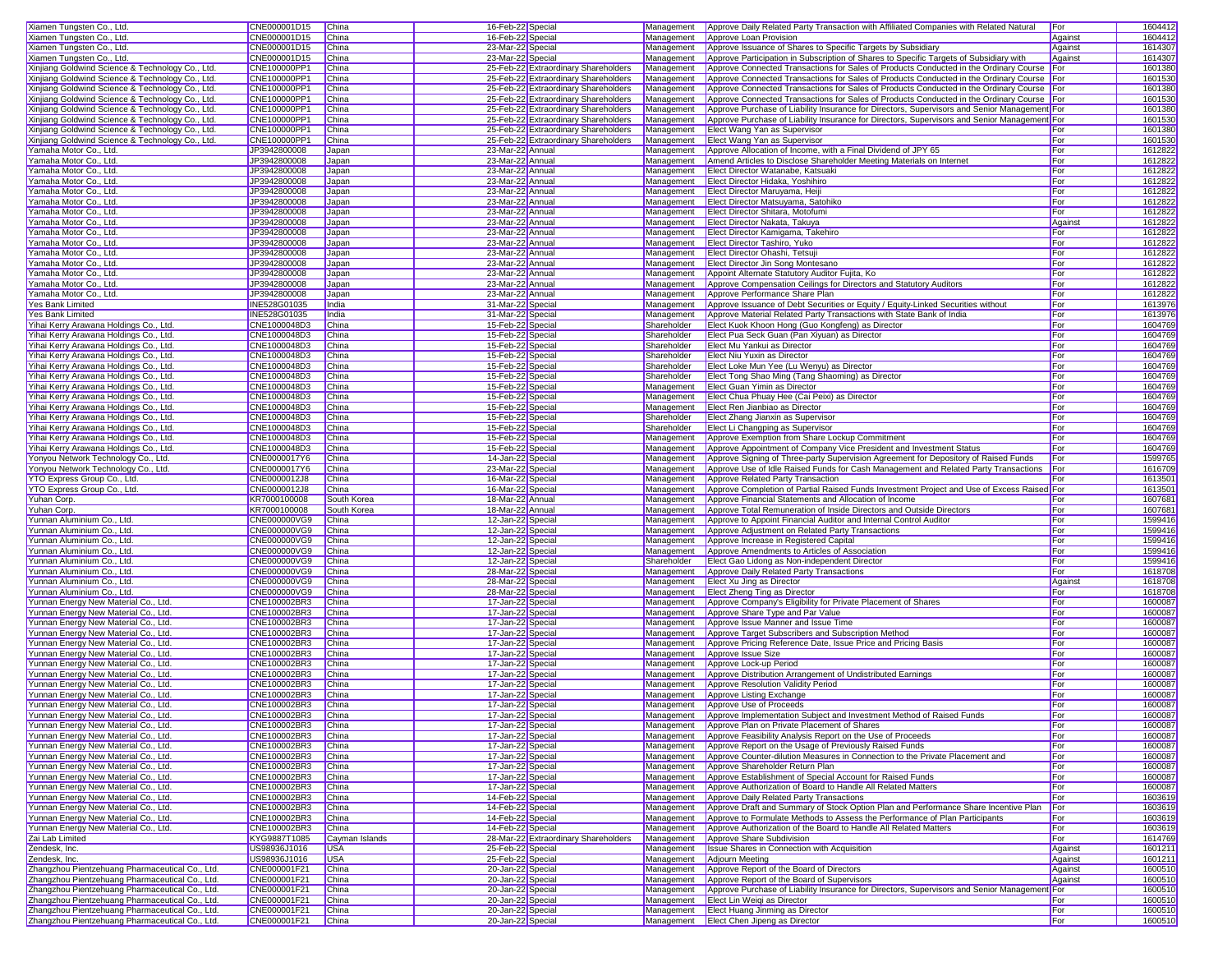| Xiamen Tungsten Co., Ltd.                                                                          | CNE000001D15                 | China          | 16-Feb-22 Special                      |                                      | Management  | Approve Daily Related Party Transaction with Affiliated Companies with Related Natural       | For        | 1604412            |
|----------------------------------------------------------------------------------------------------|------------------------------|----------------|----------------------------------------|--------------------------------------|-------------|----------------------------------------------------------------------------------------------|------------|--------------------|
| Xiamen Tungsten Co., Ltd.                                                                          | CNE000001D15                 | China          | 16-Feb-22 Special                      |                                      | Management  | Approve Loan Provision                                                                       | Against    | 1604412            |
| Xiamen Tungsten Co., Ltd.                                                                          | CNE000001D15                 | China          | 23-Mar-22 Special                      |                                      | Management  | Approve Issuance of Shares to Specific Targets by Subsidiary                                 | Against    | 1614307            |
| Xiamen Tungsten Co., Ltd.                                                                          | CNE000001D15                 | China          | 23-Mar-22 Special                      |                                      | Management  | Approve Participation in Subscription of Shares to Specific Targets of Subsidiary with       | Against    | 1614307            |
| Xinjiang Goldwind Science & Technology Co., Ltd.                                                   | CNE100000PP1                 | China          |                                        | 25-Feb-22 Extraordinary Shareholders | Management  | Approve Connected Transactions for Sales of Products Conducted in the Ordinary Course   For  |            | 1601380            |
| Xinjiang Goldwind Science & Technology Co., Ltd.                                                   | CNE100000PP1                 | China          |                                        | 25-Feb-22 Extraordinary Shareholders | Management  | Approve Connected Transactions for Sales of Products Conducted in the Ordinary Course        |            | 1601530            |
| Xinjiang Goldwind Science & Technology Co., Ltd.                                                   | CNE100000PP1                 | China          |                                        | 25-Feb-22 Extraordinary Shareholders | Management  | Approve Connected Transactions for Sales of Products Conducted in the Ordinary Course   For  |            | 1601380            |
| Xinjiang Goldwind Science & Technology Co., Ltd.                                                   | CNE100000PP1                 | China          |                                        | 25-Feb-22 Extraordinary Shareholders | Management  | Approve Connected Transactions for Sales of Products Conducted in the Ordinary Course For    |            | 1601530            |
| Xinjiang Goldwind Science & Technology Co., Ltd.                                                   | CNE100000PP1                 | China          |                                        | 25-Feb-22 Extraordinary Shareholders | Management  | Approve Purchase of Liability Insurance for Directors, Supervisors and Senior Management For |            | 1601380            |
| Xinjiang Goldwind Science & Technology Co., Ltd.                                                   | CNE100000PP1                 | China          |                                        | 25-Feb-22 Extraordinary Shareholders | Management  | Approve Purchase of Liability Insurance for Directors, Supervisors and Senior Management For |            | 1601530            |
| Xinjiang Goldwind Science & Technology Co., Ltd.                                                   | CNE100000PP1                 | China          |                                        | 25-Feb-22 Extraordinary Shareholders | Management  | Elect Wang Yan as Supervisor                                                                 | For        | 1601380            |
|                                                                                                    |                              |                |                                        |                                      |             |                                                                                              | For        | 1601530            |
| Xinjiang Goldwind Science & Technology Co., Ltd.                                                   | CNE100000PP1                 | China          |                                        | 25-Feb-22 Extraordinary Shareholders | Management  | Elect Wang Yan as Supervisor                                                                 |            |                    |
| Yamaha Motor Co., Ltd.                                                                             | JP3942800008                 | Japan          | 23-Mar-22 Annual                       |                                      | Management  | Approve Allocation of Income, with a Final Dividend of JPY 65                                | For        | 1612822            |
| Yamaha Motor Co., Ltd.                                                                             | JP3942800008                 | Japan          | 23-Mar-22 Annual                       |                                      | Management  | Amend Articles to Disclose Shareholder Meeting Materials on Internet                         | For        | 1612822            |
| Yamaha Motor Co., Ltd.                                                                             | JP3942800008                 | Japan          | 23-Mar-22 Annual                       |                                      | Management  | Elect Director Watanabe, Katsuaki                                                            | For        | 1612822            |
| Yamaha Motor Co., Ltd.                                                                             | JP3942800008                 | Japan          | 23-Mar-22 Annual                       |                                      | Management  | Elect Director Hidaka, Yoshihiro                                                             | For        | 1612822            |
| Yamaha Motor Co., Ltd.                                                                             | JP3942800008                 | Japan          | 23-Mar-22 Annual                       |                                      | Management  | Elect Director Maruyama, Heiji                                                               | For        | 1612822            |
| Yamaha Motor Co., Ltd.                                                                             | JP3942800008                 | Japan          | 23-Mar-22 Annual                       |                                      | Management  | Elect Director Matsuyama, Satohiko                                                           | For        | 1612822            |
| Yamaha Motor Co., Ltd.                                                                             | JP3942800008                 | Japan          | 23-Mar-22 Annual                       |                                      | Management  | Elect Director Shitara, Motofumi                                                             | For        | 1612822            |
| Yamaha Motor Co., Ltd.                                                                             | JP3942800008                 | Japan          | 23-Mar-22 Annual                       |                                      | Management  | Elect Director Nakata, Takuya                                                                | Against    | 1612822            |
| Yamaha Motor Co., Ltd.                                                                             | JP3942800008                 | Japan          | 23-Mar-22 Annua                        |                                      | Management  | Elect Director Kamigama, Takehiro                                                            | For        | 1612822            |
| Yamaha Motor Co., Ltd.                                                                             | JP3942800008                 | Japan          | 23-Mar-22 Annua                        |                                      | Management  | Elect Director Tashiro, Yuko                                                                 | For        | 1612822            |
| Yamaha Motor Co., Ltd.                                                                             | JP3942800008                 | Japan          | 23-Mar-22 Annual                       |                                      | Management  | Elect Director Ohashi, Tetsuj                                                                | For        | 1612822            |
| Yamaha Motor Co., Ltd.                                                                             | JP3942800008                 | Japan          | 23-Mar-22 Annual                       |                                      | Management  | Elect Director Jin Song Montesano                                                            | For        | 1612822            |
| Yamaha Motor Co., Ltd.                                                                             | JP3942800008                 | Japan          | 23-Mar-22 Annual                       |                                      | Management  | Appoint Alternate Statutory Auditor Fujita, Ko                                               | For        | 1612822            |
| Yamaha Motor Co., Ltd.                                                                             | JP3942800008                 | Japan          | 23-Mar-22 Annual                       |                                      | Management  | Approve Compensation Ceilings for Directors and Statutory Auditors                           | For        | 1612822            |
| Yamaha Motor Co., Ltd.                                                                             | JP3942800008                 | Japan          | 23-Mar-22 Annual                       |                                      | Management  | Approve Performance Share Plan                                                               | For        | 1612822            |
| Yes Bank Limited                                                                                   | <b>INE528G01035</b>          | India          | 31-Mar-22 Special                      |                                      | Management  | Approve Issuance of Debt Securities or Equity / Equity-Linked Securities without             | For        | 1613976            |
|                                                                                                    |                              | India          |                                        |                                      |             |                                                                                              | For        |                    |
| Yes Bank Limited                                                                                   | INE528G01035                 |                | 31-Mar-22 Special                      |                                      | Management  | Approve Material Related Party Transactions with State Bank of India                         |            | 1613976            |
| Yihai Kerry Arawana Holdings Co., Ltd.                                                             | CNE1000048D3                 | China          | 15-Feb-22 Special                      |                                      | Shareholder | Elect Kuok Khoon Hong (Guo Kongfeng) as Director                                             | For        | 1604769            |
| Yihai Kerry Arawana Holdings Co., Ltd.                                                             | CNE1000048D3                 | China          | 15-Feb-22 Special                      |                                      | Shareholder | Elect Pua Seck Guan (Pan Xiyuan) as Director                                                 | For        | 1604769            |
| Yihai Kerry Arawana Holdings Co., Ltd.                                                             | CNE1000048D3                 | China          | 15-Feb-22 Special                      |                                      | Shareholder | Elect Mu Yankui as Director                                                                  | For        | 1604769            |
| Yihai Kerry Arawana Holdings Co., Ltd.                                                             | CNE1000048D3                 | China          | 15-Feb-22 Special                      |                                      | Shareholder | Elect Niu Yuxin as Director                                                                  | For        | 1604769            |
| Yihai Kerry Arawana Holdings Co., Ltd.                                                             | CNE1000048D3                 | China          | 15-Feb-22 Special                      |                                      | Shareholder | Elect Loke Mun Yee (Lu Wenyu) as Director                                                    | For        | 1604769            |
| Yihai Kerry Arawana Holdings Co., Ltd.                                                             | CNE1000048D3                 | China          | 15-Feb-22 Special                      |                                      | Shareholder | Elect Tong Shao Ming (Tang Shaoming) as Director                                             | For        | 1604769            |
| Yihai Kerry Arawana Holdings Co., Ltd.                                                             | CNE1000048D3                 | China          | 15-Feb-22 Special                      |                                      | Management  | Elect Guan Yimin as Director                                                                 | For        | 1604769            |
| Yihai Kerry Arawana Holdings Co., Ltd.                                                             | CNE1000048D3                 | China          | 15-Feb-22 Special                      |                                      | Management  | Elect Chua Phuay Hee (Cai Peixi) as Director                                                 | For        | 1604769            |
| Yihai Kerry Arawana Holdings Co., Ltd.                                                             | CNE1000048D3                 | China          | 15-Feb-22 Special                      |                                      | Management  | Elect Ren Jianbiao as Director                                                               | For        | 1604769            |
| Yihai Kerry Arawana Holdings Co., Ltd.                                                             | CNE1000048D3                 | China          | 15-Feb-22 Special                      |                                      | Shareholder | Elect Zhang Jianxin as Supervisor                                                            | For        | 1604769            |
| Yihai Kerry Arawana Holdings Co., Ltd.                                                             | CNE1000048D3                 | China          | 15-Feb-22 Special                      |                                      | Shareholder | Elect Li Changping as Supervisor                                                             | For        | 1604769            |
| Yihai Kerry Arawana Holdings Co., Ltd.                                                             | CNE1000048D3                 | China          | 15-Feb-22 Special                      |                                      | Management  | Approve Exemption from Share Lockup Commitment                                               | For        | 1604769            |
|                                                                                                    | CNE1000048D3                 |                |                                        |                                      |             |                                                                                              |            |                    |
| Yihai Kerry Arawana Holdings Co., Ltd.                                                             |                              | China          | 15-Feb-22 Special                      |                                      | Management  | Approve Appointment of Company Vice President and Investment Status                          | For        | 1604769            |
| Yonyou Network Technology Co., Ltd.                                                                | CNE0000017Y6                 | China          | 14-Jan-22 Special                      |                                      | Management  | Approve Signing of Three-party Supervision Agreement for Depository of Raised Funds          | For        | 1599765            |
| Yonyou Network Technology Co., Ltd.                                                                | CNE0000017Y6                 | China          | 23-Mar-22 Special                      |                                      | Management  | Approve Use of Idle Raised Funds for Cash Management and Related Party Transactions          | For        | 1616709            |
| YTO Express Group Co., Ltd.                                                                        | CNE0000012J8                 | China          | 16-Mar-22 Special                      |                                      | Management  | Approve Related Party Transaction                                                            | For        | 1613501            |
| YTO Express Group Co., Ltd.                                                                        | CNE0000012J8                 | China          | 16-Mar-22 Special                      |                                      | Management  | Approve Completion of Partial Raised Funds Investment Project and Use of Excess Raised For   |            | 1613501            |
| Yuhan Corp.                                                                                        | KR7000100008                 | South Korea    | 18-Mar-22 Annual                       |                                      | Management  | Approve Financial Statements and Allocation of Income                                        | For        | 1607681            |
| Yuhan Corp.                                                                                        | KR7000100008                 | South Korea    | 18-Mar-22 Annual                       |                                      | Management  | Approve Total Remuneration of Inside Directors and Outside Directors                         | For        | 1607681            |
| Yunnan Aluminium Co., Ltd.                                                                         | CNE000000VG9                 | China          | 12-Jan-22 Special                      |                                      | Management  | Approve to Appoint Financial Auditor and Internal Control Auditor                            | For        | 1599416            |
|                                                                                                    |                              |                |                                        | 12-Jan-22 Special                    | Management  | Approve Adjustment on Related Party Transactions                                             | For        | 1599416            |
| Yunnan Aluminium Co., Ltd.                                                                         | <b>CNE000000VG9</b>          | China          |                                        |                                      |             |                                                                                              |            |                    |
| Yunnan Aluminium Co., Ltd.                                                                         | CNE000000VG9                 | China          |                                        |                                      | Management  |                                                                                              | For        | 1599416            |
|                                                                                                    |                              | China          | 12-Jan-22 Special                      |                                      |             | Approve Increase in Registered Capital                                                       | For        |                    |
| Yunnan Aluminium Co., Ltd.                                                                         | CNE000000VG9                 |                | 12-Jan-22 Special                      |                                      | Management  | Approve Amendments to Articles of Association                                                |            | 1599416            |
| Yunnan Aluminium Co., Ltd.                                                                         | CNE000000VG9                 | China          | 12-Jan-22 Special                      |                                      | Shareholder | Elect Gao Lidong as Non-independent Director                                                 | For        | 1599416            |
| Yunnan Aluminium Co., Ltd.                                                                         | CNE000000VG9                 | China          | 28-Mar-22 Special                      |                                      | Management  | Approve Daily Related Party Transactions                                                     | For        | 1618708            |
| Yunnan Aluminium Co., Ltd.                                                                         | CNE000000VG9                 | China          | 28-Mar-22 Special                      |                                      | Management  | Elect Xu Jing as Director                                                                    | Against    | 1618708            |
| Yunnan Aluminium Co., Ltd.                                                                         | CNE000000VG9                 | China          | 28-Mar-22 Special                      |                                      | Management  | <b>Elect Zheng Ting as Director</b>                                                          | For        | 1618708            |
| Yunnan Energy New Material Co., Ltd.                                                               | CNE100002BR3                 | China          | 17-Jan-22 Special                      |                                      | Management  | Approve Company's Eligibility for Private Placement of Shares                                | For        | 1600087            |
| Yunnan Energy New Material Co., Ltd.                                                               | CNE100002BR3                 | China          | 17-Jan-22 Special                      |                                      | Management  | Approve Share Type and Par Value                                                             | For        | 1600087            |
| Yunnan Energy New Material Co., Ltd.                                                               | CNE100002BR3                 | China          | 17-Jan-22 Special                      |                                      | Management  | Approve Issue Manner and Issue Time                                                          | For        | 1600087            |
| Yunnan Energy New Material Co., Ltd.                                                               | CNE100002BR3                 | China          | 17-Jan-22 Special                      |                                      | Management  | Approve Target Subscribers and Subscription Method                                           | For        | 1600087            |
| Yunnan Energy New Material Co., Ltd.                                                               | CNE100002BR3                 | China          | 17-Jan-22 Special                      |                                      | Management  | Approve Pricing Reference Date, Issue Price and Pricing Basis                                | For        | 1600087            |
| Yunnan Energy New Material Co., Ltd.                                                               | CNE100002BR3                 | China          | 17-Jan-22 Special                      |                                      | Management  | Approve Issue Size                                                                           | For        | 1600087            |
| Yunnan Energy New Material Co., Ltd.                                                               | CNE100002BR3                 | China          | 17-Jan-22 Special                      |                                      | Management  | Approve Lock-up Period                                                                       | For        | 1600087            |
| Yunnan Energy New Material Co., Ltd.                                                               | CNE100002BR3                 | China          | 17-Jan-22 Special                      |                                      | Management  | Approve Distribution Arrangement of Undistributed Earnings                                   | For        | 1600087            |
| Yunnan Energy New Material Co., Ltd.                                                               | CNE100002BR3                 | China          | 17-Jan-22 Special                      |                                      | Management  | Approve Resolution Validity Period                                                           | For        | 1600087            |
| Yunnan Energy New Material Co., Ltd.                                                               | CNE100002BR3                 | China          | 17-Jan-22 Special                      |                                      | Management  | <b>Approve Listing Exchange</b>                                                              | For        | 1600087            |
| Yunnan Energy New Material Co., Ltd.                                                               | CNE100002BR3                 | China          | 17-Jan-22 Special                      |                                      | Management  | Approve Use of Proceeds                                                                      | For        | 1600087            |
| Yunnan Energy New Material Co., Ltd.                                                               | CNE100002BR3                 | China          | 17-Jan-22 Special                      |                                      |             | Management Approve Implementation Subject and Investment Method of Raised Funds              | For        | 1600087            |
| Yunnan Energy New Material Co., Ltd.                                                               | CNE100002BR3                 | China          | 17-Jan-22 Special                      |                                      | Management  | Approve Plan on Private Placement of Shares                                                  | For        | 1600087            |
| Yunnan Energy New Material Co., Ltd.                                                               | CNE100002BR3                 | China          |                                        |                                      | Management  | Approve Feasibility Analysis Report on the Use of Proceeds                                   | For        | 1600087            |
| Yunnan Energy New Material Co., Ltd.                                                               | CNE100002BR3                 | China          | 17-Jan-22 Special<br>17-Jan-22 Special |                                      | Management  | Approve Report on the Usage of Previously Raised Funds                                       | For        |                    |
|                                                                                                    |                              |                |                                        |                                      | Management  | Approve Counter-dilution Measures in Connection to the Private Placement and                 |            | 1600087            |
| Yunnan Energy New Material Co., Ltd.                                                               | CNE100002BR3                 | China          | 17-Jan-22 Special                      |                                      |             |                                                                                              | For        | 1600087            |
| Yunnan Energy New Material Co., Ltd.                                                               | CNE100002BR3                 | China          | 17-Jan-22 Special                      |                                      | Management  | Approve Shareholder Return Plan                                                              | For        | 1600087            |
| Yunnan Energy New Material Co., Ltd.                                                               | CNE100002BR3                 | China          | 17-Jan-22 Special                      |                                      | Management  | Approve Establishment of Special Account for Raised Funds                                    | For        | 1600087            |
| Yunnan Energy New Material Co., Ltd.                                                               | CNE100002BR3                 | China          | 17-Jan-22 Special                      |                                      | Management  | Approve Authorization of Board to Handle All Related Matters                                 | For        | 1600087            |
| Yunnan Energy New Material Co., Ltd.                                                               | CNE100002BR3                 | China          | 14-Feb-22 Special                      |                                      | Management  | Approve Daily Related Party Transactions                                                     | For        | 1603619            |
| Yunnan Energy New Material Co., Ltd.                                                               | CNE100002BR3                 | China          | 14-Feb-22 Special                      |                                      | Management  | Approve Draft and Summary of Stock Option Plan and Performance Share Incentive Plan          | For        | 1603619            |
| Yunnan Energy New Material Co., Ltd.                                                               | CNE100002BR3                 | China          | 14-Feb-22 Special                      |                                      | Management  | Approve to Formulate Methods to Assess the Performance of Plan Participants                  | For        | 1603619            |
| Yunnan Energy New Material Co., Ltd.                                                               | CNE100002BR3                 | China          | 14-Feb-22 Special                      |                                      | Management  | Approve Authorization of the Board to Handle All Related Matters                             | For        | 1603619            |
| Zai Lab Limited                                                                                    | KYG9887T1085                 | Cayman Islands |                                        | 28-Mar-22 Extraordinary Shareholders | Management  | Approve Share Subdivision                                                                    | For        | 1614769            |
| Zendesk, Inc.                                                                                      | US98936J1016                 | <b>USA</b>     | 25-Feb-22 Special                      |                                      | Management  | <b>Issue Shares in Connection with Acquisition</b>                                           | Against    | 1601211            |
| Zendesk, Inc.                                                                                      | US98936J1016                 | <b>USA</b>     | 25-Feb-22 Special                      |                                      | Management  | <b>Adjourn Meeting</b>                                                                       | Against    | 1601211            |
| Zhangzhou Pientzehuang Pharmaceutical Co., Ltd.                                                    | CNE000001F21                 | China          | 20-Jan-22 Special                      |                                      | Management  | Approve Report of the Board of Directors                                                     | Against    | 1600510            |
| Zhangzhou Pientzehuang Pharmaceutical Co., Ltd.                                                    | CNE000001F21                 | China          |                                        |                                      | Management  | Approve Report of the Board of Supervisors                                                   | Against    | 1600510            |
| Zhangzhou Pientzehuang Pharmaceutical Co., Ltd.                                                    | CNE000001F21                 | China          | 20-Jan-22 Special                      |                                      | Management  | Approve Purchase of Liability Insurance for Directors, Supervisors and Senior Management For |            | 1600510            |
| Zhangzhou Pientzehuang Pharmaceutical Co., Ltd.                                                    | CNE000001F21                 | China          | 20-Jan-22 Special<br>20-Jan-22 Special |                                      | Management  | Elect Lin Weigi as Director                                                                  |            |                    |
|                                                                                                    |                              |                |                                        |                                      |             |                                                                                              | For        | 1600510            |
| Zhangzhou Pientzehuang Pharmaceutical Co., Ltd.<br>Zhangzhou Pientzehuang Pharmaceutical Co., Ltd. | CNE000001F21<br>CNE000001F21 | China<br>China | 20-Jan-22 Special<br>20-Jan-22 Special |                                      | Management  | Elect Huang Jinming as Director<br>Management Elect Chen Jipeng as Director                  | For<br>For | 1600510<br>1600510 |